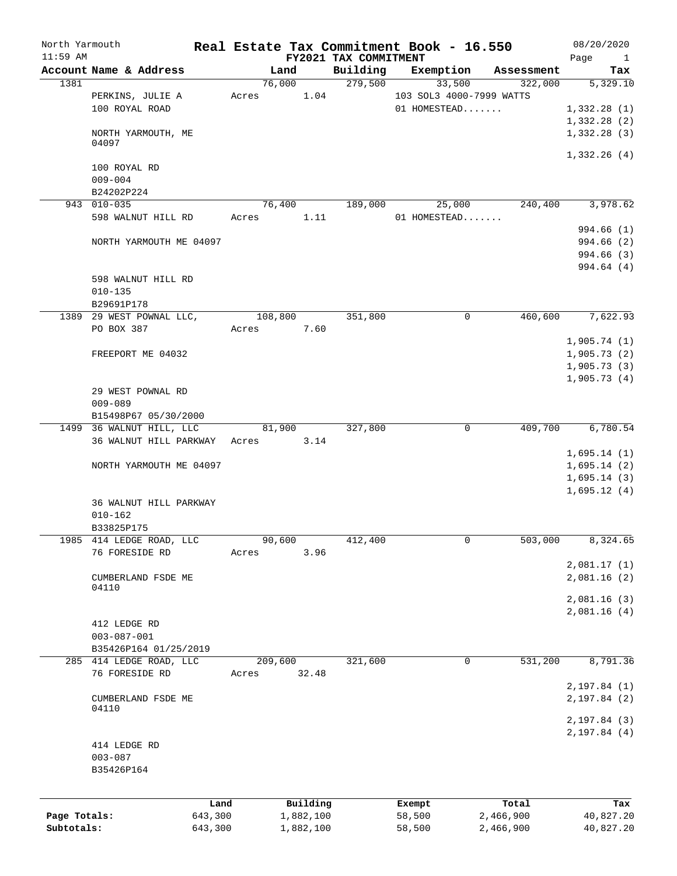| North Yarmouth |                             |         |         |           |                                   | Real Estate Tax Commitment Book - 16.550 |                       | 08/20/2020           |
|----------------|-----------------------------|---------|---------|-----------|-----------------------------------|------------------------------------------|-----------------------|----------------------|
| $11:59$ AM     | Account Name & Address      |         | Land    |           | FY2021 TAX COMMITMENT<br>Building |                                          |                       | Page<br>$\mathbf{1}$ |
| 1381           |                             |         | 76,000  |           | 279,500                           | Exemption<br>33,500                      | Assessment<br>322,000 | Tax<br>5,329.10      |
|                | PERKINS, JULIE A            | Acres   |         | 1.04      |                                   | 103 SOL3 4000-7999 WATTS                 |                       |                      |
|                | 100 ROYAL ROAD              |         |         |           |                                   | 01 HOMESTEAD                             |                       | 1,332.28(1)          |
|                |                             |         |         |           |                                   |                                          |                       | 1,332.28(2)          |
|                | NORTH YARMOUTH, ME          |         |         |           |                                   |                                          |                       | 1,332.28(3)          |
|                | 04097                       |         |         |           |                                   |                                          |                       |                      |
|                | 100 ROYAL RD                |         |         |           |                                   |                                          |                       | 1,332.26(4)          |
|                | $009 - 004$                 |         |         |           |                                   |                                          |                       |                      |
|                | B24202P224                  |         |         |           |                                   |                                          |                       |                      |
|                | 943 010-035                 |         | 76,400  |           | 189,000                           | 25,000                                   | 240,400               | 3,978.62             |
|                | 598 WALNUT HILL RD          | Acres   |         | 1.11      |                                   | 01 HOMESTEAD                             |                       |                      |
|                |                             |         |         |           |                                   |                                          |                       | 994.66 (1)           |
|                | NORTH YARMOUTH ME 04097     |         |         |           |                                   |                                          |                       | 994.66(2)            |
|                |                             |         |         |           |                                   |                                          |                       | 994.66 (3)           |
|                |                             |         |         |           |                                   |                                          |                       | 994.64 (4)           |
|                | 598 WALNUT HILL RD          |         |         |           |                                   |                                          |                       |                      |
|                | $010 - 135$                 |         |         |           |                                   |                                          |                       |                      |
|                | B29691P178                  |         |         |           |                                   |                                          |                       |                      |
|                | 1389 29 WEST POWNAL LLC,    |         | 108,800 |           | 351,800                           | 0                                        | 460,600               | 7,622.93             |
|                | PO BOX 387                  | Acres   |         | 7.60      |                                   |                                          |                       |                      |
|                |                             |         |         |           |                                   |                                          |                       | 1,905.74(1)          |
|                | FREEPORT ME 04032           |         |         |           |                                   |                                          |                       | 1,905.73(2)          |
|                |                             |         |         |           |                                   |                                          |                       | 1,905.73(3)          |
|                |                             |         |         |           |                                   |                                          |                       | 1,905.73(4)          |
|                | 29 WEST POWNAL RD           |         |         |           |                                   |                                          |                       |                      |
|                | $009 - 089$                 |         |         |           |                                   |                                          |                       |                      |
|                | B15498P67 05/30/2000        |         |         |           |                                   |                                          |                       |                      |
|                | 1499 36 WALNUT HILL, LLC    |         | 81,900  |           | 327,800                           | 0                                        | 409,700               | 6,780.54             |
|                | 36 WALNUT HILL PARKWAY      |         | Acres   | 3.14      |                                   |                                          |                       |                      |
|                |                             |         |         |           |                                   |                                          |                       | 1,695.14(1)          |
|                | NORTH YARMOUTH ME 04097     |         |         |           |                                   |                                          |                       | 1,695.14(2)          |
|                |                             |         |         |           |                                   |                                          |                       | 1,695.14(3)          |
|                |                             |         |         |           |                                   |                                          |                       | 1,695.12(4)          |
|                | 36 WALNUT HILL PARKWAY      |         |         |           |                                   |                                          |                       |                      |
|                | $010 - 162$                 |         |         |           |                                   |                                          |                       |                      |
|                | B33825P175                  |         |         |           |                                   |                                          |                       |                      |
| 1985           | 414 LEDGE ROAD, LLC         |         | 90,600  |           | 412,400                           | 0                                        | 503,000               | 8,324.65             |
|                | 76 FORESIDE RD              | Acres   |         | 3.96      |                                   |                                          |                       |                      |
|                |                             |         |         |           |                                   |                                          |                       | 2,081.17(1)          |
|                | CUMBERLAND FSDE ME          |         |         |           |                                   |                                          |                       | 2,081.16(2)          |
|                | 04110                       |         |         |           |                                   |                                          |                       |                      |
|                |                             |         |         |           |                                   |                                          |                       | 2,081.16 (3)         |
|                |                             |         |         |           |                                   |                                          |                       | 2,081.16(4)          |
|                | 412 LEDGE RD                |         |         |           |                                   |                                          |                       |                      |
|                | $003 - 087 - 001$           |         |         |           |                                   |                                          |                       |                      |
|                | B35426P164 01/25/2019       |         |         |           |                                   |                                          |                       |                      |
|                | 285 414 LEDGE ROAD, LLC     |         | 209,600 |           | 321,600                           | $\mathbf 0$                              | 531,200               | 8,791.36             |
|                | 76 FORESIDE RD              | Acres   |         | 32.48     |                                   |                                          |                       |                      |
|                |                             |         |         |           |                                   |                                          |                       | 2, 197.84(1)         |
|                | CUMBERLAND FSDE ME<br>04110 |         |         |           |                                   |                                          |                       | 2, 197.84 (2)        |
|                |                             |         |         |           |                                   |                                          |                       | 2, 197.84(3)         |
|                |                             |         |         |           |                                   |                                          |                       | 2, 197.84(4)         |
|                | 414 LEDGE RD                |         |         |           |                                   |                                          |                       |                      |
|                | $003 - 087$                 |         |         |           |                                   |                                          |                       |                      |
|                | B35426P164                  |         |         |           |                                   |                                          |                       |                      |
|                |                             |         |         |           |                                   |                                          |                       |                      |
|                |                             |         |         |           |                                   |                                          |                       |                      |
|                |                             | Land    |         | Building  |                                   | Exempt                                   | Total                 | Tax                  |
| Page Totals:   |                             | 643,300 |         | 1,882,100 |                                   | 58,500                                   | 2,466,900             | 40,827.20            |
| Subtotals:     |                             | 643,300 |         | 1,882,100 |                                   | 58,500                                   | 2,466,900             | 40,827.20            |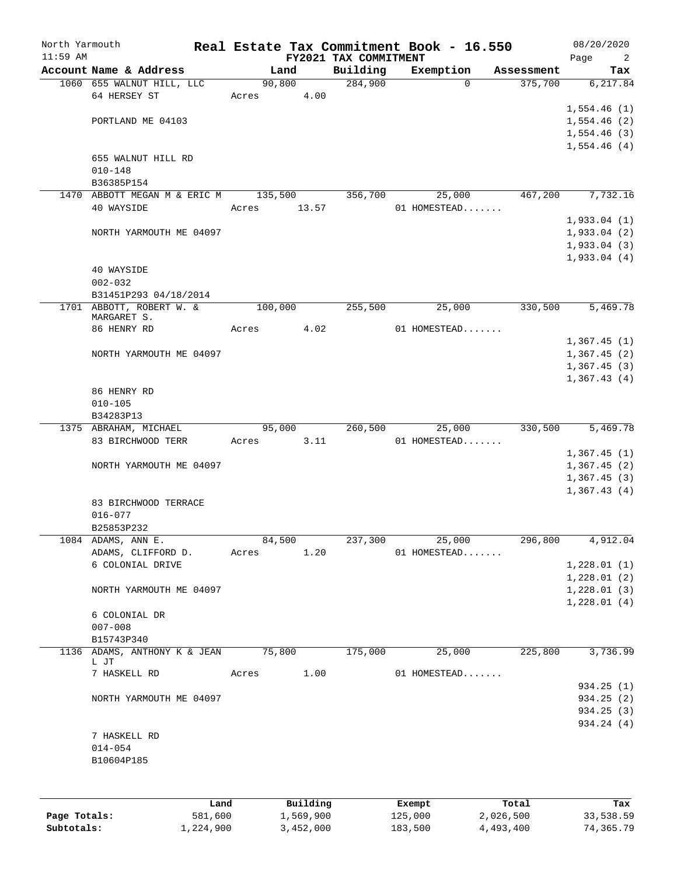| North Yarmouth<br>$11:59$ AM |                              |                 |         |                       | FY2021 TAX COMMITMENT |         | Real Estate Tax Commitment Book - 16.550 |                        | 08/20/2020<br>2        |
|------------------------------|------------------------------|-----------------|---------|-----------------------|-----------------------|---------|------------------------------------------|------------------------|------------------------|
|                              | Account Name & Address       |                 |         | Land                  | Building              |         | Exemption                                | Assessment             | Page<br>Tax            |
|                              | 1060 655 WALNUT HILL, LLC    |                 | 90,800  |                       | 284,900               |         | $\Omega$                                 | 375,700                | 6, 217.84              |
|                              | 64 HERSEY ST                 |                 | Acres   | 4.00                  |                       |         |                                          |                        |                        |
|                              |                              |                 |         |                       |                       |         |                                          |                        | 1,554.46(1)            |
|                              | PORTLAND ME 04103            |                 |         |                       |                       |         |                                          |                        | 1,554.46(2)            |
|                              |                              |                 |         |                       |                       |         |                                          |                        | 1,554.46(3)            |
|                              |                              |                 |         |                       |                       |         |                                          |                        | 1,554.46(4)            |
|                              | 655 WALNUT HILL RD           |                 |         |                       |                       |         |                                          |                        |                        |
|                              | $010 - 148$                  |                 |         |                       |                       |         |                                          |                        |                        |
|                              | B36385P154                   |                 |         |                       |                       |         |                                          |                        |                        |
|                              | 1470 ABBOTT MEGAN M & ERIC M |                 | 135,500 |                       | 356,700               |         | 25,000                                   | 467,200                | 7,732.16               |
|                              | 40 WAYSIDE                   |                 | Acres   | 13.57                 |                       |         | 01 HOMESTEAD                             |                        |                        |
|                              |                              |                 |         |                       |                       |         |                                          |                        |                        |
|                              |                              |                 |         |                       |                       |         |                                          |                        | 1,933.04(1)            |
|                              | NORTH YARMOUTH ME 04097      |                 |         |                       |                       |         |                                          |                        | 1,933.04(2)            |
|                              |                              |                 |         |                       |                       |         |                                          |                        | 1,933.04(3)            |
|                              |                              |                 |         |                       |                       |         |                                          |                        | 1,933.04(4)            |
|                              | 40 WAYSIDE                   |                 |         |                       |                       |         |                                          |                        |                        |
|                              | $002 - 032$                  |                 |         |                       |                       |         |                                          |                        |                        |
|                              | B31451P293 04/18/2014        |                 |         |                       |                       |         |                                          |                        |                        |
|                              | 1701 ABBOTT, ROBERT W. &     |                 | 100,000 |                       | 255,500               |         | 25,000                                   | 330,500                | 5,469.78               |
|                              | MARGARET S.                  |                 |         |                       |                       |         |                                          |                        |                        |
|                              | 86 HENRY RD                  |                 | Acres   | 4.02                  |                       |         | 01 HOMESTEAD                             |                        |                        |
|                              |                              |                 |         |                       |                       |         |                                          |                        | 1,367.45(1)            |
|                              | NORTH YARMOUTH ME 04097      |                 |         |                       |                       |         |                                          |                        | 1,367.45(2)            |
|                              |                              |                 |         |                       |                       |         |                                          |                        | 1,367.45(3)            |
|                              |                              |                 |         |                       |                       |         |                                          |                        | 1,367.43(4)            |
|                              | 86 HENRY RD                  |                 |         |                       |                       |         |                                          |                        |                        |
|                              | $010 - 105$                  |                 |         |                       |                       |         |                                          |                        |                        |
|                              | B34283P13                    |                 |         |                       |                       |         |                                          |                        |                        |
|                              | 1375 ABRAHAM, MICHAEL        |                 |         | 95,000                | 260,500               |         | 25,000                                   | 330,500                | 5,469.78               |
|                              | 83 BIRCHWOOD TERR            |                 | Acres   | 3.11                  |                       |         | 01 HOMESTEAD                             |                        |                        |
|                              |                              |                 |         |                       |                       |         |                                          |                        | 1,367.45(1)            |
|                              | NORTH YARMOUTH ME 04097      |                 |         |                       |                       |         |                                          |                        | 1,367.45(2)            |
|                              |                              |                 |         |                       |                       |         |                                          |                        | 1,367.45(3)            |
|                              |                              |                 |         |                       |                       |         |                                          |                        | 1,367.43(4)            |
|                              | 83 BIRCHWOOD TERRACE         |                 |         |                       |                       |         |                                          |                        |                        |
|                              | $016 - 077$                  |                 |         |                       |                       |         |                                          |                        |                        |
|                              | B25853P232                   |                 |         |                       |                       |         |                                          |                        |                        |
|                              | 1084 ADAMS, ANN E.           |                 | 84,500  |                       | 237,300               |         | 25,000                                   | 296,800                | 4,912.04               |
|                              | ADAMS, CLIFFORD D.           |                 | Acres   | 1.20                  |                       |         | 01 HOMESTEAD                             |                        |                        |
|                              | 6 COLONIAL DRIVE             |                 |         |                       |                       |         |                                          |                        | 1,228.01(1)            |
|                              |                              |                 |         |                       |                       |         |                                          |                        | 1,228.01(2)            |
|                              | NORTH YARMOUTH ME 04097      |                 |         |                       |                       |         |                                          |                        | 1,228.01(3)            |
|                              |                              |                 |         |                       |                       |         |                                          |                        | 1,228.01(4)            |
|                              | 6 COLONIAL DR                |                 |         |                       |                       |         |                                          |                        |                        |
|                              | $007 - 008$                  |                 |         |                       |                       |         |                                          |                        |                        |
|                              | B15743P340                   |                 |         |                       |                       |         |                                          |                        |                        |
|                              | 1136 ADAMS, ANTHONY K & JEAN |                 | 75,800  |                       | 175,000               |         | 25,000                                   | 225,800                | 3,736.99               |
|                              | L JT                         |                 |         |                       |                       |         |                                          |                        |                        |
|                              | 7 HASKELL RD                 |                 | Acres   | 1.00                  |                       |         | 01 HOMESTEAD                             |                        |                        |
|                              |                              |                 |         |                       |                       |         |                                          |                        | 934.25(1)              |
|                              | NORTH YARMOUTH ME 04097      |                 |         |                       |                       |         |                                          |                        | 934.25(2)              |
|                              |                              |                 |         |                       |                       |         |                                          |                        | 934.25(3)              |
|                              |                              |                 |         |                       |                       |         |                                          |                        | 934.24 (4)             |
|                              | 7 HASKELL RD                 |                 |         |                       |                       |         |                                          |                        |                        |
|                              | $014 - 054$                  |                 |         |                       |                       |         |                                          |                        |                        |
|                              | B10604P185                   |                 |         |                       |                       |         |                                          |                        |                        |
|                              |                              |                 |         |                       |                       |         |                                          |                        |                        |
|                              |                              |                 |         |                       |                       |         |                                          |                        |                        |
|                              |                              |                 |         |                       |                       |         |                                          |                        |                        |
| Page Totals:                 |                              | Land<br>581,600 |         | Building<br>1,569,900 |                       |         | Exempt                                   | Total                  | Tax                    |
| Subtotals:                   |                              | 1,224,900       |         | 3,452,000             |                       | 183,500 | 125,000                                  | 2,026,500<br>4,493,400 | 33,538.59<br>74,365.79 |
|                              |                              |                 |         |                       |                       |         |                                          |                        |                        |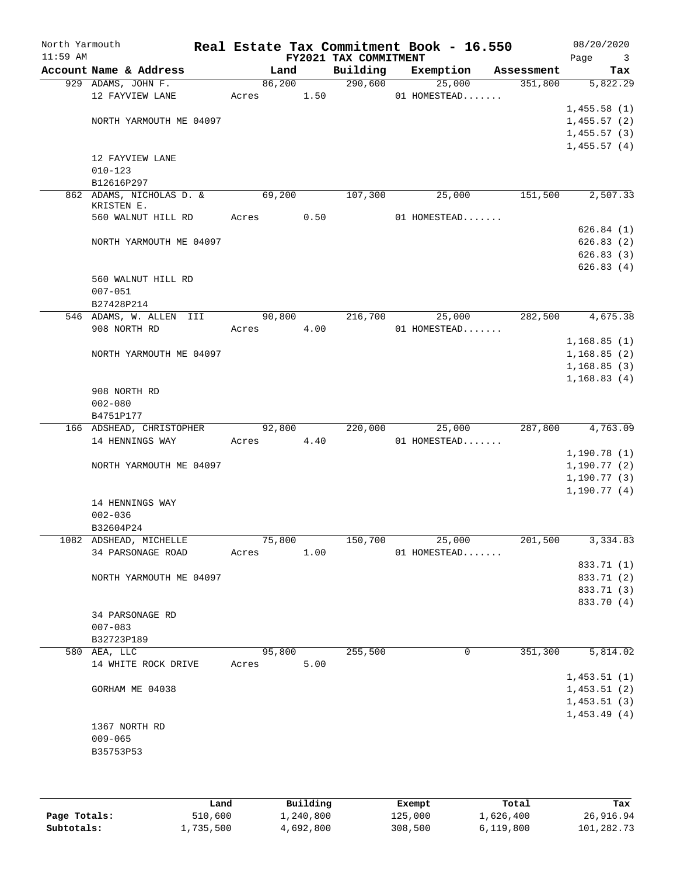| North Yarmouth<br>$11:59$ AM |                                        |        |      | Real Estate Tax Commitment Book - 16.550<br>FY2021 TAX COMMITMENT |                        |            | 08/20/2020<br>Page<br>3 |
|------------------------------|----------------------------------------|--------|------|-------------------------------------------------------------------|------------------------|------------|-------------------------|
|                              | Account Name & Address                 | Land   |      | Building                                                          | Exemption              | Assessment | Tax                     |
|                              | 929 ADAMS, JOHN F.                     | 86,200 |      | 290,600                                                           | 25,000                 | 351,800    | 5,822.29                |
|                              | 12 FAYVIEW LANE                        | Acres  | 1.50 |                                                                   | 01 HOMESTEAD           |            |                         |
|                              |                                        |        |      |                                                                   |                        |            | 1,455.58(1)             |
|                              | NORTH YARMOUTH ME 04097                |        |      |                                                                   |                        |            | 1,455.57(2)             |
|                              |                                        |        |      |                                                                   |                        |            | 1,455.57(3)             |
|                              |                                        |        |      |                                                                   |                        |            | 1,455.57(4)             |
|                              | 12 FAYVIEW LANE                        |        |      |                                                                   |                        |            |                         |
|                              | $010 - 123$                            |        |      |                                                                   |                        |            |                         |
|                              | B12616P297                             |        |      |                                                                   |                        |            |                         |
|                              | 862 ADAMS, NICHOLAS D. &<br>KRISTEN E. | 69,200 |      | 107,300                                                           | 25,000                 | 151,500    | 2,507.33                |
|                              | 560 WALNUT HILL RD                     | Acres  | 0.50 |                                                                   | 01 HOMESTEAD           |            |                         |
|                              |                                        |        |      |                                                                   |                        |            | 626.84(1)               |
|                              | NORTH YARMOUTH ME 04097                |        |      |                                                                   |                        |            | 626.83(2)               |
|                              |                                        |        |      |                                                                   |                        |            | 626.83(3)               |
|                              |                                        |        |      |                                                                   |                        |            | 626.83(4)               |
|                              | 560 WALNUT HILL RD                     |        |      |                                                                   |                        |            |                         |
|                              | $007 - 051$                            |        |      |                                                                   |                        |            |                         |
|                              | B27428P214                             |        |      |                                                                   |                        |            |                         |
|                              | 546 ADAMS, W. ALLEN III                | 90,800 |      | 216,700                                                           | 25,000                 | 282,500    | 4,675.38                |
|                              | 908 NORTH RD                           | Acres  | 4.00 |                                                                   | 01 HOMESTEAD           |            |                         |
|                              |                                        |        |      |                                                                   |                        |            | 1,168.85(1)             |
|                              | NORTH YARMOUTH ME 04097                |        |      |                                                                   |                        |            | 1,168.85(2)             |
|                              |                                        |        |      |                                                                   |                        |            | 1,168.85(3)             |
|                              |                                        |        |      |                                                                   |                        |            | 1,168.83(4)             |
|                              | 908 NORTH RD                           |        |      |                                                                   |                        |            |                         |
|                              | $002 - 080$                            |        |      |                                                                   |                        |            |                         |
|                              | B4751P177<br>166 ADSHEAD, CHRISTOPHER  | 92,800 |      | 220,000                                                           |                        | 287,800    | 4,763.09                |
|                              | 14 HENNINGS WAY                        | Acres  | 4.40 |                                                                   | 25,000<br>01 HOMESTEAD |            |                         |
|                              |                                        |        |      |                                                                   |                        |            | 1,190.78(1)             |
|                              | NORTH YARMOUTH ME 04097                |        |      |                                                                   |                        |            | 1,190.77(2)             |
|                              |                                        |        |      |                                                                   |                        |            | 1, 190.77(3)            |
|                              |                                        |        |      |                                                                   |                        |            | 1,190.77(4)             |
|                              | 14 HENNINGS WAY                        |        |      |                                                                   |                        |            |                         |
|                              | $002 - 036$                            |        |      |                                                                   |                        |            |                         |
|                              | B32604P24                              |        |      |                                                                   |                        |            |                         |
|                              | 1082 ADSHEAD, MICHELLE                 | 75,800 |      | 150,700                                                           | 25,000                 | 201,500    | 3,334.83                |
|                              | 34 PARSONAGE ROAD                      | Acres  | 1.00 |                                                                   | 01 HOMESTEAD           |            |                         |
|                              |                                        |        |      |                                                                   |                        |            | 833.71 (1)              |
|                              | NORTH YARMOUTH ME 04097                |        |      |                                                                   |                        |            | 833.71 (2)              |
|                              |                                        |        |      |                                                                   |                        |            | 833.71 (3)              |
|                              |                                        |        |      |                                                                   |                        |            | 833.70 (4)              |
|                              | 34 PARSONAGE RD                        |        |      |                                                                   |                        |            |                         |
|                              | $007 - 083$                            |        |      |                                                                   |                        |            |                         |
|                              | B32723P189                             |        |      |                                                                   |                        |            |                         |
|                              | 580 AEA, LLC                           | 95,800 |      | 255,500                                                           | 0                      | 351,300    | 5,814.02                |
|                              | 14 WHITE ROCK DRIVE                    | Acres  | 5.00 |                                                                   |                        |            |                         |
|                              |                                        |        |      |                                                                   |                        |            | 1,453.51(1)             |
|                              | GORHAM ME 04038                        |        |      |                                                                   |                        |            | 1,453.51(2)             |
|                              |                                        |        |      |                                                                   |                        |            | 1,453.51(3)             |
|                              |                                        |        |      |                                                                   |                        |            | 1,453.49(4)             |
|                              | 1367 NORTH RD                          |        |      |                                                                   |                        |            |                         |
|                              | $009 - 065$                            |        |      |                                                                   |                        |            |                         |
|                              | B35753P53                              |        |      |                                                                   |                        |            |                         |
|                              |                                        |        |      |                                                                   |                        |            |                         |
|                              |                                        |        |      |                                                                   |                        |            |                         |

|              | Land      | Building  | Exempt  | Total     | Tax        |
|--------------|-----------|-----------|---------|-----------|------------|
| Page Totals: | 510,600   | 1,240,800 | 125,000 | 1,626,400 | 26,916.94  |
| Subtotals:   | 1,735,500 | 4,692,800 | 308,500 | 6.119.800 | 101,282.73 |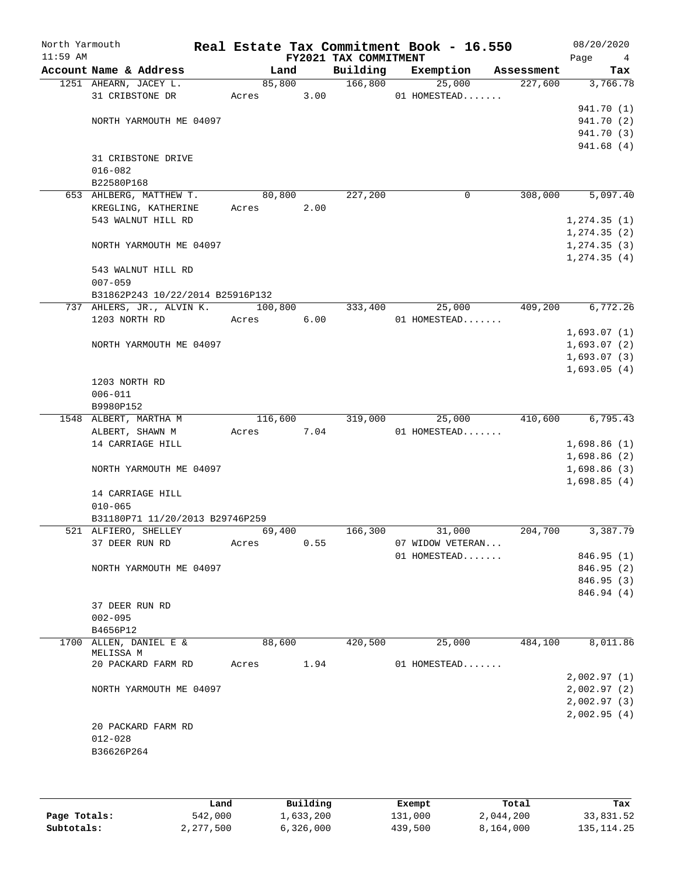| North Yarmouth<br>$11:59$ AM |                                   |         |        | FY2021 TAX COMMITMENT | Real Estate Tax Commitment Book - 16.550 |            | 08/20/2020<br>Page<br>$\overline{4}$ |
|------------------------------|-----------------------------------|---------|--------|-----------------------|------------------------------------------|------------|--------------------------------------|
|                              | Account Name & Address            | Land    |        | Building              | Exemption                                | Assessment | Tax                                  |
|                              | 1251 AHEARN, JACEY L.             |         | 85,800 | 166,800               | 25,000                                   | 227,600    | 3,766.78                             |
|                              | 31 CRIBSTONE DR                   | Acres   | 3.00   |                       | 01 HOMESTEAD                             |            |                                      |
|                              |                                   |         |        |                       |                                          |            | 941.70 (1)                           |
|                              | NORTH YARMOUTH ME 04097           |         |        |                       |                                          |            | 941.70 (2)                           |
|                              |                                   |         |        |                       |                                          |            | 941.70 (3)                           |
|                              |                                   |         |        |                       |                                          |            | 941.68(4)                            |
|                              | 31 CRIBSTONE DRIVE                |         |        |                       |                                          |            |                                      |
|                              | $016 - 082$                       |         |        |                       |                                          |            |                                      |
|                              | B22580P168                        |         |        |                       |                                          |            |                                      |
|                              | 653 AHLBERG, MATTHEW T.           | 80,800  |        | 227,200               | 0                                        | 308,000    | 5,097.40                             |
|                              | KREGLING, KATHERINE               | Acres   | 2.00   |                       |                                          |            |                                      |
|                              | 543 WALNUT HILL RD                |         |        |                       |                                          |            | 1, 274.35(1)                         |
|                              |                                   |         |        |                       |                                          |            | 1, 274.35(2)                         |
|                              | NORTH YARMOUTH ME 04097           |         |        |                       |                                          |            | 1, 274.35(3)                         |
|                              |                                   |         |        |                       |                                          |            | 1, 274.35(4)                         |
|                              | 543 WALNUT HILL RD                |         |        |                       |                                          |            |                                      |
|                              | $007 - 059$                       |         |        |                       |                                          |            |                                      |
|                              | B31862P243 10/22/2014 B25916P132  |         |        |                       |                                          |            |                                      |
|                              | 737 AHLERS, JR., ALVIN K. 100,800 |         |        | 333,400               | 25,000                                   | 409,200    | 6,772.26                             |
|                              | 1203 NORTH RD                     | Acres   | 6.00   |                       | 01 HOMESTEAD                             |            |                                      |
|                              |                                   |         |        |                       |                                          |            | 1,693.07(1)                          |
|                              | NORTH YARMOUTH ME 04097           |         |        |                       |                                          |            | 1,693.07(2)                          |
|                              |                                   |         |        |                       |                                          |            | 1,693.07(3)                          |
|                              |                                   |         |        |                       |                                          |            | 1,693.05(4)                          |
|                              | 1203 NORTH RD                     |         |        |                       |                                          |            |                                      |
|                              | $006 - 011$                       |         |        |                       |                                          |            |                                      |
|                              | B9980P152                         |         |        |                       |                                          |            |                                      |
|                              | 1548 ALBERT, MARTHA M             | 116,600 |        | 319,000               | 25,000                                   | 410,600    | 6,795.43                             |
|                              | ALBERT, SHAWN M                   | Acres   | 7.04   |                       | 01 HOMESTEAD                             |            |                                      |
|                              | 14 CARRIAGE HILL                  |         |        |                       |                                          |            | 1,698.86(1)                          |
|                              |                                   |         |        |                       |                                          |            | 1,698.86(2)                          |
|                              | NORTH YARMOUTH ME 04097           |         |        |                       |                                          |            | 1,698.86(3)                          |
|                              |                                   |         |        |                       |                                          |            | 1,698.85(4)                          |
|                              | 14 CARRIAGE HILL                  |         |        |                       |                                          |            |                                      |
|                              | $010 - 065$                       |         |        |                       |                                          |            |                                      |
|                              | B31180P71 11/20/2013 B29746P259   |         |        |                       |                                          |            |                                      |
|                              | 521 ALFIERO, SHELLEY              | 69,400  |        | 166,300               | 31,000                                   | 204,700    | 3,387.79                             |
|                              | 37 DEER RUN RD                    | Acres   | 0.55   |                       | 07 WIDOW VETERAN                         |            |                                      |
|                              |                                   |         |        |                       | 01 HOMESTEAD                             |            | 846.95(1)                            |
|                              | NORTH YARMOUTH ME 04097           |         |        |                       |                                          |            | 846.95 (2)                           |
|                              |                                   |         |        |                       |                                          |            | 846.95 (3)                           |
|                              |                                   |         |        |                       |                                          |            | 846.94 (4)                           |
|                              | 37 DEER RUN RD                    |         |        |                       |                                          |            |                                      |
|                              | $002 - 095$                       |         |        |                       |                                          |            |                                      |
|                              | B4656P12                          |         |        |                       |                                          |            |                                      |
|                              | 1700 ALLEN, DANIEL E &            | 88,600  |        | 420,500               | 25,000                                   | 484,100    | 8,011.86                             |
|                              | MELISSA M                         |         |        |                       |                                          |            |                                      |
|                              | 20 PACKARD FARM RD                | Acres   | 1.94   |                       | 01 HOMESTEAD                             |            |                                      |
|                              |                                   |         |        |                       |                                          |            | 2,002.97(1)                          |
|                              | NORTH YARMOUTH ME 04097           |         |        |                       |                                          |            | 2,002.97(2)                          |
|                              |                                   |         |        |                       |                                          |            | 2,002.97(3)                          |
|                              |                                   |         |        |                       |                                          |            | 2,002.95(4)                          |
|                              | 20 PACKARD FARM RD                |         |        |                       |                                          |            |                                      |
|                              | $012 - 028$                       |         |        |                       |                                          |            |                                      |
|                              | B36626P264                        |         |        |                       |                                          |            |                                      |
|                              |                                   |         |        |                       |                                          |            |                                      |
|                              |                                   |         |        |                       |                                          |            |                                      |

|              | Land      | Building  | Exempt  | Total     | Tax          |
|--------------|-----------|-----------|---------|-----------|--------------|
| Page Totals: | 542,000   | 1,633,200 | 131,000 | 2,044,200 | 33,831.52    |
| Subtotals:   | 2,277,500 | 6,326,000 | 439,500 | 8,164,000 | 135, 114, 25 |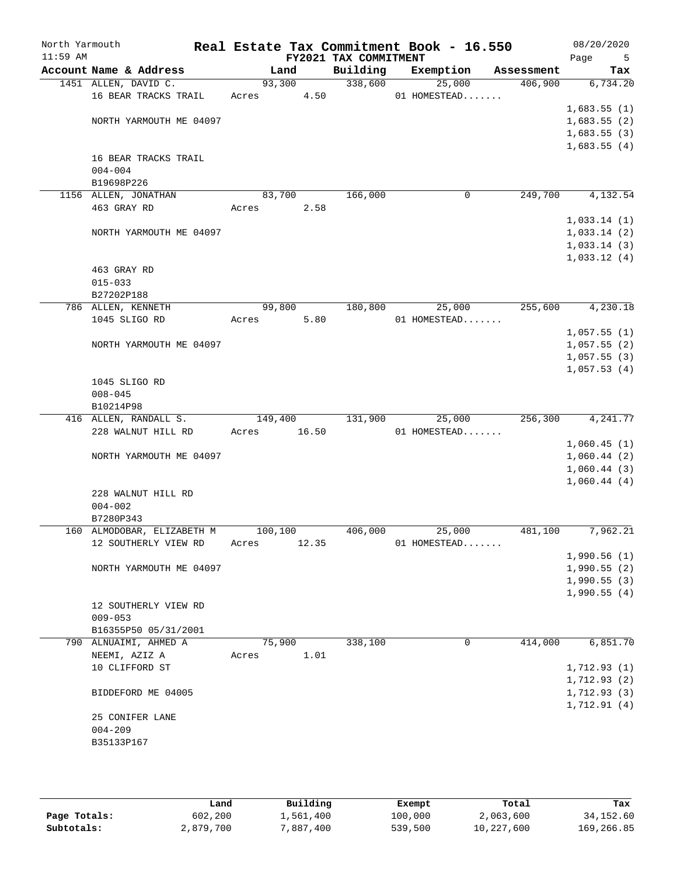| Account Name & Address<br>Building<br>Exemption<br>Land<br>Assessment<br>1451 ALLEN, DAVID C.<br>93,300<br>338,600<br>25,000<br>406,900<br>16 BEAR TRACKS TRAIL<br>4.50<br>01 HOMESTEAD<br>Acres<br>NORTH YARMOUTH ME 04097<br>16 BEAR TRACKS TRAIL<br>$004 - 004$<br>B19698P226<br>166,000<br>249,700<br>1156 ALLEN, JONATHAN<br>83,700<br>0<br>463 GRAY RD<br>Acres<br>2.58<br>1,033.14(1)<br>1,033.14(2)<br>NORTH YARMOUTH ME 04097<br>463 GRAY RD<br>$015 - 033$<br>B27202P188<br>180,800<br>25,000<br>255,600<br>786 ALLEN, KENNETH<br>99,800<br>1045 SLIGO RD<br>5.80<br>01 HOMESTEAD<br>Acres<br>NORTH YARMOUTH ME 04097<br>1045 SLIGO RD<br>$008 - 045$<br>B10214P98<br>416 ALLEN, RANDALL S.<br>149,400<br>131,900<br>25,000<br>256,300<br>228 WALNUT HILL RD<br>16.50<br>Acres<br>01 HOMESTEAD<br>NORTH YARMOUTH ME 04097<br>228 WALNUT HILL RD<br>$004 - 002$<br>B7280P343<br>100,100<br>160 ALMODOBAR, ELIZABETH M<br>406,000<br>25,000<br>481,100<br>12.35<br>12 SOUTHERLY VIEW RD<br>01 HOMESTEAD<br>Acres<br>1,990.56(1)<br>1,990.55(2)<br>NORTH YARMOUTH ME 04097<br>1,990.55(3)<br>12 SOUTHERLY VIEW RD<br>$009 - 053$<br>B16355P50 05/31/2001<br>75,900<br>338,100<br>414,000<br>790 ALNUAIMI, AHMED A<br>0<br>NEEMI, AZIZ A<br>1.01<br>Acres<br>10 CLIFFORD ST<br>BIDDEFORD ME 04005<br>25 CONIFER LANE<br>$004 - 209$ | North Yarmouth<br>$11:59$ AM |  | FY2021 TAX COMMITMENT | Real Estate Tax Commitment Book - 16.550 | 08/20/2020<br>Page<br>5 |
|-------------------------------------------------------------------------------------------------------------------------------------------------------------------------------------------------------------------------------------------------------------------------------------------------------------------------------------------------------------------------------------------------------------------------------------------------------------------------------------------------------------------------------------------------------------------------------------------------------------------------------------------------------------------------------------------------------------------------------------------------------------------------------------------------------------------------------------------------------------------------------------------------------------------------------------------------------------------------------------------------------------------------------------------------------------------------------------------------------------------------------------------------------------------------------------------------------------------------------------------------------------------------------------------------------------------------------------------|------------------------------|--|-----------------------|------------------------------------------|-------------------------|
|                                                                                                                                                                                                                                                                                                                                                                                                                                                                                                                                                                                                                                                                                                                                                                                                                                                                                                                                                                                                                                                                                                                                                                                                                                                                                                                                           |                              |  |                       |                                          | Tax                     |
|                                                                                                                                                                                                                                                                                                                                                                                                                                                                                                                                                                                                                                                                                                                                                                                                                                                                                                                                                                                                                                                                                                                                                                                                                                                                                                                                           |                              |  |                       |                                          | 6,734.20                |
|                                                                                                                                                                                                                                                                                                                                                                                                                                                                                                                                                                                                                                                                                                                                                                                                                                                                                                                                                                                                                                                                                                                                                                                                                                                                                                                                           |                              |  |                       |                                          |                         |
|                                                                                                                                                                                                                                                                                                                                                                                                                                                                                                                                                                                                                                                                                                                                                                                                                                                                                                                                                                                                                                                                                                                                                                                                                                                                                                                                           |                              |  |                       |                                          | 1,683.55(1)             |
|                                                                                                                                                                                                                                                                                                                                                                                                                                                                                                                                                                                                                                                                                                                                                                                                                                                                                                                                                                                                                                                                                                                                                                                                                                                                                                                                           |                              |  |                       |                                          | 1,683.55(2)             |
|                                                                                                                                                                                                                                                                                                                                                                                                                                                                                                                                                                                                                                                                                                                                                                                                                                                                                                                                                                                                                                                                                                                                                                                                                                                                                                                                           |                              |  |                       |                                          | 1,683.55(3)             |
|                                                                                                                                                                                                                                                                                                                                                                                                                                                                                                                                                                                                                                                                                                                                                                                                                                                                                                                                                                                                                                                                                                                                                                                                                                                                                                                                           |                              |  |                       |                                          | 1,683.55(4)             |
|                                                                                                                                                                                                                                                                                                                                                                                                                                                                                                                                                                                                                                                                                                                                                                                                                                                                                                                                                                                                                                                                                                                                                                                                                                                                                                                                           |                              |  |                       |                                          |                         |
|                                                                                                                                                                                                                                                                                                                                                                                                                                                                                                                                                                                                                                                                                                                                                                                                                                                                                                                                                                                                                                                                                                                                                                                                                                                                                                                                           |                              |  |                       |                                          |                         |
|                                                                                                                                                                                                                                                                                                                                                                                                                                                                                                                                                                                                                                                                                                                                                                                                                                                                                                                                                                                                                                                                                                                                                                                                                                                                                                                                           |                              |  |                       |                                          | 4,132.54                |
|                                                                                                                                                                                                                                                                                                                                                                                                                                                                                                                                                                                                                                                                                                                                                                                                                                                                                                                                                                                                                                                                                                                                                                                                                                                                                                                                           |                              |  |                       |                                          |                         |
|                                                                                                                                                                                                                                                                                                                                                                                                                                                                                                                                                                                                                                                                                                                                                                                                                                                                                                                                                                                                                                                                                                                                                                                                                                                                                                                                           |                              |  |                       |                                          |                         |
|                                                                                                                                                                                                                                                                                                                                                                                                                                                                                                                                                                                                                                                                                                                                                                                                                                                                                                                                                                                                                                                                                                                                                                                                                                                                                                                                           |                              |  |                       |                                          |                         |
|                                                                                                                                                                                                                                                                                                                                                                                                                                                                                                                                                                                                                                                                                                                                                                                                                                                                                                                                                                                                                                                                                                                                                                                                                                                                                                                                           |                              |  |                       |                                          | 1,033.14(3)             |
|                                                                                                                                                                                                                                                                                                                                                                                                                                                                                                                                                                                                                                                                                                                                                                                                                                                                                                                                                                                                                                                                                                                                                                                                                                                                                                                                           |                              |  |                       |                                          | 1,033.12(4)             |
|                                                                                                                                                                                                                                                                                                                                                                                                                                                                                                                                                                                                                                                                                                                                                                                                                                                                                                                                                                                                                                                                                                                                                                                                                                                                                                                                           |                              |  |                       |                                          |                         |
|                                                                                                                                                                                                                                                                                                                                                                                                                                                                                                                                                                                                                                                                                                                                                                                                                                                                                                                                                                                                                                                                                                                                                                                                                                                                                                                                           |                              |  |                       |                                          |                         |
|                                                                                                                                                                                                                                                                                                                                                                                                                                                                                                                                                                                                                                                                                                                                                                                                                                                                                                                                                                                                                                                                                                                                                                                                                                                                                                                                           |                              |  |                       |                                          |                         |
|                                                                                                                                                                                                                                                                                                                                                                                                                                                                                                                                                                                                                                                                                                                                                                                                                                                                                                                                                                                                                                                                                                                                                                                                                                                                                                                                           |                              |  |                       |                                          | 4,230.18                |
|                                                                                                                                                                                                                                                                                                                                                                                                                                                                                                                                                                                                                                                                                                                                                                                                                                                                                                                                                                                                                                                                                                                                                                                                                                                                                                                                           |                              |  |                       |                                          |                         |
|                                                                                                                                                                                                                                                                                                                                                                                                                                                                                                                                                                                                                                                                                                                                                                                                                                                                                                                                                                                                                                                                                                                                                                                                                                                                                                                                           |                              |  |                       |                                          | 1,057.55(1)             |
|                                                                                                                                                                                                                                                                                                                                                                                                                                                                                                                                                                                                                                                                                                                                                                                                                                                                                                                                                                                                                                                                                                                                                                                                                                                                                                                                           |                              |  |                       |                                          | 1,057.55(2)             |
|                                                                                                                                                                                                                                                                                                                                                                                                                                                                                                                                                                                                                                                                                                                                                                                                                                                                                                                                                                                                                                                                                                                                                                                                                                                                                                                                           |                              |  |                       |                                          | 1,057.55(3)             |
|                                                                                                                                                                                                                                                                                                                                                                                                                                                                                                                                                                                                                                                                                                                                                                                                                                                                                                                                                                                                                                                                                                                                                                                                                                                                                                                                           |                              |  |                       |                                          | 1,057.53(4)             |
|                                                                                                                                                                                                                                                                                                                                                                                                                                                                                                                                                                                                                                                                                                                                                                                                                                                                                                                                                                                                                                                                                                                                                                                                                                                                                                                                           |                              |  |                       |                                          |                         |
|                                                                                                                                                                                                                                                                                                                                                                                                                                                                                                                                                                                                                                                                                                                                                                                                                                                                                                                                                                                                                                                                                                                                                                                                                                                                                                                                           |                              |  |                       |                                          |                         |
|                                                                                                                                                                                                                                                                                                                                                                                                                                                                                                                                                                                                                                                                                                                                                                                                                                                                                                                                                                                                                                                                                                                                                                                                                                                                                                                                           |                              |  |                       |                                          |                         |
|                                                                                                                                                                                                                                                                                                                                                                                                                                                                                                                                                                                                                                                                                                                                                                                                                                                                                                                                                                                                                                                                                                                                                                                                                                                                                                                                           |                              |  |                       |                                          | 4,241.77                |
|                                                                                                                                                                                                                                                                                                                                                                                                                                                                                                                                                                                                                                                                                                                                                                                                                                                                                                                                                                                                                                                                                                                                                                                                                                                                                                                                           |                              |  |                       |                                          |                         |
|                                                                                                                                                                                                                                                                                                                                                                                                                                                                                                                                                                                                                                                                                                                                                                                                                                                                                                                                                                                                                                                                                                                                                                                                                                                                                                                                           |                              |  |                       |                                          | 1,060.45(1)             |
|                                                                                                                                                                                                                                                                                                                                                                                                                                                                                                                                                                                                                                                                                                                                                                                                                                                                                                                                                                                                                                                                                                                                                                                                                                                                                                                                           |                              |  |                       |                                          | 1,060.44(2)             |
|                                                                                                                                                                                                                                                                                                                                                                                                                                                                                                                                                                                                                                                                                                                                                                                                                                                                                                                                                                                                                                                                                                                                                                                                                                                                                                                                           |                              |  |                       |                                          | 1,060.44(3)             |
|                                                                                                                                                                                                                                                                                                                                                                                                                                                                                                                                                                                                                                                                                                                                                                                                                                                                                                                                                                                                                                                                                                                                                                                                                                                                                                                                           |                              |  |                       |                                          | 1,060.44(4)             |
|                                                                                                                                                                                                                                                                                                                                                                                                                                                                                                                                                                                                                                                                                                                                                                                                                                                                                                                                                                                                                                                                                                                                                                                                                                                                                                                                           |                              |  |                       |                                          |                         |
|                                                                                                                                                                                                                                                                                                                                                                                                                                                                                                                                                                                                                                                                                                                                                                                                                                                                                                                                                                                                                                                                                                                                                                                                                                                                                                                                           |                              |  |                       |                                          |                         |
|                                                                                                                                                                                                                                                                                                                                                                                                                                                                                                                                                                                                                                                                                                                                                                                                                                                                                                                                                                                                                                                                                                                                                                                                                                                                                                                                           |                              |  |                       |                                          |                         |
|                                                                                                                                                                                                                                                                                                                                                                                                                                                                                                                                                                                                                                                                                                                                                                                                                                                                                                                                                                                                                                                                                                                                                                                                                                                                                                                                           |                              |  |                       |                                          | 7,962.21                |
|                                                                                                                                                                                                                                                                                                                                                                                                                                                                                                                                                                                                                                                                                                                                                                                                                                                                                                                                                                                                                                                                                                                                                                                                                                                                                                                                           |                              |  |                       |                                          |                         |
|                                                                                                                                                                                                                                                                                                                                                                                                                                                                                                                                                                                                                                                                                                                                                                                                                                                                                                                                                                                                                                                                                                                                                                                                                                                                                                                                           |                              |  |                       |                                          |                         |
|                                                                                                                                                                                                                                                                                                                                                                                                                                                                                                                                                                                                                                                                                                                                                                                                                                                                                                                                                                                                                                                                                                                                                                                                                                                                                                                                           |                              |  |                       |                                          |                         |
|                                                                                                                                                                                                                                                                                                                                                                                                                                                                                                                                                                                                                                                                                                                                                                                                                                                                                                                                                                                                                                                                                                                                                                                                                                                                                                                                           |                              |  |                       |                                          | 1,990.55(4)             |
|                                                                                                                                                                                                                                                                                                                                                                                                                                                                                                                                                                                                                                                                                                                                                                                                                                                                                                                                                                                                                                                                                                                                                                                                                                                                                                                                           |                              |  |                       |                                          |                         |
|                                                                                                                                                                                                                                                                                                                                                                                                                                                                                                                                                                                                                                                                                                                                                                                                                                                                                                                                                                                                                                                                                                                                                                                                                                                                                                                                           |                              |  |                       |                                          |                         |
|                                                                                                                                                                                                                                                                                                                                                                                                                                                                                                                                                                                                                                                                                                                                                                                                                                                                                                                                                                                                                                                                                                                                                                                                                                                                                                                                           |                              |  |                       |                                          |                         |
|                                                                                                                                                                                                                                                                                                                                                                                                                                                                                                                                                                                                                                                                                                                                                                                                                                                                                                                                                                                                                                                                                                                                                                                                                                                                                                                                           |                              |  |                       |                                          | 6,851.70                |
|                                                                                                                                                                                                                                                                                                                                                                                                                                                                                                                                                                                                                                                                                                                                                                                                                                                                                                                                                                                                                                                                                                                                                                                                                                                                                                                                           |                              |  |                       |                                          |                         |
|                                                                                                                                                                                                                                                                                                                                                                                                                                                                                                                                                                                                                                                                                                                                                                                                                                                                                                                                                                                                                                                                                                                                                                                                                                                                                                                                           |                              |  |                       |                                          | 1,712.93(1)             |
|                                                                                                                                                                                                                                                                                                                                                                                                                                                                                                                                                                                                                                                                                                                                                                                                                                                                                                                                                                                                                                                                                                                                                                                                                                                                                                                                           |                              |  |                       |                                          | 1, 712.93(2)            |
|                                                                                                                                                                                                                                                                                                                                                                                                                                                                                                                                                                                                                                                                                                                                                                                                                                                                                                                                                                                                                                                                                                                                                                                                                                                                                                                                           |                              |  |                       |                                          | 1,712.93(3)             |
|                                                                                                                                                                                                                                                                                                                                                                                                                                                                                                                                                                                                                                                                                                                                                                                                                                                                                                                                                                                                                                                                                                                                                                                                                                                                                                                                           |                              |  |                       |                                          | 1,712.91(4)             |
|                                                                                                                                                                                                                                                                                                                                                                                                                                                                                                                                                                                                                                                                                                                                                                                                                                                                                                                                                                                                                                                                                                                                                                                                                                                                                                                                           |                              |  |                       |                                          |                         |
|                                                                                                                                                                                                                                                                                                                                                                                                                                                                                                                                                                                                                                                                                                                                                                                                                                                                                                                                                                                                                                                                                                                                                                                                                                                                                                                                           |                              |  |                       |                                          |                         |
| B35133P167                                                                                                                                                                                                                                                                                                                                                                                                                                                                                                                                                                                                                                                                                                                                                                                                                                                                                                                                                                                                                                                                                                                                                                                                                                                                                                                                |                              |  |                       |                                          |                         |
|                                                                                                                                                                                                                                                                                                                                                                                                                                                                                                                                                                                                                                                                                                                                                                                                                                                                                                                                                                                                                                                                                                                                                                                                                                                                                                                                           |                              |  |                       |                                          |                         |

|              | Land      | Building  | Exempt  | Total      | Tax         |
|--------------|-----------|-----------|---------|------------|-------------|
| Page Totals: | 602,200   | 1,561,400 | 100,000 | 2,063,600  | 34, 152, 60 |
| Subtotals:   | 2,879,700 | 7,887,400 | 539,500 | 10,227,600 | 169,266.85  |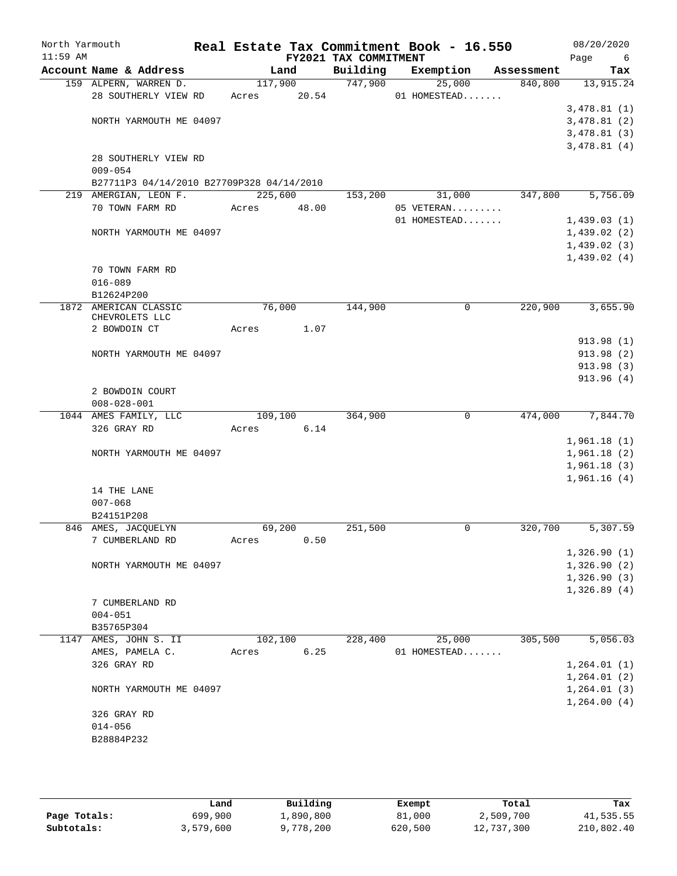| North Yarmouth<br>$11:59$ AM |                                           |         |       | FY2021 TAX COMMITMENT | Real Estate Tax Commitment Book - 16.550 |            | 08/20/2020<br>Page<br>6 |
|------------------------------|-------------------------------------------|---------|-------|-----------------------|------------------------------------------|------------|-------------------------|
|                              | Account Name & Address                    |         | Land  | Building              | Exemption                                | Assessment | Tax                     |
|                              | 159 ALPERN, WARREN D.                     | 117,900 |       | 747,900               | 25,000                                   | 840,800    | 13,915.24               |
|                              | 28 SOUTHERLY VIEW RD                      | Acres   | 20.54 |                       | 01 HOMESTEAD                             |            |                         |
|                              |                                           |         |       |                       |                                          |            | 3,478.81(1)             |
|                              | NORTH YARMOUTH ME 04097                   |         |       |                       |                                          |            | 3,478.81(2)             |
|                              |                                           |         |       |                       |                                          |            | 3,478.81(3)             |
|                              |                                           |         |       |                       |                                          |            | 3,478.81(4)             |
|                              | 28 SOUTHERLY VIEW RD<br>$009 - 054$       |         |       |                       |                                          |            |                         |
|                              | B27711P3 04/14/2010 B27709P328 04/14/2010 |         |       |                       |                                          |            |                         |
|                              | 219 AMERGIAN, LEON F.                     | 225,600 |       | 153,200               | 31,000                                   | 347,800    | 5,756.09                |
|                              | 70 TOWN FARM RD                           | Acres   | 48.00 |                       | 05 VETERAN                               |            |                         |
|                              |                                           |         |       |                       | 01 HOMESTEAD                             |            | 1,439.03(1)             |
|                              | NORTH YARMOUTH ME 04097                   |         |       |                       |                                          |            | 1,439.02(2)             |
|                              |                                           |         |       |                       |                                          |            | 1,439.02(3)             |
|                              |                                           |         |       |                       |                                          |            | 1,439.02(4)             |
|                              | 70 TOWN FARM RD                           |         |       |                       |                                          |            |                         |
|                              | $016 - 089$                               |         |       |                       |                                          |            |                         |
|                              | B12624P200                                |         |       |                       |                                          |            |                         |
|                              | 1872 AMERICAN CLASSIC                     | 76,000  |       | 144,900               | 0                                        | 220,900    | 3,655.90                |
|                              | CHEVROLETS LLC                            |         |       |                       |                                          |            |                         |
|                              | 2 BOWDOIN CT                              | Acres   | 1.07  |                       |                                          |            |                         |
|                              |                                           |         |       |                       |                                          |            | 913.98 (1)              |
|                              | NORTH YARMOUTH ME 04097                   |         |       |                       |                                          |            | 913.98 (2)              |
|                              |                                           |         |       |                       |                                          |            | 913.98 (3)              |
|                              |                                           |         |       |                       |                                          |            | 913.96(4)               |
|                              | 2 BOWDOIN COURT<br>$008 - 028 - 001$      |         |       |                       |                                          |            |                         |
|                              | 1044 AMES FAMILY, LLC                     | 109,100 |       | 364,900               | $\mathbf 0$                              | 474,000    | 7,844.70                |
|                              | 326 GRAY RD                               | Acres   | 6.14  |                       |                                          |            |                         |
|                              |                                           |         |       |                       |                                          |            | 1,961.18(1)             |
|                              | NORTH YARMOUTH ME 04097                   |         |       |                       |                                          |            | 1,961.18(2)             |
|                              |                                           |         |       |                       |                                          |            | 1,961.18(3)             |
|                              |                                           |         |       |                       |                                          |            | 1,961.16(4)             |
|                              | 14 THE LANE                               |         |       |                       |                                          |            |                         |
|                              | $007 - 068$                               |         |       |                       |                                          |            |                         |
|                              | B24151P208                                |         |       |                       |                                          |            |                         |
|                              | 846 AMES, JACQUELYN                       | 69,200  |       | 251,500               | 0                                        | 320,700    | 5,307.59                |
|                              | 7 CUMBERLAND RD                           | Acres   | 0.50  |                       |                                          |            |                         |
|                              |                                           |         |       |                       |                                          |            | 1,326.90(1)             |
|                              | NORTH YARMOUTH ME 04097                   |         |       |                       |                                          |            | 1,326.90(2)             |
|                              |                                           |         |       |                       |                                          |            | 1,326.90(3)             |
|                              |                                           |         |       |                       |                                          |            | 1,326.89(4)             |
|                              | 7 CUMBERLAND RD                           |         |       |                       |                                          |            |                         |
|                              | $004 - 051$<br>B35765P304                 |         |       |                       |                                          |            |                         |
|                              | 1147 AMES, JOHN S. II                     | 102,100 |       | 228,400               | 25,000                                   | 305,500    | 5,056.03                |
|                              | AMES, PAMELA C.                           | Acres   | 6.25  |                       | 01 HOMESTEAD                             |            |                         |
|                              | 326 GRAY RD                               |         |       |                       |                                          |            | 1, 264.01(1)            |
|                              |                                           |         |       |                       |                                          |            | 1, 264.01(2)            |
|                              | NORTH YARMOUTH ME 04097                   |         |       |                       |                                          |            | 1, 264.01(3)            |
|                              |                                           |         |       |                       |                                          |            | 1,264.00(4)             |
|                              | 326 GRAY RD                               |         |       |                       |                                          |            |                         |
|                              | $014 - 056$                               |         |       |                       |                                          |            |                         |
|                              | B28884P232                                |         |       |                       |                                          |            |                         |
|                              |                                           |         |       |                       |                                          |            |                         |
|                              |                                           |         |       |                       |                                          |            |                         |

|              | Land      | Building  | Exempt  | Total      | Tax        |
|--------------|-----------|-----------|---------|------------|------------|
| Page Totals: | 699,900   | 1,890,800 | 81,000  | 2,509,700  | 41,535.55  |
| Subtotals:   | 3,579,600 | 9,778,200 | 620,500 | 12,737,300 | 210,802.40 |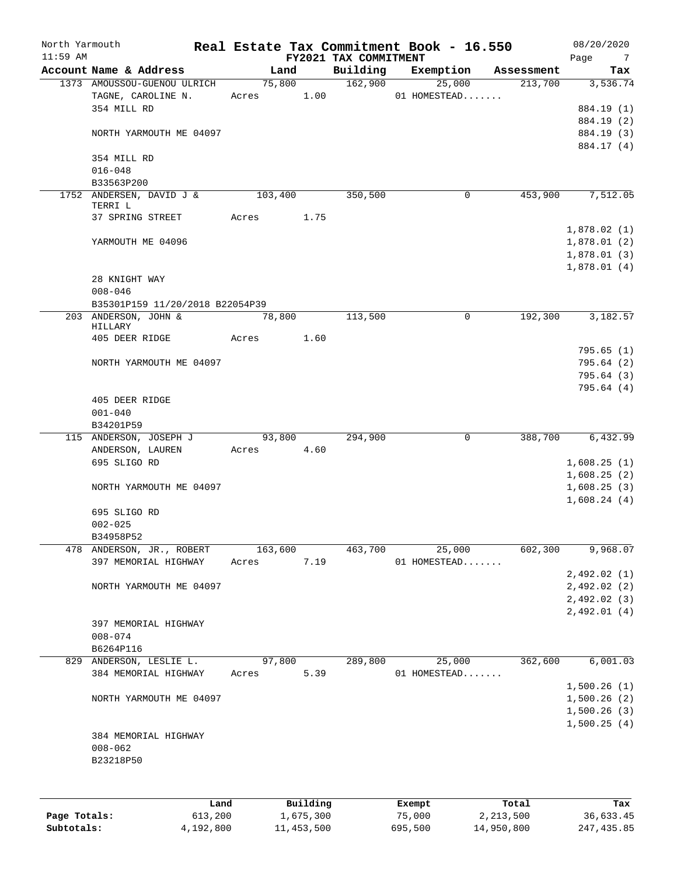| North Yarmouth<br>$11:59$ AM |                                                         |      |         |         |           | FY2021 TAX COMMITMENT | Real Estate Tax Commitment Book - 16.550 |             |             | 08/20/2020<br>Page<br>$\overline{7}$ |
|------------------------------|---------------------------------------------------------|------|---------|---------|-----------|-----------------------|------------------------------------------|-------------|-------------|--------------------------------------|
|                              | Account Name & Address                                  |      |         | Land    |           | Building              | Exemption                                |             | Assessment  | Tax                                  |
|                              | 1373 AMOUSSOU-GUENOU ULRICH                             |      |         | 75,800  |           | 162,900               |                                          | 25,000      | 213,700     | 3,536.74                             |
|                              | TAGNE, CAROLINE N.                                      |      | Acres   |         | 1.00      |                       | 01 HOMESTEAD                             |             |             |                                      |
|                              | 354 MILL RD                                             |      |         |         |           |                       |                                          |             |             | 884.19 (1)                           |
|                              |                                                         |      |         |         |           |                       |                                          |             |             | 884.19 (2)                           |
|                              | NORTH YARMOUTH ME 04097                                 |      |         |         |           |                       |                                          |             |             | 884.19 (3)                           |
|                              |                                                         |      |         |         |           |                       |                                          |             |             | 884.17 (4)                           |
|                              | 354 MILL RD                                             |      |         |         |           |                       |                                          |             |             |                                      |
|                              | $016 - 048$                                             |      |         |         |           |                       |                                          |             |             |                                      |
|                              | B33563P200                                              |      |         |         |           |                       |                                          |             |             |                                      |
|                              | 1752 ANDERSEN, DAVID J &                                |      |         | 103,400 |           | 350,500               |                                          | $\mathbf 0$ | 453,900     | 7,512.05                             |
|                              | TERRI L                                                 |      |         |         |           |                       |                                          |             |             |                                      |
|                              | 37 SPRING STREET                                        |      | Acres   |         | 1.75      |                       |                                          |             |             |                                      |
|                              | YARMOUTH ME 04096                                       |      |         |         |           |                       |                                          |             |             | 1,878.02(1)                          |
|                              |                                                         |      |         |         |           |                       |                                          |             |             | 1,878.01(2)                          |
|                              |                                                         |      |         |         |           |                       |                                          |             |             | 1,878.01(3)                          |
|                              | 28 KNIGHT WAY                                           |      |         |         |           |                       |                                          |             |             | 1,878.01(4)                          |
|                              | $008 - 046$                                             |      |         |         |           |                       |                                          |             |             |                                      |
|                              |                                                         |      |         |         |           |                       |                                          |             |             |                                      |
|                              | B35301P159 11/20/2018 B22054P39<br>203 ANDERSON, JOHN & |      |         | 78,800  |           | 113,500               |                                          | 0           | 192,300     | 3,182.57                             |
|                              | HILLARY                                                 |      |         |         |           |                       |                                          |             |             |                                      |
|                              | 405 DEER RIDGE                                          |      | Acres   |         | 1.60      |                       |                                          |             |             |                                      |
|                              |                                                         |      |         |         |           |                       |                                          |             |             | 795.65(1)                            |
|                              | NORTH YARMOUTH ME 04097                                 |      |         |         |           |                       |                                          |             |             | 795.64(2)                            |
|                              |                                                         |      |         |         |           |                       |                                          |             |             | 795.64(3)                            |
|                              |                                                         |      |         |         |           |                       |                                          |             |             | 795.64(4)                            |
|                              | 405 DEER RIDGE                                          |      |         |         |           |                       |                                          |             |             |                                      |
|                              | $001 - 040$                                             |      |         |         |           |                       |                                          |             |             |                                      |
|                              | B34201P59                                               |      |         |         |           |                       |                                          |             |             |                                      |
|                              | 115 ANDERSON, JOSEPH J                                  |      |         | 93,800  |           | 294,900               |                                          | 0           | 388,700     | 6,432.99                             |
|                              | ANDERSON, LAUREN                                        |      | Acres   |         | 4.60      |                       |                                          |             |             |                                      |
|                              | 695 SLIGO RD                                            |      |         |         |           |                       |                                          |             |             | 1,608.25(1)                          |
|                              |                                                         |      |         |         |           |                       |                                          |             |             | 1,608.25(2)                          |
|                              | NORTH YARMOUTH ME 04097                                 |      |         |         |           |                       |                                          |             |             | 1,608.25(3)                          |
|                              |                                                         |      |         |         |           |                       |                                          |             |             | 1,608.24(4)                          |
|                              | 695 SLIGO RD                                            |      |         |         |           |                       |                                          |             |             |                                      |
|                              | $002 - 025$                                             |      |         |         |           |                       |                                          |             |             |                                      |
|                              | B34958P52                                               |      |         |         |           |                       |                                          |             |             |                                      |
|                              | 478 ANDERSON, JR., ROBERT                               |      | 163,600 |         |           | 463,700               |                                          | 25,000      | 602,300     | 9,968.07                             |
|                              | 397 MEMORIAL HIGHWAY                                    |      | Acres   |         | 7.19      |                       | 01 HOMESTEAD                             |             |             |                                      |
|                              |                                                         |      |         |         |           |                       |                                          |             |             | 2,492.02(1)                          |
|                              | NORTH YARMOUTH ME 04097                                 |      |         |         |           |                       |                                          |             |             | 2,492.02 (2)                         |
|                              |                                                         |      |         |         |           |                       |                                          |             |             | 2,492.02(3)<br>2,492.01(4)           |
|                              | 397 MEMORIAL HIGHWAY                                    |      |         |         |           |                       |                                          |             |             |                                      |
|                              | $008 - 074$                                             |      |         |         |           |                       |                                          |             |             |                                      |
|                              | B6264P116                                               |      |         |         |           |                       |                                          |             |             |                                      |
|                              | 829 ANDERSON, LESLIE L.                                 |      |         | 97,800  |           | 289,800               |                                          | 25,000      | 362,600     | 6,001.03                             |
|                              | 384 MEMORIAL HIGHWAY                                    |      | Acres   |         | 5.39      |                       | 01 HOMESTEAD                             |             |             |                                      |
|                              |                                                         |      |         |         |           |                       |                                          |             |             | 1,500.26(1)                          |
|                              | NORTH YARMOUTH ME 04097                                 |      |         |         |           |                       |                                          |             |             | 1,500.26(2)                          |
|                              |                                                         |      |         |         |           |                       |                                          |             |             | 1,500.26(3)                          |
|                              |                                                         |      |         |         |           |                       |                                          |             |             | 1,500.25(4)                          |
|                              | 384 MEMORIAL HIGHWAY                                    |      |         |         |           |                       |                                          |             |             |                                      |
|                              | $008 - 062$                                             |      |         |         |           |                       |                                          |             |             |                                      |
|                              | B23218P50                                               |      |         |         |           |                       |                                          |             |             |                                      |
|                              |                                                         |      |         |         |           |                       |                                          |             |             |                                      |
|                              |                                                         |      |         |         |           |                       |                                          |             |             |                                      |
|                              |                                                         | Land |         |         | Building  |                       | Exempt                                   |             | Total       | Tax                                  |
| Page Totals:                 | 613,200                                                 |      |         |         | 1,675,300 |                       | 75,000                                   |             | 2, 213, 500 | 36,633.45                            |
|                              |                                                         |      |         |         |           |                       |                                          |             |             |                                      |

**Subtotals:** 4,192,800 11,453,500 695,500 14,950,800 247,435.85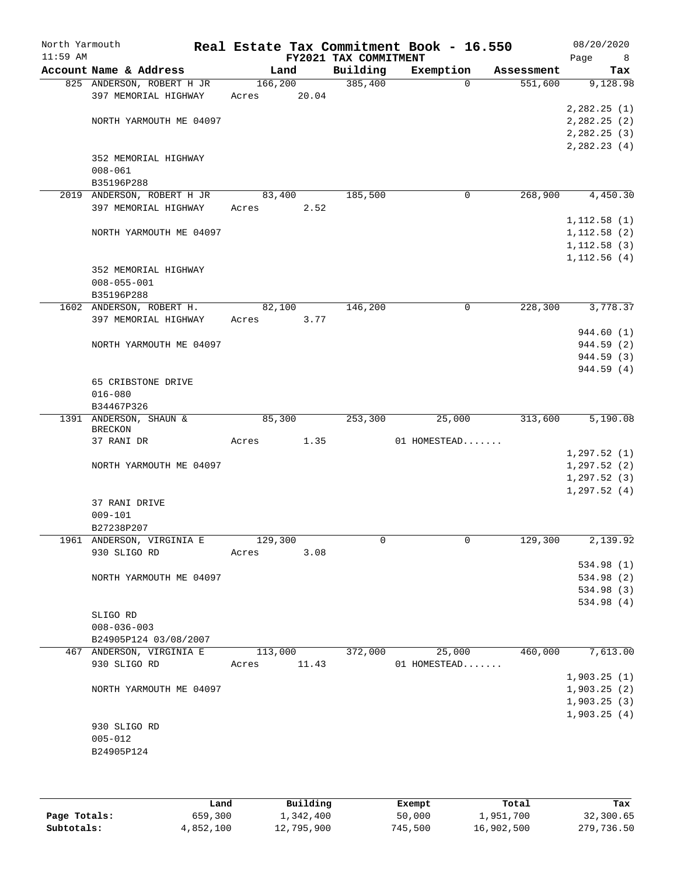| North Yarmouth<br>$11:59$ AM |                            |          |       | FY2021 TAX COMMITMENT | Real Estate Tax Commitment Book - 16.550 |            | 08/20/2020<br>Page<br>8 |
|------------------------------|----------------------------|----------|-------|-----------------------|------------------------------------------|------------|-------------------------|
|                              | Account Name & Address     | Land     |       | Building              | Exemption                                | Assessment | Tax                     |
|                              | 825 ANDERSON, ROBERT H JR  | 166, 200 |       | 385,400               | $\Omega$                                 | 551,600    | 9,128.98                |
|                              | 397 MEMORIAL HIGHWAY       | Acres    | 20.04 |                       |                                          |            |                         |
|                              | NORTH YARMOUTH ME 04097    |          |       |                       |                                          |            | 2,282.25(1)             |
|                              |                            |          |       |                       |                                          |            | 2,282.25(2)             |
|                              |                            |          |       |                       |                                          |            | 2, 282.25(3)            |
|                              | 352 MEMORIAL HIGHWAY       |          |       |                       |                                          |            | 2, 282.23(4)            |
|                              | $008 - 061$                |          |       |                       |                                          |            |                         |
|                              | B35196P288                 |          |       |                       |                                          |            |                         |
|                              | 2019 ANDERSON, ROBERT H JR | 83,400   |       | 185,500               | 0                                        | 268,900    | 4,450.30                |
|                              | 397 MEMORIAL HIGHWAY       | Acres    | 2.52  |                       |                                          |            |                         |
|                              |                            |          |       |                       |                                          |            | 1,112.58(1)             |
|                              | NORTH YARMOUTH ME 04097    |          |       |                       |                                          |            | 1,112.58(2)             |
|                              |                            |          |       |                       |                                          |            | 1,112.58(3)             |
|                              |                            |          |       |                       |                                          |            | 1,112.56(4)             |
|                              | 352 MEMORIAL HIGHWAY       |          |       |                       |                                          |            |                         |
|                              | $008 - 055 - 001$          |          |       |                       |                                          |            |                         |
|                              | B35196P288                 |          |       |                       |                                          |            |                         |
|                              | 1602 ANDERSON, ROBERT H.   | 82,100   |       | 146,200               | 0                                        | 228,300    | 3,778.37                |
|                              | 397 MEMORIAL HIGHWAY       | Acres    | 3.77  |                       |                                          |            |                         |
|                              |                            |          |       |                       |                                          |            | 944.60 (1)              |
|                              | NORTH YARMOUTH ME 04097    |          |       |                       |                                          |            | 944.59 (2)              |
|                              |                            |          |       |                       |                                          |            | 944.59 (3)              |
|                              |                            |          |       |                       |                                          |            | 944.59 (4)              |
|                              | 65 CRIBSTONE DRIVE         |          |       |                       |                                          |            |                         |
|                              | $016 - 080$                |          |       |                       |                                          |            |                         |
|                              | B34467P326                 |          |       |                       |                                          |            |                         |
|                              | 1391 ANDERSON, SHAUN &     | 85,300   |       | 253,300               | 25,000                                   | 313,600    | 5,190.08                |
|                              | <b>BRECKON</b>             |          |       |                       |                                          |            |                         |
|                              | 37 RANI DR                 | Acres    | 1.35  |                       | 01 HOMESTEAD                             |            |                         |
|                              |                            |          |       |                       |                                          |            | 1, 297.52(1)            |
|                              | NORTH YARMOUTH ME 04097    |          |       |                       |                                          |            | 1, 297.52(2)            |
|                              |                            |          |       |                       |                                          |            | 1, 297.52(3)            |
|                              |                            |          |       |                       |                                          |            | 1, 297.52(4)            |
|                              | 37 RANI DRIVE              |          |       |                       |                                          |            |                         |
|                              | $009 - 101$                |          |       |                       |                                          |            |                         |
|                              | B27238P207                 |          |       |                       |                                          |            |                         |
|                              | 1961 ANDERSON, VIRGINIA E  | 129,300  |       | 0                     | 0                                        | 129,300    | 2,139.92                |
|                              | 930 SLIGO RD               | Acres    | 3.08  |                       |                                          |            |                         |
|                              |                            |          |       |                       |                                          |            | 534.98 (1)              |
|                              | NORTH YARMOUTH ME 04097    |          |       |                       |                                          |            | 534.98 (2)              |
|                              |                            |          |       |                       |                                          |            | 534.98 (3)              |
|                              |                            |          |       |                       |                                          |            | 534.98 (4)              |
|                              | SLIGO RD                   |          |       |                       |                                          |            |                         |
|                              | $008 - 036 - 003$          |          |       |                       |                                          |            |                         |
|                              | B24905P124 03/08/2007      |          |       |                       |                                          |            |                         |
|                              | 467 ANDERSON, VIRGINIA E   | 113,000  |       | 372,000               | 25,000                                   | 460,000    | 7,613.00                |
|                              | 930 SLIGO RD               | Acres    | 11.43 |                       | 01 HOMESTEAD                             |            |                         |
|                              |                            |          |       |                       |                                          |            | 1,903.25(1)             |
|                              | NORTH YARMOUTH ME 04097    |          |       |                       |                                          |            | 1,903.25(2)             |
|                              |                            |          |       |                       |                                          |            | 1,903.25(3)             |
|                              |                            |          |       |                       |                                          |            | 1,903.25(4)             |
|                              | 930 SLIGO RD               |          |       |                       |                                          |            |                         |
|                              | $005 - 012$                |          |       |                       |                                          |            |                         |
|                              | B24905P124                 |          |       |                       |                                          |            |                         |
|                              |                            |          |       |                       |                                          |            |                         |
|                              |                            |          |       |                       |                                          |            |                         |
|                              |                            |          |       |                       |                                          |            |                         |

|              | Land      | Building   | Exempt  | Total      | Tax        |
|--------------|-----------|------------|---------|------------|------------|
| Page Totals: | 659,300   | 1,342,400  | 50,000  | 1,951,700  | 32,300.65  |
| Subtotals:   | 4,852,100 | 12,795,900 | 745,500 | 16,902,500 | 279,736.50 |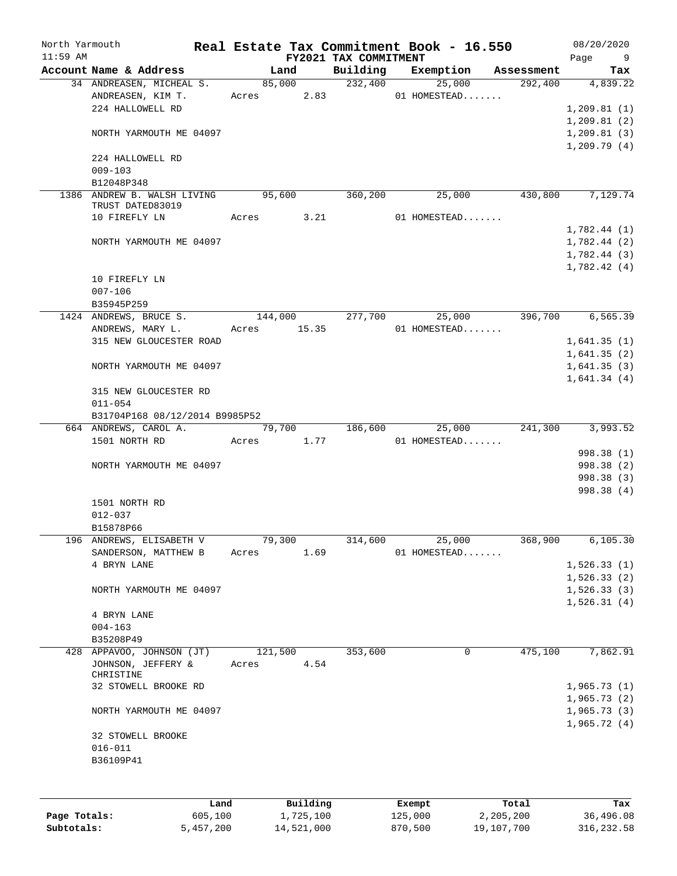| North Yarmouth<br>$11:59$ AM |                                 |       |            | FY2021 TAX COMMITMENT | Real Estate Tax Commitment Book - 16.550 |            | 08/20/2020<br>Page<br>9 |
|------------------------------|---------------------------------|-------|------------|-----------------------|------------------------------------------|------------|-------------------------|
|                              | Account Name & Address          |       | Land       | Building              | Exemption                                | Assessment | Tax                     |
|                              | 34 ANDREASEN, MICHEAL S.        |       | 85,000     | 232,400               | 25,000                                   | 292,400    | 4,839.22                |
|                              | ANDREASEN, KIM T.               |       | Acres 2.83 |                       | 01 HOMESTEAD                             |            |                         |
|                              | 224 HALLOWELL RD                |       |            |                       |                                          |            | 1,209.81(1)             |
|                              |                                 |       |            |                       |                                          |            | 1,209.81(2)             |
|                              | NORTH YARMOUTH ME 04097         |       |            |                       |                                          |            | 1,209.81(3)             |
|                              |                                 |       |            |                       |                                          |            | 1,209.79(4)             |
|                              | 224 HALLOWELL RD                |       |            |                       |                                          |            |                         |
|                              | $009 - 103$                     |       |            |                       |                                          |            |                         |
|                              | B12048P348                      |       |            |                       |                                          |            |                         |
|                              | 1386 ANDREW B. WALSH LIVING     |       | 95,600     | 360,200               | 25,000                                   | 430,800    | 7,129.74                |
|                              | TRUST DATED83019                |       |            |                       |                                          |            |                         |
|                              | 10 FIREFLY LN                   | Acres | 3.21       |                       | 01 HOMESTEAD                             |            |                         |
|                              |                                 |       |            |                       |                                          |            | 1,782.44(1)             |
|                              | NORTH YARMOUTH ME 04097         |       |            |                       |                                          |            | 1,782.44(2)             |
|                              |                                 |       |            |                       |                                          |            | 1,782.44(3)             |
|                              |                                 |       |            |                       |                                          |            | 1,782.42(4)             |
|                              | 10 FIREFLY LN                   |       |            |                       |                                          |            |                         |
|                              | $007 - 106$                     |       |            |                       |                                          |            |                         |
|                              | B35945P259                      |       |            |                       |                                          |            |                         |
|                              | 1424 ANDREWS, BRUCE S.          |       | 144,000    | 277,700               | 25,000                                   | 396,700    | 6, 565.39               |
|                              | ANDREWS, MARY L.                | Acres | 15.35      |                       | 01 HOMESTEAD                             |            |                         |
|                              | 315 NEW GLOUCESTER ROAD         |       |            |                       |                                          |            | 1,641.35(1)             |
|                              |                                 |       |            |                       |                                          |            | 1,641.35(2)             |
|                              | NORTH YARMOUTH ME 04097         |       |            |                       |                                          |            | 1,641.35(3)             |
|                              |                                 |       |            |                       |                                          |            | 1,641.34(4)             |
|                              | 315 NEW GLOUCESTER RD           |       |            |                       |                                          |            |                         |
|                              | $011 - 054$                     |       |            |                       |                                          |            |                         |
|                              | B31704P168 08/12/2014 B9985P52  |       |            |                       |                                          |            |                         |
|                              | 664 ANDREWS, CAROL A.           |       | 79,700     | 186,600               | 25,000                                   | 241,300    | 3,993.52                |
|                              | 1501 NORTH RD                   | Acres | 1.77       |                       | 01 HOMESTEAD                             |            |                         |
|                              |                                 |       |            |                       |                                          |            | 998.38 (1)              |
|                              | NORTH YARMOUTH ME 04097         |       |            |                       |                                          |            | 998.38 (2)              |
|                              |                                 |       |            |                       |                                          |            | 998.38 (3)              |
|                              |                                 |       |            |                       |                                          |            | 998.38 (4)              |
|                              | 1501 NORTH RD                   |       |            |                       |                                          |            |                         |
|                              | $012 - 037$                     |       |            |                       |                                          |            |                         |
|                              | B15878P66                       |       |            |                       |                                          |            |                         |
|                              | 196 ANDREWS, ELISABETH V        |       | 79,300     | 314,600               | 25,000                                   | 368,900    | 6, 105.30               |
|                              | SANDERSON, MATTHEW B            | Acres | 1.69       |                       | 01 HOMESTEAD                             |            |                         |
|                              | 4 BRYN LANE                     |       |            |                       |                                          |            | 1,526.33(1)             |
|                              |                                 |       |            |                       |                                          |            |                         |
|                              |                                 |       |            |                       |                                          |            | 1,526.33(2)             |
|                              | NORTH YARMOUTH ME 04097         |       |            |                       |                                          |            | 1,526.33(3)             |
|                              |                                 |       |            |                       |                                          |            | 1,526.31(4)             |
|                              | 4 BRYN LANE                     |       |            |                       |                                          |            |                         |
|                              | $004 - 163$                     |       |            |                       |                                          |            |                         |
|                              | B35208P49                       |       |            |                       |                                          |            |                         |
|                              | 428 APPAVOO, JOHNSON (JT)       |       | 121,500    | 353,600               | 0                                        | 475,100    | 7,862.91                |
|                              | JOHNSON, JEFFERY &<br>CHRISTINE | Acres | 4.54       |                       |                                          |            |                         |
|                              | 32 STOWELL BROOKE RD            |       |            |                       |                                          |            | 1,965.73(1)             |
|                              |                                 |       |            |                       |                                          |            | 1,965.73(2)             |
|                              |                                 |       |            |                       |                                          |            |                         |
|                              | NORTH YARMOUTH ME 04097         |       |            |                       |                                          |            | 1,965.73(3)             |
|                              |                                 |       |            |                       |                                          |            | 1,965.72(4)             |
|                              | 32 STOWELL BROOKE               |       |            |                       |                                          |            |                         |
|                              | $016 - 011$                     |       |            |                       |                                          |            |                         |
|                              | B36109P41                       |       |            |                       |                                          |            |                         |
|                              |                                 |       |            |                       |                                          |            |                         |
|                              |                                 |       |            |                       |                                          |            |                         |
|                              | Land                            |       | Building   |                       | Exempt                                   | Total      | Tax                     |

|              | -----     | --------   | ------- | -----      | .          |
|--------------|-----------|------------|---------|------------|------------|
| Page Totals: | 605,100   | 1,725,100  | 125,000 | 2,205,200  | 36,496.08  |
| Subtotals:   | 5,457,200 | 14,521,000 | 870,500 | 19,107,700 | 316,232.58 |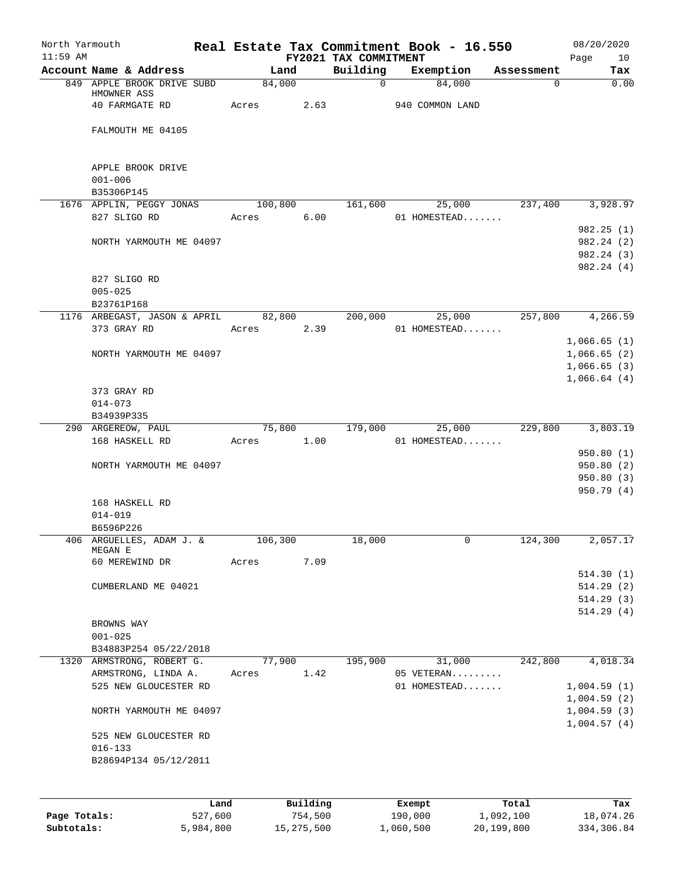| North Yarmouth<br>$11:59$ AM |                                      |         |          | FY2021 TAX COMMITMENT | Real Estate Tax Commitment Book - 16.550 |            | 08/20/2020<br>Page<br>10 |
|------------------------------|--------------------------------------|---------|----------|-----------------------|------------------------------------------|------------|--------------------------|
|                              | Account Name & Address               | Land    |          | Building              | Exemption                                | Assessment | Tax                      |
|                              | 849 APPLE BROOK DRIVE SUBD           | 84,000  |          | $\mathbf 0$           | 84,000                                   | 0          | 0.00                     |
|                              | HMOWNER ASS                          |         |          |                       |                                          |            |                          |
|                              | 40 FARMGATE RD                       | Acres   | 2.63     |                       | 940 COMMON LAND                          |            |                          |
|                              | FALMOUTH ME 04105                    |         |          |                       |                                          |            |                          |
|                              |                                      |         |          |                       |                                          |            |                          |
|                              | APPLE BROOK DRIVE                    |         |          |                       |                                          |            |                          |
|                              | $001 - 006$                          |         |          |                       |                                          |            |                          |
|                              | B35306P145                           |         |          |                       |                                          |            |                          |
|                              | 1676 APPLIN, PEGGY JONAS             | 100,800 |          | 161,600               | 25,000                                   | 237,400    | 3,928.97                 |
|                              | 827 SLIGO RD                         | Acres   | 6.00     |                       | 01 HOMESTEAD                             |            |                          |
|                              |                                      |         |          |                       |                                          |            | 982.25(1)                |
|                              | NORTH YARMOUTH ME 04097              |         |          |                       |                                          |            | 982.24 (2)               |
|                              |                                      |         |          |                       |                                          |            | 982.24 (3)               |
|                              |                                      |         |          |                       |                                          |            | 982.24 (4)               |
|                              | 827 SLIGO RD<br>$005 - 025$          |         |          |                       |                                          |            |                          |
|                              | B23761P168                           |         |          |                       |                                          |            |                          |
|                              | 1176 ARBEGAST, JASON & APRIL         | 82,800  |          | 200,000               | 25,000                                   | 257,800    | 4,266.59                 |
|                              | 373 GRAY RD                          | Acres   | 2.39     |                       | 01 HOMESTEAD                             |            |                          |
|                              |                                      |         |          |                       |                                          |            | 1,066.65(1)              |
|                              | NORTH YARMOUTH ME 04097              |         |          |                       |                                          |            | 1,066.65(2)              |
|                              |                                      |         |          |                       |                                          |            | 1,066.65(3)              |
|                              |                                      |         |          |                       |                                          |            | 1,066.64(4)              |
|                              | 373 GRAY RD                          |         |          |                       |                                          |            |                          |
|                              | $014 - 073$                          |         |          |                       |                                          |            |                          |
|                              | B34939P335                           |         |          |                       |                                          |            |                          |
|                              | 290 ARGEREOW, PAUL                   | 75,800  |          | 179,000               | 25,000                                   | 229,800    | 3,803.19                 |
|                              | 168 HASKELL RD                       | Acres   | 1.00     |                       | 01 HOMESTEAD                             |            |                          |
|                              | NORTH YARMOUTH ME 04097              |         |          |                       |                                          |            | 950.80(1)<br>950.80(2)   |
|                              |                                      |         |          |                       |                                          |            | 950.80(3)                |
|                              |                                      |         |          |                       |                                          |            | 950.79(4)                |
|                              | 168 HASKELL RD                       |         |          |                       |                                          |            |                          |
|                              | $014 - 019$                          |         |          |                       |                                          |            |                          |
|                              | B6596P226                            |         |          |                       |                                          |            |                          |
| 406                          | ARGUELLES, ADAM J. &                 | 106,300 |          | 18,000                | 0                                        | 124,300    | 2,057.17                 |
|                              | MEGAN E<br>60 MEREWIND DR            | Acres   | 7.09     |                       |                                          |            |                          |
|                              |                                      |         |          |                       |                                          |            | 514.30(1)                |
|                              | CUMBERLAND ME 04021                  |         |          |                       |                                          |            | 514.29(2)                |
|                              |                                      |         |          |                       |                                          |            | 514.29(3)                |
|                              |                                      |         |          |                       |                                          |            | 514.29(4)                |
|                              | BROWNS WAY                           |         |          |                       |                                          |            |                          |
|                              | $001 - 025$                          |         |          |                       |                                          |            |                          |
|                              | B34883P254 05/22/2018                |         |          |                       |                                          |            |                          |
|                              | 1320 ARMSTRONG, ROBERT G.            | 77,900  |          | 195,900               | 31,000                                   | 242,800    | 4,018.34                 |
|                              | ARMSTRONG, LINDA A.                  | Acres   | 1.42     |                       | 05 VETERAN                               |            |                          |
|                              | 525 NEW GLOUCESTER RD                |         |          |                       | 01 HOMESTEAD                             |            | 1,004.59(1)              |
|                              |                                      |         |          |                       |                                          |            | 1,004.59(2)              |
|                              | NORTH YARMOUTH ME 04097              |         |          |                       |                                          |            | 1,004.59(3)              |
|                              |                                      |         |          |                       |                                          |            | 1,004.57(4)              |
|                              | 525 NEW GLOUCESTER RD<br>$016 - 133$ |         |          |                       |                                          |            |                          |
|                              | B28694P134 05/12/2011                |         |          |                       |                                          |            |                          |
|                              |                                      |         |          |                       |                                          |            |                          |
|                              |                                      |         |          |                       |                                          |            |                          |
|                              | Land                                 |         | Building |                       | Exempt                                   | Total      | Tax                      |
| Page Totals:                 | 527,600                              |         | 754,500  |                       | 190,000                                  | 1,092,100  | 18,074.26                |

**Subtotals:** 5,984,800 15,275,500 1,060,500 20,199,800 334,306.84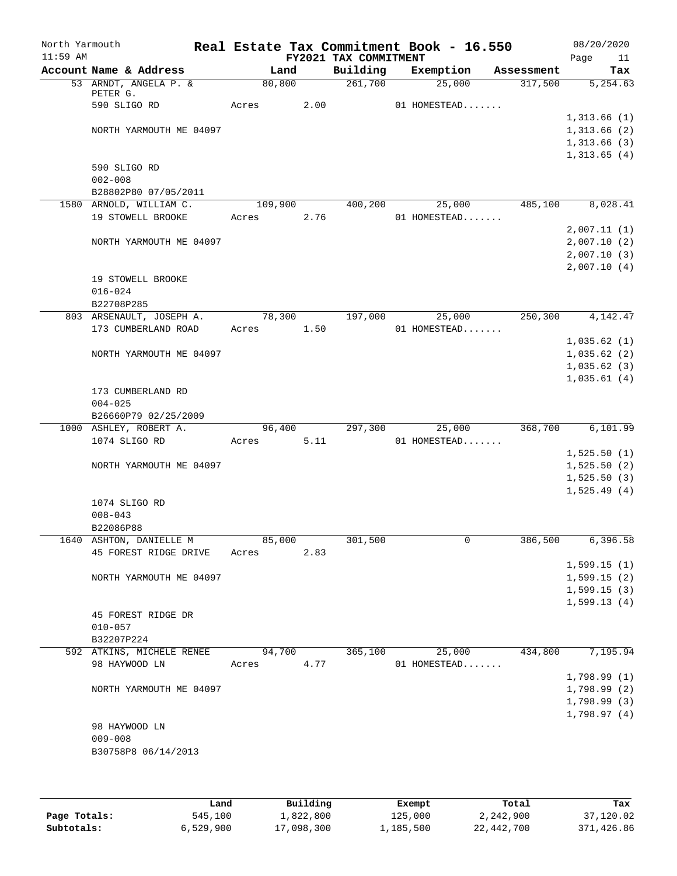| North Yarmouth<br>$11:59$ AM |                                   |         |      | FY2021 TAX COMMITMENT | Real Estate Tax Commitment Book - 16.550 |            | 08/20/2020<br>Page | 11        |
|------------------------------|-----------------------------------|---------|------|-----------------------|------------------------------------------|------------|--------------------|-----------|
|                              | Account Name & Address            | Land    |      | Building              | Exemption                                | Assessment |                    | Tax       |
|                              | 53 ARNDT, ANGELA P. &<br>PETER G. | 80, 800 |      | 261,700               | 25,000                                   | 317,500    |                    | 5, 254.63 |
|                              | 590 SLIGO RD                      | Acres   | 2.00 |                       | 01 HOMESTEAD                             |            |                    |           |
|                              |                                   |         |      |                       |                                          |            | 1,313.66(1)        |           |
|                              | NORTH YARMOUTH ME 04097           |         |      |                       |                                          |            | 1,313.66(2)        |           |
|                              |                                   |         |      |                       |                                          |            | 1,313.66(3)        |           |
|                              |                                   |         |      |                       |                                          |            | 1,313.65(4)        |           |
|                              | 590 SLIGO RD                      |         |      |                       |                                          |            |                    |           |
|                              | $002 - 008$                       |         |      |                       |                                          |            |                    |           |
|                              | B28802P80 07/05/2011              |         |      |                       |                                          |            |                    |           |
|                              | 1580 ARNOLD, WILLIAM C.           | 109,900 |      | 400,200               | 25,000                                   | 485,100    |                    | 8,028.41  |
|                              | 19 STOWELL BROOKE                 | Acres   | 2.76 |                       | 01 HOMESTEAD                             |            |                    |           |
|                              |                                   |         |      |                       |                                          |            | 2,007.11(1)        |           |
|                              | NORTH YARMOUTH ME 04097           |         |      |                       |                                          |            | 2,007.10(2)        |           |
|                              |                                   |         |      |                       |                                          |            | 2,007.10(3)        |           |
|                              |                                   |         |      |                       |                                          |            | 2,007.10(4)        |           |
|                              | 19 STOWELL BROOKE                 |         |      |                       |                                          |            |                    |           |
|                              | $016 - 024$                       |         |      |                       |                                          |            |                    |           |
|                              | B22708P285                        |         |      |                       |                                          |            |                    |           |
|                              | 803 ARSENAULT, JOSEPH A.          | 78,300  |      | 197,000               | 25,000                                   | 250,300    |                    | 4,142.47  |
|                              | 173 CUMBERLAND ROAD               | Acres   | 1.50 |                       | 01 HOMESTEAD                             |            |                    |           |
|                              |                                   |         |      |                       |                                          |            | 1,035.62(1)        |           |
|                              | NORTH YARMOUTH ME 04097           |         |      |                       |                                          |            | 1,035.62(2)        |           |
|                              |                                   |         |      |                       |                                          |            | 1,035.62(3)        |           |
|                              |                                   |         |      |                       |                                          |            | 1,035.61(4)        |           |
|                              | 173 CUMBERLAND RD                 |         |      |                       |                                          |            |                    |           |
|                              | $004 - 025$                       |         |      |                       |                                          |            |                    |           |
|                              | B26660P79 02/25/2009              |         |      |                       |                                          |            |                    |           |
|                              | 1000 ASHLEY, ROBERT A.            | 96,400  |      | 297,300               | 25,000                                   | 368,700    |                    | 6,101.99  |
|                              | 1074 SLIGO RD                     | Acres   | 5.11 |                       | 01 HOMESTEAD                             |            |                    |           |
|                              |                                   |         |      |                       |                                          |            | 1,525.50(1)        |           |
|                              | NORTH YARMOUTH ME 04097           |         |      |                       |                                          |            | 1,525.50(2)        |           |
|                              |                                   |         |      |                       |                                          |            | 1,525.50(3)        |           |
|                              | 1074 SLIGO RD                     |         |      |                       |                                          |            | 1,525.49(4)        |           |
|                              | $008 - 043$                       |         |      |                       |                                          |            |                    |           |
|                              | B22086P88                         |         |      |                       |                                          |            |                    |           |
|                              | 1640 ASHTON, DANIELLE M           | 85,000  |      | 301,500               | 0                                        | 386,500    |                    | 6,396.58  |
|                              | 45 FOREST RIDGE DRIVE             | Acres   | 2.83 |                       |                                          |            |                    |           |
|                              |                                   |         |      |                       |                                          |            | 1,599.15(1)        |           |
|                              | NORTH YARMOUTH ME 04097           |         |      |                       |                                          |            | 1,599.15(2)        |           |
|                              |                                   |         |      |                       |                                          |            | 1,599.15(3)        |           |
|                              |                                   |         |      |                       |                                          |            | 1,599.13(4)        |           |
|                              | 45 FOREST RIDGE DR                |         |      |                       |                                          |            |                    |           |
|                              | $010 - 057$                       |         |      |                       |                                          |            |                    |           |
|                              | B32207P224                        |         |      |                       |                                          |            |                    |           |
|                              | 592 ATKINS, MICHELE RENEE         | 94,700  |      | 365,100               | 25,000                                   | 434,800    |                    | 7,195.94  |
|                              | 98 HAYWOOD LN                     | Acres   | 4.77 |                       | 01 HOMESTEAD                             |            |                    |           |
|                              |                                   |         |      |                       |                                          |            | 1,798.99(1)        |           |
|                              | NORTH YARMOUTH ME 04097           |         |      |                       |                                          |            | 1,798.99(2)        |           |
|                              |                                   |         |      |                       |                                          |            | 1,798.99(3)        |           |
|                              |                                   |         |      |                       |                                          |            | 1,798.97(4)        |           |
|                              | 98 HAYWOOD LN                     |         |      |                       |                                          |            |                    |           |
|                              | $009 - 008$                       |         |      |                       |                                          |            |                    |           |
|                              | B30758P8 06/14/2013               |         |      |                       |                                          |            |                    |           |
|                              |                                   |         |      |                       |                                          |            |                    |           |
|                              |                                   |         |      |                       |                                          |            |                    |           |

|              | Land      | Building   | Exempt    | Total      | Tax        |
|--------------|-----------|------------|-----------|------------|------------|
| Page Totals: | 545,100   | 1,822,800  | 125,000   | 2,242,900  | 37,120.02  |
| Subtotals:   | 6,529,900 | 17,098,300 | 1,185,500 | 22,442,700 | 371,426.86 |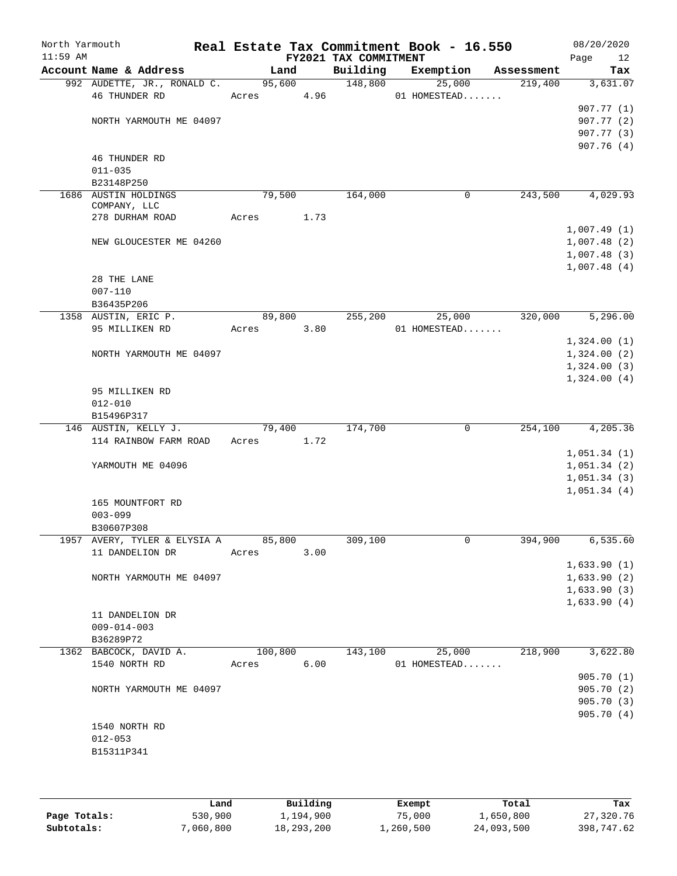| North Yarmouth<br>$11:59$ AM |                              |            |        |      | FY2021 TAX COMMITMENT | Real Estate Tax Commitment Book - 16.550 |            | 08/20/2020<br>Page<br>12 |
|------------------------------|------------------------------|------------|--------|------|-----------------------|------------------------------------------|------------|--------------------------|
|                              | Account Name & Address       |            | Land   |      | Building              | Exemption                                | Assessment | Tax                      |
|                              | 992 AUDETTE, JR., RONALD C.  | 95,600     |        |      | 148,800               | 25,000                                   | 219,400    | 3,631.07                 |
|                              | 46 THUNDER RD                | Acres 4.96 |        |      |                       | 01 HOMESTEAD                             |            |                          |
|                              |                              |            |        |      |                       |                                          |            | 907.77 (1)               |
|                              | NORTH YARMOUTH ME 04097      |            |        |      |                       |                                          |            | 907.77(2)                |
|                              |                              |            |        |      |                       |                                          |            | 907.77 (3)               |
|                              | 46 THUNDER RD                |            |        |      |                       |                                          |            | 907.76(4)                |
|                              | $011 - 035$                  |            |        |      |                       |                                          |            |                          |
|                              | B23148P250                   |            |        |      |                       |                                          |            |                          |
|                              | 1686 AUSTIN HOLDINGS         |            | 79,500 |      | 164,000               | $\mathbf 0$                              | 243,500    | 4,029.93                 |
|                              | COMPANY, LLC                 |            |        |      |                       |                                          |            |                          |
|                              | 278 DURHAM ROAD              | Acres      |        | 1.73 |                       |                                          |            |                          |
|                              |                              |            |        |      |                       |                                          |            | 1,007.49(1)              |
|                              | NEW GLOUCESTER ME 04260      |            |        |      |                       |                                          |            | 1,007.48(2)              |
|                              |                              |            |        |      |                       |                                          |            | 1,007.48(3)              |
|                              |                              |            |        |      |                       |                                          |            | 1,007.48(4)              |
|                              | 28 THE LANE                  |            |        |      |                       |                                          |            |                          |
|                              | $007 - 110$<br>B36435P206    |            |        |      |                       |                                          |            |                          |
|                              | 1358 AUSTIN, ERIC P.         | 89,800     |        |      | 255,200               | 25,000                                   | 320,000    | 5,296.00                 |
|                              | 95 MILLIKEN RD               | Acres      |        | 3.80 |                       | 01 HOMESTEAD                             |            |                          |
|                              |                              |            |        |      |                       |                                          |            | 1,324.00(1)              |
|                              | NORTH YARMOUTH ME 04097      |            |        |      |                       |                                          |            | 1,324.00(2)              |
|                              |                              |            |        |      |                       |                                          |            | 1,324.00(3)              |
|                              |                              |            |        |      |                       |                                          |            | 1,324.00(4)              |
|                              | 95 MILLIKEN RD               |            |        |      |                       |                                          |            |                          |
|                              | $012 - 010$                  |            |        |      |                       |                                          |            |                          |
|                              | B15496P317                   |            |        |      |                       |                                          |            |                          |
|                              | 146 AUSTIN, KELLY J.         |            | 79,400 |      | 174,700               | 0                                        | 254,100    | 4,205.36                 |
|                              | 114 RAINBOW FARM ROAD        | Acres      |        | 1.72 |                       |                                          |            |                          |
|                              |                              |            |        |      |                       |                                          |            | 1,051.34(1)              |
|                              | YARMOUTH ME 04096            |            |        |      |                       |                                          |            | 1,051.34(2)              |
|                              |                              |            |        |      |                       |                                          |            | 1,051.34(3)              |
|                              |                              |            |        |      |                       |                                          |            | 1,051.34(4)              |
|                              | 165 MOUNTFORT RD             |            |        |      |                       |                                          |            |                          |
|                              | $003 - 099$<br>B30607P308    |            |        |      |                       |                                          |            |                          |
|                              | 1957 AVERY, TYLER & ELYSIA A | 85,800     |        |      | 309,100               | 0                                        | 394,900    | 6, 535.60                |
|                              | 11 DANDELION DR              | Acres      |        | 3.00 |                       |                                          |            |                          |
|                              |                              |            |        |      |                       |                                          |            | 1,633.90(1)              |
|                              | NORTH YARMOUTH ME 04097      |            |        |      |                       |                                          |            | 1,633.90(2)              |
|                              |                              |            |        |      |                       |                                          |            | 1,633.90(3)              |
|                              |                              |            |        |      |                       |                                          |            | 1,633.90(4)              |
|                              | 11 DANDELION DR              |            |        |      |                       |                                          |            |                          |
|                              | $009 - 014 - 003$            |            |        |      |                       |                                          |            |                          |
|                              | B36289P72                    |            |        |      |                       |                                          |            |                          |
|                              | 1362 BABCOCK, DAVID A.       | 100,800    |        |      | 143,100               | 25,000                                   | 218,900    | 3,622.80                 |
|                              | 1540 NORTH RD                | Acres      |        | 6.00 |                       | 01 HOMESTEAD                             |            |                          |
|                              |                              |            |        |      |                       |                                          |            | 905.70(1)                |
|                              | NORTH YARMOUTH ME 04097      |            |        |      |                       |                                          |            | 905.70(2)                |
|                              |                              |            |        |      |                       |                                          |            | 905.70 (3)               |
|                              |                              |            |        |      |                       |                                          |            | 905.70(4)                |
|                              | 1540 NORTH RD                |            |        |      |                       |                                          |            |                          |
|                              | $012 - 053$                  |            |        |      |                       |                                          |            |                          |
|                              | B15311P341                   |            |        |      |                       |                                          |            |                          |
|                              |                              |            |        |      |                       |                                          |            |                          |

|              | Land      | Building   | Exempt    | Total      | Tax        |
|--------------|-----------|------------|-----------|------------|------------|
| Page Totals: | 530,900   | 1,194,900  | 75,000    | 1,650,800  | 27,320.76  |
| Subtotals:   | 7,060,800 | 18,293,200 | 1,260,500 | 24,093,500 | 398,747.62 |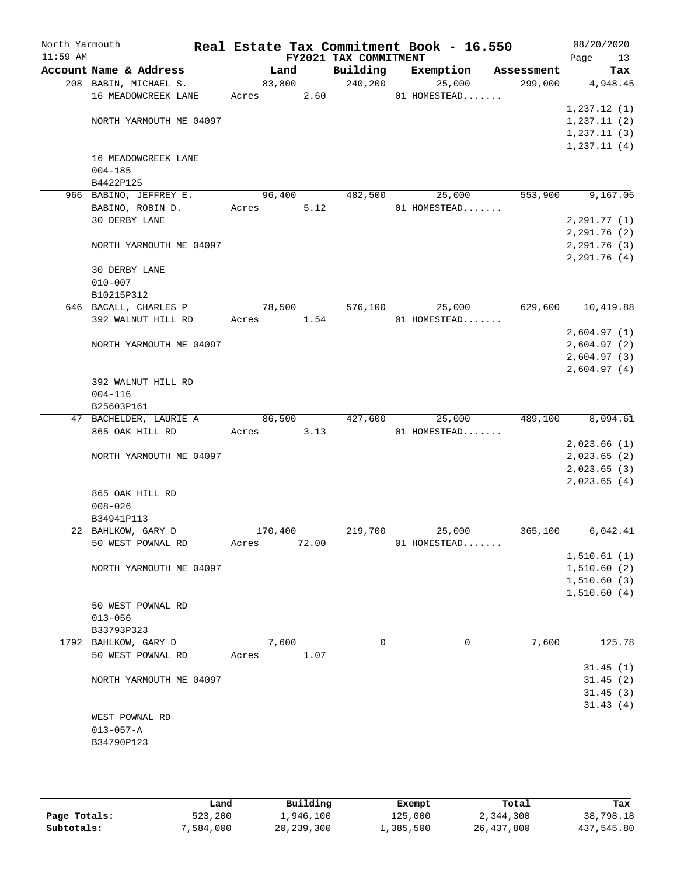| North Yarmouth<br>$11:59$ AM |                           |            |        | Real Estate Tax Commitment Book - 16.550<br>FY2021 TAX COMMITMENT |           |              |            | 08/20/2020        |
|------------------------------|---------------------------|------------|--------|-------------------------------------------------------------------|-----------|--------------|------------|-------------------|
|                              | Account Name & Address    |            | Land   | Building                                                          | Exemption |              | Assessment | 13<br>Page<br>Tax |
|                              | 208 BABIN, MICHAEL S.     |            | 83,800 | 240,200                                                           |           | 25,000       | 299,000    | 4,948.45          |
|                              | 16 MEADOWCREEK LANE       | Acres      | 2.60   |                                                                   |           | 01 HOMESTEAD |            |                   |
|                              |                           |            |        |                                                                   |           |              |            | 1,237.12(1)       |
|                              | NORTH YARMOUTH ME 04097   |            |        |                                                                   |           |              |            | 1, 237.11(2)      |
|                              |                           |            |        |                                                                   |           |              |            | 1,237.11(3)       |
|                              |                           |            |        |                                                                   |           |              |            | 1,237.11(4)       |
|                              | 16 MEADOWCREEK LANE       |            |        |                                                                   |           |              |            |                   |
|                              | $004 - 185$               |            |        |                                                                   |           |              |            |                   |
|                              | B4422P125                 |            |        |                                                                   |           |              |            |                   |
|                              | 966 BABINO, JEFFREY E.    |            | 96,400 | 482,500                                                           |           | 25,000       | 553,900    | 9,167.05          |
|                              | BABINO, ROBIN D.          | Acres      | 5.12   |                                                                   |           | 01 HOMESTEAD |            |                   |
|                              | <b>30 DERBY LANE</b>      |            |        |                                                                   |           |              |            | 2, 291.77(1)      |
|                              |                           |            |        |                                                                   |           |              |            | 2,291.76(2)       |
|                              | NORTH YARMOUTH ME 04097   |            |        |                                                                   |           |              |            | 2, 291.76(3)      |
|                              |                           |            |        |                                                                   |           |              |            | 2,291.76 (4)      |
|                              | 30 DERBY LANE             |            |        |                                                                   |           |              |            |                   |
|                              | $010 - 007$               |            |        |                                                                   |           |              |            |                   |
|                              | B10215P312                |            |        |                                                                   |           |              |            |                   |
|                              | 646 BACALL, CHARLES P     |            | 78,500 | 576,100                                                           |           | 25,000       | 629,600    | 10,419.88         |
|                              | 392 WALNUT HILL RD        | Acres 1.54 |        |                                                                   |           | 01 HOMESTEAD |            |                   |
|                              |                           |            |        |                                                                   |           |              |            | 2,604.97(1)       |
|                              | NORTH YARMOUTH ME 04097   |            |        |                                                                   |           |              |            | 2,604.97(2)       |
|                              |                           |            |        |                                                                   |           |              |            | 2,604.97(3)       |
|                              |                           |            |        |                                                                   |           |              |            | 2,604.97(4)       |
|                              | 392 WALNUT HILL RD        |            |        |                                                                   |           |              |            |                   |
|                              | $004 - 116$<br>B25603P161 |            |        |                                                                   |           |              |            |                   |
|                              | 47 BACHELDER, LAURIE A    |            | 86,500 | 427,600                                                           |           | 25,000       | 489,100    | 8,094.61          |
|                              | 865 OAK HILL RD           | Acres      | 3.13   |                                                                   |           | 01 HOMESTEAD |            |                   |
|                              |                           |            |        |                                                                   |           |              |            | 2,023.66(1)       |
|                              | NORTH YARMOUTH ME 04097   |            |        |                                                                   |           |              |            | 2,023.65(2)       |
|                              |                           |            |        |                                                                   |           |              |            | 2,023.65(3)       |
|                              |                           |            |        |                                                                   |           |              |            | 2,023.65(4)       |
|                              | 865 OAK HILL RD           |            |        |                                                                   |           |              |            |                   |
|                              | $008 - 026$               |            |        |                                                                   |           |              |            |                   |
|                              | B34941P113                |            |        |                                                                   |           |              |            |                   |
|                              | 22 BAHLKOW, GARY D        | 170,400    |        | 219,700                                                           |           | 25,000       | 365,100    | 6,042.41          |
|                              | 50 WEST POWNAL RD         | Acres      | 72.00  |                                                                   |           | 01 HOMESTEAD |            |                   |
|                              |                           |            |        |                                                                   |           |              |            | 1,510.61(1)       |
|                              | NORTH YARMOUTH ME 04097   |            |        |                                                                   |           |              |            | 1,510.60(2)       |
|                              |                           |            |        |                                                                   |           |              |            | 1, 510.60(3)      |
|                              |                           |            |        |                                                                   |           |              |            | 1,510.60(4)       |
|                              | 50 WEST POWNAL RD         |            |        |                                                                   |           |              |            |                   |
|                              | $013 - 056$               |            |        |                                                                   |           |              |            |                   |
|                              | B33793P323                |            |        |                                                                   |           |              |            |                   |
|                              | 1792 BAHLKOW, GARY D      |            | 7,600  | 0                                                                 |           | 0            | 7,600      | 125.78            |
|                              | 50 WEST POWNAL RD         | Acres      | 1.07   |                                                                   |           |              |            |                   |
|                              |                           |            |        |                                                                   |           |              |            | 31.45(1)          |
|                              | NORTH YARMOUTH ME 04097   |            |        |                                                                   |           |              |            | 31.45(2)          |
|                              |                           |            |        |                                                                   |           |              |            | 31.45(3)          |
|                              |                           |            |        |                                                                   |           |              |            | 31.43(4)          |
|                              | WEST POWNAL RD            |            |        |                                                                   |           |              |            |                   |
|                              | $013 - 057 - A$           |            |        |                                                                   |           |              |            |                   |
|                              | B34790P123                |            |        |                                                                   |           |              |            |                   |
|                              |                           |            |        |                                                                   |           |              |            |                   |
|                              |                           |            |        |                                                                   |           |              |            |                   |

|              | Land      | Building     | Exempt    | Total      | Tax        |
|--------------|-----------|--------------|-----------|------------|------------|
| Page Totals: | 523,200   | 1,946,100    | 125,000   | 2,344,300  | 38,798.18  |
| Subtotals:   | 7,584,000 | 20, 239, 300 | 1,385,500 | 26,437,800 | 437,545.80 |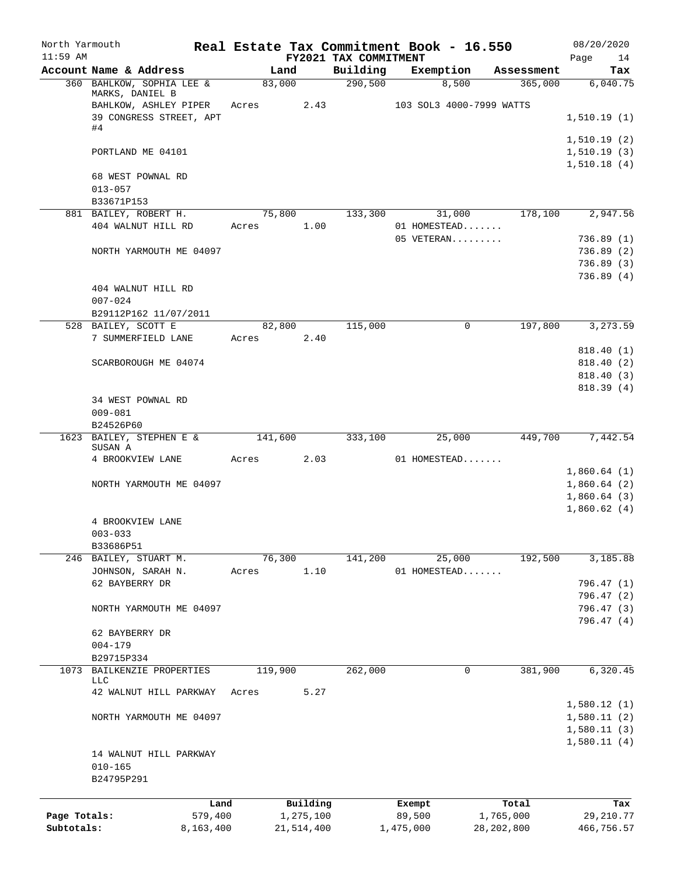| North Yarmouth<br>$11:59$ AM |                                       |           |         |            | FY2021 TAX COMMITMENT | Real Estate Tax Commitment Book - 16.550 |              | 08/20/2020<br>Page         |
|------------------------------|---------------------------------------|-----------|---------|------------|-----------------------|------------------------------------------|--------------|----------------------------|
|                              | Account Name & Address                |           |         | Land       | Building              | Exemption                                | Assessment   | 14<br>Tax                  |
|                              | 360 BAHLKOW, SOPHIA LEE &             |           | 83,000  |            | 290,500               | 8,500                                    | 365,000      | 6,040.75                   |
|                              | MARKS, DANIEL B                       |           |         |            |                       |                                          |              |                            |
|                              | BAHLKOW, ASHLEY PIPER                 |           | Acres   | 2.43       |                       | 103 SOL3 4000-7999 WATTS                 |              |                            |
|                              | 39 CONGRESS STREET, APT<br>#4         |           |         |            |                       |                                          |              | 1,510.19(1)                |
|                              |                                       |           |         |            |                       |                                          |              | 1,510.19(2)                |
|                              | PORTLAND ME 04101                     |           |         |            |                       |                                          |              | 1,510.19(3)                |
|                              |                                       |           |         |            |                       |                                          |              | 1,510.18(4)                |
|                              | 68 WEST POWNAL RD                     |           |         |            |                       |                                          |              |                            |
|                              | $013 - 057$                           |           |         |            |                       |                                          |              |                            |
|                              | B33671P153                            |           |         |            |                       |                                          |              |                            |
|                              | 881 BAILEY, ROBERT H.                 |           | 75,800  |            | 133,300               | 31,000                                   | 178,100      | 2,947.56                   |
|                              | 404 WALNUT HILL RD                    |           | Acres   | 1.00       |                       | 01 HOMESTEAD                             |              |                            |
|                              |                                       |           |         |            |                       | 05 VETERAN                               |              | 736.89(1)<br>736.89(2)     |
|                              | NORTH YARMOUTH ME 04097               |           |         |            |                       |                                          |              | 736.89(3)                  |
|                              |                                       |           |         |            |                       |                                          |              | 736.89(4)                  |
|                              | 404 WALNUT HILL RD                    |           |         |            |                       |                                          |              |                            |
|                              | $007 - 024$                           |           |         |            |                       |                                          |              |                            |
|                              | B29112P162 11/07/2011                 |           |         |            |                       |                                          |              |                            |
|                              | 528 BAILEY, SCOTT E                   |           |         | 82,800     | 115,000               | 0                                        | 197,800      | 3,273.59                   |
|                              | 7 SUMMERFIELD LANE                    |           | Acres   | 2.40       |                       |                                          |              |                            |
|                              |                                       |           |         |            |                       |                                          |              | 818.40(1)                  |
|                              | SCARBOROUGH ME 04074                  |           |         |            |                       |                                          |              | 818.40 (2)                 |
|                              |                                       |           |         |            |                       |                                          |              | 818.40 (3)                 |
|                              |                                       |           |         |            |                       |                                          |              | 818.39(4)                  |
|                              | 34 WEST POWNAL RD                     |           |         |            |                       |                                          |              |                            |
|                              | $009 - 081$                           |           |         |            |                       |                                          |              |                            |
|                              | B24526P60<br>1623 BAILEY, STEPHEN E & |           | 141,600 |            | 333,100               | 25,000                                   | 449,700      | 7,442.54                   |
|                              | SUSAN A                               |           |         |            |                       |                                          |              |                            |
|                              | 4 BROOKVIEW LANE                      |           | Acres   | 2.03       |                       | 01 HOMESTEAD                             |              |                            |
|                              |                                       |           |         |            |                       |                                          |              | 1,860.64(1)                |
|                              | NORTH YARMOUTH ME 04097               |           |         |            |                       |                                          |              | 1,860.64(2)                |
|                              |                                       |           |         |            |                       |                                          |              | 1,860.64(3)                |
|                              |                                       |           |         |            |                       |                                          |              | 1,860.62(4)                |
|                              | 4 BROOKVIEW LANE                      |           |         |            |                       |                                          |              |                            |
|                              | $003 - 033$                           |           |         |            |                       |                                          |              |                            |
|                              | B33686P51                             |           |         |            |                       |                                          |              |                            |
|                              | 246 BAILEY, STUART M.                 |           | 76,300  | 1.10       | 141,200               | 25,000<br>01 HOMESTEAD                   | 192,500      | 3,185.88                   |
|                              | JOHNSON, SARAH N.<br>62 BAYBERRY DR   |           | Acres   |            |                       |                                          |              | 796.47 (1)                 |
|                              |                                       |           |         |            |                       |                                          |              | 796.47 (2)                 |
|                              | NORTH YARMOUTH ME 04097               |           |         |            |                       |                                          |              | 796.47 (3)                 |
|                              |                                       |           |         |            |                       |                                          |              | 796.47 (4)                 |
|                              | 62 BAYBERRY DR                        |           |         |            |                       |                                          |              |                            |
|                              | $004 - 179$                           |           |         |            |                       |                                          |              |                            |
|                              | B29715P334                            |           |         |            |                       |                                          |              |                            |
|                              | 1073 BAILKENZIE PROPERTIES            |           | 119,900 |            | 262,000               | 0                                        | 381,900      | 6,320.45                   |
|                              | LLC                                   |           |         |            |                       |                                          |              |                            |
|                              | 42 WALNUT HILL PARKWAY                |           | Acres   | 5.27       |                       |                                          |              |                            |
|                              |                                       |           |         |            |                       |                                          |              | 1,580.12(1)                |
|                              | NORTH YARMOUTH ME 04097               |           |         |            |                       |                                          |              | 1,580.11(2)<br>1,580.11(3) |
|                              |                                       |           |         |            |                       |                                          |              | 1,580.11(4)                |
|                              | 14 WALNUT HILL PARKWAY                |           |         |            |                       |                                          |              |                            |
|                              | $010 - 165$                           |           |         |            |                       |                                          |              |                            |
|                              | B24795P291                            |           |         |            |                       |                                          |              |                            |
|                              |                                       |           |         |            |                       |                                          |              |                            |
|                              |                                       | Land      |         | Building   |                       | Exempt                                   | Total        | Tax                        |
| Page Totals:                 |                                       | 579,400   |         | 1,275,100  |                       | 89,500                                   | 1,765,000    | 29, 210.77                 |
| Subtotals:                   |                                       | 8,163,400 |         | 21,514,400 |                       | 1,475,000                                | 28, 202, 800 | 466,756.57                 |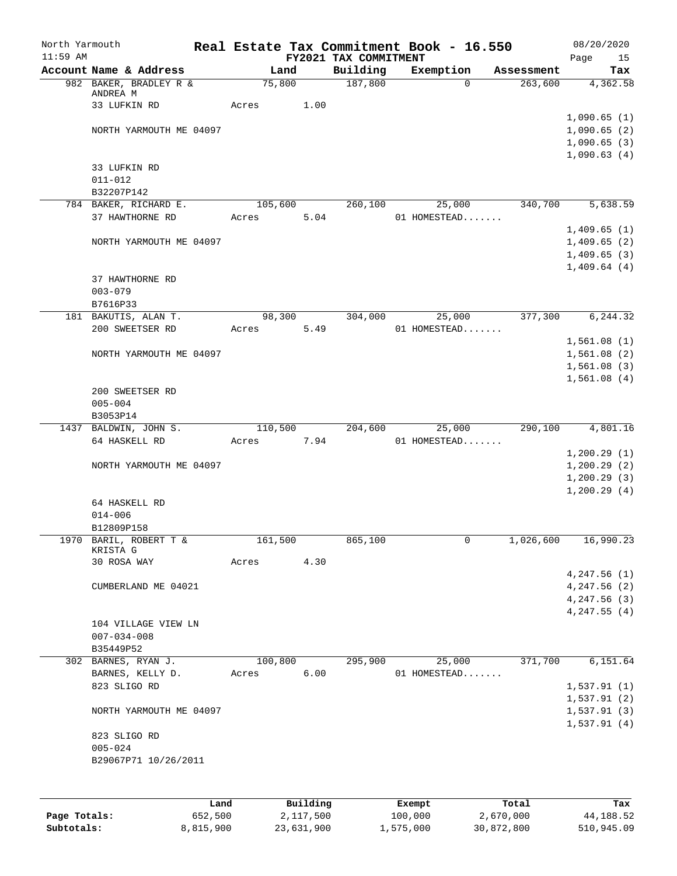| North Yarmouth<br>$11:59$ AM |                                         |           |          |            | FY2021 TAX COMMITMENT |           | Real Estate Tax Commitment Book - 16.550 |            | 08/20/2020<br>Page<br>15   |
|------------------------------|-----------------------------------------|-----------|----------|------------|-----------------------|-----------|------------------------------------------|------------|----------------------------|
|                              | Account Name & Address                  |           | Land     |            | Building              |           | Exemption                                | Assessment | Tax                        |
|                              | 982 BAKER, BRADLEY R &                  |           | 75,800   |            | 187,800               |           | $\Omega$                                 | 263,600    | 4,362.58                   |
|                              | ANDREA M                                |           |          |            |                       |           |                                          |            |                            |
|                              | 33 LUFKIN RD                            |           | Acres    | 1.00       |                       |           |                                          |            |                            |
|                              |                                         |           |          |            |                       |           |                                          |            | 1,090.65(1)                |
|                              | NORTH YARMOUTH ME 04097                 |           |          |            |                       |           |                                          |            | 1,090.65(2)<br>1,090.65(3) |
|                              |                                         |           |          |            |                       |           |                                          |            | 1,090.63(4)                |
|                              | 33 LUFKIN RD                            |           |          |            |                       |           |                                          |            |                            |
|                              | $011 - 012$                             |           |          |            |                       |           |                                          |            |                            |
|                              | B32207P142                              |           |          |            |                       |           |                                          |            |                            |
|                              | 784 BAKER, RICHARD E.                   |           | 105, 600 |            | 260,100               |           | 25,000                                   | 340,700    | 5,638.59                   |
|                              | 37 HAWTHORNE RD                         |           | Acres    | 5.04       |                       |           | 01 HOMESTEAD                             |            |                            |
|                              |                                         |           |          |            |                       |           |                                          |            | 1,409.65(1)                |
|                              | NORTH YARMOUTH ME 04097                 |           |          |            |                       |           |                                          |            | 1,409.65(2)                |
|                              |                                         |           |          |            |                       |           |                                          |            | 1,409.65(3)                |
|                              |                                         |           |          |            |                       |           |                                          |            | 1,409.64(4)                |
|                              | 37 HAWTHORNE RD                         |           |          |            |                       |           |                                          |            |                            |
|                              | $003 - 079$                             |           |          |            |                       |           |                                          |            |                            |
|                              | B7616P33                                |           |          |            |                       |           |                                          |            |                            |
|                              | 181 BAKUTIS, ALAN T.<br>200 SWEETSER RD |           | 98,300   |            | 304,000               |           | 25,000                                   | 377,300    | 6,244.32                   |
|                              |                                         |           | Acres    | 5.49       |                       |           | 01 HOMESTEAD                             |            | 1,561.08(1)                |
|                              | NORTH YARMOUTH ME 04097                 |           |          |            |                       |           |                                          |            | 1,561.08(2)                |
|                              |                                         |           |          |            |                       |           |                                          |            | 1,561.08(3)                |
|                              |                                         |           |          |            |                       |           |                                          |            | 1,561.08(4)                |
|                              | 200 SWEETSER RD                         |           |          |            |                       |           |                                          |            |                            |
|                              | $005 - 004$                             |           |          |            |                       |           |                                          |            |                            |
|                              | B3053P14                                |           |          |            |                       |           |                                          |            |                            |
|                              | 1437 BALDWIN, JOHN S.                   |           | 110,500  |            | 204,600               |           | 25,000                                   | 290,100    | 4,801.16                   |
|                              | 64 HASKELL RD                           |           | Acres    | 7.94       |                       |           | 01 HOMESTEAD                             |            |                            |
|                              |                                         |           |          |            |                       |           |                                          |            | 1,200.29(1)                |
|                              | NORTH YARMOUTH ME 04097                 |           |          |            |                       |           |                                          |            | 1,200.29(2)                |
|                              |                                         |           |          |            |                       |           |                                          |            | 1,200.29(3)                |
|                              |                                         |           |          |            |                       |           |                                          |            | 1,200.29(4)                |
|                              | 64 HASKELL RD                           |           |          |            |                       |           |                                          |            |                            |
|                              | $014 - 006$                             |           |          |            |                       |           |                                          |            |                            |
|                              | B12809P158                              |           |          |            |                       |           |                                          |            |                            |
| 1970                         | BARIL, ROBERT T &<br>KRISTA G           |           | 161,500  |            | 865,100               |           | 0                                        | 1,026,600  | 16,990.23                  |
|                              | 30 ROSA WAY                             |           | Acres    | 4.30       |                       |           |                                          |            |                            |
|                              |                                         |           |          |            |                       |           |                                          |            | 4,247.56(1)                |
|                              | CUMBERLAND ME 04021                     |           |          |            |                       |           |                                          |            | 4,247.56(2)                |
|                              |                                         |           |          |            |                       |           |                                          |            | 4,247.56(3)                |
|                              |                                         |           |          |            |                       |           |                                          |            | 4,247.55(4)                |
|                              | 104 VILLAGE VIEW LN                     |           |          |            |                       |           |                                          |            |                            |
|                              | $007 - 034 - 008$                       |           |          |            |                       |           |                                          |            |                            |
|                              | B35449P52                               |           |          |            |                       |           |                                          |            |                            |
|                              | 302 BARNES, RYAN J.                     |           | 100,800  |            | 295,900               |           | 25,000                                   | 371,700    | 6,151.64                   |
|                              | BARNES, KELLY D.                        |           | Acres    | 6.00       |                       |           | 01 HOMESTEAD                             |            |                            |
|                              | 823 SLIGO RD                            |           |          |            |                       |           |                                          |            | 1,537.91(1)                |
|                              |                                         |           |          |            |                       |           |                                          |            | 1,537.91(2)                |
|                              | NORTH YARMOUTH ME 04097                 |           |          |            |                       |           |                                          |            | 1,537.91(3)                |
|                              |                                         |           |          |            |                       |           |                                          |            | 1,537.91(4)                |
|                              | 823 SLIGO RD                            |           |          |            |                       |           |                                          |            |                            |
|                              | $005 - 024$                             |           |          |            |                       |           |                                          |            |                            |
|                              | B29067P71 10/26/2011                    |           |          |            |                       |           |                                          |            |                            |
|                              |                                         |           |          |            |                       |           |                                          |            |                            |
|                              |                                         | Land      |          | Building   |                       | Exempt    |                                          | Total      | Tax                        |
| Page Totals:                 |                                         | 652,500   |          | 2,117,500  |                       | 100,000   |                                          | 2,670,000  | 44, 188.52                 |
| Subtotals:                   |                                         | 8,815,900 |          | 23,631,900 |                       | 1,575,000 |                                          | 30,872,800 | 510,945.09                 |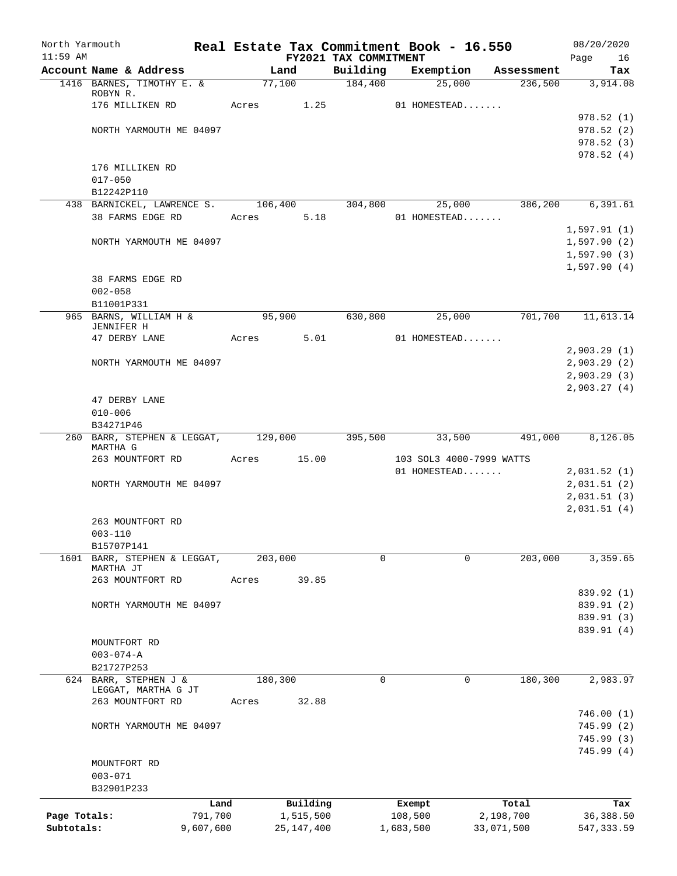| North Yarmouth |                                                  |       |                       |                                   |                   | Real Estate Tax Commitment Book - 16.550 |                    | 08/20/2020             |
|----------------|--------------------------------------------------|-------|-----------------------|-----------------------------------|-------------------|------------------------------------------|--------------------|------------------------|
| $11:59$ AM     | Account Name & Address                           |       | Land                  | FY2021 TAX COMMITMENT<br>Building |                   | Exemption                                | Assessment         | Page<br>16<br>Tax      |
|                | 1416 BARNES, TIMOTHY E. &                        |       | 77,100                | 184,400                           |                   | 25,000                                   | 236,500            | 3,914.08               |
|                | ROBYN R.                                         |       |                       |                                   |                   |                                          |                    |                        |
|                | 176 MILLIKEN RD                                  | Acres | 1.25                  |                                   |                   | 01 HOMESTEAD                             |                    |                        |
|                |                                                  |       |                       |                                   |                   |                                          |                    | 978.52(1)              |
|                | NORTH YARMOUTH ME 04097                          |       |                       |                                   |                   |                                          |                    | 978.52(2)              |
|                |                                                  |       |                       |                                   |                   |                                          |                    | 978.52(3)<br>978.52(4) |
|                | 176 MILLIKEN RD                                  |       |                       |                                   |                   |                                          |                    |                        |
|                | $017 - 050$                                      |       |                       |                                   |                   |                                          |                    |                        |
|                | B12242P110                                       |       |                       |                                   |                   |                                          |                    |                        |
|                | 438 BARNICKEL, LAWRENCE S. 106,400               |       |                       | 304,800                           |                   | 25,000                                   | 386,200            | 6, 391.61              |
|                | 38 FARMS EDGE RD                                 | Acres | 5.18                  |                                   |                   | 01 HOMESTEAD                             |                    |                        |
|                |                                                  |       |                       |                                   |                   |                                          |                    | 1,597.91(1)            |
|                | NORTH YARMOUTH ME 04097                          |       |                       |                                   |                   |                                          |                    | 1,597.90(2)            |
|                |                                                  |       |                       |                                   |                   |                                          |                    | 1,597.90(3)            |
|                |                                                  |       |                       |                                   |                   |                                          |                    | 1,597.90(4)            |
|                | 38 FARMS EDGE RD                                 |       |                       |                                   |                   |                                          |                    |                        |
|                | $002 - 058$                                      |       |                       |                                   |                   |                                          |                    |                        |
|                | B11001P331<br>965 BARNS, WILLIAM H &             |       | 95,900                | 630,800                           |                   | 25,000                                   | 701,700            | 11,613.14              |
|                | JENNIFER H                                       |       |                       |                                   |                   |                                          |                    |                        |
|                | 47 DERBY LANE                                    | Acres | 5.01                  |                                   |                   | 01 HOMESTEAD                             |                    |                        |
|                |                                                  |       |                       |                                   |                   |                                          |                    | 2,903.29(1)            |
|                | NORTH YARMOUTH ME 04097                          |       |                       |                                   |                   |                                          |                    | 2,903.29(2)            |
|                |                                                  |       |                       |                                   |                   |                                          |                    | 2,903.29(3)            |
|                |                                                  |       |                       |                                   |                   |                                          |                    | 2,903.27(4)            |
|                | 47 DERBY LANE                                    |       |                       |                                   |                   |                                          |                    |                        |
|                | $010 - 006$                                      |       |                       |                                   |                   |                                          |                    |                        |
|                | B34271P46<br>260 BARR, STEPHEN & LEGGAT, 129,000 |       |                       | 395,500                           |                   | 33,500                                   | 491,000            | 8,126.05               |
|                | MARTHA G                                         |       |                       |                                   |                   |                                          |                    |                        |
|                | 263 MOUNTFORT RD                                 |       | Acres 15.00           |                                   |                   | 103 SOL3 4000-7999 WATTS                 |                    |                        |
|                |                                                  |       |                       |                                   |                   | 01 HOMESTEAD                             |                    | 2,031.52(1)            |
|                | NORTH YARMOUTH ME 04097                          |       |                       |                                   |                   |                                          |                    | 2,031.51(2)            |
|                |                                                  |       |                       |                                   |                   |                                          |                    | 2,031.51(3)            |
|                |                                                  |       |                       |                                   |                   |                                          |                    | 2,031.51(4)            |
|                | 263 MOUNTFORT RD                                 |       |                       |                                   |                   |                                          |                    |                        |
|                | $003 - 110$<br>B15707P141                        |       |                       |                                   |                   |                                          |                    |                        |
| 1601           | BARR, STEPHEN & LEGGAT,                          |       | 203,000               | $\Omega$                          |                   | $\Omega$                                 | 203,000            | 3,359.65               |
|                | MARTHA JT                                        |       |                       |                                   |                   |                                          |                    |                        |
|                | 263 MOUNTFORT RD                                 | Acres | 39.85                 |                                   |                   |                                          |                    |                        |
|                |                                                  |       |                       |                                   |                   |                                          |                    | 839.92 (1)             |
|                | NORTH YARMOUTH ME 04097                          |       |                       |                                   |                   |                                          |                    | 839.91 (2)             |
|                |                                                  |       |                       |                                   |                   |                                          |                    | 839.91 (3)             |
|                |                                                  |       |                       |                                   |                   |                                          |                    | 839.91 (4)             |
|                | MOUNTFORT RD                                     |       |                       |                                   |                   |                                          |                    |                        |
|                | $003 - 074 - A$<br>B21727P253                    |       |                       |                                   |                   |                                          |                    |                        |
|                | 624 BARR, STEPHEN J &                            |       | 180,300               | $\mathbf 0$                       |                   | 0                                        | 180,300            | 2,983.97               |
|                | LEGGAT, MARTHA G JT                              |       |                       |                                   |                   |                                          |                    |                        |
|                | 263 MOUNTFORT RD                                 | Acres | 32.88                 |                                   |                   |                                          |                    |                        |
|                |                                                  |       |                       |                                   |                   |                                          |                    | 746.00(1)              |
|                | NORTH YARMOUTH ME 04097                          |       |                       |                                   |                   |                                          |                    | 745.99 (2)             |
|                |                                                  |       |                       |                                   |                   |                                          |                    | 745.99(3)              |
|                |                                                  |       |                       |                                   |                   |                                          |                    | 745.99(4)              |
|                | MOUNTFORT RD<br>$003 - 071$                      |       |                       |                                   |                   |                                          |                    |                        |
|                | B32901P233                                       |       |                       |                                   |                   |                                          |                    |                        |
|                |                                                  |       |                       |                                   |                   |                                          |                    |                        |
| Page Totals:   | 791,700                                          | Land  | Building<br>1,515,500 |                                   | Exempt<br>108,500 |                                          | Total<br>2,198,700 | Tax<br>36,388.50       |
| Subtotals:     | 9,607,600                                        |       | 25, 147, 400          |                                   | 1,683,500         |                                          | 33,071,500         | 547, 333.59            |
|                |                                                  |       |                       |                                   |                   |                                          |                    |                        |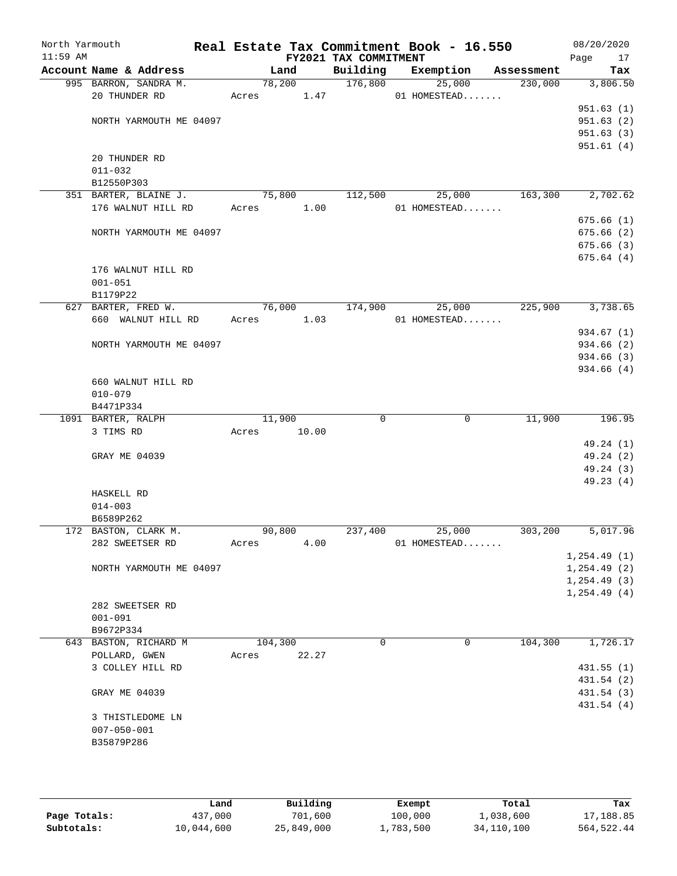| North Yarmouth<br>$11:59$ AM |                         |         |       | Real Estate Tax Commitment Book - 16.550<br>FY2021 TAX COMMITMENT |                |            | 08/20/2020<br>Page<br>17 |
|------------------------------|-------------------------|---------|-------|-------------------------------------------------------------------|----------------|------------|--------------------------|
|                              | Account Name & Address  | Land    |       | Building                                                          | Exemption      | Assessment | Tax                      |
|                              | 995 BARRON, SANDRA M.   |         |       | 78,200 176,800                                                    | 25,000         | 230,000    | 3,806.50                 |
|                              | 20 THUNDER RD           |         |       | Acres 1.47                                                        | 01 HOMESTEAD   |            |                          |
|                              |                         |         |       |                                                                   |                |            | 951.63(1)                |
|                              | NORTH YARMOUTH ME 04097 |         |       |                                                                   |                |            | 951.63(2)                |
|                              |                         |         |       |                                                                   |                |            | 951.63(3)                |
|                              |                         |         |       |                                                                   |                |            | 951.61(4)                |
|                              | 20 THUNDER RD           |         |       |                                                                   |                |            |                          |
|                              | $011 - 032$             |         |       |                                                                   |                |            |                          |
|                              | B12550P303              |         |       |                                                                   |                |            |                          |
|                              | 351 BARTER, BLAINE J.   | 75,800  |       | 112,500                                                           | 25,000         | 163,300    | 2,702.62                 |
|                              | 176 WALNUT HILL RD      | Acres   | 1.00  |                                                                   | 01 HOMESTEAD   |            |                          |
|                              |                         |         |       |                                                                   |                |            | 675.66(1)                |
|                              | NORTH YARMOUTH ME 04097 |         |       |                                                                   |                |            | 675.66(2)<br>675.66(3)   |
|                              |                         |         |       |                                                                   |                |            | 675.64(4)                |
|                              | 176 WALNUT HILL RD      |         |       |                                                                   |                |            |                          |
|                              | $001 - 051$             |         |       |                                                                   |                |            |                          |
|                              | B1179P22                |         |       |                                                                   |                |            |                          |
|                              | 627 BARTER, FRED W.     | 76,000  |       | 174,900                                                           | 25,000         | 225,900    | 3,738.65                 |
|                              | 660 WALNUT HILL RD      | Acres   | 1.03  |                                                                   | $01$ HOMESTEAD |            |                          |
|                              |                         |         |       |                                                                   |                |            | 934.67 (1)               |
|                              | NORTH YARMOUTH ME 04097 |         |       |                                                                   |                |            | 934.66 (2)               |
|                              |                         |         |       |                                                                   |                |            | 934.66 (3)               |
|                              |                         |         |       |                                                                   |                |            | 934.66(4)                |
|                              | 660 WALNUT HILL RD      |         |       |                                                                   |                |            |                          |
|                              | $010 - 079$             |         |       |                                                                   |                |            |                          |
|                              | B4471P334               |         |       |                                                                   |                |            |                          |
|                              | 1091 BARTER, RALPH      | 11,900  |       | $\Omega$                                                          | 0              | 11,900     | 196.95                   |
|                              | 3 TIMS RD               | Acres   | 10.00 |                                                                   |                |            |                          |
|                              |                         |         |       |                                                                   |                |            | 49.24 (1)                |
|                              | GRAY ME 04039           |         |       |                                                                   |                |            | 49.24 (2)                |
|                              |                         |         |       |                                                                   |                |            | 49.24 (3)                |
|                              |                         |         |       |                                                                   |                |            | 49.23(4)                 |
|                              | HASKELL RD              |         |       |                                                                   |                |            |                          |
|                              | $014 - 003$             |         |       |                                                                   |                |            |                          |
|                              | B6589P262               |         |       |                                                                   |                |            |                          |
|                              | 172 BASTON, CLARK M.    | 90,800  |       | 237,400                                                           | 25,000         | 303,200    | 5,017.96                 |
|                              | 282 SWEETSER RD         | Acres   | 4.00  |                                                                   | 01 HOMESTEAD   |            |                          |
|                              |                         |         |       |                                                                   |                |            | 1, 254.49(1)             |
|                              | NORTH YARMOUTH ME 04097 |         |       |                                                                   |                |            | 1, 254.49(2)             |
|                              |                         |         |       |                                                                   |                |            | 1, 254.49(3)             |
|                              | 282 SWEETSER RD         |         |       |                                                                   |                |            | 1, 254.49(4)             |
|                              | $001 - 091$             |         |       |                                                                   |                |            |                          |
|                              | B9672P334               |         |       |                                                                   |                |            |                          |
|                              | 643 BASTON, RICHARD M   | 104,300 |       | $\Omega$                                                          | $\Omega$       | 104,300    | 1,726.17                 |
|                              | POLLARD, GWEN           | Acres   | 22.27 |                                                                   |                |            |                          |
|                              | 3 COLLEY HILL RD        |         |       |                                                                   |                |            | 431.55(1)                |
|                              |                         |         |       |                                                                   |                |            | 431.54 (2)               |
|                              | GRAY ME 04039           |         |       |                                                                   |                |            | 431.54 (3)               |
|                              |                         |         |       |                                                                   |                |            | 431.54 (4)               |
|                              | 3 THISTLEDOME LN        |         |       |                                                                   |                |            |                          |
|                              | $007 - 050 - 001$       |         |       |                                                                   |                |            |                          |
|                              | B35879P286              |         |       |                                                                   |                |            |                          |
|                              |                         |         |       |                                                                   |                |            |                          |
|                              |                         |         |       |                                                                   |                |            |                          |
|                              |                         |         |       |                                                                   |                |            |                          |

|              | Land       | Building   | Exempt    | Total      | Tax        |
|--------------|------------|------------|-----------|------------|------------|
| Page Totals: | 437,000    | 701,600    | 100,000   | 1,038,600  | 17,188.85  |
| Subtotals:   | 10,044,600 | 25,849,000 | 1,783,500 | 34,110,100 | 564,522.44 |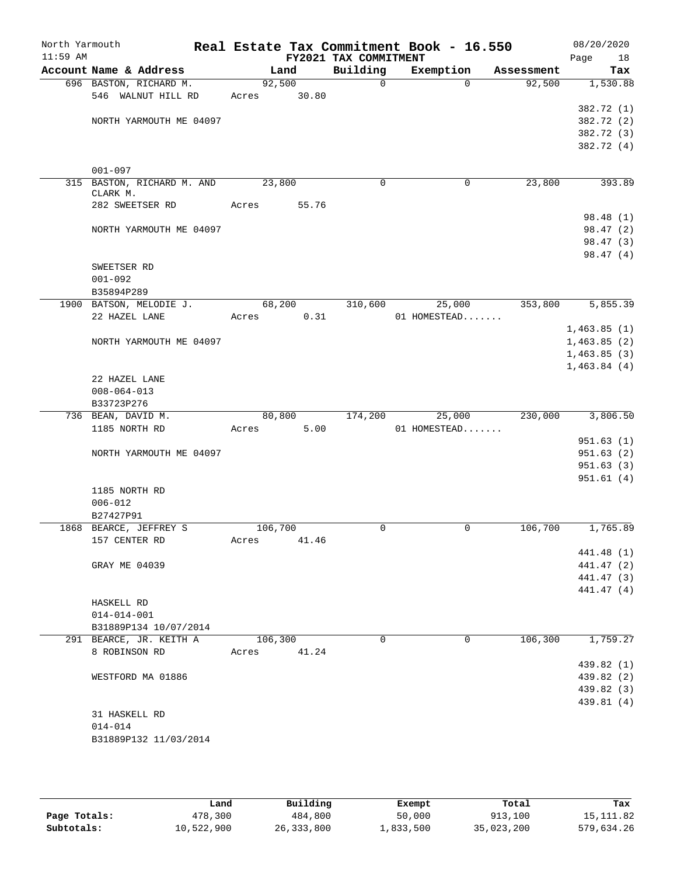| North Yarmouth<br>$11:59$ AM |                            |       |         |       | Real Estate Tax Commitment Book - 16.550<br>FY2021 TAX COMMITMENT |              |            | 08/20/2020<br>Page<br>18 |
|------------------------------|----------------------------|-------|---------|-------|-------------------------------------------------------------------|--------------|------------|--------------------------|
|                              | Account Name & Address     |       | Land    |       | Building                                                          | Exemption    | Assessment | Tax                      |
|                              | 696 BASTON, RICHARD M.     |       | 92,500  |       | $\mathbf 0$                                                       | $\Omega$     | 92,500     | 1,530.88                 |
|                              | 546 WALNUT HILL RD         | Acres |         | 30.80 |                                                                   |              |            |                          |
|                              |                            |       |         |       |                                                                   |              |            | 382.72 (1)               |
|                              | NORTH YARMOUTH ME 04097    |       |         |       |                                                                   |              |            | 382.72 (2)               |
|                              |                            |       |         |       |                                                                   |              |            | 382.72 (3)               |
|                              |                            |       |         |       |                                                                   |              |            | 382.72 (4)               |
|                              |                            |       |         |       |                                                                   |              |            |                          |
|                              | $001 - 097$                |       |         |       |                                                                   |              |            |                          |
|                              | 315 BASTON, RICHARD M. AND |       | 23,800  |       | $\mathbf 0$                                                       | 0            | 23,800     | 393.89                   |
|                              | CLARK M.                   |       |         |       |                                                                   |              |            |                          |
|                              | 282 SWEETSER RD            | Acres |         | 55.76 |                                                                   |              |            | 98.48 (1)                |
|                              | NORTH YARMOUTH ME 04097    |       |         |       |                                                                   |              |            | 98.47 (2)                |
|                              |                            |       |         |       |                                                                   |              |            | 98.47 (3)                |
|                              |                            |       |         |       |                                                                   |              |            | 98.47(4)                 |
|                              | SWEETSER RD                |       |         |       |                                                                   |              |            |                          |
|                              | $001 - 092$                |       |         |       |                                                                   |              |            |                          |
|                              | B35894P289                 |       |         |       |                                                                   |              |            |                          |
|                              | 1900 BATSON, MELODIE J.    |       | 68,200  |       | 310,600                                                           | 25,000       | 353,800    | 5,855.39                 |
|                              | 22 HAZEL LANE              | Acres |         | 0.31  |                                                                   | 01 HOMESTEAD |            |                          |
|                              |                            |       |         |       |                                                                   |              |            | 1,463.85(1)              |
|                              | NORTH YARMOUTH ME 04097    |       |         |       |                                                                   |              |            | 1,463.85(2)              |
|                              |                            |       |         |       |                                                                   |              |            | 1,463.85(3)              |
|                              |                            |       |         |       |                                                                   |              |            | 1,463.84(4)              |
|                              | 22 HAZEL LANE              |       |         |       |                                                                   |              |            |                          |
|                              | $008 - 064 - 013$          |       |         |       |                                                                   |              |            |                          |
|                              | B33723P276                 |       |         |       |                                                                   |              |            |                          |
|                              | 736 BEAN, DAVID M.         |       | 80,800  |       | 174,200                                                           | 25,000       | 230,000    | 3,806.50                 |
|                              | 1185 NORTH RD              | Acres |         | 5.00  |                                                                   | 01 HOMESTEAD |            |                          |
|                              |                            |       |         |       |                                                                   |              |            | 951.63(1)                |
|                              | NORTH YARMOUTH ME 04097    |       |         |       |                                                                   |              |            | 951.63(2)                |
|                              |                            |       |         |       |                                                                   |              |            | 951.63(3)                |
|                              |                            |       |         |       |                                                                   |              |            | 951.61(4)                |
|                              | 1185 NORTH RD              |       |         |       |                                                                   |              |            |                          |
|                              | $006 - 012$                |       |         |       |                                                                   |              |            |                          |
|                              | B27427P91                  |       |         |       |                                                                   |              |            |                          |
|                              | 1868 BEARCE, JEFFREY S     |       | 106,700 |       | $\mathbf 0$                                                       | 0            | 106,700    | 1,765.89                 |
|                              | 157 CENTER RD              | Acres |         | 41.46 |                                                                   |              |            |                          |
|                              |                            |       |         |       |                                                                   |              |            | 441.48 (1)               |
|                              | GRAY ME 04039              |       |         |       |                                                                   |              |            | 441.47 (2)               |
|                              |                            |       |         |       |                                                                   |              |            | 441.47 (3)               |
|                              |                            |       |         |       |                                                                   |              |            | 441.47 (4)               |
|                              | HASKELL RD                 |       |         |       |                                                                   |              |            |                          |
|                              | $014 - 014 - 001$          |       |         |       |                                                                   |              |            |                          |
|                              | B31889P134 10/07/2014      |       |         |       |                                                                   |              | 106,300    |                          |
|                              | 291 BEARCE, JR. KEITH A    |       | 106,300 |       | $\Omega$                                                          | 0            |            | 1,759.27                 |
|                              | 8 ROBINSON RD              | Acres |         | 41.24 |                                                                   |              |            | 439.82 (1)               |
|                              | WESTFORD MA 01886          |       |         |       |                                                                   |              |            | 439.82 (2)               |
|                              |                            |       |         |       |                                                                   |              |            |                          |
|                              |                            |       |         |       |                                                                   |              |            | 439.82 (3)<br>439.81 (4) |
|                              | 31 HASKELL RD              |       |         |       |                                                                   |              |            |                          |
|                              | $014 - 014$                |       |         |       |                                                                   |              |            |                          |
|                              | B31889P132 11/03/2014      |       |         |       |                                                                   |              |            |                          |
|                              |                            |       |         |       |                                                                   |              |            |                          |
|                              |                            |       |         |       |                                                                   |              |            |                          |

|              | Land       | Building     | Exempt    | Total      | Tax        |
|--------------|------------|--------------|-----------|------------|------------|
| Page Totals: | 478,300    | 484,800      | 50,000    | 913,100    | 15, 111.82 |
| Subtotals:   | 10,522,900 | 26, 333, 800 | 1,833,500 | 35,023,200 | 579,634.26 |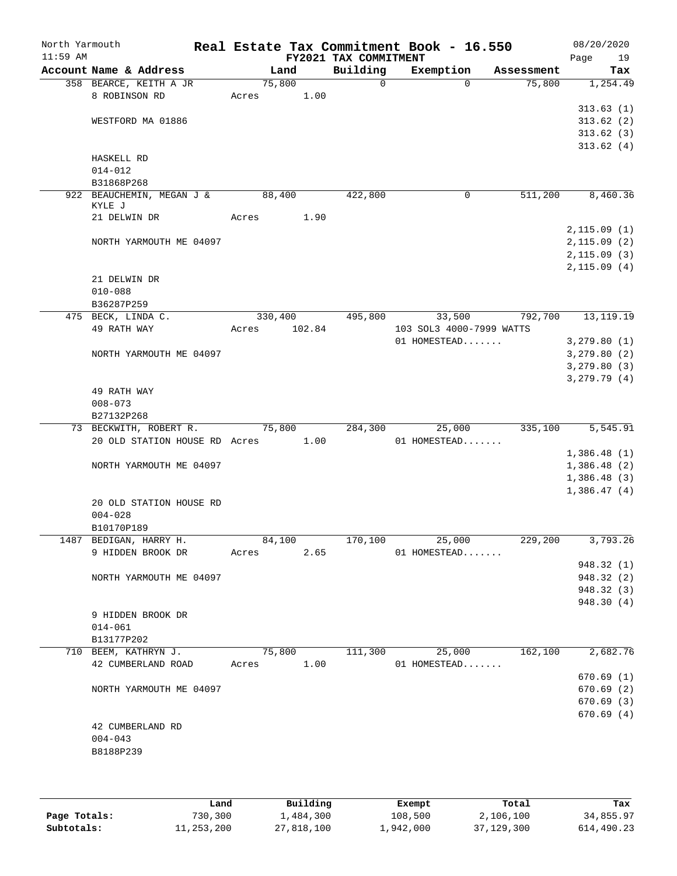| North Yarmouth<br>$11:59$ AM |                                             |         |        | FY2021 TAX COMMITMENT | Real Estate Tax Commitment Book - 16.550 |            | 08/20/2020<br>19<br>Page |
|------------------------------|---------------------------------------------|---------|--------|-----------------------|------------------------------------------|------------|--------------------------|
|                              | Account Name & Address                      |         | Land   | Building              | Exemption                                | Assessment | Tax                      |
|                              | 358 BEARCE, KEITH A JR                      | 75,800  |        | $\mathbf 0$           | $\Omega$                                 | 75,800     | 1,254.49                 |
|                              | 8 ROBINSON RD                               | Acres   | 1.00   |                       |                                          |            |                          |
|                              |                                             |         |        |                       |                                          |            | 313.63(1)                |
|                              | WESTFORD MA 01886                           |         |        |                       |                                          |            | 313.62(2)                |
|                              |                                             |         |        |                       |                                          |            | 313.62(3)                |
|                              | HASKELL RD                                  |         |        |                       |                                          |            | 313.62(4)                |
|                              | $014 - 012$                                 |         |        |                       |                                          |            |                          |
|                              | B31868P268                                  |         |        |                       |                                          |            |                          |
|                              | 922 BEAUCHEMIN, MEGAN J &                   | 88,400  |        | 422,800               | 0                                        | 511,200    | 8,460.36                 |
|                              | KYLE J<br>21 DELWIN DR                      | Acres   | 1.90   |                       |                                          |            |                          |
|                              |                                             |         |        |                       |                                          |            | 2,115.09(1)              |
|                              | NORTH YARMOUTH ME 04097                     |         |        |                       |                                          |            | 2,115.09(2)              |
|                              |                                             |         |        |                       |                                          |            | 2,115.09(3)              |
|                              |                                             |         |        |                       |                                          |            | 2,115.09(4)              |
|                              | 21 DELWIN DR                                |         |        |                       |                                          |            |                          |
|                              | $010 - 088$                                 |         |        |                       |                                          |            |                          |
|                              | B36287P259                                  |         |        |                       |                                          |            |                          |
|                              | 475 BECK, LINDA C.                          | 330,400 |        | 495,800               | 33,500                                   | 792,700    | 13, 119. 19              |
|                              | 49 RATH WAY                                 | Acres   | 102.84 |                       | 103 SOL3 4000-7999 WATTS<br>01 HOMESTEAD |            | 3,279.80(1)              |
|                              | NORTH YARMOUTH ME 04097                     |         |        |                       |                                          |            | 3, 279.80 (2)            |
|                              |                                             |         |        |                       |                                          |            | 3,279.80(3)              |
|                              |                                             |         |        |                       |                                          |            | 3,279.79(4)              |
|                              | 49 RATH WAY                                 |         |        |                       |                                          |            |                          |
|                              | $008 - 073$                                 |         |        |                       |                                          |            |                          |
|                              | B27132P268                                  |         |        |                       |                                          |            |                          |
|                              | 73 BECKWITH, ROBERT R.                      | 75,800  |        | 284,300               | 25,000                                   | 335,100    | 5,545.91                 |
|                              | 20 OLD STATION HOUSE RD Acres 1.00          |         |        |                       | 01 HOMESTEAD                             |            | 1,386.48(1)              |
|                              | NORTH YARMOUTH ME 04097                     |         |        |                       |                                          |            | 1,386.48(2)              |
|                              |                                             |         |        |                       |                                          |            | 1,386.48(3)              |
|                              |                                             |         |        |                       |                                          |            | 1,386.47(4)              |
|                              | 20 OLD STATION HOUSE RD                     |         |        |                       |                                          |            |                          |
|                              | $004 - 028$                                 |         |        |                       |                                          |            |                          |
|                              | B10170P189                                  |         |        |                       |                                          |            |                          |
|                              | 1487 BEDIGAN, HARRY H.<br>9 HIDDEN BROOK DR | 84,100  |        | 170,100               | 25,000                                   | 229,200    | 3,793.26                 |
|                              |                                             | Acres   | 2.65   |                       | 01 HOMESTEAD                             |            | 948.32 (1)               |
|                              | NORTH YARMOUTH ME 04097                     |         |        |                       |                                          |            | 948.32 (2)               |
|                              |                                             |         |        |                       |                                          |            | 948.32 (3)               |
|                              |                                             |         |        |                       |                                          |            | 948.30 (4)               |
|                              | 9 HIDDEN BROOK DR                           |         |        |                       |                                          |            |                          |
|                              | $014 - 061$                                 |         |        |                       |                                          |            |                          |
|                              | B13177P202                                  |         |        |                       |                                          |            |                          |
|                              | 710 BEEM, KATHRYN J.                        | 75,800  |        | 111,300               | 25,000                                   | 162,100    | 2,682.76                 |
|                              | 42 CUMBERLAND ROAD                          | Acres   | 1.00   |                       | 01 HOMESTEAD                             |            | 670.69(1)                |
|                              | NORTH YARMOUTH ME 04097                     |         |        |                       |                                          |            | 670.69 (2)               |
|                              |                                             |         |        |                       |                                          |            | 670.69(3)                |
|                              |                                             |         |        |                       |                                          |            | 670.69(4)                |
|                              | 42 CUMBERLAND RD                            |         |        |                       |                                          |            |                          |
|                              | $004 - 043$                                 |         |        |                       |                                          |            |                          |
|                              | B8188P239                                   |         |        |                       |                                          |            |                          |
|                              |                                             |         |        |                       |                                          |            |                          |

|              | Land       | Building   | Exempt    | Total      | Tax        |
|--------------|------------|------------|-----------|------------|------------|
| Page Totals: | 730,300    | 1,484,300  | 108,500   | 2,106,100  | 34,855.97  |
| Subtotals:   | 11,253,200 | 27,818,100 | 1,942,000 | 37,129,300 | 614,490.23 |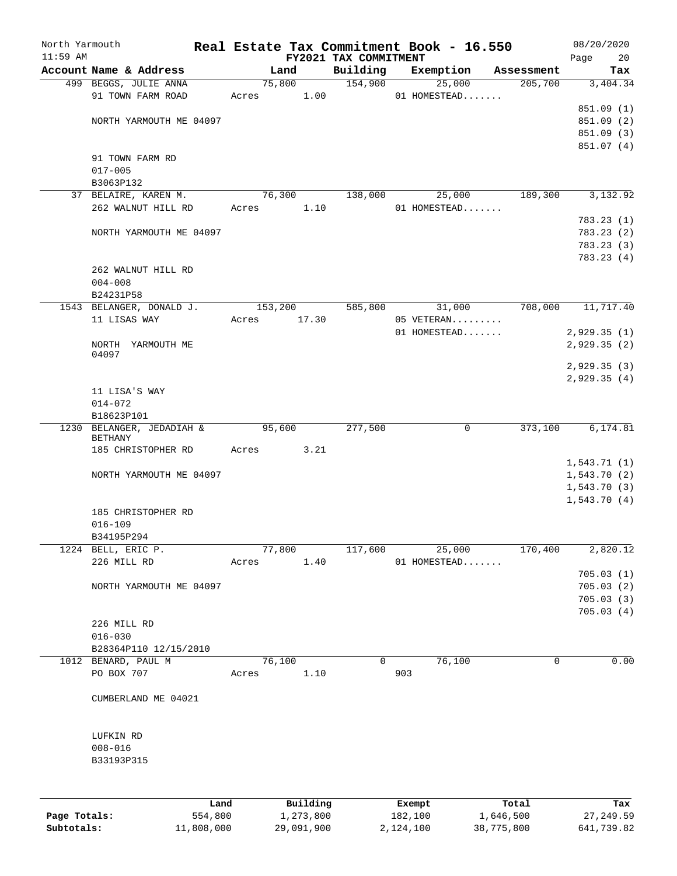| North Yarmouth<br>$11:59$ AM |                            |                 | Real Estate Tax Commitment Book - 16.550 |                                   |                   |              |                    | 08/20/2020        |
|------------------------------|----------------------------|-----------------|------------------------------------------|-----------------------------------|-------------------|--------------|--------------------|-------------------|
|                              | Account Name & Address     |                 | Land                                     | FY2021 TAX COMMITMENT<br>Building | Exemption         |              | Assessment         | 20<br>Page<br>Tax |
|                              | 499 BEGGS, JULIE ANNA      |                 | 75,800                                   | 154,900                           |                   | 25,000       | 205,700            | 3,404.34          |
|                              | 91 TOWN FARM ROAD          | Acres           | 1.00                                     |                                   |                   | 01 HOMESTEAD |                    |                   |
|                              |                            |                 |                                          |                                   |                   |              |                    | 851.09(1)         |
|                              | NORTH YARMOUTH ME 04097    |                 |                                          |                                   |                   |              |                    | 851.09 (2)        |
|                              |                            |                 |                                          |                                   |                   |              |                    | 851.09 (3)        |
|                              |                            |                 |                                          |                                   |                   |              |                    | 851.07 (4)        |
|                              | 91 TOWN FARM RD            |                 |                                          |                                   |                   |              |                    |                   |
|                              | $017 - 005$                |                 |                                          |                                   |                   |              |                    |                   |
|                              | B3063P132                  |                 |                                          |                                   |                   |              |                    |                   |
|                              | 37 BELAIRE, KAREN M.       |                 | 76,300                                   | 138,000                           |                   | 25,000       | 189,300            | 3,132.92          |
|                              | 262 WALNUT HILL RD         | Acres           | 1.10                                     |                                   |                   | 01 HOMESTEAD |                    |                   |
|                              |                            |                 |                                          |                                   |                   |              |                    | 783.23(1)         |
|                              | NORTH YARMOUTH ME 04097    |                 |                                          |                                   |                   |              |                    | 783.23 (2)        |
|                              |                            |                 |                                          |                                   |                   |              |                    | 783.23 (3)        |
|                              |                            |                 |                                          |                                   |                   |              |                    | 783.23(4)         |
|                              | 262 WALNUT HILL RD         |                 |                                          |                                   |                   |              |                    |                   |
|                              | $004 - 008$                |                 |                                          |                                   |                   |              |                    |                   |
|                              | B24231P58                  |                 |                                          |                                   |                   |              |                    |                   |
|                              | 1543 BELANGER, DONALD J.   |                 | 153,200                                  | 585,800                           |                   | 31,000       | 708,000            | 11,717.40         |
|                              | 11 LISAS WAY               | Acres           | 17.30                                    |                                   |                   | 05 VETERAN   |                    |                   |
|                              |                            |                 |                                          |                                   |                   | 01 HOMESTEAD |                    | 2,929.35(1)       |
|                              | NORTH YARMOUTH ME          |                 |                                          |                                   |                   |              |                    | 2,929.35(2)       |
|                              | 04097                      |                 |                                          |                                   |                   |              |                    | 2,929.35 (3)      |
|                              |                            |                 |                                          |                                   |                   |              |                    | 2,929.35(4)       |
|                              | 11 LISA'S WAY              |                 |                                          |                                   |                   |              |                    |                   |
|                              | $014 - 072$                |                 |                                          |                                   |                   |              |                    |                   |
|                              | B18623P101                 |                 |                                          |                                   |                   |              |                    |                   |
|                              | 1230 BELANGER, JEDADIAH &  |                 | 95,600                                   | 277,500                           |                   | 0            | 373,100            | 6,174.81          |
|                              | BETHANY                    |                 |                                          |                                   |                   |              |                    |                   |
|                              | 185 CHRISTOPHER RD         | Acres           | 3.21                                     |                                   |                   |              |                    |                   |
|                              |                            |                 |                                          |                                   |                   |              |                    | 1,543.71(1)       |
|                              | NORTH YARMOUTH ME 04097    |                 |                                          |                                   |                   |              |                    | 1,543.70(2)       |
|                              |                            |                 |                                          |                                   |                   |              |                    | 1,543.70(3)       |
|                              |                            |                 |                                          |                                   |                   |              |                    | 1,543.70(4)       |
|                              | 185 CHRISTOPHER RD         |                 |                                          |                                   |                   |              |                    |                   |
|                              | $016 - 109$                |                 |                                          |                                   |                   |              |                    |                   |
|                              | B34195P294                 |                 |                                          |                                   |                   |              |                    |                   |
|                              | 1224 BELL, ERIC P.         |                 | 77,800                                   | 117,600                           |                   | 25,000       | 170,400            | 2,820.12          |
|                              | 226 MILL RD                | Acres           | 1.40                                     |                                   |                   | 01 HOMESTEAD |                    |                   |
|                              |                            |                 |                                          |                                   |                   |              |                    | 705.03(1)         |
|                              | NORTH YARMOUTH ME 04097    |                 |                                          |                                   |                   |              |                    | 705.03(2)         |
|                              |                            |                 |                                          |                                   |                   |              |                    | 705.03(3)         |
|                              |                            |                 |                                          |                                   |                   |              |                    | 705.03(4)         |
|                              | 226 MILL RD<br>$016 - 030$ |                 |                                          |                                   |                   |              |                    |                   |
|                              | B28364P110 12/15/2010      |                 |                                          |                                   |                   |              |                    |                   |
|                              | 1012 BENARD, PAUL M        |                 | 76,100                                   | 0                                 |                   | 76,100       | 0                  | 0.00              |
|                              | PO BOX 707                 | Acres           | 1.10                                     |                                   | 903               |              |                    |                   |
|                              |                            |                 |                                          |                                   |                   |              |                    |                   |
|                              | CUMBERLAND ME 04021        |                 |                                          |                                   |                   |              |                    |                   |
|                              |                            |                 |                                          |                                   |                   |              |                    |                   |
|                              |                            |                 |                                          |                                   |                   |              |                    |                   |
|                              | LUFKIN RD                  |                 |                                          |                                   |                   |              |                    |                   |
|                              | $008 - 016$                |                 |                                          |                                   |                   |              |                    |                   |
|                              | B33193P315                 |                 |                                          |                                   |                   |              |                    |                   |
|                              |                            |                 |                                          |                                   |                   |              |                    |                   |
|                              |                            |                 |                                          |                                   |                   |              |                    |                   |
|                              |                            |                 |                                          |                                   |                   |              |                    |                   |
| Page Totals:                 |                            | Land<br>554,800 | Building<br>1,273,800                    |                                   | Exempt<br>182,100 |              | Total<br>1,646,500 | Tax<br>27, 249.59 |
| Subtotals:                   |                            | 11,808,000      | 29,091,900                               |                                   | 2,124,100         |              | 38,775,800         | 641,739.82        |
|                              |                            |                 |                                          |                                   |                   |              |                    |                   |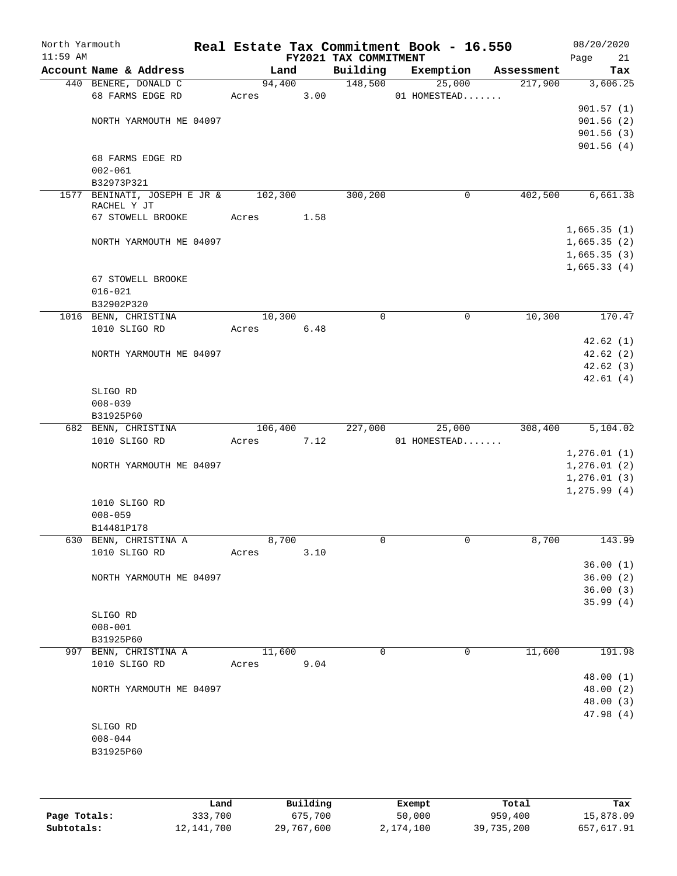| North Yarmouth<br>$11:59$ AM |                                             |         |      | FY2021 TAX COMMITMENT | Real Estate Tax Commitment Book - 16.550 |            | 08/20/2020<br>Page<br>21 |
|------------------------------|---------------------------------------------|---------|------|-----------------------|------------------------------------------|------------|--------------------------|
|                              | Account Name & Address                      | Land    |      | Building              | Exemption                                | Assessment | Tax                      |
|                              | 440 BENERE, DONALD C                        | 94,400  |      | 148,500               | 25,000                                   | 217,900    | 3,606.25                 |
|                              | 68 FARMS EDGE RD                            | Acres   | 3.00 |                       | 01 HOMESTEAD                             |            |                          |
|                              |                                             |         |      |                       |                                          |            | 901.57(1)                |
|                              | NORTH YARMOUTH ME 04097                     |         |      |                       |                                          |            | 901.56(2)                |
|                              |                                             |         |      |                       |                                          |            | 901.56(3)                |
|                              |                                             |         |      |                       |                                          |            | 901.56(4)                |
|                              | 68 FARMS EDGE RD                            |         |      |                       |                                          |            |                          |
|                              | $002 - 061$                                 |         |      |                       |                                          |            |                          |
|                              | B32973P321                                  |         |      |                       |                                          |            |                          |
|                              | 1577 BENINATI, JOSEPH E JR &<br>RACHEL Y JT | 102,300 |      | 300,200               | 0                                        | 402,500    | 6,661.38                 |
|                              | 67 STOWELL BROOKE                           | Acres   | 1.58 |                       |                                          |            |                          |
|                              |                                             |         |      |                       |                                          |            | 1,665.35(1)              |
|                              | NORTH YARMOUTH ME 04097                     |         |      |                       |                                          |            | 1,665.35(2)              |
|                              |                                             |         |      |                       |                                          |            | 1,665.35(3)              |
|                              |                                             |         |      |                       |                                          |            | 1,665.33(4)              |
|                              | 67 STOWELL BROOKE                           |         |      |                       |                                          |            |                          |
|                              | $016 - 021$                                 |         |      |                       |                                          |            |                          |
|                              | B32902P320                                  |         |      |                       |                                          |            |                          |
|                              | 1016 BENN, CHRISTINA                        | 10,300  |      | $\mathbf 0$           | $\mathbf 0$                              | 10,300     | 170.47                   |
|                              | 1010 SLIGO RD                               | Acres   | 6.48 |                       |                                          |            |                          |
|                              |                                             |         |      |                       |                                          |            | 42.62(1)                 |
|                              | NORTH YARMOUTH ME 04097                     |         |      |                       |                                          |            | 42.62(2)                 |
|                              |                                             |         |      |                       |                                          |            | 42.62(3)                 |
|                              |                                             |         |      |                       |                                          |            | 42.61(4)                 |
|                              | SLIGO RD                                    |         |      |                       |                                          |            |                          |
|                              | $008 - 039$                                 |         |      |                       |                                          |            |                          |
|                              | B31925P60                                   |         |      |                       |                                          |            |                          |
|                              | 682 BENN, CHRISTINA                         | 106,400 |      | 227,000               | 25,000                                   | 308,400    | 5,104.02                 |
|                              | 1010 SLIGO RD                               | Acres   | 7.12 |                       | 01 HOMESTEAD                             |            |                          |
|                              |                                             |         |      |                       |                                          |            | 1,276.01(1)              |
|                              | NORTH YARMOUTH ME 04097                     |         |      |                       |                                          |            | 1,276.01(2)              |
|                              |                                             |         |      |                       |                                          |            | 1,276.01(3)              |
|                              |                                             |         |      |                       |                                          |            | 1, 275.99(4)             |
|                              | 1010 SLIGO RD                               |         |      |                       |                                          |            |                          |
|                              | $008 - 059$                                 |         |      |                       |                                          |            |                          |
|                              | B14481P178                                  |         |      |                       |                                          |            |                          |
|                              | 630 BENN, CHRISTINA A                       | 8,700   |      | 0                     | 0                                        | 8,700      | 143.99                   |
|                              | 1010 SLIGO RD                               | Acres   | 3.10 |                       |                                          |            |                          |
|                              |                                             |         |      |                       |                                          |            | 36.00(1)                 |
|                              | NORTH YARMOUTH ME 04097                     |         |      |                       |                                          |            | 36.00(2)                 |
|                              |                                             |         |      |                       |                                          |            | 36.00(3)                 |
|                              |                                             |         |      |                       |                                          |            | 35.99(4)                 |
|                              | SLIGO RD<br>$008 - 001$                     |         |      |                       |                                          |            |                          |
|                              |                                             |         |      |                       |                                          |            |                          |
|                              | B31925P60<br>997 BENN, CHRISTINA A          | 11,600  |      | $\Omega$              | 0                                        | 11,600     | 191.98                   |
|                              | 1010 SLIGO RD                               | Acres   | 9.04 |                       |                                          |            |                          |
|                              |                                             |         |      |                       |                                          |            | 48.00(1)                 |
|                              | NORTH YARMOUTH ME 04097                     |         |      |                       |                                          |            | 48.00 (2)                |
|                              |                                             |         |      |                       |                                          |            | 48.00 (3)                |
|                              |                                             |         |      |                       |                                          |            | 47.98 (4)                |
|                              | SLIGO RD                                    |         |      |                       |                                          |            |                          |
|                              | $008 - 044$                                 |         |      |                       |                                          |            |                          |
|                              | B31925P60                                   |         |      |                       |                                          |            |                          |
|                              |                                             |         |      |                       |                                          |            |                          |
|                              |                                             |         |      |                       |                                          |            |                          |

|              | Land       | Building   | Exempt    | Total      | Tax        |
|--------------|------------|------------|-----------|------------|------------|
| Page Totals: | 333,700    | 675,700    | 50,000    | 959,400    | 15,878.09  |
| Subtotals:   | 12,141,700 | 29,767,600 | 2,174,100 | 39,735,200 | 657,617.91 |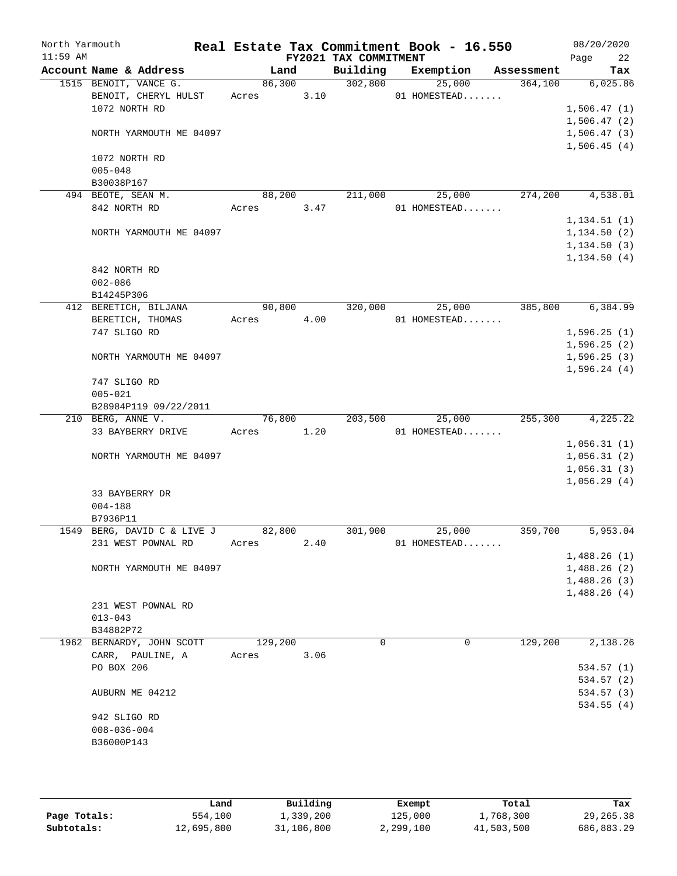| North Yarmouth<br>$11:59$ AM |                                  |                             |       |         |      | Real Estate Tax Commitment Book - 16.550<br>FY2021 TAX COMMITMENT |              |           |            | 08/20/2020<br>22<br>Page |
|------------------------------|----------------------------------|-----------------------------|-------|---------|------|-------------------------------------------------------------------|--------------|-----------|------------|--------------------------|
|                              |                                  | Account Name & Address      |       | Land    |      | Building                                                          |              | Exemption | Assessment | Tax                      |
|                              | 1515 BENOIT, VANCE G.            |                             |       | 86,300  |      | 302,800                                                           |              | 25,000    | 364,100    | 6,025.86                 |
|                              |                                  | BENOIT, CHERYL HULST        | Acres |         | 3.10 |                                                                   | 01 HOMESTEAD |           |            |                          |
|                              | 1072 NORTH RD                    |                             |       |         |      |                                                                   |              |           |            | 1,506.47(1)              |
|                              |                                  |                             |       |         |      |                                                                   |              |           |            | 1,506.47(2)              |
|                              |                                  | NORTH YARMOUTH ME 04097     |       |         |      |                                                                   |              |           |            | 1,506.47(3)              |
|                              |                                  |                             |       |         |      |                                                                   |              |           |            | 1,506.45(4)              |
|                              | 1072 NORTH RD                    |                             |       |         |      |                                                                   |              |           |            |                          |
|                              | $005 - 048$                      |                             |       |         |      |                                                                   |              |           |            |                          |
|                              | B30038P167<br>494 BEOTE, SEAN M. |                             |       |         |      |                                                                   |              |           |            | 4,538.01                 |
|                              |                                  |                             |       | 88,200  |      | 211,000                                                           |              | 25,000    | 274,200    |                          |
|                              | 842 NORTH RD                     |                             | Acres |         | 3.47 |                                                                   | 01 HOMESTEAD |           |            |                          |
|                              |                                  |                             |       |         |      |                                                                   |              |           |            | 1, 134.51(1)             |
|                              |                                  | NORTH YARMOUTH ME 04097     |       |         |      |                                                                   |              |           |            | 1, 134.50(2)             |
|                              |                                  |                             |       |         |      |                                                                   |              |           |            | 1, 134.50(3)             |
|                              |                                  |                             |       |         |      |                                                                   |              |           |            | 1, 134.50(4)             |
|                              | 842 NORTH RD                     |                             |       |         |      |                                                                   |              |           |            |                          |
|                              | $002 - 086$                      |                             |       |         |      |                                                                   |              |           |            |                          |
|                              | B14245P306                       |                             |       |         |      |                                                                   |              |           | 385,800    |                          |
|                              |                                  | 412 BERETICH, BILJANA       |       | 90,800  |      | 320,000                                                           |              | 25,000    |            | 6,384.99                 |
|                              |                                  | BERETICH, THOMAS            | Acres |         | 4.00 |                                                                   | 01 HOMESTEAD |           |            |                          |
|                              | 747 SLIGO RD                     |                             |       |         |      |                                                                   |              |           |            | 1,596.25(1)              |
|                              |                                  |                             |       |         |      |                                                                   |              |           |            | 1,596.25(2)              |
|                              |                                  | NORTH YARMOUTH ME 04097     |       |         |      |                                                                   |              |           |            | 1,596.25(3)              |
|                              | 747 SLIGO RD                     |                             |       |         |      |                                                                   |              |           |            | 1,596.24(4)              |
|                              | $005 - 021$                      |                             |       |         |      |                                                                   |              |           |            |                          |
|                              |                                  | B28984P119 09/22/2011       |       |         |      |                                                                   |              |           |            |                          |
|                              | 210 BERG, ANNE V.                |                             |       | 76,800  |      | 203,500                                                           |              | 25,000    | 255,300    | 4,225.22                 |
|                              |                                  | 33 BAYBERRY DRIVE           | Acres |         | 1.20 |                                                                   | 01 HOMESTEAD |           |            |                          |
|                              |                                  |                             |       |         |      |                                                                   |              |           |            | 1,056.31(1)              |
|                              |                                  | NORTH YARMOUTH ME 04097     |       |         |      |                                                                   |              |           |            | 1,056.31(2)              |
|                              |                                  |                             |       |         |      |                                                                   |              |           |            | 1,056.31(3)              |
|                              |                                  |                             |       |         |      |                                                                   |              |           |            | 1,056.29(4)              |
|                              | 33 BAYBERRY DR                   |                             |       |         |      |                                                                   |              |           |            |                          |
|                              | $004 - 188$                      |                             |       |         |      |                                                                   |              |           |            |                          |
|                              | B7936P11                         |                             |       |         |      |                                                                   |              |           |            |                          |
|                              |                                  | 1549 BERG, DAVID C & LIVE J |       | 82,800  |      | 301,900                                                           |              | 25,000    | 359,700    | 5,953.04                 |
|                              |                                  | 231 WEST POWNAL RD          | Acres |         | 2.40 |                                                                   | 01 HOMESTEAD |           |            |                          |
|                              |                                  |                             |       |         |      |                                                                   |              |           |            | 1,488.26(1)              |
|                              |                                  | NORTH YARMOUTH ME 04097     |       |         |      |                                                                   |              |           |            | 1,488.26(2)              |
|                              |                                  |                             |       |         |      |                                                                   |              |           |            | 1,488.26(3)              |
|                              |                                  |                             |       |         |      |                                                                   |              |           |            | 1,488.26(4)              |
|                              |                                  | 231 WEST POWNAL RD          |       |         |      |                                                                   |              |           |            |                          |
|                              | $013 - 043$                      |                             |       |         |      |                                                                   |              |           |            |                          |
|                              | B34882P72                        |                             |       |         |      |                                                                   |              |           |            |                          |
|                              |                                  | 1962 BERNARDY, JOHN SCOTT   |       | 129,200 |      | 0                                                                 |              | 0         | 129,200    | 2,138.26                 |
|                              |                                  | CARR, PAULINE, A            | Acres |         | 3.06 |                                                                   |              |           |            |                          |
|                              | PO BOX 206                       |                             |       |         |      |                                                                   |              |           |            | 534.57 (1)               |
|                              |                                  |                             |       |         |      |                                                                   |              |           |            | 534.57 (2)               |
|                              | AUBURN ME 04212                  |                             |       |         |      |                                                                   |              |           |            | 534.57 (3)               |
|                              |                                  |                             |       |         |      |                                                                   |              |           |            | 534.55(4)                |
|                              | 942 SLIGO RD                     |                             |       |         |      |                                                                   |              |           |            |                          |
|                              | $008 - 036 - 004$                |                             |       |         |      |                                                                   |              |           |            |                          |
|                              | B36000P143                       |                             |       |         |      |                                                                   |              |           |            |                          |
|                              |                                  |                             |       |         |      |                                                                   |              |           |            |                          |
|                              |                                  |                             |       |         |      |                                                                   |              |           |            |                          |

|              | Land       | Building   | Exempt    | Total      | Tax        |
|--------------|------------|------------|-----------|------------|------------|
| Page Totals: | 554,100    | ⊥,339,200  | 125,000   | 1,768,300  | 29,265.38  |
| Subtotals:   | 12,695,800 | 31,106,800 | 2,299,100 | 41,503,500 | 686,883.29 |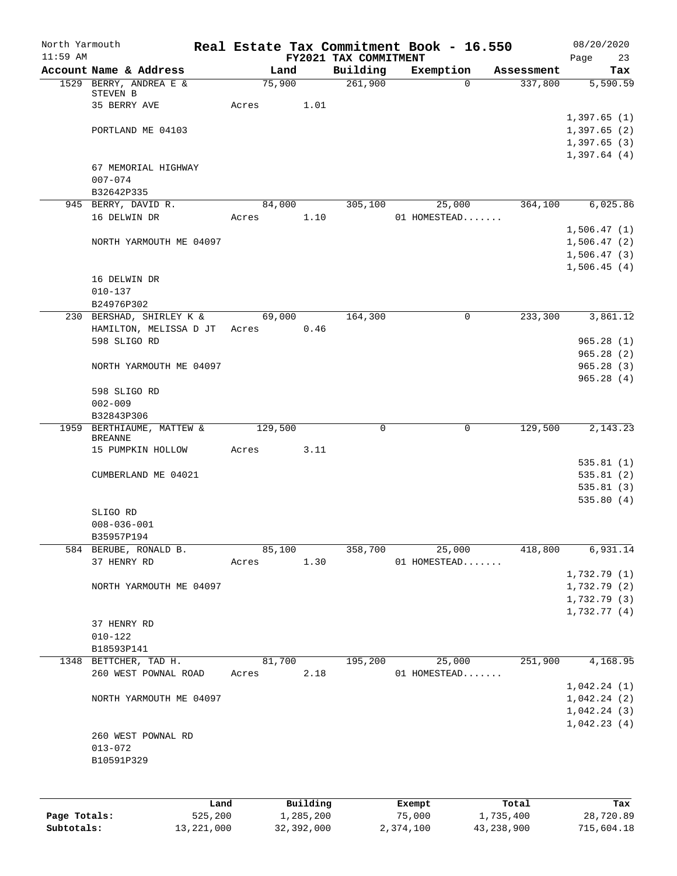| North Yarmouth<br>$11:59$ AM |                                             |                       |      | FY2021 TAX COMMITMENT | Real Estate Tax Commitment Book - 16.550 |                    | 08/20/2020<br>Page<br>23     |
|------------------------------|---------------------------------------------|-----------------------|------|-----------------------|------------------------------------------|--------------------|------------------------------|
|                              | Account Name & Address                      | Land                  |      | Building              | Exemption                                | Assessment         | Tax                          |
|                              | 1529 BERRY, ANDREA E &                      | 75,900                |      | 261,900               | $\Omega$                                 | 337,800            | 5,590.59                     |
|                              | STEVEN B<br>35 BERRY AVE                    | Acres                 | 1.01 |                       |                                          |                    |                              |
|                              |                                             |                       |      |                       |                                          |                    | 1,397.65(1)                  |
|                              | PORTLAND ME 04103                           |                       |      |                       |                                          |                    | 1,397.65(2)                  |
|                              |                                             |                       |      |                       |                                          |                    | 1,397.65(3)                  |
|                              | 67 MEMORIAL HIGHWAY                         |                       |      |                       |                                          |                    | 1,397.64(4)                  |
|                              | $007 - 074$                                 |                       |      |                       |                                          |                    |                              |
|                              | B32642P335                                  |                       |      |                       |                                          |                    |                              |
|                              | 945 BERRY, DAVID R.                         | 84,000                |      | 305,100               | 25,000                                   | 364,100            | 6,025.86                     |
|                              | 16 DELWIN DR                                | Acres                 | 1.10 |                       | 01 HOMESTEAD                             |                    |                              |
|                              |                                             |                       |      |                       |                                          |                    | 1,506.47(1)                  |
|                              | NORTH YARMOUTH ME 04097                     |                       |      |                       |                                          |                    | 1,506.47(2)<br>1,506.47(3)   |
|                              |                                             |                       |      |                       |                                          |                    | 1,506.45(4)                  |
|                              | 16 DELWIN DR                                |                       |      |                       |                                          |                    |                              |
|                              | $010 - 137$                                 |                       |      |                       |                                          |                    |                              |
|                              | B24976P302                                  |                       |      |                       |                                          |                    |                              |
|                              | 230 BERSHAD, SHIRLEY K &                    | 69,000                |      | 164,300               | 0                                        | 233,300            | 3,861.12                     |
|                              | HAMILTON, MELISSA D JT Acres                |                       | 0.46 |                       |                                          |                    |                              |
|                              | 598 SLIGO RD                                |                       |      |                       |                                          |                    | 965.28(1)<br>965.28(2)       |
|                              | NORTH YARMOUTH ME 04097                     |                       |      |                       |                                          |                    | 965.28(3)                    |
|                              |                                             |                       |      |                       |                                          |                    | 965.28(4)                    |
|                              | 598 SLIGO RD                                |                       |      |                       |                                          |                    |                              |
|                              | $002 - 009$                                 |                       |      |                       |                                          |                    |                              |
|                              | B32843P306                                  |                       |      |                       |                                          |                    |                              |
|                              | 1959 BERTHIAUME, MATTEW &<br><b>BREANNE</b> | 129,500               |      | 0                     | $\mathbf 0$                              | 129,500            | 2,143.23                     |
|                              | 15 PUMPKIN HOLLOW                           | Acres                 | 3.11 |                       |                                          |                    |                              |
|                              |                                             |                       |      |                       |                                          |                    | 535.81(1)                    |
|                              | CUMBERLAND ME 04021                         |                       |      |                       |                                          |                    | 535.81(2)                    |
|                              |                                             |                       |      |                       |                                          |                    | 535.81(3)<br>535.80(4)       |
|                              | SLIGO RD                                    |                       |      |                       |                                          |                    |                              |
|                              | $008 - 036 - 001$                           |                       |      |                       |                                          |                    |                              |
|                              | B35957P194                                  |                       |      |                       |                                          |                    |                              |
|                              | 584 BERUBE, RONALD B.                       | 85,100                |      | 358,700               | 25,000                                   | 418,800            | 6,931.14                     |
|                              | 37 HENRY RD                                 | Acres                 | 1.30 |                       | 01 HOMESTEAD                             |                    |                              |
|                              |                                             |                       |      |                       |                                          |                    | 1,732.79(1)                  |
|                              | NORTH YARMOUTH ME 04097                     |                       |      |                       |                                          |                    | 1,732.79 (2)<br>1,732.79 (3) |
|                              |                                             |                       |      |                       |                                          |                    | 1,732.77(4)                  |
|                              | 37 HENRY RD                                 |                       |      |                       |                                          |                    |                              |
|                              | $010 - 122$                                 |                       |      |                       |                                          |                    |                              |
|                              | B18593P141                                  |                       |      |                       |                                          |                    |                              |
|                              | 1348 BETTCHER, TAD H.                       | 81,700                |      | 195,200               | 25,000                                   | 251,900            | 4,168.95                     |
|                              | 260 WEST POWNAL ROAD                        | Acres                 | 2.18 |                       | 01 HOMESTEAD                             |                    |                              |
|                              | NORTH YARMOUTH ME 04097                     |                       |      |                       |                                          |                    | 1,042.24(1)<br>1,042.24(2)   |
|                              |                                             |                       |      |                       |                                          |                    | 1,042.24(3)                  |
|                              |                                             |                       |      |                       |                                          |                    | 1,042.23(4)                  |
|                              | 260 WEST POWNAL RD                          |                       |      |                       |                                          |                    |                              |
|                              | $013 - 072$                                 |                       |      |                       |                                          |                    |                              |
|                              | B10591P329                                  |                       |      |                       |                                          |                    |                              |
|                              |                                             |                       |      |                       |                                          |                    |                              |
|                              |                                             |                       |      |                       |                                          |                    |                              |
| Page Totals:                 | Land<br>525,200                             | Building<br>1,285,200 |      |                       | Exempt<br>75,000                         | Total<br>1,735,400 | Tax<br>28,720.89             |
|                              |                                             |                       |      |                       |                                          |                    |                              |

**Subtotals:** 13,221,000 32,392,000 2,374,100 43,238,900 715,604.18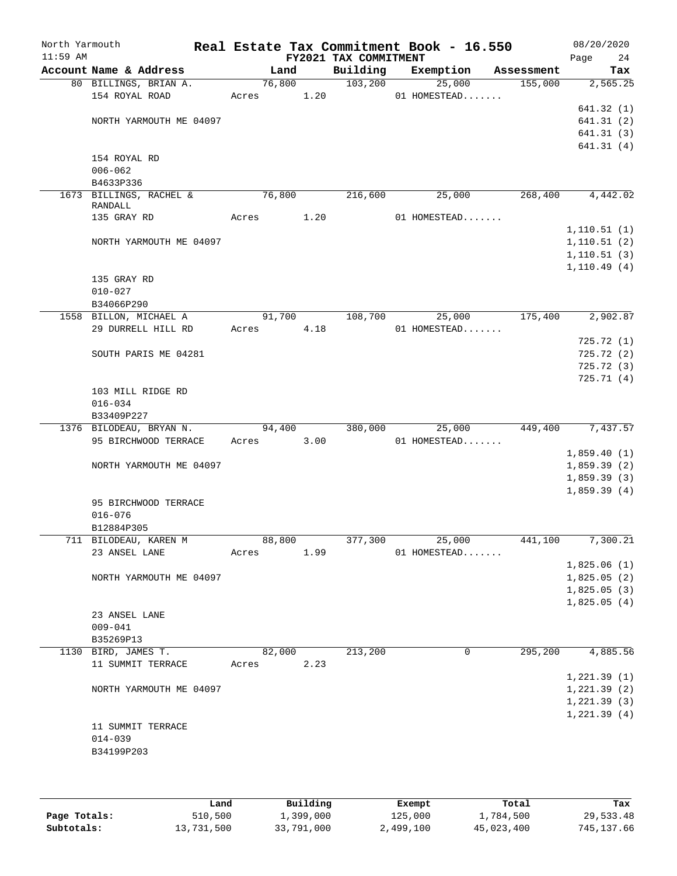| North Yarmouth<br>$11:59$ AM |                                  |        |      | FY2021 TAX COMMITMENT | Real Estate Tax Commitment Book - 16.550 |            | 08/20/2020<br>Page<br>24   |
|------------------------------|----------------------------------|--------|------|-----------------------|------------------------------------------|------------|----------------------------|
|                              | Account Name & Address           | Land   |      | Building              | Exemption                                | Assessment | Tax                        |
|                              | 80 BILLINGS, BRIAN A.            | 76,800 |      | 103, 200              | 25,000                                   | 155,000    | 2,565.25                   |
|                              | 154 ROYAL ROAD                   | Acres  | 1.20 |                       | 01 HOMESTEAD                             |            |                            |
|                              |                                  |        |      |                       |                                          |            | 641.32(1)                  |
|                              | NORTH YARMOUTH ME 04097          |        |      |                       |                                          |            | 641.31(2)                  |
|                              |                                  |        |      |                       |                                          |            | 641.31(3)<br>641.31(4)     |
|                              | 154 ROYAL RD                     |        |      |                       |                                          |            |                            |
|                              | $006 - 062$                      |        |      |                       |                                          |            |                            |
|                              | B4633P336                        |        |      |                       |                                          |            |                            |
|                              | 1673 BILLINGS, RACHEL &          | 76,800 |      | 216,600               | 25,000                                   | 268,400    | 4,442.02                   |
|                              | RANDALL<br>135 GRAY RD           | Acres  | 1.20 |                       | 01 HOMESTEAD                             |            |                            |
|                              |                                  |        |      |                       |                                          |            | 1, 110.51(1)               |
|                              | NORTH YARMOUTH ME 04097          |        |      |                       |                                          |            | 1, 110.51(2)               |
|                              |                                  |        |      |                       |                                          |            | 1, 110.51(3)               |
|                              |                                  |        |      |                       |                                          |            | 1, 110.49(4)               |
|                              | 135 GRAY RD                      |        |      |                       |                                          |            |                            |
|                              | $010 - 027$                      |        |      |                       |                                          |            |                            |
|                              | B34066P290                       |        |      |                       |                                          |            |                            |
|                              | 1558 BILLON, MICHAEL A           | 91,700 |      | 108,700               | 25,000                                   | 175,400    | 2,902.87                   |
|                              | 29 DURRELL HILL RD               | Acres  | 4.18 |                       | 01 HOMESTEAD                             |            | 725.72(1)                  |
|                              | SOUTH PARIS ME 04281             |        |      |                       |                                          |            | 725.72(2)                  |
|                              |                                  |        |      |                       |                                          |            | 725.72(3)                  |
|                              |                                  |        |      |                       |                                          |            | 725.71(4)                  |
|                              | 103 MILL RIDGE RD                |        |      |                       |                                          |            |                            |
|                              | $016 - 034$                      |        |      |                       |                                          |            |                            |
|                              | B33409P227                       |        |      |                       |                                          |            |                            |
|                              | 1376 BILODEAU, BRYAN N.          | 94,400 |      | 380,000               | 25,000                                   | 449,400    | 7,437.57                   |
|                              | 95 BIRCHWOOD TERRACE             | Acres  | 3.00 |                       | 01 HOMESTEAD                             |            |                            |
|                              |                                  |        |      |                       |                                          |            | 1,859.40(1)                |
|                              | NORTH YARMOUTH ME 04097          |        |      |                       |                                          |            | 1,859.39(2)                |
|                              |                                  |        |      |                       |                                          |            | 1,859.39(3)<br>1,859.39(4) |
|                              | 95 BIRCHWOOD TERRACE             |        |      |                       |                                          |            |                            |
|                              | $016 - 076$                      |        |      |                       |                                          |            |                            |
|                              | B12884P305                       |        |      |                       |                                          |            |                            |
|                              | 711 BILODEAU, KAREN M            | 88,800 |      | 377,300               | 25,000                                   | 441,100    | 7,300.21                   |
|                              | 23 ANSEL LANE                    | Acres  | 1.99 |                       | 01 HOMESTEAD                             |            |                            |
|                              |                                  |        |      |                       |                                          |            | 1,825.06(1)                |
|                              | NORTH YARMOUTH ME 04097          |        |      |                       |                                          |            | 1,825.05(2)                |
|                              |                                  |        |      |                       |                                          |            | 1,825.05(3)                |
|                              |                                  |        |      |                       |                                          |            | 1,825.05(4)                |
|                              | 23 ANSEL LANE                    |        |      |                       |                                          |            |                            |
|                              | $009 - 041$                      |        |      |                       |                                          |            |                            |
|                              | B35269P13<br>1130 BIRD, JAMES T. | 82,000 |      | 213,200               | $\mathbf 0$                              | 295,200    | 4,885.56                   |
|                              | 11 SUMMIT TERRACE                | Acres  | 2.23 |                       |                                          |            |                            |
|                              |                                  |        |      |                       |                                          |            | 1, 221.39(1)               |
|                              | NORTH YARMOUTH ME 04097          |        |      |                       |                                          |            | 1,221.39(2)                |
|                              |                                  |        |      |                       |                                          |            | 1, 221.39(3)               |
|                              |                                  |        |      |                       |                                          |            | 1,221.39(4)                |
|                              | 11 SUMMIT TERRACE                |        |      |                       |                                          |            |                            |
|                              | $014 - 039$                      |        |      |                       |                                          |            |                            |
|                              | B34199P203                       |        |      |                       |                                          |            |                            |
|                              |                                  |        |      |                       |                                          |            |                            |
|                              |                                  |        |      |                       |                                          |            |                            |

|              | Land       | Building   | Exempt    | Total      | Tax        |
|--------------|------------|------------|-----------|------------|------------|
| Page Totals: | 510,500    | 1,399,000  | 125,000   | 1,784,500  | 29,533.48  |
| Subtotals:   | 13,731,500 | 33,791,000 | 2,499,100 | 45,023,400 | 745,137.66 |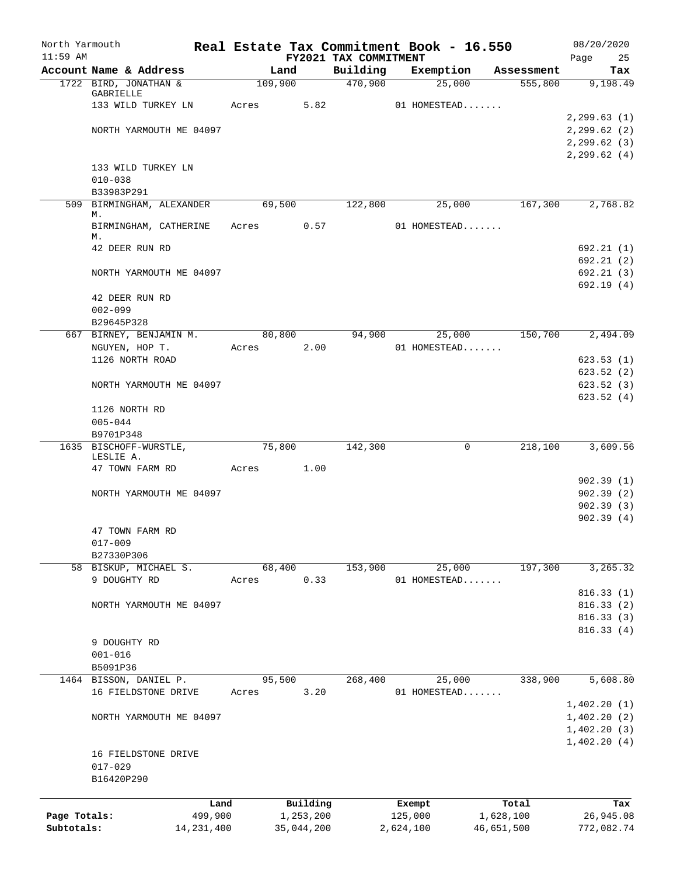| North Yarmouth |                                                 |                 |         |                       |                       |                   | Real Estate Tax Commitment Book - 16.550 |                       | 08/20/2020             |
|----------------|-------------------------------------------------|-----------------|---------|-----------------------|-----------------------|-------------------|------------------------------------------|-----------------------|------------------------|
| $11:59$ AM     |                                                 |                 |         |                       | FY2021 TAX COMMITMENT |                   |                                          |                       | Page<br>25             |
|                | Account Name & Address<br>1722 BIRD, JONATHAN & |                 | 109,900 | Land                  | Building<br>470,900   |                   | Exemption                                | Assessment<br>555,800 | Tax<br>9,198.49        |
|                | GABRIELLE                                       |                 |         |                       |                       |                   | 25,000                                   |                       |                        |
|                | 133 WILD TURKEY LN                              |                 | Acres   | 5.82                  |                       |                   | 01 HOMESTEAD                             |                       |                        |
|                |                                                 |                 |         |                       |                       |                   |                                          |                       | 2, 299.63(1)           |
|                | NORTH YARMOUTH ME 04097                         |                 |         |                       |                       |                   |                                          |                       | 2, 299.62(2)           |
|                |                                                 |                 |         |                       |                       |                   |                                          |                       | 2, 299.62(3)           |
|                |                                                 |                 |         |                       |                       |                   |                                          |                       | 2, 299.62(4)           |
|                | 133 WILD TURKEY LN                              |                 |         |                       |                       |                   |                                          |                       |                        |
|                | $010 - 038$                                     |                 |         |                       |                       |                   |                                          |                       |                        |
|                | B33983P291<br>509 BIRMINGHAM, ALEXANDER         |                 |         | 69,500                | 122,800               |                   | 25,000                                   | 167,300               | 2,768.82               |
|                | М.                                              |                 |         |                       |                       |                   |                                          |                       |                        |
|                | BIRMINGHAM, CATHERINE                           |                 | Acres   | 0.57                  |                       |                   | 01 HOMESTEAD                             |                       |                        |
|                | М.                                              |                 |         |                       |                       |                   |                                          |                       |                        |
|                | 42 DEER RUN RD                                  |                 |         |                       |                       |                   |                                          |                       | 692.21(1)              |
|                |                                                 |                 |         |                       |                       |                   |                                          |                       | 692.21(2)              |
|                | NORTH YARMOUTH ME 04097                         |                 |         |                       |                       |                   |                                          |                       | 692.21(3)              |
|                | 42 DEER RUN RD                                  |                 |         |                       |                       |                   |                                          |                       | 692.19(4)              |
|                | $002 - 099$                                     |                 |         |                       |                       |                   |                                          |                       |                        |
|                | B29645P328                                      |                 |         |                       |                       |                   |                                          |                       |                        |
|                | 667 BIRNEY, BENJAMIN M.                         |                 |         | 80,800                | 94,900                |                   | 25,000                                   | 150,700               | 2,494.09               |
|                | NGUYEN, HOP T.                                  |                 | Acres   | 2.00                  |                       |                   | 01 HOMESTEAD                             |                       |                        |
|                | 1126 NORTH ROAD                                 |                 |         |                       |                       |                   |                                          |                       | 623.53(1)              |
|                |                                                 |                 |         |                       |                       |                   |                                          |                       | 623.52(2)              |
|                | NORTH YARMOUTH ME 04097                         |                 |         |                       |                       |                   |                                          |                       | 623.52(3)              |
|                |                                                 |                 |         |                       |                       |                   |                                          |                       | 623.52(4)              |
|                | 1126 NORTH RD                                   |                 |         |                       |                       |                   |                                          |                       |                        |
|                | $005 - 044$                                     |                 |         |                       |                       |                   |                                          |                       |                        |
|                | B9701P348                                       |                 |         |                       |                       |                   |                                          |                       |                        |
|                | 1635 BISCHOFF-WURSTLE,                          |                 |         | 75,800                | 142,300               |                   | $\mathbf 0$                              | 218,100               | 3,609.56               |
|                | LESLIE A.<br>47 TOWN FARM RD                    |                 | Acres   | 1.00                  |                       |                   |                                          |                       |                        |
|                |                                                 |                 |         |                       |                       |                   |                                          |                       | 902.39(1)              |
|                | NORTH YARMOUTH ME 04097                         |                 |         |                       |                       |                   |                                          |                       | 902.39(2)              |
|                |                                                 |                 |         |                       |                       |                   |                                          |                       | 902.39(3)              |
|                |                                                 |                 |         |                       |                       |                   |                                          |                       | 902.39(4)              |
|                | 47 TOWN FARM RD                                 |                 |         |                       |                       |                   |                                          |                       |                        |
|                | $017 - 009$                                     |                 |         |                       |                       |                   |                                          |                       |                        |
|                | B27330P306                                      |                 |         |                       |                       |                   |                                          |                       |                        |
|                | 58 BISKUP, MICHAEL S.                           |                 |         | 68,400                | 153,900               |                   | 25,000                                   | 197,300               | 3,265.32               |
|                | 9 DOUGHTY RD                                    |                 | Acres   | 0.33                  |                       |                   | 01 HOMESTEAD                             |                       |                        |
|                |                                                 |                 |         |                       |                       |                   |                                          |                       | 816.33(1)              |
|                | NORTH YARMOUTH ME 04097                         |                 |         |                       |                       |                   |                                          |                       | 816.33(2)              |
|                |                                                 |                 |         |                       |                       |                   |                                          |                       | 816.33(3)<br>816.33(4) |
|                | 9 DOUGHTY RD                                    |                 |         |                       |                       |                   |                                          |                       |                        |
|                | $001 - 016$                                     |                 |         |                       |                       |                   |                                          |                       |                        |
|                | B5091P36                                        |                 |         |                       |                       |                   |                                          |                       |                        |
| 1464           | BISSON, DANIEL P.                               |                 |         | 95,500                | 268,400               |                   | 25,000                                   | 338,900               | 5,608.80               |
|                | 16 FIELDSTONE DRIVE                             |                 | Acres   | 3.20                  |                       |                   | 01 HOMESTEAD                             |                       |                        |
|                |                                                 |                 |         |                       |                       |                   |                                          |                       | 1,402.20(1)            |
|                | NORTH YARMOUTH ME 04097                         |                 |         |                       |                       |                   |                                          |                       | 1,402.20(2)            |
|                |                                                 |                 |         |                       |                       |                   |                                          |                       | 1,402.20(3)            |
|                |                                                 |                 |         |                       |                       |                   |                                          |                       | 1,402.20(4)            |
|                | 16 FIELDSTONE DRIVE                             |                 |         |                       |                       |                   |                                          |                       |                        |
|                | $017 - 029$                                     |                 |         |                       |                       |                   |                                          |                       |                        |
|                | B16420P290                                      |                 |         |                       |                       |                   |                                          |                       |                        |
|                |                                                 |                 |         |                       |                       |                   |                                          |                       |                        |
| Page Totals:   |                                                 | Land<br>499,900 |         | Building<br>1,253,200 |                       | Exempt<br>125,000 |                                          | Total<br>1,628,100    | Tax<br>26,945.08       |
| Subtotals:     |                                                 | 14,231,400      |         | 35,044,200            |                       | 2,624,100         |                                          | 46,651,500            | 772,082.74             |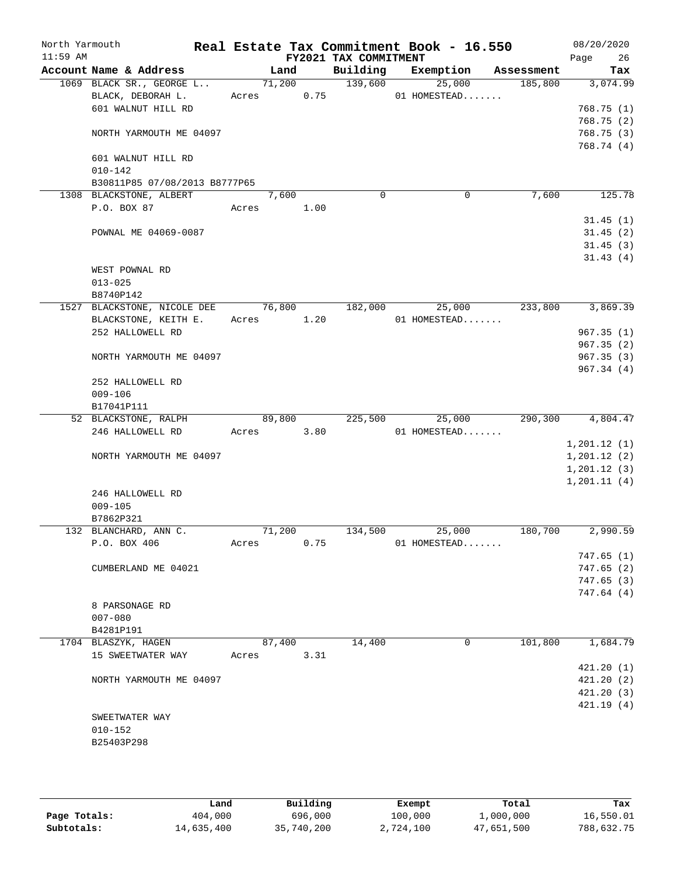| North Yarmouth<br>$11:59$ AM |                                          |            |        |      | Real Estate Tax Commitment Book - 16.550 |              |              |            | 08/20/2020        |
|------------------------------|------------------------------------------|------------|--------|------|------------------------------------------|--------------|--------------|------------|-------------------|
|                              | Account Name & Address                   |            | Land   |      | FY2021 TAX COMMITMENT<br>Building        |              | Exemption    | Assessment | Page<br>26<br>Tax |
|                              | 1069 BLACK SR., GEORGE L                 | 71,200     |        |      | 139,600                                  |              | 25,000       | 185,800    | 3,074.99          |
|                              | BLACK, DEBORAH L.                        | Acres      |        | 0.75 |                                          | 01 HOMESTEAD |              |            |                   |
|                              | 601 WALNUT HILL RD                       |            |        |      |                                          |              |              |            | 768.75(1)         |
|                              |                                          |            |        |      |                                          |              |              |            | 768.75(2)         |
|                              | NORTH YARMOUTH ME 04097                  |            |        |      |                                          |              |              |            | 768.75(3)         |
|                              |                                          |            |        |      |                                          |              |              |            | 768.74 (4)        |
|                              | 601 WALNUT HILL RD                       |            |        |      |                                          |              |              |            |                   |
|                              | $010 - 142$                              |            |        |      |                                          |              |              |            |                   |
|                              | B30811P85 07/08/2013 B8777P65            |            |        |      |                                          |              |              |            |                   |
|                              | 1308 BLACKSTONE, ALBERT                  |            | 7,600  |      | $\mathbf 0$                              |              | 0            | 7,600      | 125.78            |
|                              | P.O. BOX 87                              | Acres 1.00 |        |      |                                          |              |              |            |                   |
|                              |                                          |            |        |      |                                          |              |              |            | 31.45(1)          |
|                              | POWNAL ME 04069-0087                     |            |        |      |                                          |              |              |            | 31.45(2)          |
|                              |                                          |            |        |      |                                          |              |              |            | 31.45(3)          |
|                              |                                          |            |        |      |                                          |              |              |            | 31.43(4)          |
|                              | WEST POWNAL RD                           |            |        |      |                                          |              |              |            |                   |
|                              | $013 - 025$                              |            |        |      |                                          |              |              |            |                   |
|                              | B8740P142<br>1527 BLACKSTONE, NICOLE DEE | 76,800     |        |      | 182,000                                  |              | 25,000       | 233,800    | 3,869.39          |
|                              |                                          | Acres 1.20 |        |      |                                          | 01 HOMESTEAD |              |            |                   |
|                              | BLACKSTONE, KEITH E.<br>252 HALLOWELL RD |            |        |      |                                          |              |              |            | 967.35(1)         |
|                              |                                          |            |        |      |                                          |              |              |            | 967.35(2)         |
|                              | NORTH YARMOUTH ME 04097                  |            |        |      |                                          |              |              |            | 967.35(3)         |
|                              |                                          |            |        |      |                                          |              |              |            | 967.34(4)         |
|                              | 252 HALLOWELL RD                         |            |        |      |                                          |              |              |            |                   |
|                              | $009 - 106$                              |            |        |      |                                          |              |              |            |                   |
|                              | B17041P111                               |            |        |      |                                          |              |              |            |                   |
|                              | 52 BLACKSTONE, RALPH                     |            | 89,800 |      | 225,500                                  |              | 25,000       |            | 290,300 4,804.47  |
|                              | 246 HALLOWELL RD                         | Acres      |        | 3.80 |                                          | 01 HOMESTEAD |              |            |                   |
|                              |                                          |            |        |      |                                          |              |              |            | 1, 201.12(1)      |
|                              | NORTH YARMOUTH ME 04097                  |            |        |      |                                          |              |              |            | 1, 201.12(2)      |
|                              |                                          |            |        |      |                                          |              |              |            | 1, 201.12(3)      |
|                              |                                          |            |        |      |                                          |              |              |            | 1, 201.11(4)      |
|                              | 246 HALLOWELL RD                         |            |        |      |                                          |              |              |            |                   |
|                              | $009 - 105$                              |            |        |      |                                          |              |              |            |                   |
|                              | B7862P321                                |            |        |      |                                          |              |              |            |                   |
|                              | 132 BLANCHARD, ANN C.                    |            | 71,200 |      | 134,500                                  |              | 25,000       | 180,700    | 2,990.59          |
|                              | P.O. BOX 406                             | Acres      |        | 0.75 |                                          | 01 HOMESTEAD |              |            |                   |
|                              |                                          |            |        |      |                                          |              |              |            | 747.65(1)         |
|                              | CUMBERLAND ME 04021                      |            |        |      |                                          |              |              |            | 747.65(2)         |
|                              |                                          |            |        |      |                                          |              |              |            | 747.65(3)         |
|                              |                                          |            |        |      |                                          |              |              |            | 747.64 (4)        |
|                              | 8 PARSONAGE RD                           |            |        |      |                                          |              |              |            |                   |
|                              | $007 - 080$<br>B4281P191                 |            |        |      |                                          |              |              |            |                   |
|                              | 1704 BLASZYK, HAGEN                      |            | 87,400 |      | 14,400                                   |              | $\mathbf{0}$ | 101,800    | 1,684.79          |
|                              | 15 SWEETWATER WAY                        | Acres      |        | 3.31 |                                          |              |              |            |                   |
|                              |                                          |            |        |      |                                          |              |              |            | 421.20(1)         |
|                              | NORTH YARMOUTH ME 04097                  |            |        |      |                                          |              |              |            | 421.20(2)         |
|                              |                                          |            |        |      |                                          |              |              |            | 421.20(3)         |
|                              |                                          |            |        |      |                                          |              |              |            | 421.19(4)         |
|                              | SWEETWATER WAY                           |            |        |      |                                          |              |              |            |                   |
|                              | $010 - 152$                              |            |        |      |                                          |              |              |            |                   |
|                              | B25403P298                               |            |        |      |                                          |              |              |            |                   |
|                              |                                          |            |        |      |                                          |              |              |            |                   |
|                              |                                          |            |        |      |                                          |              |              |            |                   |

|              | Land       | Building   | Exempt    | Total      | Tax        |
|--------------|------------|------------|-----------|------------|------------|
| Page Totals: | 404,000    | 696,000    | 100,000   | 1,000,000  | 16,550.01  |
| Subtotals:   | 14,635,400 | 35,740,200 | 2,724,100 | 47,651,500 | 788,632.75 |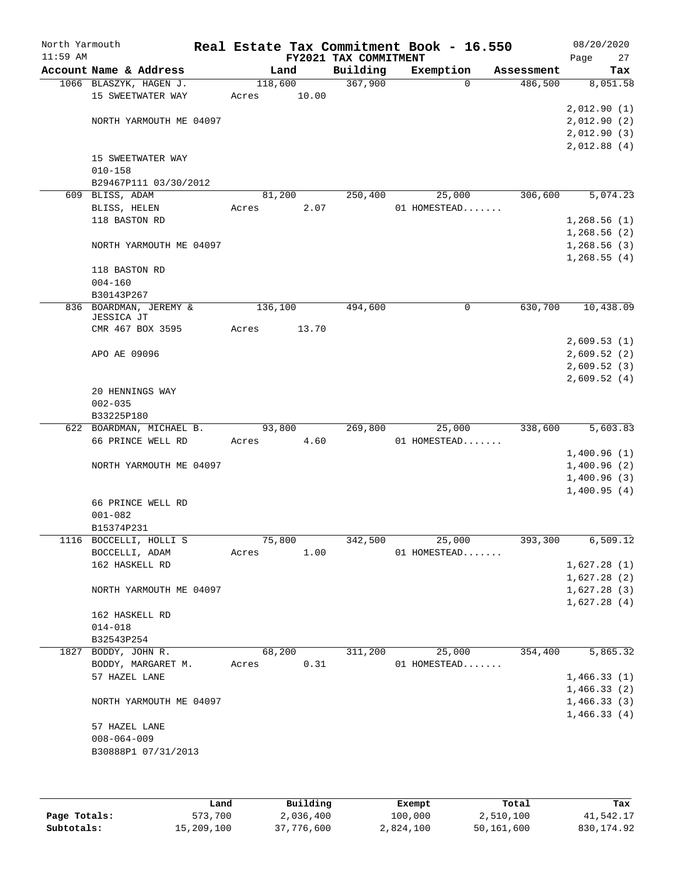| North Yarmouth<br>$11:59$ AM |                                               |         |       | Real Estate Tax Commitment Book - 16.550<br>FY2021 TAX COMMITMENT |                        |          |            | 08/20/2020<br>27<br>Page   |
|------------------------------|-----------------------------------------------|---------|-------|-------------------------------------------------------------------|------------------------|----------|------------|----------------------------|
|                              | Account Name & Address                        |         | Land  | Building                                                          | Exemption              |          | Assessment | Tax                        |
|                              | 1066 BLASZYK, HAGEN J.                        | 118,600 |       | 367,900                                                           |                        | $\Omega$ | 486,500    | 8,051.58                   |
|                              | 15 SWEETWATER WAY                             | Acres   | 10.00 |                                                                   |                        |          |            |                            |
|                              |                                               |         |       |                                                                   |                        |          |            | 2,012.90(1)                |
|                              | NORTH YARMOUTH ME 04097                       |         |       |                                                                   |                        |          |            | 2,012.90(2)                |
|                              |                                               |         |       |                                                                   |                        |          |            | 2,012.90(3)                |
|                              |                                               |         |       |                                                                   |                        |          |            | 2,012.88(4)                |
|                              | 15 SWEETWATER WAY                             |         |       |                                                                   |                        |          |            |                            |
|                              | $010 - 158$                                   |         |       |                                                                   |                        |          |            |                            |
|                              | B29467P111 03/30/2012                         |         |       |                                                                   |                        |          |            |                            |
|                              | 609 BLISS, ADAM                               | 81,200  |       | 250,400                                                           | 25,000                 |          | 306,600    | 5,074.23                   |
|                              | BLISS, HELEN                                  | Acres   | 2.07  |                                                                   | 01 HOMESTEAD           |          |            |                            |
|                              | 118 BASTON RD                                 |         |       |                                                                   |                        |          |            | 1,268.56(1)                |
|                              |                                               |         |       |                                                                   |                        |          |            | 1,268.56(2)                |
|                              | NORTH YARMOUTH ME 04097                       |         |       |                                                                   |                        |          |            | 1,268.56(3)<br>1,268.55(4) |
|                              | 118 BASTON RD                                 |         |       |                                                                   |                        |          |            |                            |
|                              | $004 - 160$                                   |         |       |                                                                   |                        |          |            |                            |
|                              | B30143P267                                    |         |       |                                                                   |                        |          |            |                            |
|                              | 836 BOARDMAN, JEREMY &                        | 136,100 |       | 494,600                                                           |                        | 0        | 630,700    | 10,438.09                  |
|                              | JESSICA JT                                    |         |       |                                                                   |                        |          |            |                            |
|                              | CMR 467 BOX 3595                              | Acres   | 13.70 |                                                                   |                        |          |            |                            |
|                              |                                               |         |       |                                                                   |                        |          |            | 2,609.53(1)                |
|                              | APO AE 09096                                  |         |       |                                                                   |                        |          |            | 2,609.52(2)                |
|                              |                                               |         |       |                                                                   |                        |          |            | 2,609.52(3)                |
|                              |                                               |         |       |                                                                   |                        |          |            | 2,609.52(4)                |
|                              | 20 HENNINGS WAY                               |         |       |                                                                   |                        |          |            |                            |
|                              | $002 - 035$                                   |         |       |                                                                   |                        |          |            |                            |
|                              | B33225P180                                    |         |       |                                                                   |                        |          |            |                            |
|                              | 622 BOARDMAN, MICHAEL B.<br>66 PRINCE WELL RD | 93,800  | 4.60  | 269,800                                                           | 25,000<br>01 HOMESTEAD |          | 338,600    | 5,603.83                   |
|                              |                                               | Acres   |       |                                                                   |                        |          |            | 1,400.96(1)                |
|                              | NORTH YARMOUTH ME 04097                       |         |       |                                                                   |                        |          |            | 1,400.96(2)                |
|                              |                                               |         |       |                                                                   |                        |          |            | 1,400.96(3)                |
|                              |                                               |         |       |                                                                   |                        |          |            | 1,400.95(4)                |
|                              | 66 PRINCE WELL RD                             |         |       |                                                                   |                        |          |            |                            |
|                              | $001 - 082$                                   |         |       |                                                                   |                        |          |            |                            |
|                              | B15374P231                                    |         |       |                                                                   |                        |          |            |                            |
|                              | 1116 BOCCELLI, HOLLI S                        | 75,800  |       | 342,500                                                           | 25,000                 |          | 393,300    | 6,509.12                   |
|                              | BOCCELLI, ADAM                                | Acres   | 1.00  |                                                                   | 01 HOMESTEAD           |          |            |                            |
|                              | 162 HASKELL RD                                |         |       |                                                                   |                        |          |            | 1,627.28(1)                |
|                              |                                               |         |       |                                                                   |                        |          |            | 1,627.28(2)                |
|                              | NORTH YARMOUTH ME 04097                       |         |       |                                                                   |                        |          |            | 1,627.28(3)                |
|                              |                                               |         |       |                                                                   |                        |          |            | 1,627.28(4)                |
|                              | 162 HASKELL RD                                |         |       |                                                                   |                        |          |            |                            |
|                              | $014 - 018$                                   |         |       |                                                                   |                        |          |            |                            |
|                              | B32543P254                                    |         |       |                                                                   |                        |          |            |                            |
| 1827                         | BODDY, JOHN R.                                | 68,200  |       | 311,200                                                           | 25,000                 |          | 354,400    | 5,865.32                   |
|                              | BODDY, MARGARET M.                            | Acres   | 0.31  |                                                                   | 01 HOMESTEAD           |          |            |                            |
|                              | 57 HAZEL LANE                                 |         |       |                                                                   |                        |          |            | 1,466.33(1)                |
|                              |                                               |         |       |                                                                   |                        |          |            | 1,466.33(2)                |
|                              | NORTH YARMOUTH ME 04097                       |         |       |                                                                   |                        |          |            | 1,466.33(3)                |
|                              |                                               |         |       |                                                                   |                        |          |            | 1,466.33(4)                |
|                              | 57 HAZEL LANE                                 |         |       |                                                                   |                        |          |            |                            |
|                              | $008 - 064 - 009$                             |         |       |                                                                   |                        |          |            |                            |
|                              | B30888P1 07/31/2013                           |         |       |                                                                   |                        |          |            |                            |
|                              |                                               |         |       |                                                                   |                        |          |            |                            |
|                              |                                               |         |       |                                                                   |                        |          |            |                            |

|              | Land       | Building   | Exempt    | Total      | Tax        |
|--------------|------------|------------|-----------|------------|------------|
| Page Totals: | 573,700    | 2,036,400  | 100,000   | 2,510,100  | 41,542.17  |
| Subtotals:   | 15,209,100 | 37,776,600 | 2,824,100 | 50,161,600 | 830,174.92 |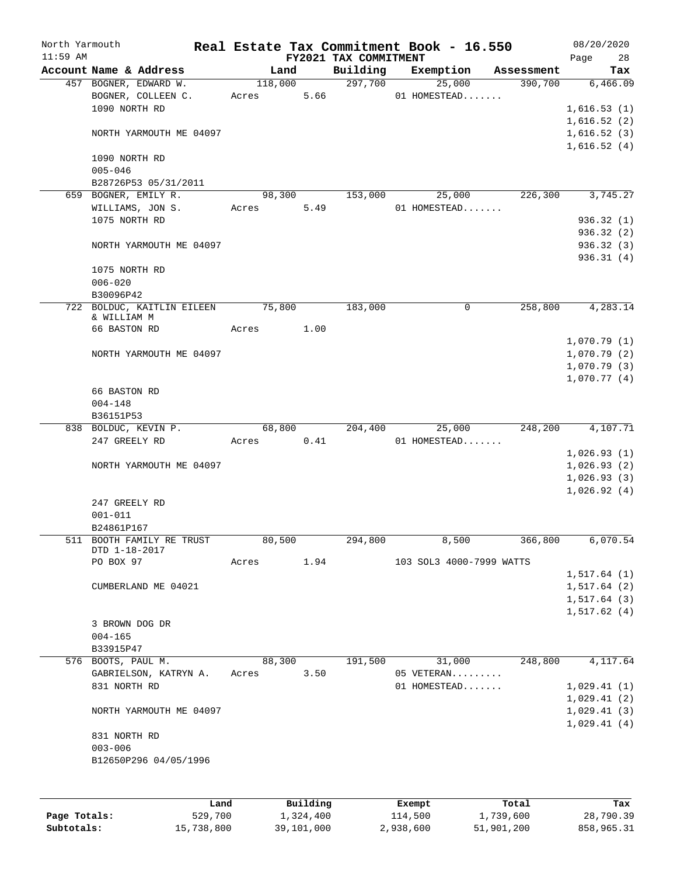| North Yarmouth<br>$11:59$ AM |                                         |         |          |                                   | Real Estate Tax Commitment Book - 16.550 |            | 08/20/2020        |
|------------------------------|-----------------------------------------|---------|----------|-----------------------------------|------------------------------------------|------------|-------------------|
|                              | Account Name & Address                  | Land    |          | FY2021 TAX COMMITMENT<br>Building | Exemption                                | Assessment | Page<br>28<br>Tax |
|                              | 457 BOGNER, EDWARD W.                   | 118,000 |          | 297,700                           | 25,000                                   | 390,700    | 6,466.09          |
|                              | BOGNER, COLLEEN C.                      | Acres   | 5.66     |                                   | 01 HOMESTEAD                             |            |                   |
|                              | 1090 NORTH RD                           |         |          |                                   |                                          |            | 1,616.53(1)       |
|                              |                                         |         |          |                                   |                                          |            | 1,616.52(2)       |
|                              | NORTH YARMOUTH ME 04097                 |         |          |                                   |                                          |            | 1,616.52(3)       |
|                              |                                         |         |          |                                   |                                          |            | 1,616.52(4)       |
|                              | 1090 NORTH RD                           |         |          |                                   |                                          |            |                   |
|                              | $005 - 046$                             |         |          |                                   |                                          |            |                   |
|                              | B28726P53 05/31/2011                    |         |          |                                   |                                          |            |                   |
|                              | 659 BOGNER, EMILY R.                    | 98,300  |          | 153,000                           | 25,000                                   | 226,300    | 3,745.27          |
|                              | WILLIAMS, JON S.                        | Acres   | 5.49     |                                   | 01 HOMESTEAD                             |            |                   |
|                              | 1075 NORTH RD                           |         |          |                                   |                                          |            | 936.32 (1)        |
|                              |                                         |         |          |                                   |                                          |            | 936.32 (2)        |
|                              | NORTH YARMOUTH ME 04097                 |         |          |                                   |                                          |            | 936.32 (3)        |
|                              |                                         |         |          |                                   |                                          |            | 936.31(4)         |
|                              | 1075 NORTH RD                           |         |          |                                   |                                          |            |                   |
|                              | $006 - 020$                             |         |          |                                   |                                          |            |                   |
|                              | B30096P42                               |         |          |                                   |                                          |            |                   |
|                              | 722 BOLDUC, KAITLIN EILEEN              | 75,800  |          | 183,000                           | 0                                        | 258,800    | 4,283.14          |
|                              | & WILLIAM M                             |         |          |                                   |                                          |            |                   |
|                              | 66 BASTON RD                            | Acres   | 1.00     |                                   |                                          |            |                   |
|                              |                                         |         |          |                                   |                                          |            | 1,070.79(1)       |
|                              | NORTH YARMOUTH ME 04097                 |         |          |                                   |                                          |            | 1,070.79(2)       |
|                              |                                         |         |          |                                   |                                          |            | 1,070.79(3)       |
|                              |                                         |         |          |                                   |                                          |            | 1,070.77(4)       |
|                              | 66 BASTON RD                            |         |          |                                   |                                          |            |                   |
|                              | $004 - 148$                             |         |          |                                   |                                          |            |                   |
|                              | B36151P53                               |         |          |                                   |                                          |            |                   |
|                              | 838 BOLDUC, KEVIN P.                    | 68,800  |          | 204,400                           | 25,000                                   | 248,200    | 4,107.71          |
|                              | 247 GREELY RD                           | Acres   | 0.41     |                                   | 01 HOMESTEAD                             |            |                   |
|                              |                                         |         |          |                                   |                                          |            | 1,026.93(1)       |
|                              | NORTH YARMOUTH ME 04097                 |         |          |                                   |                                          |            | 1,026.93(2)       |
|                              |                                         |         |          |                                   |                                          |            | 1,026.93(3)       |
|                              |                                         |         |          |                                   |                                          |            | 1,026.92(4)       |
|                              | 247 GREELY RD                           |         |          |                                   |                                          |            |                   |
|                              | $001 - 011$                             |         |          |                                   |                                          |            |                   |
|                              | B24861P167<br>511 BOOTH FAMILY RE TRUST | 80,500  |          | 294,800                           | 8,500                                    | 366,800    | 6,070.54          |
|                              | DTD 1-18-2017                           |         |          |                                   |                                          |            |                   |
|                              | PO BOX 97                               | Acres   | 1.94     |                                   | 103 SOL3 4000-7999 WATTS                 |            |                   |
|                              |                                         |         |          |                                   |                                          |            | 1,517.64(1)       |
|                              | CUMBERLAND ME 04021                     |         |          |                                   |                                          |            | 1,517.64(2)       |
|                              |                                         |         |          |                                   |                                          |            | 1,517.64(3)       |
|                              |                                         |         |          |                                   |                                          |            | 1,517.62(4)       |
|                              | 3 BROWN DOG DR                          |         |          |                                   |                                          |            |                   |
|                              | $004 - 165$                             |         |          |                                   |                                          |            |                   |
|                              | B33915P47                               |         |          |                                   |                                          |            |                   |
|                              | 576 BOOTS, PAUL M.                      | 88,300  |          | 191,500                           | 31,000                                   | 248,800    | 4,117.64          |
|                              | GABRIELSON, KATRYN A.                   | Acres   | 3.50     |                                   | 05 VETERAN                               |            |                   |
|                              | 831 NORTH RD                            |         |          |                                   | 01 HOMESTEAD                             |            | 1,029.41(1)       |
|                              |                                         |         |          |                                   |                                          |            | 1,029.41(2)       |
|                              | NORTH YARMOUTH ME 04097                 |         |          |                                   |                                          |            | 1,029.41(3)       |
|                              |                                         |         |          |                                   |                                          |            | 1,029.41(4)       |
|                              | 831 NORTH RD                            |         |          |                                   |                                          |            |                   |
|                              | $003 - 006$                             |         |          |                                   |                                          |            |                   |
|                              | B12650P296 04/05/1996                   |         |          |                                   |                                          |            |                   |
|                              |                                         |         |          |                                   |                                          |            |                   |
|                              |                                         |         |          |                                   |                                          |            |                   |
|                              | Land                                    |         | Building |                                   | Exempt                                   | Total      | Tax               |

|              | ------     | ---------  | --------  | -----      | ----       |
|--------------|------------|------------|-----------|------------|------------|
| Page Totals: | 529,700    | 1,324,400  | 114,500   | 1,739,600  | 28,790.39  |
| Subtotals:   | 15,738,800 | 39,101,000 | 2,938,600 | 51,901,200 | 858,965.31 |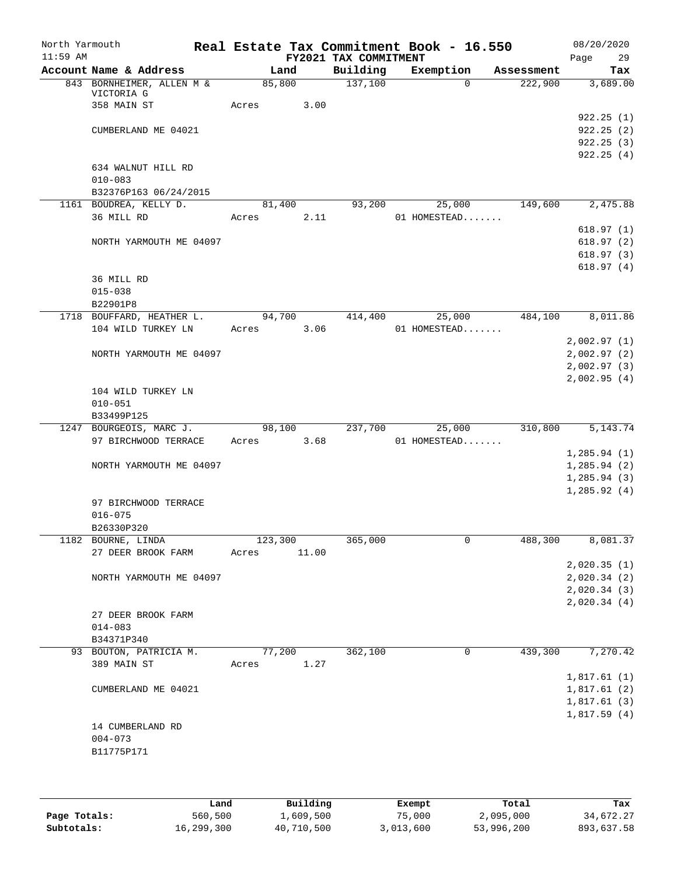| North Yarmouth<br>$11:59$ AM |                                         |       |         |       | FY2021 TAX COMMITMENT | Real Estate Tax Commitment Book - 16.550 |            | 08/20/2020<br>Page<br>29 |
|------------------------------|-----------------------------------------|-------|---------|-------|-----------------------|------------------------------------------|------------|--------------------------|
|                              | Account Name & Address                  |       | Land    |       | Building              | Exemption                                | Assessment | Tax                      |
|                              | 843 BORNHEIMER, ALLEN M &<br>VICTORIA G |       | 85,800  |       | 137,100               | $\Omega$                                 | 222,900    | 3,689.00                 |
|                              | 358 MAIN ST                             | Acres |         | 3.00  |                       |                                          |            |                          |
|                              |                                         |       |         |       |                       |                                          |            | 922.25(1)                |
|                              | CUMBERLAND ME 04021                     |       |         |       |                       |                                          |            | 922.25(2)                |
|                              |                                         |       |         |       |                       |                                          |            | 922.25(3)                |
|                              |                                         |       |         |       |                       |                                          |            | 922.25(4)                |
|                              | 634 WALNUT HILL RD                      |       |         |       |                       |                                          |            |                          |
|                              | $010 - 083$                             |       |         |       |                       |                                          |            |                          |
|                              | B32376P163 06/24/2015                   |       |         |       |                       |                                          |            |                          |
|                              | 1161 BOUDREA, KELLY D.                  |       | 81,400  |       | 93,200                | 25,000                                   | 149,600    | 2,475.88                 |
|                              | 36 MILL RD                              | Acres |         | 2.11  |                       | 01 HOMESTEAD                             |            |                          |
|                              |                                         |       |         |       |                       |                                          |            | 618.97(1)                |
|                              | NORTH YARMOUTH ME 04097                 |       |         |       |                       |                                          |            | 618.97(2)                |
|                              |                                         |       |         |       |                       |                                          |            | 618.97(3)                |
|                              |                                         |       |         |       |                       |                                          |            | 618.97(4)                |
|                              | 36 MILL RD                              |       |         |       |                       |                                          |            |                          |
|                              | $015 - 038$                             |       |         |       |                       |                                          |            |                          |
|                              | B22901P8                                |       |         |       |                       |                                          |            |                          |
|                              | 1718 BOUFFARD, HEATHER L.               |       | 94,700  |       | 414,400               | 25,000                                   | 484,100    | 8,011.86                 |
|                              | 104 WILD TURKEY LN                      | Acres |         | 3.06  |                       | 01 HOMESTEAD                             |            |                          |
|                              |                                         |       |         |       |                       |                                          |            | 2,002.97(1)              |
|                              | NORTH YARMOUTH ME 04097                 |       |         |       |                       |                                          |            |                          |
|                              |                                         |       |         |       |                       |                                          |            | 2,002.97(2)              |
|                              |                                         |       |         |       |                       |                                          |            | 2,002.97(3)              |
|                              |                                         |       |         |       |                       |                                          |            | 2,002.95(4)              |
|                              | 104 WILD TURKEY LN<br>$010 - 051$       |       |         |       |                       |                                          |            |                          |
|                              |                                         |       |         |       |                       |                                          |            |                          |
|                              | B33499P125<br>1247 BOURGEOIS, MARC J.   |       |         |       | 237,700               |                                          | 310,800    | 5, 143. 74               |
|                              | 97 BIRCHWOOD TERRACE                    | Acres | 98,100  | 3.68  |                       | 25,000<br>01 HOMESTEAD                   |            |                          |
|                              |                                         |       |         |       |                       |                                          |            | 1, 285.94(1)             |
|                              | NORTH YARMOUTH ME 04097                 |       |         |       |                       |                                          |            |                          |
|                              |                                         |       |         |       |                       |                                          |            | 1,285.94(2)              |
|                              |                                         |       |         |       |                       |                                          |            | 1, 285.94(3)             |
|                              |                                         |       |         |       |                       |                                          |            | 1,285.92(4)              |
|                              | 97 BIRCHWOOD TERRACE                    |       |         |       |                       |                                          |            |                          |
|                              | $016 - 075$                             |       |         |       |                       |                                          |            |                          |
|                              | B26330P320                              |       |         |       |                       |                                          |            |                          |
|                              | 1182 BOURNE, LINDA                      |       | 123,300 |       | 365,000               | 0                                        | 488,300    | 8,081.37                 |
|                              | 27 DEER BROOK FARM                      | Acres |         | 11.00 |                       |                                          |            |                          |
|                              |                                         |       |         |       |                       |                                          |            | 2,020.35(1)              |
|                              | NORTH YARMOUTH ME 04097                 |       |         |       |                       |                                          |            | 2,020.34(2)              |
|                              |                                         |       |         |       |                       |                                          |            | 2,020.34(3)              |
|                              |                                         |       |         |       |                       |                                          |            | 2,020.34(4)              |
|                              | 27 DEER BROOK FARM                      |       |         |       |                       |                                          |            |                          |
|                              | $014 - 083$                             |       |         |       |                       |                                          |            |                          |
|                              | B34371P340                              |       |         |       |                       |                                          |            |                          |
|                              | 93 BOUTON, PATRICIA M.                  |       | 77,200  |       | 362,100               | 0                                        | 439,300    | 7,270.42                 |
|                              | 389 MAIN ST                             | Acres |         | 1.27  |                       |                                          |            |                          |
|                              |                                         |       |         |       |                       |                                          |            | 1,817.61(1)              |
|                              | CUMBERLAND ME 04021                     |       |         |       |                       |                                          |            | 1,817.61(2)              |
|                              |                                         |       |         |       |                       |                                          |            | 1,817.61(3)              |
|                              |                                         |       |         |       |                       |                                          |            | 1,817.59(4)              |
|                              | 14 CUMBERLAND RD                        |       |         |       |                       |                                          |            |                          |
|                              | $004 - 073$                             |       |         |       |                       |                                          |            |                          |
|                              | B11775P171                              |       |         |       |                       |                                          |            |                          |
|                              |                                         |       |         |       |                       |                                          |            |                          |
|                              |                                         |       |         |       |                       |                                          |            |                          |

|              | Land       | Building   | Exempt    | Total      | Tax        |
|--------------|------------|------------|-----------|------------|------------|
| Page Totals: | 560,500    | 1,609,500  | 75,000    | 2,095,000  | 34,672.27  |
| Subtotals:   | 16,299,300 | 40,710,500 | 3,013,600 | 53,996,200 | 893,637.58 |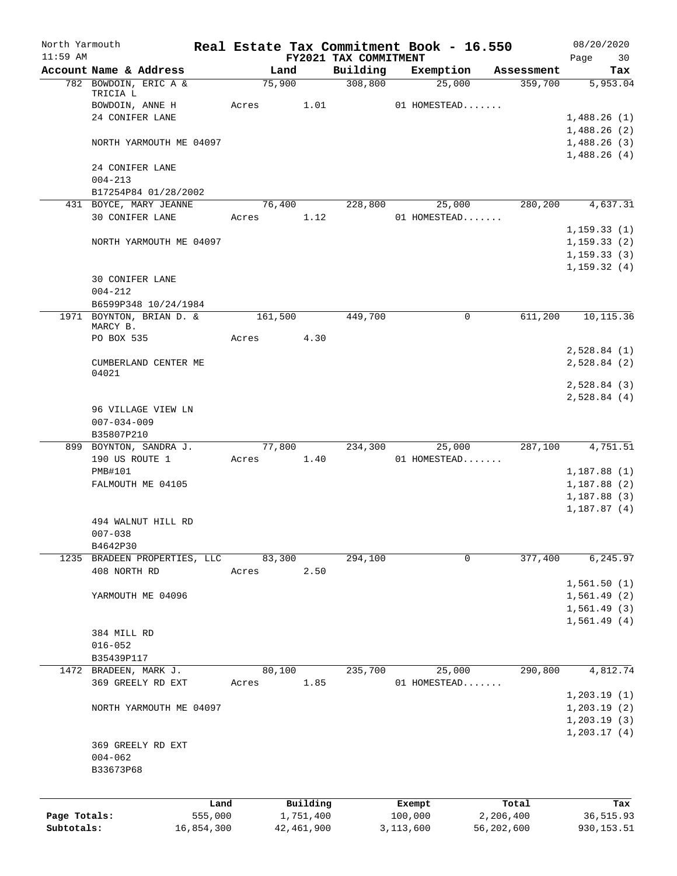| North Yarmouth<br>$11:59$ AM |                                      |            |         |              | FY2021 TAX COMMITMENT | Real Estate Tax Commitment Book - 16.550 |            | 08/20/2020<br>Page<br>30 |
|------------------------------|--------------------------------------|------------|---------|--------------|-----------------------|------------------------------------------|------------|--------------------------|
|                              | Account Name & Address               |            |         | Land         | Building              | Exemption                                | Assessment | Tax                      |
|                              | 782 BOWDOIN, ERIC A &                |            | 75,900  |              | 308,800               | 25,000                                   | 359,700    | 5,953.04                 |
|                              | TRICIA L<br>BOWDOIN, ANNE H          |            | Acres   | 1.01         |                       | 01 HOMESTEAD                             |            |                          |
|                              | 24 CONIFER LANE                      |            |         |              |                       |                                          |            | 1,488.26(1)              |
|                              |                                      |            |         |              |                       |                                          |            | 1,488.26(2)              |
|                              | NORTH YARMOUTH ME 04097              |            |         |              |                       |                                          |            | 1,488.26(3)              |
|                              |                                      |            |         |              |                       |                                          |            | 1,488.26(4)              |
|                              | 24 CONIFER LANE<br>$004 - 213$       |            |         |              |                       |                                          |            |                          |
|                              | B17254P84 01/28/2002                 |            |         |              |                       |                                          |            |                          |
|                              | 431 BOYCE, MARY JEANNE               |            | 76,400  |              | 228,800               | 25,000                                   | 280,200    | 4,637.31                 |
|                              | 30 CONIFER LANE                      |            | Acres   | 1.12         |                       | 01 HOMESTEAD                             |            |                          |
|                              |                                      |            |         |              |                       |                                          |            | 1,159.33(1)              |
|                              | NORTH YARMOUTH ME 04097              |            |         |              |                       |                                          |            | 1, 159.33(2)             |
|                              |                                      |            |         |              |                       |                                          |            | 1,159.33(3)              |
|                              |                                      |            |         |              |                       |                                          |            | 1, 159.32(4)             |
|                              | 30 CONIFER LANE                      |            |         |              |                       |                                          |            |                          |
|                              | $004 - 212$                          |            |         |              |                       |                                          |            |                          |
|                              | B6599P348 10/24/1984                 |            |         |              |                       |                                          |            |                          |
|                              | 1971 BOYNTON, BRIAN D. &<br>MARCY B. |            | 161,500 |              | 449,700               | 0                                        | 611,200    | 10,115.36                |
|                              | PO BOX 535                           |            | Acres   | 4.30         |                       |                                          |            |                          |
|                              |                                      |            |         |              |                       |                                          |            | 2,528.84(1)              |
|                              | CUMBERLAND CENTER ME                 |            |         |              |                       |                                          |            | 2,528.84(2)              |
|                              | 04021                                |            |         |              |                       |                                          |            |                          |
|                              |                                      |            |         |              |                       |                                          |            | 2,528.84(3)              |
|                              |                                      |            |         |              |                       |                                          |            | 2,528.84(4)              |
|                              | 96 VILLAGE VIEW LN                   |            |         |              |                       |                                          |            |                          |
|                              | $007 - 034 - 009$                    |            |         |              |                       |                                          |            |                          |
|                              | B35807P210                           |            |         |              |                       |                                          |            |                          |
|                              | 899 BOYNTON, SANDRA J.               |            | 77,800  |              | 234,300               | 25,000                                   | 287,100    | 4,751.51                 |
|                              | 190 US ROUTE 1                       |            | Acres   | 1.40         |                       | 01 HOMESTEAD                             |            |                          |
|                              | PMB#101                              |            |         |              |                       |                                          |            | 1,187.88(1)              |
|                              | FALMOUTH ME 04105                    |            |         |              |                       |                                          |            | 1,187.88(2)              |
|                              |                                      |            |         |              |                       |                                          |            | 1,187.88(3)              |
|                              |                                      |            |         |              |                       |                                          |            | 1,187.87(4)              |
|                              | 494 WALNUT HILL RD                   |            |         |              |                       |                                          |            |                          |
|                              | $007 - 038$<br>B4642P30              |            |         |              |                       |                                          |            |                          |
|                              | 1235 BRADEEN PROPERTIES, LLC         |            | 83,300  |              | 294,100               | 0                                        | 377,400    | 6,245.97                 |
|                              | 408 NORTH RD                         |            | Acres   | 2.50         |                       |                                          |            |                          |
|                              |                                      |            |         |              |                       |                                          |            | 1,561.50(1)              |
|                              | YARMOUTH ME 04096                    |            |         |              |                       |                                          |            | 1,561.49(2)              |
|                              |                                      |            |         |              |                       |                                          |            | 1,561.49(3)              |
|                              |                                      |            |         |              |                       |                                          |            | 1,561.49(4)              |
|                              | 384 MILL RD                          |            |         |              |                       |                                          |            |                          |
|                              | $016 - 052$                          |            |         |              |                       |                                          |            |                          |
|                              | B35439P117                           |            |         |              |                       |                                          |            |                          |
| 1472                         | BRADEEN, MARK J.                     |            | 80,100  |              | 235,700               | 25,000                                   | 290,800    | 4,812.74                 |
|                              | 369 GREELY RD EXT                    |            | Acres   | 1.85         |                       | 01 HOMESTEAD                             |            |                          |
|                              |                                      |            |         |              |                       |                                          |            | 1, 203.19(1)             |
|                              | NORTH YARMOUTH ME 04097              |            |         |              |                       |                                          |            | 1,203.19(2)              |
|                              |                                      |            |         |              |                       |                                          |            | 1, 203.19(3)             |
|                              |                                      |            |         |              |                       |                                          |            | 1, 203.17(4)             |
|                              | 369 GREELY RD EXT                    |            |         |              |                       |                                          |            |                          |
|                              | $004 - 062$                          |            |         |              |                       |                                          |            |                          |
|                              | B33673P68                            |            |         |              |                       |                                          |            |                          |
|                              |                                      |            |         |              |                       |                                          |            |                          |
|                              |                                      | Land       |         | Building     |                       | Exempt                                   | Total      | Tax                      |
| Page Totals:                 |                                      | 555,000    |         | 1,751,400    |                       | 100,000                                  | 2,206,400  | 36, 515.93               |
| Subtotals:                   |                                      | 16,854,300 |         | 42, 461, 900 |                       | 3,113,600                                | 56,202,600 | 930, 153.51              |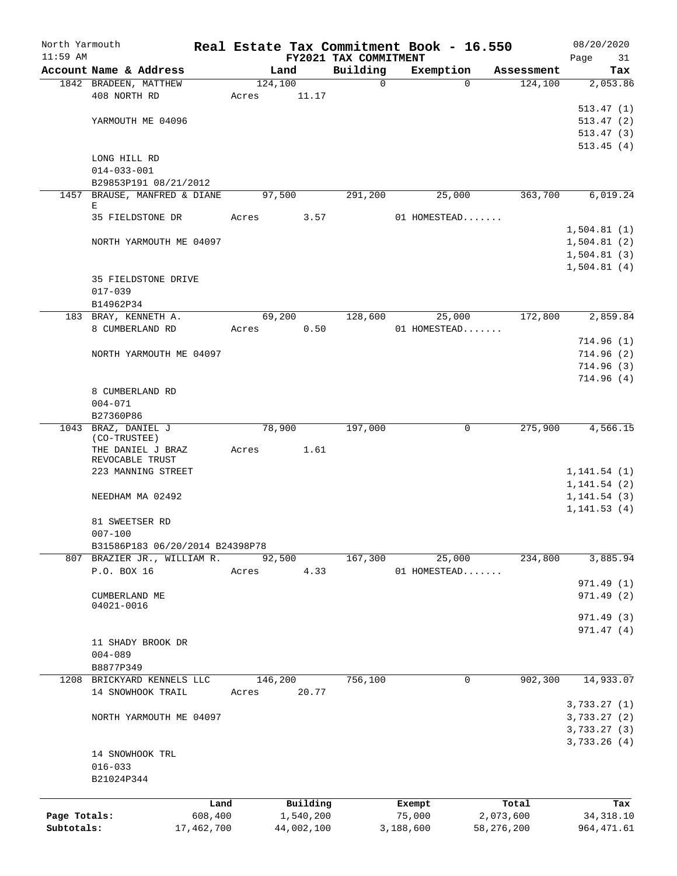| North Yarmouth |                                                 |            |       |                 |                         | Real Estate Tax Commitment Book - 16.550 |                       | 08/20/2020      |
|----------------|-------------------------------------------------|------------|-------|-----------------|-------------------------|------------------------------------------|-----------------------|-----------------|
| $11:59$ AM     |                                                 |            |       |                 | FY2021 TAX COMMITMENT   |                                          |                       | Page<br>31      |
|                | Account Name & Address<br>1842 BRADEEN, MATTHEW |            |       | Land<br>124,100 | Building<br>$\mathbf 0$ | Exemption<br>$\Omega$                    | Assessment<br>124,100 | Tax<br>2,053.86 |
|                | 408 NORTH RD                                    |            | Acres | 11.17           |                         |                                          |                       |                 |
|                |                                                 |            |       |                 |                         |                                          |                       | 513.47(1)       |
|                | YARMOUTH ME 04096                               |            |       |                 |                         |                                          |                       | 513.47(2)       |
|                |                                                 |            |       |                 |                         |                                          |                       | 513.47(3)       |
|                |                                                 |            |       |                 |                         |                                          |                       | 513.45(4)       |
|                | LONG HILL RD                                    |            |       |                 |                         |                                          |                       |                 |
|                | $014 - 033 - 001$                               |            |       |                 |                         |                                          |                       |                 |
|                | B29853P191 08/21/2012                           |            |       |                 |                         |                                          |                       |                 |
|                | 1457 BRAUSE, MANFRED & DIANE                    |            |       | 97,500          | 291,200                 | 25,000                                   | 363,700               | 6,019.24        |
|                | Е                                               |            |       |                 |                         |                                          |                       |                 |
|                | 35 FIELDSTONE DR                                |            | Acres | 3.57            |                         | 01 HOMESTEAD                             |                       |                 |
|                |                                                 |            |       |                 |                         |                                          |                       | 1,504.81(1)     |
|                | NORTH YARMOUTH ME 04097                         |            |       |                 |                         |                                          |                       | 1,504.81(2)     |
|                |                                                 |            |       |                 |                         |                                          |                       | 1,504.81(3)     |
|                |                                                 |            |       |                 |                         |                                          |                       | 1,504.81(4)     |
|                | 35 FIELDSTONE DRIVE                             |            |       |                 |                         |                                          |                       |                 |
|                | $017 - 039$                                     |            |       |                 |                         |                                          |                       |                 |
|                | B14962P34                                       |            |       |                 |                         |                                          |                       |                 |
|                | 183 BRAY, KENNETH A.                            |            |       | 69,200          | 128,600                 | 25,000                                   | 172,800               | 2,859.84        |
|                | 8 CUMBERLAND RD                                 |            | Acres | 0.50            |                         | 01 HOMESTEAD                             |                       |                 |
|                |                                                 |            |       |                 |                         |                                          |                       | 714.96(1)       |
|                | NORTH YARMOUTH ME 04097                         |            |       |                 |                         |                                          |                       | 714.96(2)       |
|                |                                                 |            |       |                 |                         |                                          |                       | 714.96(3)       |
|                |                                                 |            |       |                 |                         |                                          |                       |                 |
|                |                                                 |            |       |                 |                         |                                          |                       | 714.96(4)       |
|                | 8 CUMBERLAND RD                                 |            |       |                 |                         |                                          |                       |                 |
|                | $004 - 071$                                     |            |       |                 |                         |                                          |                       |                 |
|                | B27360P86                                       |            |       |                 |                         |                                          |                       |                 |
|                | 1043 BRAZ, DANIEL J<br>(CO-TRUSTEE)             |            |       | 78,900          | 197,000                 | 0                                        | 275,900               | 4,566.15        |
|                | THE DANIEL J BRAZ                               |            | Acres | 1.61            |                         |                                          |                       |                 |
|                | REVOCABLE TRUST                                 |            |       |                 |                         |                                          |                       |                 |
|                | 223 MANNING STREET                              |            |       |                 |                         |                                          |                       | 1, 141.54(1)    |
|                |                                                 |            |       |                 |                         |                                          |                       | 1, 141.54(2)    |
|                | NEEDHAM MA 02492                                |            |       |                 |                         |                                          |                       | 1, 141.54(3)    |
|                |                                                 |            |       |                 |                         |                                          |                       | 1, 141.53(4)    |
|                | 81 SWEETSER RD                                  |            |       |                 |                         |                                          |                       |                 |
|                | $007 - 100$                                     |            |       |                 |                         |                                          |                       |                 |
|                | B31586P183 06/20/2014 B24398P78                 |            |       |                 |                         |                                          |                       |                 |
|                | 807 BRAZIER JR., WILLIAM R.                     |            |       | 92,500          | 167,300                 | 25,000                                   | 234,800               | 3,885.94        |
|                | P.O. BOX 16                                     |            | Acres | 4.33            |                         | 01 HOMESTEAD                             |                       |                 |
|                |                                                 |            |       |                 |                         |                                          |                       | 971.49 (1)      |
|                | CUMBERLAND ME                                   |            |       |                 |                         |                                          |                       | 971.49 (2)      |
|                | 04021-0016                                      |            |       |                 |                         |                                          |                       |                 |
|                |                                                 |            |       |                 |                         |                                          |                       | 971.49(3)       |
|                |                                                 |            |       |                 |                         |                                          |                       | 971.47(4)       |
|                | 11 SHADY BROOK DR                               |            |       |                 |                         |                                          |                       |                 |
|                | $004 - 089$                                     |            |       |                 |                         |                                          |                       |                 |
|                | B8877P349                                       |            |       |                 |                         |                                          |                       |                 |
|                | 1208 BRICKYARD KENNELS LLC                      |            |       | 146,200         | 756,100                 | 0                                        | 902, 300              | 14,933.07       |
|                | 14 SNOWHOOK TRAIL                               |            | Acres | 20.77           |                         |                                          |                       |                 |
|                |                                                 |            |       |                 |                         |                                          |                       | 3,733.27(1)     |
|                | NORTH YARMOUTH ME 04097                         |            |       |                 |                         |                                          |                       | 3,733.27 (2)    |
|                |                                                 |            |       |                 |                         |                                          |                       | 3,733.27(3)     |
|                |                                                 |            |       |                 |                         |                                          |                       | 3,733.26(4)     |
|                | 14 SNOWHOOK TRL                                 |            |       |                 |                         |                                          |                       |                 |
|                | $016 - 033$                                     |            |       |                 |                         |                                          |                       |                 |
|                | B21024P344                                      |            |       |                 |                         |                                          |                       |                 |
|                |                                                 |            |       |                 |                         |                                          |                       |                 |
|                |                                                 | Land       |       | Building        |                         | Exempt                                   | Total                 | Tax             |
| Page Totals:   |                                                 | 608,400    |       | 1,540,200       |                         | 75,000                                   | 2,073,600             | 34, 318.10      |
| Subtotals:     |                                                 | 17,462,700 |       | 44,002,100      |                         | 3,188,600                                | 58, 276, 200          | 964, 471.61     |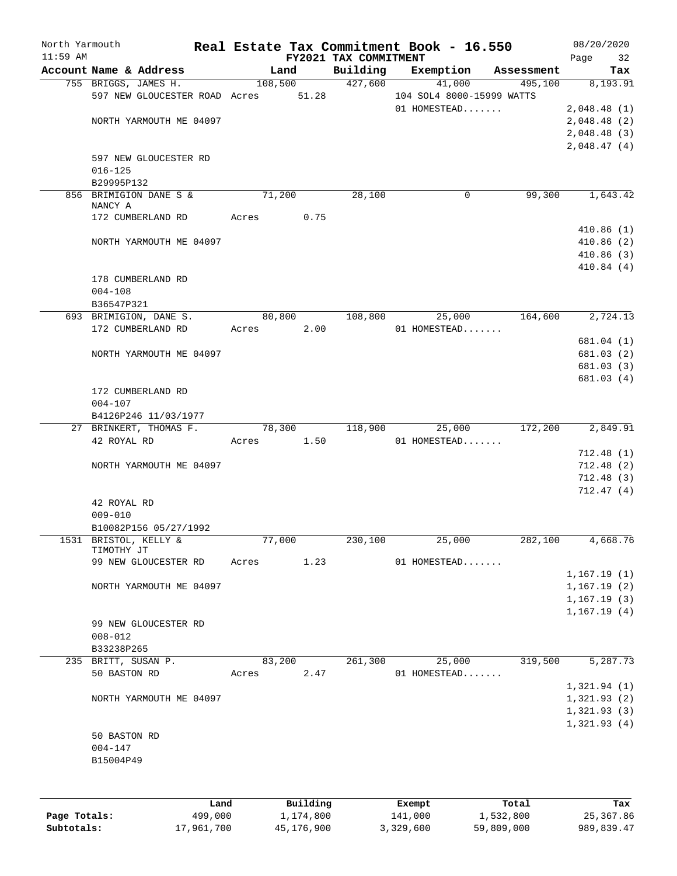| North Yarmouth<br>$11:59$ AM |                               |               | FY2021 TAX COMMITMENT | Real Estate Tax Commitment Book - 16.550 |            | 08/20/2020        |
|------------------------------|-------------------------------|---------------|-----------------------|------------------------------------------|------------|-------------------|
|                              | Account Name & Address        | Land          | Building              | Exemption                                | Assessment | Page<br>32<br>Tax |
|                              | 755 BRIGGS, JAMES H.          | 108,500       | 427,600               | 41,000                                   | 495,100    | 8,193.91          |
|                              | 597 NEW GLOUCESTER ROAD Acres | 51.28         |                       | 104 SOL4 8000-15999 WATTS                |            |                   |
|                              |                               |               |                       | 01 HOMESTEAD                             |            | 2,048.48(1)       |
|                              | NORTH YARMOUTH ME 04097       |               |                       |                                          |            | 2,048.48(2)       |
|                              |                               |               |                       |                                          |            | 2,048.48(3)       |
|                              |                               |               |                       |                                          |            | 2,048.47(4)       |
|                              | 597 NEW GLOUCESTER RD         |               |                       |                                          |            |                   |
|                              | $016 - 125$                   |               |                       |                                          |            |                   |
|                              | B29995P132                    |               |                       |                                          |            |                   |
|                              | 856 BRIMIGION DANE S &        | 71,200        | 28,100                | 0                                        | 99,300     | 1,643.42          |
|                              | NANCY A                       |               |                       |                                          |            |                   |
|                              | 172 CUMBERLAND RD             | 0.75<br>Acres |                       |                                          |            |                   |
|                              |                               |               |                       |                                          |            | 410.86(1)         |
|                              | NORTH YARMOUTH ME 04097       |               |                       |                                          |            | 410.86(2)         |
|                              |                               |               |                       |                                          |            | 410.86(3)         |
|                              |                               |               |                       |                                          |            | 410.84(4)         |
|                              | 178 CUMBERLAND RD             |               |                       |                                          |            |                   |
|                              | $004 - 108$                   |               |                       |                                          |            |                   |
|                              | B36547P321                    |               |                       |                                          |            |                   |
|                              | 693 BRIMIGION, DANE S.        | 80,800        | 108,800               | 25,000                                   | 164,600    | 2,724.13          |
|                              | 172 CUMBERLAND RD             | 2.00<br>Acres |                       | 01 HOMESTEAD                             |            |                   |
|                              |                               |               |                       |                                          |            | 681.04 (1)        |
|                              | NORTH YARMOUTH ME 04097       |               |                       |                                          |            | 681.03 (2)        |
|                              |                               |               |                       |                                          |            | 681.03 (3)        |
|                              |                               |               |                       |                                          |            | 681.03 (4)        |
|                              | 172 CUMBERLAND RD             |               |                       |                                          |            |                   |
|                              | $004 - 107$                   |               |                       |                                          |            |                   |
|                              | B4126P246 11/03/1977          |               |                       |                                          |            |                   |
|                              | 27 BRINKERT, THOMAS F.        | 78,300        | 118,900               | 25,000                                   | 172,200    | 2,849.91          |
|                              | 42 ROYAL RD                   | Acres<br>1.50 |                       | 01 HOMESTEAD                             |            |                   |
|                              |                               |               |                       |                                          |            | 712.48(1)         |
|                              | NORTH YARMOUTH ME 04097       |               |                       |                                          |            | 712.48(2)         |
|                              |                               |               |                       |                                          |            | 712.48(3)         |
|                              |                               |               |                       |                                          |            | 712.47(4)         |
|                              | 42 ROYAL RD                   |               |                       |                                          |            |                   |
|                              | $009 - 010$                   |               |                       |                                          |            |                   |
|                              | B10082P156 05/27/1992         |               |                       |                                          |            |                   |
|                              | 1531 BRISTOL, KELLY &         | 77,000        | 230,100               | 25,000                                   | 282,100    | 4,668.76          |
|                              | TIMOTHY JT                    |               |                       |                                          |            |                   |
|                              | 99 NEW GLOUCESTER RD          | 1.23<br>Acres |                       | 01 HOMESTEAD                             |            |                   |
|                              |                               |               |                       |                                          |            | 1,167.19(1)       |
|                              | NORTH YARMOUTH ME 04097       |               |                       |                                          |            | 1,167.19(2)       |
|                              |                               |               |                       |                                          |            | 1,167.19(3)       |
|                              |                               |               |                       |                                          |            | 1,167.19(4)       |
|                              | 99 NEW GLOUCESTER RD          |               |                       |                                          |            |                   |
|                              | $008 - 012$                   |               |                       |                                          |            |                   |
|                              | B33238P265                    |               |                       |                                          |            |                   |
|                              | 235 BRITT, SUSAN P.           | 83,200        | 261,300               | 25,000                                   | 319,500    | 5,287.73          |
|                              | 50 BASTON RD                  | 2.47<br>Acres |                       | 01 HOMESTEAD                             |            |                   |
|                              |                               |               |                       |                                          |            | 1,321.94(1)       |
|                              | NORTH YARMOUTH ME 04097       |               |                       |                                          |            | 1,321.93(2)       |
|                              |                               |               |                       |                                          |            | 1,321.93(3)       |
|                              |                               |               |                       |                                          |            | 1,321.93(4)       |
|                              | 50 BASTON RD                  |               |                       |                                          |            |                   |
|                              | $004 - 147$                   |               |                       |                                          |            |                   |
|                              | B15004P49                     |               |                       |                                          |            |                   |
|                              |                               |               |                       |                                          |            |                   |
|                              |                               |               |                       |                                          |            |                   |
|                              | Land                          | Building      |                       | Exempt                                   | Total      | Tax               |
| Page Totals:                 | 499,000                       | 1,174,800     |                       | 141,000                                  | 1,532,800  | 25, 367.86        |
|                              |                               |               |                       |                                          |            |                   |

**Subtotals:** 17,961,700 45,176,900 3,329,600 59,809,000 989,839.47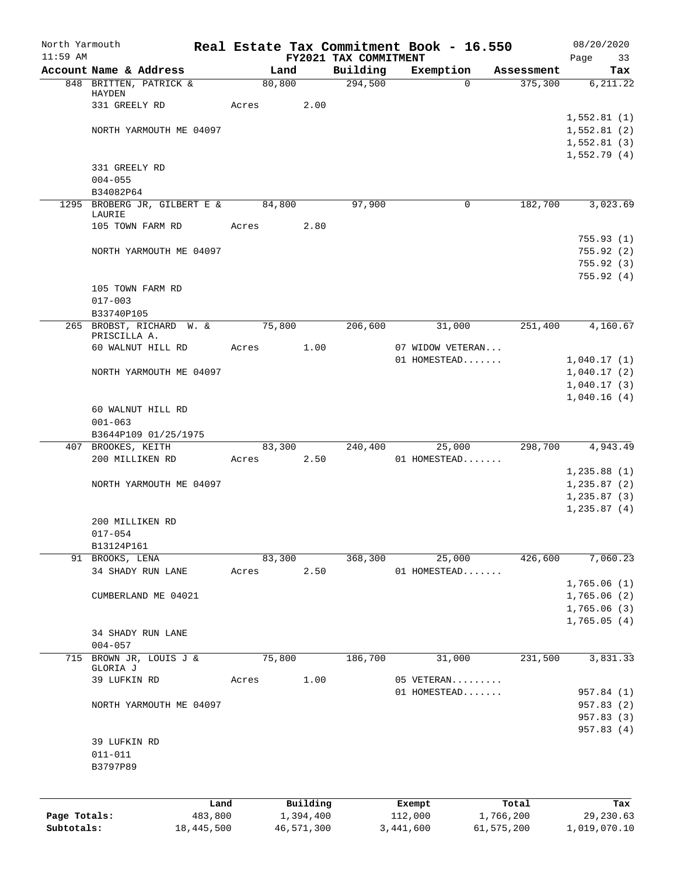| North Yarmouth |                                           |       |                 |                       | Real Estate Tax Commitment Book - 16.550 |                       | 08/20/2020       |
|----------------|-------------------------------------------|-------|-----------------|-----------------------|------------------------------------------|-----------------------|------------------|
| $11:59$ AM     | Account Name & Address                    |       |                 | FY2021 TAX COMMITMENT |                                          |                       | Page<br>33       |
|                | 848 BRITTEN, PATRICK &                    |       | Land<br>80, 800 | Building<br>294,500   | Exemption<br>$\Omega$                    | Assessment<br>375,300 | Tax<br>6, 211.22 |
|                | HAYDEN                                    |       |                 |                       |                                          |                       |                  |
|                | 331 GREELY RD                             | Acres | 2.00            |                       |                                          |                       |                  |
|                |                                           |       |                 |                       |                                          |                       | 1,552.81(1)      |
|                | NORTH YARMOUTH ME 04097                   |       |                 |                       |                                          |                       | 1,552.81(2)      |
|                |                                           |       |                 |                       |                                          |                       | 1,552.81(3)      |
|                |                                           |       |                 |                       |                                          |                       | 1,552.79(4)      |
|                | 331 GREELY RD                             |       |                 |                       |                                          |                       |                  |
|                | $004 - 055$                               |       |                 |                       |                                          |                       |                  |
|                | B34082P64<br>1295 BROBERG JR, GILBERT E & |       | 84,800          | 97,900                | 0                                        | 182,700               | 3,023.69         |
|                | LAURIE                                    |       |                 |                       |                                          |                       |                  |
|                | 105 TOWN FARM RD                          | Acres | 2.80            |                       |                                          |                       |                  |
|                |                                           |       |                 |                       |                                          |                       | 755.93(1)        |
|                | NORTH YARMOUTH ME 04097                   |       |                 |                       |                                          |                       | 755.92(2)        |
|                |                                           |       |                 |                       |                                          |                       | 755.92(3)        |
|                |                                           |       |                 |                       |                                          |                       | 755.92(4)        |
|                | 105 TOWN FARM RD                          |       |                 |                       |                                          |                       |                  |
|                | $017 - 003$                               |       |                 |                       |                                          |                       |                  |
|                | B33740P105                                |       |                 |                       |                                          |                       |                  |
|                | 265 BROBST, RICHARD W. &<br>PRISCILLA A.  |       | 75,800          | 206,600               | 31,000                                   | 251,400               | 4,160.67         |
|                | 60 WALNUT HILL RD                         | Acres | 1.00            |                       | 07 WIDOW VETERAN                         |                       |                  |
|                |                                           |       |                 |                       | 01 HOMESTEAD                             |                       | 1,040.17(1)      |
|                | NORTH YARMOUTH ME 04097                   |       |                 |                       |                                          |                       | 1,040.17(2)      |
|                |                                           |       |                 |                       |                                          |                       | 1,040.17(3)      |
|                |                                           |       |                 |                       |                                          |                       | 1,040.16(4)      |
|                | 60 WALNUT HILL RD                         |       |                 |                       |                                          |                       |                  |
|                | $001 - 063$                               |       |                 |                       |                                          |                       |                  |
|                | B3644P109 01/25/1975                      |       |                 |                       |                                          |                       |                  |
|                | 407 BROOKES, KEITH                        |       | 83,300          | 240,400               | 25,000                                   | 298,700               | 4,943.49         |
|                | 200 MILLIKEN RD                           | Acres | 2.50            |                       | 01 HOMESTEAD                             |                       |                  |
|                |                                           |       |                 |                       |                                          |                       | 1, 235.88(1)     |
|                | NORTH YARMOUTH ME 04097                   |       |                 |                       |                                          |                       | 1, 235.87(2)     |
|                |                                           |       |                 |                       |                                          |                       | 1, 235.87(3)     |
|                |                                           |       |                 |                       |                                          |                       | 1, 235.87(4)     |
|                | 200 MILLIKEN RD                           |       |                 |                       |                                          |                       |                  |
|                | $017 - 054$                               |       |                 |                       |                                          |                       |                  |
|                | B13124P161<br>91 BROOKS, LENA             |       | 83,300          | 368,300               | 25,000                                   | 426,600               | 7,060.23         |
|                | 34 SHADY RUN LANE                         | Acres | 2.50            |                       | 01 HOMESTEAD                             |                       |                  |
|                |                                           |       |                 |                       |                                          |                       | 1,765.06(1)      |
|                | CUMBERLAND ME 04021                       |       |                 |                       |                                          |                       | 1,765.06(2)      |
|                |                                           |       |                 |                       |                                          |                       | 1,765.06(3)      |
|                |                                           |       |                 |                       |                                          |                       | 1,765.05(4)      |
|                | 34 SHADY RUN LANE                         |       |                 |                       |                                          |                       |                  |
|                | $004 - 057$                               |       |                 |                       |                                          |                       |                  |
| 715            | BROWN JR, LOUIS J &                       |       | 75,800          | 186,700               | 31,000                                   | 231,500               | 3,831.33         |
|                | GLORIA J                                  |       |                 |                       |                                          |                       |                  |
|                | 39 LUFKIN RD                              | Acres | 1.00            |                       | 05 VETERAN                               |                       |                  |
|                |                                           |       |                 |                       | 01 HOMESTEAD                             |                       | 957.84 (1)       |
|                | NORTH YARMOUTH ME 04097                   |       |                 |                       |                                          |                       | 957.83 (2)       |
|                |                                           |       |                 |                       |                                          |                       | 957.83 (3)       |
|                |                                           |       |                 |                       |                                          |                       | 957.83 (4)       |
|                | 39 LUFKIN RD                              |       |                 |                       |                                          |                       |                  |
|                | $011 - 011$<br>B3797P89                   |       |                 |                       |                                          |                       |                  |
|                |                                           |       |                 |                       |                                          |                       |                  |
|                |                                           |       |                 |                       |                                          |                       |                  |
|                |                                           | Land  | Building        |                       | Exempt                                   | Total                 | Tax              |
| Page Totals:   | 483,800                                   |       | 1,394,400       |                       | 112,000                                  | 1,766,200             | 29,230.63        |
| Subtotals:     | 18,445,500                                |       | 46,571,300      |                       | 3,441,600                                | 61,575,200            | 1,019,070.10     |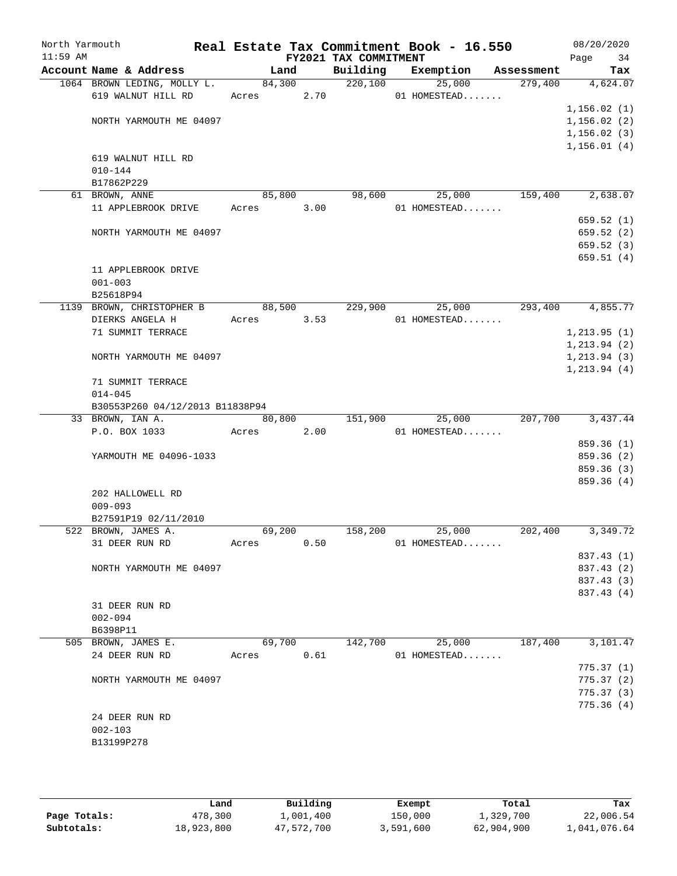| North Yarmouth<br>$11:59$ AM |                                 |            |        | FY2021 TAX COMMITMENT | Real Estate Tax Commitment Book - 16.550 |        |            | 08/20/2020<br>Page | 34                       |
|------------------------------|---------------------------------|------------|--------|-----------------------|------------------------------------------|--------|------------|--------------------|--------------------------|
|                              | Account Name & Address          | Land       |        | Building              | Exemption                                |        | Assessment |                    | Tax                      |
|                              | 1064 BROWN LEDING, MOLLY L.     | 84,300     |        | 220,100               | 25,000                                   |        | 279,400    |                    | 4,624.07                 |
|                              | 619 WALNUT HILL RD              | Acres      | 2.70   |                       | 01 HOMESTEAD                             |        |            |                    |                          |
|                              |                                 |            |        |                       |                                          |        |            | 1,156.02(1)        |                          |
|                              | NORTH YARMOUTH ME 04097         |            |        |                       |                                          |        |            | 1,156.02(2)        |                          |
|                              |                                 |            |        |                       |                                          |        |            | 1, 156.02(3)       |                          |
|                              |                                 |            |        |                       |                                          |        |            | 1, 156.01(4)       |                          |
|                              | 619 WALNUT HILL RD              |            |        |                       |                                          |        |            |                    |                          |
|                              | $010 - 144$                     |            |        |                       |                                          |        |            |                    |                          |
|                              | B17862P229                      |            |        |                       |                                          |        |            |                    |                          |
|                              | 61 BROWN, ANNE                  | 85,800     |        |                       | 98,600                                   | 25,000 | 159,400    |                    | 2,638.07                 |
|                              | 11 APPLEBROOK DRIVE             | Acres      | 3.00   |                       | $01$ HOMESTEAD                           |        |            |                    |                          |
|                              |                                 |            |        |                       |                                          |        |            |                    | 659.52(1)                |
|                              | NORTH YARMOUTH ME 04097         |            |        |                       |                                          |        |            |                    | 659.52(2)                |
|                              |                                 |            |        |                       |                                          |        |            |                    | 659.52 (3)<br>659.51(4)  |
|                              | 11 APPLEBROOK DRIVE             |            |        |                       |                                          |        |            |                    |                          |
|                              | $001 - 003$                     |            |        |                       |                                          |        |            |                    |                          |
|                              | B25618P94                       |            |        |                       |                                          |        |            |                    |                          |
|                              | 1139 BROWN, CHRISTOPHER B       |            | 88,500 | 229,900               | 25,000                                   |        | 293,400    |                    | 4,855.77                 |
|                              | DIERKS ANGELA H                 | Acres 3.53 |        |                       | $01$ HOMESTEAD                           |        |            |                    |                          |
|                              | 71 SUMMIT TERRACE               |            |        |                       |                                          |        |            | 1, 213.95(1)       |                          |
|                              |                                 |            |        |                       |                                          |        |            | 1, 213.94(2)       |                          |
|                              | NORTH YARMOUTH ME 04097         |            |        |                       |                                          |        |            | 1, 213.94(3)       |                          |
|                              |                                 |            |        |                       |                                          |        |            | 1, 213.94(4)       |                          |
|                              | 71 SUMMIT TERRACE               |            |        |                       |                                          |        |            |                    |                          |
|                              | $014 - 045$                     |            |        |                       |                                          |        |            |                    |                          |
|                              | B30553P260 04/12/2013 B11838P94 |            |        |                       |                                          |        |            |                    |                          |
|                              | 33 BROWN, IAN A.                | 80,800     |        | 151,900               | 25,000                                   |        | 207,700    |                    | 3,437.44                 |
|                              | P.O. BOX 1033                   | Acres      | 2.00   |                       | 01 HOMESTEAD                             |        |            |                    |                          |
|                              |                                 |            |        |                       |                                          |        |            |                    | 859.36 (1)               |
|                              | YARMOUTH ME 04096-1033          |            |        |                       |                                          |        |            |                    | 859.36 (2)               |
|                              |                                 |            |        |                       |                                          |        |            |                    | 859.36 (3)               |
|                              |                                 |            |        |                       |                                          |        |            |                    | 859.36(4)                |
|                              | 202 HALLOWELL RD                |            |        |                       |                                          |        |            |                    |                          |
|                              | $009 - 093$                     |            |        |                       |                                          |        |            |                    |                          |
|                              | B27591P19 02/11/2010            |            |        |                       |                                          |        |            |                    |                          |
|                              | 522 BROWN, JAMES A.             | 69,200     |        | 158,200               | 25,000                                   |        | 202,400    |                    | 3,349.72                 |
|                              | 31 DEER RUN RD                  | Acres      | 0.50   |                       | 01 HOMESTEAD                             |        |            |                    |                          |
|                              |                                 |            |        |                       |                                          |        |            |                    | 837.43 (1)               |
|                              | NORTH YARMOUTH ME 04097         |            |        |                       |                                          |        |            |                    | 837.43 (2)               |
|                              |                                 |            |        |                       |                                          |        |            |                    | 837.43 (3)<br>837.43 (4) |
|                              | 31 DEER RUN RD                  |            |        |                       |                                          |        |            |                    |                          |
|                              | $002 - 094$                     |            |        |                       |                                          |        |            |                    |                          |
|                              | B6398P11                        |            |        |                       |                                          |        |            |                    |                          |
|                              | 505 BROWN, JAMES E.             | 69,700     |        | 142,700               |                                          | 25,000 | 187,400    |                    | 3,101.47                 |
|                              | 24 DEER RUN RD                  | Acres      | 0.61   |                       | 01 HOMESTEAD                             |        |            |                    |                          |
|                              |                                 |            |        |                       |                                          |        |            |                    | 775.37(1)                |
|                              | NORTH YARMOUTH ME 04097         |            |        |                       |                                          |        |            |                    | 775.37 (2)               |
|                              |                                 |            |        |                       |                                          |        |            |                    | 775.37 (3)               |
|                              |                                 |            |        |                       |                                          |        |            |                    | 775.36(4)                |
|                              | 24 DEER RUN RD                  |            |        |                       |                                          |        |            |                    |                          |
|                              | $002 - 103$                     |            |        |                       |                                          |        |            |                    |                          |
|                              | B13199P278                      |            |        |                       |                                          |        |            |                    |                          |
|                              |                                 |            |        |                       |                                          |        |            |                    |                          |
|                              |                                 |            |        |                       |                                          |        |            |                    |                          |

|              | Land       | Building   | Exempt    | Total      | Tax          |
|--------------|------------|------------|-----------|------------|--------------|
| Page Totals: | 478,300    | ⊥,001,400  | 150,000   | 1,329,700  | 22,006.54    |
| Subtotals:   | 18,923,800 | 47,572,700 | 3,591,600 | 62,904,900 | 1,041,076.64 |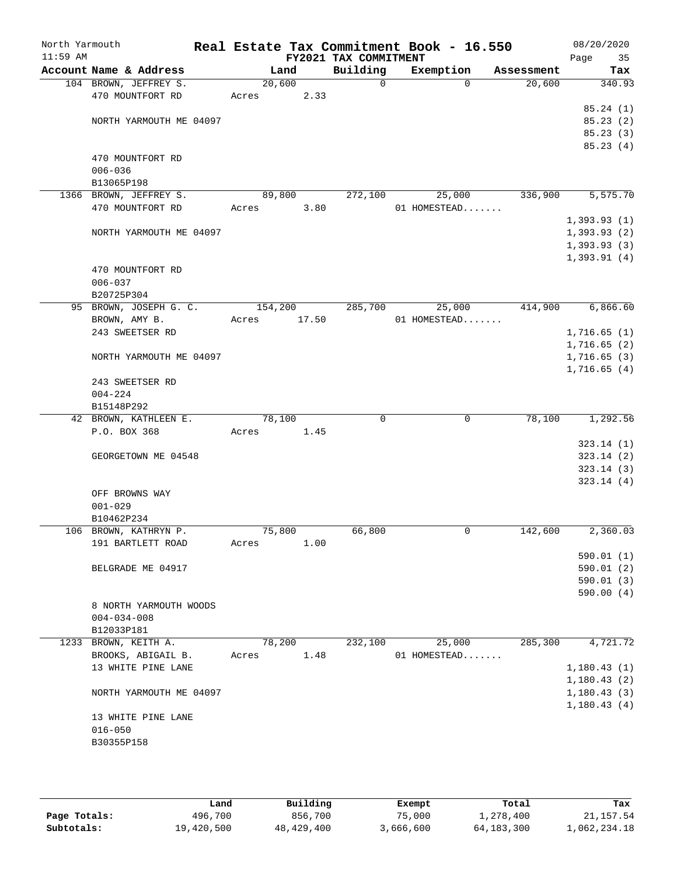| North Yarmouth<br>$11:59$ AM |                                          |         |        | FY2021 TAX COMMITMENT | Real Estate Tax Commitment Book - 16.550 |                       | 08/20/2020<br>Page<br>35 |
|------------------------------|------------------------------------------|---------|--------|-----------------------|------------------------------------------|-----------------------|--------------------------|
|                              | Account Name & Address                   |         | Land   | Building              | Exemption                                | Assessment            | Tax                      |
|                              | 104 BROWN, JEFFREY S.                    | 20,600  |        | 0                     |                                          | 20,600<br>$\Omega$    | 340.93                   |
|                              | 470 MOUNTFORT RD                         | Acres   | 2.33   |                       |                                          |                       |                          |
|                              |                                          |         |        |                       |                                          |                       | 85.24(1)                 |
|                              | NORTH YARMOUTH ME 04097                  |         |        |                       |                                          |                       | 85.23(2)                 |
|                              |                                          |         |        |                       |                                          |                       | 85.23(3)<br>85.23(4)     |
|                              | 470 MOUNTFORT RD                         |         |        |                       |                                          |                       |                          |
|                              | $006 - 036$                              |         |        |                       |                                          |                       |                          |
|                              | B13065P198                               |         |        |                       |                                          |                       |                          |
|                              | 1366 BROWN, JEFFREY S.                   |         | 89,800 | 272,100               | 25,000                                   | 336,900               | 5,575.70                 |
|                              | 470 MOUNTFORT RD                         | Acres   | 3.80   |                       | 01 HOMESTEAD                             |                       |                          |
|                              |                                          |         |        |                       |                                          |                       | 1,393.93(1)              |
|                              | NORTH YARMOUTH ME 04097                  |         |        |                       |                                          |                       | 1,393.93(2)              |
|                              |                                          |         |        |                       |                                          |                       | 1,393.93(3)              |
|                              |                                          |         |        |                       |                                          |                       | 1,393.91(4)              |
|                              | 470 MOUNTFORT RD                         |         |        |                       |                                          |                       |                          |
|                              | $006 - 037$                              |         |        |                       |                                          |                       |                          |
|                              | B20725P304<br>95 BROWN, JOSEPH G. C.     | 154,200 |        | 285,700               | 25,000                                   | 414,900               | 6,866.60                 |
|                              | BROWN, AMY B.                            | Acres   | 17.50  |                       | 01 HOMESTEAD                             |                       |                          |
|                              | 243 SWEETSER RD                          |         |        |                       |                                          |                       | 1,716.65(1)              |
|                              |                                          |         |        |                       |                                          |                       | 1,716.65(2)              |
|                              | NORTH YARMOUTH ME 04097                  |         |        |                       |                                          |                       | 1,716.65(3)              |
|                              |                                          |         |        |                       |                                          |                       | 1,716.65(4)              |
|                              | 243 SWEETSER RD                          |         |        |                       |                                          |                       |                          |
|                              | $004 - 224$                              |         |        |                       |                                          |                       |                          |
|                              | B15148P292                               |         |        |                       |                                          |                       |                          |
|                              | 42 BROWN, KATHLEEN E.                    | 78,100  |        | 0                     |                                          | $\mathbf 0$<br>78,100 | 1,292.56                 |
|                              | P.O. BOX 368                             | Acres   | 1.45   |                       |                                          |                       |                          |
|                              |                                          |         |        |                       |                                          |                       | 323.14(1)                |
|                              | GEORGETOWN ME 04548                      |         |        |                       |                                          |                       | 323.14(2)                |
|                              |                                          |         |        |                       |                                          |                       | 323.14(3)<br>323.14(4)   |
|                              | OFF BROWNS WAY                           |         |        |                       |                                          |                       |                          |
|                              | $001 - 029$                              |         |        |                       |                                          |                       |                          |
|                              | B10462P234                               |         |        |                       |                                          |                       |                          |
|                              | 106 BROWN, KATHRYN P.                    | 75,800  |        | 66,800                |                                          | 0<br>142,600          | 2,360.03                 |
|                              | 191 BARTLETT ROAD                        | Acres   | 1.00   |                       |                                          |                       |                          |
|                              |                                          |         |        |                       |                                          |                       | 590.01(1)                |
|                              | BELGRADE ME 04917                        |         |        |                       |                                          |                       | 590.01(2)                |
|                              |                                          |         |        |                       |                                          |                       | 590.01(3)                |
|                              |                                          |         |        |                       |                                          |                       | 590.00 (4)               |
|                              | 8 NORTH YARMOUTH WOODS                   |         |        |                       |                                          |                       |                          |
|                              | $004 - 034 - 008$                        |         |        |                       |                                          |                       |                          |
|                              | B12033P181                               |         |        |                       |                                          |                       |                          |
|                              | 1233 BROWN, KEITH A.                     |         | 78,200 | 232,100               | 25,000                                   | 285,300               | 4,721.72                 |
|                              | BROOKS, ABIGAIL B.<br>13 WHITE PINE LANE | Acres   | 1.48   |                       | 01 HOMESTEAD                             |                       | 1,180.43(1)              |
|                              |                                          |         |        |                       |                                          |                       | 1,180.43(2)              |
|                              | NORTH YARMOUTH ME 04097                  |         |        |                       |                                          |                       | 1,180.43(3)              |
|                              |                                          |         |        |                       |                                          |                       | 1,180.43(4)              |
|                              | 13 WHITE PINE LANE                       |         |        |                       |                                          |                       |                          |
|                              | $016 - 050$                              |         |        |                       |                                          |                       |                          |
|                              | B30355P158                               |         |        |                       |                                          |                       |                          |
|                              |                                          |         |        |                       |                                          |                       |                          |
|                              |                                          |         |        |                       |                                          |                       |                          |

|              | Land       | Building   | Exempt    | Total        | Tax          |
|--------------|------------|------------|-----------|--------------|--------------|
| Page Totals: | 496,700    | 856,700    | 75,000    | 1,278,400    | 21, 157.54   |
| Subtotals:   | 19,420,500 | 48,429,400 | 3,666,600 | 64, 183, 300 | 1,062,234.18 |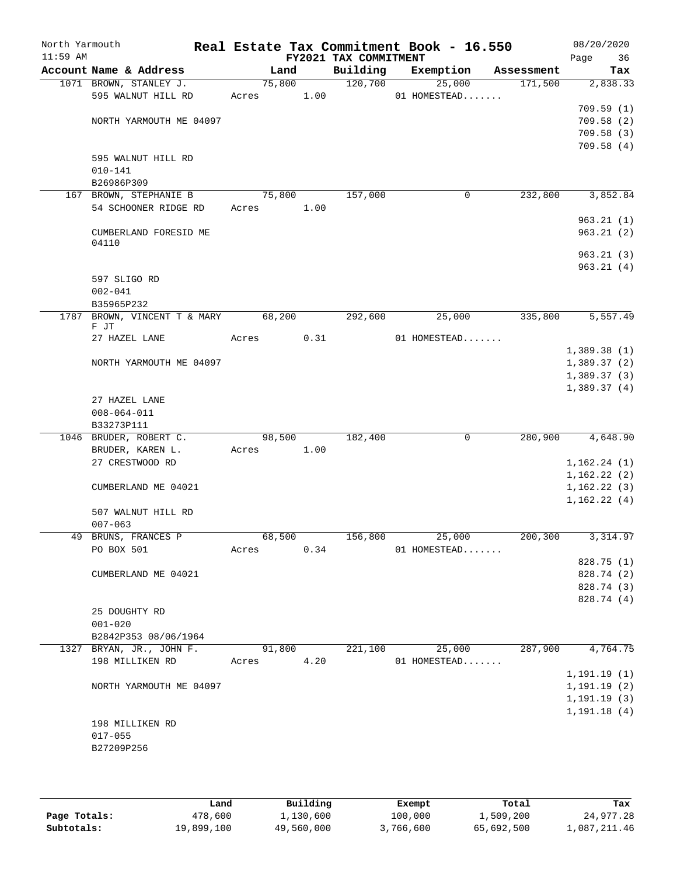| North Yarmouth<br>$11:59$ AM |                                   |        |      | FY2021 TAX COMMITMENT | Real Estate Tax Commitment Book - 16.550 |            | 08/20/2020<br>Page<br>36 |
|------------------------------|-----------------------------------|--------|------|-----------------------|------------------------------------------|------------|--------------------------|
|                              | Account Name & Address            | Land   |      | Building              | Exemption                                | Assessment | Tax                      |
|                              | 1071 BROWN, STANLEY J.            | 75,800 |      | 120,700               | 25,000                                   | 171,500    | 2,838.33                 |
|                              | 595 WALNUT HILL RD                | Acres  | 1.00 |                       | 01 HOMESTEAD                             |            |                          |
|                              |                                   |        |      |                       |                                          |            | 709.59(1)                |
|                              | NORTH YARMOUTH ME 04097           |        |      |                       |                                          |            | 709.58(2)                |
|                              |                                   |        |      |                       |                                          |            | 709.58(3)                |
|                              |                                   |        |      |                       |                                          |            | 709.58(4)                |
|                              | 595 WALNUT HILL RD<br>$010 - 141$ |        |      |                       |                                          |            |                          |
|                              | B26986P309                        |        |      |                       |                                          |            |                          |
|                              | 167 BROWN, STEPHANIE B            | 75,800 |      | 157,000               | 0                                        | 232,800    | 3,852.84                 |
|                              | 54 SCHOONER RIDGE RD              | Acres  | 1.00 |                       |                                          |            |                          |
|                              |                                   |        |      |                       |                                          |            | 963.21(1)                |
|                              | CUMBERLAND FORESID ME             |        |      |                       |                                          |            | 963.21(2)                |
|                              | 04110                             |        |      |                       |                                          |            |                          |
|                              |                                   |        |      |                       |                                          |            | 963.21(3)                |
|                              |                                   |        |      |                       |                                          |            | 963.21(4)                |
|                              | 597 SLIGO RD                      |        |      |                       |                                          |            |                          |
|                              | $002 - 041$                       |        |      |                       |                                          |            |                          |
|                              | B35965P232                        |        |      |                       |                                          |            |                          |
| 1787                         | BROWN, VINCENT T & MARY<br>F JT   | 68,200 |      | 292,600               | 25,000                                   | 335,800    | 5,557.49                 |
|                              | 27 HAZEL LANE                     | Acres  | 0.31 |                       | 01 HOMESTEAD                             |            |                          |
|                              |                                   |        |      |                       |                                          |            | 1,389.38(1)              |
|                              | NORTH YARMOUTH ME 04097           |        |      |                       |                                          |            | 1,389.37(2)              |
|                              |                                   |        |      |                       |                                          |            | 1,389.37(3)              |
|                              |                                   |        |      |                       |                                          |            | 1,389.37(4)              |
|                              | 27 HAZEL LANE                     |        |      |                       |                                          |            |                          |
|                              | $008 - 064 - 011$                 |        |      |                       |                                          |            |                          |
|                              | B33273P111                        |        |      |                       |                                          |            |                          |
|                              | 1046 BRUDER, ROBERT C.            | 98,500 |      | 182,400               | $\mathbf 0$                              | 280,900    | 4,648.90                 |
|                              | BRUDER, KAREN L.                  | Acres  | 1.00 |                       |                                          |            |                          |
|                              | 27 CRESTWOOD RD                   |        |      |                       |                                          |            | 1,162.24(1)              |
|                              |                                   |        |      |                       |                                          |            | 1,162.22(2)              |
|                              | CUMBERLAND ME 04021               |        |      |                       |                                          |            | 1,162.22(3)              |
|                              | 507 WALNUT HILL RD                |        |      |                       |                                          |            | 1,162.22(4)              |
|                              | $007 - 063$                       |        |      |                       |                                          |            |                          |
|                              | 49 BRUNS, FRANCES P               |        |      |                       | 68,500 156,800 25,000                    | 200,300    | 3, 314.97                |
|                              | PO BOX 501                        | Acres  | 0.34 |                       | 01 HOMESTEAD                             |            |                          |
|                              |                                   |        |      |                       |                                          |            | 828.75 (1)               |
|                              | CUMBERLAND ME 04021               |        |      |                       |                                          |            | 828.74 (2)               |
|                              |                                   |        |      |                       |                                          |            | 828.74 (3)               |
|                              |                                   |        |      |                       |                                          |            | 828.74 (4)               |
|                              | 25 DOUGHTY RD                     |        |      |                       |                                          |            |                          |
|                              | $001 - 020$                       |        |      |                       |                                          |            |                          |
|                              | B2842P353 08/06/1964              |        |      |                       |                                          |            |                          |
|                              | 1327 BRYAN, JR., JOHN F.          | 91,800 |      | 221,100               | 25,000                                   | 287,900    | 4,764.75                 |
|                              | 198 MILLIKEN RD                   | Acres  | 4.20 |                       | 01 HOMESTEAD                             |            |                          |
|                              |                                   |        |      |                       |                                          |            | 1, 191.19(1)             |
|                              | NORTH YARMOUTH ME 04097           |        |      |                       |                                          |            | 1, 191.19(2)             |
|                              |                                   |        |      |                       |                                          |            | 1, 191.19(3)             |
|                              |                                   |        |      |                       |                                          |            | 1, 191.18(4)             |
|                              | 198 MILLIKEN RD                   |        |      |                       |                                          |            |                          |
|                              | $017 - 055$                       |        |      |                       |                                          |            |                          |
|                              | B27209P256                        |        |      |                       |                                          |            |                          |
|                              |                                   |        |      |                       |                                          |            |                          |

|              | Land       | Building   | Exempt    | Total      | Tax          |
|--------------|------------|------------|-----------|------------|--------------|
| Page Totals: | 478,600    | 1,130,600  | 100,000   | 1,509,200  | 24,977.28    |
| Subtotals:   | 19,899,100 | 49,560,000 | 3,766,600 | 65,692,500 | 1,087,211.46 |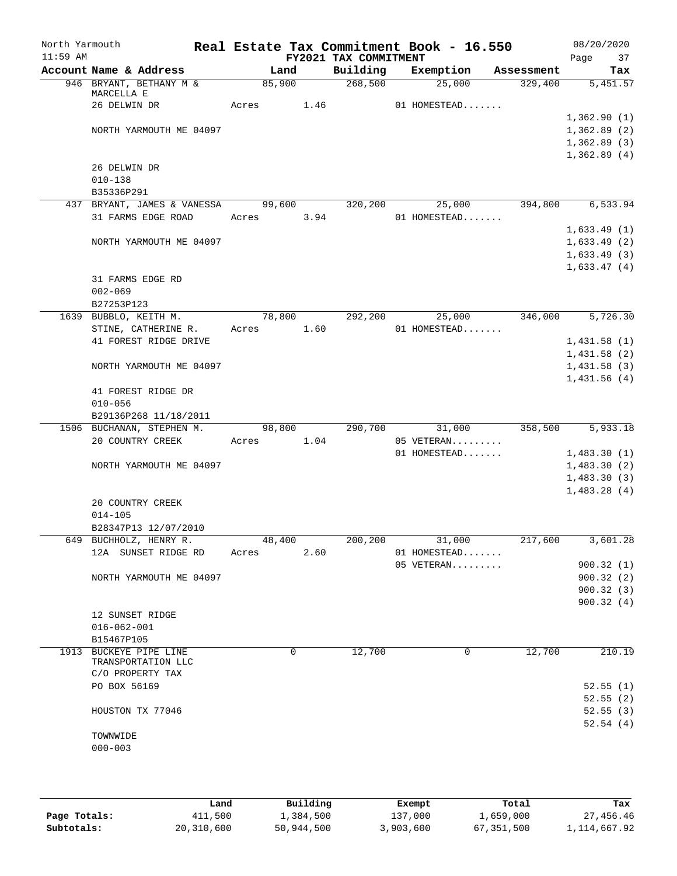| North Yarmouth<br>$11:59$ AM |                                    |       |            |      |                                   | Real Estate Tax Commitment Book - 16.550 |            | 08/20/2020                 |
|------------------------------|------------------------------------|-------|------------|------|-----------------------------------|------------------------------------------|------------|----------------------------|
|                              | Account Name & Address             |       | Land       |      | FY2021 TAX COMMITMENT<br>Building | Exemption                                | Assessment | 37<br>Page<br>Tax          |
|                              | 946 BRYANT, BETHANY M &            |       | 85,900     |      | 268,500                           | 25,000                                   | 329,400    | 5,451.57                   |
|                              | MARCELLA E                         |       |            |      |                                   |                                          |            |                            |
|                              | 26 DELWIN DR                       |       | Acres      | 1.46 |                                   | 01 HOMESTEAD                             |            |                            |
|                              |                                    |       |            |      |                                   |                                          |            | 1,362.90(1)                |
|                              | NORTH YARMOUTH ME 04097            |       |            |      |                                   |                                          |            | 1,362.89(2)                |
|                              |                                    |       |            |      |                                   |                                          |            | 1,362.89(3)                |
|                              |                                    |       |            |      |                                   |                                          |            | 1,362.89(4)                |
|                              | 26 DELWIN DR                       |       |            |      |                                   |                                          |            |                            |
|                              | $010 - 138$                        |       |            |      |                                   |                                          |            |                            |
|                              | B35336P291                         |       |            |      |                                   |                                          |            |                            |
|                              | 437 BRYANT, JAMES & VANESSA 99,600 |       |            |      | 320,200                           | 25,000                                   | 394,800    | 6,533.94                   |
|                              | 31 FARMS EDGE ROAD                 |       | Acres 3.94 |      |                                   | 01 HOMESTEAD                             |            |                            |
|                              |                                    |       |            |      |                                   |                                          |            | 1,633.49(1)                |
|                              | NORTH YARMOUTH ME 04097            |       |            |      |                                   |                                          |            | 1,633.49(2)                |
|                              |                                    |       |            |      |                                   |                                          |            | 1,633.49(3)                |
|                              |                                    |       |            |      |                                   |                                          |            | 1,633.47(4)                |
|                              | 31 FARMS EDGE RD                   |       |            |      |                                   |                                          |            |                            |
|                              | $002 - 069$                        |       |            |      |                                   |                                          |            |                            |
|                              | B27253P123                         |       |            |      |                                   |                                          |            |                            |
|                              | 1639 BUBBLO, KEITH M.              |       | 78,800     |      | 292,200                           | 25,000                                   | 346,000    | 5,726.30                   |
|                              | STINE, CATHERINE R.                |       | Acres 1.60 |      |                                   | 01 HOMESTEAD                             |            |                            |
|                              | 41 FOREST RIDGE DRIVE              |       |            |      |                                   |                                          |            | 1,431.58(1)                |
|                              |                                    |       |            |      |                                   |                                          |            | 1,431.58(2)                |
|                              | NORTH YARMOUTH ME 04097            |       |            |      |                                   |                                          |            | 1,431.58(3)                |
|                              |                                    |       |            |      |                                   |                                          |            | 1,431.56(4)                |
|                              | 41 FOREST RIDGE DR                 |       |            |      |                                   |                                          |            |                            |
|                              | $010 - 056$                        |       |            |      |                                   |                                          |            |                            |
|                              | B29136P268 11/18/2011              |       |            |      |                                   |                                          |            |                            |
|                              | 1506 BUCHANAN, STEPHEN M.          |       | 98,800     |      | 290,700                           | 31,000                                   | 358,500    | 5,933.18                   |
|                              | 20 COUNTRY CREEK                   |       | Acres      | 1.04 |                                   | 05 VETERAN                               |            |                            |
|                              |                                    |       |            |      |                                   | 01 HOMESTEAD                             |            | 1,483.30(1)                |
|                              | NORTH YARMOUTH ME 04097            |       |            |      |                                   |                                          |            |                            |
|                              |                                    |       |            |      |                                   |                                          |            | 1,483.30(2)<br>1,483.30(3) |
|                              |                                    |       |            |      |                                   |                                          |            | 1,483.28(4)                |
|                              |                                    |       |            |      |                                   |                                          |            |                            |
|                              | 20 COUNTRY CREEK<br>$014 - 105$    |       |            |      |                                   |                                          |            |                            |
|                              |                                    |       |            |      |                                   |                                          |            |                            |
|                              | B28347P13 12/07/2010               |       |            |      |                                   |                                          |            |                            |
|                              | 649 BUCHHOLZ, HENRY R.             |       | 48,400     |      | 200, 200                          | 31,000                                   | 217,600    | 3,601.28                   |
|                              | 12A SUNSET RIDGE RD                | Acres |            | 2.60 |                                   | 01 HOMESTEAD                             |            |                            |
|                              |                                    |       |            |      |                                   | 05 VETERAN                               |            | 900.32(1)                  |
|                              | NORTH YARMOUTH ME 04097            |       |            |      |                                   |                                          |            | 900.32(2)                  |
|                              |                                    |       |            |      |                                   |                                          |            | 900.32(3)                  |
|                              |                                    |       |            |      |                                   |                                          |            | 900.32(4)                  |
|                              | 12 SUNSET RIDGE                    |       |            |      |                                   |                                          |            |                            |
|                              | $016 - 062 - 001$                  |       |            |      |                                   |                                          |            |                            |
|                              | B15467P105                         |       |            |      |                                   |                                          |            |                            |
| 1913                         | BUCKEYE PIPE LINE                  |       | 0          |      | 12,700                            | 0                                        | 12,700     | 210.19                     |
|                              | TRANSPORTATION LLC                 |       |            |      |                                   |                                          |            |                            |
|                              | C/O PROPERTY TAX                   |       |            |      |                                   |                                          |            |                            |
|                              | PO BOX 56169                       |       |            |      |                                   |                                          |            | 52.55(1)                   |
|                              |                                    |       |            |      |                                   |                                          |            | 52.55(2)                   |
|                              | HOUSTON TX 77046                   |       |            |      |                                   |                                          |            | 52.55(3)                   |
|                              |                                    |       |            |      |                                   |                                          |            | 52.54(4)                   |
|                              | TOWNWIDE                           |       |            |      |                                   |                                          |            |                            |
|                              | $000 - 003$                        |       |            |      |                                   |                                          |            |                            |
|                              |                                    |       |            |      |                                   |                                          |            |                            |
|                              |                                    |       |            |      |                                   |                                          |            |                            |

|              | Land       | Building   | Exempt    | Total      | Tax            |
|--------------|------------|------------|-----------|------------|----------------|
| Page Totals: | 411,500    | 1,384,500  | 137,000   | 1,659,000  | 27,456.46      |
| Subtotals:   | 20,310,600 | 50,944,500 | 3,903,600 | 67,351,500 | 1, 114, 667.92 |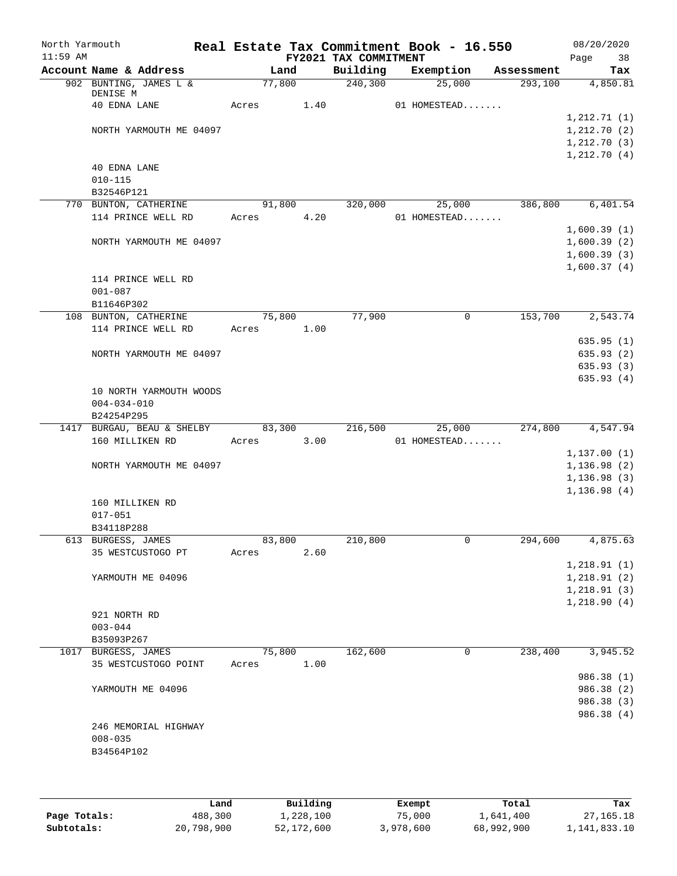| North Yarmouth<br>$11:59$ AM |                                |       |        |      | FY2021 TAX COMMITMENT | Real Estate Tax Commitment Book - 16.550 |            | 08/20/2020<br>38<br>Page |
|------------------------------|--------------------------------|-------|--------|------|-----------------------|------------------------------------------|------------|--------------------------|
|                              | Account Name & Address         |       | Land   |      | Building              | Exemption                                | Assessment | Tax                      |
|                              | 902 BUNTING, JAMES L &         |       | 77,800 |      | 240, 300              | 25,000                                   | 293,100    | 4,850.81                 |
|                              | DENISE M<br>40 EDNA LANE       | Acres |        | 1.40 |                       | 01 HOMESTEAD                             |            |                          |
|                              |                                |       |        |      |                       |                                          |            | 1, 212.71(1)             |
|                              | NORTH YARMOUTH ME 04097        |       |        |      |                       |                                          |            | 1, 212.70(2)             |
|                              |                                |       |        |      |                       |                                          |            | 1, 212.70(3)             |
|                              |                                |       |        |      |                       |                                          |            | 1, 212.70(4)             |
|                              | 40 EDNA LANE                   |       |        |      |                       |                                          |            |                          |
|                              | $010 - 115$                    |       |        |      |                       |                                          |            |                          |
|                              | B32546P121                     |       |        |      |                       |                                          |            |                          |
|                              | 770 BUNTON, CATHERINE          |       | 91,800 |      | 320,000               | 25,000                                   | 386,800    | 6,401.54                 |
|                              | 114 PRINCE WELL RD             |       | Acres  | 4.20 |                       | 01 HOMESTEAD                             |            |                          |
|                              |                                |       |        |      |                       |                                          |            | 1,600.39(1)              |
|                              | NORTH YARMOUTH ME 04097        |       |        |      |                       |                                          |            | 1,600.39(2)              |
|                              |                                |       |        |      |                       |                                          |            | 1,600.39(3)              |
|                              |                                |       |        |      |                       |                                          |            | 1,600.37(4)              |
|                              | 114 PRINCE WELL RD             |       |        |      |                       |                                          |            |                          |
|                              | $001 - 087$<br>B11646P302      |       |        |      |                       |                                          |            |                          |
|                              | 108 BUNTON, CATHERINE          |       | 75,800 |      | 77,900                | $\mathbf 0$                              | 153,700    | 2,543.74                 |
|                              | 114 PRINCE WELL RD             | Acres |        | 1.00 |                       |                                          |            |                          |
|                              |                                |       |        |      |                       |                                          |            | 635.95(1)                |
|                              | NORTH YARMOUTH ME 04097        |       |        |      |                       |                                          |            | 635.93(2)                |
|                              |                                |       |        |      |                       |                                          |            | 635.93(3)                |
|                              |                                |       |        |      |                       |                                          |            | 635.93(4)                |
|                              | 10 NORTH YARMOUTH WOODS        |       |        |      |                       |                                          |            |                          |
|                              | $004 - 034 - 010$              |       |        |      |                       |                                          |            |                          |
|                              | B24254P295                     |       |        |      |                       |                                          |            |                          |
|                              | 1417 BURGAU, BEAU & SHELBY     |       | 83,300 |      | 216,500               | 25,000                                   | 274,800    | 4,547.94                 |
|                              | 160 MILLIKEN RD                | Acres |        | 3.00 |                       | 01 HOMESTEAD                             |            |                          |
|                              |                                |       |        |      |                       |                                          |            | 1, 137.00(1)             |
|                              | NORTH YARMOUTH ME 04097        |       |        |      |                       |                                          |            | 1, 136.98(2)             |
|                              |                                |       |        |      |                       |                                          |            | 1, 136.98(3)             |
|                              |                                |       |        |      |                       |                                          |            | 1, 136.98(4)             |
|                              | 160 MILLIKEN RD<br>$017 - 051$ |       |        |      |                       |                                          |            |                          |
|                              | B34118P288                     |       |        |      |                       |                                          |            |                          |
|                              | 613 BURGESS, JAMES             |       | 83,800 |      | 210,800               | 0                                        | 294,600    | 4,875.63                 |
|                              | 35 WESTCUSTOGO PT              | Acres |        | 2.60 |                       |                                          |            |                          |
|                              |                                |       |        |      |                       |                                          |            | 1, 218.91(1)             |
|                              | YARMOUTH ME 04096              |       |        |      |                       |                                          |            | 1, 218.91(2)             |
|                              |                                |       |        |      |                       |                                          |            | 1, 218.91(3)             |
|                              |                                |       |        |      |                       |                                          |            | 1,218.90(4)              |
|                              | 921 NORTH RD                   |       |        |      |                       |                                          |            |                          |
|                              | $003 - 044$                    |       |        |      |                       |                                          |            |                          |
|                              | B35093P267                     |       |        |      |                       |                                          |            |                          |
|                              | 1017 BURGESS, JAMES            |       | 75,800 |      | 162,600               | 0                                        | 238,400    | 3,945.52                 |
|                              | 35 WESTCUSTOGO POINT           | Acres |        | 1.00 |                       |                                          |            |                          |
|                              |                                |       |        |      |                       |                                          |            | 986.38 (1)               |
|                              | YARMOUTH ME 04096              |       |        |      |                       |                                          |            | 986.38 (2)               |
|                              |                                |       |        |      |                       |                                          |            | 986.38 (3)               |
|                              |                                |       |        |      |                       |                                          |            | 986.38 (4)               |
|                              | 246 MEMORIAL HIGHWAY           |       |        |      |                       |                                          |            |                          |
|                              | $008 - 035$                    |       |        |      |                       |                                          |            |                          |
|                              | B34564P102                     |       |        |      |                       |                                          |            |                          |
|                              |                                |       |        |      |                       |                                          |            |                          |
|                              |                                |       |        |      |                       |                                          |            |                          |

|              | Land       | Building   | Exempt    | Total      | Tax          |
|--------------|------------|------------|-----------|------------|--------------|
| Page Totals: | 488,300    | 1,228,100  | 75,000    | 1,641,400  | 27,165.18    |
| Subtotals:   | 20,798,900 | 52,172,600 | 3,978,600 | 68,992,900 | 1,141,833.10 |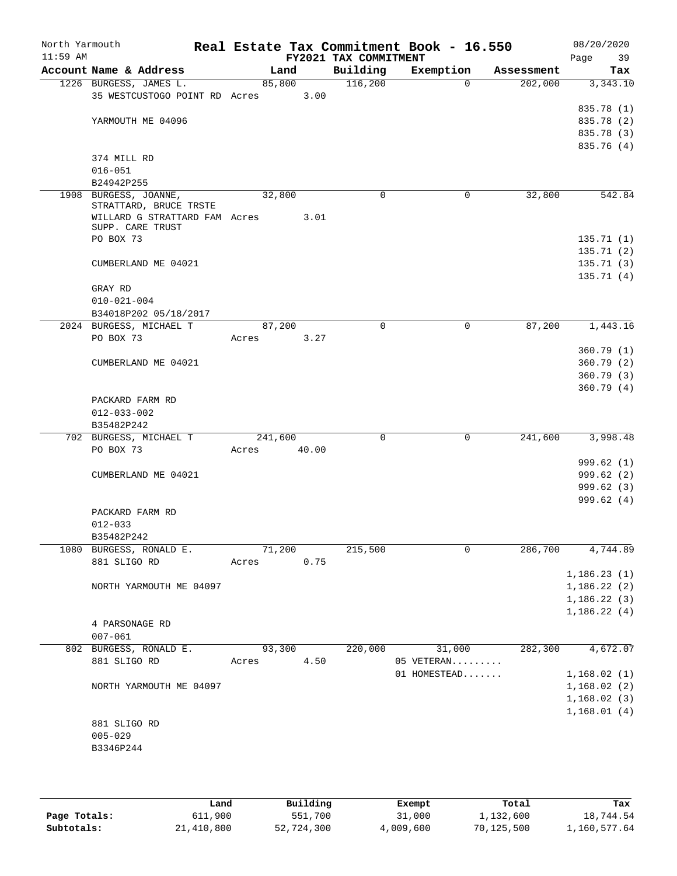| North Yarmouth<br>$11:59$ AM |                                                 |         |       | FY2021 TAX COMMITMENT | Real Estate Tax Commitment Book - 16.550 |            | 08/20/2020<br>Page<br>39 |
|------------------------------|-------------------------------------------------|---------|-------|-----------------------|------------------------------------------|------------|--------------------------|
|                              | Account Name & Address                          | Land    |       | Building              | Exemption                                | Assessment | Tax                      |
|                              | 1226 BURGESS, JAMES L.                          | 85,800  |       | 116,200               | $\Omega$                                 | 202,000    | 3,343.10                 |
|                              | 35 WESTCUSTOGO POINT RD Acres                   |         | 3.00  |                       |                                          |            |                          |
|                              |                                                 |         |       |                       |                                          |            | 835.78 (1)               |
|                              | YARMOUTH ME 04096                               |         |       |                       |                                          |            | 835.78 (2)               |
|                              |                                                 |         |       |                       |                                          |            | 835.78 (3)               |
|                              |                                                 |         |       |                       |                                          |            | 835.76 (4)               |
|                              | 374 MILL RD                                     |         |       |                       |                                          |            |                          |
|                              | $016 - 051$                                     |         |       |                       |                                          |            |                          |
|                              | B24942P255                                      |         |       |                       |                                          |            |                          |
|                              | 1908 BURGESS, JOANNE,<br>STRATTARD, BRUCE TRSTE | 32,800  |       | $\Omega$              | 0                                        | 32,800     | 542.84                   |
|                              | WILLARD G STRATTARD FAM Acres                   |         | 3.01  |                       |                                          |            |                          |
|                              | SUPP. CARE TRUST                                |         |       |                       |                                          |            |                          |
|                              | PO BOX 73                                       |         |       |                       |                                          |            | 135.71(1)                |
|                              |                                                 |         |       |                       |                                          |            | 135.71(2)                |
|                              | CUMBERLAND ME 04021                             |         |       |                       |                                          |            | 135.71(3)                |
|                              |                                                 |         |       |                       |                                          |            | 135.71(4)                |
|                              | GRAY RD                                         |         |       |                       |                                          |            |                          |
|                              | $010 - 021 - 004$                               |         |       |                       |                                          |            |                          |
|                              | B34018P202 05/18/2017                           |         |       |                       |                                          |            |                          |
|                              | 2024 BURGESS, MICHAEL T                         | 87,200  |       | $\Omega$              | $\mathbf 0$                              | 87,200     | 1,443.16                 |
|                              | PO BOX 73                                       | Acres   | 3.27  |                       |                                          |            |                          |
|                              |                                                 |         |       |                       |                                          |            | 360.79(1)                |
|                              | CUMBERLAND ME 04021                             |         |       |                       |                                          |            | 360.79(2)                |
|                              |                                                 |         |       |                       |                                          |            | 360.79(3)                |
|                              |                                                 |         |       |                       |                                          |            | 360.79(4)                |
|                              | PACKARD FARM RD                                 |         |       |                       |                                          |            |                          |
|                              | $012 - 033 - 002$                               |         |       |                       |                                          |            |                          |
|                              | B35482P242                                      |         |       |                       |                                          |            |                          |
|                              | 702 BURGESS, MICHAEL T                          | 241,600 |       | 0                     | $\mathbf 0$                              | 241,600    | 3,998.48                 |
|                              | PO BOX 73                                       | Acres   | 40.00 |                       |                                          |            |                          |
|                              |                                                 |         |       |                       |                                          |            | 999.62(1)                |
|                              | CUMBERLAND ME 04021                             |         |       |                       |                                          |            | 999.62 (2)               |
|                              |                                                 |         |       |                       |                                          |            | 999.62(3)                |
|                              |                                                 |         |       |                       |                                          |            | 999.62(4)                |
|                              | PACKARD FARM RD                                 |         |       |                       |                                          |            |                          |
|                              | $012 - 033$                                     |         |       |                       |                                          |            |                          |
|                              | B35482P242                                      |         |       |                       |                                          |            |                          |
|                              | 1080 BURGESS, RONALD E.                         | 71,200  |       | 215,500               | 0                                        | 286,700    | 4,744.89                 |
|                              | 881 SLIGO RD                                    | Acres   | 0.75  |                       |                                          |            |                          |
|                              |                                                 |         |       |                       |                                          |            | 1,186.23(1)              |
|                              | NORTH YARMOUTH ME 04097                         |         |       |                       |                                          |            | 1,186.22(2)              |
|                              |                                                 |         |       |                       |                                          |            | 1,186.22(3)              |
|                              |                                                 |         |       |                       |                                          |            | 1,186.22(4)              |
|                              | 4 PARSONAGE RD                                  |         |       |                       |                                          |            |                          |
|                              | $007 - 061$                                     |         |       |                       |                                          |            |                          |
|                              | 802 BURGESS, RONALD E.                          | 93,300  |       | 220,000               | 31,000                                   | 282,300    | 4,672.07                 |
|                              | 881 SLIGO RD                                    | Acres   | 4.50  |                       | 05 VETERAN                               |            |                          |
|                              |                                                 |         |       |                       | 01 HOMESTEAD                             |            | 1,168.02(1)              |
|                              | NORTH YARMOUTH ME 04097                         |         |       |                       |                                          |            | 1,168.02(2)              |
|                              |                                                 |         |       |                       |                                          |            | 1,168.02(3)              |
|                              |                                                 |         |       |                       |                                          |            | 1,168.01(4)              |
|                              | 881 SLIGO RD                                    |         |       |                       |                                          |            |                          |
|                              | $005 - 029$                                     |         |       |                       |                                          |            |                          |
|                              | B3346P244                                       |         |       |                       |                                          |            |                          |
|                              |                                                 |         |       |                       |                                          |            |                          |

|              | Land       | Building   | Exempt    | Total      | Tax          |
|--------------|------------|------------|-----------|------------|--------------|
| Page Totals: | 611,900    | 551,700    | 31,000    | 1,132,600  | 18,744.54    |
| Subtotals:   | 21,410,800 | 52,724,300 | 4,009,600 | 70,125,500 | 1,160,577.64 |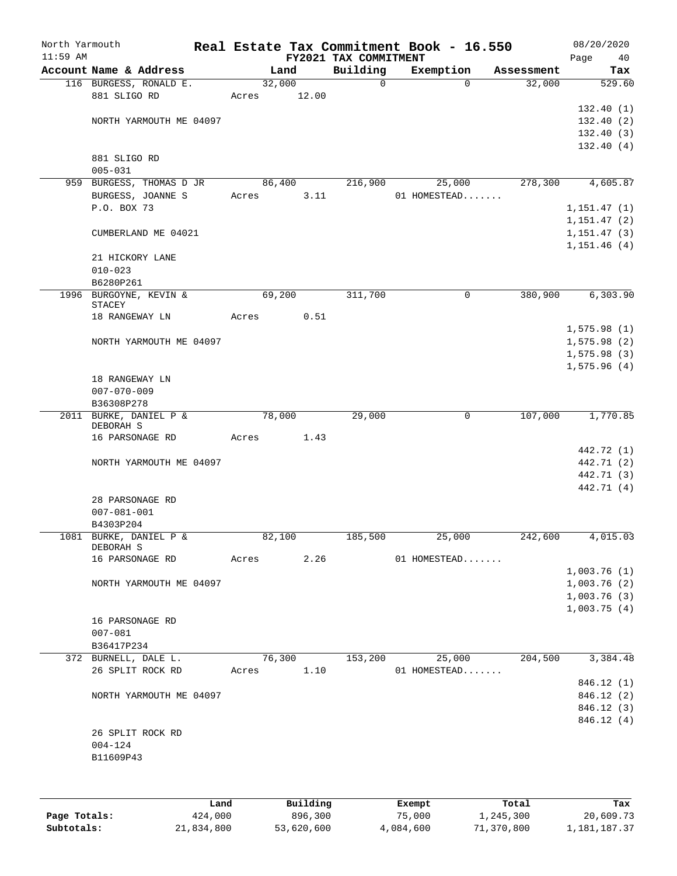| North Yarmouth |                                                |       |        |       | Real Estate Tax Commitment Book - 16.550 |              |             |                                                  | 08/20/2020   |
|----------------|------------------------------------------------|-------|--------|-------|------------------------------------------|--------------|-------------|--------------------------------------------------|--------------|
| $11:59$ AM     |                                                |       |        |       | FY2021 TAX COMMITMENT                    |              |             |                                                  | Page<br>40   |
|                | Account Name & Address                         |       | Land   |       | Building                                 | Exemption    |             | Assessment                                       | Tax          |
|                | 116 BURGESS, RONALD E.                         |       | 32,000 |       | $\mathsf{O}$                             |              | $\Omega$    | 32,000                                           | 529.60       |
|                | 881 SLIGO RD                                   | Acres |        | 12.00 |                                          |              |             |                                                  |              |
|                |                                                |       |        |       |                                          |              |             |                                                  | 132.40(1)    |
|                | NORTH YARMOUTH ME 04097                        |       |        |       |                                          |              |             |                                                  | 132.40(2)    |
|                |                                                |       |        |       |                                          |              |             |                                                  | 132.40(3)    |
|                |                                                |       |        |       |                                          |              |             |                                                  | 132.40(4)    |
|                | 881 SLIGO RD                                   |       |        |       |                                          |              |             |                                                  |              |
|                | $005 - 031$                                    |       |        |       |                                          |              |             |                                                  |              |
|                | 959 BURGESS, THOMAS D JR                       |       | 86,400 |       | 216,900                                  |              | 25,000      | 278,300                                          | 4,605.87     |
|                | BURGESS, JOANNE S                              | Acres |        | 3.11  |                                          | 01 HOMESTEAD |             |                                                  |              |
|                | P.O. BOX 73                                    |       |        |       |                                          |              |             |                                                  | 1, 151.47(1) |
|                |                                                |       |        |       |                                          |              |             |                                                  | 1, 151.47(2) |
|                | CUMBERLAND ME 04021                            |       |        |       |                                          |              |             |                                                  | 1, 151.47(3) |
|                |                                                |       |        |       |                                          |              |             |                                                  | 1,151.46(4)  |
|                | 21 HICKORY LANE<br>$010 - 023$                 |       |        |       |                                          |              |             |                                                  |              |
|                | B6280P261                                      |       |        |       |                                          |              |             |                                                  |              |
|                |                                                |       |        |       |                                          |              |             |                                                  |              |
|                | 1996 BURGOYNE, KEVIN &<br>STACEY               |       | 69,200 |       | 311,700                                  |              | $\mathbf 0$ | 380,900                                          | 6,303.90     |
|                | 18 RANGEWAY LN                                 | Acres |        | 0.51  |                                          |              |             |                                                  |              |
|                |                                                |       |        |       |                                          |              |             |                                                  | 1,575.98(1)  |
|                | NORTH YARMOUTH ME 04097                        |       |        |       |                                          |              |             |                                                  | 1,575.98(2)  |
|                |                                                |       |        |       |                                          |              |             |                                                  | 1, 575.98(3) |
|                |                                                |       |        |       |                                          |              |             |                                                  | 1,575.96(4)  |
|                | 18 RANGEWAY LN                                 |       |        |       |                                          |              |             |                                                  |              |
|                | $007 - 070 - 009$                              |       |        |       |                                          |              |             |                                                  |              |
|                | B36308P278                                     |       |        |       |                                          |              |             |                                                  |              |
|                | 2011 BURKE, DANIEL P &                         |       | 78,000 |       | 29,000                                   |              | $\mathbf 0$ | 107,000                                          | 1,770.85     |
|                | DEBORAH S                                      |       |        |       |                                          |              |             |                                                  |              |
|                | 16 PARSONAGE RD                                | Acres |        | 1.43  |                                          |              |             |                                                  |              |
|                |                                                |       |        |       |                                          |              |             |                                                  | 442.72 (1)   |
|                | NORTH YARMOUTH ME 04097                        |       |        |       |                                          |              |             |                                                  | 442.71 (2)   |
|                |                                                |       |        |       |                                          |              |             |                                                  | 442.71 (3)   |
|                |                                                |       |        |       |                                          |              |             |                                                  | 442.71 (4)   |
|                | 28 PARSONAGE RD                                |       |        |       |                                          |              |             |                                                  |              |
|                | $007 - 081 - 001$                              |       |        |       |                                          |              |             |                                                  |              |
|                | B4303P204                                      |       |        |       |                                          |              |             |                                                  |              |
|                | 1081 BURKE, DANIEL P &                         |       | 82,100 |       | 185,500                                  |              | 25,000      | 242,600                                          | 4,015.03     |
|                | DEBORAH S                                      |       |        |       |                                          |              |             |                                                  |              |
|                | 16 PARSONAGE RD $\overline{2.26}$ 01 HOMESTEAD |       |        |       |                                          |              |             |                                                  |              |
|                |                                                |       |        |       |                                          |              |             |                                                  | 1,003.76(1)  |
|                | NORTH YARMOUTH ME 04097                        |       |        |       |                                          |              |             |                                                  | 1,003.76(2)  |
|                |                                                |       |        |       |                                          |              |             |                                                  | 1,003.76(3)  |
|                |                                                |       |        |       |                                          |              |             |                                                  | 1,003.75(4)  |
|                | 16 PARSONAGE RD                                |       |        |       |                                          |              |             |                                                  |              |
|                | $007 - 081$                                    |       |        |       |                                          |              |             |                                                  |              |
|                | B36417P234                                     |       |        |       |                                          |              |             |                                                  |              |
|                | 372 BURNELL, DALE L.                           |       |        |       |                                          |              |             | $76,300$ $153,200$ $25,000$ $204,500$ $3,384.48$ |              |
|                | 26 SPLIT ROCK RD Acres 1.10 01 HOMESTEAD       |       |        |       |                                          |              |             |                                                  |              |
|                |                                                |       |        |       |                                          |              |             |                                                  | 846.12 (1)   |
|                | NORTH YARMOUTH ME 04097                        |       |        |       |                                          |              |             |                                                  | 846.12(2)    |
|                |                                                |       |        |       |                                          |              |             |                                                  | 846.12(3)    |
|                |                                                |       |        |       |                                          |              |             |                                                  | 846.12(4)    |
|                | 26 SPLIT ROCK RD                               |       |        |       |                                          |              |             |                                                  |              |
|                | $004 - 124$                                    |       |        |       |                                          |              |             |                                                  |              |
|                | B11609P43                                      |       |        |       |                                          |              |             |                                                  |              |
|                |                                                |       |        |       |                                          |              |             |                                                  |              |
|                |                                                |       |        |       |                                          |              |             |                                                  |              |

|              | Land       | Building   | Exempt    | Total      | Tax          |
|--------------|------------|------------|-----------|------------|--------------|
| Page Totals: | 424,000    | 896,300    | 75,000    | 1,245,300  | 20,609.73    |
| Subtotals:   | 21,834,800 | 53,620,600 | 4,084,600 | 71,370,800 | 1,181,187.37 |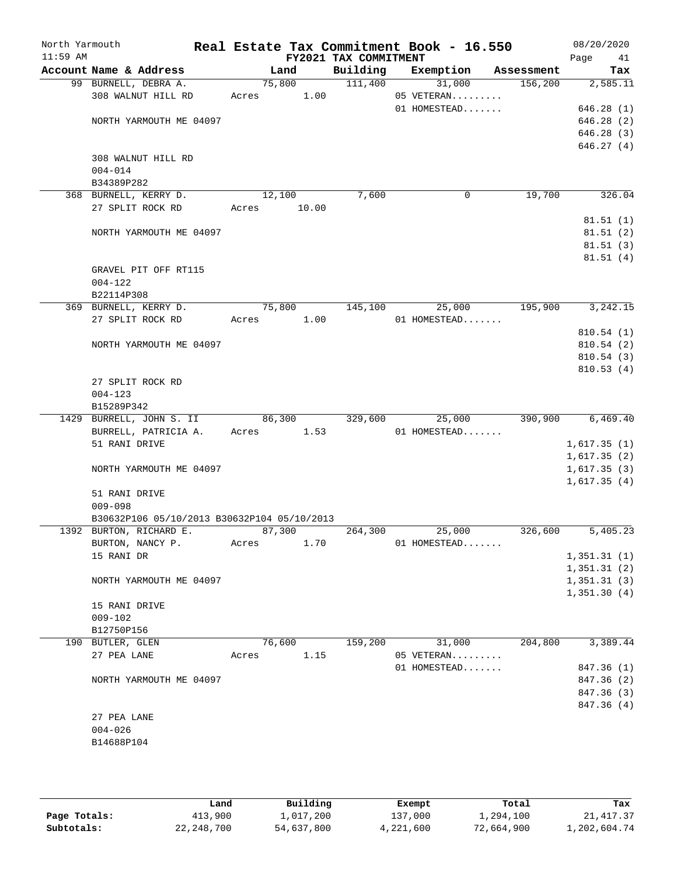| North Yarmouth<br>$11:59$ AM |                                                                        |       |                 | FY2021 TAX COMMITMENT | Real Estate Tax Commitment Book - 16.550 |            | 08/20/2020<br>Page<br>41 |
|------------------------------|------------------------------------------------------------------------|-------|-----------------|-----------------------|------------------------------------------|------------|--------------------------|
|                              | Account Name & Address                                                 |       | Land            | Building              | Exemption                                | Assessment | Tax                      |
|                              | 99 BURNELL, DEBRA A.                                                   |       | 75,800          | 111,400               | 31,000                                   | 156,200    | 2,585.11                 |
|                              | 308 WALNUT HILL RD                                                     | Acres | 1.00            |                       | 05 VETERAN                               |            |                          |
|                              |                                                                        |       |                 |                       | 01 HOMESTEAD                             |            | 646.28(1)                |
|                              | NORTH YARMOUTH ME 04097                                                |       |                 |                       |                                          |            | 646.28(2)                |
|                              |                                                                        |       |                 |                       |                                          |            | 646.28(3)                |
|                              |                                                                        |       |                 |                       |                                          |            | 646.27(4)                |
|                              | 308 WALNUT HILL RD                                                     |       |                 |                       |                                          |            |                          |
|                              | $004 - 014$                                                            |       |                 |                       |                                          |            |                          |
|                              | B34389P282                                                             |       |                 | 7,600                 | 0                                        | 19,700     | 326.04                   |
|                              | 368 BURNELL, KERRY D.<br>27 SPLIT ROCK RD                              | Acres | 12,100<br>10.00 |                       |                                          |            |                          |
|                              |                                                                        |       |                 |                       |                                          |            | 81.51(1)                 |
|                              | NORTH YARMOUTH ME 04097                                                |       |                 |                       |                                          |            | 81.51(2)                 |
|                              |                                                                        |       |                 |                       |                                          |            | 81.51(3)                 |
|                              |                                                                        |       |                 |                       |                                          |            | 81.51(4)                 |
|                              | GRAVEL PIT OFF RT115                                                   |       |                 |                       |                                          |            |                          |
|                              | $004 - 122$                                                            |       |                 |                       |                                          |            |                          |
|                              | B22114P308                                                             |       |                 |                       |                                          |            |                          |
|                              | 369 BURNELL, KERRY D.                                                  |       | 75,800          | 145,100               | 25,000                                   | 195,900    | 3, 242. 15               |
|                              | 27 SPLIT ROCK RD                                                       | Acres | 1.00            |                       | 01 HOMESTEAD                             |            |                          |
|                              |                                                                        |       |                 |                       |                                          |            | 810.54(1)                |
|                              | NORTH YARMOUTH ME 04097                                                |       |                 |                       |                                          |            | 810.54(2)                |
|                              |                                                                        |       |                 |                       |                                          |            | 810.54(3)                |
|                              |                                                                        |       |                 |                       |                                          |            | 810.53(4)                |
|                              | 27 SPLIT ROCK RD                                                       |       |                 |                       |                                          |            |                          |
|                              | $004 - 123$                                                            |       |                 |                       |                                          |            |                          |
|                              | B15289P342                                                             |       |                 |                       |                                          |            |                          |
|                              | 1429 BURRELL, JOHN S. II                                               |       | 86,300          | 329,600               | 25,000                                   | 390,900    | 6,469.40                 |
|                              | BURRELL, PATRICIA A.                                                   | Acres | 1.53            |                       | 01 HOMESTEAD                             |            |                          |
|                              | 51 RANI DRIVE                                                          |       |                 |                       |                                          |            | 1,617.35(1)              |
|                              |                                                                        |       |                 |                       |                                          |            | 1,617.35(2)              |
|                              | NORTH YARMOUTH ME 04097                                                |       |                 |                       |                                          |            | 1,617.35(3)              |
|                              |                                                                        |       |                 |                       |                                          |            | 1,617.35(4)              |
|                              | 51 RANI DRIVE                                                          |       |                 |                       |                                          |            |                          |
|                              | $009 - 098$                                                            |       |                 |                       |                                          |            |                          |
|                              | B30632P106 05/10/2013 B30632P104 05/10/2013<br>1392 BURTON, RICHARD E. |       | 87,300          | 264,300               | 25,000                                   | 326,600    | 5,405.23                 |
|                              | BURTON, NANCY P.                                                       | Acres | 1.70            |                       | 01 HOMESTEAD                             |            |                          |
|                              | 15 RANI DR                                                             |       |                 |                       |                                          |            | 1,351.31(1)              |
|                              |                                                                        |       |                 |                       |                                          |            | 1,351.31(2)              |
|                              | NORTH YARMOUTH ME 04097                                                |       |                 |                       |                                          |            | 1,351.31(3)              |
|                              |                                                                        |       |                 |                       |                                          |            | 1,351.30(4)              |
|                              | 15 RANI DRIVE                                                          |       |                 |                       |                                          |            |                          |
|                              | $009 - 102$                                                            |       |                 |                       |                                          |            |                          |
|                              | B12750P156                                                             |       |                 |                       |                                          |            |                          |
|                              | 190 BUTLER, GLEN                                                       |       | 76,600          | 159,200               | 31,000                                   | 204,800    | 3,389.44                 |
|                              | 27 PEA LANE                                                            | Acres | 1.15            |                       | 05 VETERAN                               |            |                          |
|                              |                                                                        |       |                 |                       | 01 HOMESTEAD                             |            | 847.36 (1)               |
|                              | NORTH YARMOUTH ME 04097                                                |       |                 |                       |                                          |            | 847.36 (2)               |
|                              |                                                                        |       |                 |                       |                                          |            | 847.36 (3)               |
|                              |                                                                        |       |                 |                       |                                          |            | 847.36 (4)               |
|                              | 27 PEA LANE                                                            |       |                 |                       |                                          |            |                          |
|                              | $004 - 026$                                                            |       |                 |                       |                                          |            |                          |
|                              | B14688P104                                                             |       |                 |                       |                                          |            |                          |
|                              |                                                                        |       |                 |                       |                                          |            |                          |
|                              |                                                                        |       |                 |                       |                                          |            |                          |

|              | Land       | Building   | Exempt    | Total      | Tax          |
|--------------|------------|------------|-----------|------------|--------------|
| Page Totals: | 413,900    | 1,017,200  | 137,000   | 1,294,100  | 21,417.37    |
| Subtotals:   | 22,248,700 | 54,637,800 | 4,221,600 | 72,664,900 | 1,202,604.74 |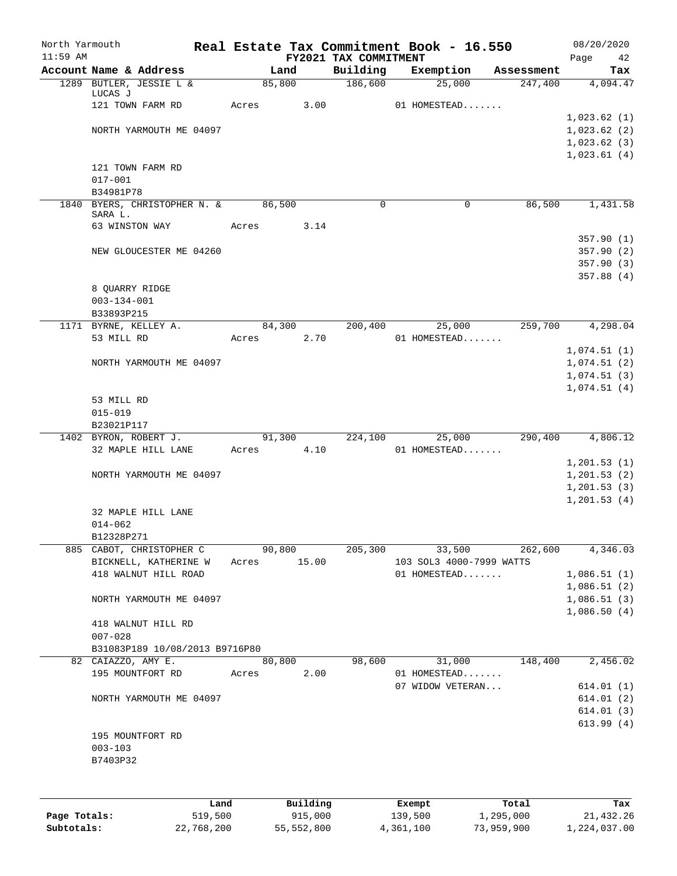| North Yarmouth<br>$11:59$ AM |                                                   |        |             |                                   | Real Estate Tax Commitment Book - 16.550 |            | 08/20/2020      |
|------------------------------|---------------------------------------------------|--------|-------------|-----------------------------------|------------------------------------------|------------|-----------------|
|                              | Account Name & Address                            |        | Land        | FY2021 TAX COMMITMENT<br>Building | Exemption                                | Assessment | Page<br>42      |
|                              | 1289 BUTLER, JESSIE L &                           |        | 85,800      | 186,600                           | 25,000                                   | 247,400    | Tax<br>4,094.47 |
|                              | LUCAS J                                           |        |             |                                   |                                          |            |                 |
|                              | 121 TOWN FARM RD                                  | Acres  | 3.00        |                                   | 01 HOMESTEAD                             |            |                 |
|                              |                                                   |        |             |                                   |                                          |            | 1,023.62(1)     |
|                              | NORTH YARMOUTH ME 04097                           |        |             |                                   |                                          |            | 1,023.62(2)     |
|                              |                                                   |        |             |                                   |                                          |            | 1,023.62(3)     |
|                              |                                                   |        |             |                                   |                                          |            | 1,023.61(4)     |
|                              | 121 TOWN FARM RD                                  |        |             |                                   |                                          |            |                 |
|                              | $017 - 001$                                       |        |             |                                   |                                          |            |                 |
|                              | B34981P78                                         |        |             |                                   |                                          |            |                 |
|                              | 1840 BYERS, CHRISTOPHER N. &                      | 86,500 |             | $\Omega$                          | $\mathbf 0$                              | 86,500     | 1,431.58        |
|                              | SARA L.<br>63 WINSTON WAY                         | Acres  | 3.14        |                                   |                                          |            |                 |
|                              |                                                   |        |             |                                   |                                          |            | 357.90(1)       |
|                              | NEW GLOUCESTER ME 04260                           |        |             |                                   |                                          |            | 357.90(2)       |
|                              |                                                   |        |             |                                   |                                          |            | 357.90(3)       |
|                              |                                                   |        |             |                                   |                                          |            | 357.88(4)       |
|                              | 8 OUARRY RIDGE                                    |        |             |                                   |                                          |            |                 |
|                              | $003 - 134 - 001$                                 |        |             |                                   |                                          |            |                 |
|                              | B33893P215                                        |        |             |                                   |                                          |            |                 |
|                              | 1171 BYRNE, KELLEY A.                             |        | 84,300      | 200,400                           | 25,000                                   | 259,700    | 4,298.04        |
|                              | 53 MILL RD                                        | Acres  | 2.70        |                                   | 01 HOMESTEAD                             |            |                 |
|                              |                                                   |        |             |                                   |                                          |            | 1,074.51(1)     |
|                              | NORTH YARMOUTH ME 04097                           |        |             |                                   |                                          |            | 1,074.51(2)     |
|                              |                                                   |        |             |                                   |                                          |            | 1,074.51(3)     |
|                              |                                                   |        |             |                                   |                                          |            | 1,074.51(4)     |
|                              | 53 MILL RD                                        |        |             |                                   |                                          |            |                 |
|                              | $015 - 019$                                       |        |             |                                   |                                          |            |                 |
|                              | B23021P117                                        |        |             |                                   |                                          |            |                 |
|                              | 1402 BYRON, ROBERT J.                             |        | 91,300      | 224,100                           | 25,000                                   | 290,400    | 4,806.12        |
|                              | 32 MAPLE HILL LANE                                | Acres  | 4.10        |                                   | 01 HOMESTEAD                             |            |                 |
|                              |                                                   |        |             |                                   |                                          |            | 1, 201.53(1)    |
|                              | NORTH YARMOUTH ME 04097                           |        |             |                                   |                                          |            | 1, 201.53(2)    |
|                              |                                                   |        |             |                                   |                                          |            | 1,201.53(3)     |
|                              |                                                   |        |             |                                   |                                          |            | 1, 201.53(4)    |
|                              | 32 MAPLE HILL LANE                                |        |             |                                   |                                          |            |                 |
|                              | $014 - 062$                                       |        |             |                                   |                                          |            |                 |
|                              | B12328P271                                        | 90,800 |             | 205, 300                          |                                          | 262,600    |                 |
|                              | 885 CABOT, CHRISTOPHER C<br>BICKNELL, KATHERINE W |        | Acres 15.00 |                                   | 33,500<br>103 SOL3 4000-7999 WATTS       |            | 4,346.03        |
|                              | 418 WALNUT HILL ROAD                              |        |             |                                   | 01 HOMESTEAD                             |            | 1,086.51(1)     |
|                              |                                                   |        |             |                                   |                                          |            | 1,086.51(2)     |
|                              | NORTH YARMOUTH ME 04097                           |        |             |                                   |                                          |            | 1,086.51(3)     |
|                              |                                                   |        |             |                                   |                                          |            | 1,086.50(4)     |
|                              | 418 WALNUT HILL RD                                |        |             |                                   |                                          |            |                 |
|                              | $007 - 028$                                       |        |             |                                   |                                          |            |                 |
|                              | B31083P189 10/08/2013 B9716P80                    |        |             |                                   |                                          |            |                 |
|                              | 82 CAIAZZO, AMY E.                                |        | 80,800      | 98,600                            | 31,000                                   | 148,400    | 2,456.02        |
|                              | 195 MOUNTFORT RD                                  | Acres  | 2.00        |                                   | 01 HOMESTEAD                             |            |                 |
|                              |                                                   |        |             |                                   | 07 WIDOW VETERAN                         |            | 614.01(1)       |
|                              | NORTH YARMOUTH ME 04097                           |        |             |                                   |                                          |            | 614.01(2)       |
|                              |                                                   |        |             |                                   |                                          |            | 614.01(3)       |
|                              |                                                   |        |             |                                   |                                          |            | 613.99(4)       |
|                              | 195 MOUNTFORT RD                                  |        |             |                                   |                                          |            |                 |
|                              | $003 - 103$                                       |        |             |                                   |                                          |            |                 |
|                              | B7403P32                                          |        |             |                                   |                                          |            |                 |
|                              |                                                   |        |             |                                   |                                          |            |                 |
|                              |                                                   |        |             |                                   |                                          |            |                 |
|                              | Land                                              |        | Building    |                                   | Exempt                                   | Total      | Tax             |
|                              |                                                   |        |             |                                   |                                          |            |                 |

| Page Totals: | 519,500    | 915,000    | 139,500   | 1,295,000  | 21,432.26    |
|--------------|------------|------------|-----------|------------|--------------|
| Subtotals:   | 22,768,200 | 55,552,800 | 4,361,100 | 73,959,900 | 1,224,037.00 |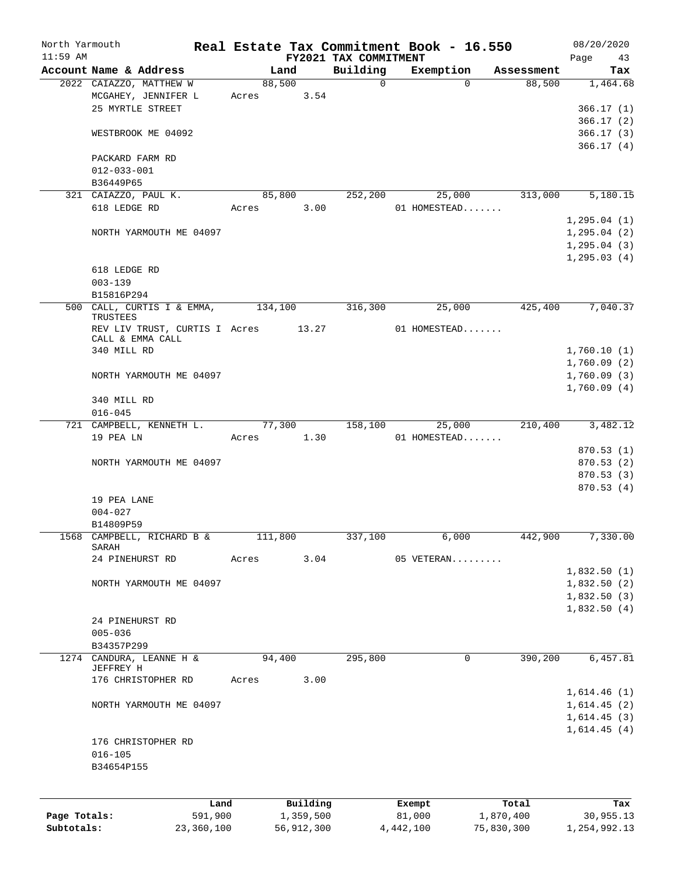| North Yarmouth |                                       |            |         |            |                       | Real Estate Tax Commitment Book - 16.550 |            | 08/20/2020   |
|----------------|---------------------------------------|------------|---------|------------|-----------------------|------------------------------------------|------------|--------------|
| $11:59$ AM     |                                       |            |         |            | FY2021 TAX COMMITMENT |                                          |            | Page<br>43   |
|                | Account Name & Address                |            |         | Land       | Building              | Exemption                                | Assessment | Tax          |
|                | 2022 CAIAZZO, MATTHEW W               |            |         | 88,500     | $\mathbf 0$           | $\Omega$                                 | 88,500     | 1,464.68     |
|                | MCGAHEY, JENNIFER L                   |            | Acres   | 3.54       |                       |                                          |            |              |
|                | 25 MYRTLE STREET                      |            |         |            |                       |                                          |            | 366.17(1)    |
|                |                                       |            |         |            |                       |                                          |            | 366.17(2)    |
|                | WESTBROOK ME 04092                    |            |         |            |                       |                                          |            | 366.17(3)    |
|                |                                       |            |         |            |                       |                                          |            | 366.17(4)    |
|                | PACKARD FARM RD                       |            |         |            |                       |                                          |            |              |
|                | $012 - 033 - 001$                     |            |         |            |                       |                                          |            |              |
|                | B36449P65                             |            |         |            |                       |                                          |            |              |
|                | 321 CAIAZZO, PAUL K.                  |            |         | 85,800     | 252,200               | 25,000                                   | 313,000    | 5,180.15     |
|                | 618 LEDGE RD                          |            | Acres   | 3.00       |                       | 01 HOMESTEAD                             |            |              |
|                |                                       |            |         |            |                       |                                          |            | 1, 295.04(1) |
|                | NORTH YARMOUTH ME 04097               |            |         |            |                       |                                          |            | 1, 295.04(2) |
|                |                                       |            |         |            |                       |                                          |            | 1, 295.04(3) |
|                |                                       |            |         |            |                       |                                          |            | 1, 295.03(4) |
|                | 618 LEDGE RD                          |            |         |            |                       |                                          |            |              |
|                | $003 - 139$                           |            |         |            |                       |                                          |            |              |
|                | B15816P294                            |            |         |            |                       |                                          |            |              |
|                | 500 CALL, CURTIS I & EMMA,            |            | 134,100 |            | 316,300               | 25,000                                   | 425,400    | 7,040.37     |
|                | TRUSTEES                              |            |         |            |                       |                                          |            |              |
|                | REV LIV TRUST, CURTIS I Acres 13.27   |            |         |            |                       | 01 HOMESTEAD                             |            |              |
|                | CALL & EMMA CALL                      |            |         |            |                       |                                          |            |              |
|                | 340 MILL RD                           |            |         |            |                       |                                          |            | 1,760.10(1)  |
|                |                                       |            |         |            |                       |                                          |            | 1,760.09(2)  |
|                | NORTH YARMOUTH ME 04097               |            |         |            |                       |                                          |            | 1,760.09(3)  |
|                |                                       |            |         |            |                       |                                          |            | 1,760.09(4)  |
|                | 340 MILL RD                           |            |         |            |                       |                                          |            |              |
|                | $016 - 045$                           |            |         |            |                       |                                          |            |              |
|                | 721 CAMPBELL, KENNETH L.              |            | 77,300  |            | 158,100               | 25,000                                   | 210,400    | 3,482.12     |
|                | 19 PEA LN                             |            | Acres   | 1.30       |                       | 01 HOMESTEAD                             |            |              |
|                |                                       |            |         |            |                       |                                          |            | 870.53 (1)   |
|                | NORTH YARMOUTH ME 04097               |            |         |            |                       |                                          |            | 870.53 (2)   |
|                |                                       |            |         |            |                       |                                          |            | 870.53 (3)   |
|                |                                       |            |         |            |                       |                                          |            |              |
|                |                                       |            |         |            |                       |                                          |            | 870.53(4)    |
|                | 19 PEA LANE                           |            |         |            |                       |                                          |            |              |
|                | $004 - 027$                           |            |         |            |                       |                                          |            |              |
|                | B14809P59                             |            |         |            |                       |                                          |            |              |
|                | 1568 CAMPBELL, RICHARD B &<br>SARAH   |            |         | 111,800    | 337,100               | 6,000                                    | 442,900    | 7,330.00     |
|                | 24 PINEHURST RD                       |            | Acres   | 3.04       |                       | 05 VETERAN                               |            |              |
|                |                                       |            |         |            |                       |                                          |            | 1,832.50(1)  |
|                | NORTH YARMOUTH ME 04097               |            |         |            |                       |                                          |            | 1,832.50(2)  |
|                |                                       |            |         |            |                       |                                          |            |              |
|                |                                       |            |         |            |                       |                                          |            | 1,832.50(3)  |
|                |                                       |            |         |            |                       |                                          |            | 1,832.50(4)  |
|                | 24 PINEHURST RD                       |            |         |            |                       |                                          |            |              |
|                | $005 - 036$                           |            |         |            |                       |                                          |            |              |
|                | B34357P299                            |            |         |            |                       |                                          |            |              |
|                | 1274 CANDURA, LEANNE H &<br>JEFFREY H |            |         | 94,400     | 295,800               | 0                                        | 390,200    | 6,457.81     |
|                | 176 CHRISTOPHER RD                    |            | Acres   | 3.00       |                       |                                          |            |              |
|                |                                       |            |         |            |                       |                                          |            | 1,614.46(1)  |
|                |                                       |            |         |            |                       |                                          |            |              |
|                | NORTH YARMOUTH ME 04097               |            |         |            |                       |                                          |            | 1,614.45(2)  |
|                |                                       |            |         |            |                       |                                          |            | 1,614.45(3)  |
|                |                                       |            |         |            |                       |                                          |            | 1,614.45(4)  |
|                | 176 CHRISTOPHER RD                    |            |         |            |                       |                                          |            |              |
|                | $016 - 105$                           |            |         |            |                       |                                          |            |              |
|                | B34654P155                            |            |         |            |                       |                                          |            |              |
|                |                                       |            |         |            |                       |                                          |            |              |
|                |                                       |            |         |            |                       |                                          |            |              |
|                |                                       | Land       |         | Building   |                       | Exempt                                   | Total      | Tax          |
| Page Totals:   |                                       | 591,900    |         | 1,359,500  |                       | 81,000                                   | 1,870,400  | 30,955.13    |
| Subtotals:     |                                       | 23,360,100 |         | 56,912,300 |                       | 4, 442, 100                              | 75,830,300 | 1,254,992.13 |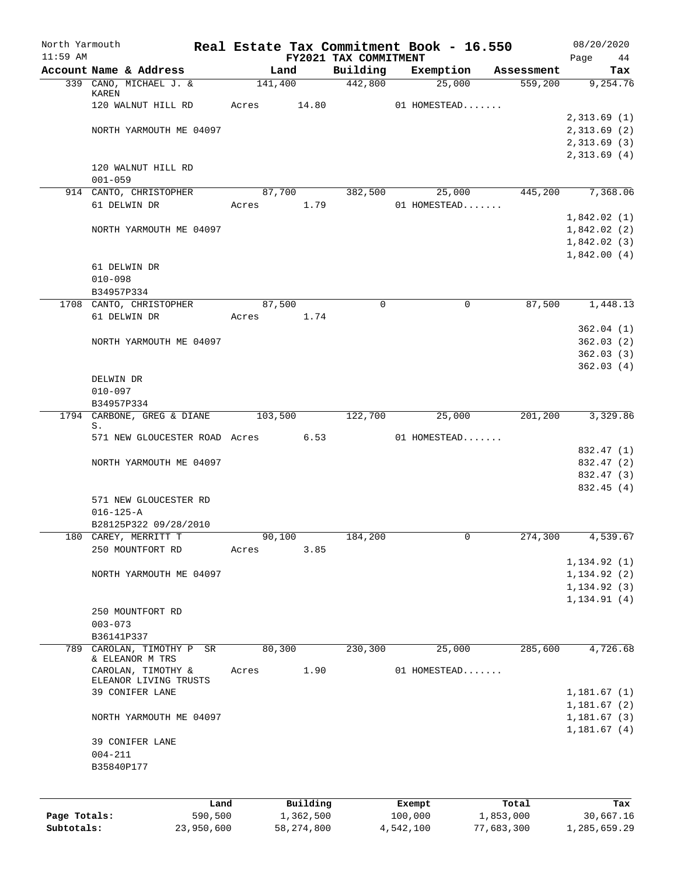| North Yarmouth |                 |                                             | Real Estate Tax Commitment Book - 16.550 |                                   |              |            | 08/20/2020        |
|----------------|-----------------|---------------------------------------------|------------------------------------------|-----------------------------------|--------------|------------|-------------------|
| $11:59$ AM     |                 | Account Name & Address                      | Land                                     | FY2021 TAX COMMITMENT<br>Building | Exemption    | Assessment | Page<br>44<br>Tax |
|                |                 | 339 CANO, MICHAEL J. &                      | 141,400                                  | 442,800                           | 25,000       | 559,200    | 9,254.76          |
|                | KAREN           |                                             |                                          |                                   |              |            |                   |
|                |                 | 120 WALNUT HILL RD                          | 14.80<br>Acres                           |                                   | 01 HOMESTEAD |            |                   |
|                |                 |                                             |                                          |                                   |              |            | 2,313.69(1)       |
|                |                 | NORTH YARMOUTH ME 04097                     |                                          |                                   |              |            | 2,313.69(2)       |
|                |                 |                                             |                                          |                                   |              |            | 2,313.69(3)       |
|                |                 |                                             |                                          |                                   |              |            | 2,313.69(4)       |
|                | $001 - 059$     | 120 WALNUT HILL RD                          |                                          |                                   |              |            |                   |
|                |                 | 914 CANTO, CHRISTOPHER                      | 87,700                                   | 382,500                           | 25,000       | 445,200    | 7,368.06          |
|                |                 | 61 DELWIN DR                                | Acres 1.79                               |                                   | 01 HOMESTEAD |            |                   |
|                |                 |                                             |                                          |                                   |              |            | 1,842.02(1)       |
|                |                 | NORTH YARMOUTH ME 04097                     |                                          |                                   |              |            | 1,842.02(2)       |
|                |                 |                                             |                                          |                                   |              |            | 1,842.02(3)       |
|                |                 |                                             |                                          |                                   |              |            | 1,842.00(4)       |
|                |                 | 61 DELWIN DR                                |                                          |                                   |              |            |                   |
|                | $010 - 098$     |                                             |                                          |                                   |              |            |                   |
|                | B34957P334      |                                             |                                          |                                   |              |            |                   |
|                |                 | 1708 CANTO, CHRISTOPHER                     | 87,500                                   | $\Omega$                          | 0            | 87,500     | 1,448.13          |
|                |                 | 61 DELWIN DR                                | Acres<br>1.74                            |                                   |              |            |                   |
|                |                 |                                             |                                          |                                   |              |            | 362.04(1)         |
|                |                 | NORTH YARMOUTH ME 04097                     |                                          |                                   |              |            | 362.03(2)         |
|                |                 |                                             |                                          |                                   |              |            | 362.03(3)         |
|                |                 |                                             |                                          |                                   |              |            | 362.03(4)         |
|                | DELWIN DR       |                                             |                                          |                                   |              |            |                   |
|                | $010 - 097$     |                                             |                                          |                                   |              |            |                   |
|                | B34957P334      |                                             |                                          |                                   |              |            |                   |
|                | S.              | 1794 CARBONE, GREG & DIANE                  | 103,500                                  | 122,700                           | 25,000       | 201,200    | 3,329.86          |
|                |                 | 571 NEW GLOUCESTER ROAD Acres 6.53          |                                          |                                   | 01 HOMESTEAD |            |                   |
|                |                 |                                             |                                          |                                   |              |            | 832.47 (1)        |
|                |                 | NORTH YARMOUTH ME 04097                     |                                          |                                   |              |            | 832.47 (2)        |
|                |                 |                                             |                                          |                                   |              |            | 832.47 (3)        |
|                |                 |                                             |                                          |                                   |              |            | 832.45 (4)        |
|                |                 | 571 NEW GLOUCESTER RD                       |                                          |                                   |              |            |                   |
|                | $016 - 125 - A$ |                                             |                                          |                                   |              |            |                   |
|                |                 | B28125P322 09/28/2010                       |                                          |                                   |              |            |                   |
|                |                 | 180 CAREY, MERRITT T                        | 90,100                                   | 184,200                           |              | 274,300    | 4,539.67          |
|                |                 | 250 MOUNTFORT RD                            | 3.85<br>Acres                            |                                   |              |            |                   |
|                |                 |                                             |                                          |                                   |              |            | 1, 134.92(1)      |
|                |                 | NORTH YARMOUTH ME 04097                     |                                          |                                   |              |            | 1, 134.92(2)      |
|                |                 |                                             |                                          |                                   |              |            | 1, 134.92(3)      |
|                |                 |                                             |                                          |                                   |              |            | 1, 134.91(4)      |
|                |                 | 250 MOUNTFORT RD                            |                                          |                                   |              |            |                   |
|                | $003 - 073$     |                                             |                                          |                                   |              |            |                   |
|                | B36141P337      |                                             |                                          |                                   |              |            |                   |
| 789            |                 | CAROLAN, TIMOTHY P<br>SR<br>& ELEANOR M TRS | 80,300                                   | 230,300                           | 25,000       | 285,600    | 4,726.68          |
|                |                 | CAROLAN, TIMOTHY &                          | 1.90<br>Acres                            |                                   | 01 HOMESTEAD |            |                   |
|                |                 | ELEANOR LIVING TRUSTS                       |                                          |                                   |              |            |                   |
|                |                 | 39 CONIFER LANE                             |                                          |                                   |              |            | 1,181.67(1)       |
|                |                 |                                             |                                          |                                   |              |            | 1,181.67(2)       |
|                |                 | NORTH YARMOUTH ME 04097                     |                                          |                                   |              |            | 1,181.67(3)       |
|                |                 |                                             |                                          |                                   |              |            | 1,181.67(4)       |
|                |                 | 39 CONIFER LANE                             |                                          |                                   |              |            |                   |
|                | $004 - 211$     |                                             |                                          |                                   |              |            |                   |
|                | B35840P177      |                                             |                                          |                                   |              |            |                   |
|                |                 |                                             |                                          |                                   |              |            |                   |
|                |                 | Land                                        | Building                                 |                                   | Exempt       | Total      | Tax               |
| Page Totals:   |                 | 590,500                                     | 1,362,500                                |                                   | 100,000      | 1,853,000  | 30,667.16         |
| Subtotals:     |                 | 23,950,600                                  | 58, 274, 800                             |                                   | 4,542,100    | 77,683,300 | 1,285,659.29      |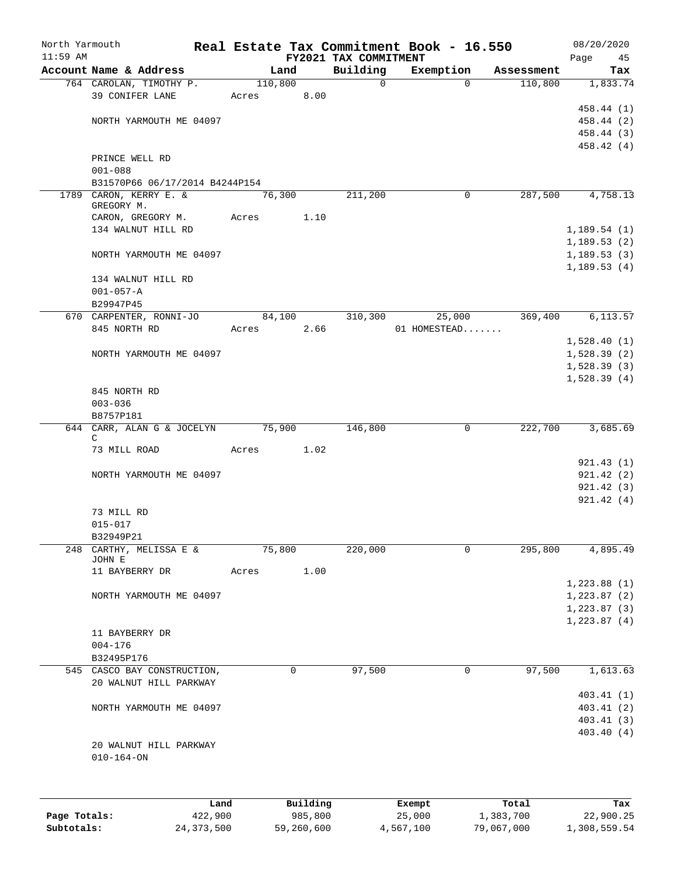| North Yarmouth<br>$11:59$ AM |                                                       |         |          | FY2021 TAX COMMITMENT | Real Estate Tax Commitment Book - 16.550 |            | 08/20/2020<br>Page<br>45 |
|------------------------------|-------------------------------------------------------|---------|----------|-----------------------|------------------------------------------|------------|--------------------------|
|                              | Account Name & Address                                |         | Land     | Building              | Exemption                                | Assessment | Tax                      |
|                              | 764 CAROLAN, TIMOTHY P.                               | 110,800 |          | $\mathbf 0$           | $\mathbf 0$                              | 110,800    | 1,833.74                 |
|                              | 39 CONIFER LANE                                       | Acres   | 8.00     |                       |                                          |            |                          |
|                              |                                                       |         |          |                       |                                          |            | 458.44 (1)               |
|                              | NORTH YARMOUTH ME 04097                               |         |          |                       |                                          |            | 458.44 (2)               |
|                              |                                                       |         |          |                       |                                          |            | 458.44 (3)               |
|                              |                                                       |         |          |                       |                                          |            | 458.42 (4)               |
|                              | PRINCE WELL RD                                        |         |          |                       |                                          |            |                          |
|                              | $001 - 088$                                           |         |          |                       |                                          |            |                          |
|                              | B31570P66 06/17/2014 B4244P154                        |         |          |                       |                                          |            |                          |
|                              | 1789 CARON, KERRY E. &                                | 76,300  |          | 211,200               | 0                                        | 287,500    | 4,758.13                 |
|                              | GREGORY M.                                            |         |          |                       |                                          |            |                          |
|                              | CARON, GREGORY M.                                     | Acres   | 1.10     |                       |                                          |            |                          |
|                              | 134 WALNUT HILL RD                                    |         |          |                       |                                          |            | 1,189.54(1)              |
|                              |                                                       |         |          |                       |                                          |            | 1,189.53(2)              |
|                              | NORTH YARMOUTH ME 04097                               |         |          |                       |                                          |            | 1,189.53(3)              |
|                              |                                                       |         |          |                       |                                          |            | 1, 189.53(4)             |
|                              | 134 WALNUT HILL RD                                    |         |          |                       |                                          |            |                          |
|                              | $001 - 057 - A$                                       |         |          |                       |                                          |            |                          |
|                              | B29947P45                                             |         |          |                       |                                          |            |                          |
|                              | 670 CARPENTER, RONNI-JO                               | 84,100  |          | 310,300               | 25,000                                   | 369,400    | 6,113.57                 |
|                              | 845 NORTH RD                                          | Acres   | 2.66     |                       | 01 HOMESTEAD                             |            |                          |
|                              |                                                       |         |          |                       |                                          |            | 1,528.40(1)              |
|                              | NORTH YARMOUTH ME 04097                               |         |          |                       |                                          |            | 1,528.39(2)              |
|                              |                                                       |         |          |                       |                                          |            | 1,528.39(3)              |
|                              |                                                       |         |          |                       |                                          |            | 1,528.39(4)              |
|                              | 845 NORTH RD                                          |         |          |                       |                                          |            |                          |
|                              | $003 - 036$                                           |         |          |                       |                                          |            |                          |
|                              | B8757P181                                             |         |          |                       |                                          |            |                          |
|                              | 644 CARR, ALAN G & JOCELYN<br>C                       | 75,900  |          | 146,800               | 0                                        | 222,700    | 3,685.69                 |
|                              | 73 MILL ROAD                                          | Acres   | 1.02     |                       |                                          |            |                          |
|                              |                                                       |         |          |                       |                                          |            | 921.43(1)                |
|                              | NORTH YARMOUTH ME 04097                               |         |          |                       |                                          |            | 921.42(2)                |
|                              |                                                       |         |          |                       |                                          |            | 921.42(3)                |
|                              |                                                       |         |          |                       |                                          |            | 921.42(4)                |
|                              | 73 MILL RD                                            |         |          |                       |                                          |            |                          |
|                              | $015 - 017$                                           |         |          |                       |                                          |            |                          |
|                              | B32949P21                                             |         |          |                       |                                          |            |                          |
| 248                          | CARTHY, MELISSA E &                                   | 75,800  |          | 220,000               | 0                                        | 295,800    | 4,895.49                 |
|                              | JOHN E                                                |         |          |                       |                                          |            |                          |
|                              | 11 BAYBERRY DR                                        | Acres   | 1.00     |                       |                                          |            |                          |
|                              |                                                       |         |          |                       |                                          |            | 1, 223.88(1)             |
|                              | NORTH YARMOUTH ME 04097                               |         |          |                       |                                          |            | 1, 223.87 (2)            |
|                              |                                                       |         |          |                       |                                          |            | 1,223.87(3)              |
|                              |                                                       |         |          |                       |                                          |            | 1,223.87(4)              |
|                              | 11 BAYBERRY DR                                        |         |          |                       |                                          |            |                          |
|                              | $004 - 176$                                           |         |          |                       |                                          |            |                          |
|                              | B32495P176                                            |         | 0        |                       |                                          |            |                          |
|                              | 545 CASCO BAY CONSTRUCTION,<br>20 WALNUT HILL PARKWAY |         |          | 97,500                | 0                                        | 97,500     | 1,613.63                 |
|                              |                                                       |         |          |                       |                                          |            | 403.41 (1)               |
|                              | NORTH YARMOUTH ME 04097                               |         |          |                       |                                          |            | 403.41 (2)               |
|                              |                                                       |         |          |                       |                                          |            | 403.41 (3)               |
|                              |                                                       |         |          |                       |                                          |            | 403.40 (4)               |
|                              | 20 WALNUT HILL PARKWAY                                |         |          |                       |                                          |            |                          |
|                              | $010 - 164 - ON$                                      |         |          |                       |                                          |            |                          |
|                              |                                                       |         |          |                       |                                          |            |                          |
|                              |                                                       |         |          |                       |                                          |            |                          |
|                              |                                                       |         |          |                       |                                          |            |                          |
|                              | Land                                                  |         | Building |                       | Exempt                                   | Total      | Tax                      |
| Page Totals:                 | 422,900                                               |         | 985,800  |                       | 25,000                                   | 1,383,700  | 22,900.25                |

**Subtotals:** 24,373,500 59,260,600 4,567,100 79,067,000 1,308,559.54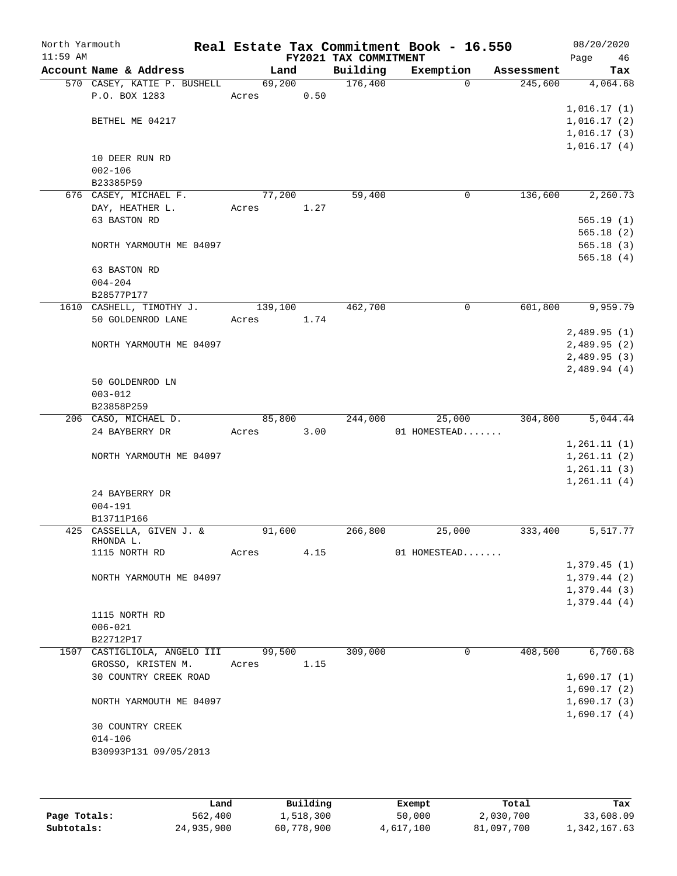| North Yarmouth<br>$11:59$ AM |                                        |         |      | FY2021 TAX COMMITMENT | Real Estate Tax Commitment Book - 16.550 |            | 08/20/2020<br>Page<br>46 |
|------------------------------|----------------------------------------|---------|------|-----------------------|------------------------------------------|------------|--------------------------|
|                              | Account Name & Address                 | Land    |      | Building              | Exemption                                | Assessment | Tax                      |
|                              | 570 CASEY, KATIE P. BUSHELL            | 69,200  |      | 176,400               | $\Omega$                                 | 245,600    | 4,064.68                 |
|                              | P.O. BOX 1283                          | Acres   | 0.50 |                       |                                          |            |                          |
|                              |                                        |         |      |                       |                                          |            | 1,016.17(1)              |
|                              | BETHEL ME 04217                        |         |      |                       |                                          |            | 1,016.17(2)              |
|                              |                                        |         |      |                       |                                          |            | 1,016.17(3)              |
|                              |                                        |         |      |                       |                                          |            | 1,016.17(4)              |
|                              | 10 DEER RUN RD                         |         |      |                       |                                          |            |                          |
|                              | $002 - 106$                            |         |      |                       |                                          |            |                          |
|                              | B23385P59                              |         |      |                       |                                          |            |                          |
|                              | 676 CASEY, MICHAEL F.                  | 77,200  |      | 59,400                | $\mathbf 0$                              | 136,600    | 2,260.73                 |
|                              | DAY, HEATHER L.                        | Acres   | 1.27 |                       |                                          |            |                          |
|                              | 63 BASTON RD                           |         |      |                       |                                          |            | 565.19(1)                |
|                              |                                        |         |      |                       |                                          |            | 565.18(2)                |
|                              | NORTH YARMOUTH ME 04097                |         |      |                       |                                          |            | 565.18(3)                |
|                              |                                        |         |      |                       |                                          |            | 565.18(4)                |
|                              | 63 BASTON RD<br>$004 - 204$            |         |      |                       |                                          |            |                          |
|                              | B28577P177                             |         |      |                       |                                          |            |                          |
|                              | 1610 CASHELL, TIMOTHY J.               | 139,100 |      | 462,700               | $\mathbf 0$                              | 601,800    | 9,959.79                 |
|                              | 50 GOLDENROD LANE                      | Acres   | 1.74 |                       |                                          |            |                          |
|                              |                                        |         |      |                       |                                          |            | 2,489.95(1)              |
|                              | NORTH YARMOUTH ME 04097                |         |      |                       |                                          |            | 2,489.95(2)              |
|                              |                                        |         |      |                       |                                          |            | 2,489.95(3)              |
|                              |                                        |         |      |                       |                                          |            | 2,489.94(4)              |
|                              | 50 GOLDENROD LN                        |         |      |                       |                                          |            |                          |
|                              | $003 - 012$                            |         |      |                       |                                          |            |                          |
|                              | B23858P259                             |         |      |                       |                                          |            |                          |
|                              | 206 CASO, MICHAEL D.                   | 85,800  |      | 244,000               | 25,000                                   | 304,800    | 5,044.44                 |
|                              | 24 BAYBERRY DR                         | Acres   | 3.00 |                       | 01 HOMESTEAD                             |            |                          |
|                              |                                        |         |      |                       |                                          |            | 1,261.11(1)              |
|                              | NORTH YARMOUTH ME 04097                |         |      |                       |                                          |            | 1,261.11(2)              |
|                              |                                        |         |      |                       |                                          |            | 1, 261.11(3)             |
|                              |                                        |         |      |                       |                                          |            | 1, 261.11(4)             |
|                              | 24 BAYBERRY DR                         |         |      |                       |                                          |            |                          |
|                              | $004 - 191$                            |         |      |                       |                                          |            |                          |
|                              | B13711P166<br>425 CASSELLA, GIVEN J. & | 91,600  |      | 266,800               | 25,000                                   | 333,400    | 5,517.77                 |
|                              | RHONDA L.                              |         |      |                       |                                          |            |                          |
|                              | 1115 NORTH RD                          | Acres   | 4.15 |                       | 01 HOMESTEAD                             |            |                          |
|                              |                                        |         |      |                       |                                          |            | 1,379.45(1)              |
|                              | NORTH YARMOUTH ME 04097                |         |      |                       |                                          |            | 1,379.44(2)              |
|                              |                                        |         |      |                       |                                          |            | 1,379.44(3)              |
|                              |                                        |         |      |                       |                                          |            | 1,379.44(4)              |
|                              | 1115 NORTH RD                          |         |      |                       |                                          |            |                          |
|                              | $006 - 021$                            |         |      |                       |                                          |            |                          |
|                              | B22712P17                              |         |      |                       |                                          |            |                          |
|                              | 1507 CASTIGLIOLA, ANGELO III           | 99,500  |      | 309,000               | $\mathbf 0$                              | 408,500    | 6,760.68                 |
|                              | GROSSO, KRISTEN M.                     | Acres   | 1.15 |                       |                                          |            |                          |
|                              | 30 COUNTRY CREEK ROAD                  |         |      |                       |                                          |            | 1,690.17(1)              |
|                              |                                        |         |      |                       |                                          |            | 1,690.17(2)              |
|                              | NORTH YARMOUTH ME 04097                |         |      |                       |                                          |            | 1,690.17(3)              |
|                              |                                        |         |      |                       |                                          |            | 1,690.17(4)              |
|                              | 30 COUNTRY CREEK                       |         |      |                       |                                          |            |                          |
|                              | $014 - 106$                            |         |      |                       |                                          |            |                          |
|                              | B30993P131 09/05/2013                  |         |      |                       |                                          |            |                          |
|                              |                                        |         |      |                       |                                          |            |                          |
|                              |                                        |         |      |                       |                                          |            |                          |

|              | Land       | Building   | Exempt    | Total      | Tax          |
|--------------|------------|------------|-----------|------------|--------------|
| Page Totals: | 562,400    | 1,518,300  | 50,000    | 2,030,700  | 33,608.09    |
| Subtotals:   | 24,935,900 | 60,778,900 | 4,617,100 | 81,097,700 | 1,342,167.63 |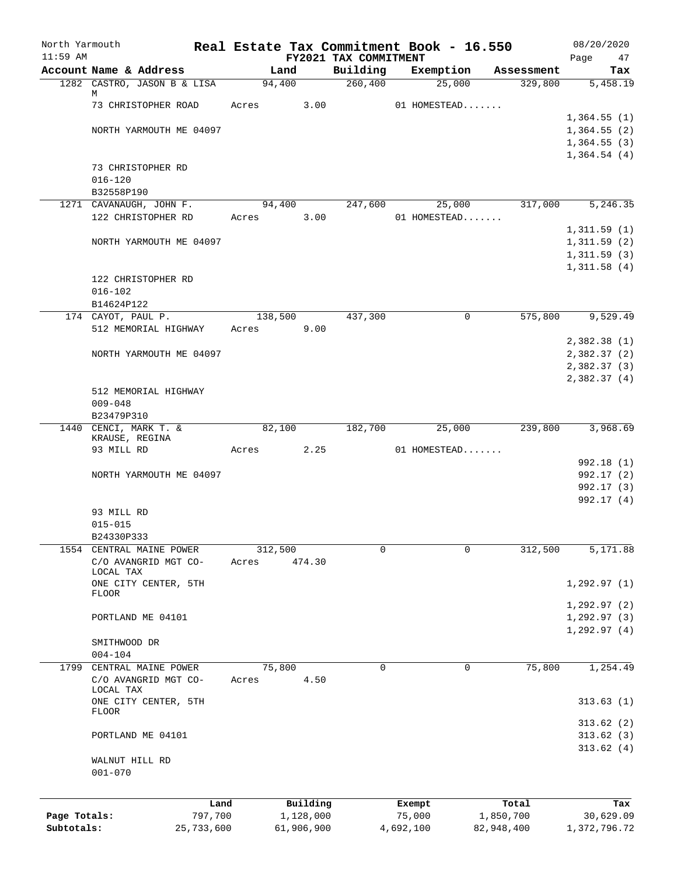| North Yarmouth<br>$11:59$ AM |                                   |         |         |            | FY2021 TAX COMMITMENT | Real Estate Tax Commitment Book - 16.550 |            | 08/20/2020                 |
|------------------------------|-----------------------------------|---------|---------|------------|-----------------------|------------------------------------------|------------|----------------------------|
|                              | Account Name & Address            |         | Land    |            | Building              | Exemption                                | Assessment | Page<br>47<br>Tax          |
|                              | 1282 CASTRO, JASON B & LISA       |         | 94,400  |            | 260,400               | 25,000                                   | 329,800    | 5,458.19                   |
|                              | М                                 |         |         |            |                       |                                          |            |                            |
|                              | 73 CHRISTOPHER ROAD               | Acres   |         | 3.00       |                       | 01 HOMESTEAD                             |            |                            |
|                              | NORTH YARMOUTH ME 04097           |         |         |            |                       |                                          |            | 1,364.55(1)<br>1,364.55(2) |
|                              |                                   |         |         |            |                       |                                          |            | 1,364.55(3)                |
|                              |                                   |         |         |            |                       |                                          |            | 1,364.54(4)                |
|                              | 73 CHRISTOPHER RD                 |         |         |            |                       |                                          |            |                            |
|                              | $016 - 120$                       |         |         |            |                       |                                          |            |                            |
|                              | B32558P190                        |         |         |            |                       |                                          |            |                            |
|                              | 1271 CAVANAUGH, JOHN F.           |         | 94,400  |            | 247,600               | 25,000                                   | 317,000    | 5,246.35                   |
|                              | 122 CHRISTOPHER RD                |         | Acres   | 3.00       |                       | 01 HOMESTEAD                             |            |                            |
|                              |                                   |         |         |            |                       |                                          |            | 1,311.59(1)                |
|                              | NORTH YARMOUTH ME 04097           |         |         |            |                       |                                          |            | 1,311.59(2)                |
|                              |                                   |         |         |            |                       |                                          |            | 1,311.59(3)                |
|                              |                                   |         |         |            |                       |                                          |            | 1,311.58(4)                |
|                              | 122 CHRISTOPHER RD<br>$016 - 102$ |         |         |            |                       |                                          |            |                            |
|                              | B14624P122                        |         |         |            |                       |                                          |            |                            |
|                              | 174 CAYOT, PAUL P.                |         | 138,500 |            | 437,300               | 0                                        | 575,800    | 9,529.49                   |
|                              | 512 MEMORIAL HIGHWAY              | Acres   |         | 9.00       |                       |                                          |            |                            |
|                              |                                   |         |         |            |                       |                                          |            | 2,382.38(1)                |
|                              | NORTH YARMOUTH ME 04097           |         |         |            |                       |                                          |            | 2,382.37(2)                |
|                              |                                   |         |         |            |                       |                                          |            | 2,382.37(3)                |
|                              |                                   |         |         |            |                       |                                          |            | 2,382.37(4)                |
|                              | 512 MEMORIAL HIGHWAY              |         |         |            |                       |                                          |            |                            |
|                              | $009 - 048$                       |         |         |            |                       |                                          |            |                            |
|                              | B23479P310                        |         |         |            |                       |                                          |            |                            |
|                              | 1440 CENCI, MARK T. &             |         | 82,100  |            | 182,700               | 25,000                                   | 239,800    | 3,968.69                   |
|                              | KRAUSE, REGINA<br>93 MILL RD      | Acres   |         | 2.25       |                       | 01 HOMESTEAD                             |            |                            |
|                              |                                   |         |         |            |                       |                                          |            | 992.18 (1)                 |
|                              | NORTH YARMOUTH ME 04097           |         |         |            |                       |                                          |            | 992.17 (2)                 |
|                              |                                   |         |         |            |                       |                                          |            | 992.17 (3)                 |
|                              |                                   |         |         |            |                       |                                          |            | 992.17(4)                  |
|                              | 93 MILL RD                        |         |         |            |                       |                                          |            |                            |
|                              | $015 - 015$                       |         |         |            |                       |                                          |            |                            |
|                              | B24330P333                        |         |         |            |                       |                                          |            |                            |
|                              | 1554 CENTRAL MAINE POWER          |         | 312,500 |            | 0                     | 0                                        | 312,500    | 5,171.88                   |
|                              | C/O AVANGRID MGT CO-              | Acres   |         | 474.30     |                       |                                          |            |                            |
|                              | LOCAL TAX<br>ONE CITY CENTER, 5TH |         |         |            |                       |                                          |            | 1, 292.97(1)               |
|                              | <b>FLOOR</b>                      |         |         |            |                       |                                          |            |                            |
|                              |                                   |         |         |            |                       |                                          |            | 1,292.97(2)                |
|                              | PORTLAND ME 04101                 |         |         |            |                       |                                          |            | 1,292.97(3)                |
|                              |                                   |         |         |            |                       |                                          |            | 1,292.97(4)                |
|                              | SMITHWOOD DR                      |         |         |            |                       |                                          |            |                            |
|                              | $004 - 104$                       |         |         |            |                       |                                          |            |                            |
| 1799                         | CENTRAL MAINE POWER               |         | 75,800  |            | $\mathbf 0$           | $\mathbf 0$                              | 75,800     | 1,254.49                   |
|                              | C/O AVANGRID MGT CO-<br>LOCAL TAX | Acres   |         | 4.50       |                       |                                          |            |                            |
|                              | ONE CITY CENTER, 5TH              |         |         |            |                       |                                          |            | 313.63(1)                  |
|                              | FLOOR                             |         |         |            |                       |                                          |            |                            |
|                              |                                   |         |         |            |                       |                                          |            | 313.62(2)                  |
|                              | PORTLAND ME 04101                 |         |         |            |                       |                                          |            | 313.62(3)                  |
|                              |                                   |         |         |            |                       |                                          |            | 313.62(4)                  |
|                              | WALNUT HILL RD                    |         |         |            |                       |                                          |            |                            |
|                              | $001 - 070$                       |         |         |            |                       |                                          |            |                            |
|                              |                                   |         |         |            |                       |                                          |            |                            |
|                              |                                   | Land    |         | Building   |                       | Exempt                                   | Total      | Tax                        |
| Page Totals:                 |                                   | 797,700 |         | 1,128,000  |                       | 75,000                                   | 1,850,700  | 30,629.09                  |
| Subtotals:                   | 25,733,600                        |         |         | 61,906,900 |                       | 4,692,100<br>82,948,400                  |            | 1,372,796.72               |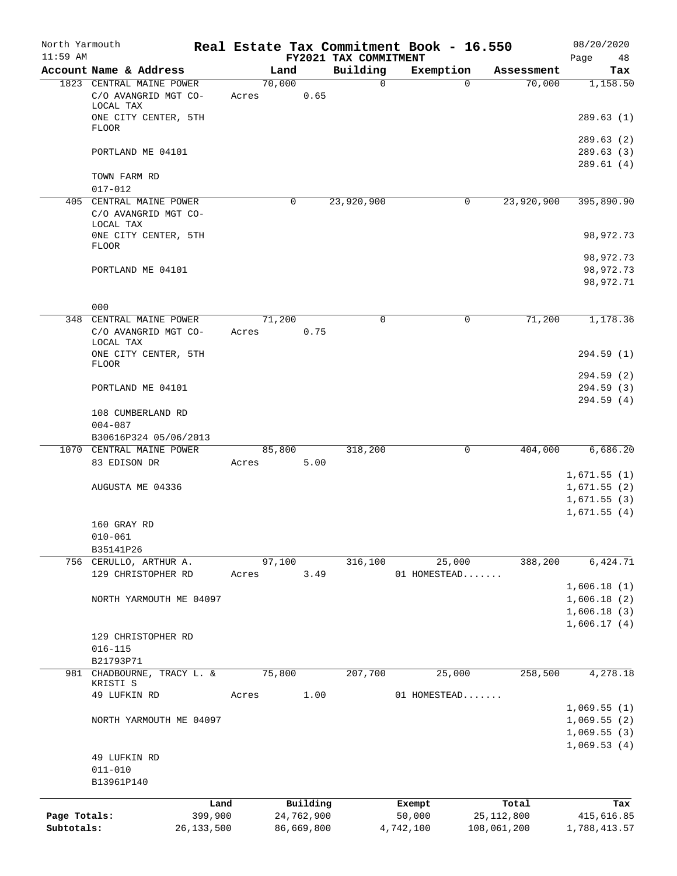| North Yarmouth |                                                               |              |       |             |            |                       | Real Estate Tax Commitment Book - 16.550 |          |              | 08/20/2020                 |
|----------------|---------------------------------------------------------------|--------------|-------|-------------|------------|-----------------------|------------------------------------------|----------|--------------|----------------------------|
| $11:59$ AM     |                                                               |              |       |             |            | FY2021 TAX COMMITMENT |                                          |          |              | Page<br>48                 |
|                | Account Name & Address                                        |              |       | Land        |            | Building              | Exemption                                |          | Assessment   | Tax                        |
|                | 1823 CENTRAL MAINE POWER<br>C/O AVANGRID MGT CO-<br>LOCAL TAX |              | Acres | 70,000      | 0.65       | $\Omega$              |                                          | $\Omega$ | 70,000       | 1,158.50                   |
|                | ONE CITY CENTER, 5TH<br><b>FLOOR</b>                          |              |       |             |            |                       |                                          |          |              | 289.63(1)                  |
|                | PORTLAND ME 04101                                             |              |       |             |            |                       |                                          |          |              | 289.63(2)<br>289.63 (3)    |
|                | TOWN FARM RD                                                  |              |       |             |            |                       |                                          |          |              | 289.61(4)                  |
|                | $017 - 012$                                                   |              |       |             |            |                       |                                          |          |              |                            |
|                | 405 CENTRAL MAINE POWER<br>C/O AVANGRID MGT CO-<br>LOCAL TAX  |              |       | $\mathbf 0$ |            | 23,920,900            |                                          | 0        | 23,920,900   | 395,890.90                 |
|                | ONE CITY CENTER, 5TH<br>FLOOR                                 |              |       |             |            |                       |                                          |          |              | 98,972.73                  |
|                |                                                               |              |       |             |            |                       |                                          |          |              | 98,972.73                  |
|                | PORTLAND ME 04101                                             |              |       |             |            |                       |                                          |          |              | 98,972.73<br>98,972.71     |
|                | 000                                                           |              |       |             |            |                       |                                          |          |              |                            |
|                | 348 CENTRAL MAINE POWER                                       |              |       | 71,200      |            | 0                     |                                          | 0        | 71,200       | 1,178.36                   |
|                | C/O AVANGRID MGT CO-<br>LOCAL TAX<br>ONE CITY CENTER, 5TH     |              | Acres |             | 0.75       |                       |                                          |          |              | 294.59 (1)                 |
|                | <b>FLOOR</b>                                                  |              |       |             |            |                       |                                          |          |              |                            |
|                |                                                               |              |       |             |            |                       |                                          |          |              | 294.59 (2)                 |
|                | PORTLAND ME 04101                                             |              |       |             |            |                       |                                          |          |              | 294.59(3)<br>294.59 (4)    |
|                | 108 CUMBERLAND RD<br>$004 - 087$                              |              |       |             |            |                       |                                          |          |              |                            |
|                | B30616P324 05/06/2013                                         |              |       |             |            |                       |                                          |          |              |                            |
| 1070           | CENTRAL MAINE POWER                                           |              |       | 85,800      |            | 318,200               |                                          | 0        | 404,000      | 6,686.20                   |
|                | 83 EDISON DR                                                  |              | Acres |             | 5.00       |                       |                                          |          |              |                            |
|                |                                                               |              |       |             |            |                       |                                          |          |              | 1,671.55(1)                |
|                | AUGUSTA ME 04336                                              |              |       |             |            |                       |                                          |          |              | 1,671.55(2)                |
|                |                                                               |              |       |             |            |                       |                                          |          |              | 1,671.55(3)<br>1,671.55(4) |
|                | 160 GRAY RD                                                   |              |       |             |            |                       |                                          |          |              |                            |
|                | $010 - 061$                                                   |              |       |             |            |                       |                                          |          |              |                            |
|                | B35141P26                                                     |              |       |             |            |                       |                                          |          |              |                            |
|                | 756 CERULLO, ARTHUR A.                                        |              |       | 97,100      |            | 316,100               | $\overline{25,000}$                      |          | 388,200      | 6,424.71                   |
|                | 129 CHRISTOPHER RD                                            |              | Acres |             | 3.49       |                       | 01 HOMESTEAD                             |          |              |                            |
|                |                                                               |              |       |             |            |                       |                                          |          |              | 1,606.18(1)                |
|                | NORTH YARMOUTH ME 04097                                       |              |       |             |            |                       |                                          |          |              | 1,606.18(2)                |
|                |                                                               |              |       |             |            |                       |                                          |          |              | 1,606.18(3)<br>1,606.17(4) |
|                | 129 CHRISTOPHER RD<br>$016 - 115$                             |              |       |             |            |                       |                                          |          |              |                            |
|                | B21793P71                                                     |              |       |             |            |                       |                                          |          |              |                            |
|                | 981 CHADBOURNE, TRACY L. &                                    |              |       | 75,800      |            | 207,700               | 25,000                                   |          | 258,500      | 4,278.18                   |
|                | KRISTI S                                                      |              |       |             |            |                       |                                          |          |              |                            |
|                | 49 LUFKIN RD                                                  |              | Acres |             | 1.00       |                       | 01 HOMESTEAD                             |          |              |                            |
|                |                                                               |              |       |             |            |                       |                                          |          |              | 1,069.55(1)                |
|                | NORTH YARMOUTH ME 04097                                       |              |       |             |            |                       |                                          |          |              | 1,069.55(2)                |
|                |                                                               |              |       |             |            |                       |                                          |          |              | 1,069.55(3)<br>1,069.53(4) |
|                | 49 LUFKIN RD                                                  |              |       |             |            |                       |                                          |          |              |                            |
|                | $011 - 010$                                                   |              |       |             |            |                       |                                          |          |              |                            |
|                | B13961P140                                                    |              |       |             |            |                       |                                          |          |              |                            |
|                |                                                               | Land         |       |             | Building   |                       | Exempt                                   |          | Total        | Tax                        |
| Page Totals:   |                                                               | 399,900      |       |             | 24,762,900 |                       | 50,000                                   |          | 25, 112, 800 | 415,616.85                 |
| Subtotals:     |                                                               | 26, 133, 500 |       |             | 86,669,800 |                       | 4,742,100                                |          | 108,061,200  | 1,788,413.57               |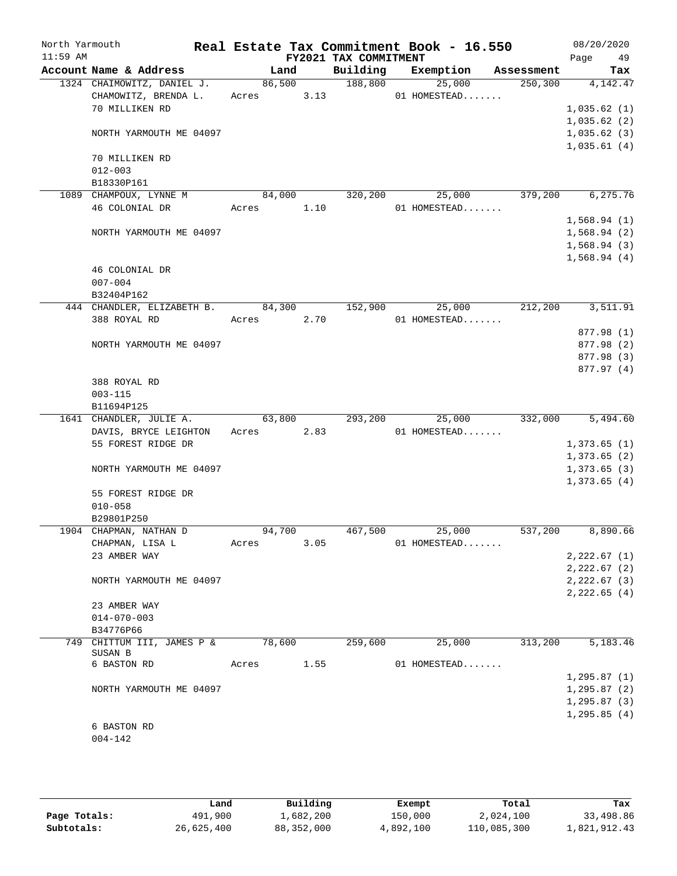| North Yarmouth<br>$11:59$ AM |                                       |            |        | FY2021 TAX COMMITMENT | Real Estate Tax Commitment Book - 16.550 |                      | 08/20/2020<br>49<br>Page |
|------------------------------|---------------------------------------|------------|--------|-----------------------|------------------------------------------|----------------------|--------------------------|
|                              | Account Name & Address                |            | Land   | Building              |                                          | Exemption Assessment | Tax                      |
|                              | 1324 CHAIMOWITZ, DANIEL J.            |            |        | 86,500 188,800        |                                          | 25,000               | 250, 300<br>4,142.47     |
|                              | CHAMOWITZ, BRENDA L. Acres 3.13       |            |        |                       | 01 HOMESTEAD                             |                      |                          |
|                              | 70 MILLIKEN RD                        |            |        |                       |                                          |                      | 1,035.62(1)              |
|                              |                                       |            |        |                       |                                          |                      | 1,035.62(2)              |
|                              | NORTH YARMOUTH ME 04097               |            |        |                       |                                          |                      | 1,035.62(3)              |
|                              |                                       |            |        |                       |                                          |                      | 1,035.61(4)              |
|                              | 70 MILLIKEN RD                        |            |        |                       |                                          |                      |                          |
|                              | $012 - 003$                           |            |        |                       |                                          |                      |                          |
|                              | B18330P161                            |            |        |                       |                                          |                      |                          |
|                              | 1089 CHAMPOUX, LYNNE M                | 84,000     |        |                       | 320,200                                  | 25,000               | 6, 275.76<br>379,200     |
|                              | 46 COLONIAL DR                        | Acres 1.10 |        |                       | $01$ HOMESTEAD                           |                      |                          |
|                              |                                       |            |        |                       |                                          |                      | 1,568.94(1)              |
|                              | NORTH YARMOUTH ME 04097               |            |        |                       |                                          |                      | 1,568.94(2)              |
|                              |                                       |            |        |                       |                                          |                      | 1,568.94(3)              |
|                              |                                       |            |        |                       |                                          |                      | 1,568.94(4)              |
|                              | 46 COLONIAL DR                        |            |        |                       |                                          |                      |                          |
|                              | $007 - 004$                           |            |        |                       |                                          |                      |                          |
|                              | B32404P162                            |            |        |                       |                                          |                      |                          |
|                              | 444 CHANDLER, ELIZABETH B. 84,300     |            |        | 152,900               |                                          | 25,000               | 212,200<br>3,511.91      |
|                              | 388 ROYAL RD                          | Acres 2.70 |        |                       | 01 HOMESTEAD                             |                      |                          |
|                              |                                       |            |        |                       |                                          |                      | 877.98 (1)               |
|                              | NORTH YARMOUTH ME 04097               |            |        |                       |                                          |                      | 877.98 (2)               |
|                              |                                       |            |        |                       |                                          |                      | 877.98 (3)<br>877.97 (4) |
|                              | 388 ROYAL RD                          |            |        |                       |                                          |                      |                          |
|                              | $003 - 115$                           |            |        |                       |                                          |                      |                          |
|                              | B11694P125                            |            |        |                       |                                          |                      |                          |
|                              | 1641 CHANDLER, JULIE A.               |            |        | 63,800 293,200        |                                          | 25,000               | 332,000 5,494.60         |
|                              | DAVIS, BRYCE LEIGHTON Acres           |            |        | 2.83                  | $01$ HOMESTEAD                           |                      |                          |
|                              | 55 FOREST RIDGE DR                    |            |        |                       |                                          |                      | 1,373.65(1)              |
|                              |                                       |            |        |                       |                                          |                      | 1,373.65(2)              |
|                              | NORTH YARMOUTH ME 04097               |            |        |                       |                                          |                      | 1,373.65(3)              |
|                              |                                       |            |        |                       |                                          |                      | 1,373.65(4)              |
|                              | 55 FOREST RIDGE DR                    |            |        |                       |                                          |                      |                          |
|                              | $010 - 058$                           |            |        |                       |                                          |                      |                          |
|                              | B29801P250                            |            |        |                       |                                          |                      |                          |
|                              | 1904 CHAPMAN, NATHAN D                |            | 94,700 | 467,500               | 25,000                                   | 537,200              | 8,890.66                 |
|                              | CHAPMAN, LISA L                       | Acres      | 3.05   |                       | 01 HOMESTEAD                             |                      |                          |
|                              | 23 AMBER WAY                          |            |        |                       |                                          |                      | 2,222.67(1)              |
|                              |                                       |            |        |                       |                                          |                      | 2,222.67(2)              |
|                              | NORTH YARMOUTH ME 04097               |            |        |                       |                                          |                      | $2, 222.67$ (3)          |
|                              |                                       |            |        |                       |                                          |                      | 2,222.65(4)              |
|                              | 23 AMBER WAY                          |            |        |                       |                                          |                      |                          |
|                              | $014 - 070 - 003$                     |            |        |                       |                                          |                      |                          |
|                              | B34776P66                             |            |        |                       |                                          |                      |                          |
|                              | 749 CHITTUM III, JAMES P &<br>SUSAN B |            | 78,600 | 259,600               |                                          | 25,000<br>313,200    | 5,183.46                 |
|                              | 6 BASTON RD                           | Acres      | 1.55   |                       | 01 HOMESTEAD                             |                      |                          |
|                              |                                       |            |        |                       |                                          |                      | 1, 295.87(1)             |
|                              | NORTH YARMOUTH ME 04097               |            |        |                       |                                          |                      | 1, 295.87(2)             |
|                              |                                       |            |        |                       |                                          |                      | 1, 295.87(3)             |
|                              |                                       |            |        |                       |                                          |                      | 1, 295.85(4)             |
|                              | 6 BASTON RD                           |            |        |                       |                                          |                      |                          |
|                              | $004 - 142$                           |            |        |                       |                                          |                      |                          |
|                              |                                       |            |        |                       |                                          |                      |                          |

|              | Land       | Building   | Exempt    | Total       | Tax          |
|--------------|------------|------------|-----------|-------------|--------------|
| Page Totals: | 491,900    | 1,682,200  | 150,000   | 2,024,100   | 33,498.86    |
| Subtotals:   | 26,625,400 | 88,352,000 | 4,892,100 | 110,085,300 | 1,821,912.43 |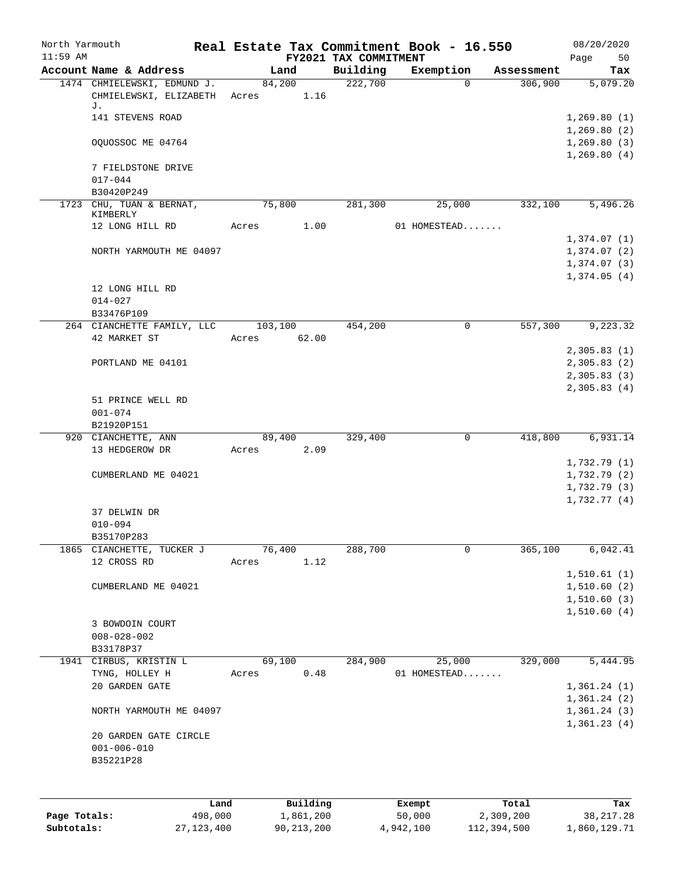| North Yarmouth<br>$11:59$ AM |                                                                  |             | FY2021 TAX COMMITMENT | Real Estate Tax Commitment Book - 16.550 |            | 08/20/2020<br>Page<br>50    |
|------------------------------|------------------------------------------------------------------|-------------|-----------------------|------------------------------------------|------------|-----------------------------|
|                              | Account Name & Address                                           | Land        | Building              | Exemption                                | Assessment | Tax                         |
|                              | 1474 CHMIELEWSKI, EDMUND J.<br>CHMIELEWSKI, ELIZABETH Acres 1.16 | 84,200      | 222,700               | $\Omega$                                 | 306,900    | 5,079.20                    |
|                              | J.                                                               |             |                       |                                          |            |                             |
|                              | 141 STEVENS ROAD                                                 |             |                       |                                          |            | 1,269.80(1)                 |
|                              |                                                                  |             |                       |                                          |            | 1,269.80(2)                 |
|                              | OQUOSSOC ME 04764                                                |             |                       |                                          |            | 1, 269.80(3)<br>1,269.80(4) |
|                              | 7 FIELDSTONE DRIVE                                               |             |                       |                                          |            |                             |
|                              | $017 - 044$                                                      |             |                       |                                          |            |                             |
|                              | B30420P249<br>1723 CHU, TUAN & BERNAT,                           | 75,800      | 281,300               | 25,000                                   | 332,100    | 5,496.26                    |
|                              | KIMBERLY                                                         |             |                       |                                          |            |                             |
|                              | 12 LONG HILL RD                                                  | Acres       | 1.00                  | 01 HOMESTEAD                             |            |                             |
|                              |                                                                  |             |                       |                                          |            | 1,374.07(1)                 |
|                              | NORTH YARMOUTH ME 04097                                          |             |                       |                                          |            | 1,374.07(2)<br>1,374.07(3)  |
|                              |                                                                  |             |                       |                                          |            | 1,374.05(4)                 |
|                              | 12 LONG HILL RD                                                  |             |                       |                                          |            |                             |
|                              | $014 - 027$                                                      |             |                       |                                          |            |                             |
|                              | B33476P109                                                       |             |                       |                                          |            |                             |
|                              | 264 CIANCHETTE FAMILY, LLC 103,100                               |             | 454,200               | 0                                        | 557,300    | 9,223.32                    |
|                              | 42 MARKET ST                                                     | Acres 62.00 |                       |                                          |            | 2,305.83(1)                 |
|                              | PORTLAND ME 04101                                                |             |                       |                                          |            | 2,305.83(2)                 |
|                              |                                                                  |             |                       |                                          |            | 2,305.83(3)                 |
|                              |                                                                  |             |                       |                                          |            | 2,305.83(4)                 |
|                              | 51 PRINCE WELL RD                                                |             |                       |                                          |            |                             |
|                              | $001 - 074$                                                      |             |                       |                                          |            |                             |
|                              | B21920P151                                                       |             |                       |                                          |            |                             |
|                              | 920 CIANCHETTE, ANN                                              | 89,400      | 329,400               | $\mathbf 0$                              | 418,800    | 6,931.14                    |
|                              | 13 HEDGEROW DR                                                   | Acres 2.09  |                       |                                          |            | 1,732.79(1)                 |
|                              | CUMBERLAND ME 04021                                              |             |                       |                                          |            | 1,732.79(2)                 |
|                              |                                                                  |             |                       |                                          |            | 1,732.79(3)                 |
|                              |                                                                  |             |                       |                                          |            | 1,732.77(4)                 |
|                              | 37 DELWIN DR                                                     |             |                       |                                          |            |                             |
|                              | $010 - 094$                                                      |             |                       |                                          |            |                             |
| 1865                         | B35170P283<br>CIANCHETTE, TUCKER J                               | 76,400      | 288,700               | 0                                        | 365,100    | 6,042.41                    |
|                              | 12 CROSS RD                                                      | Acres       | 1.12                  |                                          |            |                             |
|                              |                                                                  |             |                       |                                          |            | 1,510.61(1)                 |
|                              | CUMBERLAND ME 04021                                              |             |                       |                                          |            | 1,510.60(2)                 |
|                              |                                                                  |             |                       |                                          |            | 1,510.60(3)                 |
|                              |                                                                  |             |                       |                                          |            | 1,510.60(4)                 |
|                              | 3 BOWDOIN COURT<br>$008 - 028 - 002$                             |             |                       |                                          |            |                             |
|                              | B33178P37                                                        |             |                       |                                          |            |                             |
| 1941                         | CIRBUS, KRISTIN L                                                | 69,100      | 284,900               | 25,000                                   | 329,000    | 5,444.95                    |
|                              | TYNG, HOLLEY H                                                   | Acres       | 0.48                  | 01 HOMESTEAD                             |            |                             |
|                              | 20 GARDEN GATE                                                   |             |                       |                                          |            | 1,361.24(1)                 |
|                              |                                                                  |             |                       |                                          |            | 1,361.24(2)                 |
|                              | NORTH YARMOUTH ME 04097                                          |             |                       |                                          |            | 1,361.24(3)                 |
|                              | 20 GARDEN GATE CIRCLE                                            |             |                       |                                          |            | 1,361.23(4)                 |
|                              | $001 - 006 - 010$                                                |             |                       |                                          |            |                             |
|                              | B35221P28                                                        |             |                       |                                          |            |                             |
|                              |                                                                  |             |                       |                                          |            |                             |
|                              |                                                                  |             |                       |                                          |            |                             |
|                              | Land                                                             |             | Building              | Exempt                                   | Total      | Tax                         |
| Page Totals:                 | 498,000                                                          | 1,861,200   |                       | 50,000                                   | 2,309,200  | 38, 217.28                  |

**Subtotals:** 27,123,400 90,213,200 4,942,100 112,394,500 1,860,129.71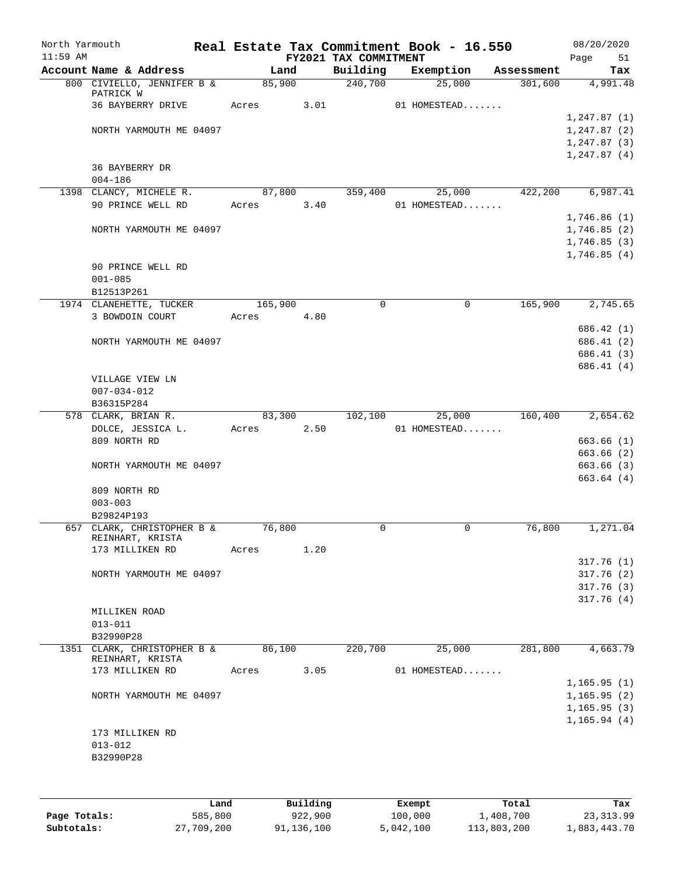| North Yarmouth<br>$11:59$ AM |                                                 |       |         |      | FY2021 TAX COMMITMENT | Real Estate Tax Commitment Book - 16.550 |            | 08/20/2020<br>Page | 51       |
|------------------------------|-------------------------------------------------|-------|---------|------|-----------------------|------------------------------------------|------------|--------------------|----------|
|                              | Account Name & Address                          |       | Land    |      | Building              | Exemption                                | Assessment |                    | Tax      |
|                              | 800 CIVIELLO, JENNIFER B &<br>PATRICK W         |       | 85,900  |      | 240,700               | 25,000                                   | 301,600    |                    | 4,991.48 |
|                              | 36 BAYBERRY DRIVE                               | Acres |         | 3.01 |                       | 01 HOMESTEAD                             |            |                    |          |
|                              |                                                 |       |         |      |                       |                                          |            | 1, 247.87(1)       |          |
|                              | NORTH YARMOUTH ME 04097                         |       |         |      |                       |                                          |            | 1, 247.87(2)       |          |
|                              |                                                 |       |         |      |                       |                                          |            | 1,247.87(3)        |          |
|                              |                                                 |       |         |      |                       |                                          |            | 1, 247.87(4)       |          |
|                              | 36 BAYBERRY DR                                  |       |         |      |                       |                                          |            |                    |          |
|                              | $004 - 186$                                     |       |         |      |                       |                                          |            |                    |          |
|                              | 1398 CLANCY, MICHELE R.                         |       | 87,800  |      | 359,400               | 25,000                                   | 422,200    |                    | 6,987.41 |
|                              | 90 PRINCE WELL RD                               | Acres |         | 3.40 |                       | 01 HOMESTEAD                             |            |                    |          |
|                              |                                                 |       |         |      |                       |                                          |            | 1,746.86(1)        |          |
|                              | NORTH YARMOUTH ME 04097                         |       |         |      |                       |                                          |            | 1,746.85(2)        |          |
|                              |                                                 |       |         |      |                       |                                          |            | 1,746.85(3)        |          |
|                              |                                                 |       |         |      |                       |                                          |            | 1,746.85(4)        |          |
|                              | 90 PRINCE WELL RD                               |       |         |      |                       |                                          |            |                    |          |
|                              | $001 - 085$                                     |       |         |      |                       |                                          |            |                    |          |
|                              | B12513P261                                      |       |         |      |                       |                                          |            |                    |          |
|                              | 1974 CLANEHETTE, TUCKER                         |       | 165,900 |      | 0                     | $\mathbf 0$                              | 165,900    |                    | 2,745.65 |
|                              | 3 BOWDOIN COURT                                 | Acres |         | 4.80 |                       |                                          |            |                    |          |
|                              |                                                 |       |         |      |                       |                                          |            | 686.42 (1)         |          |
|                              | NORTH YARMOUTH ME 04097                         |       |         |      |                       |                                          |            | 686.41 (2)         |          |
|                              |                                                 |       |         |      |                       |                                          |            | 686.41 (3)         |          |
|                              |                                                 |       |         |      |                       |                                          |            | 686.41 (4)         |          |
|                              | VILLAGE VIEW LN                                 |       |         |      |                       |                                          |            |                    |          |
|                              | $007 - 034 - 012$                               |       |         |      |                       |                                          |            |                    |          |
|                              | B36315P284                                      |       |         |      |                       |                                          |            |                    |          |
|                              | 578 CLARK, BRIAN R.                             |       | 83,300  |      | 102,100               | 25,000                                   | 160,400    |                    | 2,654.62 |
|                              | DOLCE, JESSICA L.                               | Acres |         | 2.50 |                       | 01 HOMESTEAD                             |            |                    |          |
|                              | 809 NORTH RD                                    |       |         |      |                       |                                          |            | 663.66(1)          |          |
|                              |                                                 |       |         |      |                       |                                          |            | 663.66 (2)         |          |
|                              | NORTH YARMOUTH ME 04097                         |       |         |      |                       |                                          |            | 663.66(3)          |          |
|                              |                                                 |       |         |      |                       |                                          |            | 663.64 (4)         |          |
|                              | 809 NORTH RD                                    |       |         |      |                       |                                          |            |                    |          |
|                              | $003 - 003$                                     |       |         |      |                       |                                          |            |                    |          |
|                              | B29824P193                                      |       |         |      |                       |                                          |            |                    |          |
|                              | 657 CLARK, CHRISTOPHER B &                      |       | 76,800  |      | 0                     | 0                                        | 76,800     |                    | 1,271.04 |
|                              | REINHART, KRISTA                                |       |         |      |                       |                                          |            |                    |          |
|                              | 173 MILLIKEN RD                                 | Acres |         | 1.20 |                       |                                          |            |                    |          |
|                              |                                                 |       |         |      |                       |                                          |            | 317.76(1)          |          |
|                              | NORTH YARMOUTH ME 04097                         |       |         |      |                       |                                          |            | 317.76(2)          |          |
|                              |                                                 |       |         |      |                       |                                          |            | 317.76(3)          |          |
|                              |                                                 |       |         |      |                       |                                          |            | 317.76(4)          |          |
|                              | MILLIKEN ROAD                                   |       |         |      |                       |                                          |            |                    |          |
|                              | $013 - 011$                                     |       |         |      |                       |                                          |            |                    |          |
|                              | B32990P28                                       |       |         |      |                       |                                          |            |                    |          |
|                              | 1351 CLARK, CHRISTOPHER B &<br>REINHART, KRISTA |       | 86,100  |      | 220,700               | 25,000                                   | 281,800    |                    | 4,663.79 |
|                              | 173 MILLIKEN RD                                 | Acres |         | 3.05 |                       | 01 HOMESTEAD                             |            |                    |          |
|                              |                                                 |       |         |      |                       |                                          |            | 1, 165.95(1)       |          |
|                              | NORTH YARMOUTH ME 04097                         |       |         |      |                       |                                          |            | 1, 165.95(2)       |          |
|                              |                                                 |       |         |      |                       |                                          |            | 1, 165.95(3)       |          |
|                              |                                                 |       |         |      |                       |                                          |            | 1, 165.94(4)       |          |
|                              | 173 MILLIKEN RD                                 |       |         |      |                       |                                          |            |                    |          |
|                              | $013 - 012$                                     |       |         |      |                       |                                          |            |                    |          |
|                              | B32990P28                                       |       |         |      |                       |                                          |            |                    |          |
|                              |                                                 |       |         |      |                       |                                          |            |                    |          |
|                              |                                                 |       |         |      |                       |                                          |            |                    |          |
|                              |                                                 |       |         |      |                       |                                          |            |                    |          |

|              | Land       | Building   | Exempt    | Total       | Tax          |
|--------------|------------|------------|-----------|-------------|--------------|
| Page Totals: | 585,800    | 922,900    | 100,000   | 1,408,700   | 23,313.99    |
| Subtotals:   | 27,709,200 | 91,136,100 | 5,042,100 | 113,803,200 | 1,883,443.70 |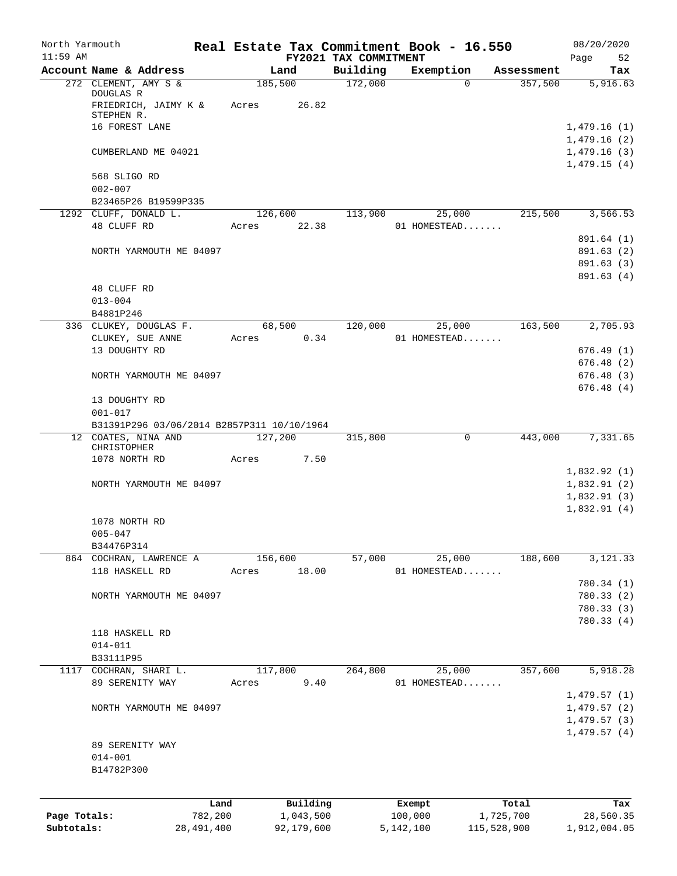| North Yarmouth |                                                                   |              |         |                  |                                   | Real Estate Tax Commitment Book - 16.550 |                        | 08/20/2020                 |
|----------------|-------------------------------------------------------------------|--------------|---------|------------------|-----------------------------------|------------------------------------------|------------------------|----------------------------|
| $11:59$ AM     | Account Name & Address                                            |              |         | Land             | FY2021 TAX COMMITMENT<br>Building | Exemption                                | Assessment             | Page<br>52<br>Tax          |
|                | 272 CLEMENT, AMY S &                                              |              |         | 185,500          | 172,000                           |                                          | 357,500<br>$\Omega$    | 5,916.63                   |
|                | DOUGLAS R<br>FRIEDRICH, JAIMY K & Acres                           |              |         | 26.82            |                                   |                                          |                        |                            |
|                | STEPHEN R.                                                        |              |         |                  |                                   |                                          |                        |                            |
|                | 16 FOREST LANE                                                    |              |         |                  |                                   |                                          |                        | 1,479.16(1)<br>1,479.16(2) |
|                | CUMBERLAND ME 04021                                               |              |         |                  |                                   |                                          |                        | 1,479.16(3)                |
|                |                                                                   |              |         |                  |                                   |                                          |                        | 1,479.15(4)                |
|                | 568 SLIGO RD                                                      |              |         |                  |                                   |                                          |                        |                            |
|                | $002 - 007$                                                       |              |         |                  |                                   |                                          |                        |                            |
|                | B23465P26 B19599P335                                              |              |         |                  |                                   |                                          |                        |                            |
|                | 1292 CLUFF, DONALD L.<br>48 CLUFF RD                              |              | Acres   | 126,600<br>22.38 | 113,900                           | 25,000<br>01 HOMESTEAD                   | 215,500                | 3,566.53                   |
|                |                                                                   |              |         |                  |                                   |                                          |                        | 891.64 (1)                 |
|                | NORTH YARMOUTH ME 04097                                           |              |         |                  |                                   |                                          |                        | 891.63 (2)                 |
|                |                                                                   |              |         |                  |                                   |                                          |                        | 891.63(3)                  |
|                |                                                                   |              |         |                  |                                   |                                          |                        | 891.63(4)                  |
|                | 48 CLUFF RD                                                       |              |         |                  |                                   |                                          |                        |                            |
|                | $013 - 004$                                                       |              |         |                  |                                   |                                          |                        |                            |
|                | B4881P246                                                         |              |         |                  |                                   |                                          |                        |                            |
|                | 336 CLUKEY, DOUGLAS F.<br>CLUKEY, SUE ANNE                        |              | Acres   | 68,500<br>0.34   | 120,000                           | 25,000<br>01 HOMESTEAD                   | 163,500                | 2,705.93                   |
|                | 13 DOUGHTY RD                                                     |              |         |                  |                                   |                                          |                        | 676.49(1)                  |
|                |                                                                   |              |         |                  |                                   |                                          |                        | 676.48(2)                  |
|                | NORTH YARMOUTH ME 04097                                           |              |         |                  |                                   |                                          |                        | 676.48(3)                  |
|                |                                                                   |              |         |                  |                                   |                                          |                        | 676.48(4)                  |
|                | 13 DOUGHTY RD                                                     |              |         |                  |                                   |                                          |                        |                            |
|                | $001 - 017$                                                       |              |         |                  |                                   |                                          |                        |                            |
|                | B31391P296 03/06/2014 B2857P311 10/10/1964<br>12 COATES, NINA AND |              |         | 127,200          | 315,800                           |                                          | $\mathbf 0$<br>443,000 | 7,331.65                   |
|                | CHRISTOPHER                                                       |              |         |                  |                                   |                                          |                        |                            |
|                | 1078 NORTH RD                                                     |              | Acres   | 7.50             |                                   |                                          |                        |                            |
|                |                                                                   |              |         |                  |                                   |                                          |                        | 1,832.92(1)                |
|                | NORTH YARMOUTH ME 04097                                           |              |         |                  |                                   |                                          |                        | 1,832.91(2)                |
|                |                                                                   |              |         |                  |                                   |                                          |                        | 1,832.91(3)                |
|                | 1078 NORTH RD                                                     |              |         |                  |                                   |                                          |                        | 1,832.91(4)                |
|                | $005 - 047$                                                       |              |         |                  |                                   |                                          |                        |                            |
|                | B34476P314                                                        |              |         |                  |                                   |                                          |                        |                            |
|                | 864 COCHRAN, LAWRENCE A                                           |              |         | 156,600          | 57,000                            | 25,000                                   | 188,600                | 3,121.33                   |
|                | 118 HASKELL RD                                                    |              | Acres   | 18.00            |                                   | 01 HOMESTEAD                             |                        |                            |
|                |                                                                   |              |         |                  |                                   |                                          |                        | 780.34 (1)                 |
|                | NORTH YARMOUTH ME 04097                                           |              |         |                  |                                   |                                          |                        | 780.33(2)                  |
|                |                                                                   |              |         |                  |                                   |                                          |                        | 780.33 (3)                 |
|                | 118 HASKELL RD                                                    |              |         |                  |                                   |                                          |                        | 780.33(4)                  |
|                | $014 - 011$                                                       |              |         |                  |                                   |                                          |                        |                            |
|                | B33111P95                                                         |              |         |                  |                                   |                                          |                        |                            |
|                | 1117 COCHRAN, SHARI L.                                            |              | 117,800 |                  | 264,800                           | 25,000                                   | 357,600                | 5,918.28                   |
|                | 89 SERENITY WAY                                                   |              | Acres   | 9.40             |                                   | 01 HOMESTEAD                             |                        |                            |
|                |                                                                   |              |         |                  |                                   |                                          |                        | 1,479.57(1)                |
|                | NORTH YARMOUTH ME 04097                                           |              |         |                  |                                   |                                          |                        | 1,479.57(2)                |
|                |                                                                   |              |         |                  |                                   |                                          |                        | 1,479.57(3)<br>1,479.57(4) |
|                | 89 SERENITY WAY                                                   |              |         |                  |                                   |                                          |                        |                            |
|                | $014 - 001$                                                       |              |         |                  |                                   |                                          |                        |                            |
|                | B14782P300                                                        |              |         |                  |                                   |                                          |                        |                            |
|                |                                                                   |              |         |                  |                                   |                                          |                        |                            |
|                |                                                                   | Land         |         | Building         |                                   | Exempt                                   | Total                  | Tax                        |
| Page Totals:   |                                                                   | 782,200      |         | 1,043,500        |                                   | 100,000                                  | 1,725,700              | 28,560.35                  |
| Subtotals:     |                                                                   | 28, 491, 400 |         | 92,179,600       |                                   | 5,142,100                                | 115,528,900            | 1,912,004.05               |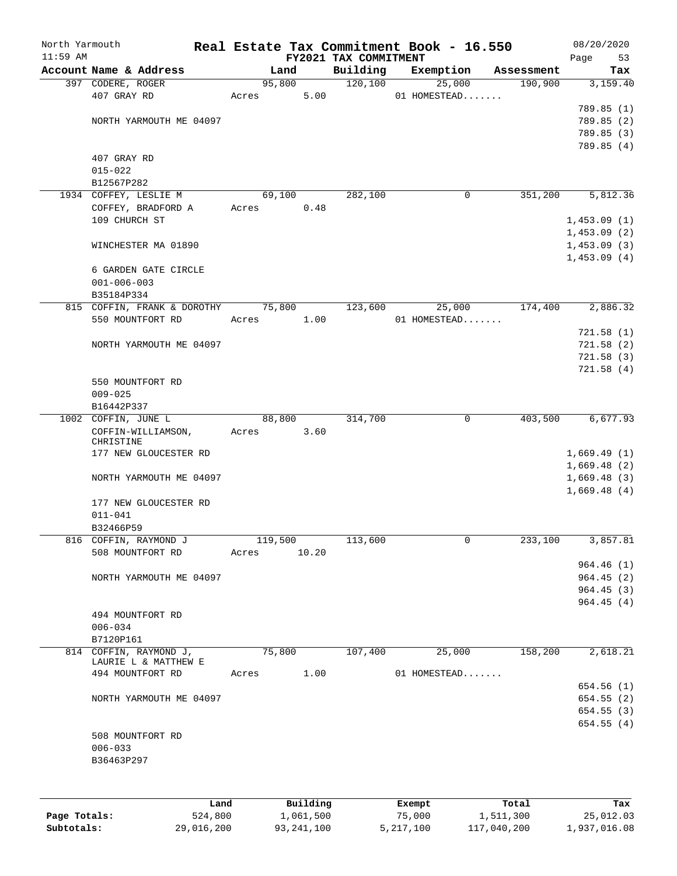| North Yarmouth<br>$11:59$ AM |                                                |                | FY2021 TAX COMMITMENT | Real Estate Tax Commitment Book - 16.550 |            | 08/20/2020<br>Page<br>53   |
|------------------------------|------------------------------------------------|----------------|-----------------------|------------------------------------------|------------|----------------------------|
|                              | Account Name & Address                         | Land           | Building              | Exemption                                | Assessment | Tax                        |
|                              | 397 CODERE, ROGER                              | 95,800         | 120,100               | 25,000                                   | 190,900    | 3,159.40                   |
|                              | 407 GRAY RD                                    | 5.00<br>Acres  |                       | 01 HOMESTEAD                             |            |                            |
|                              |                                                |                |                       |                                          |            | 789.85 (1)                 |
|                              | NORTH YARMOUTH ME 04097                        |                |                       |                                          |            | 789.85 (2)                 |
|                              |                                                |                |                       |                                          |            | 789.85 (3)                 |
|                              |                                                |                |                       |                                          |            | 789.85 (4)                 |
|                              | 407 GRAY RD                                    |                |                       |                                          |            |                            |
|                              | $015 - 022$                                    |                |                       |                                          |            |                            |
|                              | B12567P282                                     |                |                       |                                          |            |                            |
|                              | 1934 COFFEY, LESLIE M                          | 69,100         | 282,100               | $\mathbf 0$                              | 351,200    | 5,812.36                   |
|                              | COFFEY, BRADFORD A                             | 0.48<br>Acres  |                       |                                          |            |                            |
|                              | 109 CHURCH ST                                  |                |                       |                                          |            | 1,453.09(1)                |
|                              | WINCHESTER MA 01890                            |                |                       |                                          |            | 1,453.09(2)<br>1,453.09(3) |
|                              |                                                |                |                       |                                          |            | 1,453.09(4)                |
|                              | 6 GARDEN GATE CIRCLE                           |                |                       |                                          |            |                            |
|                              | $001 - 006 - 003$                              |                |                       |                                          |            |                            |
|                              | B35184P334                                     |                |                       |                                          |            |                            |
|                              | 815 COFFIN, FRANK & DOROTHY 75,800             |                | 123,600               | 25,000                                   | 174,400    | 2,886.32                   |
|                              | 550 MOUNTFORT RD                               | 1.00<br>Acres  |                       | 01 HOMESTEAD                             |            |                            |
|                              |                                                |                |                       |                                          |            | 721.58(1)                  |
|                              | NORTH YARMOUTH ME 04097                        |                |                       |                                          |            | 721.58(2)                  |
|                              |                                                |                |                       |                                          |            | 721.58(3)                  |
|                              |                                                |                |                       |                                          |            | 721.58(4)                  |
|                              | 550 MOUNTFORT RD                               |                |                       |                                          |            |                            |
|                              | $009 - 025$                                    |                |                       |                                          |            |                            |
|                              | B16442P337                                     |                |                       |                                          |            |                            |
|                              | 1002 COFFIN, JUNE L                            | 88,800         | 314,700               | $\mathbf 0$                              | 403,500    | 6,677.93                   |
|                              | COFFIN-WILLIAMSON,                             | 3.60<br>Acres  |                       |                                          |            |                            |
|                              | CHRISTINE                                      |                |                       |                                          |            |                            |
|                              | 177 NEW GLOUCESTER RD                          |                |                       |                                          |            | 1,669.49(1)                |
|                              |                                                |                |                       |                                          |            | 1,669.48(2)<br>1,669.48(3) |
|                              | NORTH YARMOUTH ME 04097                        |                |                       |                                          |            | 1,669.48(4)                |
|                              | 177 NEW GLOUCESTER RD                          |                |                       |                                          |            |                            |
|                              | $011 - 041$                                    |                |                       |                                          |            |                            |
|                              | B32466P59                                      |                |                       |                                          |            |                            |
|                              | 816 COFFIN, RAYMOND J                          | 119,500        | 113,600               | 0                                        | 233,100    | 3,857.81                   |
|                              | 508 MOUNTFORT RD                               | 10.20<br>Acres |                       |                                          |            |                            |
|                              |                                                |                |                       |                                          |            | 964.46(1)                  |
|                              | NORTH YARMOUTH ME 04097                        |                |                       |                                          |            | 964.45(2)                  |
|                              |                                                |                |                       |                                          |            | 964.45(3)                  |
|                              |                                                |                |                       |                                          |            | 964.45(4)                  |
|                              | 494 MOUNTFORT RD                               |                |                       |                                          |            |                            |
|                              | $006 - 034$                                    |                |                       |                                          |            |                            |
|                              | B7120P161                                      |                |                       |                                          |            |                            |
|                              | 814 COFFIN, RAYMOND J,<br>LAURIE L & MATTHEW E | 75,800         | 107,400               | 25,000                                   | 158,200    | 2,618.21                   |
|                              | 494 MOUNTFORT RD                               | 1.00<br>Acres  |                       | 01 HOMESTEAD                             |            |                            |
|                              |                                                |                |                       |                                          |            | 654.56 (1)                 |
|                              | NORTH YARMOUTH ME 04097                        |                |                       |                                          |            | 654.55(2)                  |
|                              |                                                |                |                       |                                          |            | 654.55(3)                  |
|                              |                                                |                |                       |                                          |            | 654.55(4)                  |
|                              | 508 MOUNTFORT RD                               |                |                       |                                          |            |                            |
|                              | $006 - 033$                                    |                |                       |                                          |            |                            |
|                              | B36463P297                                     |                |                       |                                          |            |                            |
|                              |                                                |                |                       |                                          |            |                            |
|                              |                                                |                |                       |                                          |            |                            |
|                              | Land                                           | Building       |                       | Exempt                                   | Total      | Tax                        |
| Page Totals:                 | 524,800                                        | 1,061,500      |                       | 75,000                                   | 1,511,300  | 25,012.03                  |

**Subtotals:** 29,016,200 93,241,100 5,217,100 117,040,200 1,937,016.08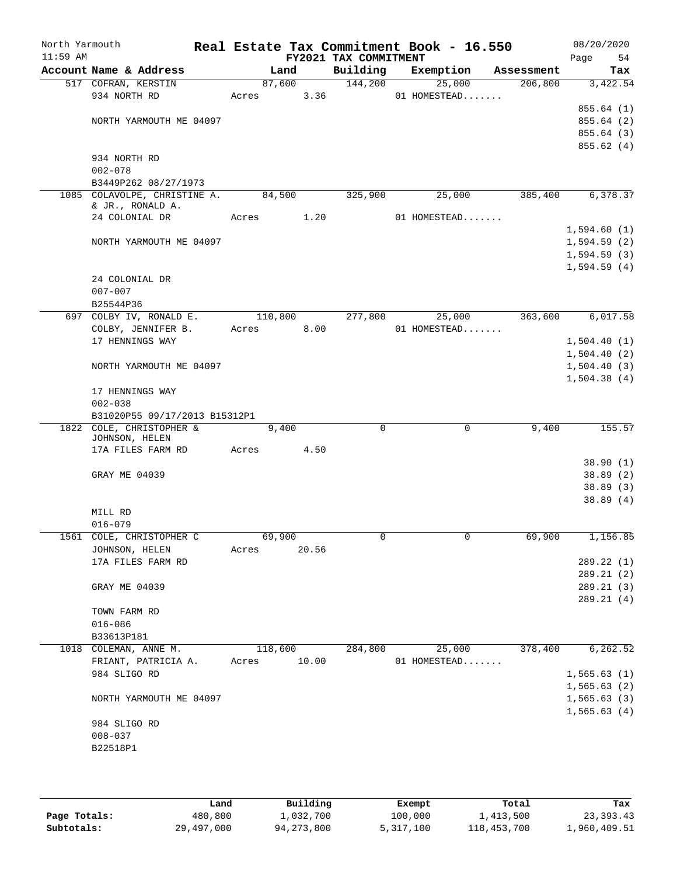| North Yarmouth<br>$11:59$ AM |                                |         |       | FY2021 TAX COMMITMENT | Real Estate Tax Commitment Book - 16.550 |            | 08/20/2020<br>Page<br>54 |
|------------------------------|--------------------------------|---------|-------|-----------------------|------------------------------------------|------------|--------------------------|
|                              | Account Name & Address         |         | Land  | Building              | Exemption                                | Assessment | Tax                      |
|                              | 517 COFRAN, KERSTIN            | 87,600  |       | 144,200               | 25,000                                   | 206,800    | 3,422.54                 |
|                              | 934 NORTH RD                   | Acres   | 3.36  |                       | 01 HOMESTEAD                             |            |                          |
|                              |                                |         |       |                       |                                          |            | 855.64(1)                |
|                              | NORTH YARMOUTH ME 04097        |         |       |                       |                                          |            | 855.64 (2)               |
|                              |                                |         |       |                       |                                          |            | 855.64 (3)               |
|                              |                                |         |       |                       |                                          |            | 855.62 (4)               |
|                              | 934 NORTH RD<br>$002 - 078$    |         |       |                       |                                          |            |                          |
|                              | B3449P262 08/27/1973           |         |       |                       |                                          |            |                          |
|                              | 1085 COLAVOLPE, CHRISTINE A.   | 84,500  |       | 325,900               | 25,000                                   | 385,400    | 6,378.37                 |
|                              | & JR., RONALD A.               |         |       |                       |                                          |            |                          |
|                              | 24 COLONIAL DR                 | Acres   | 1.20  |                       | 01 HOMESTEAD                             |            |                          |
|                              |                                |         |       |                       |                                          |            | 1,594.60(1)              |
|                              | NORTH YARMOUTH ME 04097        |         |       |                       |                                          |            | 1,594.59(2)              |
|                              |                                |         |       |                       |                                          |            | 1,594.59(3)              |
|                              |                                |         |       |                       |                                          |            | 1,594.59(4)              |
|                              | 24 COLONIAL DR                 |         |       |                       |                                          |            |                          |
|                              | $007 - 007$                    |         |       |                       |                                          |            |                          |
|                              | B25544P36                      |         |       |                       |                                          |            |                          |
|                              | 697 COLBY IV, RONALD E.        | 110,800 |       | 277,800               | 25,000                                   | 363,600    | 6,017.58                 |
|                              | COLBY, JENNIFER B.             | Acres   | 8.00  |                       | 01 HOMESTEAD                             |            |                          |
|                              | 17 HENNINGS WAY                |         |       |                       |                                          |            | 1,504.40(1)              |
|                              |                                |         |       |                       |                                          |            | 1,504.40(2)              |
|                              | NORTH YARMOUTH ME 04097        |         |       |                       |                                          |            | 1,504.40(3)              |
|                              |                                |         |       |                       |                                          |            | 1,504.38(4)              |
|                              | 17 HENNINGS WAY<br>$002 - 038$ |         |       |                       |                                          |            |                          |
|                              | B31020P55 09/17/2013 B15312P1  |         |       |                       |                                          |            |                          |
| 1822                         | COLE, CHRISTOPHER &            |         | 9,400 | $\Omega$              | $\mathbf 0$                              | 9,400      | 155.57                   |
|                              | JOHNSON, HELEN                 |         |       |                       |                                          |            |                          |
|                              | 17A FILES FARM RD              | Acres   | 4.50  |                       |                                          |            |                          |
|                              |                                |         |       |                       |                                          |            | 38.90(1)                 |
|                              | GRAY ME 04039                  |         |       |                       |                                          |            | 38.89(2)                 |
|                              |                                |         |       |                       |                                          |            | 38.89(3)                 |
|                              |                                |         |       |                       |                                          |            | 38.89(4)                 |
|                              | MILL RD                        |         |       |                       |                                          |            |                          |
|                              | $016 - 079$                    |         |       |                       |                                          |            |                          |
|                              | 1561 COLE, CHRISTOPHER C       | 69,900  |       | 0                     |                                          | 69,900     | 1,156.85                 |
|                              | JOHNSON, HELEN                 | Acres   | 20.56 |                       |                                          |            | 289.22(1)                |
|                              | 17A FILES FARM RD              |         |       |                       |                                          |            | 289.21(2)                |
|                              | GRAY ME 04039                  |         |       |                       |                                          |            | 289.21(3)                |
|                              |                                |         |       |                       |                                          |            | 289.21(4)                |
|                              | TOWN FARM RD                   |         |       |                       |                                          |            |                          |
|                              | $016 - 086$                    |         |       |                       |                                          |            |                          |
|                              | B33613P181                     |         |       |                       |                                          |            |                          |
|                              | 1018 COLEMAN, ANNE M.          | 118,600 |       | 284,800               | 25,000                                   | 378,400    | 6, 262.52                |
|                              | FRIANT, PATRICIA A.            | Acres   | 10.00 |                       | 01 HOMESTEAD                             |            |                          |
|                              | 984 SLIGO RD                   |         |       |                       |                                          |            | 1,565.63(1)              |
|                              |                                |         |       |                       |                                          |            | 1,565.63(2)              |
|                              | NORTH YARMOUTH ME 04097        |         |       |                       |                                          |            | 1,565.63(3)              |
|                              |                                |         |       |                       |                                          |            | 1,565.63(4)              |
|                              | 984 SLIGO RD                   |         |       |                       |                                          |            |                          |
|                              | $008 - 037$                    |         |       |                       |                                          |            |                          |
|                              | B22518P1                       |         |       |                       |                                          |            |                          |
|                              |                                |         |       |                       |                                          |            |                          |

|              | Land       | Building   | Exempt    | Total       | Tax          |
|--------------|------------|------------|-----------|-------------|--------------|
| Page Totals: | 480,800    | 1,032,700  | 100,000   | 1,413,500   | 23,393.43    |
| Subtotals:   | 29,497,000 | 94,273,800 | 5,317,100 | 118,453,700 | 1,960,409.51 |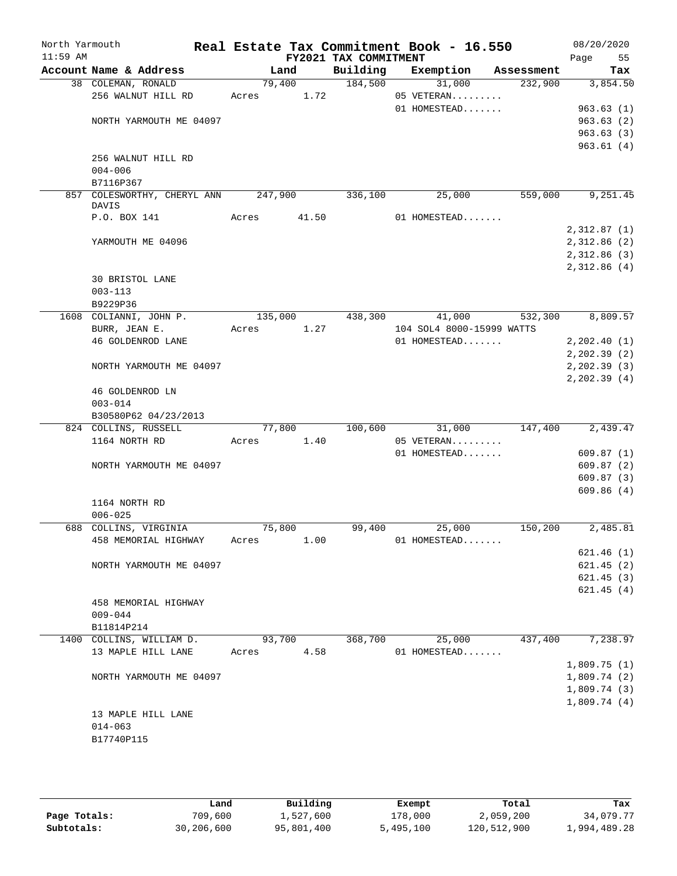| North Yarmouth<br>$11:59$ AM |                                           |         |       | FY2021 TAX COMMITMENT | Real Estate Tax Commitment Book - 16.550  |            | 08/20/2020<br>Page | 55       |
|------------------------------|-------------------------------------------|---------|-------|-----------------------|-------------------------------------------|------------|--------------------|----------|
|                              | Account Name & Address                    |         | Land  | Building              | Exemption                                 | Assessment |                    | Tax      |
|                              | 38 COLEMAN, RONALD                        | 79,400  |       | 184,500               | 31,000                                    | 232,900    |                    | 3,854.50 |
|                              | 256 WALNUT HILL RD                        | Acres   | 1.72  |                       | 05 VETERAN                                |            |                    |          |
|                              |                                           |         |       |                       | 01 HOMESTEAD                              |            | 963.63(1)          |          |
|                              | NORTH YARMOUTH ME 04097                   |         |       |                       |                                           |            | 963.63(2)          |          |
|                              |                                           |         |       |                       |                                           |            | 963.63(3)          |          |
|                              |                                           |         |       |                       |                                           |            | 963.61(4)          |          |
|                              | 256 WALNUT HILL RD                        |         |       |                       |                                           |            |                    |          |
|                              | $004 - 006$                               |         |       |                       |                                           |            |                    |          |
|                              | B7116P367                                 |         |       |                       |                                           |            |                    |          |
|                              | 857 COLESWORTHY, CHERYL ANN               | 247,900 |       | 336,100               | 25,000                                    | 559,000    |                    | 9,251.45 |
|                              | DAVIS<br>P.O. BOX 141                     | Acres   | 41.50 |                       | 01 HOMESTEAD                              |            |                    |          |
|                              |                                           |         |       |                       |                                           |            |                    |          |
|                              |                                           |         |       |                       |                                           |            | 2,312.87(1)        |          |
|                              | YARMOUTH ME 04096                         |         |       |                       |                                           |            | 2,312.86(2)        |          |
|                              |                                           |         |       |                       |                                           |            | 2,312.86(3)        |          |
|                              |                                           |         |       |                       |                                           |            | 2,312.86(4)        |          |
|                              | 30 BRISTOL LANE                           |         |       |                       |                                           |            |                    |          |
|                              | $003 - 113$                               |         |       |                       |                                           |            |                    |          |
|                              | B9229P36<br>1608 COLIANNI, JOHN P.        | 135,000 |       | 438,300               | 41,000                                    | 532,300    |                    | 8,809.57 |
|                              |                                           |         |       |                       |                                           |            |                    |          |
|                              | BURR, JEAN E.<br><b>46 GOLDENROD LANE</b> | Acres   | 1.27  |                       | 104 SOL4 8000-15999 WATTS<br>01 HOMESTEAD |            |                    |          |
|                              |                                           |         |       |                       |                                           |            | 2, 202.40(1)       |          |
|                              |                                           |         |       |                       |                                           |            | 2, 202.39(2)       |          |
|                              | NORTH YARMOUTH ME 04097                   |         |       |                       |                                           |            | 2, 202.39(3)       |          |
|                              | 46 GOLDENROD LN                           |         |       |                       |                                           |            | 2, 202.39(4)       |          |
|                              | $003 - 014$                               |         |       |                       |                                           |            |                    |          |
|                              | B30580P62 04/23/2013                      |         |       |                       |                                           |            |                    |          |
|                              | 824 COLLINS, RUSSELL                      | 77,800  |       | 100,600               | 31,000                                    | 147,400    |                    | 2,439.47 |
|                              | 1164 NORTH RD                             | Acres   | 1.40  |                       | 05 VETERAN                                |            |                    |          |
|                              |                                           |         |       |                       | 01 HOMESTEAD                              |            | 609.87 (1)         |          |
|                              | NORTH YARMOUTH ME 04097                   |         |       |                       |                                           |            | 609.87(2)          |          |
|                              |                                           |         |       |                       |                                           |            | 609.87(3)          |          |
|                              |                                           |         |       |                       |                                           |            | 609.86(4)          |          |
|                              | 1164 NORTH RD                             |         |       |                       |                                           |            |                    |          |
|                              | $006 - 025$                               |         |       |                       |                                           |            |                    |          |
|                              | 688 COLLINS, VIRGINIA                     | 75,800  |       | 99,400                | 25,000                                    | 150,200    |                    | 2,485.81 |
|                              | 458 MEMORIAL HIGHWAY                      | Acres   | 1.00  |                       | 01 HOMESTEAD                              |            |                    |          |
|                              |                                           |         |       |                       |                                           |            | 621.46(1)          |          |
|                              | NORTH YARMOUTH ME 04097                   |         |       |                       |                                           |            | 621.45(2)          |          |
|                              |                                           |         |       |                       |                                           |            | 621.45(3)          |          |
|                              |                                           |         |       |                       |                                           |            | 621.45(4)          |          |
|                              | 458 MEMORIAL HIGHWAY                      |         |       |                       |                                           |            |                    |          |
|                              | $009 - 044$                               |         |       |                       |                                           |            |                    |          |
|                              | B11814P214                                |         |       |                       |                                           |            |                    |          |
|                              | 1400 COLLINS, WILLIAM D.                  | 93,700  |       | 368,700               | 25,000                                    | 437,400    |                    | 7,238.97 |
|                              | 13 MAPLE HILL LANE                        | Acres   | 4.58  |                       | 01 HOMESTEAD                              |            |                    |          |
|                              |                                           |         |       |                       |                                           |            | 1,809.75(1)        |          |
|                              | NORTH YARMOUTH ME 04097                   |         |       |                       |                                           |            | 1,809.74(2)        |          |
|                              |                                           |         |       |                       |                                           |            | 1,809.74(3)        |          |
|                              |                                           |         |       |                       |                                           |            | 1,809.74(4)        |          |
|                              | 13 MAPLE HILL LANE                        |         |       |                       |                                           |            |                    |          |
|                              | $014 - 063$                               |         |       |                       |                                           |            |                    |          |
|                              | B17740P115                                |         |       |                       |                                           |            |                    |          |
|                              |                                           |         |       |                       |                                           |            |                    |          |

|              | Land       | Building   | Exempt    | Total       | Tax          |
|--------------|------------|------------|-----------|-------------|--------------|
| Page Totals: | 709,600    | 1,527,600  | 178,000   | 2,059,200   | 34,079.77    |
| Subtotals:   | 30,206,600 | 95,801,400 | 5,495,100 | 120,512,900 | 1,994,489.28 |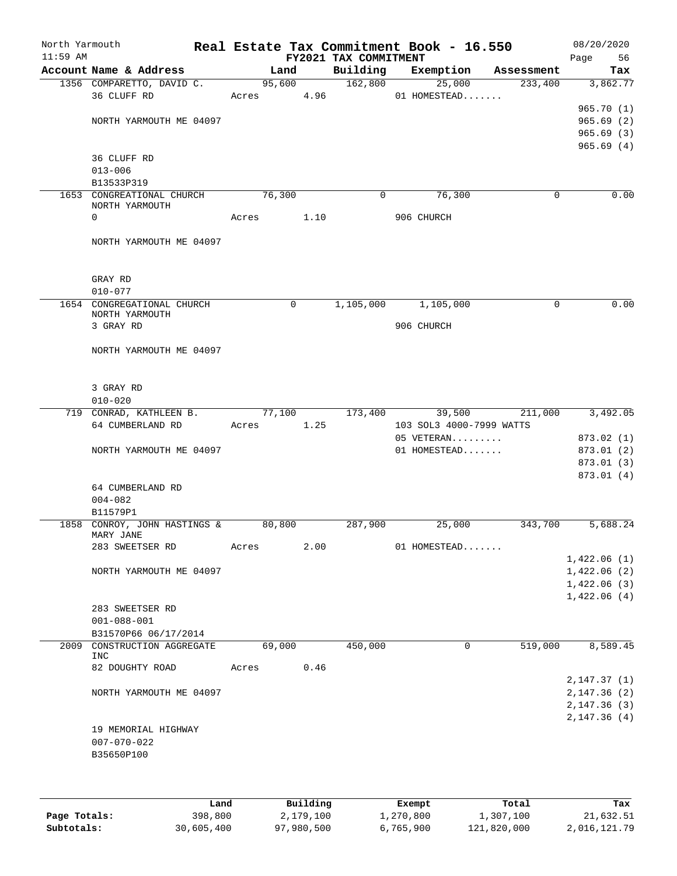| North Yarmouth<br>$11:59$ AM |                                                        |       |                      |      | FY2021 TAX COMMITMENT | Real Estate Tax Commitment Book - 16.550 |            | 08/20/2020<br>56<br>Page            |
|------------------------------|--------------------------------------------------------|-------|----------------------|------|-----------------------|------------------------------------------|------------|-------------------------------------|
|                              | Account Name & Address                                 |       | Land                 |      | Building              | Exemption                                | Assessment | Tax                                 |
|                              | 1356 COMPARETTO, DAVID C.<br>36 CLUFF RD               |       | 95,600<br>Acres 4.96 |      | 162,800               | 25,000<br>01 HOMESTEAD                   | 233,400    | 3,862.77                            |
|                              | NORTH YARMOUTH ME 04097                                |       |                      |      |                       |                                          |            | 965.70(1)<br>965.69(2)<br>965.69(3) |
|                              | 36 CLUFF RD<br>$013 - 006$                             |       |                      |      |                       |                                          |            | 965.69(4)                           |
|                              | B13533P319                                             |       |                      |      |                       |                                          |            |                                     |
|                              | 1653 CONGREATIONAL CHURCH<br>NORTH YARMOUTH<br>0       | Acres | 76,300               | 1.10 | 0                     | 76,300<br>906 CHURCH                     | 0          | 0.00                                |
|                              | NORTH YARMOUTH ME 04097                                |       |                      |      |                       |                                          |            |                                     |
|                              | GRAY RD<br>$010 - 077$                                 |       |                      |      |                       |                                          |            |                                     |
|                              | 1654 CONGREGATIONAL CHURCH                             |       | $\mathbf 0$          |      | 1,105,000             | 1,105,000                                | 0          | 0.00                                |
|                              | NORTH YARMOUTH<br>3 GRAY RD                            |       |                      |      |                       | 906 CHURCH                               |            |                                     |
|                              | NORTH YARMOUTH ME 04097                                |       |                      |      |                       |                                          |            |                                     |
|                              | 3 GRAY RD<br>$010 - 020$                               |       |                      |      |                       |                                          |            |                                     |
|                              | 719 CONRAD, KATHLEEN B.                                |       | 77,100               |      | 173,400               | 39,500                                   | 211,000    | 3,492.05                            |
|                              | 64 CUMBERLAND RD                                       | Acres |                      | 1.25 |                       | 103 SOL3 4000-7999 WATTS                 |            |                                     |
|                              | NORTH YARMOUTH ME 04097                                |       |                      |      |                       | 05 VETERAN<br>01 HOMESTEAD               |            | 873.02 (1)<br>873.01 (2)            |
|                              |                                                        |       |                      |      |                       |                                          |            | 873.01 (3)                          |
|                              | 64 CUMBERLAND RD<br>$004 - 082$                        |       |                      |      |                       |                                          |            | 873.01 (4)                          |
|                              | B11579P1                                               |       |                      |      |                       |                                          |            |                                     |
|                              | 1858 CONROY, JOHN HASTINGS &<br>MARY JANE              |       | 80,800               |      | 287,900               | 25,000                                   | 343,700    | 5,688.24                            |
|                              | 283 SWEETSER RD                                        | Acres |                      | 2.00 |                       | 01 HOMESTEAD                             |            |                                     |
|                              | NORTH YARMOUTH ME 04097                                |       |                      |      |                       |                                          |            | 1,422.06(1)<br>1,422.06(2)          |
|                              |                                                        |       |                      |      |                       |                                          |            | 1,422.06(3)                         |
|                              | 283 SWEETSER RD<br>$001 - 088 - 001$                   |       |                      |      |                       |                                          |            | 1,422.06(4)                         |
|                              | B31570P66 06/17/2014                                   |       |                      |      |                       |                                          |            |                                     |
| 2009                         | CONSTRUCTION AGGREGATE                                 |       | 69,000               |      | 450,000               | 0                                        | 519,000    | 8,589.45                            |
|                              | INC<br>82 DOUGHTY ROAD                                 | Acres |                      | 0.46 |                       |                                          |            |                                     |
|                              | NORTH YARMOUTH ME 04097                                |       |                      |      |                       |                                          |            | 2,147.37(1)<br>2, 147.36 (2)        |
|                              |                                                        |       |                      |      |                       |                                          |            | 2,147.36(3)                         |
|                              | 19 MEMORIAL HIGHWAY<br>$007 - 070 - 022$<br>B35650P100 |       |                      |      |                       |                                          |            | 2,147.36(4)                         |
|                              |                                                        |       |                      |      |                       |                                          |            |                                     |

|              | Land       | Building   | Exempt    | Total       | Tax          |
|--------------|------------|------------|-----------|-------------|--------------|
| Page Totals: | 398,800    | 2,179,100  | 1,270,800 | 1,307,100   | 21,632.51    |
| Subtotals:   | 30,605,400 | 97,980,500 | 6,765,900 | 121,820,000 | 2,016,121.79 |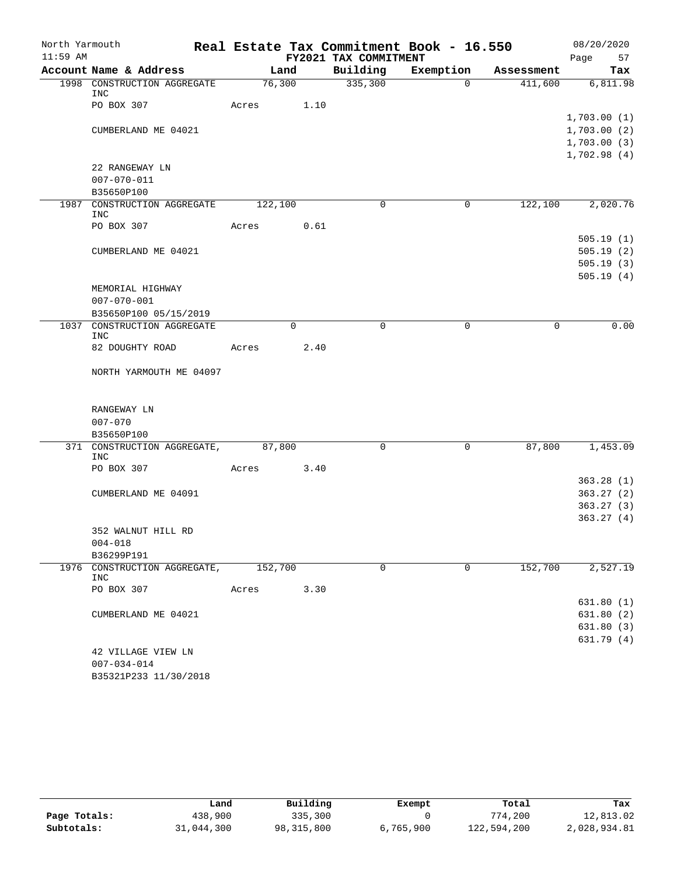| North Yarmouth |                                           |         |      |                       | Real Estate Tax Commitment Book - 16.550 |            | 08/20/2020  |
|----------------|-------------------------------------------|---------|------|-----------------------|------------------------------------------|------------|-------------|
| $11:59$ AM     |                                           |         |      | FY2021 TAX COMMITMENT |                                          |            | Page<br>57  |
|                | Account Name & Address                    | Land    |      | Building              | Exemption                                | Assessment | Tax         |
|                | 1998 CONSTRUCTION AGGREGATE<br>INC        | 76,300  |      | 335,300               | $\Omega$                                 | 411,600    | 6,811.98    |
|                | PO BOX 307                                | Acres   | 1.10 |                       |                                          |            |             |
|                |                                           |         |      |                       |                                          |            | 1,703.00(1) |
|                | CUMBERLAND ME 04021                       |         |      |                       |                                          |            | 1,703.00(2) |
|                |                                           |         |      |                       |                                          |            | 1,703.00(3) |
|                |                                           |         |      |                       |                                          |            | 1,702.98(4) |
|                | 22 RANGEWAY LN                            |         |      |                       |                                          |            |             |
|                | $007 - 070 - 011$                         |         |      |                       |                                          |            |             |
|                | B35650P100                                |         |      |                       |                                          |            |             |
|                | 1987 CONSTRUCTION AGGREGATE<br>INC        | 122,100 |      | $\Omega$              | 0                                        | 122,100    | 2,020.76    |
|                | PO BOX 307                                | Acres   | 0.61 |                       |                                          |            |             |
|                |                                           |         |      |                       |                                          |            | 505.19(1)   |
|                | CUMBERLAND ME 04021                       |         |      |                       |                                          |            | 505.19(2)   |
|                |                                           |         |      |                       |                                          |            | 505.19(3)   |
|                |                                           |         |      |                       |                                          |            | 505.19(4)   |
|                | MEMORIAL HIGHWAY                          |         |      |                       |                                          |            |             |
|                | $007 - 070 - 001$                         |         |      |                       |                                          |            |             |
|                | B35650P100 05/15/2019                     |         |      |                       |                                          |            |             |
|                | 1037 CONSTRUCTION AGGREGATE               |         | 0    | 0                     | $\mathbf 0$                              | 0          | 0.00        |
|                | <b>INC</b><br>82 DOUGHTY ROAD             | Acres   | 2.40 |                       |                                          |            |             |
|                |                                           |         |      |                       |                                          |            |             |
|                | NORTH YARMOUTH ME 04097                   |         |      |                       |                                          |            |             |
|                |                                           |         |      |                       |                                          |            |             |
|                |                                           |         |      |                       |                                          |            |             |
|                | RANGEWAY LN                               |         |      |                       |                                          |            |             |
|                | $007 - 070$                               |         |      |                       |                                          |            |             |
|                | B35650P100                                |         |      |                       |                                          |            |             |
|                | 371 CONSTRUCTION AGGREGATE,<br><b>INC</b> | 87,800  |      | 0                     | 0                                        | 87,800     | 1,453.09    |
|                | PO BOX 307                                | Acres   | 3.40 |                       |                                          |            |             |
|                |                                           |         |      |                       |                                          |            | 363.28(1)   |
|                | CUMBERLAND ME 04091                       |         |      |                       |                                          |            | 363.27(2)   |
|                |                                           |         |      |                       |                                          |            | 363.27(3)   |
|                |                                           |         |      |                       |                                          |            | 363.27(4)   |
|                | 352 WALNUT HILL RD                        |         |      |                       |                                          |            |             |
|                | $004 - 018$                               |         |      |                       |                                          |            |             |
|                | B36299P191                                |         |      |                       |                                          |            |             |
| 1976           | CONSTRUCTION AGGREGATE,                   | 152,700 |      | 0                     | $\mathbf 0$                              | 152,700    | 2,527.19    |
|                | INC<br>PO BOX 307                         | Acres   | 3.30 |                       |                                          |            |             |
|                |                                           |         |      |                       |                                          |            | 631.80 (1)  |
|                | CUMBERLAND ME 04021                       |         |      |                       |                                          |            | 631.80(2)   |
|                |                                           |         |      |                       |                                          |            | 631.80(3)   |
|                |                                           |         |      |                       |                                          |            | 631.79(4)   |
|                | 42 VILLAGE VIEW LN                        |         |      |                       |                                          |            |             |
|                | $007 - 034 - 014$                         |         |      |                       |                                          |            |             |
|                | B35321P233 11/30/2018                     |         |      |                       |                                          |            |             |

|              | Land       | Building   | Exempt    | Total       | Tax          |
|--------------|------------|------------|-----------|-------------|--------------|
| Page Totals: | 438,900    | 335,300    |           | 774,200     | 12,813.02    |
| Subtotals:   | 31,044,300 | 98,315,800 | 6,765,900 | 122,594,200 | 2,028,934.81 |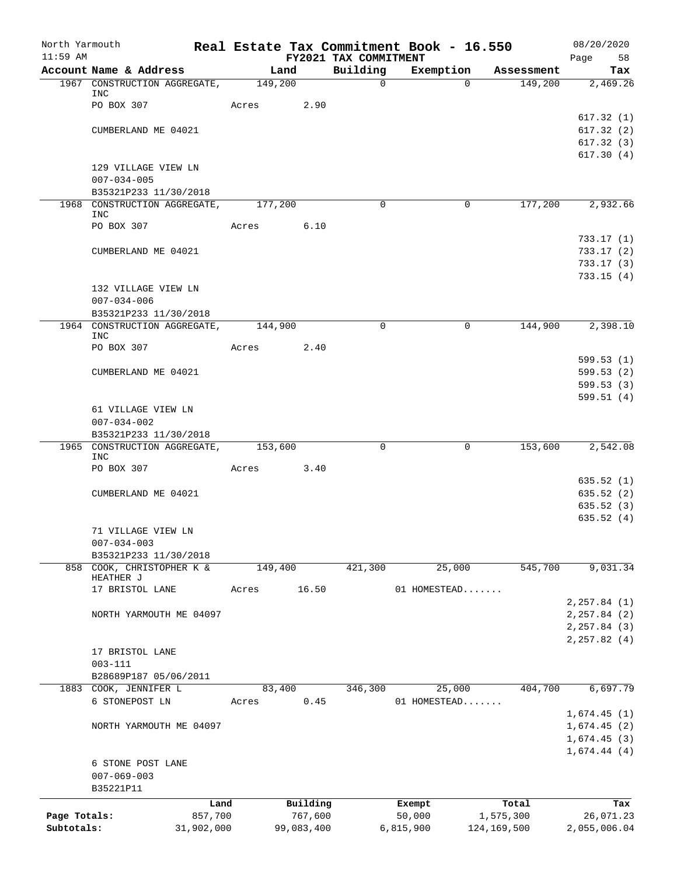| North Yarmouth |                                                        |            |                 |            |                       | Real Estate Tax Commitment Book - 16.550 |               |                       | 08/20/2020             |
|----------------|--------------------------------------------------------|------------|-----------------|------------|-----------------------|------------------------------------------|---------------|-----------------------|------------------------|
| $11:59$ AM     |                                                        |            |                 |            | FY2021 TAX COMMITMENT |                                          |               |                       | Page<br>58             |
|                | Account Name & Address<br>1967 CONSTRUCTION AGGREGATE, |            | Land<br>149,200 |            | Building<br>$\Omega$  | Exemption                                | $\Omega$      | Assessment<br>149,200 | Tax<br>2,469.26        |
|                | INC                                                    |            |                 |            |                       |                                          |               |                       |                        |
|                | PO BOX 307                                             |            | Acres           | 2.90       |                       |                                          |               |                       |                        |
|                |                                                        |            |                 |            |                       |                                          |               |                       | 617.32(1)              |
|                | CUMBERLAND ME 04021                                    |            |                 |            |                       |                                          |               |                       | 617.32(2)              |
|                |                                                        |            |                 |            |                       |                                          |               |                       | 617.32(3)              |
|                | 129 VILLAGE VIEW LN                                    |            |                 |            |                       |                                          |               |                       | 617.30(4)              |
|                | $007 - 034 - 005$                                      |            |                 |            |                       |                                          |               |                       |                        |
|                | B35321P233 11/30/2018                                  |            |                 |            |                       |                                          |               |                       |                        |
|                | 1968 CONSTRUCTION AGGREGATE,                           |            | 177,200         |            | $\Omega$              |                                          | $\Omega$      | 177,200               | 2,932.66               |
|                | INC                                                    |            |                 |            |                       |                                          |               |                       |                        |
|                | PO BOX 307                                             |            | Acres 6.10      |            |                       |                                          |               |                       |                        |
|                |                                                        |            |                 |            |                       |                                          |               |                       | 733.17(1)              |
|                | CUMBERLAND ME 04021                                    |            |                 |            |                       |                                          |               |                       | 733.17(2)<br>733.17(3) |
|                |                                                        |            |                 |            |                       |                                          |               |                       | 733.15(4)              |
|                | 132 VILLAGE VIEW LN                                    |            |                 |            |                       |                                          |               |                       |                        |
|                | $007 - 034 - 006$                                      |            |                 |            |                       |                                          |               |                       |                        |
|                | B35321P233 11/30/2018                                  |            |                 |            |                       |                                          |               |                       |                        |
|                | 1964 CONSTRUCTION AGGREGATE,                           |            | 144,900         |            | $\Omega$              |                                          | $\Omega$      | 144,900               | 2,398.10               |
|                | <b>INC</b><br>PO BOX 307                               |            |                 | 2.40       |                       |                                          |               |                       |                        |
|                |                                                        |            | Acres           |            |                       |                                          |               |                       | 599.53(1)              |
|                | CUMBERLAND ME 04021                                    |            |                 |            |                       |                                          |               |                       | 599.53(2)              |
|                |                                                        |            |                 |            |                       |                                          |               |                       | 599.53(3)              |
|                |                                                        |            |                 |            |                       |                                          |               |                       | 599.51(4)              |
|                | 61 VILLAGE VIEW LN                                     |            |                 |            |                       |                                          |               |                       |                        |
|                | $007 - 034 - 002$                                      |            |                 |            |                       |                                          |               |                       |                        |
|                | B35321P233 11/30/2018                                  |            |                 |            |                       |                                          |               |                       |                        |
|                | 1965 CONSTRUCTION AGGREGATE,<br>INC                    |            | 153,600         |            | $\Omega$              |                                          | $\mathbf 0$   | 153,600               | 2,542.08               |
|                | PO BOX 307                                             |            | Acres           | 3.40       |                       |                                          |               |                       |                        |
|                |                                                        |            |                 |            |                       |                                          |               |                       | 635.52(1)              |
|                | CUMBERLAND ME 04021                                    |            |                 |            |                       |                                          |               |                       | 635.52 (2)             |
|                |                                                        |            |                 |            |                       |                                          |               |                       | 635.52(3)              |
|                |                                                        |            |                 |            |                       |                                          |               |                       | 635.52(4)              |
|                | 71 VILLAGE VIEW LN                                     |            |                 |            |                       |                                          |               |                       |                        |
|                | $007 - 034 - 003$                                      |            |                 |            |                       |                                          |               |                       |                        |
|                | B35321P233 11/30/2018<br>858 COOK, CHRISTOPHER K &     |            | 149,400         |            | 421,300               |                                          | 25,000        | 545,700               | 9,031.34               |
|                | HEATHER J                                              |            |                 |            |                       |                                          |               |                       |                        |
|                | 17 BRISTOL LANE                                        |            | Acres           | 16.50      |                       | 01 HOMESTEAD                             |               |                       |                        |
|                |                                                        |            |                 |            |                       |                                          |               |                       | 2, 257.84 (1)          |
|                | NORTH YARMOUTH ME 04097                                |            |                 |            |                       |                                          |               |                       | 2, 257.84 (2)          |
|                |                                                        |            |                 |            |                       |                                          |               |                       | 2, 257.84 (3)          |
|                | 17 BRISTOL LANE                                        |            |                 |            |                       |                                          |               |                       | 2, 257.82(4)           |
|                | $003 - 111$                                            |            |                 |            |                       |                                          |               |                       |                        |
|                | B28689P187 05/06/2011                                  |            |                 |            |                       |                                          |               |                       |                        |
|                | 1883 COOK, JENNIFER L                                  |            | 83,400          |            | 346,300               |                                          | 25,000        | 404,700               | 6,697.79               |
|                | 6 STONEPOST LN                                         |            | Acres           | 0.45       |                       | 01 HOMESTEAD                             |               |                       |                        |
|                |                                                        |            |                 |            |                       |                                          |               |                       | 1,674.45(1)            |
|                | NORTH YARMOUTH ME 04097                                |            |                 |            |                       |                                          |               |                       | 1,674.45(2)            |
|                |                                                        |            |                 |            |                       |                                          |               |                       | 1,674.45(3)            |
|                |                                                        |            |                 |            |                       |                                          |               |                       | 1,674.44(4)            |
|                | 6 STONE POST LANE<br>$007 - 069 - 003$                 |            |                 |            |                       |                                          |               |                       |                        |
|                | B35221P11                                              |            |                 |            |                       |                                          |               |                       |                        |
|                |                                                        | Land       |                 | Building   |                       |                                          |               | Total                 | Tax                    |
| Page Totals:   |                                                        | 857,700    |                 | 767,600    |                       | Exempt<br>50,000                         |               | 1,575,300             | 26,071.23              |
| Subtotals:     |                                                        | 31,902,000 |                 | 99,083,400 |                       | 6,815,900                                | 124, 169, 500 |                       | 2,055,006.04           |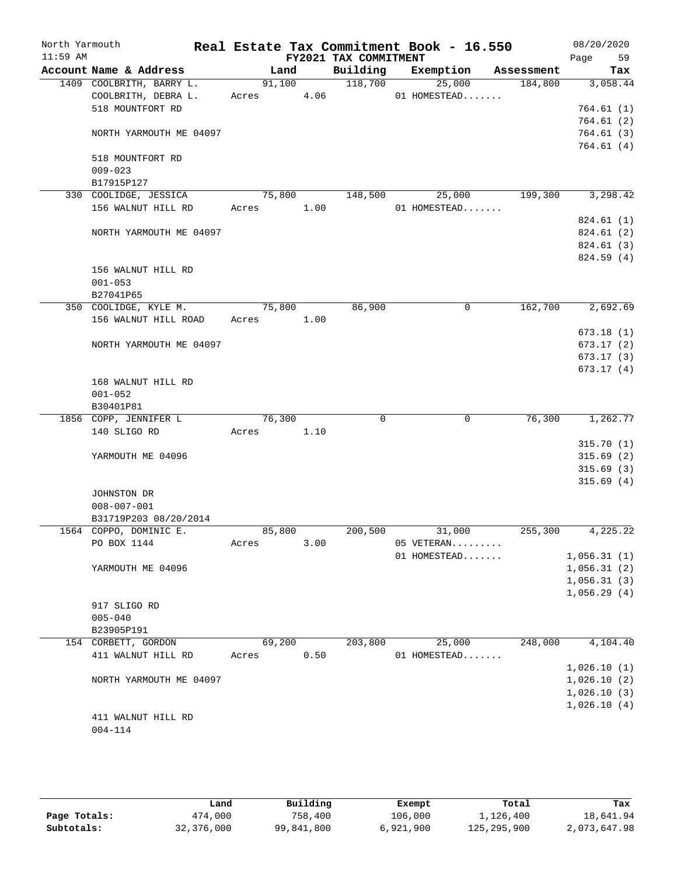| North Yarmouth<br>$11:59$ AM |                                                 |                 |      | FY2021 TAX COMMITMENT | Real Estate Tax Commitment Book - 16.550 |            | 08/20/2020<br>Page<br>59   |
|------------------------------|-------------------------------------------------|-----------------|------|-----------------------|------------------------------------------|------------|----------------------------|
|                              | Account Name & Address                          | Land            |      | Building              | Exemption                                | Assessment | Tax                        |
|                              | 1409 COOLBRITH, BARRY L.<br>COOLBRITH, DEBRA L. | 91,100<br>Acres | 4.06 | 118,700               | 25,000<br>01 HOMESTEAD                   | 184,800    | 3,058.44                   |
|                              | 518 MOUNTFORT RD                                |                 |      |                       |                                          |            | 764.61(1)                  |
|                              |                                                 |                 |      |                       |                                          |            | 764.61(2)                  |
|                              | NORTH YARMOUTH ME 04097                         |                 |      |                       |                                          |            | 764.61(3)                  |
|                              |                                                 |                 |      |                       |                                          |            | 764.61(4)                  |
|                              | 518 MOUNTFORT RD                                |                 |      |                       |                                          |            |                            |
|                              | $009 - 023$                                     |                 |      |                       |                                          |            |                            |
|                              | B17915P127                                      |                 |      |                       |                                          |            |                            |
|                              | 330 COOLIDGE, JESSICA                           | 75,800          |      | 148,500               | 25,000                                   | 199,300    | 3,298.42                   |
|                              | 156 WALNUT HILL RD                              | Acres           | 1.00 |                       | 01 HOMESTEAD                             |            |                            |
|                              |                                                 |                 |      |                       |                                          |            | 824.61(1)                  |
|                              | NORTH YARMOUTH ME 04097                         |                 |      |                       |                                          |            | 824.61 (2)<br>824.61 (3)   |
|                              |                                                 |                 |      |                       |                                          |            | 824.59 (4)                 |
|                              | 156 WALNUT HILL RD                              |                 |      |                       |                                          |            |                            |
|                              | $001 - 053$                                     |                 |      |                       |                                          |            |                            |
|                              | B27041P65                                       |                 |      |                       |                                          |            |                            |
|                              | 350 COOLIDGE, KYLE M.                           | 75,800          |      | 86,900                | 0                                        | 162,700    | 2,692.69                   |
|                              | 156 WALNUT HILL ROAD                            | Acres           | 1.00 |                       |                                          |            |                            |
|                              |                                                 |                 |      |                       |                                          |            | 673.18(1)                  |
|                              | NORTH YARMOUTH ME 04097                         |                 |      |                       |                                          |            | 673.17(2)                  |
|                              |                                                 |                 |      |                       |                                          |            | 673.17(3)                  |
|                              |                                                 |                 |      |                       |                                          |            | 673.17(4)                  |
|                              | 168 WALNUT HILL RD                              |                 |      |                       |                                          |            |                            |
|                              | $001 - 052$<br>B30401P81                        |                 |      |                       |                                          |            |                            |
|                              | 1856 COPP, JENNIFER L                           | 76,300          |      | $\Omega$              | 0                                        | 76,300     | 1,262.77                   |
|                              | 140 SLIGO RD                                    | Acres           | 1.10 |                       |                                          |            |                            |
|                              |                                                 |                 |      |                       |                                          |            | 315.70(1)                  |
|                              | YARMOUTH ME 04096                               |                 |      |                       |                                          |            | 315.69(2)                  |
|                              |                                                 |                 |      |                       |                                          |            | 315.69(3)                  |
|                              |                                                 |                 |      |                       |                                          |            | 315.69(4)                  |
|                              | JOHNSTON DR                                     |                 |      |                       |                                          |            |                            |
|                              | $008 - 007 - 001$                               |                 |      |                       |                                          |            |                            |
|                              | B31719P203 08/20/2014                           |                 |      |                       |                                          |            |                            |
|                              | 1564 COPPO, DOMINIC E.                          | 85,800          |      | 200,500               | 31,000                                   | 255,300    | 4,225.22                   |
|                              | PO BOX 1144                                     | Acres           | 3.00 |                       | 05 VETERAN                               |            |                            |
|                              |                                                 |                 |      |                       | 01 HOMESTEAD                             |            | 1,056.31(1)                |
|                              | YARMOUTH ME 04096                               |                 |      |                       |                                          |            | 1,056.31(2)                |
|                              |                                                 |                 |      |                       |                                          |            | 1,056.31(3)<br>1,056.29(4) |
|                              | 917 SLIGO RD                                    |                 |      |                       |                                          |            |                            |
|                              | $005 - 040$                                     |                 |      |                       |                                          |            |                            |
|                              | B23905P191                                      |                 |      |                       |                                          |            |                            |
|                              | 154 CORBETT, GORDON                             | 69,200          |      | 203,800               | 25,000                                   | 248,000    | 4,104.40                   |
|                              | 411 WALNUT HILL RD                              | Acres           | 0.50 |                       | 01 HOMESTEAD                             |            |                            |
|                              |                                                 |                 |      |                       |                                          |            | 1,026.10(1)                |
|                              | NORTH YARMOUTH ME 04097                         |                 |      |                       |                                          |            | 1,026.10(2)                |
|                              |                                                 |                 |      |                       |                                          |            | 1,026.10(3)                |
|                              |                                                 |                 |      |                       |                                          |            | 1,026.10(4)                |
|                              | 411 WALNUT HILL RD                              |                 |      |                       |                                          |            |                            |
|                              | $004 - 114$                                     |                 |      |                       |                                          |            |                            |
|                              |                                                 |                 |      |                       |                                          |            |                            |

|              | Land       | Building   | Exempt    | Total       | Tax          |
|--------------|------------|------------|-----------|-------------|--------------|
| Page Totals: | 474,000    | 758,400    | 106,000   | 1,126,400   | 18,641.94    |
| Subtotals:   | 32,376,000 | 99,841,800 | 6,921,900 | 125,295,900 | 2,073,647.98 |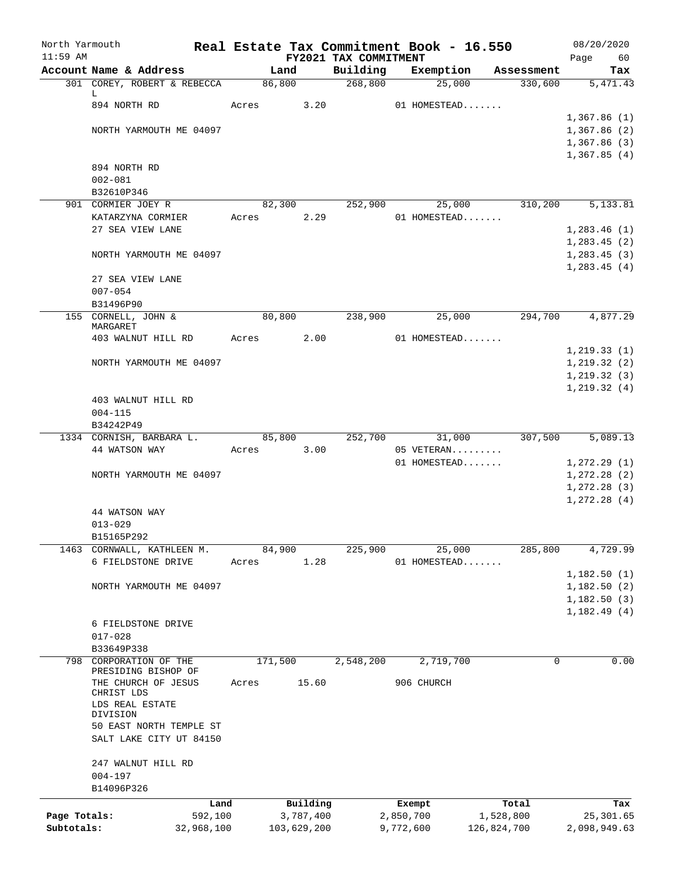| North Yarmouth<br>$11:59$ AM |                                         |            |                 |             |                                   |           | Real Estate Tax Commitment Book - 16.550 |                       | 08/20/2020                 |
|------------------------------|-----------------------------------------|------------|-----------------|-------------|-----------------------------------|-----------|------------------------------------------|-----------------------|----------------------------|
|                              | Account Name & Address                  |            | Land            |             | FY2021 TAX COMMITMENT<br>Building |           | Exemption                                |                       | Page<br>60                 |
|                              | 301 COREY, ROBERT & REBECCA             |            | 86,800          |             | 268,800                           |           | 25,000                                   | Assessment<br>330,600 | Tax<br>5,471.43            |
|                              | L                                       |            |                 |             |                                   |           |                                          |                       |                            |
|                              | 894 NORTH RD                            |            | Acres           | 3.20        |                                   |           | 01 HOMESTEAD                             |                       |                            |
|                              |                                         |            |                 |             |                                   |           |                                          |                       | 1,367.86(1)                |
|                              | NORTH YARMOUTH ME 04097                 |            |                 |             |                                   |           |                                          |                       | 1,367.86(2)                |
|                              |                                         |            |                 |             |                                   |           |                                          |                       | 1,367.86(3)                |
|                              |                                         |            |                 |             |                                   |           |                                          |                       | 1,367.85(4)                |
|                              | 894 NORTH RD                            |            |                 |             |                                   |           |                                          |                       |                            |
|                              | $002 - 081$                             |            |                 |             |                                   |           |                                          |                       |                            |
|                              | B32610P346                              |            |                 |             |                                   |           |                                          |                       |                            |
|                              | 901 CORMIER JOEY R<br>KATARZYNA CORMIER |            | 82,300<br>Acres | 2.29        | 252,900                           |           | 25,000<br>01 HOMESTEAD                   | 310,200               | 5,133.81                   |
|                              | 27 SEA VIEW LANE                        |            |                 |             |                                   |           |                                          |                       | 1,283.46(1)                |
|                              |                                         |            |                 |             |                                   |           |                                          |                       | 1, 283.45(2)               |
|                              | NORTH YARMOUTH ME 04097                 |            |                 |             |                                   |           |                                          |                       | 1,283.45(3)                |
|                              |                                         |            |                 |             |                                   |           |                                          |                       | 1, 283.45(4)               |
|                              | 27 SEA VIEW LANE                        |            |                 |             |                                   |           |                                          |                       |                            |
|                              | $007 - 054$                             |            |                 |             |                                   |           |                                          |                       |                            |
|                              | B31496P90                               |            |                 |             |                                   |           |                                          |                       |                            |
|                              | 155 CORNELL, JOHN &                     |            | 80,800          |             | 238,900                           |           | 25,000                                   | 294,700               | 4,877.29                   |
|                              | MARGARET                                |            |                 |             |                                   |           |                                          |                       |                            |
|                              | 403 WALNUT HILL RD                      |            | Acres           | 2.00        |                                   |           | 01 HOMESTEAD                             |                       |                            |
|                              |                                         |            |                 |             |                                   |           |                                          |                       | 1, 219.33(1)               |
|                              | NORTH YARMOUTH ME 04097                 |            |                 |             |                                   |           |                                          |                       | 1, 219.32(2)               |
|                              |                                         |            |                 |             |                                   |           |                                          |                       | 1, 219.32(3)               |
|                              |                                         |            |                 |             |                                   |           |                                          |                       | 1, 219.32(4)               |
|                              | 403 WALNUT HILL RD<br>$004 - 115$       |            |                 |             |                                   |           |                                          |                       |                            |
|                              | B34242P49                               |            |                 |             |                                   |           |                                          |                       |                            |
|                              | 1334 CORNISH, BARBARA L.                |            | 85,800          |             | 252,700                           |           | 31,000                                   | 307,500               | 5,089.13                   |
|                              | 44 WATSON WAY                           |            | Acres           | 3.00        |                                   |           | 05 VETERAN                               |                       |                            |
|                              |                                         |            |                 |             |                                   |           | 01 HOMESTEAD                             |                       | 1, 272.29(1)               |
|                              | NORTH YARMOUTH ME 04097                 |            |                 |             |                                   |           |                                          |                       | 1, 272.28(2)               |
|                              |                                         |            |                 |             |                                   |           |                                          |                       | 1, 272.28(3)               |
|                              |                                         |            |                 |             |                                   |           |                                          |                       | 1, 272.28(4)               |
|                              | 44 WATSON WAY                           |            |                 |             |                                   |           |                                          |                       |                            |
|                              | $013 - 029$                             |            |                 |             |                                   |           |                                          |                       |                            |
|                              | B15165P292                              |            |                 |             |                                   |           |                                          |                       |                            |
| 1463                         | CORNWALL, KATHLEEN M.                   |            | 84,900          |             | 225,900                           |           | $\overline{25,000}$                      | 285,800               | 4,729.99                   |
|                              | 6 FIELDSTONE DRIVE                      |            | Acres           | 1.28        |                                   |           | 01 HOMESTEAD                             |                       |                            |
|                              |                                         |            |                 |             |                                   |           |                                          |                       | 1,182.50(1)                |
|                              | NORTH YARMOUTH ME 04097                 |            |                 |             |                                   |           |                                          |                       | 1,182.50 (2)               |
|                              |                                         |            |                 |             |                                   |           |                                          |                       | 1,182.50(3)<br>1,182.49(4) |
|                              | 6 FIELDSTONE DRIVE                      |            |                 |             |                                   |           |                                          |                       |                            |
|                              | $017 - 028$                             |            |                 |             |                                   |           |                                          |                       |                            |
|                              | B33649P338                              |            |                 |             |                                   |           |                                          |                       |                            |
| 798                          | CORPORATION OF THE                      |            | 171,500         |             | 2,548,200                         |           | 2,719,700                                | 0                     | 0.00                       |
|                              | PRESIDING BISHOP OF                     |            |                 |             |                                   |           |                                          |                       |                            |
|                              | THE CHURCH OF JESUS                     |            | Acres           | 15.60       |                                   |           | 906 CHURCH                               |                       |                            |
|                              | CHRIST LDS<br>LDS REAL ESTATE           |            |                 |             |                                   |           |                                          |                       |                            |
|                              | DIVISION                                |            |                 |             |                                   |           |                                          |                       |                            |
|                              | 50 EAST NORTH TEMPLE ST                 |            |                 |             |                                   |           |                                          |                       |                            |
|                              | SALT LAKE CITY UT 84150                 |            |                 |             |                                   |           |                                          |                       |                            |
|                              |                                         |            |                 |             |                                   |           |                                          |                       |                            |
|                              | 247 WALNUT HILL RD                      |            |                 |             |                                   |           |                                          |                       |                            |
|                              | $004 - 197$                             |            |                 |             |                                   |           |                                          |                       |                            |
|                              | B14096P326                              |            |                 |             |                                   |           |                                          |                       |                            |
|                              |                                         | Land       |                 | Building    |                                   |           | Exempt                                   | Total                 | Tax                        |
| Page Totals:                 |                                         | 592,100    |                 | 3,787,400   |                                   | 2,850,700 |                                          | 1,528,800             | 25,301.65                  |
| Subtotals:                   |                                         | 32,968,100 |                 | 103,629,200 |                                   | 9,772,600 |                                          | 126,824,700           | 2,098,949.63               |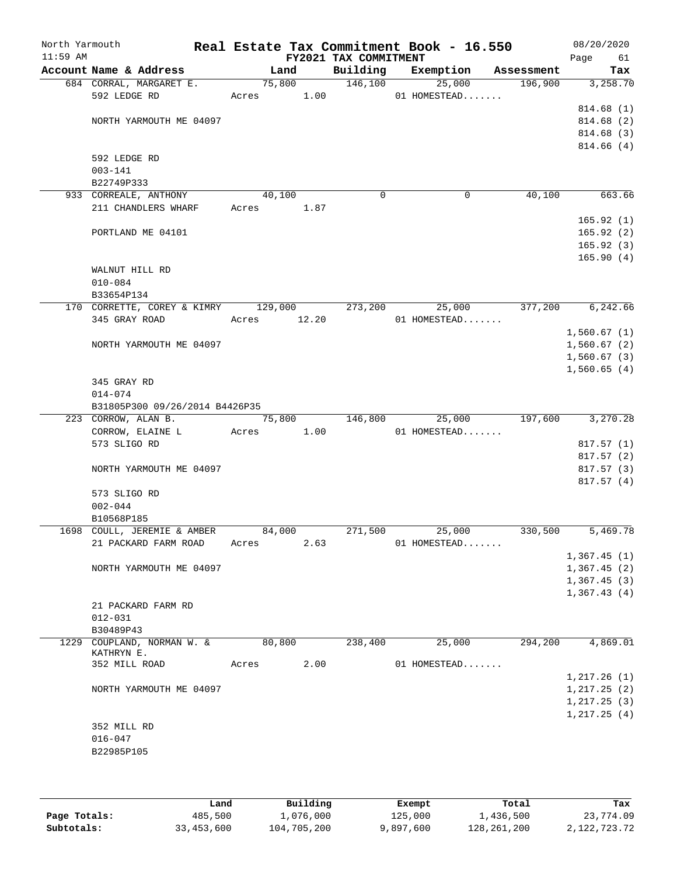| North Yarmouth<br>$11:59$ AM |                                     |        |       | FY2021 TAX COMMITMENT | Real Estate Tax Commitment Book - 16.550 |                | 08/20/2020<br>Page<br>61   |
|------------------------------|-------------------------------------|--------|-------|-----------------------|------------------------------------------|----------------|----------------------------|
|                              | Account Name & Address              | Land   |       | Building              | Exemption                                | Assessment     | Tax                        |
|                              | 684 CORRAL, MARGARET E.             |        |       | 75,800 146,100        |                                          | 25,000 196,900 | 3,258.70                   |
|                              | 592 LEDGE RD                        |        |       | Acres 1.00            | 01 HOMESTEAD                             |                |                            |
|                              |                                     |        |       |                       |                                          |                | 814.68(1)                  |
|                              | NORTH YARMOUTH ME 04097             |        |       |                       |                                          |                | 814.68 (2)                 |
|                              |                                     |        |       |                       |                                          |                | 814.68 (3)                 |
|                              |                                     |        |       |                       |                                          |                | 814.66(4)                  |
|                              | 592 LEDGE RD                        |        |       |                       |                                          |                |                            |
|                              | $003 - 141$                         |        |       |                       |                                          |                |                            |
|                              | B22749P333                          |        |       |                       |                                          |                |                            |
|                              | 933 CORREALE, ANTHONY               | 40,100 |       | $\Omega$              | $\Omega$                                 | 40,100         | 663.66                     |
|                              | 211 CHANDLERS WHARF Acres 1.87      |        |       |                       |                                          |                |                            |
|                              |                                     |        |       |                       |                                          |                | 165.92(1)                  |
|                              | PORTLAND ME 04101                   |        |       |                       |                                          |                | 165.92(2)                  |
|                              |                                     |        |       |                       |                                          |                | 165.92(3)                  |
|                              |                                     |        |       |                       |                                          |                | 165.90(4)                  |
|                              | WALNUT HILL RD                      |        |       |                       |                                          |                |                            |
|                              | $010 - 084$                         |        |       |                       |                                          |                |                            |
|                              | B33654P134                          |        |       |                       |                                          |                |                            |
|                              | 170 CORRETTE, COREY & KIMRY 129,000 |        |       | 273,200               | 25,000                                   | 377,200        | 6,242.66                   |
|                              | 345 GRAY ROAD                       | Acres  | 12.20 |                       | 01 HOMESTEAD                             |                |                            |
|                              |                                     |        |       |                       |                                          |                | 1,560.67(1)                |
|                              | NORTH YARMOUTH ME 04097             |        |       |                       |                                          |                | 1,560.67(2)                |
|                              |                                     |        |       |                       |                                          |                | 1,560.67(3)                |
|                              |                                     |        |       |                       |                                          |                | 1,560.65(4)                |
|                              | 345 GRAY RD                         |        |       |                       |                                          |                |                            |
|                              | $014 - 074$                         |        |       |                       |                                          |                |                            |
|                              | B31805P300 09/26/2014 B4426P35      |        |       |                       |                                          |                |                            |
|                              | 223 CORROW, ALAN B.                 | 75,800 |       | 146,800               | 25,000                                   | 197,600        | 3,270.28                   |
|                              | CORROW, ELAINE Land Macres          |        | 1.00  |                       | 01 HOMESTEAD                             |                |                            |
|                              | 573 SLIGO RD                        |        |       |                       |                                          |                | 817.57(1)                  |
|                              |                                     |        |       |                       |                                          |                | 817.57(2)                  |
|                              | NORTH YARMOUTH ME 04097             |        |       |                       |                                          |                | 817.57(3)                  |
|                              |                                     |        |       |                       |                                          |                | 817.57(4)                  |
|                              | 573 SLIGO RD                        |        |       |                       |                                          |                |                            |
|                              | $002 - 044$                         |        |       |                       |                                          |                |                            |
|                              | B10568P185                          | 84,000 |       |                       | 25,000                                   | 330,500        | 5,469.78                   |
|                              | 1698 COULL, JEREMIE & AMBER         |        |       | 271,500               |                                          |                |                            |
|                              | 21 PACKARD FARM ROAD                | Acres  | 2.63  |                       | 01 HOMESTEAD                             |                |                            |
|                              |                                     |        |       |                       |                                          |                | 1,367.45(1)<br>1,367.45(2) |
|                              | NORTH YARMOUTH ME 04097             |        |       |                       |                                          |                | 1,367.45(3)                |
|                              |                                     |        |       |                       |                                          |                | 1,367.43(4)                |
|                              |                                     |        |       |                       |                                          |                |                            |
|                              | 21 PACKARD FARM RD<br>$012 - 031$   |        |       |                       |                                          |                |                            |
|                              | B30489P43                           |        |       |                       |                                          |                |                            |
|                              | 1229 COUPLAND, NORMAN W. &          | 80,800 |       | 238,400               | 25,000                                   | 294,200        | 4,869.01                   |
|                              | KATHRYN E.                          |        |       |                       |                                          |                |                            |
|                              | 352 MILL ROAD                       | Acres  | 2.00  |                       | 01 HOMESTEAD                             |                |                            |
|                              |                                     |        |       |                       |                                          |                | 1, 217.26(1)               |
|                              | NORTH YARMOUTH ME 04097             |        |       |                       |                                          |                | 1, 217.25(2)               |
|                              |                                     |        |       |                       |                                          |                | 1, 217.25(3)               |
|                              |                                     |        |       |                       |                                          |                | 1, 217.25(4)               |
|                              | 352 MILL RD                         |        |       |                       |                                          |                |                            |
|                              | $016 - 047$                         |        |       |                       |                                          |                |                            |
|                              | B22985P105                          |        |       |                       |                                          |                |                            |
|                              |                                     |        |       |                       |                                          |                |                            |
|                              |                                     |        |       |                       |                                          |                |                            |

|              | Land       | Building    | Exempt    | Total       | Tax          |
|--------------|------------|-------------|-----------|-------------|--------------|
| Page Totals: | 485,500    | 1,076,000   | 125,000   | 1,436,500   | 23,774.09    |
| Subtotals:   | 33,453,600 | 104,705,200 | 9,897,600 | 128,261,200 | 2,122,723.72 |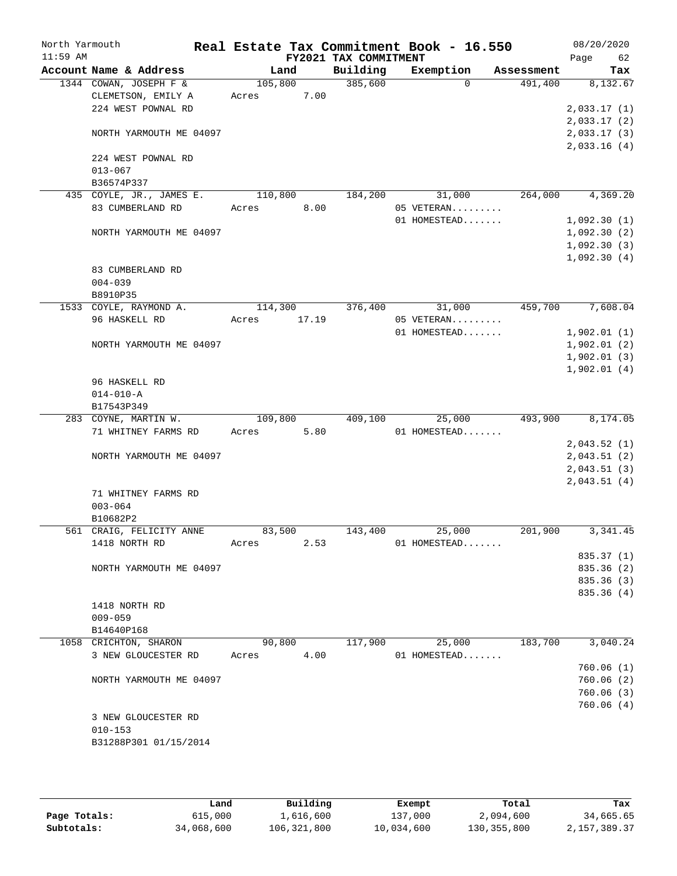| North Yarmouth<br>$11:59$ AM |                          |         |       | FY2021 TAX COMMITMENT | Real Estate Tax Commitment Book - 16.550 |            | 08/20/2020<br>Page<br>62 |
|------------------------------|--------------------------|---------|-------|-----------------------|------------------------------------------|------------|--------------------------|
|                              | Account Name & Address   | Land    |       | Building              | Exemption                                | Assessment | Tax                      |
|                              | 1344 COWAN, JOSEPH F &   | 105,800 |       | 385,600               | $\Omega$                                 | 491,400    | 8,132.67                 |
|                              | CLEMETSON, EMILY A       | Acres   | 7.00  |                       |                                          |            |                          |
|                              | 224 WEST POWNAL RD       |         |       |                       |                                          |            | 2,033.17(1)              |
|                              |                          |         |       |                       |                                          |            | 2,033.17(2)              |
|                              | NORTH YARMOUTH ME 04097  |         |       |                       |                                          |            | 2,033.17(3)              |
|                              | 224 WEST POWNAL RD       |         |       |                       |                                          |            | 2,033.16(4)              |
|                              | $013 - 067$              |         |       |                       |                                          |            |                          |
|                              | B36574P337               |         |       |                       |                                          |            |                          |
|                              | 435 COYLE, JR., JAMES E. | 110,800 |       | 184,200               | 31,000                                   | 264,000    | 4,369.20                 |
|                              | 83 CUMBERLAND RD         | Acres   | 8.00  |                       | 05 VETERAN                               |            |                          |
|                              |                          |         |       |                       | 01 HOMESTEAD                             |            | 1,092.30(1)              |
|                              | NORTH YARMOUTH ME 04097  |         |       |                       |                                          |            | 1,092.30(2)              |
|                              |                          |         |       |                       |                                          |            | 1,092.30(3)              |
|                              |                          |         |       |                       |                                          |            | 1,092.30(4)              |
|                              | 83 CUMBERLAND RD         |         |       |                       |                                          |            |                          |
|                              | $004 - 039$              |         |       |                       |                                          |            |                          |
|                              | B8910P35                 |         |       |                       |                                          |            |                          |
|                              | 1533 COYLE, RAYMOND A.   | 114,300 |       | 376,400               | 31,000                                   | 459,700    | 7,608.04                 |
|                              | 96 HASKELL RD            | Acres   | 17.19 |                       | 05 VETERAN                               |            |                          |
|                              |                          |         |       |                       | 01 HOMESTEAD                             |            | 1,902.01(1)              |
|                              | NORTH YARMOUTH ME 04097  |         |       |                       |                                          |            | 1,902.01(2)              |
|                              |                          |         |       |                       |                                          |            | 1,902.01(3)              |
|                              |                          |         |       |                       |                                          |            | 1,902.01(4)              |
|                              | 96 HASKELL RD            |         |       |                       |                                          |            |                          |
|                              | $014 - 010 - A$          |         |       |                       |                                          |            |                          |
|                              | B17543P349               |         |       |                       |                                          |            |                          |
|                              | 283 COYNE, MARTIN W.     | 109,800 |       | 409,100               | 25,000                                   | 493,900    | 8,174.05                 |
|                              | 71 WHITNEY FARMS RD      | Acres   | 5.80  |                       | 01 HOMESTEAD                             |            | 2,043.52(1)              |
|                              | NORTH YARMOUTH ME 04097  |         |       |                       |                                          |            | 2,043.51(2)              |
|                              |                          |         |       |                       |                                          |            | 2,043.51(3)              |
|                              |                          |         |       |                       |                                          |            | 2,043.51(4)              |
|                              | 71 WHITNEY FARMS RD      |         |       |                       |                                          |            |                          |
|                              | $003 - 064$              |         |       |                       |                                          |            |                          |
|                              | B10682P2                 |         |       |                       |                                          |            |                          |
|                              | 561 CRAIG, FELICITY ANNE | 83,500  |       | 143,400               | 25,000                                   | 201,900    | 3,341.45                 |
|                              | 1418 NORTH RD            | Acres   | 2.53  |                       | 01 HOMESTEAD                             |            |                          |
|                              |                          |         |       |                       |                                          |            | 835.37 (1)               |
|                              | NORTH YARMOUTH ME 04097  |         |       |                       |                                          |            | 835.36 (2)               |
|                              |                          |         |       |                       |                                          |            | 835.36 (3)               |
|                              |                          |         |       |                       |                                          |            | 835.36 (4)               |
|                              | 1418 NORTH RD            |         |       |                       |                                          |            |                          |
|                              | $009 - 059$              |         |       |                       |                                          |            |                          |
|                              | B14640P168               |         |       |                       |                                          |            |                          |
|                              | 1058 CRICHTON, SHARON    | 90,800  |       | 117,900               | 25,000                                   | 183,700    | 3,040.24                 |
|                              | 3 NEW GLOUCESTER RD      | Acres   | 4.00  |                       | 01 HOMESTEAD                             |            |                          |
|                              |                          |         |       |                       |                                          |            | 760.06(1)                |
|                              | NORTH YARMOUTH ME 04097  |         |       |                       |                                          |            | 760.06(2)                |
|                              |                          |         |       |                       |                                          |            | 760.06(3)                |
|                              |                          |         |       |                       |                                          |            | 760.06(4)                |
|                              | 3 NEW GLOUCESTER RD      |         |       |                       |                                          |            |                          |
|                              | $010 - 153$              |         |       |                       |                                          |            |                          |
|                              | B31288P301 01/15/2014    |         |       |                       |                                          |            |                          |
|                              |                          |         |       |                       |                                          |            |                          |

|              | Land       | Building    | Exempt     | Total         | Tax          |
|--------------|------------|-------------|------------|---------------|--------------|
| Page Totals: | 615,000    | 1,616,600   | 137,000    | 2,094,600     | 34,665.65    |
| Subtotals:   | 34,068,600 | 106,321,800 | 10,034,600 | 130, 355, 800 | 2,157,389.37 |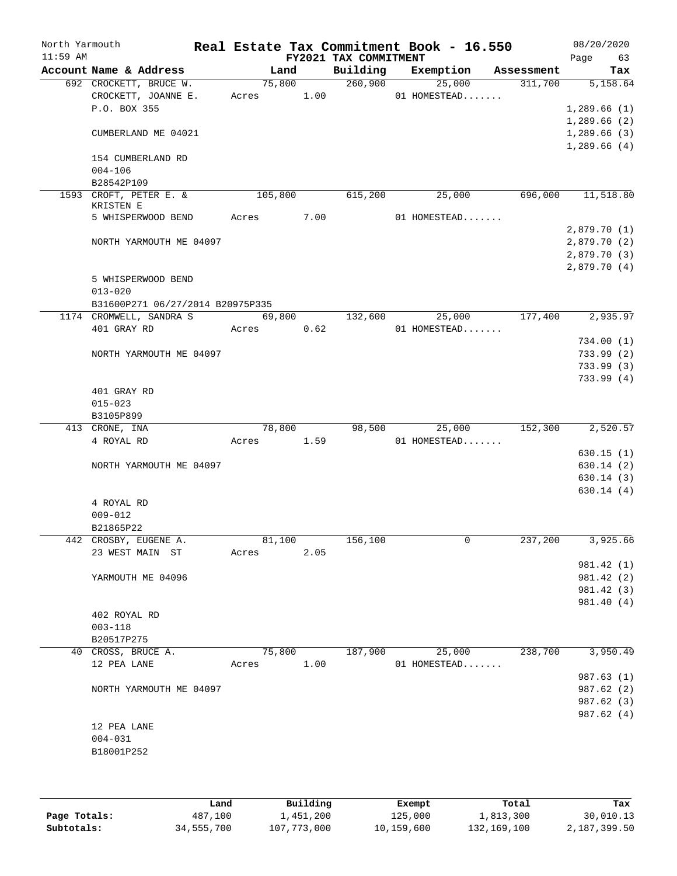| North Yarmouth<br>$11:59$ AM |                                        |         |                | FY2021 TAX COMMITMENT | Real Estate Tax Commitment Book - 16.550 |            | 08/20/2020<br>Page<br>63 |
|------------------------------|----------------------------------------|---------|----------------|-----------------------|------------------------------------------|------------|--------------------------|
|                              | Account Name & Address                 |         | Land           | Building              | Exemption                                | Assessment | Tax                      |
|                              | 692 CROCKETT, BRUCE W.                 |         | 75,800         | 260,900               | 25,000                                   | 311,700    | 5,158.64                 |
|                              | CROCKETT, JOANNE E.                    | Acres   | 1.00           |                       | 01 HOMESTEAD                             |            |                          |
|                              | P.O. BOX 355                           |         |                |                       |                                          |            | 1,289.66(1)              |
|                              |                                        |         |                |                       |                                          |            | 1,289.66(2)              |
|                              | CUMBERLAND ME 04021                    |         |                |                       |                                          |            | 1,289.66(3)              |
|                              |                                        |         |                |                       |                                          |            | 1,289.66(4)              |
|                              | 154 CUMBERLAND RD<br>$004 - 106$       |         |                |                       |                                          |            |                          |
|                              | B28542P109                             |         |                |                       |                                          |            |                          |
|                              | 1593 CROFT, PETER E. &                 | 105,800 |                | 615,200               | 25,000                                   | 696,000    | 11,518.80                |
|                              | KRISTEN E                              |         |                |                       |                                          |            |                          |
|                              | 5 WHISPERWOOD BEND                     | Acres   | 7.00           |                       | 01 HOMESTEAD                             |            |                          |
|                              |                                        |         |                |                       |                                          |            | 2,879.70(1)              |
|                              | NORTH YARMOUTH ME 04097                |         |                |                       |                                          |            | 2,879.70(2)              |
|                              |                                        |         |                |                       |                                          |            | 2,879.70(3)              |
|                              |                                        |         |                |                       |                                          |            | 2,879.70(4)              |
|                              | 5 WHISPERWOOD BEND                     |         |                |                       |                                          |            |                          |
|                              | $013 - 020$                            |         |                |                       |                                          |            |                          |
|                              | B31600P271 06/27/2014 B20975P335       |         |                |                       |                                          |            | 2,935.97                 |
|                              | 1174 CROMWELL, SANDRA S<br>401 GRAY RD |         | 69,800<br>0.62 | 132,600               | 25,000<br>01 HOMESTEAD                   | 177,400    |                          |
|                              |                                        | Acres   |                |                       |                                          |            | 734.00(1)                |
|                              | NORTH YARMOUTH ME 04097                |         |                |                       |                                          |            | 733.99(2)                |
|                              |                                        |         |                |                       |                                          |            | 733.99(3)                |
|                              |                                        |         |                |                       |                                          |            | 733.99(4)                |
|                              | 401 GRAY RD                            |         |                |                       |                                          |            |                          |
|                              | $015 - 023$                            |         |                |                       |                                          |            |                          |
|                              | B3105P899                              |         |                |                       |                                          |            |                          |
|                              | 413 CRONE, INA                         |         | 78,800         | 98,500                | 25,000                                   | 152,300    | 2,520.57                 |
|                              | 4 ROYAL RD                             | Acres   | 1.59           |                       | 01 HOMESTEAD                             |            |                          |
|                              |                                        |         |                |                       |                                          |            | 630.15(1)                |
|                              | NORTH YARMOUTH ME 04097                |         |                |                       |                                          |            | 630.14 (2)               |
|                              |                                        |         |                |                       |                                          |            | 630.14(3)                |
|                              |                                        |         |                |                       |                                          |            | 630.14(4)                |
|                              | 4 ROYAL RD                             |         |                |                       |                                          |            |                          |
|                              | $009 - 012$<br>B21865P22               |         |                |                       |                                          |            |                          |
|                              | 442 CROSBY, EUGENE A.                  | 81,100  |                | 156, 100              | 0                                        | 237,200    | 3,925.66                 |
|                              | 23 WEST MAIN ST                        | Acres   | 2.05           |                       |                                          |            |                          |
|                              |                                        |         |                |                       |                                          |            | 981.42 (1)               |
|                              | YARMOUTH ME 04096                      |         |                |                       |                                          |            | 981.42 (2)               |
|                              |                                        |         |                |                       |                                          |            | 981.42 (3)               |
|                              |                                        |         |                |                       |                                          |            | 981.40 (4)               |
|                              | 402 ROYAL RD                           |         |                |                       |                                          |            |                          |
|                              | $003 - 118$                            |         |                |                       |                                          |            |                          |
|                              | B20517P275                             |         |                |                       |                                          |            |                          |
|                              | 40 CROSS, BRUCE A.                     |         | 75,800         | 187,900               | 25,000                                   | 238,700    | 3,950.49                 |
|                              | 12 PEA LANE                            | Acres   | 1.00           |                       | 01 HOMESTEAD                             |            |                          |
|                              |                                        |         |                |                       |                                          |            | 987.63 (1)               |
|                              | NORTH YARMOUTH ME 04097                |         |                |                       |                                          |            | 987.62 (2)               |
|                              |                                        |         |                |                       |                                          |            | 987.62 (3)<br>987.62 (4) |
|                              | 12 PEA LANE                            |         |                |                       |                                          |            |                          |
|                              | $004 - 031$                            |         |                |                       |                                          |            |                          |
|                              | B18001P252                             |         |                |                       |                                          |            |                          |
|                              |                                        |         |                |                       |                                          |            |                          |
|                              |                                        |         |                |                       |                                          |            |                          |

|              | Land       | Building    | Exempt     | Total       | Tax          |
|--------------|------------|-------------|------------|-------------|--------------|
| Page Totals: | 487,100    | 1,451,200   | 125,000    | 1,813,300   | 30,010.13    |
| Subtotals:   | 34,555,700 | 107,773,000 | 10,159,600 | 132,169,100 | 2,187,399.50 |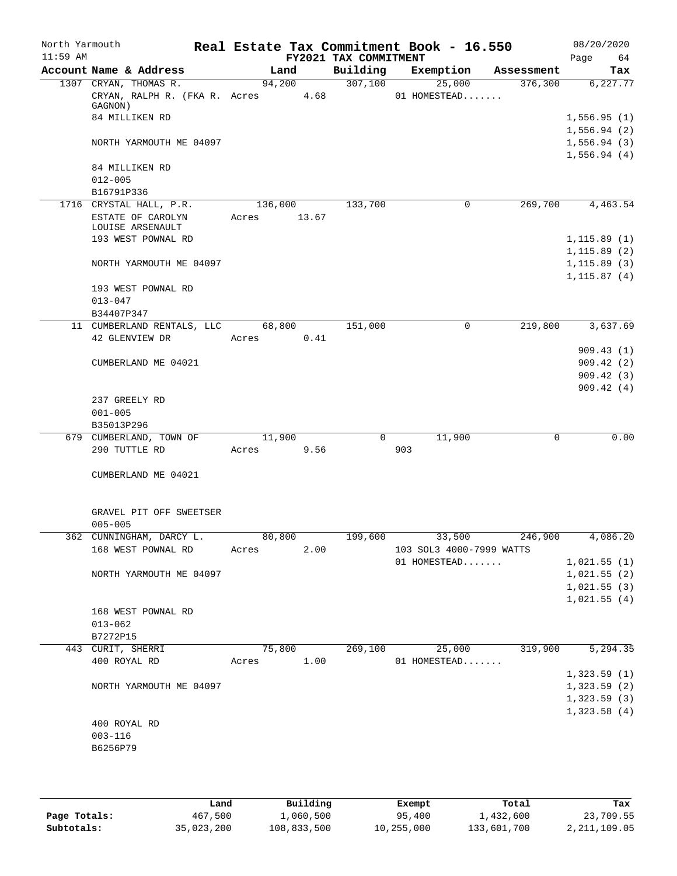| North Yarmouth<br>$11:59$ AM |                                                 |             |      | FY2021 TAX COMMITMENT | Real Estate Tax Commitment Book - 16.550 |            | 08/20/2020<br>Page<br>64   |
|------------------------------|-------------------------------------------------|-------------|------|-----------------------|------------------------------------------|------------|----------------------------|
|                              | Account Name & Address                          | Land        |      | Building              | Exemption                                | Assessment | Tax                        |
|                              | 1307 CRYAN, THOMAS R.                           | 94,200      |      | 307,100               | 25,000                                   | 376, 300   | 6, 227.77                  |
|                              | CRYAN, RALPH R. (FKA R. Acres 4.68              |             |      |                       | 01 HOMESTEAD                             |            |                            |
|                              | GAGNON)<br>84 MILLIKEN RD                       |             |      |                       |                                          |            |                            |
|                              |                                                 |             |      |                       |                                          |            | 1,556.95(1)<br>1,556.94(2) |
|                              | NORTH YARMOUTH ME 04097                         |             |      |                       |                                          |            | 1,556.94(3)                |
|                              |                                                 |             |      |                       |                                          |            | 1,556.94(4)                |
|                              | 84 MILLIKEN RD                                  |             |      |                       |                                          |            |                            |
|                              | $012 - 005$                                     |             |      |                       |                                          |            |                            |
|                              | B16791P336                                      |             |      |                       |                                          |            |                            |
|                              | 1716 CRYSTAL HALL, P.R.                         | 136,000     |      | 133,700               | 0                                        | 269,700    | 4,463.54                   |
|                              | ESTATE OF CAROLYN                               | Acres 13.67 |      |                       |                                          |            |                            |
|                              | LOUISE ARSENAULT                                |             |      |                       |                                          |            |                            |
|                              | 193 WEST POWNAL RD                              |             |      |                       |                                          |            | 1, 115.89(1)               |
|                              |                                                 |             |      |                       |                                          |            | 1, 115.89(2)               |
|                              | NORTH YARMOUTH ME 04097                         |             |      |                       |                                          |            | 1, 115.89(3)               |
|                              |                                                 |             |      |                       |                                          |            | 1, 115.87(4)               |
|                              | 193 WEST POWNAL RD                              |             |      |                       |                                          |            |                            |
|                              | $013 - 047$                                     |             |      |                       |                                          |            |                            |
|                              | B34407P347<br>11 CUMBERLAND RENTALS, LLC 68,800 |             |      | 151,000               | $\mathbf 0$                              | 219,800    | 3,637.69                   |
|                              | 42 GLENVIEW DR                                  | Acres 0.41  |      |                       |                                          |            |                            |
|                              |                                                 |             |      |                       |                                          |            | 909.43(1)                  |
|                              | CUMBERLAND ME 04021                             |             |      |                       |                                          |            | 909.42(2)                  |
|                              |                                                 |             |      |                       |                                          |            | 909.42(3)                  |
|                              |                                                 |             |      |                       |                                          |            | 909.42(4)                  |
|                              | 237 GREELY RD                                   |             |      |                       |                                          |            |                            |
|                              | $001 - 005$                                     |             |      |                       |                                          |            |                            |
|                              | B35013P296                                      |             |      |                       |                                          |            |                            |
|                              | 679 CUMBERLAND, TOWN OF                         | 11,900      |      |                       | $0 \qquad \qquad$<br>11,900              | 0          | 0.00                       |
|                              | 290 TUTTLE RD                                   | Acres 9.56  |      |                       | 903                                      |            |                            |
|                              |                                                 |             |      |                       |                                          |            |                            |
|                              | CUMBERLAND ME 04021                             |             |      |                       |                                          |            |                            |
|                              |                                                 |             |      |                       |                                          |            |                            |
|                              | GRAVEL PIT OFF SWEETSER                         |             |      |                       |                                          |            |                            |
|                              | $005 - 005$<br>362 CUNNINGHAM, DARCY L.         | 80,800      |      |                       | 199,600 33,500 246,900                   |            | 4,086.20                   |
|                              | 168 WEST POWNAL RD                              | Acres       | 2.00 |                       | 103 SOL3 4000-7999 WATTS                 |            |                            |
|                              |                                                 |             |      |                       | 01 HOMESTEAD                             |            | 1,021.55(1)                |
|                              | NORTH YARMOUTH ME 04097                         |             |      |                       |                                          |            | 1,021.55(2)                |
|                              |                                                 |             |      |                       |                                          |            | 1,021.55(3)                |
|                              |                                                 |             |      |                       |                                          |            | 1,021.55(4)                |
|                              | 168 WEST POWNAL RD                              |             |      |                       |                                          |            |                            |
|                              | $013 - 062$                                     |             |      |                       |                                          |            |                            |
|                              | B7272P15                                        |             |      |                       |                                          |            |                            |
|                              | 443 CURIT, SHERRI                               |             |      |                       | 75,800 269,100 25,000                    | 319,900    | 5, 294.35                  |
|                              | 400 ROYAL RD                                    | Acres 1.00  |      |                       | 01 HOMESTEAD                             |            |                            |
|                              |                                                 |             |      |                       |                                          |            | 1,323.59(1)                |
|                              | NORTH YARMOUTH ME 04097                         |             |      |                       |                                          |            | 1,323.59(2)                |
|                              |                                                 |             |      |                       |                                          |            | 1,323.59(3)                |
|                              |                                                 |             |      |                       |                                          |            | 1,323.58(4)                |
|                              | 400 ROYAL RD                                    |             |      |                       |                                          |            |                            |
|                              | $003 - 116$                                     |             |      |                       |                                          |            |                            |
|                              | B6256P79                                        |             |      |                       |                                          |            |                            |
|                              |                                                 |             |      |                       |                                          |            |                            |

|              | Land       | Building    | Exempt     | Total       | Tax          |
|--------------|------------|-------------|------------|-------------|--------------|
| Page Totals: | 467,500    | 1,060,500   | 95,400     | 1,432,600   | 23,709.55    |
| Subtotals:   | 35,023,200 | 108,833,500 | 10,255,000 | 133,601,700 | 2,211,109.05 |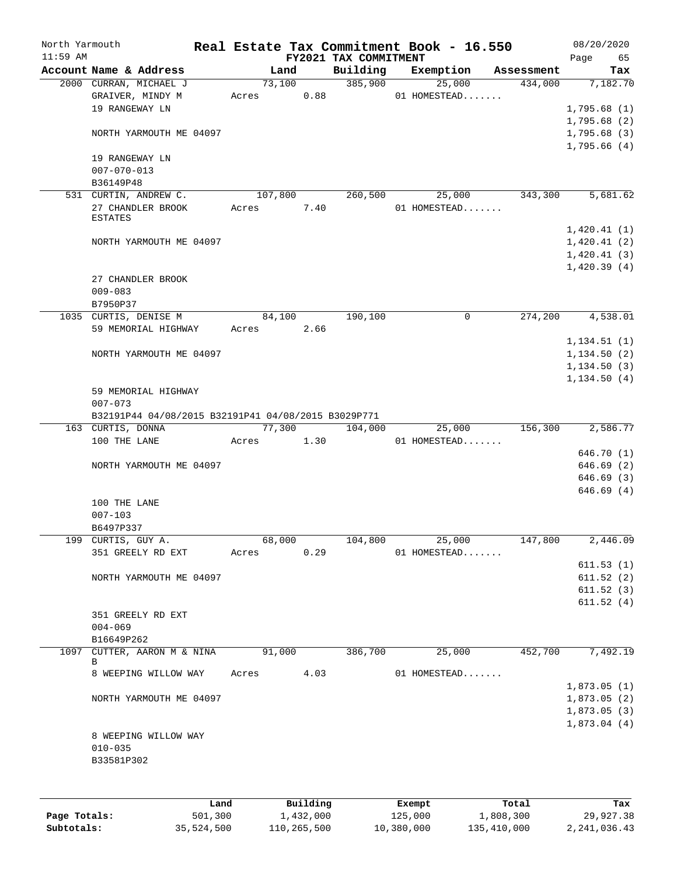| North Yarmouth<br>$11:59$ AM |                                                              |      |       |                 |            | Real Estate Tax Commitment Book - 16.550<br>FY2021 TAX COMMITMENT |        |                        |            | 08/20/2020<br>65<br>Page                                 |
|------------------------------|--------------------------------------------------------------|------|-------|-----------------|------------|-------------------------------------------------------------------|--------|------------------------|------------|----------------------------------------------------------|
|                              | Account Name & Address                                       |      |       | Land            |            | Building                                                          |        | Exemption              | Assessment | Tax                                                      |
|                              | 2000 CURRAN, MICHAEL J<br>GRAIVER, MINDY M<br>19 RANGEWAY LN |      |       | 73,100<br>Acres | 0.88       | 385,900                                                           |        | 25,000<br>01 HOMESTEAD | 434,000    | 7,182.70<br>1,795.68(1)                                  |
|                              | NORTH YARMOUTH ME 04097                                      |      |       |                 |            |                                                                   |        |                        |            | 1,795.68(2)<br>1,795.68(3)<br>1,795.66(4)                |
|                              | 19 RANGEWAY LN<br>$007 - 070 - 013$<br>B36149P48             |      |       |                 |            |                                                                   |        |                        |            |                                                          |
|                              | 531 CURTIN, ANDREW C.                                        |      |       | 107,800         |            | 260,500                                                           |        | 25,000                 | 343,300    | 5,681.62                                                 |
|                              | 27 CHANDLER BROOK<br><b>ESTATES</b>                          |      | Acres |                 | 7.40       |                                                                   |        | 01 HOMESTEAD           |            |                                                          |
|                              | NORTH YARMOUTH ME 04097                                      |      |       |                 |            |                                                                   |        |                        |            | 1,420.41(1)<br>1,420.41(2)<br>1,420.41(3)<br>1,420.39(4) |
|                              | 27 CHANDLER BROOK                                            |      |       |                 |            |                                                                   |        |                        |            |                                                          |
|                              | $009 - 083$                                                  |      |       |                 |            |                                                                   |        |                        |            |                                                          |
|                              | B7950P37                                                     |      |       |                 |            |                                                                   |        |                        |            |                                                          |
|                              | 1035 CURTIS, DENISE M                                        |      |       | 84,100          |            | 190,100                                                           |        | $\mathbf 0$            | 274,200    | 4,538.01                                                 |
|                              | 59 MEMORIAL HIGHWAY                                          |      |       | Acres           | 2.66       |                                                                   |        |                        |            |                                                          |
|                              |                                                              |      |       |                 |            |                                                                   |        |                        |            | 1, 134.51(1)                                             |
|                              | NORTH YARMOUTH ME 04097                                      |      |       |                 |            |                                                                   |        |                        |            | 1,134.50(2)                                              |
|                              |                                                              |      |       |                 |            |                                                                   |        |                        |            | 1, 134.50(3)                                             |
|                              | 59 MEMORIAL HIGHWAY                                          |      |       |                 |            |                                                                   |        |                        |            | 1, 134.50(4)                                             |
|                              | $007 - 073$                                                  |      |       |                 |            |                                                                   |        |                        |            |                                                          |
|                              | B32191P44 04/08/2015 B32191P41 04/08/2015 B3029P771          |      |       |                 |            |                                                                   |        |                        |            |                                                          |
|                              | 163 CURTIS, DONNA                                            |      |       | 77,300          |            | 104,000                                                           |        | 25,000                 | 156,300    | 2,586.77                                                 |
|                              | 100 THE LANE                                                 |      |       |                 | Acres 1.30 |                                                                   |        | 01 HOMESTEAD           |            |                                                          |
|                              |                                                              |      |       |                 |            |                                                                   |        |                        |            | 646.70 (1)                                               |
|                              | NORTH YARMOUTH ME 04097                                      |      |       |                 |            |                                                                   |        |                        |            | 646.69(2)                                                |
|                              |                                                              |      |       |                 |            |                                                                   |        |                        |            | 646.69(3)                                                |
|                              | 100 THE LANE<br>$007 - 103$                                  |      |       |                 |            |                                                                   |        |                        |            | 646.69(4)                                                |
|                              | B6497P337                                                    |      |       |                 |            |                                                                   |        |                        |            |                                                          |
|                              | 199 CURTIS, GUY A.                                           |      |       | 68,000          |            | 104,800                                                           |        | 25,000                 | 147,800    | 2,446.09                                                 |
|                              | 351 GREELY RD EXT                                            |      | Acres |                 | 0.29       |                                                                   |        | 01 HOMESTEAD           |            |                                                          |
|                              |                                                              |      |       |                 |            |                                                                   |        |                        |            | 611.53(1)                                                |
|                              | NORTH YARMOUTH ME 04097                                      |      |       |                 |            |                                                                   |        |                        |            | 611.52(2)<br>611.52(3)                                   |
|                              |                                                              |      |       |                 |            |                                                                   |        |                        |            | 611.52(4)                                                |
|                              | 351 GREELY RD EXT                                            |      |       |                 |            |                                                                   |        |                        |            |                                                          |
|                              | $004 - 069$                                                  |      |       |                 |            |                                                                   |        |                        |            |                                                          |
|                              | B16649P262                                                   |      |       |                 |            |                                                                   |        |                        |            |                                                          |
| 1097                         | CUTTER, AARON M & NINA<br>B                                  |      |       | 91,000          |            | 386,700                                                           |        | 25,000                 | 452,700    | 7,492.19                                                 |
|                              | 8 WEEPING WILLOW WAY                                         |      | Acres |                 | 4.03       |                                                                   |        | 01 HOMESTEAD           |            | 1,873.05(1)                                              |
|                              | NORTH YARMOUTH ME 04097                                      |      |       |                 |            |                                                                   |        |                        |            | 1,873.05(2)                                              |
|                              |                                                              |      |       |                 |            |                                                                   |        |                        |            | 1,873.05(3)                                              |
|                              | 8 WEEPING WILLOW WAY<br>$010 - 035$<br>B33581P302            |      |       |                 |            |                                                                   |        |                        |            | 1,873.04(4)                                              |
|                              |                                                              | Land |       |                 | Building   |                                                                   | Exempt |                        | Total      | Tax                                                      |

**Page Totals:** 501,300 1,432,000 125,000 1,808,300 29,927.38 **Subtotals:** 35,524,500 110,265,500 10,380,000 135,410,000 2,241,036.43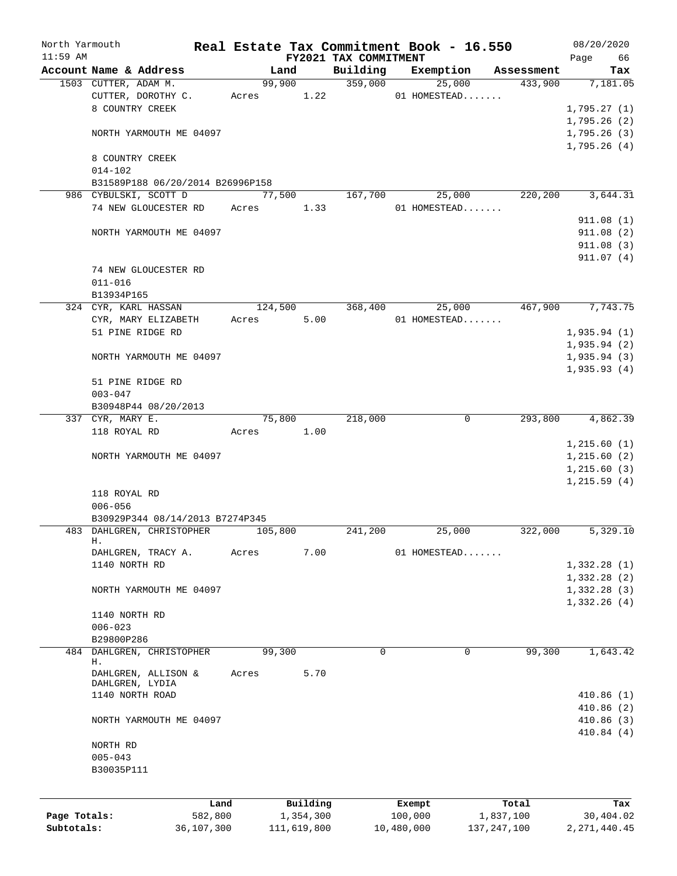| North Yarmouth |                                  |            | Real Estate Tax Commitment Book - 16.550 |             |                                   |            |                |               | 08/20/2020       |
|----------------|----------------------------------|------------|------------------------------------------|-------------|-----------------------------------|------------|----------------|---------------|------------------|
| $11:59$ AM     | Account Name & Address           |            | Land                                     |             | FY2021 TAX COMMITMENT<br>Building |            | Exemption      | Assessment    | Page<br>66       |
|                | 1503 CUTTER, ADAM M.             |            |                                          |             | 99,900 359,000                    |            | 25,000         | 433,900       | Tax<br>7,181.05  |
|                | CUTTER, DOROTHY C.               |            | Acres 1.22                               |             |                                   |            | 01 HOMESTEAD   |               |                  |
|                | 8 COUNTRY CREEK                  |            |                                          |             |                                   |            |                |               | 1,795.27(1)      |
|                |                                  |            |                                          |             |                                   |            |                |               | 1,795.26(2)      |
|                | NORTH YARMOUTH ME 04097          |            |                                          |             |                                   |            |                |               | 1,795.26(3)      |
|                |                                  |            |                                          |             |                                   |            |                |               | 1,795.26(4)      |
|                | 8 COUNTRY CREEK                  |            |                                          |             |                                   |            |                |               |                  |
|                | $014 - 102$                      |            |                                          |             |                                   |            |                |               |                  |
|                | B31589P188 06/20/2014 B26996P158 |            |                                          |             |                                   |            |                |               |                  |
|                | 986 CYBULSKI, SCOTT D            |            |                                          | 77,500      | 167,700                           |            | 25,000         | 220,200       | 3,644.31         |
|                | 74 NEW GLOUCESTER RD Acres 1.33  |            |                                          |             |                                   |            | $01$ HOMESTEAD |               |                  |
|                |                                  |            |                                          |             |                                   |            |                |               | 911.08(1)        |
|                | NORTH YARMOUTH ME 04097          |            |                                          |             |                                   |            |                |               | 911.08(2)        |
|                |                                  |            |                                          |             |                                   |            |                |               | 911.08(3)        |
|                | 74 NEW GLOUCESTER RD             |            |                                          |             |                                   |            |                |               | 911.07(4)        |
|                | $011 - 016$                      |            |                                          |             |                                   |            |                |               |                  |
|                | B13934P165                       |            |                                          |             |                                   |            |                |               |                  |
|                | 324 CYR, KARL HASSAN             |            |                                          |             | 124,500 368,400                   |            | 25,000         |               | 467,900 7,743.75 |
|                | CYR, MARY ELIZABETH              |            | Acres 5.00                               |             |                                   |            | 01 HOMESTEAD   |               |                  |
|                | 51 PINE RIDGE RD                 |            |                                          |             |                                   |            |                |               | 1,935.94(1)      |
|                |                                  |            |                                          |             |                                   |            |                |               | 1,935.94(2)      |
|                | NORTH YARMOUTH ME 04097          |            |                                          |             |                                   |            |                |               | 1,935.94(3)      |
|                |                                  |            |                                          |             |                                   |            |                |               | 1,935.93(4)      |
|                | 51 PINE RIDGE RD                 |            |                                          |             |                                   |            |                |               |                  |
|                | $003 - 047$                      |            |                                          |             |                                   |            |                |               |                  |
|                | B30948P44 08/20/2013             |            |                                          |             |                                   |            |                |               |                  |
|                | 337 CYR, MARY E.                 |            |                                          | 75,800      | 218,000                           |            | $\mathbf{0}$   |               | 293,800 4,862.39 |
|                | 118 ROYAL RD                     |            | Acres 1.00                               |             |                                   |            |                |               |                  |
|                |                                  |            |                                          |             |                                   |            |                |               | 1, 215.60(1)     |
|                | NORTH YARMOUTH ME 04097          |            |                                          |             |                                   |            |                |               | 1, 215.60(2)     |
|                |                                  |            |                                          |             |                                   |            |                |               | 1,215.60(3)      |
|                |                                  |            |                                          |             |                                   |            |                |               | 1,215.59(4)      |
|                | 118 ROYAL RD                     |            |                                          |             |                                   |            |                |               |                  |
|                | $006 - 056$                      |            |                                          |             |                                   |            |                |               |                  |
|                | B30929P344 08/14/2013 B7274P345  |            |                                          |             |                                   |            |                |               |                  |
|                | 483 DAHLGREN, CHRISTOPHER        |            | 105,800                                  |             | 241,200                           |            | 25,000         | 322,000       | 5,329.10         |
|                | Н.                               |            |                                          |             |                                   |            |                |               |                  |
|                | DAHLGREN, TRACY A.               |            | Acres                                    | 7.00        |                                   |            | 01 HOMESTEAD   |               |                  |
|                | 1140 NORTH RD                    |            |                                          |             |                                   |            |                |               | 1,332.28(1)      |
|                |                                  |            |                                          |             |                                   |            |                |               | 1,332.28(2)      |
|                | NORTH YARMOUTH ME 04097          |            |                                          |             |                                   |            |                |               | 1,332.28(3)      |
|                |                                  |            |                                          |             |                                   |            |                |               | 1,332.26(4)      |
|                | 1140 NORTH RD                    |            |                                          |             |                                   |            |                |               |                  |
|                | $006 - 023$                      |            |                                          |             |                                   |            |                |               |                  |
|                | B29800P286                       |            |                                          |             |                                   |            |                |               |                  |
| 484            | DAHLGREN, CHRISTOPHER<br>Н.      |            | 99,300                                   |             | $\Omega$                          |            | 0              | 99,300        | 1,643.42         |
|                | DAHLGREN, ALLISON &              |            | Acres                                    | 5.70        |                                   |            |                |               |                  |
|                | DAHLGREN, LYDIA                  |            |                                          |             |                                   |            |                |               |                  |
|                | 1140 NORTH ROAD                  |            |                                          |             |                                   |            |                |               | 410.86(1)        |
|                |                                  |            |                                          |             |                                   |            |                |               | 410.86(2)        |
|                | NORTH YARMOUTH ME 04097          |            |                                          |             |                                   |            |                |               | 410.86(3)        |
|                |                                  |            |                                          |             |                                   |            |                |               | 410.84(4)        |
|                | NORTH RD                         |            |                                          |             |                                   |            |                |               |                  |
|                | $005 - 043$                      |            |                                          |             |                                   |            |                |               |                  |
|                | B30035P111                       |            |                                          |             |                                   |            |                |               |                  |
|                |                                  |            |                                          |             |                                   |            |                |               |                  |
|                |                                  | Land       |                                          | Building    |                                   | Exempt     |                | Total         | Tax              |
| Page Totals:   |                                  | 582,800    |                                          | 1,354,300   |                                   | 100,000    |                | 1,837,100     | 30,404.02        |
| Subtotals:     |                                  | 36,107,300 |                                          | 111,619,800 |                                   | 10,480,000 |                | 137, 247, 100 | 2, 271, 440.45   |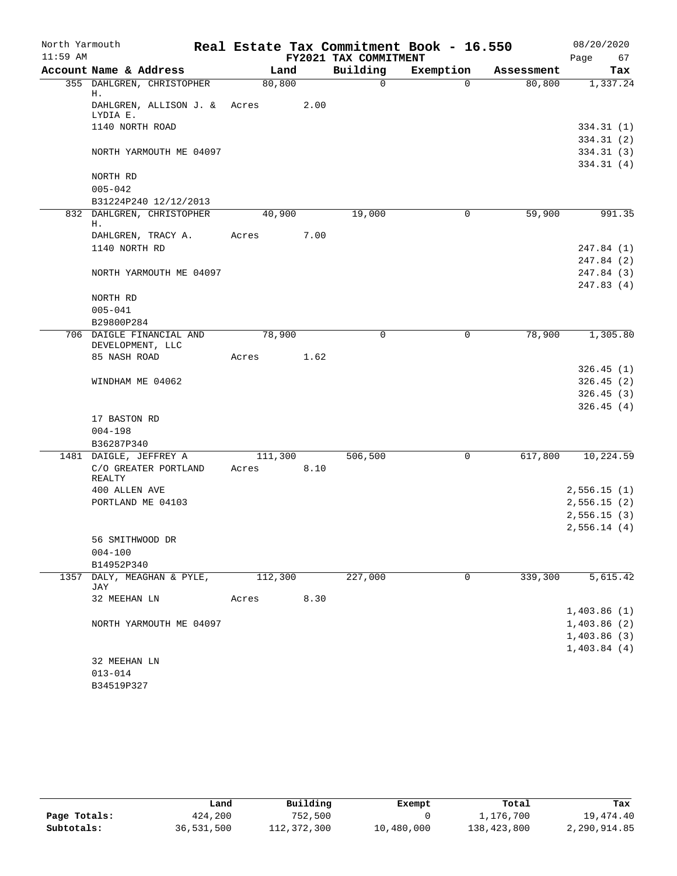| North Yarmouth |                                        |         |      |                       | Real Estate Tax Commitment Book - 16.550 |            | 08/20/2020  |
|----------------|----------------------------------------|---------|------|-----------------------|------------------------------------------|------------|-------------|
| $11:59$ AM     |                                        |         |      | FY2021 TAX COMMITMENT |                                          |            | Page<br>67  |
|                | Account Name & Address                 | Land    |      | Building              | Exemption                                | Assessment | Tax         |
|                | 355 DAHLGREN, CHRISTOPHER<br>н.        | 80, 800 |      | $\mathbf 0$           | $\Omega$                                 | 80,800     | 1,337.24    |
|                | DAHLGREN, ALLISON J. & Acres           |         | 2.00 |                       |                                          |            |             |
|                | LYDIA E.                               |         |      |                       |                                          |            |             |
|                | 1140 NORTH ROAD                        |         |      |                       |                                          |            | 334.31(1)   |
|                |                                        |         |      |                       |                                          |            | 334.31(2)   |
|                | NORTH YARMOUTH ME 04097                |         |      |                       |                                          |            | 334.31(3)   |
|                | NORTH RD                               |         |      |                       |                                          |            | 334.31(4)   |
|                | $005 - 042$                            |         |      |                       |                                          |            |             |
|                | B31224P240 12/12/2013                  |         |      |                       |                                          |            |             |
|                | 832 DAHLGREN, CHRISTOPHER              | 40,900  |      | 19,000                | 0                                        | 59,900     | 991.35      |
|                | н.                                     |         |      |                       |                                          |            |             |
|                | DAHLGREN, TRACY A.                     | Acres   | 7.00 |                       |                                          |            |             |
|                | 1140 NORTH RD                          |         |      |                       |                                          |            | 247.84 (1)  |
|                |                                        |         |      |                       |                                          |            | 247.84 (2)  |
|                | NORTH YARMOUTH ME 04097                |         |      |                       |                                          |            | 247.84 (3)  |
|                |                                        |         |      |                       |                                          |            | 247.83(4)   |
|                | NORTH RD                               |         |      |                       |                                          |            |             |
|                | $005 - 041$                            |         |      |                       |                                          |            |             |
|                | B29800P284<br>706 DAIGLE FINANCIAL AND | 78,900  |      | $\mathbf 0$           | $\mathbf 0$                              | 78,900     | 1,305.80    |
|                | DEVELOPMENT, LLC                       |         |      |                       |                                          |            |             |
|                | 85 NASH ROAD                           | Acres   | 1.62 |                       |                                          |            |             |
|                |                                        |         |      |                       |                                          |            | 326.45(1)   |
|                | WINDHAM ME 04062                       |         |      |                       |                                          |            | 326.45(2)   |
|                |                                        |         |      |                       |                                          |            | 326.45(3)   |
|                |                                        |         |      |                       |                                          |            | 326.45(4)   |
|                | 17 BASTON RD                           |         |      |                       |                                          |            |             |
|                | $004 - 198$                            |         |      |                       |                                          |            |             |
|                | B36287P340                             |         |      |                       |                                          |            |             |
|                | 1481 DAIGLE, JEFFREY A                 | 111,300 |      | 506,500               | 0                                        | 617,800    | 10,224.59   |
|                | C/O GREATER PORTLAND<br>REALTY         | Acres   | 8.10 |                       |                                          |            |             |
|                | 400 ALLEN AVE                          |         |      |                       |                                          |            | 2,556.15(1) |
|                | PORTLAND ME 04103                      |         |      |                       |                                          |            | 2,556.15(2) |
|                |                                        |         |      |                       |                                          |            | 2,556.15(3) |
|                |                                        |         |      |                       |                                          |            | 2,556.14(4) |
|                | 56 SMITHWOOD DR                        |         |      |                       |                                          |            |             |
|                | $004 - 100$                            |         |      |                       |                                          |            |             |
|                | B14952P340                             |         |      |                       |                                          |            |             |
|                | 1357 DALY, MEAGHAN & PYLE,<br>JAY      | 112,300 |      | 227,000               | 0                                        | 339,300    | 5,615.42    |
|                | 32 MEEHAN LN                           | Acres   | 8.30 |                       |                                          |            |             |
|                |                                        |         |      |                       |                                          |            | 1,403.86(1) |
|                | NORTH YARMOUTH ME 04097                |         |      |                       |                                          |            | 1,403.86(2) |
|                |                                        |         |      |                       |                                          |            | 1,403.86(3) |
|                |                                        |         |      |                       |                                          |            | 1,403.84(4) |
|                | 32 MEEHAN LN                           |         |      |                       |                                          |            |             |
|                | $013 - 014$                            |         |      |                       |                                          |            |             |
|                | B34519P327                             |         |      |                       |                                          |            |             |

|              | Land       | Building    | Exempt     | Total       | Tax          |
|--------------|------------|-------------|------------|-------------|--------------|
| Page Totals: | 424,200    | 752,500     |            | 1,176,700   | 19,474.40    |
| Subtotals:   | 36,531,500 | 112,372,300 | 10,480,000 | 138,423,800 | 2,290,914.85 |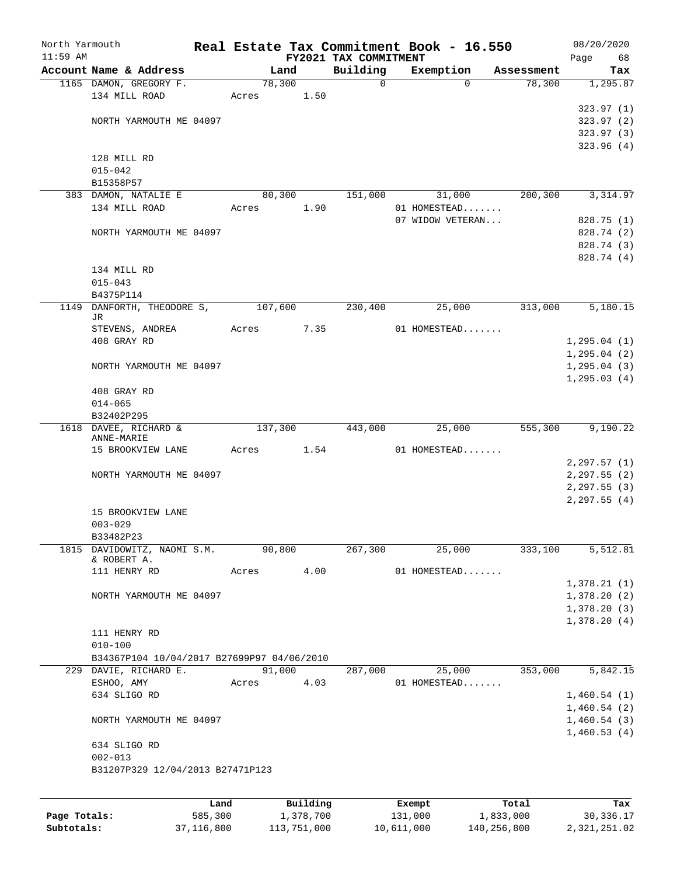| North Yarmouth |                                            |         |         |           |                       | Real Estate Tax Commitment Book - 16.550 |            | 08/20/2020    |
|----------------|--------------------------------------------|---------|---------|-----------|-----------------------|------------------------------------------|------------|---------------|
| $11:59$ AM     |                                            |         |         |           | FY2021 TAX COMMITMENT |                                          |            | Page<br>68    |
|                | Account Name & Address                     |         |         | Land      | Building              | Exemption                                | Assessment | Tax           |
|                | 1165 DAMON, GREGORY F.                     |         |         | 78,300    | $\mathbf 0$           | $\Omega$                                 | 78,300     | 1,295.87      |
|                | 134 MILL ROAD                              |         | Acres   | 1.50      |                       |                                          |            |               |
|                |                                            |         |         |           |                       |                                          |            | 323.97(1)     |
|                | NORTH YARMOUTH ME 04097                    |         |         |           |                       |                                          |            | 323.97(2)     |
|                |                                            |         |         |           |                       |                                          |            | 323.97 (3)    |
|                |                                            |         |         |           |                       |                                          |            | 323.96(4)     |
|                | 128 MILL RD                                |         |         |           |                       |                                          |            |               |
|                | $015 - 042$                                |         |         |           |                       |                                          |            |               |
|                | B15358P57                                  |         |         |           |                       |                                          |            |               |
|                | 383 DAMON, NATALIE E                       |         |         | 80,300    | 151,000               | 31,000                                   | 200,300    | 3,314.97      |
|                | 134 MILL ROAD                              |         | Acres   | 1.90      |                       | 01 HOMESTEAD                             |            |               |
|                |                                            |         |         |           |                       | 07 WIDOW VETERAN                         |            | 828.75 (1)    |
|                | NORTH YARMOUTH ME 04097                    |         |         |           |                       |                                          |            | 828.74 (2)    |
|                |                                            |         |         |           |                       |                                          |            | 828.74 (3)    |
|                |                                            |         |         |           |                       |                                          |            | 828.74 (4)    |
|                | 134 MILL RD                                |         |         |           |                       |                                          |            |               |
|                | $015 - 043$                                |         |         |           |                       |                                          |            |               |
|                | B4375P114                                  |         |         |           |                       |                                          |            |               |
| 1149           | DANFORTH, THEODORE S,                      |         | 107,600 |           | 230,400               | 25,000                                   | 313,000    | 5,180.15      |
|                | JR.                                        |         |         |           |                       |                                          |            |               |
|                | STEVENS, ANDREA                            |         | Acres   | 7.35      |                       | 01 HOMESTEAD                             |            |               |
|                | 408 GRAY RD                                |         |         |           |                       |                                          |            | 1, 295.04(1)  |
|                |                                            |         |         |           |                       |                                          |            | 1, 295.04(2)  |
|                | NORTH YARMOUTH ME 04097                    |         |         |           |                       |                                          |            | 1, 295.04(3)  |
|                |                                            |         |         |           |                       |                                          |            | 1, 295.03(4)  |
|                | 408 GRAY RD                                |         |         |           |                       |                                          |            |               |
|                | $014 - 065$                                |         |         |           |                       |                                          |            |               |
|                | B32402P295                                 |         |         |           |                       |                                          |            |               |
|                | 1618 DAVEE, RICHARD &                      |         | 137,300 |           | 443,000               | 25,000                                   | 555,300    | 9,190.22      |
|                | ANNE-MARIE<br>15 BROOKVIEW LANE            |         | Acres   | 1.54      |                       | 01 HOMESTEAD                             |            |               |
|                |                                            |         |         |           |                       |                                          |            |               |
|                |                                            |         |         |           |                       |                                          |            | 2, 297.57(1)  |
|                | NORTH YARMOUTH ME 04097                    |         |         |           |                       |                                          |            | 2, 297.55 (2) |
|                |                                            |         |         |           |                       |                                          |            | 2, 297.55(3)  |
|                | 15 BROOKVIEW LANE                          |         |         |           |                       |                                          |            | 2, 297.55 (4) |
|                | $003 - 029$                                |         |         |           |                       |                                          |            |               |
|                |                                            |         |         |           |                       |                                          |            |               |
|                | B33482P23<br>DAVIDOWITZ, NAOMI S.M.        |         |         |           | 267,300               | 25,000                                   |            |               |
| 1815           | & ROBERT A.                                |         |         | 90,800    |                       |                                          | 333,100    | 5,512.81      |
|                | 111 HENRY RD                               |         | Acres   | 4.00      |                       | 01 HOMESTEAD                             |            |               |
|                |                                            |         |         |           |                       |                                          |            | 1,378.21(1)   |
|                | NORTH YARMOUTH ME 04097                    |         |         |           |                       |                                          |            | 1,378.20(2)   |
|                |                                            |         |         |           |                       |                                          |            | 1,378.20(3)   |
|                |                                            |         |         |           |                       |                                          |            | 1,378.20(4)   |
|                | 111 HENRY RD                               |         |         |           |                       |                                          |            |               |
|                | $010 - 100$                                |         |         |           |                       |                                          |            |               |
|                | B34367P104 10/04/2017 B27699P97 04/06/2010 |         |         |           |                       |                                          |            |               |
|                | 229 DAVIE, RICHARD E.                      |         |         | 91,000    | 287,000               | 25,000                                   | 353,000    | 5,842.15      |
|                | ESHOO, AMY                                 |         | Acres   | 4.03      |                       | 01 HOMESTEAD                             |            |               |
|                | 634 SLIGO RD                               |         |         |           |                       |                                          |            |               |
|                |                                            |         |         |           |                       |                                          |            | 1,460.54(1)   |
|                |                                            |         |         |           |                       |                                          |            | 1,460.54(2)   |
|                | NORTH YARMOUTH ME 04097                    |         |         |           |                       |                                          |            | 1,460.54(3)   |
|                |                                            |         |         |           |                       |                                          |            | 1,460.53(4)   |
|                | 634 SLIGO RD                               |         |         |           |                       |                                          |            |               |
|                | $002 - 013$                                |         |         |           |                       |                                          |            |               |
|                | B31207P329 12/04/2013 B27471P123           |         |         |           |                       |                                          |            |               |
|                |                                            |         |         |           |                       |                                          |            |               |
|                |                                            | Land    |         | Building  |                       | Exempt                                   | Total      | Tax           |
| Page Totals:   |                                            | 585,300 |         | 1,378,700 |                       | 131,000                                  | 1,833,000  | 30, 336.17    |

**Subtotals:** 37,116,800 113,751,000 10,611,000 140,256,800 2,321,251.02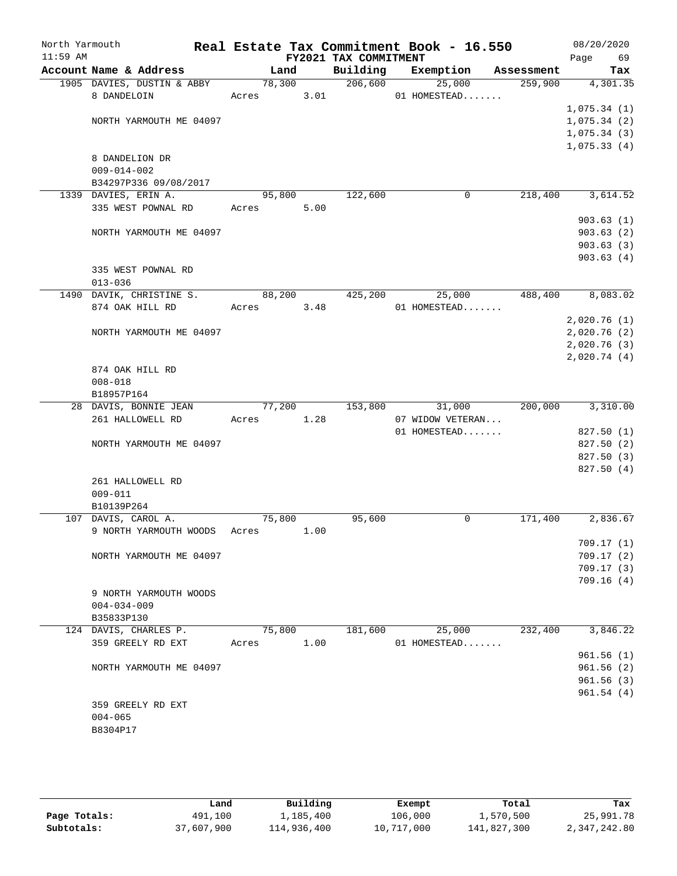| North Yarmouth<br>$11:59$ AM |                                     |        |        | FY2021 TAX COMMITMENT | Real Estate Tax Commitment Book - 16.550 |            | 08/20/2020<br>Page<br>69 |
|------------------------------|-------------------------------------|--------|--------|-----------------------|------------------------------------------|------------|--------------------------|
|                              | Account Name & Address              | Land   |        | Building              | Exemption                                | Assessment | Tax                      |
|                              | 1905 DAVIES, DUSTIN & ABBY          |        | 78,300 | 206,600               | 25,000                                   | 259,900    | 4,301.35                 |
|                              | 8 DANDELOIN                         | Acres  | 3.01   |                       | 01 HOMESTEAD                             |            |                          |
|                              |                                     |        |        |                       |                                          |            | 1,075.34(1)              |
|                              | NORTH YARMOUTH ME 04097             |        |        |                       |                                          |            | 1,075.34(2)              |
|                              |                                     |        |        |                       |                                          |            | 1,075.34(3)              |
|                              |                                     |        |        |                       |                                          |            | 1,075.33(4)              |
|                              | 8 DANDELION DR                      |        |        |                       |                                          |            |                          |
|                              | $009 - 014 - 002$                   |        |        |                       |                                          |            |                          |
|                              | B34297P336 09/08/2017               |        |        |                       |                                          |            |                          |
|                              | 1339 DAVIES, ERIN A.                | 95,800 |        | 122,600               | 0                                        | 218,400    | 3,614.52                 |
|                              | 335 WEST POWNAL RD                  | Acres  | 5.00   |                       |                                          |            |                          |
|                              |                                     |        |        |                       |                                          |            | 903.63(1)                |
|                              | NORTH YARMOUTH ME 04097             |        |        |                       |                                          |            | 903.63(2)                |
|                              |                                     |        |        |                       |                                          |            | 903.63(3)                |
|                              |                                     |        |        |                       |                                          |            | 903.63(4)                |
|                              | 335 WEST POWNAL RD                  |        |        |                       |                                          |            |                          |
|                              | $013 - 036$                         |        |        |                       |                                          |            |                          |
|                              | 1490 DAVIK, CHRISTINE S.            | 88,200 |        | 425,200               | 25,000                                   | 488,400    | 8,083.02                 |
|                              | 874 OAK HILL RD                     | Acres  | 3.48   |                       | 01 HOMESTEAD                             |            |                          |
|                              |                                     |        |        |                       |                                          |            | 2,020.76(1)              |
|                              | NORTH YARMOUTH ME 04097             |        |        |                       |                                          |            | 2,020.76(2)              |
|                              |                                     |        |        |                       |                                          |            | 2,020.76(3)              |
|                              |                                     |        |        |                       |                                          |            | 2,020.74(4)              |
|                              | 874 OAK HILL RD                     |        |        |                       |                                          |            |                          |
|                              | $008 - 018$                         |        |        |                       |                                          |            |                          |
|                              | B18957P164                          |        |        |                       |                                          |            |                          |
|                              | 28 DAVIS, BONNIE JEAN               | 77,200 |        | 153,800               | 31,000                                   | 200,000    | 3,310.00                 |
|                              | 261 HALLOWELL RD                    | Acres  | 1.28   |                       | 07 WIDOW VETERAN                         |            |                          |
|                              |                                     |        |        |                       | 01 HOMESTEAD                             |            | 827.50 (1)               |
|                              | NORTH YARMOUTH ME 04097             |        |        |                       |                                          |            | 827.50 (2)               |
|                              |                                     |        |        |                       |                                          |            | 827.50 (3)               |
|                              |                                     |        |        |                       |                                          |            | 827.50 (4)               |
|                              | 261 HALLOWELL RD                    |        |        |                       |                                          |            |                          |
|                              | $009 - 011$                         |        |        |                       |                                          |            |                          |
|                              | B10139P264                          |        |        |                       |                                          |            |                          |
|                              | 107 DAVIS, CAROL A.                 | 75,800 |        | 95,600                | 0                                        | 171,400    | 2,836.67                 |
|                              | 9 NORTH YARMOUTH WOODS              | Acres  | 1.00   |                       |                                          |            |                          |
|                              |                                     |        |        |                       |                                          |            | 709.17(1)                |
|                              | NORTH YARMOUTH ME 04097             |        |        |                       |                                          |            | 709.17(2)                |
|                              |                                     |        |        |                       |                                          |            | 709.17(3)                |
|                              |                                     |        |        |                       |                                          |            | 709.16(4)                |
|                              | 9 NORTH YARMOUTH WOODS              |        |        |                       |                                          |            |                          |
|                              | $004 - 034 - 009$                   |        |        |                       |                                          |            |                          |
|                              | B35833P130<br>124 DAVIS, CHARLES P. |        | 75,800 | 181,600               | 25,000                                   | 232,400    | 3,846.22                 |
|                              | 359 GREELY RD EXT                   |        | 1.00   |                       | 01 HOMESTEAD                             |            |                          |
|                              |                                     | Acres  |        |                       |                                          |            | 961.56(1)                |
|                              |                                     |        |        |                       |                                          |            | 961.56(2)                |
|                              | NORTH YARMOUTH ME 04097             |        |        |                       |                                          |            |                          |
|                              |                                     |        |        |                       |                                          |            | 961.56(3)<br>961.54(4)   |
|                              |                                     |        |        |                       |                                          |            |                          |
|                              | 359 GREELY RD EXT                   |        |        |                       |                                          |            |                          |
|                              | $004 - 065$                         |        |        |                       |                                          |            |                          |
|                              | B8304P17                            |        |        |                       |                                          |            |                          |
|                              |                                     |        |        |                       |                                          |            |                          |

|              | Land       | Building    | Exempt     | Total       | Tax          |
|--------------|------------|-------------|------------|-------------|--------------|
| Page Totals: | 491,100    | 1,185,400   | 106,000    | 1,570,500   | 25,991.78    |
| Subtotals:   | 37,607,900 | 114,936,400 | 10,717,000 | 141,827,300 | 2,347,242.80 |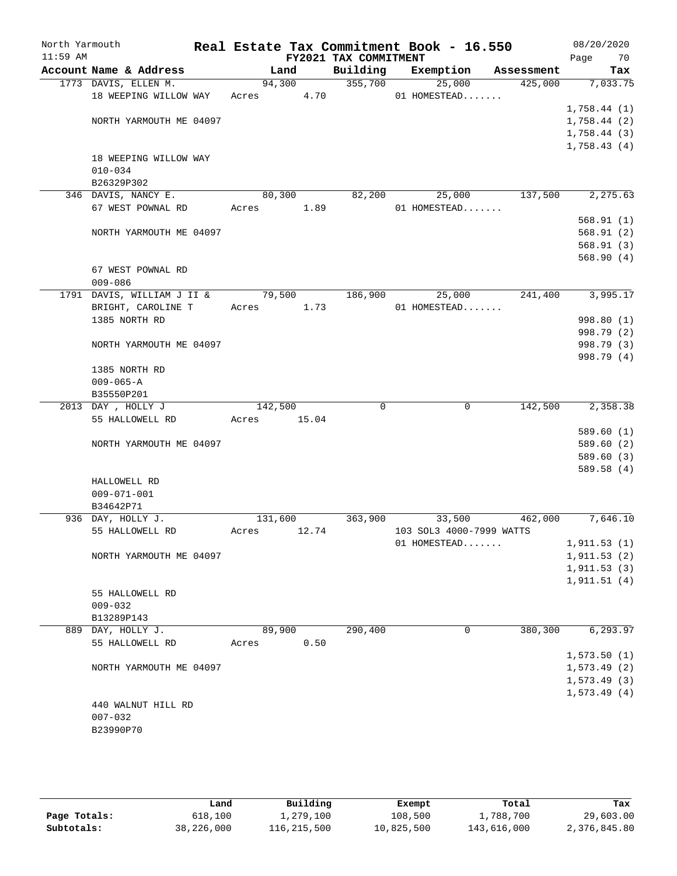| North Yarmouth<br>$11:59$ AM |                            |            |       | FY2021 TAX COMMITMENT | Real Estate Tax Commitment Book - 16.550 |            | 08/20/2020<br>Page<br>70 |
|------------------------------|----------------------------|------------|-------|-----------------------|------------------------------------------|------------|--------------------------|
|                              | Account Name & Address     |            | Land  | Building              | Exemption                                | Assessment | Tax                      |
|                              | 1773 DAVIS, ELLEN M.       | 94,300     |       | 355,700               | 25,000                                   | 425,000    | 7,033.75                 |
|                              | 18 WEEPING WILLOW WAY      | Acres 4.70 |       |                       | 01 HOMESTEAD                             |            |                          |
|                              |                            |            |       |                       |                                          |            | 1,758.44(1)              |
|                              | NORTH YARMOUTH ME 04097    |            |       |                       |                                          |            | 1,758.44(2)              |
|                              |                            |            |       |                       |                                          |            | 1,758.44(3)              |
|                              |                            |            |       |                       |                                          |            | 1,758.43(4)              |
|                              | 18 WEEPING WILLOW WAY      |            |       |                       |                                          |            |                          |
|                              | $010 - 034$                |            |       |                       |                                          |            |                          |
|                              | B26329P302                 |            |       |                       |                                          |            |                          |
|                              | 346 DAVIS, NANCY E.        | 80,300     |       | 82,200                | 25,000                                   | 137,500    | 2,275.63                 |
|                              | 67 WEST POWNAL RD          | Acres      | 1.89  |                       | 01 HOMESTEAD                             |            |                          |
|                              |                            |            |       |                       |                                          |            | 568.91(1)                |
|                              | NORTH YARMOUTH ME 04097    |            |       |                       |                                          |            | 568.91(2)                |
|                              |                            |            |       |                       |                                          |            | 568.91(3)                |
|                              |                            |            |       |                       |                                          |            | 568.90(4)                |
|                              | 67 WEST POWNAL RD          |            |       |                       |                                          |            |                          |
|                              | $009 - 086$                |            |       |                       |                                          |            |                          |
|                              | 1791 DAVIS, WILLIAM J II & | 79,500     |       | 186,900               | 25,000                                   | 241,400    | 3,995.17                 |
|                              | BRIGHT, CAROLINE T         | Acres 1.73 |       |                       | 01 HOMESTEAD                             |            |                          |
|                              | 1385 NORTH RD              |            |       |                       |                                          |            | 998.80 (1)               |
|                              |                            |            |       |                       |                                          |            | 998.79 (2)               |
|                              | NORTH YARMOUTH ME 04097    |            |       |                       |                                          |            | 998.79 (3)               |
|                              |                            |            |       |                       |                                          |            | 998.79 (4)               |
|                              | 1385 NORTH RD              |            |       |                       |                                          |            |                          |
|                              | $009 - 065 - A$            |            |       |                       |                                          |            |                          |
|                              | B35550P201                 |            |       |                       |                                          |            |                          |
|                              | 2013 DAY, HOLLY J          | 142,500    |       | 0                     | 0                                        | 142,500    | 2,358.38                 |
|                              | 55 HALLOWELL RD            | Acres      | 15.04 |                       |                                          |            |                          |
|                              |                            |            |       |                       |                                          |            | 589.60(1)                |
|                              | NORTH YARMOUTH ME 04097    |            |       |                       |                                          |            | 589.60(2)                |
|                              |                            |            |       |                       |                                          |            | 589.60(3)                |
|                              |                            |            |       |                       |                                          |            | 589.58(4)                |
|                              | HALLOWELL RD               |            |       |                       |                                          |            |                          |
|                              | $009 - 071 - 001$          |            |       |                       |                                          |            |                          |
|                              | B34642P71                  |            |       |                       |                                          |            |                          |
|                              | 936 DAY, HOLLY J.          | 131,600    |       | 363,900               | 33,500                                   | 462,000    | 7,646.10                 |
|                              | 55 HALLOWELL RD            | Acres      | 12.74 |                       | 103 SOL3 4000-7999 WATTS                 |            |                          |
|                              |                            |            |       |                       | 01 HOMESTEAD                             |            | 1, 911.53(1)             |
|                              | NORTH YARMOUTH ME 04097    |            |       |                       |                                          |            | 1, 911.53(2)             |
|                              |                            |            |       |                       |                                          |            | 1, 911.53(3)             |
|                              |                            |            |       |                       |                                          |            | 1,911.51(4)              |
|                              | 55 HALLOWELL RD            |            |       |                       |                                          |            |                          |
|                              | $009 - 032$                |            |       |                       |                                          |            |                          |
|                              | B13289P143                 |            |       |                       |                                          |            |                          |
|                              | 889 DAY, HOLLY J.          | 89,900     |       | 290,400               | 0                                        | 380,300    | 6,293.97                 |
|                              | 55 HALLOWELL RD            | Acres      | 0.50  |                       |                                          |            |                          |
|                              |                            |            |       |                       |                                          |            | 1,573.50(1)              |
|                              | NORTH YARMOUTH ME 04097    |            |       |                       |                                          |            | 1, 573.49(2)             |
|                              |                            |            |       |                       |                                          |            | 1, 573.49(3)             |
|                              |                            |            |       |                       |                                          |            | 1,573.49(4)              |
|                              | 440 WALNUT HILL RD         |            |       |                       |                                          |            |                          |
|                              | $007 - 032$                |            |       |                       |                                          |            |                          |
|                              | B23990P70                  |            |       |                       |                                          |            |                          |
|                              |                            |            |       |                       |                                          |            |                          |

|              | Land       | Building    | Exempt     | Total       | Tax          |
|--------------|------------|-------------|------------|-------------|--------------|
| Page Totals: | 618,100    | 1,279,100   | 108,500    | 1,788,700   | 29,603.00    |
| Subtotals:   | 38,226,000 | 116,215,500 | 10,825,500 | 143,616,000 | 2,376,845.80 |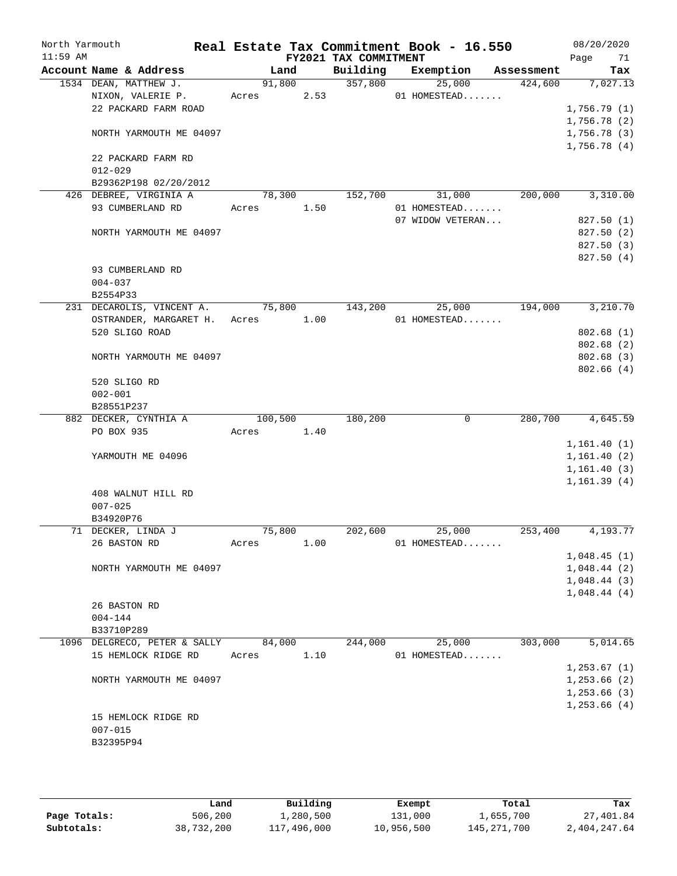| North Yarmouth<br>$11:59$ AM |                          |                                                     |         |        | FY2021 TAX COMMITMENT |         | Real Estate Tax Commitment Book - 16.550 |            | 08/20/2020<br>71<br>Page    |
|------------------------------|--------------------------|-----------------------------------------------------|---------|--------|-----------------------|---------|------------------------------------------|------------|-----------------------------|
|                              | Account Name & Address   |                                                     |         | Land   | Building              |         | Exemption                                | Assessment | Tax                         |
|                              | 1534 DEAN, MATTHEW J.    |                                                     |         | 91,800 |                       | 357,800 | 25,000                                   | 424,600    | 7,027.13                    |
|                              | NIXON, VALERIE P.        |                                                     | Acres   | 2.53   |                       |         | 01 HOMESTEAD                             |            |                             |
|                              |                          | 22 PACKARD FARM ROAD                                |         |        |                       |         |                                          |            | 1,756.79(1)                 |
|                              |                          | NORTH YARMOUTH ME 04097                             |         |        |                       |         |                                          |            | 1,756.78 (2)<br>1,756.78(3) |
|                              |                          |                                                     |         |        |                       |         |                                          |            | 1,756.78(4)                 |
|                              |                          | 22 PACKARD FARM RD                                  |         |        |                       |         |                                          |            |                             |
|                              | $012 - 029$              |                                                     |         |        |                       |         |                                          |            |                             |
|                              |                          | B29362P198 02/20/2012                               |         |        |                       |         |                                          |            |                             |
|                              |                          | 426 DEBREE, VIRGINIA A                              |         | 78,300 | 152,700               |         | 31,000                                   | 200,000    | 3,310.00                    |
|                              | 93 CUMBERLAND RD         |                                                     | Acres   | 1.50   |                       |         | 01 HOMESTEAD                             |            |                             |
|                              |                          |                                                     |         |        |                       |         | 07 WIDOW VETERAN                         |            | 827.50(1)                   |
|                              |                          | NORTH YARMOUTH ME 04097                             |         |        |                       |         |                                          |            | 827.50(2)                   |
|                              |                          |                                                     |         |        |                       |         |                                          |            | 827.50 (3)                  |
|                              |                          |                                                     |         |        |                       |         |                                          |            | 827.50 (4)                  |
|                              | 93 CUMBERLAND RD         |                                                     |         |        |                       |         |                                          |            |                             |
|                              | $004 - 037$              |                                                     |         |        |                       |         |                                          |            |                             |
|                              | B2554P33                 |                                                     | 75,800  |        | 143,200               |         |                                          | 194,000    | 3,210.70                    |
|                              |                          | 231 DECAROLIS, VINCENT A.<br>OSTRANDER, MARGARET H. | Acres   | 1.00   |                       |         | 25,000<br>01 HOMESTEAD                   |            |                             |
|                              | 520 SLIGO ROAD           |                                                     |         |        |                       |         |                                          |            | 802.68(1)                   |
|                              |                          |                                                     |         |        |                       |         |                                          |            | 802.68 (2)                  |
|                              |                          | NORTH YARMOUTH ME 04097                             |         |        |                       |         |                                          |            | 802.68 (3)                  |
|                              |                          |                                                     |         |        |                       |         |                                          |            | 802.66(4)                   |
|                              | 520 SLIGO RD             |                                                     |         |        |                       |         |                                          |            |                             |
|                              | $002 - 001$              |                                                     |         |        |                       |         |                                          |            |                             |
|                              | B28551P237               |                                                     |         |        |                       |         |                                          |            |                             |
|                              | 882 DECKER, CYNTHIA A    |                                                     | 100,500 |        | 180,200               |         | $\mathbf 0$                              | 280,700    | 4,645.59                    |
|                              | PO BOX 935               |                                                     | Acres   | 1.40   |                       |         |                                          |            |                             |
|                              |                          |                                                     |         |        |                       |         |                                          |            | 1,161.40(1)                 |
|                              | YARMOUTH ME 04096        |                                                     |         |        |                       |         |                                          |            | 1,161.40(2)                 |
|                              |                          |                                                     |         |        |                       |         |                                          |            | 1,161.40(3)                 |
|                              |                          |                                                     |         |        |                       |         |                                          |            | 1,161.39(4)                 |
|                              |                          | 408 WALNUT HILL RD                                  |         |        |                       |         |                                          |            |                             |
|                              | $007 - 025$<br>B34920P76 |                                                     |         |        |                       |         |                                          |            |                             |
|                              | 71 DECKER, LINDA J       |                                                     |         | 75,800 | 202,600               |         | 25,000                                   | 253,400    | 4,193.77                    |
|                              | 26 BASTON RD             |                                                     | Acres   | 1.00   |                       |         | 01 HOMESTEAD                             |            |                             |
|                              |                          |                                                     |         |        |                       |         |                                          |            | 1,048.45(1)                 |
|                              |                          | NORTH YARMOUTH ME 04097                             |         |        |                       |         |                                          |            | 1,048.44(2)                 |
|                              |                          |                                                     |         |        |                       |         |                                          |            | 1,048.44(3)                 |
|                              |                          |                                                     |         |        |                       |         |                                          |            | 1,048.44(4)                 |
|                              | 26 BASTON RD             |                                                     |         |        |                       |         |                                          |            |                             |
|                              | $004 - 144$              |                                                     |         |        |                       |         |                                          |            |                             |
|                              | B33710P289               |                                                     |         |        |                       |         |                                          |            |                             |
|                              |                          | 1096 DELGRECO, PETER & SALLY                        |         | 84,000 | 244,000               |         | 25,000                                   | 303,000    | 5,014.65                    |
|                              |                          | 15 HEMLOCK RIDGE RD                                 | Acres   | 1.10   |                       |         | 01 HOMESTEAD                             |            |                             |
|                              |                          |                                                     |         |        |                       |         |                                          |            | 1, 253.67(1)                |
|                              |                          | NORTH YARMOUTH ME 04097                             |         |        |                       |         |                                          |            | 1,253.66(2)                 |
|                              |                          |                                                     |         |        |                       |         |                                          |            | 1,253.66(3)                 |
|                              |                          |                                                     |         |        |                       |         |                                          |            | 1,253.66(4)                 |
|                              |                          | 15 HEMLOCK RIDGE RD                                 |         |        |                       |         |                                          |            |                             |
|                              | $007 - 015$<br>B32395P94 |                                                     |         |        |                       |         |                                          |            |                             |
|                              |                          |                                                     |         |        |                       |         |                                          |            |                             |
|                              |                          |                                                     |         |        |                       |         |                                          |            |                             |

|              | Land       | Building    | Exempt     | Total         | Tax          |
|--------------|------------|-------------|------------|---------------|--------------|
| Page Totals: | 506,200    | 1,280,500   | 131,000    | 1,655,700     | 27,401.84    |
| Subtotals:   | 38,732,200 | 117,496,000 | 10,956,500 | 145, 271, 700 | 2,404,247.64 |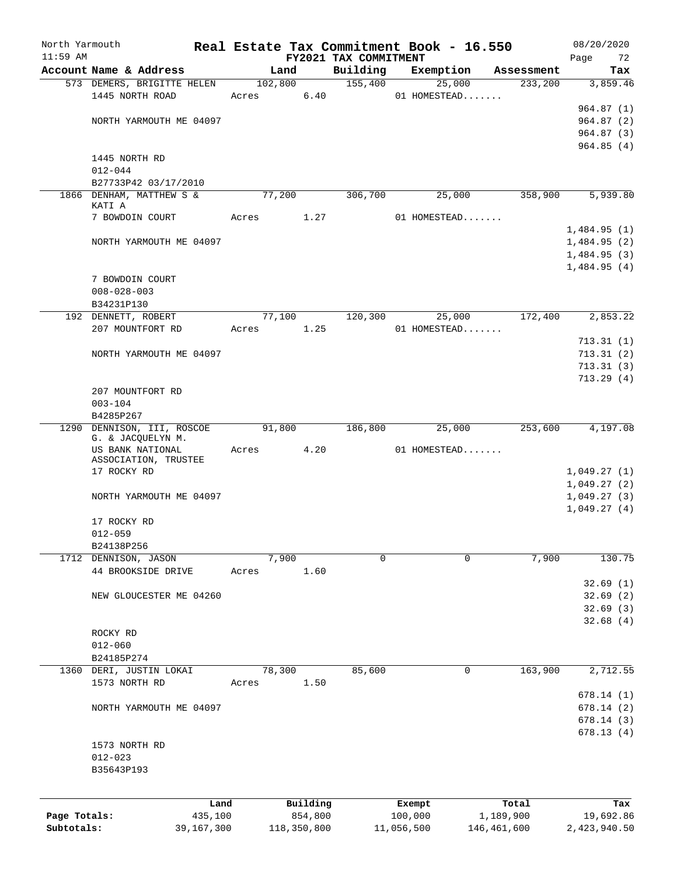| North Yarmouth |                                          |            |            |             |                                   | Real Estate Tax Commitment Book - 16.550 |             |            | 08/20/2020                 |
|----------------|------------------------------------------|------------|------------|-------------|-----------------------------------|------------------------------------------|-------------|------------|----------------------------|
| $11:59$ AM     | Account Name & Address                   |            |            | Land        | FY2021 TAX COMMITMENT<br>Building | Exemption                                |             | Assessment | Page<br>72<br>Tax          |
|                | 573 DEMERS, BRIGITTE HELEN               |            | 102,800    |             | 155,400                           |                                          | 25,000      | 233,200    | 3,859.46                   |
|                | 1445 NORTH ROAD                          |            | Acres      | 6.40        |                                   | 01 HOMESTEAD                             |             |            |                            |
|                |                                          |            |            |             |                                   |                                          |             |            | 964.87(1)                  |
|                | NORTH YARMOUTH ME 04097                  |            |            |             |                                   |                                          |             |            | 964.87(2)                  |
|                |                                          |            |            |             |                                   |                                          |             |            | 964.87(3)<br>964.85(4)     |
|                | 1445 NORTH RD                            |            |            |             |                                   |                                          |             |            |                            |
|                | $012 - 044$                              |            |            |             |                                   |                                          |             |            |                            |
|                | B27733P42 03/17/2010                     |            |            |             |                                   |                                          |             |            |                            |
|                | 1866 DENHAM, MATTHEW S &                 |            |            | 77,200      | 306,700                           |                                          | 25,000      | 358,900    | 5,939.80                   |
|                | KATI A                                   |            |            |             |                                   |                                          |             |            |                            |
|                | 7 BOWDOIN COURT                          |            | Acres      | 1.27        |                                   | 01 HOMESTEAD                             |             |            |                            |
|                | NORTH YARMOUTH ME 04097                  |            |            |             |                                   |                                          |             |            | 1,484.95(1)<br>1,484.95(2) |
|                |                                          |            |            |             |                                   |                                          |             |            | 1,484.95(3)                |
|                |                                          |            |            |             |                                   |                                          |             |            | 1,484.95(4)                |
|                | 7 BOWDOIN COURT                          |            |            |             |                                   |                                          |             |            |                            |
|                | $008 - 028 - 003$                        |            |            |             |                                   |                                          |             |            |                            |
|                | B34231P130                               |            |            |             |                                   |                                          |             |            |                            |
|                | 192 DENNETT, ROBERT                      |            |            | 77,100      | 120,300                           |                                          | 25,000      | 172,400    | 2,853.22                   |
|                | 207 MOUNTFORT RD                         |            | Acres 1.25 |             |                                   | 01 HOMESTEAD                             |             |            |                            |
|                |                                          |            |            |             |                                   |                                          |             |            | 713.31(1)                  |
|                | NORTH YARMOUTH ME 04097                  |            |            |             |                                   |                                          |             |            | 713.31(2)<br>713.31(3)     |
|                |                                          |            |            |             |                                   |                                          |             |            | 713.29(4)                  |
|                | 207 MOUNTFORT RD                         |            |            |             |                                   |                                          |             |            |                            |
|                | $003 - 104$                              |            |            |             |                                   |                                          |             |            |                            |
|                | B4285P267                                |            |            |             |                                   |                                          |             |            |                            |
|                | 1290 DENNISON, III, ROSCOE               |            | 91,800     |             | 186,800                           |                                          | 25,000      | 253,600    | 4,197.08                   |
|                | G. & JACQUELYN M.                        |            |            |             |                                   |                                          |             |            |                            |
|                | US BANK NATIONAL<br>ASSOCIATION, TRUSTEE |            | Acres      | 4.20        |                                   | 01 HOMESTEAD                             |             |            |                            |
|                | 17 ROCKY RD                              |            |            |             |                                   |                                          |             |            | 1,049.27(1)                |
|                |                                          |            |            |             |                                   |                                          |             |            | 1,049.27(2)                |
|                | NORTH YARMOUTH ME 04097                  |            |            |             |                                   |                                          |             |            | 1,049.27(3)                |
|                |                                          |            |            |             |                                   |                                          |             |            | 1,049.27(4)                |
|                | 17 ROCKY RD                              |            |            |             |                                   |                                          |             |            |                            |
|                | $012 - 059$                              |            |            |             |                                   |                                          |             |            |                            |
|                | B24138P256<br>1712 DENNISON, JASON       |            |            | 7,900       | $\mathbf 0$                       |                                          | 0           | 7,900      | 130.75                     |
|                | 44 BROOKSIDE DRIVE                       |            | Acres      | 1.60        |                                   |                                          |             |            |                            |
|                |                                          |            |            |             |                                   |                                          |             |            | 32.69(1)                   |
|                | NEW GLOUCESTER ME 04260                  |            |            |             |                                   |                                          |             |            | 32.69(2)                   |
|                |                                          |            |            |             |                                   |                                          |             |            | 32.69(3)                   |
|                |                                          |            |            |             |                                   |                                          |             |            | 32.68(4)                   |
|                | ROCKY RD                                 |            |            |             |                                   |                                          |             |            |                            |
|                | $012 - 060$                              |            |            |             |                                   |                                          |             |            |                            |
|                | B24185P274                               |            |            |             |                                   |                                          |             |            |                            |
|                | 1360 DERI, JUSTIN LOKAI<br>1573 NORTH RD |            | 78,300     | 1.50        | 85,600                            |                                          | 0           | 163,900    | 2,712.55                   |
|                |                                          |            | Acres      |             |                                   |                                          |             |            | 678.14(1)                  |
|                | NORTH YARMOUTH ME 04097                  |            |            |             |                                   |                                          |             |            | 678.14(2)                  |
|                |                                          |            |            |             |                                   |                                          |             |            | 678.14(3)                  |
|                |                                          |            |            |             |                                   |                                          |             |            | 678.13(4)                  |
|                | 1573 NORTH RD                            |            |            |             |                                   |                                          |             |            |                            |
|                | $012 - 023$                              |            |            |             |                                   |                                          |             |            |                            |
|                | B35643P193                               |            |            |             |                                   |                                          |             |            |                            |
|                |                                          |            |            |             |                                   |                                          |             |            |                            |
|                |                                          | Land       |            | Building    |                                   | Exempt                                   |             | Total      | Tax                        |
| Page Totals:   |                                          | 435,100    |            | 854,800     |                                   | 100,000                                  |             | 1,189,900  | 19,692.86                  |
| Subtotals:     |                                          | 39,167,300 |            | 118,350,800 |                                   | 11,056,500                               | 146,461,600 |            | 2,423,940.50               |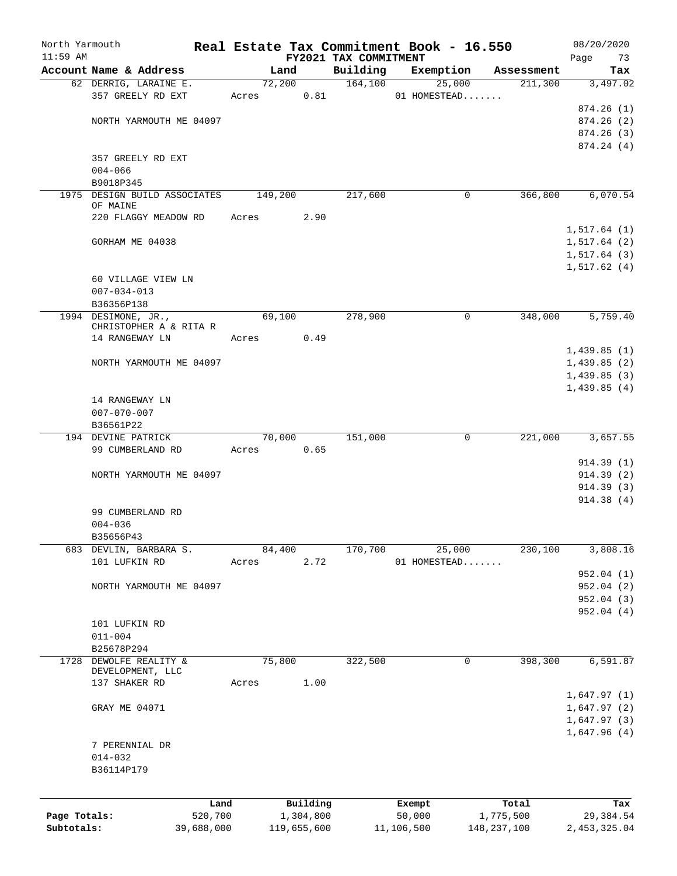| North Yarmouth |                                            |                 |       |                       |                       | Real Estate Tax Commitment Book - 16.550 |                       | 08/20/2020       |
|----------------|--------------------------------------------|-----------------|-------|-----------------------|-----------------------|------------------------------------------|-----------------------|------------------|
| $11:59$ AM     |                                            |                 |       |                       | FY2021 TAX COMMITMENT |                                          |                       | Page<br>73       |
|                | Account Name & Address                     |                 |       | Land<br>72,200        | Building<br>164, 100  | Exemption                                | Assessment<br>211,300 | Tax<br>3,497.02  |
|                | 62 DERRIG, LARAINE E.<br>357 GREELY RD EXT |                 | Acres | 0.81                  |                       | 25,000<br>01 HOMESTEAD                   |                       |                  |
|                |                                            |                 |       |                       |                       |                                          |                       | 874.26(1)        |
|                | NORTH YARMOUTH ME 04097                    |                 |       |                       |                       |                                          |                       | 874.26(2)        |
|                |                                            |                 |       |                       |                       |                                          |                       | 874.26(3)        |
|                |                                            |                 |       |                       |                       |                                          |                       | 874.24 (4)       |
|                | 357 GREELY RD EXT                          |                 |       |                       |                       |                                          |                       |                  |
|                | $004 - 066$                                |                 |       |                       |                       |                                          |                       |                  |
|                | B9018P345                                  |                 |       |                       |                       |                                          |                       |                  |
|                | 1975 DESIGN BUILD ASSOCIATES               |                 |       | 149,200               | 217,600               | 0                                        | 366,800               | 6,070.54         |
|                | OF MAINE                                   |                 |       |                       |                       |                                          |                       |                  |
|                | 220 FLAGGY MEADOW RD                       |                 | Acres | 2.90                  |                       |                                          |                       |                  |
|                |                                            |                 |       |                       |                       |                                          |                       | 1,517.64(1)      |
|                | GORHAM ME 04038                            |                 |       |                       |                       |                                          |                       | 1,517.64(2)      |
|                |                                            |                 |       |                       |                       |                                          |                       | 1,517.64(3)      |
|                |                                            |                 |       |                       |                       |                                          |                       | 1,517.62(4)      |
|                | 60 VILLAGE VIEW LN                         |                 |       |                       |                       |                                          |                       |                  |
|                | $007 - 034 - 013$                          |                 |       |                       |                       |                                          |                       |                  |
|                | B36356P138                                 |                 |       |                       |                       |                                          |                       |                  |
|                | 1994 DESIMONE, JR.,                        |                 |       | 69,100                | 278,900               | 0                                        | 348,000               | 5,759.40         |
|                | CHRISTOPHER A & RITA R<br>14 RANGEWAY LN   |                 | Acres | 0.49                  |                       |                                          |                       |                  |
|                |                                            |                 |       |                       |                       |                                          |                       | 1,439.85(1)      |
|                | NORTH YARMOUTH ME 04097                    |                 |       |                       |                       |                                          |                       | 1,439.85(2)      |
|                |                                            |                 |       |                       |                       |                                          |                       | 1,439.85(3)      |
|                |                                            |                 |       |                       |                       |                                          |                       | 1,439.85(4)      |
|                | 14 RANGEWAY LN                             |                 |       |                       |                       |                                          |                       |                  |
|                | $007 - 070 - 007$                          |                 |       |                       |                       |                                          |                       |                  |
|                | B36561P22                                  |                 |       |                       |                       |                                          |                       |                  |
|                | 194 DEVINE PATRICK                         |                 |       | 70,000                | 151,000               | 0                                        | 221,000               | 3,657.55         |
|                | 99 CUMBERLAND RD                           |                 | Acres | 0.65                  |                       |                                          |                       |                  |
|                |                                            |                 |       |                       |                       |                                          |                       | 914.39(1)        |
|                | NORTH YARMOUTH ME 04097                    |                 |       |                       |                       |                                          |                       | 914.39(2)        |
|                |                                            |                 |       |                       |                       |                                          |                       | 914.39(3)        |
|                |                                            |                 |       |                       |                       |                                          |                       | 914.38 (4)       |
|                | 99 CUMBERLAND RD                           |                 |       |                       |                       |                                          |                       |                  |
|                | $004 - 036$                                |                 |       |                       |                       |                                          |                       |                  |
|                | B35656P43                                  |                 |       |                       |                       |                                          |                       |                  |
| 683            | DEVLIN, BARBARA S.                         |                 |       | 84,400                | 170,700               | 25,000                                   | 230,100               | 3,808.16         |
|                | 101 LUFKIN RD                              |                 | Acres | 2.72                  |                       | 01 HOMESTEAD                             |                       |                  |
|                |                                            |                 |       |                       |                       |                                          |                       | 952.04 (1)       |
|                | NORTH YARMOUTH ME 04097                    |                 |       |                       |                       |                                          |                       | 952.04(2)        |
|                |                                            |                 |       |                       |                       |                                          |                       | 952.04 (3)       |
|                |                                            |                 |       |                       |                       |                                          |                       | 952.04(4)        |
|                | 101 LUFKIN RD                              |                 |       |                       |                       |                                          |                       |                  |
|                | $011 - 004$                                |                 |       |                       |                       |                                          |                       |                  |
|                | B25678P294                                 |                 |       |                       |                       |                                          |                       |                  |
| 1728           | DEWOLFE REALITY &<br>DEVELOPMENT, LLC      |                 |       | 75,800                | 322,500               | 0                                        | 398,300               | 6,591.87         |
|                | 137 SHAKER RD                              |                 | Acres | 1.00                  |                       |                                          |                       |                  |
|                |                                            |                 |       |                       |                       |                                          |                       | 1,647.97(1)      |
|                | GRAY ME 04071                              |                 |       |                       |                       |                                          |                       | 1,647.97(2)      |
|                |                                            |                 |       |                       |                       |                                          |                       | 1,647.97(3)      |
|                |                                            |                 |       |                       |                       |                                          |                       | 1,647.96(4)      |
|                | 7 PERENNIAL DR                             |                 |       |                       |                       |                                          |                       |                  |
|                | $014 - 032$                                |                 |       |                       |                       |                                          |                       |                  |
|                | B36114P179                                 |                 |       |                       |                       |                                          |                       |                  |
|                |                                            |                 |       |                       |                       |                                          |                       |                  |
|                |                                            |                 |       |                       |                       |                                          |                       |                  |
| Page Totals:   |                                            | Land<br>520,700 |       | Building<br>1,304,800 |                       | Exempt<br>50,000                         | Total<br>1,775,500    | Tax<br>29,384.54 |
| Subtotals:     |                                            | 39,688,000      |       | 119,655,600           |                       | 11,106,500                               | 148, 237, 100         | 2,453,325.04     |
|                |                                            |                 |       |                       |                       |                                          |                       |                  |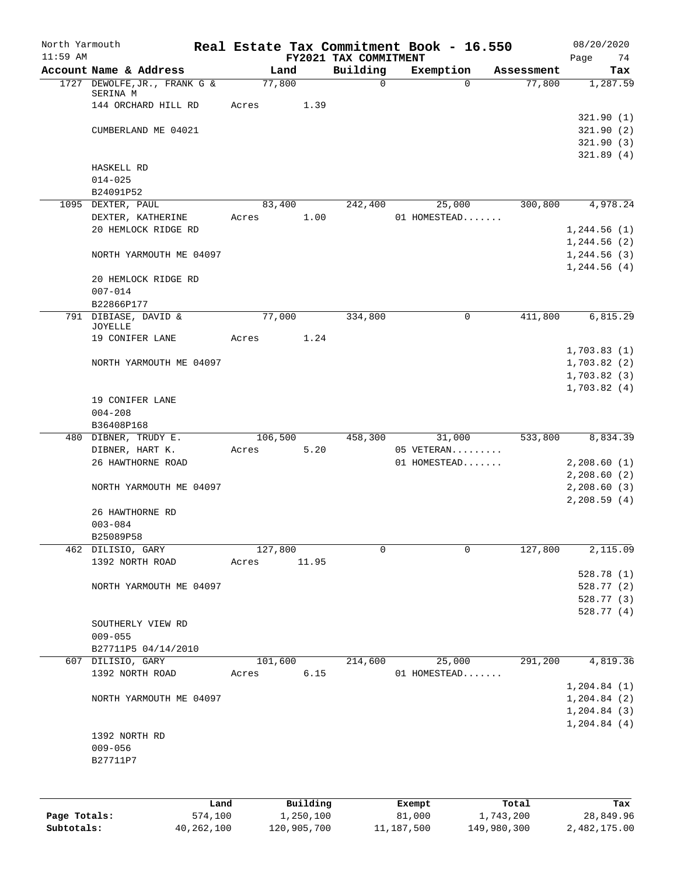| North Yarmouth<br>$11:59$ AM |                              |         |           | FY2021 TAX COMMITMENT | Real Estate Tax Commitment Book - 16.550 |            | 08/20/2020<br>Page<br>74     |
|------------------------------|------------------------------|---------|-----------|-----------------------|------------------------------------------|------------|------------------------------|
|                              | Account Name & Address       | Land    |           | Building              | Exemption                                | Assessment | Tax                          |
|                              | 1727 DEWOLFE, JR., FRANK G & | 77,800  |           | 0                     | $\Omega$                                 | 77,800     | 1,287.59                     |
|                              | SERINA M                     |         |           |                       |                                          |            |                              |
|                              | 144 ORCHARD HILL RD          | Acres   | 1.39      |                       |                                          |            |                              |
|                              |                              |         |           |                       |                                          |            | 321.90(1)                    |
|                              | CUMBERLAND ME 04021          |         |           |                       |                                          |            | 321.90 (2)<br>321.90(3)      |
|                              |                              |         |           |                       |                                          |            | 321.89(4)                    |
|                              | HASKELL RD                   |         |           |                       |                                          |            |                              |
|                              | $014 - 025$                  |         |           |                       |                                          |            |                              |
|                              | B24091P52                    |         |           |                       |                                          |            |                              |
|                              | 1095 DEXTER, PAUL            | 83,400  |           | 242,400               | 25,000                                   | 300,800    | 4,978.24                     |
|                              | DEXTER, KATHERINE            | Acres   | 1.00      |                       | 01 HOMESTEAD                             |            |                              |
|                              | 20 HEMLOCK RIDGE RD          |         |           |                       |                                          |            | 1, 244.56(1)                 |
|                              |                              |         |           |                       |                                          |            | 1, 244.56(2)                 |
|                              | NORTH YARMOUTH ME 04097      |         |           |                       |                                          |            | 1, 244.56(3)<br>1, 244.56(4) |
|                              | 20 HEMLOCK RIDGE RD          |         |           |                       |                                          |            |                              |
|                              | $007 - 014$                  |         |           |                       |                                          |            |                              |
|                              | B22866P177                   |         |           |                       |                                          |            |                              |
|                              | 791 DIBIASE, DAVID &         | 77,000  |           | 334,800               | 0                                        | 411,800    | 6,815.29                     |
|                              | <b>JOYELLE</b>               |         |           |                       |                                          |            |                              |
|                              | 19 CONIFER LANE              | Acres   | 1.24      |                       |                                          |            |                              |
|                              |                              |         |           |                       |                                          |            | 1,703.83(1)                  |
|                              | NORTH YARMOUTH ME 04097      |         |           |                       |                                          |            | 1,703.82(2)<br>1,703.82(3)   |
|                              |                              |         |           |                       |                                          |            | 1,703.82(4)                  |
|                              | 19 CONIFER LANE              |         |           |                       |                                          |            |                              |
|                              | $004 - 208$                  |         |           |                       |                                          |            |                              |
|                              | B36408P168                   |         |           |                       |                                          |            |                              |
|                              | 480 DIBNER, TRUDY E.         | 106,500 |           | 458,300               | 31,000                                   | 533,800    | 8,834.39                     |
|                              | DIBNER, HART K.              | Acres   | 5.20      |                       | 05 VETERAN                               |            |                              |
|                              | 26 HAWTHORNE ROAD            |         |           |                       | 01 HOMESTEAD                             |            | 2,208.60(1)                  |
|                              |                              |         |           |                       |                                          |            | 2,208.60(2)                  |
|                              | NORTH YARMOUTH ME 04097      |         |           |                       |                                          |            | 2,208.60(3)<br>2,208.59(4)   |
|                              | 26 HAWTHORNE RD              |         |           |                       |                                          |            |                              |
|                              | $003 - 084$                  |         |           |                       |                                          |            |                              |
|                              | B25089P58                    |         |           |                       |                                          |            |                              |
| 462                          | DILISIO, GARY                | 127,800 |           | 0                     | $\mathbf 0$                              | 127,800    | 2,115.09                     |
|                              | 1392 NORTH ROAD              | Acres   | 11.95     |                       |                                          |            |                              |
|                              |                              |         |           |                       |                                          |            | 528.78 (1)                   |
|                              | NORTH YARMOUTH ME 04097      |         |           |                       |                                          |            | 528.77 (2)                   |
|                              |                              |         |           |                       |                                          |            | 528.77 (3)                   |
|                              | SOUTHERLY VIEW RD            |         |           |                       |                                          |            | 528.77 (4)                   |
|                              | $009 - 055$                  |         |           |                       |                                          |            |                              |
|                              | B27711P5 04/14/2010          |         |           |                       |                                          |            |                              |
|                              | 607 DILISIO, GARY            | 101,600 |           | 214,600               | 25,000                                   | 291,200    | 4,819.36                     |
|                              | 1392 NORTH ROAD              | Acres   | 6.15      |                       | 01 HOMESTEAD                             |            |                              |
|                              |                              |         |           |                       |                                          |            | 1, 204.84 (1)                |
|                              | NORTH YARMOUTH ME 04097      |         |           |                       |                                          |            | 1, 204.84 (2)                |
|                              |                              |         |           |                       |                                          |            | 1, 204.84(3)                 |
|                              |                              |         |           |                       |                                          |            | 1, 204.84 (4)                |
|                              | 1392 NORTH RD                |         |           |                       |                                          |            |                              |
|                              | $009 - 056$                  |         |           |                       |                                          |            |                              |
|                              | B27711P7                     |         |           |                       |                                          |            |                              |
|                              |                              |         |           |                       |                                          |            |                              |
|                              |                              |         |           |                       |                                          |            |                              |
|                              | Land                         |         | Building  |                       | Exempt                                   | Total      | Tax                          |
| Page Totals:                 | 574,100                      |         | 1,250,100 |                       | 81,000                                   | 1,743,200  | 28,849.96                    |

**Subtotals:** 40,262,100 120,905,700 11,187,500 149,980,300 2,482,175.00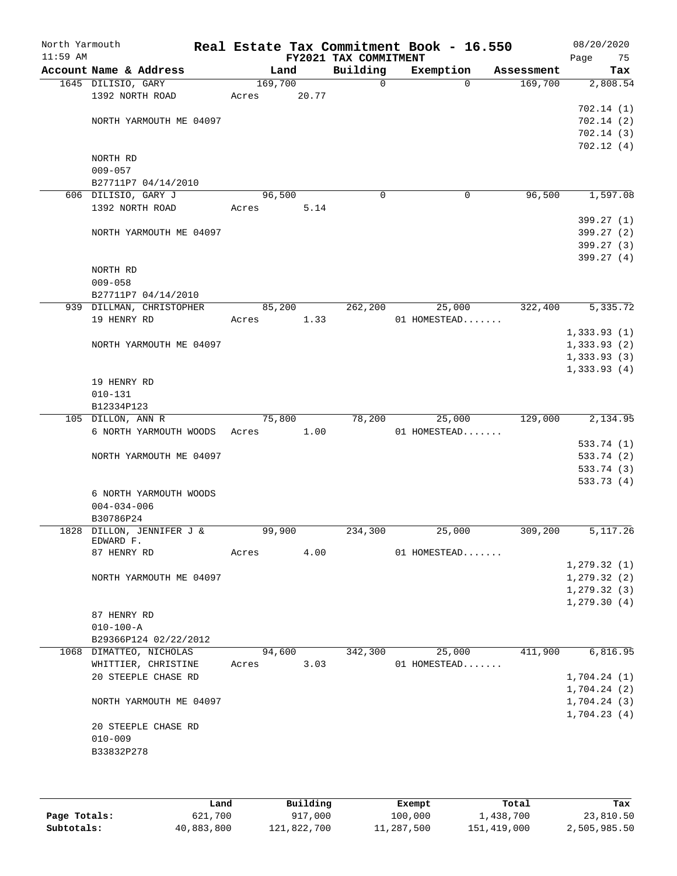| North Yarmouth<br>$11:59$ AM |                                         |         |       | FY2021 TAX COMMITMENT | Real Estate Tax Commitment Book - 16.550 |            | 08/20/2020<br>Page<br>75 |
|------------------------------|-----------------------------------------|---------|-------|-----------------------|------------------------------------------|------------|--------------------------|
|                              | Account Name & Address                  | Land    |       | Building              | Exemption                                | Assessment | Tax                      |
|                              | 1645 DILISIO, GARY                      | 169,700 |       | $\mathsf{O}$          | $\Omega$                                 | 169,700    | 2,808.54                 |
|                              | 1392 NORTH ROAD                         | Acres   | 20.77 |                       |                                          |            |                          |
|                              |                                         |         |       |                       |                                          |            | 702.14(1)                |
|                              | NORTH YARMOUTH ME 04097                 |         |       |                       |                                          |            | 702.14(2)                |
|                              |                                         |         |       |                       |                                          |            | 702.14(3)                |
|                              |                                         |         |       |                       |                                          |            | 702.12(4)                |
|                              | NORTH RD                                |         |       |                       |                                          |            |                          |
|                              | $009 - 057$                             |         |       |                       |                                          |            |                          |
|                              | B27711P7 04/14/2010                     |         |       |                       |                                          |            |                          |
|                              | 606 DILISIO, GARY J                     | 96,500  |       | 0                     | 0                                        | 96,500     | 1,597.08                 |
|                              | 1392 NORTH ROAD                         | Acres   | 5.14  |                       |                                          |            |                          |
|                              |                                         |         |       |                       |                                          |            | 399.27(1)                |
|                              | NORTH YARMOUTH ME 04097                 |         |       |                       |                                          |            | 399.27 (2)               |
|                              |                                         |         |       |                       |                                          |            | 399.27 (3)               |
|                              |                                         |         |       |                       |                                          |            | 399.27(4)                |
|                              | NORTH RD                                |         |       |                       |                                          |            |                          |
|                              | $009 - 058$                             |         |       |                       |                                          |            |                          |
|                              | B27711P7 04/14/2010                     |         |       | 262, 200              |                                          | 322,400    | 5,335.72                 |
|                              | 939 DILLMAN, CHRISTOPHER<br>19 HENRY RD | 85,200  |       |                       | 25,000                                   |            |                          |
|                              |                                         | Acres   | 1.33  |                       | 01 HOMESTEAD                             |            | 1,333.93(1)              |
|                              | NORTH YARMOUTH ME 04097                 |         |       |                       |                                          |            | 1,333.93(2)              |
|                              |                                         |         |       |                       |                                          |            | 1,333.93(3)              |
|                              |                                         |         |       |                       |                                          |            | 1,333.93(4)              |
|                              | 19 HENRY RD                             |         |       |                       |                                          |            |                          |
|                              | $010 - 131$                             |         |       |                       |                                          |            |                          |
|                              | B12334P123                              |         |       |                       |                                          |            |                          |
|                              | 105 DILLON, ANN R                       | 75,800  |       | 78,200                | 25,000                                   | 129,000    | 2,134.95                 |
|                              | 6 NORTH YARMOUTH WOODS                  | Acres   | 1.00  |                       | 01 HOMESTEAD                             |            |                          |
|                              |                                         |         |       |                       |                                          |            | 533.74 (1)               |
|                              | NORTH YARMOUTH ME 04097                 |         |       |                       |                                          |            | 533.74 (2)               |
|                              |                                         |         |       |                       |                                          |            | 533.74 (3)               |
|                              |                                         |         |       |                       |                                          |            | 533.73 (4)               |
|                              | 6 NORTH YARMOUTH WOODS                  |         |       |                       |                                          |            |                          |
|                              | $004 - 034 - 006$                       |         |       |                       |                                          |            |                          |
|                              | B30786P24                               |         |       |                       |                                          |            |                          |
|                              | 1828 DILLON, JENNIFER J &               | 99,900  |       | 234,300               | 25,000                                   | 309,200    | 5,117.26                 |
|                              | EDWARD F.                               |         |       |                       |                                          |            |                          |
|                              | 87 HENRY RD                             | Acres   | 4.00  |                       | 01 HOMESTEAD                             |            |                          |
|                              |                                         |         |       |                       |                                          |            | 1, 279.32(1)             |
|                              | NORTH YARMOUTH ME 04097                 |         |       |                       |                                          |            | 1, 279.32(2)             |
|                              |                                         |         |       |                       |                                          |            | 1, 279.32(3)             |
|                              |                                         |         |       |                       |                                          |            | 1, 279.30(4)             |
|                              | 87 HENRY RD                             |         |       |                       |                                          |            |                          |
|                              | $010 - 100 - A$                         |         |       |                       |                                          |            |                          |
|                              | B29366P124 02/22/2012                   |         |       |                       |                                          |            |                          |
|                              | 1068 DIMATTEO, NICHOLAS                 | 94,600  |       | 342,300               | 25,000                                   | 411,900    | 6,816.95                 |
|                              | WHITTIER, CHRISTINE                     | Acres   | 3.03  |                       | 01 HOMESTEAD                             |            |                          |
|                              | 20 STEEPLE CHASE RD                     |         |       |                       |                                          |            | 1,704.24(1)              |
|                              |                                         |         |       |                       |                                          |            | 1,704.24(2)              |
|                              | NORTH YARMOUTH ME 04097                 |         |       |                       |                                          |            | 1,704.24(3)              |
|                              |                                         |         |       |                       |                                          |            | 1,704.23(4)              |
|                              | 20 STEEPLE CHASE RD                     |         |       |                       |                                          |            |                          |
|                              | $010 - 009$                             |         |       |                       |                                          |            |                          |
|                              | B33832P278                              |         |       |                       |                                          |            |                          |
|                              |                                         |         |       |                       |                                          |            |                          |
|                              |                                         |         |       |                       |                                          |            |                          |
|                              |                                         |         |       |                       |                                          |            |                          |

|              | Land       | Building    | Exempt     | Total       | Tax          |
|--------------|------------|-------------|------------|-------------|--------------|
| Page Totals: | 621,700    | 917,000     | 100,000    | 1,438,700   | 23,810.50    |
| Subtotals:   | 40,883,800 | 121,822,700 | 11,287,500 | 151,419,000 | 2,505,985.50 |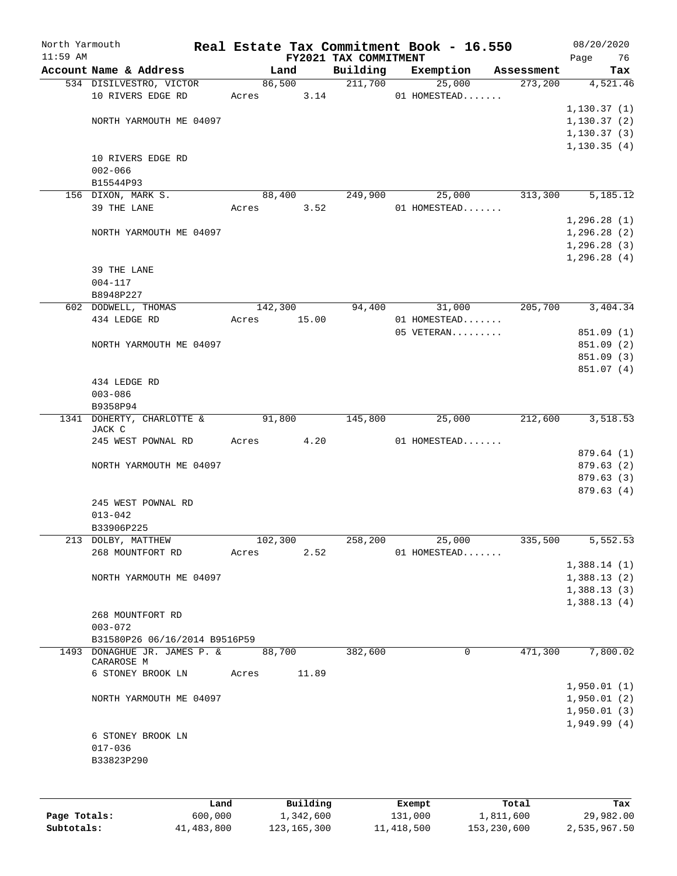| North Yarmouth<br>$11:59$ AM |                               |       |            | FY2021 TAX COMMITMENT | Real Estate Tax Commitment Book - 16.550 |             |            | 08/20/2020<br>Page<br>76 |
|------------------------------|-------------------------------|-------|------------|-----------------------|------------------------------------------|-------------|------------|--------------------------|
|                              | Account Name & Address        |       | Land       | Building              | Exemption                                |             | Assessment | Tax                      |
|                              | 534 DISILVESTRO, VICTOR       |       | 86,500     | 211,700               |                                          | 25,000      | 273,200    | 4,521.46                 |
|                              | 10 RIVERS EDGE RD             |       | Acres 3.14 |                       | 01 HOMESTEAD                             |             |            |                          |
|                              |                               |       |            |                       |                                          |             |            | 1, 130.37(1)             |
|                              | NORTH YARMOUTH ME 04097       |       |            |                       |                                          |             |            | 1, 130.37(2)             |
|                              |                               |       |            |                       |                                          |             |            | 1, 130.37(3)             |
|                              |                               |       |            |                       |                                          |             |            | 1, 130.35(4)             |
|                              | 10 RIVERS EDGE RD             |       |            |                       |                                          |             |            |                          |
|                              | $002 - 066$                   |       |            |                       |                                          |             |            |                          |
|                              | B15544P93                     |       |            |                       |                                          |             |            |                          |
|                              | 156 DIXON, MARK S.            |       | 88,400     | 249,900               |                                          | 25,000      | 313,300    | 5,185.12                 |
|                              | 39 THE LANE                   | Acres | 3.52       |                       | 01 HOMESTEAD                             |             |            |                          |
|                              |                               |       |            |                       |                                          |             |            | 1, 296.28(1)             |
|                              | NORTH YARMOUTH ME 04097       |       |            |                       |                                          |             |            | 1, 296.28(2)             |
|                              |                               |       |            |                       |                                          |             |            | 1, 296.28(3)             |
|                              |                               |       |            |                       |                                          |             |            | 1,296.28(4)              |
|                              | 39 THE LANE                   |       |            |                       |                                          |             |            |                          |
|                              | $004 - 117$                   |       |            |                       |                                          |             |            |                          |
|                              | B8948P227                     |       |            |                       |                                          |             |            |                          |
|                              | 602 DODWELL, THOMAS           |       | 142,300    | 94,400                | 31,000                                   |             | 205,700    | 3,404.34                 |
|                              | 434 LEDGE RD                  | Acres | 15.00      |                       | 01 HOMESTEAD                             |             |            |                          |
|                              |                               |       |            |                       | 05 VETERAN                               |             |            | 851.09 (1)               |
|                              | NORTH YARMOUTH ME 04097       |       |            |                       |                                          |             |            | 851.09 (2)               |
|                              |                               |       |            |                       |                                          |             |            | 851.09 (3)               |
|                              |                               |       |            |                       |                                          |             |            | 851.07 (4)               |
|                              | 434 LEDGE RD                  |       |            |                       |                                          |             |            |                          |
|                              | $003 - 086$                   |       |            |                       |                                          |             |            |                          |
|                              | B9358P94                      |       |            |                       |                                          |             |            |                          |
|                              | 1341 DOHERTY, CHARLOTTE &     |       | 91,800     | 145,800               |                                          | 25,000      | 212,600    | 3,518.53                 |
|                              | JACK C                        |       |            |                       |                                          |             |            |                          |
|                              | 245 WEST POWNAL RD            | Acres | 4.20       |                       | 01 HOMESTEAD                             |             |            |                          |
|                              |                               |       |            |                       |                                          |             |            | 879.64 (1)               |
|                              | NORTH YARMOUTH ME 04097       |       |            |                       |                                          |             |            | 879.63(2)                |
|                              |                               |       |            |                       |                                          |             |            | 879.63 (3)               |
|                              |                               |       |            |                       |                                          |             |            | 879.63(4)                |
|                              | 245 WEST POWNAL RD            |       |            |                       |                                          |             |            |                          |
|                              | $013 - 042$                   |       |            |                       |                                          |             |            |                          |
|                              | B33906P225                    |       |            |                       |                                          |             |            |                          |
|                              | 213 DOLBY, MATTHEW            |       | 102,300    | 258,200               | 25,000                                   |             | 335,500    | 5,552.53                 |
|                              | 268 MOUNTFORT RD              | Acres | 2.52       |                       | 01 HOMESTEAD                             |             |            |                          |
|                              |                               |       |            |                       |                                          |             |            | 1,388.14(1)              |
|                              | NORTH YARMOUTH ME 04097       |       |            |                       |                                          |             |            | 1,388.13(2)              |
|                              |                               |       |            |                       |                                          |             |            | 1,388.13(3)              |
|                              |                               |       |            |                       |                                          |             |            | 1,388.13(4)              |
|                              | 268 MOUNTFORT RD              |       |            |                       |                                          |             |            |                          |
|                              | $003 - 072$                   |       |            |                       |                                          |             |            |                          |
|                              | B31580P26 06/16/2014 B9516P59 |       |            |                       |                                          |             |            |                          |
|                              | 1493 DONAGHUE JR. JAMES P. &  |       | 88,700     | 382,600               |                                          | $\mathbf 0$ | 471,300    | 7,800.02                 |
|                              | CARAROSE M                    |       |            |                       |                                          |             |            |                          |
|                              | 6 STONEY BROOK LN             | Acres | 11.89      |                       |                                          |             |            |                          |
|                              |                               |       |            |                       |                                          |             |            | 1,950.01(1)              |
|                              | NORTH YARMOUTH ME 04097       |       |            |                       |                                          |             |            | 1,950.01(2)              |
|                              |                               |       |            |                       |                                          |             |            | 1,950.01(3)              |
|                              |                               |       |            |                       |                                          |             |            | 1,949.99(4)              |
|                              | 6 STONEY BROOK LN             |       |            |                       |                                          |             |            |                          |
|                              | $017 - 036$                   |       |            |                       |                                          |             |            |                          |
|                              | B33823P290                    |       |            |                       |                                          |             |            |                          |
|                              |                               |       |            |                       |                                          |             |            |                          |
|                              |                               |       |            |                       |                                          |             |            |                          |
|                              |                               |       |            |                       |                                          |             |            |                          |

|              | Land       | Building      | Exempt     | Total       | Tax          |
|--------------|------------|---------------|------------|-------------|--------------|
| Page Totals: | 600,000    | 1,342,600     | 131,000    | 1,811,600   | 29,982.00    |
| Subtotals:   | 41,483,800 | 123, 165, 300 | 11,418,500 | 153,230,600 | 2,535,967.50 |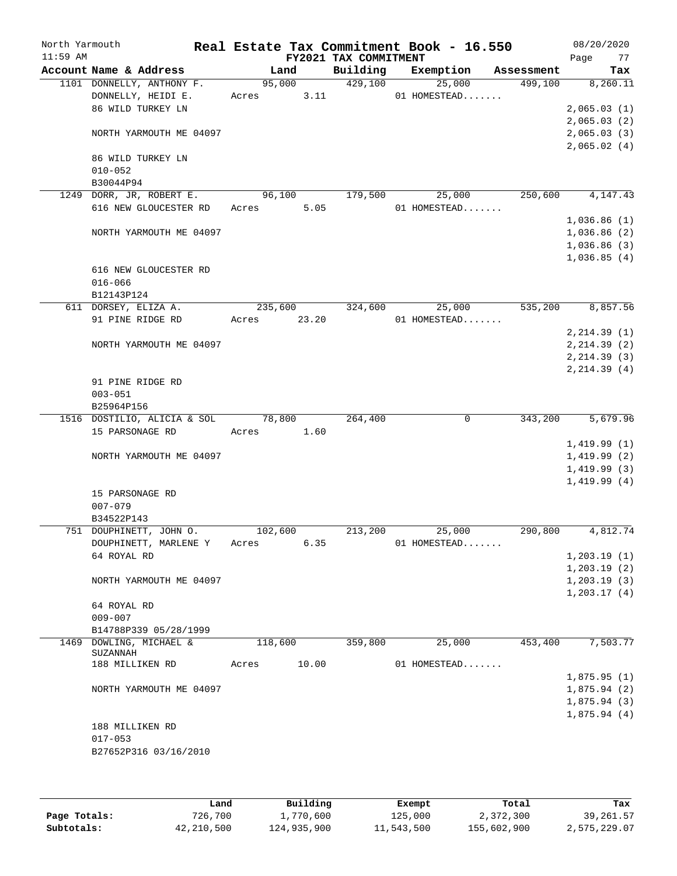| North Yarmouth<br>$11:59$ AM |                                     |            |        | FY2021 TAX COMMITMENT | Real Estate Tax Commitment Book - 16.550 |            | 08/20/2020<br>77<br>Page   |
|------------------------------|-------------------------------------|------------|--------|-----------------------|------------------------------------------|------------|----------------------------|
|                              | Account Name & Address              | Land       |        | Building              | Exemption                                | Assessment | Tax                        |
|                              | 1101 DONNELLY, ANTHONY F.           |            | 95,000 | 429,100               | 25,000                                   | 499,100    | 8,260.11                   |
|                              | DONNELLY, HEIDI E.                  | Acres      | 3.11   |                       | 01 HOMESTEAD                             |            |                            |
|                              | 86 WILD TURKEY LN                   |            |        |                       |                                          |            | 2,065.03(1)                |
|                              |                                     |            |        |                       |                                          |            | 2,065.03(2)                |
|                              | NORTH YARMOUTH ME 04097             |            |        |                       |                                          |            | 2,065.03(3)                |
|                              |                                     |            |        |                       |                                          |            | 2,065.02(4)                |
|                              | 86 WILD TURKEY LN<br>$010 - 052$    |            |        |                       |                                          |            |                            |
|                              | B30044P94                           |            |        |                       |                                          |            |                            |
|                              | 1249 DORR, JR, ROBERT E.            |            | 96,100 | 179,500               | 25,000                                   | 250,600    | 4,147.43                   |
|                              | 616 NEW GLOUCESTER RD               | Acres      | 5.05   |                       | 01 HOMESTEAD                             |            |                            |
|                              |                                     |            |        |                       |                                          |            | 1,036.86(1)                |
|                              | NORTH YARMOUTH ME 04097             |            |        |                       |                                          |            | 1,036.86(2)                |
|                              |                                     |            |        |                       |                                          |            | 1,036.86(3)                |
|                              |                                     |            |        |                       |                                          |            | 1,036.85(4)                |
|                              | 616 NEW GLOUCESTER RD               |            |        |                       |                                          |            |                            |
|                              | $016 - 066$                         |            |        |                       |                                          |            |                            |
|                              | B12143P124                          |            |        |                       |                                          |            |                            |
|                              | 611 DORSEY, ELIZA A.                | 235,600    |        | 324,600               | 25,000                                   | 535,200    | 8,857.56                   |
|                              | 91 PINE RIDGE RD                    | Acres      | 23.20  |                       | 01 HOMESTEAD                             |            |                            |
|                              |                                     |            |        |                       |                                          |            | 2, 214.39(1)               |
|                              | NORTH YARMOUTH ME 04097             |            |        |                       |                                          |            | 2, 214.39(2)               |
|                              |                                     |            |        |                       |                                          |            | 2, 214.39(3)               |
|                              |                                     |            |        |                       |                                          |            | 2, 214.39(4)               |
|                              | 91 PINE RIDGE RD                    |            |        |                       |                                          |            |                            |
|                              | $003 - 051$                         |            |        |                       |                                          |            |                            |
|                              | B25964P156                          |            |        |                       |                                          |            |                            |
|                              | 1516 DOSTILIO, ALICIA & SOL 78,800  |            |        | 264,400               | $\mathbf 0$                              | 343,200    | 5,679.96                   |
|                              | 15 PARSONAGE RD                     | Acres 1.60 |        |                       |                                          |            |                            |
|                              |                                     |            |        |                       |                                          |            | 1,419.99(1)                |
|                              | NORTH YARMOUTH ME 04097             |            |        |                       |                                          |            | 1,419.99(2)<br>1,419.99(3) |
|                              |                                     |            |        |                       |                                          |            | 1,419.99(4)                |
|                              | 15 PARSONAGE RD                     |            |        |                       |                                          |            |                            |
|                              | $007 - 079$                         |            |        |                       |                                          |            |                            |
|                              | B34522P143                          |            |        |                       |                                          |            |                            |
|                              | 751 DOUPHINETT, JOHN O.             | 102,600    |        | 213,200               | 25,000                                   | 290,800    | 4,812.74                   |
|                              | DOUPHINETT, MARLENE Y               | Acres      | 6.35   |                       | 01 HOMESTEAD                             |            |                            |
|                              | 64 ROYAL RD                         |            |        |                       |                                          |            | 1, 203.19(1)               |
|                              |                                     |            |        |                       |                                          |            | 1, 203.19(2)               |
|                              | NORTH YARMOUTH ME 04097             |            |        |                       |                                          |            | 1, 203.19(3)               |
|                              |                                     |            |        |                       |                                          |            | 1, 203.17(4)               |
|                              | 64 ROYAL RD                         |            |        |                       |                                          |            |                            |
|                              | $009 - 007$                         |            |        |                       |                                          |            |                            |
|                              | B14788P339 05/28/1999               |            |        |                       |                                          |            |                            |
|                              | 1469 DOWLING, MICHAEL &<br>SUZANNAH | 118,600    |        | 359,800               | 25,000                                   | 453,400    | 7,503.77                   |
|                              | 188 MILLIKEN RD                     | Acres      | 10.00  |                       | 01 HOMESTEAD                             |            |                            |
|                              |                                     |            |        |                       |                                          |            | 1,875.95(1)                |
|                              | NORTH YARMOUTH ME 04097             |            |        |                       |                                          |            | 1,875.94(2)                |
|                              |                                     |            |        |                       |                                          |            | 1,875.94(3)                |
|                              |                                     |            |        |                       |                                          |            | 1,875.94(4)                |
|                              | 188 MILLIKEN RD                     |            |        |                       |                                          |            |                            |
|                              | $017 - 053$                         |            |        |                       |                                          |            |                            |
|                              | B27652P316 03/16/2010               |            |        |                       |                                          |            |                            |
|                              |                                     |            |        |                       |                                          |            |                            |
|                              |                                     |            |        |                       |                                          |            |                            |

|              | Land       | Building    | Exempt     | Total       | Tax          |
|--------------|------------|-------------|------------|-------------|--------------|
| Page Totals: | 726,700    | 1,770,600   | 125,000    | 2,372,300   | 39, 261.57   |
| Subtotals:   | 42,210,500 | 124,935,900 | 11,543,500 | 155,602,900 | 2,575,229.07 |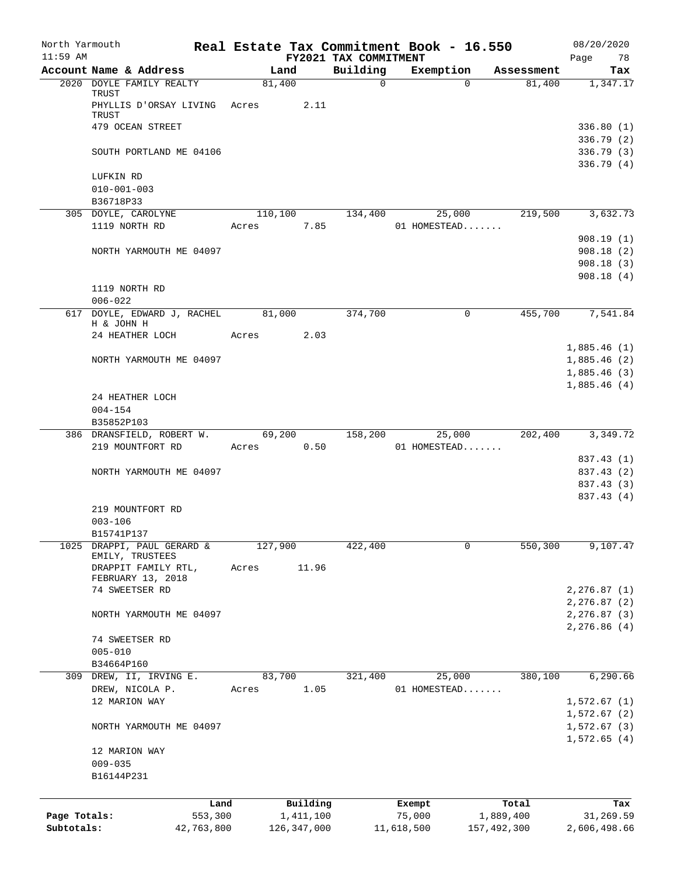| North Yarmouth<br>$11:59$ AM |                                           |         |                       |                                   | Real Estate Tax Commitment Book - 16.550 |                    | 08/20/2020                    |
|------------------------------|-------------------------------------------|---------|-----------------------|-----------------------------------|------------------------------------------|--------------------|-------------------------------|
|                              | Account Name & Address                    |         | Land                  | FY2021 TAX COMMITMENT<br>Building | Exemption                                | Assessment         | Page<br>78<br>Tax             |
|                              | 2020 DOYLE FAMILY REALTY                  |         | 81,400                | $\mathbf 0$                       | $\Omega$                                 | 81,400             | 1,347.17                      |
|                              | TRUST<br>PHYLLIS D'ORSAY LIVING Acres     |         | 2.11                  |                                   |                                          |                    |                               |
|                              | TRUST                                     |         |                       |                                   |                                          |                    |                               |
|                              | 479 OCEAN STREET                          |         |                       |                                   |                                          |                    | 336.80(1)                     |
|                              |                                           |         |                       |                                   |                                          |                    | 336.79 (2)                    |
|                              | SOUTH PORTLAND ME 04106                   |         |                       |                                   |                                          |                    | 336.79(3)<br>336.79 (4)       |
|                              | LUFKIN RD                                 |         |                       |                                   |                                          |                    |                               |
|                              | $010 - 001 - 003$                         |         |                       |                                   |                                          |                    |                               |
|                              | B36718P33                                 |         |                       |                                   |                                          |                    |                               |
|                              | 305 DOYLE, CAROLYNE                       |         | 110,100               | 134,400                           | 25,000                                   | 219,500            | 3,632.73                      |
|                              | 1119 NORTH RD                             | Acres   | 7.85                  |                                   | 01 HOMESTEAD                             |                    |                               |
|                              | NORTH YARMOUTH ME 04097                   |         |                       |                                   |                                          |                    | 908.19(1)<br>908.18(2)        |
|                              |                                           |         |                       |                                   |                                          |                    | 908.18(3)                     |
|                              |                                           |         |                       |                                   |                                          |                    | 908.18(4)                     |
|                              | 1119 NORTH RD                             |         |                       |                                   |                                          |                    |                               |
|                              | $006 - 022$                               |         |                       |                                   |                                          |                    |                               |
|                              | 617 DOYLE, EDWARD J, RACHEL<br>H & JOHN H |         | 81,000                | 374,700                           | 0                                        | 455,700            | 7,541.84                      |
|                              | 24 HEATHER LOCH                           | Acres   | 2.03                  |                                   |                                          |                    |                               |
|                              |                                           |         |                       |                                   |                                          |                    | 1,885.46(1)                   |
|                              | NORTH YARMOUTH ME 04097                   |         |                       |                                   |                                          |                    | 1,885.46(2)                   |
|                              |                                           |         |                       |                                   |                                          |                    | 1,885.46(3)                   |
|                              |                                           |         |                       |                                   |                                          |                    | 1,885.46(4)                   |
|                              | 24 HEATHER LOCH<br>$004 - 154$            |         |                       |                                   |                                          |                    |                               |
|                              | B35852P103                                |         |                       |                                   |                                          |                    |                               |
|                              | 386 DRANSFIELD, ROBERT W.                 |         | 69,200                | 158,200                           | 25,000                                   | 202,400            | 3,349.72                      |
|                              | 219 MOUNTFORT RD                          | Acres   | 0.50                  |                                   | 01 HOMESTEAD                             |                    |                               |
|                              |                                           |         |                       |                                   |                                          |                    | 837.43 (1)                    |
|                              | NORTH YARMOUTH ME 04097                   |         |                       |                                   |                                          |                    | 837.43 (2)                    |
|                              |                                           |         |                       |                                   |                                          |                    | 837.43 (3)<br>837.43 (4)      |
|                              | 219 MOUNTFORT RD                          |         |                       |                                   |                                          |                    |                               |
|                              | $003 - 106$                               |         |                       |                                   |                                          |                    |                               |
|                              | B15741P137                                |         |                       |                                   |                                          |                    |                               |
| 1025                         | DRAPPI, PAUL GERARD &                     | 127,900 |                       | 422,400                           | 0                                        | 550,300            | 9,107.47                      |
|                              | EMILY, TRUSTEES<br>DRAPPIT FAMILY RTL,    | Acres   | 11.96                 |                                   |                                          |                    |                               |
|                              | FEBRUARY 13, 2018                         |         |                       |                                   |                                          |                    |                               |
|                              | 74 SWEETSER RD                            |         |                       |                                   |                                          |                    | 2, 276.87(1)                  |
|                              |                                           |         |                       |                                   |                                          |                    | 2, 276.87 (2)                 |
|                              | NORTH YARMOUTH ME 04097                   |         |                       |                                   |                                          |                    | 2,276.87 (3)<br>2, 276.86 (4) |
|                              | 74 SWEETSER RD                            |         |                       |                                   |                                          |                    |                               |
|                              | $005 - 010$                               |         |                       |                                   |                                          |                    |                               |
|                              | B34664P160                                |         |                       |                                   |                                          |                    |                               |
|                              | 309 DREW, II, IRVING E.                   |         | 83,700                | 321,400                           | 25,000                                   | 380,100            | 6,290.66                      |
|                              | DREW, NICOLA P.                           | Acres   | 1.05                  |                                   | 01 HOMESTEAD                             |                    |                               |
|                              | 12 MARION WAY                             |         |                       |                                   |                                          |                    | 1,572.67(1)<br>1,572.67(2)    |
|                              | NORTH YARMOUTH ME 04097                   |         |                       |                                   |                                          |                    | 1,572.67(3)                   |
|                              |                                           |         |                       |                                   |                                          |                    | 1,572.65(4)                   |
|                              | 12 MARION WAY                             |         |                       |                                   |                                          |                    |                               |
|                              | $009 - 035$                               |         |                       |                                   |                                          |                    |                               |
|                              | B16144P231                                |         |                       |                                   |                                          |                    |                               |
|                              |                                           |         |                       |                                   |                                          |                    |                               |
| Page Totals:                 | Land<br>553,300                           |         | Building<br>1,411,100 |                                   | Exempt<br>75,000                         | Total<br>1,889,400 | Tax<br>31,269.59              |
| Subtotals:                   | 42,763,800                                |         | 126, 347, 000         |                                   | 11,618,500                               | 157,492,300        | 2,606,498.66                  |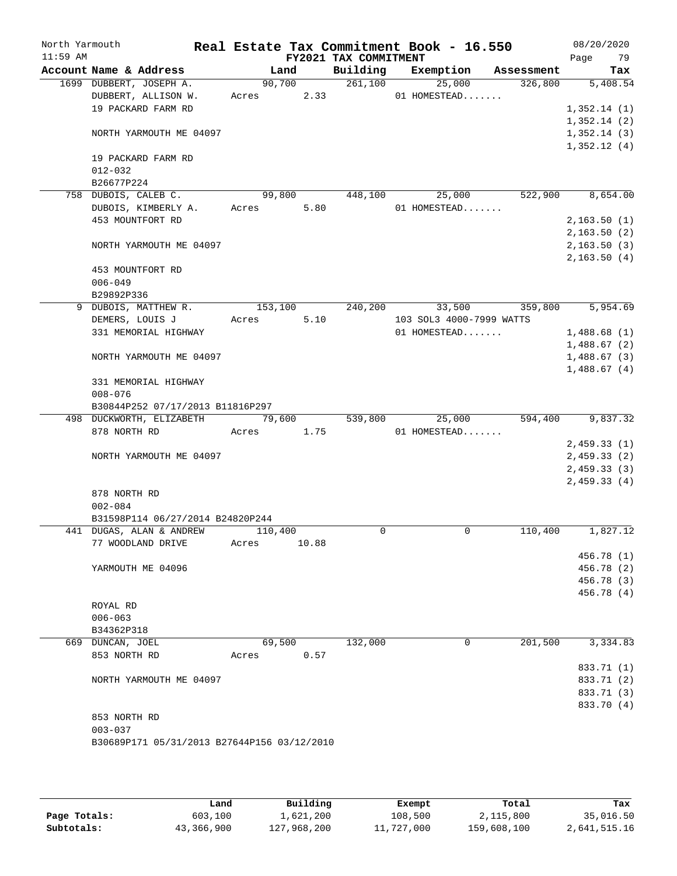| North Yarmouth<br>$11:59$ AM |                          |                                             |         |        | FY2021 TAX COMMITMENT | Real Estate Tax Commitment Book - 16.550 |            | 08/20/2020<br>79<br>Page |
|------------------------------|--------------------------|---------------------------------------------|---------|--------|-----------------------|------------------------------------------|------------|--------------------------|
|                              | Account Name & Address   |                                             |         | Land   | Building              | Exemption                                | Assessment | Tax                      |
|                              | 1699 DUBBERT, JOSEPH A.  |                                             |         | 90,700 | 261,100               | 25,000                                   | 326,800    | 5,408.54                 |
|                              | DUBBERT, ALLISON W.      |                                             | Acres   | 2.33   |                       | 01 HOMESTEAD                             |            |                          |
|                              | 19 PACKARD FARM RD       |                                             |         |        |                       |                                          |            | 1,352.14(1)              |
|                              |                          |                                             |         |        |                       |                                          |            | 1,352.14(2)              |
|                              |                          | NORTH YARMOUTH ME 04097                     |         |        |                       |                                          |            | 1,352.14(3)              |
|                              |                          |                                             |         |        |                       |                                          |            | 1,352.12(4)              |
|                              | 19 PACKARD FARM RD       |                                             |         |        |                       |                                          |            |                          |
|                              | $012 - 032$              |                                             |         |        |                       |                                          |            |                          |
|                              | B26677P224               |                                             |         |        |                       |                                          |            |                          |
|                              | 758 DUBOIS, CALEB C.     |                                             | 99,800  |        | 448,100               | 25,000                                   | 522,900    | 8,654.00                 |
|                              |                          | DUBOIS, KIMBERLY A.                         | Acres   | 5.80   |                       | 01 HOMESTEAD                             |            |                          |
|                              | 453 MOUNTFORT RD         |                                             |         |        |                       |                                          |            | 2,163.50(1)              |
|                              |                          |                                             |         |        |                       |                                          |            | 2,163.50(2)              |
|                              |                          | NORTH YARMOUTH ME 04097                     |         |        |                       |                                          |            | 2,163.50(3)              |
|                              |                          |                                             |         |        |                       |                                          |            | 2, 163.50(4)             |
|                              | 453 MOUNTFORT RD         |                                             |         |        |                       |                                          |            |                          |
|                              | $006 - 049$              |                                             |         |        |                       |                                          |            |                          |
|                              | B29892P336               |                                             |         |        |                       |                                          |            |                          |
| 9                            | DUBOIS, MATTHEW R.       |                                             | 153,100 |        | 240,200               | 33,500                                   | 359,800    | 5,954.69                 |
|                              | DEMERS, LOUIS J          |                                             | Acres   | 5.10   |                       | 103 SOL3 4000-7999 WATTS                 |            |                          |
|                              |                          | 331 MEMORIAL HIGHWAY                        |         |        |                       | 01 HOMESTEAD                             |            | 1,488.68(1)              |
|                              |                          |                                             |         |        |                       |                                          |            | 1,488.67(2)              |
|                              |                          | NORTH YARMOUTH ME 04097                     |         |        |                       |                                          |            | 1,488.67(3)              |
|                              |                          |                                             |         |        |                       |                                          |            | 1,488.67(4)              |
|                              | 331 MEMORIAL HIGHWAY     |                                             |         |        |                       |                                          |            |                          |
|                              | $008 - 076$              |                                             |         |        |                       |                                          |            |                          |
|                              |                          |                                             |         |        |                       |                                          |            |                          |
|                              |                          | B30844P252 07/17/2013 B11816P297            |         |        |                       |                                          |            |                          |
|                              | 498 DUCKWORTH, ELIZABETH |                                             | 79,600  |        | 539,800               | 25,000                                   | 594,400    | 9,837.32                 |
|                              | 878 NORTH RD             |                                             | Acres   | 1.75   |                       | 01 HOMESTEAD                             |            |                          |
|                              |                          |                                             |         |        |                       |                                          |            | 2,459.33(1)              |
|                              |                          | NORTH YARMOUTH ME 04097                     |         |        |                       |                                          |            | 2,459.33(2)              |
|                              |                          |                                             |         |        |                       |                                          |            | 2,459.33(3)              |
|                              |                          |                                             |         |        |                       |                                          |            | 2,459.33(4)              |
|                              | 878 NORTH RD             |                                             |         |        |                       |                                          |            |                          |
|                              | $002 - 084$              |                                             |         |        |                       |                                          |            |                          |
|                              |                          | B31598P114 06/27/2014 B24820P244            |         |        |                       |                                          |            |                          |
|                              | 441 DUGAS, ALAN & ANDREW |                                             | 110,400 |        | $\Omega$              | 0                                        | 110,400    | 1,827.12                 |
|                              | 77 WOODLAND DRIVE        |                                             | Acres   | 10.88  |                       |                                          |            |                          |
|                              |                          |                                             |         |        |                       |                                          |            | 456.78 (1)               |
|                              | YARMOUTH ME 04096        |                                             |         |        |                       |                                          |            | 456.78 (2)               |
|                              |                          |                                             |         |        |                       |                                          |            | 456.78 (3)               |
|                              |                          |                                             |         |        |                       |                                          |            | 456.78 (4)               |
|                              | ROYAL RD                 |                                             |         |        |                       |                                          |            |                          |
|                              | $006 - 063$              |                                             |         |        |                       |                                          |            |                          |
|                              | B34362P318               |                                             |         |        |                       |                                          |            |                          |
|                              | 669 DUNCAN, JOEL         |                                             | 69,500  |        | 132,000               | 0                                        | 201,500    | 3,334.83                 |
|                              | 853 NORTH RD             |                                             | Acres   | 0.57   |                       |                                          |            |                          |
|                              |                          |                                             |         |        |                       |                                          |            | 833.71 (1)               |
|                              |                          | NORTH YARMOUTH ME 04097                     |         |        |                       |                                          |            | 833.71 (2)               |
|                              |                          |                                             |         |        |                       |                                          |            | 833.71 (3)               |
|                              |                          |                                             |         |        |                       |                                          |            | 833.70 (4)               |
|                              | 853 NORTH RD             |                                             |         |        |                       |                                          |            |                          |
|                              | $003 - 037$              |                                             |         |        |                       |                                          |            |                          |
|                              |                          | B30689P171 05/31/2013 B27644P156 03/12/2010 |         |        |                       |                                          |            |                          |
|                              |                          |                                             |         |        |                       |                                          |            |                          |

|              | Land       | Building    | Exempt     | Total       | Tax          |
|--------------|------------|-------------|------------|-------------|--------------|
| Page Totals: | 603,100    | 1,621,200   | 108,500    | 2,115,800   | 35,016.50    |
| Subtotals:   | 43,366,900 | 127,968,200 | 11,727,000 | 159,608,100 | 2,641,515.16 |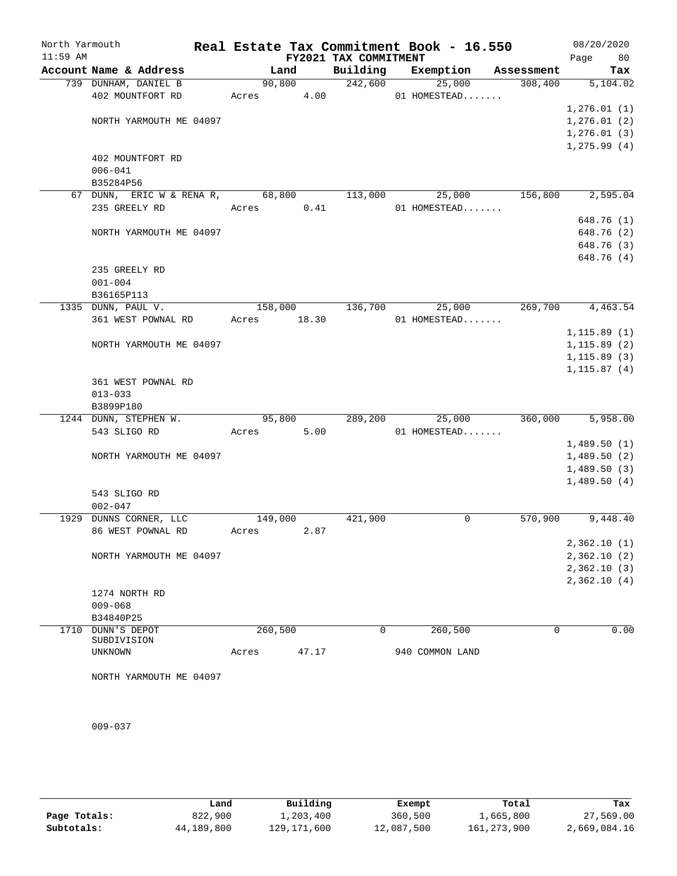| North Yarmouth |                                  |            |       |                       | Real Estate Tax Commitment Book - 16.550 |            | 08/20/2020                   |
|----------------|----------------------------------|------------|-------|-----------------------|------------------------------------------|------------|------------------------------|
| $11:59$ AM     |                                  |            |       | FY2021 TAX COMMITMENT |                                          |            | 80<br>Page                   |
|                | Account Name & Address           | Land       |       | Building              | Exemption                                | Assessment | Tax                          |
|                | 739 DUNHAM, DANIEL B             | 90,800     |       | 242,600               | 25,000                                   | 308,400    | 5,104.02                     |
|                | 402 MOUNTFORT RD                 | Acres 4.00 |       |                       | 01 HOMESTEAD                             |            |                              |
|                | NORTH YARMOUTH ME 04097          |            |       |                       |                                          |            | 1, 276.01(1)<br>1, 276.01(2) |
|                |                                  |            |       |                       |                                          |            | 1, 276.01(3)                 |
|                |                                  |            |       |                       |                                          |            | 1, 275.99(4)                 |
|                | 402 MOUNTFORT RD                 |            |       |                       |                                          |            |                              |
|                | $006 - 041$                      |            |       |                       |                                          |            |                              |
|                | B35284P56                        |            |       |                       |                                          |            |                              |
|                | 67 DUNN, ERIC W & RENA R, 68,800 |            |       | 113,000               | 25,000                                   | 156,800    | 2,595.04                     |
|                | 235 GREELY RD                    | Acres      | 0.41  |                       | 01 HOMESTEAD                             |            |                              |
|                |                                  |            |       |                       |                                          |            | 648.76 (1)                   |
|                | NORTH YARMOUTH ME 04097          |            |       |                       |                                          |            | 648.76 (2)                   |
|                |                                  |            |       |                       |                                          |            | 648.76 (3)                   |
|                |                                  |            |       |                       |                                          |            | 648.76 (4)                   |
|                | 235 GREELY RD                    |            |       |                       |                                          |            |                              |
|                | $001 - 004$                      |            |       |                       |                                          |            |                              |
|                | B36165P113<br>1335 DUNN, PAUL V. | 158,000    |       | 136,700               | 25,000                                   | 269,700    | 4,463.54                     |
|                | 361 WEST POWNAL RD               | Acres      | 18.30 |                       | 01 HOMESTEAD                             |            |                              |
|                |                                  |            |       |                       |                                          |            | 1, 115.89(1)                 |
|                | NORTH YARMOUTH ME 04097          |            |       |                       |                                          |            | 1, 115.89(2)                 |
|                |                                  |            |       |                       |                                          |            | 1, 115.89(3)                 |
|                |                                  |            |       |                       |                                          |            | 1, 115.87(4)                 |
|                | 361 WEST POWNAL RD               |            |       |                       |                                          |            |                              |
|                | $013 - 033$                      |            |       |                       |                                          |            |                              |
|                | B3899P180                        |            |       |                       |                                          |            |                              |
|                | 1244 DUNN, STEPHEN W.            | 95,800     |       | 289,200               | 25,000                                   | 360,000    | 5,958.00                     |
|                | 543 SLIGO RD                     | Acres      | 5.00  |                       | 01 HOMESTEAD                             |            |                              |
|                |                                  |            |       |                       |                                          |            | 1,489.50(1)                  |
|                | NORTH YARMOUTH ME 04097          |            |       |                       |                                          |            | 1,489.50(2)                  |
|                |                                  |            |       |                       |                                          |            | 1,489.50(3)                  |
|                | 543 SLIGO RD                     |            |       |                       |                                          |            | 1,489.50(4)                  |
|                | $002 - 047$                      |            |       |                       |                                          |            |                              |
|                | 1929 DUNNS CORNER, LLC           | 149,000    |       | 421,900               | 0                                        | 570,900    | 9,448.40                     |
|                | 86 WEST POWNAL RD                | Acres      | 2.87  |                       |                                          |            |                              |
|                |                                  |            |       |                       |                                          |            | 2,362.10(1)                  |
|                | NORTH YARMOUTH ME 04097          |            |       |                       |                                          |            | 2,362.10(2)                  |
|                |                                  |            |       |                       |                                          |            | 2,362.10(3)                  |
|                |                                  |            |       |                       |                                          |            | 2,362.10(4)                  |
|                | 1274 NORTH RD                    |            |       |                       |                                          |            |                              |
|                | $009 - 068$                      |            |       |                       |                                          |            |                              |
|                | B34840P25                        |            |       |                       |                                          |            |                              |
| 1710           | DUNN'S DEPOT                     | 260,500    |       | 0                     | 260,500                                  | 0          | 0.00                         |
|                | SUBDIVISION<br>UNKNOWN           | Acres      | 47.17 |                       | 940 COMMON LAND                          |            |                              |
|                |                                  |            |       |                       |                                          |            |                              |
|                | NORTH YARMOUTH ME 04097          |            |       |                       |                                          |            |                              |
|                |                                  |            |       |                       |                                          |            |                              |

009-037

|              | Land       | Building    | Exempt     | Total         | Tax          |
|--------------|------------|-------------|------------|---------------|--------------|
| Page Totals: | 822,900    | 1,203,400   | 360,500    | 1,665,800     | 27,569.00    |
| Subtotals:   | 44,189,800 | 129,171,600 | 12,087,500 | 161, 273, 900 | 2,669,084.16 |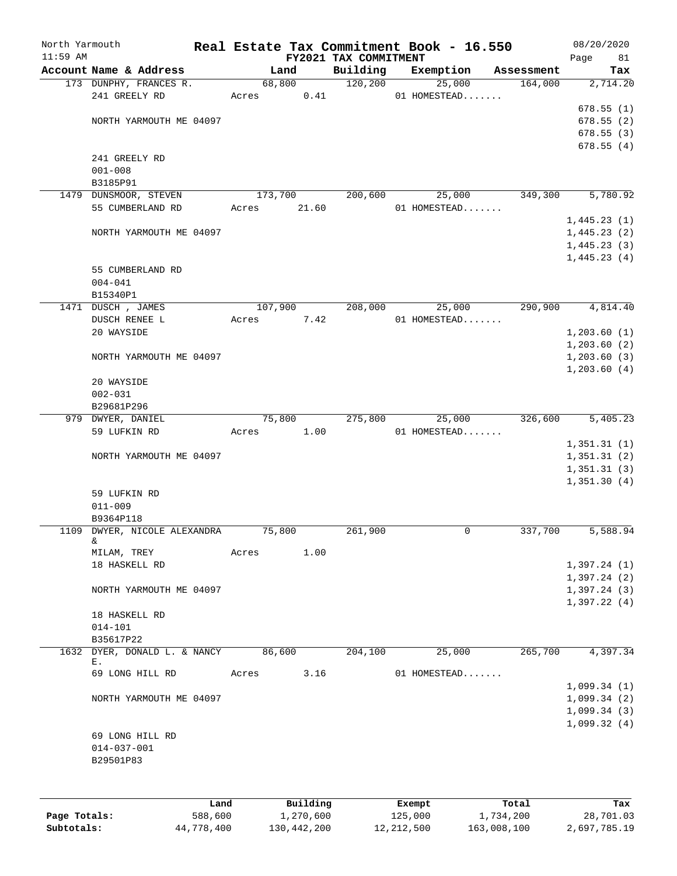| North Yarmouth<br>$11:59$ AM |                                   |         |       |           | FY2021 TAX COMMITMENT | Real Estate Tax Commitment Book - 16.550 |            | 08/20/2020<br>81<br>Page |
|------------------------------|-----------------------------------|---------|-------|-----------|-----------------------|------------------------------------------|------------|--------------------------|
|                              | Account Name & Address            |         |       | Land      | Building              | Exemption                                | Assessment | Tax                      |
|                              | 173 DUNPHY, FRANCES R.            |         |       | 68,800    | 120, 200              | 25,000                                   | 164,000    | 2,714.20                 |
|                              | 241 GREELY RD                     |         | Acres | 0.41      |                       | 01 HOMESTEAD                             |            |                          |
|                              |                                   |         |       |           |                       |                                          |            | 678.55(1)                |
|                              | NORTH YARMOUTH ME 04097           |         |       |           |                       |                                          |            | 678.55(2)                |
|                              |                                   |         |       |           |                       |                                          |            | 678.55(3)                |
|                              |                                   |         |       |           |                       |                                          |            | 678.55(4)                |
|                              | 241 GREELY RD                     |         |       |           |                       |                                          |            |                          |
|                              | $001 - 008$                       |         |       |           |                       |                                          |            |                          |
|                              | B3185P91                          |         |       |           |                       |                                          |            |                          |
|                              | 1479 DUNSMOOR, STEVEN             |         |       | 173,700   | 200,600               | 25,000                                   | 349,300    | 5,780.92                 |
|                              | 55 CUMBERLAND RD                  |         | Acres | 21.60     |                       | 01 HOMESTEAD                             |            |                          |
|                              |                                   |         |       |           |                       |                                          |            | 1,445.23(1)              |
|                              | NORTH YARMOUTH ME 04097           |         |       |           |                       |                                          |            | 1,445.23(2)              |
|                              |                                   |         |       |           |                       |                                          |            | 1,445.23(3)              |
|                              |                                   |         |       |           |                       |                                          |            | 1,445.23(4)              |
|                              | 55 CUMBERLAND RD                  |         |       |           |                       |                                          |            |                          |
|                              | $004 - 041$                       |         |       |           |                       |                                          |            |                          |
|                              | B15340P1                          |         |       |           |                       |                                          |            |                          |
|                              | 1471 DUSCH, JAMES                 |         |       | 107,900   | 208,000               | 25,000                                   | 290,900    | 4,814.40                 |
|                              |                                   |         |       |           |                       | 01 HOMESTEAD                             |            |                          |
|                              | DUSCH RENEE L<br>20 WAYSIDE       |         | Acres | 7.42      |                       |                                          |            |                          |
|                              |                                   |         |       |           |                       |                                          |            | 1, 203.60(1)             |
|                              |                                   |         |       |           |                       |                                          |            | 1, 203.60(2)             |
|                              | NORTH YARMOUTH ME 04097           |         |       |           |                       |                                          |            | 1, 203.60(3)             |
|                              |                                   |         |       |           |                       |                                          |            | 1, 203.60(4)             |
|                              | 20 WAYSIDE                        |         |       |           |                       |                                          |            |                          |
|                              | $002 - 031$                       |         |       |           |                       |                                          |            |                          |
|                              | B29681P296                        |         |       |           |                       |                                          |            |                          |
|                              | 979 DWYER, DANIEL                 |         |       | 75,800    | 275,800               | 25,000                                   | 326,600    | 5,405.23                 |
|                              | 59 LUFKIN RD                      |         | Acres | 1.00      |                       | 01 HOMESTEAD                             |            |                          |
|                              |                                   |         |       |           |                       |                                          |            | 1,351.31(1)              |
|                              | NORTH YARMOUTH ME 04097           |         |       |           |                       |                                          |            | 1,351.31(2)              |
|                              |                                   |         |       |           |                       |                                          |            | 1,351.31(3)              |
|                              |                                   |         |       |           |                       |                                          |            | 1,351.30(4)              |
|                              | 59 LUFKIN RD                      |         |       |           |                       |                                          |            |                          |
|                              | $011 - 009$                       |         |       |           |                       |                                          |            |                          |
|                              | B9364P118                         |         |       | 75,800    | 261,900               | 0                                        |            | 5,588.94                 |
|                              | 1109 DWYER, NICOLE ALEXANDRA<br>& |         |       |           |                       |                                          | 337,700    |                          |
|                              | MILAM, TREY                       |         | Acres | 1.00      |                       |                                          |            |                          |
|                              | 18 HASKELL RD                     |         |       |           |                       |                                          |            | 1,397.24(1)              |
|                              |                                   |         |       |           |                       |                                          |            | 1,397.24(2)              |
|                              | NORTH YARMOUTH ME 04097           |         |       |           |                       |                                          |            | 1,397.24(3)              |
|                              |                                   |         |       |           |                       |                                          |            | 1,397.22(4)              |
|                              | 18 HASKELL RD                     |         |       |           |                       |                                          |            |                          |
|                              | $014 - 101$                       |         |       |           |                       |                                          |            |                          |
|                              | B35617P22                         |         |       |           |                       |                                          |            |                          |
| 1632                         | DYER, DONALD L. & NANCY           |         |       | 86,600    | 204,100               | 25,000                                   | 265,700    | 4,397.34                 |
|                              | Ε.                                |         |       |           |                       |                                          |            |                          |
|                              | 69 LONG HILL RD                   |         | Acres | 3.16      |                       | 01 HOMESTEAD                             |            |                          |
|                              |                                   |         |       |           |                       |                                          |            | 1,099.34(1)              |
|                              | NORTH YARMOUTH ME 04097           |         |       |           |                       |                                          |            | 1,099.34(2)              |
|                              |                                   |         |       |           |                       |                                          |            | 1,099.34(3)              |
|                              |                                   |         |       |           |                       |                                          |            | 1,099.32(4)              |
|                              | 69 LONG HILL RD                   |         |       |           |                       |                                          |            |                          |
|                              | $014 - 037 - 001$                 |         |       |           |                       |                                          |            |                          |
|                              | B29501P83                         |         |       |           |                       |                                          |            |                          |
|                              |                                   |         |       |           |                       |                                          |            |                          |
|                              |                                   |         |       |           |                       |                                          |            |                          |
|                              |                                   |         |       |           |                       |                                          |            |                          |
|                              |                                   | Land    |       | Building  |                       | Exempt                                   | Total      | Tax                      |
| Page Totals:                 |                                   | 588,600 |       | 1,270,600 |                       | 125,000                                  | 1,734,200  | 28,701.03                |

**Subtotals:** 44,778,400 130,442,200 12,212,500 163,008,100 2,697,785.19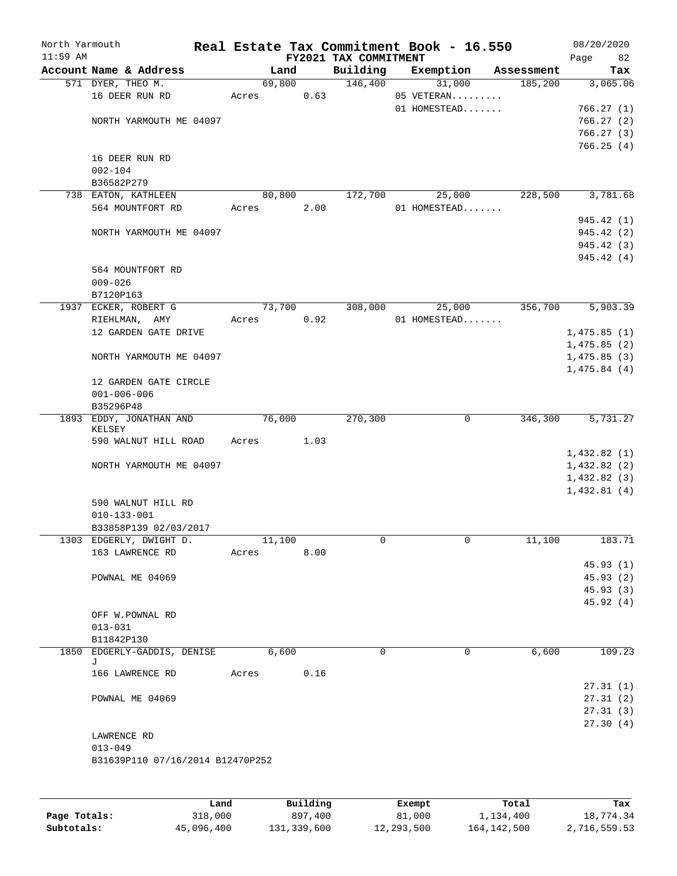| Account Name & Address<br>571 DYER, THEO M.<br>16 DEER RUN RD<br>NORTH YARMOUTH ME 04097<br>16 DEER RUN RD<br>$002 - 104$<br>B36582P279<br>738 EATON, KATHLEEN<br>564 MOUNTFORT RD<br>NORTH YARMOUTH ME 04097 | Acres<br>Acres                                                                                                | Land<br>69,800<br>80,800 | 0.63  | FY2021 TAX COMMITMENT<br>Building<br>146,400 | Exemption<br>31,000<br>05 VETERAN<br>01 HOMESTEAD | Assessment<br>185,200 | Page<br>82<br>Tax<br>3,065.06<br>766.27(1)<br>766.27(2)<br>766.27(3)<br>766.25(4) |
|---------------------------------------------------------------------------------------------------------------------------------------------------------------------------------------------------------------|---------------------------------------------------------------------------------------------------------------|--------------------------|-------|----------------------------------------------|---------------------------------------------------|-----------------------|-----------------------------------------------------------------------------------|
|                                                                                                                                                                                                               |                                                                                                               |                          |       |                                              |                                                   |                       |                                                                                   |
|                                                                                                                                                                                                               |                                                                                                               |                          |       |                                              |                                                   |                       |                                                                                   |
|                                                                                                                                                                                                               |                                                                                                               |                          |       |                                              |                                                   |                       |                                                                                   |
|                                                                                                                                                                                                               |                                                                                                               |                          |       |                                              |                                                   |                       |                                                                                   |
|                                                                                                                                                                                                               |                                                                                                               |                          |       |                                              |                                                   |                       |                                                                                   |
|                                                                                                                                                                                                               |                                                                                                               |                          |       |                                              |                                                   |                       |                                                                                   |
|                                                                                                                                                                                                               |                                                                                                               |                          |       |                                              |                                                   |                       |                                                                                   |
|                                                                                                                                                                                                               |                                                                                                               |                          |       |                                              |                                                   |                       |                                                                                   |
|                                                                                                                                                                                                               |                                                                                                               |                          |       |                                              |                                                   |                       |                                                                                   |
|                                                                                                                                                                                                               |                                                                                                               |                          |       |                                              |                                                   |                       |                                                                                   |
|                                                                                                                                                                                                               |                                                                                                               |                          |       | 172,700                                      | 25,000                                            | 228,500               | 3,781.68                                                                          |
|                                                                                                                                                                                                               |                                                                                                               |                          | 2.00  |                                              | 01 HOMESTEAD                                      |                       |                                                                                   |
|                                                                                                                                                                                                               |                                                                                                               |                          |       |                                              |                                                   |                       | 945.42 (1)                                                                        |
|                                                                                                                                                                                                               |                                                                                                               |                          |       |                                              |                                                   |                       | 945.42 (2)                                                                        |
|                                                                                                                                                                                                               |                                                                                                               |                          |       |                                              |                                                   |                       | 945.42 (3)                                                                        |
|                                                                                                                                                                                                               |                                                                                                               |                          |       |                                              |                                                   |                       | 945.42(4)                                                                         |
| 564 MOUNTFORT RD                                                                                                                                                                                              |                                                                                                               |                          |       |                                              |                                                   |                       |                                                                                   |
| $009 - 026$                                                                                                                                                                                                   |                                                                                                               |                          |       |                                              |                                                   |                       |                                                                                   |
| B7120P163                                                                                                                                                                                                     |                                                                                                               |                          |       |                                              |                                                   |                       |                                                                                   |
| 1937 ECKER, ROBERT G                                                                                                                                                                                          |                                                                                                               | 73,700                   |       | 308,000                                      | 25,000                                            | 356,700               | 5,903.39                                                                          |
| RIEHLMAN, AMY                                                                                                                                                                                                 | Acres                                                                                                         |                          | 0.92  |                                              | 01 HOMESTEAD                                      |                       |                                                                                   |
| 12 GARDEN GATE DRIVE                                                                                                                                                                                          |                                                                                                               |                          |       |                                              |                                                   |                       | 1,475.85(1)                                                                       |
|                                                                                                                                                                                                               |                                                                                                               |                          |       |                                              |                                                   |                       | 1,475.85(2)                                                                       |
| NORTH YARMOUTH ME 04097                                                                                                                                                                                       |                                                                                                               |                          |       |                                              |                                                   |                       | 1,475.85(3)                                                                       |
|                                                                                                                                                                                                               |                                                                                                               |                          |       |                                              |                                                   |                       | 1,475.84(4)                                                                       |
| 12 GARDEN GATE CIRCLE                                                                                                                                                                                         |                                                                                                               |                          |       |                                              |                                                   |                       |                                                                                   |
| $001 - 006 - 006$<br>B35296P48                                                                                                                                                                                |                                                                                                               |                          |       |                                              |                                                   |                       |                                                                                   |
| 1893 EDDY, JONATHAN AND                                                                                                                                                                                       |                                                                                                               | 76,000                   |       | 270,300                                      | $\mathbf 0$                                       | 346,300               | 5,731.27                                                                          |
| KELSEY                                                                                                                                                                                                        |                                                                                                               |                          |       |                                              |                                                   |                       |                                                                                   |
| 590 WALNUT HILL ROAD                                                                                                                                                                                          | Acres                                                                                                         |                          | 1.03  |                                              |                                                   |                       |                                                                                   |
|                                                                                                                                                                                                               |                                                                                                               |                          |       |                                              |                                                   |                       | 1,432.82(1)                                                                       |
| NORTH YARMOUTH ME 04097                                                                                                                                                                                       |                                                                                                               |                          |       |                                              |                                                   |                       | 1,432.82(2)                                                                       |
|                                                                                                                                                                                                               |                                                                                                               |                          |       |                                              |                                                   |                       | 1,432.82(3)                                                                       |
|                                                                                                                                                                                                               |                                                                                                               |                          |       |                                              |                                                   |                       | 1,432.81(4)                                                                       |
| 590 WALNUT HILL RD                                                                                                                                                                                            |                                                                                                               |                          |       |                                              |                                                   |                       |                                                                                   |
| $010 - 133 - 001$                                                                                                                                                                                             |                                                                                                               |                          |       |                                              |                                                   |                       |                                                                                   |
| B33858P139 02/03/2017                                                                                                                                                                                         |                                                                                                               |                          |       |                                              |                                                   |                       |                                                                                   |
| 1303 EDGERLY, DWIGHT D.                                                                                                                                                                                       |                                                                                                               | 11,100                   |       | 0                                            | 0                                                 | 11,100                | 183.71                                                                            |
| 163 LAWRENCE RD                                                                                                                                                                                               | Acres                                                                                                         |                          | 8.00  |                                              |                                                   |                       |                                                                                   |
|                                                                                                                                                                                                               |                                                                                                               |                          |       |                                              |                                                   |                       | 45.93(1)                                                                          |
|                                                                                                                                                                                                               |                                                                                                               |                          |       |                                              |                                                   |                       | 45.93(2)                                                                          |
|                                                                                                                                                                                                               |                                                                                                               |                          |       |                                              |                                                   |                       | 45.93(3)                                                                          |
|                                                                                                                                                                                                               |                                                                                                               |                          |       |                                              |                                                   |                       | 45.92(4)                                                                          |
|                                                                                                                                                                                                               |                                                                                                               |                          |       |                                              |                                                   |                       |                                                                                   |
|                                                                                                                                                                                                               |                                                                                                               |                          |       |                                              |                                                   |                       |                                                                                   |
|                                                                                                                                                                                                               |                                                                                                               |                          |       |                                              |                                                   |                       | 109.23                                                                            |
|                                                                                                                                                                                                               |                                                                                                               |                          |       |                                              |                                                   |                       |                                                                                   |
| 166 LAWRENCE RD                                                                                                                                                                                               |                                                                                                               |                          | 0.16  |                                              |                                                   |                       |                                                                                   |
|                                                                                                                                                                                                               |                                                                                                               |                          |       |                                              |                                                   |                       | 27.31(1)                                                                          |
| POWNAL ME 04069                                                                                                                                                                                               |                                                                                                               |                          |       |                                              |                                                   |                       | 27.31(2)                                                                          |
|                                                                                                                                                                                                               |                                                                                                               |                          |       |                                              |                                                   |                       | 27.31(3)                                                                          |
|                                                                                                                                                                                                               |                                                                                                               |                          |       |                                              |                                                   |                       | 27.30(4)                                                                          |
|                                                                                                                                                                                                               |                                                                                                               |                          |       |                                              |                                                   |                       |                                                                                   |
|                                                                                                                                                                                                               |                                                                                                               |                          |       |                                              |                                                   |                       |                                                                                   |
| $013 - 049$                                                                                                                                                                                                   |                                                                                                               |                          |       |                                              |                                                   |                       |                                                                                   |
| B31639P110 07/16/2014 B12470P252                                                                                                                                                                              |                                                                                                               |                          |       |                                              |                                                   |                       |                                                                                   |
|                                                                                                                                                                                                               | POWNAL ME 04069<br>OFF W.POWNAL RD<br>$013 - 031$<br>B11842P130<br>1850 EDGERLY-GADDIS, DENISE<br>LAWRENCE RD |                          | Acres | 6,600                                        | $\Omega$                                          | 0                     | 6,600                                                                             |

|              | Land       | Building    | Exempt     | Total       | Tax          |
|--------------|------------|-------------|------------|-------------|--------------|
| Page Totals: | 318,000    | 897,400     | 81,000     | 1,134,400   | 18,774.34    |
| Subtotals:   | 45,096,400 | 131,339,600 | 12,293,500 | 164,142,500 | 2,716,559.53 |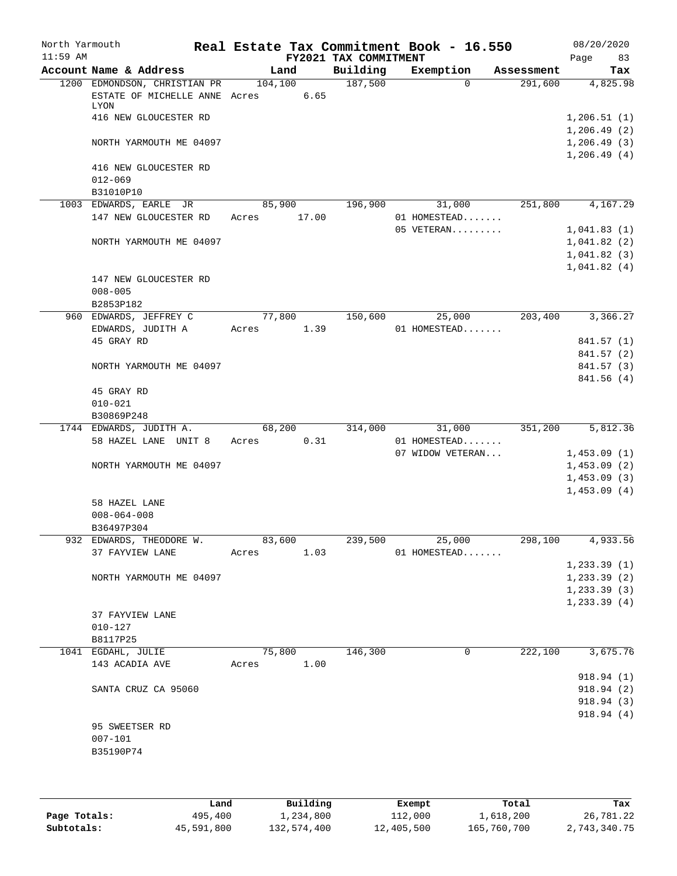| North Yarmouth<br>$11:59$ AM |                                                                              |          |        | FY2021 TAX COMMITMENT | Real Estate Tax Commitment Book - 16.550 |            | 08/20/2020<br>83<br>Page   |
|------------------------------|------------------------------------------------------------------------------|----------|--------|-----------------------|------------------------------------------|------------|----------------------------|
|                              | Account Name & Address                                                       |          | Land   | Building              | Exemption                                | Assessment | Tax                        |
|                              | 1200 EDMONDSON, CHRISTIAN PR<br>ESTATE OF MICHELLE ANNE Acres<br><b>LYON</b> | 104, 100 | 6.65   | 187,500               | $\Omega$                                 | 291,600    | 4,825.98                   |
|                              | 416 NEW GLOUCESTER RD                                                        |          |        |                       |                                          |            | 1,206.51(1)<br>1,206.49(2) |
|                              | NORTH YARMOUTH ME 04097                                                      |          |        |                       |                                          |            | 1,206.49(3)<br>1,206.49(4) |
|                              | 416 NEW GLOUCESTER RD<br>$012 - 069$                                         |          |        |                       |                                          |            |                            |
|                              | B31010P10                                                                    |          |        |                       |                                          |            |                            |
|                              | 1003 EDWARDS, EARLE JR                                                       | 85,900   |        | 196,900               | 31,000                                   | 251,800    | 4,167.29                   |
|                              | 147 NEW GLOUCESTER RD                                                        | Acres    | 17.00  |                       | 01 HOMESTEAD                             |            |                            |
|                              |                                                                              |          |        |                       | 05 VETERAN                               |            | 1,041.83(1)                |
|                              | NORTH YARMOUTH ME 04097                                                      |          |        |                       |                                          |            | 1,041.82(2)                |
|                              |                                                                              |          |        |                       |                                          |            | 1,041.82(3)                |
|                              | 147 NEW GLOUCESTER RD                                                        |          |        |                       |                                          |            | 1,041.82(4)                |
|                              | $008 - 005$                                                                  |          |        |                       |                                          |            |                            |
|                              | B2853P182                                                                    |          |        |                       |                                          |            |                            |
|                              | 960 EDWARDS, JEFFREY C                                                       | 77,800   |        | 150,600               | 25,000                                   | 203,400    | 3,366.27                   |
|                              | EDWARDS, JUDITH A                                                            | Acres    | 1.39   |                       | 01 HOMESTEAD                             |            |                            |
|                              | 45 GRAY RD                                                                   |          |        |                       |                                          |            | 841.57 (1)                 |
|                              |                                                                              |          |        |                       |                                          |            | 841.57 (2)                 |
|                              | NORTH YARMOUTH ME 04097                                                      |          |        |                       |                                          |            | 841.57 (3)                 |
|                              | 45 GRAY RD                                                                   |          |        |                       |                                          |            | 841.56 (4)                 |
|                              | $010 - 021$                                                                  |          |        |                       |                                          |            |                            |
|                              | B30869P248                                                                   |          |        |                       |                                          |            |                            |
|                              | 1744 EDWARDS, JUDITH A.                                                      | 68,200   |        | 314,000               | 31,000                                   | 351,200    | 5,812.36                   |
|                              | 58 HAZEL LANE UNIT 8                                                         | Acres    | 0.31   |                       | 01 HOMESTEAD                             |            |                            |
|                              |                                                                              |          |        |                       | 07 WIDOW VETERAN                         |            | 1,453.09(1)                |
|                              | NORTH YARMOUTH ME 04097                                                      |          |        |                       |                                          |            | 1,453.09(2)<br>1,453.09(3) |
|                              |                                                                              |          |        |                       |                                          |            | 1,453.09(4)                |
|                              | 58 HAZEL LANE                                                                |          |        |                       |                                          |            |                            |
|                              | $008 - 064 - 008$                                                            |          |        |                       |                                          |            |                            |
|                              | B36497P304                                                                   |          |        |                       |                                          |            |                            |
|                              | 932 EDWARDS, THEODORE W.                                                     | 83,600   |        | 239,500               | 25,000                                   | 298,100    | 4,933.56                   |
|                              | 37 FAYVIEW LANE                                                              | Acres    | 1.03   |                       | 01 HOMESTEAD                             |            |                            |
|                              |                                                                              |          |        |                       |                                          |            | 1, 233.39(1)               |
|                              | NORTH YARMOUTH ME 04097                                                      |          |        |                       |                                          |            | 1, 233.39(2)               |
|                              |                                                                              |          |        |                       |                                          |            | 1, 233.39(3)               |
|                              |                                                                              |          |        |                       |                                          |            | 1, 233.39(4)               |
|                              | 37 FAYVIEW LANE                                                              |          |        |                       |                                          |            |                            |
|                              | $010 - 127$                                                                  |          |        |                       |                                          |            |                            |
|                              | B8117P25<br>1041 EGDAHL, JULIE                                               |          | 75,800 | 146,300               | 0                                        | 222,100    | 3,675.76                   |
|                              | 143 ACADIA AVE                                                               | Acres    | 1.00   |                       |                                          |            |                            |
|                              |                                                                              |          |        |                       |                                          |            | 918.94(1)                  |
|                              | SANTA CRUZ CA 95060                                                          |          |        |                       |                                          |            | 918.94(2)                  |
|                              |                                                                              |          |        |                       |                                          |            | 918.94 (3)                 |
|                              |                                                                              |          |        |                       |                                          |            | 918.94(4)                  |
|                              | 95 SWEETSER RD                                                               |          |        |                       |                                          |            |                            |
|                              | $007 - 101$                                                                  |          |        |                       |                                          |            |                            |
|                              | B35190P74                                                                    |          |        |                       |                                          |            |                            |
|                              |                                                                              |          |        |                       |                                          |            |                            |
|                              |                                                                              |          |        |                       |                                          |            |                            |

|              | Land       | Building    | Exempt     | Total       | Tax          |
|--------------|------------|-------------|------------|-------------|--------------|
| Page Totals: | 495,400    | 1,234,800   | 112,000    | 1,618,200   | 26,781.22    |
| Subtotals:   | 45,591,800 | 132,574,400 | 12,405,500 | 165,760,700 | 2,743,340.75 |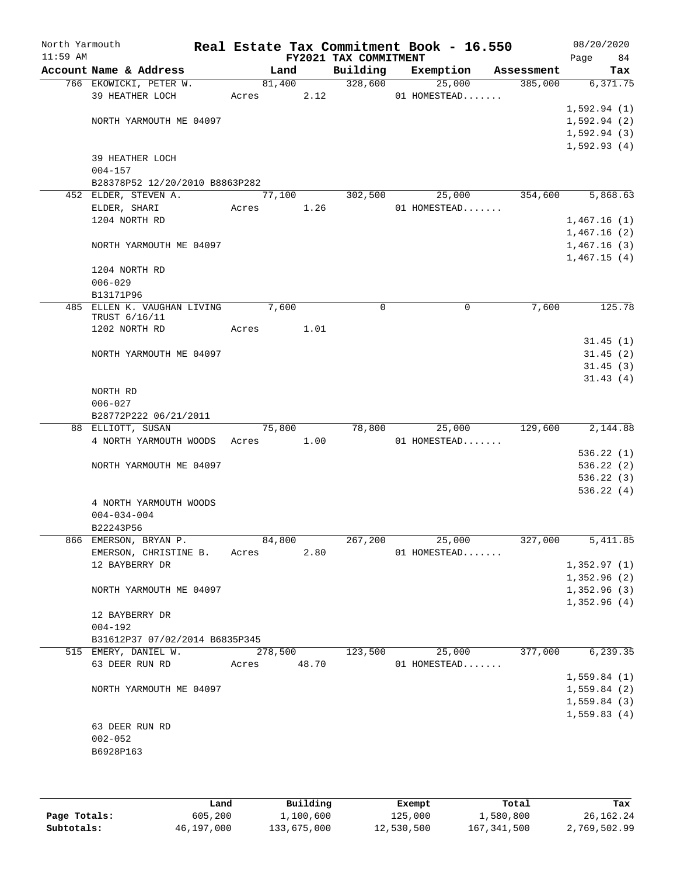| North Yarmouth<br>$11:59$ AM |                                |             |         |      | FY2021 TAX COMMITMENT | Real Estate Tax Commitment Book - 16.550 |            | 08/20/2020<br>84<br>Page |
|------------------------------|--------------------------------|-------------|---------|------|-----------------------|------------------------------------------|------------|--------------------------|
|                              | Account Name & Address         |             | Land    |      | Building              | Exemption                                | Assessment | Tax                      |
|                              | 766 EKOWICKI, PETER W.         |             | 81,400  |      | 328,600               | 25,000                                   | 385,000    | 6,371.75                 |
|                              | 39 HEATHER LOCH                | Acres       |         | 2.12 |                       | 01 HOMESTEAD                             |            |                          |
|                              |                                |             |         |      |                       |                                          |            | 1,592.94(1)              |
|                              | NORTH YARMOUTH ME 04097        |             |         |      |                       |                                          |            | 1,592.94(2)              |
|                              |                                |             |         |      |                       |                                          |            | 1,592.94(3)              |
|                              |                                |             |         |      |                       |                                          |            | 1,592.93(4)              |
|                              | 39 HEATHER LOCH                |             |         |      |                       |                                          |            |                          |
|                              | $004 - 157$                    |             |         |      |                       |                                          |            |                          |
|                              | B28378P52 12/20/2010 B8863P282 |             |         |      |                       |                                          |            |                          |
|                              | 452 ELDER, STEVEN A.           |             | 77,100  |      | 302,500               | 25,000                                   | 354,600    | 5,868.63                 |
|                              | ELDER, SHARI                   | Acres       |         | 1.26 |                       | 01 HOMESTEAD                             |            |                          |
|                              | 1204 NORTH RD                  |             |         |      |                       |                                          |            | 1,467.16(1)              |
|                              |                                |             |         |      |                       |                                          |            | 1,467.16(2)              |
|                              | NORTH YARMOUTH ME 04097        |             |         |      |                       |                                          |            | 1,467.16(3)              |
|                              |                                |             |         |      |                       |                                          |            | 1,467.15(4)              |
|                              | 1204 NORTH RD                  |             |         |      |                       |                                          |            |                          |
|                              | $006 - 029$                    |             |         |      |                       |                                          |            |                          |
|                              | B13171P96                      |             |         |      |                       |                                          |            |                          |
|                              | 485 ELLEN K. VAUGHAN LIVING    |             | 7,600   |      | 0                     | $\mathbf 0$                              | 7,600      | 125.78                   |
|                              | TRUST 6/16/11                  |             |         |      |                       |                                          |            |                          |
|                              | 1202 NORTH RD                  | Acres       |         | 1.01 |                       |                                          |            |                          |
|                              |                                |             |         |      |                       |                                          |            | 31.45(1)                 |
|                              | NORTH YARMOUTH ME 04097        |             |         |      |                       |                                          |            | 31.45(2)                 |
|                              |                                |             |         |      |                       |                                          |            | 31.45(3)                 |
|                              |                                |             |         |      |                       |                                          |            | 31.43(4)                 |
|                              | NORTH RD                       |             |         |      |                       |                                          |            |                          |
|                              | $006 - 027$                    |             |         |      |                       |                                          |            |                          |
|                              | B28772P222 06/21/2011          |             |         |      |                       |                                          |            |                          |
|                              | 88 ELLIOTT, SUSAN              |             | 75,800  |      | 78,800                | 25,000                                   | 129,600    | 2,144.88                 |
|                              | 4 NORTH YARMOUTH WOODS         | Acres       |         | 1.00 |                       | 01 HOMESTEAD                             |            |                          |
|                              |                                |             |         |      |                       |                                          |            | 536.22(1)                |
|                              | NORTH YARMOUTH ME 04097        |             |         |      |                       |                                          |            | 536.22(2)                |
|                              |                                |             |         |      |                       |                                          |            | 536.22(3)                |
|                              |                                |             |         |      |                       |                                          |            | 536.22(4)                |
|                              | 4 NORTH YARMOUTH WOODS         |             |         |      |                       |                                          |            |                          |
|                              | $004 - 034 - 004$              |             |         |      |                       |                                          |            |                          |
|                              | B22243P56                      |             |         |      |                       |                                          |            |                          |
|                              |                                |             |         |      |                       |                                          |            |                          |
|                              | 866 EMERSON, BRYAN P.          |             | 84,800  |      | 267,200               | 25,000                                   | 327,000    | 5,411.85                 |
|                              | EMERSON, CHRISTINE B. Acres    |             |         | 2.80 |                       | 01 HOMESTEAD                             |            |                          |
|                              | 12 BAYBERRY DR                 |             |         |      |                       |                                          |            | 1,352.97(1)              |
|                              |                                |             |         |      |                       |                                          |            | 1,352.96(2)              |
|                              | NORTH YARMOUTH ME 04097        |             |         |      |                       |                                          |            | 1,352.96(3)              |
|                              |                                |             |         |      |                       |                                          |            | 1,352.96(4)              |
|                              | 12 BAYBERRY DR                 |             |         |      |                       |                                          |            |                          |
|                              | $004 - 192$                    |             |         |      |                       |                                          |            |                          |
|                              | B31612P37 07/02/2014 B6835P345 |             |         |      |                       |                                          |            |                          |
|                              | 515 EMERY, DANIEL W.           |             | 278,500 |      | 123,500               | 25,000                                   | 377,000    | 6,239.35                 |
|                              | 63 DEER RUN RD                 | Acres 48.70 |         |      |                       | 01 HOMESTEAD                             |            |                          |
|                              |                                |             |         |      |                       |                                          |            | 1,559.84(1)              |
|                              | NORTH YARMOUTH ME 04097        |             |         |      |                       |                                          |            | 1,559.84(2)              |
|                              |                                |             |         |      |                       |                                          |            | 1,559.84(3)              |
|                              |                                |             |         |      |                       |                                          |            | 1,559.83(4)              |
|                              | 63 DEER RUN RD                 |             |         |      |                       |                                          |            |                          |
|                              | $002 - 052$                    |             |         |      |                       |                                          |            |                          |
|                              | B6928P163                      |             |         |      |                       |                                          |            |                          |
|                              |                                |             |         |      |                       |                                          |            |                          |
|                              |                                |             |         |      |                       |                                          |            |                          |

|              | Land       | Building    | Exempt     | Total       | Tax          |
|--------------|------------|-------------|------------|-------------|--------------|
| Page Totals: | 605,200    | 1,100,600   | 125,000    | 1,580,800   | 26,162.24    |
| Subtotals:   | 46,197,000 | 133,675,000 | 12,530,500 | 167,341,500 | 2,769,502.99 |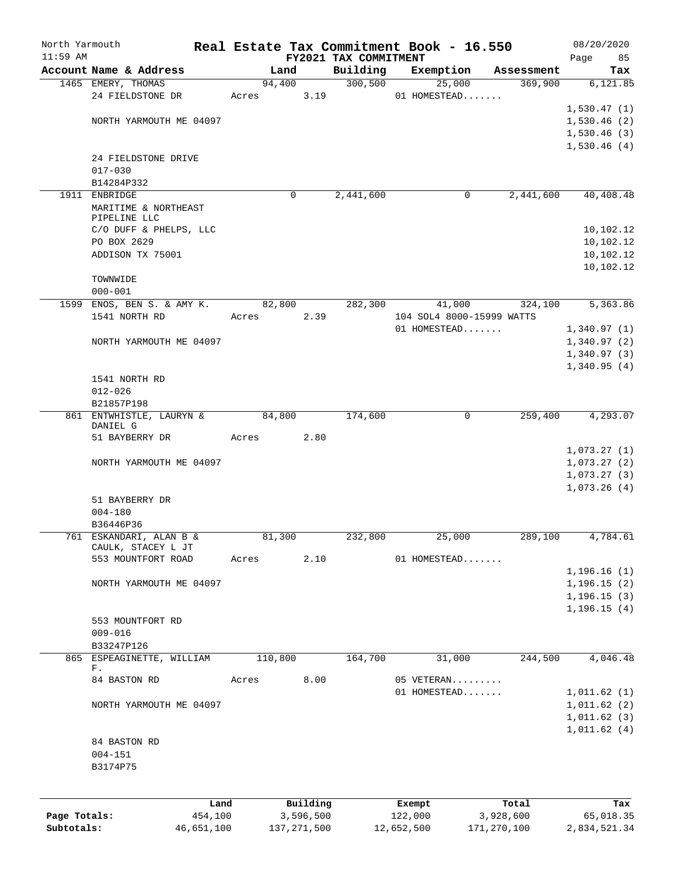| North Yarmouth<br>$11:59$ AM |                                 |       |         |           | FY2021 TAX COMMITMENT | Real Estate Tax Commitment Book - 16.550 |            | 08/20/2020<br>Page<br>85 |
|------------------------------|---------------------------------|-------|---------|-----------|-----------------------|------------------------------------------|------------|--------------------------|
|                              | Account Name & Address          |       | Land    |           | Building              | Exemption                                | Assessment | Tax                      |
|                              | 1465 EMERY, THOMAS              |       | 94,400  |           | 300, 500              | 25,000                                   | 369,900    | 6, 121.85                |
|                              | 24 FIELDSTONE DR                | Acres |         | 3.19      |                       | 01 HOMESTEAD                             |            |                          |
|                              |                                 |       |         |           |                       |                                          |            | 1,530.47(1)              |
|                              | NORTH YARMOUTH ME 04097         |       |         |           |                       |                                          |            | 1,530.46(2)              |
|                              |                                 |       |         |           |                       |                                          |            | 1,530.46(3)              |
|                              |                                 |       |         |           |                       |                                          |            | 1,530.46(4)              |
|                              | 24 FIELDSTONE DRIVE             |       |         |           |                       |                                          |            |                          |
|                              | $017 - 030$                     |       |         |           |                       |                                          |            |                          |
|                              | B14284P332                      |       |         |           |                       |                                          |            |                          |
|                              | 1911 ENBRIDGE                   |       | 0       |           | 2,441,600             | 0                                        | 2,441,600  | 40,408.48                |
|                              | MARITIME & NORTHEAST            |       |         |           |                       |                                          |            |                          |
|                              | PIPELINE LLC                    |       |         |           |                       |                                          |            |                          |
|                              | C/O DUFF & PHELPS, LLC          |       |         |           |                       |                                          |            | 10,102.12                |
|                              | PO BOX 2629                     |       |         |           |                       |                                          |            | 10,102.12                |
|                              | ADDISON TX 75001                |       |         |           |                       |                                          |            | 10,102.12                |
|                              |                                 |       |         |           |                       |                                          |            | 10,102.12                |
|                              | TOWNWIDE                        |       |         |           |                       |                                          |            |                          |
|                              | $000 - 001$                     |       |         |           |                       |                                          |            |                          |
|                              | 1599 ENOS, BEN S. & AMY K.      |       | 82,800  |           | 282,300               | 41,000                                   | 324,100    | 5,363.86                 |
|                              | 1541 NORTH RD                   | Acres |         | 2.39      |                       | 104 SOL4 8000-15999 WATTS                |            |                          |
|                              |                                 |       |         |           |                       | 01 HOMESTEAD                             |            | 1,340.97(1)              |
|                              | NORTH YARMOUTH ME 04097         |       |         |           |                       |                                          |            | 1,340.97(2)              |
|                              |                                 |       |         |           |                       |                                          |            | 1,340.97(3)              |
|                              |                                 |       |         |           |                       |                                          |            | 1,340.95(4)              |
|                              | 1541 NORTH RD                   |       |         |           |                       |                                          |            |                          |
|                              | $012 - 026$                     |       |         |           |                       |                                          |            |                          |
|                              | B21857P198                      |       |         |           |                       |                                          |            |                          |
|                              | 861 ENTWHISTLE, LAURYN &        |       | 84,800  |           | 174,600               | 0                                        | 259,400    | 4,293.07                 |
|                              | DANIEL G                        |       |         |           |                       |                                          |            |                          |
|                              | 51 BAYBERRY DR                  | Acres |         | 2.80      |                       |                                          |            |                          |
|                              |                                 |       |         |           |                       |                                          |            | 1,073.27(1)              |
|                              | NORTH YARMOUTH ME 04097         |       |         |           |                       |                                          |            | 1,073.27(2)              |
|                              |                                 |       |         |           |                       |                                          |            | 1,073.27(3)              |
|                              |                                 |       |         |           |                       |                                          |            | 1,073.26(4)              |
|                              | 51 BAYBERRY DR                  |       |         |           |                       |                                          |            |                          |
|                              | $004 - 180$                     |       |         |           |                       |                                          |            |                          |
|                              | B36446P36                       |       |         |           |                       |                                          |            |                          |
|                              | 761 ESKANDARI, ALAN B &         |       | 81,300  |           | 232,800               | 25,000                                   | 289,100    | 4,784.61                 |
|                              | CAULK, STACEY L JT              |       |         |           |                       |                                          |            |                          |
|                              | 553 MOUNTFORT ROAD              | Acres |         | 2.10      |                       | 01 HOMESTEAD                             |            |                          |
|                              |                                 |       |         |           |                       |                                          |            | 1, 196.16(1)             |
|                              | NORTH YARMOUTH ME 04097         |       |         |           |                       |                                          |            | 1, 196.15(2)             |
|                              |                                 |       |         |           |                       |                                          |            | 1, 196.15(3)             |
|                              |                                 |       |         |           |                       |                                          |            | 1, 196.15(4)             |
|                              | 553 MOUNTFORT RD                |       |         |           |                       |                                          |            |                          |
|                              | $009 - 016$                     |       |         |           |                       |                                          |            |                          |
|                              | B33247P126                      |       | 110,800 |           | 164,700               |                                          | 244,500    | 4,046.48                 |
|                              | 865 ESPEAGINETTE, WILLIAM<br>F. |       |         |           |                       | 31,000                                   |            |                          |
|                              | 84 BASTON RD                    | Acres |         | 8.00      |                       | 05 VETERAN                               |            |                          |
|                              |                                 |       |         |           |                       | 01 HOMESTEAD                             |            | 1,011.62(1)              |
|                              | NORTH YARMOUTH ME 04097         |       |         |           |                       |                                          |            | 1,011.62(2)              |
|                              |                                 |       |         |           |                       |                                          |            | 1,011.62(3)              |
|                              |                                 |       |         |           |                       |                                          |            | 1,011.62(4)              |
|                              | 84 BASTON RD                    |       |         |           |                       |                                          |            |                          |
|                              | $004 - 151$                     |       |         |           |                       |                                          |            |                          |
|                              | B3174P75                        |       |         |           |                       |                                          |            |                          |
|                              |                                 |       |         |           |                       |                                          |            |                          |
|                              |                                 |       |         |           |                       |                                          |            |                          |
|                              |                                 | Land  |         | Building  |                       | Exempt                                   | Total      | Tax                      |
| Page Totals:                 | 454,100                         |       |         | 3,596,500 |                       | 122,000                                  | 3,928,600  | 65,018.35                |

**Subtotals:** 46,651,100 137,271,500 12,652,500 171,270,100 2,834,521.34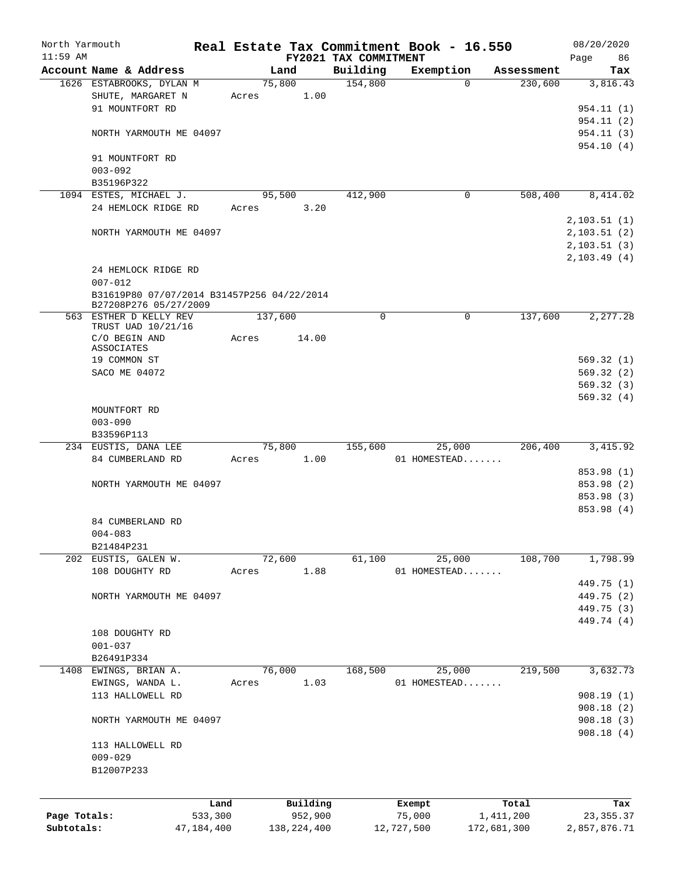| North Yarmouth |                                                                     |              |       |               |                       | Real Estate Tax Commitment Book - 16.550 |             |            | 08/20/2020   |
|----------------|---------------------------------------------------------------------|--------------|-------|---------------|-----------------------|------------------------------------------|-------------|------------|--------------|
| $11:59$ AM     |                                                                     |              |       |               | FY2021 TAX COMMITMENT |                                          |             |            | Page<br>86   |
|                | Account Name & Address                                              |              |       | Land          | Building              | Exemption                                |             | Assessment | Tax          |
|                | 1626 ESTABROOKS, DYLAN M                                            |              |       | 75,800        | 154,800               |                                          | $\Omega$    | 230,600    | 3,816.43     |
|                | SHUTE, MARGARET N                                                   |              | Acres | 1.00          |                       |                                          |             |            |              |
|                | 91 MOUNTFORT RD                                                     |              |       |               |                       |                                          |             |            | 954.11 (1)   |
|                |                                                                     |              |       |               |                       |                                          |             |            | 954.11(2)    |
|                | NORTH YARMOUTH ME 04097                                             |              |       |               |                       |                                          |             |            | 954.11(3)    |
|                |                                                                     |              |       |               |                       |                                          |             |            | 954.10(4)    |
|                | 91 MOUNTFORT RD                                                     |              |       |               |                       |                                          |             |            |              |
|                | $003 - 092$                                                         |              |       |               |                       |                                          |             |            |              |
|                | B35196P322                                                          |              |       |               |                       |                                          |             |            |              |
|                | 1094 ESTES, MICHAEL J.                                              |              |       | 95,500        | 412,900               |                                          | 0           | 508,400    | 8,414.02     |
|                | 24 HEMLOCK RIDGE RD                                                 |              | Acres | 3.20          |                       |                                          |             |            |              |
|                |                                                                     |              |       |               |                       |                                          |             |            | 2, 103.51(1) |
|                | NORTH YARMOUTH ME 04097                                             |              |       |               |                       |                                          |             |            | 2, 103.51(2) |
|                |                                                                     |              |       |               |                       |                                          |             |            | 2, 103.51(3) |
|                |                                                                     |              |       |               |                       |                                          |             |            | 2,103.49(4)  |
|                |                                                                     |              |       |               |                       |                                          |             |            |              |
|                | 24 HEMLOCK RIDGE RD                                                 |              |       |               |                       |                                          |             |            |              |
|                | $007 - 012$                                                         |              |       |               |                       |                                          |             |            |              |
|                | B31619P80 07/07/2014 B31457P256 04/22/2014<br>B27208P276 05/27/2009 |              |       |               |                       |                                          |             |            |              |
|                | 563 ESTHER D KELLY REV                                              |              |       | 137,600       | $\mathbf 0$           |                                          | 0           | 137,600    | 2, 277.28    |
|                | TRUST UAD 10/21/16                                                  |              |       |               |                       |                                          |             |            |              |
|                | C/O BEGIN AND                                                       |              | Acres | 14.00         |                       |                                          |             |            |              |
|                | ASSOCIATES                                                          |              |       |               |                       |                                          |             |            |              |
|                | 19 COMMON ST                                                        |              |       |               |                       |                                          |             |            | 569.32(1)    |
|                | SACO ME 04072                                                       |              |       |               |                       |                                          |             |            | 569.32(2)    |
|                |                                                                     |              |       |               |                       |                                          |             |            | 569.32(3)    |
|                |                                                                     |              |       |               |                       |                                          |             |            | 569.32(4)    |
|                | MOUNTFORT RD                                                        |              |       |               |                       |                                          |             |            |              |
|                | $003 - 090$                                                         |              |       |               |                       |                                          |             |            |              |
|                | B33596P113                                                          |              |       |               |                       |                                          |             |            |              |
|                | 234 EUSTIS, DANA LEE                                                |              |       | 75,800        | 155,600               |                                          | 25,000      | 206,400    | 3,415.92     |
|                | 84 CUMBERLAND RD                                                    |              | Acres | 1.00          |                       | 01 HOMESTEAD                             |             |            |              |
|                |                                                                     |              |       |               |                       |                                          |             |            | 853.98 (1)   |
|                |                                                                     |              |       |               |                       |                                          |             |            | 853.98 (2)   |
|                | NORTH YARMOUTH ME 04097                                             |              |       |               |                       |                                          |             |            |              |
|                |                                                                     |              |       |               |                       |                                          |             |            | 853.98 (3)   |
|                |                                                                     |              |       |               |                       |                                          |             |            | 853.98 (4)   |
|                | 84 CUMBERLAND RD                                                    |              |       |               |                       |                                          |             |            |              |
|                | $004 - 083$                                                         |              |       |               |                       |                                          |             |            |              |
|                | B21484P231                                                          |              |       |               |                       |                                          |             |            |              |
|                | 202 EUSTIS, GALEN W.                                                |              |       | 72,600        | 61,100                |                                          | 25,000      | 108,700    | 1,798.99     |
|                | 108 DOUGHTY RD                                                      |              | Acres | 1.88          |                       | 01 HOMESTEAD                             |             |            |              |
|                |                                                                     |              |       |               |                       |                                          |             |            | 449.75 (1)   |
|                | NORTH YARMOUTH ME 04097                                             |              |       |               |                       |                                          |             |            | 449.75 (2)   |
|                |                                                                     |              |       |               |                       |                                          |             |            | 449.75 (3)   |
|                |                                                                     |              |       |               |                       |                                          |             |            | 449.74 (4)   |
|                | 108 DOUGHTY RD                                                      |              |       |               |                       |                                          |             |            |              |
|                | $001 - 037$                                                         |              |       |               |                       |                                          |             |            |              |
|                | B26491P334                                                          |              |       |               |                       |                                          |             |            |              |
|                | 1408 EWINGS, BRIAN A.                                               |              |       | 76,000        | 168,500               |                                          | 25,000      | 219,500    | 3,632.73     |
|                | EWINGS, WANDA L.                                                    |              | Acres | 1.03          |                       | 01 HOMESTEAD                             |             |            |              |
|                | 113 HALLOWELL RD                                                    |              |       |               |                       |                                          |             |            | 908.19(1)    |
|                |                                                                     |              |       |               |                       |                                          |             |            | 908.18(2)    |
|                |                                                                     |              |       |               |                       |                                          |             |            |              |
|                | NORTH YARMOUTH ME 04097                                             |              |       |               |                       |                                          |             |            | 908.18(3)    |
|                |                                                                     |              |       |               |                       |                                          |             |            | 908.18(4)    |
|                | 113 HALLOWELL RD                                                    |              |       |               |                       |                                          |             |            |              |
|                | $009 - 029$                                                         |              |       |               |                       |                                          |             |            |              |
|                | B12007P233                                                          |              |       |               |                       |                                          |             |            |              |
|                |                                                                     |              |       |               |                       |                                          |             |            |              |
|                |                                                                     | Land         |       | Building      |                       |                                          |             | Total      | Tax          |
| Page Totals:   |                                                                     | 533,300      |       | 952,900       |                       | Exempt<br>75,000                         |             | 1,411,200  | 23, 355. 37  |
|                |                                                                     |              |       |               |                       |                                          |             |            |              |
| Subtotals:     |                                                                     | 47, 184, 400 |       | 138, 224, 400 |                       | 12,727,500                               | 172,681,300 |            | 2,857,876.71 |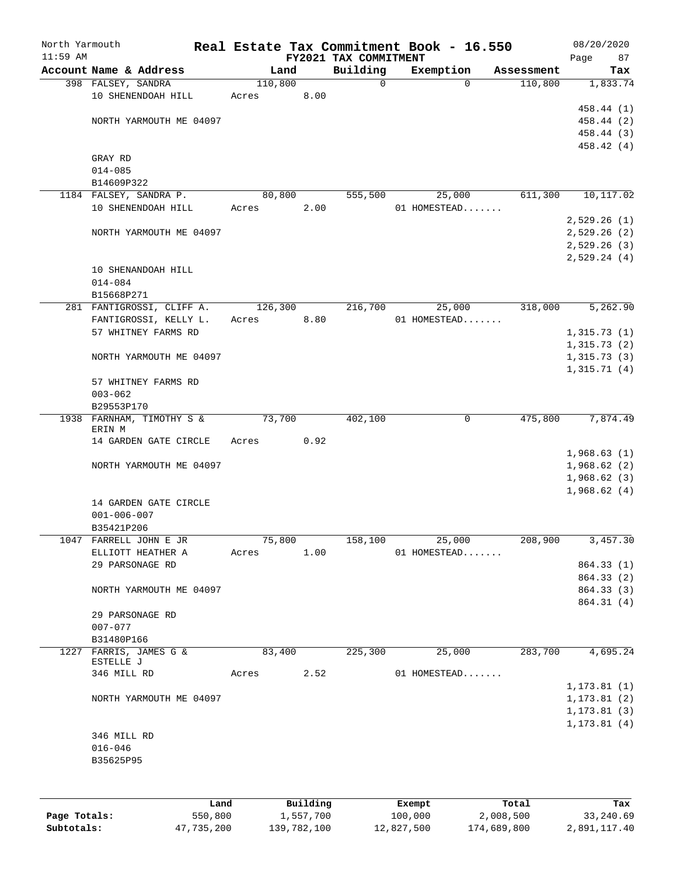| North Yarmouth<br>$11:59$ AM |                                     |         |          | FY2021 TAX COMMITMENT | Real Estate Tax Commitment Book - 16.550 |            | 08/20/2020<br>87 |
|------------------------------|-------------------------------------|---------|----------|-----------------------|------------------------------------------|------------|------------------|
|                              | Account Name & Address              | Land    |          | Building              | Exemption                                | Assessment | Page<br>Tax      |
|                              | 398 FALSEY, SANDRA                  | 110,800 |          | $\Omega$              | $\Omega$                                 | 110,800    | 1,833.74         |
|                              | 10 SHENENDOAH HILL                  | Acres   | 8.00     |                       |                                          |            |                  |
|                              |                                     |         |          |                       |                                          |            | 458.44 (1)       |
|                              | NORTH YARMOUTH ME 04097             |         |          |                       |                                          |            | 458.44 (2)       |
|                              |                                     |         |          |                       |                                          |            | 458.44 (3)       |
|                              |                                     |         |          |                       |                                          |            | 458.42 (4)       |
|                              | GRAY RD                             |         |          |                       |                                          |            |                  |
|                              | $014 - 085$                         |         |          |                       |                                          |            |                  |
|                              | B14609P322                          |         |          |                       |                                          |            |                  |
|                              | 1184 FALSEY, SANDRA P.              | 80,800  |          | 555,500               | 25,000                                   | 611,300    | 10,117.02        |
|                              | 10 SHENENDOAH HILL                  | Acres   | 2.00     |                       | 01 HOMESTEAD                             |            |                  |
|                              |                                     |         |          |                       |                                          |            | 2,529.26(1)      |
|                              | NORTH YARMOUTH ME 04097             |         |          |                       |                                          |            | 2,529.26(2)      |
|                              |                                     |         |          |                       |                                          |            | 2,529.26(3)      |
|                              |                                     |         |          |                       |                                          |            | 2,529.24(4)      |
|                              | 10 SHENANDOAH HILL                  |         |          |                       |                                          |            |                  |
|                              | $014 - 084$                         |         |          |                       |                                          |            |                  |
|                              | B15668P271                          |         |          |                       |                                          |            |                  |
|                              | 281 FANTIGROSSI, CLIFF A.           | 126,300 |          | 216,700               | 25,000                                   | 318,000    | 5,262.90         |
|                              | FANTIGROSSI, KELLY L.               | Acres   | 8.80     |                       | 01 HOMESTEAD                             |            |                  |
|                              | 57 WHITNEY FARMS RD                 |         |          |                       |                                          |            | 1,315.73(1)      |
|                              |                                     |         |          |                       |                                          |            | 1,315.73(2)      |
|                              | NORTH YARMOUTH ME 04097             |         |          |                       |                                          |            | 1,315.73(3)      |
|                              |                                     |         |          |                       |                                          |            | 1,315.71(4)      |
|                              | 57 WHITNEY FARMS RD                 |         |          |                       |                                          |            |                  |
|                              | $003 - 062$                         |         |          |                       |                                          |            |                  |
|                              | B29553P170                          |         |          |                       |                                          |            |                  |
|                              | 1938 FARNHAM, TIMOTHY S &<br>ERIN M | 73,700  |          | 402,100               | 0                                        | 475,800    | 7,874.49         |
|                              | 14 GARDEN GATE CIRCLE               | Acres   | 0.92     |                       |                                          |            |                  |
|                              |                                     |         |          |                       |                                          |            | 1,968.63(1)      |
|                              | NORTH YARMOUTH ME 04097             |         |          |                       |                                          |            | 1,968.62(2)      |
|                              |                                     |         |          |                       |                                          |            | 1,968.62(3)      |
|                              |                                     |         |          |                       |                                          |            | 1,968.62(4)      |
|                              | 14 GARDEN GATE CIRCLE               |         |          |                       |                                          |            |                  |
|                              | $001 - 006 - 007$                   |         |          |                       |                                          |            |                  |
|                              | B35421P206                          |         |          |                       |                                          |            |                  |
|                              | 1047 FARRELL JOHN E JR              | 75,800  |          | 158,100               | 25,000                                   | 208,900    | 3,457.30         |
|                              | ELLIOTT HEATHER A                   | Acres   | 1.00     |                       | 01 HOMESTEAD                             |            |                  |
|                              | 29 PARSONAGE RD                     |         |          |                       |                                          |            | 864.33 (1)       |
|                              |                                     |         |          |                       |                                          |            | 864.33 (2)       |
|                              | NORTH YARMOUTH ME 04097             |         |          |                       |                                          |            | 864.33(3)        |
|                              |                                     |         |          |                       |                                          |            | 864.31 (4)       |
|                              | 29 PARSONAGE RD                     |         |          |                       |                                          |            |                  |
|                              | $007 - 077$                         |         |          |                       |                                          |            |                  |
|                              | B31480P166                          |         |          |                       |                                          |            |                  |
|                              | 1227 FARRIS, JAMES G &              | 83,400  |          | 225,300               | 25,000                                   | 283,700    | 4,695.24         |
|                              | ESTELLE J                           |         |          |                       |                                          |            |                  |
|                              | 346 MILL RD                         | Acres   | 2.52     |                       | 01 HOMESTEAD                             |            |                  |
|                              |                                     |         |          |                       |                                          |            | 1, 173.81(1)     |
|                              | NORTH YARMOUTH ME 04097             |         |          |                       |                                          |            | 1, 173.81(2)     |
|                              |                                     |         |          |                       |                                          |            | 1, 173.81(3)     |
|                              |                                     |         |          |                       |                                          |            | 1, 173.81(4)     |
|                              | 346 MILL RD                         |         |          |                       |                                          |            |                  |
|                              | $016 - 046$                         |         |          |                       |                                          |            |                  |
|                              | B35625P95                           |         |          |                       |                                          |            |                  |
|                              |                                     |         |          |                       |                                          |            |                  |
|                              |                                     |         |          |                       |                                          |            |                  |
|                              | Land.                               |         | Building |                       | <b>Fromnt</b>                            | $T$ ctal   | Tav              |

|              | Land       | Building    | Exempt     | Total       | Tax          |
|--------------|------------|-------------|------------|-------------|--------------|
| Page Totals: | 550,800    | 1,557,700   | 100,000    | 2,008,500   | 33,240.69    |
| Subtotals:   | 47,735,200 | 139,782,100 | 12,827,500 | 174,689,800 | 2,891,117.40 |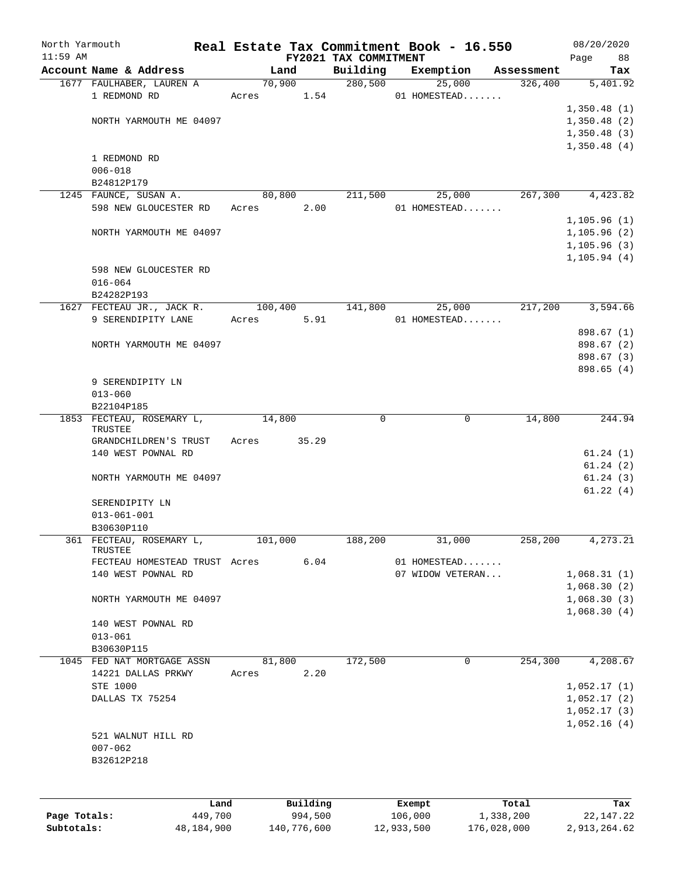| North Yarmouth<br>$11:59$ AM |                                                  |                 |          |                                   | Real Estate Tax Commitment Book - 16.550 |            | 08/20/2020        |
|------------------------------|--------------------------------------------------|-----------------|----------|-----------------------------------|------------------------------------------|------------|-------------------|
|                              | Account Name & Address                           | Land            |          | FY2021 TAX COMMITMENT<br>Building | Exemption                                | Assessment | 88<br>Page<br>Tax |
|                              | 1677 FAULHABER, LAUREN A                         |                 | 70,900   | 280,500                           | 25,000                                   | 326,400    | 5,401.92          |
|                              | 1 REDMOND RD                                     | Acres 1.54      |          |                                   | 01 HOMESTEAD                             |            |                   |
|                              |                                                  |                 |          |                                   |                                          |            | 1,350.48(1)       |
|                              | NORTH YARMOUTH ME 04097                          |                 |          |                                   |                                          |            | 1,350.48(2)       |
|                              |                                                  |                 |          |                                   |                                          |            | 1,350.48(3)       |
|                              |                                                  |                 |          |                                   |                                          |            | 1,350.48(4)       |
|                              | 1 REDMOND RD                                     |                 |          |                                   |                                          |            |                   |
|                              | $006 - 018$                                      |                 |          |                                   |                                          |            |                   |
|                              | B24812P179                                       |                 |          |                                   |                                          |            |                   |
|                              | 1245 FAUNCE, SUSAN A.                            | 80,800          |          | 211,500                           | 25,000                                   | 267,300    | 4,423.82          |
|                              | 598 NEW GLOUCESTER RD                            | Acres           | 2.00     |                                   | 01 HOMESTEAD                             |            |                   |
|                              |                                                  |                 |          |                                   |                                          |            | 1, 105.96(1)      |
|                              | NORTH YARMOUTH ME 04097                          |                 |          |                                   |                                          |            | 1, 105.96(2)      |
|                              |                                                  |                 |          |                                   |                                          |            | 1, 105.96(3)      |
|                              |                                                  |                 |          |                                   |                                          |            | 1, 105.94(4)      |
|                              | 598 NEW GLOUCESTER RD                            |                 |          |                                   |                                          |            |                   |
|                              | $016 - 064$                                      |                 |          |                                   |                                          |            |                   |
|                              | B24282P193                                       |                 |          |                                   |                                          |            |                   |
|                              | 1627 FECTEAU JR., JACK R.                        | 100,400         |          | 141,800                           | 25,000                                   | 217,200    | 3,594.66          |
|                              | 9 SERENDIPITY LANE                               | Acres           | 5.91     |                                   | 01 HOMESTEAD                             |            |                   |
|                              |                                                  |                 |          |                                   |                                          |            | 898.67 (1)        |
|                              | NORTH YARMOUTH ME 04097                          |                 |          |                                   |                                          |            | 898.67 (2)        |
|                              |                                                  |                 |          |                                   |                                          |            | 898.67 (3)        |
|                              |                                                  |                 |          |                                   |                                          |            | 898.65 (4)        |
|                              | 9 SERENDIPITY LN                                 |                 |          |                                   |                                          |            |                   |
|                              | $013 - 060$                                      |                 |          |                                   |                                          |            |                   |
|                              | B22104P185                                       |                 |          |                                   |                                          |            |                   |
|                              | 1853 FECTEAU, ROSEMARY L,<br>TRUSTEE             | 14,800          |          | $\Omega$                          | $\Omega$                                 | 14,800     | 244.94            |
|                              | GRANDCHILDREN'S TRUST                            | Acres           | 35.29    |                                   |                                          |            |                   |
|                              | 140 WEST POWNAL RD                               |                 |          |                                   |                                          |            | 61.24(1)          |
|                              |                                                  |                 |          |                                   |                                          |            | 61.24(2)          |
|                              | NORTH YARMOUTH ME 04097                          |                 |          |                                   |                                          |            | 61.24(3)          |
|                              |                                                  |                 |          |                                   |                                          |            | 61.22(4)          |
|                              | SERENDIPITY LN                                   |                 |          |                                   |                                          |            |                   |
|                              | $013 - 061 - 001$                                |                 |          |                                   |                                          |            |                   |
|                              | B30630P110                                       |                 |          |                                   |                                          |            |                   |
|                              | 361 FECTEAU, ROSEMARY L,                         | 101,000         |          | 188,200                           | 31,000                                   | 258,200    | 4,273.21          |
|                              | TRUSTEE                                          |                 |          |                                   |                                          |            |                   |
|                              | FECTEAU HOMESTEAD TRUST Acres                    |                 | 6.04     |                                   | 01 HOMESTEAD                             |            |                   |
|                              | 140 WEST POWNAL RD                               |                 |          |                                   | 07 WIDOW VETERAN                         |            | 1,068.31(1)       |
|                              |                                                  |                 |          |                                   |                                          |            | 1,068.30(2)       |
|                              | NORTH YARMOUTH ME 04097                          |                 |          |                                   |                                          |            | 1,068.30(3)       |
|                              |                                                  |                 |          |                                   |                                          |            | 1,068.30(4)       |
|                              | 140 WEST POWNAL RD                               |                 |          |                                   |                                          |            |                   |
|                              | $013 - 061$                                      |                 |          |                                   |                                          |            |                   |
|                              | B30630P115                                       |                 |          |                                   | 0                                        |            |                   |
|                              | 1045 FED NAT MORTGAGE ASSN<br>14221 DALLAS PRKWY | 81,800<br>Acres | 2.20     | 172,500                           |                                          | 254,300    | 4,208.67          |
|                              | STE 1000                                         |                 |          |                                   |                                          |            | 1,052.17(1)       |
|                              | DALLAS TX 75254                                  |                 |          |                                   |                                          |            | 1,052.17(2)       |
|                              |                                                  |                 |          |                                   |                                          |            | 1,052.17(3)       |
|                              |                                                  |                 |          |                                   |                                          |            | 1,052.16(4)       |
|                              | 521 WALNUT HILL RD                               |                 |          |                                   |                                          |            |                   |
|                              | $007 - 062$                                      |                 |          |                                   |                                          |            |                   |
|                              | B32612P218                                       |                 |          |                                   |                                          |            |                   |
|                              |                                                  |                 |          |                                   |                                          |            |                   |
|                              |                                                  |                 |          |                                   |                                          |            |                   |
|                              |                                                  |                 |          |                                   |                                          |            |                   |
|                              | Land                                             |                 | Building |                                   | Exempt                                   | Total      | Tax               |
| Page Totals:                 | 449,700                                          |                 | 994,500  |                                   | 106,000                                  | 1,338,200  | 22, 147. 22       |

**Subtotals:** 48,184,900 140,776,600 12,933,500 176,028,000 2,913,264.62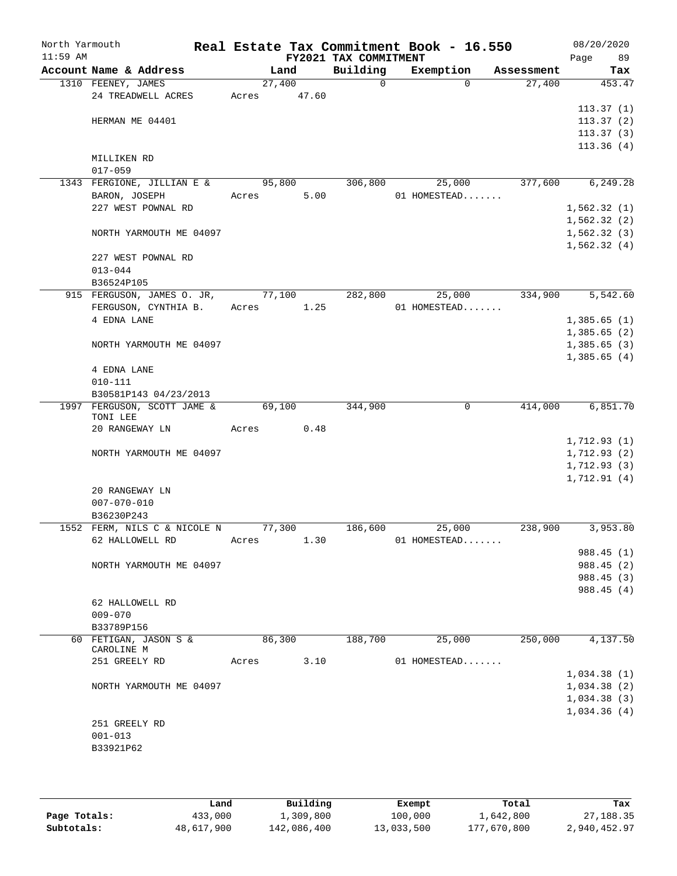| North Yarmouth<br>$11:59$ AM |                              |       |        |       | Real Estate Tax Commitment Book - 16.550<br>FY2021 TAX COMMITMENT |              |            | 08/20/2020<br>Page<br>89 |
|------------------------------|------------------------------|-------|--------|-------|-------------------------------------------------------------------|--------------|------------|--------------------------|
|                              | Account Name & Address       |       | Land   |       | Building                                                          | Exemption    | Assessment | Tax                      |
|                              | 1310 FEENEY, JAMES           |       | 27,400 |       | $\mathsf{O}$                                                      | $\Omega$     | 27,400     | 453.47                   |
|                              | 24 TREADWELL ACRES           | Acres |        | 47.60 |                                                                   |              |            |                          |
|                              |                              |       |        |       |                                                                   |              |            | 113.37(1)                |
|                              | HERMAN ME 04401              |       |        |       |                                                                   |              |            | 113.37(2)                |
|                              |                              |       |        |       |                                                                   |              |            | 113.37(3)                |
|                              |                              |       |        |       |                                                                   |              |            | 113.36(4)                |
|                              | MILLIKEN RD                  |       |        |       |                                                                   |              |            |                          |
|                              | $017 - 059$                  |       |        |       |                                                                   |              |            |                          |
|                              | 1343 FERGIONE, JILLIAN E &   |       | 95,800 |       | 306,800                                                           | 25,000       | 377,600    | 6, 249.28                |
|                              | BARON, JOSEPH                | Acres |        | 5.00  |                                                                   | 01 HOMESTEAD |            |                          |
|                              | 227 WEST POWNAL RD           |       |        |       |                                                                   |              |            | 1,562.32(1)              |
|                              |                              |       |        |       |                                                                   |              |            | 1,562.32(2)              |
|                              | NORTH YARMOUTH ME 04097      |       |        |       |                                                                   |              |            | 1,562.32(3)              |
|                              |                              |       |        |       |                                                                   |              |            | 1,562.32(4)              |
|                              | 227 WEST POWNAL RD           |       |        |       |                                                                   |              |            |                          |
|                              | $013 - 044$                  |       |        |       |                                                                   |              |            |                          |
|                              | B36524P105                   |       |        |       |                                                                   |              |            |                          |
|                              | 915 FERGUSON, JAMES O. JR,   |       | 77,100 |       | 282,800                                                           | 25,000       | 334,900    | 5,542.60                 |
|                              | FERGUSON, CYNTHIA B.         |       | Acres  | 1.25  |                                                                   | 01 HOMESTEAD |            |                          |
|                              | 4 EDNA LANE                  |       |        |       |                                                                   |              |            | 1,385.65(1)              |
|                              |                              |       |        |       |                                                                   |              |            | 1,385.65(2)              |
|                              | NORTH YARMOUTH ME 04097      |       |        |       |                                                                   |              |            | 1,385.65(3)              |
|                              |                              |       |        |       |                                                                   |              |            | 1,385.65(4)              |
|                              | 4 EDNA LANE                  |       |        |       |                                                                   |              |            |                          |
|                              | $010 - 111$                  |       |        |       |                                                                   |              |            |                          |
|                              | B30581P143 04/23/2013        |       |        |       |                                                                   |              |            |                          |
|                              | 1997 FERGUSON, SCOTT JAME &  |       | 69,100 |       | 344,900                                                           | 0            | 414,000    | 6,851.70                 |
|                              | TONI LEE                     |       |        |       |                                                                   |              |            |                          |
|                              | 20 RANGEWAY LN               | Acres |        | 0.48  |                                                                   |              |            |                          |
|                              |                              |       |        |       |                                                                   |              |            | 1,712.93(1)              |
|                              | NORTH YARMOUTH ME 04097      |       |        |       |                                                                   |              |            | 1,712.93(2)              |
|                              |                              |       |        |       |                                                                   |              |            | 1, 712.93(3)             |
|                              |                              |       |        |       |                                                                   |              |            | 1,712.91(4)              |
|                              | 20 RANGEWAY LN               |       |        |       |                                                                   |              |            |                          |
|                              | $007 - 070 - 010$            |       |        |       |                                                                   |              |            |                          |
|                              | B36230P243                   |       |        |       |                                                                   |              |            |                          |
|                              | 1552 FERM, NILS C & NICOLE N |       | 77,300 |       | 186,600                                                           | 25,000       | 238,900    | 3,953.80                 |
|                              | 62 HALLOWELL RD              | Acres |        | 1.30  |                                                                   | 01 HOMESTEAD |            |                          |
|                              |                              |       |        |       |                                                                   |              |            | 988.45(1)                |
|                              | NORTH YARMOUTH ME 04097      |       |        |       |                                                                   |              |            | 988.45 (2)               |
|                              |                              |       |        |       |                                                                   |              |            | 988.45 (3)               |
|                              |                              |       |        |       |                                                                   |              |            | 988.45 (4)               |
|                              | 62 HALLOWELL RD              |       |        |       |                                                                   |              |            |                          |
|                              | $009 - 070$                  |       |        |       |                                                                   |              |            |                          |
|                              | B33789P156                   |       |        |       |                                                                   |              |            |                          |
|                              | 60 FETIGAN, JASON S &        |       | 86,300 |       | 188,700                                                           | 25,000       | 250,000    | 4,137.50                 |
|                              | CAROLINE M                   |       |        |       |                                                                   |              |            |                          |
|                              | 251 GREELY RD                | Acres |        | 3.10  |                                                                   | 01 HOMESTEAD |            |                          |
|                              |                              |       |        |       |                                                                   |              |            | 1,034.38(1)              |
|                              | NORTH YARMOUTH ME 04097      |       |        |       |                                                                   |              |            | 1,034.38(2)              |
|                              |                              |       |        |       |                                                                   |              |            | 1,034.38(3)              |
|                              |                              |       |        |       |                                                                   |              |            | 1,034.36(4)              |
|                              | 251 GREELY RD                |       |        |       |                                                                   |              |            |                          |
|                              | $001 - 013$                  |       |        |       |                                                                   |              |            |                          |
|                              | B33921P62                    |       |        |       |                                                                   |              |            |                          |
|                              |                              |       |        |       |                                                                   |              |            |                          |
|                              |                              |       |        |       |                                                                   |              |            |                          |

|              | Land       | Building    | Exempt     | Total       | Tax          |
|--------------|------------|-------------|------------|-------------|--------------|
| Page Totals: | 433,000    | 1,309,800   | 100,000    | 1,642,800   | 27,188.35    |
| Subtotals:   | 48,617,900 | 142,086,400 | 13,033,500 | 177,670,800 | 2,940,452.97 |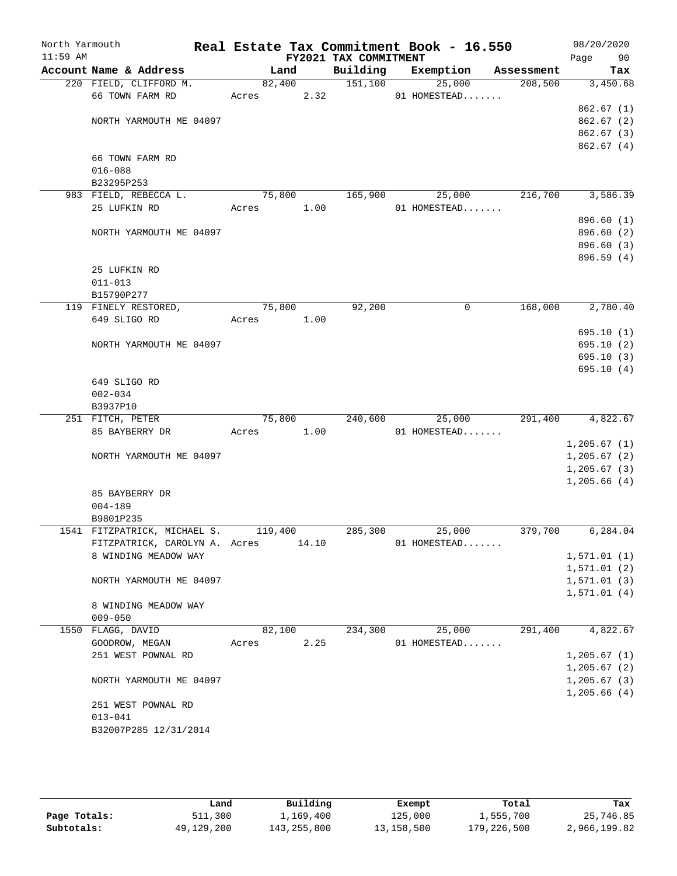| North Yarmouth<br>$11:59$ AM |                                      |            |        | FY2021 TAX COMMITMENT | Real Estate Tax Commitment Book - 16.550 |            | 08/20/2020<br>Page 90 |
|------------------------------|--------------------------------------|------------|--------|-----------------------|------------------------------------------|------------|-----------------------|
|                              | Account Name & Address               |            | Land   | Building              | Exemption                                | Assessment | Tax                   |
|                              | 220 FIELD, CLIFFORD M.               |            | 82,400 | 151,100               | 25,000                                   | 208,500    | 3,450.68              |
|                              | 66 TOWN FARM RD                      | Acres 2.32 |        |                       | 01 HOMESTEAD                             |            |                       |
|                              |                                      |            |        |                       |                                          |            | 862.67(1)             |
|                              | NORTH YARMOUTH ME 04097              |            |        |                       |                                          |            | 862.67(2)             |
|                              |                                      |            |        |                       |                                          |            | 862.67 (3)            |
|                              |                                      |            |        |                       |                                          |            | 862.67 (4)            |
|                              | 66 TOWN FARM RD                      |            |        |                       |                                          |            |                       |
|                              | $016 - 088$                          |            |        |                       |                                          |            |                       |
|                              | B23295P253                           |            |        |                       |                                          |            |                       |
|                              | 983 FIELD, REBECCA L.                | 75,800     |        | 165,900               | 25,000                                   | 216,700    | 3,586.39              |
|                              | 25 LUFKIN RD                         | Acres 1.00 |        |                       | 01 HOMESTEAD                             |            |                       |
|                              |                                      |            |        |                       |                                          |            | 896.60(1)             |
|                              | NORTH YARMOUTH ME 04097              |            |        |                       |                                          |            | 896.60 (2)            |
|                              |                                      |            |        |                       |                                          |            | 896.60 (3)            |
|                              |                                      |            |        |                       |                                          |            | 896.59 (4)            |
|                              | 25 LUFKIN RD                         |            |        |                       |                                          |            |                       |
|                              | $011 - 013$                          |            |        |                       |                                          |            |                       |
|                              | B15790P277                           | 75,800     |        | 92,200                | 0                                        | 168,000    | 2,780.40              |
|                              | 119 FINELY RESTORED,<br>649 SLIGO RD | Acres 1.00 |        |                       |                                          |            |                       |
|                              |                                      |            |        |                       |                                          |            | 695.10(1)             |
|                              | NORTH YARMOUTH ME 04097              |            |        |                       |                                          |            | 695.10(2)             |
|                              |                                      |            |        |                       |                                          |            | 695.10(3)             |
|                              |                                      |            |        |                       |                                          |            | 695.10(4)             |
|                              | 649 SLIGO RD                         |            |        |                       |                                          |            |                       |
|                              | $002 - 034$                          |            |        |                       |                                          |            |                       |
|                              | B3937P10                             |            |        |                       |                                          |            |                       |
|                              | 251 FITCH, PETER                     |            | 75,800 | 240,600               | 25,000                                   | 291,400    | 4,822.67              |
|                              | 85 BAYBERRY DR                       | Acres      | 1.00   |                       | 01 HOMESTEAD                             |            |                       |
|                              |                                      |            |        |                       |                                          |            | 1,205.67(1)           |
|                              | NORTH YARMOUTH ME 04097              |            |        |                       |                                          |            | 1, 205.67(2)          |
|                              |                                      |            |        |                       |                                          |            | 1,205.67(3)           |
|                              |                                      |            |        |                       |                                          |            | 1,205.66(4)           |
|                              | 85 BAYBERRY DR                       |            |        |                       |                                          |            |                       |
|                              | $004 - 189$                          |            |        |                       |                                          |            |                       |
|                              | B9801P235                            |            |        |                       |                                          |            |                       |
|                              | 1541 FITZPATRICK, MICHAEL S.         | 119,400    |        | 285,300               | 25,000                                   | 379,700    | 6, 284.04             |
|                              | FITZPATRICK, CAROLYN A. Acres        |            | 14.10  |                       | 01 HOMESTEAD                             |            |                       |
|                              | 8 WINDING MEADOW WAY                 |            |        |                       |                                          |            | 1,571.01(1)           |
|                              |                                      |            |        |                       |                                          |            | 1,571.01(2)           |
|                              | NORTH YARMOUTH ME 04097              |            |        |                       |                                          |            | 1, 571.01(3)          |
|                              |                                      |            |        |                       |                                          |            | 1,571.01(4)           |
|                              | 8 WINDING MEADOW WAY                 |            |        |                       |                                          |            |                       |
|                              | $009 - 050$                          |            |        |                       |                                          |            |                       |
|                              | 1550 FLAGG, DAVID                    | 82,100     |        | 234,300               | 25,000                                   | 291,400    | 4,822.67              |
|                              | GOODROW, MEGAN                       | Acres      | 2.25   |                       | 01 HOMESTEAD                             |            |                       |
|                              | 251 WEST POWNAL RD                   |            |        |                       |                                          |            | 1, 205.67(1)          |
|                              |                                      |            |        |                       |                                          |            | 1, 205.67(2)          |
|                              | NORTH YARMOUTH ME 04097              |            |        |                       |                                          |            | 1, 205.67(3)          |
|                              |                                      |            |        |                       |                                          |            | 1,205.66(4)           |
|                              | 251 WEST POWNAL RD                   |            |        |                       |                                          |            |                       |
|                              | $013 - 041$                          |            |        |                       |                                          |            |                       |
|                              | B32007P285 12/31/2014                |            |        |                       |                                          |            |                       |
|                              |                                      |            |        |                       |                                          |            |                       |

|              | Land       | Building    | Exempt     | Total       | Tax          |
|--------------|------------|-------------|------------|-------------|--------------|
| Page Totals: | 511,300    | 1,169,400   | 125,000    | 1,555,700   | 25,746.85    |
| Subtotals:   | 49,129,200 | 143,255,800 | 13,158,500 | 179,226,500 | 2,966,199.82 |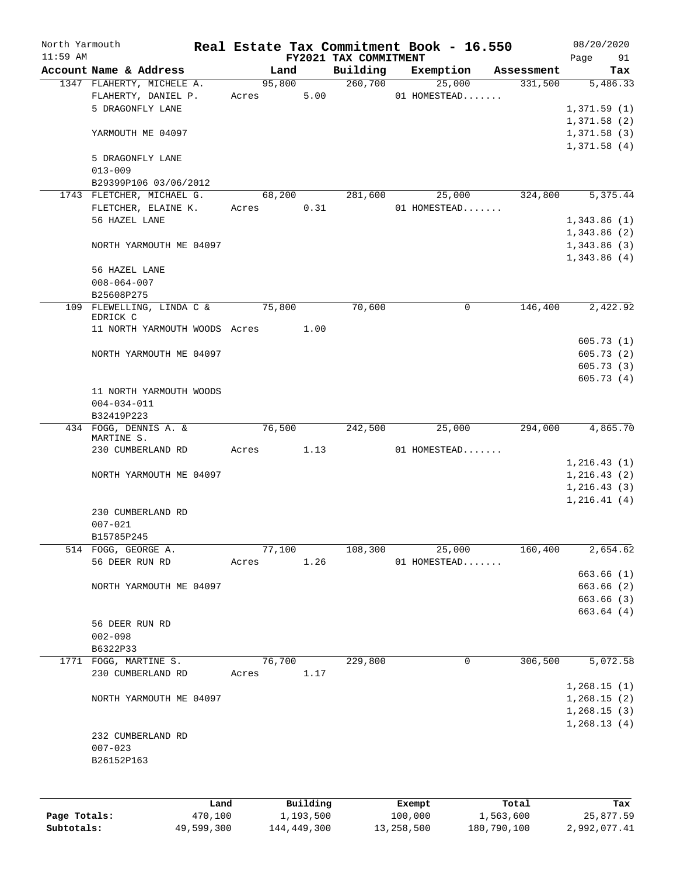| North Yarmouth<br>$11:59$ AM |                               |         |       |        |           |                                   | Real Estate Tax Commitment Book - 16.550 |            | 08/20/2020        |
|------------------------------|-------------------------------|---------|-------|--------|-----------|-----------------------------------|------------------------------------------|------------|-------------------|
|                              | Account Name & Address        |         |       | Land   |           | FY2021 TAX COMMITMENT<br>Building | Exemption                                | Assessment | Page<br>91<br>Tax |
|                              | 1347 FLAHERTY, MICHELE A.     |         |       | 95,800 |           | 260,700                           | 25,000                                   | 331,500    | 5,486.33          |
|                              | FLAHERTY, DANIEL P.           |         |       | Acres  | 5.00      |                                   | 01 HOMESTEAD                             |            |                   |
|                              | 5 DRAGONFLY LANE              |         |       |        |           |                                   |                                          |            | 1,371.59(1)       |
|                              |                               |         |       |        |           |                                   |                                          |            | 1,371.58(2)       |
|                              | YARMOUTH ME 04097             |         |       |        |           |                                   |                                          |            | 1,371.58(3)       |
|                              |                               |         |       |        |           |                                   |                                          |            | 1,371.58(4)       |
|                              | 5 DRAGONFLY LANE              |         |       |        |           |                                   |                                          |            |                   |
|                              | $013 - 009$                   |         |       |        |           |                                   |                                          |            |                   |
|                              | B29399P106 03/06/2012         |         |       |        |           |                                   |                                          |            |                   |
|                              | 1743 FLETCHER, MICHAEL G.     |         |       | 68,200 |           | 281,600                           | 25,000                                   | 324,800    | 5,375.44          |
|                              | FLETCHER, ELAINE K.           |         | Acres |        | 0.31      |                                   | 01 HOMESTEAD                             |            |                   |
|                              | 56 HAZEL LANE                 |         |       |        |           |                                   |                                          |            | 1,343.86(1)       |
|                              |                               |         |       |        |           |                                   |                                          |            | 1,343.86(2)       |
|                              | NORTH YARMOUTH ME 04097       |         |       |        |           |                                   |                                          |            | 1,343.86(3)       |
|                              |                               |         |       |        |           |                                   |                                          |            | 1,343.86(4)       |
|                              | 56 HAZEL LANE                 |         |       |        |           |                                   |                                          |            |                   |
|                              | $008 - 064 - 007$             |         |       |        |           |                                   |                                          |            |                   |
|                              | B25608P275                    |         |       |        |           |                                   |                                          |            |                   |
|                              | 109 FLEWELLING, LINDA C &     |         |       | 75,800 |           | 70,600                            | 0                                        | 146,400    | 2,422.92          |
|                              | EDRICK C                      |         |       |        |           |                                   |                                          |            |                   |
|                              | 11 NORTH YARMOUTH WOODS Acres |         |       | 1.00   |           |                                   |                                          |            |                   |
|                              |                               |         |       |        |           |                                   |                                          |            | 605.73(1)         |
|                              | NORTH YARMOUTH ME 04097       |         |       |        |           |                                   |                                          |            | 605.73(2)         |
|                              |                               |         |       |        |           |                                   |                                          |            | 605.73(3)         |
|                              |                               |         |       |        |           |                                   |                                          |            | 605.73(4)         |
|                              | 11 NORTH YARMOUTH WOODS       |         |       |        |           |                                   |                                          |            |                   |
|                              | $004 - 034 - 011$             |         |       |        |           |                                   |                                          |            |                   |
|                              | B32419P223                    |         |       |        |           |                                   |                                          |            |                   |
|                              | 434 FOGG, DENNIS A. &         |         |       | 76,500 |           | 242,500                           | 25,000                                   | 294,000    | 4,865.70          |
|                              | MARTINE S.                    |         |       |        |           |                                   |                                          |            |                   |
|                              | 230 CUMBERLAND RD             |         |       | Acres  | 1.13      |                                   | 01 HOMESTEAD                             |            |                   |
|                              |                               |         |       |        |           |                                   |                                          |            | 1, 216.43(1)      |
|                              | NORTH YARMOUTH ME 04097       |         |       |        |           |                                   |                                          |            | 1, 216.43(2)      |
|                              |                               |         |       |        |           |                                   |                                          |            | 1, 216.43(3)      |
|                              |                               |         |       |        |           |                                   |                                          |            | 1, 216.41(4)      |
|                              | 230 CUMBERLAND RD             |         |       |        |           |                                   |                                          |            |                   |
|                              | $007 - 021$                   |         |       |        |           |                                   |                                          |            |                   |
|                              | B15785P245                    |         |       |        |           |                                   |                                          |            |                   |
|                              | 514 FOGG, GEORGE A.           |         |       | 77,100 |           | 108,300                           | 25,000                                   | 160,400    | 2,654.62          |
|                              | 56 DEER RUN RD                |         | Acres |        | 1.26      |                                   | 01 HOMESTEAD                             |            |                   |
|                              |                               |         |       |        |           |                                   |                                          |            | 663.66(1)         |
|                              | NORTH YARMOUTH ME 04097       |         |       |        |           |                                   |                                          |            | 663.66 (2)        |
|                              |                               |         |       |        |           |                                   |                                          |            | 663.66 (3)        |
|                              |                               |         |       |        |           |                                   |                                          |            | 663.64(4)         |
|                              | 56 DEER RUN RD                |         |       |        |           |                                   |                                          |            |                   |
|                              | $002 - 098$                   |         |       |        |           |                                   |                                          |            |                   |
|                              | B6322P33                      |         |       |        |           |                                   |                                          |            |                   |
|                              | 1771 FOGG, MARTINE S.         |         |       | 76,700 |           | 229,800                           | $\mathbf 0$                              | 306,500    | 5,072.58          |
|                              | 230 CUMBERLAND RD             |         | Acres |        | 1.17      |                                   |                                          |            |                   |
|                              |                               |         |       |        |           |                                   |                                          |            | 1,268.15(1)       |
|                              | NORTH YARMOUTH ME 04097       |         |       |        |           |                                   |                                          |            | 1,268.15(2)       |
|                              |                               |         |       |        |           |                                   |                                          |            | 1,268.15(3)       |
|                              |                               |         |       |        |           |                                   |                                          |            | 1, 268.13(4)      |
|                              | 232 CUMBERLAND RD             |         |       |        |           |                                   |                                          |            |                   |
|                              | $007 - 023$                   |         |       |        |           |                                   |                                          |            |                   |
|                              | B26152P163                    |         |       |        |           |                                   |                                          |            |                   |
|                              |                               |         |       |        |           |                                   |                                          |            |                   |
|                              |                               |         |       |        |           |                                   |                                          |            |                   |
|                              |                               | Land    |       |        | Building  |                                   | Exempt                                   | Total      | Tax               |
| Page Totals:                 |                               | 470,100 |       |        | 1,193,500 |                                   | 100,000                                  | 1,563,600  | 25,877.59         |

**Subtotals:** 49,599,300 144,449,300 13,258,500 180,790,100 2,992,077.41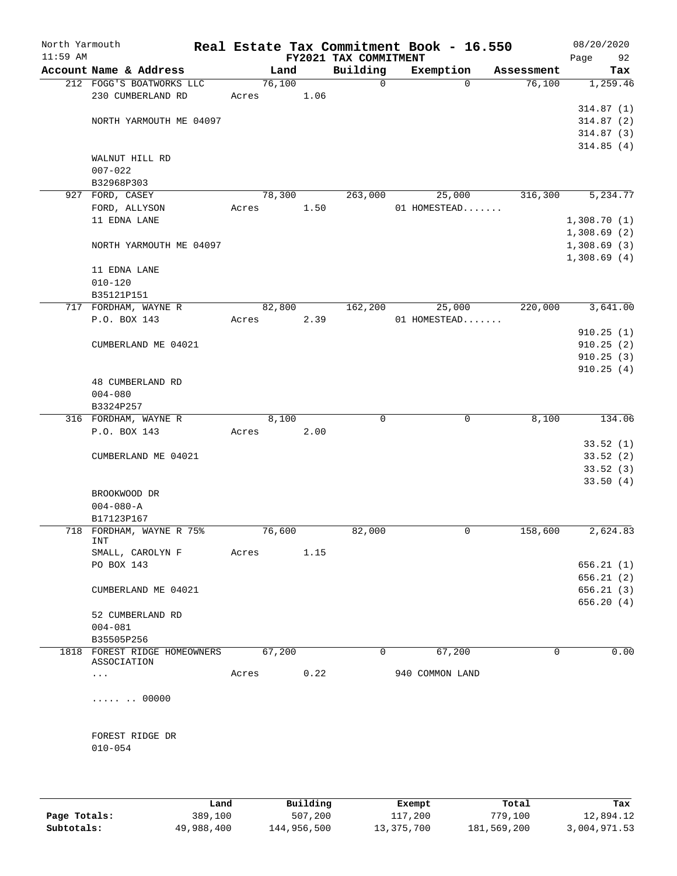| North Yarmouth<br>$11:59$ AM |                              |       |        |      | FY2021 TAX COMMITMENT | Real Estate Tax Commitment Book - 16.550 |            | 08/20/2020<br>Page         | 92                     |
|------------------------------|------------------------------|-------|--------|------|-----------------------|------------------------------------------|------------|----------------------------|------------------------|
|                              | Account Name & Address       |       | Land   |      | Building              | Exemption                                | Assessment |                            | Tax                    |
|                              | 212 FOGG'S BOATWORKS LLC     |       | 76,100 |      | $\mathsf{O}$          | $\Omega$                                 | 76,100     |                            | 1,259.46               |
|                              | 230 CUMBERLAND RD            | Acres |        | 1.06 |                       |                                          |            |                            |                        |
|                              |                              |       |        |      |                       |                                          |            |                            | 314.87(1)              |
|                              | NORTH YARMOUTH ME 04097      |       |        |      |                       |                                          |            |                            | 314.87(2)              |
|                              |                              |       |        |      |                       |                                          |            |                            | 314.87(3)              |
|                              |                              |       |        |      |                       |                                          |            |                            | 314.85(4)              |
|                              | WALNUT HILL RD               |       |        |      |                       |                                          |            |                            |                        |
|                              | $007 - 022$                  |       |        |      |                       |                                          |            |                            |                        |
|                              | B32968P303                   |       |        |      |                       |                                          |            |                            |                        |
|                              | 927 FORD, CASEY              |       | 78,300 |      | 263,000               | 25,000                                   | 316,300    |                            | 5,234.77               |
|                              | FORD, ALLYSON                | Acres |        | 1.50 |                       | 01 HOMESTEAD                             |            |                            |                        |
|                              | 11 EDNA LANE                 |       |        |      |                       |                                          |            | 1,308.70(1)                |                        |
|                              |                              |       |        |      |                       |                                          |            | 1,308.69(2)                |                        |
|                              | NORTH YARMOUTH ME 04097      |       |        |      |                       |                                          |            | 1,308.69(3)<br>1,308.69(4) |                        |
|                              | 11 EDNA LANE                 |       |        |      |                       |                                          |            |                            |                        |
|                              | $010 - 120$                  |       |        |      |                       |                                          |            |                            |                        |
|                              | B35121P151                   |       |        |      |                       |                                          |            |                            |                        |
|                              | 717 FORDHAM, WAYNE R         |       | 82,800 |      | 162,200               | 25,000                                   | 220,000    |                            | 3,641.00               |
|                              | P.O. BOX 143                 | Acres |        | 2.39 |                       | 01 HOMESTEAD                             |            |                            |                        |
|                              |                              |       |        |      |                       |                                          |            |                            | 910.25(1)              |
|                              | CUMBERLAND ME 04021          |       |        |      |                       |                                          |            |                            | 910.25(2)              |
|                              |                              |       |        |      |                       |                                          |            |                            | 910.25(3)              |
|                              |                              |       |        |      |                       |                                          |            |                            | 910.25(4)              |
|                              | 48 CUMBERLAND RD             |       |        |      |                       |                                          |            |                            |                        |
|                              | $004 - 080$                  |       |        |      |                       |                                          |            |                            |                        |
|                              | B3324P257                    |       |        |      |                       |                                          |            |                            |                        |
|                              | 316 FORDHAM, WAYNE R         |       | 8,100  |      | 0                     | $\mathbf 0$                              | 8,100      |                            | 134.06                 |
|                              | P.O. BOX 143                 | Acres |        | 2.00 |                       |                                          |            |                            |                        |
|                              |                              |       |        |      |                       |                                          |            |                            | 33.52(1)               |
|                              | CUMBERLAND ME 04021          |       |        |      |                       |                                          |            |                            | 33.52(2)               |
|                              |                              |       |        |      |                       |                                          |            |                            | 33.52(3)               |
|                              |                              |       |        |      |                       |                                          |            |                            | 33.50(4)               |
|                              | BROOKWOOD DR                 |       |        |      |                       |                                          |            |                            |                        |
|                              | $004 - 080 - A$              |       |        |      |                       |                                          |            |                            |                        |
|                              | B17123P167                   |       |        |      |                       |                                          |            |                            |                        |
|                              | 718 FORDHAM, WAYNE R 75%     |       | 76,600 |      | 82,000                | 0                                        | 158,600    |                            | 2,624.83               |
|                              | INT                          |       |        |      |                       |                                          |            |                            |                        |
|                              | SMALL, CAROLYN F             | Acres |        | 1.15 |                       |                                          |            |                            |                        |
|                              | PO BOX 143                   |       |        |      |                       |                                          |            |                            | 656.21(1)              |
|                              | CUMBERLAND ME 04021          |       |        |      |                       |                                          |            |                            | 656.21(2)<br>656.21(3) |
|                              |                              |       |        |      |                       |                                          |            |                            | 656.20(4)              |
|                              | 52 CUMBERLAND RD             |       |        |      |                       |                                          |            |                            |                        |
|                              | $004 - 081$                  |       |        |      |                       |                                          |            |                            |                        |
|                              | B35505P256                   |       |        |      |                       |                                          |            |                            |                        |
|                              | 1818 FOREST RIDGE HOMEOWNERS |       | 67,200 |      | 0                     | 67,200                                   | $\Omega$   |                            | 0.00                   |
|                              | ASSOCIATION                  |       |        |      |                       |                                          |            |                            |                        |
|                              | $\cdots$                     | Acres |        | 0.22 |                       | 940 COMMON LAND                          |            |                            |                        |
|                              |                              |       |        |      |                       |                                          |            |                            |                        |
|                              | $$ 00000                     |       |        |      |                       |                                          |            |                            |                        |
|                              |                              |       |        |      |                       |                                          |            |                            |                        |
|                              |                              |       |        |      |                       |                                          |            |                            |                        |
|                              | FOREST RIDGE DR              |       |        |      |                       |                                          |            |                            |                        |
|                              | $010 - 054$                  |       |        |      |                       |                                          |            |                            |                        |
|                              |                              |       |        |      |                       |                                          |            |                            |                        |
|                              |                              |       |        |      |                       |                                          |            |                            |                        |

|              | Land       | Building    | Exempt     | Total       | Tax          |
|--------------|------------|-------------|------------|-------------|--------------|
| Page Totals: | 389,100    | 507,200     | 117,200    | 779,100     | 12,894.12    |
| Subtotals:   | 49,988,400 | 144,956,500 | 13,375,700 | 181,569,200 | 3,004,971.53 |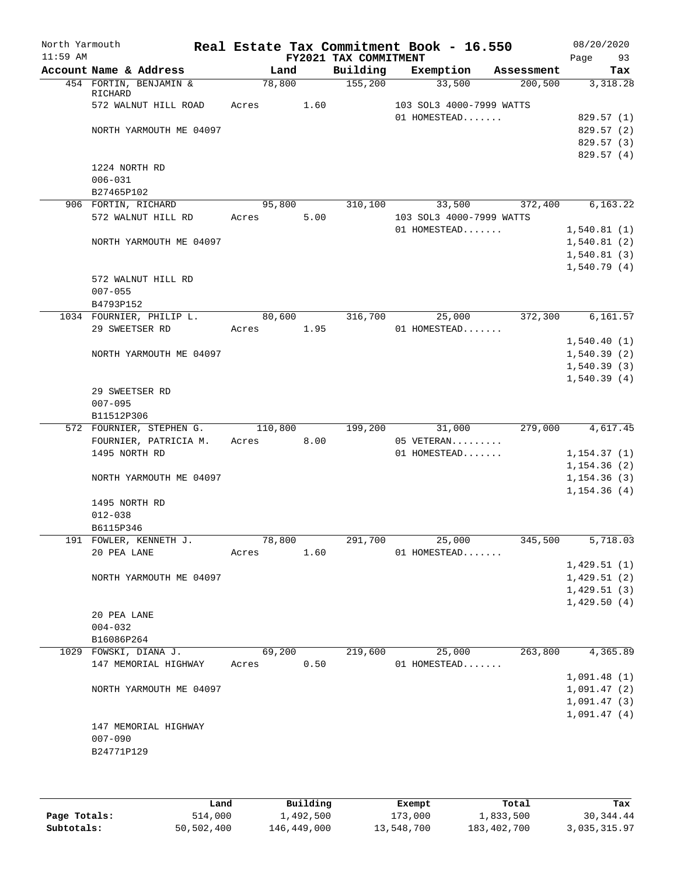| North Yarmouth<br>$11:59$ AM |                     |                          |       |         |      | FY2021 TAX COMMITMENT | Real Estate Tax Commitment Book - 16.550 |            | 08/20/2020<br>93<br>Page |
|------------------------------|---------------------|--------------------------|-------|---------|------|-----------------------|------------------------------------------|------------|--------------------------|
|                              |                     | Account Name & Address   |       | Land    |      | Building              | Exemption                                | Assessment | Tax                      |
|                              | RICHARD             | 454 FORTIN, BENJAMIN &   |       | 78,800  |      | 155,200               | 33,500                                   | 200,500    | 3,318.28                 |
|                              |                     | 572 WALNUT HILL ROAD     | Acres |         | 1.60 |                       | 103 SOL3 4000-7999 WATTS                 |            |                          |
|                              |                     |                          |       |         |      |                       | 01 HOMESTEAD                             |            | 829.57(1)                |
|                              |                     | NORTH YARMOUTH ME 04097  |       |         |      |                       |                                          |            | 829.57 (2)               |
|                              |                     |                          |       |         |      |                       |                                          |            | 829.57 (3)               |
|                              |                     |                          |       |         |      |                       |                                          |            | 829.57 (4)               |
|                              | 1224 NORTH RD       |                          |       |         |      |                       |                                          |            |                          |
|                              | $006 - 031$         |                          |       |         |      |                       |                                          |            |                          |
|                              | B27465P102          |                          |       |         |      |                       |                                          |            |                          |
|                              | 906 FORTIN, RICHARD |                          |       | 95,800  |      | 310,100               | 33,500                                   | 372,400    | 6,163.22                 |
|                              |                     | 572 WALNUT HILL RD       | Acres |         | 5.00 |                       | 103 SOL3 4000-7999 WATTS                 |            |                          |
|                              |                     |                          |       |         |      |                       | 01 HOMESTEAD                             |            | 1,540.81(1)              |
|                              |                     | NORTH YARMOUTH ME 04097  |       |         |      |                       |                                          |            | 1,540.81(2)              |
|                              |                     |                          |       |         |      |                       |                                          |            | 1,540.81(3)              |
|                              |                     |                          |       |         |      |                       |                                          |            | 1,540.79(4)              |
|                              | $007 - 055$         | 572 WALNUT HILL RD       |       |         |      |                       |                                          |            |                          |
|                              | B4793P152           |                          |       |         |      |                       |                                          |            |                          |
|                              |                     | 1034 FOURNIER, PHILIP L. |       | 80,600  |      | 316,700               | 25,000                                   | 372,300    | 6, 161.57                |
|                              | 29 SWEETSER RD      |                          | Acres |         | 1.95 |                       | 01 HOMESTEAD                             |            |                          |
|                              |                     |                          |       |         |      |                       |                                          |            | 1,540.40(1)              |
|                              |                     | NORTH YARMOUTH ME 04097  |       |         |      |                       |                                          |            | 1,540.39(2)              |
|                              |                     |                          |       |         |      |                       |                                          |            | 1,540.39(3)              |
|                              |                     |                          |       |         |      |                       |                                          |            | 1,540.39(4)              |
|                              | 29 SWEETSER RD      |                          |       |         |      |                       |                                          |            |                          |
|                              | $007 - 095$         |                          |       |         |      |                       |                                          |            |                          |
|                              | B11512P306          |                          |       |         |      |                       |                                          |            |                          |
|                              |                     | 572 FOURNIER, STEPHEN G. |       | 110,800 |      | 199,200               | 31,000                                   | 279,000    | 4,617.45                 |
|                              |                     | FOURNIER, PATRICIA M.    | Acres |         | 8.00 |                       | 05 VETERAN                               |            |                          |
|                              | 1495 NORTH RD       |                          |       |         |      |                       | 01 HOMESTEAD                             |            | 1, 154.37(1)             |
|                              |                     |                          |       |         |      |                       |                                          |            | 1, 154.36(2)             |
|                              |                     | NORTH YARMOUTH ME 04097  |       |         |      |                       |                                          |            | 1, 154.36(3)             |
|                              |                     |                          |       |         |      |                       |                                          |            | 1, 154.36(4)             |
|                              | 1495 NORTH RD       |                          |       |         |      |                       |                                          |            |                          |
|                              | $012 - 038$         |                          |       |         |      |                       |                                          |            |                          |
|                              | B6115P346           |                          |       |         |      |                       |                                          |            |                          |
|                              |                     | 191 FOWLER, KENNETH J.   |       | 78,800  |      | 291,700               | 25,000                                   | 345,500    | 5,718.03                 |
|                              | 20 PEA LANE         |                          | Acres |         | 1.60 |                       | 01 HOMESTEAD                             |            |                          |
|                              |                     |                          |       |         |      |                       |                                          |            | 1,429.51(1)              |
|                              |                     | NORTH YARMOUTH ME 04097  |       |         |      |                       |                                          |            | 1,429.51(2)              |
|                              |                     |                          |       |         |      |                       |                                          |            | 1,429.51(3)              |
|                              |                     |                          |       |         |      |                       |                                          |            | 1,429.50(4)              |
|                              | 20 PEA LANE         |                          |       |         |      |                       |                                          |            |                          |
|                              | $004 - 032$         |                          |       |         |      |                       |                                          |            |                          |
|                              | B16086P264          |                          |       |         |      |                       |                                          | 263,800    | 4,365.89                 |
|                              |                     | 1029 FOWSKI, DIANA J.    |       | 69,200  |      | 219,600               | 25,000                                   |            |                          |
|                              |                     | 147 MEMORIAL HIGHWAY     | Acres |         | 0.50 |                       | 01 HOMESTEAD                             |            | 1,091.48(1)              |
|                              |                     | NORTH YARMOUTH ME 04097  |       |         |      |                       |                                          |            | 1,091.47(2)              |
|                              |                     |                          |       |         |      |                       |                                          |            | 1,091.47(3)              |
|                              |                     |                          |       |         |      |                       |                                          |            | 1,091.47(4)              |
|                              |                     | 147 MEMORIAL HIGHWAY     |       |         |      |                       |                                          |            |                          |
|                              | $007 - 090$         |                          |       |         |      |                       |                                          |            |                          |
|                              | B24771P129          |                          |       |         |      |                       |                                          |            |                          |
|                              |                     |                          |       |         |      |                       |                                          |            |                          |
|                              |                     |                          |       |         |      |                       |                                          |            |                          |

|              | Land       | Building    | Exempt     | Total       | Tax          |
|--------------|------------|-------------|------------|-------------|--------------|
| Page Totals: | 514,000    | 1,492,500   | 173,000    | 1,833,500   | 30,344.44    |
| Subtotals:   | 50,502,400 | 146,449,000 | 13,548,700 | 183,402,700 | 3,035,315.97 |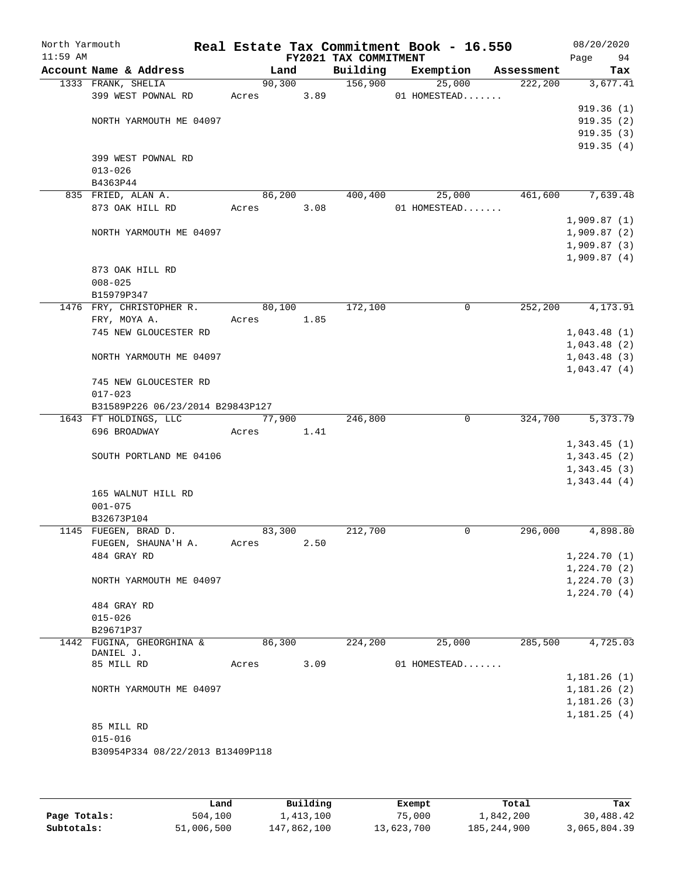| North Yarmouth<br>$11:59$ AM |                                       |        |        | FY2021 TAX COMMITMENT | Real Estate Tax Commitment Book - 16.550 |            | 08/20/2020<br>94<br>Page   |
|------------------------------|---------------------------------------|--------|--------|-----------------------|------------------------------------------|------------|----------------------------|
|                              | Account Name & Address                |        | Land   | Building              | Exemption                                | Assessment | Tax                        |
|                              | 1333 FRANK, SHELIA                    |        | 90,300 | 156,900               | 25,000                                   | 222,200    | 3,677.41                   |
|                              | 399 WEST POWNAL RD                    | Acres  | 3.89   |                       | 01 HOMESTEAD                             |            |                            |
|                              |                                       |        |        |                       |                                          |            | 919.36(1)                  |
|                              | NORTH YARMOUTH ME 04097               |        |        |                       |                                          |            | 919.35(2)                  |
|                              |                                       |        |        |                       |                                          |            | 919.35(3)                  |
|                              |                                       |        |        |                       |                                          |            | 919.35(4)                  |
|                              | 399 WEST POWNAL RD                    |        |        |                       |                                          |            |                            |
|                              | $013 - 026$                           |        |        |                       |                                          |            |                            |
|                              | B4363P44                              |        |        |                       |                                          |            |                            |
|                              | 835 FRIED, ALAN A.                    |        | 86,200 | 400,400               | 25,000                                   | 461,600    | 7,639.48                   |
|                              | 873 OAK HILL RD                       | Acres  | 3.08   |                       | 01 HOMESTEAD                             |            |                            |
|                              |                                       |        |        |                       |                                          |            | 1,909.87(1)                |
|                              | NORTH YARMOUTH ME 04097               |        |        |                       |                                          |            | 1,909.87(2)                |
|                              |                                       |        |        |                       |                                          |            | 1,909.87(3)                |
|                              |                                       |        |        |                       |                                          |            | 1,909.87(4)                |
|                              | 873 OAK HILL RD                       |        |        |                       |                                          |            |                            |
|                              | $008 - 025$                           |        |        |                       |                                          |            |                            |
|                              | B15979P347                            |        |        |                       |                                          |            |                            |
|                              | 1476 FRY, CHRISTOPHER R.              |        | 80,100 | 172,100               | 0                                        | 252, 200   | 4, 173.91                  |
|                              | FRY, MOYA A.                          | Acres  | 1.85   |                       |                                          |            |                            |
|                              | 745 NEW GLOUCESTER RD                 |        |        |                       |                                          |            | 1,043.48(1)                |
|                              |                                       |        |        |                       |                                          |            | 1,043.48(2)                |
|                              | NORTH YARMOUTH ME 04097               |        |        |                       |                                          |            | 1,043.48(3)                |
|                              |                                       |        |        |                       |                                          |            | 1,043.47(4)                |
|                              | 745 NEW GLOUCESTER RD                 |        |        |                       |                                          |            |                            |
|                              | $017 - 023$                           |        |        |                       |                                          |            |                            |
|                              | B31589P226 06/23/2014 B29843P127      |        |        |                       | $\mathbf 0$                              |            | 5,373.79                   |
|                              | 1643 FT HOLDINGS, LLC<br>696 BROADWAY |        | 77,900 | 246,800               |                                          | 324,700    |                            |
|                              |                                       | Acres  | 1.41   |                       |                                          |            |                            |
|                              | SOUTH PORTLAND ME 04106               |        |        |                       |                                          |            | 1,343.45(1)<br>1,343.45(2) |
|                              |                                       |        |        |                       |                                          |            | 1,343.45(3)                |
|                              |                                       |        |        |                       |                                          |            | 1,343.44(4)                |
|                              | 165 WALNUT HILL RD                    |        |        |                       |                                          |            |                            |
|                              | $001 - 075$                           |        |        |                       |                                          |            |                            |
|                              | B32673P104                            |        |        |                       |                                          |            |                            |
|                              | 1145 FUEGEN, BRAD D.                  | 83,300 |        | 212,700               | 0                                        | 296,000    | 4,898.80                   |
|                              | FUEGEN, SHAUNA'H A.                   | Acres  | 2.50   |                       |                                          |            |                            |
|                              | 484 GRAY RD                           |        |        |                       |                                          |            | 1,224.70(1)                |
|                              |                                       |        |        |                       |                                          |            | 1,224.70(2)                |
|                              | NORTH YARMOUTH ME 04097               |        |        |                       |                                          |            | 1,224.70(3)                |
|                              |                                       |        |        |                       |                                          |            | 1,224.70(4)                |
|                              | 484 GRAY RD                           |        |        |                       |                                          |            |                            |
|                              | $015 - 026$                           |        |        |                       |                                          |            |                            |
|                              | B29671P37                             |        |        |                       |                                          |            |                            |
|                              | 1442 FUGINA, GHEORGHINA &             | 86,300 |        | 224,200               | 25,000                                   | 285,500    | 4,725.03                   |
|                              | DANIEL J.                             |        |        |                       |                                          |            |                            |
|                              | 85 MILL RD                            | Acres  | 3.09   |                       | 01 HOMESTEAD                             |            |                            |
|                              |                                       |        |        |                       |                                          |            | 1,181.26(1)                |
|                              | NORTH YARMOUTH ME 04097               |        |        |                       |                                          |            | 1,181.26(2)                |
|                              |                                       |        |        |                       |                                          |            | 1,181.26(3)                |
|                              |                                       |        |        |                       |                                          |            | 1,181.25(4)                |
|                              | 85 MILL RD                            |        |        |                       |                                          |            |                            |
|                              | $015 - 016$                           |        |        |                       |                                          |            |                            |
|                              | B30954P334 08/22/2013 B13409P118      |        |        |                       |                                          |            |                            |
|                              |                                       |        |        |                       |                                          |            |                            |
|                              |                                       |        |        |                       |                                          |            |                            |

|              | úand       | Building    | Exempt     | Total         | Tax          |
|--------------|------------|-------------|------------|---------------|--------------|
| Page Totals: | 504,100    | 1,413,100   | 75,000     | ⊥,842,200     | 30,488.42    |
| Subtotals:   | 51,006,500 | 147,862,100 | 13,623,700 | 185, 244, 900 | 3,065,804.39 |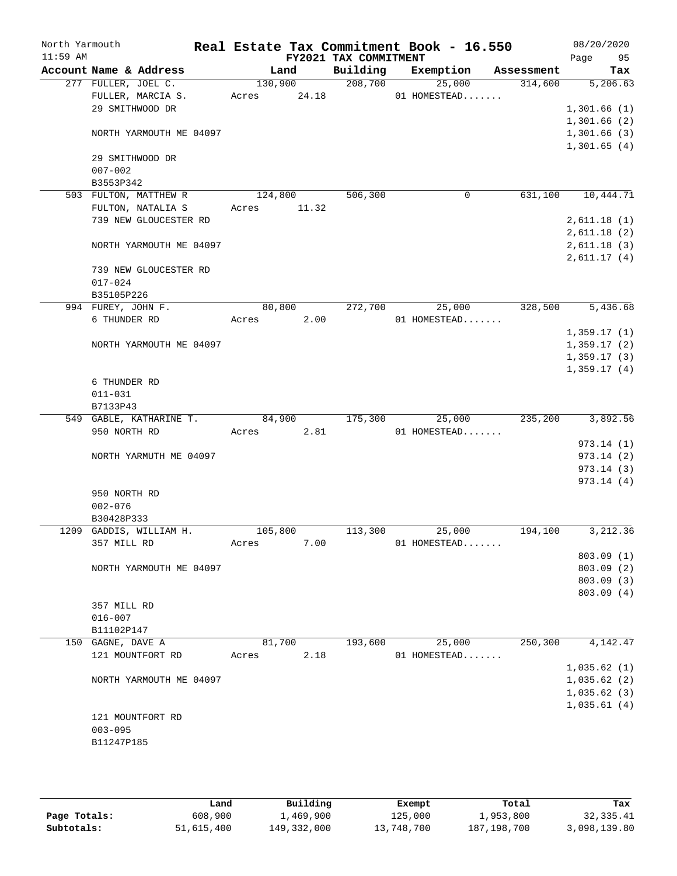| North Yarmouth<br>$11:59$ AM |                                  |         |         | FY2021 TAX COMMITMENT | Real Estate Tax Commitment Book - 16.550 |        |            | 08/20/2020<br>Page | 95        |
|------------------------------|----------------------------------|---------|---------|-----------------------|------------------------------------------|--------|------------|--------------------|-----------|
|                              | Account Name & Address           |         | Land    | Building              | Exemption                                |        | Assessment |                    | Tax       |
|                              | 277 FULLER, JOEL C.              |         | 130,900 | 208,700               | 25,000                                   |        | 314,600    |                    | 5,206.63  |
|                              | FULLER, MARCIA S.                | Acres   | 24.18   |                       | 01 HOMESTEAD                             |        |            |                    |           |
|                              | 29 SMITHWOOD DR                  |         |         |                       |                                          |        |            | 1,301.66(1)        |           |
|                              |                                  |         |         |                       |                                          |        |            | 1,301.66(2)        |           |
|                              | NORTH YARMOUTH ME 04097          |         |         |                       |                                          |        |            | 1,301.66(3)        |           |
|                              |                                  |         |         |                       |                                          |        |            | 1,301.65(4)        |           |
|                              | 29 SMITHWOOD DR                  |         |         |                       |                                          |        |            |                    |           |
|                              | $007 - 002$                      |         |         |                       |                                          |        |            |                    |           |
|                              | B3553P342                        |         |         |                       |                                          |        |            |                    |           |
|                              | 503 FULTON, MATTHEW R            | 124,800 |         | 506,300               |                                          | 0      | 631,100    |                    | 10,444.71 |
|                              | FULTON, NATALIA S                | Acres   | 11.32   |                       |                                          |        |            |                    |           |
|                              | 739 NEW GLOUCESTER RD            |         |         |                       |                                          |        |            | 2,611.18(1)        |           |
|                              |                                  |         |         |                       |                                          |        |            | 2,611.18(2)        |           |
|                              | NORTH YARMOUTH ME 04097          |         |         |                       |                                          |        |            | 2,611.18(3)        |           |
|                              |                                  |         |         |                       |                                          |        |            | 2,611.17(4)        |           |
|                              | 739 NEW GLOUCESTER RD            |         |         |                       |                                          |        |            |                    |           |
|                              | $017 - 024$                      |         |         |                       |                                          |        |            |                    |           |
|                              | B35105P226<br>994 FUREY, JOHN F. | 80,800  |         | 272,700               | 25,000                                   |        | 328,500    |                    | 5,436.68  |
|                              | 6 THUNDER RD                     |         | 2.00    |                       |                                          |        |            |                    |           |
|                              |                                  | Acres   |         |                       | 01 HOMESTEAD                             |        |            | 1,359.17(1)        |           |
|                              |                                  |         |         |                       |                                          |        |            | 1,359.17(2)        |           |
|                              | NORTH YARMOUTH ME 04097          |         |         |                       |                                          |        |            | 1,359.17(3)        |           |
|                              |                                  |         |         |                       |                                          |        |            | 1,359.17(4)        |           |
|                              | 6 THUNDER RD                     |         |         |                       |                                          |        |            |                    |           |
|                              | $011 - 031$                      |         |         |                       |                                          |        |            |                    |           |
|                              | B7133P43                         |         |         |                       |                                          |        |            |                    |           |
|                              | 549 GABLE, KATHARINE T.          | 84,900  |         | 175,300               | 25,000                                   |        | 235,200    |                    | 3,892.56  |
|                              | 950 NORTH RD                     | Acres   | 2.81    |                       | 01 HOMESTEAD                             |        |            |                    |           |
|                              |                                  |         |         |                       |                                          |        |            | 973.14(1)          |           |
|                              | NORTH YARMUTH ME 04097           |         |         |                       |                                          |        |            | 973.14(2)          |           |
|                              |                                  |         |         |                       |                                          |        |            | 973.14(3)          |           |
|                              |                                  |         |         |                       |                                          |        |            | 973.14(4)          |           |
|                              | 950 NORTH RD                     |         |         |                       |                                          |        |            |                    |           |
|                              | $002 - 076$                      |         |         |                       |                                          |        |            |                    |           |
|                              | B30428P333                       |         |         |                       |                                          |        |            |                    |           |
|                              | 1209 GADDIS, WILLIAM H.          | 105,800 |         | 113,300               | 25,000                                   |        | 194,100    |                    | 3,212.36  |
|                              | 357 MILL RD                      | Acres   | 7.00    |                       | 01 HOMESTEAD                             |        |            |                    |           |
|                              |                                  |         |         |                       |                                          |        |            | 803.09 (1)         |           |
|                              | NORTH YARMOUTH ME 04097          |         |         |                       |                                          |        |            | 803.09 (2)         |           |
|                              |                                  |         |         |                       |                                          |        |            | 803.09 (3)         |           |
|                              |                                  |         |         |                       |                                          |        |            | 803.09 (4)         |           |
|                              | 357 MILL RD                      |         |         |                       |                                          |        |            |                    |           |
|                              | $016 - 007$                      |         |         |                       |                                          |        |            |                    |           |
|                              | B11102P147                       |         |         |                       |                                          |        |            |                    |           |
|                              | 150 GAGNE, DAVE A                | 81,700  |         | 193,600               |                                          | 25,000 | 250,300    |                    | 4,142.47  |
|                              | 121 MOUNTFORT RD                 | Acres   | 2.18    |                       | 01 HOMESTEAD                             |        |            |                    |           |
|                              |                                  |         |         |                       |                                          |        |            | 1,035.62(1)        |           |
|                              | NORTH YARMOUTH ME 04097          |         |         |                       |                                          |        |            | 1,035.62(2)        |           |
|                              |                                  |         |         |                       |                                          |        |            | 1,035.62(3)        |           |
|                              |                                  |         |         |                       |                                          |        |            | 1,035.61(4)        |           |
|                              | 121 MOUNTFORT RD                 |         |         |                       |                                          |        |            |                    |           |
|                              | $003 - 095$                      |         |         |                       |                                          |        |            |                    |           |
|                              | B11247P185                       |         |         |                       |                                          |        |            |                    |           |
|                              |                                  |         |         |                       |                                          |        |            |                    |           |

|              | Land       | Building    | Exempt     | Total         | Tax          |
|--------------|------------|-------------|------------|---------------|--------------|
| Page Totals: | 608,900    | 1,469,900   | 125,000    | 1,953,800     | 32,335.41    |
| Subtotals:   | 51,615,400 | 149,332,000 | 13,748,700 | 187, 198, 700 | 3,098,139.80 |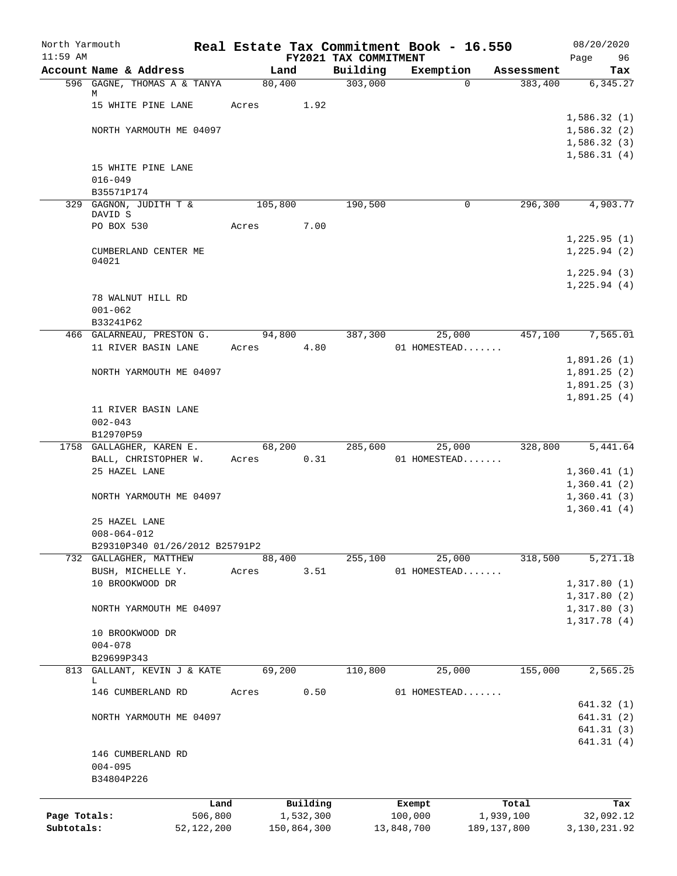| North Yarmouth<br>$11:59$ AM |                                                     |              |       |             |           |                                   | Real Estate Tax Commitment Book - 16.550 |          |               | 08/20/2020             |
|------------------------------|-----------------------------------------------------|--------------|-------|-------------|-----------|-----------------------------------|------------------------------------------|----------|---------------|------------------------|
|                              | Account Name & Address                              |              |       | Land        |           | FY2021 TAX COMMITMENT<br>Building | Exemption                                |          | Assessment    | Page<br>96<br>Tax      |
|                              | 596 GAGNE, THOMAS A & TANYA                         |              |       | 80,400      |           | 303,000                           |                                          | $\Omega$ | 383,400       | 6,345.27               |
|                              | М                                                   |              |       |             |           |                                   |                                          |          |               |                        |
|                              | 15 WHITE PINE LANE                                  |              | Acres |             | 1.92      |                                   |                                          |          |               | 1,586.32(1)            |
|                              | NORTH YARMOUTH ME 04097                             |              |       |             |           |                                   |                                          |          |               | 1,586.32(2)            |
|                              |                                                     |              |       |             |           |                                   |                                          |          |               | 1,586.32(3)            |
|                              |                                                     |              |       |             |           |                                   |                                          |          |               | 1,586.31(4)            |
|                              | 15 WHITE PINE LANE                                  |              |       |             |           |                                   |                                          |          |               |                        |
|                              | $016 - 049$                                         |              |       |             |           |                                   |                                          |          |               |                        |
|                              | B35571P174<br>329 GAGNON, JUDITH T &                |              |       | 105,800     |           | 190,500                           |                                          | 0        | 296,300       | 4,903.77               |
|                              | DAVID S                                             |              |       |             |           |                                   |                                          |          |               |                        |
|                              | PO BOX 530                                          |              | Acres |             | 7.00      |                                   |                                          |          |               |                        |
|                              |                                                     |              |       |             |           |                                   |                                          |          |               | 1,225.95(1)            |
|                              | CUMBERLAND CENTER ME<br>04021                       |              |       |             |           |                                   |                                          |          |               | 1, 225.94 (2)          |
|                              |                                                     |              |       |             |           |                                   |                                          |          |               | 1, 225.94(3)           |
|                              |                                                     |              |       |             |           |                                   |                                          |          |               | 1, 225.94 (4)          |
|                              | 78 WALNUT HILL RD                                   |              |       |             |           |                                   |                                          |          |               |                        |
|                              | $001 - 062$                                         |              |       |             |           |                                   |                                          |          |               |                        |
|                              | B33241P62                                           |              |       |             |           |                                   |                                          |          |               |                        |
|                              | 466 GALARNEAU, PRESTON G.<br>11 RIVER BASIN LANE    |              | Acres | 94,800      | 4.80      | 387,300                           | 01 HOMESTEAD                             | 25,000   | 457,100       | 7,565.01               |
|                              |                                                     |              |       |             |           |                                   |                                          |          |               | 1,891.26(1)            |
|                              | NORTH YARMOUTH ME 04097                             |              |       |             |           |                                   |                                          |          |               | 1,891.25(2)            |
|                              |                                                     |              |       |             |           |                                   |                                          |          |               | 1,891.25(3)            |
|                              |                                                     |              |       |             |           |                                   |                                          |          |               | 1,891.25(4)            |
|                              | 11 RIVER BASIN LANE                                 |              |       |             |           |                                   |                                          |          |               |                        |
|                              | $002 - 043$                                         |              |       |             |           |                                   |                                          |          |               |                        |
|                              | B12970P59                                           |              |       |             |           |                                   |                                          |          |               |                        |
|                              | 1758 GALLAGHER, KAREN E.<br>BALL, CHRISTOPHER W.    |              | Acres | 68,200      | 0.31      | $\overline{285,600}$              | 01 HOMESTEAD                             | 25,000   | 328,800       | 5,441.64               |
|                              | 25 HAZEL LANE                                       |              |       |             |           |                                   |                                          |          |               | 1,360.41(1)            |
|                              |                                                     |              |       |             |           |                                   |                                          |          |               | 1,360.41(2)            |
|                              | NORTH YARMOUTH ME 04097                             |              |       |             |           |                                   |                                          |          |               | 1,360.41(3)            |
|                              |                                                     |              |       |             |           |                                   |                                          |          |               | 1,360.41(4)            |
|                              | 25 HAZEL LANE                                       |              |       |             |           |                                   |                                          |          |               |                        |
|                              | $008 - 064 - 012$<br>B29310P340 01/26/2012 B25791P2 |              |       |             |           |                                   |                                          |          |               |                        |
|                              | 732 GALLAGHER, MATTHEW                              |              |       | 88,400      |           | 255,100                           |                                          | 25,000   | 318,500       | 5,271.18               |
|                              | BUSH, MICHELLE Y.                                   |              | Acres |             | 3.51      |                                   | 01 HOMESTEAD                             |          |               |                        |
|                              | 10 BROOKWOOD DR                                     |              |       |             |           |                                   |                                          |          |               | 1,317.80(1)            |
|                              |                                                     |              |       |             |           |                                   |                                          |          |               | 1,317.80(2)            |
|                              | NORTH YARMOUTH ME 04097                             |              |       |             |           |                                   |                                          |          |               | 1,317.80(3)            |
|                              |                                                     |              |       |             |           |                                   |                                          |          |               | 1,317.78(4)            |
|                              | 10 BROOKWOOD DR<br>$004 - 078$                      |              |       |             |           |                                   |                                          |          |               |                        |
|                              | B29699P343                                          |              |       |             |           |                                   |                                          |          |               |                        |
|                              | 813 GALLANT, KEVIN J & KATE                         |              |       | 69,200      |           | 110,800                           |                                          | 25,000   | 155,000       | 2,565.25               |
|                              | L                                                   |              |       |             |           |                                   |                                          |          |               |                        |
|                              | 146 CUMBERLAND RD                                   |              | Acres |             | 0.50      |                                   | 01 HOMESTEAD                             |          |               |                        |
|                              | NORTH YARMOUTH ME 04097                             |              |       |             |           |                                   |                                          |          |               | 641.32(1)<br>641.31(2) |
|                              |                                                     |              |       |             |           |                                   |                                          |          |               | 641.31(3)              |
|                              |                                                     |              |       |             |           |                                   |                                          |          |               | 641.31(4)              |
|                              | 146 CUMBERLAND RD                                   |              |       |             |           |                                   |                                          |          |               |                        |
|                              | $004 - 095$                                         |              |       |             |           |                                   |                                          |          |               |                        |
|                              | B34804P226                                          |              |       |             |           |                                   |                                          |          |               |                        |
|                              |                                                     | Land         |       |             | Building  |                                   |                                          |          | Total         |                        |
| Page Totals:                 |                                                     | 506,800      |       |             | 1,532,300 |                                   | Exempt<br>100,000                        |          | 1,939,100     | Tax<br>32,092.12       |
| Subtotals:                   |                                                     | 52, 122, 200 |       | 150,864,300 |           |                                   | 13,848,700                               |          | 189, 137, 800 | 3,130,231.92           |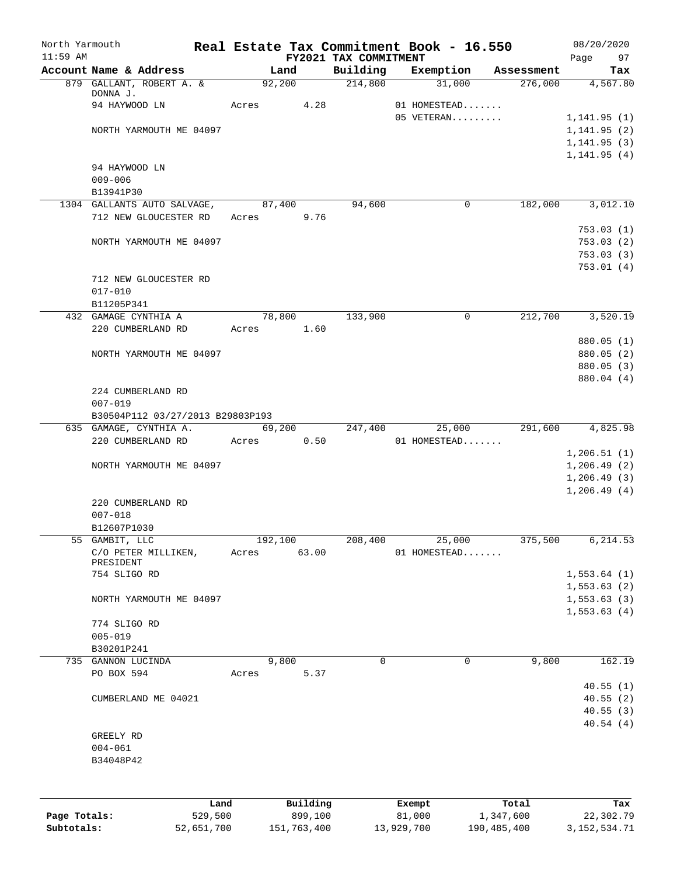| FY2021 TAX COMMITMENT<br>Account Name & Address<br>Land<br>Building<br>Exemption<br>Assessment<br>Tax<br>879 GALLANT, ROBERT A. &<br>92,200<br>214,800<br>31,000<br>276,000<br>DONNA J.<br>94 HAYWOOD LN<br>Acres<br>4.28<br>01 HOMESTEAD<br>05 VETERAN<br>1, 141.95(1)<br>1, 141.95(2)<br>NORTH YARMOUTH ME 04097<br>1, 141.95(3)<br>94 HAYWOOD LN<br>$009 - 006$<br>B13941P30<br>1304 GALLANTS AUTO SALVAGE,<br>94,600<br>182,000<br>3,012.10<br>87,400<br>0<br>712 NEW GLOUCESTER RD<br>9.76<br>Acres<br>753.03(1)<br>753.03(2)<br>NORTH YARMOUTH ME 04097<br>753.03(3)<br>712 NEW GLOUCESTER RD<br>$017 - 010$<br>B11205P341<br>78,800<br>133,900<br>212,700<br>3,520.19<br>432 GAMAGE CYNTHIA A<br>$\mathbf 0$<br>220 CUMBERLAND RD<br>1.60<br>Acres<br>880.05 (1)<br>880.05 (2)<br>NORTH YARMOUTH ME 04097<br>880.05 (3)<br>880.04 (4)<br>224 CUMBERLAND RD<br>$007 - 019$<br>B30504P112 03/27/2013 B29803P193<br>635 GAMAGE, CYNTHIA A.<br>69,200<br>247,400<br>25,000<br>291,600<br>220 CUMBERLAND RD<br>0.50<br>Acres<br>01 HOMESTEAD<br>1, 206.51(1)<br>1,206.49(2)<br>NORTH YARMOUTH ME 04097<br>1, 206.49(3)<br>1,206.49(4)<br>220 CUMBERLAND RD<br>$007 - 018$<br>B12607P1030<br>55 GAMBIT, LLC<br>192,100<br>208,400<br>25,000<br>375,500<br>C/O PETER MILLIKEN,<br>Acres<br>63.00<br>01 HOMESTEAD<br>PRESIDENT<br>754 SLIGO RD<br>NORTH YARMOUTH ME 04097<br>774 SLIGO RD<br>$005 - 019$<br>B30201P241<br>162.19<br>GANNON LUCINDA<br>9,800<br>$\mathbf 0$<br>$\mathbf 0$<br>9,800<br>735<br>PO BOX 594<br>5.37<br>Acres<br>CUMBERLAND ME 04021<br>GREELY RD<br>$004 - 061$<br>B34048P42<br>Building<br>Land<br>Total<br>Exempt<br>Tax<br>529,500<br>899,100<br>22,302.79<br>Page Totals:<br>81,000<br>1,347,600 | North Yarmouth<br>$11:59$ AM | Real Estate Tax Commitment Book - 16.550 |  | 08/20/2020   |
|---------------------------------------------------------------------------------------------------------------------------------------------------------------------------------------------------------------------------------------------------------------------------------------------------------------------------------------------------------------------------------------------------------------------------------------------------------------------------------------------------------------------------------------------------------------------------------------------------------------------------------------------------------------------------------------------------------------------------------------------------------------------------------------------------------------------------------------------------------------------------------------------------------------------------------------------------------------------------------------------------------------------------------------------------------------------------------------------------------------------------------------------------------------------------------------------------------------------------------------------------------------------------------------------------------------------------------------------------------------------------------------------------------------------------------------------------------------------------------------------------------------------------------------------------------------------------------------------------------------------------------------------------------------------------------------------------------------------------------|------------------------------|------------------------------------------|--|--------------|
|                                                                                                                                                                                                                                                                                                                                                                                                                                                                                                                                                                                                                                                                                                                                                                                                                                                                                                                                                                                                                                                                                                                                                                                                                                                                                                                                                                                                                                                                                                                                                                                                                                                                                                                                 |                              |                                          |  | 97<br>Page   |
|                                                                                                                                                                                                                                                                                                                                                                                                                                                                                                                                                                                                                                                                                                                                                                                                                                                                                                                                                                                                                                                                                                                                                                                                                                                                                                                                                                                                                                                                                                                                                                                                                                                                                                                                 |                              |                                          |  | 4,567.80     |
|                                                                                                                                                                                                                                                                                                                                                                                                                                                                                                                                                                                                                                                                                                                                                                                                                                                                                                                                                                                                                                                                                                                                                                                                                                                                                                                                                                                                                                                                                                                                                                                                                                                                                                                                 |                              |                                          |  |              |
|                                                                                                                                                                                                                                                                                                                                                                                                                                                                                                                                                                                                                                                                                                                                                                                                                                                                                                                                                                                                                                                                                                                                                                                                                                                                                                                                                                                                                                                                                                                                                                                                                                                                                                                                 |                              |                                          |  |              |
|                                                                                                                                                                                                                                                                                                                                                                                                                                                                                                                                                                                                                                                                                                                                                                                                                                                                                                                                                                                                                                                                                                                                                                                                                                                                                                                                                                                                                                                                                                                                                                                                                                                                                                                                 |                              |                                          |  |              |
|                                                                                                                                                                                                                                                                                                                                                                                                                                                                                                                                                                                                                                                                                                                                                                                                                                                                                                                                                                                                                                                                                                                                                                                                                                                                                                                                                                                                                                                                                                                                                                                                                                                                                                                                 |                              |                                          |  |              |
|                                                                                                                                                                                                                                                                                                                                                                                                                                                                                                                                                                                                                                                                                                                                                                                                                                                                                                                                                                                                                                                                                                                                                                                                                                                                                                                                                                                                                                                                                                                                                                                                                                                                                                                                 |                              |                                          |  | 1, 141.95(4) |
|                                                                                                                                                                                                                                                                                                                                                                                                                                                                                                                                                                                                                                                                                                                                                                                                                                                                                                                                                                                                                                                                                                                                                                                                                                                                                                                                                                                                                                                                                                                                                                                                                                                                                                                                 |                              |                                          |  |              |
|                                                                                                                                                                                                                                                                                                                                                                                                                                                                                                                                                                                                                                                                                                                                                                                                                                                                                                                                                                                                                                                                                                                                                                                                                                                                                                                                                                                                                                                                                                                                                                                                                                                                                                                                 |                              |                                          |  |              |
|                                                                                                                                                                                                                                                                                                                                                                                                                                                                                                                                                                                                                                                                                                                                                                                                                                                                                                                                                                                                                                                                                                                                                                                                                                                                                                                                                                                                                                                                                                                                                                                                                                                                                                                                 |                              |                                          |  |              |
|                                                                                                                                                                                                                                                                                                                                                                                                                                                                                                                                                                                                                                                                                                                                                                                                                                                                                                                                                                                                                                                                                                                                                                                                                                                                                                                                                                                                                                                                                                                                                                                                                                                                                                                                 |                              |                                          |  |              |
|                                                                                                                                                                                                                                                                                                                                                                                                                                                                                                                                                                                                                                                                                                                                                                                                                                                                                                                                                                                                                                                                                                                                                                                                                                                                                                                                                                                                                                                                                                                                                                                                                                                                                                                                 |                              |                                          |  |              |
|                                                                                                                                                                                                                                                                                                                                                                                                                                                                                                                                                                                                                                                                                                                                                                                                                                                                                                                                                                                                                                                                                                                                                                                                                                                                                                                                                                                                                                                                                                                                                                                                                                                                                                                                 |                              |                                          |  |              |
|                                                                                                                                                                                                                                                                                                                                                                                                                                                                                                                                                                                                                                                                                                                                                                                                                                                                                                                                                                                                                                                                                                                                                                                                                                                                                                                                                                                                                                                                                                                                                                                                                                                                                                                                 |                              |                                          |  |              |
|                                                                                                                                                                                                                                                                                                                                                                                                                                                                                                                                                                                                                                                                                                                                                                                                                                                                                                                                                                                                                                                                                                                                                                                                                                                                                                                                                                                                                                                                                                                                                                                                                                                                                                                                 |                              |                                          |  | 753.01(4)    |
|                                                                                                                                                                                                                                                                                                                                                                                                                                                                                                                                                                                                                                                                                                                                                                                                                                                                                                                                                                                                                                                                                                                                                                                                                                                                                                                                                                                                                                                                                                                                                                                                                                                                                                                                 |                              |                                          |  |              |
|                                                                                                                                                                                                                                                                                                                                                                                                                                                                                                                                                                                                                                                                                                                                                                                                                                                                                                                                                                                                                                                                                                                                                                                                                                                                                                                                                                                                                                                                                                                                                                                                                                                                                                                                 |                              |                                          |  |              |
|                                                                                                                                                                                                                                                                                                                                                                                                                                                                                                                                                                                                                                                                                                                                                                                                                                                                                                                                                                                                                                                                                                                                                                                                                                                                                                                                                                                                                                                                                                                                                                                                                                                                                                                                 |                              |                                          |  |              |
|                                                                                                                                                                                                                                                                                                                                                                                                                                                                                                                                                                                                                                                                                                                                                                                                                                                                                                                                                                                                                                                                                                                                                                                                                                                                                                                                                                                                                                                                                                                                                                                                                                                                                                                                 |                              |                                          |  |              |
|                                                                                                                                                                                                                                                                                                                                                                                                                                                                                                                                                                                                                                                                                                                                                                                                                                                                                                                                                                                                                                                                                                                                                                                                                                                                                                                                                                                                                                                                                                                                                                                                                                                                                                                                 |                              |                                          |  |              |
|                                                                                                                                                                                                                                                                                                                                                                                                                                                                                                                                                                                                                                                                                                                                                                                                                                                                                                                                                                                                                                                                                                                                                                                                                                                                                                                                                                                                                                                                                                                                                                                                                                                                                                                                 |                              |                                          |  |              |
|                                                                                                                                                                                                                                                                                                                                                                                                                                                                                                                                                                                                                                                                                                                                                                                                                                                                                                                                                                                                                                                                                                                                                                                                                                                                                                                                                                                                                                                                                                                                                                                                                                                                                                                                 |                              |                                          |  |              |
|                                                                                                                                                                                                                                                                                                                                                                                                                                                                                                                                                                                                                                                                                                                                                                                                                                                                                                                                                                                                                                                                                                                                                                                                                                                                                                                                                                                                                                                                                                                                                                                                                                                                                                                                 |                              |                                          |  |              |
|                                                                                                                                                                                                                                                                                                                                                                                                                                                                                                                                                                                                                                                                                                                                                                                                                                                                                                                                                                                                                                                                                                                                                                                                                                                                                                                                                                                                                                                                                                                                                                                                                                                                                                                                 |                              |                                          |  |              |
|                                                                                                                                                                                                                                                                                                                                                                                                                                                                                                                                                                                                                                                                                                                                                                                                                                                                                                                                                                                                                                                                                                                                                                                                                                                                                                                                                                                                                                                                                                                                                                                                                                                                                                                                 |                              |                                          |  |              |
|                                                                                                                                                                                                                                                                                                                                                                                                                                                                                                                                                                                                                                                                                                                                                                                                                                                                                                                                                                                                                                                                                                                                                                                                                                                                                                                                                                                                                                                                                                                                                                                                                                                                                                                                 |                              |                                          |  |              |
|                                                                                                                                                                                                                                                                                                                                                                                                                                                                                                                                                                                                                                                                                                                                                                                                                                                                                                                                                                                                                                                                                                                                                                                                                                                                                                                                                                                                                                                                                                                                                                                                                                                                                                                                 |                              |                                          |  | 4,825.98     |
|                                                                                                                                                                                                                                                                                                                                                                                                                                                                                                                                                                                                                                                                                                                                                                                                                                                                                                                                                                                                                                                                                                                                                                                                                                                                                                                                                                                                                                                                                                                                                                                                                                                                                                                                 |                              |                                          |  |              |
|                                                                                                                                                                                                                                                                                                                                                                                                                                                                                                                                                                                                                                                                                                                                                                                                                                                                                                                                                                                                                                                                                                                                                                                                                                                                                                                                                                                                                                                                                                                                                                                                                                                                                                                                 |                              |                                          |  |              |
|                                                                                                                                                                                                                                                                                                                                                                                                                                                                                                                                                                                                                                                                                                                                                                                                                                                                                                                                                                                                                                                                                                                                                                                                                                                                                                                                                                                                                                                                                                                                                                                                                                                                                                                                 |                              |                                          |  |              |
|                                                                                                                                                                                                                                                                                                                                                                                                                                                                                                                                                                                                                                                                                                                                                                                                                                                                                                                                                                                                                                                                                                                                                                                                                                                                                                                                                                                                                                                                                                                                                                                                                                                                                                                                 |                              |                                          |  |              |
|                                                                                                                                                                                                                                                                                                                                                                                                                                                                                                                                                                                                                                                                                                                                                                                                                                                                                                                                                                                                                                                                                                                                                                                                                                                                                                                                                                                                                                                                                                                                                                                                                                                                                                                                 |                              |                                          |  |              |
|                                                                                                                                                                                                                                                                                                                                                                                                                                                                                                                                                                                                                                                                                                                                                                                                                                                                                                                                                                                                                                                                                                                                                                                                                                                                                                                                                                                                                                                                                                                                                                                                                                                                                                                                 |                              |                                          |  |              |
|                                                                                                                                                                                                                                                                                                                                                                                                                                                                                                                                                                                                                                                                                                                                                                                                                                                                                                                                                                                                                                                                                                                                                                                                                                                                                                                                                                                                                                                                                                                                                                                                                                                                                                                                 |                              |                                          |  |              |
|                                                                                                                                                                                                                                                                                                                                                                                                                                                                                                                                                                                                                                                                                                                                                                                                                                                                                                                                                                                                                                                                                                                                                                                                                                                                                                                                                                                                                                                                                                                                                                                                                                                                                                                                 |                              |                                          |  | 6,214.53     |
|                                                                                                                                                                                                                                                                                                                                                                                                                                                                                                                                                                                                                                                                                                                                                                                                                                                                                                                                                                                                                                                                                                                                                                                                                                                                                                                                                                                                                                                                                                                                                                                                                                                                                                                                 |                              |                                          |  |              |
|                                                                                                                                                                                                                                                                                                                                                                                                                                                                                                                                                                                                                                                                                                                                                                                                                                                                                                                                                                                                                                                                                                                                                                                                                                                                                                                                                                                                                                                                                                                                                                                                                                                                                                                                 |                              |                                          |  | 1,553.64(1)  |
|                                                                                                                                                                                                                                                                                                                                                                                                                                                                                                                                                                                                                                                                                                                                                                                                                                                                                                                                                                                                                                                                                                                                                                                                                                                                                                                                                                                                                                                                                                                                                                                                                                                                                                                                 |                              |                                          |  | 1,553.63(2)  |
|                                                                                                                                                                                                                                                                                                                                                                                                                                                                                                                                                                                                                                                                                                                                                                                                                                                                                                                                                                                                                                                                                                                                                                                                                                                                                                                                                                                                                                                                                                                                                                                                                                                                                                                                 |                              |                                          |  | 1, 553.63(3) |
|                                                                                                                                                                                                                                                                                                                                                                                                                                                                                                                                                                                                                                                                                                                                                                                                                                                                                                                                                                                                                                                                                                                                                                                                                                                                                                                                                                                                                                                                                                                                                                                                                                                                                                                                 |                              |                                          |  | 1,553.63(4)  |
|                                                                                                                                                                                                                                                                                                                                                                                                                                                                                                                                                                                                                                                                                                                                                                                                                                                                                                                                                                                                                                                                                                                                                                                                                                                                                                                                                                                                                                                                                                                                                                                                                                                                                                                                 |                              |                                          |  |              |
|                                                                                                                                                                                                                                                                                                                                                                                                                                                                                                                                                                                                                                                                                                                                                                                                                                                                                                                                                                                                                                                                                                                                                                                                                                                                                                                                                                                                                                                                                                                                                                                                                                                                                                                                 |                              |                                          |  |              |
|                                                                                                                                                                                                                                                                                                                                                                                                                                                                                                                                                                                                                                                                                                                                                                                                                                                                                                                                                                                                                                                                                                                                                                                                                                                                                                                                                                                                                                                                                                                                                                                                                                                                                                                                 |                              |                                          |  |              |
|                                                                                                                                                                                                                                                                                                                                                                                                                                                                                                                                                                                                                                                                                                                                                                                                                                                                                                                                                                                                                                                                                                                                                                                                                                                                                                                                                                                                                                                                                                                                                                                                                                                                                                                                 |                              |                                          |  |              |
|                                                                                                                                                                                                                                                                                                                                                                                                                                                                                                                                                                                                                                                                                                                                                                                                                                                                                                                                                                                                                                                                                                                                                                                                                                                                                                                                                                                                                                                                                                                                                                                                                                                                                                                                 |                              |                                          |  | 40.55(1)     |
|                                                                                                                                                                                                                                                                                                                                                                                                                                                                                                                                                                                                                                                                                                                                                                                                                                                                                                                                                                                                                                                                                                                                                                                                                                                                                                                                                                                                                                                                                                                                                                                                                                                                                                                                 |                              |                                          |  | 40.55(2)     |
|                                                                                                                                                                                                                                                                                                                                                                                                                                                                                                                                                                                                                                                                                                                                                                                                                                                                                                                                                                                                                                                                                                                                                                                                                                                                                                                                                                                                                                                                                                                                                                                                                                                                                                                                 |                              |                                          |  | 40.55(3)     |
|                                                                                                                                                                                                                                                                                                                                                                                                                                                                                                                                                                                                                                                                                                                                                                                                                                                                                                                                                                                                                                                                                                                                                                                                                                                                                                                                                                                                                                                                                                                                                                                                                                                                                                                                 |                              |                                          |  | 40.54(4)     |
|                                                                                                                                                                                                                                                                                                                                                                                                                                                                                                                                                                                                                                                                                                                                                                                                                                                                                                                                                                                                                                                                                                                                                                                                                                                                                                                                                                                                                                                                                                                                                                                                                                                                                                                                 |                              |                                          |  |              |
|                                                                                                                                                                                                                                                                                                                                                                                                                                                                                                                                                                                                                                                                                                                                                                                                                                                                                                                                                                                                                                                                                                                                                                                                                                                                                                                                                                                                                                                                                                                                                                                                                                                                                                                                 |                              |                                          |  |              |
|                                                                                                                                                                                                                                                                                                                                                                                                                                                                                                                                                                                                                                                                                                                                                                                                                                                                                                                                                                                                                                                                                                                                                                                                                                                                                                                                                                                                                                                                                                                                                                                                                                                                                                                                 |                              |                                          |  |              |
|                                                                                                                                                                                                                                                                                                                                                                                                                                                                                                                                                                                                                                                                                                                                                                                                                                                                                                                                                                                                                                                                                                                                                                                                                                                                                                                                                                                                                                                                                                                                                                                                                                                                                                                                 |                              |                                          |  |              |
|                                                                                                                                                                                                                                                                                                                                                                                                                                                                                                                                                                                                                                                                                                                                                                                                                                                                                                                                                                                                                                                                                                                                                                                                                                                                                                                                                                                                                                                                                                                                                                                                                                                                                                                                 |                              |                                          |  |              |
|                                                                                                                                                                                                                                                                                                                                                                                                                                                                                                                                                                                                                                                                                                                                                                                                                                                                                                                                                                                                                                                                                                                                                                                                                                                                                                                                                                                                                                                                                                                                                                                                                                                                                                                                 |                              |                                          |  |              |

**Subtotals:** 52,651,700 151,763,400 13,929,700 190,485,400 3,152,534.71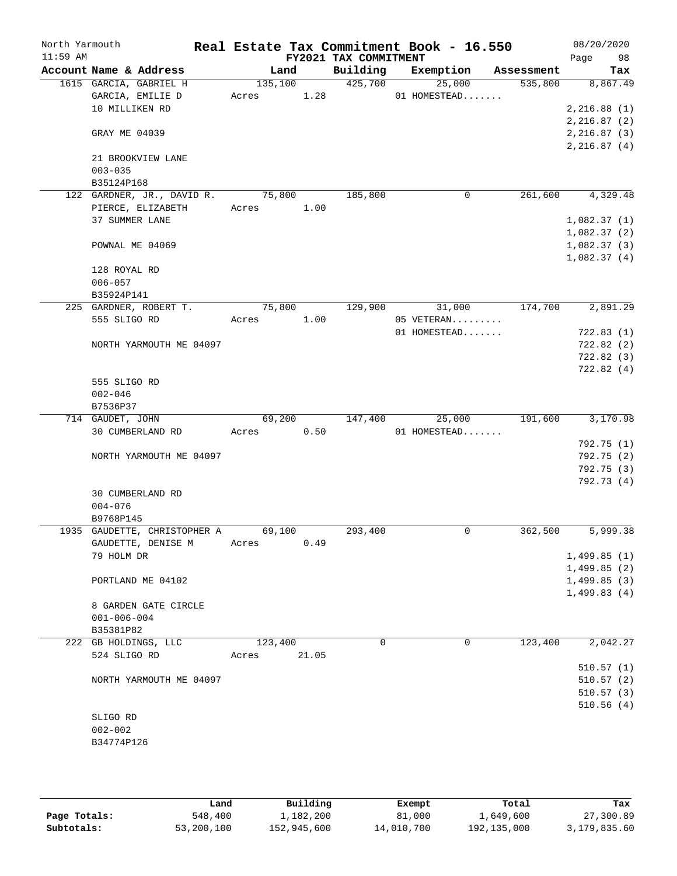| North Yarmouth<br>$11:59$ AM |                                   |            |        | FY2021 TAX COMMITMENT | Real Estate Tax Commitment Book - 16.550 |            | 08/20/2020<br>98       |
|------------------------------|-----------------------------------|------------|--------|-----------------------|------------------------------------------|------------|------------------------|
|                              | Account Name & Address            | Land       |        | Building              | Exemption                                | Assessment | Page<br>Tax            |
|                              | 1615 GARCIA, GABRIEL H            | 135,100    |        | 425,700               | 25,000                                   | 535,800    | 8,867.49               |
|                              | GARCIA, EMILIE D                  | Acres      | 1.28   |                       | 01 HOMESTEAD                             |            |                        |
|                              | 10 MILLIKEN RD                    |            |        |                       |                                          |            | 2, 216.88(1)           |
|                              |                                   |            |        |                       |                                          |            | 2, 216.87(2)           |
|                              | GRAY ME 04039                     |            |        |                       |                                          |            | 2,216.87(3)            |
|                              |                                   |            |        |                       |                                          |            | 2, 216.87(4)           |
|                              | 21 BROOKVIEW LANE                 |            |        |                       |                                          |            |                        |
|                              | $003 - 035$                       |            |        |                       |                                          |            |                        |
|                              | B35124P168                        |            |        |                       |                                          |            |                        |
|                              | 122 GARDNER, JR., DAVID R.        | 75,800     |        | 185,800               | $\mathbf 0$                              | 261,600    | 4,329.48               |
|                              | PIERCE, ELIZABETH                 | Acres 1.00 |        |                       |                                          |            |                        |
|                              | 37 SUMMER LANE                    |            |        |                       |                                          |            | 1,082.37(1)            |
|                              |                                   |            |        |                       |                                          |            | 1,082.37(2)            |
|                              | POWNAL ME 04069                   |            |        |                       |                                          |            | 1,082.37(3)            |
|                              |                                   |            |        |                       |                                          |            | 1,082.37(4)            |
|                              | 128 ROYAL RD                      |            |        |                       |                                          |            |                        |
|                              | $006 - 057$                       |            |        |                       |                                          |            |                        |
|                              | B35924P141                        |            |        |                       |                                          |            |                        |
|                              | 225 GARDNER, ROBERT T.            | 75,800     |        | 129,900               | 31,000                                   | 174,700    | 2,891.29               |
|                              | 555 SLIGO RD                      | Acres 1.00 |        |                       | 05 VETERAN                               |            |                        |
|                              |                                   |            |        |                       | 01 HOMESTEAD                             |            | 722.83(1)              |
|                              | NORTH YARMOUTH ME 04097           |            |        |                       |                                          |            | 722.82(2)              |
|                              |                                   |            |        |                       |                                          |            | 722.82(3)<br>722.82(4) |
|                              | 555 SLIGO RD                      |            |        |                       |                                          |            |                        |
|                              | $002 - 046$                       |            |        |                       |                                          |            |                        |
|                              | B7536P37                          |            |        |                       |                                          |            |                        |
|                              | 714 GAUDET, JOHN                  |            | 69,200 | 147,400               | 25,000                                   | 191,600    | 3,170.98               |
|                              | 30 CUMBERLAND RD                  | Acres      | 0.50   |                       | 01 HOMESTEAD                             |            |                        |
|                              |                                   |            |        |                       |                                          |            | 792.75 (1)             |
|                              | NORTH YARMOUTH ME 04097           |            |        |                       |                                          |            | 792.75 (2)             |
|                              |                                   |            |        |                       |                                          |            | 792.75(3)              |
|                              |                                   |            |        |                       |                                          |            | 792.73 (4)             |
|                              | 30 CUMBERLAND RD                  |            |        |                       |                                          |            |                        |
|                              | $004 - 076$                       |            |        |                       |                                          |            |                        |
|                              | B9768P145                         |            |        |                       |                                          |            |                        |
|                              | 1935 GAUDETTE, CHRISTOPHER A      | 69,100     |        | 293,400               | 0                                        | 362,500    | 5,999.38               |
|                              | GAUDETTE, DENISE M                | Acres      | 0.49   |                       |                                          |            |                        |
|                              | 79 HOLM DR                        |            |        |                       |                                          |            | 1,499.85(1)            |
|                              |                                   |            |        |                       |                                          |            | 1,499.85(2)            |
|                              | PORTLAND ME 04102                 |            |        |                       |                                          |            | 1,499.85(3)            |
|                              |                                   |            |        |                       |                                          |            | 1,499.83(4)            |
|                              | 8 GARDEN GATE CIRCLE              |            |        |                       |                                          |            |                        |
|                              | $001 - 006 - 004$                 |            |        |                       |                                          |            |                        |
|                              | B35381P82<br>222 GB HOLDINGS, LLC | 123,400    |        | 0                     | 0                                        | 123,400    | 2,042.27               |
|                              | 524 SLIGO RD                      | Acres      | 21.05  |                       |                                          |            |                        |
|                              |                                   |            |        |                       |                                          |            | 510.57(1)              |
|                              | NORTH YARMOUTH ME 04097           |            |        |                       |                                          |            | 510.57(2)              |
|                              |                                   |            |        |                       |                                          |            | 510.57(3)              |
|                              |                                   |            |        |                       |                                          |            | 510.56(4)              |
|                              | SLIGO RD                          |            |        |                       |                                          |            |                        |
|                              | $002 - 002$                       |            |        |                       |                                          |            |                        |
|                              | B34774P126                        |            |        |                       |                                          |            |                        |
|                              |                                   |            |        |                       |                                          |            |                        |
|                              |                                   |            |        |                       |                                          |            |                        |

|              | Land       | Building    | Exempt     | Total       | Tax          |
|--------------|------------|-------------|------------|-------------|--------------|
| Page Totals: | 548,400    | 1,182,200   | 81,000     | 1,649,600   | 27,300.89    |
| Subtotals:   | 53,200,100 | 152,945,600 | 14,010,700 | 192,135,000 | 3,179,835.60 |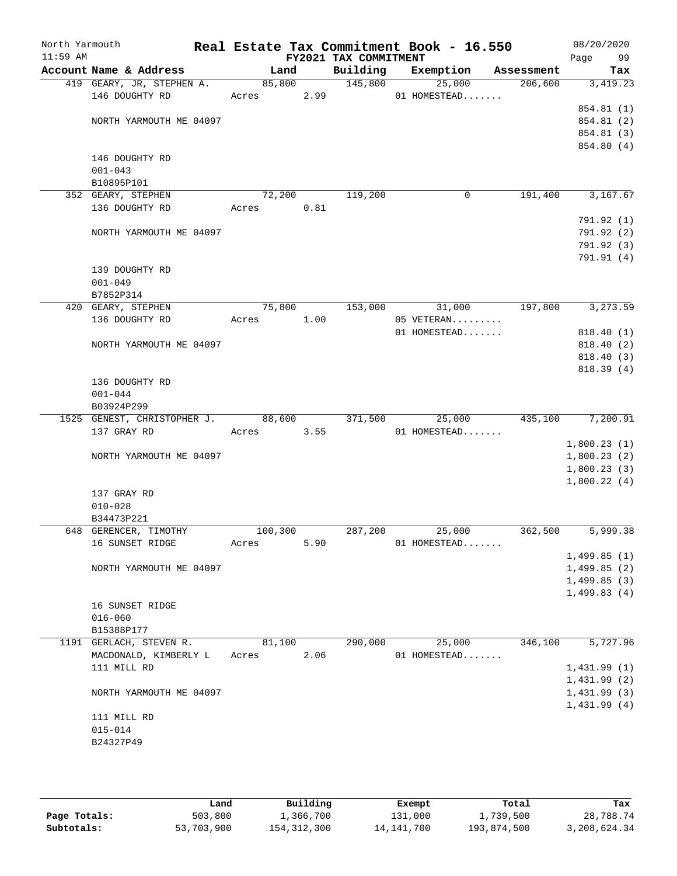| North Yarmouth<br>$11:59$ AM |                             |            |      | FY2021 TAX COMMITMENT | Real Estate Tax Commitment Book - 16.550 |            | 08/20/2020<br>Page<br>99 |
|------------------------------|-----------------------------|------------|------|-----------------------|------------------------------------------|------------|--------------------------|
|                              | Account Name & Address      | Land       |      | Building              | Exemption                                | Assessment | Tax                      |
|                              | 419 GEARY, JR, STEPHEN A.   | 85,800     |      | 145,800               | 25,000                                   | 206,600    | 3,419.23                 |
|                              | 146 DOUGHTY RD              | Acres 2.99 |      |                       | 01 HOMESTEAD                             |            |                          |
|                              |                             |            |      |                       |                                          |            | 854.81 (1)               |
|                              | NORTH YARMOUTH ME 04097     |            |      |                       |                                          |            | 854.81 (2)               |
|                              |                             |            |      |                       |                                          |            | 854.81 (3)               |
|                              | 146 DOUGHTY RD              |            |      |                       |                                          |            | 854.80 (4)               |
|                              | $001 - 043$                 |            |      |                       |                                          |            |                          |
|                              | B10895P101                  |            |      |                       |                                          |            |                          |
|                              | 352 GEARY, STEPHEN          | 72,200     |      | 119,200               | 0                                        | 191,400    | 3,167.67                 |
|                              | 136 DOUGHTY RD              | Acres      | 0.81 |                       |                                          |            |                          |
|                              |                             |            |      |                       |                                          |            | 791.92 (1)               |
|                              | NORTH YARMOUTH ME 04097     |            |      |                       |                                          |            | 791.92 (2)               |
|                              |                             |            |      |                       |                                          |            | 791.92(3)                |
|                              |                             |            |      |                       |                                          |            | 791.91(4)                |
|                              | 139 DOUGHTY RD              |            |      |                       |                                          |            |                          |
|                              | $001 - 049$                 |            |      |                       |                                          |            |                          |
|                              | B7852P314                   |            |      |                       |                                          |            |                          |
|                              | 420 GEARY, STEPHEN          | 75,800     |      | 153,000               | 31,000                                   | 197,800    | 3,273.59                 |
|                              | 136 DOUGHTY RD              | Acres      | 1.00 |                       | 05 VETERAN                               |            |                          |
|                              |                             |            |      |                       | 01 HOMESTEAD                             |            | 818.40 (1)               |
|                              | NORTH YARMOUTH ME 04097     |            |      |                       |                                          |            | 818.40 (2)               |
|                              |                             |            |      |                       |                                          |            | 818.40 (3)               |
|                              |                             |            |      |                       |                                          |            | 818.39(4)                |
|                              | 136 DOUGHTY RD              |            |      |                       |                                          |            |                          |
|                              | $001 - 044$                 |            |      |                       |                                          |            |                          |
|                              | B03924P299                  |            |      |                       |                                          |            |                          |
|                              | 1525 GENEST, CHRISTOPHER J. | 88,600     |      | 371,500               | 25,000                                   |            | 435,100 7,200.91         |
|                              | 137 GRAY RD                 | Acres      | 3.55 |                       | 01 HOMESTEAD                             |            |                          |
|                              |                             |            |      |                       |                                          |            | 1,800.23(1)              |
|                              | NORTH YARMOUTH ME 04097     |            |      |                       |                                          |            | 1,800.23(2)              |
|                              |                             |            |      |                       |                                          |            | 1,800.23(3)              |
|                              |                             |            |      |                       |                                          |            | 1,800.22(4)              |
|                              | 137 GRAY RD                 |            |      |                       |                                          |            |                          |
|                              | $010 - 028$<br>B34473P221   |            |      |                       |                                          |            |                          |
|                              | 648 GERENCER, TIMOTHY       | 100,300    |      | 287,200               | 25,000                                   | 362,500    | 5,999.38                 |
|                              | 16 SUNSET RIDGE             | Acres      | 5.90 |                       | 01 HOMESTEAD                             |            |                          |
|                              |                             |            |      |                       |                                          |            | 1,499.85(1)              |
|                              | NORTH YARMOUTH ME 04097     |            |      |                       |                                          |            | 1,499.85(2)              |
|                              |                             |            |      |                       |                                          |            | 1,499.85(3)              |
|                              |                             |            |      |                       |                                          |            | 1,499.83(4)              |
|                              | 16 SUNSET RIDGE             |            |      |                       |                                          |            |                          |
|                              | $016 - 060$                 |            |      |                       |                                          |            |                          |
|                              | B15388P177                  |            |      |                       |                                          |            |                          |
|                              | 1191 GERLACH, STEVEN R.     | 81,100     |      | 290,000               | 25,000                                   | 346,100    | 5,727.96                 |
|                              | MACDONALD, KIMBERLY L       | Acres      | 2.06 |                       | 01 HOMESTEAD                             |            |                          |
|                              | 111 MILL RD                 |            |      |                       |                                          |            | 1,431.99(1)              |
|                              |                             |            |      |                       |                                          |            | 1,431.99(2)              |
|                              | NORTH YARMOUTH ME 04097     |            |      |                       |                                          |            | 1,431.99(3)              |
|                              |                             |            |      |                       |                                          |            | 1,431.99(4)              |
|                              | 111 MILL RD                 |            |      |                       |                                          |            |                          |
|                              | $015 - 014$                 |            |      |                       |                                          |            |                          |
|                              | B24327P49                   |            |      |                       |                                          |            |                          |
|                              |                             |            |      |                       |                                          |            |                          |

|              | Land       | Building      | Exempt       | Total       | Tax          |
|--------------|------------|---------------|--------------|-------------|--------------|
| Page Totals: | 503,800    | 1,366,700     | 131,000      | 1,739,500   | 28,788.74    |
| Subtotals:   | 53,703,900 | 154, 312, 300 | 14, 141, 700 | 193,874,500 | 3,208,624.34 |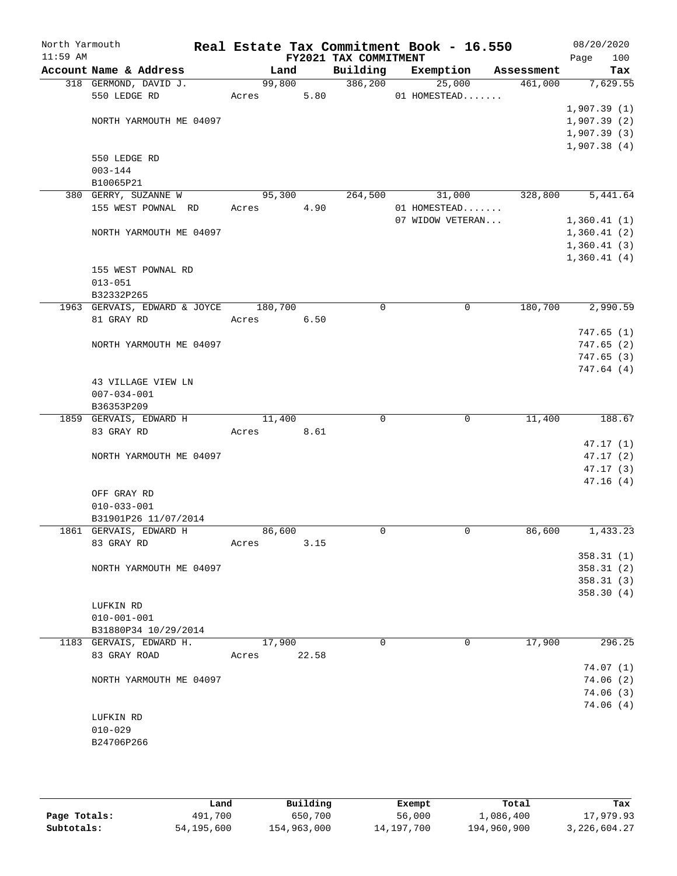| North Yarmouth<br>$11:59$ AM |                                            |         |       | FY2021 TAX COMMITMENT | Real Estate Tax Commitment Book - 16.550 |            | 08/20/2020<br>100<br>Page |
|------------------------------|--------------------------------------------|---------|-------|-----------------------|------------------------------------------|------------|---------------------------|
|                              | Account Name & Address                     | Land    |       | Building              | Exemption                                | Assessment | Tax                       |
|                              | 318 GERMOND, DAVID J.                      | 99,800  |       | 386, 200              | 25,000                                   | 461,000    | 7,629.55                  |
|                              | 550 LEDGE RD                               | Acres   | 5.80  |                       | 01 HOMESTEAD                             |            |                           |
|                              |                                            |         |       |                       |                                          |            | 1,907.39(1)               |
|                              | NORTH YARMOUTH ME 04097                    |         |       |                       |                                          |            | 1,907.39(2)               |
|                              |                                            |         |       |                       |                                          |            | 1,907.39(3)               |
|                              |                                            |         |       |                       |                                          |            | 1,907.38(4)               |
|                              | 550 LEDGE RD                               |         |       |                       |                                          |            |                           |
|                              | $003 - 144$                                |         |       |                       |                                          |            |                           |
|                              | B10065P21                                  |         |       |                       |                                          |            |                           |
|                              | 380 GERRY, SUZANNE W<br>155 WEST POWNAL RD | 95,300  | 4.90  | 264,500               | 31,000                                   | 328,800    | 5,441.64                  |
|                              |                                            | Acres   |       |                       | 01 HOMESTEAD<br>07 WIDOW VETERAN         |            | 1,360.41(1)               |
|                              | NORTH YARMOUTH ME 04097                    |         |       |                       |                                          |            | 1,360.41(2)               |
|                              |                                            |         |       |                       |                                          |            | 1,360.41(3)               |
|                              |                                            |         |       |                       |                                          |            | 1,360.41(4)               |
|                              | 155 WEST POWNAL RD                         |         |       |                       |                                          |            |                           |
|                              | $013 - 051$                                |         |       |                       |                                          |            |                           |
|                              | B32332P265                                 |         |       |                       |                                          |            |                           |
|                              | 1963 GERVAIS, EDWARD & JOYCE               | 180,700 |       | $\mathbf 0$           | 0                                        | 180,700    | 2,990.59                  |
|                              | 81 GRAY RD                                 | Acres   | 6.50  |                       |                                          |            |                           |
|                              |                                            |         |       |                       |                                          |            | 747.65(1)                 |
|                              | NORTH YARMOUTH ME 04097                    |         |       |                       |                                          |            | 747.65(2)                 |
|                              |                                            |         |       |                       |                                          |            | 747.65(3)                 |
|                              |                                            |         |       |                       |                                          |            | 747.64 (4)                |
|                              | 43 VILLAGE VIEW LN                         |         |       |                       |                                          |            |                           |
|                              | $007 - 034 - 001$                          |         |       |                       |                                          |            |                           |
|                              | B36353P209                                 |         |       |                       |                                          |            |                           |
|                              | 1859 GERVAIS, EDWARD H                     | 11,400  |       | $\Omega$              | $\mathbf 0$                              | 11,400     | 188.67                    |
|                              | 83 GRAY RD                                 | Acres   | 8.61  |                       |                                          |            |                           |
|                              |                                            |         |       |                       |                                          |            | 47.17(1)                  |
|                              | NORTH YARMOUTH ME 04097                    |         |       |                       |                                          |            | 47.17(2)                  |
|                              |                                            |         |       |                       |                                          |            | 47.17(3)                  |
|                              |                                            |         |       |                       |                                          |            | 47.16(4)                  |
|                              | OFF GRAY RD                                |         |       |                       |                                          |            |                           |
|                              | $010 - 033 - 001$                          |         |       |                       |                                          |            |                           |
|                              | B31901P26 11/07/2014                       |         |       |                       |                                          |            |                           |
|                              | 1861 GERVAIS, EDWARD H                     | 86,600  |       | 0                     | 0                                        | 86,600     | 1,433.23                  |
|                              | 83 GRAY RD                                 | Acres   | 3.15  |                       |                                          |            |                           |
|                              | NORTH YARMOUTH ME 04097                    |         |       |                       |                                          |            | 358.31(1)<br>358.31(2)    |
|                              |                                            |         |       |                       |                                          |            | 358.31(3)                 |
|                              |                                            |         |       |                       |                                          |            | 358.30(4)                 |
|                              | LUFKIN RD                                  |         |       |                       |                                          |            |                           |
|                              | $010 - 001 - 001$                          |         |       |                       |                                          |            |                           |
|                              | B31880P34 10/29/2014                       |         |       |                       |                                          |            |                           |
|                              | 1183 GERVAIS, EDWARD H.                    | 17,900  |       | $\mathbf 0$           | 0                                        | 17,900     | 296.25                    |
|                              | 83 GRAY ROAD                               | Acres   | 22.58 |                       |                                          |            |                           |
|                              |                                            |         |       |                       |                                          |            | 74.07(1)                  |
|                              | NORTH YARMOUTH ME 04097                    |         |       |                       |                                          |            | 74.06(2)                  |
|                              |                                            |         |       |                       |                                          |            | 74.06(3)                  |
|                              |                                            |         |       |                       |                                          |            | 74.06 (4)                 |
|                              | LUFKIN RD                                  |         |       |                       |                                          |            |                           |
|                              | $010 - 029$                                |         |       |                       |                                          |            |                           |
|                              | B24706P266                                 |         |       |                       |                                          |            |                           |
|                              |                                            |         |       |                       |                                          |            |                           |
|                              |                                            |         |       |                       |                                          |            |                           |

|              | Land       | Building    | Exempt     | Total       | Tax             |
|--------------|------------|-------------|------------|-------------|-----------------|
| Page Totals: | 491,700    | 650,700     | 56,000     | 1,086,400   | 17,979.93       |
| Subtotals:   | 54,195,600 | 154,963,000 | 14,197,700 | 194,960,900 | 3, 226, 604. 27 |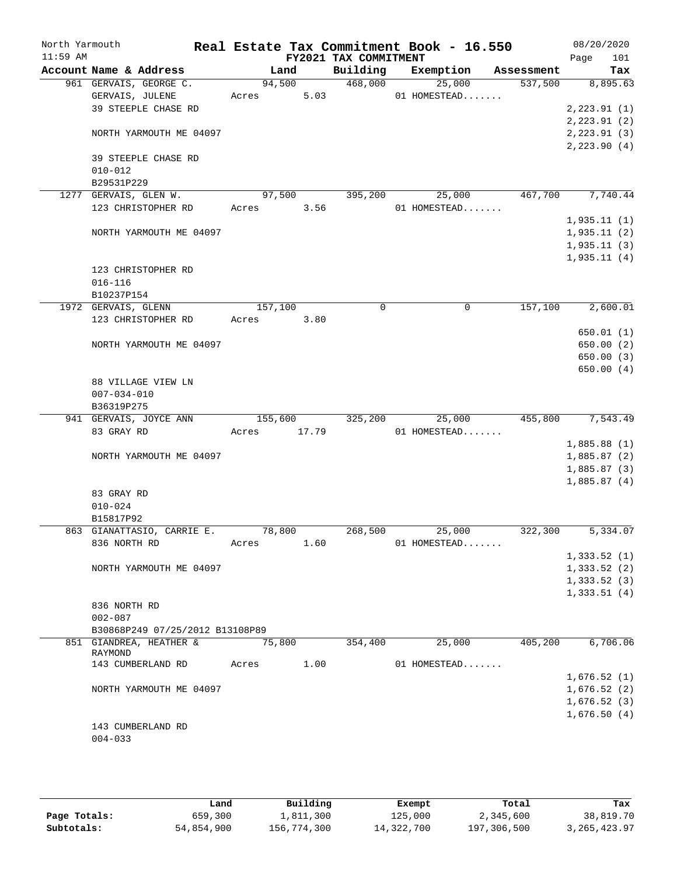| North Yarmouth<br>$11:59$ AM |                                  |         |        | FY2021 TAX COMMITMENT | Real Estate Tax Commitment Book - 16.550 |            | 08/20/2020<br>Page<br>101 |
|------------------------------|----------------------------------|---------|--------|-----------------------|------------------------------------------|------------|---------------------------|
|                              | Account Name & Address           | Land    |        | Building              | Exemption                                | Assessment | Tax                       |
|                              | 961 GERVAIS, GEORGE C.           |         | 94,500 | 468,000               | 25,000                                   | 537,500    | 8,895.63                  |
|                              | GERVAIS, JULENE                  | Acres   | 5.03   |                       | 01 HOMESTEAD                             |            |                           |
|                              | 39 STEEPLE CHASE RD              |         |        |                       |                                          |            | 2, 223.91(1)              |
|                              |                                  |         |        |                       |                                          |            | 2, 223.91(2)              |
|                              | NORTH YARMOUTH ME 04097          |         |        |                       |                                          |            | 2,223.91(3)               |
|                              |                                  |         |        |                       |                                          |            | 2,223.90(4)               |
|                              | 39 STEEPLE CHASE RD              |         |        |                       |                                          |            |                           |
|                              | $010 - 012$                      |         |        |                       |                                          |            |                           |
|                              | B29531P229                       |         |        |                       |                                          |            |                           |
|                              | 1277 GERVAIS, GLEN W.            | 97,500  |        | 395,200               | 25,000                                   | 467,700    | 7,740.44                  |
|                              | 123 CHRISTOPHER RD               | Acres   | 3.56   |                       | 01 HOMESTEAD                             |            |                           |
|                              |                                  |         |        |                       |                                          |            | 1,935.11(1)               |
|                              | NORTH YARMOUTH ME 04097          |         |        |                       |                                          |            | 1,935.11(2)               |
|                              |                                  |         |        |                       |                                          |            | 1,935.11(3)               |
|                              |                                  |         |        |                       |                                          |            | 1,935.11(4)               |
|                              | 123 CHRISTOPHER RD               |         |        |                       |                                          |            |                           |
|                              | $016 - 116$                      |         |        |                       |                                          |            |                           |
|                              | B10237P154                       |         |        |                       |                                          |            |                           |
|                              | 1972 GERVAIS, GLENN              | 157,100 |        | 0                     | 0                                        | 157,100    | 2,600.01                  |
|                              | 123 CHRISTOPHER RD               | Acres   | 3.80   |                       |                                          |            | 650.01(1)                 |
|                              | NORTH YARMOUTH ME 04097          |         |        |                       |                                          |            | 650.00(2)                 |
|                              |                                  |         |        |                       |                                          |            | 650.00(3)                 |
|                              |                                  |         |        |                       |                                          |            | 650.00(4)                 |
|                              | 88 VILLAGE VIEW LN               |         |        |                       |                                          |            |                           |
|                              | $007 - 034 - 010$                |         |        |                       |                                          |            |                           |
|                              | B36319P275                       |         |        |                       |                                          |            |                           |
|                              | 941 GERVAIS, JOYCE ANN           | 155,600 |        | 325,200               | 25,000                                   | 455,800    | 7,543.49                  |
|                              | 83 GRAY RD                       | Acres   | 17.79  |                       | 01 HOMESTEAD                             |            |                           |
|                              |                                  |         |        |                       |                                          |            | 1,885.88(1)               |
|                              | NORTH YARMOUTH ME 04097          |         |        |                       |                                          |            | 1,885.87(2)               |
|                              |                                  |         |        |                       |                                          |            | 1,885.87(3)               |
|                              |                                  |         |        |                       |                                          |            | 1,885.87(4)               |
|                              | 83 GRAY RD                       |         |        |                       |                                          |            |                           |
|                              | $010 - 024$                      |         |        |                       |                                          |            |                           |
|                              | B15817P92                        |         |        |                       |                                          |            |                           |
|                              | 863 GIANATTASIO, CARRIE E.       | 78,800  |        | 268,500               | 25,000                                   | 322,300    | 5,334.07                  |
|                              | 836 NORTH RD                     | Acres   | 1.60   |                       | 01 HOMESTEAD                             |            |                           |
|                              |                                  |         |        |                       |                                          |            | 1,333.52(1)               |
|                              | NORTH YARMOUTH ME 04097          |         |        |                       |                                          |            | 1,333.52(2)               |
|                              |                                  |         |        |                       |                                          |            | 1,333.52(3)               |
|                              |                                  |         |        |                       |                                          |            | 1,333.51(4)               |
|                              | 836 NORTH RD                     |         |        |                       |                                          |            |                           |
|                              | $002 - 087$                      |         |        |                       |                                          |            |                           |
|                              | B30868P249 07/25/2012 B13108P89  |         |        |                       |                                          |            |                           |
|                              | 851 GIANDREA, HEATHER &          | 75,800  |        | 354,400               | 25,000                                   | 405,200    | 6,706.06                  |
|                              | RAYMOND                          | Acres   | 1.00   |                       |                                          |            |                           |
|                              | 143 CUMBERLAND RD                |         |        |                       | 01 HOMESTEAD                             |            |                           |
|                              |                                  |         |        |                       |                                          |            | 1,676.52(1)               |
|                              | NORTH YARMOUTH ME 04097          |         |        |                       |                                          |            | 1,676.52(2)               |
|                              |                                  |         |        |                       |                                          |            | 1,676.52(3)               |
|                              |                                  |         |        |                       |                                          |            | 1,676.50(4)               |
|                              | 143 CUMBERLAND RD<br>$004 - 033$ |         |        |                       |                                          |            |                           |
|                              |                                  |         |        |                       |                                          |            |                           |

|              | Land       | Building    | Exempt     | Total       | Tax            |
|--------------|------------|-------------|------------|-------------|----------------|
| Page Totals: | 659,300    | l,811,300   | 125,000    | 2,345,600   | 38,819.70      |
| Subtotals:   | 54,854,900 | 156,774,300 | 14,322,700 | 197,306,500 | 3, 265, 423.97 |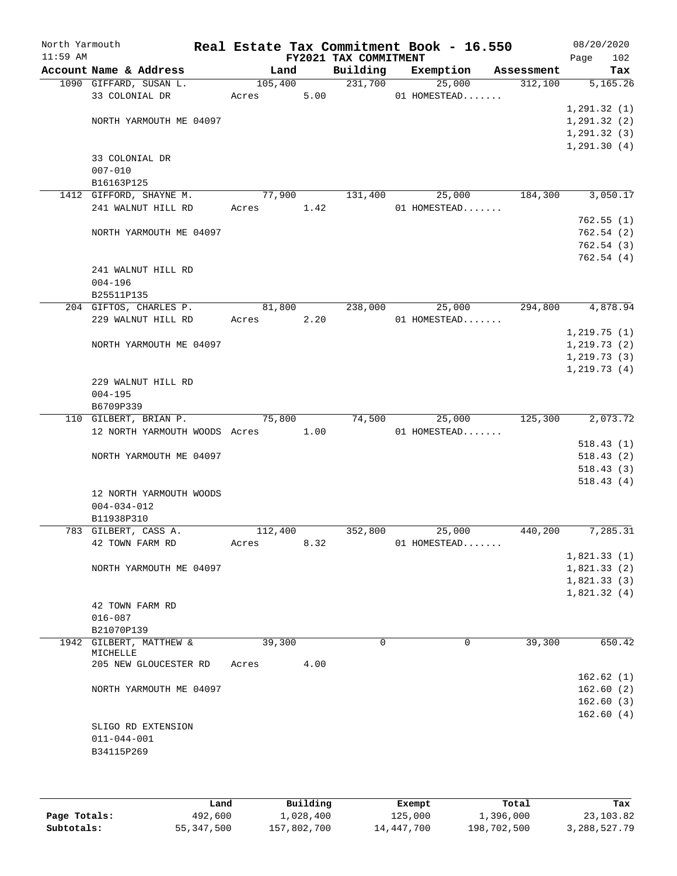| North Yarmouth |                                    |            |      | Real Estate Tax Commitment Book - 16.550    |                |              |                       | 08/20/2020                 |
|----------------|------------------------------------|------------|------|---------------------------------------------|----------------|--------------|-----------------------|----------------------------|
| $11:59$ AM     | Account Name & Address             | Land       |      | FY2021 TAX COMMITMENT<br>Building Exemption |                |              |                       | 102<br>Page<br>Tax         |
|                | 1090 GIFFARD, SUSAN L.             | 105,400    |      | 231,700                                     |                | 25,000       | Assessment<br>312,100 | 5,165.26                   |
|                | 33 COLONIAL DR                     | Acres      | 5.00 |                                             |                | 01 HOMESTEAD |                       |                            |
|                |                                    |            |      |                                             |                |              |                       | 1, 291.32(1)               |
|                | NORTH YARMOUTH ME 04097            |            |      |                                             |                |              |                       | 1, 291.32(2)               |
|                |                                    |            |      |                                             |                |              |                       | 1, 291.32(3)               |
|                |                                    |            |      |                                             |                |              |                       | 1, 291.30(4)               |
|                | 33 COLONIAL DR                     |            |      |                                             |                |              |                       |                            |
|                | $007 - 010$                        |            |      |                                             |                |              |                       |                            |
|                | B16163P125                         |            |      |                                             |                |              |                       |                            |
|                | 1412 GIFFORD, SHAYNE M.            | 77,900     |      | 131,400                                     |                | 25,000       | 184,300               | 3,050.17                   |
|                | 241 WALNUT HILL RD                 | Acres 1.42 |      |                                             | $01$ HOMESTEAD |              |                       |                            |
|                |                                    |            |      |                                             |                |              |                       | 762.55(1)                  |
|                | NORTH YARMOUTH ME 04097            |            |      |                                             |                |              |                       | 762.54(2)<br>762.54(3)     |
|                |                                    |            |      |                                             |                |              |                       | 762.54(4)                  |
|                | 241 WALNUT HILL RD                 |            |      |                                             |                |              |                       |                            |
|                | $004 - 196$                        |            |      |                                             |                |              |                       |                            |
|                | B25511P135                         |            |      |                                             |                |              |                       |                            |
|                | 204 GIFTOS, CHARLES P.             | 81,800     |      | 238,000                                     |                | 25,000       | 294,800               | 4,878.94                   |
|                | 229 WALNUT HILL RD                 | Acres 2.20 |      |                                             | 01 HOMESTEAD   |              |                       |                            |
|                |                                    |            |      |                                             |                |              |                       | 1, 219.75(1)               |
|                | NORTH YARMOUTH ME 04097            |            |      |                                             |                |              |                       | 1, 219.73(2)               |
|                |                                    |            |      |                                             |                |              |                       | 1, 219.73(3)               |
|                |                                    |            |      |                                             |                |              |                       | 1, 219.73(4)               |
|                | 229 WALNUT HILL RD                 |            |      |                                             |                |              |                       |                            |
|                | $004 - 195$<br>B6709P339           |            |      |                                             |                |              |                       |                            |
|                | 110 GILBERT, BRIAN P.              | 75,800     |      | 74,500                                      |                | 25,000       | 125,300               | 2,073.72                   |
|                | 12 NORTH YARMOUTH WOODS Acres 1.00 |            |      |                                             | $01$ HOMESTEAD |              |                       |                            |
|                |                                    |            |      |                                             |                |              |                       | 518.43(1)                  |
|                | NORTH YARMOUTH ME 04097            |            |      |                                             |                |              |                       | 518.43(2)                  |
|                |                                    |            |      |                                             |                |              |                       | 518.43(3)                  |
|                |                                    |            |      |                                             |                |              |                       | 518.43(4)                  |
|                | 12 NORTH YARMOUTH WOODS            |            |      |                                             |                |              |                       |                            |
|                | $004 - 034 - 012$                  |            |      |                                             |                |              |                       |                            |
|                | B11938P310                         |            |      |                                             |                |              |                       |                            |
|                | 783 GILBERT, CASS A.               | 112,400    |      | 352,800                                     |                | 25,000       | 440,200               | 7,285.31                   |
|                | 42 TOWN FARM RD                    | Acres      | 8.32 |                                             |                | 01 HOMESTEAD |                       |                            |
|                | NORTH YARMOUTH ME 04097            |            |      |                                             |                |              |                       | 1,821.33(1)<br>1,821.33(2) |
|                |                                    |            |      |                                             |                |              |                       | 1,821.33(3)                |
|                |                                    |            |      |                                             |                |              |                       | 1,821.32(4)                |
|                | 42 TOWN FARM RD                    |            |      |                                             |                |              |                       |                            |
|                | $016 - 087$                        |            |      |                                             |                |              |                       |                            |
|                | B21070P139                         |            |      |                                             |                |              |                       |                            |
|                | 1942 GILBERT, MATTHEW &            | 39,300     |      | 0                                           |                | $\mathbf 0$  | 39,300                | 650.42                     |
|                | MICHELLE                           |            |      |                                             |                |              |                       |                            |
|                | 205 NEW GLOUCESTER RD              | Acres      | 4.00 |                                             |                |              |                       |                            |
|                | NORTH YARMOUTH ME 04097            |            |      |                                             |                |              |                       | 162.62(1)<br>162.60(2)     |
|                |                                    |            |      |                                             |                |              |                       | 162.60(3)                  |
|                |                                    |            |      |                                             |                |              |                       | 162.60(4)                  |
|                | SLIGO RD EXTENSION                 |            |      |                                             |                |              |                       |                            |
|                | $011 - 044 - 001$                  |            |      |                                             |                |              |                       |                            |
|                | B34115P269                         |            |      |                                             |                |              |                       |                            |
|                |                                    |            |      |                                             |                |              |                       |                            |
|                |                                    |            |      |                                             |                |              |                       |                            |

|              | Land       | Building    | Exempt     | Total       | Tax             |
|--------------|------------|-------------|------------|-------------|-----------------|
| Page Totals: | 492,600    | 1,028,400   | 125,000    | 1,396,000   | 23,103.82       |
| Subtotals:   | 55,347,500 | 157,802,700 | 14,447,700 | 198,702,500 | 3, 288, 527. 79 |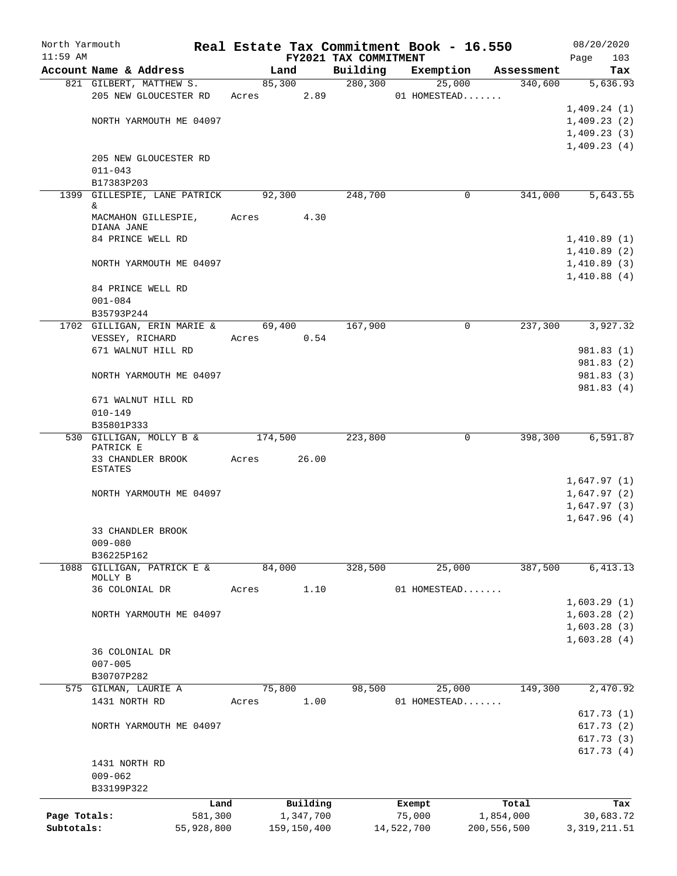| North Yarmouth |                                                   |            |         |             |                                   | Real Estate Tax Commitment Book - 16.550 |                       | 08/20/2020                 |
|----------------|---------------------------------------------------|------------|---------|-------------|-----------------------------------|------------------------------------------|-----------------------|----------------------------|
| $11:59$ AM     | Account Name & Address                            |            |         | Land        | FY2021 TAX COMMITMENT<br>Building | Exemption                                |                       | 103<br>Page<br>Tax         |
|                | 821 GILBERT, MATTHEW S.                           |            |         | 85,300      | 280, 300                          | 25,000                                   | Assessment<br>340,600 | 5,636.93                   |
|                | 205 NEW GLOUCESTER RD                             |            |         | Acres 2.89  |                                   | 01 HOMESTEAD                             |                       |                            |
|                |                                                   |            |         |             |                                   |                                          |                       | 1,409.24(1)                |
|                | NORTH YARMOUTH ME 04097                           |            |         |             |                                   |                                          |                       | 1,409.23(2)                |
|                |                                                   |            |         |             |                                   |                                          |                       | 1,409.23(3)                |
|                |                                                   |            |         |             |                                   |                                          |                       | 1,409.23(4)                |
|                | 205 NEW GLOUCESTER RD                             |            |         |             |                                   |                                          |                       |                            |
|                | $011 - 043$                                       |            |         |             |                                   |                                          |                       |                            |
|                | B17383P203<br>1399 GILLESPIE, LANE PATRICK 92,300 |            |         |             | 248,700                           | 0                                        | 341,000               | 5,643.55                   |
|                | &                                                 |            |         |             |                                   |                                          |                       |                            |
|                | MACMAHON GILLESPIE,                               |            | Acres   | 4.30        |                                   |                                          |                       |                            |
|                | DIANA JANE                                        |            |         |             |                                   |                                          |                       |                            |
|                | 84 PRINCE WELL RD                                 |            |         |             |                                   |                                          |                       | 1,410.89(1)                |
|                | NORTH YARMOUTH ME 04097                           |            |         |             |                                   |                                          |                       | 1,410.89(2)<br>1,410.89(3) |
|                |                                                   |            |         |             |                                   |                                          |                       | 1,410.88(4)                |
|                | 84 PRINCE WELL RD                                 |            |         |             |                                   |                                          |                       |                            |
|                | $001 - 084$                                       |            |         |             |                                   |                                          |                       |                            |
|                | B35793P244                                        |            |         |             |                                   |                                          |                       |                            |
|                | 1702 GILLIGAN, ERIN MARIE &                       |            |         | 69,400      | 167,900                           | $\Omega$                                 | $2\overline{37,300}$  | 3,927.32                   |
|                | VESSEY, RICHARD                                   |            |         | Acres 0.54  |                                   |                                          |                       |                            |
|                | 671 WALNUT HILL RD                                |            |         |             |                                   |                                          |                       | 981.83 (1)                 |
|                |                                                   |            |         |             |                                   |                                          |                       | 981.83(2)                  |
|                | NORTH YARMOUTH ME 04097                           |            |         |             |                                   |                                          |                       | 981.83 (3)<br>981.83 (4)   |
|                | 671 WALNUT HILL RD                                |            |         |             |                                   |                                          |                       |                            |
|                | $010 - 149$                                       |            |         |             |                                   |                                          |                       |                            |
|                | B35801P333                                        |            |         |             |                                   |                                          |                       |                            |
|                | 530 GILLIGAN, MOLLY B &                           |            | 174,500 |             | 223,800                           | 0                                        | 398,300               | 6,591.87                   |
|                | PATRICK E<br>33 CHANDLER BROOK                    |            | Acres   | 26.00       |                                   |                                          |                       |                            |
|                | <b>ESTATES</b>                                    |            |         |             |                                   |                                          |                       |                            |
|                |                                                   |            |         |             |                                   |                                          |                       | 1,647.97(1)                |
|                | NORTH YARMOUTH ME 04097                           |            |         |             |                                   |                                          |                       | 1,647.97(2)                |
|                |                                                   |            |         |             |                                   |                                          |                       | 1,647.97(3)                |
|                |                                                   |            |         |             |                                   |                                          |                       | 1,647.96(4)                |
|                | <b>33 CHANDLER BROOK</b><br>$009 - 080$           |            |         |             |                                   |                                          |                       |                            |
|                | B36225P162                                        |            |         |             |                                   |                                          |                       |                            |
| 1088           | GILLIGAN, PATRICK E &                             |            |         | 84,000      | 328,500                           | 25,000                                   | 387,500               | 6,413.13                   |
|                | MOLLY B                                           |            |         |             |                                   |                                          |                       |                            |
|                | 36 COLONIAL DR                                    |            | Acres   | 1.10        |                                   | 01 HOMESTEAD                             |                       |                            |
|                |                                                   |            |         |             |                                   |                                          |                       | 1,603.29(1)                |
|                | NORTH YARMOUTH ME 04097                           |            |         |             |                                   |                                          |                       | 1,603.28(2)<br>1,603.28(3) |
|                |                                                   |            |         |             |                                   |                                          |                       | 1,603.28(4)                |
|                | 36 COLONIAL DR                                    |            |         |             |                                   |                                          |                       |                            |
|                | $007 - 005$                                       |            |         |             |                                   |                                          |                       |                            |
|                | B30707P282                                        |            |         |             |                                   |                                          |                       |                            |
|                | 575 GILMAN, LAURIE A                              |            |         | 75,800      | 98,500                            | 25,000                                   | 149,300               | 2,470.92                   |
|                | 1431 NORTH RD                                     |            | Acres   | 1.00        |                                   | 01 HOMESTEAD                             |                       |                            |
|                |                                                   |            |         |             |                                   |                                          |                       | 617.73(1)                  |
|                | NORTH YARMOUTH ME 04097                           |            |         |             |                                   |                                          |                       | 617.73 (2)                 |
|                |                                                   |            |         |             |                                   |                                          |                       | 617.73(3)                  |
|                | 1431 NORTH RD                                     |            |         |             |                                   |                                          |                       | 617.73 (4)                 |
|                | $009 - 062$                                       |            |         |             |                                   |                                          |                       |                            |
|                | B33199P322                                        |            |         |             |                                   |                                          |                       |                            |
|                |                                                   | Land       |         | Building    |                                   | Exempt                                   | Total                 | Tax                        |
| Page Totals:   |                                                   | 581,300    |         | 1,347,700   |                                   | 75,000                                   | 1,854,000             | 30,683.72                  |
| Subtotals:     |                                                   | 55,928,800 |         | 159,150,400 |                                   | 14,522,700                               | 200, 556, 500         | 3, 319, 211.51             |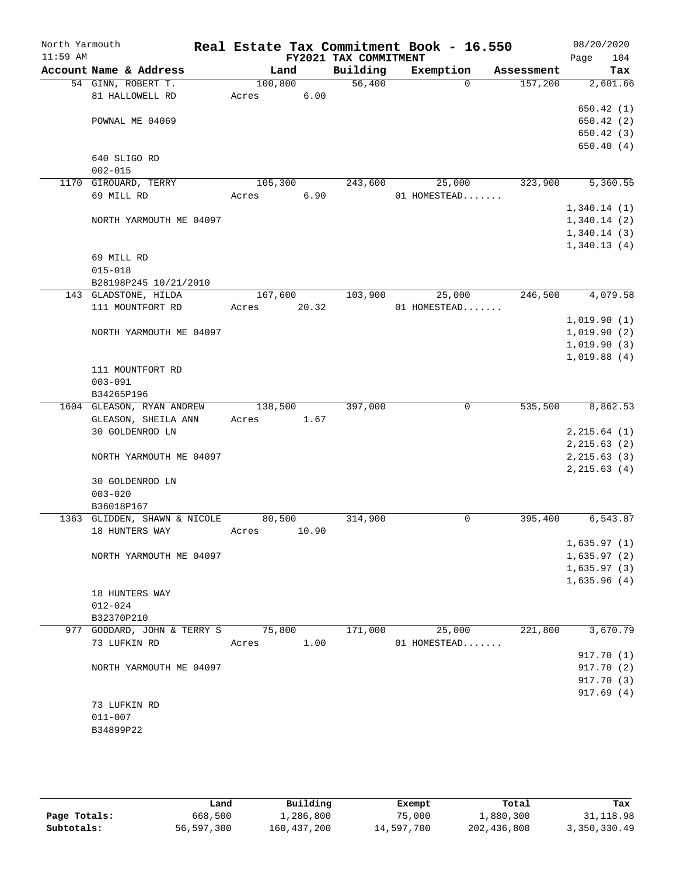| North Yarmouth |             |                                    |         |       |                       | Real Estate Tax Commitment Book - 16.550 |            | 08/20/2020    |
|----------------|-------------|------------------------------------|---------|-------|-----------------------|------------------------------------------|------------|---------------|
| $11:59$ AM     |             |                                    |         |       | FY2021 TAX COMMITMENT |                                          |            | 104<br>Page   |
|                |             | Account Name & Address             | Land    |       | Building              | Exemption                                | Assessment | Tax           |
|                |             | 54 GINN, ROBERT T.                 | 100,800 |       | 56,400                | $\Omega$                                 | 157,200    | 2,601.66      |
|                |             | 81 HALLOWELL RD                    | Acres   | 6.00  |                       |                                          |            |               |
|                |             |                                    |         |       |                       |                                          |            | 650.42(1)     |
|                |             | POWNAL ME 04069                    |         |       |                       |                                          |            | 650.42(2)     |
|                |             |                                    |         |       |                       |                                          |            | 650.42(3)     |
|                |             |                                    |         |       |                       |                                          |            | 650.40(4)     |
|                |             | 640 SLIGO RD                       |         |       |                       |                                          |            |               |
|                | $002 - 015$ | 1170 GIROUARD, TERRY               | 105,300 |       | 243,600               | 25,000                                   | 323,900    | 5,360.55      |
|                | 69 MILL RD  |                                    | Acres   | 6.90  |                       | 01 HOMESTEAD                             |            |               |
|                |             |                                    |         |       |                       |                                          |            | 1,340.14(1)   |
|                |             | NORTH YARMOUTH ME 04097            |         |       |                       |                                          |            | 1,340.14(2)   |
|                |             |                                    |         |       |                       |                                          |            | 1,340.14(3)   |
|                |             |                                    |         |       |                       |                                          |            | 1,340.13(4)   |
|                | 69 MILL RD  |                                    |         |       |                       |                                          |            |               |
|                | $015 - 018$ |                                    |         |       |                       |                                          |            |               |
|                |             | B28198P245 10/21/2010              |         |       |                       |                                          |            |               |
|                |             | 143 GLADSTONE, HILDA               | 167,600 |       | 103,900               | 25,000                                   | 246,500    | 4,079.58      |
|                |             | 111 MOUNTFORT RD                   | Acres   | 20.32 |                       | 01 HOMESTEAD                             |            |               |
|                |             |                                    |         |       |                       |                                          |            | 1,019.90(1)   |
|                |             | NORTH YARMOUTH ME 04097            |         |       |                       |                                          |            | 1,019.90(2)   |
|                |             |                                    |         |       |                       |                                          |            | 1,019.90(3)   |
|                |             |                                    |         |       |                       |                                          |            | 1,019.88(4)   |
|                |             | 111 MOUNTFORT RD                   |         |       |                       |                                          |            |               |
|                | $003 - 091$ |                                    |         |       |                       |                                          |            |               |
|                | B34265P196  |                                    |         |       |                       |                                          |            |               |
|                |             | 1604 GLEASON, RYAN ANDREW          | 138,500 |       | 397,000               | $\mathbf 0$                              | 535,500    | 8,862.53      |
|                |             | GLEASON, SHEILA ANN                | Acres   | 1.67  |                       |                                          |            |               |
|                |             | 30 GOLDENROD LN                    |         |       |                       |                                          |            | 2, 215.64 (1) |
|                |             |                                    |         |       |                       |                                          |            | 2, 215.63(2)  |
|                |             | NORTH YARMOUTH ME 04097            |         |       |                       |                                          |            | 2, 215.63(3)  |
|                |             |                                    |         |       |                       |                                          |            | 2, 215.63(4)  |
|                |             | 30 GOLDENROD LN                    |         |       |                       |                                          |            |               |
|                | $003 - 020$ |                                    |         |       |                       |                                          |            |               |
|                | B36018P167  |                                    |         |       |                       |                                          |            |               |
|                |             | 1363 GLIDDEN, SHAWN & NICOLE       | 80,500  |       | 314,900               | 0                                        | 395,400    | 6,543.87      |
|                |             | 18 HUNTERS WAY                     | Acres   | 10.90 |                       |                                          |            |               |
|                |             |                                    |         |       |                       |                                          |            | 1,635.97(1)   |
|                |             | NORTH YARMOUTH ME 04097            |         |       |                       |                                          |            | 1,635.97(2)   |
|                |             |                                    |         |       |                       |                                          |            | 1,635.97(3)   |
|                |             |                                    |         |       |                       |                                          |            | 1,635.96(4)   |
|                |             | 18 HUNTERS WAY                     |         |       |                       |                                          |            |               |
|                | $012 - 024$ |                                    |         |       |                       |                                          |            |               |
|                | B32370P210  |                                    |         |       |                       |                                          |            |               |
|                |             | 977 GODDARD, JOHN & TERRY S 75,800 |         |       | 171,000               | 25,000                                   | 221,800    | 3,670.79      |
|                |             | 73 LUFKIN RD                       | Acres   | 1.00  |                       | 01 HOMESTEAD                             |            |               |
|                |             |                                    |         |       |                       |                                          |            | 917.70 (1)    |
|                |             | NORTH YARMOUTH ME 04097            |         |       |                       |                                          |            | 917.70 (2)    |
|                |             |                                    |         |       |                       |                                          |            | 917.70 (3)    |
|                |             |                                    |         |       |                       |                                          |            | 917.69(4)     |
|                | $011 - 007$ | 73 LUFKIN RD                       |         |       |                       |                                          |            |               |
|                | B34899P22   |                                    |         |       |                       |                                          |            |               |
|                |             |                                    |         |       |                       |                                          |            |               |

|              | Land       | Building    | Exempt     | Total       | Tax          |
|--------------|------------|-------------|------------|-------------|--------------|
| Page Totals: | 668,500    | 1,286,800   | 75,000     | 1,880,300   | 31, 118.98   |
| Subtotals:   | 56,597,300 | 160,437,200 | 14,597,700 | 202,436,800 | 3,350,330.49 |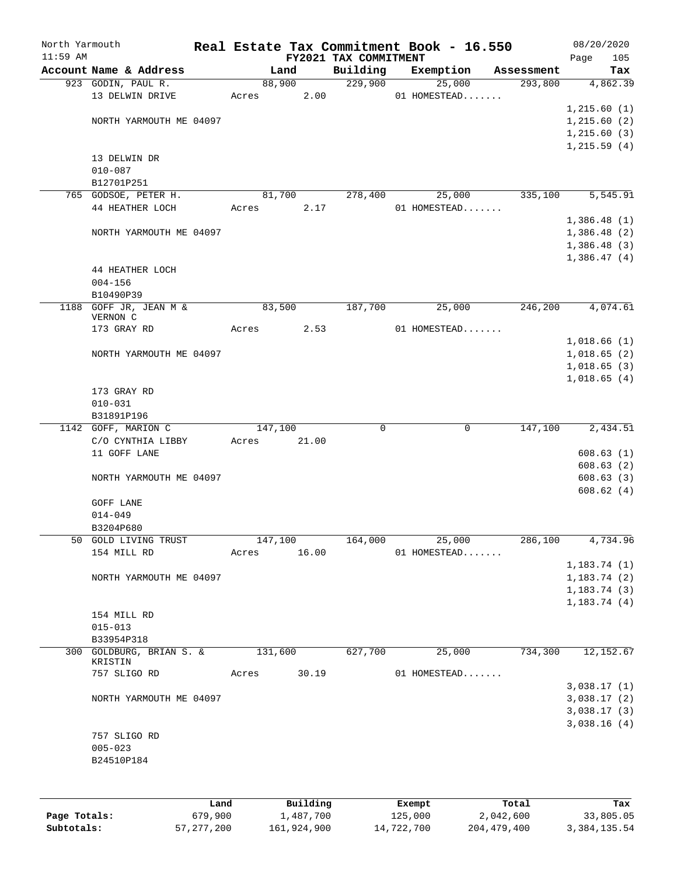| North Yarmouth |                                     |      |       |          |                                   | Real Estate Tax Commitment Book - 16.550 |                       | 08/20/2020                 |
|----------------|-------------------------------------|------|-------|----------|-----------------------------------|------------------------------------------|-----------------------|----------------------------|
| $11:59$ AM     | Account Name & Address              |      |       | Land     | FY2021 TAX COMMITMENT<br>Building | Exemption                                |                       | 105<br>Page                |
|                | 923 GODIN, PAUL R.                  |      |       | 88,900   | 229,900                           | 25,000                                   | Assessment<br>293,800 | Tax<br>4,862.39            |
|                | 13 DELWIN DRIVE                     |      | Acres | 2.00     |                                   | 01 HOMESTEAD                             |                       |                            |
|                |                                     |      |       |          |                                   |                                          |                       | 1, 215.60(1)               |
|                | NORTH YARMOUTH ME 04097             |      |       |          |                                   |                                          |                       | 1, 215.60(2)               |
|                |                                     |      |       |          |                                   |                                          |                       | 1, 215.60(3)               |
|                |                                     |      |       |          |                                   |                                          |                       | 1, 215.59(4)               |
|                | 13 DELWIN DR                        |      |       |          |                                   |                                          |                       |                            |
|                | $010 - 087$                         |      |       |          |                                   |                                          |                       |                            |
|                | B12701P251                          |      |       |          |                                   |                                          |                       |                            |
|                | 765 GODSOE, PETER H.                |      |       | 81,700   | 278,400                           | 25,000                                   | 335,100               | 5,545.91                   |
|                | 44 HEATHER LOCH                     |      | Acres | 2.17     |                                   | 01 HOMESTEAD                             |                       |                            |
|                |                                     |      |       |          |                                   |                                          |                       | 1,386.48(1)                |
|                | NORTH YARMOUTH ME 04097             |      |       |          |                                   |                                          |                       | 1,386.48(2)                |
|                |                                     |      |       |          |                                   |                                          |                       | 1,386.48(3)                |
|                |                                     |      |       |          |                                   |                                          |                       | 1,386.47(4)                |
|                | 44 HEATHER LOCH                     |      |       |          |                                   |                                          |                       |                            |
|                | $004 - 156$                         |      |       |          |                                   |                                          |                       |                            |
|                | B10490P39<br>1188 GOFF JR, JEAN M & |      |       |          |                                   |                                          |                       |                            |
|                | VERNON C                            |      |       | 83,500   | 187,700                           | 25,000                                   | 246,200               | 4,074.61                   |
|                | 173 GRAY RD                         |      | Acres | 2.53     |                                   | 01 HOMESTEAD                             |                       |                            |
|                |                                     |      |       |          |                                   |                                          |                       | 1,018.66(1)                |
|                | NORTH YARMOUTH ME 04097             |      |       |          |                                   |                                          |                       | 1,018.65(2)                |
|                |                                     |      |       |          |                                   |                                          |                       | 1,018.65(3)                |
|                |                                     |      |       |          |                                   |                                          |                       | 1,018.65(4)                |
|                | 173 GRAY RD                         |      |       |          |                                   |                                          |                       |                            |
|                | $010 - 031$                         |      |       |          |                                   |                                          |                       |                            |
|                | B31891P196                          |      |       |          |                                   |                                          |                       |                            |
|                | 1142 GOFF, MARION C                 |      |       | 147,100  | $\mathbf 0$                       | 0                                        | 147,100               | 2,434.51                   |
|                | C/O CYNTHIA LIBBY                   |      | Acres | 21.00    |                                   |                                          |                       |                            |
|                | 11 GOFF LANE                        |      |       |          |                                   |                                          |                       | 608.63(1)                  |
|                |                                     |      |       |          |                                   |                                          |                       | 608.63(2)                  |
|                | NORTH YARMOUTH ME 04097             |      |       |          |                                   |                                          |                       | 608.63(3)                  |
|                |                                     |      |       |          |                                   |                                          |                       | 608.62(4)                  |
|                | GOFF LANE                           |      |       |          |                                   |                                          |                       |                            |
|                | $014 - 049$<br>B3204P680            |      |       |          |                                   |                                          |                       |                            |
|                | 50 GOLD LIVING TRUST                |      |       | 147,100  | 164,000                           | 25,000                                   | 286,100               | 4,734.96                   |
|                | 154 MILL RD                         |      | Acres | 16.00    |                                   | 01 HOMESTEAD                             |                       |                            |
|                |                                     |      |       |          |                                   |                                          |                       | 1, 183.74(1)               |
|                | NORTH YARMOUTH ME 04097             |      |       |          |                                   |                                          |                       | 1, 183.74(2)               |
|                |                                     |      |       |          |                                   |                                          |                       | 1,183.74(3)                |
|                |                                     |      |       |          |                                   |                                          |                       | 1, 183.74(4)               |
|                | 154 MILL RD                         |      |       |          |                                   |                                          |                       |                            |
|                | $015 - 013$                         |      |       |          |                                   |                                          |                       |                            |
|                | B33954P318                          |      |       |          |                                   |                                          |                       |                            |
|                | 300 GOLDBURG, BRIAN S. &            |      |       | 131,600  | 627,700                           | 25,000                                   | 734,300               | 12,152.67                  |
|                | KRISTIN                             |      |       |          |                                   |                                          |                       |                            |
|                | 757 SLIGO RD                        |      | Acres | 30.19    |                                   | 01 HOMESTEAD                             |                       |                            |
|                | NORTH YARMOUTH ME 04097             |      |       |          |                                   |                                          |                       | 3,038.17(1)<br>3,038.17(2) |
|                |                                     |      |       |          |                                   |                                          |                       | 3,038.17(3)                |
|                |                                     |      |       |          |                                   |                                          |                       | 3,038.16(4)                |
|                | 757 SLIGO RD                        |      |       |          |                                   |                                          |                       |                            |
|                | $005 - 023$                         |      |       |          |                                   |                                          |                       |                            |
|                | B24510P184                          |      |       |          |                                   |                                          |                       |                            |
|                |                                     |      |       |          |                                   |                                          |                       |                            |
|                |                                     |      |       |          |                                   |                                          |                       |                            |
|                |                                     | Land |       | Building |                                   | Exempt                                   | Total                 | Tax                        |
|                |                                     |      |       |          |                                   |                                          |                       |                            |

|              | uanu         | <b>DULLULIN</b> | <b>BACILDL</b> | TOLAT       | ⊥a∧          |
|--------------|--------------|-----------------|----------------|-------------|--------------|
| Page Totals: | 679,900      | 1,487,700       | 125,000        | 2,042,600   | 33,805.05    |
| Subtotals:   | 57, 277, 200 | 161,924,900     | 14,722,700     | 204,479,400 | 3,384,135.54 |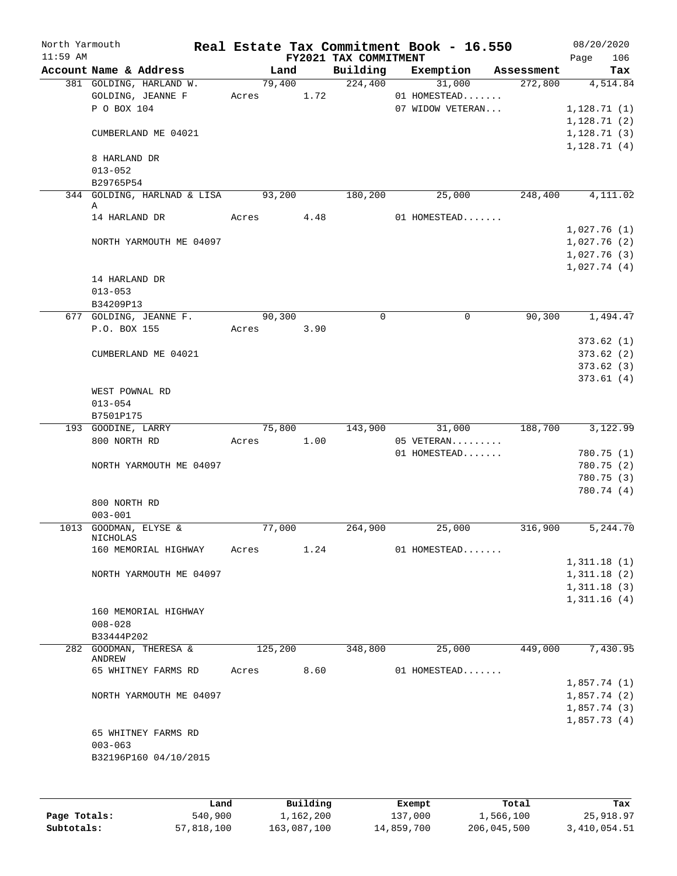| North Yarmouth<br>$11:59$ AM |                                          |       |         |            | FY2021 TAX COMMITMENT | Real Estate Tax Commitment Book - 16.550 |            | 08/20/2020         |  |
|------------------------------|------------------------------------------|-------|---------|------------|-----------------------|------------------------------------------|------------|--------------------|--|
|                              | Account Name & Address                   |       | Land    |            | Building              | Exemption                                | Assessment | 106<br>Page<br>Tax |  |
|                              | 381 GOLDING, HARLAND W.                  |       | 79,400  |            | 224,400               | 31,000                                   | 272,800    | 4,514.84           |  |
|                              | GOLDING, JEANNE F                        |       |         | Acres 1.72 |                       | 01 HOMESTEAD                             |            |                    |  |
|                              | P O BOX 104                              |       |         |            |                       | 07 WIDOW VETERAN                         |            | 1,128.71(1)        |  |
|                              |                                          |       |         |            |                       |                                          |            | 1,128.71(2)        |  |
|                              | CUMBERLAND ME 04021                      |       |         |            |                       |                                          |            | 1,128.71(3)        |  |
|                              |                                          |       |         |            |                       |                                          |            |                    |  |
|                              | 8 HARLAND DR                             |       |         |            |                       |                                          |            | 1,128.71(4)        |  |
|                              | $013 - 052$                              |       |         |            |                       |                                          |            |                    |  |
|                              |                                          |       |         |            |                       |                                          |            |                    |  |
|                              | B29765P54<br>344 GOLDING, HARLNAD & LISA |       | 93,200  |            | 180,200               | 25,000                                   | 248,400    | 4,111.02           |  |
|                              | Α                                        |       |         |            |                       |                                          |            |                    |  |
|                              | 14 HARLAND DR                            | Acres |         | 4.48       |                       | 01 HOMESTEAD                             |            |                    |  |
|                              |                                          |       |         |            |                       |                                          |            | 1,027.76(1)        |  |
|                              | NORTH YARMOUTH ME 04097                  |       |         |            |                       |                                          |            | 1,027.76(2)        |  |
|                              |                                          |       |         |            |                       |                                          |            | 1,027.76(3)        |  |
|                              |                                          |       |         |            |                       |                                          |            | 1,027.74(4)        |  |
|                              | 14 HARLAND DR                            |       |         |            |                       |                                          |            |                    |  |
|                              |                                          |       |         |            |                       |                                          |            |                    |  |
|                              | $013 - 053$                              |       |         |            |                       |                                          |            |                    |  |
|                              | B34209P13                                |       |         |            |                       |                                          |            |                    |  |
|                              | 677 GOLDING, JEANNE F.                   |       | 90, 300 |            | 0                     | $\mathsf{O}$                             | 90, 300    | 1,494.47           |  |
|                              | P.O. BOX 155                             |       |         | Acres 3.90 |                       |                                          |            |                    |  |
|                              |                                          |       |         |            |                       |                                          |            | 373.62(1)          |  |
|                              | CUMBERLAND ME 04021                      |       |         |            |                       |                                          |            | 373.62(2)          |  |
|                              |                                          |       |         |            |                       |                                          |            | 373.62(3)          |  |
|                              |                                          |       |         |            |                       |                                          |            | 373.61(4)          |  |
|                              | WEST POWNAL RD                           |       |         |            |                       |                                          |            |                    |  |
|                              | $013 - 054$                              |       |         |            |                       |                                          |            |                    |  |
|                              | B7501P175                                |       |         |            |                       |                                          |            |                    |  |
|                              | 193 GOODINE, LARRY                       |       | 75,800  |            | $1\overline{43,900}$  | 31,000                                   | 188,700    | 3,122.99           |  |
|                              | 800 NORTH RD                             | Acres |         | 1.00       |                       | 05 VETERAN                               |            |                    |  |
|                              |                                          |       |         |            |                       | 01 HOMESTEAD                             |            | 780.75 (1)         |  |
|                              | NORTH YARMOUTH ME 04097                  |       |         |            |                       |                                          |            | 780.75 (2)         |  |
|                              |                                          |       |         |            |                       |                                          |            | 780.75 (3)         |  |
|                              |                                          |       |         |            |                       |                                          |            | 780.74 (4)         |  |
|                              | 800 NORTH RD                             |       |         |            |                       |                                          |            |                    |  |
|                              | $003 - 001$                              |       |         |            |                       |                                          |            |                    |  |
|                              | 1013 GOODMAN, ELYSE &                    |       | 77,000  |            | 264,900               | 25,000                                   | 316,900    | 5, 244.70          |  |
|                              | NICHOLAS                                 |       |         |            |                       |                                          |            |                    |  |
|                              | 160 MEMORIAL HIGHWAY                     | Acres |         | 1.24       |                       | 01 HOMESTEAD                             |            |                    |  |
|                              |                                          |       |         |            |                       |                                          |            | 1,311.18(1)        |  |
|                              | NORTH YARMOUTH ME 04097                  |       |         |            |                       |                                          |            | 1,311.18(2)        |  |
|                              |                                          |       |         |            |                       |                                          |            | 1,311.18(3)        |  |
|                              |                                          |       |         |            |                       |                                          |            | 1,311.16(4)        |  |
|                              | 160 MEMORIAL HIGHWAY                     |       |         |            |                       |                                          |            |                    |  |
|                              | $008 - 028$                              |       |         |            |                       |                                          |            |                    |  |
|                              | B33444P202                               |       |         |            |                       |                                          |            |                    |  |
|                              | 282 GOODMAN, THERESA &                   |       | 125,200 |            | 348,800               | 25,000                                   | 449,000    | 7,430.95           |  |
|                              | ANDREW                                   |       |         |            |                       |                                          |            |                    |  |
|                              | 65 WHITNEY FARMS RD                      | Acres |         | 8.60       |                       | 01 HOMESTEAD                             |            |                    |  |
|                              |                                          |       |         |            |                       |                                          |            | 1,857.74(1)        |  |
|                              | NORTH YARMOUTH ME 04097                  |       |         |            |                       |                                          |            | 1,857.74(2)        |  |
|                              |                                          |       |         |            |                       |                                          |            | 1,857.74(3)        |  |
|                              |                                          |       |         |            |                       |                                          |            | 1,857.73(4)        |  |
|                              | 65 WHITNEY FARMS RD                      |       |         |            |                       |                                          |            |                    |  |
|                              | $003 - 063$                              |       |         |            |                       |                                          |            |                    |  |
|                              | B32196P160 04/10/2015                    |       |         |            |                       |                                          |            |                    |  |
|                              |                                          |       |         |            |                       |                                          |            |                    |  |
|                              |                                          |       |         |            |                       |                                          |            |                    |  |
|                              |                                          |       |         |            |                       |                                          |            |                    |  |
|                              |                                          |       |         |            |                       |                                          |            |                    |  |

|              | Land       | Building    | Exempt     | Total       | Tax          |
|--------------|------------|-------------|------------|-------------|--------------|
| Page Totals: | 540,900    | 1,162,200   | 137,000    | 1,566,100   | 25,918.97    |
| Subtotals:   | 57,818,100 | 163,087,100 | 14,859,700 | 206,045,500 | 3,410,054.51 |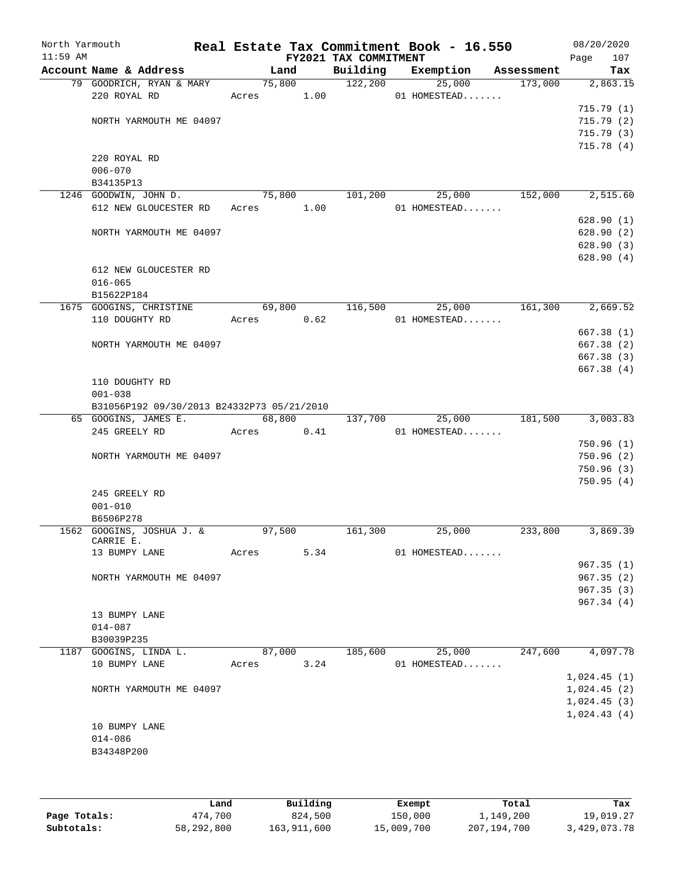| North Yarmouth<br>$11:59$ AM |                                                           |        |        | FY2021 TAX COMMITMENT | Real Estate Tax Commitment Book - 16.550 |            | 08/20/2020<br>Page<br>107 |
|------------------------------|-----------------------------------------------------------|--------|--------|-----------------------|------------------------------------------|------------|---------------------------|
|                              | Account Name & Address                                    |        | Land   |                       | Building Exemption                       | Assessment | Tax                       |
|                              | 79 GOODRICH, RYAN & MARY                                  | 75,800 |        | 122,200               | 25,000                                   | 173,000    | 2,863.15                  |
|                              | 220 ROYAL RD                                              |        |        | Acres 1.00            | 01 HOMESTEAD                             |            |                           |
|                              |                                                           |        |        |                       |                                          |            | 715.79(1)                 |
|                              | NORTH YARMOUTH ME 04097                                   |        |        |                       |                                          |            | 715.79(2)                 |
|                              |                                                           |        |        |                       |                                          |            | 715.79(3)                 |
|                              |                                                           |        |        |                       |                                          |            | 715.78(4)                 |
|                              | 220 ROYAL RD                                              |        |        |                       |                                          |            |                           |
|                              | $006 - 070$                                               |        |        |                       |                                          |            |                           |
|                              | B34135P13                                                 |        | 75,800 |                       |                                          | 152,000    |                           |
|                              | 1246 GOODWIN, JOHN D.<br>612 NEW GLOUCESTER RD Acres 1.00 |        |        | 101,200               | 25,000                                   |            | 2,515.60                  |
|                              |                                                           |        |        |                       | 01 HOMESTEAD                             |            | 628.90(1)                 |
|                              | NORTH YARMOUTH ME 04097                                   |        |        |                       |                                          |            | 628.90(2)                 |
|                              |                                                           |        |        |                       |                                          |            | 628.90(3)                 |
|                              |                                                           |        |        |                       |                                          |            | 628.90(4)                 |
|                              | 612 NEW GLOUCESTER RD                                     |        |        |                       |                                          |            |                           |
|                              | $016 - 065$                                               |        |        |                       |                                          |            |                           |
|                              | B15622P184                                                |        |        |                       |                                          |            |                           |
|                              | 1675 GOOGINS, CHRISTINE                                   | 69,800 |        | 116,500               | 25,000                                   | 161,300    | 2,669.52                  |
|                              | 110 DOUGHTY RD                                            | Acres  | 0.62   |                       | 01 HOMESTEAD                             |            |                           |
|                              |                                                           |        |        |                       |                                          |            | 667.38(1)                 |
|                              | NORTH YARMOUTH ME 04097                                   |        |        |                       |                                          |            | 667.38 (2)                |
|                              |                                                           |        |        |                       |                                          |            | 667.38 (3)                |
|                              |                                                           |        |        |                       |                                          |            | 667.38(4)                 |
|                              | 110 DOUGHTY RD                                            |        |        |                       |                                          |            |                           |
|                              | $001 - 038$                                               |        |        |                       |                                          |            |                           |
|                              | B31056P192 09/30/2013 B24332P73 05/21/2010                |        |        |                       |                                          |            |                           |
|                              | 65 GOOGINS, JAMES E.                                      |        | 68,800 | 137,700               | 25,000                                   | 181,500    | 3,003.83                  |
|                              | 245 GREELY RD                                             | Acres  | 0.41   |                       | 01 HOMESTEAD                             |            |                           |
|                              |                                                           |        |        |                       |                                          |            | 750.96(1)                 |
|                              | NORTH YARMOUTH ME 04097                                   |        |        |                       |                                          |            | 750.96 (2)                |
|                              |                                                           |        |        |                       |                                          |            | 750.96 (3)                |
|                              |                                                           |        |        |                       |                                          |            | 750.95(4)                 |
|                              | 245 GREELY RD                                             |        |        |                       |                                          |            |                           |
|                              | $001 - 010$                                               |        |        |                       |                                          |            |                           |
|                              | B6506P278                                                 |        |        |                       |                                          |            |                           |
|                              | 1562 GOOGINS, JOSHUA J. &<br>CARRIE E.                    | 97,500 |        | 161,300               | 25,000                                   | 233,800    | 3,869.39                  |
|                              | 13 BUMPY LANE                                             | Acres  | 5.34   |                       | 01 HOMESTEAD                             |            |                           |
|                              |                                                           |        |        |                       |                                          |            | 967.35(1)                 |
|                              | NORTH YARMOUTH ME 04097                                   |        |        |                       |                                          |            | 967.35(2)                 |
|                              |                                                           |        |        |                       |                                          |            | 967.35(3)                 |
|                              |                                                           |        |        |                       |                                          |            | 967.34(4)                 |
|                              | 13 BUMPY LANE                                             |        |        |                       |                                          |            |                           |
|                              | $014 - 087$                                               |        |        |                       |                                          |            |                           |
|                              | B30039P235                                                |        |        |                       |                                          |            |                           |
|                              | 1187 GOOGINS, LINDA L.                                    | 87,000 |        | 185,600               | 25,000                                   | 247,600    | 4,097.78                  |
|                              | 10 BUMPY LANE                                             | Acres  | 3.24   |                       | 01 HOMESTEAD                             |            |                           |
|                              |                                                           |        |        |                       |                                          |            | 1,024.45(1)               |
|                              | NORTH YARMOUTH ME 04097                                   |        |        |                       |                                          |            | 1,024.45(2)               |
|                              |                                                           |        |        |                       |                                          |            | 1,024.45(3)               |
|                              |                                                           |        |        |                       |                                          |            | 1,024.43(4)               |
|                              | 10 BUMPY LANE                                             |        |        |                       |                                          |            |                           |
|                              | $014 - 086$                                               |        |        |                       |                                          |            |                           |
|                              | B34348P200                                                |        |        |                       |                                          |            |                           |
|                              |                                                           |        |        |                       |                                          |            |                           |
|                              |                                                           |        |        |                       |                                          |            |                           |
|                              |                                                           |        |        |                       |                                          |            |                           |

|              | Land       | Building    | Exempt     | Total       | Tax          |
|--------------|------------|-------------|------------|-------------|--------------|
| Page Totals: | 474,700    | 824,500     | 150,000    | 1,149,200   | 19,019.27    |
| Subtotals:   | 58,292,800 | 163,911,600 | 15,009,700 | 207,194,700 | 3,429,073.78 |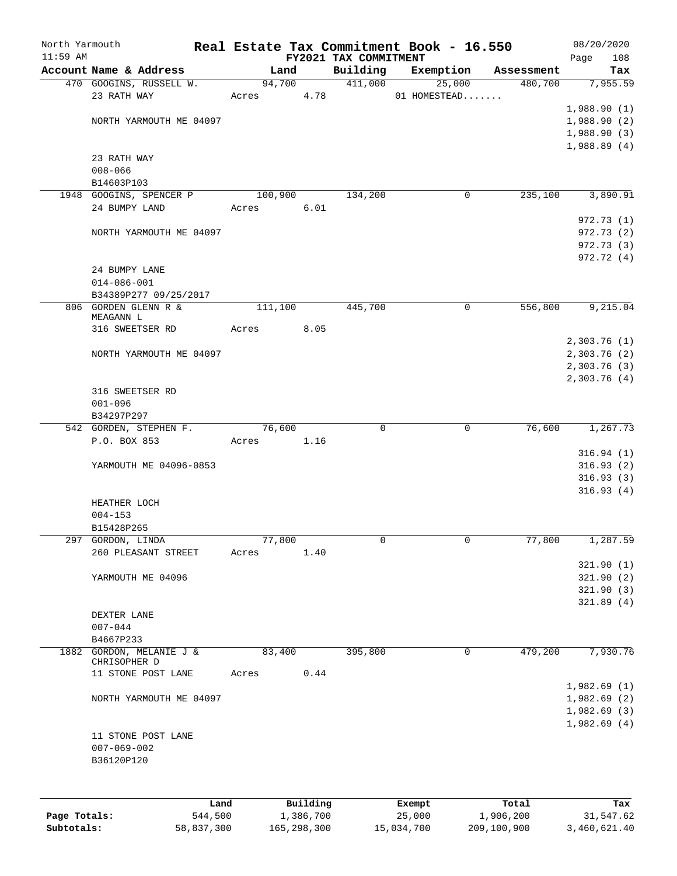| North Yarmouth |                                                   |                |          |                       | Real Estate Tax Commitment Book - 16.550 |                       | 08/20/2020             |
|----------------|---------------------------------------------------|----------------|----------|-----------------------|------------------------------------------|-----------------------|------------------------|
| $11:59$ AM     |                                                   |                |          | FY2021 TAX COMMITMENT |                                          |                       | 108<br>Page            |
|                | Account Name & Address<br>470 GOOGINS, RUSSELL W. | Land<br>94,700 |          | Building<br>411,000   | Exemption<br>25,000                      | Assessment<br>480,700 | Tax<br>7,955.59        |
|                | 23 RATH WAY                                       | Acres          | 4.78     |                       | 01 HOMESTEAD                             |                       |                        |
|                |                                                   |                |          |                       |                                          |                       | 1,988.90(1)            |
|                | NORTH YARMOUTH ME 04097                           |                |          |                       |                                          |                       | 1,988.90(2)            |
|                |                                                   |                |          |                       |                                          |                       | 1,988.90(3)            |
|                |                                                   |                |          |                       |                                          |                       | 1,988.89(4)            |
|                | 23 RATH WAY                                       |                |          |                       |                                          |                       |                        |
|                | $008 - 066$                                       |                |          |                       |                                          |                       |                        |
|                | B14603P103                                        |                |          |                       |                                          |                       |                        |
|                | 1948 GOOGINS, SPENCER P                           | 100,900        | 6.01     | 134,200               | 0                                        | 235,100               | 3,890.91               |
|                | 24 BUMPY LAND                                     | Acres          |          |                       |                                          |                       | 972.73 (1)             |
|                | NORTH YARMOUTH ME 04097                           |                |          |                       |                                          |                       | 972.73 (2)             |
|                |                                                   |                |          |                       |                                          |                       | 972.73 (3)             |
|                |                                                   |                |          |                       |                                          |                       | 972.72(4)              |
|                | 24 BUMPY LANE                                     |                |          |                       |                                          |                       |                        |
|                | $014 - 086 - 001$                                 |                |          |                       |                                          |                       |                        |
|                | B34389P277 09/25/2017                             |                |          |                       |                                          |                       |                        |
|                | 806 GORDEN GLENN R &                              | 111,100        |          | 445,700               | 0                                        | 556,800               | 9,215.04               |
|                | MEAGANN L<br>316 SWEETSER RD                      | Acres          | 8.05     |                       |                                          |                       |                        |
|                |                                                   |                |          |                       |                                          |                       | 2,303.76(1)            |
|                | NORTH YARMOUTH ME 04097                           |                |          |                       |                                          |                       | 2,303.76 (2)           |
|                |                                                   |                |          |                       |                                          |                       | 2,303.76(3)            |
|                |                                                   |                |          |                       |                                          |                       | 2,303.76 (4)           |
|                | 316 SWEETSER RD                                   |                |          |                       |                                          |                       |                        |
|                | $001 - 096$                                       |                |          |                       |                                          |                       |                        |
|                | B34297P297                                        |                |          |                       |                                          |                       |                        |
|                | 542 GORDEN, STEPHEN F.                            | 76,600         |          | $\mathbf 0$           | 0                                        | 76,600                | 1,267.73               |
|                | P.O. BOX 853                                      | Acres          | 1.16     |                       |                                          |                       |                        |
|                |                                                   |                |          |                       |                                          |                       | 316.94(1)              |
|                | YARMOUTH ME 04096-0853                            |                |          |                       |                                          |                       | 316.93(2)              |
|                |                                                   |                |          |                       |                                          |                       | 316.93(3)<br>316.93(4) |
|                | HEATHER LOCH                                      |                |          |                       |                                          |                       |                        |
|                | $004 - 153$                                       |                |          |                       |                                          |                       |                        |
|                | B15428P265                                        |                |          |                       |                                          |                       |                        |
|                | 297 GORDON, LINDA                                 | 77,800         |          | 0                     | $\mathbf{0}$                             | 77,800                | 1,287.59               |
|                | 260 PLEASANT STREET                               | Acres          | 1.40     |                       |                                          |                       |                        |
|                |                                                   |                |          |                       |                                          |                       | 321.90(1)              |
|                | YARMOUTH ME 04096                                 |                |          |                       |                                          |                       | 321.90(2)              |
|                |                                                   |                |          |                       |                                          |                       | 321.90(3)              |
|                |                                                   |                |          |                       |                                          |                       | 321.89(4)              |
|                | DEXTER LANE                                       |                |          |                       |                                          |                       |                        |
|                | $007 - 044$<br>B4667P233                          |                |          |                       |                                          |                       |                        |
|                | 1882 GORDON, MELANIE J &                          | 83,400         |          | 395,800               | 0                                        | 479,200               | 7,930.76               |
|                | CHRISOPHER D                                      |                |          |                       |                                          |                       |                        |
|                | 11 STONE POST LANE                                | Acres          | 0.44     |                       |                                          |                       |                        |
|                |                                                   |                |          |                       |                                          |                       | 1,982.69(1)            |
|                | NORTH YARMOUTH ME 04097                           |                |          |                       |                                          |                       | 1,982.69(2)            |
|                |                                                   |                |          |                       |                                          |                       | 1,982.69 (3)           |
|                | 11 STONE POST LANE                                |                |          |                       |                                          |                       | 1,982.69(4)            |
|                | $007 - 069 - 002$                                 |                |          |                       |                                          |                       |                        |
|                | B36120P120                                        |                |          |                       |                                          |                       |                        |
|                |                                                   |                |          |                       |                                          |                       |                        |
|                |                                                   |                |          |                       |                                          |                       |                        |
|                | Land                                              |                | Building |                       | Exempt                                   | Total                 | Tax                    |

| Page Totals: | 544,500    | 1,386,700   | 25,000     | 1,906,200   | 31,547.62    |
|--------------|------------|-------------|------------|-------------|--------------|
| Subtotals:   | 58,837,300 | 165,298,300 | 15,034,700 | 209,100,900 | 3,460,621.40 |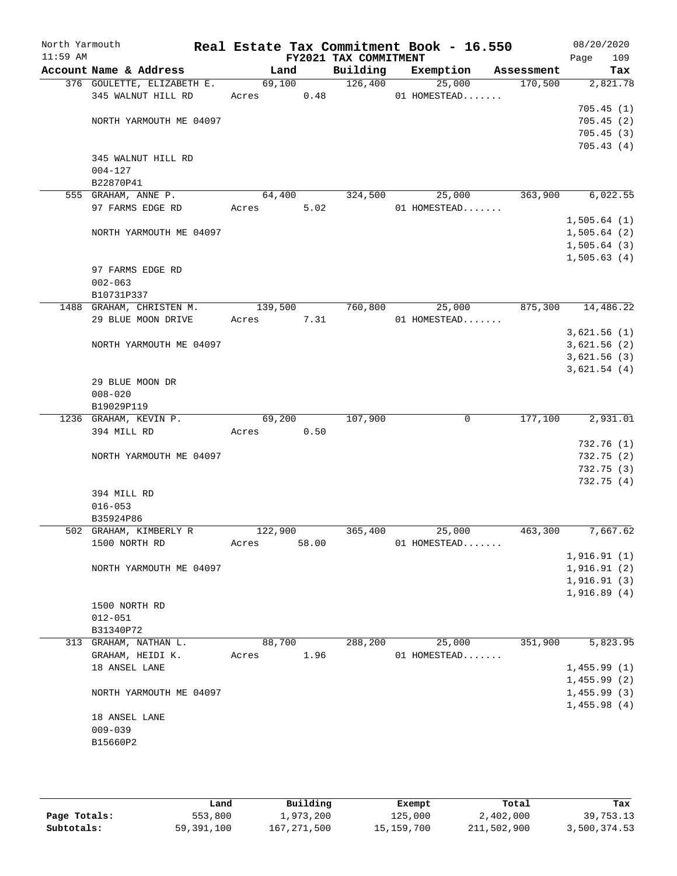| North Yarmouth<br>$11:59$ AM |                              |            |         | FY2021 TAX COMMITMENT | Real Estate Tax Commitment Book - 16.550 |         | 08/20/2020<br>Page<br>109 |
|------------------------------|------------------------------|------------|---------|-----------------------|------------------------------------------|---------|---------------------------|
|                              | Account Name & Address       |            | Land    |                       | Building Exemption Assessment            |         | Tax                       |
|                              | 376 GOULETTE, ELIZABETH E.   |            | 69,100  | 126,400               | 25,000                                   | 170,500 | 2,821.78                  |
|                              | 345 WALNUT HILL RD           | Acres 0.48 |         |                       | 01 HOMESTEAD                             |         |                           |
|                              |                              |            |         |                       |                                          |         | 705.45(1)                 |
|                              | NORTH YARMOUTH ME 04097      |            |         |                       |                                          |         | 705.45(2)                 |
|                              |                              |            |         |                       |                                          |         | 705.45(3)                 |
|                              |                              |            |         |                       |                                          |         | 705.43(4)                 |
|                              | 345 WALNUT HILL RD           |            |         |                       |                                          |         |                           |
|                              | $004 - 127$<br>B22870P41     |            |         |                       |                                          |         |                           |
|                              | 555 GRAHAM, ANNE P.          |            | 64,400  | 324,500               | 25,000                                   | 363,900 | 6,022.55                  |
|                              | 97 FARMS EDGE RD             | Acres      | 5.02    |                       | $01$ HOMESTEAD                           |         |                           |
|                              |                              |            |         |                       |                                          |         | 1,505.64(1)               |
|                              | NORTH YARMOUTH ME 04097      |            |         |                       |                                          |         | 1,505.64(2)               |
|                              |                              |            |         |                       |                                          |         | 1,505.64(3)               |
|                              |                              |            |         |                       |                                          |         | 1,505.63(4)               |
|                              | 97 FARMS EDGE RD             |            |         |                       |                                          |         |                           |
|                              | $002 - 063$                  |            |         |                       |                                          |         |                           |
|                              | B10731P337                   |            |         |                       |                                          |         |                           |
|                              | 1488 GRAHAM, CHRISTEN M.     |            | 139,500 | 760,800               | 25,000                                   | 875,300 | 14,486.22                 |
|                              | 29 BLUE MOON DRIVE           | Acres 7.31 |         |                       | 01 HOMESTEAD                             |         |                           |
|                              |                              |            |         |                       |                                          |         | 3,621.56(1)               |
|                              | NORTH YARMOUTH ME 04097      |            |         |                       |                                          |         | 3,621.56(2)               |
|                              |                              |            |         |                       |                                          |         | 3,621.56(3)               |
|                              |                              |            |         |                       |                                          |         | 3,621.54(4)               |
|                              | 29 BLUE MOON DR              |            |         |                       |                                          |         |                           |
|                              | $008 - 020$                  |            |         |                       |                                          |         |                           |
|                              | B19029P119                   |            |         |                       |                                          |         |                           |
|                              | 1236 GRAHAM, KEVIN P.        |            | 69,200  | 107,900               | $\mathbf 0$                              | 177,100 | 2,931.01                  |
|                              | 394 MILL RD                  | Acres      | 0.50    |                       |                                          |         |                           |
|                              | NORTH YARMOUTH ME 04097      |            |         |                       |                                          |         | 732.76(1)<br>732.75 (2)   |
|                              |                              |            |         |                       |                                          |         | 732.75(3)                 |
|                              |                              |            |         |                       |                                          |         | 732.75(4)                 |
|                              | 394 MILL RD                  |            |         |                       |                                          |         |                           |
|                              | $016 - 053$                  |            |         |                       |                                          |         |                           |
|                              | B35924P86                    |            |         |                       |                                          |         |                           |
|                              | 502 GRAHAM, KIMBERLY R       | 122,900    |         | 365,400               | 25,000                                   | 463,300 | 7,667.62                  |
|                              | 1500 NORTH RD                | Acres      | 58.00   |                       | 01 HOMESTEAD                             |         |                           |
|                              |                              |            |         |                       |                                          |         | 1,916.91(1)               |
|                              | NORTH YARMOUTH ME 04097      |            |         |                       |                                          |         | 1,916.91(2)               |
|                              |                              |            |         |                       |                                          |         | 1,916.91(3)               |
|                              |                              |            |         |                       |                                          |         | 1,916.89(4)               |
|                              | 1500 NORTH RD                |            |         |                       |                                          |         |                           |
|                              | $012 - 051$                  |            |         |                       |                                          |         |                           |
|                              | B31340P72                    |            |         |                       |                                          |         |                           |
|                              | 313 GRAHAM, NATHAN L.        |            | 88,700  | 288,200               | 25,000                                   | 351,900 | $\overline{5,823.95}$     |
|                              | GRAHAM, HEIDI K.             | Acres      | 1.96    |                       | 01 HOMESTEAD                             |         |                           |
|                              | 18 ANSEL LANE                |            |         |                       |                                          |         | 1,455.99(1)               |
|                              |                              |            |         |                       |                                          |         | 1,455.99(2)               |
|                              | NORTH YARMOUTH ME 04097      |            |         |                       |                                          |         | 1,455.99(3)               |
|                              |                              |            |         |                       |                                          |         | 1,455.98(4)               |
|                              | 18 ANSEL LANE<br>$009 - 039$ |            |         |                       |                                          |         |                           |
|                              | B15660P2                     |            |         |                       |                                          |         |                           |
|                              |                              |            |         |                       |                                          |         |                           |
|                              |                              |            |         |                       |                                          |         |                           |

|              | Land       | Building    | Exempt     | Total       | Tax          |
|--------------|------------|-------------|------------|-------------|--------------|
| Page Totals: | 553,800    | 1,973,200   | 125,000    | 2,402,000   | 39,753.13    |
| Subtotals:   | 59,391,100 | 167,271,500 | 15,159,700 | 211,502,900 | 3,500,374.53 |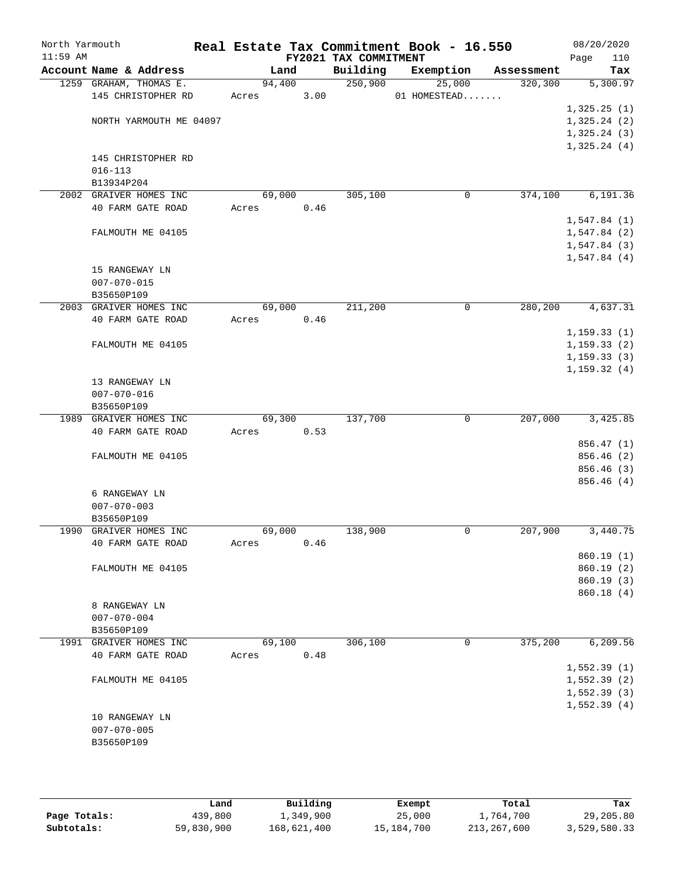| North Yarmouth<br>$11:59$ AM |                         |       |        |      | FY2021 TAX COMMITMENT | Real Estate Tax Commitment Book - 16.550 |            | 08/20/2020<br>Page<br>110  |
|------------------------------|-------------------------|-------|--------|------|-----------------------|------------------------------------------|------------|----------------------------|
|                              | Account Name & Address  |       | Land   |      | Building              | Exemption                                | Assessment | Tax                        |
|                              | 1259 GRAHAM, THOMAS E.  |       | 94,400 |      | 250,900               | 25,000                                   | 320,300    | 5,300.97                   |
|                              | 145 CHRISTOPHER RD      | Acres |        | 3.00 |                       | 01 HOMESTEAD                             |            |                            |
|                              |                         |       |        |      |                       |                                          |            | 1,325.25(1)                |
|                              | NORTH YARMOUTH ME 04097 |       |        |      |                       |                                          |            | 1,325.24(2)                |
|                              |                         |       |        |      |                       |                                          |            | 1,325.24(3)                |
|                              |                         |       |        |      |                       |                                          |            | 1,325.24(4)                |
|                              | 145 CHRISTOPHER RD      |       |        |      |                       |                                          |            |                            |
|                              | $016 - 113$             |       |        |      |                       |                                          |            |                            |
|                              | B13934P204              |       |        |      |                       |                                          |            |                            |
|                              | 2002 GRAIVER HOMES INC  |       | 69,000 |      | 305,100               | 0                                        | 374,100    | 6,191.36                   |
|                              | 40 FARM GATE ROAD       | Acres |        | 0.46 |                       |                                          |            | 1,547.84(1)                |
|                              | FALMOUTH ME 04105       |       |        |      |                       |                                          |            | 1,547.84(2)                |
|                              |                         |       |        |      |                       |                                          |            | 1,547.84(3)                |
|                              |                         |       |        |      |                       |                                          |            | 1,547.84(4)                |
|                              | 15 RANGEWAY LN          |       |        |      |                       |                                          |            |                            |
|                              | $007 - 070 - 015$       |       |        |      |                       |                                          |            |                            |
|                              | B35650P109              |       |        |      |                       |                                          |            |                            |
|                              | 2003 GRAIVER HOMES INC  |       | 69,000 |      | 211,200               | 0                                        | 280,200    | 4,637.31                   |
|                              | 40 FARM GATE ROAD       | Acres |        | 0.46 |                       |                                          |            |                            |
|                              |                         |       |        |      |                       |                                          |            | 1, 159.33(1)               |
|                              | FALMOUTH ME 04105       |       |        |      |                       |                                          |            | 1, 159.33(2)               |
|                              |                         |       |        |      |                       |                                          |            | 1, 159.33(3)               |
|                              |                         |       |        |      |                       |                                          |            | 1, 159.32(4)               |
|                              | 13 RANGEWAY LN          |       |        |      |                       |                                          |            |                            |
|                              | $007 - 070 - 016$       |       |        |      |                       |                                          |            |                            |
|                              | B35650P109              |       |        |      |                       |                                          |            |                            |
|                              | 1989 GRAIVER HOMES INC  |       | 69,300 |      | 137,700               | $\mathbf 0$                              | 207,000    | 3,425.85                   |
|                              | 40 FARM GATE ROAD       | Acres |        | 0.53 |                       |                                          |            |                            |
|                              |                         |       |        |      |                       |                                          |            | 856.47 (1)                 |
|                              | FALMOUTH ME 04105       |       |        |      |                       |                                          |            | 856.46 (2)<br>856.46 (3)   |
|                              |                         |       |        |      |                       |                                          |            | 856.46(4)                  |
|                              | 6 RANGEWAY LN           |       |        |      |                       |                                          |            |                            |
|                              | $007 - 070 - 003$       |       |        |      |                       |                                          |            |                            |
|                              | B35650P109              |       |        |      |                       |                                          |            |                            |
| 1990                         | GRAIVER HOMES INC       |       | 69,000 |      | 138,900               | 0                                        | 207,900    | 3,440.75                   |
|                              | 40 FARM GATE ROAD       | Acres |        | 0.46 |                       |                                          |            |                            |
|                              |                         |       |        |      |                       |                                          |            | 860.19(1)                  |
|                              | FALMOUTH ME 04105       |       |        |      |                       |                                          |            | 860.19(2)                  |
|                              |                         |       |        |      |                       |                                          |            | 860.19 (3)                 |
|                              |                         |       |        |      |                       |                                          |            | 860.18 (4)                 |
|                              | 8 RANGEWAY LN           |       |        |      |                       |                                          |            |                            |
|                              | $007 - 070 - 004$       |       |        |      |                       |                                          |            |                            |
|                              | B35650P109              |       |        |      |                       |                                          |            |                            |
|                              | 1991 GRAIVER HOMES INC  |       | 69,100 |      | 306,100               | 0                                        | 375,200    | 6, 209.56                  |
|                              | 40 FARM GATE ROAD       | Acres |        | 0.48 |                       |                                          |            |                            |
|                              |                         |       |        |      |                       |                                          |            | 1,552.39(1)                |
|                              | FALMOUTH ME 04105       |       |        |      |                       |                                          |            | 1,552.39(2)                |
|                              |                         |       |        |      |                       |                                          |            | 1,552.39(3)<br>1,552.39(4) |
|                              | 10 RANGEWAY LN          |       |        |      |                       |                                          |            |                            |
|                              | $007 - 070 - 005$       |       |        |      |                       |                                          |            |                            |
|                              | B35650P109              |       |        |      |                       |                                          |            |                            |
|                              |                         |       |        |      |                       |                                          |            |                            |
|                              |                         |       |        |      |                       |                                          |            |                            |

|              | Land       | Building    | Exempt     | Total       | Tax          |
|--------------|------------|-------------|------------|-------------|--------------|
| Page Totals: | 439,800    | 1,349,900   | 25,000     | 1,764,700   | 29,205.80    |
| Subtotals:   | 59,830,900 | 168,621,400 | 15,184,700 | 213,267,600 | 3,529,580.33 |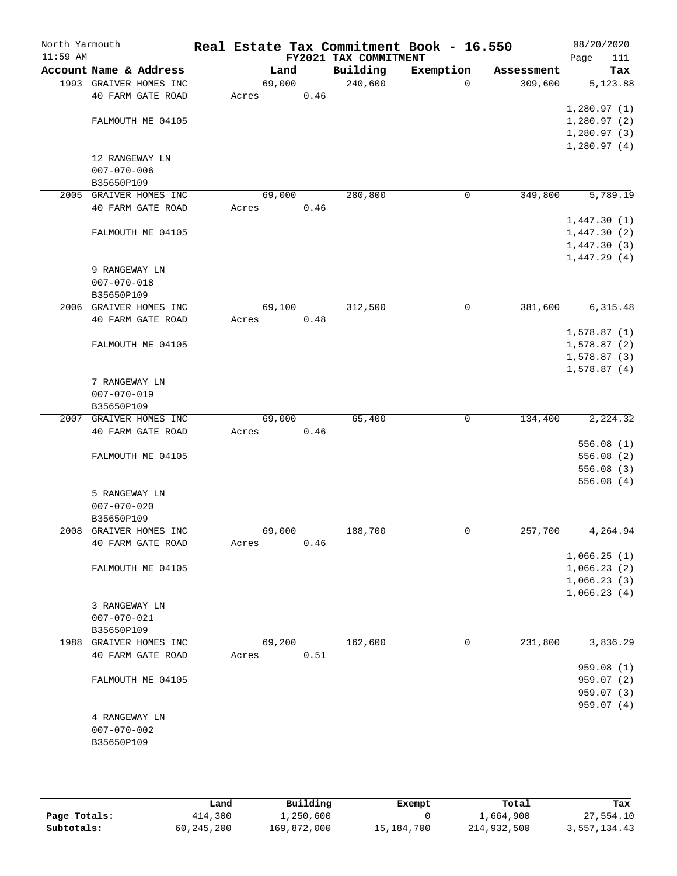| North Yarmouth<br>$11:59$ AM |                   |                        |       |        |      | Real Estate Tax Commitment Book - 16.550 |           |          |            |                            | 08/20/2020              |
|------------------------------|-------------------|------------------------|-------|--------|------|------------------------------------------|-----------|----------|------------|----------------------------|-------------------------|
|                              |                   | Account Name & Address |       | Land   |      | FY2021 TAX COMMITMENT<br>Building        | Exemption |          | Assessment | Page                       | 111<br>Tax              |
|                              |                   | 1993 GRAIVER HOMES INC |       | 69,000 |      | 240,600                                  |           | $\Omega$ | 309,600    |                            | 5,123.88                |
|                              |                   | 40 FARM GATE ROAD      | Acres |        | 0.46 |                                          |           |          |            |                            |                         |
|                              |                   |                        |       |        |      |                                          |           |          |            | 1,280.97(1)                |                         |
|                              |                   | FALMOUTH ME 04105      |       |        |      |                                          |           |          |            | 1,280.97(2)                |                         |
|                              |                   |                        |       |        |      |                                          |           |          |            | 1,280.97(3)                |                         |
|                              |                   |                        |       |        |      |                                          |           |          |            | 1,280.97(4)                |                         |
|                              | 12 RANGEWAY LN    |                        |       |        |      |                                          |           |          |            |                            |                         |
|                              | $007 - 070 - 006$ |                        |       |        |      |                                          |           |          |            |                            |                         |
|                              | B35650P109        |                        |       |        |      |                                          |           |          |            |                            |                         |
| 2005                         |                   | GRAIVER HOMES INC      |       | 69,000 |      | 280,800                                  |           | 0        | 349,800    |                            | 5,789.19                |
|                              |                   | 40 FARM GATE ROAD      | Acres |        | 0.46 |                                          |           |          |            |                            |                         |
|                              |                   | FALMOUTH ME 04105      |       |        |      |                                          |           |          |            | 1,447.30(1)                |                         |
|                              |                   |                        |       |        |      |                                          |           |          |            | 1,447.30(2)<br>1,447.30(3) |                         |
|                              |                   |                        |       |        |      |                                          |           |          |            | 1,447.29(4)                |                         |
|                              | 9 RANGEWAY LN     |                        |       |        |      |                                          |           |          |            |                            |                         |
|                              | $007 - 070 - 018$ |                        |       |        |      |                                          |           |          |            |                            |                         |
|                              | B35650P109        |                        |       |        |      |                                          |           |          |            |                            |                         |
| 2006                         |                   | GRAIVER HOMES INC      |       | 69,100 |      | 312,500                                  |           | 0        | 381,600    |                            | 6,315.48                |
|                              |                   | 40 FARM GATE ROAD      | Acres |        | 0.48 |                                          |           |          |            |                            |                         |
|                              |                   |                        |       |        |      |                                          |           |          |            | 1,578.87(1)                |                         |
|                              |                   | FALMOUTH ME 04105      |       |        |      |                                          |           |          |            | 1,578.87(2)                |                         |
|                              |                   |                        |       |        |      |                                          |           |          |            | 1,578.87(3)                |                         |
|                              |                   |                        |       |        |      |                                          |           |          |            | 1,578.87(4)                |                         |
|                              | 7 RANGEWAY LN     |                        |       |        |      |                                          |           |          |            |                            |                         |
|                              | $007 - 070 - 019$ |                        |       |        |      |                                          |           |          |            |                            |                         |
|                              | B35650P109        |                        |       |        |      |                                          |           |          |            |                            |                         |
| 2007                         |                   | GRAIVER HOMES INC      |       | 69,000 |      | 65,400                                   |           | 0        | 134,400    |                            | 2,224.32                |
|                              |                   | 40 FARM GATE ROAD      | Acres |        | 0.46 |                                          |           |          |            |                            |                         |
|                              |                   |                        |       |        |      |                                          |           |          |            |                            | 556.08(1)               |
|                              |                   | FALMOUTH ME 04105      |       |        |      |                                          |           |          |            |                            | 556.08(2)<br>556.08(3)  |
|                              |                   |                        |       |        |      |                                          |           |          |            |                            | 556.08(4)               |
|                              | 5 RANGEWAY LN     |                        |       |        |      |                                          |           |          |            |                            |                         |
|                              | $007 - 070 - 020$ |                        |       |        |      |                                          |           |          |            |                            |                         |
|                              | B35650P109        |                        |       |        |      |                                          |           |          |            |                            |                         |
| 2008                         |                   | GRAIVER HOMES INC      |       | 69,000 |      | 188,700                                  |           | 0        | 257,700    |                            | 4, 264.94               |
|                              |                   | 40 FARM GATE ROAD      | Acres |        | 0.46 |                                          |           |          |            |                            |                         |
|                              |                   |                        |       |        |      |                                          |           |          |            | 1,066.25(1)                |                         |
|                              |                   | FALMOUTH ME 04105      |       |        |      |                                          |           |          |            | 1,066.23(2)                |                         |
|                              |                   |                        |       |        |      |                                          |           |          |            | 1,066.23(3)                |                         |
|                              |                   |                        |       |        |      |                                          |           |          |            | 1,066.23(4)                |                         |
|                              | 3 RANGEWAY LN     |                        |       |        |      |                                          |           |          |            |                            |                         |
|                              | $007 - 070 - 021$ |                        |       |        |      |                                          |           |          |            |                            |                         |
|                              | B35650P109        |                        |       |        |      |                                          |           |          |            |                            |                         |
|                              |                   | 1988 GRAIVER HOMES INC |       | 69,200 |      | 162,600                                  |           | 0        | 231,800    |                            | 3,836.29                |
|                              |                   | 40 FARM GATE ROAD      | Acres |        | 0.51 |                                          |           |          |            |                            |                         |
|                              |                   |                        |       |        |      |                                          |           |          |            |                            | 959.08 (1)              |
|                              |                   | FALMOUTH ME 04105      |       |        |      |                                          |           |          |            |                            | 959.07(2)<br>959.07 (3) |
|                              |                   |                        |       |        |      |                                          |           |          |            |                            | 959.07(4)               |
|                              | 4 RANGEWAY LN     |                        |       |        |      |                                          |           |          |            |                            |                         |
|                              | $007 - 070 - 002$ |                        |       |        |      |                                          |           |          |            |                            |                         |
|                              | B35650P109        |                        |       |        |      |                                          |           |          |            |                            |                         |
|                              |                   |                        |       |        |      |                                          |           |          |            |                            |                         |
|                              |                   |                        |       |        |      |                                          |           |          |            |                            |                         |

|              | Land       | Building    | Exempt     | Total       | Tax          |
|--------------|------------|-------------|------------|-------------|--------------|
| Page Totals: | 414,300    | 1,250,600   |            | 1,664,900   | 27,554.10    |
| Subtotals:   | 60,245,200 | 169,872,000 | 15,184,700 | 214,932,500 | 3,557,134.43 |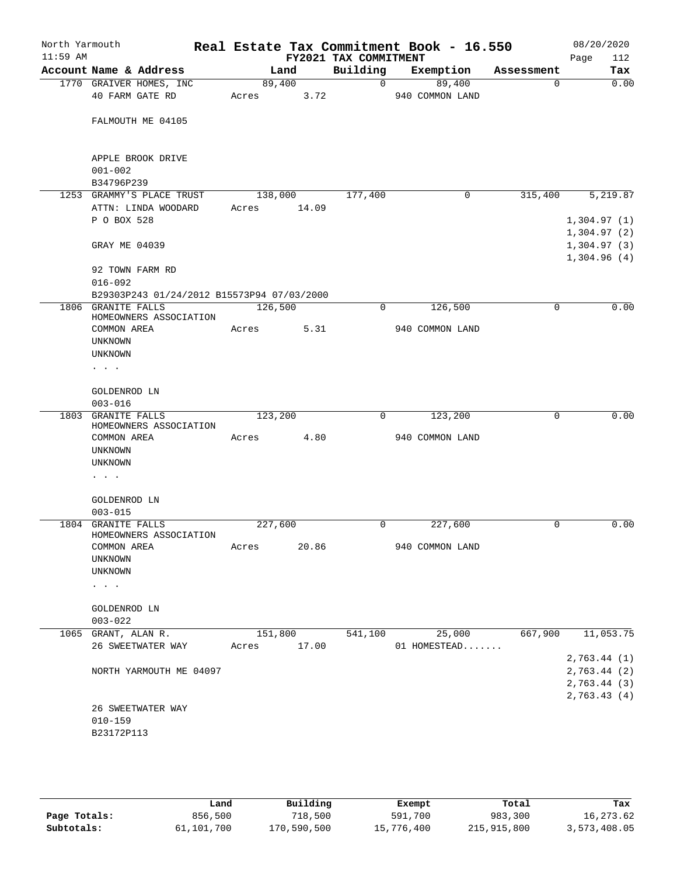| North Yarmouth<br>$11:59$ AM |                                                |                 |       | FY2021 TAX COMMITMENT | Real Estate Tax Commitment Book - 16.550 |            | 08/20/2020<br>112<br>Page                 |
|------------------------------|------------------------------------------------|-----------------|-------|-----------------------|------------------------------------------|------------|-------------------------------------------|
|                              | Account Name & Address                         |                 | Land  | Building              | Exemption                                | Assessment | Tax                                       |
|                              | 1770 GRAIVER HOMES, INC<br>40 FARM GATE RD     | 89,400<br>Acres | 3.72  | 0                     | 89,400<br>940 COMMON LAND                | 0          | 0.00                                      |
|                              | FALMOUTH ME 04105                              |                 |       |                       |                                          |            |                                           |
|                              | APPLE BROOK DRIVE<br>$001 - 002$               |                 |       |                       |                                          |            |                                           |
|                              | B34796P239                                     |                 |       |                       |                                          |            |                                           |
|                              | 1253 GRAMMY'S PLACE TRUST                      | 138,000         |       | 177,400               | 0                                        | 315,400    | 5,219.87                                  |
|                              | ATTN: LINDA WOODARD<br>P O BOX 528             | Acres           | 14.09 |                       |                                          |            | 1,304.97(1)                               |
|                              | GRAY ME 04039                                  |                 |       |                       |                                          |            | 1,304.97(2)<br>1,304.97(3)<br>1,304.96(4) |
|                              | 92 TOWN FARM RD<br>$016 - 092$                 |                 |       |                       |                                          |            |                                           |
|                              | B29303P243 01/24/2012 B15573P94 07/03/2000     |                 |       |                       |                                          |            |                                           |
|                              | 1806 GRANITE FALLS<br>HOMEOWNERS ASSOCIATION   | 126,500         |       | 0                     | 126,500                                  | 0          | 0.00                                      |
|                              | COMMON AREA<br><b>UNKNOWN</b>                  | Acres           | 5.31  |                       | 940 COMMON LAND                          |            |                                           |
|                              | UNKNOWN<br>$\cdots$                            |                 |       |                       |                                          |            |                                           |
|                              | GOLDENROD LN                                   |                 |       |                       |                                          |            |                                           |
|                              | $003 - 016$                                    |                 |       |                       |                                          |            |                                           |
| 1803                         | <b>GRANITE FALLS</b><br>HOMEOWNERS ASSOCIATION | 123,200         |       | $\mathbf 0$           | 123,200                                  | 0          | 0.00                                      |
|                              | COMMON AREA                                    | Acres           | 4.80  |                       | 940 COMMON LAND                          |            |                                           |
|                              | UNKNOWN<br>UNKNOWN                             |                 |       |                       |                                          |            |                                           |
|                              | $\sim$ 100 $\sim$ 100 $\sim$                   |                 |       |                       |                                          |            |                                           |
|                              | GOLDENROD LN<br>$003 - 015$                    |                 |       |                       |                                          |            |                                           |
|                              | 1804 GRANITE FALLS<br>HOMEOWNERS ASSOCIATION   | 227,600         |       | 0                     | 227,600                                  | 0          | 0.00                                      |
|                              | COMMON AREA<br>UNKNOWN<br>UNKNOWN              | Acres           | 20.86 |                       | 940 COMMON LAND                          |            |                                           |
|                              | $\cdots$                                       |                 |       |                       |                                          |            |                                           |
|                              | GOLDENROD LN<br>$003 - 022$                    |                 |       |                       |                                          |            |                                           |
|                              | 1065 GRANT, ALAN R.                            | 151,800         |       | 541,100               | 25,000                                   | 667,900    | 11,053.75                                 |
|                              | 26 SWEETWATER WAY                              | Acres           | 17.00 |                       | 01 HOMESTEAD                             |            | 2,763.44 (1)                              |
|                              | NORTH YARMOUTH ME 04097                        |                 |       |                       |                                          |            | 2,763.44 (2)<br>2,763.44 (3)              |
|                              | 26 SWEETWATER WAY<br>$010 - 159$               |                 |       |                       |                                          |            | 2,763.43(4)                               |
|                              | B23172P113                                     |                 |       |                       |                                          |            |                                           |

|              | Land       | Building    | Exempt     | Total       | Tax          |
|--------------|------------|-------------|------------|-------------|--------------|
| Page Totals: | 856,500    | 718,500     | 591,700    | 983,300     | 16,273.62    |
| Subtotals:   | 61,101,700 | 170,590,500 | 15,776,400 | 215,915,800 | 3,573,408.05 |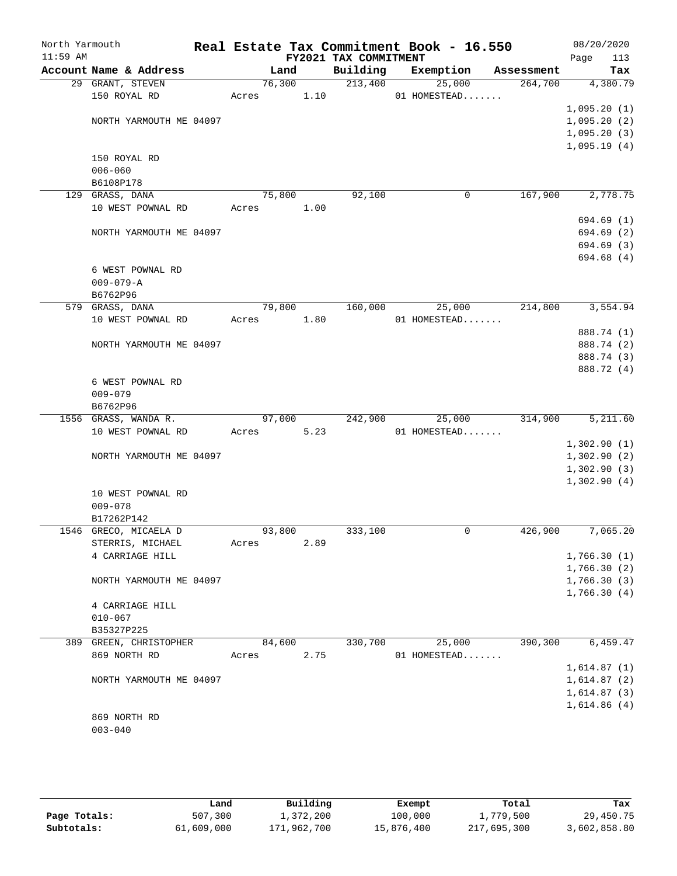| North Yarmouth<br>$11:59$ AM |                         |       |        |      | FY2021 TAX COMMITMENT | Real Estate Tax Commitment Book - 16.550 |            | 08/20/2020<br>113<br>Page |
|------------------------------|-------------------------|-------|--------|------|-----------------------|------------------------------------------|------------|---------------------------|
|                              | Account Name & Address  |       | Land   |      | Building              | Exemption                                | Assessment | Tax                       |
|                              | 29 GRANT, STEVEN        |       | 76,300 |      | 213,400               | 25,000                                   | 264,700    | 4,380.79                  |
|                              | 150 ROYAL RD            | Acres |        | 1.10 |                       | 01 HOMESTEAD                             |            |                           |
|                              |                         |       |        |      |                       |                                          |            | 1,095.20(1)               |
|                              | NORTH YARMOUTH ME 04097 |       |        |      |                       |                                          |            | 1,095.20(2)               |
|                              |                         |       |        |      |                       |                                          |            | 1,095.20(3)               |
|                              |                         |       |        |      |                       |                                          |            | 1,095.19(4)               |
|                              | 150 ROYAL RD            |       |        |      |                       |                                          |            |                           |
|                              | $006 - 060$             |       |        |      |                       |                                          |            |                           |
|                              | B6108P178               |       |        |      |                       |                                          |            |                           |
|                              | 129 GRASS, DANA         |       | 75,800 |      | 92,100                | 0                                        | 167,900    | 2,778.75                  |
|                              | 10 WEST POWNAL RD       | Acres |        | 1.00 |                       |                                          |            |                           |
|                              |                         |       |        |      |                       |                                          |            | 694.69 (1)                |
|                              | NORTH YARMOUTH ME 04097 |       |        |      |                       |                                          |            | 694.69 (2)                |
|                              |                         |       |        |      |                       |                                          |            | 694.69 (3)                |
|                              |                         |       |        |      |                       |                                          |            | 694.68 (4)                |
|                              | 6 WEST POWNAL RD        |       |        |      |                       |                                          |            |                           |
|                              | $009 - 079 - A$         |       |        |      |                       |                                          |            |                           |
|                              | B6762P96                |       |        |      |                       |                                          |            |                           |
|                              | 579 GRASS, DANA         |       | 79,800 |      | 160,000               | 25,000                                   | 214,800    | 3,554.94                  |
|                              | 10 WEST POWNAL RD       | Acres |        | 1.80 |                       | 01 HOMESTEAD                             |            |                           |
|                              |                         |       |        |      |                       |                                          |            | 888.74 (1)                |
|                              | NORTH YARMOUTH ME 04097 |       |        |      |                       |                                          |            | 888.74 (2)                |
|                              |                         |       |        |      |                       |                                          |            | 888.74 (3)                |
|                              |                         |       |        |      |                       |                                          |            |                           |
|                              |                         |       |        |      |                       |                                          |            | 888.72 (4)                |
|                              | 6 WEST POWNAL RD        |       |        |      |                       |                                          |            |                           |
|                              | $009 - 079$             |       |        |      |                       |                                          |            |                           |
|                              | B6762P96                |       | 97,000 |      | 242,900               | 25,000                                   | 314,900    | 5,211.60                  |
|                              | 1556 GRASS, WANDA R.    |       |        |      |                       |                                          |            |                           |
|                              | 10 WEST POWNAL RD       | Acres |        | 5.23 |                       | 01 HOMESTEAD                             |            |                           |
|                              |                         |       |        |      |                       |                                          |            | 1,302.90(1)               |
|                              | NORTH YARMOUTH ME 04097 |       |        |      |                       |                                          |            | 1,302.90(2)               |
|                              |                         |       |        |      |                       |                                          |            | 1,302.90(3)               |
|                              |                         |       |        |      |                       |                                          |            | 1,302.90(4)               |
|                              | 10 WEST POWNAL RD       |       |        |      |                       |                                          |            |                           |
|                              | $009 - 078$             |       |        |      |                       |                                          |            |                           |
|                              | B17262P142              |       |        |      |                       |                                          |            |                           |
|                              | 1546 GRECO, MICAELA D   |       | 93,800 |      | 333,100               | 0                                        | 426,900    | 7,065.20                  |
|                              | STERRIS, MICHAEL        | Acres |        | 2.89 |                       |                                          |            |                           |
|                              | 4 CARRIAGE HILL         |       |        |      |                       |                                          |            | 1,766.30(1)               |
|                              |                         |       |        |      |                       |                                          |            | 1,766.30(2)               |
|                              | NORTH YARMOUTH ME 04097 |       |        |      |                       |                                          |            | 1,766.30(3)               |
|                              |                         |       |        |      |                       |                                          |            | 1,766.30(4)               |
|                              | 4 CARRIAGE HILL         |       |        |      |                       |                                          |            |                           |
|                              | $010 - 067$             |       |        |      |                       |                                          |            |                           |
|                              | B35327P225              |       |        |      |                       |                                          |            |                           |
|                              | 389 GREEN, CHRISTOPHER  |       | 84,600 |      | 330,700               | 25,000                                   | 390,300    | 6,459.47                  |
|                              | 869 NORTH RD            | Acres |        | 2.75 |                       | 01 HOMESTEAD                             |            |                           |
|                              |                         |       |        |      |                       |                                          |            | 1,614.87(1)               |
|                              | NORTH YARMOUTH ME 04097 |       |        |      |                       |                                          |            | 1,614.87(2)               |
|                              |                         |       |        |      |                       |                                          |            | 1,614.87(3)               |
|                              |                         |       |        |      |                       |                                          |            | 1,614.86(4)               |
|                              | 869 NORTH RD            |       |        |      |                       |                                          |            |                           |
|                              | $003 - 040$             |       |        |      |                       |                                          |            |                           |
|                              |                         |       |        |      |                       |                                          |            |                           |

|              | Land       | Building    | Exempt     | Total       | Tax          |
|--------------|------------|-------------|------------|-------------|--------------|
| Page Totals: | 507,300    | 1,372,200   | 100,000    | 1,779,500   | 29,450.75    |
| Subtotals:   | 61,609,000 | 171,962,700 | 15,876,400 | 217,695,300 | 3,602,858.80 |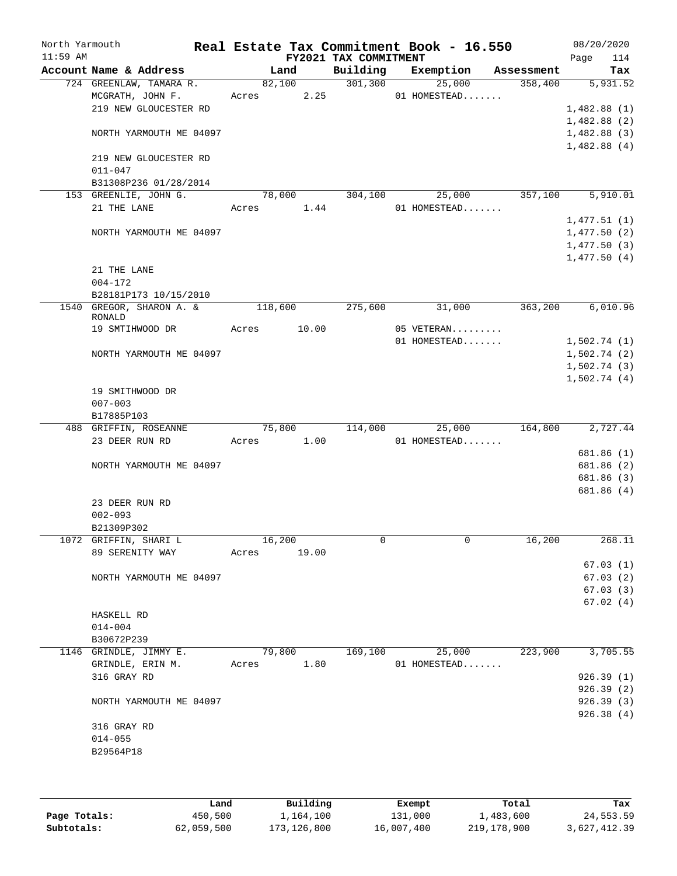| North Yarmouth<br>$11:59$ AM |                                      |         |        | FY2021 TAX COMMITMENT | Real Estate Tax Commitment Book - 16.550 |            | 08/20/2020<br>114<br>Page  |
|------------------------------|--------------------------------------|---------|--------|-----------------------|------------------------------------------|------------|----------------------------|
|                              | Account Name & Address               |         | Land   | Building              | Exemption                                | Assessment | Tax                        |
|                              | 724 GREENLAW, TAMARA R.              |         | 82,100 | 301, 300              | 25,000                                   | 358,400    | 5,931.52                   |
|                              | MCGRATH, JOHN F.                     | Acres   | 2.25   |                       | 01 HOMESTEAD                             |            |                            |
|                              | 219 NEW GLOUCESTER RD                |         |        |                       |                                          |            | 1,482.88(1)                |
|                              |                                      |         |        |                       |                                          |            | 1,482.88(2)                |
|                              | NORTH YARMOUTH ME 04097              |         |        |                       |                                          |            | 1,482.88(3)                |
|                              |                                      |         |        |                       |                                          |            | 1,482.88(4)                |
|                              | 219 NEW GLOUCESTER RD                |         |        |                       |                                          |            |                            |
|                              | $011 - 047$<br>B31308P236 01/28/2014 |         |        |                       |                                          |            |                            |
|                              | 153 GREENLIE, JOHN G.                | 78,000  |        | 304,100               | 25,000                                   | 357,100    | 5,910.01                   |
|                              | 21 THE LANE                          | Acres   | 1.44   |                       | 01 HOMESTEAD                             |            |                            |
|                              |                                      |         |        |                       |                                          |            | 1,477.51(1)                |
|                              | NORTH YARMOUTH ME 04097              |         |        |                       |                                          |            | 1,477.50(2)                |
|                              |                                      |         |        |                       |                                          |            | 1,477.50(3)                |
|                              |                                      |         |        |                       |                                          |            | 1,477.50(4)                |
|                              | 21 THE LANE                          |         |        |                       |                                          |            |                            |
|                              | $004 - 172$                          |         |        |                       |                                          |            |                            |
|                              | B28181P173 10/15/2010                |         |        |                       |                                          |            |                            |
|                              | 1540 GREGOR, SHARON A. &             | 118,600 |        | 275,600               | 31,000                                   | 363,200    | 6,010.96                   |
|                              | RONALD                               |         |        |                       |                                          |            |                            |
|                              | 19 SMTIHWOOD DR                      | Acres   | 10.00  |                       | 05 VETERAN                               |            |                            |
|                              |                                      |         |        |                       | 01 HOMESTEAD                             |            | 1,502.74(1)                |
|                              | NORTH YARMOUTH ME 04097              |         |        |                       |                                          |            | 1,502.74(2)                |
|                              |                                      |         |        |                       |                                          |            | 1,502.74(3)<br>1,502.74(4) |
|                              | 19 SMITHWOOD DR                      |         |        |                       |                                          |            |                            |
|                              | $007 - 003$                          |         |        |                       |                                          |            |                            |
|                              | B17885P103                           |         |        |                       |                                          |            |                            |
|                              | 488 GRIFFIN, ROSEANNE                | 75,800  |        | 114,000               | 25,000                                   | 164,800    | 2,727.44                   |
|                              | 23 DEER RUN RD                       | Acres   | 1.00   |                       | 01 HOMESTEAD                             |            |                            |
|                              |                                      |         |        |                       |                                          |            | 681.86 (1)                 |
|                              | NORTH YARMOUTH ME 04097              |         |        |                       |                                          |            | 681.86 (2)                 |
|                              |                                      |         |        |                       |                                          |            | 681.86 (3)                 |
|                              |                                      |         |        |                       |                                          |            | 681.86 (4)                 |
|                              | 23 DEER RUN RD                       |         |        |                       |                                          |            |                            |
|                              | $002 - 093$                          |         |        |                       |                                          |            |                            |
|                              | B21309P302                           |         |        |                       |                                          |            |                            |
|                              | 1072 GRIFFIN, SHARI L                | 16,200  |        | 0                     | $\mathsf{O}$                             | 16,200     | 268.11                     |
|                              | 89 SERENITY WAY                      | Acres   | 19.00  |                       |                                          |            | 67.03(1)                   |
|                              | NORTH YARMOUTH ME 04097              |         |        |                       |                                          |            | 67.03(2)                   |
|                              |                                      |         |        |                       |                                          |            | 67.03(3)                   |
|                              |                                      |         |        |                       |                                          |            | 67.02(4)                   |
|                              | HASKELL RD                           |         |        |                       |                                          |            |                            |
|                              | $014 - 004$                          |         |        |                       |                                          |            |                            |
|                              | B30672P239                           |         |        |                       |                                          |            |                            |
|                              | 1146 GRINDLE, JIMMY E.               |         | 79,800 | 169,100               | 25,000                                   | 223,900    | 3,705.55                   |
|                              | GRINDLE, ERIN M.                     | Acres   | 1.80   |                       | 01 HOMESTEAD                             |            |                            |
|                              | 316 GRAY RD                          |         |        |                       |                                          |            | 926.39(1)                  |
|                              |                                      |         |        |                       |                                          |            | 926.39(2)                  |
|                              | NORTH YARMOUTH ME 04097              |         |        |                       |                                          |            | 926.39(3)                  |
|                              |                                      |         |        |                       |                                          |            | 926.38(4)                  |
|                              | 316 GRAY RD                          |         |        |                       |                                          |            |                            |
|                              | $014 - 055$                          |         |        |                       |                                          |            |                            |
|                              | B29564P18                            |         |        |                       |                                          |            |                            |
|                              |                                      |         |        |                       |                                          |            |                            |

|              | Land       | Building    | Exempt     | Total       | Tax          |
|--------------|------------|-------------|------------|-------------|--------------|
| Page Totals: | 450,500    | 1,164,100   | 131,000    | 1,483,600   | 24,553.59    |
| Subtotals:   | 62,059,500 | 173,126,800 | 16,007,400 | 219,178,900 | 3,627,412.39 |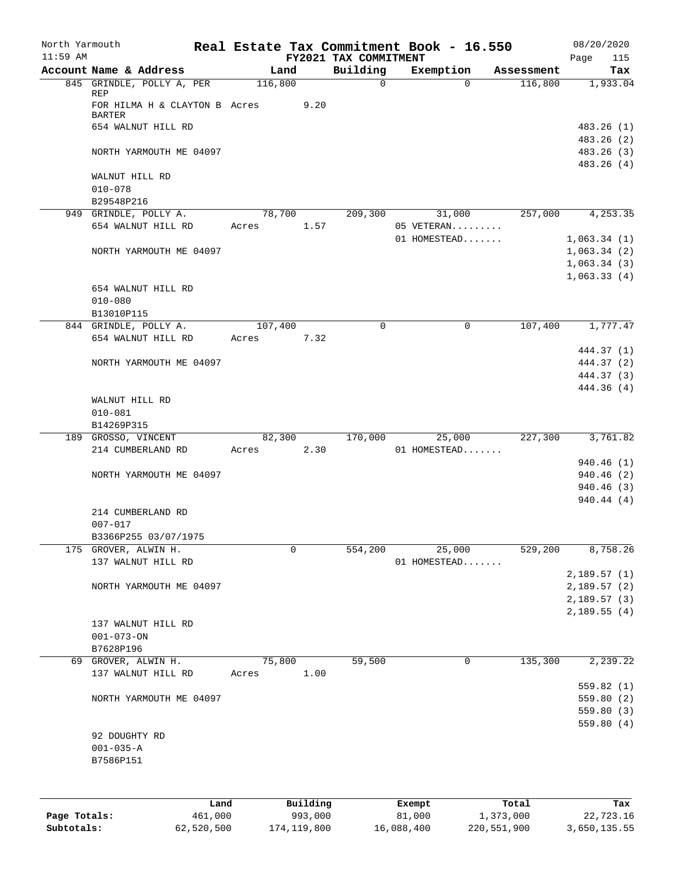| North Yarmouth<br>$11:59$ AM |                                                |         |          | FY2021 TAX COMMITMENT | Real Estate Tax Commitment Book - 16.550 |            | 08/20/2020<br>115<br>Page |
|------------------------------|------------------------------------------------|---------|----------|-----------------------|------------------------------------------|------------|---------------------------|
|                              | Account Name & Address                         | Land    |          | Building              | Exemption                                | Assessment | Tax                       |
|                              | 845 GRINDLE, POLLY A, PER<br>REP               | 116,800 |          | 0                     | $\Omega$                                 | 116,800    | 1,933.04                  |
|                              | FOR HILMA H & CLAYTON B Acres<br><b>BARTER</b> |         | 9.20     |                       |                                          |            |                           |
|                              | 654 WALNUT HILL RD                             |         |          |                       |                                          |            | 483.26 (1)<br>483.26 (2)  |
|                              | NORTH YARMOUTH ME 04097                        |         |          |                       |                                          |            | 483.26 (3)<br>483.26 (4)  |
|                              | WALNUT HILL RD<br>$010 - 078$                  |         |          |                       |                                          |            |                           |
|                              | B29548P216                                     |         |          |                       |                                          |            |                           |
|                              | 949 GRINDLE, POLLY A.                          | 78,700  |          | 209,300               | 31,000                                   | 257,000    | 4,253.35                  |
|                              | 654 WALNUT HILL RD                             | Acres   | 1.57     |                       | 05 VETERAN                               |            |                           |
|                              |                                                |         |          |                       | 01 HOMESTEAD                             |            | 1,063.34(1)               |
|                              | NORTH YARMOUTH ME 04097                        |         |          |                       |                                          |            | 1,063.34(2)               |
|                              |                                                |         |          |                       |                                          |            | 1,063.34(3)               |
|                              |                                                |         |          |                       |                                          |            | 1,063.33(4)               |
|                              | 654 WALNUT HILL RD                             |         |          |                       |                                          |            |                           |
|                              | $010 - 080$                                    |         |          |                       |                                          |            |                           |
|                              | B13010P115                                     |         |          |                       |                                          |            |                           |
|                              | 844 GRINDLE, POLLY A.                          | 107,400 |          | $\Omega$              | $\mathbf 0$                              | 107,400    | 1,777.47                  |
|                              | 654 WALNUT HILL RD                             | Acres   | 7.32     |                       |                                          |            |                           |
|                              |                                                |         |          |                       |                                          |            | 444.37 (1)                |
|                              | NORTH YARMOUTH ME 04097                        |         |          |                       |                                          |            | 444.37 (2)                |
|                              |                                                |         |          |                       |                                          |            | 444.37 (3)                |
|                              | WALNUT HILL RD<br>$010 - 081$                  |         |          |                       |                                          |            | 444.36 (4)                |
|                              | B14269P315                                     |         |          |                       |                                          |            |                           |
|                              | 189 GROSSO, VINCENT                            | 82,300  |          | 170,000               | 25,000                                   | 227,300    | 3,761.82                  |
|                              | 214 CUMBERLAND RD                              | Acres   | 2.30     |                       | 01 HOMESTEAD                             |            |                           |
|                              |                                                |         |          |                       |                                          |            | 940.46 (1)                |
|                              | NORTH YARMOUTH ME 04097                        |         |          |                       |                                          |            | 940.46 (2)                |
|                              |                                                |         |          |                       |                                          |            | 940.46 (3)                |
|                              |                                                |         |          |                       |                                          |            | 940.44 (4)                |
|                              | 214 CUMBERLAND RD                              |         |          |                       |                                          |            |                           |
|                              | $007 - 017$                                    |         |          |                       |                                          |            |                           |
|                              | B3366P255 03/07/1975<br>175 GROVER, ALWIN H.   |         | 0        | 554,200               | 25,000                                   | 529,200    | 8,758.26                  |
|                              | 137 WALNUT HILL RD                             |         |          |                       | 01 HOMESTEAD                             |            |                           |
|                              |                                                |         |          |                       |                                          |            | 2,189.57(1)               |
|                              | NORTH YARMOUTH ME 04097                        |         |          |                       |                                          |            | 2,189.57(2)               |
|                              |                                                |         |          |                       |                                          |            | 2,189.57(3)               |
|                              |                                                |         |          |                       |                                          |            | 2,189.55(4)               |
|                              | 137 WALNUT HILL RD                             |         |          |                       |                                          |            |                           |
|                              | $001 - 073 - ON$                               |         |          |                       |                                          |            |                           |
|                              | B7628P196                                      |         |          |                       |                                          |            |                           |
| 69                           | GROVER, ALWIN H.                               | 75,800  |          | 59,500                | 0                                        | 135,300    | 2, 239.22                 |
|                              | 137 WALNUT HILL RD                             | Acres   | 1.00     |                       |                                          |            |                           |
|                              |                                                |         |          |                       |                                          |            | 559.82(1)                 |
|                              | NORTH YARMOUTH ME 04097                        |         |          |                       |                                          |            | 559.80(2)                 |
|                              |                                                |         |          |                       |                                          |            | 559.80 (3)                |
|                              |                                                |         |          |                       |                                          |            | 559.80(4)                 |
|                              | 92 DOUGHTY RD                                  |         |          |                       |                                          |            |                           |
|                              | $001 - 035 - A$                                |         |          |                       |                                          |            |                           |
|                              | B7586P151                                      |         |          |                       |                                          |            |                           |
|                              |                                                |         |          |                       |                                          |            |                           |
|                              |                                                |         |          |                       |                                          |            |                           |
|                              | Land                                           |         | Building |                       | Exempt                                   | Total      | Tax                       |
| Page Totals:                 | 461,000                                        |         | 993,000  |                       | 81,000                                   | 1,373,000  | 22,723.16                 |

**Subtotals:** 62,520,500 174,119,800 16,088,400 220,551,900 3,650,135.55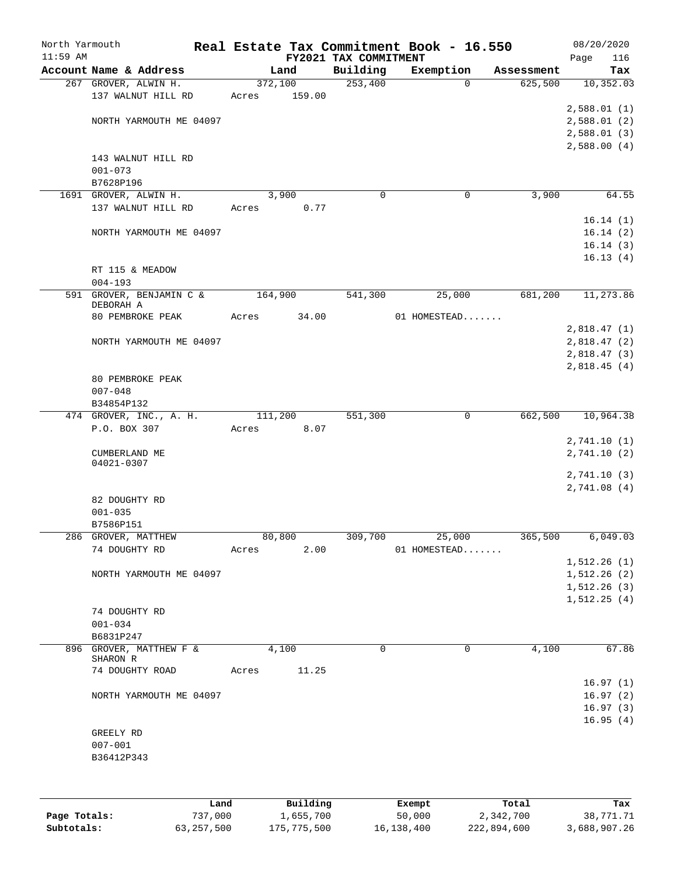| North Yarmouth |                                     |                 |                                   | Real Estate Tax Commitment Book - 16.550 |            | 08/20/2020                 |
|----------------|-------------------------------------|-----------------|-----------------------------------|------------------------------------------|------------|----------------------------|
| $11:59$ AM     | Account Name & Address              | Land            | FY2021 TAX COMMITMENT<br>Building | Exemption                                | Assessment | Page<br>116<br>Tax         |
|                | 267 GROVER, ALWIN H.                | 372,100         | 253,400                           | $\Omega$                                 | 625,500    | 10, 352.03                 |
|                | 137 WALNUT HILL RD                  | 159.00<br>Acres |                                   |                                          |            |                            |
|                |                                     |                 |                                   |                                          |            | 2,588.01(1)                |
|                | NORTH YARMOUTH ME 04097             |                 |                                   |                                          |            | 2,588.01(2)                |
|                |                                     |                 |                                   |                                          |            | 2,588.01(3)                |
|                |                                     |                 |                                   |                                          |            | 2,588.00(4)                |
|                | 143 WALNUT HILL RD<br>$001 - 073$   |                 |                                   |                                          |            |                            |
|                | B7628P196                           |                 |                                   |                                          |            |                            |
|                | 1691 GROVER, ALWIN H.               | 3,900           | $\Omega$                          | 0                                        | 3,900      | 64.55                      |
|                | 137 WALNUT HILL RD                  | Acres<br>0.77   |                                   |                                          |            |                            |
|                |                                     |                 |                                   |                                          |            | 16.14(1)                   |
|                | NORTH YARMOUTH ME 04097             |                 |                                   |                                          |            | 16.14(2)                   |
|                |                                     |                 |                                   |                                          |            | 16.14(3)                   |
|                |                                     |                 |                                   |                                          |            | 16.13(4)                   |
|                | RT 115 & MEADOW<br>$004 - 193$      |                 |                                   |                                          |            |                            |
|                | 591 GROVER, BENJAMIN C &            | 164,900         | 541,300                           | 25,000                                   | 681,200    | 11,273.86                  |
|                | DEBORAH A                           |                 |                                   |                                          |            |                            |
|                | 80 PEMBROKE PEAK                    | 34.00<br>Acres  |                                   | 01 HOMESTEAD                             |            |                            |
|                |                                     |                 |                                   |                                          |            | 2,818.47(1)                |
|                | NORTH YARMOUTH ME 04097             |                 |                                   |                                          |            | 2,818.47(2)                |
|                |                                     |                 |                                   |                                          |            | 2,818.47(3)<br>2,818.45(4) |
|                | 80 PEMBROKE PEAK                    |                 |                                   |                                          |            |                            |
|                | $007 - 048$                         |                 |                                   |                                          |            |                            |
|                | B34854P132                          |                 |                                   |                                          |            |                            |
|                | 474 GROVER, INC., A. H.             | 111,200         | 551,300                           | $\mathbf 0$                              | 662,500    | 10,964.38                  |
|                | P.O. BOX 307                        | 8.07<br>Acres   |                                   |                                          |            |                            |
|                |                                     |                 |                                   |                                          |            | 2,741.10(1)                |
|                | CUMBERLAND ME<br>04021-0307         |                 |                                   |                                          |            | 2,741.10(2)                |
|                |                                     |                 |                                   |                                          |            | 2,741.10(3)                |
|                |                                     |                 |                                   |                                          |            | 2,741.08(4)                |
|                | 82 DOUGHTY RD                       |                 |                                   |                                          |            |                            |
|                | $001 - 035$                         |                 |                                   |                                          |            |                            |
|                | B7586P151                           |                 |                                   |                                          |            |                            |
|                | 286 GROVER, MATTHEW                 | 80,800          |                                   | 309,700 25,000                           | 365,500    | 6,049.03                   |
|                | 74 DOUGHTY RD                       | 2.00<br>Acres   |                                   | 01 HOMESTEAD                             |            | 1, 512.26(1)               |
|                | NORTH YARMOUTH ME 04097             |                 |                                   |                                          |            | 1, 512.26(2)               |
|                |                                     |                 |                                   |                                          |            | 1, 512.26(3)               |
|                |                                     |                 |                                   |                                          |            | 1, 512.25(4)               |
|                | 74 DOUGHTY RD                       |                 |                                   |                                          |            |                            |
|                | $001 - 034$                         |                 |                                   |                                          |            |                            |
|                | B6831P247                           |                 |                                   |                                          |            |                            |
|                | 896 GROVER, MATTHEW F &<br>SHARON R | 4,100           | $\Omega$                          | $\Omega$                                 | 4,100      | 67.86                      |
|                | 74 DOUGHTY ROAD                     | Acres<br>11.25  |                                   |                                          |            |                            |
|                |                                     |                 |                                   |                                          |            | 16.97(1)                   |
|                | NORTH YARMOUTH ME 04097             |                 |                                   |                                          |            | 16.97(2)                   |
|                |                                     |                 |                                   |                                          |            | 16.97(3)                   |
|                |                                     |                 |                                   |                                          |            | 16.95(4)                   |
|                | GREELY RD                           |                 |                                   |                                          |            |                            |
|                | $007 - 001$<br>B36412P343           |                 |                                   |                                          |            |                            |
|                |                                     |                 |                                   |                                          |            |                            |
|                |                                     |                 |                                   |                                          |            |                            |
|                |                                     |                 |                                   |                                          |            |                            |
|                |                                     |                 |                                   |                                          |            |                            |

|              | Land       | Building    | Exempt     | Total       | Tax          |
|--------------|------------|-------------|------------|-------------|--------------|
| Page Totals: | 737,000    | 1,655,700   | 50,000     | 2,342,700   | 38,771.71    |
| Subtotals:   | 63,257,500 | 175,775,500 | 16,138,400 | 222,894,600 | 3,688,907.26 |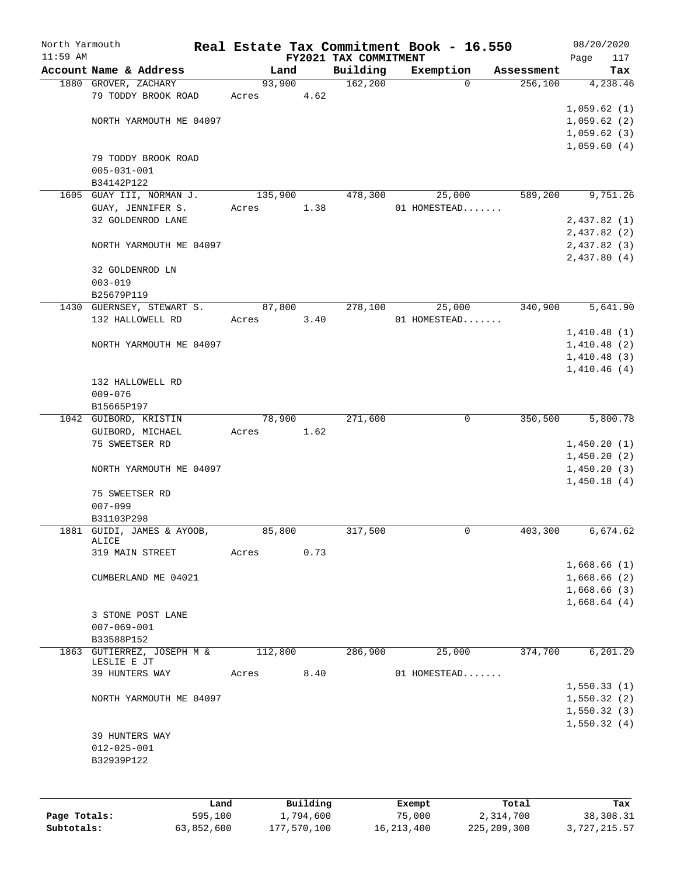| North Yarmouth |                                             |                 |          |                       | Real Estate Tax Commitment Book - 16.550 |                       | 08/20/2020                 |
|----------------|---------------------------------------------|-----------------|----------|-----------------------|------------------------------------------|-----------------------|----------------------------|
| $11:59$ AM     | Account Name & Address                      |                 |          | FY2021 TAX COMMITMENT |                                          |                       | Page<br>117                |
|                |                                             | Land            |          | Building              | Exemption<br>$\Omega$                    | Assessment<br>256,100 | Tax<br>4,238.46            |
|                | 1880 GROVER, ZACHARY<br>79 TODDY BROOK ROAD | 93,900<br>Acres | 4.62     | 162,200               |                                          |                       |                            |
|                |                                             |                 |          |                       |                                          |                       | 1,059.62(1)                |
|                | NORTH YARMOUTH ME 04097                     |                 |          |                       |                                          |                       | 1,059.62(2)                |
|                |                                             |                 |          |                       |                                          |                       | 1,059.62(3)                |
|                |                                             |                 |          |                       |                                          |                       | 1,059.60(4)                |
|                | 79 TODDY BROOK ROAD                         |                 |          |                       |                                          |                       |                            |
|                | $005 - 031 - 001$                           |                 |          |                       |                                          |                       |                            |
|                | B34142P122                                  |                 |          |                       |                                          |                       |                            |
|                | 1605 GUAY III, NORMAN J.                    | 135,900         |          | 478,300               | 25,000                                   | 589,200               | 9,751.26                   |
|                | GUAY, JENNIFER S.<br>32 GOLDENROD LANE      | Acres           | 1.38     |                       | 01 HOMESTEAD                             |                       | 2,437.82(1)                |
|                |                                             |                 |          |                       |                                          |                       | 2,437.82(2)                |
|                | NORTH YARMOUTH ME 04097                     |                 |          |                       |                                          |                       | 2,437.82(3)                |
|                |                                             |                 |          |                       |                                          |                       | 2,437.80(4)                |
|                | 32 GOLDENROD LN                             |                 |          |                       |                                          |                       |                            |
|                | $003 - 019$                                 |                 |          |                       |                                          |                       |                            |
|                | B25679P119                                  |                 |          |                       |                                          |                       |                            |
|                | 1430 GUERNSEY, STEWART S.                   | 87,800          |          | 278,100               | 25,000                                   | 340,900               | 5,641.90                   |
|                | 132 HALLOWELL RD                            | Acres           | 3.40     |                       | 01 HOMESTEAD                             |                       |                            |
|                |                                             |                 |          |                       |                                          |                       | 1,410.48(1)                |
|                | NORTH YARMOUTH ME 04097                     |                 |          |                       |                                          |                       | 1,410.48(2)<br>1,410.48(3) |
|                |                                             |                 |          |                       |                                          |                       | 1,410.46(4)                |
|                | 132 HALLOWELL RD                            |                 |          |                       |                                          |                       |                            |
|                | $009 - 076$                                 |                 |          |                       |                                          |                       |                            |
|                | B15665P197                                  |                 |          |                       |                                          |                       |                            |
|                | 1042 GUIBORD, KRISTIN                       | 78,900          |          | 271,600               | 0                                        | 350,500               | 5,800.78                   |
|                | GUIBORD, MICHAEL                            | Acres           | 1.62     |                       |                                          |                       |                            |
|                | 75 SWEETSER RD                              |                 |          |                       |                                          |                       | 1,450.20(1)                |
|                |                                             |                 |          |                       |                                          |                       | 1,450.20(2)<br>1,450.20(3) |
|                | NORTH YARMOUTH ME 04097                     |                 |          |                       |                                          |                       | 1,450.18(4)                |
|                | 75 SWEETSER RD                              |                 |          |                       |                                          |                       |                            |
|                | $007 - 099$                                 |                 |          |                       |                                          |                       |                            |
|                | B31103P298                                  |                 |          |                       |                                          |                       |                            |
|                | 1881 GUIDI, JAMES & AYOOB,                  | 85,800          |          | 317,500               | $\mathbf 0$                              | 403,300               | 6,674.62                   |
|                | ALICE                                       |                 |          |                       |                                          |                       |                            |
|                | 319 MAIN STREET                             | Acres           | 0.73     |                       |                                          |                       |                            |
|                | CUMBERLAND ME 04021                         |                 |          |                       |                                          |                       | 1,668.66(1)<br>1,668.66(2) |
|                |                                             |                 |          |                       |                                          |                       | 1,668.66(3)                |
|                |                                             |                 |          |                       |                                          |                       | 1,668.64(4)                |
|                | 3 STONE POST LANE                           |                 |          |                       |                                          |                       |                            |
|                | $007 - 069 - 001$                           |                 |          |                       |                                          |                       |                            |
|                | B33588P152                                  |                 |          |                       |                                          |                       |                            |
|                | 1863 GUTIERREZ, JOSEPH M &                  | 112,800         |          | 286,900               | 25,000                                   | 374,700               | 6, 201.29                  |
|                | LESLIE E JT<br>39 HUNTERS WAY               | Acres           | 8.40     |                       | 01 HOMESTEAD                             |                       |                            |
|                |                                             |                 |          |                       |                                          |                       | 1,550.33(1)                |
|                | NORTH YARMOUTH ME 04097                     |                 |          |                       |                                          |                       | 1,550.32(2)                |
|                |                                             |                 |          |                       |                                          |                       | 1,550.32(3)                |
|                |                                             |                 |          |                       |                                          |                       | 1,550.32(4)                |
|                | 39 HUNTERS WAY                              |                 |          |                       |                                          |                       |                            |
|                | $012 - 025 - 001$                           |                 |          |                       |                                          |                       |                            |
|                | B32939P122                                  |                 |          |                       |                                          |                       |                            |
|                |                                             |                 |          |                       |                                          |                       |                            |
|                |                                             |                 |          |                       |                                          |                       |                            |
|                | Land                                        |                 | Building |                       | Exempt                                   | Total                 | Tax                        |

|              | .          | <u>DULLULUM</u> | <b>BACINDO</b> | ----        | $-0.0$       |
|--------------|------------|-----------------|----------------|-------------|--------------|
| Page Totals: | 595,100    | 1,794,600       | 75,000         | 2,314,700   | 38,308.31    |
| Subtotals:   | 63,852,600 | 177,570,100     | 16,213,400     | 225,209,300 | 3,727,215.57 |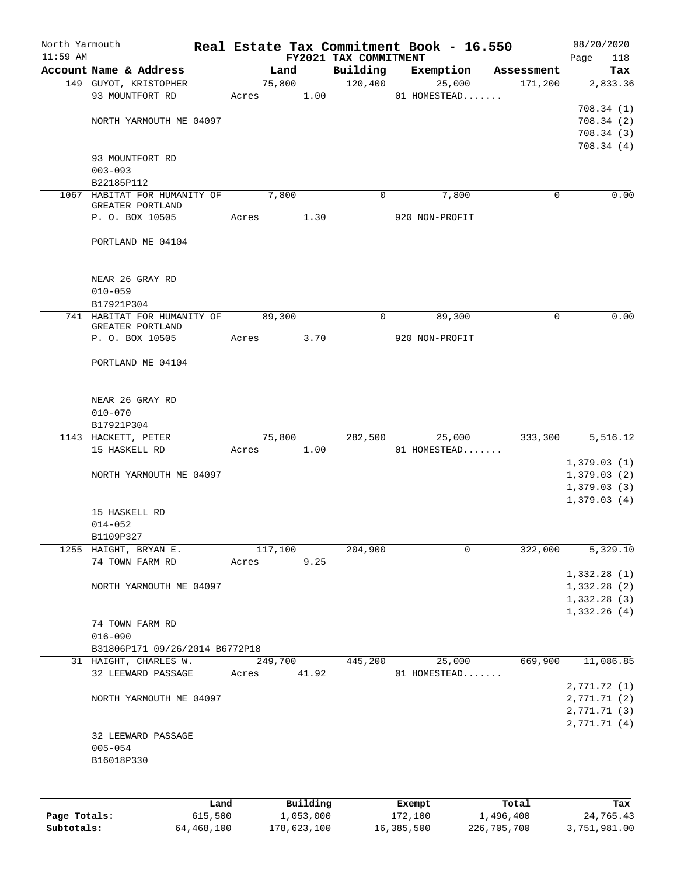| $11:59$ AM   |                                                 |         |                       | FY2021 TAX COMMITMENT | Real Estate Tax Commitment Book - 16.550 |                    | 118<br>Page                  |
|--------------|-------------------------------------------------|---------|-----------------------|-----------------------|------------------------------------------|--------------------|------------------------------|
|              | Account Name & Address                          |         | Land                  | Building              | Exemption                                | Assessment         | Tax                          |
|              | 149 GUYOT, KRISTOPHER                           |         | 75,800                | 120,400               | 25,000                                   | 171,200            | 2,833.36                     |
|              | 93 MOUNTFORT RD                                 | Acres   | 1.00                  |                       | 01 HOMESTEAD                             |                    |                              |
|              |                                                 |         |                       |                       |                                          |                    | 708.34(1)                    |
|              | NORTH YARMOUTH ME 04097                         |         |                       |                       |                                          |                    | 708.34(2)                    |
|              |                                                 |         |                       |                       |                                          |                    | 708.34(3)                    |
|              |                                                 |         |                       |                       |                                          |                    | 708.34(4)                    |
|              | 93 MOUNTFORT RD                                 |         |                       |                       |                                          |                    |                              |
|              | $003 - 093$                                     |         |                       |                       |                                          |                    |                              |
|              | B22185P112                                      |         |                       |                       |                                          |                    |                              |
|              | 1067 HABITAT FOR HUMANITY OF                    |         | 7,800                 | $\mathbf{0}$          | 7,800                                    | 0                  | 0.00                         |
|              | GREATER PORTLAND<br>P. O. BOX 10505             | Acres   | 1.30                  |                       | 920 NON-PROFIT                           |                    |                              |
|              |                                                 |         |                       |                       |                                          |                    |                              |
|              | PORTLAND ME 04104                               |         |                       |                       |                                          |                    |                              |
|              | NEAR 26 GRAY RD                                 |         |                       |                       |                                          |                    |                              |
|              | $010 - 059$                                     |         |                       |                       |                                          |                    |                              |
|              | B17921P304                                      |         |                       |                       |                                          |                    |                              |
|              | 741 HABITAT FOR HUMANITY OF<br>GREATER PORTLAND | 89,300  |                       | 0                     | 89,300                                   | 0                  | 0.00                         |
|              | P. O. BOX 10505                                 | Acres   | 3.70                  |                       | 920 NON-PROFIT                           |                    |                              |
|              | PORTLAND ME 04104                               |         |                       |                       |                                          |                    |                              |
|              | NEAR 26 GRAY RD                                 |         |                       |                       |                                          |                    |                              |
|              | $010 - 070$                                     |         |                       |                       |                                          |                    |                              |
|              | B17921P304                                      |         |                       |                       |                                          |                    |                              |
|              | 1143 HACKETT, PETER                             | 75,800  |                       | 282,500               | 25,000                                   | 333,300            | 5,516.12                     |
|              | 15 HASKELL RD                                   | Acres   | 1.00                  |                       | 01 HOMESTEAD                             |                    |                              |
|              |                                                 |         |                       |                       |                                          |                    | 1,379.03(1)                  |
|              | NORTH YARMOUTH ME 04097                         |         |                       |                       |                                          |                    | 1,379.03(2)                  |
|              |                                                 |         |                       |                       |                                          |                    | 1,379.03(3)<br>1,379.03(4)   |
|              | 15 HASKELL RD                                   |         |                       |                       |                                          |                    |                              |
|              | $014 - 052$                                     |         |                       |                       |                                          |                    |                              |
|              | B1109P327                                       |         |                       |                       |                                          |                    |                              |
|              | 1255 HAIGHT, BRYAN E.                           | 117,100 |                       | 204,900               | 0                                        | 322,000            | 5,329.10                     |
|              | 74 TOWN FARM RD                                 | Acres   | 9.25                  |                       |                                          |                    |                              |
|              |                                                 |         |                       |                       |                                          |                    | 1,332.28(1)                  |
|              | NORTH YARMOUTH ME 04097                         |         |                       |                       |                                          |                    | 1,332.28 (2)                 |
|              |                                                 |         |                       |                       |                                          |                    | 1,332.28 (3)                 |
|              |                                                 |         |                       |                       |                                          |                    | 1,332.26(4)                  |
|              | 74 TOWN FARM RD                                 |         |                       |                       |                                          |                    |                              |
|              | $016 - 090$                                     |         |                       |                       |                                          |                    |                              |
|              | B31806P171 09/26/2014 B6772P18                  |         |                       |                       |                                          |                    |                              |
|              | 31 HAIGHT, CHARLES W.                           | 249,700 |                       | 445,200               | 25,000                                   | 669,900            | 11,086.85                    |
|              | 32 LEEWARD PASSAGE                              | Acres   | 41.92                 |                       | 01 HOMESTEAD                             |                    |                              |
|              | NORTH YARMOUTH ME 04097                         |         |                       |                       |                                          |                    | 2,771.72 (1)<br>2,771.71 (2) |
|              |                                                 |         |                       |                       |                                          |                    | 2,771.71(3)                  |
|              |                                                 |         |                       |                       |                                          |                    | 2,771.71 (4)                 |
|              | 32 LEEWARD PASSAGE                              |         |                       |                       |                                          |                    |                              |
|              | $005 - 054$                                     |         |                       |                       |                                          |                    |                              |
|              | B16018P330                                      |         |                       |                       |                                          |                    |                              |
|              |                                                 |         |                       |                       |                                          |                    |                              |
|              |                                                 |         |                       |                       |                                          |                    |                              |
| Page Totals: | Land<br>615,500                                 |         | Building<br>1,053,000 |                       | Exempt<br>172,100                        | Total<br>1,496,400 | Tax<br>24,765.43             |
|              |                                                 |         |                       |                       |                                          |                    |                              |

**Subtotals:** 64,468,100 178,623,100 16,385,500 226,705,700 3,751,981.00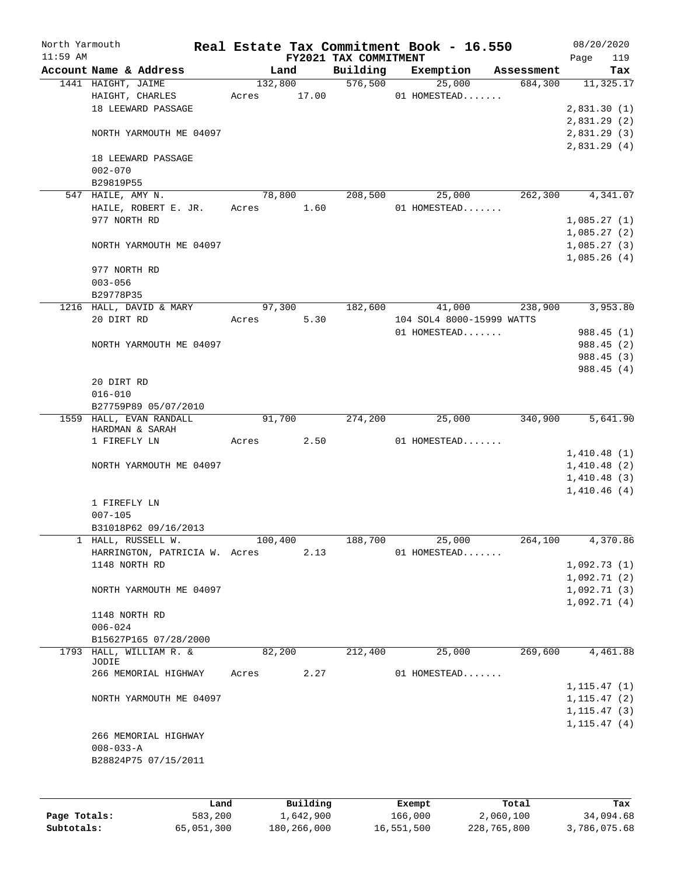| North Yarmouth |                               |                 |          |                       | Real Estate Tax Commitment Book - 16.550 |                       | 08/20/2020   |     |
|----------------|-------------------------------|-----------------|----------|-----------------------|------------------------------------------|-----------------------|--------------|-----|
| $11:59$ AM     | Account Name & Address        |                 |          | FY2021 TAX COMMITMENT |                                          |                       | Page         | 119 |
|                | 1441 HAIGHT, JAIME            | Land<br>132,800 |          | Building<br>576,500   | Exemption<br>25,000                      | Assessment<br>684,300 | 11,325.17    | Tax |
|                | HAIGHT, CHARLES               | Acres           | 17.00    |                       | 01 HOMESTEAD                             |                       |              |     |
|                | 18 LEEWARD PASSAGE            |                 |          |                       |                                          |                       | 2,831.30(1)  |     |
|                |                               |                 |          |                       |                                          |                       | 2,831.29(2)  |     |
|                | NORTH YARMOUTH ME 04097       |                 |          |                       |                                          |                       | 2,831.29 (3) |     |
|                |                               |                 |          |                       |                                          |                       | 2,831.29(4)  |     |
|                | 18 LEEWARD PASSAGE            |                 |          |                       |                                          |                       |              |     |
|                | $002 - 070$                   |                 |          |                       |                                          |                       |              |     |
|                | B29819P55                     |                 |          |                       |                                          |                       |              |     |
|                | 547 HAILE, AMY N.             | 78,800          |          | 208,500               | 25,000                                   | 262,300               | 4,341.07     |     |
|                | HAILE, ROBERT E. JR.          | Acres           | 1.60     |                       | 01 HOMESTEAD                             |                       |              |     |
|                | 977 NORTH RD                  |                 |          |                       |                                          |                       | 1,085.27(1)  |     |
|                |                               |                 |          |                       |                                          |                       | 1,085.27(2)  |     |
|                | NORTH YARMOUTH ME 04097       |                 |          |                       |                                          |                       | 1,085.27(3)  |     |
|                |                               |                 |          |                       |                                          |                       | 1,085.26(4)  |     |
|                | 977 NORTH RD                  |                 |          |                       |                                          |                       |              |     |
|                | $003 - 056$                   |                 |          |                       |                                          |                       |              |     |
|                | B29778P35                     |                 |          |                       |                                          |                       |              |     |
|                | 1216 HALL, DAVID & MARY       | 97,300          |          | 182,600               | 41,000                                   | 238,900               | 3,953.80     |     |
|                | 20 DIRT RD                    | Acres           | 5.30     |                       | 104 SOL4 8000-15999 WATTS                |                       |              |     |
|                |                               |                 |          |                       | 01 HOMESTEAD                             |                       | 988.45(1)    |     |
|                | NORTH YARMOUTH ME 04097       |                 |          |                       |                                          |                       | 988.45 (2)   |     |
|                |                               |                 |          |                       |                                          |                       | 988.45 (3)   |     |
|                | 20 DIRT RD                    |                 |          |                       |                                          |                       | 988.45(4)    |     |
|                | $016 - 010$                   |                 |          |                       |                                          |                       |              |     |
|                | B27759P89 05/07/2010          |                 |          |                       |                                          |                       |              |     |
|                | 1559 HALL, EVAN RANDALL       | 91,700          |          | 274,200               | 25,000                                   | 340,900               | 5,641.90     |     |
|                | HARDMAN & SARAH               |                 |          |                       |                                          |                       |              |     |
|                | 1 FIREFLY LN                  | Acres           | 2.50     |                       | 01 HOMESTEAD                             |                       |              |     |
|                |                               |                 |          |                       |                                          |                       | 1,410.48(1)  |     |
|                | NORTH YARMOUTH ME 04097       |                 |          |                       |                                          |                       | 1,410.48(2)  |     |
|                |                               |                 |          |                       |                                          |                       | 1,410.48(3)  |     |
|                |                               |                 |          |                       |                                          |                       | 1,410.46(4)  |     |
|                | 1 FIREFLY LN                  |                 |          |                       |                                          |                       |              |     |
|                | $007 - 105$                   |                 |          |                       |                                          |                       |              |     |
|                | B31018P62 09/16/2013          |                 |          |                       |                                          |                       |              |     |
|                | HALL, RUSSELL W.              | 100,400         |          | 188,700               | 25,000                                   | 264,100               | 4,370.86     |     |
|                | HARRINGTON, PATRICIA W. Acres |                 | 2.13     |                       | 01 HOMESTEAD                             |                       |              |     |
|                | 1148 NORTH RD                 |                 |          |                       |                                          |                       | 1,092.73(1)  |     |
|                |                               |                 |          |                       |                                          |                       | 1,092.71(2)  |     |
|                | NORTH YARMOUTH ME 04097       |                 |          |                       |                                          |                       | 1,092.71(3)  |     |
|                |                               |                 |          |                       |                                          |                       | 1,092.71(4)  |     |
|                | 1148 NORTH RD<br>$006 - 024$  |                 |          |                       |                                          |                       |              |     |
|                | B15627P165 07/28/2000         |                 |          |                       |                                          |                       |              |     |
|                | 1793 HALL, WILLIAM R. &       | 82,200          |          | 212,400               | 25,000                                   | 269,600               | 4,461.88     |     |
|                | <b>JODIE</b>                  |                 |          |                       |                                          |                       |              |     |
|                | 266 MEMORIAL HIGHWAY          | Acres           | 2.27     |                       | 01 HOMESTEAD                             |                       |              |     |
|                |                               |                 |          |                       |                                          |                       | 1, 115.47(1) |     |
|                | NORTH YARMOUTH ME 04097       |                 |          |                       |                                          |                       | 1, 115.47(2) |     |
|                |                               |                 |          |                       |                                          |                       | 1, 115.47(3) |     |
|                |                               |                 |          |                       |                                          |                       | 1, 115.47(4) |     |
|                | 266 MEMORIAL HIGHWAY          |                 |          |                       |                                          |                       |              |     |
|                | $008 - 033 - A$               |                 |          |                       |                                          |                       |              |     |
|                | B28824P75 07/15/2011          |                 |          |                       |                                          |                       |              |     |
|                |                               |                 |          |                       |                                          |                       |              |     |
|                |                               |                 |          |                       |                                          |                       |              |     |
|                | Land                          |                 | Building |                       | Exempt                                   | Total                 |              | Tax |

|              | Land       | Building    | Exempt     | Total       | Tax          |
|--------------|------------|-------------|------------|-------------|--------------|
| Page Totals: | 583,200    | 1,642,900   | 166,000    | 2,060,100   | 34,094.68    |
| Subtotals:   | 65,051,300 | 180,266,000 | 16,551,500 | 228,765,800 | 3,786,075.68 |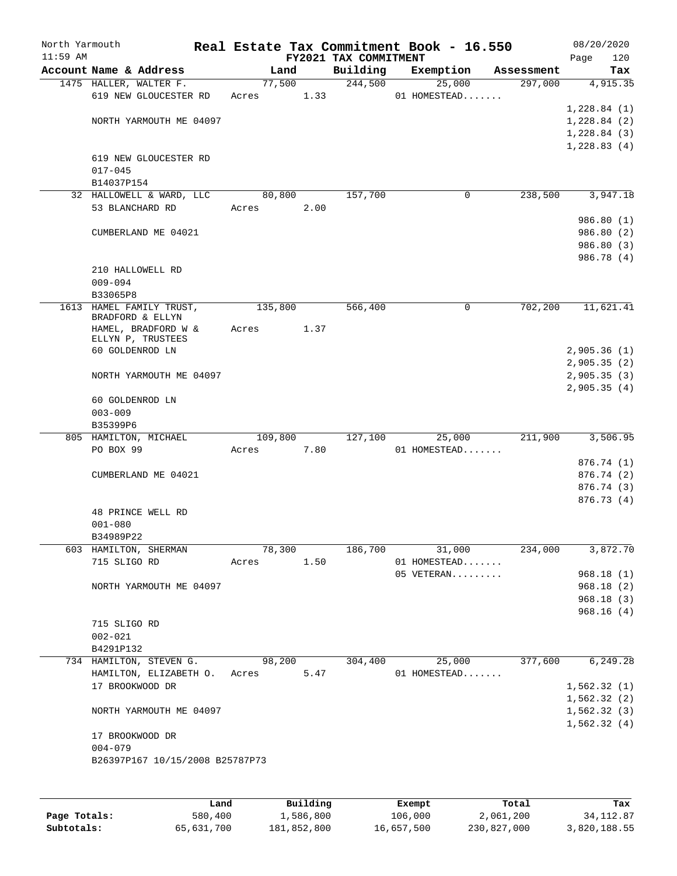| North Yarmouth<br>$11:59$ AM |                                                |         |      | FY2021 TAX COMMITMENT | Real Estate Tax Commitment Book - 16.550 |            | 08/20/2020<br>120<br>Page |
|------------------------------|------------------------------------------------|---------|------|-----------------------|------------------------------------------|------------|---------------------------|
|                              | Account Name & Address                         | Land    |      | Building              | Exemption                                | Assessment | Tax                       |
|                              | 1475 HALLER, WALTER F.                         | 77,500  |      | 244,500               | 25,000                                   | 297,000    | 4,915.35                  |
|                              | 619 NEW GLOUCESTER RD                          | Acres   | 1.33 |                       | 01 HOMESTEAD                             |            |                           |
|                              |                                                |         |      |                       |                                          |            | 1,228.84(1)               |
|                              | NORTH YARMOUTH ME 04097                        |         |      |                       |                                          |            | 1,228.84(2)               |
|                              |                                                |         |      |                       |                                          |            | 1,228.84(3)               |
|                              |                                                |         |      |                       |                                          |            | 1,228.83(4)               |
|                              | 619 NEW GLOUCESTER RD<br>$017 - 045$           |         |      |                       |                                          |            |                           |
|                              | B14037P154                                     |         |      |                       |                                          |            |                           |
|                              | 32 HALLOWELL & WARD, LLC                       | 80,800  |      | 157,700               | 0                                        | 238,500    | 3,947.18                  |
|                              | 53 BLANCHARD RD                                | Acres   | 2.00 |                       |                                          |            |                           |
|                              |                                                |         |      |                       |                                          |            | 986.80 (1)                |
|                              | CUMBERLAND ME 04021                            |         |      |                       |                                          |            | 986.80 (2)                |
|                              |                                                |         |      |                       |                                          |            | 986.80 (3)                |
|                              |                                                |         |      |                       |                                          |            | 986.78 (4)                |
|                              | 210 HALLOWELL RD                               |         |      |                       |                                          |            |                           |
|                              | $009 - 094$                                    |         |      |                       |                                          |            |                           |
|                              | B33065P8                                       |         |      |                       |                                          |            |                           |
|                              | 1613 HAMEL FAMILY TRUST,<br>BRADFORD & ELLYN   | 135,800 |      | 566,400               | 0                                        | 702,200    | 11,621.41                 |
|                              | HAMEL, BRADFORD W &                            | Acres   | 1.37 |                       |                                          |            |                           |
|                              | ELLYN P, TRUSTEES                              |         |      |                       |                                          |            |                           |
|                              | 60 GOLDENROD LN                                |         |      |                       |                                          |            | 2,905.36(1)               |
|                              |                                                |         |      |                       |                                          |            | 2,905.35(2)               |
|                              | NORTH YARMOUTH ME 04097                        |         |      |                       |                                          |            | 2,905.35(3)               |
|                              |                                                |         |      |                       |                                          |            | 2,905.35(4)               |
|                              | 60 GOLDENROD LN<br>$003 - 009$                 |         |      |                       |                                          |            |                           |
|                              | B35399P6                                       |         |      |                       |                                          |            |                           |
|                              | 805 HAMILTON, MICHAEL                          | 109,800 |      | 127,100               | 25,000                                   | 211,900    | 3,506.95                  |
|                              | PO BOX 99                                      | Acres   | 7.80 |                       | 01 HOMESTEAD                             |            |                           |
|                              |                                                |         |      |                       |                                          |            | 876.74 (1)                |
|                              | CUMBERLAND ME 04021                            |         |      |                       |                                          |            | 876.74 (2)                |
|                              |                                                |         |      |                       |                                          |            | 876.74 (3)                |
|                              |                                                |         |      |                       |                                          |            | 876.73 (4)                |
|                              | 48 PRINCE WELL RD                              |         |      |                       |                                          |            |                           |
|                              | $001 - 080$                                    |         |      |                       |                                          |            |                           |
|                              | B34989P22                                      |         |      |                       |                                          |            |                           |
|                              | 603 HAMILTON, SHERMAN                          | 78,300  |      | 186,700               | 31,000                                   | 234,000    | 3,872.70                  |
|                              | 715 SLIGO RD                                   | Acres   | 1.50 |                       | 01 HOMESTEAD<br>05 VETERAN               |            | 968.18(1)                 |
|                              | NORTH YARMOUTH ME 04097                        |         |      |                       |                                          |            | 968.18 (2)                |
|                              |                                                |         |      |                       |                                          |            | 968.18(3)                 |
|                              |                                                |         |      |                       |                                          |            | 968.16(4)                 |
|                              | 715 SLIGO RD                                   |         |      |                       |                                          |            |                           |
|                              | $002 - 021$                                    |         |      |                       |                                          |            |                           |
|                              | B4291P132                                      |         |      |                       |                                          |            |                           |
|                              | 734 HAMILTON, STEVEN G.                        | 98,200  |      | 304,400               | 25,000                                   | 377,600    | 6,249.28                  |
|                              | HAMILTON, ELIZABETH O.                         | Acres   | 5.47 |                       | 01 HOMESTEAD                             |            |                           |
|                              | 17 BROOKWOOD DR                                |         |      |                       |                                          |            | 1,562.32(1)               |
|                              |                                                |         |      |                       |                                          |            | 1,562.32(2)               |
|                              | NORTH YARMOUTH ME 04097                        |         |      |                       |                                          |            | 1,562.32(3)               |
|                              |                                                |         |      |                       |                                          |            | 1,562.32(4)               |
|                              | 17 BROOKWOOD DR                                |         |      |                       |                                          |            |                           |
|                              | $004 - 079$<br>B26397P167 10/15/2008 B25787P73 |         |      |                       |                                          |            |                           |
|                              |                                                |         |      |                       |                                          |            |                           |
|                              |                                                |         |      |                       |                                          |            |                           |
|                              |                                                |         |      |                       |                                          |            |                           |

|              | Land       | Building    | Exempt     | Total       | Tax          |
|--------------|------------|-------------|------------|-------------|--------------|
| Page Totals: | 580,400    | 1,586,800   | 106,000    | 2,061,200   | 34, 112, 87  |
| Subtotals:   | 65,631,700 | 181,852,800 | 16,657,500 | 230,827,000 | 3,820,188.55 |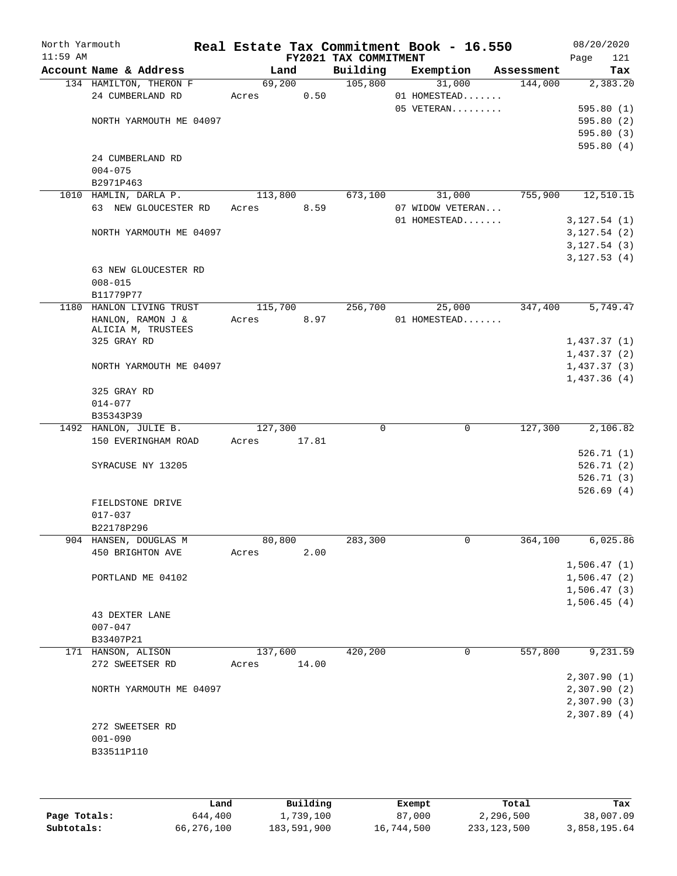| North Yarmouth<br>$11:59$ AM |                                              |         |       | FY2021 TAX COMMITMENT | Real Estate Tax Commitment Book - 16.550 |            | 08/20/2020<br>Page<br>121  |
|------------------------------|----------------------------------------------|---------|-------|-----------------------|------------------------------------------|------------|----------------------------|
|                              | Account Name & Address                       | Land    |       | Building              | Exemption                                | Assessment | Tax                        |
|                              | 134 HAMILTON, THERON F                       | 69,200  |       | 105,800               | 31,000                                   | 144,000    | 2,383.20                   |
|                              | 24 CUMBERLAND RD                             | Acres   | 0.50  |                       | 01 HOMESTEAD                             |            |                            |
|                              |                                              |         |       |                       | 05 VETERAN                               |            | 595.80(1)                  |
|                              | NORTH YARMOUTH ME 04097                      |         |       |                       |                                          |            | 595.80(2)                  |
|                              |                                              |         |       |                       |                                          |            | 595.80 (3)                 |
|                              |                                              |         |       |                       |                                          |            | 595.80(4)                  |
|                              | 24 CUMBERLAND RD                             |         |       |                       |                                          |            |                            |
|                              | $004 - 075$                                  |         |       |                       |                                          |            |                            |
|                              | B2971P463                                    |         |       |                       |                                          |            |                            |
|                              | 1010 HAMLIN, DARLA P.                        | 113,800 |       | 673,100               | 31,000                                   | 755,900    | 12,510.15                  |
|                              | 63 NEW GLOUCESTER RD                         | Acres   | 8.59  |                       | 07 WIDOW VETERAN                         |            |                            |
|                              |                                              |         |       |                       | 01 HOMESTEAD                             |            | 3,127.54(1)                |
|                              | NORTH YARMOUTH ME 04097                      |         |       |                       |                                          |            | 3,127.54(2)                |
|                              |                                              |         |       |                       |                                          |            | 3,127.54(3)<br>3,127.53(4) |
|                              | 63 NEW GLOUCESTER RD                         |         |       |                       |                                          |            |                            |
|                              | $008 - 015$                                  |         |       |                       |                                          |            |                            |
|                              | B11779P77                                    |         |       |                       |                                          |            |                            |
|                              | 1180 HANLON LIVING TRUST                     | 115,700 |       | 256,700               | 25,000                                   | 347,400    | 5,749.47                   |
|                              | HANLON, RAMON J &                            | Acres   | 8.97  |                       | 01 HOMESTEAD                             |            |                            |
|                              | ALICIA M, TRUSTEES                           |         |       |                       |                                          |            |                            |
|                              | 325 GRAY RD                                  |         |       |                       |                                          |            | 1,437.37(1)                |
|                              |                                              |         |       |                       |                                          |            | 1,437.37(2)                |
|                              | NORTH YARMOUTH ME 04097                      |         |       |                       |                                          |            | 1,437.37(3)                |
|                              |                                              |         |       |                       |                                          |            | 1,437.36(4)                |
|                              | 325 GRAY RD                                  |         |       |                       |                                          |            |                            |
|                              | $014 - 077$                                  |         |       |                       |                                          |            |                            |
|                              | B35343P39                                    |         |       |                       |                                          |            |                            |
|                              | 1492 HANLON, JULIE B.<br>150 EVERINGHAM ROAD | 127,300 |       | $\mathbf 0$           | 0                                        | 127,300    | 2,106.82                   |
|                              |                                              | Acres   | 17.81 |                       |                                          |            | 526.71(1)                  |
|                              | SYRACUSE NY 13205                            |         |       |                       |                                          |            | 526.71(2)                  |
|                              |                                              |         |       |                       |                                          |            | 526.71(3)                  |
|                              |                                              |         |       |                       |                                          |            | 526.69(4)                  |
|                              | FIELDSTONE DRIVE                             |         |       |                       |                                          |            |                            |
|                              | $017 - 037$                                  |         |       |                       |                                          |            |                            |
|                              | B22178P296                                   |         |       |                       |                                          |            |                            |
|                              | 904 HANSEN, DOUGLAS M                        | 80,800  |       | 283,300               | 0                                        | 364,100    | 6,025.86                   |
|                              | 450 BRIGHTON AVE                             | Acres   | 2.00  |                       |                                          |            |                            |
|                              |                                              |         |       |                       |                                          |            | 1,506.47(1)                |
|                              | PORTLAND ME 04102                            |         |       |                       |                                          |            | 1,506.47(2)                |
|                              |                                              |         |       |                       |                                          |            | 1,506.47(3)                |
|                              |                                              |         |       |                       |                                          |            | 1,506.45(4)                |
|                              | 43 DEXTER LANE                               |         |       |                       |                                          |            |                            |
|                              | $007 - 047$                                  |         |       |                       |                                          |            |                            |
|                              | B33407P21                                    |         |       |                       |                                          |            |                            |
|                              | 171 HANSON, ALISON                           | 137,600 |       | 420,200               | 0                                        | 557,800    | 9,231.59                   |
|                              | 272 SWEETSER RD                              | Acres   | 14.00 |                       |                                          |            |                            |
|                              |                                              |         |       |                       |                                          |            | 2,307.90(1)                |
|                              | NORTH YARMOUTH ME 04097                      |         |       |                       |                                          |            | 2,307.90(2)                |
|                              |                                              |         |       |                       |                                          |            | 2,307.90(3)                |
|                              |                                              |         |       |                       |                                          |            | 2,307.89(4)                |
|                              | 272 SWEETSER RD                              |         |       |                       |                                          |            |                            |
|                              | $001 - 090$                                  |         |       |                       |                                          |            |                            |
|                              | B33511P110                                   |         |       |                       |                                          |            |                            |
|                              |                                              |         |       |                       |                                          |            |                            |

|              | Land       | Building    | Exempt     | Total       | Tax          |
|--------------|------------|-------------|------------|-------------|--------------|
| Page Totals: | 644,400    | 1,739,100   | 87,000     | 2,296,500   | 38,007.09    |
| Subtotals:   | 66,276,100 | 183,591,900 | 16,744,500 | 233,123,500 | 3,858,195.64 |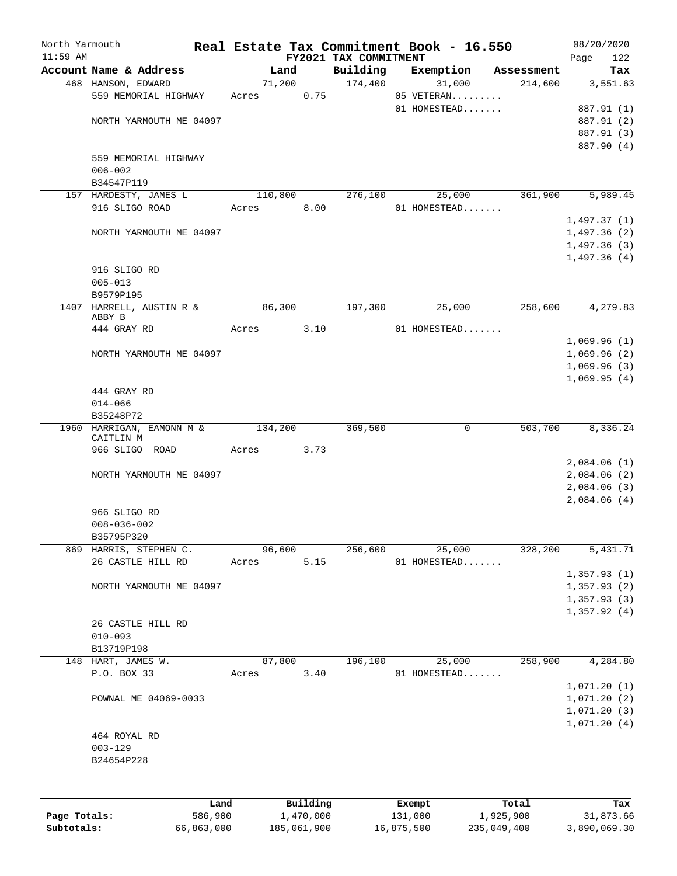| $11:59$ AM |                                        |         |          | FY2021 TAX COMMITMENT | Real Estate Tax Commitment Book - 16.550 |            | 122<br>Page |
|------------|----------------------------------------|---------|----------|-----------------------|------------------------------------------|------------|-------------|
|            | Account Name & Address                 | Land    |          | Building              | Exemption                                | Assessment | Tax         |
|            | 468 HANSON, EDWARD                     | 71,200  |          | 174,400               | 31,000                                   | 214,600    | 3,551.63    |
|            | 559 MEMORIAL HIGHWAY                   | Acres   | 0.75     |                       | 05 VETERAN                               |            |             |
|            |                                        |         |          |                       | 01 HOMESTEAD                             |            | 887.91 (1)  |
|            | NORTH YARMOUTH ME 04097                |         |          |                       |                                          |            | 887.91 (2)  |
|            |                                        |         |          |                       |                                          |            | 887.91 (3)  |
|            |                                        |         |          |                       |                                          |            | 887.90 (4)  |
|            | 559 MEMORIAL HIGHWAY                   |         |          |                       |                                          |            |             |
|            | $006 - 002$                            |         |          |                       |                                          |            |             |
|            | B34547P119                             |         |          |                       |                                          |            |             |
|            | 157 HARDESTY, JAMES L                  | 110,800 |          | 276,100               | 25,000                                   | 361,900    | 5,989.45    |
|            | 916 SLIGO ROAD                         | Acres   | 8.00     |                       | 01 HOMESTEAD                             |            |             |
|            |                                        |         |          |                       |                                          |            | 1,497.37(1) |
|            | NORTH YARMOUTH ME 04097                |         |          |                       |                                          |            | 1,497.36(2) |
|            |                                        |         |          |                       |                                          |            | 1,497.36(3) |
|            |                                        |         |          |                       |                                          |            | 1,497.36(4) |
|            | 916 SLIGO RD                           |         |          |                       |                                          |            |             |
|            | $005 - 013$                            |         |          |                       |                                          |            |             |
|            | B9579P195                              |         |          |                       |                                          |            |             |
| 1407       | HARRELL, AUSTIN R &                    | 86,300  |          | 197,300               | 25,000                                   | 258,600    | 4,279.83    |
|            | ABBY B                                 |         |          |                       |                                          |            |             |
|            | 444 GRAY RD                            | Acres   | 3.10     |                       | 01 HOMESTEAD                             |            |             |
|            |                                        |         |          |                       |                                          |            | 1,069.96(1) |
|            | NORTH YARMOUTH ME 04097                |         |          |                       |                                          |            | 1,069.96(2) |
|            |                                        |         |          |                       |                                          |            | 1,069.96(3) |
|            |                                        |         |          |                       |                                          |            | 1,069.95(4) |
|            | 444 GRAY RD                            |         |          |                       |                                          |            |             |
|            | $014 - 066$                            |         |          |                       |                                          |            |             |
|            | B35248P72                              |         |          |                       |                                          |            |             |
|            | 1960 HARRIGAN, EAMONN M &<br>CAITLIN M | 134,200 |          | 369,500               | 0                                        | 503,700    | 8,336.24    |
|            | 966 SLIGO ROAD                         | Acres   | 3.73     |                       |                                          |            |             |
|            |                                        |         |          |                       |                                          |            | 2,084.06(1) |
|            | NORTH YARMOUTH ME 04097                |         |          |                       |                                          |            | 2,084.06(2) |
|            |                                        |         |          |                       |                                          |            | 2,084.06(3) |
|            |                                        |         |          |                       |                                          |            | 2,084.06(4) |
|            | 966 SLIGO RD                           |         |          |                       |                                          |            |             |
|            | $008 - 036 - 002$                      |         |          |                       |                                          |            |             |
|            | B35795P320                             |         |          |                       |                                          |            |             |
| 869        | HARRIS, STEPHEN C.                     | 96,600  |          | 256,600               | 25,000                                   | 328,200    | 5,431.71    |
|            | 26 CASTLE HILL RD                      | Acres   | 5.15     |                       | 01 HOMESTEAD                             |            |             |
|            |                                        |         |          |                       |                                          |            | 1,357.93(1) |
|            | NORTH YARMOUTH ME 04097                |         |          |                       |                                          |            | 1,357.93(2) |
|            |                                        |         |          |                       |                                          |            | 1,357.93(3) |
|            |                                        |         |          |                       |                                          |            | 1,357.92(4) |
|            | 26 CASTLE HILL RD                      |         |          |                       |                                          |            |             |
|            | $010 - 093$                            |         |          |                       |                                          |            |             |
|            | B13719P198                             |         |          |                       |                                          |            |             |
|            | 148 HART, JAMES W.                     | 87,800  |          | 196,100               | 25,000                                   | 258,900    | 4,284.80    |
|            | P.O. BOX 33                            | Acres   | 3.40     |                       | 01 HOMESTEAD                             |            |             |
|            |                                        |         |          |                       |                                          |            | 1,071.20(1) |
|            | POWNAL ME 04069-0033                   |         |          |                       |                                          |            | 1,071.20(2) |
|            |                                        |         |          |                       |                                          |            | 1,071.20(3) |
|            |                                        |         |          |                       |                                          |            | 1,071.20(4) |
|            | 464 ROYAL RD                           |         |          |                       |                                          |            |             |
|            | $003 - 129$                            |         |          |                       |                                          |            |             |
|            | B24654P228                             |         |          |                       |                                          |            |             |
|            |                                        |         |          |                       |                                          |            |             |
|            |                                        |         |          |                       |                                          |            |             |
|            |                                        |         |          |                       |                                          |            |             |
|            | Land                                   |         | Building |                       | Exempt                                   | Total      | Tax         |

**Subtotals:** 66,863,000 185,061,900 16,875,500 235,049,400 3,890,069.30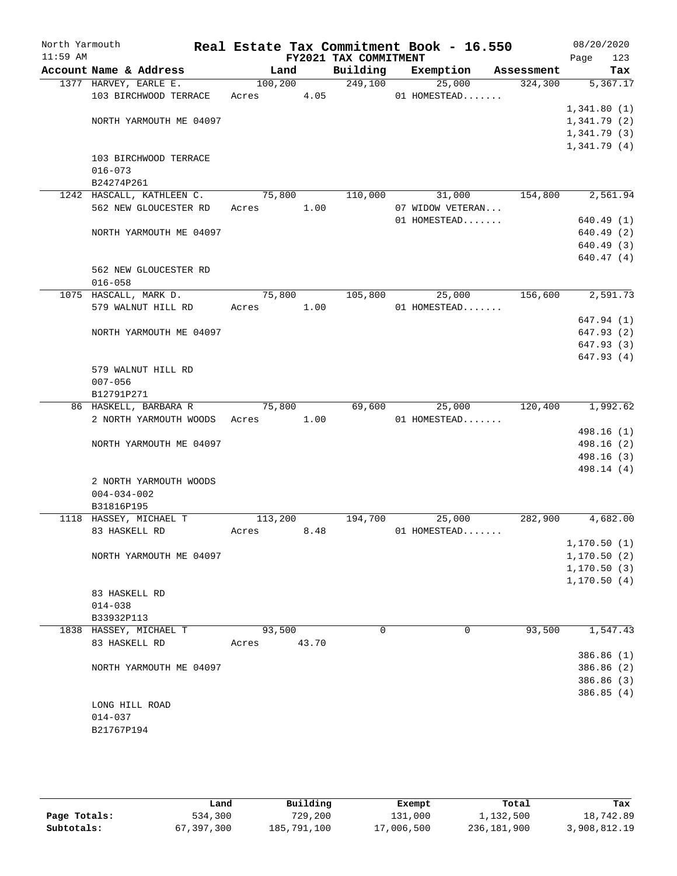| North Yarmouth<br>$11:59$ AM |                              |            |          | FY2021 TAX COMMITMENT | Real Estate Tax Commitment Book - 16.550 |                | 08/20/2020<br>Page<br>123 |
|------------------------------|------------------------------|------------|----------|-----------------------|------------------------------------------|----------------|---------------------------|
|                              | Account Name & Address       | Land       |          | Building              | Exemption                                | Assessment     | Tax                       |
|                              | 1377 HARVEY, EARLE E.        |            | 100, 200 | 249,100               | 25,000                                   | 324, 300       | 5,367.17                  |
|                              | 103 BIRCHWOOD TERRACE        | Acres 4.05 |          |                       | 01 HOMESTEAD                             |                |                           |
|                              |                              |            |          |                       |                                          |                | 1,341.80(1)               |
|                              | NORTH YARMOUTH ME 04097      |            |          |                       |                                          |                | 1,341.79(2)               |
|                              |                              |            |          |                       |                                          |                | 1,341.79(3)               |
|                              |                              |            |          |                       |                                          |                | 1,341.79(4)               |
|                              | 103 BIRCHWOOD TERRACE        |            |          |                       |                                          |                |                           |
|                              | $016 - 073$                  |            |          |                       |                                          |                |                           |
|                              | B24274P261                   |            |          |                       |                                          |                |                           |
|                              | 1242 HASCALL, KATHLEEN C.    | 75,800     |          | 110,000               |                                          | 31,000 154,800 | 2,561.94                  |
|                              | 562 NEW GLOUCESTER RD        | Acres      | 1.00     |                       | 07 WIDOW VETERAN                         |                |                           |
|                              |                              |            |          |                       | 01 HOMESTEAD                             |                | 640.49(1)                 |
|                              | NORTH YARMOUTH ME 04097      |            |          |                       |                                          |                | 640.49 (2)                |
|                              |                              |            |          |                       |                                          |                | 640.49 (3)                |
|                              |                              |            |          |                       |                                          |                | 640.47(4)                 |
|                              | 562 NEW GLOUCESTER RD        |            |          |                       |                                          |                |                           |
|                              | $016 - 058$                  |            |          |                       |                                          |                |                           |
|                              | 1075 HASCALL, MARK D.        | 75,800     |          | 105,800               | 25,000                                   | 156,600        | 2,591.73                  |
|                              | 579 WALNUT HILL RD           | Acres 1.00 |          |                       | 01 HOMESTEAD                             |                |                           |
|                              |                              |            |          |                       |                                          |                | 647.94 (1)                |
|                              | NORTH YARMOUTH ME 04097      |            |          |                       |                                          |                | 647.93 (2)                |
|                              |                              |            |          |                       |                                          |                | 647.93 (3)                |
|                              |                              |            |          |                       |                                          |                | 647.93 (4)                |
|                              | 579 WALNUT HILL RD           |            |          |                       |                                          |                |                           |
|                              | $007 - 056$                  |            |          |                       |                                          |                |                           |
|                              | B12791P271                   |            |          |                       |                                          |                |                           |
|                              | 86 HASKELL, BARBARA R        | 75,800     |          | 69,600                | 25,000                                   | 120,400        | 1,992.62                  |
|                              | 2 NORTH YARMOUTH WOODS Acres |            | 1.00     |                       | 01 HOMESTEAD                             |                |                           |
|                              |                              |            |          |                       |                                          |                | 498.16 (1)                |
|                              | NORTH YARMOUTH ME 04097      |            |          |                       |                                          |                | 498.16 (2)                |
|                              |                              |            |          |                       |                                          |                | 498.16 (3)                |
|                              |                              |            |          |                       |                                          |                | 498.14 (4)                |
|                              | 2 NORTH YARMOUTH WOODS       |            |          |                       |                                          |                |                           |
|                              | $004 - 034 - 002$            |            |          |                       |                                          |                |                           |
|                              | B31816P195                   |            |          |                       |                                          |                |                           |
|                              | 1118 HASSEY, MICHAEL T       | 113,200    |          | 194,700               | 25,000                                   | 282,900        | 4,682.00                  |
|                              | 83 HASKELL RD                | Acres      | 8.48     |                       | 01 HOMESTEAD                             |                |                           |
|                              |                              |            |          |                       |                                          |                | 1, 170.50(1)              |
|                              | NORTH YARMOUTH ME 04097      |            |          |                       |                                          |                | 1, 170.50(2)              |
|                              |                              |            |          |                       |                                          |                | 1, 170.50(3)              |
|                              |                              |            |          |                       |                                          |                | 1, 170.50(4)              |
|                              | 83 HASKELL RD                |            |          |                       |                                          |                |                           |
|                              | $014 - 038$                  |            |          |                       |                                          |                |                           |
|                              | B33932P113                   |            |          |                       |                                          |                |                           |
|                              | 1838 HASSEY, MICHAEL T       | 93,500     |          | 0                     | 0                                        | 93,500         | 1,547.43                  |
|                              | 83 HASKELL RD                | Acres      | 43.70    |                       |                                          |                |                           |
|                              |                              |            |          |                       |                                          |                | 386.86 (1)                |
|                              | NORTH YARMOUTH ME 04097      |            |          |                       |                                          |                | 386.86 (2)                |
|                              |                              |            |          |                       |                                          |                | 386.86 (3)                |
|                              |                              |            |          |                       |                                          |                | 386.85(4)                 |
|                              | LONG HILL ROAD               |            |          |                       |                                          |                |                           |
|                              | $014 - 037$                  |            |          |                       |                                          |                |                           |
|                              | B21767P194                   |            |          |                       |                                          |                |                           |
|                              |                              |            |          |                       |                                          |                |                           |

|              | Land       | Building    | Exempt     | Total       | Tax          |
|--------------|------------|-------------|------------|-------------|--------------|
| Page Totals: | 534,300    | 729,200     | 131,000    | 1,132,500   | 18,742.89    |
| Subtotals:   | 67,397,300 | 185,791,100 | 17,006,500 | 236,181,900 | 3,908,812.19 |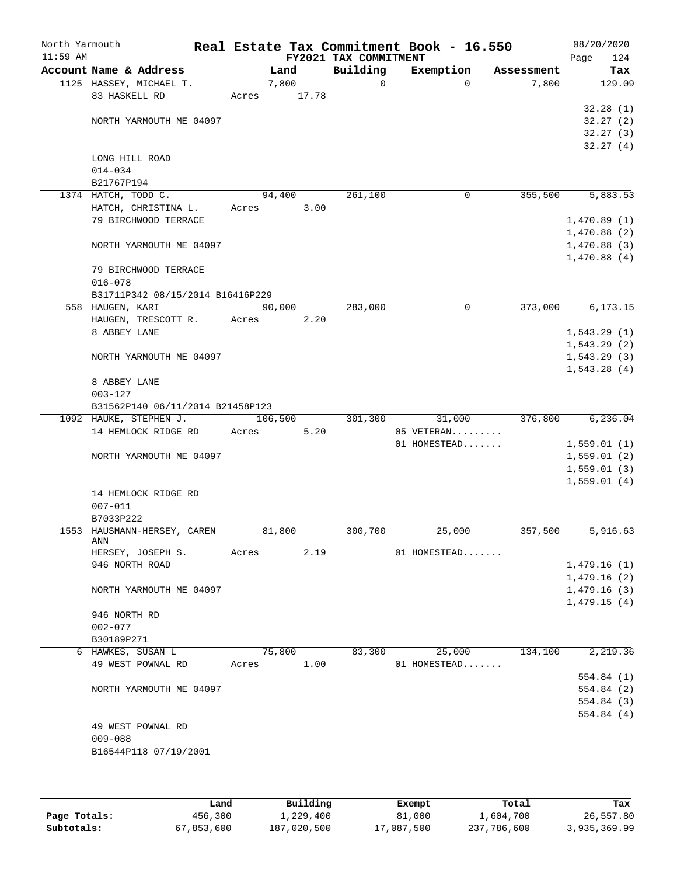| North Yarmouth<br>$11:59$ AM |                                  |       |         | FY2021 TAX COMMITMENT | Real Estate Tax Commitment Book - 16.550 |            | 08/20/2020<br>124<br>Page |
|------------------------------|----------------------------------|-------|---------|-----------------------|------------------------------------------|------------|---------------------------|
|                              | Account Name & Address           |       | Land    | Building              | Exemption                                | Assessment | Tax                       |
|                              | 1125 HASSEY, MICHAEL T.          |       | 7,800   | 0                     | $\Omega$                                 | 7,800      | 129.09                    |
|                              | 83 HASKELL RD                    | Acres | 17.78   |                       |                                          |            |                           |
|                              |                                  |       |         |                       |                                          |            | 32.28(1)                  |
|                              | NORTH YARMOUTH ME 04097          |       |         |                       |                                          |            | 32.27(2)                  |
|                              |                                  |       |         |                       |                                          |            | 32.27(3)                  |
|                              |                                  |       |         |                       |                                          |            | 32.27(4)                  |
|                              | LONG HILL ROAD                   |       |         |                       |                                          |            |                           |
|                              | $014 - 034$                      |       |         |                       |                                          |            |                           |
|                              | B21767P194                       |       |         |                       |                                          |            |                           |
|                              | 1374 HATCH, TODD C.              |       | 94,400  | 261,100               | 0                                        | 355,500    | 5,883.53                  |
|                              | HATCH, CHRISTINA L.              | Acres | 3.00    |                       |                                          |            |                           |
|                              | 79 BIRCHWOOD TERRACE             |       |         |                       |                                          |            | 1,470.89(1)               |
|                              |                                  |       |         |                       |                                          |            | 1,470.88(2)               |
|                              | NORTH YARMOUTH ME 04097          |       |         |                       |                                          |            | 1,470.88(3)               |
|                              |                                  |       |         |                       |                                          |            | 1,470.88(4)               |
|                              | 79 BIRCHWOOD TERRACE             |       |         |                       |                                          |            |                           |
|                              | $016 - 078$                      |       |         |                       |                                          |            |                           |
|                              | B31711P342 08/15/2014 B16416P229 |       |         |                       |                                          |            |                           |
|                              | 558 HAUGEN, KARI                 |       | 90,000  | 283,000               | 0                                        | 373,000    | 6, 173.15                 |
|                              | HAUGEN, TRESCOTT R.              | Acres | 2.20    |                       |                                          |            |                           |
|                              | 8 ABBEY LANE                     |       |         |                       |                                          |            | 1,543.29(1)               |
|                              |                                  |       |         |                       |                                          |            | 1,543.29(2)               |
|                              | NORTH YARMOUTH ME 04097          |       |         |                       |                                          |            | 1,543.29(3)               |
|                              |                                  |       |         |                       |                                          |            | 1,543.28(4)               |
|                              | 8 ABBEY LANE                     |       |         |                       |                                          |            |                           |
|                              | $003 - 127$                      |       |         |                       |                                          |            |                           |
|                              | B31562P140 06/11/2014 B21458P123 |       |         |                       |                                          |            |                           |
|                              | 1092 HAUKE, STEPHEN J.           |       | 106,500 | 301,300               | 31,000                                   | 376,800    | 6, 236.04                 |
|                              | 14 HEMLOCK RIDGE RD              | Acres | 5.20    |                       | 05 VETERAN                               |            |                           |
|                              |                                  |       |         |                       | 01 HOMESTEAD                             |            | 1,559.01(1)               |
|                              | NORTH YARMOUTH ME 04097          |       |         |                       |                                          |            | 1,559.01(2)               |
|                              |                                  |       |         |                       |                                          |            | 1,559.01(3)               |
|                              |                                  |       |         |                       |                                          |            | 1,559.01(4)               |
|                              | 14 HEMLOCK RIDGE RD              |       |         |                       |                                          |            |                           |
|                              | $007 - 011$                      |       |         |                       |                                          |            |                           |
|                              | B7033P222                        |       |         |                       |                                          |            |                           |
|                              | 1553 HAUSMANN-HERSEY, CAREN      |       | 81,800  | 300,700               | 25,000                                   | 357,500    | 5,916.63                  |
|                              | ANN                              |       |         |                       |                                          |            |                           |
|                              | HERSEY, JOSEPH S.                | Acres | 2.19    |                       | 01 HOMESTEAD                             |            |                           |
|                              | 946 NORTH ROAD                   |       |         |                       |                                          |            | 1,479.16(1)               |
|                              |                                  |       |         |                       |                                          |            | 1,479.16(2)               |
|                              | NORTH YARMOUTH ME 04097          |       |         |                       |                                          |            | 1,479.16(3)               |
|                              |                                  |       |         |                       |                                          |            | 1,479.15(4)               |
|                              | 946 NORTH RD                     |       |         |                       |                                          |            |                           |
|                              | $002 - 077$                      |       |         |                       |                                          |            |                           |
|                              | B30189P271                       |       |         |                       |                                          |            |                           |
|                              | 6 HAWKES, SUSAN L                |       | 75,800  | 83,300                | 25,000                                   | 134,100    | 2,219.36                  |
|                              | 49 WEST POWNAL RD                | Acres | 1.00    |                       | 01 HOMESTEAD                             |            |                           |
|                              |                                  |       |         |                       |                                          |            | 554.84 (1)                |
|                              | NORTH YARMOUTH ME 04097          |       |         |                       |                                          |            | 554.84 (2)                |
|                              |                                  |       |         |                       |                                          |            | 554.84 (3)                |
|                              |                                  |       |         |                       |                                          |            | 554.84 (4)                |
|                              | 49 WEST POWNAL RD                |       |         |                       |                                          |            |                           |
|                              | $009 - 088$                      |       |         |                       |                                          |            |                           |
|                              | B16544P118 07/19/2001            |       |         |                       |                                          |            |                           |
|                              |                                  |       |         |                       |                                          |            |                           |
|                              |                                  |       |         |                       |                                          |            |                           |

|              | Land       | Building    | Exempt     | Total       | Tax          |
|--------------|------------|-------------|------------|-------------|--------------|
| Page Totals: | 456,300    | 1,229,400   | 81,000     | 1,604,700   | 26,557.80    |
| Subtotals:   | 67,853,600 | 187,020,500 | 17,087,500 | 237,786,600 | 3,935,369.99 |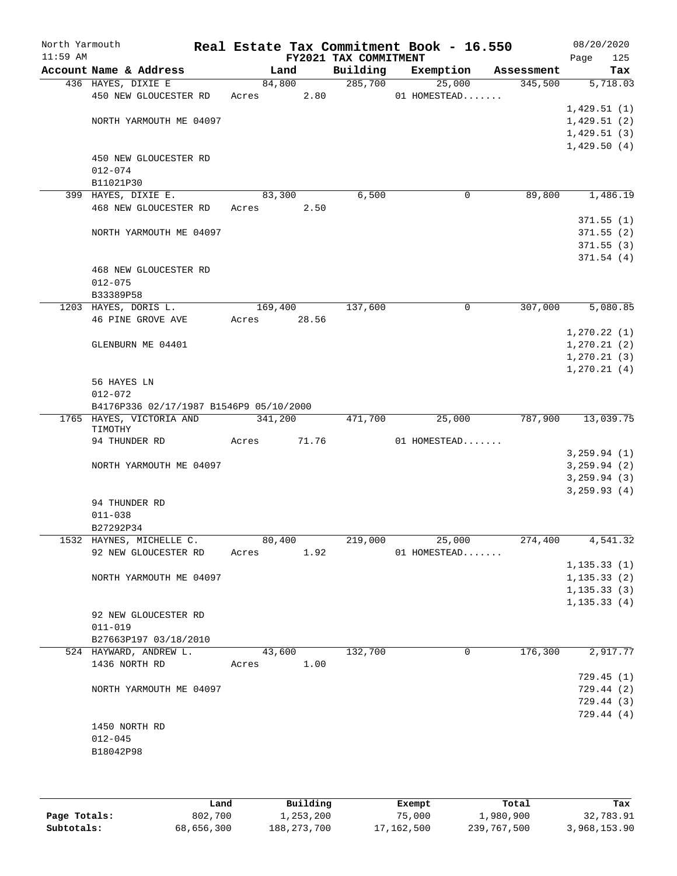| North Yarmouth<br>$11:59$ AM |                                         |       |         | FY2021 TAX COMMITMENT | Real Estate Tax Commitment Book - 16.550 |            | 08/20/2020<br>125<br>Page |
|------------------------------|-----------------------------------------|-------|---------|-----------------------|------------------------------------------|------------|---------------------------|
|                              | Account Name & Address                  |       | Land    | Building              | Exemption                                | Assessment | Tax                       |
|                              | 436 HAYES, DIXIE E                      |       | 84,800  | 285,700               | 25,000                                   | 345,500    | 5,718.03                  |
|                              | 450 NEW GLOUCESTER RD                   | Acres | 2.80    |                       | 01 HOMESTEAD                             |            |                           |
|                              |                                         |       |         |                       |                                          |            | 1,429.51(1)               |
|                              | NORTH YARMOUTH ME 04097                 |       |         |                       |                                          |            | 1,429.51(2)               |
|                              |                                         |       |         |                       |                                          |            | 1,429.51(3)               |
|                              |                                         |       |         |                       |                                          |            | 1,429.50(4)               |
|                              | 450 NEW GLOUCESTER RD                   |       |         |                       |                                          |            |                           |
|                              | $012 - 074$                             |       |         |                       |                                          |            |                           |
|                              | B11021P30                               |       |         |                       |                                          |            |                           |
|                              | 399 HAYES, DIXIE E.                     |       | 83,300  | 6,500                 | 0                                        | 89,800     | 1,486.19                  |
|                              | 468 NEW GLOUCESTER RD                   | Acres | 2.50    |                       |                                          |            |                           |
|                              |                                         |       |         |                       |                                          |            | 371.55(1)                 |
|                              | NORTH YARMOUTH ME 04097                 |       |         |                       |                                          |            | 371.55(2)                 |
|                              |                                         |       |         |                       |                                          |            |                           |
|                              |                                         |       |         |                       |                                          |            | 371.55(3)                 |
|                              |                                         |       |         |                       |                                          |            | 371.54(4)                 |
|                              | 468 NEW GLOUCESTER RD                   |       |         |                       |                                          |            |                           |
|                              | $012 - 075$                             |       |         |                       |                                          |            |                           |
|                              | B33389P58                               |       |         |                       |                                          |            |                           |
|                              | 1203 HAYES, DORIS L.                    |       | 169,400 | 137,600               | $\mathsf{O}$                             | 307,000    | 5,080.85                  |
|                              | 46 PINE GROVE AVE                       | Acres | 28.56   |                       |                                          |            |                           |
|                              |                                         |       |         |                       |                                          |            | 1, 270.22(1)              |
|                              | GLENBURN ME 04401                       |       |         |                       |                                          |            | 1, 270.21(2)              |
|                              |                                         |       |         |                       |                                          |            | 1, 270.21(3)              |
|                              |                                         |       |         |                       |                                          |            | 1, 270.21(4)              |
|                              | 56 HAYES LN                             |       |         |                       |                                          |            |                           |
|                              | $012 - 072$                             |       |         |                       |                                          |            |                           |
|                              | B4176P336 02/17/1987 B1546P9 05/10/2000 |       |         |                       |                                          |            |                           |
|                              | 1765 HAYES, VICTORIA AND                |       | 341,200 | 471,700               | 25,000                                   | 787,900    | 13,039.75                 |
|                              | TIMOTHY                                 |       |         |                       |                                          |            |                           |
|                              | 94 THUNDER RD                           | Acres | 71.76   |                       | 01 HOMESTEAD                             |            |                           |
|                              |                                         |       |         |                       |                                          |            | 3, 259.94 (1)             |
|                              | NORTH YARMOUTH ME 04097                 |       |         |                       |                                          |            | 3, 259.94 (2)             |
|                              |                                         |       |         |                       |                                          |            | 3, 259.94 (3)             |
|                              |                                         |       |         |                       |                                          |            | 3, 259.93(4)              |
|                              | 94 THUNDER RD                           |       |         |                       |                                          |            |                           |
|                              | $011 - 038$                             |       |         |                       |                                          |            |                           |
|                              | B27292P34                               |       |         |                       |                                          |            |                           |
|                              | 1532 HAYNES, MICHELLE C.                |       | 80,400  | 219,000               | 25,000                                   | 274,400    | 4,541.32                  |
|                              | 92 NEW GLOUCESTER RD                    | Acres | 1.92    |                       | 01 HOMESTEAD                             |            |                           |
|                              |                                         |       |         |                       |                                          |            | 1, 135.33(1)              |
|                              | NORTH YARMOUTH ME 04097                 |       |         |                       |                                          |            | 1, 135.33(2)              |
|                              |                                         |       |         |                       |                                          |            | 1, 135.33(3)              |
|                              |                                         |       |         |                       |                                          |            | 1, 135.33(4)              |
|                              | 92 NEW GLOUCESTER RD                    |       |         |                       |                                          |            |                           |
|                              | $011 - 019$                             |       |         |                       |                                          |            |                           |
|                              | B27663P197 03/18/2010                   |       |         |                       |                                          |            |                           |
|                              |                                         |       |         |                       |                                          | 176,300    |                           |
|                              | 524 HAYWARD, ANDREW L.                  |       | 43,600  | 132,700               | 0                                        |            | 2,917.77                  |
|                              | 1436 NORTH RD                           | Acres | 1.00    |                       |                                          |            |                           |
|                              |                                         |       |         |                       |                                          |            | 729.45(1)                 |
|                              | NORTH YARMOUTH ME 04097                 |       |         |                       |                                          |            | 729.44 (2)                |
|                              |                                         |       |         |                       |                                          |            | 729.44 (3)                |
|                              |                                         |       |         |                       |                                          |            | 729.44 (4)                |
|                              | 1450 NORTH RD                           |       |         |                       |                                          |            |                           |
|                              | $012 - 045$                             |       |         |                       |                                          |            |                           |
|                              | B18042P98                               |       |         |                       |                                          |            |                           |
|                              |                                         |       |         |                       |                                          |            |                           |
|                              |                                         |       |         |                       |                                          |            |                           |

|              | Land       | Building      | Exempt     | Total       | Tax          |
|--------------|------------|---------------|------------|-------------|--------------|
| Page Totals: | 802,700    | 1,253,200     | 75,000     | 1,980,900   | 32,783.91    |
| Subtotals:   | 68,656,300 | 188, 273, 700 | 17,162,500 | 239,767,500 | 3,968,153.90 |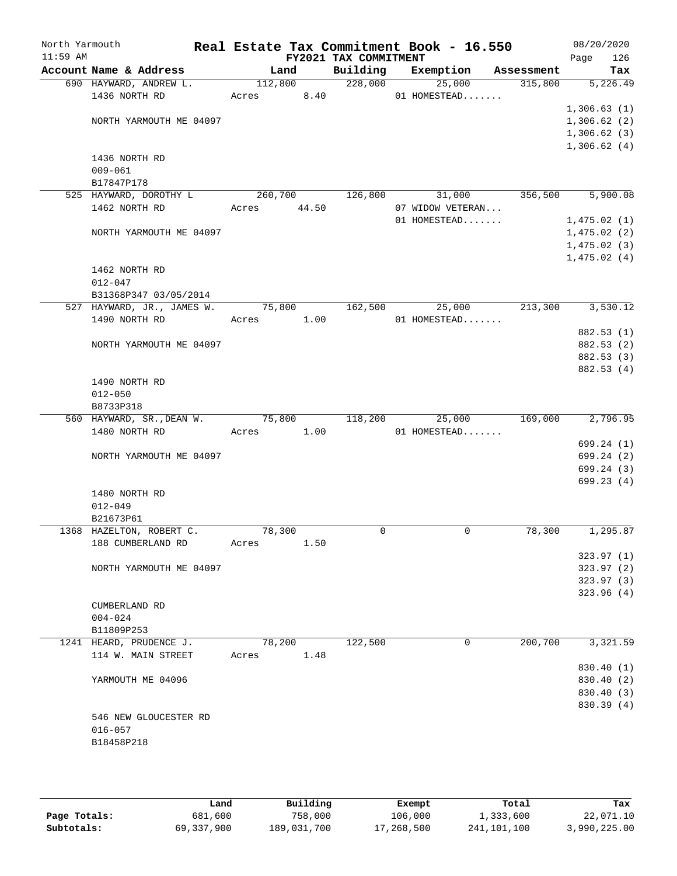| North Yarmouth |                                                  |                        |      |                       | Real Estate Tax Commitment Book - 16.550 |                       | 08/20/2020               |
|----------------|--------------------------------------------------|------------------------|------|-----------------------|------------------------------------------|-----------------------|--------------------------|
| $11:59$ AM     |                                                  |                        |      | FY2021 TAX COMMITMENT |                                          |                       | Page<br>126              |
|                | Account Name & Address<br>690 HAYWARD, ANDREW L. | Land<br>112,800        |      | Building<br>228,000   | Exemption<br>25,000                      | Assessment<br>315,800 | Tax<br>5,226.49          |
|                | 1436 NORTH RD                                    | Acres 8.40             |      |                       | 01 HOMESTEAD                             |                       |                          |
|                |                                                  |                        |      |                       |                                          |                       | 1,306.63(1)              |
|                | NORTH YARMOUTH ME 04097                          |                        |      |                       |                                          |                       | 1,306.62(2)              |
|                |                                                  |                        |      |                       |                                          |                       | 1,306.62(3)              |
|                |                                                  |                        |      |                       |                                          |                       | 1,306.62(4)              |
|                | 1436 NORTH RD                                    |                        |      |                       |                                          |                       |                          |
|                | $009 - 061$                                      |                        |      |                       |                                          |                       |                          |
|                | B17847P178                                       |                        |      |                       |                                          |                       |                          |
|                | 525 HAYWARD, DOROTHY L<br>1462 NORTH RD          | 260,700<br>Acres 44.50 |      | 126,800               | 31,000<br>07 WIDOW VETERAN               | 356,500               | 5,900.08                 |
|                |                                                  |                        |      |                       | 01 HOMESTEAD                             |                       | 1,475.02(1)              |
|                | NORTH YARMOUTH ME 04097                          |                        |      |                       |                                          |                       | 1,475.02(2)              |
|                |                                                  |                        |      |                       |                                          |                       | 1,475.02(3)              |
|                |                                                  |                        |      |                       |                                          |                       | 1,475.02(4)              |
|                | 1462 NORTH RD                                    |                        |      |                       |                                          |                       |                          |
|                | $012 - 047$                                      |                        |      |                       |                                          |                       |                          |
|                | B31368P347 03/05/2014                            |                        |      |                       |                                          |                       |                          |
|                | 527 HAYWARD, JR., JAMES W.                       | 75,800                 |      | 162,500               | 25,000                                   | 213,300               | 3,530.12                 |
|                | 1490 NORTH RD                                    | Acres 1.00             |      |                       | 01 HOMESTEAD                             |                       |                          |
|                |                                                  |                        |      |                       |                                          |                       | 882.53 (1)               |
|                | NORTH YARMOUTH ME 04097                          |                        |      |                       |                                          |                       | 882.53 (2)<br>882.53 (3) |
|                |                                                  |                        |      |                       |                                          |                       | 882.53 (4)               |
|                | 1490 NORTH RD                                    |                        |      |                       |                                          |                       |                          |
|                | $012 - 050$                                      |                        |      |                       |                                          |                       |                          |
|                | B8733P318                                        |                        |      |                       |                                          |                       |                          |
|                | 560 HAYWARD, SR., DEAN W.                        | 75,800                 |      | 118,200               | 25,000                                   | 169,000               | 2,796.95                 |
|                | 1480 NORTH RD                                    | Acres 1.00             |      |                       | 01 HOMESTEAD                             |                       |                          |
|                |                                                  |                        |      |                       |                                          |                       | 699.24(1)                |
|                | NORTH YARMOUTH ME 04097                          |                        |      |                       |                                          |                       | 699.24(2)                |
|                |                                                  |                        |      |                       |                                          |                       | 699.24(3)                |
|                |                                                  |                        |      |                       |                                          |                       | 699.23(4)                |
|                | 1480 NORTH RD<br>$012 - 049$                     |                        |      |                       |                                          |                       |                          |
|                | B21673P61                                        |                        |      |                       |                                          |                       |                          |
|                | 1368 HAZELTON, ROBERT C.                         | 78,300                 |      | $\Omega$              | 0                                        | 78,300                | 1,295.87                 |
|                | 188 CUMBERLAND RD                                | Acres                  | 1.50 |                       |                                          |                       |                          |
|                |                                                  |                        |      |                       |                                          |                       | 323.97(1)                |
|                | NORTH YARMOUTH ME 04097                          |                        |      |                       |                                          |                       | 323.97(2)                |
|                |                                                  |                        |      |                       |                                          |                       | 323.97(3)                |
|                |                                                  |                        |      |                       |                                          |                       | 323.96(4)                |
|                | <b>CUMBERLAND RD</b>                             |                        |      |                       |                                          |                       |                          |
|                | $004 - 024$                                      |                        |      |                       |                                          |                       |                          |
|                | B11809P253                                       |                        |      |                       | 0                                        | 200,700               | 3,321.59                 |
|                | 1241 HEARD, PRUDENCE J.<br>114 W. MAIN STREET    | 78,200<br>Acres        | 1.48 | 122,500               |                                          |                       |                          |
|                |                                                  |                        |      |                       |                                          |                       | 830.40 (1)               |
|                | YARMOUTH ME 04096                                |                        |      |                       |                                          |                       | 830.40 (2)               |
|                |                                                  |                        |      |                       |                                          |                       | 830.40 (3)               |
|                |                                                  |                        |      |                       |                                          |                       | 830.39 (4)               |
|                | 546 NEW GLOUCESTER RD                            |                        |      |                       |                                          |                       |                          |
|                | $016 - 057$                                      |                        |      |                       |                                          |                       |                          |
|                | B18458P218                                       |                        |      |                       |                                          |                       |                          |
|                |                                                  |                        |      |                       |                                          |                       |                          |
|                |                                                  |                        |      |                       |                                          |                       |                          |

|              | Land       | Building    | Exempt     | Total       | Tax          |
|--------------|------------|-------------|------------|-------------|--------------|
| Page Totals: | 681,600    | 758,000     | 106,000    | 1,333,600   | 22,071.10    |
| Subtotals:   | 69,337,900 | 189,031,700 | 17,268,500 | 241,101,100 | 3,990,225.00 |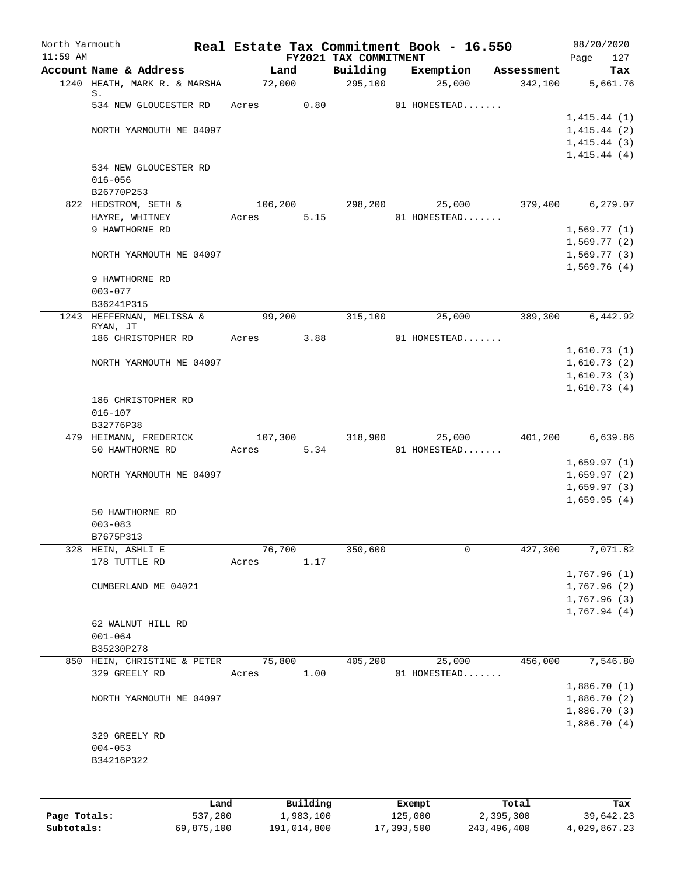| North Yarmouth |                                                        |            | Real Estate Tax Commitment Book - 16.550 |             |                       |              |               |                       | 08/20/2020                 |
|----------------|--------------------------------------------------------|------------|------------------------------------------|-------------|-----------------------|--------------|---------------|-----------------------|----------------------------|
| $11:59$ AM     |                                                        |            |                                          |             | FY2021 TAX COMMITMENT |              |               |                       | 127<br>Page                |
|                | Account Name & Address<br>1240 HEATH, MARK R. & MARSHA |            | Land<br>72,000                           |             | Building<br>295,100   | Exemption    | 25,000        | Assessment<br>342,100 | Tax<br>5,661.76            |
|                | S.                                                     |            |                                          |             |                       |              |               |                       |                            |
|                | 534 NEW GLOUCESTER RD                                  |            | Acres                                    | 0.80        |                       | 01 HOMESTEAD |               |                       |                            |
|                |                                                        |            |                                          |             |                       |              |               |                       | 1,415.44(1)                |
|                | NORTH YARMOUTH ME 04097                                |            |                                          |             |                       |              |               |                       | 1,415.44(2)                |
|                |                                                        |            |                                          |             |                       |              |               |                       | 1,415.44(3)                |
|                | 534 NEW GLOUCESTER RD                                  |            |                                          |             |                       |              |               |                       | 1,415.44(4)                |
|                | $016 - 056$                                            |            |                                          |             |                       |              |               |                       |                            |
|                | B26770P253                                             |            |                                          |             |                       |              |               |                       |                            |
|                | 822 HEDSTROM, SETH &                                   |            | 106,200                                  |             | 298,200               |              | 25,000        | 379,400               | 6, 279.07                  |
|                | HAYRE, WHITNEY                                         |            | Acres                                    | 5.15        |                       |              | 01 HOMESTEAD  |                       |                            |
|                | 9 HAWTHORNE RD                                         |            |                                          |             |                       |              |               |                       | 1,569.77(1)                |
|                |                                                        |            |                                          |             |                       |              |               |                       | 1,569.77(2)                |
|                | NORTH YARMOUTH ME 04097                                |            |                                          |             |                       |              |               |                       | 1,569.77(3)                |
|                |                                                        |            |                                          |             |                       |              |               |                       | 1,569.76(4)                |
|                | 9 HAWTHORNE RD                                         |            |                                          |             |                       |              |               |                       |                            |
|                | $003 - 077$<br>B36241P315                              |            |                                          |             |                       |              |               |                       |                            |
|                | 1243 HEFFERNAN, MELISSA &                              |            | 99,200                                   |             | 315,100               |              | 25,000        | 389,300               | 6,442.92                   |
|                | RYAN, JT                                               |            |                                          |             |                       |              |               |                       |                            |
|                | 186 CHRISTOPHER RD                                     |            | Acres                                    | 3.88        |                       | 01 HOMESTEAD |               |                       |                            |
|                |                                                        |            |                                          |             |                       |              |               |                       | 1,610.73(1)                |
|                | NORTH YARMOUTH ME 04097                                |            |                                          |             |                       |              |               |                       | 1,610.73(2)                |
|                |                                                        |            |                                          |             |                       |              |               |                       | 1,610.73(3)                |
|                |                                                        |            |                                          |             |                       |              |               |                       | 1,610.73(4)                |
|                | 186 CHRISTOPHER RD                                     |            |                                          |             |                       |              |               |                       |                            |
|                | $016 - 107$<br>B32776P38                               |            |                                          |             |                       |              |               |                       |                            |
|                | 479 HEIMANN, FREDERICK                                 |            | 107,300                                  |             | 318,900               |              | 25,000        | 401,200               | 6,639.86                   |
|                | 50 HAWTHORNE RD                                        |            | Acres                                    | 5.34        |                       |              | 01 HOMESTEAD  |                       |                            |
|                |                                                        |            |                                          |             |                       |              |               |                       | 1,659.97(1)                |
|                | NORTH YARMOUTH ME 04097                                |            |                                          |             |                       |              |               |                       | 1,659.97(2)                |
|                |                                                        |            |                                          |             |                       |              |               |                       | 1,659.97(3)                |
|                |                                                        |            |                                          |             |                       |              |               |                       | 1,659.95(4)                |
|                | 50 HAWTHORNE RD                                        |            |                                          |             |                       |              |               |                       |                            |
|                | $003 - 083$                                            |            |                                          |             |                       |              |               |                       |                            |
| 328            | B7675P313<br>HEIN, ASHLI E                             |            | 76,700                                   |             | 350,600               |              | 0             | 427,300               | 7,071.82                   |
|                | 178 TUTTLE RD                                          |            | Acres                                    | 1.17        |                       |              |               |                       |                            |
|                |                                                        |            |                                          |             |                       |              |               |                       | 1,767.96(1)                |
|                | CUMBERLAND ME 04021                                    |            |                                          |             |                       |              |               |                       | 1,767.96 (2)               |
|                |                                                        |            |                                          |             |                       |              |               |                       | 1,767.96 (3)               |
|                |                                                        |            |                                          |             |                       |              |               |                       | 1,767.94(4)                |
|                | 62 WALNUT HILL RD                                      |            |                                          |             |                       |              |               |                       |                            |
|                | $001 - 064$                                            |            |                                          |             |                       |              |               |                       |                            |
|                | B35230P278                                             |            |                                          |             |                       |              |               |                       |                            |
| 850            | HEIN, CHRISTINE & PETER                                |            | 75,800                                   |             | 405,200               |              | 25,000        | 456,000               | 7,546.80                   |
|                | 329 GREELY RD                                          |            | Acres                                    | 1.00        |                       |              | 01 HOMESTEAD  |                       |                            |
|                | NORTH YARMOUTH ME 04097                                |            |                                          |             |                       |              |               |                       | 1,886.70(1)<br>1,886.70(2) |
|                |                                                        |            |                                          |             |                       |              |               |                       | 1,886.70(3)                |
|                |                                                        |            |                                          |             |                       |              |               |                       | 1,886.70(4)                |
|                | 329 GREELY RD                                          |            |                                          |             |                       |              |               |                       |                            |
|                | $004 - 053$                                            |            |                                          |             |                       |              |               |                       |                            |
|                | B34216P322                                             |            |                                          |             |                       |              |               |                       |                            |
|                |                                                        |            |                                          |             |                       |              |               |                       |                            |
|                |                                                        |            |                                          |             |                       |              |               |                       |                            |
|                |                                                        | Land       |                                          | Building    |                       | Exempt       |               | Total                 | Tax                        |
| Page Totals:   |                                                        | 537,200    |                                          | 1,983,100   |                       | 125,000      |               | 2,395,300             | 39,642.23                  |
| Subtotals:     |                                                        | 69,875,100 |                                          | 191,014,800 |                       | 17,393,500   | 243, 496, 400 |                       | 4,029,867.23               |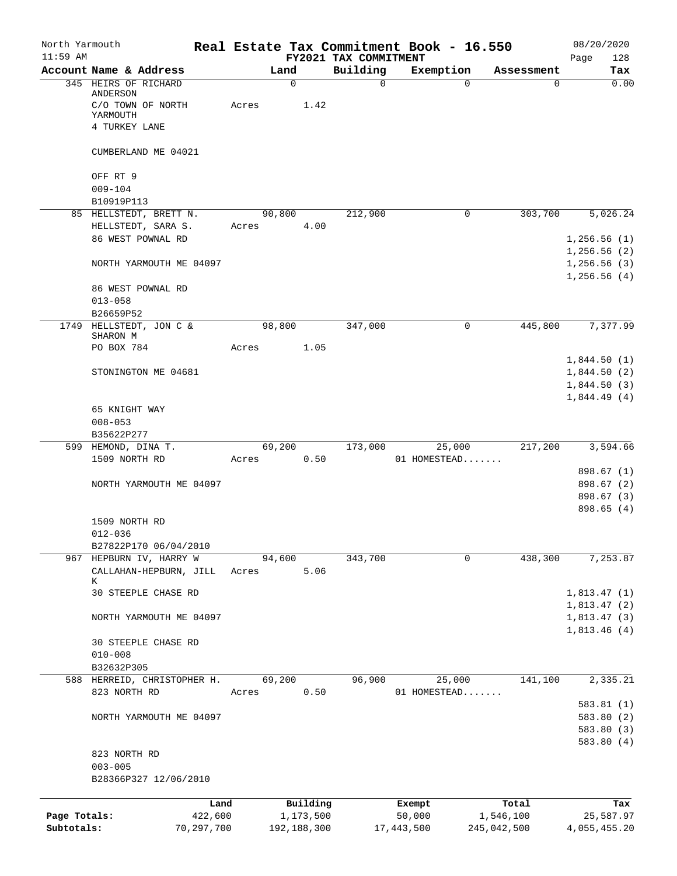| North Yarmouth<br>$11:59$ AM |                               |       |             | FY2021 TAX COMMITMENT | Real Estate Tax Commitment Book - 16.550 |             | 08/20/2020<br>128<br>Page  |
|------------------------------|-------------------------------|-------|-------------|-----------------------|------------------------------------------|-------------|----------------------------|
|                              | Account Name & Address        |       | Land        | Building              | Exemption                                | Assessment  | Tax                        |
|                              | 345 HEIRS OF RICHARD          |       | $\mathbf 0$ | $\Omega$              | $\mathbf 0$                              | $\Omega$    | 0.00                       |
|                              | ANDERSON                      |       | 1.42        |                       |                                          |             |                            |
|                              | C/O TOWN OF NORTH<br>YARMOUTH | Acres |             |                       |                                          |             |                            |
|                              | 4 TURKEY LANE                 |       |             |                       |                                          |             |                            |
|                              | CUMBERLAND ME 04021           |       |             |                       |                                          |             |                            |
|                              | OFF RT 9                      |       |             |                       |                                          |             |                            |
|                              | $009 - 104$                   |       |             |                       |                                          |             |                            |
|                              | B10919P113                    |       |             |                       |                                          |             |                            |
|                              | 85 HELLSTEDT, BRETT N.        |       | 90,800      | 212,900               | 0                                        | 303,700     | 5,026.24                   |
|                              | HELLSTEDT, SARA S.            | Acres | 4.00        |                       |                                          |             |                            |
|                              | 86 WEST POWNAL RD             |       |             |                       |                                          |             | 1,256.56(1)                |
|                              |                               |       |             |                       |                                          |             | 1,256.56(2)<br>1,256.56(3) |
|                              | NORTH YARMOUTH ME 04097       |       |             |                       |                                          |             | 1,256.56(4)                |
|                              | 86 WEST POWNAL RD             |       |             |                       |                                          |             |                            |
|                              | $013 - 058$                   |       |             |                       |                                          |             |                            |
|                              | B26659P52                     |       |             |                       |                                          |             |                            |
|                              | 1749 HELLSTEDT, JON C &       |       | 98,800      | 347,000               | $\mathbf 0$                              | 445,800     | 7,377.99                   |
|                              | SHARON M                      |       |             |                       |                                          |             |                            |
|                              | PO BOX 784                    | Acres | 1.05        |                       |                                          |             |                            |
|                              |                               |       |             |                       |                                          |             | 1,844.50(1)                |
|                              | STONINGTON ME 04681           |       |             |                       |                                          |             | 1,844.50(2)<br>1,844.50(3) |
|                              |                               |       |             |                       |                                          |             | 1,844.49(4)                |
|                              | 65 KNIGHT WAY                 |       |             |                       |                                          |             |                            |
|                              | $008 - 053$                   |       |             |                       |                                          |             |                            |
|                              | B35622P277                    |       |             |                       |                                          |             |                            |
|                              | 599 HEMOND, DINA T.           |       | 69,200      | 173,000               | 25,000                                   | 217,200     | 3,594.66                   |
|                              | 1509 NORTH RD                 | Acres | 0.50        |                       | 01 HOMESTEAD                             |             |                            |
|                              |                               |       |             |                       |                                          |             | 898.67 (1)                 |
|                              | NORTH YARMOUTH ME 04097       |       |             |                       |                                          |             | 898.67(2)                  |
|                              |                               |       |             |                       |                                          |             | 898.67 (3)                 |
|                              |                               |       |             |                       |                                          |             | 898.65(4)                  |
|                              | 1509 NORTH RD<br>$012 - 036$  |       |             |                       |                                          |             |                            |
|                              | B27822P170 06/04/2010         |       |             |                       |                                          |             |                            |
|                              | 967 HEPBURN IV, HARRY W       |       | 94,600      | 343,700               | 0                                        | 438,300     | 7,253.87                   |
|                              | CALLAHAN-HEPBURN, JILL        | Acres | 5.06        |                       |                                          |             |                            |
|                              | K                             |       |             |                       |                                          |             |                            |
|                              | 30 STEEPLE CHASE RD           |       |             |                       |                                          |             | 1,813.47(1)                |
|                              |                               |       |             |                       |                                          |             | 1,813.47(2)                |
|                              | NORTH YARMOUTH ME 04097       |       |             |                       |                                          |             | 1,813.47(3)<br>1,813.46(4) |
|                              | 30 STEEPLE CHASE RD           |       |             |                       |                                          |             |                            |
|                              | $010 - 008$                   |       |             |                       |                                          |             |                            |
|                              | B32632P305                    |       |             |                       |                                          |             |                            |
|                              | 588 HERREID, CHRISTOPHER H.   |       | 69,200      | 96,900                | 25,000                                   | 141,100     | 2,335.21                   |
|                              | 823 NORTH RD                  | Acres | 0.50        |                       | 01 HOMESTEAD                             |             |                            |
|                              |                               |       |             |                       |                                          |             | 583.81(1)                  |
|                              | NORTH YARMOUTH ME 04097       |       |             |                       |                                          |             | 583.80(2)                  |
|                              |                               |       |             |                       |                                          |             | 583.80(3)                  |
|                              |                               |       |             |                       |                                          |             | 583.80(4)                  |
|                              | 823 NORTH RD<br>$003 - 005$   |       |             |                       |                                          |             |                            |
|                              | B28366P327 12/06/2010         |       |             |                       |                                          |             |                            |
|                              |                               |       |             |                       |                                          |             |                            |
|                              |                               | Land  | Building    |                       | Exempt                                   | Total       | Tax                        |
| Page Totals:                 | 422,600                       |       | 1,173,500   |                       | 50,000                                   | 1,546,100   | 25,587.97                  |
| Subtotals:                   | 70,297,700                    |       | 192,188,300 |                       | 17,443,500                               | 245,042,500 | 4,055,455.20               |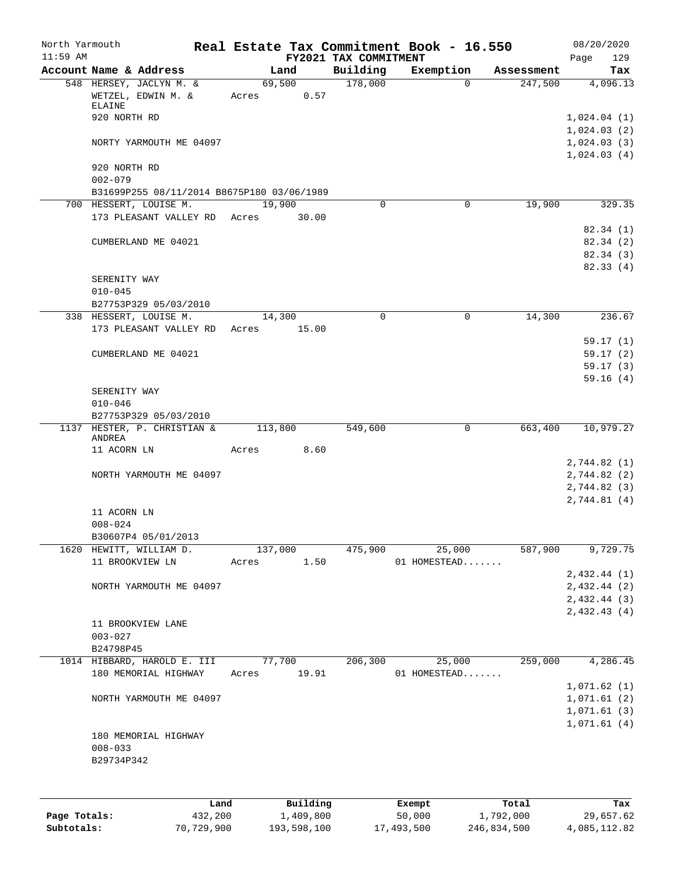| FY2021 TAX COMMITMENT<br>Account Name & Address<br>Building<br>Land<br>Exemption<br>Assessment<br>69,500<br>178,000<br>548 HERSEY, JACLYN M. &<br>$\Omega$<br>247,500<br>WETZEL, EDWIN M. &<br>0.57<br>Acres<br>ELAINE<br>920 NORTH RD<br>1,024.04(1)<br>1,024.03(2)<br>NORTY YARMOUTH ME 04097<br>920 NORTH RD<br>$002 - 079$<br>B31699P255 08/11/2014 B8675P180 03/06/1989<br>19,900<br>19,900<br>700 HESSERT, LOUISE M.<br>0<br>0<br>173 PLEASANT VALLEY RD<br>30.00<br>Acres<br>CUMBERLAND ME 04021<br>SERENITY WAY<br>$010 - 045$<br>B27753P329 05/03/2010<br>14,300<br>338 HESSERT, LOUISE M.<br>14,300<br>$\mathbf 0$<br>$\mathbf 0$<br>173 PLEASANT VALLEY RD<br>Acres<br>15.00<br>CUMBERLAND ME 04021<br>SERENITY WAY<br>$010 - 046$<br>B27753P329 05/03/2010<br>HESTER, P. CHRISTIAN &<br>663,400<br>1137<br>113,800<br>549,600<br>0<br>ANDREA<br>8.60<br>11 ACORN LN<br>Acres<br>NORTH YARMOUTH ME 04097<br>2,744.82 (2)<br>11 ACORN LN<br>$008 - 024$<br>B30607P4 05/01/2013<br>587,900<br>137,000<br>475,900<br>25,000<br>1620<br>HEWITT, WILLIAM D.<br>11 BROOKVIEW LN<br>1.50<br>01 HOMESTEAD<br>Acres<br>NORTH YARMOUTH ME 04097<br>2,432.43(4)<br>11 BROOKVIEW LANE<br>$003 - 027$<br>B24798P45<br>77,700<br>206,300<br>259,000<br>1014 HIBBARD, HAROLD E. III<br>25,000<br>180 MEMORIAL HIGHWAY<br>19.91<br>01 HOMESTEAD<br>Acres<br>NORTH YARMOUTH ME 04097<br>180 MEMORIAL HIGHWAY<br>$008 - 033$<br>B29734P342<br>Land | North Yarmouth<br>$11:59$ AM | Real Estate Tax Commitment Book - 16.550 |        |       | 08/20/2020<br>129<br>Page |
|---------------------------------------------------------------------------------------------------------------------------------------------------------------------------------------------------------------------------------------------------------------------------------------------------------------------------------------------------------------------------------------------------------------------------------------------------------------------------------------------------------------------------------------------------------------------------------------------------------------------------------------------------------------------------------------------------------------------------------------------------------------------------------------------------------------------------------------------------------------------------------------------------------------------------------------------------------------------------------------------------------------------------------------------------------------------------------------------------------------------------------------------------------------------------------------------------------------------------------------------------------------------------------------------------------------------------------------------------------------------------------------------------------------------------------------------|------------------------------|------------------------------------------|--------|-------|---------------------------|
|                                                                                                                                                                                                                                                                                                                                                                                                                                                                                                                                                                                                                                                                                                                                                                                                                                                                                                                                                                                                                                                                                                                                                                                                                                                                                                                                                                                                                                             |                              |                                          |        |       | Tax                       |
|                                                                                                                                                                                                                                                                                                                                                                                                                                                                                                                                                                                                                                                                                                                                                                                                                                                                                                                                                                                                                                                                                                                                                                                                                                                                                                                                                                                                                                             |                              |                                          |        |       | 4,096.13                  |
|                                                                                                                                                                                                                                                                                                                                                                                                                                                                                                                                                                                                                                                                                                                                                                                                                                                                                                                                                                                                                                                                                                                                                                                                                                                                                                                                                                                                                                             |                              |                                          |        |       |                           |
|                                                                                                                                                                                                                                                                                                                                                                                                                                                                                                                                                                                                                                                                                                                                                                                                                                                                                                                                                                                                                                                                                                                                                                                                                                                                                                                                                                                                                                             |                              |                                          |        |       |                           |
|                                                                                                                                                                                                                                                                                                                                                                                                                                                                                                                                                                                                                                                                                                                                                                                                                                                                                                                                                                                                                                                                                                                                                                                                                                                                                                                                                                                                                                             |                              |                                          |        |       |                           |
|                                                                                                                                                                                                                                                                                                                                                                                                                                                                                                                                                                                                                                                                                                                                                                                                                                                                                                                                                                                                                                                                                                                                                                                                                                                                                                                                                                                                                                             |                              |                                          |        |       | 1,024.03(3)               |
|                                                                                                                                                                                                                                                                                                                                                                                                                                                                                                                                                                                                                                                                                                                                                                                                                                                                                                                                                                                                                                                                                                                                                                                                                                                                                                                                                                                                                                             |                              |                                          |        |       | 1,024.03(4)               |
|                                                                                                                                                                                                                                                                                                                                                                                                                                                                                                                                                                                                                                                                                                                                                                                                                                                                                                                                                                                                                                                                                                                                                                                                                                                                                                                                                                                                                                             |                              |                                          |        |       |                           |
|                                                                                                                                                                                                                                                                                                                                                                                                                                                                                                                                                                                                                                                                                                                                                                                                                                                                                                                                                                                                                                                                                                                                                                                                                                                                                                                                                                                                                                             |                              |                                          |        |       |                           |
|                                                                                                                                                                                                                                                                                                                                                                                                                                                                                                                                                                                                                                                                                                                                                                                                                                                                                                                                                                                                                                                                                                                                                                                                                                                                                                                                                                                                                                             |                              |                                          |        |       |                           |
|                                                                                                                                                                                                                                                                                                                                                                                                                                                                                                                                                                                                                                                                                                                                                                                                                                                                                                                                                                                                                                                                                                                                                                                                                                                                                                                                                                                                                                             |                              |                                          |        |       | 329.35                    |
|                                                                                                                                                                                                                                                                                                                                                                                                                                                                                                                                                                                                                                                                                                                                                                                                                                                                                                                                                                                                                                                                                                                                                                                                                                                                                                                                                                                                                                             |                              |                                          |        |       |                           |
|                                                                                                                                                                                                                                                                                                                                                                                                                                                                                                                                                                                                                                                                                                                                                                                                                                                                                                                                                                                                                                                                                                                                                                                                                                                                                                                                                                                                                                             |                              |                                          |        |       | 82.34(1)                  |
|                                                                                                                                                                                                                                                                                                                                                                                                                                                                                                                                                                                                                                                                                                                                                                                                                                                                                                                                                                                                                                                                                                                                                                                                                                                                                                                                                                                                                                             |                              |                                          |        |       | 82.34 (2)<br>82.34 (3)    |
|                                                                                                                                                                                                                                                                                                                                                                                                                                                                                                                                                                                                                                                                                                                                                                                                                                                                                                                                                                                                                                                                                                                                                                                                                                                                                                                                                                                                                                             |                              |                                          |        |       | 82.33(4)                  |
|                                                                                                                                                                                                                                                                                                                                                                                                                                                                                                                                                                                                                                                                                                                                                                                                                                                                                                                                                                                                                                                                                                                                                                                                                                                                                                                                                                                                                                             |                              |                                          |        |       |                           |
|                                                                                                                                                                                                                                                                                                                                                                                                                                                                                                                                                                                                                                                                                                                                                                                                                                                                                                                                                                                                                                                                                                                                                                                                                                                                                                                                                                                                                                             |                              |                                          |        |       |                           |
|                                                                                                                                                                                                                                                                                                                                                                                                                                                                                                                                                                                                                                                                                                                                                                                                                                                                                                                                                                                                                                                                                                                                                                                                                                                                                                                                                                                                                                             |                              |                                          |        |       |                           |
|                                                                                                                                                                                                                                                                                                                                                                                                                                                                                                                                                                                                                                                                                                                                                                                                                                                                                                                                                                                                                                                                                                                                                                                                                                                                                                                                                                                                                                             |                              |                                          |        |       | 236.67                    |
|                                                                                                                                                                                                                                                                                                                                                                                                                                                                                                                                                                                                                                                                                                                                                                                                                                                                                                                                                                                                                                                                                                                                                                                                                                                                                                                                                                                                                                             |                              |                                          |        |       |                           |
|                                                                                                                                                                                                                                                                                                                                                                                                                                                                                                                                                                                                                                                                                                                                                                                                                                                                                                                                                                                                                                                                                                                                                                                                                                                                                                                                                                                                                                             |                              |                                          |        |       | 59.17(1)                  |
|                                                                                                                                                                                                                                                                                                                                                                                                                                                                                                                                                                                                                                                                                                                                                                                                                                                                                                                                                                                                                                                                                                                                                                                                                                                                                                                                                                                                                                             |                              |                                          |        |       | 59.17(2)                  |
|                                                                                                                                                                                                                                                                                                                                                                                                                                                                                                                                                                                                                                                                                                                                                                                                                                                                                                                                                                                                                                                                                                                                                                                                                                                                                                                                                                                                                                             |                              |                                          |        |       | 59.17(3)                  |
|                                                                                                                                                                                                                                                                                                                                                                                                                                                                                                                                                                                                                                                                                                                                                                                                                                                                                                                                                                                                                                                                                                                                                                                                                                                                                                                                                                                                                                             |                              |                                          |        |       | 59.16(4)                  |
|                                                                                                                                                                                                                                                                                                                                                                                                                                                                                                                                                                                                                                                                                                                                                                                                                                                                                                                                                                                                                                                                                                                                                                                                                                                                                                                                                                                                                                             |                              |                                          |        |       |                           |
|                                                                                                                                                                                                                                                                                                                                                                                                                                                                                                                                                                                                                                                                                                                                                                                                                                                                                                                                                                                                                                                                                                                                                                                                                                                                                                                                                                                                                                             |                              |                                          |        |       |                           |
|                                                                                                                                                                                                                                                                                                                                                                                                                                                                                                                                                                                                                                                                                                                                                                                                                                                                                                                                                                                                                                                                                                                                                                                                                                                                                                                                                                                                                                             |                              |                                          |        |       | 10,979.27                 |
|                                                                                                                                                                                                                                                                                                                                                                                                                                                                                                                                                                                                                                                                                                                                                                                                                                                                                                                                                                                                                                                                                                                                                                                                                                                                                                                                                                                                                                             |                              |                                          |        |       |                           |
|                                                                                                                                                                                                                                                                                                                                                                                                                                                                                                                                                                                                                                                                                                                                                                                                                                                                                                                                                                                                                                                                                                                                                                                                                                                                                                                                                                                                                                             |                              |                                          |        |       |                           |
|                                                                                                                                                                                                                                                                                                                                                                                                                                                                                                                                                                                                                                                                                                                                                                                                                                                                                                                                                                                                                                                                                                                                                                                                                                                                                                                                                                                                                                             |                              |                                          |        |       | 2,744.82 (1)              |
|                                                                                                                                                                                                                                                                                                                                                                                                                                                                                                                                                                                                                                                                                                                                                                                                                                                                                                                                                                                                                                                                                                                                                                                                                                                                                                                                                                                                                                             |                              |                                          |        |       | 2,744.82 (3)              |
|                                                                                                                                                                                                                                                                                                                                                                                                                                                                                                                                                                                                                                                                                                                                                                                                                                                                                                                                                                                                                                                                                                                                                                                                                                                                                                                                                                                                                                             |                              |                                          |        |       | 2,744.81(4)               |
|                                                                                                                                                                                                                                                                                                                                                                                                                                                                                                                                                                                                                                                                                                                                                                                                                                                                                                                                                                                                                                                                                                                                                                                                                                                                                                                                                                                                                                             |                              |                                          |        |       |                           |
|                                                                                                                                                                                                                                                                                                                                                                                                                                                                                                                                                                                                                                                                                                                                                                                                                                                                                                                                                                                                                                                                                                                                                                                                                                                                                                                                                                                                                                             |                              |                                          |        |       |                           |
|                                                                                                                                                                                                                                                                                                                                                                                                                                                                                                                                                                                                                                                                                                                                                                                                                                                                                                                                                                                                                                                                                                                                                                                                                                                                                                                                                                                                                                             |                              |                                          |        |       |                           |
|                                                                                                                                                                                                                                                                                                                                                                                                                                                                                                                                                                                                                                                                                                                                                                                                                                                                                                                                                                                                                                                                                                                                                                                                                                                                                                                                                                                                                                             |                              |                                          |        |       | 9,729.75                  |
|                                                                                                                                                                                                                                                                                                                                                                                                                                                                                                                                                                                                                                                                                                                                                                                                                                                                                                                                                                                                                                                                                                                                                                                                                                                                                                                                                                                                                                             |                              |                                          |        |       |                           |
|                                                                                                                                                                                                                                                                                                                                                                                                                                                                                                                                                                                                                                                                                                                                                                                                                                                                                                                                                                                                                                                                                                                                                                                                                                                                                                                                                                                                                                             |                              |                                          |        |       | 2,432.44(1)               |
|                                                                                                                                                                                                                                                                                                                                                                                                                                                                                                                                                                                                                                                                                                                                                                                                                                                                                                                                                                                                                                                                                                                                                                                                                                                                                                                                                                                                                                             |                              |                                          |        |       | 2,432.44 (2)              |
|                                                                                                                                                                                                                                                                                                                                                                                                                                                                                                                                                                                                                                                                                                                                                                                                                                                                                                                                                                                                                                                                                                                                                                                                                                                                                                                                                                                                                                             |                              |                                          |        |       | 2,432.44(3)               |
|                                                                                                                                                                                                                                                                                                                                                                                                                                                                                                                                                                                                                                                                                                                                                                                                                                                                                                                                                                                                                                                                                                                                                                                                                                                                                                                                                                                                                                             |                              |                                          |        |       |                           |
|                                                                                                                                                                                                                                                                                                                                                                                                                                                                                                                                                                                                                                                                                                                                                                                                                                                                                                                                                                                                                                                                                                                                                                                                                                                                                                                                                                                                                                             |                              |                                          |        |       |                           |
|                                                                                                                                                                                                                                                                                                                                                                                                                                                                                                                                                                                                                                                                                                                                                                                                                                                                                                                                                                                                                                                                                                                                                                                                                                                                                                                                                                                                                                             |                              |                                          |        |       |                           |
|                                                                                                                                                                                                                                                                                                                                                                                                                                                                                                                                                                                                                                                                                                                                                                                                                                                                                                                                                                                                                                                                                                                                                                                                                                                                                                                                                                                                                                             |                              |                                          |        |       | 4,286.45                  |
|                                                                                                                                                                                                                                                                                                                                                                                                                                                                                                                                                                                                                                                                                                                                                                                                                                                                                                                                                                                                                                                                                                                                                                                                                                                                                                                                                                                                                                             |                              |                                          |        |       |                           |
|                                                                                                                                                                                                                                                                                                                                                                                                                                                                                                                                                                                                                                                                                                                                                                                                                                                                                                                                                                                                                                                                                                                                                                                                                                                                                                                                                                                                                                             |                              |                                          |        |       | 1,071.62(1)               |
|                                                                                                                                                                                                                                                                                                                                                                                                                                                                                                                                                                                                                                                                                                                                                                                                                                                                                                                                                                                                                                                                                                                                                                                                                                                                                                                                                                                                                                             |                              |                                          |        |       | 1,071.61(2)               |
|                                                                                                                                                                                                                                                                                                                                                                                                                                                                                                                                                                                                                                                                                                                                                                                                                                                                                                                                                                                                                                                                                                                                                                                                                                                                                                                                                                                                                                             |                              |                                          |        |       | 1,071.61(3)               |
|                                                                                                                                                                                                                                                                                                                                                                                                                                                                                                                                                                                                                                                                                                                                                                                                                                                                                                                                                                                                                                                                                                                                                                                                                                                                                                                                                                                                                                             |                              |                                          |        |       | 1,071.61(4)               |
|                                                                                                                                                                                                                                                                                                                                                                                                                                                                                                                                                                                                                                                                                                                                                                                                                                                                                                                                                                                                                                                                                                                                                                                                                                                                                                                                                                                                                                             |                              |                                          |        |       |                           |
|                                                                                                                                                                                                                                                                                                                                                                                                                                                                                                                                                                                                                                                                                                                                                                                                                                                                                                                                                                                                                                                                                                                                                                                                                                                                                                                                                                                                                                             |                              |                                          |        |       |                           |
|                                                                                                                                                                                                                                                                                                                                                                                                                                                                                                                                                                                                                                                                                                                                                                                                                                                                                                                                                                                                                                                                                                                                                                                                                                                                                                                                                                                                                                             |                              |                                          |        |       |                           |
|                                                                                                                                                                                                                                                                                                                                                                                                                                                                                                                                                                                                                                                                                                                                                                                                                                                                                                                                                                                                                                                                                                                                                                                                                                                                                                                                                                                                                                             |                              |                                          |        |       |                           |
|                                                                                                                                                                                                                                                                                                                                                                                                                                                                                                                                                                                                                                                                                                                                                                                                                                                                                                                                                                                                                                                                                                                                                                                                                                                                                                                                                                                                                                             |                              | Building                                 | Exempt | Total | Tax                       |
| 432,200<br>1,409,800<br>Page Totals:<br>50,000<br>1,792,000                                                                                                                                                                                                                                                                                                                                                                                                                                                                                                                                                                                                                                                                                                                                                                                                                                                                                                                                                                                                                                                                                                                                                                                                                                                                                                                                                                                 |                              |                                          |        |       | 29,657.62                 |

**Subtotals:** 70,729,900 193,598,100 17,493,500 246,834,500 4,085,112.82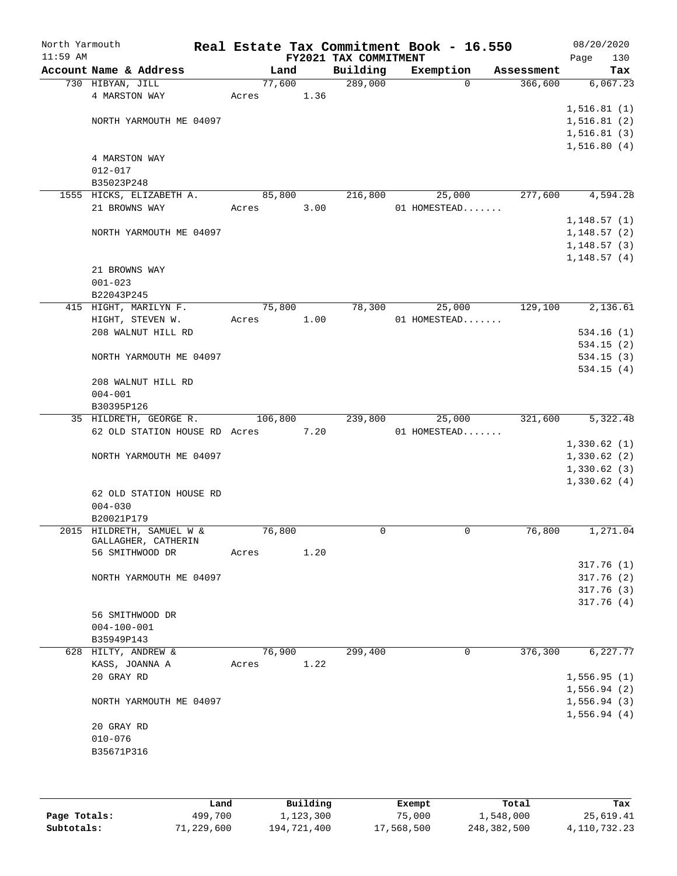| North Yarmouth<br>$11:59$ AM |                                                  |         |      | FY2021 TAX COMMITMENT | Real Estate Tax Commitment Book - 16.550 |            | 08/20/2020<br>Page | 130 |
|------------------------------|--------------------------------------------------|---------|------|-----------------------|------------------------------------------|------------|--------------------|-----|
|                              | Account Name & Address                           | Land    |      | Building              | Exemption                                | Assessment |                    | Tax |
|                              | 730 HIBYAN, JILL                                 | 77,600  |      | 289,000               | 0                                        | 366,600    | 6,067.23           |     |
|                              | 4 MARSTON WAY                                    | Acres   | 1.36 |                       |                                          |            |                    |     |
|                              |                                                  |         |      |                       |                                          |            | 1, 516.81(1)       |     |
|                              | NORTH YARMOUTH ME 04097                          |         |      |                       |                                          |            | 1,516.81(2)        |     |
|                              |                                                  |         |      |                       |                                          |            | 1, 516.81(3)       |     |
|                              |                                                  |         |      |                       |                                          |            | 1,516.80(4)        |     |
|                              | 4 MARSTON WAY                                    |         |      |                       |                                          |            |                    |     |
|                              | $012 - 017$                                      |         |      |                       |                                          |            |                    |     |
|                              | B35023P248                                       |         |      |                       |                                          |            |                    |     |
|                              | 1555 HICKS, ELIZABETH A.                         | 85,800  |      | 216,800               | 25,000                                   | 277,600    | 4,594.28           |     |
|                              | 21 BROWNS WAY                                    | Acres   | 3.00 |                       | 01 HOMESTEAD                             |            |                    |     |
|                              |                                                  |         |      |                       |                                          |            | 1,148.57(1)        |     |
|                              | NORTH YARMOUTH ME 04097                          |         |      |                       |                                          |            | 1,148.57(2)        |     |
|                              |                                                  |         |      |                       |                                          |            | 1,148.57(3)        |     |
|                              |                                                  |         |      |                       |                                          |            | 1,148.57(4)        |     |
|                              | 21 BROWNS WAY                                    |         |      |                       |                                          |            |                    |     |
|                              | $001 - 023$                                      |         |      |                       |                                          |            |                    |     |
|                              | B22043P245                                       |         |      |                       |                                          |            |                    |     |
|                              | 415 HIGHT, MARILYN F.                            | 75,800  |      | 78,300                | 25,000                                   | 129,100    | 2,136.61           |     |
|                              | HIGHT, STEVEN W.                                 | Acres   | 1.00 |                       | 01 HOMESTEAD                             |            |                    |     |
|                              | 208 WALNUT HILL RD                               |         |      |                       |                                          |            | 534.16(1)          |     |
|                              |                                                  |         |      |                       |                                          |            | 534.15(2)          |     |
|                              | NORTH YARMOUTH ME 04097                          |         |      |                       |                                          |            | 534.15(3)          |     |
|                              |                                                  |         |      |                       |                                          |            | 534.15(4)          |     |
|                              | 208 WALNUT HILL RD                               |         |      |                       |                                          |            |                    |     |
|                              | $004 - 001$                                      |         |      |                       |                                          |            |                    |     |
|                              | B30395P126                                       |         |      |                       |                                          |            |                    |     |
|                              | 35 HILDRETH, GEORGE R.                           | 106,800 |      | 239,800               | 25,000                                   | 321,600    | 5,322.48           |     |
|                              | 62 OLD STATION HOUSE RD Acres                    |         | 7.20 |                       | 01 HOMESTEAD                             |            |                    |     |
|                              |                                                  |         |      |                       |                                          |            | 1,330.62(1)        |     |
|                              | NORTH YARMOUTH ME 04097                          |         |      |                       |                                          |            | 1,330.62(2)        |     |
|                              |                                                  |         |      |                       |                                          |            | 1,330.62(3)        |     |
|                              |                                                  |         |      |                       |                                          |            | 1,330.62(4)        |     |
|                              |                                                  |         |      |                       |                                          |            |                    |     |
|                              | 62 OLD STATION HOUSE RD                          |         |      |                       |                                          |            |                    |     |
|                              | $004 - 030$                                      |         |      |                       |                                          |            |                    |     |
|                              | B20021P179                                       |         |      | 0                     | $\mathbf 0$                              | 76,800     | 1,271.04           |     |
|                              | 2015 HILDRETH, SAMUEL W &<br>GALLAGHER, CATHERIN | 76,800  |      |                       |                                          |            |                    |     |
|                              | 56 SMITHWOOD DR                                  | Acres   | 1.20 |                       |                                          |            |                    |     |
|                              |                                                  |         |      |                       |                                          |            | 317.76(1)          |     |
|                              | NORTH YARMOUTH ME 04097                          |         |      |                       |                                          |            | 317.76(2)          |     |
|                              |                                                  |         |      |                       |                                          |            | 317.76(3)          |     |
|                              |                                                  |         |      |                       |                                          |            | 317.76(4)          |     |
|                              |                                                  |         |      |                       |                                          |            |                    |     |
|                              | 56 SMITHWOOD DR                                  |         |      |                       |                                          |            |                    |     |
|                              | $004 - 100 - 001$                                |         |      |                       |                                          |            |                    |     |
|                              | B35949P143                                       |         |      |                       |                                          |            |                    |     |
|                              | 628 HILTY, ANDREW &                              | 76,900  |      | 299,400               | 0                                        | 376,300    | 6,227.77           |     |
|                              | KASS, JOANNA A                                   | Acres   | 1.22 |                       |                                          |            |                    |     |
|                              | 20 GRAY RD                                       |         |      |                       |                                          |            | 1,556.95(1)        |     |
|                              |                                                  |         |      |                       |                                          |            | 1,556.94(2)        |     |
|                              | NORTH YARMOUTH ME 04097                          |         |      |                       |                                          |            | 1,556.94(3)        |     |
|                              |                                                  |         |      |                       |                                          |            | 1,556.94(4)        |     |
|                              | 20 GRAY RD                                       |         |      |                       |                                          |            |                    |     |
|                              | $010 - 076$                                      |         |      |                       |                                          |            |                    |     |
|                              | B35671P316                                       |         |      |                       |                                          |            |                    |     |
|                              |                                                  |         |      |                       |                                          |            |                    |     |
|                              |                                                  |         |      |                       |                                          |            |                    |     |

|              | Land       | Building    | Exempt     | Total       | Tax          |
|--------------|------------|-------------|------------|-------------|--------------|
| Page Totals: | 499,700    | 1,123,300   | 75,000     | 1,548,000   | 25,619.41    |
| Subtotals:   | 71,229,600 | 194,721,400 | 17,568,500 | 248,382,500 | 4,110,732.23 |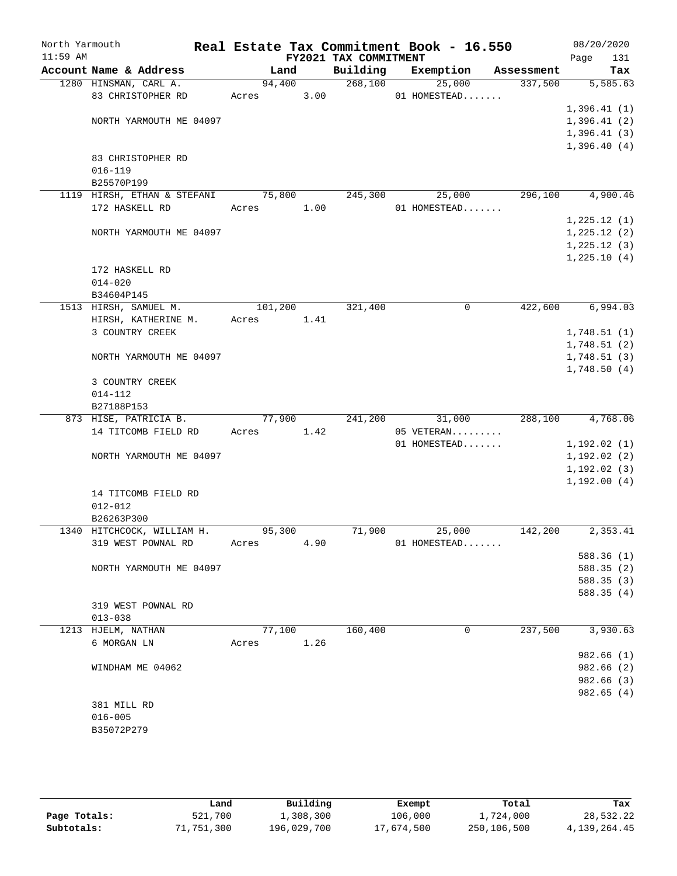| North Yarmouth<br>$11:59$ AM |                             |         |      | FY2021 TAX COMMITMENT | Real Estate Tax Commitment Book - 16.550 |            | 08/20/2020<br>Page<br>131 |
|------------------------------|-----------------------------|---------|------|-----------------------|------------------------------------------|------------|---------------------------|
|                              | Account Name & Address      | Land    |      | Building              | Exemption                                | Assessment | Tax                       |
|                              | 1280 HINSMAN, CARL A.       | 94,400  |      | 268,100               | 25,000                                   | 337,500    | 5,585.63                  |
|                              | 83 CHRISTOPHER RD           | Acres   | 3.00 |                       | 01 HOMESTEAD                             |            |                           |
|                              |                             |         |      |                       |                                          |            | 1,396.41(1)               |
|                              | NORTH YARMOUTH ME 04097     |         |      |                       |                                          |            | 1,396.41(2)               |
|                              |                             |         |      |                       |                                          |            | 1,396.41(3)               |
|                              |                             |         |      |                       |                                          |            | 1,396.40(4)               |
|                              | 83 CHRISTOPHER RD           |         |      |                       |                                          |            |                           |
|                              | $016 - 119$                 |         |      |                       |                                          |            |                           |
|                              | B25570P199                  |         |      |                       |                                          |            |                           |
|                              | 1119 HIRSH, ETHAN & STEFANI | 75,800  |      | 245,300               | 25,000                                   | 296,100    | 4,900.46                  |
|                              | 172 HASKELL RD              | Acres   | 1.00 |                       | 01 HOMESTEAD                             |            |                           |
|                              |                             |         |      |                       |                                          |            | 1,225.12(1)               |
|                              | NORTH YARMOUTH ME 04097     |         |      |                       |                                          |            | 1,225.12(2)               |
|                              |                             |         |      |                       |                                          |            | 1,225.12(3)               |
|                              |                             |         |      |                       |                                          |            | 1,225.10(4)               |
|                              | 172 HASKELL RD              |         |      |                       |                                          |            |                           |
|                              | $014 - 020$                 |         |      |                       |                                          |            |                           |
|                              | B34604P145                  |         |      |                       |                                          |            |                           |
|                              | 1513 HIRSH, SAMUEL M.       | 101,200 |      | 321,400               | 0                                        | 422,600    | 6,994.03                  |
|                              | HIRSH, KATHERINE M.         | Acres   | 1.41 |                       |                                          |            |                           |
|                              | 3 COUNTRY CREEK             |         |      |                       |                                          |            | 1,748.51(1)               |
|                              |                             |         |      |                       |                                          |            | 1,748.51(2)               |
|                              | NORTH YARMOUTH ME 04097     |         |      |                       |                                          |            | 1,748.51(3)               |
|                              |                             |         |      |                       |                                          |            | 1,748.50(4)               |
|                              | 3 COUNTRY CREEK             |         |      |                       |                                          |            |                           |
|                              | $014 - 112$                 |         |      |                       |                                          |            |                           |
|                              | B27188P153                  |         |      |                       |                                          |            |                           |
|                              | 873 HISE, PATRICIA B.       | 77,900  |      | 241,200               | 31,000                                   | 288,100    | 4,768.06                  |
|                              | 14 TITCOMB FIELD RD         | Acres   | 1.42 |                       | 05 VETERAN                               |            |                           |
|                              |                             |         |      |                       | 01 HOMESTEAD                             |            | 1,192.02(1)               |
|                              | NORTH YARMOUTH ME 04097     |         |      |                       |                                          |            | 1,192.02(2)               |
|                              |                             |         |      |                       |                                          |            | 1, 192.02(3)              |
|                              |                             |         |      |                       |                                          |            | 1,192.00(4)               |
|                              | 14 TITCOMB FIELD RD         |         |      |                       |                                          |            |                           |
|                              | $012 - 012$                 |         |      |                       |                                          |            |                           |
|                              | B26263P300                  |         |      |                       |                                          |            |                           |
|                              | 1340 HITCHCOCK, WILLIAM H.  | 95,300  |      | 71,900                | 25,000                                   | 142,200    | 2,353.41                  |
|                              | 319 WEST POWNAL RD          | Acres   | 4.90 |                       | 01 HOMESTEAD                             |            |                           |
|                              |                             |         |      |                       |                                          |            | 588.36 (1)                |
|                              | NORTH YARMOUTH ME 04097     |         |      |                       |                                          |            | 588.35(2)                 |
|                              |                             |         |      |                       |                                          |            | 588.35(3)                 |
|                              |                             |         |      |                       |                                          |            | 588.35(4)                 |
|                              | 319 WEST POWNAL RD          |         |      |                       |                                          |            |                           |
|                              | $013 - 038$                 |         |      |                       |                                          |            |                           |
|                              | 1213 HJELM, NATHAN          | 77,100  |      | 160,400               | 0                                        | 237,500    | 3,930.63                  |
|                              | 6 MORGAN LN                 | Acres   | 1.26 |                       |                                          |            |                           |
|                              |                             |         |      |                       |                                          |            | 982.66 (1)                |
|                              | WINDHAM ME 04062            |         |      |                       |                                          |            | 982.66 (2)                |
|                              |                             |         |      |                       |                                          |            | 982.66 (3)                |
|                              |                             |         |      |                       |                                          |            | 982.65(4)                 |
|                              | 381 MILL RD                 |         |      |                       |                                          |            |                           |
|                              | $016 - 005$                 |         |      |                       |                                          |            |                           |
|                              | B35072P279                  |         |      |                       |                                          |            |                           |
|                              |                             |         |      |                       |                                          |            |                           |

|              | Land       | Building    | Exempt     | Total       | Tax          |
|--------------|------------|-------------|------------|-------------|--------------|
| Page Totals: | 521,700    | 1,308,300   | 106,000    | 1,724,000   | 28,532.22    |
| Subtotals:   | 71,751,300 | 196,029,700 | 17,674,500 | 250,106,500 | 4,139,264.45 |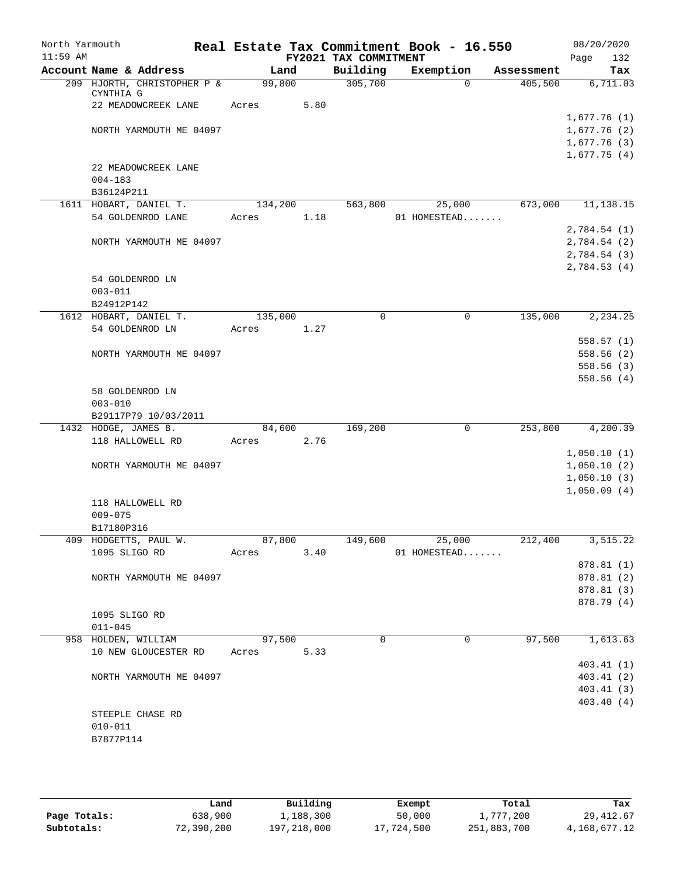| North Yarmouth |                             |                |      |                       | Real Estate Tax Commitment Book - 16.550 |                       | 08/20/2020                 |
|----------------|-----------------------------|----------------|------|-----------------------|------------------------------------------|-----------------------|----------------------------|
| $11:59$ AM     | Account Name & Address      |                |      | FY2021 TAX COMMITMENT |                                          |                       | 132<br>Page                |
|                | 209 HJORTH, CHRISTOPHER P & | Land<br>99,800 |      | Building<br>305,700   | Exemption<br>$\Omega$                    | Assessment<br>405,500 | Tax<br>6,711.03            |
|                | CYNTHIA G                   |                |      |                       |                                          |                       |                            |
|                | 22 MEADOWCREEK LANE         | Acres          | 5.80 |                       |                                          |                       |                            |
|                | NORTH YARMOUTH ME 04097     |                |      |                       |                                          |                       | 1,677.76(1)<br>1,677.76(2) |
|                |                             |                |      |                       |                                          |                       | 1,677.76(3)                |
|                |                             |                |      |                       |                                          |                       | 1,677.75(4)                |
|                | 22 MEADOWCREEK LANE         |                |      |                       |                                          |                       |                            |
|                | $004 - 183$                 |                |      |                       |                                          |                       |                            |
|                | B36124P211                  |                |      |                       |                                          |                       |                            |
|                | 1611 HOBART, DANIEL T.      | 134,200        |      | 563,800               | 25,000                                   | 673,000               | 11,138.15                  |
|                | 54 GOLDENROD LANE           | Acres          | 1.18 |                       | 01 HOMESTEAD                             |                       |                            |
|                |                             |                |      |                       |                                          |                       | 2,784.54(1)                |
|                | NORTH YARMOUTH ME 04097     |                |      |                       |                                          |                       | 2,784.54 (2)               |
|                |                             |                |      |                       |                                          |                       | 2,784.54 (3)               |
|                |                             |                |      |                       |                                          |                       | 2,784.53(4)                |
|                | 54 GOLDENROD LN             |                |      |                       |                                          |                       |                            |
|                | $003 - 011$                 |                |      |                       |                                          |                       |                            |
|                | B24912P142                  |                |      |                       |                                          |                       |                            |
|                | 1612 HOBART, DANIEL T.      | 135,000        |      | $\mathbf 0$           | $\mathbf 0$                              | 135,000               | 2,234.25                   |
|                | 54 GOLDENROD LN             | Acres          | 1.27 |                       |                                          |                       |                            |
|                |                             |                |      |                       |                                          |                       | 558.57(1)                  |
|                | NORTH YARMOUTH ME 04097     |                |      |                       |                                          |                       | 558.56(2)                  |
|                |                             |                |      |                       |                                          |                       | 558.56(3)                  |
|                |                             |                |      |                       |                                          |                       | 558.56(4)                  |
|                | 58 GOLDENROD LN             |                |      |                       |                                          |                       |                            |
|                | $003 - 010$                 |                |      |                       |                                          |                       |                            |
|                | B29117P79 10/03/2011        |                |      |                       |                                          |                       |                            |
|                | 1432 HODGE, JAMES B.        | 84,600         |      | 169,200               | $\mathbf 0$                              | 253,800               | 4,200.39                   |
|                | 118 HALLOWELL RD            | Acres          | 2.76 |                       |                                          |                       |                            |
|                |                             |                |      |                       |                                          |                       | 1,050.10(1)                |
|                | NORTH YARMOUTH ME 04097     |                |      |                       |                                          |                       | 1,050.10(2)                |
|                |                             |                |      |                       |                                          |                       | 1,050.10(3)                |
|                |                             |                |      |                       |                                          |                       | 1,050.09(4)                |
|                | 118 HALLOWELL RD            |                |      |                       |                                          |                       |                            |
|                | $009 - 075$<br>B17180P316   |                |      |                       |                                          |                       |                            |
|                | 409 HODGETTS, PAUL W.       | 87,800         |      | 149,600               |                                          | 212,400               |                            |
|                | 1095 SLIGO RD               | Acres          | 3.40 |                       | 25,000<br>01 HOMESTEAD                   |                       | 3,515.22                   |
|                |                             |                |      |                       |                                          |                       | 878.81 (1)                 |
|                | NORTH YARMOUTH ME 04097     |                |      |                       |                                          |                       | 878.81 (2)                 |
|                |                             |                |      |                       |                                          |                       | 878.81 (3)                 |
|                |                             |                |      |                       |                                          |                       | 878.79 (4)                 |
|                | 1095 SLIGO RD               |                |      |                       |                                          |                       |                            |
|                | $011 - 045$                 |                |      |                       |                                          |                       |                            |
|                | 958 HOLDEN, WILLIAM         | 97,500         |      | 0                     | 0                                        | 97,500                | 1,613.63                   |
|                | 10 NEW GLOUCESTER RD        | Acres          | 5.33 |                       |                                          |                       |                            |
|                |                             |                |      |                       |                                          |                       | 403.41(1)                  |
|                | NORTH YARMOUTH ME 04097     |                |      |                       |                                          |                       | 403.41(2)                  |
|                |                             |                |      |                       |                                          |                       | 403.41(3)                  |
|                |                             |                |      |                       |                                          |                       | 403.40 (4)                 |
|                | STEEPLE CHASE RD            |                |      |                       |                                          |                       |                            |
|                | $010 - 011$                 |                |      |                       |                                          |                       |                            |
|                | B7877P114                   |                |      |                       |                                          |                       |                            |
|                |                             |                |      |                       |                                          |                       |                            |

|              | Land       | Building    | Exempt     | Total       | Tax          |
|--------------|------------|-------------|------------|-------------|--------------|
| Page Totals: | 638,900    | 1,188,300   | 50,000     | 1,777,200   | 29, 412.67   |
| Subtotals:   | 72,390,200 | 197,218,000 | 17,724,500 | 251,883,700 | 4,168,677.12 |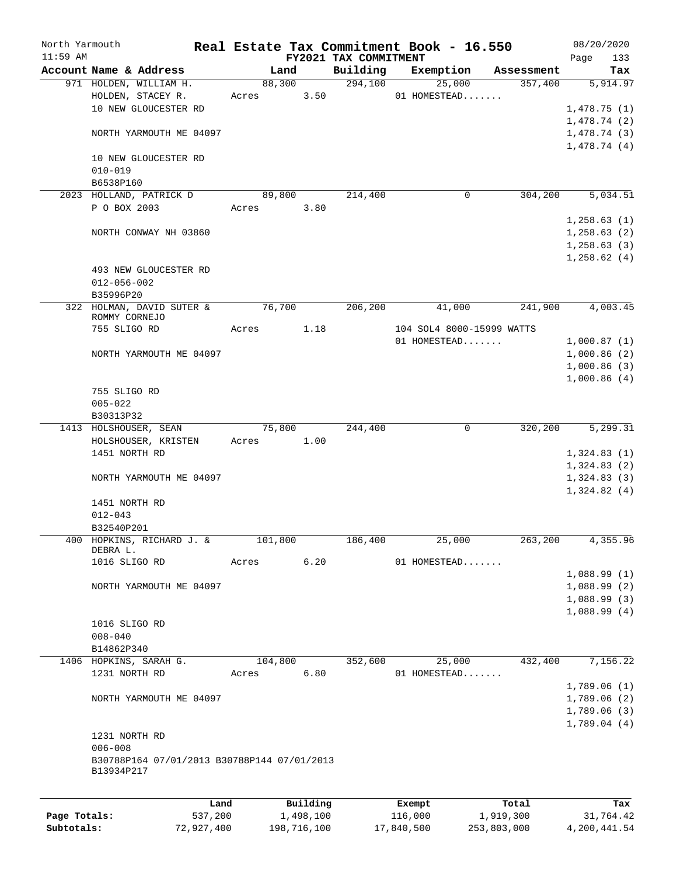| North Yarmouth |                                             |            |       |             |      |                                   | Real Estate Tax Commitment Book - 16.550 |             | 08/20/2020         |
|----------------|---------------------------------------------|------------|-------|-------------|------|-----------------------------------|------------------------------------------|-------------|--------------------|
| $11:59$ AM     | Account Name & Address                      |            |       | Land        |      | FY2021 TAX COMMITMENT<br>Building | Exemption                                | Assessment  | Page<br>133<br>Tax |
|                | 971 HOLDEN, WILLIAM H.                      |            |       | 88,300      |      | 294,100                           | 25,000                                   | 357,400     | 5,914.97           |
|                | HOLDEN, STACEY R.                           |            | Acres |             | 3.50 |                                   | 01 HOMESTEAD                             |             |                    |
|                | 10 NEW GLOUCESTER RD                        |            |       |             |      |                                   |                                          |             | 1,478.75(1)        |
|                |                                             |            |       |             |      |                                   |                                          |             | 1,478.74(2)        |
|                | NORTH YARMOUTH ME 04097                     |            |       |             |      |                                   |                                          |             | 1,478.74(3)        |
|                |                                             |            |       |             |      |                                   |                                          |             | 1,478.74(4)        |
|                | 10 NEW GLOUCESTER RD                        |            |       |             |      |                                   |                                          |             |                    |
|                | $010 - 019$                                 |            |       |             |      |                                   |                                          |             |                    |
|                | B6538P160                                   |            |       |             |      |                                   |                                          |             |                    |
|                | 2023 HOLLAND, PATRICK D                     |            |       | 89,800      |      | 214,400                           | 0                                        | 304,200     | 5,034.51           |
|                | P O BOX 2003                                |            | Acres |             | 3.80 |                                   |                                          |             |                    |
|                |                                             |            |       |             |      |                                   |                                          |             | 1,258.63(1)        |
|                | NORTH CONWAY NH 03860                       |            |       |             |      |                                   |                                          |             | 1, 258.63(2)       |
|                |                                             |            |       |             |      |                                   |                                          |             | 1,258.63(3)        |
|                |                                             |            |       |             |      |                                   |                                          |             | 1,258.62(4)        |
|                | 493 NEW GLOUCESTER RD                       |            |       |             |      |                                   |                                          |             |                    |
|                | $012 - 056 - 002$                           |            |       |             |      |                                   |                                          |             |                    |
|                | B35996P20                                   |            |       |             |      |                                   |                                          |             |                    |
|                | 322 HOLMAN, DAVID SUTER &                   |            |       | 76,700      |      | 206,200                           | 41,000                                   | 241,900     | 4,003.45           |
|                | ROMMY CORNEJO                               |            |       |             |      |                                   |                                          |             |                    |
|                | 755 SLIGO RD                                |            | Acres |             | 1.18 |                                   | 104 SOL4 8000-15999 WATTS                |             |                    |
|                |                                             |            |       |             |      |                                   | 01 HOMESTEAD                             |             | 1,000.87(1)        |
|                | NORTH YARMOUTH ME 04097                     |            |       |             |      |                                   |                                          |             | 1,000.86(2)        |
|                |                                             |            |       |             |      |                                   |                                          |             | 1,000.86(3)        |
|                |                                             |            |       |             |      |                                   |                                          |             | 1,000.86(4)        |
|                | 755 SLIGO RD                                |            |       |             |      |                                   |                                          |             |                    |
|                | $005 - 022$                                 |            |       |             |      |                                   |                                          |             |                    |
|                | B30313P32                                   |            |       |             |      |                                   |                                          |             |                    |
|                | 1413 HOLSHOUSER, SEAN                       |            |       | 75,800      |      | 244,400                           | 0                                        | 320,200     | 5,299.31           |
|                | HOLSHOUSER, KRISTEN                         |            | Acres |             | 1.00 |                                   |                                          |             |                    |
|                | 1451 NORTH RD                               |            |       |             |      |                                   |                                          |             | 1,324.83(1)        |
|                |                                             |            |       |             |      |                                   |                                          |             | 1,324.83(2)        |
|                | NORTH YARMOUTH ME 04097                     |            |       |             |      |                                   |                                          |             | 1,324.83(3)        |
|                |                                             |            |       |             |      |                                   |                                          |             | 1,324.82(4)        |
|                | 1451 NORTH RD                               |            |       |             |      |                                   |                                          |             |                    |
|                | $012 - 043$                                 |            |       |             |      |                                   |                                          |             |                    |
|                | B32540P201                                  |            |       |             |      |                                   |                                          |             |                    |
|                | 400 HOPKINS, RICHARD J. &                   |            |       | 101,800     |      | 186,400                           | 25,000                                   | 263,200     | 4,355.96           |
|                | DEBRA L.                                    |            |       |             |      |                                   |                                          |             |                    |
|                | 1016 SLIGO RD                               |            | Acres |             | 6.20 |                                   | 01 HOMESTEAD                             |             |                    |
|                |                                             |            |       |             |      |                                   |                                          |             | 1,088.99(1)        |
|                | NORTH YARMOUTH ME 04097                     |            |       |             |      |                                   |                                          |             | 1,088.99(2)        |
|                |                                             |            |       |             |      |                                   |                                          |             | 1,088.99(3)        |
|                |                                             |            |       |             |      |                                   |                                          |             | 1,088.99(4)        |
|                | 1016 SLIGO RD                               |            |       |             |      |                                   |                                          |             |                    |
|                | $008 - 040$                                 |            |       |             |      |                                   |                                          |             |                    |
|                | B14862P340                                  |            |       |             |      |                                   |                                          |             |                    |
|                | 1406 HOPKINS, SARAH G.                      |            |       | 104,800     |      | 352,600                           | 25,000                                   | 432,400     | 7,156.22           |
|                | 1231 NORTH RD                               |            | Acres |             | 6.80 |                                   | 01 HOMESTEAD                             |             |                    |
|                |                                             |            |       |             |      |                                   |                                          |             | 1,789.06(1)        |
|                | NORTH YARMOUTH ME 04097                     |            |       |             |      |                                   |                                          |             | 1,789.06(2)        |
|                |                                             |            |       |             |      |                                   |                                          |             | 1,789.06(3)        |
|                |                                             |            |       |             |      |                                   |                                          |             | 1,789.04(4)        |
|                | 1231 NORTH RD                               |            |       |             |      |                                   |                                          |             |                    |
|                | $006 - 008$                                 |            |       |             |      |                                   |                                          |             |                    |
|                | B30788P164 07/01/2013 B30788P144 07/01/2013 |            |       |             |      |                                   |                                          |             |                    |
|                | B13934P217                                  |            |       |             |      |                                   |                                          |             |                    |
|                |                                             |            |       |             |      |                                   |                                          |             |                    |
|                |                                             | Land       |       | Building    |      |                                   | Exempt                                   | Total       | Tax                |
| Page Totals:   |                                             | 537,200    |       | 1,498,100   |      |                                   | 116,000                                  | 1,919,300   | 31,764.42          |
| Subtotals:     |                                             | 72,927,400 |       | 198,716,100 |      |                                   | 17,840,500                               | 253,803,000 | 4,200,441.54       |
|                |                                             |            |       |             |      |                                   |                                          |             |                    |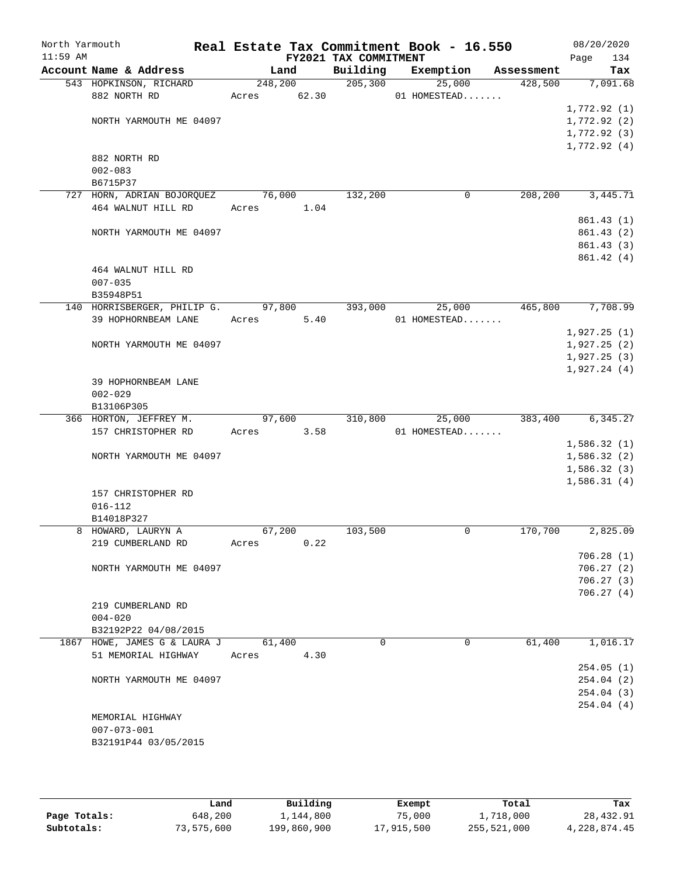| North Yarmouth |                                     |                 |       |                       | Real Estate Tax Commitment Book - 16.550 |            | 08/20/2020      |
|----------------|-------------------------------------|-----------------|-------|-----------------------|------------------------------------------|------------|-----------------|
| $11:59$ AM     | Account Name & Address              |                 |       | FY2021 TAX COMMITMENT |                                          | Assessment | Page<br>134     |
|                | 543 HOPKINSON, RICHARD              | Land<br>248,200 |       | Building<br>205, 300  | Exemption<br>25,000                      | 428,500    | Tax<br>7,091.68 |
|                | 882 NORTH RD                        | Acres           | 62.30 |                       | 01 HOMESTEAD                             |            |                 |
|                |                                     |                 |       |                       |                                          |            | 1,772.92(1)     |
|                | NORTH YARMOUTH ME 04097             |                 |       |                       |                                          |            | 1,772.92 (2)    |
|                |                                     |                 |       |                       |                                          |            | 1,772.92 (3)    |
|                |                                     |                 |       |                       |                                          |            | 1,772.92(4)     |
|                | 882 NORTH RD                        |                 |       |                       |                                          |            |                 |
|                | $002 - 083$                         |                 |       |                       |                                          |            |                 |
|                | B6715P37                            |                 |       |                       |                                          |            |                 |
|                | 727 HORN, ADRIAN BOJORQUEZ          | 76,000          |       | 132,200               | 0                                        | 208,200    | 3,445.71        |
|                | 464 WALNUT HILL RD                  | Acres           | 1.04  |                       |                                          |            |                 |
|                |                                     |                 |       |                       |                                          |            | 861.43(1)       |
|                | NORTH YARMOUTH ME 04097             |                 |       |                       |                                          |            | 861.43(2)       |
|                |                                     |                 |       |                       |                                          |            | 861.43 (3)      |
|                |                                     |                 |       |                       |                                          |            | 861.42(4)       |
|                | 464 WALNUT HILL RD                  |                 |       |                       |                                          |            |                 |
|                | $007 - 035$                         |                 |       |                       |                                          |            |                 |
|                | B35948P51                           |                 |       |                       |                                          |            |                 |
|                | 140 HORRISBERGER, PHILIP G. 97,800  |                 |       | 393,000               | 25,000                                   | 465,800    | 7,708.99        |
|                | 39 HOPHORNBEAM LANE                 | Acres           | 5.40  |                       | 01 HOMESTEAD                             |            |                 |
|                |                                     |                 |       |                       |                                          |            | 1,927.25(1)     |
|                | NORTH YARMOUTH ME 04097             |                 |       |                       |                                          |            | 1,927.25(2)     |
|                |                                     |                 |       |                       |                                          |            | 1,927.25(3)     |
|                | 39 HOPHORNBEAM LANE                 |                 |       |                       |                                          |            | 1,927.24(4)     |
|                | $002 - 029$                         |                 |       |                       |                                          |            |                 |
|                | B13106P305                          |                 |       |                       |                                          |            |                 |
|                | 366 HORTON, JEFFREY M.              | 97,600          |       | 310,800               | 25,000                                   | 383,400    | 6, 345.27       |
|                | 157 CHRISTOPHER RD                  | Acres           | 3.58  |                       | 01 HOMESTEAD                             |            |                 |
|                |                                     |                 |       |                       |                                          |            | 1,586.32(1)     |
|                | NORTH YARMOUTH ME 04097             |                 |       |                       |                                          |            | 1,586.32(2)     |
|                |                                     |                 |       |                       |                                          |            | 1,586.32(3)     |
|                |                                     |                 |       |                       |                                          |            | 1,586.31(4)     |
|                | 157 CHRISTOPHER RD                  |                 |       |                       |                                          |            |                 |
|                | $016 - 112$                         |                 |       |                       |                                          |            |                 |
|                | B14018P327                          |                 |       |                       |                                          |            |                 |
|                | 8 HOWARD, LAURYN A                  | 67,200          |       | 103,500               | 0                                        | 170,700    | 2,825.09        |
|                | 219 CUMBERLAND RD                   | Acres           | 0.22  |                       |                                          |            |                 |
|                |                                     |                 |       |                       |                                          |            | 706.28(1)       |
|                | NORTH YARMOUTH ME 04097             |                 |       |                       |                                          |            | 706.27(2)       |
|                |                                     |                 |       |                       |                                          |            | 706.27(3)       |
|                |                                     |                 |       |                       |                                          |            | 706.27(4)       |
|                | 219 CUMBERLAND RD                   |                 |       |                       |                                          |            |                 |
|                | $004 - 020$<br>B32192P22 04/08/2015 |                 |       |                       |                                          |            |                 |
|                | 1867 HOWE, JAMES G & LAURA J        | 61,400          |       | $\Omega$              | $\Omega$                                 | 61,400     | 1,016.17        |
|                | 51 MEMORIAL HIGHWAY                 | Acres           | 4.30  |                       |                                          |            |                 |
|                |                                     |                 |       |                       |                                          |            | 254.05(1)       |
|                | NORTH YARMOUTH ME 04097             |                 |       |                       |                                          |            | 254.04 (2)      |
|                |                                     |                 |       |                       |                                          |            | 254.04 (3)      |
|                |                                     |                 |       |                       |                                          |            | 254.04(4)       |
|                | MEMORIAL HIGHWAY                    |                 |       |                       |                                          |            |                 |
|                | $007 - 073 - 001$                   |                 |       |                       |                                          |            |                 |
|                | B32191P44 03/05/2015                |                 |       |                       |                                          |            |                 |
|                |                                     |                 |       |                       |                                          |            |                 |

|              | Land       | Building    | Exempt     | Total       | Tax          |
|--------------|------------|-------------|------------|-------------|--------------|
| Page Totals: | 648,200    | 1,144,800   | 75,000     | 1,718,000   | 28,432.91    |
| Subtotals:   | 73,575,600 | 199,860,900 | 17,915,500 | 255,521,000 | 4,228,874.45 |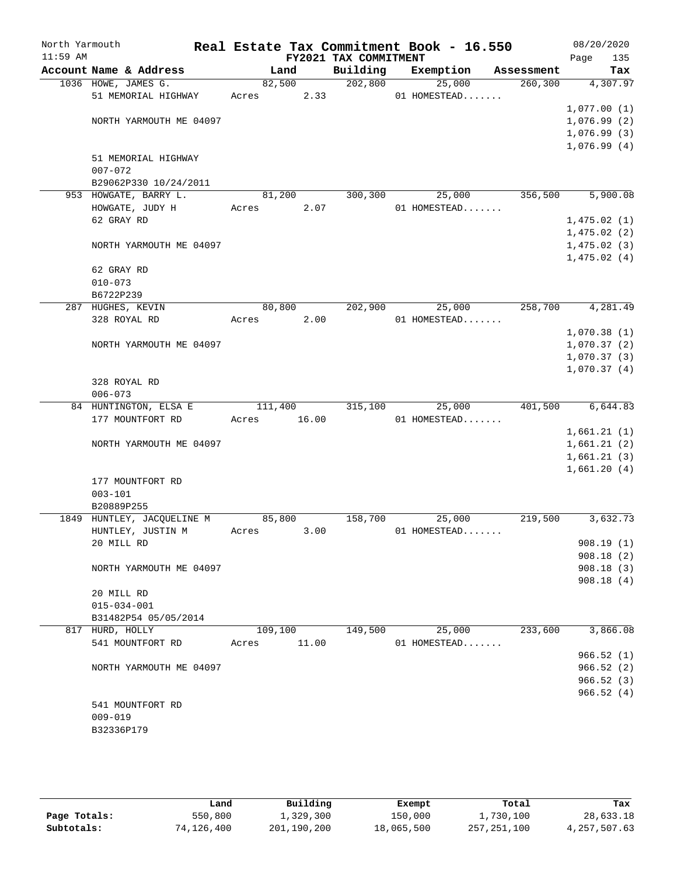| North Yarmouth<br>$11:59$ AM |                                      |         |        | Real Estate Tax Commitment Book - 16.550<br>FY2021 TAX COMMITMENT |              |            | 08/20/2020<br>135<br>Page |
|------------------------------|--------------------------------------|---------|--------|-------------------------------------------------------------------|--------------|------------|---------------------------|
|                              | Account Name & Address               |         | Land   | Building                                                          | Exemption    | Assessment | Tax                       |
|                              | 1036 HOWE, JAMES G.                  |         | 82,500 | 202,800                                                           | 25,000       | 260, 300   | 4,307.97                  |
|                              | 51 MEMORIAL HIGHWAY                  | Acres   | 2.33   |                                                                   | 01 HOMESTEAD |            |                           |
|                              |                                      |         |        |                                                                   |              |            | 1,077.00(1)               |
|                              | NORTH YARMOUTH ME 04097              |         |        |                                                                   |              |            | 1,076.99(2)               |
|                              |                                      |         |        |                                                                   |              |            | 1,076.99(3)               |
|                              |                                      |         |        |                                                                   |              |            | 1,076.99(4)               |
|                              | 51 MEMORIAL HIGHWAY                  |         |        |                                                                   |              |            |                           |
|                              | $007 - 072$<br>B29062P330 10/24/2011 |         |        |                                                                   |              |            |                           |
|                              | 953 HOWGATE, BARRY L.                |         | 81,200 | 300,300                                                           | 25,000       | 356,500    | 5,900.08                  |
|                              | HOWGATE, JUDY H                      | Acres   | 2.07   |                                                                   | 01 HOMESTEAD |            |                           |
|                              | 62 GRAY RD                           |         |        |                                                                   |              |            | 1,475.02(1)               |
|                              |                                      |         |        |                                                                   |              |            | 1,475.02(2)               |
|                              | NORTH YARMOUTH ME 04097              |         |        |                                                                   |              |            | 1,475.02(3)               |
|                              |                                      |         |        |                                                                   |              |            | 1,475.02(4)               |
|                              | 62 GRAY RD                           |         |        |                                                                   |              |            |                           |
|                              | $010 - 073$                          |         |        |                                                                   |              |            |                           |
|                              | B6722P239                            |         |        |                                                                   |              |            |                           |
|                              | 287 HUGHES, KEVIN                    | 80,800  |        | 202,900                                                           | 25,000       | 258,700    | 4,281.49                  |
|                              | 328 ROYAL RD                         | Acres   | 2.00   |                                                                   | 01 HOMESTEAD |            |                           |
|                              |                                      |         |        |                                                                   |              |            | 1,070.38(1)               |
|                              | NORTH YARMOUTH ME 04097              |         |        |                                                                   |              |            | 1,070.37(2)               |
|                              |                                      |         |        |                                                                   |              |            | 1,070.37(3)               |
|                              |                                      |         |        |                                                                   |              |            | 1,070.37(4)               |
|                              | 328 ROYAL RD                         |         |        |                                                                   |              |            |                           |
|                              | $006 - 073$                          |         |        |                                                                   |              |            |                           |
|                              | 84 HUNTINGTON, ELSA E                | 111,400 |        | 315,100                                                           | 25,000       | 401,500    | 6,644.83                  |
|                              | 177 MOUNTFORT RD                     | Acres   | 16.00  |                                                                   | 01 HOMESTEAD |            |                           |
|                              |                                      |         |        |                                                                   |              |            | 1,661.21(1)               |
|                              | NORTH YARMOUTH ME 04097              |         |        |                                                                   |              |            | 1,661.21(2)               |
|                              |                                      |         |        |                                                                   |              |            | 1,661.21(3)               |
|                              |                                      |         |        |                                                                   |              |            | 1,661.20(4)               |
|                              | 177 MOUNTFORT RD                     |         |        |                                                                   |              |            |                           |
|                              | $003 - 101$                          |         |        |                                                                   |              |            |                           |
|                              | B20889P255                           |         |        |                                                                   |              |            |                           |
|                              | 1849 HUNTLEY, JACQUELINE M           | 85,800  |        | 158,700                                                           | 25,000       | 219,500    | 3,632.73                  |
|                              | HUNTLEY, JUSTIN M                    | Acres   | 3.00   |                                                                   | 01 HOMESTEAD |            |                           |
|                              | 20 MILL RD                           |         |        |                                                                   |              |            | 908.19(1)                 |
|                              |                                      |         |        |                                                                   |              |            | 908.18(2)                 |
|                              | NORTH YARMOUTH ME 04097              |         |        |                                                                   |              |            | 908.18(3)<br>908.18(4)    |
|                              | 20 MILL RD                           |         |        |                                                                   |              |            |                           |
|                              | $015 - 034 - 001$                    |         |        |                                                                   |              |            |                           |
|                              | B31482P54 05/05/2014                 |         |        |                                                                   |              |            |                           |
|                              | 817 HURD, HOLLY                      | 109,100 |        | 149,500                                                           | 25,000       | 233,600    | 3,866.08                  |
|                              | 541 MOUNTFORT RD                     | Acres   | 11.00  |                                                                   | 01 HOMESTEAD |            |                           |
|                              |                                      |         |        |                                                                   |              |            | 966.52(1)                 |
|                              | NORTH YARMOUTH ME 04097              |         |        |                                                                   |              |            | 966.52(2)                 |
|                              |                                      |         |        |                                                                   |              |            | 966.52(3)                 |
|                              |                                      |         |        |                                                                   |              |            | 966.52(4)                 |
|                              | 541 MOUNTFORT RD                     |         |        |                                                                   |              |            |                           |
|                              | $009 - 019$                          |         |        |                                                                   |              |            |                           |
|                              | B32336P179                           |         |        |                                                                   |              |            |                           |
|                              |                                      |         |        |                                                                   |              |            |                           |

|              | Land       | Building    | Exempt     | Total       | Tax          |
|--------------|------------|-------------|------------|-------------|--------------|
| Page Totals: | 550,800    | 1,329,300   | 150,000    | 1,730,100   | 28,633.18    |
| Subtotals:   | 74,126,400 | 201,190,200 | 18,065,500 | 257,251,100 | 4,257,507.63 |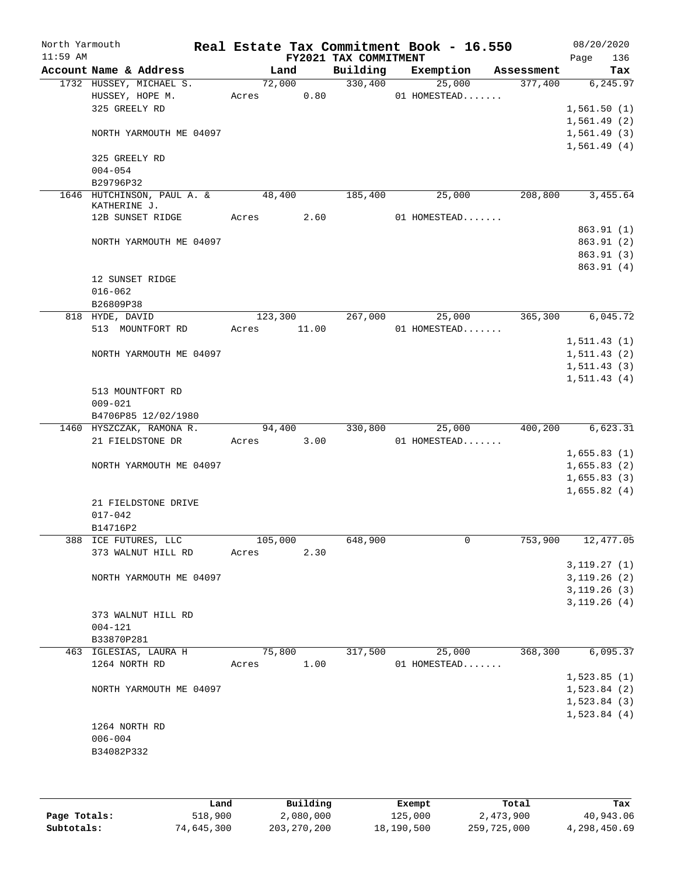| North Yarmouth<br>$11:59$ AM |                          |                            |         |       | FY2021 TAX COMMITMENT | Real Estate Tax Commitment Book - 16.550 |            | 08/20/2020<br>136<br>Page |
|------------------------------|--------------------------|----------------------------|---------|-------|-----------------------|------------------------------------------|------------|---------------------------|
|                              |                          | Account Name & Address     | Land    |       | Building              | Exemption                                | Assessment | Tax                       |
|                              |                          | 1732 HUSSEY, MICHAEL S.    | 72,000  |       | 330,400               | 25,000                                   | 377,400    | 6, 245.97                 |
|                              | HUSSEY, HOPE M.          |                            | Acres   | 0.80  |                       | 01 HOMESTEAD                             |            |                           |
|                              | 325 GREELY RD            |                            |         |       |                       |                                          |            | 1,561.50(1)               |
|                              |                          |                            |         |       |                       |                                          |            | 1,561.49(2)               |
|                              |                          | NORTH YARMOUTH ME 04097    |         |       |                       |                                          |            | 1,561.49(3)               |
|                              | 325 GREELY RD            |                            |         |       |                       |                                          |            | 1,561.49(4)               |
|                              | $004 - 054$<br>B29796P32 |                            |         |       |                       |                                          |            |                           |
|                              |                          | 1646 HUTCHINSON, PAUL A. & | 48,400  |       | 185,400               | 25,000                                   | 208,800    | 3,455.64                  |
|                              | KATHERINE J.             | 12B SUNSET RIDGE           | Acres   | 2.60  |                       | 01 HOMESTEAD                             |            |                           |
|                              |                          |                            |         |       |                       |                                          |            | 863.91(1)                 |
|                              |                          | NORTH YARMOUTH ME 04097    |         |       |                       |                                          |            | 863.91 (2)                |
|                              |                          |                            |         |       |                       |                                          |            | 863.91 (3)                |
|                              |                          |                            |         |       |                       |                                          |            | 863.91 (4)                |
|                              | 12 SUNSET RIDGE          |                            |         |       |                       |                                          |            |                           |
|                              | $016 - 062$              |                            |         |       |                       |                                          |            |                           |
|                              | B26809P38                |                            |         |       |                       |                                          |            |                           |
|                              | 818 HYDE, DAVID          |                            | 123,300 |       | 267,000               | 25,000                                   | 365,300    | 6,045.72                  |
|                              |                          | 513 MOUNTFORT RD           | Acres   | 11.00 |                       | 01 HOMESTEAD                             |            |                           |
|                              |                          |                            |         |       |                       |                                          |            | 1, 511.43(1)              |
|                              |                          | NORTH YARMOUTH ME 04097    |         |       |                       |                                          |            | 1, 511.43(2)              |
|                              |                          |                            |         |       |                       |                                          |            | 1, 511.43(3)              |
|                              |                          |                            |         |       |                       |                                          |            | 1, 511.43(4)              |
|                              |                          | 513 MOUNTFORT RD           |         |       |                       |                                          |            |                           |
|                              | $009 - 021$              |                            |         |       |                       |                                          |            |                           |
|                              |                          | B4706P85 12/02/1980        |         |       |                       |                                          |            |                           |
|                              |                          | 1460 HYSZCZAK, RAMONA R.   | 94,400  |       | 330,800               | 25,000                                   | 400,200    | 6,623.31                  |
|                              |                          | 21 FIELDSTONE DR           | Acres   | 3.00  |                       | 01 HOMESTEAD                             |            |                           |
|                              |                          |                            |         |       |                       |                                          |            | 1,655.83(1)               |
|                              |                          | NORTH YARMOUTH ME 04097    |         |       |                       |                                          |            | 1,655.83(2)               |
|                              |                          |                            |         |       |                       |                                          |            | 1,655.83(3)               |
|                              |                          |                            |         |       |                       |                                          |            | 1,655.82(4)               |
|                              |                          | 21 FIELDSTONE DRIVE        |         |       |                       |                                          |            |                           |
|                              | $017 - 042$<br>B14716P2  |                            |         |       |                       |                                          |            |                           |
|                              | 388 ICE FUTURES, LLC     |                            | 105,000 |       | 648,900               | 0                                        | 753,900    | 12,477.05                 |
|                              |                          | 373 WALNUT HILL RD         | Acres   | 2.30  |                       |                                          |            |                           |
|                              |                          |                            |         |       |                       |                                          |            | 3, 119.27(1)              |
|                              |                          | NORTH YARMOUTH ME 04097    |         |       |                       |                                          |            | 3,119.26(2)               |
|                              |                          |                            |         |       |                       |                                          |            | 3, 119.26(3)              |
|                              |                          |                            |         |       |                       |                                          |            | 3, 119.26(4)              |
|                              |                          | 373 WALNUT HILL RD         |         |       |                       |                                          |            |                           |
|                              | $004 - 121$              |                            |         |       |                       |                                          |            |                           |
|                              | B33870P281               |                            |         |       |                       |                                          |            |                           |
|                              |                          | 463 IGLESIAS, LAURA H      | 75,800  |       | 317,500               | 25,000                                   | 368,300    | 6,095.37                  |
|                              | 1264 NORTH RD            |                            | Acres   | 1.00  |                       | 01 HOMESTEAD                             |            |                           |
|                              |                          |                            |         |       |                       |                                          |            | 1,523.85(1)               |
|                              |                          | NORTH YARMOUTH ME 04097    |         |       |                       |                                          |            | 1,523.84(2)               |
|                              |                          |                            |         |       |                       |                                          |            | 1,523.84(3)               |
|                              |                          |                            |         |       |                       |                                          |            | 1,523.84(4)               |
|                              | 1264 NORTH RD            |                            |         |       |                       |                                          |            |                           |
|                              | $006 - 004$              |                            |         |       |                       |                                          |            |                           |
|                              | B34082P332               |                            |         |       |                       |                                          |            |                           |
|                              |                          |                            |         |       |                       |                                          |            |                           |
|                              |                          |                            |         |       |                       |                                          |            |                           |
|                              |                          |                            |         |       |                       |                                          |            |                           |

|              | Land       | Building    | Exempt     | Total       | Tax          |
|--------------|------------|-------------|------------|-------------|--------------|
| Page Totals: | 518,900    | 2,080,000   | 125,000    | 2,473,900   | 40,943.06    |
| Subtotals:   | 74,645,300 | 203,270,200 | 18,190,500 | 259,725,000 | 4,298,450.69 |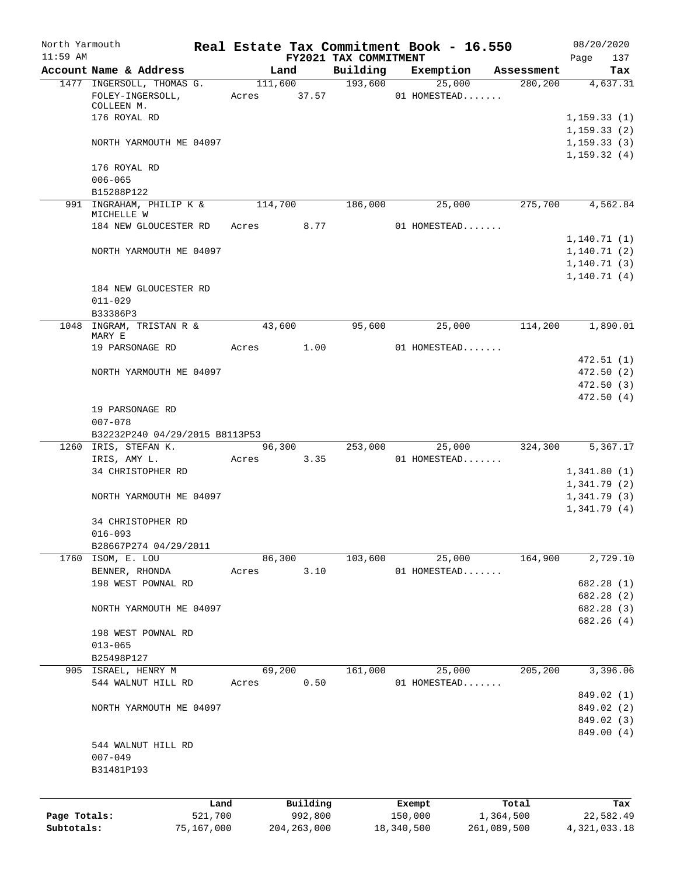| North Yarmouth<br>$11:59$ AM |                                               |         |                      |          | FY2021 TAX COMMITMENT  | Real Estate Tax Commitment Book - 16.550 |            | 08/20/2020<br>137<br>Page    |
|------------------------------|-----------------------------------------------|---------|----------------------|----------|------------------------|------------------------------------------|------------|------------------------------|
|                              | Account Name & Address                        |         | Land                 |          | Building               | Exemption                                | Assessment | Tax                          |
|                              | 1477 INGERSOLL, THOMAS G.<br>FOLEY-INGERSOLL, |         |                      | 111,600  | 193,600<br>Acres 37.57 | 25,000<br>01 HOMESTEAD                   | 280, 200   | 4,637.31                     |
|                              | COLLEEN M.                                    |         |                      |          |                        |                                          |            |                              |
|                              | 176 ROYAL RD                                  |         |                      |          |                        |                                          |            | 1, 159.33(1)<br>1, 159.33(2) |
|                              | NORTH YARMOUTH ME 04097                       |         |                      |          |                        |                                          |            | 1, 159.33(3)                 |
|                              |                                               |         |                      |          |                        |                                          |            | 1, 159.32(4)                 |
|                              | 176 ROYAL RD                                  |         |                      |          |                        |                                          |            |                              |
|                              | $006 - 065$                                   |         |                      |          |                        |                                          |            |                              |
|                              | B15288P122                                    |         |                      |          |                        |                                          |            |                              |
|                              | 991 INGRAHAM, PHILIP K &<br>MICHELLE W        |         | $\overline{114,700}$ |          | 186,000                | 25,000                                   | 275,700    | 4,562.84                     |
|                              | 184 NEW GLOUCESTER RD                         |         | Acres 8.77           |          |                        | 01 HOMESTEAD                             |            |                              |
|                              |                                               |         |                      |          |                        |                                          |            | 1, 140.71(1)                 |
|                              | NORTH YARMOUTH ME 04097                       |         |                      |          |                        |                                          |            | 1,140.71(2)                  |
|                              |                                               |         |                      |          |                        |                                          |            | 1, 140.71(3)                 |
|                              | 184 NEW GLOUCESTER RD                         |         |                      |          |                        |                                          |            | 1,140.71(4)                  |
|                              | $011 - 029$                                   |         |                      |          |                        |                                          |            |                              |
|                              | B33386P3                                      |         |                      |          |                        |                                          |            |                              |
|                              | 1048 INGRAM, TRISTAN R &                      |         | 43,600               |          | 95,600                 | 25,000                                   | 114,200    | 1,890.01                     |
|                              | MARY E                                        |         |                      |          |                        |                                          |            |                              |
|                              | 19 PARSONAGE RD                               |         | Acres 1.00           |          |                        | $01$ HOMESTEAD                           |            |                              |
|                              |                                               |         |                      |          |                        |                                          |            | 472.51(1)                    |
|                              | NORTH YARMOUTH ME 04097                       |         |                      |          |                        |                                          |            | 472.50(2)                    |
|                              |                                               |         |                      |          |                        |                                          |            | 472.50(3)                    |
|                              | 19 PARSONAGE RD                               |         |                      |          |                        |                                          |            | 472.50(4)                    |
|                              | $007 - 078$<br>B32232P240 04/29/2015 B8113P53 |         |                      |          |                        |                                          |            |                              |
|                              | 1260 IRIS, STEFAN K.                          |         |                      |          | 96,300 253,000         | 25,000                                   |            | 324,300 5,367.17             |
|                              | IRIS, AMY L.                                  |         | Acres                | 3.35     |                        | $01$ HOMESTEAD                           |            |                              |
|                              | 34 CHRISTOPHER RD                             |         |                      |          |                        |                                          |            | 1,341.80(1)                  |
|                              |                                               |         |                      |          |                        |                                          |            | 1,341.79(2)                  |
|                              | NORTH YARMOUTH ME 04097                       |         |                      |          |                        |                                          |            | 1,341.79(3)                  |
|                              |                                               |         |                      |          |                        |                                          |            | 1,341.79(4)                  |
|                              | 34 CHRISTOPHER RD                             |         |                      |          |                        |                                          |            |                              |
|                              | $016 - 093$                                   |         |                      |          |                        |                                          |            |                              |
|                              | B28667P274 04/29/2011                         |         |                      |          |                        |                                          |            |                              |
|                              | 1760 ISOM, E. LOU                             |         | 86,300               |          | 103,600                | 25,000                                   | 164,900    | 2,729.10                     |
|                              | BENNER, RHONDA<br>198 WEST POWNAL RD          |         | Acres                | 3.10     |                        | 01 HOMESTEAD                             |            | 682.28 (1)                   |
|                              |                                               |         |                      |          |                        |                                          |            | 682.28 (2)                   |
|                              | NORTH YARMOUTH ME 04097                       |         |                      |          |                        |                                          |            | 682.28 (3)                   |
|                              |                                               |         |                      |          |                        |                                          |            | 682.26(4)                    |
|                              | 198 WEST POWNAL RD                            |         |                      |          |                        |                                          |            |                              |
|                              | $013 - 065$                                   |         |                      |          |                        |                                          |            |                              |
|                              | B25498P127                                    |         |                      |          |                        |                                          |            |                              |
|                              | 905 ISRAEL, HENRY M                           |         | 69,200               |          | 161,000                | 25,000                                   | 205,200    | 3,396.06                     |
|                              | 544 WALNUT HILL RD                            |         | Acres                | 0.50     |                        | 01 HOMESTEAD                             |            |                              |
|                              |                                               |         |                      |          |                        |                                          |            | 849.02 (1)                   |
|                              | NORTH YARMOUTH ME 04097                       |         |                      |          |                        |                                          |            | 849.02 (2)                   |
|                              |                                               |         |                      |          |                        |                                          |            | 849.02 (3)                   |
|                              | 544 WALNUT HILL RD                            |         |                      |          |                        |                                          |            | 849.00 (4)                   |
|                              | $007 - 049$                                   |         |                      |          |                        |                                          |            |                              |
|                              | B31481P193                                    |         |                      |          |                        |                                          |            |                              |
|                              |                                               |         |                      |          |                        |                                          |            |                              |
|                              |                                               | Land    |                      | Building |                        | Exempt                                   | Total      | Tax                          |
| Page Totals:                 |                                               | 521,700 |                      | 992,800  |                        | 150,000                                  | 1,364,500  | 22,582.49                    |

**Subtotals:** 75,167,000 204,263,000 18,340,500 261,089,500 4,321,033.18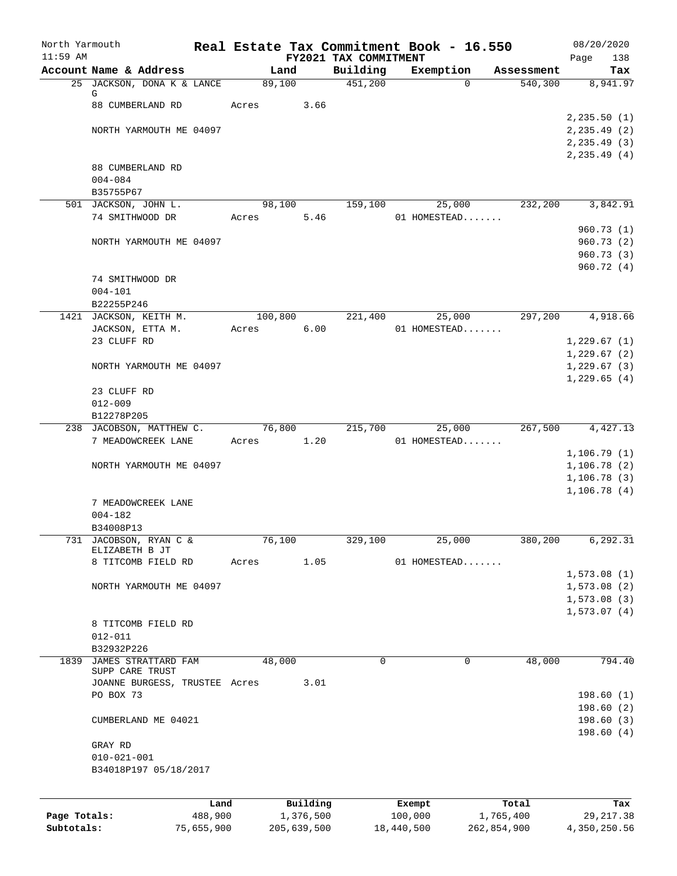| North Yarmouth<br>$11:59$ AM |                                                |            |         |             |                                   | Real Estate Tax Commitment Book - 16.550 |             | 08/20/2020                         |
|------------------------------|------------------------------------------------|------------|---------|-------------|-----------------------------------|------------------------------------------|-------------|------------------------------------|
|                              | Account Name & Address                         |            | Land    |             | FY2021 TAX COMMITMENT<br>Building | Exemption                                | Assessment  | 138<br>Page<br>Tax                 |
|                              | 25 JACKSON, DONA K & LANCE                     |            | 89,100  |             | 451,200                           | $\Omega$                                 | 540,300     | 8,941.97                           |
|                              | G                                              |            |         |             |                                   |                                          |             |                                    |
|                              | 88 CUMBERLAND RD                               |            | Acres   | 3.66        |                                   |                                          |             |                                    |
|                              | NORTH YARMOUTH ME 04097                        |            |         |             |                                   |                                          |             | 2, 235.50(1)                       |
|                              |                                                |            |         |             |                                   |                                          |             | $2, 235.49$ (2)<br>$2, 235.49$ (3) |
|                              |                                                |            |         |             |                                   |                                          |             | 2, 235.49(4)                       |
|                              | 88 CUMBERLAND RD                               |            |         |             |                                   |                                          |             |                                    |
|                              | $004 - 084$                                    |            |         |             |                                   |                                          |             |                                    |
|                              | B35755P67                                      |            |         |             |                                   |                                          |             |                                    |
|                              | 501 JACKSON, JOHN L.                           |            | 98,100  |             | 159,100                           | 25,000                                   | 232,200     | 3,842.91                           |
|                              | 74 SMITHWOOD DR                                |            | Acres   | 5.46        |                                   | 01 HOMESTEAD                             |             | 960.73(1)                          |
|                              | NORTH YARMOUTH ME 04097                        |            |         |             |                                   |                                          |             | 960.73(2)                          |
|                              |                                                |            |         |             |                                   |                                          |             | 960.73(3)                          |
|                              |                                                |            |         |             |                                   |                                          |             | 960.72(4)                          |
|                              | 74 SMITHWOOD DR                                |            |         |             |                                   |                                          |             |                                    |
|                              | $004 - 101$                                    |            |         |             |                                   |                                          |             |                                    |
|                              | B22255P246                                     |            |         |             |                                   |                                          |             |                                    |
|                              | 1421 JACKSON, KEITH M.                         |            | 100,800 |             | 221,400                           | 25,000                                   | 297,200     | 4,918.66                           |
|                              | JACKSON, ETTA M.<br>23 CLUFF RD                |            | Acres   | 6.00        |                                   | 01 HOMESTEAD                             |             | 1,229.67(1)                        |
|                              |                                                |            |         |             |                                   |                                          |             | 1,229.67(2)                        |
|                              | NORTH YARMOUTH ME 04097                        |            |         |             |                                   |                                          |             | 1,229.67(3)                        |
|                              |                                                |            |         |             |                                   |                                          |             | 1,229.65(4)                        |
|                              | 23 CLUFF RD                                    |            |         |             |                                   |                                          |             |                                    |
|                              | $012 - 009$                                    |            |         |             |                                   |                                          |             |                                    |
|                              | B12278P205                                     |            |         |             |                                   |                                          |             |                                    |
|                              | 238 JACOBSON, MATTHEW C.<br>7 MEADOWCREEK LANE |            | 76,800  | 1.20        | 215,700                           | 25,000                                   | 267,500     | 4,427.13                           |
|                              |                                                |            | Acres   |             |                                   | 01 HOMESTEAD                             |             | 1,106.79(1)                        |
|                              | NORTH YARMOUTH ME 04097                        |            |         |             |                                   |                                          |             | 1,106.78(2)                        |
|                              |                                                |            |         |             |                                   |                                          |             | 1, 106.78(3)                       |
|                              |                                                |            |         |             |                                   |                                          |             | 1,106.78(4)                        |
|                              | 7 MEADOWCREEK LANE                             |            |         |             |                                   |                                          |             |                                    |
|                              | 004-182                                        |            |         |             |                                   |                                          |             |                                    |
|                              | B34008P13                                      |            |         |             |                                   |                                          |             |                                    |
|                              | 731 JACOBSON, RYAN C &<br>ELIZABETH B JT       |            | 76,100  |             | 329,100                           | 25,000                                   | 380,200     | 6,292.31                           |
|                              | 8 TITCOMB FIELD RD                             |            | Acres   | 1.05        |                                   | 01 HOMESTEAD                             |             |                                    |
|                              |                                                |            |         |             |                                   |                                          |             | 1,573.08(1)                        |
|                              | NORTH YARMOUTH ME 04097                        |            |         |             |                                   |                                          |             | 1,573.08(2)                        |
|                              |                                                |            |         |             |                                   |                                          |             | 1, 573.08(3)                       |
|                              | 8 TITCOMB FIELD RD                             |            |         |             |                                   |                                          |             | 1,573.07(4)                        |
|                              | $012 - 011$                                    |            |         |             |                                   |                                          |             |                                    |
|                              | B32932P226                                     |            |         |             |                                   |                                          |             |                                    |
| 1839                         | JAMES STRATTARD FAM                            |            | 48,000  |             | $\mathbf 0$                       | $\mathbf 0$                              | 48,000      | 794.40                             |
|                              | SUPP CARE TRUST                                |            |         |             |                                   |                                          |             |                                    |
|                              | JOANNE BURGESS, TRUSTEE Acres                  |            |         | 3.01        |                                   |                                          |             |                                    |
|                              | PO BOX 73                                      |            |         |             |                                   |                                          |             | 198.60(1)<br>198.60(2)             |
|                              | CUMBERLAND ME 04021                            |            |         |             |                                   |                                          |             | 198.60(3)                          |
|                              |                                                |            |         |             |                                   |                                          |             | 198.60(4)                          |
|                              | GRAY RD                                        |            |         |             |                                   |                                          |             |                                    |
|                              | $010 - 021 - 001$                              |            |         |             |                                   |                                          |             |                                    |
|                              | B34018P197 05/18/2017                          |            |         |             |                                   |                                          |             |                                    |
|                              |                                                |            |         |             |                                   |                                          |             |                                    |
|                              |                                                | Land       |         | Building    |                                   | Exempt                                   | Total       | Tax                                |
| Page Totals:                 |                                                | 488,900    |         | 1,376,500   |                                   | 100,000                                  | 1,765,400   | 29, 217.38                         |
| Subtotals:                   |                                                | 75,655,900 |         | 205,639,500 |                                   | 18,440,500                               | 262,854,900 | 4,350,250.56                       |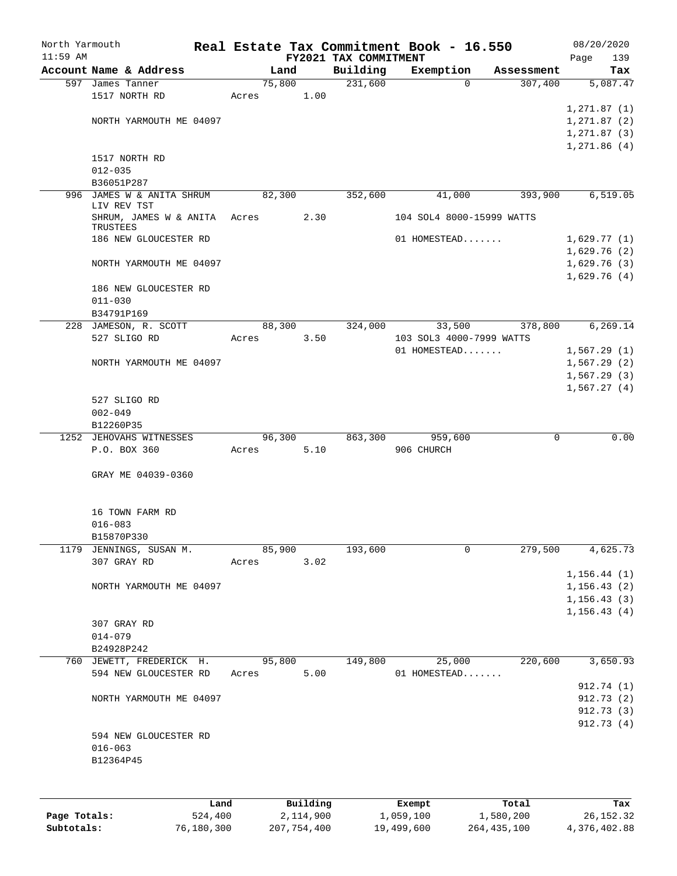| North Yarmouth<br>$11:59$ AM |                                          |       |           | FY2021 TAX COMMITMENT | Real Estate Tax Commitment Book - 16.550 |             | 08/20/2020<br>139 |
|------------------------------|------------------------------------------|-------|-----------|-----------------------|------------------------------------------|-------------|-------------------|
|                              | Account Name & Address                   |       | Land      | Building              | Exemption                                | Assessment  | Page<br>Tax       |
|                              | 597 James Tanner                         |       | 75,800    | 231,600               | 0                                        | 307,400     | 5,087.47          |
|                              | 1517 NORTH RD                            | Acres | 1.00      |                       |                                          |             |                   |
|                              |                                          |       |           |                       |                                          |             | 1, 271.87(1)      |
|                              | NORTH YARMOUTH ME 04097                  |       |           |                       |                                          |             | 1, 271.87(2)      |
|                              |                                          |       |           |                       |                                          |             | 1, 271.87(3)      |
|                              |                                          |       |           |                       |                                          |             | 1,271.86(4)       |
|                              | 1517 NORTH RD                            |       |           |                       |                                          |             |                   |
|                              | $012 - 035$                              |       |           |                       |                                          |             |                   |
|                              | B36051P287                               |       |           |                       |                                          |             |                   |
|                              | 996 JAMES W & ANITA SHRUM<br>LIV REV TST |       | 82,300    | 352,600               | 41,000                                   | 393,900     | 6, 519.05         |
|                              | SHRUM, JAMES W & ANITA<br>TRUSTEES       | Acres | 2.30      |                       | 104 SOL4 8000-15999 WATTS                |             |                   |
|                              | 186 NEW GLOUCESTER RD                    |       |           |                       | 01 HOMESTEAD                             |             | 1,629.77(1)       |
|                              |                                          |       |           |                       |                                          |             | 1,629.76(2)       |
|                              | NORTH YARMOUTH ME 04097                  |       |           |                       |                                          |             | 1,629.76(3)       |
|                              |                                          |       |           |                       |                                          |             | 1,629.76(4)       |
|                              | 186 NEW GLOUCESTER RD                    |       |           |                       |                                          |             |                   |
|                              | $011 - 030$                              |       |           |                       |                                          |             |                   |
|                              | B34791P169                               |       |           |                       |                                          |             |                   |
|                              | 228 JAMESON, R. SCOTT                    |       | 88,300    | 324,000               | 33,500                                   | 378,800     | 6,269.14          |
|                              | 527 SLIGO RD                             | Acres | 3.50      |                       | 103 SOL3 4000-7999 WATTS                 |             |                   |
|                              |                                          |       |           |                       | 01 HOMESTEAD                             |             | 1,567.29(1)       |
|                              | NORTH YARMOUTH ME 04097                  |       |           |                       |                                          |             | 1,567.29(2)       |
|                              |                                          |       |           |                       |                                          |             | 1,567.29(3)       |
|                              |                                          |       |           |                       |                                          |             | 1,567.27(4)       |
|                              | 527 SLIGO RD                             |       |           |                       |                                          |             |                   |
|                              | $002 - 049$                              |       |           |                       |                                          |             |                   |
|                              | B12260P35<br>1252 JEHOVAHS WITNESSES     |       | 96,300    | 863,300               | 959,600                                  | $\mathbf 0$ | 0.00              |
|                              | P.O. BOX 360                             | Acres | 5.10      |                       | 906 CHURCH                               |             |                   |
|                              |                                          |       |           |                       |                                          |             |                   |
|                              | GRAY ME 04039-0360                       |       |           |                       |                                          |             |                   |
|                              |                                          |       |           |                       |                                          |             |                   |
|                              |                                          |       |           |                       |                                          |             |                   |
|                              | 16 TOWN FARM RD                          |       |           |                       |                                          |             |                   |
|                              | $016 - 083$                              |       |           |                       |                                          |             |                   |
|                              | B15870P330                               |       |           |                       |                                          |             |                   |
| 1179                         | JENNINGS, SUSAN M.                       |       | 85,900    | 193,600               | 0                                        | 279,500     | 4,625.73          |
|                              | 307 GRAY RD                              | Acres | 3.02      |                       |                                          |             |                   |
|                              |                                          |       |           |                       |                                          |             | 1, 156.44(1)      |
|                              | NORTH YARMOUTH ME 04097                  |       |           |                       |                                          |             | 1, 156.43(2)      |
|                              |                                          |       |           |                       |                                          |             | 1, 156.43(3)      |
|                              |                                          |       |           |                       |                                          |             | 1, 156.43(4)      |
|                              | 307 GRAY RD                              |       |           |                       |                                          |             |                   |
|                              | $014 - 079$                              |       |           |                       |                                          |             |                   |
|                              | B24928P242                               |       |           |                       |                                          |             |                   |
|                              | 760 JEWETT, FREDERICK H.                 |       | 95,800    | 149,800               | 25,000                                   | 220,600     | 3,650.93          |
|                              | 594 NEW GLOUCESTER RD                    | Acres | 5.00      |                       | 01 HOMESTEAD                             |             |                   |
|                              |                                          |       |           |                       |                                          |             | 912.74 (1)        |
|                              | NORTH YARMOUTH ME 04097                  |       |           |                       |                                          |             | 912.73 (2)        |
|                              |                                          |       |           |                       |                                          |             | 912.73 (3)        |
|                              |                                          |       |           |                       |                                          |             | 912.73(4)         |
|                              | 594 NEW GLOUCESTER RD<br>$016 - 063$     |       |           |                       |                                          |             |                   |
|                              |                                          |       |           |                       |                                          |             |                   |
|                              | B12364P45                                |       |           |                       |                                          |             |                   |
|                              |                                          |       |           |                       |                                          |             |                   |
|                              |                                          |       |           |                       |                                          |             |                   |
|                              | Land                                     |       | Building  |                       | Exempt                                   | Total       | Tax               |
| Page Totals:                 | 524,400                                  |       | 2,114,900 |                       | 1,059,100                                | 1,580,200   | 26, 152.32        |

**Subtotals:** 76,180,300 207,754,400 19,499,600 264,435,100 4,376,402.88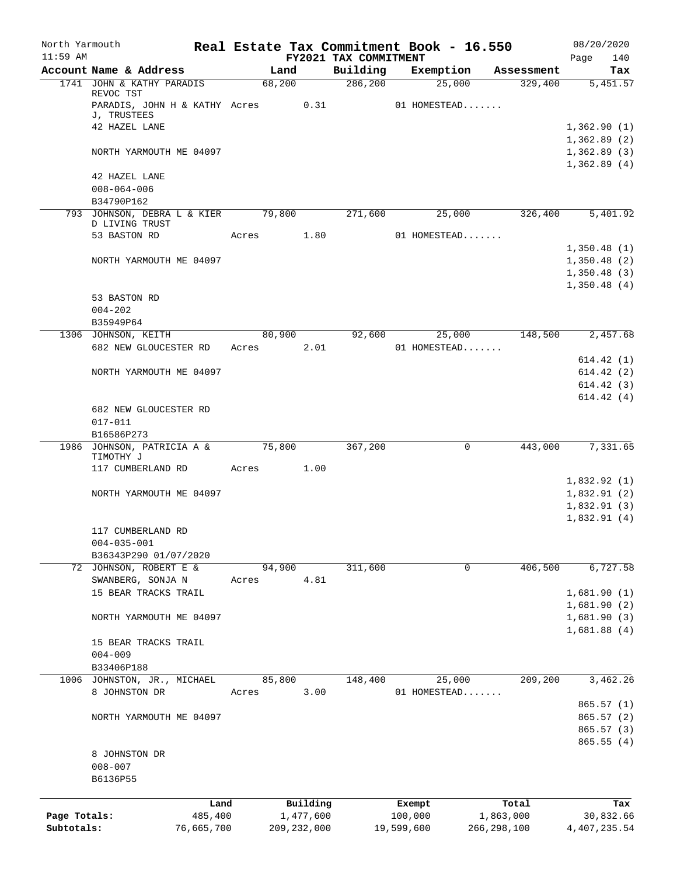| North Yarmouth |                                              |            |       |                |                                   | Real Estate Tax Commitment Book - 16.550 |                        | 08/20/2020                 |
|----------------|----------------------------------------------|------------|-------|----------------|-----------------------------------|------------------------------------------|------------------------|----------------------------|
| $11:59$ AM     | Account Name & Address                       |            |       | Land           | FY2021 TAX COMMITMENT<br>Building | Exemption                                | Assessment             | 140<br>Page<br>Tax         |
|                | 1741 JOHN & KATHY PARADIS                    |            |       | 68,200         | 286,200                           | 25,000                                   | 329,400                | 5,451.57                   |
|                | REVOC TST                                    |            |       |                |                                   |                                          |                        |                            |
|                | PARADIS, JOHN H & KATHY Acres<br>J, TRUSTEES |            |       | 0.31           |                                   | 01 HOMESTEAD                             |                        |                            |
|                | 42 HAZEL LANE                                |            |       |                |                                   |                                          |                        | 1,362.90(1)                |
|                |                                              |            |       |                |                                   |                                          |                        | 1,362.89(2)                |
|                | NORTH YARMOUTH ME 04097                      |            |       |                |                                   |                                          |                        | 1,362.89(3)                |
|                |                                              |            |       |                |                                   |                                          |                        | 1,362.89(4)                |
|                | 42 HAZEL LANE<br>$008 - 064 - 006$           |            |       |                |                                   |                                          |                        |                            |
|                | B34790P162                                   |            |       |                |                                   |                                          |                        |                            |
|                | 793 JOHNSON, DEBRA L & KIER 79,800           |            |       |                | 271,600                           | 25,000                                   | 326,400                | 5,401.92                   |
|                | D LIVING TRUST                               |            |       |                |                                   |                                          |                        |                            |
|                | 53 BASTON RD                                 |            | Acres | 1.80           |                                   | 01 HOMESTEAD                             |                        |                            |
|                | NORTH YARMOUTH ME 04097                      |            |       |                |                                   |                                          |                        | 1,350.48(1)<br>1,350.48(2) |
|                |                                              |            |       |                |                                   |                                          |                        | 1,350.48(3)                |
|                |                                              |            |       |                |                                   |                                          |                        | 1,350.48(4)                |
|                | 53 BASTON RD                                 |            |       |                |                                   |                                          |                        |                            |
|                | $004 - 202$                                  |            |       |                |                                   |                                          |                        |                            |
|                | B35949P64                                    |            |       |                |                                   |                                          |                        |                            |
|                | 1306 JOHNSON, KEITH<br>682 NEW GLOUCESTER RD |            | Acres | 80,900<br>2.01 | 92,600                            | 25,000<br>01 HOMESTEAD                   | 148,500                | 2,457.68                   |
|                |                                              |            |       |                |                                   |                                          |                        | 614.42(1)                  |
|                | NORTH YARMOUTH ME 04097                      |            |       |                |                                   |                                          |                        | 614.42(2)                  |
|                |                                              |            |       |                |                                   |                                          |                        | 614.42(3)                  |
|                |                                              |            |       |                |                                   |                                          |                        | 614.42(4)                  |
|                | 682 NEW GLOUCESTER RD                        |            |       |                |                                   |                                          |                        |                            |
|                | $017 - 011$                                  |            |       |                |                                   |                                          |                        |                            |
|                | B16586P273<br>1986 JOHNSON, PATRICIA A &     |            |       | 75,800         | 367,200                           |                                          | $\mathbf 0$<br>443,000 | 7,331.65                   |
|                | TIMOTHY J                                    |            |       |                |                                   |                                          |                        |                            |
|                | 117 CUMBERLAND RD                            |            | Acres | 1.00           |                                   |                                          |                        |                            |
|                |                                              |            |       |                |                                   |                                          |                        | 1,832.92(1)                |
|                | NORTH YARMOUTH ME 04097                      |            |       |                |                                   |                                          |                        | 1,832.91(2)<br>1,832.91(3) |
|                |                                              |            |       |                |                                   |                                          |                        | 1,832.91(4)                |
|                | 117 CUMBERLAND RD                            |            |       |                |                                   |                                          |                        |                            |
|                | $004 - 035 - 001$                            |            |       |                |                                   |                                          |                        |                            |
|                | B36343P290 01/07/2020                        |            |       |                |                                   |                                          |                        |                            |
|                | 72 JOHNSON, ROBERT E &                       |            |       | 94,900         | 311,600                           |                                          | $\mathbf 0$<br>406,500 | 6,727.58                   |
|                | SWANBERG, SONJA N                            |            | Acres | 4.81           |                                   |                                          |                        |                            |
|                | 15 BEAR TRACKS TRAIL                         |            |       |                |                                   |                                          |                        | 1,681.90(1)<br>1,681.90(2) |
|                | NORTH YARMOUTH ME 04097                      |            |       |                |                                   |                                          |                        | 1,681.90(3)                |
|                |                                              |            |       |                |                                   |                                          |                        | 1,681.88(4)                |
|                | 15 BEAR TRACKS TRAIL                         |            |       |                |                                   |                                          |                        |                            |
|                | $004 - 009$                                  |            |       |                |                                   |                                          |                        |                            |
|                | B33406P188                                   |            |       |                |                                   |                                          |                        |                            |
|                | 1006 JOHNSTON, JR., MICHAEL<br>8 JOHNSTON DR |            | Acres | 85,800<br>3.00 | 148,400                           | 25,000<br>01 HOMESTEAD                   | 209,200                | 3,462.26                   |
|                |                                              |            |       |                |                                   |                                          |                        | 865.57(1)                  |
|                | NORTH YARMOUTH ME 04097                      |            |       |                |                                   |                                          |                        | 865.57(2)                  |
|                |                                              |            |       |                |                                   |                                          |                        | 865.57 (3)                 |
|                |                                              |            |       |                |                                   |                                          |                        | 865.55(4)                  |
|                | 8 JOHNSTON DR                                |            |       |                |                                   |                                          |                        |                            |
|                | $008 - 007$                                  |            |       |                |                                   |                                          |                        |                            |
|                | B6136P55                                     |            |       |                |                                   |                                          |                        |                            |
|                |                                              | Land       |       | Building       |                                   | Exempt                                   | Total                  | Tax                        |
| Page Totals:   |                                              | 485,400    |       | 1,477,600      |                                   | 100,000                                  | 1,863,000              | 30,832.66                  |
| Subtotals:     |                                              | 76,665,700 |       | 209, 232, 000  |                                   | 19,599,600                               | 266, 298, 100          | 4,407,235.54               |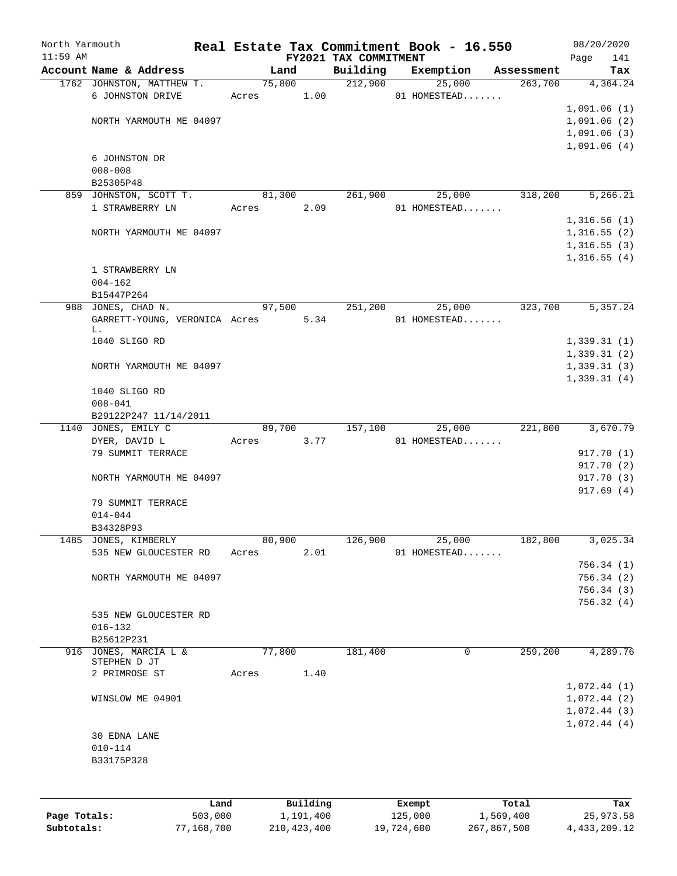| North Yarmouth |                                                     |       |                |                       | Real Estate Tax Commitment Book - 16.550 |                       | 08/20/2020               |
|----------------|-----------------------------------------------------|-------|----------------|-----------------------|------------------------------------------|-----------------------|--------------------------|
| $11:59$ AM     |                                                     |       |                | FY2021 TAX COMMITMENT |                                          |                       | 141<br>Page              |
|                | Account Name & Address<br>1762 JOHNSTON, MATTHEW T. |       | Land<br>75,800 | Building<br>212,900   | Exemption<br>25,000                      | Assessment<br>263,700 | Tax<br>4,364.24          |
|                | 6 JOHNSTON DRIVE                                    | Acres | 1.00           |                       | 01 HOMESTEAD                             |                       |                          |
|                |                                                     |       |                |                       |                                          |                       | 1,091.06(1)              |
|                | NORTH YARMOUTH ME 04097                             |       |                |                       |                                          |                       | 1,091.06(2)              |
|                |                                                     |       |                |                       |                                          |                       | 1,091.06(3)              |
|                |                                                     |       |                |                       |                                          |                       | 1,091.06(4)              |
|                | 6 JOHNSTON DR                                       |       |                |                       |                                          |                       |                          |
|                | $008 - 008$                                         |       |                |                       |                                          |                       |                          |
|                | B25305P48                                           |       |                |                       |                                          |                       |                          |
|                | 859 JOHNSTON, SCOTT T.                              |       | 81,300         | 261,900               | 25,000                                   | 318,200               | 5,266.21                 |
|                | 1 STRAWBERRY LN                                     | Acres | 2.09           |                       | 01 HOMESTEAD                             |                       |                          |
|                |                                                     |       |                |                       |                                          |                       | 1,316.56(1)              |
|                | NORTH YARMOUTH ME 04097                             |       |                |                       |                                          |                       | 1,316.55(2)              |
|                |                                                     |       |                |                       |                                          |                       | 1,316.55(3)              |
|                |                                                     |       |                |                       |                                          |                       | 1,316.55(4)              |
|                | 1 STRAWBERRY LN                                     |       |                |                       |                                          |                       |                          |
|                | $004 - 162$                                         |       |                |                       |                                          |                       |                          |
|                | B15447P264<br>988 JONES, CHAD N.                    |       | 97,500         | 251,200               | 25,000                                   | 323,700               | 5,357.24                 |
|                | GARRETT-YOUNG, VERONICA Acres 5.34                  |       |                |                       | 01 HOMESTEAD                             |                       |                          |
|                | L.                                                  |       |                |                       |                                          |                       |                          |
|                | 1040 SLIGO RD                                       |       |                |                       |                                          |                       | 1,339.31(1)              |
|                |                                                     |       |                |                       |                                          |                       | 1,339.31(2)              |
|                | NORTH YARMOUTH ME 04097                             |       |                |                       |                                          |                       | 1,339.31(3)              |
|                |                                                     |       |                |                       |                                          |                       | 1,339.31(4)              |
|                | 1040 SLIGO RD                                       |       |                |                       |                                          |                       |                          |
|                | $008 - 041$                                         |       |                |                       |                                          |                       |                          |
|                | B29122P247 11/14/2011                               |       |                |                       |                                          |                       |                          |
|                | 1140 JONES, EMILY C                                 |       | 89,700         | 157,100               | 25,000                                   | 221,800               | 3,670.79                 |
|                | DYER, DAVID L                                       | Acres | 3.77           |                       | 01 HOMESTEAD                             |                       |                          |
|                | 79 SUMMIT TERRACE                                   |       |                |                       |                                          |                       | 917.70 (1)               |
|                | NORTH YARMOUTH ME 04097                             |       |                |                       |                                          |                       | 917.70 (2)<br>917.70 (3) |
|                |                                                     |       |                |                       |                                          |                       | 917.69(4)                |
|                | 79 SUMMIT TERRACE                                   |       |                |                       |                                          |                       |                          |
|                | $014 - 044$                                         |       |                |                       |                                          |                       |                          |
|                | B34328P93                                           |       |                |                       |                                          |                       |                          |
|                | 1485 JONES, KIMBERLY                                |       | 80,900         | 126,900               | 25,000                                   | 182,800               | 3,025.34                 |
|                | 535 NEW GLOUCESTER RD                               | Acres | 2.01           |                       | 01 HOMESTEAD                             |                       |                          |
|                |                                                     |       |                |                       |                                          |                       | 756.34(1)                |
|                | NORTH YARMOUTH ME 04097                             |       |                |                       |                                          |                       | 756.34(2)                |
|                |                                                     |       |                |                       |                                          |                       | 756.34(3)                |
|                |                                                     |       |                |                       |                                          |                       | 756.32(4)                |
|                | 535 NEW GLOUCESTER RD                               |       |                |                       |                                          |                       |                          |
|                | $016 - 132$                                         |       |                |                       |                                          |                       |                          |
|                | B25612P231                                          |       |                |                       |                                          |                       |                          |
|                | 916 JONES, MARCIA L &                               |       | 77,800         | 181,400               | 0                                        | 259,200               | 4,289.76                 |
|                | STEPHEN D JT<br>2 PRIMROSE ST                       | Acres | 1.40           |                       |                                          |                       |                          |
|                |                                                     |       |                |                       |                                          |                       | 1,072.44(1)              |
|                | WINSLOW ME 04901                                    |       |                |                       |                                          |                       | 1,072.44(2)              |
|                |                                                     |       |                |                       |                                          |                       | 1,072.44(3)              |
|                |                                                     |       |                |                       |                                          |                       | 1,072.44(4)              |
|                | 30 EDNA LANE                                        |       |                |                       |                                          |                       |                          |
|                | $010 - 114$                                         |       |                |                       |                                          |                       |                          |
|                | B33175P328                                          |       |                |                       |                                          |                       |                          |
|                |                                                     |       |                |                       |                                          |                       |                          |
|                |                                                     |       |                |                       |                                          |                       |                          |
|                | Land                                                |       | Building       |                       | Exempt                                   | Total                 | Tax                      |
|                |                                                     |       |                |                       |                                          |                       |                          |

**Page Totals:** 503,000 1,191,400 125,000 1,569,400 25,973.58 **Subtotals:** 77,168,700 210,423,400 19,724,600 267,867,500 4,433,209.12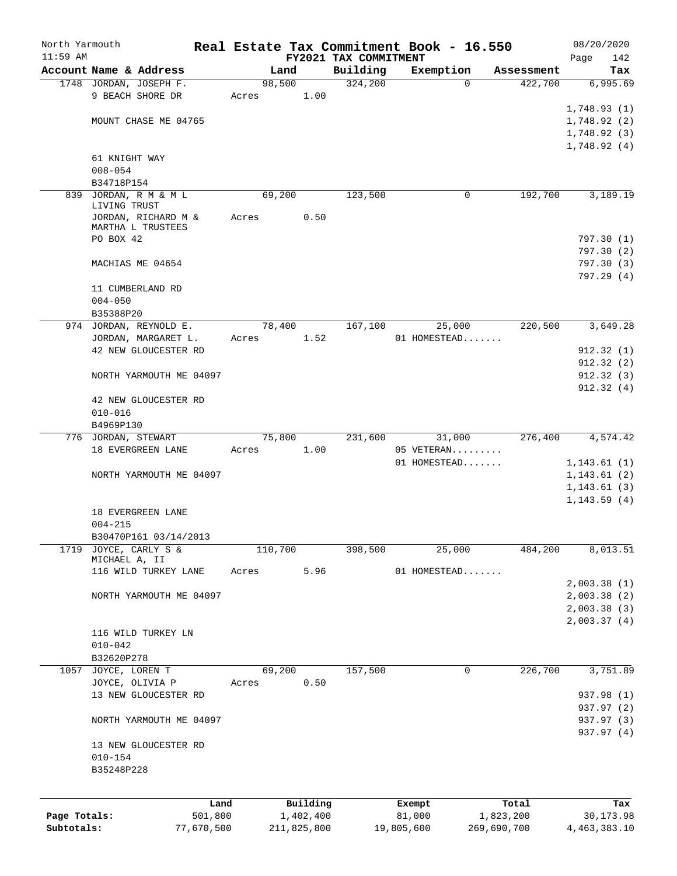| North Yarmouth |                                                  |                 |       |         |             |                       |            | Real Estate Tax Commitment Book - 16.550 |             |                       | 08/20/2020   |                  |
|----------------|--------------------------------------------------|-----------------|-------|---------|-------------|-----------------------|------------|------------------------------------------|-------------|-----------------------|--------------|------------------|
| $11:59$ AM     |                                                  |                 |       |         |             | FY2021 TAX COMMITMENT |            |                                          |             |                       | Page         | 142              |
|                | Account Name & Address<br>1748 JORDAN, JOSEPH F. |                 |       | Land    |             | Building<br>324,200   |            | Exemption                                |             | Assessment<br>422,700 |              | Tax              |
|                | 9 BEACH SHORE DR                                 |                 |       | 98,500  |             |                       |            | $\Omega$                                 |             |                       |              | 6,995.69         |
|                |                                                  |                 | Acres |         | 1.00        |                       |            |                                          |             |                       | 1,748.93(1)  |                  |
|                | MOUNT CHASE ME 04765                             |                 |       |         |             |                       |            |                                          |             |                       | 1,748.92(2)  |                  |
|                |                                                  |                 |       |         |             |                       |            |                                          |             |                       |              |                  |
|                |                                                  |                 |       |         |             |                       |            |                                          |             |                       | 1,748.92(3)  |                  |
|                |                                                  |                 |       |         |             |                       |            |                                          |             |                       | 1,748.92(4)  |                  |
|                | 61 KNIGHT WAY<br>$008 - 054$                     |                 |       |         |             |                       |            |                                          |             |                       |              |                  |
|                | B34718P154                                       |                 |       |         |             |                       |            |                                          |             |                       |              |                  |
| 839            | JORDAN, R M & M L                                |                 |       | 69,200  |             | 123,500               |            | 0                                        |             | 192,700               |              | 3,189.19         |
|                | LIVING TRUST                                     |                 |       |         |             |                       |            |                                          |             |                       |              |                  |
|                | JORDAN, RICHARD M &                              |                 | Acres |         | 0.50        |                       |            |                                          |             |                       |              |                  |
|                | MARTHA L TRUSTEES                                |                 |       |         |             |                       |            |                                          |             |                       |              |                  |
|                | PO BOX 42                                        |                 |       |         |             |                       |            |                                          |             |                       | 797.30(1)    |                  |
|                |                                                  |                 |       |         |             |                       |            |                                          |             |                       | 797.30(2)    |                  |
|                | MACHIAS ME 04654                                 |                 |       |         |             |                       |            |                                          |             |                       | 797.30(3)    |                  |
|                |                                                  |                 |       |         |             |                       |            |                                          |             |                       | 797.29(4)    |                  |
|                | 11 CUMBERLAND RD                                 |                 |       |         |             |                       |            |                                          |             |                       |              |                  |
|                | $004 - 050$                                      |                 |       |         |             |                       |            |                                          |             |                       |              |                  |
|                | B35388P20                                        |                 |       |         |             |                       |            |                                          |             |                       |              |                  |
|                | 974 JORDAN, REYNOLD E.                           |                 |       | 78,400  |             | 167,100               |            | 25,000                                   |             | 220,500               |              | 3,649.28         |
|                | JORDAN, MARGARET L.                              |                 | Acres |         | 1.52        |                       |            | 01 HOMESTEAD                             |             |                       |              |                  |
|                | 42 NEW GLOUCESTER RD                             |                 |       |         |             |                       |            |                                          |             |                       | 912.32(1)    |                  |
|                |                                                  |                 |       |         |             |                       |            |                                          |             |                       | 912.32(2)    |                  |
|                | NORTH YARMOUTH ME 04097                          |                 |       |         |             |                       |            |                                          |             |                       | 912.32(3)    |                  |
|                |                                                  |                 |       |         |             |                       |            |                                          |             |                       | 912.32(4)    |                  |
|                | 42 NEW GLOUCESTER RD                             |                 |       |         |             |                       |            |                                          |             |                       |              |                  |
|                | $010 - 016$                                      |                 |       |         |             |                       |            |                                          |             |                       |              |                  |
|                | B4969P130                                        |                 |       |         |             |                       |            |                                          |             |                       |              |                  |
|                | 776 JORDAN, STEWART                              |                 |       | 75,800  |             | 231,600               |            | 31,000                                   |             | 276,400               |              | 4,574.42         |
|                | 18 EVERGREEN LANE                                |                 | Acres |         | 1.00        |                       |            | 05 VETERAN                               |             |                       |              |                  |
|                |                                                  |                 |       |         |             |                       |            | 01 HOMESTEAD                             |             |                       | 1, 143.61(1) |                  |
|                | NORTH YARMOUTH ME 04097                          |                 |       |         |             |                       |            |                                          |             |                       | 1,143.61(2)  |                  |
|                |                                                  |                 |       |         |             |                       |            |                                          |             |                       | 1, 143.61(3) |                  |
|                |                                                  |                 |       |         |             |                       |            |                                          |             |                       | 1, 143.59(4) |                  |
|                | 18 EVERGREEN LANE                                |                 |       |         |             |                       |            |                                          |             |                       |              |                  |
|                | $004 - 215$                                      |                 |       |         |             |                       |            |                                          |             |                       |              |                  |
|                | B30470P161 03/14/2013                            |                 |       |         |             |                       |            |                                          |             |                       |              |                  |
| 1719           | JOYCE, CARLY S &                                 |                 |       | 110,700 |             | 398,500               |            | 25,000                                   |             | 484,200               |              | 8,013.51         |
|                | MICHAEL A, II                                    |                 |       |         |             |                       |            |                                          |             |                       |              |                  |
|                | 116 WILD TURKEY LANE                             |                 | Acres |         | 5.96        |                       |            | 01 HOMESTEAD                             |             |                       |              |                  |
|                |                                                  |                 |       |         |             |                       |            |                                          |             |                       | 2,003.38(1)  |                  |
|                | NORTH YARMOUTH ME 04097                          |                 |       |         |             |                       |            |                                          |             |                       | 2,003.38(2)  |                  |
|                |                                                  |                 |       |         |             |                       |            |                                          |             |                       | 2,003.38(3)  |                  |
|                |                                                  |                 |       |         |             |                       |            |                                          |             |                       | 2,003.37(4)  |                  |
|                | 116 WILD TURKEY LN                               |                 |       |         |             |                       |            |                                          |             |                       |              |                  |
|                | $010 - 042$                                      |                 |       |         |             |                       |            |                                          |             |                       |              |                  |
|                | B32620P278                                       |                 |       |         |             |                       |            |                                          |             |                       |              |                  |
|                | 1057 JOYCE, LOREN T                              |                 |       | 69,200  |             | 157,500               |            | 0                                        |             | 226,700               |              | 3,751.89         |
|                | JOYCE, OLIVIA P                                  |                 | Acres |         | 0.50        |                       |            |                                          |             |                       |              |                  |
|                | 13 NEW GLOUCESTER RD                             |                 |       |         |             |                       |            |                                          |             |                       | 937.98 (1)   |                  |
|                |                                                  |                 |       |         |             |                       |            |                                          |             |                       | 937.97 (2)   |                  |
|                | NORTH YARMOUTH ME 04097                          |                 |       |         |             |                       |            |                                          |             |                       | 937.97 (3)   |                  |
|                |                                                  |                 |       |         |             |                       |            |                                          |             |                       | 937.97 (4)   |                  |
|                | 13 NEW GLOUCESTER RD                             |                 |       |         |             |                       |            |                                          |             |                       |              |                  |
|                | $010 - 154$                                      |                 |       |         |             |                       |            |                                          |             |                       |              |                  |
|                | B35248P228                                       |                 |       |         |             |                       |            |                                          |             |                       |              |                  |
|                |                                                  |                 |       |         |             |                       |            |                                          |             |                       |              |                  |
|                |                                                  |                 |       |         | Building    |                       |            |                                          |             |                       |              |                  |
| Page Totals:   |                                                  | Land<br>501,800 |       |         | 1,402,400   |                       |            | Exempt<br>81,000                         | 1,823,200   | Total                 |              | Tax<br>30,173.98 |
| Subtotals:     |                                                  | 77,670,500      |       |         | 211,825,800 |                       | 19,805,600 |                                          | 269,690,700 |                       | 4,463,383.10 |                  |
|                |                                                  |                 |       |         |             |                       |            |                                          |             |                       |              |                  |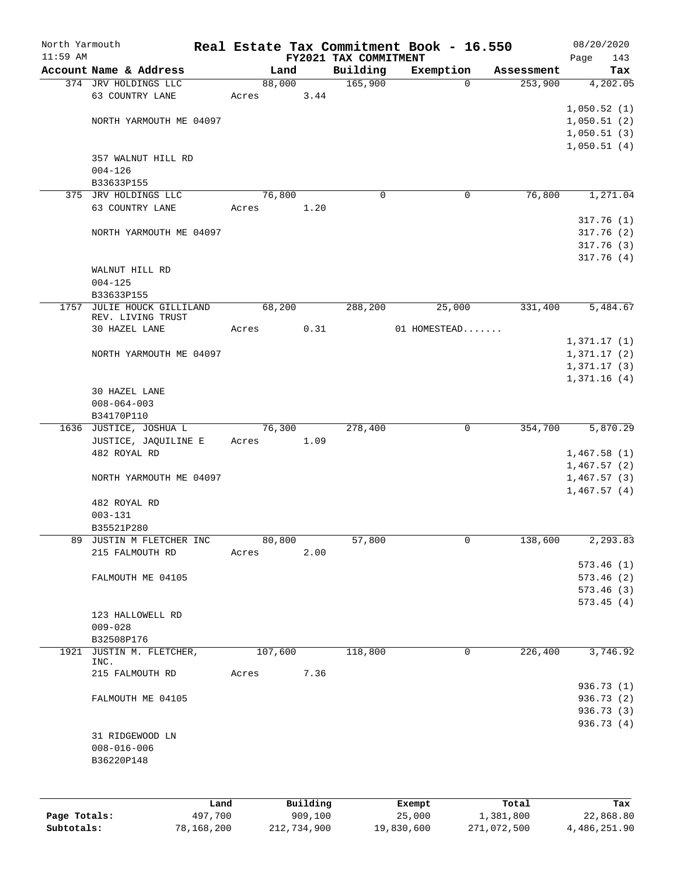| North Yarmouth |                                        |         |                |          |                       | Real Estate Tax Commitment Book - 16.550 |                       | 08/20/2020                 |
|----------------|----------------------------------------|---------|----------------|----------|-----------------------|------------------------------------------|-----------------------|----------------------------|
| $11:59$ AM     | Account Name & Address                 |         |                |          | FY2021 TAX COMMITMENT |                                          |                       | Page<br>143                |
|                | 374 JRV HOLDINGS LLC                   |         | Land<br>88,000 |          | Building<br>165,900   | Exemption<br>$\mathbf 0$                 | Assessment<br>253,900 | Tax<br>4,202.05            |
|                | 63 COUNTRY LANE                        |         | Acres          | 3.44     |                       |                                          |                       |                            |
|                |                                        |         |                |          |                       |                                          |                       | 1,050.52(1)                |
|                | NORTH YARMOUTH ME 04097                |         |                |          |                       |                                          |                       | 1,050.51(2)                |
|                |                                        |         |                |          |                       |                                          |                       | 1,050.51(3)                |
|                |                                        |         |                |          |                       |                                          |                       | 1,050.51(4)                |
|                | 357 WALNUT HILL RD                     |         |                |          |                       |                                          |                       |                            |
|                | $004 - 126$                            |         |                |          |                       |                                          |                       |                            |
|                | B33633P155                             |         |                |          |                       |                                          |                       |                            |
|                | 375 JRV HOLDINGS LLC                   |         | 76,800         |          | 0                     | 0                                        | 76,800                | 1,271.04                   |
|                | 63 COUNTRY LANE                        |         | Acres          | 1.20     |                       |                                          |                       |                            |
|                |                                        |         |                |          |                       |                                          |                       | 317.76(1)                  |
|                | NORTH YARMOUTH ME 04097                |         |                |          |                       |                                          |                       | 317.76(2)                  |
|                |                                        |         |                |          |                       |                                          |                       | 317.76(3)                  |
|                |                                        |         |                |          |                       |                                          |                       | 317.76(4)                  |
|                | WALNUT HILL RD                         |         |                |          |                       |                                          |                       |                            |
|                | $004 - 125$                            |         |                |          |                       |                                          |                       |                            |
|                | B33633P155                             |         |                |          |                       |                                          |                       |                            |
| 1757           | JULIE HOUCK GILLILAND                  |         | 68,200         |          | 288,200               | 25,000                                   | 331,400               | 5,484.67                   |
|                | REV. LIVING TRUST<br>30 HAZEL LANE     |         |                |          |                       | 01 HOMESTEAD                             |                       |                            |
|                |                                        |         | Acres          | 0.31     |                       |                                          |                       | 1,371.17(1)                |
|                | NORTH YARMOUTH ME 04097                |         |                |          |                       |                                          |                       |                            |
|                |                                        |         |                |          |                       |                                          |                       | 1,371.17(2)<br>1,371.17(3) |
|                |                                        |         |                |          |                       |                                          |                       | 1,371.16(4)                |
|                | 30 HAZEL LANE                          |         |                |          |                       |                                          |                       |                            |
|                | $008 - 064 - 003$                      |         |                |          |                       |                                          |                       |                            |
|                | B34170P110                             |         |                |          |                       |                                          |                       |                            |
|                | 1636 JUSTICE, JOSHUA L                 |         | 76,300         |          | 278,400               | $\mathbf 0$                              | 354,700               | 5,870.29                   |
|                | JUSTICE, JAQUILINE E                   |         | Acres          | 1.09     |                       |                                          |                       |                            |
|                | 482 ROYAL RD                           |         |                |          |                       |                                          |                       | 1,467.58(1)                |
|                |                                        |         |                |          |                       |                                          |                       | 1,467.57(2)                |
|                | NORTH YARMOUTH ME 04097                |         |                |          |                       |                                          |                       | 1,467.57(3)                |
|                |                                        |         |                |          |                       |                                          |                       | 1,467.57(4)                |
|                | 482 ROYAL RD                           |         |                |          |                       |                                          |                       |                            |
|                | $003 - 131$                            |         |                |          |                       |                                          |                       |                            |
|                | B35521P280                             |         |                |          |                       |                                          |                       |                            |
| 89             | JUSTIN M FLETCHER INC                  |         | 80,800         |          | 57,800                | 0                                        | 138,600               | 2,293.83                   |
|                | 215 FALMOUTH RD                        |         | Acres          | 2.00     |                       |                                          |                       |                            |
|                |                                        |         |                |          |                       |                                          |                       | 573.46(1)                  |
|                | FALMOUTH ME 04105                      |         |                |          |                       |                                          |                       | 573.46(2)                  |
|                |                                        |         |                |          |                       |                                          |                       | 573.46(3)                  |
|                |                                        |         |                |          |                       |                                          |                       | 573.45(4)                  |
|                | 123 HALLOWELL RD                       |         |                |          |                       |                                          |                       |                            |
|                | $009 - 028$                            |         |                |          |                       |                                          |                       |                            |
|                | B32508P176<br>1921 JUSTIN M. FLETCHER, |         | 107,600        |          | 118,800               | $\mathbf 0$                              | 226,400               | 3,746.92                   |
|                | INC.                                   |         |                |          |                       |                                          |                       |                            |
|                | 215 FALMOUTH RD                        |         | Acres          | 7.36     |                       |                                          |                       |                            |
|                |                                        |         |                |          |                       |                                          |                       | 936.73 (1)                 |
|                | FALMOUTH ME 04105                      |         |                |          |                       |                                          |                       | 936.73 (2)                 |
|                |                                        |         |                |          |                       |                                          |                       | 936.73 (3)                 |
|                |                                        |         |                |          |                       |                                          |                       | 936.73 (4)                 |
|                | 31 RIDGEWOOD LN                        |         |                |          |                       |                                          |                       |                            |
|                | $008 - 016 - 006$                      |         |                |          |                       |                                          |                       |                            |
|                | B36220P148                             |         |                |          |                       |                                          |                       |                            |
|                |                                        |         |                |          |                       |                                          |                       |                            |
|                |                                        |         |                |          |                       |                                          |                       |                            |
|                |                                        | Land    |                | Building |                       | Exempt                                   | Total                 | Tax                        |
| Page Totals:   |                                        | 497,700 |                | 909,100  |                       | 25,000                                   | 1,381,800             | 22,868.80                  |

**Subtotals:** 78,168,200 212,734,900 19,830,600 271,072,500 4,486,251.90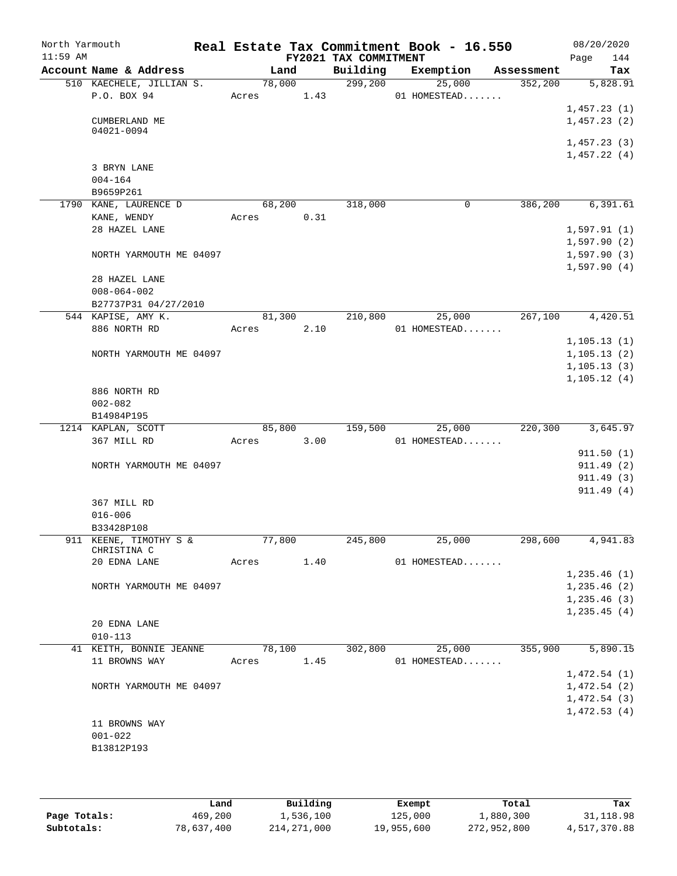| North Yarmouth<br>$11:59$ AM |                                       |       |        |      | FY2021 TAX COMMITMENT | Real Estate Tax Commitment Book - 16.550 |            | 08/20/2020<br>144<br>Page  |
|------------------------------|---------------------------------------|-------|--------|------|-----------------------|------------------------------------------|------------|----------------------------|
|                              | Account Name & Address                |       | Land   |      | Building              | Exemption                                | Assessment | Tax                        |
|                              | 510 KAECHELE, JILLIAN S.              |       | 78,000 |      | 299,200               | 25,000                                   | 352,200    | 5,828.91                   |
|                              | P.O. BOX 94                           | Acres |        | 1.43 |                       | 01 HOMESTEAD                             |            |                            |
|                              |                                       |       |        |      |                       |                                          |            | 1,457.23(1)                |
|                              | CUMBERLAND ME<br>04021-0094           |       |        |      |                       |                                          |            | 1,457.23(2)                |
|                              |                                       |       |        |      |                       |                                          |            | 1,457.23(3)                |
|                              |                                       |       |        |      |                       |                                          |            | 1,457.22(4)                |
|                              | 3 BRYN LANE                           |       |        |      |                       |                                          |            |                            |
|                              | $004 - 164$                           |       |        |      |                       |                                          |            |                            |
|                              | B9659P261                             |       |        |      |                       |                                          |            |                            |
|                              | 1790 KANE, LAURENCE D                 |       | 68,200 |      | 318,000               | 0                                        | 386,200    | 6,391.61                   |
|                              | KANE, WENDY                           | Acres |        | 0.31 |                       |                                          |            |                            |
|                              | 28 HAZEL LANE                         |       |        |      |                       |                                          |            | 1,597.91(1)                |
|                              |                                       |       |        |      |                       |                                          |            | 1,597.90(2)                |
|                              | NORTH YARMOUTH ME 04097               |       |        |      |                       |                                          |            | 1,597.90(3)<br>1,597.90(4) |
|                              | 28 HAZEL LANE                         |       |        |      |                       |                                          |            |                            |
|                              | $008 - 064 - 002$                     |       |        |      |                       |                                          |            |                            |
|                              | B27737P31 04/27/2010                  |       |        |      |                       |                                          |            |                            |
|                              | 544 KAPISE, AMY K.                    |       | 81,300 |      | 210,800               | 25,000                                   | 267,100    | 4,420.51                   |
|                              | 886 NORTH RD                          | Acres |        | 2.10 |                       | 01 HOMESTEAD                             |            |                            |
|                              |                                       |       |        |      |                       |                                          |            | 1, 105.13(1)               |
|                              | NORTH YARMOUTH ME 04097               |       |        |      |                       |                                          |            | 1, 105.13(2)               |
|                              |                                       |       |        |      |                       |                                          |            | 1, 105.13(3)               |
|                              |                                       |       |        |      |                       |                                          |            | 1, 105.12(4)               |
|                              | 886 NORTH RD                          |       |        |      |                       |                                          |            |                            |
|                              | $002 - 082$                           |       |        |      |                       |                                          |            |                            |
|                              | B14984P195<br>1214 KAPLAN, SCOTT      |       | 85,800 |      | 159,500               | 25,000                                   | 220,300    | 3,645.97                   |
|                              | 367 MILL RD                           | Acres |        | 3.00 |                       | 01 HOMESTEAD                             |            |                            |
|                              |                                       |       |        |      |                       |                                          |            | 911.50(1)                  |
|                              | NORTH YARMOUTH ME 04097               |       |        |      |                       |                                          |            | 911.49(2)                  |
|                              |                                       |       |        |      |                       |                                          |            | 911.49(3)                  |
|                              |                                       |       |        |      |                       |                                          |            | 911.49(4)                  |
|                              | 367 MILL RD                           |       |        |      |                       |                                          |            |                            |
|                              | $016 - 006$                           |       |        |      |                       |                                          |            |                            |
|                              | B33428P108                            |       |        |      |                       |                                          |            |                            |
|                              | 911 KEENE, TIMOTHY S &<br>CHRISTINA C |       | 77,800 |      | 245,800               | 25,000                                   | 298,600    | 4,941.83                   |
|                              | 20 EDNA LANE                          | Acres |        | 1.40 |                       | 01 HOMESTEAD                             |            |                            |
|                              |                                       |       |        |      |                       |                                          |            | 1, 235.46(1)               |
|                              | NORTH YARMOUTH ME 04097               |       |        |      |                       |                                          |            | 1, 235.46 (2)              |
|                              |                                       |       |        |      |                       |                                          |            | 1,235.46(3)                |
|                              |                                       |       |        |      |                       |                                          |            | 1, 235.45(4)               |
|                              | 20 EDNA LANE                          |       |        |      |                       |                                          |            |                            |
|                              | $010 - 113$                           |       |        |      |                       |                                          |            |                            |
|                              | 41 KEITH, BONNIE JEANNE               |       | 78,100 |      | 302,800               | 25,000                                   | 355,900    | 5,890.15                   |
|                              | 11 BROWNS WAY                         | Acres |        | 1.45 |                       | 01 HOMESTEAD                             |            |                            |
|                              |                                       |       |        |      |                       |                                          |            | 1,472.54(1)<br>1,472.54(2) |
|                              | NORTH YARMOUTH ME 04097               |       |        |      |                       |                                          |            | 1,472.54(3)                |
|                              |                                       |       |        |      |                       |                                          |            | 1,472.53(4)                |
|                              | 11 BROWNS WAY                         |       |        |      |                       |                                          |            |                            |
|                              | $001 - 022$                           |       |        |      |                       |                                          |            |                            |
|                              | B13812P193                            |       |        |      |                       |                                          |            |                            |
|                              |                                       |       |        |      |                       |                                          |            |                            |
|                              |                                       |       |        |      |                       |                                          |            |                            |

|              | Land       | Building      | Exempt     | Total       | Tax          |
|--------------|------------|---------------|------------|-------------|--------------|
| Page Totals: | 469,200    | 1,536,100     | 125,000    | 1,880,300   | 31,118.98    |
| Subtotals:   | 78,637,400 | 214, 271, 000 | 19,955,600 | 272,952,800 | 4,517,370.88 |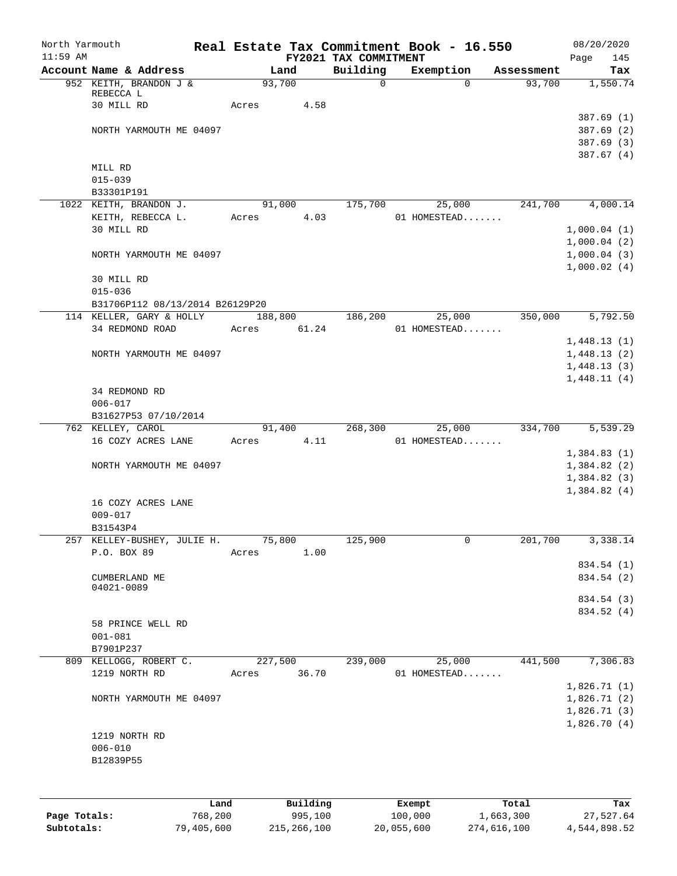| North Yarmouth<br>$11:59$ AM |                                 | Real Estate Tax Commitment Book - 16.550 | FY2021 TAX COMMITMENT |              |            | 08/20/2020<br>145<br>Page  |
|------------------------------|---------------------------------|------------------------------------------|-----------------------|--------------|------------|----------------------------|
|                              | Account Name & Address          | Land                                     | Building              | Exemption    | Assessment | Tax                        |
|                              | 952 KEITH, BRANDON J &          | 93,700                                   | 0                     | $\Omega$     | 93,700     | 1,550.74                   |
|                              | REBECCA L                       |                                          |                       |              |            |                            |
|                              | 30 MILL RD                      | 4.58<br>Acres                            |                       |              |            |                            |
|                              |                                 |                                          |                       |              |            | 387.69(1)                  |
|                              | NORTH YARMOUTH ME 04097         |                                          |                       |              |            | 387.69(2)                  |
|                              |                                 |                                          |                       |              |            | 387.69 (3)                 |
|                              | MILL RD                         |                                          |                       |              |            | 387.67(4)                  |
|                              | $015 - 039$                     |                                          |                       |              |            |                            |
|                              | B33301P191                      |                                          |                       |              |            |                            |
|                              | 1022 KEITH, BRANDON J.          | 91,000                                   | 175,700               | 25,000       | 241,700    | 4,000.14                   |
|                              | KEITH, REBECCA L.               | 4.03<br>Acres                            |                       | 01 HOMESTEAD |            |                            |
|                              | 30 MILL RD                      |                                          |                       |              |            | 1,000.04(1)                |
|                              |                                 |                                          |                       |              |            | 1,000.04(2)                |
|                              | NORTH YARMOUTH ME 04097         |                                          |                       |              |            | 1,000.04(3)                |
|                              |                                 |                                          |                       |              |            | 1,000.02(4)                |
|                              | 30 MILL RD                      |                                          |                       |              |            |                            |
|                              | $015 - 036$                     |                                          |                       |              |            |                            |
|                              | B31706P112 08/13/2014 B26129P20 |                                          |                       |              |            |                            |
|                              | 114 KELLER, GARY & HOLLY        | 188,800                                  | 186,200               | 25,000       | 350,000    | 5,792.50                   |
|                              | 34 REDMOND ROAD                 | 61.24<br>Acres                           |                       | 01 HOMESTEAD |            |                            |
|                              |                                 |                                          |                       |              |            | 1,448.13(1)                |
|                              | NORTH YARMOUTH ME 04097         |                                          |                       |              |            | 1,448.13(2)                |
|                              |                                 |                                          |                       |              |            | 1,448.13(3)                |
|                              |                                 |                                          |                       |              |            | 1,448.11(4)                |
|                              | 34 REDMOND RD                   |                                          |                       |              |            |                            |
|                              | $006 - 017$                     |                                          |                       |              |            |                            |
|                              | B31627P53 07/10/2014            |                                          |                       |              |            |                            |
|                              | 762 KELLEY, CAROL               | 91,400                                   | 268,300               | 25,000       | 334,700    | 5,539.29                   |
|                              | 16 COZY ACRES LANE              | 4.11<br>Acres                            |                       | 01 HOMESTEAD |            |                            |
|                              |                                 |                                          |                       |              |            | 1,384.83(1)                |
|                              | NORTH YARMOUTH ME 04097         |                                          |                       |              |            | 1,384.82(2)                |
|                              |                                 |                                          |                       |              |            | 1,384.82(3)<br>1,384.82(4) |
|                              | 16 COZY ACRES LANE              |                                          |                       |              |            |                            |
|                              | $009 - 017$                     |                                          |                       |              |            |                            |
|                              | B31543P4                        |                                          |                       |              |            |                            |
|                              | 257 KELLEY-BUSHEY, JULIE H.     | 75,800                                   | 125,900               | 0            | 201,700    | 3,338.14                   |
|                              | P.O. BOX 89                     | 1.00<br>Acres                            |                       |              |            |                            |
|                              |                                 |                                          |                       |              |            | 834.54 (1)                 |
|                              | CUMBERLAND ME                   |                                          |                       |              |            | 834.54 (2)                 |
|                              | 04021-0089                      |                                          |                       |              |            |                            |
|                              |                                 |                                          |                       |              |            | 834.54 (3)                 |
|                              |                                 |                                          |                       |              |            | 834.52 (4)                 |
|                              | 58 PRINCE WELL RD               |                                          |                       |              |            |                            |
|                              | $001 - 081$                     |                                          |                       |              |            |                            |
|                              | B7901P237                       |                                          |                       |              |            |                            |
|                              | 809 KELLOGG, ROBERT C.          | 227,500                                  | 239,000               | 25,000       | 441,500    | 7,306.83                   |
|                              | 1219 NORTH RD                   | 36.70<br>Acres                           |                       | 01 HOMESTEAD |            |                            |
|                              |                                 |                                          |                       |              |            | 1,826.71(1)                |
|                              | NORTH YARMOUTH ME 04097         |                                          |                       |              |            | 1,826.71(2)                |
|                              |                                 |                                          |                       |              |            | 1,826.71(3)                |
|                              |                                 |                                          |                       |              |            | 1,826.70(4)                |
|                              | 1219 NORTH RD                   |                                          |                       |              |            |                            |
|                              | $006 - 010$                     |                                          |                       |              |            |                            |
|                              | B12839P55                       |                                          |                       |              |            |                            |
|                              |                                 |                                          |                       |              |            |                            |
|                              |                                 |                                          |                       |              |            |                            |
|                              | Land                            | Building                                 |                       | Exempt       | Total      | Tax                        |
| Page Totals:                 | 768,200                         | 995,100                                  |                       | 100,000      | 1,663,300  | 27,527.64                  |

**Subtotals:** 79,405,600 215,266,100 20,055,600 274,616,100 4,544,898.52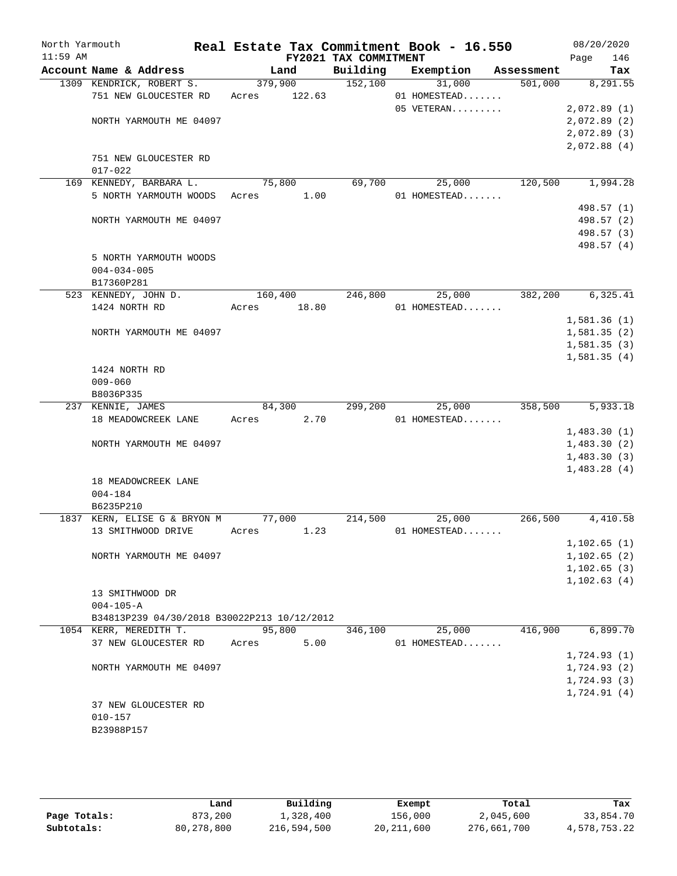| North Yarmouth |                                             | Real Estate Tax Commitment Book - 16.550 |                       |              |            | 08/20/2020   |
|----------------|---------------------------------------------|------------------------------------------|-----------------------|--------------|------------|--------------|
| $11:59$ AM     |                                             |                                          | FY2021 TAX COMMITMENT |              |            | Page<br>146  |
|                | Account Name & Address                      | Land                                     | Building              | Exemption    | Assessment | Tax          |
|                | 1309 KENDRICK, ROBERT S.                    | 379,900                                  | 152,100               | 31,000       | 501,000    | 8,291.55     |
|                | 751 NEW GLOUCESTER RD                       | 122.63<br>Acres                          |                       | 01 HOMESTEAD |            |              |
|                |                                             |                                          |                       | 05 VETERAN   |            | 2,072.89(1)  |
|                | NORTH YARMOUTH ME 04097                     |                                          |                       |              |            | 2,072.89(2)  |
|                |                                             |                                          |                       |              |            | 2,072.89(3)  |
|                |                                             |                                          |                       |              |            | 2,072.88(4)  |
|                | 751 NEW GLOUCESTER RD                       |                                          |                       |              |            |              |
|                | $017 - 022$                                 |                                          |                       |              |            |              |
|                | 169 KENNEDY, BARBARA L.                     | 75,800                                   | 69,700                | 25,000       | 120,500    | 1,994.28     |
|                | 5 NORTH YARMOUTH WOODS                      | 1.00<br>Acres                            |                       | 01 HOMESTEAD |            |              |
|                |                                             |                                          |                       |              |            | 498.57 (1)   |
|                | NORTH YARMOUTH ME 04097                     |                                          |                       |              |            | 498.57 (2)   |
|                |                                             |                                          |                       |              |            | 498.57 (3)   |
|                |                                             |                                          |                       |              |            | 498.57 (4)   |
|                | 5 NORTH YARMOUTH WOODS                      |                                          |                       |              |            |              |
|                | $004 - 034 - 005$                           |                                          |                       |              |            |              |
|                | B17360P281                                  |                                          |                       |              |            |              |
|                | 523 KENNEDY, JOHN D.                        | 160,400                                  | 246,800               | 25,000       | 382,200    | 6, 325.41    |
|                | 1424 NORTH RD                               | 18.80<br>Acres                           |                       | 01 HOMESTEAD |            |              |
|                |                                             |                                          |                       |              |            | 1,581.36(1)  |
|                | NORTH YARMOUTH ME 04097                     |                                          |                       |              |            | 1,581.35(2)  |
|                |                                             |                                          |                       |              |            | 1,581.35(3)  |
|                |                                             |                                          |                       |              |            | 1,581.35(4)  |
|                | 1424 NORTH RD                               |                                          |                       |              |            |              |
|                | $009 - 060$                                 |                                          |                       |              |            |              |
|                | B8036P335                                   |                                          |                       |              |            |              |
|                | 237 KENNIE, JAMES                           | 84,300                                   | 299,200               | 25,000       | 358,500    | 5,933.18     |
|                | 18 MEADOWCREEK LANE                         | 2.70<br>Acres                            |                       | 01 HOMESTEAD |            |              |
|                |                                             |                                          |                       |              |            | 1,483.30(1)  |
|                | NORTH YARMOUTH ME 04097                     |                                          |                       |              |            | 1,483.30(2)  |
|                |                                             |                                          |                       |              |            | 1,483.30(3)  |
|                |                                             |                                          |                       |              |            | 1,483.28(4)  |
|                | 18 MEADOWCREEK LANE                         |                                          |                       |              |            |              |
|                | $004 - 184$                                 |                                          |                       |              |            |              |
|                | B6235P210                                   |                                          |                       |              |            |              |
|                | 1837 KERN, ELISE G & BRYON M                | 77,000                                   | 214,500               | 25,000       | 266,500    | 4,410.58     |
|                | 13 SMITHWOOD DRIVE                          | 1.23<br>Acres                            |                       | 01 HOMESTEAD |            |              |
|                |                                             |                                          |                       |              |            | 1, 102.65(1) |
|                | NORTH YARMOUTH ME 04097                     |                                          |                       |              |            | 1,102.65(2)  |
|                |                                             |                                          |                       |              |            | 1, 102.65(3) |
|                |                                             |                                          |                       |              |            | 1, 102.63(4) |
|                | 13 SMITHWOOD DR                             |                                          |                       |              |            |              |
|                | $004 - 105 - A$                             |                                          |                       |              |            |              |
|                | B34813P239 04/30/2018 B30022P213 10/12/2012 |                                          |                       |              |            |              |
|                | 1054 KERR, MEREDITH T.                      | 95,800                                   | 346,100               | 25,000       | 416,900    | 6,899.70     |
|                | 37 NEW GLOUCESTER RD                        | 5.00<br>Acres                            |                       | 01 HOMESTEAD |            |              |
|                |                                             |                                          |                       |              |            | 1,724.93(1)  |
|                | NORTH YARMOUTH ME 04097                     |                                          |                       |              |            | 1,724.93(2)  |
|                |                                             |                                          |                       |              |            | 1,724.93(3)  |
|                |                                             |                                          |                       |              |            | 1,724.91(4)  |
|                | 37 NEW GLOUCESTER RD                        |                                          |                       |              |            |              |
|                | $010 - 157$                                 |                                          |                       |              |            |              |
|                | B23988P157                                  |                                          |                       |              |            |              |
|                |                                             |                                          |                       |              |            |              |

|              | Land       | Building    | Exempt       | Total       | Tax          |
|--------------|------------|-------------|--------------|-------------|--------------|
| Page Totals: | 873,200    | 1,328,400   | 156,000      | 2,045,600   | 33,854.70    |
| Subtotals:   | 80,278,800 | 216,594,500 | 20, 211, 600 | 276,661,700 | 4,578,753.22 |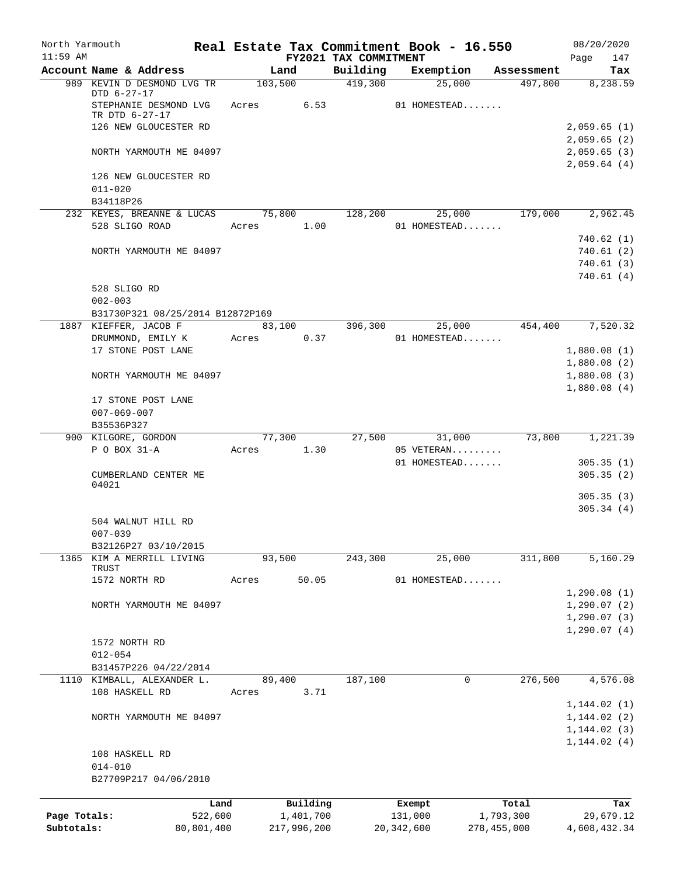| North Yarmouth |                                                   |                 |       |                       |                       |                   | Real Estate Tax Commitment Book - 16.550 |                       | 08/20/2020                   |
|----------------|---------------------------------------------------|-----------------|-------|-----------------------|-----------------------|-------------------|------------------------------------------|-----------------------|------------------------------|
| $11:59$ AM     | Account Name & Address                            |                 |       |                       | FY2021 TAX COMMITMENT |                   | Exemption                                |                       | 147<br>Page                  |
|                | 989 KEVIN D DESMOND LVG TR                        |                 |       | Land<br>103,500       | Building<br>419,300   |                   | 25,000                                   | Assessment<br>497,800 | Tax<br>8,238.59              |
|                | DTD 6-27-17<br>STEPHANIE DESMOND LVG              |                 |       | Acres 6.53            |                       |                   | 01 HOMESTEAD                             |                       |                              |
|                | TR DTD 6-27-17                                    |                 |       |                       |                       |                   |                                          |                       |                              |
|                | 126 NEW GLOUCESTER RD                             |                 |       |                       |                       |                   |                                          |                       | 2,059.65(1)                  |
|                |                                                   |                 |       |                       |                       |                   |                                          |                       | 2,059.65(2)                  |
|                | NORTH YARMOUTH ME 04097                           |                 |       |                       |                       |                   |                                          |                       | 2,059.65(3)                  |
|                |                                                   |                 |       |                       |                       |                   |                                          |                       | 2,059.64(4)                  |
|                | 126 NEW GLOUCESTER RD                             |                 |       |                       |                       |                   |                                          |                       |                              |
|                | $011 - 020$                                       |                 |       |                       |                       |                   |                                          |                       |                              |
|                | B34118P26<br>232 KEYES, BREANNE & LUCAS 75,800    |                 |       |                       | 128,200               |                   | 25,000                                   | 179,000               | 2,962.45                     |
|                | 528 SLIGO ROAD                                    |                 |       | Acres 1.00            |                       |                   | 01 HOMESTEAD                             |                       |                              |
|                |                                                   |                 |       |                       |                       |                   |                                          |                       | 740.62 (1)                   |
|                | NORTH YARMOUTH ME 04097                           |                 |       |                       |                       |                   |                                          |                       | 740.61(2)                    |
|                |                                                   |                 |       |                       |                       |                   |                                          |                       | 740.61(3)                    |
|                |                                                   |                 |       |                       |                       |                   |                                          |                       | 740.61(4)                    |
|                | 528 SLIGO RD                                      |                 |       |                       |                       |                   |                                          |                       |                              |
|                | $002 - 003$                                       |                 |       |                       |                       |                   |                                          |                       |                              |
|                | B31730P321 08/25/2014 B12872P169                  |                 |       |                       |                       |                   |                                          |                       |                              |
|                | 1887 KIEFFER, JACOB F                             |                 |       |                       | 83,100 396,300        |                   | 25,000                                   |                       | 454,400 7,520.32             |
|                | DRUMMOND, EMILY K                                 |                 | Acres | 0.37                  |                       |                   | 01 HOMESTEAD                             |                       |                              |
|                | 17 STONE POST LANE                                |                 |       |                       |                       |                   |                                          |                       | 1,880.08(1)                  |
|                |                                                   |                 |       |                       |                       |                   |                                          |                       | 1,880.08(2)                  |
|                | NORTH YARMOUTH ME 04097                           |                 |       |                       |                       |                   |                                          |                       | 1,880.08(3)                  |
|                |                                                   |                 |       |                       |                       |                   |                                          |                       | 1,880.08(4)                  |
|                | 17 STONE POST LANE                                |                 |       |                       |                       |                   |                                          |                       |                              |
|                | $007 - 069 - 007$<br>B35536P327                   |                 |       |                       |                       |                   |                                          |                       |                              |
|                | 900 KILGORE, GORDON                               |                 |       | 77,300                | 27,500                |                   | 31,000                                   | 73,800                | 1,221.39                     |
|                | P O BOX 31-A                                      |                 | Acres | 1.30                  |                       |                   | 05 VETERAN                               |                       |                              |
|                |                                                   |                 |       |                       |                       |                   | 01 HOMESTEAD                             |                       | 305.35(1)                    |
|                | CUMBERLAND CENTER ME                              |                 |       |                       |                       |                   |                                          |                       | 305.35(2)                    |
|                | 04021                                             |                 |       |                       |                       |                   |                                          |                       |                              |
|                |                                                   |                 |       |                       |                       |                   |                                          |                       | 305.35(3)                    |
|                |                                                   |                 |       |                       |                       |                   |                                          |                       | 305.34(4)                    |
|                | 504 WALNUT HILL RD                                |                 |       |                       |                       |                   |                                          |                       |                              |
|                | $007 - 039$                                       |                 |       |                       |                       |                   |                                          |                       |                              |
|                | B32126P27 03/10/2015<br>1365 KIM A MERRILL LIVING |                 |       | 93,500                | 243,300               |                   | 25,000                                   | 311,800               | 5,160.29                     |
|                | TRUST                                             |                 |       |                       |                       |                   |                                          |                       |                              |
|                | 1572 NORTH RD                                     |                 | Acres | 50.05                 |                       |                   | 01 HOMESTEAD                             |                       |                              |
|                |                                                   |                 |       |                       |                       |                   |                                          |                       | 1,290.08(1)                  |
|                | NORTH YARMOUTH ME 04097                           |                 |       |                       |                       |                   |                                          |                       | 1,290.07(2)                  |
|                |                                                   |                 |       |                       |                       |                   |                                          |                       | 1,290.07(3)                  |
|                |                                                   |                 |       |                       |                       |                   |                                          |                       | 1,290.07(4)                  |
|                | 1572 NORTH RD                                     |                 |       |                       |                       |                   |                                          |                       |                              |
|                | $012 - 054$                                       |                 |       |                       |                       |                   |                                          |                       |                              |
|                | B31457P226 04/22/2014                             |                 |       |                       |                       |                   |                                          |                       |                              |
|                | 1110 KIMBALL, ALEXANDER L.                        |                 |       | 89,400                | 187,100               |                   | 0                                        | 276,500               | 4,576.08                     |
|                | 108 HASKELL RD                                    |                 | Acres | 3.71                  |                       |                   |                                          |                       |                              |
|                | NORTH YARMOUTH ME 04097                           |                 |       |                       |                       |                   |                                          |                       | 1, 144.02(1)                 |
|                |                                                   |                 |       |                       |                       |                   |                                          |                       | 1, 144.02(2)<br>1, 144.02(3) |
|                |                                                   |                 |       |                       |                       |                   |                                          |                       | 1, 144.02(4)                 |
|                | 108 HASKELL RD                                    |                 |       |                       |                       |                   |                                          |                       |                              |
|                | $014 - 010$                                       |                 |       |                       |                       |                   |                                          |                       |                              |
|                | B27709P217 04/06/2010                             |                 |       |                       |                       |                   |                                          |                       |                              |
|                |                                                   |                 |       |                       |                       |                   |                                          |                       |                              |
| Page Totals:   |                                                   | Land<br>522,600 |       | Building<br>1,401,700 |                       | Exempt<br>131,000 |                                          | Total<br>1,793,300    | Tax<br>29,679.12             |
| Subtotals:     |                                                   | 80,801,400      |       | 217,996,200           |                       | 20, 342, 600      |                                          | 278,455,000           | 4,608,432.34                 |
|                |                                                   |                 |       |                       |                       |                   |                                          |                       |                              |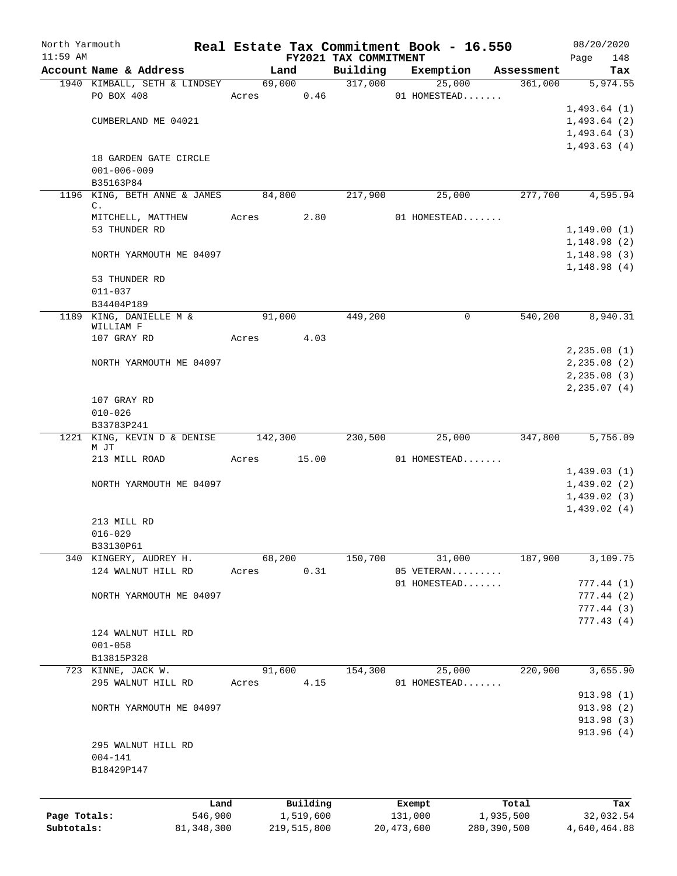| North Yarmouth |                                     |              |       |                |                                   | Real Estate Tax Commitment Book - 16.550 |                        | 08/20/2020                   |
|----------------|-------------------------------------|--------------|-------|----------------|-----------------------------------|------------------------------------------|------------------------|------------------------------|
| $11:59$ AM     | Account Name & Address              |              |       | Land           | FY2021 TAX COMMITMENT<br>Building | Exemption                                |                        | 148<br>Page<br>Tax           |
|                | 1940 KIMBALL, SETH & LINDSEY        |              |       | 69,000         | 317,000                           | 25,000                                   | Assessment<br>361,000  | 5,974.55                     |
|                | PO BOX 408                          |              | Acres | 0.46           |                                   | 01 HOMESTEAD                             |                        |                              |
|                |                                     |              |       |                |                                   |                                          |                        | 1,493.64(1)                  |
|                | CUMBERLAND ME 04021                 |              |       |                |                                   |                                          |                        | 1,493.64(2)                  |
|                |                                     |              |       |                |                                   |                                          |                        | 1,493.64(3)                  |
|                |                                     |              |       |                |                                   |                                          |                        | 1,493.63(4)                  |
|                | 18 GARDEN GATE CIRCLE               |              |       |                |                                   |                                          |                        |                              |
|                | $001 - 006 - 009$                   |              |       |                |                                   |                                          |                        |                              |
|                | B35163P84                           |              |       |                |                                   |                                          |                        |                              |
|                | 1196 KING, BETH ANNE & JAMES<br>C.  |              |       | 84,800         | 217,900                           | 25,000                                   | 277,700                | 4,595.94                     |
|                | MITCHELL, MATTHEW                   |              | Acres | 2.80           |                                   | 01 HOMESTEAD                             |                        |                              |
|                | 53 THUNDER RD                       |              |       |                |                                   |                                          |                        | 1,149.00(1)                  |
|                |                                     |              |       |                |                                   |                                          |                        | 1,148.98(2)                  |
|                | NORTH YARMOUTH ME 04097             |              |       |                |                                   |                                          |                        | 1,148.98(3)                  |
|                |                                     |              |       |                |                                   |                                          |                        | 1,148.98(4)                  |
|                | 53 THUNDER RD<br>$011 - 037$        |              |       |                |                                   |                                          |                        |                              |
|                | B34404P189                          |              |       |                |                                   |                                          |                        |                              |
|                | 1189 KING, DANIELLE M &             |              |       | 91,000         | 449,200                           |                                          | 540,200<br>$\mathbf 0$ | 8,940.31                     |
|                | WILLIAM F                           |              |       |                |                                   |                                          |                        |                              |
|                | 107 GRAY RD                         |              | Acres | 4.03           |                                   |                                          |                        |                              |
|                |                                     |              |       |                |                                   |                                          |                        | 2, 235.08(1)                 |
|                | NORTH YARMOUTH ME 04097             |              |       |                |                                   |                                          |                        | 2, 235.08 (2)                |
|                |                                     |              |       |                |                                   |                                          |                        | 2, 235.08(3)<br>2, 235.07(4) |
|                | 107 GRAY RD                         |              |       |                |                                   |                                          |                        |                              |
|                | $010 - 026$                         |              |       |                |                                   |                                          |                        |                              |
|                | B33783P241                          |              |       |                |                                   |                                          |                        |                              |
|                | 1221 KING, KEVIN D & DENISE 142,300 |              |       |                | 230,500                           | 25,000                                   | 347,800                | 5,756.09                     |
|                | M JT<br>213 MILL ROAD               |              |       | Acres 15.00    |                                   | 01 HOMESTEAD                             |                        |                              |
|                |                                     |              |       |                |                                   |                                          |                        | 1,439.03(1)                  |
|                | NORTH YARMOUTH ME 04097             |              |       |                |                                   |                                          |                        | 1,439.02(2)                  |
|                |                                     |              |       |                |                                   |                                          |                        | 1,439.02(3)                  |
|                |                                     |              |       |                |                                   |                                          |                        | 1,439.02(4)                  |
|                | 213 MILL RD                         |              |       |                |                                   |                                          |                        |                              |
|                | $016 - 029$                         |              |       |                |                                   |                                          |                        |                              |
|                | B33130P61                           |              |       |                |                                   |                                          |                        |                              |
|                | 340 KINGERY, AUDREY H.              |              |       | 68,200<br>0.31 | 150,700                           | 31,000                                   | 187,900                | 3,109.75                     |
|                | 124 WALNUT HILL RD                  |              | Acres |                |                                   | 05 VETERAN<br>01 HOMESTEAD               |                        | 777.44(1)                    |
|                | NORTH YARMOUTH ME 04097             |              |       |                |                                   |                                          |                        | 777.44(2)                    |
|                |                                     |              |       |                |                                   |                                          |                        | 777.44(3)                    |
|                |                                     |              |       |                |                                   |                                          |                        | 777.43(4)                    |
|                | 124 WALNUT HILL RD                  |              |       |                |                                   |                                          |                        |                              |
|                | $001 - 058$                         |              |       |                |                                   |                                          |                        |                              |
|                | B13815P328                          |              |       |                |                                   |                                          |                        |                              |
|                | 723 KINNE, JACK W.                  |              |       | 91,600         | 154,300                           | 25,000                                   | 220,900                | 3,655.90                     |
|                | 295 WALNUT HILL RD                  |              | Acres | 4.15           |                                   | 01 HOMESTEAD                             |                        | 913.98(1)                    |
|                | NORTH YARMOUTH ME 04097             |              |       |                |                                   |                                          |                        | 913.98 (2)                   |
|                |                                     |              |       |                |                                   |                                          |                        | 913.98 (3)                   |
|                |                                     |              |       |                |                                   |                                          |                        | 913.96(4)                    |
|                | 295 WALNUT HILL RD                  |              |       |                |                                   |                                          |                        |                              |
|                | $004 - 141$                         |              |       |                |                                   |                                          |                        |                              |
|                | B18429P147                          |              |       |                |                                   |                                          |                        |                              |
|                |                                     |              |       |                |                                   |                                          |                        |                              |
|                |                                     | Land         |       | Building       |                                   | Exempt                                   | Total                  | Tax                          |
| Page Totals:   |                                     | 546,900      |       | 1,519,600      |                                   | 131,000                                  | 1,935,500              | 32,032.54                    |
| Subtotals:     |                                     | 81, 348, 300 |       | 219,515,800    |                                   | 20, 473, 600                             | 280,390,500            | 4,640,464.88                 |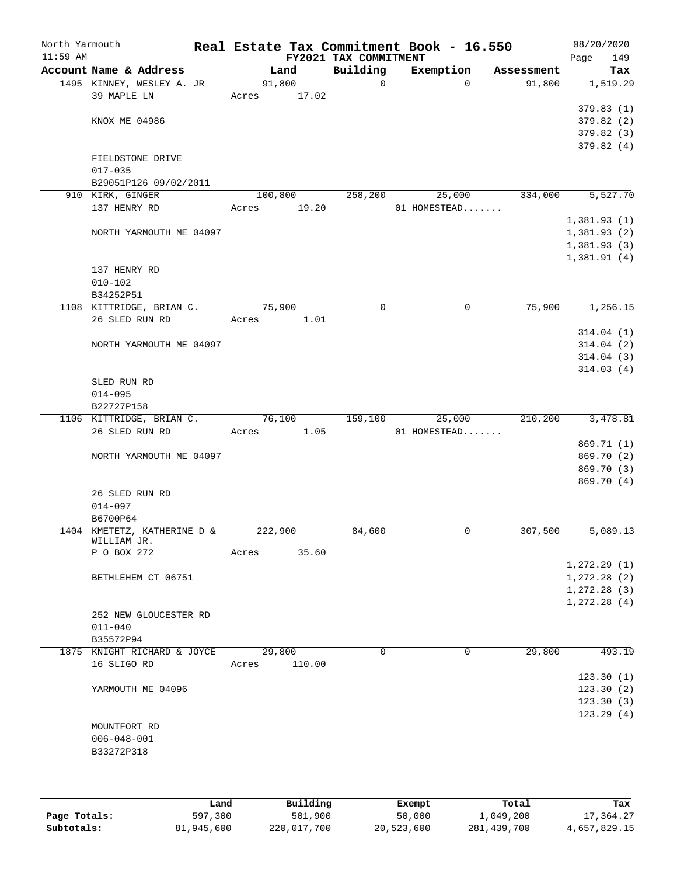| North Yarmouth |                                          |      |       |          |      | Real Estate Tax Commitment Book - 16.550 |        |              |            | 08/20/2020                 |            |
|----------------|------------------------------------------|------|-------|----------|------|------------------------------------------|--------|--------------|------------|----------------------------|------------|
| $11:59$ AM     | Account Name & Address                   |      |       | Land     |      | FY2021 TAX COMMITMENT<br>Building        |        | Exemption    | Assessment | Page                       | 149<br>Tax |
|                | 1495 KINNEY, WESLEY A. JR                |      |       | 91,800   |      | $\mathsf{O}$                             |        | $\Omega$     | 91,800     |                            | 1,519.29   |
|                | 39 MAPLE LN                              |      | Acres | 17.02    |      |                                          |        |              |            |                            |            |
|                |                                          |      |       |          |      |                                          |        |              |            | 379.83(1)                  |            |
|                | KNOX ME 04986                            |      |       |          |      |                                          |        |              |            | 379.82(2)                  |            |
|                |                                          |      |       |          |      |                                          |        |              |            | 379.82 (3)                 |            |
|                |                                          |      |       |          |      |                                          |        |              |            | 379.82(4)                  |            |
|                | FIELDSTONE DRIVE                         |      |       |          |      |                                          |        |              |            |                            |            |
|                | $017 - 035$                              |      |       |          |      |                                          |        |              |            |                            |            |
|                | B29051P126 09/02/2011                    |      |       |          |      |                                          |        |              |            |                            |            |
|                | 910 KIRK, GINGER                         |      |       | 100,800  |      | 258,200                                  |        | 25,000       | 334,000    |                            | 5,527.70   |
|                | 137 HENRY RD                             |      | Acres | 19.20    |      |                                          |        | 01 HOMESTEAD |            |                            |            |
|                |                                          |      |       |          |      |                                          |        |              |            | 1,381.93(1)                |            |
|                | NORTH YARMOUTH ME 04097                  |      |       |          |      |                                          |        |              |            | 1,381.93(2)                |            |
|                |                                          |      |       |          |      |                                          |        |              |            | 1,381.93(3)<br>1,381.91(4) |            |
|                | 137 HENRY RD                             |      |       |          |      |                                          |        |              |            |                            |            |
|                | $010 - 102$                              |      |       |          |      |                                          |        |              |            |                            |            |
|                | B34252P51                                |      |       |          |      |                                          |        |              |            |                            |            |
|                | 1108 KITTRIDGE, BRIAN C.                 |      |       | 75,900   |      | 0                                        |        | 0            | 75,900     |                            | 1,256.15   |
|                | 26 SLED RUN RD                           |      | Acres |          | 1.01 |                                          |        |              |            |                            |            |
|                |                                          |      |       |          |      |                                          |        |              |            | 314.04(1)                  |            |
|                | NORTH YARMOUTH ME 04097                  |      |       |          |      |                                          |        |              |            | 314.04(2)                  |            |
|                |                                          |      |       |          |      |                                          |        |              |            | 314.04(3)                  |            |
|                |                                          |      |       |          |      |                                          |        |              |            | 314.03(4)                  |            |
|                | SLED RUN RD                              |      |       |          |      |                                          |        |              |            |                            |            |
|                | $014 - 095$                              |      |       |          |      |                                          |        |              |            |                            |            |
|                | B22727P158                               |      |       |          |      |                                          |        |              |            |                            |            |
|                | 1106 KITTRIDGE, BRIAN C.                 |      |       | 76,100   |      | 159,100                                  |        | 25,000       | 210,200    |                            | 3,478.81   |
|                | 26 SLED RUN RD                           |      | Acres |          | 1.05 |                                          |        | 01 HOMESTEAD |            |                            |            |
|                |                                          |      |       |          |      |                                          |        |              |            | 869.71 (1)                 |            |
|                | NORTH YARMOUTH ME 04097                  |      |       |          |      |                                          |        |              |            | 869.70 (2)                 |            |
|                |                                          |      |       |          |      |                                          |        |              |            | 869.70 (3)                 |            |
|                | 26 SLED RUN RD                           |      |       |          |      |                                          |        |              |            | 869.70(4)                  |            |
|                | $014 - 097$                              |      |       |          |      |                                          |        |              |            |                            |            |
|                | B6700P64                                 |      |       |          |      |                                          |        |              |            |                            |            |
|                | 1404 KMETETZ, KATHERINE D &              |      |       | 222,900  |      | 84,600                                   |        | 0            | 307,500    |                            | 5,089.13   |
|                | WILLIAM JR.                              |      |       |          |      |                                          |        |              |            |                            |            |
|                | P O BOX 272                              |      | Acres | 35.60    |      |                                          |        |              |            |                            |            |
|                |                                          |      |       |          |      |                                          |        |              |            | 1, 272.29(1)               |            |
|                | BETHLEHEM CT 06751                       |      |       |          |      |                                          |        |              |            | 1, 272.28(2)               |            |
|                |                                          |      |       |          |      |                                          |        |              |            | 1, 272.28(3)               |            |
|                |                                          |      |       |          |      |                                          |        |              |            | 1, 272.28(4)               |            |
|                | 252 NEW GLOUCESTER RD                    |      |       |          |      |                                          |        |              |            |                            |            |
|                | $011 - 040$                              |      |       |          |      |                                          |        |              |            |                            |            |
|                | B35572P94<br>1875 KNIGHT RICHARD & JOYCE |      |       | 29,800   |      | $\Omega$                                 |        | 0            | 29,800     |                            | 493.19     |
|                | 16 SLIGO RD                              |      | Acres | 110.00   |      |                                          |        |              |            |                            |            |
|                |                                          |      |       |          |      |                                          |        |              |            | 123.30(1)                  |            |
|                | YARMOUTH ME 04096                        |      |       |          |      |                                          |        |              |            | 123.30(2)                  |            |
|                |                                          |      |       |          |      |                                          |        |              |            | 123.30(3)                  |            |
|                |                                          |      |       |          |      |                                          |        |              |            | 123.29(4)                  |            |
|                | MOUNTFORT RD                             |      |       |          |      |                                          |        |              |            |                            |            |
|                | $006 - 048 - 001$                        |      |       |          |      |                                          |        |              |            |                            |            |
|                | B33272P318                               |      |       |          |      |                                          |        |              |            |                            |            |
|                |                                          |      |       |          |      |                                          |        |              |            |                            |            |
|                |                                          |      |       |          |      |                                          |        |              |            |                            |            |
|                |                                          |      |       |          |      |                                          |        |              |            |                            |            |
|                |                                          | Land |       | Building |      |                                          | Exempt |              | Total      |                            | Tax        |

|              | Land       | Building    | Exempt     | Total       | Tax          |
|--------------|------------|-------------|------------|-------------|--------------|
| Page Totals: | 597,300    | 501,900     | 50,000     | 1,049,200   | 17,364.27    |
| Subtotals:   | 81,945,600 | 220,017,700 | 20,523,600 | 281,439,700 | 4,657,829.15 |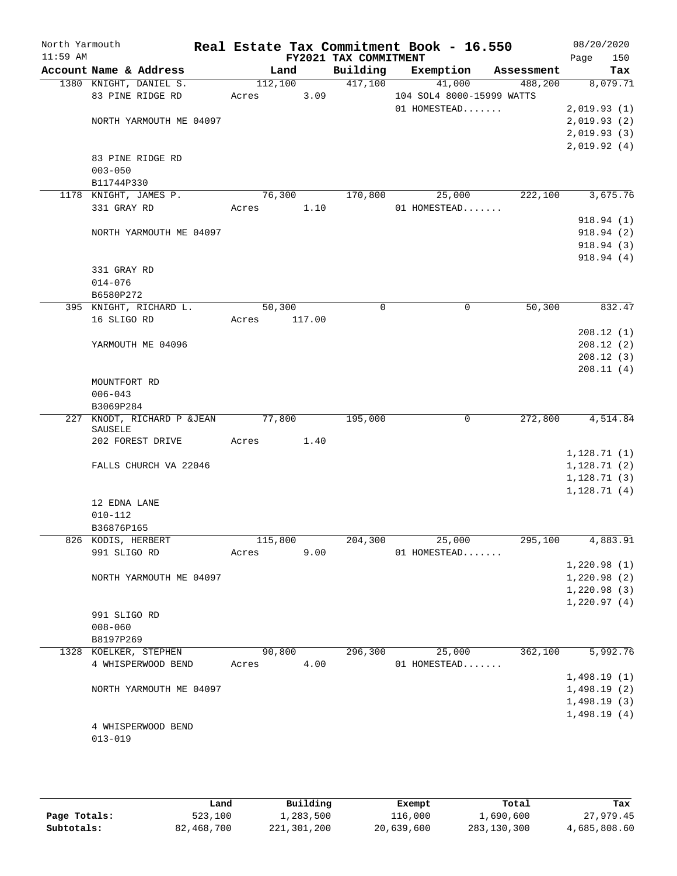| North Yarmouth |                                                  |                 |        |                       | Real Estate Tax Commitment Book - 16.550 |                       |              | 08/20/2020      |
|----------------|--------------------------------------------------|-----------------|--------|-----------------------|------------------------------------------|-----------------------|--------------|-----------------|
| $11:59$ AM     |                                                  |                 |        | FY2021 TAX COMMITMENT |                                          |                       | Page         | 150             |
|                | Account Name & Address<br>1380 KNIGHT, DANIEL S. | Land<br>112,100 |        | Building<br>417,100   | Exemption<br>41,000                      | Assessment<br>488,200 |              | Tax<br>8,079.71 |
|                | 83 PINE RIDGE RD                                 | Acres           | 3.09   |                       | 104 SOL4 8000-15999 WATTS                |                       |              |                 |
|                |                                                  |                 |        |                       | 01 HOMESTEAD                             |                       | 2,019.93(1)  |                 |
|                | NORTH YARMOUTH ME 04097                          |                 |        |                       |                                          |                       | 2,019.93(2)  |                 |
|                |                                                  |                 |        |                       |                                          |                       | 2,019.93(3)  |                 |
|                |                                                  |                 |        |                       |                                          |                       | 2,019.92(4)  |                 |
|                | 83 PINE RIDGE RD                                 |                 |        |                       |                                          |                       |              |                 |
|                | $003 - 050$                                      |                 |        |                       |                                          |                       |              |                 |
|                | B11744P330                                       |                 |        |                       |                                          |                       |              |                 |
|                | 1178 KNIGHT, JAMES P.                            | 76,300          |        | 170,800               | 25,000                                   | 222,100               |              | 3,675.76        |
|                | 331 GRAY RD                                      | Acres           | 1.10   |                       | 01 HOMESTEAD                             |                       |              |                 |
|                |                                                  |                 |        |                       |                                          |                       |              | 918.94 (1)      |
|                | NORTH YARMOUTH ME 04097                          |                 |        |                       |                                          |                       |              | 918.94(2)       |
|                |                                                  |                 |        |                       |                                          |                       |              | 918.94(3)       |
|                |                                                  |                 |        |                       |                                          |                       |              | 918.94(4)       |
|                | 331 GRAY RD                                      |                 |        |                       |                                          |                       |              |                 |
|                | $014 - 076$                                      |                 |        |                       |                                          |                       |              |                 |
|                | B6580P272                                        |                 |        |                       |                                          |                       |              |                 |
|                | 395 KNIGHT, RICHARD L.                           | 50,300          |        | 0                     | 0                                        | 50,300                |              | 832.47          |
|                | 16 SLIGO RD                                      | Acres           | 117.00 |                       |                                          |                       |              |                 |
|                |                                                  |                 |        |                       |                                          |                       |              | 208.12(1)       |
|                | YARMOUTH ME 04096                                |                 |        |                       |                                          |                       |              | 208.12(2)       |
|                |                                                  |                 |        |                       |                                          |                       |              | 208.12(3)       |
|                |                                                  |                 |        |                       |                                          |                       |              | 208.11(4)       |
|                | MOUNTFORT RD<br>$006 - 043$                      |                 |        |                       |                                          |                       |              |                 |
|                | B3069P284                                        |                 |        |                       |                                          |                       |              |                 |
|                | 227 KNODT, RICHARD P & JEAN                      | 77,800          |        | 195,000               | $\mathbf 0$                              | 272,800               |              | 4,514.84        |
|                | SAUSELE                                          |                 |        |                       |                                          |                       |              |                 |
|                | 202 FOREST DRIVE                                 | Acres           | 1.40   |                       |                                          |                       |              |                 |
|                |                                                  |                 |        |                       |                                          |                       | 1,128.71(1)  |                 |
|                | FALLS CHURCH VA 22046                            |                 |        |                       |                                          |                       | 1,128.71(2)  |                 |
|                |                                                  |                 |        |                       |                                          |                       | 1, 128.71(3) |                 |
|                |                                                  |                 |        |                       |                                          |                       | 1,128.71(4)  |                 |
|                | 12 EDNA LANE                                     |                 |        |                       |                                          |                       |              |                 |
|                | $010 - 112$                                      |                 |        |                       |                                          |                       |              |                 |
|                | B36876P165                                       |                 |        |                       |                                          |                       |              |                 |
|                | 826 KODIS, HERBERT                               | 115,800         |        | 204,300               | 25,000                                   | 295,100               |              | 4,883.91        |
|                | 991 SLIGO RD                                     | Acres           | 9.00   |                       | 01 HOMESTEAD                             |                       |              |                 |
|                |                                                  |                 |        |                       |                                          |                       | 1,220.98(1)  |                 |
|                | NORTH YARMOUTH ME 04097                          |                 |        |                       |                                          |                       | 1,220.98(2)  |                 |
|                |                                                  |                 |        |                       |                                          |                       | 1,220.98(3)  |                 |
|                |                                                  |                 |        |                       |                                          |                       | 1,220.97(4)  |                 |
|                | 991 SLIGO RD<br>$008 - 060$                      |                 |        |                       |                                          |                       |              |                 |
|                | B8197P269                                        |                 |        |                       |                                          |                       |              |                 |
|                | 1328 KOELKER, STEPHEN                            | 90,800          |        | 296,300               | 25,000                                   | 362,100               |              | 5,992.76        |
|                | 4 WHISPERWOOD BEND                               | Acres           | 4.00   |                       | 01 HOMESTEAD                             |                       |              |                 |
|                |                                                  |                 |        |                       |                                          |                       | 1,498.19(1)  |                 |
|                | NORTH YARMOUTH ME 04097                          |                 |        |                       |                                          |                       | 1,498.19(2)  |                 |
|                |                                                  |                 |        |                       |                                          |                       | 1,498.19(3)  |                 |
|                |                                                  |                 |        |                       |                                          |                       |              |                 |
|                |                                                  |                 |        |                       |                                          |                       | 1,498.19(4)  |                 |
|                | 4 WHISPERWOOD BEND                               |                 |        |                       |                                          |                       |              |                 |

|              | Land       | Building    | Exempt     | Total       | Tax          |
|--------------|------------|-------------|------------|-------------|--------------|
| Page Totals: | 523,100    | 1,283,500   | 116,000    | 1,690,600   | 27,979.45    |
| Subtotals:   | 82,468,700 | 221,301,200 | 20,639,600 | 283,130,300 | 4,685,808.60 |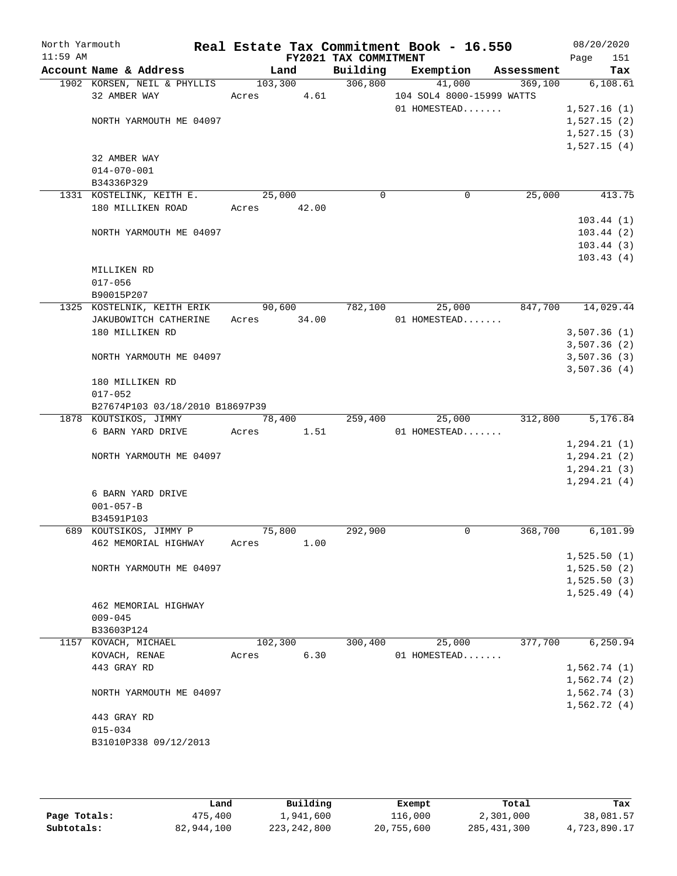| North Yarmouth |                                      |                |                       | Real Estate Tax Commitment Book - 16.550 |         | 08/20/2020                 |
|----------------|--------------------------------------|----------------|-----------------------|------------------------------------------|---------|----------------------------|
| $11:59$ AM     |                                      |                | FY2021 TAX COMMITMENT |                                          |         | 151<br>Page                |
|                | Account Name & Address               | Land           |                       | Building Exemption Assessment            |         | Tax                        |
|                | 1902 KORSEN, NEIL & PHYLLIS          |                | 103,300 306,800       | 41,000                                   | 369,100 | 6, 108.61                  |
|                | 32 AMBER WAY                         | Acres 4.61     |                       | 104 SOL4 8000-15999 WATTS                |         |                            |
|                |                                      |                |                       | 01 HOMESTEAD                             |         | 1,527.16(1)                |
|                | NORTH YARMOUTH ME 04097              |                |                       |                                          |         | 1,527.15(2)                |
|                |                                      |                |                       |                                          |         | 1,527.15(3)<br>1,527.15(4) |
|                | 32 AMBER WAY                         |                |                       |                                          |         |                            |
|                | $014 - 070 - 001$                    |                |                       |                                          |         |                            |
|                | B34336P329                           |                |                       |                                          |         |                            |
|                | 1331 KOSTELINK, KEITH E.             | 25,000         | $\mathbf 0$           | 0                                        | 25,000  | 413.75                     |
|                | 180 MILLIKEN ROAD                    | Acres 42.00    |                       |                                          |         |                            |
|                |                                      |                |                       |                                          |         | 103.44(1)                  |
|                | NORTH YARMOUTH ME 04097              |                |                       |                                          |         | 103.44(2)                  |
|                |                                      |                |                       |                                          |         | 103.44(3)                  |
|                |                                      |                |                       |                                          |         | 103.43(4)                  |
|                | MILLIKEN RD                          |                |                       |                                          |         |                            |
|                | $017 - 056$                          |                |                       |                                          |         |                            |
|                | B90015P207                           |                |                       |                                          |         |                            |
|                | 1325 KOSTELNIK, KEITH ERIK 90,600    |                | 782,100               | 25,000                                   | 847,700 | 14,029.44                  |
|                | JAKUBOWITCH CATHERINE                | Acres 34.00    |                       | $01$ HOMESTEAD                           |         |                            |
|                | 180 MILLIKEN RD                      |                |                       |                                          |         | 3,507.36(1)                |
|                |                                      |                |                       |                                          |         | 3,507.36(2)                |
|                | NORTH YARMOUTH ME 04097              |                |                       |                                          |         | 3,507.36(3)                |
|                |                                      |                |                       |                                          |         | 3,507.36(4)                |
|                | 180 MILLIKEN RD                      |                |                       |                                          |         |                            |
|                | $017 - 052$                          |                |                       |                                          |         |                            |
|                | B27674P103 03/18/2010 B18697P39      |                |                       |                                          |         |                            |
|                | 1878 KOUTSIKOS, JIMMY                | 78,400 259,400 |                       | 25,000                                   | 312,800 | 5,176.84                   |
|                | 6 BARN YARD DRIVE Acres 1.51         |                |                       | 01 HOMESTEAD                             |         |                            |
|                |                                      |                |                       |                                          |         | 1, 294.21(1)               |
|                | NORTH YARMOUTH ME 04097              |                |                       |                                          |         | 1, 294.21(2)               |
|                |                                      |                |                       |                                          |         | 1, 294.21(3)               |
|                |                                      |                |                       |                                          |         | 1, 294.21(4)               |
|                | 6 BARN YARD DRIVE<br>$001 - 057 - B$ |                |                       |                                          |         |                            |
|                | B34591P103                           |                |                       |                                          |         |                            |
|                | 689 KOUTSIKOS, JIMMY P               | 75,800         | 292,900               | 0                                        | 368,700 | 6, 101.99                  |
|                | 462 MEMORIAL HIGHWAY                 | Acres          | 1.00                  |                                          |         |                            |
|                |                                      |                |                       |                                          |         | 1,525.50(1)                |
|                | NORTH YARMOUTH ME 04097              |                |                       |                                          |         | 1,525.50(2)                |
|                |                                      |                |                       |                                          |         | 1,525.50(3)                |
|                |                                      |                |                       |                                          |         | 1,525.49(4)                |
|                | 462 MEMORIAL HIGHWAY                 |                |                       |                                          |         |                            |
|                | $009 - 045$                          |                |                       |                                          |         |                            |
|                | B33603P124                           |                |                       |                                          |         |                            |
|                | 1157 KOVACH, MICHAEL                 | 102,300        | 300,400               | 25,000                                   | 377,700 | 6,250.94                   |
|                | KOVACH, RENAE                        | Acres          | 6.30                  | 01 HOMESTEAD                             |         |                            |
|                | 443 GRAY RD                          |                |                       |                                          |         | 1,562.74(1)                |
|                |                                      |                |                       |                                          |         | 1,562.74(2)                |
|                | NORTH YARMOUTH ME 04097              |                |                       |                                          |         | 1,562.74(3)                |
|                |                                      |                |                       |                                          |         | 1,562.72(4)                |
|                | 443 GRAY RD                          |                |                       |                                          |         |                            |
|                | $015 - 034$                          |                |                       |                                          |         |                            |
|                | B31010P338 09/12/2013                |                |                       |                                          |         |                            |
|                |                                      |                |                       |                                          |         |                            |

|              | Land       | Building    | Exempt     | Total         | Tax          |
|--------------|------------|-------------|------------|---------------|--------------|
| Page Totals: | 475,400    | 1,941,600   | 116,000    | 2,301,000     | 38,081.57    |
| Subtotals:   | 82,944,100 | 223,242,800 | 20,755,600 | 285, 431, 300 | 4,723,890.17 |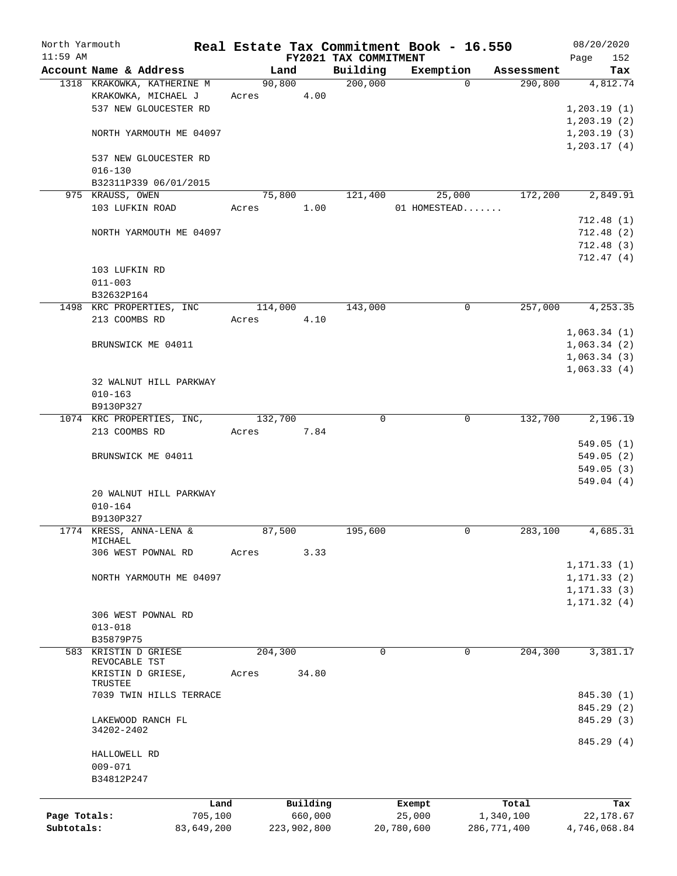| North Yarmouth             |                                              |         |                        |                       | Real Estate Tax Commitment Book - 16.550 |                          | 08/20/2020                |
|----------------------------|----------------------------------------------|---------|------------------------|-----------------------|------------------------------------------|--------------------------|---------------------------|
| $11:59$ AM                 |                                              |         |                        | FY2021 TAX COMMITMENT |                                          |                          | 152<br>Page               |
|                            | Account Name & Address                       | Land    |                        | Building              | Exemption                                | Assessment               | Tax                       |
|                            | 1318 KRAKOWKA, KATHERINE M                   | 90,800  |                        | 200,000               | $\Omega$                                 | 290,800                  | 4,812.74                  |
|                            | KRAKOWKA, MICHAEL J<br>537 NEW GLOUCESTER RD | Acres   | 4.00                   |                       |                                          |                          |                           |
|                            |                                              |         |                        |                       |                                          |                          | 1,203.19(1)               |
|                            |                                              |         |                        |                       |                                          |                          | 1, 203.19(2)              |
|                            | NORTH YARMOUTH ME 04097                      |         |                        |                       |                                          |                          | 1, 203.19(3)              |
|                            | 537 NEW GLOUCESTER RD                        |         |                        |                       |                                          |                          | 1,203.17(4)               |
|                            | $016 - 130$                                  |         |                        |                       |                                          |                          |                           |
|                            | B32311P339 06/01/2015                        |         |                        |                       |                                          |                          |                           |
|                            | 975 KRAUSS, OWEN                             | 75,800  |                        | 121,400               | 25,000                                   | 172,200                  | 2,849.91                  |
|                            | 103 LUFKIN ROAD                              | Acres   | 1.00                   |                       | 01 HOMESTEAD                             |                          |                           |
|                            |                                              |         |                        |                       |                                          |                          | 712.48(1)                 |
|                            | NORTH YARMOUTH ME 04097                      |         |                        |                       |                                          |                          | 712.48(2)                 |
|                            |                                              |         |                        |                       |                                          |                          | 712.48(3)                 |
|                            |                                              |         |                        |                       |                                          |                          | 712.47(4)                 |
|                            | 103 LUFKIN RD                                |         |                        |                       |                                          |                          |                           |
|                            | $011 - 003$                                  |         |                        |                       |                                          |                          |                           |
|                            | B32632P164                                   |         |                        |                       |                                          |                          |                           |
|                            | 1498 KRC PROPERTIES, INC                     | 114,000 |                        | 143,000               | 0                                        | 257,000                  | 4,253.35                  |
|                            | 213 COOMBS RD                                | Acres   | 4.10                   |                       |                                          |                          |                           |
|                            |                                              |         |                        |                       |                                          |                          | 1,063.34(1)               |
|                            | BRUNSWICK ME 04011                           |         |                        |                       |                                          |                          | 1,063.34(2)               |
|                            |                                              |         |                        |                       |                                          |                          | 1,063.34(3)               |
|                            |                                              |         |                        |                       |                                          |                          | 1,063.33(4)               |
|                            | 32 WALNUT HILL PARKWAY                       |         |                        |                       |                                          |                          |                           |
|                            | $010 - 163$                                  |         |                        |                       |                                          |                          |                           |
|                            | B9130P327                                    |         |                        |                       |                                          |                          |                           |
|                            | 1074 KRC PROPERTIES, INC,                    | 132,700 |                        | $\mathbf 0$           | $\mathbf 0$                              | 132,700                  | 2,196.19                  |
|                            | 213 COOMBS RD                                | Acres   | 7.84                   |                       |                                          |                          |                           |
|                            |                                              |         |                        |                       |                                          |                          | 549.05(1)                 |
|                            | BRUNSWICK ME 04011                           |         |                        |                       |                                          |                          | 549.05(2)                 |
|                            |                                              |         |                        |                       |                                          |                          | 549.05(3)                 |
|                            |                                              |         |                        |                       |                                          |                          | 549.04(4)                 |
|                            | 20 WALNUT HILL PARKWAY                       |         |                        |                       |                                          |                          |                           |
|                            | $010 - 164$                                  |         |                        |                       |                                          |                          |                           |
|                            | B9130P327                                    |         |                        |                       |                                          |                          |                           |
|                            | 1774 KRESS, ANNA-LENA &                      | 87,500  |                        | 195,600               | 0                                        | 283,100                  | 4,685.31                  |
|                            | MICHAEL                                      |         |                        |                       |                                          |                          |                           |
|                            | 306 WEST POWNAL RD                           | Acres   | 3.33                   |                       |                                          |                          |                           |
|                            |                                              |         |                        |                       |                                          |                          | 1,171.33 (1)              |
|                            | NORTH YARMOUTH ME 04097                      |         |                        |                       |                                          |                          | 1, 171.33(2)              |
|                            |                                              |         |                        |                       |                                          |                          | 1, 171.33(3)              |
|                            |                                              |         |                        |                       |                                          |                          | 1, 171.32(4)              |
|                            | 306 WEST POWNAL RD                           |         |                        |                       |                                          |                          |                           |
|                            | $013 - 018$                                  |         |                        |                       |                                          |                          |                           |
|                            | B35879P75                                    |         |                        |                       |                                          |                          |                           |
|                            | 583 KRISTIN D GRIESE<br>REVOCABLE TST        | 204,300 |                        | $\Omega$              | 0                                        | 204,300                  | 3,381.17                  |
|                            | KRISTIN D GRIESE,                            | Acres   | 34.80                  |                       |                                          |                          |                           |
|                            | TRUSTEE                                      |         |                        |                       |                                          |                          |                           |
|                            | 7039 TWIN HILLS TERRACE                      |         |                        |                       |                                          |                          | 845.30 (1)                |
|                            |                                              |         |                        |                       |                                          |                          | 845.29 (2)                |
|                            | LAKEWOOD RANCH FL                            |         |                        |                       |                                          |                          | 845.29 (3)                |
|                            | 34202-2402                                   |         |                        |                       |                                          |                          |                           |
|                            |                                              |         |                        |                       |                                          |                          | 845.29 (4)                |
|                            | HALLOWELL RD                                 |         |                        |                       |                                          |                          |                           |
|                            | $009 - 071$                                  |         |                        |                       |                                          |                          |                           |
|                            | B34812P247                                   |         |                        |                       |                                          |                          |                           |
|                            |                                              |         |                        |                       |                                          |                          |                           |
|                            | Land                                         |         | Building               |                       | Exempt                                   | Total                    | Tax                       |
| Page Totals:<br>Subtotals: | 705,100<br>83,649,200                        |         | 660,000<br>223,902,800 |                       | 25,000<br>20,780,600                     | 1,340,100<br>286,771,400 | 22,178.67<br>4,746,068.84 |
|                            |                                              |         |                        |                       |                                          |                          |                           |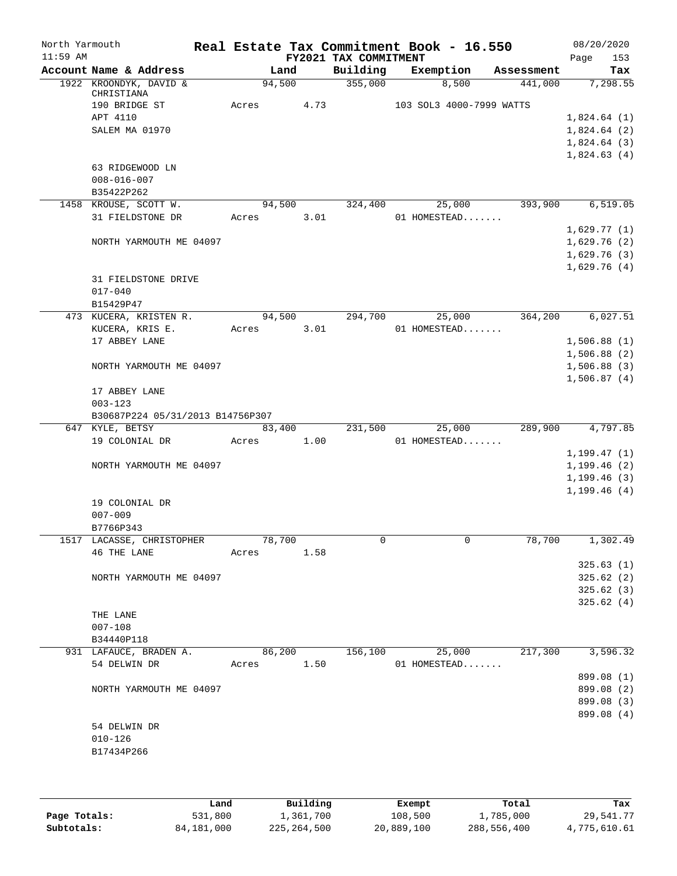| North Yarmouth<br>$11:59$ AM |                                  |       |        |      | FY2021 TAX COMMITMENT | Real Estate Tax Commitment Book - 16.550 |            | Page | 08/20/2020<br>153        |
|------------------------------|----------------------------------|-------|--------|------|-----------------------|------------------------------------------|------------|------|--------------------------|
|                              | Account Name & Address           |       | Land   |      | Building              | Exemption                                | Assessment |      | Tax                      |
|                              | 1922 KROONDYK, DAVID &           |       | 94,500 |      | 355,000               | 8,500                                    | 441,000    |      | 7,298.55                 |
|                              | CHRISTIANA<br>190 BRIDGE ST      | Acres |        | 4.73 |                       | 103 SOL3 4000-7999 WATTS                 |            |      |                          |
|                              | APT 4110                         |       |        |      |                       |                                          |            |      | 1,824.64(1)              |
|                              | SALEM MA 01970                   |       |        |      |                       |                                          |            |      | 1,824.64(2)              |
|                              |                                  |       |        |      |                       |                                          |            |      | 1,824.64(3)              |
|                              |                                  |       |        |      |                       |                                          |            |      | 1,824.63(4)              |
|                              | 63 RIDGEWOOD LN                  |       |        |      |                       |                                          |            |      |                          |
|                              | $008 - 016 - 007$                |       |        |      |                       |                                          |            |      |                          |
|                              | B35422P262                       |       |        |      |                       |                                          |            |      |                          |
|                              | 1458 KROUSE, SCOTT W.            |       | 94,500 |      | 324,400               | 25,000                                   | 393,900    |      | 6, 519.05                |
|                              | 31 FIELDSTONE DR                 | Acres |        | 3.01 |                       | 01 HOMESTEAD                             |            |      |                          |
|                              |                                  |       |        |      |                       |                                          |            |      | 1,629.77(1)              |
|                              | NORTH YARMOUTH ME 04097          |       |        |      |                       |                                          |            |      | 1,629.76(2)              |
|                              |                                  |       |        |      |                       |                                          |            |      | 1,629.76(3)              |
|                              |                                  |       |        |      |                       |                                          |            |      | 1,629.76(4)              |
|                              | 31 FIELDSTONE DRIVE              |       |        |      |                       |                                          |            |      |                          |
|                              | $017 - 040$                      |       |        |      |                       |                                          |            |      |                          |
|                              | B15429P47                        |       |        |      |                       |                                          |            |      |                          |
|                              | 473 KUCERA, KRISTEN R.           |       | 94,500 |      | 294,700               | 25,000                                   | 364,200    |      | 6,027.51                 |
|                              | KUCERA, KRIS E.                  | Acres |        | 3.01 |                       | 01 HOMESTEAD                             |            |      |                          |
|                              | 17 ABBEY LANE                    |       |        |      |                       |                                          |            |      | 1,506.88(1)              |
|                              |                                  |       |        |      |                       |                                          |            |      | 1,506.88(2)              |
|                              | NORTH YARMOUTH ME 04097          |       |        |      |                       |                                          |            |      | 1,506.88(3)              |
|                              |                                  |       |        |      |                       |                                          |            |      | 1,506.87(4)              |
|                              | 17 ABBEY LANE                    |       |        |      |                       |                                          |            |      |                          |
|                              | $003 - 123$                      |       |        |      |                       |                                          |            |      |                          |
|                              | B30687P224 05/31/2013 B14756P307 |       |        |      |                       |                                          |            |      |                          |
|                              | 647 KYLE, BETSY                  |       | 83,400 |      | 231,500               | 25,000                                   | 289,900    |      | 4,797.85                 |
|                              | 19 COLONIAL DR                   | Acres |        | 1.00 |                       | 01 HOMESTEAD                             |            |      |                          |
|                              |                                  |       |        |      |                       |                                          |            |      | 1, 199.47(1)             |
|                              | NORTH YARMOUTH ME 04097          |       |        |      |                       |                                          |            |      | 1, 199.46(2)             |
|                              |                                  |       |        |      |                       |                                          |            |      | 1, 199.46(3)             |
|                              |                                  |       |        |      |                       |                                          |            |      | 1, 199.46(4)             |
|                              | 19 COLONIAL DR                   |       |        |      |                       |                                          |            |      |                          |
|                              | $007 - 009$                      |       |        |      |                       |                                          |            |      |                          |
|                              | B7766P343                        |       |        |      |                       |                                          |            |      |                          |
|                              | 1517 LACASSE, CHRISTOPHER        |       | 78,700 |      | 0                     | 0                                        | 78,700     |      | 1,302.49                 |
|                              | 46 THE LANE                      | Acres |        | 1.58 |                       |                                          |            |      |                          |
|                              |                                  |       |        |      |                       |                                          |            |      | 325.63(1)                |
|                              | NORTH YARMOUTH ME 04097          |       |        |      |                       |                                          |            |      | 325.62(2)                |
|                              |                                  |       |        |      |                       |                                          |            |      | 325.62(3)                |
|                              |                                  |       |        |      |                       |                                          |            |      | 325.62(4)                |
|                              | THE LANE                         |       |        |      |                       |                                          |            |      |                          |
|                              | $007 - 108$                      |       |        |      |                       |                                          |            |      |                          |
|                              | B34440P118                       |       |        |      |                       |                                          |            |      | 3,596.32                 |
|                              | 931 LAFAUCE, BRADEN A.           |       | 86,200 |      | 156,100               | 25,000                                   | 217,300    |      |                          |
|                              | 54 DELWIN DR                     | Acres |        | 1.50 |                       | 01 HOMESTEAD                             |            |      | 899.08 (1)               |
|                              |                                  |       |        |      |                       |                                          |            |      |                          |
|                              | NORTH YARMOUTH ME 04097          |       |        |      |                       |                                          |            |      | 899.08 (2)<br>899.08 (3) |
|                              |                                  |       |        |      |                       |                                          |            |      | 899.08 (4)               |
|                              | 54 DELWIN DR                     |       |        |      |                       |                                          |            |      |                          |
|                              | $010 - 126$                      |       |        |      |                       |                                          |            |      |                          |
|                              | B17434P266                       |       |        |      |                       |                                          |            |      |                          |
|                              |                                  |       |        |      |                       |                                          |            |      |                          |
|                              |                                  |       |        |      |                       |                                          |            |      |                          |

|              | Land       | Building    | Exempt     | Total       | Tax          |
|--------------|------------|-------------|------------|-------------|--------------|
| Page Totals: | 531,800    | 1,361,700   | 108,500    | 1,785,000   | 29,541.77    |
| Subtotals:   | 84,181,000 | 225,264,500 | 20,889,100 | 288,556,400 | 4,775,610.61 |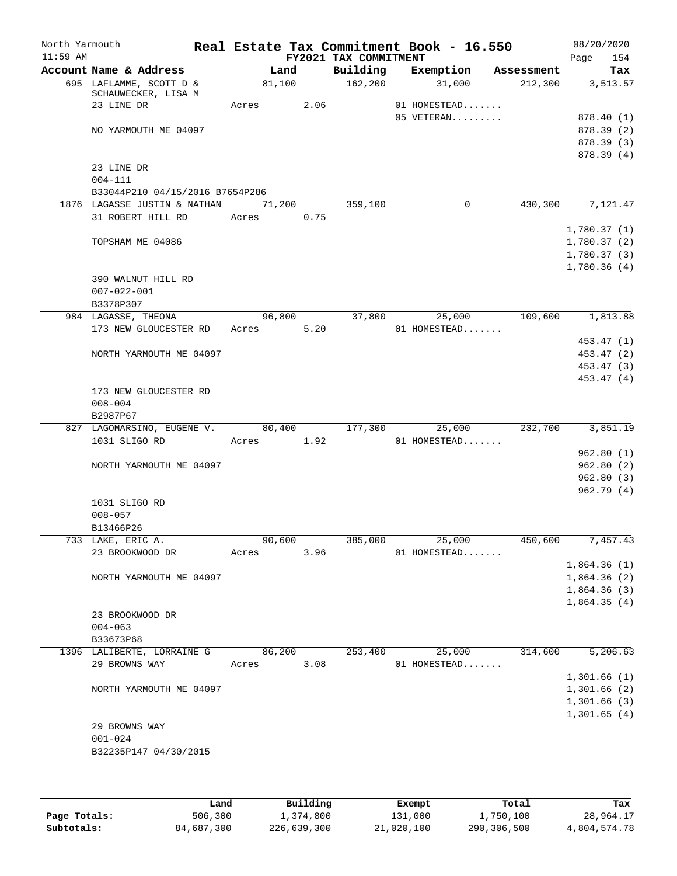| North Yarmouth |                                                |       |        |            |                       | Real Estate Tax Commitment Book - 16.550 |                       | 08/20/2020  |
|----------------|------------------------------------------------|-------|--------|------------|-----------------------|------------------------------------------|-----------------------|-------------|
| $11:59$ AM     |                                                |       |        |            | FY2021 TAX COMMITMENT |                                          |                       | 154<br>Page |
|                | Account Name & Address                         |       | Land   |            | Building              | Exemption                                | Assessment            | Tax         |
|                | 695 LAFLAMME, SCOTT D &<br>SCHAUWECKER, LISA M |       | 81,100 |            | 162,200               | 31,000                                   | 212,300               | 3,513.57    |
|                | 23 LINE DR                                     | Acres |        | 2.06       |                       | 01 HOMESTEAD                             |                       |             |
|                |                                                |       |        |            |                       | $05$ VETERAN                             |                       | 878.40 (1)  |
|                | NO YARMOUTH ME 04097                           |       |        |            |                       |                                          |                       | 878.39 (2)  |
|                |                                                |       |        |            |                       |                                          |                       | 878.39(3)   |
|                |                                                |       |        |            |                       |                                          |                       | 878.39 (4)  |
|                | 23 LINE DR                                     |       |        |            |                       |                                          |                       |             |
|                | $004 - 111$                                    |       |        |            |                       |                                          |                       |             |
|                | B33044P210 04/15/2016 B7654P286                |       |        |            |                       |                                          |                       |             |
|                | 1876 LAGASSE JUSTIN & NATHAN                   |       | 71,200 |            | 359,100               | $\Omega$                                 | 430,300               | 7,121.47    |
|                | 31 ROBERT HILL RD                              | Acres |        | 0.75       |                       |                                          |                       |             |
|                |                                                |       |        |            |                       |                                          |                       | 1,780.37(1) |
|                | TOPSHAM ME 04086                               |       |        |            |                       |                                          |                       | 1,780.37(2) |
|                |                                                |       |        |            |                       |                                          |                       | 1,780.37(3) |
|                |                                                |       |        |            |                       |                                          |                       | 1,780.36(4) |
|                | 390 WALNUT HILL RD                             |       |        |            |                       |                                          |                       |             |
|                | $007 - 022 - 001$                              |       |        |            |                       |                                          |                       |             |
|                | B3378P307                                      |       |        |            |                       |                                          |                       |             |
|                | 984 LAGASSE, THEONA                            |       | 96,800 |            | 37,800                | 25,000                                   | 109,600               | 1,813.88    |
|                | 173 NEW GLOUCESTER RD                          |       | Acres  | 5.20       |                       | 01 HOMESTEAD                             |                       |             |
|                |                                                |       |        |            |                       |                                          |                       | 453.47 (1)  |
|                | NORTH YARMOUTH ME 04097                        |       |        |            |                       |                                          |                       | 453.47 (2)  |
|                |                                                |       |        |            |                       |                                          |                       | 453.47 (3)  |
|                |                                                |       |        |            |                       |                                          |                       | 453.47(4)   |
|                | 173 NEW GLOUCESTER RD                          |       |        |            |                       |                                          |                       |             |
|                | $008 - 004$                                    |       |        |            |                       |                                          |                       |             |
|                | B2987P67                                       |       |        |            |                       |                                          |                       |             |
|                | 827 LAGOMARSINO, EUGENE V.                     |       | 80,400 |            | 177,300               | 25,000                                   | 232,700               | 3,851.19    |
|                | 1031 SLIGO RD                                  |       |        | Acres 1.92 |                       | 01 HOMESTEAD                             |                       |             |
|                |                                                |       |        |            |                       |                                          |                       | 962.80(1)   |
|                | NORTH YARMOUTH ME 04097                        |       |        |            |                       |                                          |                       | 962.80(2)   |
|                |                                                |       |        |            |                       |                                          |                       | 962.80(3)   |
|                |                                                |       |        |            |                       |                                          |                       | 962.79(4)   |
|                | 1031 SLIGO RD                                  |       |        |            |                       |                                          |                       |             |
|                | $008 - 057$                                    |       |        |            |                       |                                          |                       |             |
|                | B13466P26                                      |       |        |            |                       |                                          |                       |             |
|                | 733 LAKE, ERIC A.                              |       | 90,600 |            | 385,000               | 25,000                                   | $\overline{450}$ ,600 | 7,457.43    |
|                | 23 BROOKWOOD DR                                | Acres |        | 3.96       |                       | 01 HOMESTEAD                             |                       |             |
|                |                                                |       |        |            |                       |                                          |                       | 1,864.36(1) |
|                | NORTH YARMOUTH ME 04097                        |       |        |            |                       |                                          |                       | 1,864.36(2) |
|                |                                                |       |        |            |                       |                                          |                       | 1,864.36(3) |
|                |                                                |       |        |            |                       |                                          |                       | 1,864.35(4) |
|                | 23 BROOKWOOD DR                                |       |        |            |                       |                                          |                       |             |
|                | $004 - 063$                                    |       |        |            |                       |                                          |                       |             |
|                | B33673P68                                      |       |        |            |                       |                                          |                       |             |
|                | 1396 LALIBERTE, LORRAINE G                     |       | 86,200 |            | 253,400               | 25,000                                   | 314,600               | 5,206.63    |
|                | 29 BROWNS WAY                                  | Acres |        | 3.08       |                       | 01 HOMESTEAD                             |                       |             |
|                |                                                |       |        |            |                       |                                          |                       | 1,301.66(1) |
|                | NORTH YARMOUTH ME 04097                        |       |        |            |                       |                                          |                       | 1,301.66(2) |
|                |                                                |       |        |            |                       |                                          |                       | 1,301.66(3) |
|                |                                                |       |        |            |                       |                                          |                       | 1,301.65(4) |
|                | 29 BROWNS WAY                                  |       |        |            |                       |                                          |                       |             |
|                | $001 - 024$                                    |       |        |            |                       |                                          |                       |             |
|                | B32235P147 04/30/2015                          |       |        |            |                       |                                          |                       |             |
|                |                                                |       |        |            |                       |                                          |                       |             |
|                |                                                |       |        |            |                       |                                          |                       |             |
|                |                                                |       |        |            |                       |                                          |                       |             |

|              | Land       | Building    | Exempt     | Total       | Tax          |
|--------------|------------|-------------|------------|-------------|--------------|
| Page Totals: | 506,300    | 1,374,800   | 131,000    | 1,750,100   | 28,964.17    |
| Subtotals:   | 84,687,300 | 226,639,300 | 21,020,100 | 290,306,500 | 4,804,574.78 |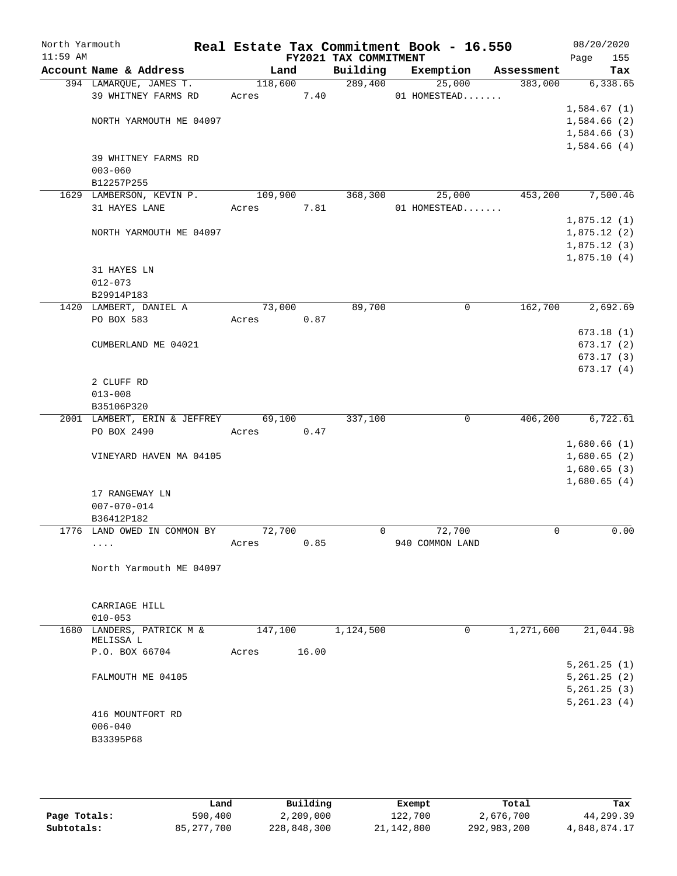| North Yarmouth<br>$11:59$ AM |                              |         |       | FY2021 TAX COMMITMENT | Real Estate Tax Commitment Book - 16.550 |            | 08/20/2020<br>155<br>Page  |
|------------------------------|------------------------------|---------|-------|-----------------------|------------------------------------------|------------|----------------------------|
|                              | Account Name & Address       | Land    |       | Building              | Exemption                                | Assessment | Tax                        |
|                              | 394 LAMARQUE, JAMES T.       | 118,600 |       | 289,400               | 25,000                                   | 383,000    | 6,338.65                   |
|                              | 39 WHITNEY FARMS RD          | Acres   | 7.40  |                       | 01 HOMESTEAD                             |            |                            |
|                              |                              |         |       |                       |                                          |            | 1,584.67(1)                |
|                              | NORTH YARMOUTH ME 04097      |         |       |                       |                                          |            | 1,584.66(2)                |
|                              |                              |         |       |                       |                                          |            | 1,584.66 (3)               |
|                              |                              |         |       |                       |                                          |            | 1,584.66(4)                |
|                              | 39 WHITNEY FARMS RD          |         |       |                       |                                          |            |                            |
|                              | $003 - 060$                  |         |       |                       |                                          |            |                            |
|                              | B12257P255                   |         |       |                       |                                          |            |                            |
|                              | 1629 LAMBERSON, KEVIN P.     | 109,900 |       | 368,300               | 25,000                                   | 453,200    | 7,500.46                   |
|                              | 31 HAYES LANE                | Acres   | 7.81  |                       | 01 HOMESTEAD                             |            |                            |
|                              |                              |         |       |                       |                                          |            | 1,875.12(1)                |
|                              | NORTH YARMOUTH ME 04097      |         |       |                       |                                          |            | 1,875.12(2)                |
|                              |                              |         |       |                       |                                          |            | 1,875.12(3)<br>1,875.10(4) |
|                              | 31 HAYES LN                  |         |       |                       |                                          |            |                            |
|                              | $012 - 073$                  |         |       |                       |                                          |            |                            |
|                              | B29914P183                   |         |       |                       |                                          |            |                            |
|                              | 1420 LAMBERT, DANIEL A       | 73,000  |       | 89,700                | 0                                        | 162,700    | 2,692.69                   |
|                              | PO BOX 583                   | Acres   | 0.87  |                       |                                          |            |                            |
|                              |                              |         |       |                       |                                          |            | 673.18(1)                  |
|                              | CUMBERLAND ME 04021          |         |       |                       |                                          |            | 673.17(2)                  |
|                              |                              |         |       |                       |                                          |            | 673.17(3)                  |
|                              |                              |         |       |                       |                                          |            | 673.17(4)                  |
|                              | 2 CLUFF RD                   |         |       |                       |                                          |            |                            |
|                              | $013 - 008$                  |         |       |                       |                                          |            |                            |
|                              | B35106P320                   |         |       |                       |                                          |            |                            |
|                              | 2001 LAMBERT, ERIN & JEFFREY | 69,100  |       | 337,100               | $\mathbf 0$                              | 406,200    | 6,722.61                   |
|                              | PO BOX 2490                  | Acres   | 0.47  |                       |                                          |            |                            |
|                              |                              |         |       |                       |                                          |            | 1,680.66(1)                |
|                              | VINEYARD HAVEN MA 04105      |         |       |                       |                                          |            | 1,680.65(2)                |
|                              |                              |         |       |                       |                                          |            | 1,680.65(3)                |
|                              |                              |         |       |                       |                                          |            | 1,680.65(4)                |
|                              | 17 RANGEWAY LN               |         |       |                       |                                          |            |                            |
|                              | $007 - 070 - 014$            |         |       |                       |                                          |            |                            |
|                              | B36412P182                   |         |       |                       |                                          |            |                            |
|                              | 1776 LAND OWED IN COMMON BY  | 72,700  |       | 0                     | 72,700                                   | 0          | 0.00                       |
|                              | $\cdots$                     | Acres   | 0.85  |                       | 940 COMMON LAND                          |            |                            |
|                              | North Yarmouth ME 04097      |         |       |                       |                                          |            |                            |
|                              |                              |         |       |                       |                                          |            |                            |
|                              |                              |         |       |                       |                                          |            |                            |
|                              | CARRIAGE HILL                |         |       |                       |                                          |            |                            |
|                              | $010 - 053$                  |         |       |                       |                                          |            |                            |
|                              | 1680 LANDERS, PATRICK M &    | 147,100 |       | 1,124,500             | 0                                        | 1,271,600  | 21,044.98                  |
|                              | MELISSA L                    |         |       |                       |                                          |            |                            |
|                              | P.O. BOX 66704               | Acres   | 16.00 |                       |                                          |            |                            |
|                              |                              |         |       |                       |                                          |            | 5, 261.25 (1)              |
|                              | FALMOUTH ME 04105            |         |       |                       |                                          |            | 5, 261.25 (2)              |
|                              |                              |         |       |                       |                                          |            | 5, 261.25 (3)              |
|                              |                              |         |       |                       |                                          |            | 5, 261.23(4)               |
|                              | 416 MOUNTFORT RD             |         |       |                       |                                          |            |                            |
|                              | $006 - 040$                  |         |       |                       |                                          |            |                            |
|                              | B33395P68                    |         |       |                       |                                          |            |                            |
|                              |                              |         |       |                       |                                          |            |                            |
|                              |                              |         |       |                       |                                          |            |                            |

|              | Land         | Building    | Exempt     | Total       | Tax          |
|--------------|--------------|-------------|------------|-------------|--------------|
| Page Totals: | 590,400      | 2,209,000   | 122,700    | 2,676,700   | 44,299.39    |
| Subtotals:   | 85, 277, 700 | 228,848,300 | 21,142,800 | 292,983,200 | 4,848,874.17 |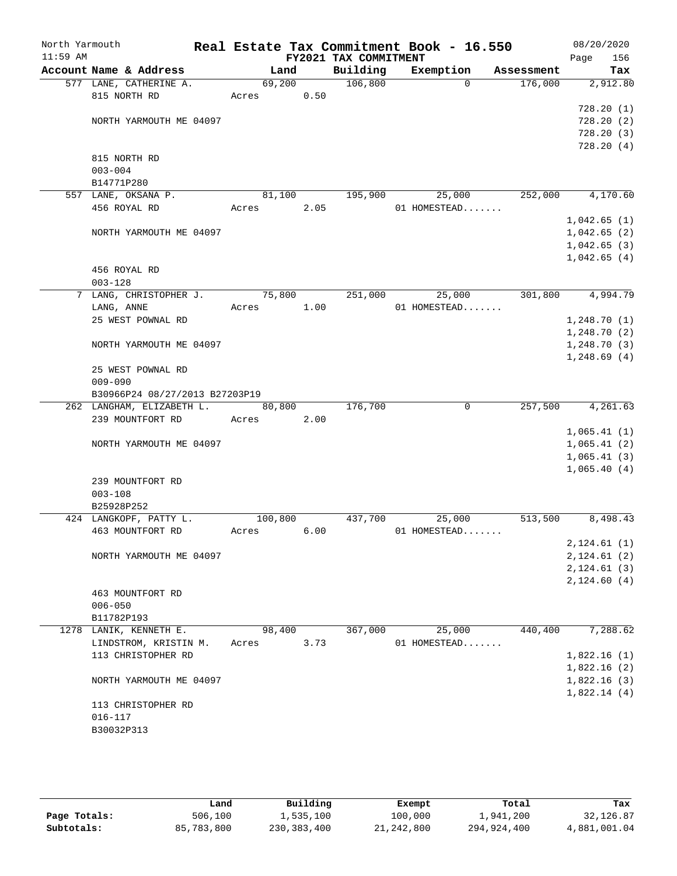| Account Name & Address<br>577 LANE, CATHERINE A.<br>815 NORTH RD<br>NORTH YARMOUTH ME 04097<br>815 NORTH RD<br>$003 - 004$<br>B14771P280<br>557 LANE, OKSANA P. | Land<br>69,200<br>Acres                                                                                                                                                                                                                                                                                         | 0.50                                             | FY2021 TAX COMMITMENT<br>Building<br>106,800          | Exemption<br>$\Omega$ | Assessment<br>176,000                                 | Page<br>156<br>Tax<br>2,912.80<br>728.20(1)<br>728.20(2)                      |
|-----------------------------------------------------------------------------------------------------------------------------------------------------------------|-----------------------------------------------------------------------------------------------------------------------------------------------------------------------------------------------------------------------------------------------------------------------------------------------------------------|--------------------------------------------------|-------------------------------------------------------|-----------------------|-------------------------------------------------------|-------------------------------------------------------------------------------|
|                                                                                                                                                                 |                                                                                                                                                                                                                                                                                                                 |                                                  |                                                       |                       |                                                       |                                                                               |
|                                                                                                                                                                 |                                                                                                                                                                                                                                                                                                                 |                                                  |                                                       |                       |                                                       |                                                                               |
|                                                                                                                                                                 |                                                                                                                                                                                                                                                                                                                 |                                                  |                                                       |                       |                                                       |                                                                               |
|                                                                                                                                                                 |                                                                                                                                                                                                                                                                                                                 |                                                  |                                                       |                       |                                                       |                                                                               |
|                                                                                                                                                                 |                                                                                                                                                                                                                                                                                                                 |                                                  |                                                       |                       |                                                       |                                                                               |
|                                                                                                                                                                 |                                                                                                                                                                                                                                                                                                                 |                                                  |                                                       |                       |                                                       | 728.20(3)                                                                     |
|                                                                                                                                                                 |                                                                                                                                                                                                                                                                                                                 |                                                  |                                                       |                       |                                                       | 728.20(4)                                                                     |
|                                                                                                                                                                 |                                                                                                                                                                                                                                                                                                                 |                                                  |                                                       |                       |                                                       |                                                                               |
|                                                                                                                                                                 |                                                                                                                                                                                                                                                                                                                 |                                                  |                                                       |                       |                                                       |                                                                               |
|                                                                                                                                                                 |                                                                                                                                                                                                                                                                                                                 |                                                  |                                                       |                       |                                                       |                                                                               |
|                                                                                                                                                                 | 81,100                                                                                                                                                                                                                                                                                                          |                                                  | 195,900                                               | 25,000                | 252,000                                               | 4,170.60                                                                      |
| 456 ROYAL RD                                                                                                                                                    | Acres                                                                                                                                                                                                                                                                                                           | 2.05                                             |                                                       | 01 HOMESTEAD          |                                                       |                                                                               |
|                                                                                                                                                                 |                                                                                                                                                                                                                                                                                                                 |                                                  |                                                       |                       |                                                       | 1,042.65(1)                                                                   |
| NORTH YARMOUTH ME 04097                                                                                                                                         |                                                                                                                                                                                                                                                                                                                 |                                                  |                                                       |                       |                                                       | 1,042.65(2)                                                                   |
|                                                                                                                                                                 |                                                                                                                                                                                                                                                                                                                 |                                                  |                                                       |                       |                                                       | 1,042.65(3)                                                                   |
|                                                                                                                                                                 |                                                                                                                                                                                                                                                                                                                 |                                                  |                                                       |                       |                                                       | 1,042.65(4)                                                                   |
|                                                                                                                                                                 |                                                                                                                                                                                                                                                                                                                 |                                                  |                                                       |                       |                                                       |                                                                               |
|                                                                                                                                                                 |                                                                                                                                                                                                                                                                                                                 |                                                  |                                                       |                       |                                                       |                                                                               |
|                                                                                                                                                                 |                                                                                                                                                                                                                                                                                                                 |                                                  |                                                       |                       |                                                       | 4,994.79                                                                      |
|                                                                                                                                                                 |                                                                                                                                                                                                                                                                                                                 |                                                  |                                                       |                       |                                                       |                                                                               |
|                                                                                                                                                                 |                                                                                                                                                                                                                                                                                                                 |                                                  |                                                       |                       |                                                       | 1,248.70(1)                                                                   |
|                                                                                                                                                                 |                                                                                                                                                                                                                                                                                                                 |                                                  |                                                       |                       |                                                       | 1,248.70(2)                                                                   |
|                                                                                                                                                                 |                                                                                                                                                                                                                                                                                                                 |                                                  |                                                       |                       |                                                       | 1,248.70(3)                                                                   |
|                                                                                                                                                                 |                                                                                                                                                                                                                                                                                                                 |                                                  |                                                       |                       |                                                       | 1,248.69(4)                                                                   |
|                                                                                                                                                                 |                                                                                                                                                                                                                                                                                                                 |                                                  |                                                       |                       |                                                       |                                                                               |
|                                                                                                                                                                 |                                                                                                                                                                                                                                                                                                                 |                                                  |                                                       |                       |                                                       |                                                                               |
|                                                                                                                                                                 |                                                                                                                                                                                                                                                                                                                 |                                                  |                                                       |                       |                                                       | 4,261.63                                                                      |
|                                                                                                                                                                 |                                                                                                                                                                                                                                                                                                                 |                                                  |                                                       |                       |                                                       |                                                                               |
|                                                                                                                                                                 |                                                                                                                                                                                                                                                                                                                 |                                                  |                                                       |                       |                                                       | 1,065.41(1)                                                                   |
|                                                                                                                                                                 |                                                                                                                                                                                                                                                                                                                 |                                                  |                                                       |                       |                                                       | 1,065.41(2)                                                                   |
|                                                                                                                                                                 |                                                                                                                                                                                                                                                                                                                 |                                                  |                                                       |                       |                                                       | 1,065.41(3)                                                                   |
|                                                                                                                                                                 |                                                                                                                                                                                                                                                                                                                 |                                                  |                                                       |                       |                                                       | 1,065.40(4)                                                                   |
| 239 MOUNTFORT RD                                                                                                                                                |                                                                                                                                                                                                                                                                                                                 |                                                  |                                                       |                       |                                                       |                                                                               |
| $003 - 108$                                                                                                                                                     |                                                                                                                                                                                                                                                                                                                 |                                                  |                                                       |                       |                                                       |                                                                               |
| B25928P252                                                                                                                                                      |                                                                                                                                                                                                                                                                                                                 |                                                  |                                                       |                       |                                                       |                                                                               |
| 424 LANGKOPF, PATTY L.                                                                                                                                          |                                                                                                                                                                                                                                                                                                                 |                                                  | 437,700                                               | 25,000                | 513,500                                               | 8,498.43                                                                      |
| 463 MOUNTFORT RD                                                                                                                                                | Acres                                                                                                                                                                                                                                                                                                           | 6.00                                             |                                                       |                       |                                                       |                                                                               |
|                                                                                                                                                                 |                                                                                                                                                                                                                                                                                                                 |                                                  |                                                       |                       |                                                       | 2, 124.61(1)                                                                  |
| NORTH YARMOUTH ME 04097                                                                                                                                         |                                                                                                                                                                                                                                                                                                                 |                                                  |                                                       |                       |                                                       | 2, 124.61(2)                                                                  |
|                                                                                                                                                                 |                                                                                                                                                                                                                                                                                                                 |                                                  |                                                       |                       |                                                       | 2, 124.61(3)                                                                  |
|                                                                                                                                                                 |                                                                                                                                                                                                                                                                                                                 |                                                  |                                                       |                       |                                                       | 2,124.60(4)                                                                   |
| 463 MOUNTFORT RD                                                                                                                                                |                                                                                                                                                                                                                                                                                                                 |                                                  |                                                       |                       |                                                       |                                                                               |
| $006 - 050$                                                                                                                                                     |                                                                                                                                                                                                                                                                                                                 |                                                  |                                                       |                       |                                                       |                                                                               |
| B11782P193                                                                                                                                                      |                                                                                                                                                                                                                                                                                                                 |                                                  |                                                       |                       |                                                       |                                                                               |
| 1278 LANIK, KENNETH E.                                                                                                                                          |                                                                                                                                                                                                                                                                                                                 |                                                  |                                                       |                       |                                                       | 7,288.62                                                                      |
| LINDSTROM, KRISTIN M.                                                                                                                                           | Acres                                                                                                                                                                                                                                                                                                           |                                                  |                                                       |                       |                                                       |                                                                               |
| 113 CHRISTOPHER RD                                                                                                                                              |                                                                                                                                                                                                                                                                                                                 |                                                  |                                                       |                       |                                                       | 1,822.16(1)                                                                   |
|                                                                                                                                                                 |                                                                                                                                                                                                                                                                                                                 |                                                  |                                                       |                       |                                                       | 1,822.16(2)                                                                   |
|                                                                                                                                                                 |                                                                                                                                                                                                                                                                                                                 |                                                  |                                                       |                       |                                                       | 1,822.16(3)                                                                   |
|                                                                                                                                                                 |                                                                                                                                                                                                                                                                                                                 |                                                  |                                                       |                       |                                                       | 1,822.14(4)                                                                   |
|                                                                                                                                                                 |                                                                                                                                                                                                                                                                                                                 |                                                  |                                                       |                       |                                                       |                                                                               |
|                                                                                                                                                                 |                                                                                                                                                                                                                                                                                                                 |                                                  |                                                       |                       |                                                       |                                                                               |
|                                                                                                                                                                 |                                                                                                                                                                                                                                                                                                                 |                                                  |                                                       |                       |                                                       |                                                                               |
|                                                                                                                                                                 | 456 ROYAL RD<br>$003 - 128$<br>LANG, CHRISTOPHER J.<br>LANG, ANNE<br>25 WEST POWNAL RD<br>NORTH YARMOUTH ME 04097<br>25 WEST POWNAL RD<br>$009 - 090$<br>262 LANGHAM, ELIZABETH L.<br>239 MOUNTFORT RD<br>NORTH YARMOUTH ME 04097<br>NORTH YARMOUTH ME 04097<br>113 CHRISTOPHER RD<br>$016 - 117$<br>B30032P313 | Acres<br>B30966P24 08/27/2013 B27203P19<br>Acres | 75,800<br>1.00<br>80,800<br>2.00<br>100,800<br>98,400 | 176,700<br>3.73       | 251,000<br>25,000<br>$\mathbf 0$<br>367,000<br>25,000 | 301,800<br>01 HOMESTEAD<br>257,500<br>01 HOMESTEAD<br>440,400<br>01 HOMESTEAD |

|              | Land       | Building    | Exempt     | Total       | Tax          |
|--------------|------------|-------------|------------|-------------|--------------|
| Page Totals: | 506,100    | 1,535,100   | 100,000    | 1,941,200   | 32,126.87    |
| Subtotals:   | 85,783,800 | 230,383,400 | 21,242,800 | 294,924,400 | 4,881,001.04 |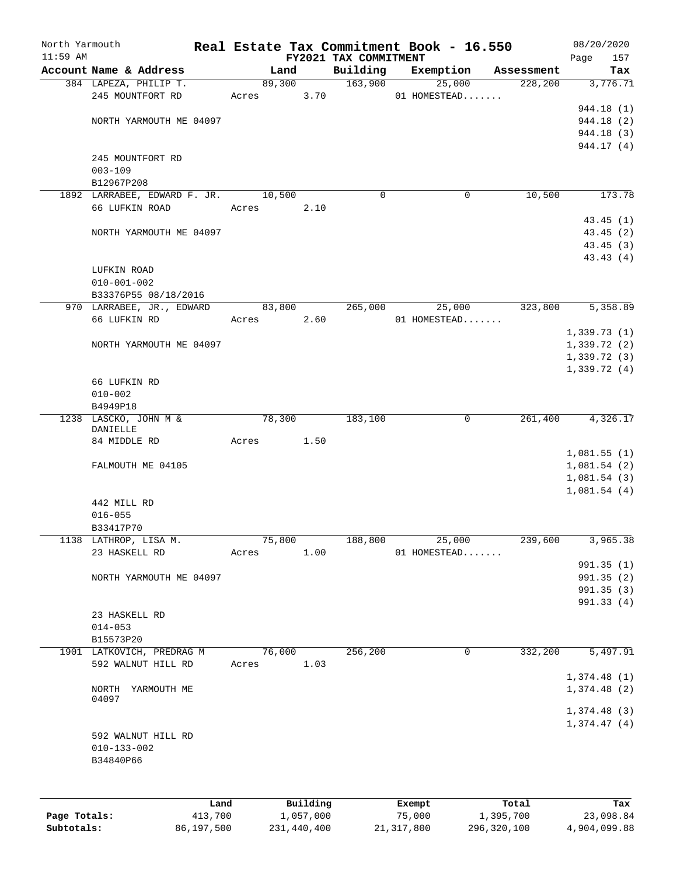| North Yarmouth |                                     |            |        |             |                       | Real Estate Tax Commitment Book - 16.550 |                       | 08/20/2020      |
|----------------|-------------------------------------|------------|--------|-------------|-----------------------|------------------------------------------|-----------------------|-----------------|
| $11:59$ AM     | Account Name & Address              |            |        |             | FY2021 TAX COMMITMENT |                                          |                       | Page<br>157     |
|                | 384 LAPEZA, PHILIP T.               |            | Land   | 89,300      | Building<br>163,900   | Exemption<br>25,000                      | Assessment<br>228,200 | Tax<br>3,776.71 |
|                | 245 MOUNTFORT RD                    |            | Acres  | 3.70        |                       | 01 HOMESTEAD                             |                       |                 |
|                |                                     |            |        |             |                       |                                          |                       | 944.18 (1)      |
|                | NORTH YARMOUTH ME 04097             |            |        |             |                       |                                          |                       | 944.18 (2)      |
|                |                                     |            |        |             |                       |                                          |                       | 944.18 (3)      |
|                |                                     |            |        |             |                       |                                          |                       | 944.17 (4)      |
|                | 245 MOUNTFORT RD                    |            |        |             |                       |                                          |                       |                 |
|                | $003 - 109$                         |            |        |             |                       |                                          |                       |                 |
|                | B12967P208                          |            |        |             |                       |                                          |                       |                 |
|                | 1892 LARRABEE, EDWARD F. JR. 10,500 |            |        |             | $\Omega$              | 0                                        | 10,500                | 173.78          |
|                | 66 LUFKIN ROAD                      |            | Acres  | 2.10        |                       |                                          |                       |                 |
|                |                                     |            |        |             |                       |                                          |                       | 43.45(1)        |
|                | NORTH YARMOUTH ME 04097             |            |        |             |                       |                                          |                       | 43.45(2)        |
|                |                                     |            |        |             |                       |                                          |                       | 43.45(3)        |
|                |                                     |            |        |             |                       |                                          |                       | 43.43(4)        |
|                | LUFKIN ROAD<br>$010 - 001 - 002$    |            |        |             |                       |                                          |                       |                 |
|                | B33376P55 08/18/2016                |            |        |             |                       |                                          |                       |                 |
|                | 970 LARRABEE, JR., EDWARD           |            | 83,800 |             | 265,000               | 25,000                                   | 323,800               | 5,358.89        |
|                | 66 LUFKIN RD                        |            | Acres  | 2.60        |                       | 01 HOMESTEAD                             |                       |                 |
|                |                                     |            |        |             |                       |                                          |                       | 1,339.73(1)     |
|                | NORTH YARMOUTH ME 04097             |            |        |             |                       |                                          |                       | 1,339.72(2)     |
|                |                                     |            |        |             |                       |                                          |                       | 1,339.72(3)     |
|                |                                     |            |        |             |                       |                                          |                       | 1,339.72(4)     |
|                | 66 LUFKIN RD                        |            |        |             |                       |                                          |                       |                 |
|                | $010 - 002$                         |            |        |             |                       |                                          |                       |                 |
|                | B4949P18                            |            |        |             |                       |                                          |                       |                 |
|                | 1238 LASCKO, JOHN M &               |            | 78,300 |             | 183,100               | $\mathbf 0$                              | 261,400               | 4,326.17        |
|                | DANIELLE                            |            |        |             |                       |                                          |                       |                 |
|                | 84 MIDDLE RD                        |            | Acres  | 1.50        |                       |                                          |                       |                 |
|                |                                     |            |        |             |                       |                                          |                       | 1,081.55(1)     |
|                | FALMOUTH ME 04105                   |            |        |             |                       |                                          |                       | 1,081.54(2)     |
|                |                                     |            |        |             |                       |                                          |                       | 1,081.54(3)     |
|                | 442 MILL RD                         |            |        |             |                       |                                          |                       | 1,081.54(4)     |
|                | $016 - 055$                         |            |        |             |                       |                                          |                       |                 |
|                | B33417P70                           |            |        |             |                       |                                          |                       |                 |
|                | 1138 LATHROP, LISA M.               |            | 75,800 |             | 188,800               | 25,000                                   | 239,600               | 3,965.38        |
|                | 23 HASKELL RD                       |            | Acres  | 1.00        |                       | 01 HOMESTEAD                             |                       |                 |
|                |                                     |            |        |             |                       |                                          |                       | 991.35(1)       |
|                | NORTH YARMOUTH ME 04097             |            |        |             |                       |                                          |                       | 991.35 (2)      |
|                |                                     |            |        |             |                       |                                          |                       | 991.35(3)       |
|                |                                     |            |        |             |                       |                                          |                       | 991.33 (4)      |
|                | 23 HASKELL RD                       |            |        |             |                       |                                          |                       |                 |
|                | $014 - 053$                         |            |        |             |                       |                                          |                       |                 |
|                | B15573P20                           |            |        |             |                       |                                          |                       |                 |
|                | 1901 LATKOVICH, PREDRAG M           |            | 76,000 |             | 256, 200              | 0                                        | 332,200               | 5,497.91        |
|                | 592 WALNUT HILL RD                  |            | Acres  | 1.03        |                       |                                          |                       |                 |
|                |                                     |            |        |             |                       |                                          |                       | 1,374.48(1)     |
|                | NORTH<br>YARMOUTH ME                |            |        |             |                       |                                          |                       | 1,374.48(2)     |
|                | 04097                               |            |        |             |                       |                                          |                       |                 |
|                |                                     |            |        |             |                       |                                          |                       | 1,374.48(3)     |
|                | 592 WALNUT HILL RD                  |            |        |             |                       |                                          |                       | 1,374.47(4)     |
|                | $010 - 133 - 002$                   |            |        |             |                       |                                          |                       |                 |
|                | B34840P66                           |            |        |             |                       |                                          |                       |                 |
|                |                                     |            |        |             |                       |                                          |                       |                 |
|                |                                     |            |        |             |                       |                                          |                       |                 |
|                |                                     | Land       |        | Building    |                       | Exempt                                   | Total                 | Tax             |
| Page Totals:   |                                     | 413,700    |        | 1,057,000   |                       | 75,000                                   | 1,395,700             | 23,098.84       |
| Subtotals:     |                                     | 86,197,500 |        | 231,440,400 |                       | 21, 317, 800                             | 296,320,100           | 4,904,099.88    |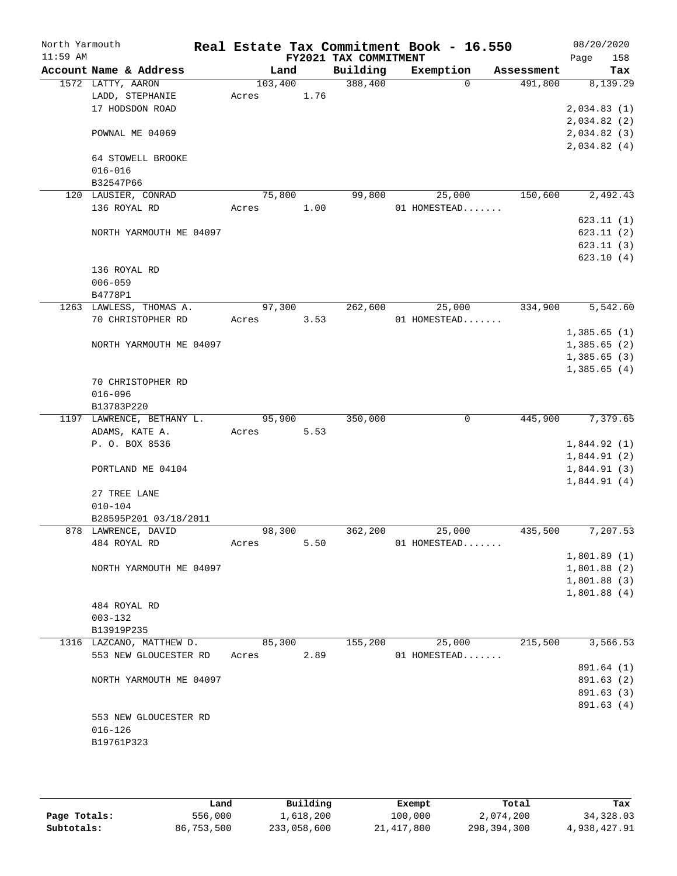| North Yarmouth<br>$11:59$ AM |                                     |                 |      |                                   | Real Estate Tax Commitment Book - 16.550 |            | 08/20/2020         |
|------------------------------|-------------------------------------|-----------------|------|-----------------------------------|------------------------------------------|------------|--------------------|
|                              | Account Name & Address              | Land            |      | FY2021 TAX COMMITMENT<br>Building | Exemption                                | Assessment | 158<br>Page<br>Tax |
|                              | 1572 LATTY, AARON                   | 103,400         |      | 388,400                           | $\Omega$                                 | 491,800    | 8,139.29           |
|                              | LADD, STEPHANIE                     | Acres           | 1.76 |                                   |                                          |            |                    |
|                              | 17 HODSDON ROAD                     |                 |      |                                   |                                          |            | 2,034.83(1)        |
|                              |                                     |                 |      |                                   |                                          |            | 2,034.82(2)        |
|                              | POWNAL ME 04069                     |                 |      |                                   |                                          |            | 2,034.82 (3)       |
|                              |                                     |                 |      |                                   |                                          |            | 2,034.82(4)        |
|                              | 64 STOWELL BROOKE                   |                 |      |                                   |                                          |            |                    |
|                              | $016 - 016$                         |                 |      |                                   |                                          |            |                    |
|                              | B32547P66                           |                 |      |                                   |                                          |            |                    |
|                              | 120 LAUSIER, CONRAD<br>136 ROYAL RD | 75,800<br>Acres | 1.00 | 99,800                            | 25,000<br>01 HOMESTEAD                   | 150,600    | 2,492.43           |
|                              |                                     |                 |      |                                   |                                          |            | 623.11(1)          |
|                              | NORTH YARMOUTH ME 04097             |                 |      |                                   |                                          |            | 623.11(2)          |
|                              |                                     |                 |      |                                   |                                          |            | 623.11(3)          |
|                              |                                     |                 |      |                                   |                                          |            | 623.10(4)          |
|                              | 136 ROYAL RD                        |                 |      |                                   |                                          |            |                    |
|                              | $006 - 059$                         |                 |      |                                   |                                          |            |                    |
|                              | B4778P1                             |                 |      |                                   |                                          |            |                    |
|                              | 1263 LAWLESS, THOMAS A.             | 97,300          |      | 262,600                           | 25,000                                   | 334,900    | 5,542.60           |
|                              | 70 CHRISTOPHER RD                   | Acres           | 3.53 |                                   | 01 HOMESTEAD                             |            |                    |
|                              |                                     |                 |      |                                   |                                          |            | 1,385.65(1)        |
|                              | NORTH YARMOUTH ME 04097             |                 |      |                                   |                                          |            | 1,385.65(2)        |
|                              |                                     |                 |      |                                   |                                          |            | 1,385.65(3)        |
|                              | 70 CHRISTOPHER RD                   |                 |      |                                   |                                          |            | 1,385.65(4)        |
|                              | $016 - 096$                         |                 |      |                                   |                                          |            |                    |
|                              | B13783P220                          |                 |      |                                   |                                          |            |                    |
|                              | 1197 LAWRENCE, BETHANY L.           | 95,900          |      | 350,000                           | 0                                        | 445,900    | 7,379.65           |
|                              | ADAMS, KATE A.                      | Acres           | 5.53 |                                   |                                          |            |                    |
|                              | P. O. BOX 8536                      |                 |      |                                   |                                          |            | 1,844.92(1)        |
|                              |                                     |                 |      |                                   |                                          |            | 1,844.91(2)        |
|                              | PORTLAND ME 04104                   |                 |      |                                   |                                          |            | 1,844.91(3)        |
|                              |                                     |                 |      |                                   |                                          |            | 1,844.91(4)        |
|                              | 27 TREE LANE                        |                 |      |                                   |                                          |            |                    |
|                              | $010 - 104$                         |                 |      |                                   |                                          |            |                    |
|                              | B28595P201 03/18/2011               |                 |      |                                   |                                          |            |                    |
|                              | 878 LAWRENCE, DAVID<br>484 ROYAL RD | 98,300<br>Acres | 5.50 | 362,200                           | 25,000<br>01 HOMESTEAD                   | 435,500    | 7,207.53           |
|                              |                                     |                 |      |                                   |                                          |            | 1,801.89(1)        |
|                              | NORTH YARMOUTH ME 04097             |                 |      |                                   |                                          |            | 1,801.88(2)        |
|                              |                                     |                 |      |                                   |                                          |            | 1,801.88(3)        |
|                              |                                     |                 |      |                                   |                                          |            | 1,801.88(4)        |
|                              | 484 ROYAL RD                        |                 |      |                                   |                                          |            |                    |
|                              | $003 - 132$                         |                 |      |                                   |                                          |            |                    |
|                              | B13919P235                          |                 |      |                                   |                                          |            |                    |
|                              | 1316 LAZCANO, MATTHEW D.            | 85,300          |      | 155,200                           | 25,000                                   | 215,500    | 3,566.53           |
|                              | 553 NEW GLOUCESTER RD               | Acres           | 2.89 |                                   | 01 HOMESTEAD                             |            |                    |
|                              |                                     |                 |      |                                   |                                          |            | 891.64 (1)         |
|                              | NORTH YARMOUTH ME 04097             |                 |      |                                   |                                          |            | 891.63 (2)         |
|                              |                                     |                 |      |                                   |                                          |            | 891.63 (3)         |
|                              | 553 NEW GLOUCESTER RD               |                 |      |                                   |                                          |            | 891.63 (4)         |
|                              | $016 - 126$                         |                 |      |                                   |                                          |            |                    |
|                              | B19761P323                          |                 |      |                                   |                                          |            |                    |
|                              |                                     |                 |      |                                   |                                          |            |                    |
|                              |                                     |                 |      |                                   |                                          |            |                    |

|              | úand       | Building    | Exempt       | Total       | Tax          |
|--------------|------------|-------------|--------------|-------------|--------------|
| Page Totals: | 556,000    | l,618,200   | 100,000      | 2,074,200   | 34, 328.03   |
| Subtotals:   | 86,753,500 | 233,058,600 | 21, 417, 800 | 298,394,300 | 4,938,427.91 |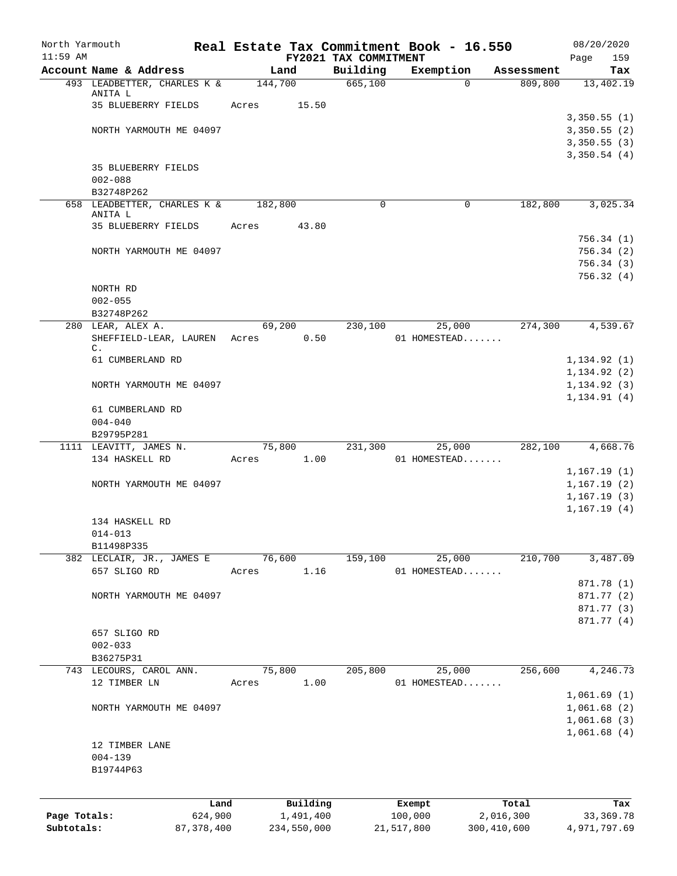| North Yarmouth |                                         |              | Real Estate Tax Commitment Book - 16.550 |          |                       |            |              |               | 08/20/2020             |
|----------------|-----------------------------------------|--------------|------------------------------------------|----------|-----------------------|------------|--------------|---------------|------------------------|
| $11:59$ AM     |                                         |              |                                          |          | FY2021 TAX COMMITMENT |            |              |               | 159<br>Page            |
|                | Account Name & Address                  |              | Land                                     |          | Building              |            | Exemption    | Assessment    | Tax                    |
|                | 493 LEADBETTER, CHARLES K &<br>ANITA L  |              | 144,700                                  |          | 665,100               |            | $\Omega$     | 809,800       | 13,402.19              |
|                | 35 BLUEBERRY FIELDS                     |              | Acres                                    | 15.50    |                       |            |              |               |                        |
|                |                                         |              |                                          |          |                       |            |              |               | 3,350.55(1)            |
|                | NORTH YARMOUTH ME 04097                 |              |                                          |          |                       |            |              |               | 3,350.55(2)            |
|                |                                         |              |                                          |          |                       |            |              |               | 3,350.55(3)            |
|                |                                         |              |                                          |          |                       |            |              |               | 3,350.54(4)            |
|                | <b>35 BLUEBERRY FIELDS</b>              |              |                                          |          |                       |            |              |               |                        |
|                | $002 - 088$                             |              |                                          |          |                       |            |              |               |                        |
|                | B32748P262                              |              |                                          |          |                       |            |              |               |                        |
|                | 658 LEADBETTER, CHARLES K &             |              | 182,800                                  |          | 0                     |            | $\mathbf 0$  | 182,800       | 3,025.34               |
|                | ANITA L                                 |              |                                          |          |                       |            |              |               |                        |
|                | 35 BLUEBERRY FIELDS                     |              | Acres                                    | 43.80    |                       |            |              |               |                        |
|                | NORTH YARMOUTH ME 04097                 |              |                                          |          |                       |            |              |               | 756.34(1)<br>756.34(2) |
|                |                                         |              |                                          |          |                       |            |              |               | 756.34(3)              |
|                |                                         |              |                                          |          |                       |            |              |               | 756.32(4)              |
|                | NORTH RD                                |              |                                          |          |                       |            |              |               |                        |
|                | $002 - 055$                             |              |                                          |          |                       |            |              |               |                        |
|                | B32748P262                              |              |                                          |          |                       |            |              |               |                        |
|                | 280 LEAR, ALEX A.                       |              | 69,200                                   |          | 230,100               |            | 25,000       | 274,300       | 4,539.67               |
|                | SHEFFIELD-LEAR, LAUREN                  |              | Acres                                    | 0.50     |                       |            | 01 HOMESTEAD |               |                        |
|                | С.                                      |              |                                          |          |                       |            |              |               |                        |
|                | 61 CUMBERLAND RD                        |              |                                          |          |                       |            |              |               | 1, 134.92(1)           |
|                |                                         |              |                                          |          |                       |            |              |               | 1, 134.92(2)           |
|                | NORTH YARMOUTH ME 04097                 |              |                                          |          |                       |            |              |               | 1, 134.92(3)           |
|                |                                         |              |                                          |          |                       |            |              |               | 1,134.91(4)            |
|                | 61 CUMBERLAND RD                        |              |                                          |          |                       |            |              |               |                        |
|                | $004 - 040$                             |              |                                          |          |                       |            |              |               |                        |
|                | B29795P281                              |              |                                          |          |                       |            |              |               |                        |
|                | 1111 LEAVITT, JAMES N.                  |              | 75,800                                   |          | 231,300               |            | 25,000       | 282,100       | 4,668.76               |
|                | 134 HASKELL RD                          |              | Acres                                    | 1.00     |                       |            | 01 HOMESTEAD |               |                        |
|                |                                         |              |                                          |          |                       |            |              |               | 1,167.19(1)            |
|                | NORTH YARMOUTH ME 04097                 |              |                                          |          |                       |            |              |               | 1,167.19(2)            |
|                |                                         |              |                                          |          |                       |            |              |               | 1, 167.19(3)           |
|                |                                         |              |                                          |          |                       |            |              |               | 1,167.19(4)            |
|                | 134 HASKELL RD                          |              |                                          |          |                       |            |              |               |                        |
|                | $014 - 013$                             |              |                                          |          |                       |            |              |               |                        |
|                | B11498P335<br>382 LECLAIR, JR., JAMES E |              | 76,600                                   |          | 159,100               |            | 25,000       | 210,700       | 3,487.09               |
|                | 657 SLIGO RD                            |              | Acres                                    | 1.16     |                       |            | 01 HOMESTEAD |               |                        |
|                |                                         |              |                                          |          |                       |            |              |               | 871.78 (1)             |
|                | NORTH YARMOUTH ME 04097                 |              |                                          |          |                       |            |              |               | 871.77 (2)             |
|                |                                         |              |                                          |          |                       |            |              |               | 871.77 (3)             |
|                |                                         |              |                                          |          |                       |            |              |               | 871.77 (4)             |
|                | 657 SLIGO RD                            |              |                                          |          |                       |            |              |               |                        |
|                | $002 - 033$                             |              |                                          |          |                       |            |              |               |                        |
|                | B36275P31                               |              |                                          |          |                       |            |              |               |                        |
|                | 743 LECOURS, CAROL ANN.                 |              | 75,800                                   |          | 205,800               |            | 25,000       | 256,600       | 4,246.73               |
|                | 12 TIMBER LN                            |              | Acres                                    | 1.00     |                       |            | 01 HOMESTEAD |               |                        |
|                |                                         |              |                                          |          |                       |            |              |               | 1,061.69(1)            |
|                | NORTH YARMOUTH ME 04097                 |              |                                          |          |                       |            |              |               | 1,061.68(2)            |
|                |                                         |              |                                          |          |                       |            |              |               | 1,061.68(3)            |
|                |                                         |              |                                          |          |                       |            |              |               | 1,061.68(4)            |
|                | 12 TIMBER LANE                          |              |                                          |          |                       |            |              |               |                        |
|                | $004 - 139$                             |              |                                          |          |                       |            |              |               |                        |
|                | B19744P63                               |              |                                          |          |                       |            |              |               |                        |
|                |                                         |              |                                          |          |                       |            |              |               |                        |
|                |                                         | Land         |                                          | Building |                       | Exempt     |              | Total         | Tax                    |
| Page Totals:   |                                         | 624,900      | 1,491,400                                |          |                       | 100,000    |              | 2,016,300     | 33,369.78              |
| Subtotals:     |                                         | 87, 378, 400 | 234,550,000                              |          |                       | 21,517,800 |              | 300, 410, 600 | 4,971,797.69           |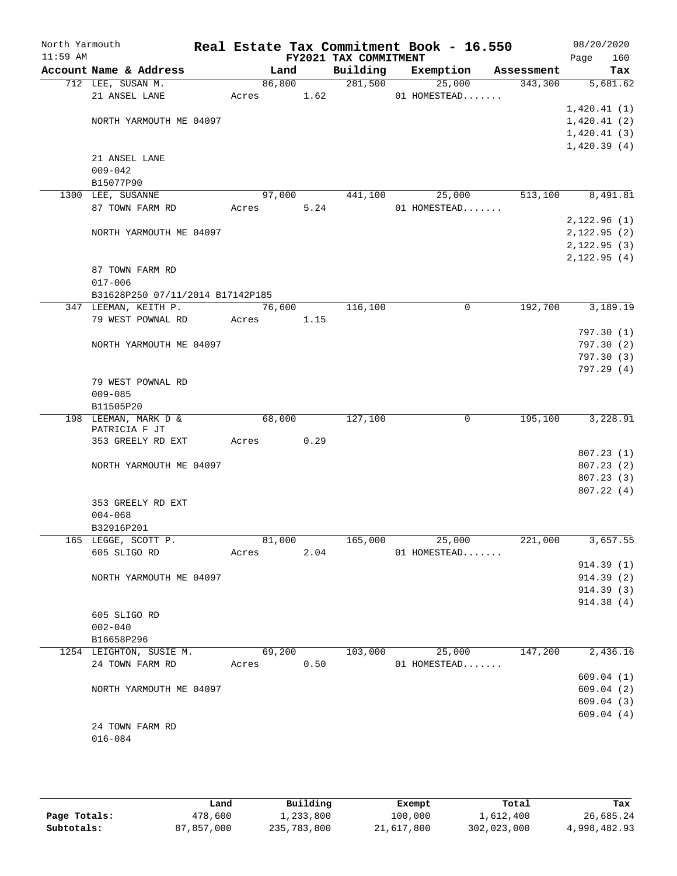| North Yarmouth<br>$11:59$ AM |                                  |            |        | FY2021 TAX COMMITMENT | Real Estate Tax Commitment Book - 16.550 |            | 08/20/2020<br>Page<br>160 |
|------------------------------|----------------------------------|------------|--------|-----------------------|------------------------------------------|------------|---------------------------|
|                              | Account Name & Address           | Land       |        | Building              | Exemption                                | Assessment | Tax                       |
|                              | 712 LEE, SUSAN M.                |            | 86,800 | 281,500               | 25,000                                   | 343,300    | 5,681.62                  |
|                              | 21 ANSEL LANE                    | Acres 1.62 |        |                       | 01 HOMESTEAD                             |            |                           |
|                              |                                  |            |        |                       |                                          |            | 1,420.41(1)               |
|                              | NORTH YARMOUTH ME 04097          |            |        |                       |                                          |            | 1,420.41(2)               |
|                              |                                  |            |        |                       |                                          |            | 1,420.41(3)               |
|                              |                                  |            |        |                       |                                          |            | 1,420.39(4)               |
|                              | 21 ANSEL LANE                    |            |        |                       |                                          |            |                           |
|                              | $009 - 042$                      |            |        |                       |                                          |            |                           |
|                              | B15077P90<br>1300 LEE, SUSANNE   |            |        |                       |                                          | 513,100    |                           |
|                              |                                  | 97,000     |        | 441,100               | 25,000                                   |            | 8,491.81                  |
|                              | 87 TOWN FARM RD                  | Acres      | 5.24   |                       | 01 HOMESTEAD                             |            | 2,122.96(1)               |
|                              | NORTH YARMOUTH ME 04097          |            |        |                       |                                          |            | 2,122.95(2)               |
|                              |                                  |            |        |                       |                                          |            | 2,122.95(3)               |
|                              |                                  |            |        |                       |                                          |            | 2,122.95(4)               |
|                              | 87 TOWN FARM RD                  |            |        |                       |                                          |            |                           |
|                              | $017 - 006$                      |            |        |                       |                                          |            |                           |
|                              | B31628P250 07/11/2014 B17142P185 |            |        |                       |                                          |            |                           |
|                              | 347 LEEMAN, KEITH P.             | 76,600     |        | 116,100               | $\mathbf 0$                              | 192,700    | 3,189.19                  |
|                              | 79 WEST POWNAL RD                | Acres      | 1.15   |                       |                                          |            |                           |
|                              |                                  |            |        |                       |                                          |            | 797.30(1)                 |
|                              | NORTH YARMOUTH ME 04097          |            |        |                       |                                          |            | 797.30(2)                 |
|                              |                                  |            |        |                       |                                          |            | 797.30(3)                 |
|                              |                                  |            |        |                       |                                          |            | 797.29 (4)                |
|                              | 79 WEST POWNAL RD                |            |        |                       |                                          |            |                           |
|                              | $009 - 085$                      |            |        |                       |                                          |            |                           |
|                              | B11505P20                        |            |        |                       |                                          |            |                           |
|                              | 198 LEEMAN, MARK D &             | 68,000     |        | 127,100               | $\mathbf 0$                              | 195,100    | 3,228.91                  |
|                              | PATRICIA F JT                    |            | 0.29   |                       |                                          |            |                           |
|                              | 353 GREELY RD EXT                | Acres      |        |                       |                                          |            | 807.23(1)                 |
|                              | NORTH YARMOUTH ME 04097          |            |        |                       |                                          |            | 807.23(2)                 |
|                              |                                  |            |        |                       |                                          |            | 807.23(3)                 |
|                              |                                  |            |        |                       |                                          |            | 807.22(4)                 |
|                              | 353 GREELY RD EXT                |            |        |                       |                                          |            |                           |
|                              | $004 - 068$                      |            |        |                       |                                          |            |                           |
|                              | B32916P201                       |            |        |                       |                                          |            |                           |
|                              | 165 LEGGE, SCOTT P.              |            | 81,000 | 165,000               | 25,000                                   | 221,000    | 3,657.55                  |
|                              | 605 SLIGO RD                     | Acres      | 2.04   |                       | 01 HOMESTEAD                             |            |                           |
|                              |                                  |            |        |                       |                                          |            | 914.39(1)                 |
|                              | NORTH YARMOUTH ME 04097          |            |        |                       |                                          |            | 914.39(2)                 |
|                              |                                  |            |        |                       |                                          |            | 914.39 (3)                |
|                              |                                  |            |        |                       |                                          |            | 914.38(4)                 |
|                              | 605 SLIGO RD                     |            |        |                       |                                          |            |                           |
|                              | $002 - 040$                      |            |        |                       |                                          |            |                           |
|                              | B16658P296                       |            |        |                       |                                          |            |                           |
|                              | 1254 LEIGHTON, SUSIE M.          | 69,200     |        | 103,000               | 25,000                                   | 147,200    | 2,436.16                  |
|                              | 24 TOWN FARM RD                  | Acres 0.50 |        |                       | 01 HOMESTEAD                             |            | 609.04(1)                 |
|                              | NORTH YARMOUTH ME 04097          |            |        |                       |                                          |            | 609.04(2)                 |
|                              |                                  |            |        |                       |                                          |            | 609.04(3)                 |
|                              |                                  |            |        |                       |                                          |            | 609.04(4)                 |
|                              | 24 TOWN FARM RD                  |            |        |                       |                                          |            |                           |
|                              | $016 - 084$                      |            |        |                       |                                          |            |                           |
|                              |                                  |            |        |                       |                                          |            |                           |

|              | ∟and       | Building    | Exempt     | Total       | Tax          |
|--------------|------------|-------------|------------|-------------|--------------|
| Page Totals: | 478,600    | ⊥,233,800   | 100,000    | l,612,400   | 26,685.24    |
| Subtotals:   | 87,857,000 | 235,783,800 | 21,617,800 | 302,023,000 | 4,998,482.93 |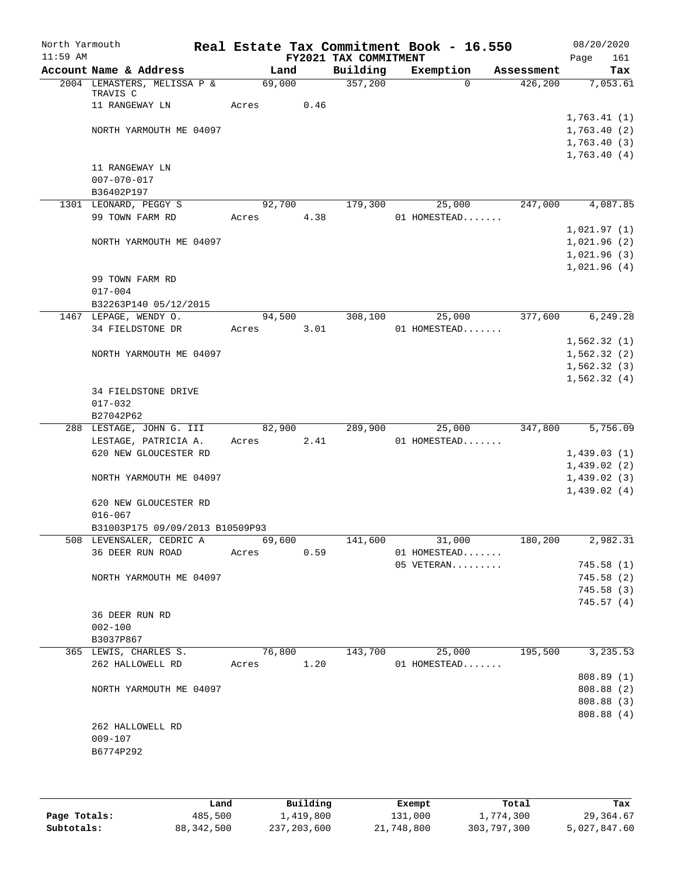| North Yarmouth<br>$11:59$ AM |                                              |       |                | FY2021 TAX COMMITMENT | Real Estate Tax Commitment Book - 16.550 |            | 08/20/2020<br>161<br>Page                 |
|------------------------------|----------------------------------------------|-------|----------------|-----------------------|------------------------------------------|------------|-------------------------------------------|
|                              | Account Name & Address                       |       | Land           | Building              | Exemption                                | Assessment | Tax                                       |
|                              | 2004 LEMASTERS, MELISSA P &<br>TRAVIS C      |       | 69,000         | 357,200               | $\Omega$                                 | 426,200    | 7,053.61                                  |
|                              | 11 RANGEWAY LN                               | Acres | 0.46           |                       |                                          |            | 1,763.41(1)                               |
|                              | NORTH YARMOUTH ME 04097                      |       |                |                       |                                          |            | 1,763.40(2)<br>1,763.40(3)<br>1,763.40(4) |
|                              | 11 RANGEWAY LN<br>$007 - 070 - 017$          |       |                |                       |                                          |            |                                           |
|                              | B36402P197                                   |       |                |                       |                                          |            |                                           |
|                              | 1301 LEONARD, PEGGY S<br>99 TOWN FARM RD     | Acres | 92,700<br>4.38 | 179,300               | 25,000<br>01 HOMESTEAD                   | 247,000    | 4,087.85                                  |
|                              | NORTH YARMOUTH ME 04097                      |       |                |                       |                                          |            | 1,021.97(1)<br>1,021.96(2)<br>1,021.96(3) |
|                              | 99 TOWN FARM RD<br>$017 - 004$               |       |                |                       |                                          |            | 1,021.96(4)                               |
|                              | B32263P140 05/12/2015                        |       |                |                       |                                          |            |                                           |
|                              | 1467 LEPAGE, WENDY O.<br>34 FIELDSTONE DR    | Acres | 94,500<br>3.01 | 308,100               | 25,000<br>01 HOMESTEAD                   | 377,600    | 6,249.28                                  |
|                              |                                              |       |                |                       |                                          |            | 1,562.32(1)                               |
|                              | NORTH YARMOUTH ME 04097                      |       |                |                       |                                          |            | 1,562.32(2)<br>1,562.32(3)                |
|                              |                                              |       |                |                       |                                          |            | 1,562.32(4)                               |
|                              | 34 FIELDSTONE DRIVE<br>$017 - 032$           |       |                |                       |                                          |            |                                           |
|                              | B27042P62                                    |       |                |                       |                                          |            |                                           |
|                              | 288 LESTAGE, JOHN G. III                     |       | 82,900         | 289,900               | 25,000                                   | 347,800    | 5,756.09                                  |
|                              | LESTAGE, PATRICIA A.                         | Acres | 2.41           |                       | 01 HOMESTEAD                             |            |                                           |
|                              | 620 NEW GLOUCESTER RD                        |       |                |                       |                                          |            | 1,439.03(1)<br>1,439.02(2)                |
|                              | NORTH YARMOUTH ME 04097                      |       |                |                       |                                          |            | 1,439.02(3)<br>1,439.02(4)                |
|                              | 620 NEW GLOUCESTER RD<br>$016 - 067$         |       |                |                       |                                          |            |                                           |
|                              | B31003P175 09/09/2013 B10509P93              |       |                |                       |                                          |            |                                           |
|                              | 508 LEVENSALER, CEDRIC A<br>36 DEER RUN ROAD | Acres | 69,600<br>0.59 | 141,600               | 31,000<br>01 HOMESTEAD                   | 180,200    | 2,982.31                                  |
|                              |                                              |       |                |                       | 05 VETERAN                               |            | 745.58(1)                                 |
|                              | NORTH YARMOUTH ME 04097                      |       |                |                       |                                          |            | 745.58(2)                                 |
|                              |                                              |       |                |                       |                                          |            | 745.58(3)<br>745.57(4)                    |
|                              | 36 DEER RUN RD<br>$002 - 100$                |       |                |                       |                                          |            |                                           |
|                              | B3037P867                                    |       |                |                       |                                          |            |                                           |
|                              | 365 LEWIS, CHARLES S.                        |       | 76,800         | 143,700               | 25,000                                   | 195,500    | 3, 235.53                                 |
|                              | 262 HALLOWELL RD                             | Acres | 1.20           |                       | 01 HOMESTEAD                             |            | 808.89(1)                                 |
|                              | NORTH YARMOUTH ME 04097                      |       |                |                       |                                          |            | 808.88 (2)                                |
|                              |                                              |       |                |                       |                                          |            | 808.88 (3)                                |
|                              | 262 HALLOWELL RD                             |       |                |                       |                                          |            | 808.88 (4)                                |
|                              | $009 - 107$                                  |       |                |                       |                                          |            |                                           |
|                              | B6774P292                                    |       |                |                       |                                          |            |                                           |
|                              |                                              |       |                |                       |                                          |            |                                           |

|              | Land       | Building    | Exempt     | Total       | Tax          |
|--------------|------------|-------------|------------|-------------|--------------|
| Page Totals: | 485,500    | 1,419,800   | 131,000    | 1,774,300   | 29,364.67    |
| Subtotals:   | 88,342,500 | 237,203,600 | 21,748,800 | 303,797,300 | 5,027,847.60 |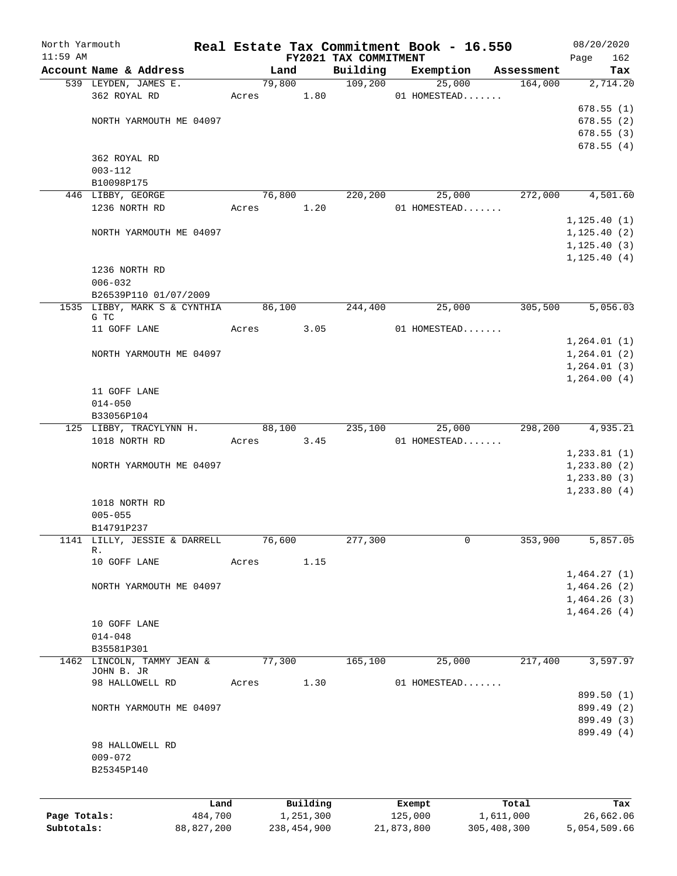| North Yarmouth |                                          |              |       |                |             |                       |            | Real Estate Tax Commitment Book - 16.550 |                       | 08/20/2020      |
|----------------|------------------------------------------|--------------|-------|----------------|-------------|-----------------------|------------|------------------------------------------|-----------------------|-----------------|
| $11:59$ AM     | Account Name & Address                   |              |       |                |             | FY2021 TAX COMMITMENT |            |                                          |                       | 162<br>Page     |
|                | 539 LEYDEN, JAMES E.                     |              |       | Land<br>79,800 |             | Building<br>109,200   |            | Exemption<br>25,000                      | Assessment<br>164,000 | Tax<br>2,714.20 |
|                | 362 ROYAL RD                             |              | Acres |                | 1.80        |                       |            | 01 HOMESTEAD                             |                       |                 |
|                |                                          |              |       |                |             |                       |            |                                          |                       | 678.55(1)       |
|                | NORTH YARMOUTH ME 04097                  |              |       |                |             |                       |            |                                          |                       | 678.55(2)       |
|                |                                          |              |       |                |             |                       |            |                                          |                       | 678.55 (3)      |
|                |                                          |              |       |                |             |                       |            |                                          |                       | 678.55(4)       |
|                | 362 ROYAL RD                             |              |       |                |             |                       |            |                                          |                       |                 |
|                | $003 - 112$                              |              |       |                |             |                       |            |                                          |                       |                 |
|                | B10098P175                               |              |       |                |             |                       |            |                                          |                       |                 |
|                | 446 LIBBY, GEORGE                        |              |       | 76,800         |             | 220,200               |            | 25,000                                   | 272,000               | 4,501.60        |
|                | 1236 NORTH RD                            |              | Acres |                | 1.20        |                       |            | 01 HOMESTEAD                             |                       |                 |
|                |                                          |              |       |                |             |                       |            |                                          |                       | 1, 125.40(1)    |
|                | NORTH YARMOUTH ME 04097                  |              |       |                |             |                       |            |                                          |                       | 1, 125.40(2)    |
|                |                                          |              |       |                |             |                       |            |                                          |                       | 1, 125.40(3)    |
|                |                                          |              |       |                |             |                       |            |                                          |                       | 1, 125.40(4)    |
|                | 1236 NORTH RD<br>$006 - 032$             |              |       |                |             |                       |            |                                          |                       |                 |
|                | B26539P110 01/07/2009                    |              |       |                |             |                       |            |                                          |                       |                 |
|                | 1535 LIBBY, MARK S & CYNTHIA             |              |       | 86,100         |             | 244,400               |            | 25,000                                   | 305,500               | 5,056.03        |
|                | G TC                                     |              |       |                |             |                       |            |                                          |                       |                 |
|                | 11 GOFF LANE                             |              | Acres |                | 3.05        |                       |            | 01 HOMESTEAD                             |                       |                 |
|                |                                          |              |       |                |             |                       |            |                                          |                       | 1,264.01(1)     |
|                | NORTH YARMOUTH ME 04097                  |              |       |                |             |                       |            |                                          |                       | 1, 264.01(2)    |
|                |                                          |              |       |                |             |                       |            |                                          |                       | 1,264.01(3)     |
|                |                                          |              |       |                |             |                       |            |                                          |                       | 1,264.00(4)     |
|                | 11 GOFF LANE                             |              |       |                |             |                       |            |                                          |                       |                 |
|                | $014 - 050$                              |              |       |                |             |                       |            |                                          |                       |                 |
|                | B33056P104                               |              |       |                |             |                       |            |                                          |                       |                 |
|                | 125 LIBBY, TRACYLYNN H.                  |              |       | 88,100         |             | 235,100               |            | 25,000                                   | 298,200               | 4,935.21        |
|                | 1018 NORTH RD                            |              | Acres |                | 3.45        |                       |            | 01 HOMESTEAD                             |                       |                 |
|                |                                          |              |       |                |             |                       |            |                                          |                       | 1, 233.81(1)    |
|                | NORTH YARMOUTH ME 04097                  |              |       |                |             |                       |            |                                          |                       | 1,233.80(2)     |
|                |                                          |              |       |                |             |                       |            |                                          |                       | 1, 233.80(3)    |
|                | 1018 NORTH RD                            |              |       |                |             |                       |            |                                          |                       | 1, 233.80(4)    |
|                | $005 - 055$                              |              |       |                |             |                       |            |                                          |                       |                 |
|                | B14791P237                               |              |       |                |             |                       |            |                                          |                       |                 |
|                | 1141 LILLY, JESSIE & DARRELL             |              |       | 76,600         |             | 277,300               |            | 0                                        | 353,900               | 5,857.05        |
|                | R.                                       |              |       |                |             |                       |            |                                          |                       |                 |
|                | 10 GOFF LANE                             |              | Acres |                | 1.15        |                       |            |                                          |                       |                 |
|                |                                          |              |       |                |             |                       |            |                                          |                       | 1,464.27(1)     |
|                | NORTH YARMOUTH ME 04097                  |              |       |                |             |                       |            |                                          |                       | 1,464.26(2)     |
|                |                                          |              |       |                |             |                       |            |                                          |                       | 1,464.26(3)     |
|                |                                          |              |       |                |             |                       |            |                                          |                       | 1,464.26(4)     |
|                | 10 GOFF LANE                             |              |       |                |             |                       |            |                                          |                       |                 |
|                | $014 - 048$                              |              |       |                |             |                       |            |                                          |                       |                 |
|                | B35581P301                               |              |       |                |             |                       |            |                                          |                       |                 |
|                | 1462 LINCOLN, TAMMY JEAN &<br>JOHN B. JR |              |       | 77,300         |             | 165,100               |            | 25,000                                   | 217,400               | 3,597.97        |
|                | 98 HALLOWELL RD                          |              | Acres |                | 1.30        |                       |            | 01 HOMESTEAD                             |                       |                 |
|                |                                          |              |       |                |             |                       |            |                                          |                       | 899.50 (1)      |
|                | NORTH YARMOUTH ME 04097                  |              |       |                |             |                       |            |                                          |                       | 899.49 (2)      |
|                |                                          |              |       |                |             |                       |            |                                          |                       | 899.49 (3)      |
|                |                                          |              |       |                |             |                       |            |                                          |                       | 899.49 (4)      |
|                | 98 HALLOWELL RD                          |              |       |                |             |                       |            |                                          |                       |                 |
|                | $009 - 072$                              |              |       |                |             |                       |            |                                          |                       |                 |
|                | B25345P140                               |              |       |                |             |                       |            |                                          |                       |                 |
|                |                                          |              |       |                |             |                       |            |                                          |                       |                 |
|                |                                          | Land         |       |                | Building    |                       | Exempt     |                                          | Total                 | Tax             |
| Page Totals:   |                                          | 484,700      |       |                | 1,251,300   |                       | 125,000    |                                          | 1,611,000             | 26,662.06       |
| Subtotals:     |                                          | 88, 827, 200 |       |                | 238,454,900 |                       | 21,873,800 |                                          | 305, 408, 300         | 5,054,509.66    |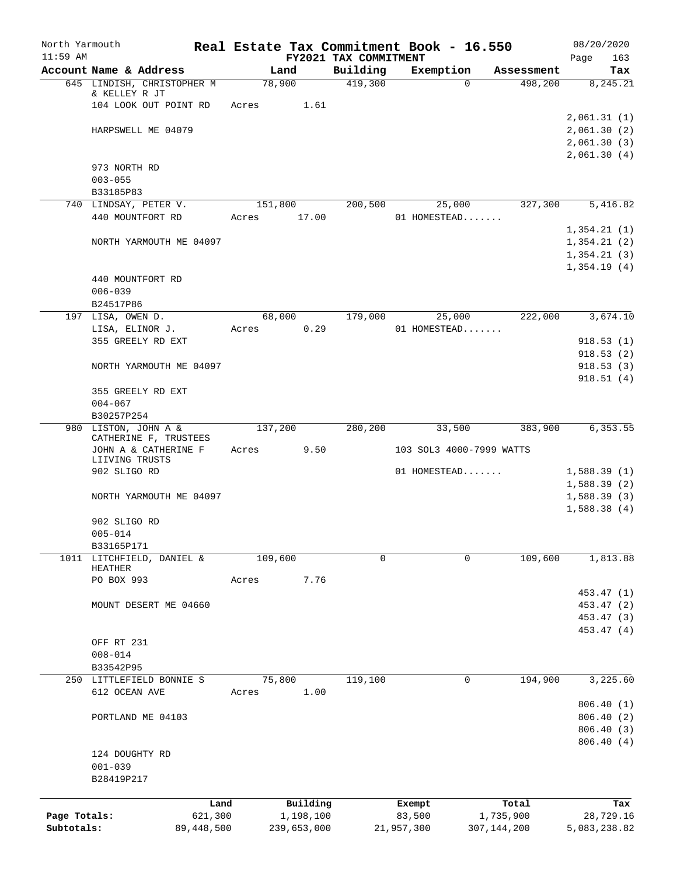| North Yarmouth             |                            |                         |         |                          |                                   | Real Estate Tax Commitment Book - 16.550 |                            | 08/20/2020                 |
|----------------------------|----------------------------|-------------------------|---------|--------------------------|-----------------------------------|------------------------------------------|----------------------------|----------------------------|
| $11:59$ AM                 | Account Name & Address     |                         | Land    |                          | FY2021 TAX COMMITMENT<br>Building | Exemption                                | Assessment                 | Page<br>163<br>Tax         |
|                            | 645 LINDISH, CHRISTOPHER M |                         | 78,900  |                          | 419,300                           | $\Omega$                                 | 498,200                    | 8,245.21                   |
|                            | & KELLEY R JT              |                         |         |                          |                                   |                                          |                            |                            |
|                            | 104 LOOK OUT POINT RD      |                         | Acres   | 1.61                     |                                   |                                          |                            |                            |
|                            |                            |                         |         |                          |                                   |                                          |                            | 2,061.31(1)                |
|                            | HARPSWELL ME 04079         |                         |         |                          |                                   |                                          |                            | 2,061.30(2)                |
|                            |                            |                         |         |                          |                                   |                                          |                            | 2,061.30(3)                |
|                            |                            |                         |         |                          |                                   |                                          |                            | 2,061.30(4)                |
|                            | 973 NORTH RD               |                         |         |                          |                                   |                                          |                            |                            |
|                            | $003 - 055$<br>B33185P83   |                         |         |                          |                                   |                                          |                            |                            |
|                            | 740 LINDSAY, PETER V.      |                         | 151,800 |                          | 200,500                           | 25,000                                   | 327,300                    | 5,416.82                   |
|                            | 440 MOUNTFORT RD           |                         | Acres   | 17.00                    |                                   | 01 HOMESTEAD                             |                            |                            |
|                            |                            |                         |         |                          |                                   |                                          |                            | 1,354.21(1)                |
|                            | NORTH YARMOUTH ME 04097    |                         |         |                          |                                   |                                          |                            | 1,354.21(2)                |
|                            |                            |                         |         |                          |                                   |                                          |                            | 1,354.21(3)                |
|                            |                            |                         |         |                          |                                   |                                          |                            | 1,354.19(4)                |
|                            | 440 MOUNTFORT RD           |                         |         |                          |                                   |                                          |                            |                            |
|                            | $006 - 039$                |                         |         |                          |                                   |                                          |                            |                            |
|                            | B24517P86                  |                         |         |                          |                                   |                                          |                            |                            |
|                            | 197 LISA, OWEN D.          |                         | 68,000  |                          | 179,000                           | 25,000                                   | 222,000                    | 3,674.10                   |
|                            | LISA, ELINOR J.            |                         | Acres   | 0.29                     |                                   | 01 HOMESTEAD                             |                            |                            |
|                            | 355 GREELY RD EXT          |                         |         |                          |                                   |                                          |                            | 918.53(1)                  |
|                            |                            |                         |         |                          |                                   |                                          |                            | 918.53(2)                  |
|                            | NORTH YARMOUTH ME 04097    |                         |         |                          |                                   |                                          |                            | 918.53(3)                  |
|                            | 355 GREELY RD EXT          |                         |         |                          |                                   |                                          |                            | 918.51(4)                  |
|                            | $004 - 067$                |                         |         |                          |                                   |                                          |                            |                            |
|                            | B30257P254                 |                         |         |                          |                                   |                                          |                            |                            |
|                            | 980 LISTON, JOHN A &       |                         | 137,200 |                          | 280,200                           | 33,500                                   | 383,900                    | 6,353.55                   |
|                            | CATHERINE F, TRUSTEES      |                         |         |                          |                                   |                                          |                            |                            |
|                            | JOHN A & CATHERINE F       |                         | Acres   | 9.50                     |                                   | 103 SOL3 4000-7999 WATTS                 |                            |                            |
|                            | LIIVING TRUSTS             |                         |         |                          |                                   |                                          |                            |                            |
|                            | 902 SLIGO RD               |                         |         |                          |                                   | 01 HOMESTEAD                             |                            | 1,588.39(1)                |
|                            |                            |                         |         |                          |                                   |                                          |                            | 1,588.39(2)                |
|                            | NORTH YARMOUTH ME 04097    |                         |         |                          |                                   |                                          |                            | 1,588.39(3)<br>1,588.38(4) |
|                            | 902 SLIGO RD               |                         |         |                          |                                   |                                          |                            |                            |
|                            | $005 - 014$                |                         |         |                          |                                   |                                          |                            |                            |
|                            | B33165P171                 |                         |         |                          |                                   |                                          |                            |                            |
|                            | 1011 LITCHFIELD, DANIEL &  |                         | 109,600 |                          | 0                                 | 0                                        | 109,600                    | 1,813.88                   |
|                            | HEATHER                    |                         |         |                          |                                   |                                          |                            |                            |
|                            | PO BOX 993                 |                         | Acres   | 7.76                     |                                   |                                          |                            |                            |
|                            |                            |                         |         |                          |                                   |                                          |                            | 453.47 (1)                 |
|                            | MOUNT DESERT ME 04660      |                         |         |                          |                                   |                                          |                            | 453.47 (2)                 |
|                            |                            |                         |         |                          |                                   |                                          |                            | 453.47 (3)                 |
|                            |                            |                         |         |                          |                                   |                                          |                            | 453.47 (4)                 |
|                            | OFF RT 231<br>$008 - 014$  |                         |         |                          |                                   |                                          |                            |                            |
|                            | B33542P95                  |                         |         |                          |                                   |                                          |                            |                            |
|                            | 250 LITTLEFIELD BONNIE S   |                         | 75,800  |                          | 119,100                           | 0                                        | 194,900                    | 3,225.60                   |
|                            | 612 OCEAN AVE              |                         | Acres   | 1.00                     |                                   |                                          |                            |                            |
|                            |                            |                         |         |                          |                                   |                                          |                            | 806.40(1)                  |
|                            | PORTLAND ME 04103          |                         |         |                          |                                   |                                          |                            | 806.40 (2)                 |
|                            |                            |                         |         |                          |                                   |                                          |                            | 806.40 (3)                 |
|                            |                            |                         |         |                          |                                   |                                          |                            | 806.40 (4)                 |
|                            | 124 DOUGHTY RD             |                         |         |                          |                                   |                                          |                            |                            |
|                            | $001 - 039$                |                         |         |                          |                                   |                                          |                            |                            |
|                            | B28419P217                 |                         |         |                          |                                   |                                          |                            |                            |
|                            |                            |                         |         |                          |                                   |                                          |                            |                            |
|                            |                            | Land                    |         | Building                 |                                   | Exempt                                   | Total                      | Tax                        |
| Page Totals:<br>Subtotals: |                            | 621,300<br>89, 448, 500 |         | 1,198,100<br>239,653,000 |                                   | 83,500<br>21,957,300                     | 1,735,900<br>307, 144, 200 | 28,729.16<br>5,083,238.82  |
|                            |                            |                         |         |                          |                                   |                                          |                            |                            |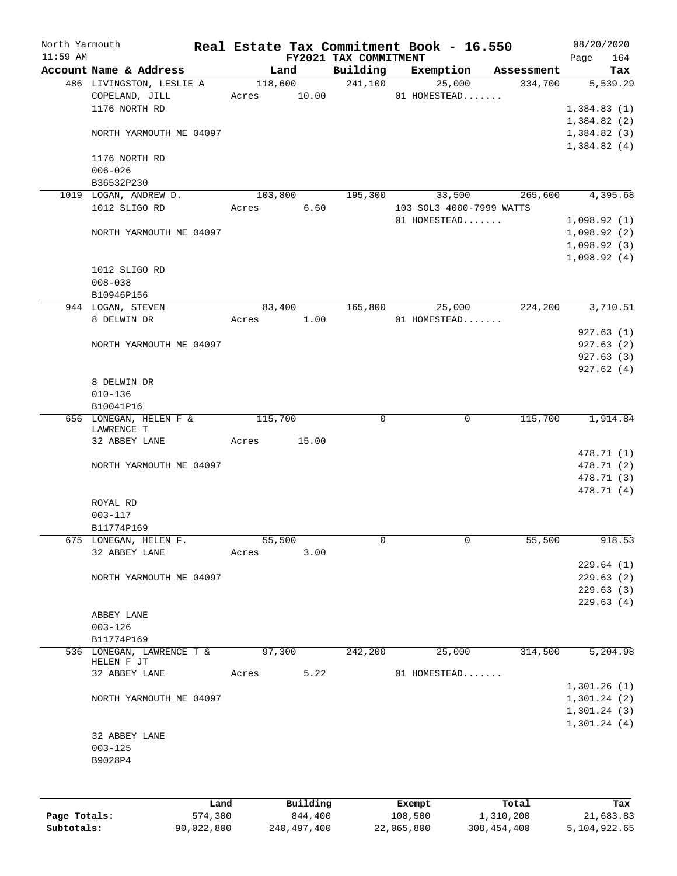| North Yarmouth |                                            |         |         |                 |                       | Real Estate Tax Commitment Book - 16.550 |                       | 08/20/2020               |     |
|----------------|--------------------------------------------|---------|---------|-----------------|-----------------------|------------------------------------------|-----------------------|--------------------------|-----|
| $11:59$ AM     |                                            |         |         |                 | FY2021 TAX COMMITMENT |                                          |                       | Page                     | 164 |
|                | Account Name & Address                     |         |         | Land<br>118,600 | Building<br>241,100   | Exemption<br>25,000                      | Assessment<br>334,700 | 5,539.29                 | Tax |
|                | 486 LIVINGSTON, LESLIE A<br>COPELAND, JILL |         | Acres   | 10.00           |                       | 01 HOMESTEAD                             |                       |                          |     |
|                | 1176 NORTH RD                              |         |         |                 |                       |                                          |                       | 1,384.83(1)              |     |
|                |                                            |         |         |                 |                       |                                          |                       | 1,384.82(2)              |     |
|                | NORTH YARMOUTH ME 04097                    |         |         |                 |                       |                                          |                       | 1,384.82(3)              |     |
|                |                                            |         |         |                 |                       |                                          |                       | 1,384.82(4)              |     |
|                | 1176 NORTH RD                              |         |         |                 |                       |                                          |                       |                          |     |
|                | $006 - 026$                                |         |         |                 |                       |                                          |                       |                          |     |
|                | B36532P230                                 |         |         |                 |                       |                                          |                       |                          |     |
|                | 1019 LOGAN, ANDREW D.                      |         | 103,800 |                 | 195,300               | 33,500                                   | 265,600               | 4,395.68                 |     |
|                | 1012 SLIGO RD                              |         | Acres   | 6.60            |                       | 103 SOL3 4000-7999 WATTS                 |                       |                          |     |
|                |                                            |         |         |                 |                       | 01 HOMESTEAD                             |                       | 1,098.92(1)              |     |
|                | NORTH YARMOUTH ME 04097                    |         |         |                 |                       |                                          |                       | 1,098.92(2)              |     |
|                |                                            |         |         |                 |                       |                                          |                       | 1,098.92(3)              |     |
|                |                                            |         |         |                 |                       |                                          |                       | 1,098.92(4)              |     |
|                | 1012 SLIGO RD                              |         |         |                 |                       |                                          |                       |                          |     |
|                | $008 - 038$                                |         |         |                 |                       |                                          |                       |                          |     |
|                | B10946P156                                 |         |         |                 |                       |                                          |                       |                          |     |
|                | 944 LOGAN, STEVEN                          |         |         | 83,400          | 165,800               | 25,000                                   | 224,200               | 3,710.51                 |     |
|                | 8 DELWIN DR                                |         | Acres   | 1.00            |                       | 01 HOMESTEAD                             |                       |                          |     |
|                |                                            |         |         |                 |                       |                                          |                       | 927.63(1)                |     |
|                | NORTH YARMOUTH ME 04097                    |         |         |                 |                       |                                          |                       | 927.63(2)                |     |
|                |                                            |         |         |                 |                       |                                          |                       | 927.63(3)                |     |
|                |                                            |         |         |                 |                       |                                          |                       | 927.62(4)                |     |
|                | 8 DELWIN DR                                |         |         |                 |                       |                                          |                       |                          |     |
|                | $010 - 136$                                |         |         |                 |                       |                                          |                       |                          |     |
|                | B10041P16                                  |         |         |                 |                       |                                          |                       |                          |     |
|                | 656 LONEGAN, HELEN F &                     |         | 115,700 |                 | $\Omega$              | $\mathbf 0$                              | 115,700               | 1,914.84                 |     |
|                | LAWRENCE T                                 |         |         |                 |                       |                                          |                       |                          |     |
|                | 32 ABBEY LANE                              |         | Acres   | 15.00           |                       |                                          |                       |                          |     |
|                |                                            |         |         |                 |                       |                                          |                       | 478.71 (1)               |     |
|                | NORTH YARMOUTH ME 04097                    |         |         |                 |                       |                                          |                       | 478.71 (2)<br>478.71 (3) |     |
|                |                                            |         |         |                 |                       |                                          |                       | 478.71 (4)               |     |
|                | ROYAL RD                                   |         |         |                 |                       |                                          |                       |                          |     |
|                | $003 - 117$                                |         |         |                 |                       |                                          |                       |                          |     |
|                | B11774P169                                 |         |         |                 |                       |                                          |                       |                          |     |
|                | 675 LONEGAN, HELEN F.                      |         |         | 55,500          | 0                     | 0                                        | 55,500                | 918.53                   |     |
|                | 32 ABBEY LANE                              |         | Acres   | 3.00            |                       |                                          |                       |                          |     |
|                |                                            |         |         |                 |                       |                                          |                       | 229.64(1)                |     |
|                | NORTH YARMOUTH ME 04097                    |         |         |                 |                       |                                          |                       | 229.63(2)                |     |
|                |                                            |         |         |                 |                       |                                          |                       | 229.63(3)                |     |
|                |                                            |         |         |                 |                       |                                          |                       | 229.63(4)                |     |
|                | ABBEY LANE                                 |         |         |                 |                       |                                          |                       |                          |     |
|                | $003 - 126$                                |         |         |                 |                       |                                          |                       |                          |     |
|                | B11774P169                                 |         |         |                 |                       |                                          |                       |                          |     |
|                | 536 LONEGAN, LAWRENCE T &                  |         |         | 97,300          | 242,200               | 25,000                                   | 314,500               | 5,204.98                 |     |
|                | HELEN F JT                                 |         |         |                 |                       |                                          |                       |                          |     |
|                | 32 ABBEY LANE                              |         | Acres   | 5.22            |                       | 01 HOMESTEAD                             |                       |                          |     |
|                |                                            |         |         |                 |                       |                                          |                       | 1,301.26(1)              |     |
|                | NORTH YARMOUTH ME 04097                    |         |         |                 |                       |                                          |                       | 1,301.24(2)              |     |
|                |                                            |         |         |                 |                       |                                          |                       | 1,301.24(3)              |     |
|                |                                            |         |         |                 |                       |                                          |                       | 1,301.24(4)              |     |
|                | 32 ABBEY LANE                              |         |         |                 |                       |                                          |                       |                          |     |
|                | $003 - 125$                                |         |         |                 |                       |                                          |                       |                          |     |
|                | B9028P4                                    |         |         |                 |                       |                                          |                       |                          |     |
|                |                                            |         |         |                 |                       |                                          |                       |                          |     |
|                |                                            |         |         |                 |                       |                                          |                       |                          |     |
|                |                                            | Land    |         | Building        |                       | Exempt                                   | Total                 |                          | Tax |
| Page Totals:   |                                            | 574,300 |         | 844,400         |                       | 108,500                                  | 1,310,200             | 21,683.83                |     |

**Subtotals:** 90,022,800 240,497,400 22,065,800 308,454,400 5,104,922.65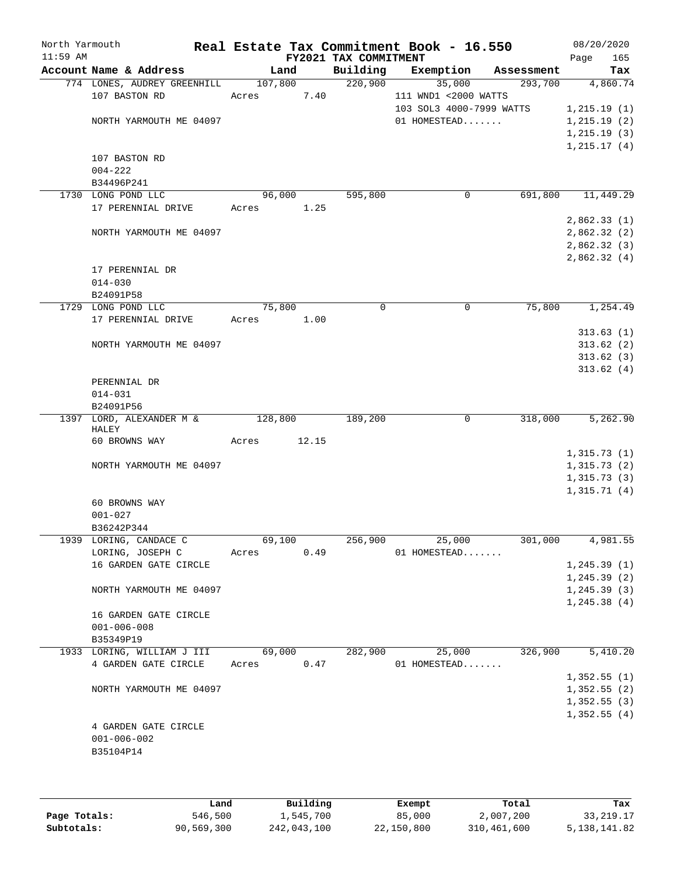| North Yarmouth |                                                       |                 |       |                       | Real Estate Tax Commitment Book - 16.550 |                       | 08/20/2020   |                 |
|----------------|-------------------------------------------------------|-----------------|-------|-----------------------|------------------------------------------|-----------------------|--------------|-----------------|
| $11:59$ AM     |                                                       |                 |       | FY2021 TAX COMMITMENT |                                          |                       | Page         | 165             |
|                | Account Name & Address<br>774 LONES, AUDREY GREENHILL | Land<br>107,800 |       | Building<br>220,900   | Exemption<br>35,000                      | Assessment<br>293,700 |              | Tax<br>4,860.74 |
|                | 107 BASTON RD                                         | Acres           | 7.40  |                       | 111 WND1 <2000 WATTS                     |                       |              |                 |
|                |                                                       |                 |       |                       | 103 SOL3 4000-7999 WATTS                 |                       | 1,215.19(1)  |                 |
|                | NORTH YARMOUTH ME 04097                               |                 |       |                       | 01 HOMESTEAD                             |                       | 1, 215.19(2) |                 |
|                |                                                       |                 |       |                       |                                          |                       | 1, 215.19(3) |                 |
|                |                                                       |                 |       |                       |                                          |                       | 1, 215.17(4) |                 |
|                | 107 BASTON RD                                         |                 |       |                       |                                          |                       |              |                 |
|                | $004 - 222$                                           |                 |       |                       |                                          |                       |              |                 |
|                | B34496P241                                            |                 |       |                       |                                          |                       |              |                 |
|                | 1730 LONG POND LLC                                    | 96,000          |       | 595,800               | $\mathbf 0$                              | 691,800               |              | 11,449.29       |
|                | 17 PERENNIAL DRIVE                                    | Acres           | 1.25  |                       |                                          |                       |              |                 |
|                |                                                       |                 |       |                       |                                          |                       | 2,862.33(1)  |                 |
|                | NORTH YARMOUTH ME 04097                               |                 |       |                       |                                          |                       | 2,862.32(2)  |                 |
|                |                                                       |                 |       |                       |                                          |                       | 2,862.32(3)  |                 |
|                |                                                       |                 |       |                       |                                          |                       | 2,862.32(4)  |                 |
|                | 17 PERENNIAL DR                                       |                 |       |                       |                                          |                       |              |                 |
|                | $014 - 030$                                           |                 |       |                       |                                          |                       |              |                 |
|                | B24091P58<br>1729 LONG POND LLC                       | 75,800          |       | 0                     | 0                                        | 75,800                |              | 1,254.49        |
|                | 17 PERENNIAL DRIVE                                    | Acres           | 1.00  |                       |                                          |                       |              |                 |
|                |                                                       |                 |       |                       |                                          |                       |              | 313.63(1)       |
|                | NORTH YARMOUTH ME 04097                               |                 |       |                       |                                          |                       |              | 313.62(2)       |
|                |                                                       |                 |       |                       |                                          |                       |              | 313.62(3)       |
|                |                                                       |                 |       |                       |                                          |                       |              | 313.62(4)       |
|                | PERENNIAL DR                                          |                 |       |                       |                                          |                       |              |                 |
|                | $014 - 031$                                           |                 |       |                       |                                          |                       |              |                 |
|                | B24091P56                                             |                 |       |                       |                                          |                       |              |                 |
|                | 1397 LORD, ALEXANDER M &                              | 128,800         |       | 189,200               | $\mathbf 0$                              | 318,000               |              | 5,262.90        |
|                | HALEY<br>60 BROWNS WAY                                | Acres           | 12.15 |                       |                                          |                       |              |                 |
|                |                                                       |                 |       |                       |                                          |                       | 1,315.73(1)  |                 |
|                | NORTH YARMOUTH ME 04097                               |                 |       |                       |                                          |                       | 1,315.73(2)  |                 |
|                |                                                       |                 |       |                       |                                          |                       | 1,315.73(3)  |                 |
|                |                                                       |                 |       |                       |                                          |                       | 1,315.71(4)  |                 |
|                | 60 BROWNS WAY                                         |                 |       |                       |                                          |                       |              |                 |
|                | $001 - 027$                                           |                 |       |                       |                                          |                       |              |                 |
|                | B36242P344                                            |                 |       |                       |                                          |                       |              |                 |
|                | 1939 LORING, CANDACE C                                | 69,100          |       | 256,900               | 25,000                                   | 301,000               |              | 4,981.55        |
|                | LORING, JOSEPH C                                      | Acres           | 0.49  |                       | 01 HOMESTEAD                             |                       |              |                 |
|                | 16 GARDEN GATE CIRCLE                                 |                 |       |                       |                                          |                       | 1, 245.39(1) |                 |
|                |                                                       |                 |       |                       |                                          |                       | 1, 245.39(2) |                 |
|                | NORTH YARMOUTH ME 04097                               |                 |       |                       |                                          |                       | 1, 245.39(3) |                 |
|                |                                                       |                 |       |                       |                                          |                       | 1, 245.38(4) |                 |
|                | 16 GARDEN GATE CIRCLE                                 |                 |       |                       |                                          |                       |              |                 |
|                | $001 - 006 - 008$<br>B35349P19                        |                 |       |                       |                                          |                       |              |                 |
|                | 1933 LORING, WILLIAM J III                            | 69,000          |       | 282,900               | 25,000                                   | 326,900               |              | 5,410.20        |
|                | 4 GARDEN GATE CIRCLE                                  | Acres           | 0.47  |                       | 01 HOMESTEAD                             |                       |              |                 |
|                |                                                       |                 |       |                       |                                          |                       | 1,352.55(1)  |                 |
|                | NORTH YARMOUTH ME 04097                               |                 |       |                       |                                          |                       | 1,352.55(2)  |                 |
|                |                                                       |                 |       |                       |                                          |                       | 1,352.55(3)  |                 |
|                |                                                       |                 |       |                       |                                          |                       | 1,352.55(4)  |                 |
|                | 4 GARDEN GATE CIRCLE                                  |                 |       |                       |                                          |                       |              |                 |
|                | $001 - 006 - 002$                                     |                 |       |                       |                                          |                       |              |                 |
|                | B35104P14                                             |                 |       |                       |                                          |                       |              |                 |
|                |                                                       |                 |       |                       |                                          |                       |              |                 |
|                |                                                       |                 |       |                       |                                          |                       |              |                 |

|              | Land       | Building    | Exempt     | Total       | Tax          |
|--------------|------------|-------------|------------|-------------|--------------|
| Page Totals: | 546,500    | 1,545,700   | 85,000     | 2,007,200   | 33,219.17    |
| Subtotals:   | 90,569,300 | 242,043,100 | 22,150,800 | 310,461,600 | 5,138,141.82 |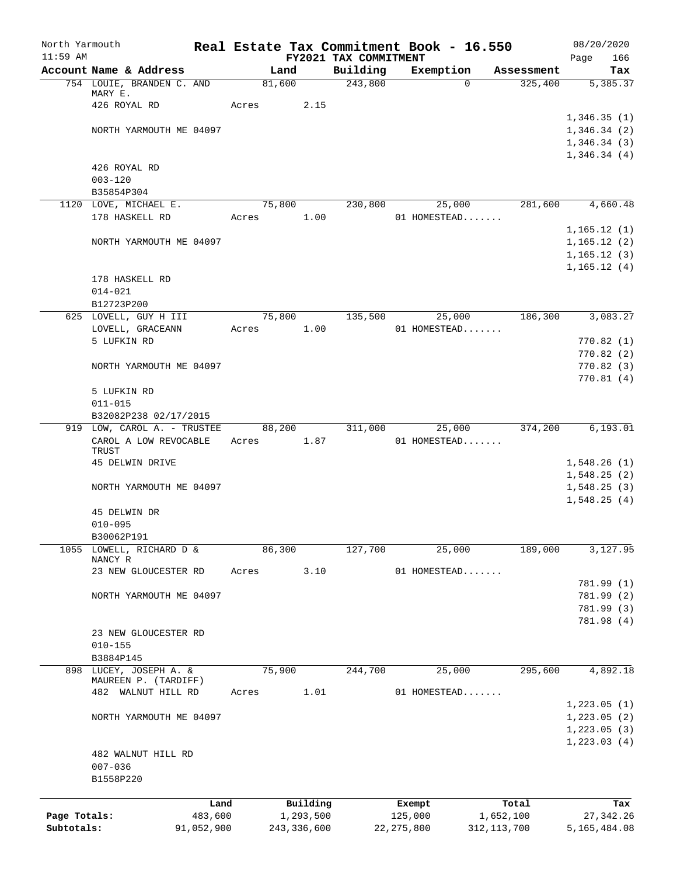| North Yarmouth |                                                     |            |       |                |          |                       | Real Estate Tax Commitment Book - 16.550 |                       | 08/20/2020             |
|----------------|-----------------------------------------------------|------------|-------|----------------|----------|-----------------------|------------------------------------------|-----------------------|------------------------|
| $11:59$ AM     |                                                     |            |       |                |          | FY2021 TAX COMMITMENT |                                          |                       | 166<br>Page            |
|                | Account Name & Address<br>754 LOUIE, BRANDEN C. AND |            |       | Land<br>81,600 |          | Building<br>243,800   | Exemption<br>$\Omega$                    | Assessment<br>325,400 | Tax<br>5,385.37        |
|                | MARY E.                                             |            |       |                |          |                       |                                          |                       |                        |
|                | 426 ROYAL RD                                        |            | Acres |                | 2.15     |                       |                                          |                       |                        |
|                |                                                     |            |       |                |          |                       |                                          |                       | 1,346.35(1)            |
|                | NORTH YARMOUTH ME 04097                             |            |       |                |          |                       |                                          |                       | 1,346.34(2)            |
|                |                                                     |            |       |                |          |                       |                                          |                       | 1,346.34(3)            |
|                | 426 ROYAL RD                                        |            |       |                |          |                       |                                          |                       | 1,346.34(4)            |
|                | $003 - 120$                                         |            |       |                |          |                       |                                          |                       |                        |
|                | B35854P304                                          |            |       |                |          |                       |                                          |                       |                        |
|                | 1120 LOVE, MICHAEL E.                               |            |       | 75,800         |          | 230,800               | 25,000                                   | 281,600               | 4,660.48               |
|                | 178 HASKELL RD                                      |            | Acres |                | 1.00     |                       | 01 HOMESTEAD                             |                       |                        |
|                |                                                     |            |       |                |          |                       |                                          |                       | 1,165.12(1)            |
|                | NORTH YARMOUTH ME 04097                             |            |       |                |          |                       |                                          |                       | 1, 165.12(2)           |
|                |                                                     |            |       |                |          |                       |                                          |                       | 1, 165.12(3)           |
|                |                                                     |            |       |                |          |                       |                                          |                       | 1,165.12(4)            |
|                | 178 HASKELL RD                                      |            |       |                |          |                       |                                          |                       |                        |
|                | $014 - 021$                                         |            |       |                |          |                       |                                          |                       |                        |
|                | B12723P200                                          |            |       |                |          |                       |                                          |                       |                        |
|                | 625 LOVELL, GUY H III                               |            |       | 75,800         |          | 135,500               | 25,000                                   | 186,300               | 3,083.27               |
|                | LOVELL, GRACEANN<br>5 LUFKIN RD                     |            | Acres |                | 1.00     |                       | 01 HOMESTEAD                             |                       |                        |
|                |                                                     |            |       |                |          |                       |                                          |                       | 770.82(1)<br>770.82(2) |
|                | NORTH YARMOUTH ME 04097                             |            |       |                |          |                       |                                          |                       | 770.82(3)              |
|                |                                                     |            |       |                |          |                       |                                          |                       | 770.81(4)              |
|                | 5 LUFKIN RD                                         |            |       |                |          |                       |                                          |                       |                        |
|                | $011 - 015$                                         |            |       |                |          |                       |                                          |                       |                        |
|                | B32082P238 02/17/2015                               |            |       |                |          |                       |                                          |                       |                        |
| 919            | LOW, CAROL A. - TRUSTEE                             |            |       | 88,200         |          | 311,000               | 25,000                                   | 374,200               | 6,193.01               |
|                | CAROL A LOW REVOCABLE                               |            | Acres | 1.87           |          |                       | 01 HOMESTEAD                             |                       |                        |
|                | TRUST<br>45 DELWIN DRIVE                            |            |       |                |          |                       |                                          |                       | 1,548.26(1)            |
|                |                                                     |            |       |                |          |                       |                                          |                       | 1,548.25(2)            |
|                | NORTH YARMOUTH ME 04097                             |            |       |                |          |                       |                                          |                       | 1,548.25(3)            |
|                |                                                     |            |       |                |          |                       |                                          |                       | 1,548.25(4)            |
|                | 45 DELWIN DR                                        |            |       |                |          |                       |                                          |                       |                        |
|                | $010 - 095$                                         |            |       |                |          |                       |                                          |                       |                        |
|                | B30062P191                                          |            |       |                |          |                       |                                          |                       |                        |
| 1055           | LOWELL, RICHARD D &                                 |            |       | 86,300         |          | 127,700               | 25,000                                   | 189,000               | 3, 127.95              |
|                | NANCY R<br>23 NEW GLOUCESTER RD                     |            | Acres |                | 3.10     |                       | 01 HOMESTEAD                             |                       |                        |
|                |                                                     |            |       |                |          |                       |                                          |                       | 781.99 (1)             |
|                | NORTH YARMOUTH ME 04097                             |            |       |                |          |                       |                                          |                       | 781.99 (2)             |
|                |                                                     |            |       |                |          |                       |                                          |                       | 781.99 (3)             |
|                |                                                     |            |       |                |          |                       |                                          |                       | 781.98 (4)             |
|                | 23 NEW GLOUCESTER RD                                |            |       |                |          |                       |                                          |                       |                        |
|                | $010 - 155$                                         |            |       |                |          |                       |                                          |                       |                        |
|                | B3884P145                                           |            |       |                |          |                       |                                          |                       |                        |
| 898            | LUCEY, JOSEPH A. &                                  |            |       | 75,900         |          | 244,700               | 25,000                                   | 295,600               | 4,892.18               |
|                | MAUREEN P. (TARDIFF)<br>482 WALNUT HILL RD          |            | Acres |                | 1.01     |                       | 01 HOMESTEAD                             |                       |                        |
|                |                                                     |            |       |                |          |                       |                                          |                       | 1,223.05(1)            |
|                | NORTH YARMOUTH ME 04097                             |            |       |                |          |                       |                                          |                       | 1,223.05(2)            |
|                |                                                     |            |       |                |          |                       |                                          |                       | 1, 223.05(3)           |
|                |                                                     |            |       |                |          |                       |                                          |                       | 1, 223.03(4)           |
|                | 482 WALNUT HILL RD                                  |            |       |                |          |                       |                                          |                       |                        |
|                | $007 - 036$                                         |            |       |                |          |                       |                                          |                       |                        |
|                | B1558P220                                           |            |       |                |          |                       |                                          |                       |                        |
|                |                                                     |            |       |                |          |                       |                                          |                       |                        |
|                |                                                     | Land       |       |                | Building |                       | Exempt                                   | Total                 | Tax                    |
| Page Totals:   |                                                     | 483,600    |       | 1,293,500      |          |                       | 125,000                                  | 1,652,100             | 27,342.26              |
| Subtotals:     |                                                     | 91,052,900 |       | 243, 336, 600  |          |                       | 22, 275, 800                             | 312, 113, 700         | 5,165,484.08           |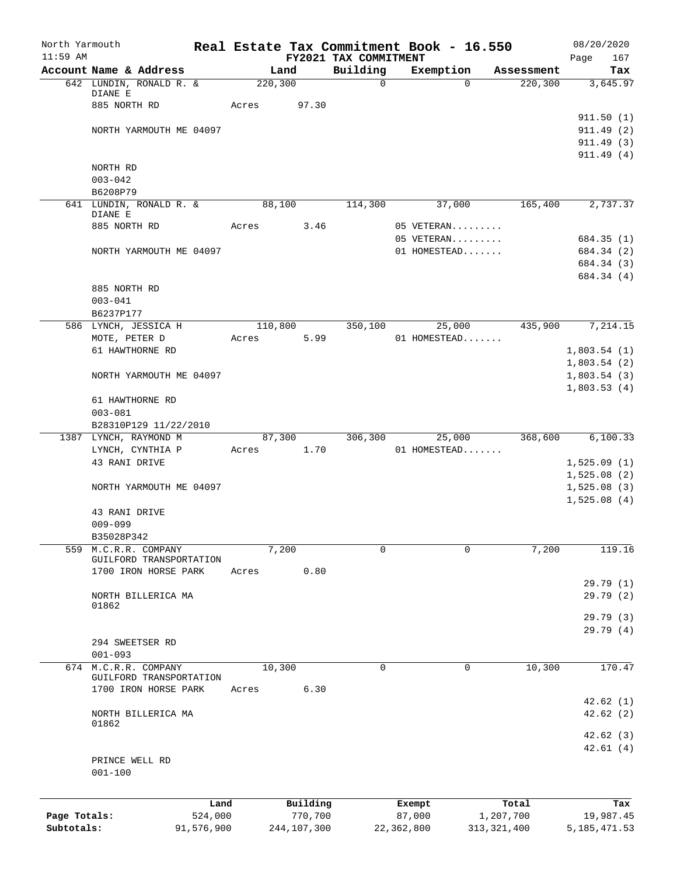| $11:59$ AM<br>FY2021 TAX COMMITMENT<br>Account Name & Address<br>Building<br>Land<br>Exemption<br>Assessment<br>220, 300<br>642 LUNDIN, RONALD R. &<br>$\mathbf 0$<br>220,300<br>$\Omega$<br>DIANE E<br>885 NORTH RD<br>Acres<br>97.30<br>911.49(2)<br>NORTH YARMOUTH ME 04097<br>911.49(3)<br>911.49(4)<br>NORTH RD<br>$003 - 042$<br>B6208P79<br>641 LUNDIN, RONALD R. &<br>88,100<br>114,300<br>37,000<br>165,400<br>DIANE E<br>885 NORTH RD<br>Acres<br>3.46<br>05 VETERAN<br>05 VETERAN<br>684.35 (1)<br>NORTH YARMOUTH ME 04097<br>01 HOMESTEAD<br>684.34 (2)<br>684.34 (3)<br>684.34 (4)<br>885 NORTH RD<br>$003 - 041$<br>B6237P177<br>586 LYNCH, JESSICA H<br>110,800<br>350,100<br>435,900<br>25,000<br>MOTE, PETER D<br>5.99<br>01 HOMESTEAD<br>Acres<br>61 HAWTHORNE RD<br>NORTH YARMOUTH ME 04097<br>61 HAWTHORNE RD<br>$003 - 081$<br>B28310P129 11/22/2010<br>87,300<br>306,300<br>368,600<br>1387 LYNCH, RAYMOND M<br>25,000<br>1.70<br>LYNCH, CYNTHIA P<br>01 HOMESTEAD<br>Acres<br>43 RANI DRIVE<br>NORTH YARMOUTH ME 04097<br>43 RANI DRIVE<br>$009 - 099$<br>B35028P342<br>559<br>7,200<br>$\mathbf 0$<br>$\mathbf 0$<br>7,200<br>M.C.R.R. COMPANY<br>GUILFORD TRANSPORTATION<br>0.80<br>1700 IRON HORSE PARK<br>Acres<br>NORTH BILLERICA MA<br>01862<br>294 SWEETSER RD<br>$001 - 093$<br>10,300<br>M.C.R.R. COMPANY<br>10,300<br>$\mathbf 0$<br>674<br>0 | North Yarmouth          |  |  | Real Estate Tax Commitment Book - 16.550 | 08/20/2020     |            |
|--------------------------------------------------------------------------------------------------------------------------------------------------------------------------------------------------------------------------------------------------------------------------------------------------------------------------------------------------------------------------------------------------------------------------------------------------------------------------------------------------------------------------------------------------------------------------------------------------------------------------------------------------------------------------------------------------------------------------------------------------------------------------------------------------------------------------------------------------------------------------------------------------------------------------------------------------------------------------------------------------------------------------------------------------------------------------------------------------------------------------------------------------------------------------------------------------------------------------------------------------------------------------------------------------------------------------------------------------------------------------------|-------------------------|--|--|------------------------------------------|----------------|------------|
|                                                                                                                                                                                                                                                                                                                                                                                                                                                                                                                                                                                                                                                                                                                                                                                                                                                                                                                                                                                                                                                                                                                                                                                                                                                                                                                                                                                |                         |  |  |                                          | Page           | 167<br>Tax |
|                                                                                                                                                                                                                                                                                                                                                                                                                                                                                                                                                                                                                                                                                                                                                                                                                                                                                                                                                                                                                                                                                                                                                                                                                                                                                                                                                                                |                         |  |  |                                          | 3,645.97       |            |
|                                                                                                                                                                                                                                                                                                                                                                                                                                                                                                                                                                                                                                                                                                                                                                                                                                                                                                                                                                                                                                                                                                                                                                                                                                                                                                                                                                                |                         |  |  |                                          |                |            |
|                                                                                                                                                                                                                                                                                                                                                                                                                                                                                                                                                                                                                                                                                                                                                                                                                                                                                                                                                                                                                                                                                                                                                                                                                                                                                                                                                                                |                         |  |  |                                          |                |            |
|                                                                                                                                                                                                                                                                                                                                                                                                                                                                                                                                                                                                                                                                                                                                                                                                                                                                                                                                                                                                                                                                                                                                                                                                                                                                                                                                                                                |                         |  |  |                                          | 911.50(1)      |            |
|                                                                                                                                                                                                                                                                                                                                                                                                                                                                                                                                                                                                                                                                                                                                                                                                                                                                                                                                                                                                                                                                                                                                                                                                                                                                                                                                                                                |                         |  |  |                                          |                |            |
|                                                                                                                                                                                                                                                                                                                                                                                                                                                                                                                                                                                                                                                                                                                                                                                                                                                                                                                                                                                                                                                                                                                                                                                                                                                                                                                                                                                |                         |  |  |                                          |                |            |
|                                                                                                                                                                                                                                                                                                                                                                                                                                                                                                                                                                                                                                                                                                                                                                                                                                                                                                                                                                                                                                                                                                                                                                                                                                                                                                                                                                                |                         |  |  |                                          |                |            |
|                                                                                                                                                                                                                                                                                                                                                                                                                                                                                                                                                                                                                                                                                                                                                                                                                                                                                                                                                                                                                                                                                                                                                                                                                                                                                                                                                                                |                         |  |  |                                          |                |            |
|                                                                                                                                                                                                                                                                                                                                                                                                                                                                                                                                                                                                                                                                                                                                                                                                                                                                                                                                                                                                                                                                                                                                                                                                                                                                                                                                                                                |                         |  |  |                                          |                |            |
|                                                                                                                                                                                                                                                                                                                                                                                                                                                                                                                                                                                                                                                                                                                                                                                                                                                                                                                                                                                                                                                                                                                                                                                                                                                                                                                                                                                |                         |  |  |                                          | 2,737.37       |            |
|                                                                                                                                                                                                                                                                                                                                                                                                                                                                                                                                                                                                                                                                                                                                                                                                                                                                                                                                                                                                                                                                                                                                                                                                                                                                                                                                                                                |                         |  |  |                                          |                |            |
|                                                                                                                                                                                                                                                                                                                                                                                                                                                                                                                                                                                                                                                                                                                                                                                                                                                                                                                                                                                                                                                                                                                                                                                                                                                                                                                                                                                |                         |  |  |                                          |                |            |
|                                                                                                                                                                                                                                                                                                                                                                                                                                                                                                                                                                                                                                                                                                                                                                                                                                                                                                                                                                                                                                                                                                                                                                                                                                                                                                                                                                                |                         |  |  |                                          |                |            |
|                                                                                                                                                                                                                                                                                                                                                                                                                                                                                                                                                                                                                                                                                                                                                                                                                                                                                                                                                                                                                                                                                                                                                                                                                                                                                                                                                                                |                         |  |  |                                          |                |            |
|                                                                                                                                                                                                                                                                                                                                                                                                                                                                                                                                                                                                                                                                                                                                                                                                                                                                                                                                                                                                                                                                                                                                                                                                                                                                                                                                                                                |                         |  |  |                                          |                |            |
|                                                                                                                                                                                                                                                                                                                                                                                                                                                                                                                                                                                                                                                                                                                                                                                                                                                                                                                                                                                                                                                                                                                                                                                                                                                                                                                                                                                |                         |  |  |                                          |                |            |
|                                                                                                                                                                                                                                                                                                                                                                                                                                                                                                                                                                                                                                                                                                                                                                                                                                                                                                                                                                                                                                                                                                                                                                                                                                                                                                                                                                                |                         |  |  |                                          |                |            |
|                                                                                                                                                                                                                                                                                                                                                                                                                                                                                                                                                                                                                                                                                                                                                                                                                                                                                                                                                                                                                                                                                                                                                                                                                                                                                                                                                                                |                         |  |  |                                          |                |            |
|                                                                                                                                                                                                                                                                                                                                                                                                                                                                                                                                                                                                                                                                                                                                                                                                                                                                                                                                                                                                                                                                                                                                                                                                                                                                                                                                                                                |                         |  |  |                                          | 7,214.15       |            |
|                                                                                                                                                                                                                                                                                                                                                                                                                                                                                                                                                                                                                                                                                                                                                                                                                                                                                                                                                                                                                                                                                                                                                                                                                                                                                                                                                                                |                         |  |  |                                          |                |            |
|                                                                                                                                                                                                                                                                                                                                                                                                                                                                                                                                                                                                                                                                                                                                                                                                                                                                                                                                                                                                                                                                                                                                                                                                                                                                                                                                                                                |                         |  |  |                                          | 1,803.54(1)    |            |
|                                                                                                                                                                                                                                                                                                                                                                                                                                                                                                                                                                                                                                                                                                                                                                                                                                                                                                                                                                                                                                                                                                                                                                                                                                                                                                                                                                                |                         |  |  |                                          | 1,803.54(2)    |            |
|                                                                                                                                                                                                                                                                                                                                                                                                                                                                                                                                                                                                                                                                                                                                                                                                                                                                                                                                                                                                                                                                                                                                                                                                                                                                                                                                                                                |                         |  |  |                                          | 1,803.54(3)    |            |
|                                                                                                                                                                                                                                                                                                                                                                                                                                                                                                                                                                                                                                                                                                                                                                                                                                                                                                                                                                                                                                                                                                                                                                                                                                                                                                                                                                                |                         |  |  |                                          | 1,803.53(4)    |            |
|                                                                                                                                                                                                                                                                                                                                                                                                                                                                                                                                                                                                                                                                                                                                                                                                                                                                                                                                                                                                                                                                                                                                                                                                                                                                                                                                                                                |                         |  |  |                                          |                |            |
|                                                                                                                                                                                                                                                                                                                                                                                                                                                                                                                                                                                                                                                                                                                                                                                                                                                                                                                                                                                                                                                                                                                                                                                                                                                                                                                                                                                |                         |  |  |                                          |                |            |
|                                                                                                                                                                                                                                                                                                                                                                                                                                                                                                                                                                                                                                                                                                                                                                                                                                                                                                                                                                                                                                                                                                                                                                                                                                                                                                                                                                                |                         |  |  |                                          | 6, 100.33      |            |
|                                                                                                                                                                                                                                                                                                                                                                                                                                                                                                                                                                                                                                                                                                                                                                                                                                                                                                                                                                                                                                                                                                                                                                                                                                                                                                                                                                                |                         |  |  |                                          |                |            |
|                                                                                                                                                                                                                                                                                                                                                                                                                                                                                                                                                                                                                                                                                                                                                                                                                                                                                                                                                                                                                                                                                                                                                                                                                                                                                                                                                                                |                         |  |  |                                          | 1,525.09(1)    |            |
|                                                                                                                                                                                                                                                                                                                                                                                                                                                                                                                                                                                                                                                                                                                                                                                                                                                                                                                                                                                                                                                                                                                                                                                                                                                                                                                                                                                |                         |  |  |                                          | 1,525.08(2)    |            |
|                                                                                                                                                                                                                                                                                                                                                                                                                                                                                                                                                                                                                                                                                                                                                                                                                                                                                                                                                                                                                                                                                                                                                                                                                                                                                                                                                                                |                         |  |  |                                          | 1,525.08(3)    |            |
|                                                                                                                                                                                                                                                                                                                                                                                                                                                                                                                                                                                                                                                                                                                                                                                                                                                                                                                                                                                                                                                                                                                                                                                                                                                                                                                                                                                |                         |  |  |                                          | 1,525.08(4)    |            |
|                                                                                                                                                                                                                                                                                                                                                                                                                                                                                                                                                                                                                                                                                                                                                                                                                                                                                                                                                                                                                                                                                                                                                                                                                                                                                                                                                                                |                         |  |  |                                          |                |            |
|                                                                                                                                                                                                                                                                                                                                                                                                                                                                                                                                                                                                                                                                                                                                                                                                                                                                                                                                                                                                                                                                                                                                                                                                                                                                                                                                                                                |                         |  |  |                                          |                |            |
|                                                                                                                                                                                                                                                                                                                                                                                                                                                                                                                                                                                                                                                                                                                                                                                                                                                                                                                                                                                                                                                                                                                                                                                                                                                                                                                                                                                |                         |  |  |                                          |                |            |
|                                                                                                                                                                                                                                                                                                                                                                                                                                                                                                                                                                                                                                                                                                                                                                                                                                                                                                                                                                                                                                                                                                                                                                                                                                                                                                                                                                                |                         |  |  |                                          | 119.16         |            |
|                                                                                                                                                                                                                                                                                                                                                                                                                                                                                                                                                                                                                                                                                                                                                                                                                                                                                                                                                                                                                                                                                                                                                                                                                                                                                                                                                                                |                         |  |  |                                          |                |            |
|                                                                                                                                                                                                                                                                                                                                                                                                                                                                                                                                                                                                                                                                                                                                                                                                                                                                                                                                                                                                                                                                                                                                                                                                                                                                                                                                                                                |                         |  |  |                                          | 29.79(1)       |            |
|                                                                                                                                                                                                                                                                                                                                                                                                                                                                                                                                                                                                                                                                                                                                                                                                                                                                                                                                                                                                                                                                                                                                                                                                                                                                                                                                                                                |                         |  |  |                                          | 29.79(2)       |            |
|                                                                                                                                                                                                                                                                                                                                                                                                                                                                                                                                                                                                                                                                                                                                                                                                                                                                                                                                                                                                                                                                                                                                                                                                                                                                                                                                                                                |                         |  |  |                                          |                |            |
|                                                                                                                                                                                                                                                                                                                                                                                                                                                                                                                                                                                                                                                                                                                                                                                                                                                                                                                                                                                                                                                                                                                                                                                                                                                                                                                                                                                |                         |  |  |                                          | 29.79(3)       |            |
|                                                                                                                                                                                                                                                                                                                                                                                                                                                                                                                                                                                                                                                                                                                                                                                                                                                                                                                                                                                                                                                                                                                                                                                                                                                                                                                                                                                |                         |  |  |                                          | 29.79(4)       |            |
|                                                                                                                                                                                                                                                                                                                                                                                                                                                                                                                                                                                                                                                                                                                                                                                                                                                                                                                                                                                                                                                                                                                                                                                                                                                                                                                                                                                |                         |  |  |                                          |                |            |
|                                                                                                                                                                                                                                                                                                                                                                                                                                                                                                                                                                                                                                                                                                                                                                                                                                                                                                                                                                                                                                                                                                                                                                                                                                                                                                                                                                                |                         |  |  |                                          | 170.47         |            |
|                                                                                                                                                                                                                                                                                                                                                                                                                                                                                                                                                                                                                                                                                                                                                                                                                                                                                                                                                                                                                                                                                                                                                                                                                                                                                                                                                                                | GUILFORD TRANSPORTATION |  |  |                                          |                |            |
| 6.30<br>1700 IRON HORSE PARK<br>Acres                                                                                                                                                                                                                                                                                                                                                                                                                                                                                                                                                                                                                                                                                                                                                                                                                                                                                                                                                                                                                                                                                                                                                                                                                                                                                                                                          |                         |  |  |                                          |                |            |
|                                                                                                                                                                                                                                                                                                                                                                                                                                                                                                                                                                                                                                                                                                                                                                                                                                                                                                                                                                                                                                                                                                                                                                                                                                                                                                                                                                                |                         |  |  |                                          | 42.62(1)       |            |
| NORTH BILLERICA MA                                                                                                                                                                                                                                                                                                                                                                                                                                                                                                                                                                                                                                                                                                                                                                                                                                                                                                                                                                                                                                                                                                                                                                                                                                                                                                                                                             |                         |  |  |                                          | 42.62(2)       |            |
| 01862                                                                                                                                                                                                                                                                                                                                                                                                                                                                                                                                                                                                                                                                                                                                                                                                                                                                                                                                                                                                                                                                                                                                                                                                                                                                                                                                                                          |                         |  |  |                                          | 42.62(3)       |            |
|                                                                                                                                                                                                                                                                                                                                                                                                                                                                                                                                                                                                                                                                                                                                                                                                                                                                                                                                                                                                                                                                                                                                                                                                                                                                                                                                                                                |                         |  |  |                                          | 42.61(4)       |            |
| PRINCE WELL RD                                                                                                                                                                                                                                                                                                                                                                                                                                                                                                                                                                                                                                                                                                                                                                                                                                                                                                                                                                                                                                                                                                                                                                                                                                                                                                                                                                 |                         |  |  |                                          |                |            |
| $001 - 100$                                                                                                                                                                                                                                                                                                                                                                                                                                                                                                                                                                                                                                                                                                                                                                                                                                                                                                                                                                                                                                                                                                                                                                                                                                                                                                                                                                    |                         |  |  |                                          |                |            |
|                                                                                                                                                                                                                                                                                                                                                                                                                                                                                                                                                                                                                                                                                                                                                                                                                                                                                                                                                                                                                                                                                                                                                                                                                                                                                                                                                                                |                         |  |  |                                          |                |            |
| Building                                                                                                                                                                                                                                                                                                                                                                                                                                                                                                                                                                                                                                                                                                                                                                                                                                                                                                                                                                                                                                                                                                                                                                                                                                                                                                                                                                       |                         |  |  |                                          |                |            |
| Land<br>Exempt<br>Total<br>Page Totals:<br>524,000<br>770,700<br>87,000<br>1,207,700                                                                                                                                                                                                                                                                                                                                                                                                                                                                                                                                                                                                                                                                                                                                                                                                                                                                                                                                                                                                                                                                                                                                                                                                                                                                                           |                         |  |  |                                          | 19,987.45      | Tax        |
| Subtotals:<br>91,576,900<br>244,107,300<br>22,362,800<br>313, 321, 400                                                                                                                                                                                                                                                                                                                                                                                                                                                                                                                                                                                                                                                                                                                                                                                                                                                                                                                                                                                                                                                                                                                                                                                                                                                                                                         |                         |  |  |                                          | 5, 185, 471.53 |            |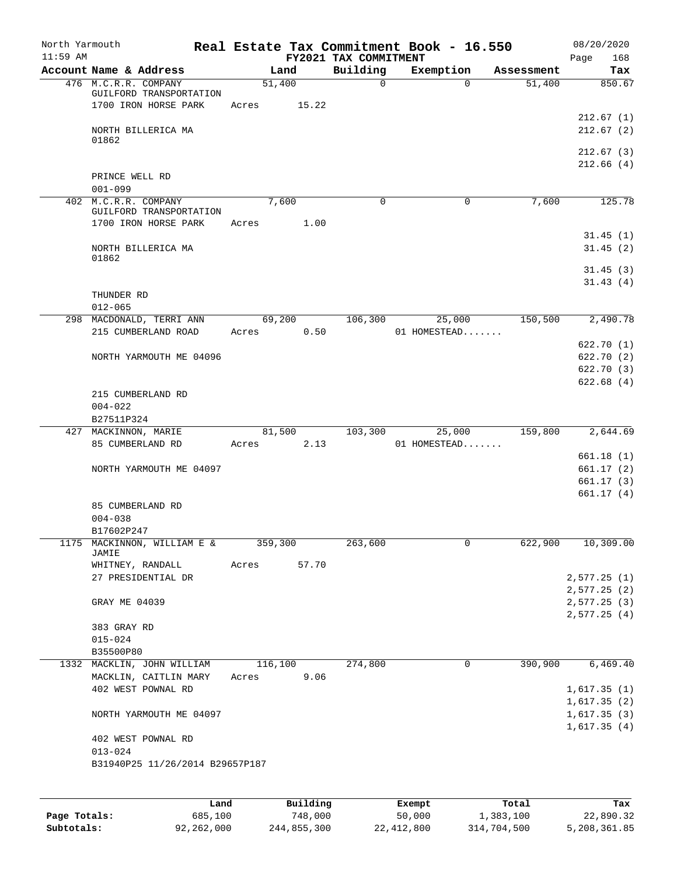| North Yarmouth<br>$11:59$ AM |                                                                         |                  |          | FY2021 TAX COMMITMENT | Real Estate Tax Commitment Book - 16.550 |            | 08/20/2020<br>168<br>Page  |
|------------------------------|-------------------------------------------------------------------------|------------------|----------|-----------------------|------------------------------------------|------------|----------------------------|
|                              | Account Name & Address                                                  | Land             |          | Building              | Exemption                                | Assessment | Tax                        |
|                              | 476 M.C.R.R. COMPANY<br>GUILFORD TRANSPORTATION<br>1700 IRON HORSE PARK | 51,400<br>Acres  | 15.22    | 0                     | $\Omega$                                 | 51,400     | 850.67                     |
|                              | NORTH BILLERICA MA<br>01862                                             |                  |          |                       |                                          |            | 212.67(1)<br>212.67(2)     |
|                              |                                                                         |                  |          |                       |                                          |            | 212.67(3)<br>212.66(4)     |
|                              | PRINCE WELL RD<br>$001 - 099$                                           |                  |          |                       |                                          |            |                            |
| 402                          | M.C.R.R. COMPANY<br>GUILFORD TRANSPORTATION<br>1700 IRON HORSE PARK     | 7,600<br>Acres   | 1.00     | 0                     | 0                                        | 7,600      | 125.78                     |
|                              |                                                                         |                  |          |                       |                                          |            | 31.45(1)                   |
|                              | NORTH BILLERICA MA<br>01862                                             |                  |          |                       |                                          |            | 31.45(2)                   |
|                              |                                                                         |                  |          |                       |                                          |            | 31.45(3)<br>31.43(4)       |
|                              | THUNDER RD<br>$012 - 065$                                               |                  |          |                       |                                          |            |                            |
|                              | 298 MACDONALD, TERRI ANN                                                | 69,200           |          | 106,300               | 25,000                                   | 150,500    | 2,490.78                   |
|                              | 215 CUMBERLAND ROAD                                                     | Acres            | 0.50     |                       | 01 HOMESTEAD                             |            |                            |
|                              |                                                                         |                  |          |                       |                                          |            | 622.70 (1)                 |
|                              | NORTH YARMOUTH ME 04096                                                 |                  |          |                       |                                          |            | 622.70 (2)                 |
|                              |                                                                         |                  |          |                       |                                          |            | 622.70(3)<br>622.68(4)     |
|                              | 215 CUMBERLAND RD                                                       |                  |          |                       |                                          |            |                            |
|                              | $004 - 022$                                                             |                  |          |                       |                                          |            |                            |
|                              | B27511P324                                                              |                  |          |                       |                                          |            |                            |
|                              | 427 MACKINNON, MARIE                                                    | 81,500           |          | 103,300               | 25,000                                   | 159,800    | 2,644.69                   |
|                              | 85 CUMBERLAND RD                                                        | Acres            | 2.13     |                       | 01 HOMESTEAD                             |            |                            |
|                              |                                                                         |                  |          |                       |                                          |            | 661.18(1)                  |
|                              | NORTH YARMOUTH ME 04097                                                 |                  |          |                       |                                          |            | 661.17(2)<br>661.17(3)     |
|                              |                                                                         |                  |          |                       |                                          |            | 661.17 (4)                 |
|                              | 85 CUMBERLAND RD                                                        |                  |          |                       |                                          |            |                            |
|                              | $004 - 038$                                                             |                  |          |                       |                                          |            |                            |
|                              | B17602P247                                                              |                  |          |                       |                                          |            |                            |
|                              | 1175 MACKINNON, WILLIAM E &<br>JAMIE                                    | 359,300          |          | 263,600               | $\mathbf 0$                              | 622,900    | 10,309.00                  |
|                              | WHITNEY, RANDALL<br>27 PRESIDENTIAL DR                                  | Acres            | 57.70    |                       |                                          |            | 2,577.25(1)                |
|                              |                                                                         |                  |          |                       |                                          |            | 2,577.25(2)                |
|                              | GRAY ME 04039                                                           |                  |          |                       |                                          |            | 2,577.25(3)                |
|                              |                                                                         |                  |          |                       |                                          |            | 2,577.25(4)                |
|                              | 383 GRAY RD                                                             |                  |          |                       |                                          |            |                            |
|                              | $015 - 024$                                                             |                  |          |                       |                                          |            |                            |
|                              | B35500P80                                                               |                  |          |                       |                                          |            |                            |
|                              | 1332 MACKLIN, JOHN WILLIAM<br>MACKLIN, CAITLIN MARY                     | 116,100<br>Acres | 9.06     | 274,800               | 0                                        | 390,900    | 6,469.40                   |
|                              | 402 WEST POWNAL RD                                                      |                  |          |                       |                                          |            | 1,617.35(1)                |
|                              | NORTH YARMOUTH ME 04097                                                 |                  |          |                       |                                          |            | 1,617.35(2)<br>1,617.35(3) |
|                              |                                                                         |                  |          |                       |                                          |            | 1,617.35(4)                |
|                              | 402 WEST POWNAL RD<br>$013 - 024$                                       |                  |          |                       |                                          |            |                            |
|                              | B31940P25 11/26/2014 B29657P187                                         |                  |          |                       |                                          |            |                            |
|                              |                                                                         |                  |          |                       |                                          |            |                            |
|                              | Land                                                                    |                  | Building |                       | Exempt                                   | Total      | Tax                        |
| Page Totals:                 | 685,100                                                                 |                  | 748,000  |                       | 50,000                                   | 1,383,100  | 22,890.32                  |

**Subtotals:** 92,262,000 244,855,300 22,412,800 314,704,500 5,208,361.85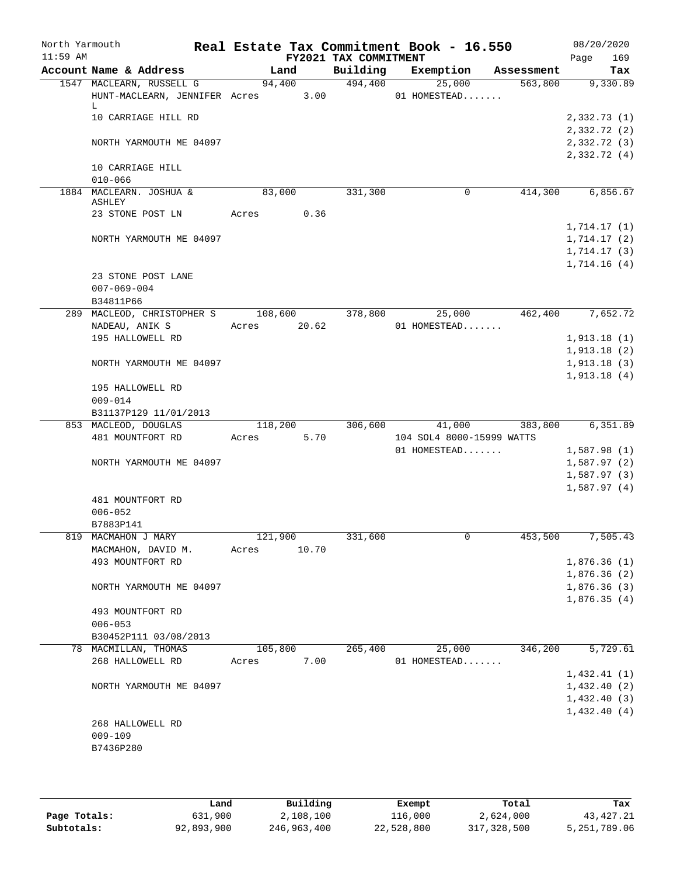| North Yarmouth<br>$11:59$ AM |                                                                     |         |        | FY2021 TAX COMMITMENT | Real Estate Tax Commitment Book - 16.550 |                | 08/20/2020<br>Page<br>169                 |
|------------------------------|---------------------------------------------------------------------|---------|--------|-----------------------|------------------------------------------|----------------|-------------------------------------------|
|                              | Account Name & Address                                              | Land    |        | Building              | Exemption                                | Assessment     | Tax                                       |
|                              | 1547 MACLEARN, RUSSELL G<br>HUNT-MACLEARN, JENNIFER Acres 3.00<br>L |         | 94,400 | 494,400               | 25,000<br>01 HOMESTEAD                   | 563,800        | 9,330.89                                  |
|                              | 10 CARRIAGE HILL RD                                                 |         |        |                       |                                          |                | 2,332.73 (1)<br>2,332.72 (2)              |
|                              | NORTH YARMOUTH ME 04097                                             |         |        |                       |                                          |                | 2,332.72 (3)<br>2,332.72(4)               |
|                              | 10 CARRIAGE HILL<br>$010 - 066$                                     |         |        |                       |                                          |                |                                           |
|                              | 1884 MACLEARN. JOSHUA &<br>ASHLEY                                   | 83,000  |        | 331,300               | 0                                        | 414,300        | 6,856.67                                  |
|                              | 23 STONE POST LN                                                    | Acres   | 0.36   |                       |                                          |                |                                           |
|                              | NORTH YARMOUTH ME 04097                                             |         |        |                       |                                          |                | 1,714.17(1)<br>1,714.17(2)<br>1,714.17(3) |
|                              | 23 STONE POST LANE<br>$007 - 069 - 004$<br>B34811P66                |         |        |                       |                                          |                | 1,714.16(4)                               |
|                              | 289 MACLEOD, CHRISTOPHER S 108,600 378,800                          |         |        |                       | 25,000                                   |                | 462,400 7,652.72                          |
|                              | NADEAU, ANIK S                                                      | Acres   | 20.62  |                       | 01 HOMESTEAD                             |                |                                           |
|                              | 195 HALLOWELL RD                                                    |         |        |                       |                                          |                | 1,913.18(1)                               |
|                              |                                                                     |         |        |                       |                                          |                | 1,913.18(2)                               |
|                              | NORTH YARMOUTH ME 04097                                             |         |        |                       |                                          |                | 1,913.18(3)                               |
|                              |                                                                     |         |        |                       |                                          |                | 1,913.18(4)                               |
|                              | 195 HALLOWELL RD<br>$009 - 014$                                     |         |        |                       |                                          |                |                                           |
|                              | B31137P129 11/01/2013                                               |         |        |                       |                                          |                |                                           |
|                              | 853 MACLEOD, DOUGLAS                                                | 118,200 |        |                       | 306,600                                  | 41,000 383,800 | 6,351.89                                  |
|                              | 481 MOUNTFORT RD                                                    | Acres   | 5.70   |                       | 104 SOL4 8000-15999 WATTS                |                |                                           |
|                              |                                                                     |         |        |                       | 01 HOMESTEAD                             |                | 1,587.98(1)                               |
|                              | NORTH YARMOUTH ME 04097                                             |         |        |                       |                                          |                | 1,587.97(2)                               |
|                              |                                                                     |         |        |                       |                                          |                | 1,587.97(3)                               |
|                              |                                                                     |         |        |                       |                                          |                | 1,587.97(4)                               |
|                              | 481 MOUNTFORT RD                                                    |         |        |                       |                                          |                |                                           |
|                              | $006 - 052$                                                         |         |        |                       |                                          |                |                                           |
|                              | B7883P141                                                           |         |        |                       |                                          |                |                                           |
|                              | 819 MACMAHON J MARY                                                 | 121,900 |        | 331,600               |                                          | 453,500        | 7,505.43                                  |
|                              | MACMAHON, DAVID M.                                                  | Acres   | 10.70  |                       |                                          |                |                                           |
|                              | 493 MOUNTFORT RD                                                    |         |        |                       |                                          |                | 1,876.36(1)                               |
|                              |                                                                     |         |        |                       |                                          |                | 1,876.36(2)                               |
|                              | NORTH YARMOUTH ME 04097                                             |         |        |                       |                                          |                | 1,876.36(3)<br>1,876.35(4)                |
|                              | 493 MOUNTFORT RD                                                    |         |        |                       |                                          |                |                                           |
|                              | $006 - 053$<br>B30452P111 03/08/2013                                |         |        |                       |                                          |                |                                           |
|                              | 78 MACMILLAN, THOMAS                                                | 105,800 |        | 265,400               | 25,000                                   | 346,200        | 5,729.61                                  |
|                              | 268 HALLOWELL RD                                                    | Acres   | 7.00   |                       | 01 HOMESTEAD                             |                |                                           |
|                              |                                                                     |         |        |                       |                                          |                | 1,432.41(1)                               |
|                              | NORTH YARMOUTH ME 04097                                             |         |        |                       |                                          |                | 1,432.40(2)                               |
|                              |                                                                     |         |        |                       |                                          |                | 1,432.40(3)                               |
|                              |                                                                     |         |        |                       |                                          |                | 1,432.40(4)                               |
|                              | 268 HALLOWELL RD                                                    |         |        |                       |                                          |                |                                           |
|                              | $009 - 109$                                                         |         |        |                       |                                          |                |                                           |
|                              | B7436P280                                                           |         |        |                       |                                          |                |                                           |
|                              |                                                                     |         |        |                       |                                          |                |                                           |

|              | Land       | Building    | Exempt     | Total       | Tax          |
|--------------|------------|-------------|------------|-------------|--------------|
| Page Totals: | 631,900    | 2,108,100   | 116,000    | 2,624,000   | 43, 427. 21  |
| Subtotals:   | 92,893,900 | 246,963,400 | 22,528,800 | 317,328,500 | 5,251,789.06 |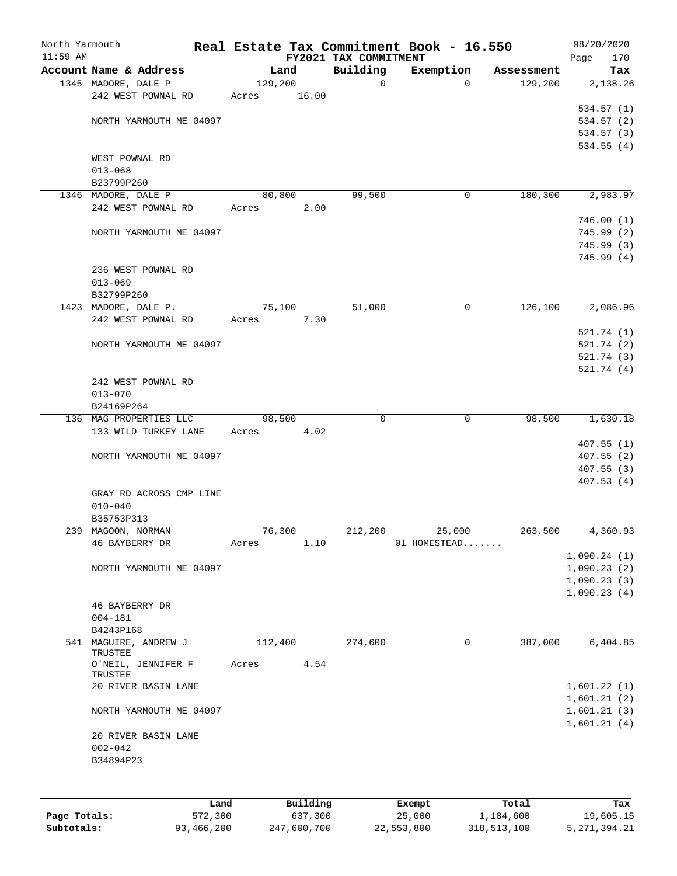| North Yarmouth |                                          | Real Estate Tax Commitment Book - 16.550 |                       |              |            | 08/20/2020  |
|----------------|------------------------------------------|------------------------------------------|-----------------------|--------------|------------|-------------|
| $11:59$ AM     |                                          |                                          | FY2021 TAX COMMITMENT |              |            | 170<br>Page |
|                | Account Name & Address                   | Land                                     | Building              | Exemption    | Assessment | Tax         |
|                | 1345 MADORE, DALE P                      | 129,200                                  | 0                     | 0            | 129,200    | 2,138.26    |
|                | 242 WEST POWNAL RD                       | 16.00<br>Acres                           |                       |              |            |             |
|                |                                          |                                          |                       |              |            | 534.57(1)   |
|                | NORTH YARMOUTH ME 04097                  |                                          |                       |              |            | 534.57 (2)  |
|                |                                          |                                          |                       |              |            | 534.57 (3)  |
|                |                                          |                                          |                       |              |            | 534.55(4)   |
|                | WEST POWNAL RD                           |                                          |                       |              |            |             |
|                | $013 - 068$                              |                                          |                       |              |            |             |
|                | B23799P260                               |                                          |                       |              |            |             |
|                | 1346 MADORE, DALE P                      | 80,800                                   | 99,500                | 0            | 180,300    | 2,983.97    |
|                | 242 WEST POWNAL RD                       | 2.00<br>Acres                            |                       |              |            |             |
|                |                                          |                                          |                       |              |            | 746.00(1)   |
|                |                                          |                                          |                       |              |            |             |
|                | NORTH YARMOUTH ME 04097                  |                                          |                       |              |            | 745.99(2)   |
|                |                                          |                                          |                       |              |            | 745.99(3)   |
|                |                                          |                                          |                       |              |            | 745.99(4)   |
|                | 236 WEST POWNAL RD                       |                                          |                       |              |            |             |
|                | $013 - 069$                              |                                          |                       |              |            |             |
|                | B32799P260                               |                                          |                       |              |            |             |
|                | 1423 MADORE, DALE P.                     | 75,100                                   | 51,000                | 0            | 126,100    | 2,086.96    |
|                | 242 WEST POWNAL RD                       | Acres<br>7.30                            |                       |              |            |             |
|                |                                          |                                          |                       |              |            | 521.74(1)   |
|                | NORTH YARMOUTH ME 04097                  |                                          |                       |              |            | 521.74(2)   |
|                |                                          |                                          |                       |              |            | 521.74(3)   |
|                |                                          |                                          |                       |              |            | 521.74(4)   |
|                | 242 WEST POWNAL RD                       |                                          |                       |              |            |             |
|                |                                          |                                          |                       |              |            |             |
|                | $013 - 070$                              |                                          |                       |              |            |             |
|                | B24169P264                               |                                          |                       |              |            |             |
|                | 136 MAG PROPERTIES LLC                   | 98,500                                   | $\Omega$              | $\mathbf 0$  | 98,500     | 1,630.18    |
|                | 133 WILD TURKEY LANE                     | 4.02<br>Acres                            |                       |              |            |             |
|                |                                          |                                          |                       |              |            | 407.55(1)   |
|                | NORTH YARMOUTH ME 04097                  |                                          |                       |              |            | 407.55(2)   |
|                |                                          |                                          |                       |              |            | 407.55(3)   |
|                |                                          |                                          |                       |              |            | 407.53(4)   |
|                | GRAY RD ACROSS CMP LINE                  |                                          |                       |              |            |             |
|                | $010 - 040$                              |                                          |                       |              |            |             |
|                | B35753P313                               |                                          |                       |              |            |             |
|                | 239 MAGOON, NORMAN                       | 76,300                                   | 212,200               | 25,000       | 263,500    | 4,360.93    |
|                | 46 BAYBERRY DR                           | 1.10<br>Acres                            |                       | 01 HOMESTEAD |            |             |
|                |                                          |                                          |                       |              |            | 1,090.24(1) |
|                | NORTH YARMOUTH ME 04097                  |                                          |                       |              |            | 1,090.23(2) |
|                |                                          |                                          |                       |              |            | 1,090.23(3) |
|                |                                          |                                          |                       |              |            | 1,090.23(4) |
|                | 46 BAYBERRY DR                           |                                          |                       |              |            |             |
|                |                                          |                                          |                       |              |            |             |
|                | $004 - 181$                              |                                          |                       |              |            |             |
|                | B4243P168                                |                                          |                       |              |            |             |
| 541            | MAGUIRE, ANDREW J                        | 112,400                                  | 274,600               | 0            | 387,000    | 6,404.85    |
|                | TRUSTEE<br>O'NEIL, JENNIFER F<br>TRUSTEE | 4.54<br>Acres                            |                       |              |            |             |
|                | 20 RIVER BASIN LANE                      |                                          |                       |              |            | 1,601.22(1) |
|                |                                          |                                          |                       |              |            | 1,601.21(2) |
|                |                                          |                                          |                       |              |            |             |
|                | NORTH YARMOUTH ME 04097                  |                                          |                       |              |            | 1,601.21(3) |
|                |                                          |                                          |                       |              |            | 1,601.21(4) |
|                | 20 RIVER BASIN LANE                      |                                          |                       |              |            |             |
|                | $002 - 042$                              |                                          |                       |              |            |             |
|                | B34894P23                                |                                          |                       |              |            |             |
|                |                                          |                                          |                       |              |            |             |
|                |                                          |                                          |                       |              |            |             |
|                | Land                                     | Building                                 |                       | Exempt       | Total      | Tax         |
| Page Totals:   | 572,300                                  | 637,300                                  |                       | 25,000       | 1,184,600  | 19,605.15   |
|                |                                          |                                          |                       |              |            |             |

**Subtotals:** 93,466,200 247,600,700 22,553,800 318,513,100 5,271,394.21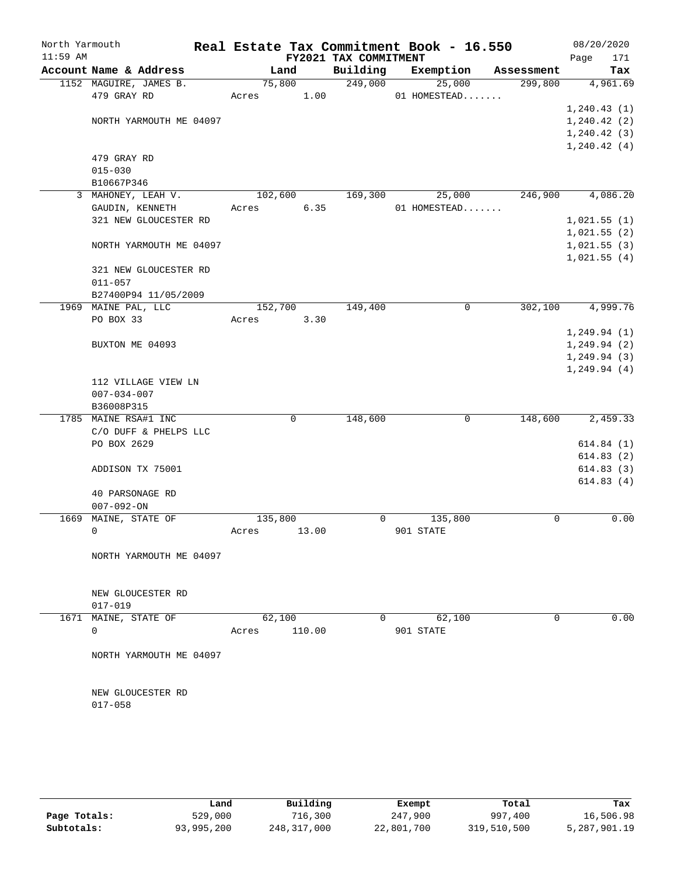| North Yarmouth |                                     |         |             |                       | Real Estate Tax Commitment Book - 16.550 |            | 08/20/2020                   |
|----------------|-------------------------------------|---------|-------------|-----------------------|------------------------------------------|------------|------------------------------|
| $11:59$ AM     |                                     |         |             | FY2021 TAX COMMITMENT |                                          |            | Page<br>171                  |
|                | Account Name & Address              |         | Land        | Building              | Exemption                                | Assessment | Tax                          |
|                | 1152 MAGUIRE, JAMES B.              | 75,800  |             | 249,000               | 25,000                                   | 299,800    | 4,961.69                     |
|                | 479 GRAY RD                         | Acres   | 1.00        |                       | 01 HOMESTEAD                             |            |                              |
|                |                                     |         |             |                       |                                          |            | 1, 240.43(1)                 |
|                | NORTH YARMOUTH ME 04097             |         |             |                       |                                          |            | 1, 240.42(2)<br>1, 240.42(3) |
|                |                                     |         |             |                       |                                          |            | 1, 240.42(4)                 |
|                | 479 GRAY RD                         |         |             |                       |                                          |            |                              |
|                | $015 - 030$                         |         |             |                       |                                          |            |                              |
|                | B10667P346                          |         |             |                       |                                          |            |                              |
|                | 3 MAHONEY, LEAH V.                  | 102,600 |             | 169,300               | 25,000                                   | 246,900    | 4,086.20                     |
|                | GAUDIN, KENNETH                     | Acres   | 6.35        |                       | 01 HOMESTEAD                             |            |                              |
|                | 321 NEW GLOUCESTER RD               |         |             |                       |                                          |            | 1,021.55(1)                  |
|                |                                     |         |             |                       |                                          |            | 1,021.55(2)                  |
|                | NORTH YARMOUTH ME 04097             |         |             |                       |                                          |            | 1,021.55(3)                  |
|                |                                     |         |             |                       |                                          |            | 1,021.55(4)                  |
|                | 321 NEW GLOUCESTER RD               |         |             |                       |                                          |            |                              |
|                | $011 - 057$                         |         |             |                       |                                          |            |                              |
|                | B27400P94 11/05/2009                |         |             |                       |                                          |            |                              |
|                | 1969 MAINE PAL, LLC                 | 152,700 |             | 149,400               | 0                                        | 302,100    | 4,999.76                     |
|                | PO BOX 33                           | Acres   | 3.30        |                       |                                          |            |                              |
|                |                                     |         |             |                       |                                          |            | 1, 249.94(1)                 |
|                | BUXTON ME 04093                     |         |             |                       |                                          |            | 1, 249.94(2)                 |
|                |                                     |         |             |                       |                                          |            | 1, 249.94(3)                 |
|                |                                     |         |             |                       |                                          |            | 1, 249.94(4)                 |
|                | 112 VILLAGE VIEW LN                 |         |             |                       |                                          |            |                              |
|                | $007 - 034 - 007$                   |         |             |                       |                                          |            |                              |
|                | B36008P315                          |         |             |                       |                                          |            |                              |
|                | 1785 MAINE RSA#1 INC                |         | $\mathbf 0$ | 148,600               | $\mathbf 0$                              | 148,600    | 2,459.33                     |
|                | C/O DUFF & PHELPS LLC               |         |             |                       |                                          |            |                              |
|                | PO BOX 2629                         |         |             |                       |                                          |            | 614.84(1)                    |
|                |                                     |         |             |                       |                                          |            | 614.83(2)                    |
|                | ADDISON TX 75001                    |         |             |                       |                                          |            | 614.83(3)                    |
|                |                                     |         |             |                       |                                          |            | 614.83(4)                    |
|                | 40 PARSONAGE RD                     |         |             |                       |                                          |            |                              |
| 1669           | $007 - 092 - ON$<br>MAINE, STATE OF | 135,800 |             | $\overline{0}$        | 135,800                                  | 0          | 0.00                         |
|                | $\mathbf 0$                         | Acres   | 13.00       |                       | 901 STATE                                |            |                              |
|                |                                     |         |             |                       |                                          |            |                              |
|                | NORTH YARMOUTH ME 04097             |         |             |                       |                                          |            |                              |
|                |                                     |         |             |                       |                                          |            |                              |
|                |                                     |         |             |                       |                                          |            |                              |
|                | NEW GLOUCESTER RD                   |         |             |                       |                                          |            |                              |
|                | 017-019                             |         |             |                       |                                          |            |                              |
|                | 1671 MAINE, STATE OF                | 62,100  |             | $\mathbf{0}$          | 62,100                                   | 0          | 0.00                         |
|                | 0                                   | Acres   | 110.00      |                       | 901 STATE                                |            |                              |
|                |                                     |         |             |                       |                                          |            |                              |
|                | NORTH YARMOUTH ME 04097             |         |             |                       |                                          |            |                              |
|                |                                     |         |             |                       |                                          |            |                              |
|                |                                     |         |             |                       |                                          |            |                              |
|                | NEW GLOUCESTER RD                   |         |             |                       |                                          |            |                              |
|                | $017 - 058$                         |         |             |                       |                                          |            |                              |
|                |                                     |         |             |                       |                                          |            |                              |
|                |                                     |         |             |                       |                                          |            |                              |
|                |                                     |         |             |                       |                                          |            |                              |
|                |                                     |         |             |                       |                                          |            |                              |

|              | Land       | Building    | Exempt     | Total       | Tax          |
|--------------|------------|-------------|------------|-------------|--------------|
| Page Totals: | 529,000    | 716,300     | 247,900    | 997,400     | 16,506.98    |
| Subtotals:   | 93,995,200 | 248,317,000 | 22,801,700 | 319,510,500 | 5,287,901.19 |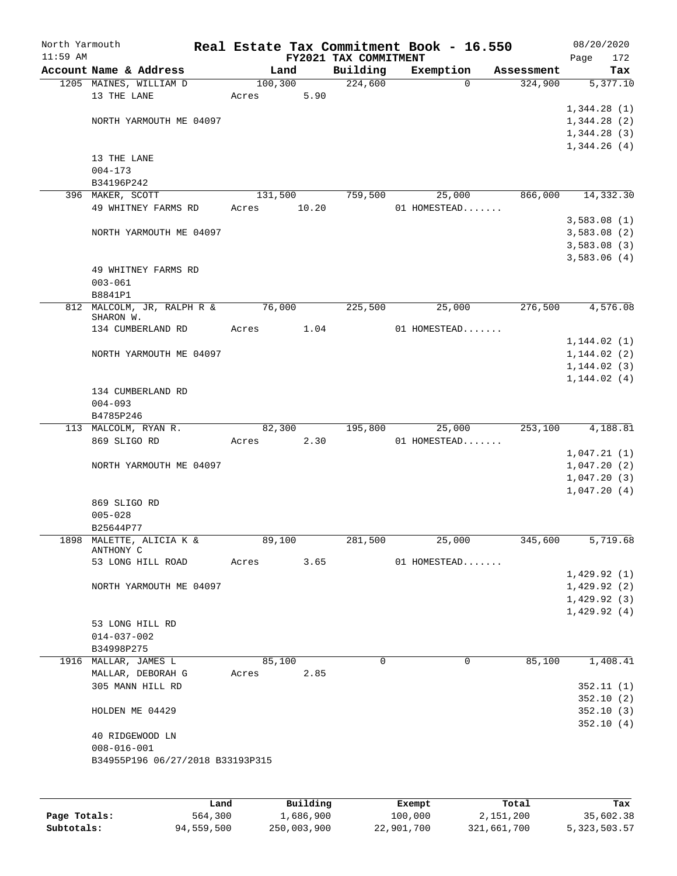| North Yarmouth |                                       |       |          |                                   | Real Estate Tax Commitment Book - 16.550 |            | 08/20/2020         |
|----------------|---------------------------------------|-------|----------|-----------------------------------|------------------------------------------|------------|--------------------|
| $11:59$ AM     | Account Name & Address                |       | Land     | FY2021 TAX COMMITMENT<br>Building | Exemption                                | Assessment | 172<br>Page<br>Tax |
|                | 1205 MAINES, WILLIAM D                |       | 100,300  | 224,600                           | $\mathbf 0$                              | 324,900    | 5,377.10           |
|                | 13 THE LANE                           | Acres | 5.90     |                                   |                                          |            |                    |
|                |                                       |       |          |                                   |                                          |            | 1,344.28(1)        |
|                | NORTH YARMOUTH ME 04097               |       |          |                                   |                                          |            | 1,344.28(2)        |
|                |                                       |       |          |                                   |                                          |            | 1,344.28(3)        |
|                |                                       |       |          |                                   |                                          |            |                    |
|                |                                       |       |          |                                   |                                          |            | 1,344.26(4)        |
|                | 13 THE LANE<br>$004 - 173$            |       |          |                                   |                                          |            |                    |
|                | B34196P242                            |       |          |                                   |                                          |            |                    |
|                | 396 MAKER, SCOTT                      |       | 131,500  | 759,500                           | 25,000                                   | 866,000    | 14,332.30          |
|                | 49 WHITNEY FARMS RD                   | Acres | 10.20    |                                   | 01 HOMESTEAD                             |            |                    |
|                |                                       |       |          |                                   |                                          |            | 3,583.08(1)        |
|                | NORTH YARMOUTH ME 04097               |       |          |                                   |                                          |            | 3,583.08(2)        |
|                |                                       |       |          |                                   |                                          |            | 3,583.08(3)        |
|                |                                       |       |          |                                   |                                          |            |                    |
|                |                                       |       |          |                                   |                                          |            | 3,583.06(4)        |
|                | 49 WHITNEY FARMS RD                   |       |          |                                   |                                          |            |                    |
|                | $003 - 061$                           |       |          |                                   |                                          |            |                    |
|                | B8841P1<br>812 MALCOLM, JR, RALPH R & |       | 76,000   | 225,500                           |                                          | 276,500    | 4,576.08           |
|                | SHARON W.                             |       |          |                                   | 25,000                                   |            |                    |
|                | 134 CUMBERLAND RD                     | Acres | 1.04     |                                   | 01 HOMESTEAD                             |            |                    |
|                |                                       |       |          |                                   |                                          |            | 1,144.02(1)        |
|                | NORTH YARMOUTH ME 04097               |       |          |                                   |                                          |            | 1,144.02(2)        |
|                |                                       |       |          |                                   |                                          |            | 1, 144.02(3)       |
|                |                                       |       |          |                                   |                                          |            | 1, 144.02(4)       |
|                | 134 CUMBERLAND RD                     |       |          |                                   |                                          |            |                    |
|                | $004 - 093$                           |       |          |                                   |                                          |            |                    |
|                | B4785P246                             |       |          |                                   |                                          |            |                    |
|                | 113 MALCOLM, RYAN R.                  |       | 82,300   | 195,800                           | 25,000                                   | 253,100    | 4,188.81           |
|                | 869 SLIGO RD                          | Acres | 2.30     |                                   | 01 HOMESTEAD                             |            |                    |
|                |                                       |       |          |                                   |                                          |            | 1,047.21(1)        |
|                | NORTH YARMOUTH ME 04097               |       |          |                                   |                                          |            | 1,047.20(2)        |
|                |                                       |       |          |                                   |                                          |            | 1,047.20(3)        |
|                |                                       |       |          |                                   |                                          |            | 1,047.20(4)        |
|                | 869 SLIGO RD                          |       |          |                                   |                                          |            |                    |
|                | $005 - 028$                           |       |          |                                   |                                          |            |                    |
|                | B25644P77                             |       |          |                                   |                                          |            |                    |
|                | 1898 MALETTE, ALICIA K &              |       | 89,100   | 281,500                           | 25,000                                   | 345,600    | 5,719.68           |
|                | ANTHONY C                             |       |          |                                   |                                          |            |                    |
|                | 53 LONG HILL ROAD                     | Acres | 3.65     |                                   | 01 HOMESTEAD                             |            |                    |
|                |                                       |       |          |                                   |                                          |            | 1,429.92(1)        |
|                | NORTH YARMOUTH ME 04097               |       |          |                                   |                                          |            | 1,429.92(2)        |
|                |                                       |       |          |                                   |                                          |            | 1,429.92(3)        |
|                |                                       |       |          |                                   |                                          |            | 1,429.92(4)        |
|                | 53 LONG HILL RD                       |       |          |                                   |                                          |            |                    |
|                | $014 - 037 - 002$                     |       |          |                                   |                                          |            |                    |
|                | B34998P275                            |       |          |                                   |                                          |            |                    |
|                | 1916 MALLAR, JAMES L                  |       | 85,100   | 0                                 | $\mathbf 0$                              | 85,100     | 1,408.41           |
|                | MALLAR, DEBORAH G                     | Acres | 2.85     |                                   |                                          |            |                    |
|                | 305 MANN HILL RD                      |       |          |                                   |                                          |            | 352.11(1)          |
|                |                                       |       |          |                                   |                                          |            | 352.10 (2)         |
|                | HOLDEN ME 04429                       |       |          |                                   |                                          |            | 352.10(3)          |
|                |                                       |       |          |                                   |                                          |            | 352.10(4)          |
|                | 40 RIDGEWOOD LN                       |       |          |                                   |                                          |            |                    |
|                | $008 - 016 - 001$                     |       |          |                                   |                                          |            |                    |
|                | B34955P196 06/27/2018 B33193P315      |       |          |                                   |                                          |            |                    |
|                |                                       |       |          |                                   |                                          |            |                    |
|                |                                       |       |          |                                   |                                          |            |                    |
|                |                                       |       |          |                                   |                                          |            |                    |
|                | Land                                  |       | Building |                                   | Exempt                                   | Total      | Tax                |

|              | uanu       | <b>DULLULIN</b> | <b>BACILDL</b> | TOLAT       | ⊥a∧          |
|--------------|------------|-----------------|----------------|-------------|--------------|
| Page Totals: | 564,300    | 1,686,900       | 100,000        | 2,151,200   | 35,602.38    |
| Subtotals:   | 94,559,500 | 250,003,900     | 22,901,700     | 321,661,700 | 5,323,503.57 |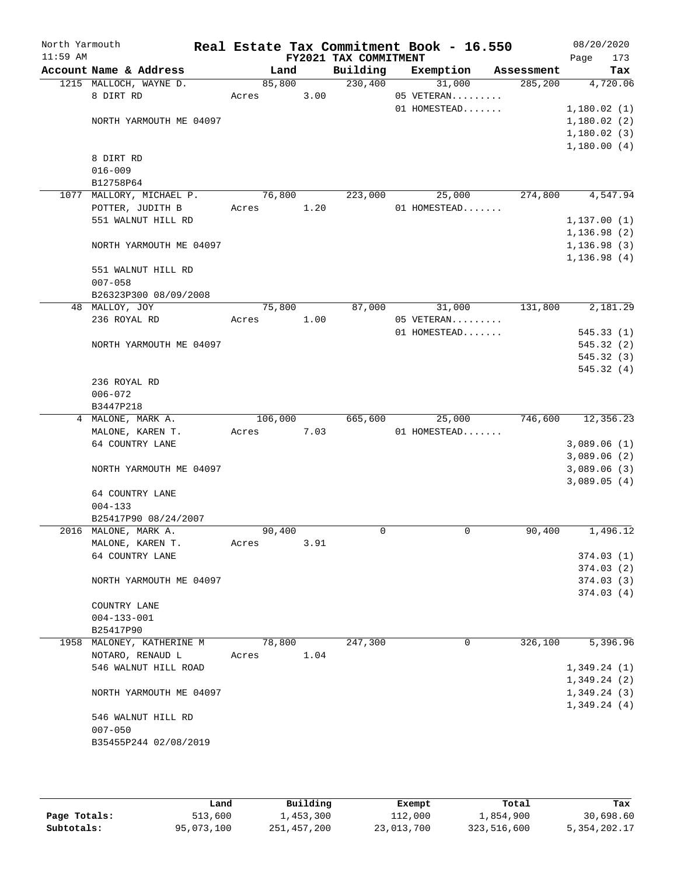| North Yarmouth |                           |         |      |                       | Real Estate Tax Commitment Book - 16.550 |            | 08/20/2020   |
|----------------|---------------------------|---------|------|-----------------------|------------------------------------------|------------|--------------|
| $11:59$ AM     |                           |         |      | FY2021 TAX COMMITMENT |                                          |            | Page<br>173  |
|                | Account Name & Address    | Land    |      | Building              | Exemption                                | Assessment | Tax          |
|                | 1215 MALLOCH, WAYNE D.    | 85,800  |      | 230,400               | 31,000                                   | 285, 200   | 4,720.06     |
|                | 8 DIRT RD                 | Acres   | 3.00 |                       | 05 VETERAN                               |            |              |
|                |                           |         |      |                       | 01 HOMESTEAD                             |            | 1,180.02(1)  |
|                | NORTH YARMOUTH ME 04097   |         |      |                       |                                          |            | 1,180.02(2)  |
|                |                           |         |      |                       |                                          |            | 1,180.02(3)  |
|                |                           |         |      |                       |                                          |            | 1,180.00(4)  |
|                | 8 DIRT RD                 |         |      |                       |                                          |            |              |
|                | $016 - 009$               |         |      |                       |                                          |            |              |
|                | B12758P64                 |         |      |                       |                                          |            |              |
| 1077           | MALLORY, MICHAEL P.       | 76,800  |      | 223,000               | 25,000                                   | 274,800    | 4,547.94     |
|                | POTTER, JUDITH B          | Acres   | 1.20 |                       | 01 HOMESTEAD                             |            |              |
|                | 551 WALNUT HILL RD        |         |      |                       |                                          |            | 1,137.00(1)  |
|                |                           |         |      |                       |                                          |            | 1, 136.98(2) |
|                | NORTH YARMOUTH ME 04097   |         |      |                       |                                          |            | 1, 136.98(3) |
|                |                           |         |      |                       |                                          |            | 1, 136.98(4) |
|                | 551 WALNUT HILL RD        |         |      |                       |                                          |            |              |
|                | $007 - 058$               |         |      |                       |                                          |            |              |
|                | B26323P300 08/09/2008     |         |      |                       |                                          |            |              |
|                | 48 MALLOY, JOY            | 75,800  |      | 87,000                | 31,000                                   | 131,800    | 2,181.29     |
|                | 236 ROYAL RD              | Acres   | 1.00 |                       | 05 VETERAN                               |            |              |
|                |                           |         |      |                       | 01 HOMESTEAD                             |            | 545.33(1)    |
|                | NORTH YARMOUTH ME 04097   |         |      |                       |                                          |            | 545.32(2)    |
|                |                           |         |      |                       |                                          |            | 545.32(3)    |
|                |                           |         |      |                       |                                          |            | 545.32(4)    |
|                | 236 ROYAL RD              |         |      |                       |                                          |            |              |
|                | $006 - 072$               |         |      |                       |                                          |            |              |
|                | B3447P218                 |         |      |                       |                                          |            |              |
|                | 4 MALONE, MARK A.         | 106,000 |      | 665,600               | 25,000                                   | 746,600    | 12,356.23    |
|                | MALONE, KAREN T.          | Acres   | 7.03 |                       | 01 HOMESTEAD                             |            |              |
|                | 64 COUNTRY LANE           |         |      |                       |                                          |            | 3,089.06(1)  |
|                |                           |         |      |                       |                                          |            | 3,089.06(2)  |
|                | NORTH YARMOUTH ME 04097   |         |      |                       |                                          |            | 3,089.06(3)  |
|                |                           |         |      |                       |                                          |            | 3,089.05(4)  |
|                | 64 COUNTRY LANE           |         |      |                       |                                          |            |              |
|                | $004 - 133$               |         |      |                       |                                          |            |              |
|                | B25417P90 08/24/2007      |         |      |                       |                                          |            |              |
|                | 2016 MALONE, MARK A.      | 90,400  |      | 0                     | 0                                        | 90,400     | 1,496.12     |
|                | MALONE, KAREN T.          | Acres   | 3.91 |                       |                                          |            |              |
|                | 64 COUNTRY LANE           |         |      |                       |                                          |            | 374.03(1)    |
|                |                           |         |      |                       |                                          |            | 374.03(2)    |
|                | NORTH YARMOUTH ME 04097   |         |      |                       |                                          |            | 374.03(3)    |
|                |                           |         |      |                       |                                          |            | 374.03(4)    |
|                | COUNTRY LANE              |         |      |                       |                                          |            |              |
|                | $004 - 133 - 001$         |         |      |                       |                                          |            |              |
|                | B25417P90                 |         |      |                       |                                          |            |              |
|                | 1958 MALONEY, KATHERINE M | 78,800  |      | 247,300               | 0                                        | 326,100    | 5,396.96     |
|                | NOTARO, RENAUD L          | Acres   | 1.04 |                       |                                          |            |              |
|                | 546 WALNUT HILL ROAD      |         |      |                       |                                          |            | 1,349.24(1)  |
|                |                           |         |      |                       |                                          |            | 1,349.24(2)  |
|                |                           |         |      |                       |                                          |            |              |
|                | NORTH YARMOUTH ME 04097   |         |      |                       |                                          |            | 1,349.24(3)  |
|                |                           |         |      |                       |                                          |            | 1,349.24(4)  |
|                | 546 WALNUT HILL RD        |         |      |                       |                                          |            |              |
|                | $007 - 050$               |         |      |                       |                                          |            |              |
|                | B35455P244 02/08/2019     |         |      |                       |                                          |            |              |
|                |                           |         |      |                       |                                          |            |              |

|              | Land       | Building    | Exempt     | Total       | Tax            |
|--------------|------------|-------------|------------|-------------|----------------|
| Page Totals: | 513,600    | 1,453,300   | 112,000    | 1,854,900   | 30,698.60      |
| Subtotals:   | 95,073,100 | 251,457,200 | 23,013,700 | 323,516,600 | 5, 354, 202.17 |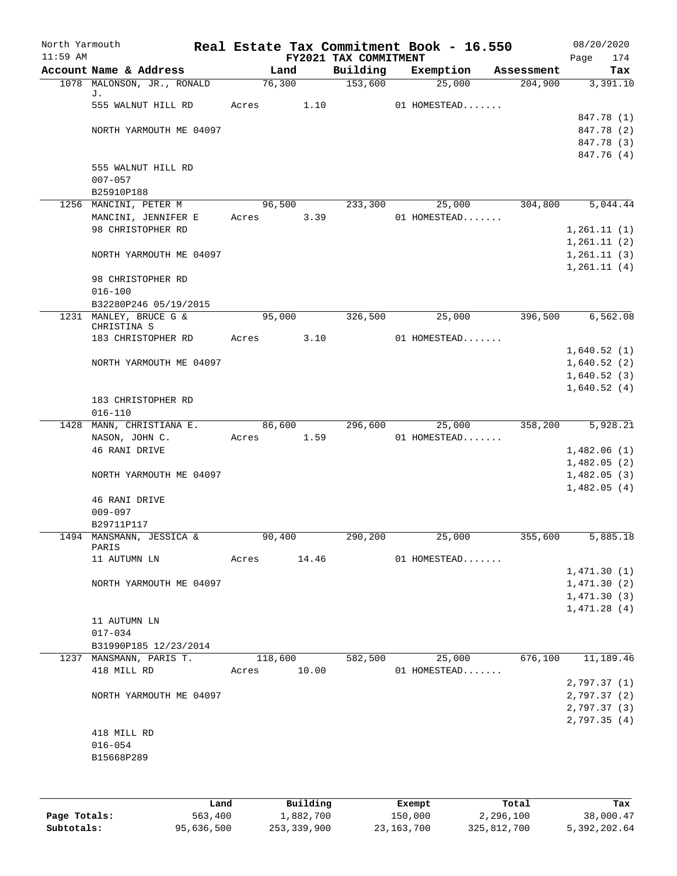| North Yarmouth<br>$11:59$ AM |                                          |             |                | FY2021 TAX COMMITMENT | Real Estate Tax Commitment Book - 16.550 |            | 08/20/2020<br>174<br>Page  |
|------------------------------|------------------------------------------|-------------|----------------|-----------------------|------------------------------------------|------------|----------------------------|
|                              | Account Name & Address                   |             | Land           | Building              | Exemption                                | Assessment | Tax                        |
|                              | 1078 MALONSON, JR., RONALD               |             | 76,300         | 153,600               | 25,000                                   | 204,900    | 3,391.10                   |
|                              | J.<br>555 WALNUT HILL RD                 | Acres       | 1.10           |                       | 01 HOMESTEAD                             |            |                            |
|                              |                                          |             |                |                       |                                          |            | 847.78 (1)                 |
|                              | NORTH YARMOUTH ME 04097                  |             |                |                       |                                          |            | 847.78 (2)                 |
|                              |                                          |             |                |                       |                                          |            | 847.78 (3)                 |
|                              |                                          |             |                |                       |                                          |            | 847.76 (4)                 |
|                              | 555 WALNUT HILL RD                       |             |                |                       |                                          |            |                            |
|                              | $007 - 057$                              |             |                |                       |                                          |            |                            |
|                              | B25910P188                               |             |                |                       |                                          |            |                            |
|                              | 1256 MANCINI, PETER M                    |             | 96,500<br>3.39 | 233,300               | 25,000                                   | 304,800    | 5,044.44                   |
|                              | MANCINI, JENNIFER E<br>98 CHRISTOPHER RD | Acres       |                |                       | 01 HOMESTEAD                             |            | 1,261.11(1)                |
|                              |                                          |             |                |                       |                                          |            | 1, 261.11(2)               |
|                              | NORTH YARMOUTH ME 04097                  |             |                |                       |                                          |            | 1,261.11(3)                |
|                              |                                          |             |                |                       |                                          |            | 1, 261.11(4)               |
|                              | 98 CHRISTOPHER RD                        |             |                |                       |                                          |            |                            |
|                              | $016 - 100$                              |             |                |                       |                                          |            |                            |
|                              | B32280P246 05/19/2015                    |             |                |                       |                                          |            |                            |
|                              | 1231 MANLEY, BRUCE G &                   |             | 95,000         | 326,500               | 25,000                                   | 396,500    | 6, 562.08                  |
|                              | CHRISTINA S<br>183 CHRISTOPHER RD        | Acres       | 3.10           |                       | 01 HOMESTEAD                             |            |                            |
|                              |                                          |             |                |                       |                                          |            | 1,640.52(1)                |
|                              | NORTH YARMOUTH ME 04097                  |             |                |                       |                                          |            | 1,640.52(2)                |
|                              |                                          |             |                |                       |                                          |            | 1,640.52(3)                |
|                              |                                          |             |                |                       |                                          |            | 1,640.52(4)                |
|                              | 183 CHRISTOPHER RD<br>$016 - 110$        |             |                |                       |                                          |            |                            |
|                              | 1428 MANN, CHRISTIANA E.                 |             | 86,600         | 296,600               | 25,000                                   | 358,200    | 5,928.21                   |
|                              | NASON, JOHN C.                           | Acres       | 1.59           |                       | 01 HOMESTEAD                             |            |                            |
|                              | 46 RANI DRIVE                            |             |                |                       |                                          |            | 1,482.06(1)<br>1,482.05(2) |
|                              | NORTH YARMOUTH ME 04097                  |             |                |                       |                                          |            | 1,482.05(3)                |
|                              |                                          |             |                |                       |                                          |            | 1,482.05(4)                |
|                              | 46 RANI DRIVE                            |             |                |                       |                                          |            |                            |
|                              | $009 - 097$                              |             |                |                       |                                          |            |                            |
|                              | B29711P117                               |             |                |                       |                                          |            |                            |
|                              | 1494 MANSMANN, JESSICA &<br>PARIS        | 90,400      |                | 290,200               | 25,000                                   | 355,600    | 5,885.18                   |
|                              | 11 AUTUMN LN                             | Acres 14.46 |                |                       | 01 HOMESTEAD                             |            |                            |
|                              |                                          |             |                |                       |                                          |            | 1,471.30(1)                |
|                              | NORTH YARMOUTH ME 04097                  |             |                |                       |                                          |            | 1,471.30(2)                |
|                              |                                          |             |                |                       |                                          |            | 1,471.30(3)                |
|                              |                                          |             |                |                       |                                          |            | 1,471.28(4)                |
|                              | 11 AUTUMN LN                             |             |                |                       |                                          |            |                            |
|                              | $017 - 034$<br>B31990P185 12/23/2014     |             |                |                       |                                          |            |                            |
|                              | 1237 MANSMANN, PARIS T.                  |             |                |                       | 118,600 582,500 25,000 676,100 11,189.46 |            |                            |
|                              | 418 MILL RD                              |             | Acres 10.00    |                       | 01 HOMESTEAD                             |            |                            |
|                              |                                          |             |                |                       |                                          |            | 2,797.37(1)                |
|                              | NORTH YARMOUTH ME 04097                  |             |                |                       |                                          |            | 2,797.37(2)                |
|                              |                                          |             |                |                       |                                          |            | 2,797.37(3)                |
|                              |                                          |             |                |                       |                                          |            | 2,797.35(4)                |
|                              | 418 MILL RD                              |             |                |                       |                                          |            |                            |
|                              | $016 - 054$<br>B15668P289                |             |                |                       |                                          |            |                            |
|                              |                                          |             |                |                       |                                          |            |                            |
|                              |                                          |             |                |                       |                                          |            |                            |
|                              |                                          |             |                |                       |                                          |            |                            |

|              | Land       | Building    | Exempt       | Total       | Tax          |
|--------------|------------|-------------|--------------|-------------|--------------|
| Page Totals: | 563,400    | 1,882,700   | 150,000      | 2,296,100   | 38,000.47    |
| Subtotals:   | 95,636,500 | 253,339,900 | 23, 163, 700 | 325,812,700 | 5,392,202.64 |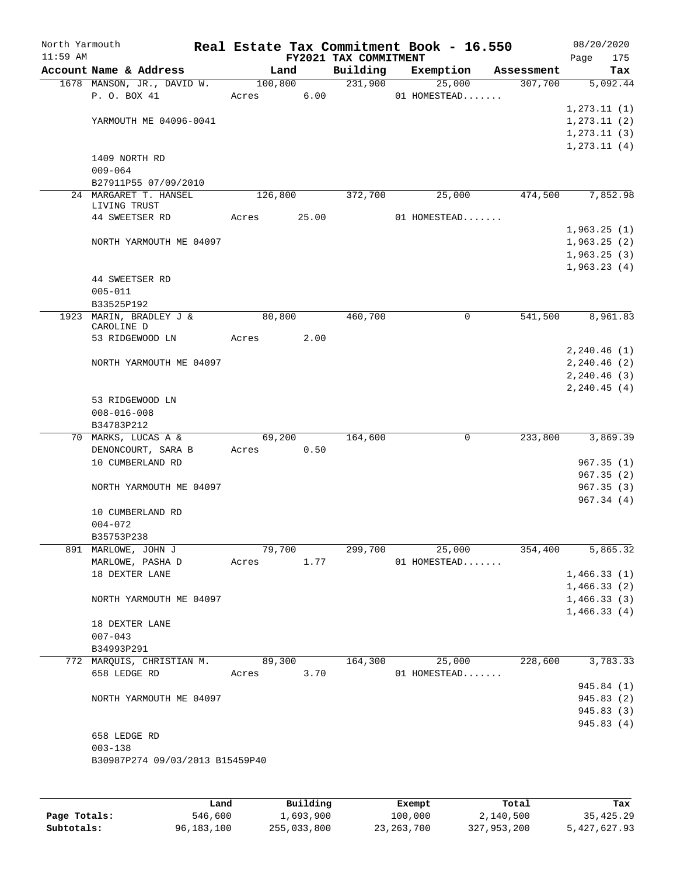| North Yarmouth |                                       |            |        |                                   | Real Estate Tax Commitment Book - 16.550 |            |                            | 08/20/2020               |
|----------------|---------------------------------------|------------|--------|-----------------------------------|------------------------------------------|------------|----------------------------|--------------------------|
| $11:59$ AM     | Account Name & Address                | Land       |        | FY2021 TAX COMMITMENT<br>Building | Exemption                                | Assessment | Page                       | 175<br>Tax               |
|                | 1678 MANSON, JR., DAVID W.            | 100,800    |        | 231,900                           | 25,000                                   | 307,700    |                            | 5,092.44                 |
|                | P. O. BOX 41                          | Acres      | 6.00   |                                   | 01 HOMESTEAD                             |            |                            |                          |
|                |                                       |            |        |                                   |                                          |            | 1, 273.11(1)               |                          |
|                | YARMOUTH ME 04096-0041                |            |        |                                   |                                          |            | 1, 273.11(2)               |                          |
|                |                                       |            |        |                                   |                                          |            | 1, 273.11(3)               |                          |
|                |                                       |            |        |                                   |                                          |            | 1, 273.11(4)               |                          |
|                | 1409 NORTH RD<br>$009 - 064$          |            |        |                                   |                                          |            |                            |                          |
|                | B27911P55 07/09/2010                  |            |        |                                   |                                          |            |                            |                          |
|                | 24 MARGARET T. HANSEL                 | 126,800    |        | 372,700                           | 25,000                                   | 474,500    |                            | 7,852.98                 |
|                | LIVING TRUST                          |            |        |                                   |                                          |            |                            |                          |
|                | 44 SWEETSER RD                        | Acres      | 25.00  |                                   | 01 HOMESTEAD                             |            |                            |                          |
|                | NORTH YARMOUTH ME 04097               |            |        |                                   |                                          |            | 1,963.25(1)<br>1,963.25(2) |                          |
|                |                                       |            |        |                                   |                                          |            | 1,963.25(3)                |                          |
|                |                                       |            |        |                                   |                                          |            | 1,963.23(4)                |                          |
|                | 44 SWEETSER RD                        |            |        |                                   |                                          |            |                            |                          |
|                | $005 - 011$                           |            |        |                                   |                                          |            |                            |                          |
|                | B33525P192                            |            |        |                                   |                                          |            |                            |                          |
|                | 1923 MARIN, BRADLEY J &<br>CAROLINE D | 80,800     |        | 460,700                           | $\mathbf 0$                              | 541,500    |                            | 8,961.83                 |
|                | 53 RIDGEWOOD LN                       | Acres      | 2.00   |                                   |                                          |            |                            |                          |
|                |                                       |            |        |                                   |                                          |            | 2, 240.46(1)               |                          |
|                | NORTH YARMOUTH ME 04097               |            |        |                                   |                                          |            | 2, 240.46 (2)              |                          |
|                |                                       |            |        |                                   |                                          |            | 2, 240.46(3)               |                          |
|                |                                       |            |        |                                   |                                          |            | 2, 240.45(4)               |                          |
|                | 53 RIDGEWOOD LN<br>$008 - 016 - 008$  |            |        |                                   |                                          |            |                            |                          |
|                | B34783P212                            |            |        |                                   |                                          |            |                            |                          |
|                | 70 MARKS, LUCAS A &                   | 69,200     |        | 164,600                           | 0                                        | 233,800    |                            | 3,869.39                 |
|                | DENONCOURT, SARA B                    | Acres      | 0.50   |                                   |                                          |            |                            |                          |
|                | 10 CUMBERLAND RD                      |            |        |                                   |                                          |            |                            | 967.35(1)                |
|                |                                       |            |        |                                   |                                          |            |                            | 967.35(2)                |
|                | NORTH YARMOUTH ME 04097               |            |        |                                   |                                          |            |                            | 967.35(3)                |
|                | 10 CUMBERLAND RD                      |            |        |                                   |                                          |            |                            | 967.34(4)                |
|                | $004 - 072$                           |            |        |                                   |                                          |            |                            |                          |
|                | B35753P238                            |            |        |                                   |                                          |            |                            |                          |
|                | 891 MARLOWE, JOHN J                   |            | 79,700 | 299,700                           | 25,000                                   | 354,400    |                            | 5,865.32                 |
|                | MARLOWE, PASHA D                      | Acres 1.77 |        |                                   | 01 HOMESTEAD                             |            |                            |                          |
|                | 18 DEXTER LANE                        |            |        |                                   |                                          |            | 1,466.33(1)                |                          |
|                | NORTH YARMOUTH ME 04097               |            |        |                                   |                                          |            | 1,466.33(2)<br>1,466.33(3) |                          |
|                |                                       |            |        |                                   |                                          |            | 1,466.33(4)                |                          |
|                | 18 DEXTER LANE                        |            |        |                                   |                                          |            |                            |                          |
|                | $007 - 043$                           |            |        |                                   |                                          |            |                            |                          |
|                | B34993P291                            |            |        |                                   |                                          |            |                            |                          |
|                | 772 MARQUIS, CHRISTIAN M.             | 89,300     |        |                                   | 164,300 25,000                           | 228,600    |                            | 3,783.33                 |
|                | 658 LEDGE RD                          | Acres 3.70 |        |                                   | 01 HOMESTEAD                             |            |                            |                          |
|                | NORTH YARMOUTH ME 04097               |            |        |                                   |                                          |            |                            | 945.84 (1)<br>945.83 (2) |
|                |                                       |            |        |                                   |                                          |            |                            | 945.83 (3)               |
|                |                                       |            |        |                                   |                                          |            |                            | 945.83 (4)               |
|                | 658 LEDGE RD                          |            |        |                                   |                                          |            |                            |                          |
|                | $003 - 138$                           |            |        |                                   |                                          |            |                            |                          |
|                | B30987P274 09/03/2013 B15459P40       |            |        |                                   |                                          |            |                            |                          |
|                |                                       |            |        |                                   |                                          |            |                            |                          |
|                |                                       |            |        |                                   |                                          |            |                            |                          |

|              | Land       | Building    | Exempt       | Total       | Tax          |
|--------------|------------|-------------|--------------|-------------|--------------|
| Page Totals: | 546,600    | 1,693,900   | 100,000      | 2,140,500   | 35,425.29    |
| Subtotals:   | 96,183,100 | 255,033,800 | 23, 263, 700 | 327,953,200 | 5,427,627.93 |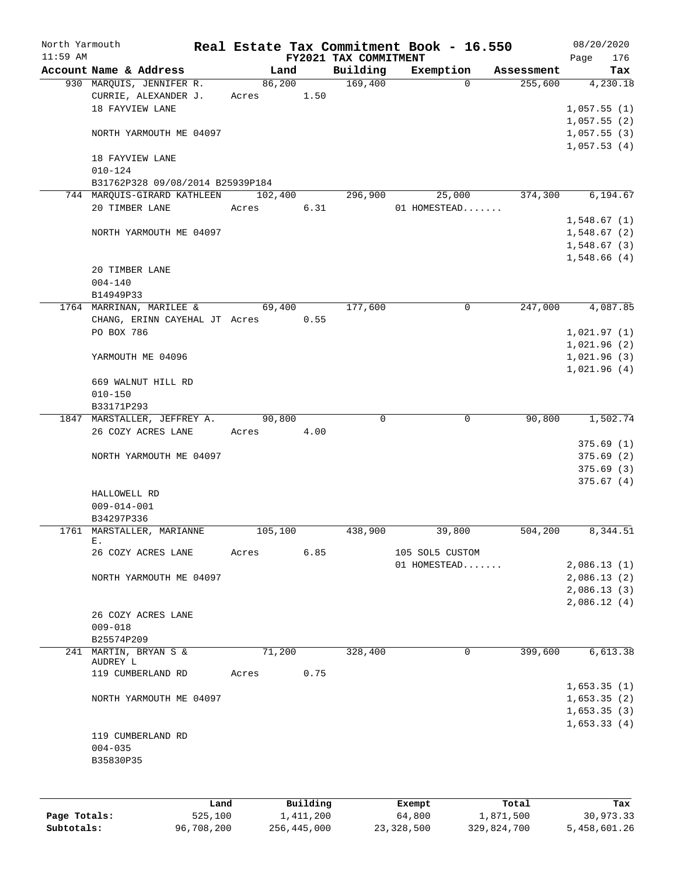| North Yarmouth<br>$11:59$ AM |                                  |         |           |                                   | Real Estate Tax Commitment Book - 16.550 |            | 08/20/2020         |
|------------------------------|----------------------------------|---------|-----------|-----------------------------------|------------------------------------------|------------|--------------------|
|                              | Account Name & Address           | Land    |           | FY2021 TAX COMMITMENT<br>Building | Exemption                                | Assessment | 176<br>Page<br>Tax |
|                              | 930 MARQUIS, JENNIFER R.         | 86,200  |           | 169,400                           | $\Omega$                                 | 255,600    | 4,230.18           |
|                              | CURRIE, ALEXANDER J.             | Acres   | 1.50      |                                   |                                          |            |                    |
|                              | 18 FAYVIEW LANE                  |         |           |                                   |                                          |            | 1,057.55(1)        |
|                              |                                  |         |           |                                   |                                          |            |                    |
|                              |                                  |         |           |                                   |                                          |            | 1,057.55(2)        |
|                              | NORTH YARMOUTH ME 04097          |         |           |                                   |                                          |            | 1,057.55(3)        |
|                              |                                  |         |           |                                   |                                          |            | 1,057.53(4)        |
|                              | 18 FAYVIEW LANE                  |         |           |                                   |                                          |            |                    |
|                              | $010 - 124$                      |         |           |                                   |                                          |            |                    |
|                              | B31762P328 09/08/2014 B25939P184 |         |           |                                   |                                          |            |                    |
|                              | 744 MARQUIS-GIRARD KATHLEEN      | 102,400 |           | 296,900                           | 25,000                                   | 374,300    | 6,194.67           |
|                              | 20 TIMBER LANE                   | Acres   | 6.31      |                                   | 01 HOMESTEAD                             |            |                    |
|                              |                                  |         |           |                                   |                                          |            | 1,548.67(1)        |
|                              | NORTH YARMOUTH ME 04097          |         |           |                                   |                                          |            | 1,548.67(2)        |
|                              |                                  |         |           |                                   |                                          |            | 1,548.67(3)        |
|                              |                                  |         |           |                                   |                                          |            | 1,548.66(4)        |
|                              | 20 TIMBER LANE                   |         |           |                                   |                                          |            |                    |
|                              | $004 - 140$                      |         |           |                                   |                                          |            |                    |
|                              | B14949P33                        |         |           |                                   |                                          |            |                    |
|                              | 1764 MARRINAN, MARILEE &         | 69,400  |           | 177,600                           | 0                                        | 247,000    | 4,087.85           |
|                              | CHANG, ERINN CAYEHAL JT Acres    |         | 0.55      |                                   |                                          |            |                    |
|                              | PO BOX 786                       |         |           |                                   |                                          |            | 1,021.97(1)        |
|                              |                                  |         |           |                                   |                                          |            | 1,021.96(2)        |
|                              | YARMOUTH ME 04096                |         |           |                                   |                                          |            | 1,021.96(3)        |
|                              |                                  |         |           |                                   |                                          |            | 1,021.96(4)        |
|                              | 669 WALNUT HILL RD               |         |           |                                   |                                          |            |                    |
|                              | $010 - 150$                      |         |           |                                   |                                          |            |                    |
|                              | B33171P293                       |         |           |                                   |                                          |            |                    |
|                              |                                  | 90,800  |           | $\Omega$                          | $\mathbf 0$                              | 90,800     | 1,502.74           |
|                              | 1847 MARSTALLER, JEFFREY A.      |         |           |                                   |                                          |            |                    |
|                              | 26 COZY ACRES LANE               | Acres   | 4.00      |                                   |                                          |            |                    |
|                              |                                  |         |           |                                   |                                          |            | 375.69(1)          |
|                              | NORTH YARMOUTH ME 04097          |         |           |                                   |                                          |            | 375.69(2)          |
|                              |                                  |         |           |                                   |                                          |            | 375.69(3)          |
|                              |                                  |         |           |                                   |                                          |            | 375.67(4)          |
|                              | HALLOWELL RD                     |         |           |                                   |                                          |            |                    |
|                              | $009 - 014 - 001$                |         |           |                                   |                                          |            |                    |
|                              | B34297P336                       |         |           |                                   |                                          |            |                    |
|                              | 1761 MARSTALLER, MARIANNE        | 105,100 |           | 438,900                           | 39,800                                   | 504,200    | 8,344.51           |
|                              | Ε.                               |         | 6.85      |                                   |                                          |            |                    |
|                              | 26 COZY ACRES LANE               | Acres   |           |                                   | 105 SOL5 CUSTOM                          |            |                    |
|                              |                                  |         |           |                                   | 01 HOMESTEAD                             |            | 2,086.13(1)        |
|                              | NORTH YARMOUTH ME 04097          |         |           |                                   |                                          |            | 2,086.13(2)        |
|                              |                                  |         |           |                                   |                                          |            | 2,086.13(3)        |
|                              |                                  |         |           |                                   |                                          |            | 2,086.12(4)        |
|                              | 26 COZY ACRES LANE               |         |           |                                   |                                          |            |                    |
|                              | $009 - 018$                      |         |           |                                   |                                          |            |                    |
|                              | B25574P209                       |         |           |                                   |                                          |            |                    |
|                              | 241 MARTIN, BRYAN S &            | 71,200  |           | 328,400                           | 0                                        | 399,600    | 6,613.38           |
|                              | AUDREY L                         |         |           |                                   |                                          |            |                    |
|                              | 119 CUMBERLAND RD                | Acres   | 0.75      |                                   |                                          |            |                    |
|                              |                                  |         |           |                                   |                                          |            | 1,653.35(1)        |
|                              | NORTH YARMOUTH ME 04097          |         |           |                                   |                                          |            | 1,653.35(2)        |
|                              |                                  |         |           |                                   |                                          |            | 1,653.35(3)        |
|                              |                                  |         |           |                                   |                                          |            | 1,653.33(4)        |
|                              | 119 CUMBERLAND RD                |         |           |                                   |                                          |            |                    |
|                              | $004 - 035$                      |         |           |                                   |                                          |            |                    |
|                              | B35830P35                        |         |           |                                   |                                          |            |                    |
|                              |                                  |         |           |                                   |                                          |            |                    |
|                              |                                  |         |           |                                   |                                          |            |                    |
|                              |                                  |         |           |                                   |                                          |            |                    |
|                              | Land                             |         | Building  |                                   | Exempt                                   | Total      | Tax                |
| Page Totals:                 | 525,100                          |         | 1,411,200 |                                   | 64,800                                   | 1,871,500  | 30,973.33          |

**Subtotals:** 96,708,200 256,445,000 23,328,500 329,824,700 5,458,601.26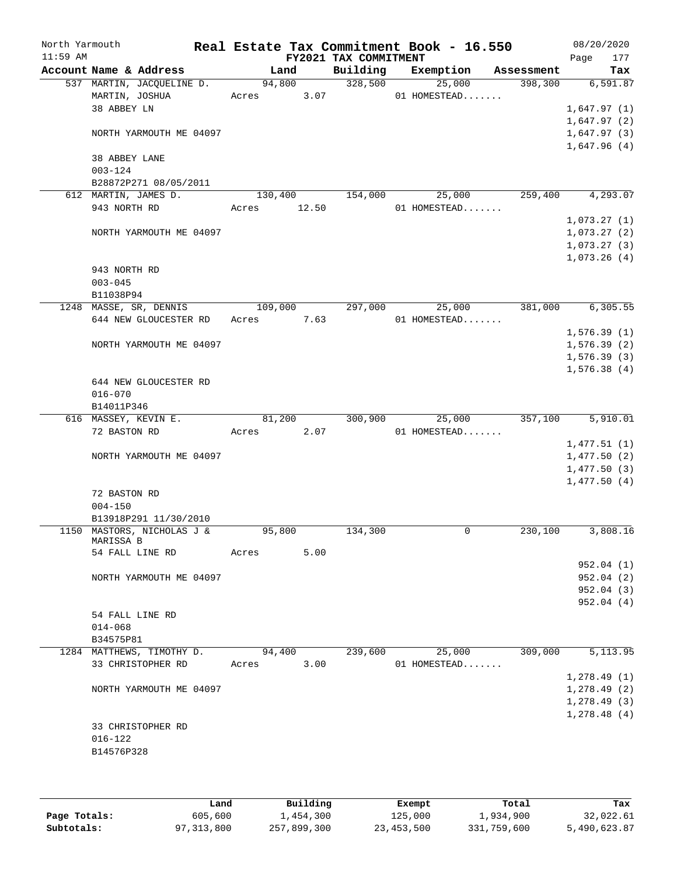| North Yarmouth |                 |                                                     |            |        | Real Estate Tax Commitment Book - 16.550 |              |             |                       |      | 08/20/2020                 |
|----------------|-----------------|-----------------------------------------------------|------------|--------|------------------------------------------|--------------|-------------|-----------------------|------|----------------------------|
| $11:59$ AM     |                 |                                                     |            |        | FY2021 TAX COMMITMENT                    |              |             |                       | Page | 177                        |
|                |                 | Account Name & Address<br>537 MARTIN, JACQUELINE D. | 94,800     | Land   | Building<br>328,500                      | Exemption    | 25,000      | Assessment<br>398,300 |      | Tax<br>6,591.87            |
|                | MARTIN, JOSHUA  |                                                     | Acres 3.07 |        |                                          | 01 HOMESTEAD |             |                       |      |                            |
|                | 38 ABBEY LN     |                                                     |            |        |                                          |              |             |                       |      | 1,647.97(1)                |
|                |                 |                                                     |            |        |                                          |              |             |                       |      | 1,647.97(2)                |
|                |                 | NORTH YARMOUTH ME 04097                             |            |        |                                          |              |             |                       |      | 1,647.97(3)                |
|                |                 |                                                     |            |        |                                          |              |             |                       |      | 1,647.96(4)                |
|                | 38 ABBEY LANE   |                                                     |            |        |                                          |              |             |                       |      |                            |
|                | $003 - 124$     |                                                     |            |        |                                          |              |             |                       |      |                            |
|                |                 | B28872P271 08/05/2011                               |            |        |                                          |              |             |                       |      |                            |
|                |                 | 612 MARTIN, JAMES D.                                | 130,400    |        | 154,000                                  |              | 25,000      | 259,400               |      | 4, 293.07                  |
|                | 943 NORTH RD    |                                                     | Acres      | 12.50  |                                          | 01 HOMESTEAD |             |                       |      |                            |
|                |                 |                                                     |            |        |                                          |              |             |                       |      | 1,073.27(1)                |
|                |                 | NORTH YARMOUTH ME 04097                             |            |        |                                          |              |             |                       |      | 1,073.27(2)                |
|                |                 |                                                     |            |        |                                          |              |             |                       |      | 1,073.27(3)                |
|                | 943 NORTH RD    |                                                     |            |        |                                          |              |             |                       |      | 1,073.26(4)                |
|                | $003 - 045$     |                                                     |            |        |                                          |              |             |                       |      |                            |
|                | B11038P94       |                                                     |            |        |                                          |              |             |                       |      |                            |
|                |                 | 1248 MASSE, SR, DENNIS                              | 109,000    |        | 297,000                                  |              | 25,000      | 381,000               |      | 6,305.55                   |
|                |                 | 644 NEW GLOUCESTER RD                               | Acres 7.63 |        |                                          | 01 HOMESTEAD |             |                       |      |                            |
|                |                 |                                                     |            |        |                                          |              |             |                       |      | 1,576.39(1)                |
|                |                 | NORTH YARMOUTH ME 04097                             |            |        |                                          |              |             |                       |      | 1,576.39(2)                |
|                |                 |                                                     |            |        |                                          |              |             |                       |      | 1,576.39(3)                |
|                |                 |                                                     |            |        |                                          |              |             |                       |      | 1,576.38(4)                |
|                |                 | 644 NEW GLOUCESTER RD                               |            |        |                                          |              |             |                       |      |                            |
|                | $016 - 070$     |                                                     |            |        |                                          |              |             |                       |      |                            |
|                | B14011P346      |                                                     |            |        |                                          |              |             |                       |      |                            |
|                |                 | 616 MASSEY, KEVIN E.                                |            | 81,200 | 300,900                                  |              | 25,000      | 357,100               |      | 5,910.01                   |
|                | 72 BASTON RD    |                                                     | Acres      | 2.07   |                                          | 01 HOMESTEAD |             |                       |      |                            |
|                |                 |                                                     |            |        |                                          |              |             |                       |      | 1,477.51(1)                |
|                |                 | NORTH YARMOUTH ME 04097                             |            |        |                                          |              |             |                       |      | 1,477.50(2)<br>1,477.50(3) |
|                |                 |                                                     |            |        |                                          |              |             |                       |      | 1,477.50(4)                |
|                | 72 BASTON RD    |                                                     |            |        |                                          |              |             |                       |      |                            |
|                | $004 - 150$     |                                                     |            |        |                                          |              |             |                       |      |                            |
|                |                 | B13918P291 11/30/2010                               |            |        |                                          |              |             |                       |      |                            |
|                |                 | 1150 MASTORS, NICHOLAS J &                          | 95,800     |        | 134,300                                  |              | $\mathbf 0$ | 230,100               |      | 3,808.16                   |
|                | MARISSA B       |                                                     |            |        |                                          |              |             |                       |      |                            |
|                |                 | 54 FALL LINE RD                                     | Acres      | 5.00   |                                          |              |             |                       |      |                            |
|                |                 |                                                     |            |        |                                          |              |             |                       |      | 952.04(1)                  |
|                |                 | NORTH YARMOUTH ME 04097                             |            |        |                                          |              |             |                       |      | 952.04(2)<br>952.04(3)     |
|                |                 |                                                     |            |        |                                          |              |             |                       |      | 952.04(4)                  |
|                | 54 FALL LINE RD |                                                     |            |        |                                          |              |             |                       |      |                            |
|                | $014 - 068$     |                                                     |            |        |                                          |              |             |                       |      |                            |
|                | B34575P81       |                                                     |            |        |                                          |              |             |                       |      |                            |
|                |                 | 1284 MATTHEWS, TIMOTHY D.                           |            | 94,400 | 239,600                                  |              | 25,000      | 309,000               |      | 5, 113.95                  |
|                |                 | 33 CHRISTOPHER RD                                   | Acres      | 3.00   |                                          | 01 HOMESTEAD |             |                       |      |                            |
|                |                 |                                                     |            |        |                                          |              |             |                       |      | 1, 278.49(1)               |
|                |                 | NORTH YARMOUTH ME 04097                             |            |        |                                          |              |             |                       |      | 1, 278.49(2)               |
|                |                 |                                                     |            |        |                                          |              |             |                       |      | 1, 278.49(3)               |
|                |                 |                                                     |            |        |                                          |              |             |                       |      | 1,278.48(4)                |
|                |                 | 33 CHRISTOPHER RD                                   |            |        |                                          |              |             |                       |      |                            |
|                | $016 - 122$     |                                                     |            |        |                                          |              |             |                       |      |                            |
|                | B14576P328      |                                                     |            |        |                                          |              |             |                       |      |                            |
|                |                 |                                                     |            |        |                                          |              |             |                       |      |                            |

|              | Land       | Building    | Exempt     | Total       | Tax          |
|--------------|------------|-------------|------------|-------------|--------------|
| Page Totals: | 605,600    | 1,454,300   | 125,000    | 1,934,900   | 32,022.61    |
| Subtotals:   | 97,313,800 | 257,899,300 | 23,453,500 | 331,759,600 | 5,490,623.87 |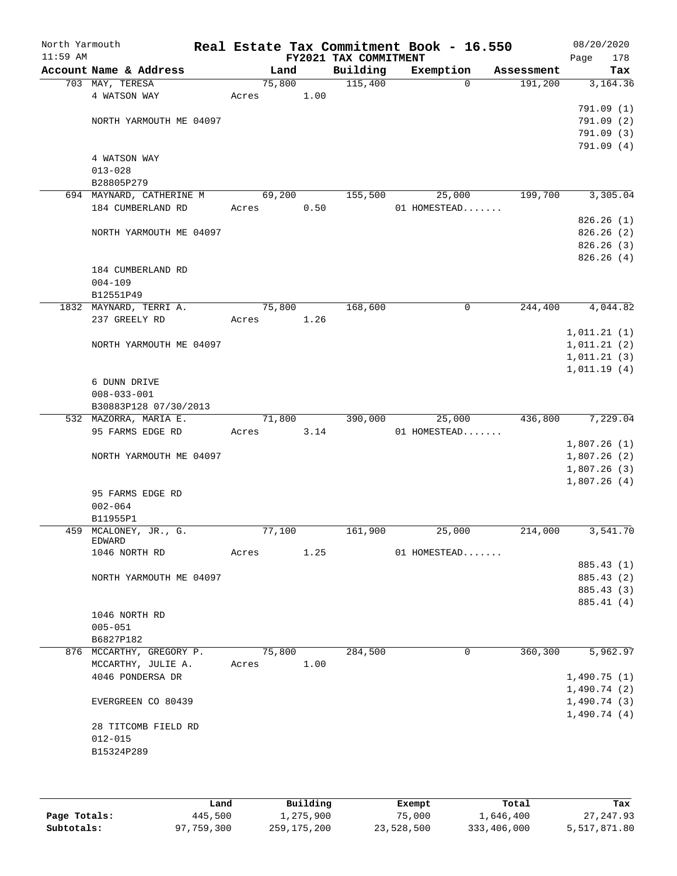| North Yarmouth<br>$11:59$ AM |                          |        |      |      | Real Estate Tax Commitment Book - 16.550<br>FY2021 TAX COMMITMENT |              |              |            | 08/20/2020<br>Page | 178        |
|------------------------------|--------------------------|--------|------|------|-------------------------------------------------------------------|--------------|--------------|------------|--------------------|------------|
|                              | Account Name & Address   |        | Land |      | Building                                                          |              | Exemption    | Assessment |                    | Tax        |
|                              | 703 MAY, TERESA          | 75,800 |      |      | 115,400                                                           |              | $\mathbf 0$  | 191,200    |                    | 3,164.36   |
|                              | 4 WATSON WAY             | Acres  |      | 1.00 |                                                                   |              |              |            |                    |            |
|                              |                          |        |      |      |                                                                   |              |              |            |                    | 791.09 (1) |
|                              | NORTH YARMOUTH ME 04097  |        |      |      |                                                                   |              |              |            |                    | 791.09(2)  |
|                              |                          |        |      |      |                                                                   |              |              |            |                    | 791.09(3)  |
|                              |                          |        |      |      |                                                                   |              |              |            |                    | 791.09(4)  |
|                              | 4 WATSON WAY             |        |      |      |                                                                   |              |              |            |                    |            |
|                              | $013 - 028$              |        |      |      |                                                                   |              |              |            |                    |            |
|                              | B28805P279               |        |      |      |                                                                   |              |              |            |                    |            |
|                              | 694 MAYNARD, CATHERINE M | 69,200 |      |      | 155,500                                                           |              | 25,000       | 199,700    |                    | 3,305.04   |
|                              | 184 CUMBERLAND RD        | Acres  |      | 0.50 |                                                                   | 01 HOMESTEAD |              |            |                    |            |
|                              |                          |        |      |      |                                                                   |              |              |            |                    | 826.26(1)  |
|                              | NORTH YARMOUTH ME 04097  |        |      |      |                                                                   |              |              |            |                    | 826.26(2)  |
|                              |                          |        |      |      |                                                                   |              |              |            |                    | 826.26(3)  |
|                              |                          |        |      |      |                                                                   |              |              |            |                    | 826.26(4)  |
|                              | 184 CUMBERLAND RD        |        |      |      |                                                                   |              |              |            |                    |            |
|                              | $004 - 109$              |        |      |      |                                                                   |              |              |            |                    |            |
|                              | B12551P49                |        |      |      |                                                                   |              |              |            |                    |            |
|                              | 1832 MAYNARD, TERRI A.   | 75,800 |      |      | 168,600                                                           |              | $\mathsf{O}$ | 244,400    |                    | 4,044.82   |
|                              | 237 GREELY RD            | Acres  |      | 1.26 |                                                                   |              |              |            |                    |            |
|                              |                          |        |      |      |                                                                   |              |              |            | 1,011.21(1)        |            |
|                              | NORTH YARMOUTH ME 04097  |        |      |      |                                                                   |              |              |            | 1,011.21(2)        |            |
|                              |                          |        |      |      |                                                                   |              |              |            | 1,011.21(3)        |            |
|                              |                          |        |      |      |                                                                   |              |              |            | 1,011.19(4)        |            |
|                              | 6 DUNN DRIVE             |        |      |      |                                                                   |              |              |            |                    |            |
|                              | $008 - 033 - 001$        |        |      |      |                                                                   |              |              |            |                    |            |
|                              | B30883P128 07/30/2013    |        |      |      |                                                                   |              |              |            |                    |            |
|                              | 532 MAZORRA, MARIA E.    | 71,800 |      |      | 390,000                                                           |              | 25,000       | 436,800    |                    | 7,229.04   |
|                              | 95 FARMS EDGE RD         | Acres  |      | 3.14 |                                                                   | 01 HOMESTEAD |              |            |                    |            |
|                              |                          |        |      |      |                                                                   |              |              |            | 1,807.26(1)        |            |
|                              | NORTH YARMOUTH ME 04097  |        |      |      |                                                                   |              |              |            | 1,807.26(2)        |            |
|                              |                          |        |      |      |                                                                   |              |              |            | 1,807.26(3)        |            |
|                              |                          |        |      |      |                                                                   |              |              |            | 1,807.26(4)        |            |
|                              | 95 FARMS EDGE RD         |        |      |      |                                                                   |              |              |            |                    |            |
|                              | $002 - 064$              |        |      |      |                                                                   |              |              |            |                    |            |
|                              | B11955P1                 |        |      |      |                                                                   |              |              |            |                    |            |
|                              | 459 MCALONEY, JR., G.    | 77,100 |      |      | 161,900                                                           |              | 25,000       | 214,000    |                    | 3,541.70   |
|                              | <b>EDWARD</b>            |        |      |      |                                                                   |              |              |            |                    |            |
|                              | 1046 NORTH RD            | Acres  |      | 1.25 |                                                                   | 01 HOMESTEAD |              |            |                    |            |
|                              |                          |        |      |      |                                                                   |              |              |            |                    | 885.43 (1) |
|                              | NORTH YARMOUTH ME 04097  |        |      |      |                                                                   |              |              |            |                    | 885.43 (2) |
|                              |                          |        |      |      |                                                                   |              |              |            |                    | 885.43 (3) |
|                              |                          |        |      |      |                                                                   |              |              |            |                    | 885.41 (4) |
|                              | 1046 NORTH RD            |        |      |      |                                                                   |              |              |            |                    |            |
|                              | $005 - 051$              |        |      |      |                                                                   |              |              |            |                    |            |
|                              | B6827P182                |        |      |      |                                                                   |              |              |            |                    |            |
|                              | 876 MCCARTHY, GREGORY P. | 75,800 |      |      | 284,500                                                           |              | 0            | 360,300    |                    | 5,962.97   |
|                              | MCCARTHY, JULIE A.       | Acres  |      | 1.00 |                                                                   |              |              |            |                    |            |
|                              | 4046 PONDERSA DR         |        |      |      |                                                                   |              |              |            | 1,490.75(1)        |            |
|                              |                          |        |      |      |                                                                   |              |              |            | 1,490.74(2)        |            |
|                              | EVERGREEN CO 80439       |        |      |      |                                                                   |              |              |            | 1,490.74(3)        |            |
|                              |                          |        |      |      |                                                                   |              |              |            | 1,490.74(4)        |            |
|                              | 28 TITCOMB FIELD RD      |        |      |      |                                                                   |              |              |            |                    |            |
|                              | $012 - 015$              |        |      |      |                                                                   |              |              |            |                    |            |
|                              | B15324P289               |        |      |      |                                                                   |              |              |            |                    |            |
|                              |                          |        |      |      |                                                                   |              |              |            |                    |            |
|                              |                          |        |      |      |                                                                   |              |              |            |                    |            |
|                              |                          |        |      |      |                                                                   |              |              |            |                    |            |

|              | Land       | Building    | Exempt     | Total       | Tax          |
|--------------|------------|-------------|------------|-------------|--------------|
| Page Totals: | 445,500    | 1,275,900   | 75,000     | 1,646,400   | 27, 247, 93  |
| Subtotals:   | 97,759,300 | 259,175,200 | 23,528,500 | 333,406,000 | 5,517,871.80 |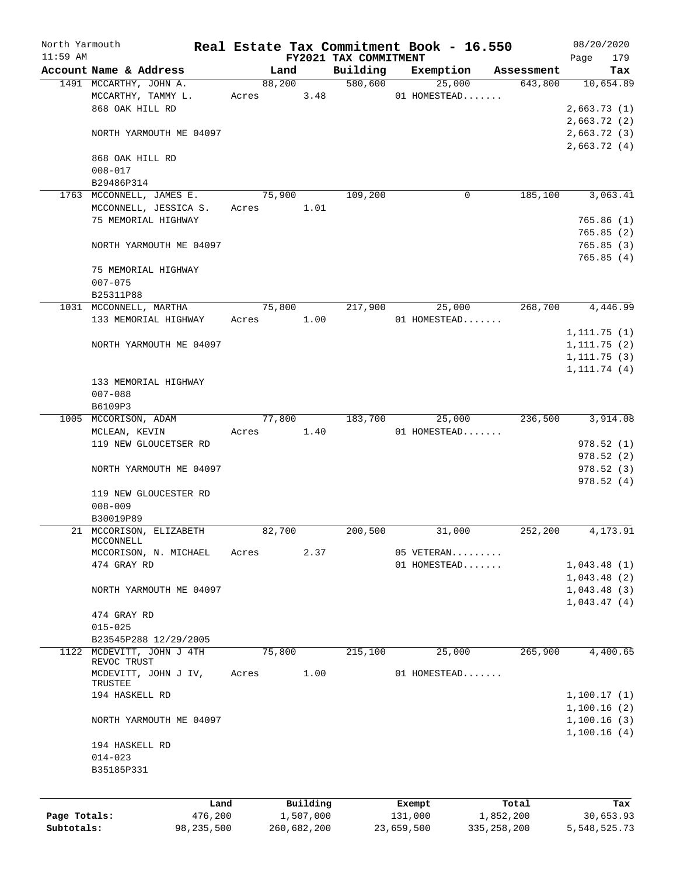| North Yarmouth |                           |              |       |                |             |                       |            | Real Estate Tax Commitment Book - 16.550 |                       |              | 08/20/2020       |
|----------------|---------------------------|--------------|-------|----------------|-------------|-----------------------|------------|------------------------------------------|-----------------------|--------------|------------------|
| $11:59$ AM     | Account Name & Address    |              |       |                |             | FY2021 TAX COMMITMENT |            |                                          |                       | Page         | 179              |
|                | 1491 MCCARTHY, JOHN A.    |              |       | Land<br>88,200 |             | Building<br>580,600   |            | Exemption<br>25,000                      | Assessment<br>643,800 |              | Tax<br>10,654.89 |
|                | MCCARTHY, TAMMY L.        |              |       |                | 3.48        |                       |            | 01 HOMESTEAD                             |                       |              |                  |
|                | 868 OAK HILL RD           |              |       | Acres          |             |                       |            |                                          |                       |              |                  |
|                |                           |              |       |                |             |                       |            |                                          |                       | 2,663.73(1)  |                  |
|                |                           |              |       |                |             |                       |            |                                          |                       | 2,663.72(2)  |                  |
|                | NORTH YARMOUTH ME 04097   |              |       |                |             |                       |            |                                          |                       | 2,663.72(3)  |                  |
|                |                           |              |       |                |             |                       |            |                                          |                       | 2,663.72(4)  |                  |
|                | 868 OAK HILL RD           |              |       |                |             |                       |            |                                          |                       |              |                  |
|                | $008 - 017$               |              |       |                |             |                       |            |                                          |                       |              |                  |
|                | B29486P314                |              |       |                |             |                       |            |                                          |                       |              |                  |
|                | 1763 MCCONNELL, JAMES E.  |              |       | 75,900         |             | 109,200               |            | 0                                        | 185,100               |              | 3,063.41         |
|                | MCCONNELL, JESSICA S.     |              |       | Acres          | 1.01        |                       |            |                                          |                       |              |                  |
|                | 75 MEMORIAL HIGHWAY       |              |       |                |             |                       |            |                                          |                       |              | 765.86(1)        |
|                |                           |              |       |                |             |                       |            |                                          |                       |              | 765.85(2)        |
|                | NORTH YARMOUTH ME 04097   |              |       |                |             |                       |            |                                          |                       |              | 765.85(3)        |
|                |                           |              |       |                |             |                       |            |                                          |                       |              | 765.85(4)        |
|                | 75 MEMORIAL HIGHWAY       |              |       |                |             |                       |            |                                          |                       |              |                  |
|                | $007 - 075$               |              |       |                |             |                       |            |                                          |                       |              |                  |
|                | B25311P88                 |              |       |                |             |                       |            |                                          |                       |              |                  |
|                | 1031 MCCONNELL, MARTHA    |              |       | 75,800         |             | 217,900               |            | 25,000                                   | 268,700               |              | 4,446.99         |
|                | 133 MEMORIAL HIGHWAY      |              | Acres |                | 1.00        |                       |            | 01 HOMESTEAD                             |                       |              |                  |
|                |                           |              |       |                |             |                       |            |                                          |                       | 1, 111.75(1) |                  |
|                | NORTH YARMOUTH ME 04097   |              |       |                |             |                       |            |                                          |                       | 1, 111.75(2) |                  |
|                |                           |              |       |                |             |                       |            |                                          |                       | 1, 111.75(3) |                  |
|                |                           |              |       |                |             |                       |            |                                          |                       | 1, 111.74(4) |                  |
|                | 133 MEMORIAL HIGHWAY      |              |       |                |             |                       |            |                                          |                       |              |                  |
|                | $007 - 088$               |              |       |                |             |                       |            |                                          |                       |              |                  |
|                | B6109P3                   |              |       |                |             |                       |            |                                          |                       |              |                  |
|                | 1005 MCCORISON, ADAM      |              |       | 77,800         |             | 183,700               |            | 25,000                                   | 236,500               |              | 3,914.08         |
|                | MCLEAN, KEVIN             |              | Acres |                | 1.40        |                       |            | 01 HOMESTEAD                             |                       |              |                  |
|                | 119 NEW GLOUCETSER RD     |              |       |                |             |                       |            |                                          |                       |              | 978.52(1)        |
|                |                           |              |       |                |             |                       |            |                                          |                       |              | 978.52(2)        |
|                | NORTH YARMOUTH ME 04097   |              |       |                |             |                       |            |                                          |                       |              | 978.52(3)        |
|                |                           |              |       |                |             |                       |            |                                          |                       |              | 978.52(4)        |
|                | 119 NEW GLOUCESTER RD     |              |       |                |             |                       |            |                                          |                       |              |                  |
|                | $008 - 009$               |              |       |                |             |                       |            |                                          |                       |              |                  |
|                | B30019P89                 |              |       |                |             |                       |            |                                          |                       |              |                  |
|                | 21 MCCORISON, ELIZABETH   |              |       | 82,700         |             | 200,500               |            | 31,000                                   | 252,200               |              | 4,173.91         |
|                | MCCONNELL                 |              |       |                |             |                       |            |                                          |                       |              |                  |
|                | MCCORISON, N. MICHAEL     |              | Acres |                | 2.37        |                       |            | 05 VETERAN                               |                       |              |                  |
|                | 474 GRAY RD               |              |       |                |             |                       |            | 01 HOMESTEAD                             |                       | 1,043.48(1)  |                  |
|                |                           |              |       |                |             |                       |            |                                          |                       | 1,043.48(2)  |                  |
|                | NORTH YARMOUTH ME 04097   |              |       |                |             |                       |            |                                          |                       | 1,043.48(3)  |                  |
|                |                           |              |       |                |             |                       |            |                                          |                       | 1,043.47(4)  |                  |
|                | 474 GRAY RD               |              |       |                |             |                       |            |                                          |                       |              |                  |
|                | $015 - 025$               |              |       |                |             |                       |            |                                          |                       |              |                  |
|                | B23545P288 12/29/2005     |              |       |                |             |                       |            |                                          |                       |              |                  |
|                | 1122 MCDEVITT, JOHN J 4TH |              |       | 75,800         |             | 215,100               |            | 25,000                                   | 265,900               |              | 4,400.65         |
|                | REVOC TRUST               |              |       |                |             |                       |            |                                          |                       |              |                  |
|                | MCDEVITT, JOHN J IV,      |              | Acres |                | 1.00        |                       |            | 01 HOMESTEAD                             |                       |              |                  |
|                | TRUSTEE                   |              |       |                |             |                       |            |                                          |                       |              |                  |
|                | 194 HASKELL RD            |              |       |                |             |                       |            |                                          |                       | 1,100.17(1)  |                  |
|                |                           |              |       |                |             |                       |            |                                          |                       | 1,100.16(2)  |                  |
|                | NORTH YARMOUTH ME 04097   |              |       |                |             |                       |            |                                          |                       | 1,100.16(3)  |                  |
|                |                           |              |       |                |             |                       |            |                                          |                       | 1,100.16(4)  |                  |
|                | 194 HASKELL RD            |              |       |                |             |                       |            |                                          |                       |              |                  |
|                | $014 - 023$               |              |       |                |             |                       |            |                                          |                       |              |                  |
|                | B35185P331                |              |       |                |             |                       |            |                                          |                       |              |                  |
|                |                           |              |       |                |             |                       |            |                                          |                       |              |                  |
|                |                           | Land         |       |                | Building    |                       |            | Exempt                                   | Total                 |              | Tax              |
| Page Totals:   |                           | 476,200      |       |                | 1,507,000   |                       |            | 131,000                                  | 1,852,200             |              | 30,653.93        |
| Subtotals:     |                           | 98, 235, 500 |       |                | 260,682,200 |                       | 23,659,500 |                                          | 335, 258, 200         | 5,548,525.73 |                  |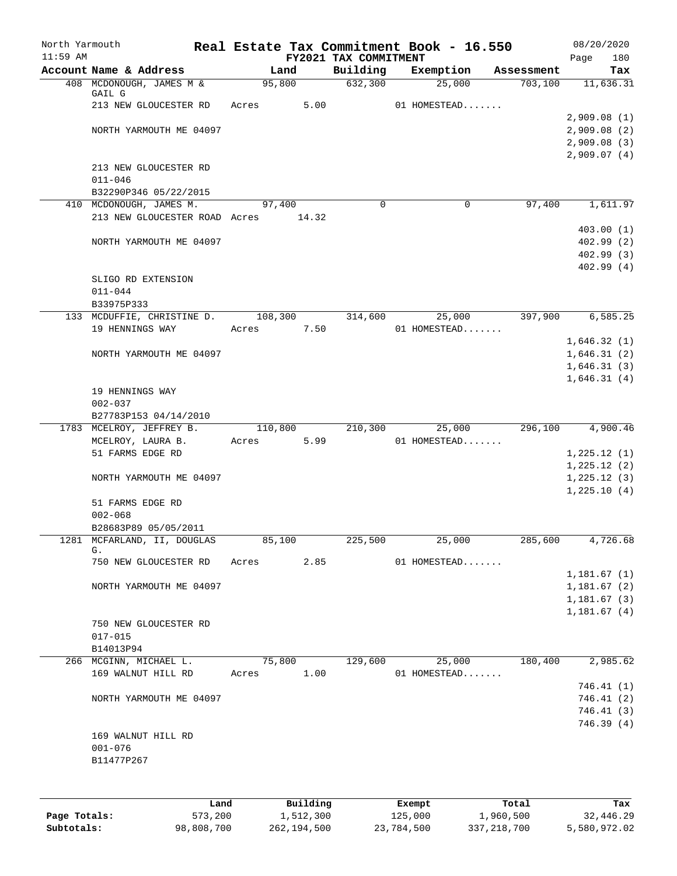| North Yarmouth<br>$11:59$ AM |                               |               | FY2021 TAX COMMITMENT | Real Estate Tax Commitment Book - 16.550 |            | 08/20/2020<br>180<br>Page  |
|------------------------------|-------------------------------|---------------|-----------------------|------------------------------------------|------------|----------------------------|
|                              | Account Name & Address        | Land          | Building              | Exemption                                | Assessment | Tax                        |
|                              | 408 MCDONOUGH, JAMES M &      | 95,800        | 632,300               | 25,000                                   | 703,100    | 11,636.31                  |
|                              | GAIL G                        |               |                       |                                          |            |                            |
|                              | 213 NEW GLOUCESTER RD         | 5.00<br>Acres |                       | 01 HOMESTEAD                             |            | 2,909.08(1)                |
|                              | NORTH YARMOUTH ME 04097       |               |                       |                                          |            | 2,909.08(2)                |
|                              |                               |               |                       |                                          |            | 2,909.08(3)                |
|                              |                               |               |                       |                                          |            | 2,909.07(4)                |
|                              | 213 NEW GLOUCESTER RD         |               |                       |                                          |            |                            |
|                              | $011 - 046$                   |               |                       |                                          |            |                            |
|                              | B32290P346 05/22/2015         |               |                       |                                          |            |                            |
|                              | 410 MCDONOUGH, JAMES M.       | 97,400        | $\Omega$              | $\mathbf 0$                              | 97,400     | 1,611.97                   |
|                              | 213 NEW GLOUCESTER ROAD Acres | 14.32         |                       |                                          |            | 403.00(1)                  |
|                              | NORTH YARMOUTH ME 04097       |               |                       |                                          |            | 402.99(2)                  |
|                              |                               |               |                       |                                          |            | 402.99(3)                  |
|                              |                               |               |                       |                                          |            | 402.99(4)                  |
|                              | SLIGO RD EXTENSION            |               |                       |                                          |            |                            |
|                              | $011 - 044$                   |               |                       |                                          |            |                            |
|                              | B33975P333                    |               |                       |                                          |            |                            |
|                              | 133 MCDUFFIE, CHRISTINE D.    | 108,300       | 314,600               | 25,000                                   | 397,900    | 6, 585.25                  |
|                              | 19 HENNINGS WAY               | 7.50<br>Acres |                       | 01 HOMESTEAD                             |            |                            |
|                              | NORTH YARMOUTH ME 04097       |               |                       |                                          |            | 1,646.32(1)                |
|                              |                               |               |                       |                                          |            | 1,646.31(2)<br>1,646.31(3) |
|                              |                               |               |                       |                                          |            | 1,646.31(4)                |
|                              | 19 HENNINGS WAY               |               |                       |                                          |            |                            |
|                              | $002 - 037$                   |               |                       |                                          |            |                            |
|                              | B27783P153 04/14/2010         |               |                       |                                          |            |                            |
|                              | 1783 MCELROY, JEFFREY B.      | 110,800       | 210,300               | 25,000                                   | 296,100    | 4,900.46                   |
|                              | MCELROY, LAURA B.             | 5.99<br>Acres |                       | 01 HOMESTEAD                             |            |                            |
|                              | 51 FARMS EDGE RD              |               |                       |                                          |            | 1,225.12(1)                |
|                              | NORTH YARMOUTH ME 04097       |               |                       |                                          |            | 1,225.12(2)<br>1,225.12(3) |
|                              |                               |               |                       |                                          |            | 1,225.10(4)                |
|                              | 51 FARMS EDGE RD              |               |                       |                                          |            |                            |
|                              | $002 - 068$                   |               |                       |                                          |            |                            |
|                              | B28683P89 05/05/2011          |               |                       |                                          |            |                            |
|                              | 1281 MCFARLAND, II, DOUGLAS   | 85,100        | 225,500               | 25,000                                   | 285,600    | 4,726.68                   |
|                              | G.<br>750 NEW GLOUCESTER RD   | Acres<br>2.85 |                       | 01 HOMESTEAD                             |            |                            |
|                              |                               |               |                       |                                          |            | 1,181.67(1)                |
|                              | NORTH YARMOUTH ME 04097       |               |                       |                                          |            | 1,181.67(2)                |
|                              |                               |               |                       |                                          |            | 1,181.67(3)                |
|                              |                               |               |                       |                                          |            | 1,181.67(4)                |
|                              | 750 NEW GLOUCESTER RD         |               |                       |                                          |            |                            |
|                              | $017 - 015$                   |               |                       |                                          |            |                            |
|                              | B14013P94                     |               |                       |                                          |            |                            |
|                              | 266 MCGINN, MICHAEL L.        | 75,800        | 129,600               | 25,000                                   | 180,400    | 2,985.62                   |
|                              | 169 WALNUT HILL RD            | 1.00<br>Acres |                       | 01 HOMESTEAD                             |            | 746.41 (1)                 |
|                              | NORTH YARMOUTH ME 04097       |               |                       |                                          |            | 746.41 (2)                 |
|                              |                               |               |                       |                                          |            | 746.41 (3)                 |
|                              |                               |               |                       |                                          |            | 746.39(4)                  |
|                              | 169 WALNUT HILL RD            |               |                       |                                          |            |                            |
|                              | $001 - 076$                   |               |                       |                                          |            |                            |
|                              | B11477P267                    |               |                       |                                          |            |                            |
|                              |                               |               |                       |                                          |            |                            |
|                              |                               |               |                       |                                          |            |                            |
|                              | Land                          | Building      |                       | Exempt                                   | Total      | Tax                        |

|              | ------     | --------    | --------   | -----         | ----         |
|--------------|------------|-------------|------------|---------------|--------------|
| Page Totals: | 573,200    | 1,512,300   | 125,000    | 1,960,500     | 32,446.29    |
| Subtotals:   | 98,808,700 | 262,194,500 | 23,784,500 | 337, 218, 700 | 5,580,972.02 |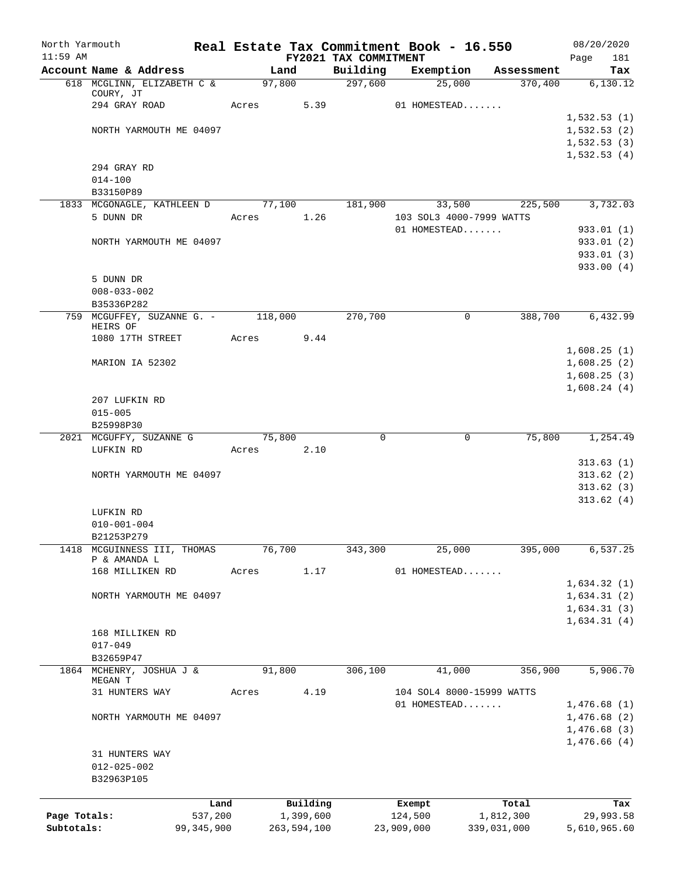| North Yarmouth             |                                                |            |        |             |                                   | Real Estate Tax Commitment Book - 16.550 |                          | 08/20/2020                 |
|----------------------------|------------------------------------------------|------------|--------|-------------|-----------------------------------|------------------------------------------|--------------------------|----------------------------|
| $11:59$ AM                 | Account Name & Address                         |            | Land   |             | FY2021 TAX COMMITMENT<br>Building | Exemption                                | Assessment               | 181<br>Page<br>Tax         |
|                            | 618 MCGLINN, ELIZABETH C &                     |            | 97,800 |             | 297,600                           | 25,000                                   | 370,400                  | 6,130.12                   |
|                            | COURY, JT                                      |            |        |             |                                   |                                          |                          |                            |
|                            | 294 GRAY ROAD                                  |            | Acres  | 5.39        |                                   | 01 HOMESTEAD                             |                          |                            |
|                            |                                                |            |        |             |                                   |                                          |                          | 1,532.53(1)                |
|                            | NORTH YARMOUTH ME 04097                        |            |        |             |                                   |                                          |                          | 1,532.53(2)<br>1,532.53(3) |
|                            |                                                |            |        |             |                                   |                                          |                          | 1,532.53(4)                |
|                            | 294 GRAY RD                                    |            |        |             |                                   |                                          |                          |                            |
|                            | $014 - 100$                                    |            |        |             |                                   |                                          |                          |                            |
|                            | B33150P89                                      |            |        |             |                                   |                                          |                          |                            |
|                            | 1833 MCGONAGLE, KATHLEEN D                     |            | 77,100 |             | 181,900                           | 33,500                                   | 225,500                  | 3,732.03                   |
|                            | 5 DUNN DR                                      |            | Acres  | 1.26        |                                   | 103 SOL3 4000-7999 WATTS                 |                          |                            |
|                            | NORTH YARMOUTH ME 04097                        |            |        |             |                                   | 01 HOMESTEAD                             |                          | 933.01 (1)<br>933.01 (2)   |
|                            |                                                |            |        |             |                                   |                                          |                          | 933.01 (3)                 |
|                            |                                                |            |        |             |                                   |                                          |                          | 933.00(4)                  |
|                            | 5 DUNN DR                                      |            |        |             |                                   |                                          |                          |                            |
|                            | $008 - 033 - 002$                              |            |        |             |                                   |                                          |                          |                            |
|                            | B35336P282                                     |            |        |             |                                   |                                          |                          |                            |
|                            | 759 MCGUFFEY, SUZANNE G. - 118,000<br>HEIRS OF |            |        |             | 270,700                           | $\mathbf 0$                              | 388,700                  | 6,432.99                   |
|                            | 1080 17TH STREET                               |            | Acres  | 9.44        |                                   |                                          |                          |                            |
|                            |                                                |            |        |             |                                   |                                          |                          | 1,608.25(1)                |
|                            | MARION IA 52302                                |            |        |             |                                   |                                          |                          | 1,608.25(2)                |
|                            |                                                |            |        |             |                                   |                                          |                          | 1,608.25(3)                |
|                            |                                                |            |        |             |                                   |                                          |                          | 1,608.24(4)                |
|                            | 207 LUFKIN RD<br>$015 - 005$                   |            |        |             |                                   |                                          |                          |                            |
|                            | B25998P30                                      |            |        |             |                                   |                                          |                          |                            |
|                            | 2021 MCGUFFY, SUZANNE G                        |            | 75,800 |             | 0                                 | 0                                        | 75,800                   | 1,254.49                   |
|                            | LUFKIN RD                                      |            | Acres  | 2.10        |                                   |                                          |                          |                            |
|                            |                                                |            |        |             |                                   |                                          |                          | 313.63(1)                  |
|                            | NORTH YARMOUTH ME 04097                        |            |        |             |                                   |                                          |                          | 313.62(2)                  |
|                            |                                                |            |        |             |                                   |                                          |                          | 313.62(3)                  |
|                            | LUFKIN RD                                      |            |        |             |                                   |                                          |                          | 313.62(4)                  |
|                            | $010 - 001 - 004$                              |            |        |             |                                   |                                          |                          |                            |
|                            | B21253P279                                     |            |        |             |                                   |                                          |                          |                            |
| 1418                       | MCGUINNESS III, THOMAS                         |            | 76,700 |             | 343,300                           | 25,000                                   | 395,000                  | 6,537.25                   |
|                            | P & AMANDA L                                   |            |        | 1.17        |                                   | 01 HOMESTEAD                             |                          |                            |
|                            | 168 MILLIKEN RD                                |            | Acres  |             |                                   |                                          |                          | 1,634.32(1)                |
|                            | NORTH YARMOUTH ME 04097                        |            |        |             |                                   |                                          |                          | 1,634.31(2)                |
|                            |                                                |            |        |             |                                   |                                          |                          | 1,634.31(3)                |
|                            |                                                |            |        |             |                                   |                                          |                          | 1,634.31(4)                |
|                            | 168 MILLIKEN RD                                |            |        |             |                                   |                                          |                          |                            |
|                            | $017 - 049$                                    |            |        |             |                                   |                                          |                          |                            |
| 1864                       | B32659P47<br>MCHENRY, JOSHUA J &               |            | 91,800 |             | 306,100                           | 41,000                                   | 356,900                  | 5,906.70                   |
|                            | MEGAN T                                        |            |        |             |                                   |                                          |                          |                            |
|                            | 31 HUNTERS WAY                                 |            | Acres  | 4.19        |                                   | 104 SOL4 8000-15999 WATTS                |                          |                            |
|                            |                                                |            |        |             |                                   | 01 HOMESTEAD                             |                          | 1,476.68(1)                |
|                            | NORTH YARMOUTH ME 04097                        |            |        |             |                                   |                                          |                          | 1,476.68(2)                |
|                            |                                                |            |        |             |                                   |                                          |                          | 1,476.68(3)<br>1,476.66(4) |
|                            | 31 HUNTERS WAY                                 |            |        |             |                                   |                                          |                          |                            |
|                            | $012 - 025 - 002$                              |            |        |             |                                   |                                          |                          |                            |
|                            | B32963P105                                     |            |        |             |                                   |                                          |                          |                            |
|                            |                                                |            |        |             |                                   |                                          |                          |                            |
|                            |                                                | Land       |        | Building    |                                   | Exempt                                   | Total                    | Tax                        |
| Page Totals:<br>Subtotals: |                                                | 537,200    |        | 1,399,600   |                                   | 124,500                                  | 1,812,300<br>339,031,000 | 29,993.58<br>5,610,965.60  |
|                            |                                                | 99,345,900 |        | 263,594,100 |                                   | 23,909,000                               |                          |                            |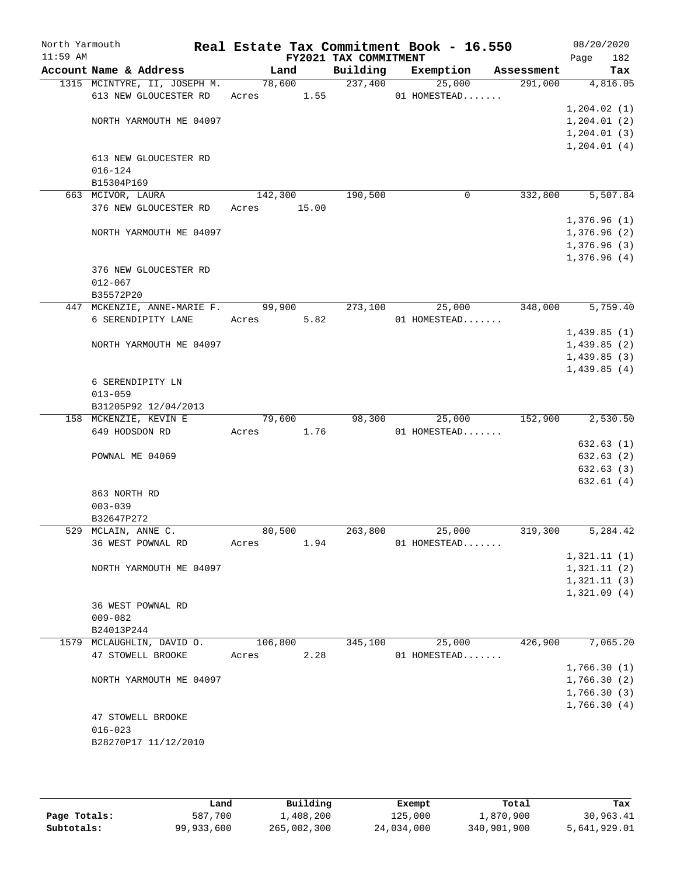| North Yarmouth |                                    |             |      |                            | Real Estate Tax Commitment Book - 16.550 |                       | 08/20/2020   |
|----------------|------------------------------------|-------------|------|----------------------------|------------------------------------------|-----------------------|--------------|
| $11:59$ AM     | Account Name & Address             | Land        |      | FY2021 TAX COMMITMENT      |                                          |                       | 182<br>Page  |
|                | 1315 MCINTYRE, II, JOSEPH M.       |             |      | Building<br>78,600 237,400 | Exemption<br>25,000                      | Assessment<br>291,000 | Tax          |
|                | 613 NEW GLOUCESTER RD              | Acres 1.55  |      |                            | 01 HOMESTEAD                             |                       | 4,816.05     |
|                |                                    |             |      |                            |                                          |                       | 1, 204.02(1) |
|                | NORTH YARMOUTH ME 04097            |             |      |                            |                                          |                       | 1,204.01(2)  |
|                |                                    |             |      |                            |                                          |                       | 1, 204.01(3) |
|                |                                    |             |      |                            |                                          |                       | 1,204.01(4)  |
|                | 613 NEW GLOUCESTER RD              |             |      |                            |                                          |                       |              |
|                | $016 - 124$                        |             |      |                            |                                          |                       |              |
|                | B15304P169                         |             |      |                            |                                          |                       |              |
|                | 663 MCIVOR, LAURA                  | 142,300     |      | 190,500                    | 0                                        | 332,800               | 5,507.84     |
|                | 376 NEW GLOUCESTER RD              | Acres 15.00 |      |                            |                                          |                       |              |
|                |                                    |             |      |                            |                                          |                       | 1,376.96(1)  |
|                | NORTH YARMOUTH ME 04097            |             |      |                            |                                          |                       | 1,376.96(2)  |
|                |                                    |             |      |                            |                                          |                       | 1,376.96(3)  |
|                |                                    |             |      |                            |                                          |                       | 1,376.96(4)  |
|                | 376 NEW GLOUCESTER RD              |             |      |                            |                                          |                       |              |
|                | $012 - 067$                        |             |      |                            |                                          |                       |              |
|                | B35572P20                          |             |      |                            |                                          |                       |              |
|                | 447 MCKENZIE, ANNE-MARIE F. 99,900 |             |      | 273,100                    | 25,000                                   | 348,000               | 5,759.40     |
|                | 6 SERENDIPITY LANE                 | Acres       | 5.82 |                            | 01 HOMESTEAD                             |                       |              |
|                |                                    |             |      |                            |                                          |                       | 1,439.85(1)  |
|                | NORTH YARMOUTH ME 04097            |             |      |                            |                                          |                       | 1,439.85(2)  |
|                |                                    |             |      |                            |                                          |                       | 1,439.85(3)  |
|                |                                    |             |      |                            |                                          |                       | 1,439.85(4)  |
|                | 6 SERENDIPITY LN                   |             |      |                            |                                          |                       |              |
|                | $013 - 059$                        |             |      |                            |                                          |                       |              |
|                | B31205P92 12/04/2013               |             |      |                            |                                          |                       |              |
|                | 158 MCKENZIE, KEVIN E              | 79,600      |      | 98,300                     | 25,000                                   | 152,900               | 2,530.50     |
|                | 649 HODSDON RD                     | Acres       | 1.76 |                            | 01 HOMESTEAD                             |                       |              |
|                |                                    |             |      |                            |                                          |                       | 632.63(1)    |
|                | POWNAL ME 04069                    |             |      |                            |                                          |                       | 632.63 (2)   |
|                |                                    |             |      |                            |                                          |                       | 632.63(3)    |
|                |                                    |             |      |                            |                                          |                       | 632.61(4)    |
|                | 863 NORTH RD                       |             |      |                            |                                          |                       |              |
|                | $003 - 039$<br>B32647P272          |             |      |                            |                                          |                       |              |
|                | 529 MCLAIN, ANNE C.                | 80,500      |      | 263,800                    | 25,000                                   | 319,300               | 5,284.42     |
|                | 36 WEST POWNAL RD                  | Acres       | 1.94 |                            | 01 HOMESTEAD                             |                       |              |
|                |                                    |             |      |                            |                                          |                       | 1,321.11(1)  |
|                | NORTH YARMOUTH ME 04097            |             |      |                            |                                          |                       | 1,321.11(2)  |
|                |                                    |             |      |                            |                                          |                       | 1,321.11(3)  |
|                |                                    |             |      |                            |                                          |                       | 1,321.09(4)  |
|                | 36 WEST POWNAL RD                  |             |      |                            |                                          |                       |              |
|                | $009 - 082$                        |             |      |                            |                                          |                       |              |
|                | B24013P244                         |             |      |                            |                                          |                       |              |
|                | 1579 MCLAUGHLIN, DAVID O.          | 106,800     |      | 345,100                    | 25,000                                   | 426,900               | 7,065.20     |
|                | 47 STOWELL BROOKE                  | Acres       | 2.28 |                            | 01 HOMESTEAD                             |                       |              |
|                |                                    |             |      |                            |                                          |                       | 1,766.30(1)  |
|                | NORTH YARMOUTH ME 04097            |             |      |                            |                                          |                       | 1,766.30(2)  |
|                |                                    |             |      |                            |                                          |                       | 1,766.30(3)  |
|                |                                    |             |      |                            |                                          |                       | 1,766.30(4)  |
|                | 47 STOWELL BROOKE                  |             |      |                            |                                          |                       |              |
|                | $016 - 023$                        |             |      |                            |                                          |                       |              |
|                | B28270P17 11/12/2010               |             |      |                            |                                          |                       |              |
|                |                                    |             |      |                            |                                          |                       |              |
|                |                                    |             |      |                            |                                          |                       |              |

|              | Land       | Building    | Exempt     | Total       | Tax          |
|--------------|------------|-------------|------------|-------------|--------------|
| Page Totals: | 587,700    | 1,408,200   | 125,000    | 1,870,900   | 30,963.41    |
| Subtotals:   | 99,933,600 | 265,002,300 | 24,034,000 | 340,901,900 | 5,641,929.01 |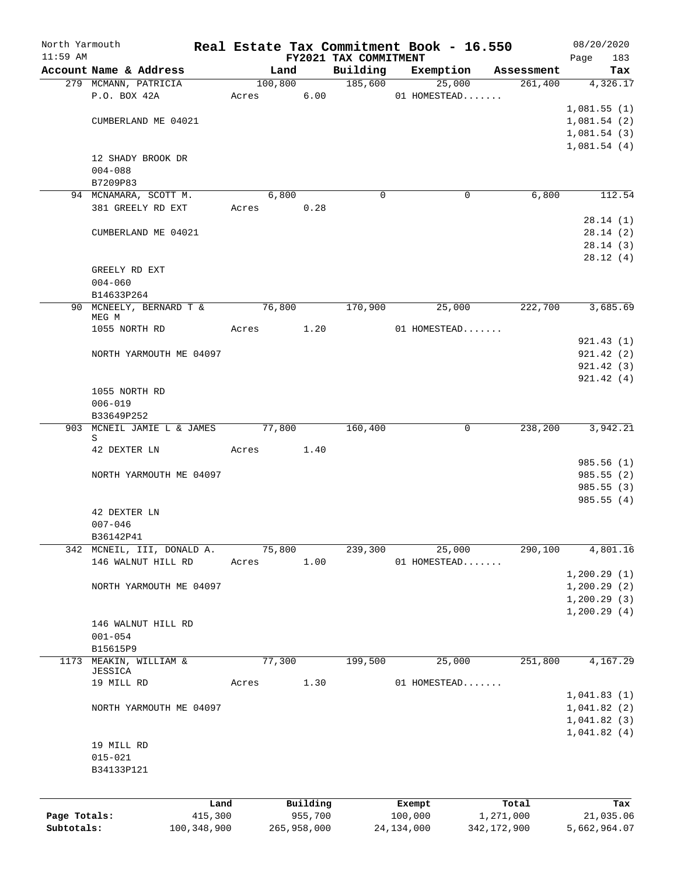| North Yarmouth<br>$11:59$ AM |                            |       |            |             | FY2021 TAX COMMITMENT | Real Estate Tax Commitment Book - 16.550 |               | 08/20/2020<br>Page<br>183 |
|------------------------------|----------------------------|-------|------------|-------------|-----------------------|------------------------------------------|---------------|---------------------------|
|                              | Account Name & Address     |       | Land       |             | Building              | Exemption                                | Assessment    | Tax                       |
|                              | 279 MCMANN, PATRICIA       |       | 100,800    |             | 185,600               | 25,000                                   | 261,400       | 4,326.17                  |
|                              | P.O. BOX 42A               |       | Acres 6.00 |             |                       | 01 HOMESTEAD                             |               |                           |
|                              |                            |       |            |             |                       |                                          |               | 1,081.55(1)               |
|                              | CUMBERLAND ME 04021        |       |            |             |                       |                                          |               | 1,081.54(2)               |
|                              |                            |       |            |             |                       |                                          |               | 1,081.54(3)               |
|                              |                            |       |            |             |                       |                                          |               | 1,081.54(4)               |
|                              | 12 SHADY BROOK DR          |       |            |             |                       |                                          |               |                           |
|                              | $004 - 088$                |       |            |             |                       |                                          |               |                           |
|                              | B7209P83                   |       |            |             |                       |                                          |               |                           |
|                              | 94 MCNAMARA, SCOTT M.      |       | 6,800      |             | $\Omega$              | $\Omega$                                 | 6,800         | 112.54                    |
|                              | 381 GREELY RD EXT          |       | Acres 0.28 |             |                       |                                          |               |                           |
|                              |                            |       |            |             |                       |                                          |               | 28.14(1)                  |
|                              | CUMBERLAND ME 04021        |       |            |             |                       |                                          |               | 28.14(2)                  |
|                              |                            |       |            |             |                       |                                          |               | 28.14(3)                  |
|                              |                            |       |            |             |                       |                                          |               | 28.12(4)                  |
|                              | GREELY RD EXT              |       |            |             |                       |                                          |               |                           |
|                              | $004 - 060$                |       |            |             |                       |                                          |               |                           |
|                              | B14633P264                 |       |            |             |                       |                                          |               |                           |
|                              | 90 MCNEELY, BERNARD T &    |       | 76,800     |             | 170,900               | 25,000                                   | 222,700       | 3,685.69                  |
|                              | MEG M                      |       |            |             |                       |                                          |               |                           |
|                              | 1055 NORTH RD              |       | Acres 1.20 |             |                       | 01 HOMESTEAD                             |               |                           |
|                              |                            |       |            |             |                       |                                          |               | 921.43(1)                 |
|                              | NORTH YARMOUTH ME 04097    |       |            |             |                       |                                          |               | 921.42(2)                 |
|                              |                            |       |            |             |                       |                                          |               | 921.42(3)                 |
|                              |                            |       |            |             |                       |                                          |               | 921.42(4)                 |
|                              | 1055 NORTH RD              |       |            |             |                       |                                          |               |                           |
|                              | $006 - 019$                |       |            |             |                       |                                          |               |                           |
|                              | B33649P252                 |       |            |             |                       |                                          |               |                           |
|                              | 903 MCNEIL JAMIE L & JAMES |       | 77,800     |             | 160,400               | $\mathbf 0$                              | 238,200       | 3,942.21                  |
|                              | S<br>42 DEXTER LN          | Acres |            | 1.40        |                       |                                          |               |                           |
|                              |                            |       |            |             |                       |                                          |               | 985.56(1)                 |
|                              | NORTH YARMOUTH ME 04097    |       |            |             |                       |                                          |               | 985.55(2)                 |
|                              |                            |       |            |             |                       |                                          |               | 985.55(3)                 |
|                              |                            |       |            |             |                       |                                          |               | 985.55(4)                 |
|                              | 42 DEXTER LN               |       |            |             |                       |                                          |               |                           |
|                              | $007 - 046$                |       |            |             |                       |                                          |               |                           |
|                              | B36142P41                  |       |            |             |                       |                                          |               |                           |
|                              | 342 MCNEIL, III, DONALD A. |       | 75,800     |             | 239,300               | 25,000                                   | 290,100       | 4,801.16                  |
|                              | 146 WALNUT HILL RD         | Acres |            | 1.00        |                       | 01 HOMESTEAD                             |               |                           |
|                              |                            |       |            |             |                       |                                          |               | 1, 200.29(1)              |
|                              | NORTH YARMOUTH ME 04097    |       |            |             |                       |                                          |               | 1, 200.29(2)              |
|                              |                            |       |            |             |                       |                                          |               | 1, 200.29(3)              |
|                              |                            |       |            |             |                       |                                          |               | 1, 200.29(4)              |
|                              | 146 WALNUT HILL RD         |       |            |             |                       |                                          |               |                           |
|                              | $001 - 054$                |       |            |             |                       |                                          |               |                           |
|                              | B15615P9                   |       |            |             |                       |                                          |               |                           |
|                              | 1173 MEAKIN, WILLIAM &     |       | 77,300     |             | 199,500               | 25,000                                   | 251,800       | 4,167.29                  |
|                              | JESSICA                    |       |            |             |                       |                                          |               |                           |
|                              | 19 MILL RD                 | Acres |            | 1.30        |                       | 01 HOMESTEAD                             |               |                           |
|                              |                            |       |            |             |                       |                                          |               | 1,041.83(1)               |
|                              | NORTH YARMOUTH ME 04097    |       |            |             |                       |                                          |               | 1,041.82(2)               |
|                              |                            |       |            |             |                       |                                          |               | 1,041.82(3)               |
|                              |                            |       |            |             |                       |                                          |               | 1,041.82(4)               |
|                              | 19 MILL RD                 |       |            |             |                       |                                          |               |                           |
|                              | $015 - 021$                |       |            |             |                       |                                          |               |                           |
|                              | B34133P121                 |       |            |             |                       |                                          |               |                           |
|                              |                            |       |            |             |                       |                                          |               |                           |
|                              |                            | Land  |            | Building    |                       | Exempt                                   | Total         | Tax                       |
| Page Totals:                 | 415,300                    |       |            | 955,700     |                       | 100,000                                  | 1,271,000     | 21,035.06                 |
| Subtotals:                   | 100,348,900                |       |            | 265,958,000 |                       | 24, 134, 000                             | 342, 172, 900 | 5,662,964.07              |
|                              |                            |       |            |             |                       |                                          |               |                           |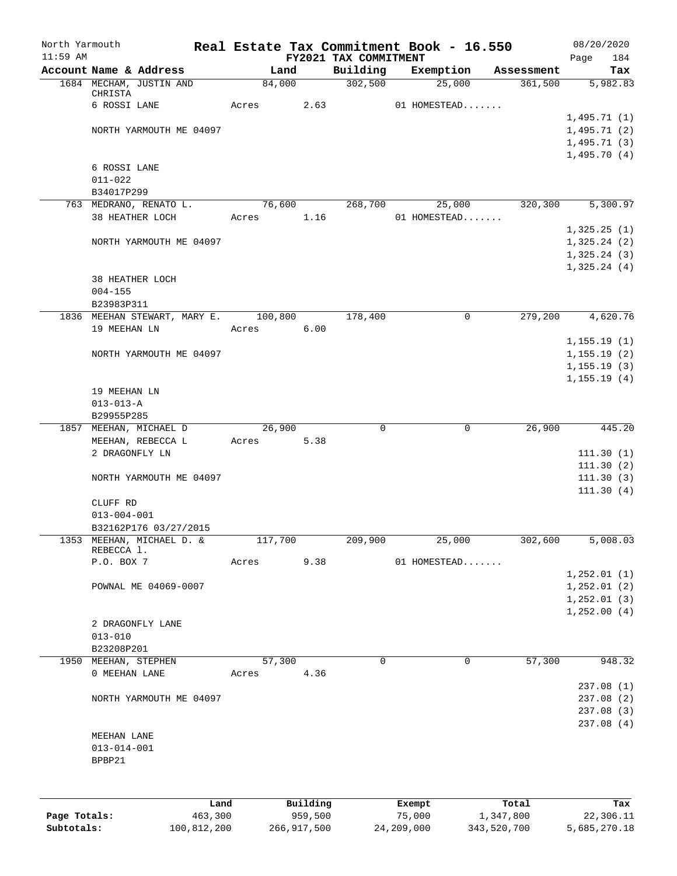| North Yarmouth |                                                   |                 |                |                     |                       | Real Estate Tax Commitment Book - 16.550 |                       | 08/20/2020       |
|----------------|---------------------------------------------------|-----------------|----------------|---------------------|-----------------------|------------------------------------------|-----------------------|------------------|
| $11:59$ AM     |                                                   |                 |                |                     | FY2021 TAX COMMITMENT |                                          |                       | 184<br>Page      |
|                | Account Name & Address<br>1684 MECHAM, JUSTIN AND |                 | Land<br>84,000 |                     | Building<br>302,500   | Exemption                                | Assessment<br>361,500 | Tax<br>5,982.83  |
|                | CHRISTA                                           |                 |                |                     |                       | 25,000                                   |                       |                  |
|                | 6 ROSSI LANE                                      |                 | Acres          | 2.63                |                       | 01 HOMESTEAD                             |                       |                  |
|                |                                                   |                 |                |                     |                       |                                          |                       | 1,495.71(1)      |
|                | NORTH YARMOUTH ME 04097                           |                 |                |                     |                       |                                          |                       | 1,495.71(2)      |
|                |                                                   |                 |                |                     |                       |                                          |                       | 1,495.71(3)      |
|                |                                                   |                 |                |                     |                       |                                          |                       | 1,495.70(4)      |
|                | 6 ROSSI LANE                                      |                 |                |                     |                       |                                          |                       |                  |
|                | $011 - 022$                                       |                 |                |                     |                       |                                          |                       |                  |
|                | B34017P299<br>763 MEDRANO, RENATO L.              |                 | 76,600         |                     | 268,700               |                                          | 320,300               | 5,300.97         |
|                | 38 HEATHER LOCH                                   |                 | Acres          | 1.16                |                       | 25,000<br>01 HOMESTEAD                   |                       |                  |
|                |                                                   |                 |                |                     |                       |                                          |                       | 1,325.25(1)      |
|                | NORTH YARMOUTH ME 04097                           |                 |                |                     |                       |                                          |                       | 1,325.24(2)      |
|                |                                                   |                 |                |                     |                       |                                          |                       | 1,325.24(3)      |
|                |                                                   |                 |                |                     |                       |                                          |                       | 1,325.24(4)      |
|                | 38 HEATHER LOCH                                   |                 |                |                     |                       |                                          |                       |                  |
|                | $004 - 155$                                       |                 |                |                     |                       |                                          |                       |                  |
|                | B23983P311                                        |                 |                |                     |                       |                                          |                       |                  |
|                | 1836 MEEHAN STEWART, MARY E.                      |                 | 100,800        |                     | 178,400               | 0                                        | 279,200               | 4,620.76         |
|                | 19 MEEHAN LN                                      |                 | Acres          | 6.00                |                       |                                          |                       |                  |
|                |                                                   |                 |                |                     |                       |                                          |                       | 1, 155.19(1)     |
|                | NORTH YARMOUTH ME 04097                           |                 |                |                     |                       |                                          |                       | 1, 155.19(2)     |
|                |                                                   |                 |                |                     |                       |                                          |                       | 1, 155.19(3)     |
|                |                                                   |                 |                |                     |                       |                                          |                       | 1, 155.19(4)     |
|                | 19 MEEHAN LN                                      |                 |                |                     |                       |                                          |                       |                  |
|                | $013 - 013 - A$                                   |                 |                |                     |                       |                                          |                       |                  |
| 1857           | B29955P285<br>MEEHAN, MICHAEL D                   |                 | 26,900         |                     | 0                     | 0                                        | 26,900                | 445.20           |
|                | MEEHAN, REBECCA L                                 |                 | Acres          | 5.38                |                       |                                          |                       |                  |
|                | 2 DRAGONFLY LN                                    |                 |                |                     |                       |                                          |                       | 111.30(1)        |
|                |                                                   |                 |                |                     |                       |                                          |                       | 111.30(2)        |
|                | NORTH YARMOUTH ME 04097                           |                 |                |                     |                       |                                          |                       | 111.30(3)        |
|                |                                                   |                 |                |                     |                       |                                          |                       | 111.30(4)        |
|                | CLUFF RD                                          |                 |                |                     |                       |                                          |                       |                  |
|                | $013 - 004 - 001$                                 |                 |                |                     |                       |                                          |                       |                  |
|                | B32162P176 03/27/2015                             |                 |                |                     |                       |                                          |                       |                  |
|                | 1353 MEEHAN, MICHAEL D. &                         |                 | 117,700        |                     | 209,900               | 25,000                                   | 302,600               | 5,008.03         |
|                | REBECCA 1.<br>P.O. BOX 7                          |                 | Acres          | 9.38                |                       | 01 HOMESTEAD                             |                       |                  |
|                |                                                   |                 |                |                     |                       |                                          |                       | 1, 252.01(1)     |
|                | POWNAL ME 04069-0007                              |                 |                |                     |                       |                                          |                       | 1, 252.01(2)     |
|                |                                                   |                 |                |                     |                       |                                          |                       | 1, 252.01(3)     |
|                |                                                   |                 |                |                     |                       |                                          |                       | 1,252.00(4)      |
|                | 2 DRAGONFLY LANE                                  |                 |                |                     |                       |                                          |                       |                  |
|                | $013 - 010$                                       |                 |                |                     |                       |                                          |                       |                  |
|                | B23208P201                                        |                 |                |                     |                       |                                          |                       |                  |
| 1950           | MEEHAN, STEPHEN                                   |                 | 57,300         |                     | 0                     | 0                                        | 57,300                | 948.32           |
|                | 0 MEEHAN LANE                                     |                 | Acres          | 4.36                |                       |                                          |                       |                  |
|                |                                                   |                 |                |                     |                       |                                          |                       | 237.08(1)        |
|                | NORTH YARMOUTH ME 04097                           |                 |                |                     |                       |                                          |                       | 237.08 (2)       |
|                |                                                   |                 |                |                     |                       |                                          |                       | 237.08 (3)       |
|                |                                                   |                 |                |                     |                       |                                          |                       | 237.08(4)        |
|                | MEEHAN LANE                                       |                 |                |                     |                       |                                          |                       |                  |
|                | $013 - 014 - 001$                                 |                 |                |                     |                       |                                          |                       |                  |
|                | BPBP21                                            |                 |                |                     |                       |                                          |                       |                  |
|                |                                                   |                 |                |                     |                       |                                          |                       |                  |
|                |                                                   |                 |                |                     |                       |                                          |                       |                  |
| Page Totals:   |                                                   | Land<br>463,300 |                | Building<br>959,500 |                       | Exempt<br>75,000                         | Total<br>1,347,800    | Tax<br>22,306.11 |
| Subtotals:     |                                                   | 100,812,200     |                | 266, 917, 500       |                       | 24,209,000                               | 343,520,700           | 5,685,270.18     |
|                |                                                   |                 |                |                     |                       |                                          |                       |                  |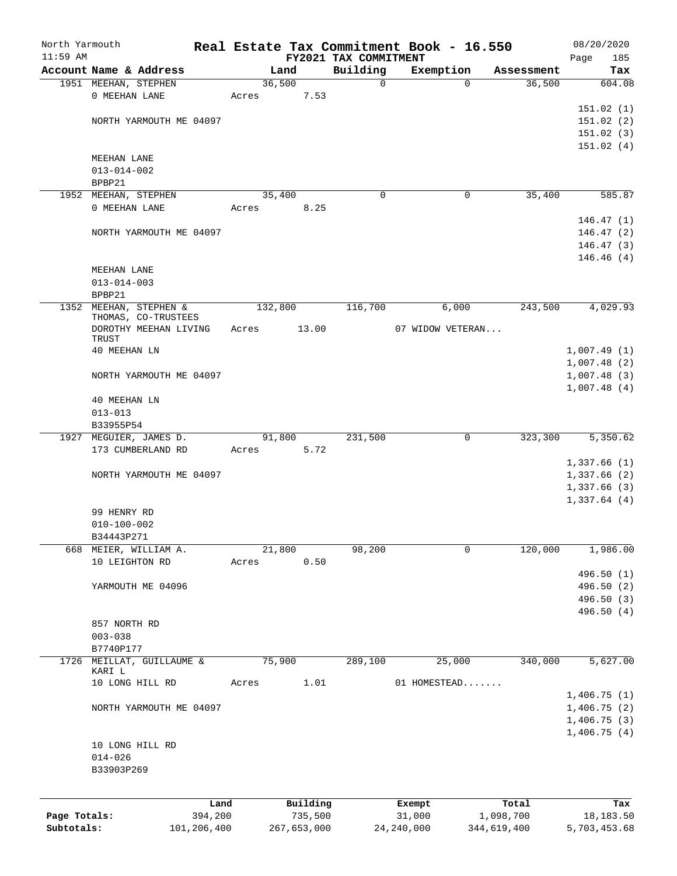| North Yarmouth |                                       |             |                 |             |                         | Real Estate Tax Commitment Book - 16.550 |                      | 08/20/2020                 |
|----------------|---------------------------------------|-------------|-----------------|-------------|-------------------------|------------------------------------------|----------------------|----------------------------|
| $11:59$ AM     |                                       |             |                 |             | FY2021 TAX COMMITMENT   |                                          |                      | Page<br>185                |
|                | Account Name & Address                |             |                 | Land        | Building<br>$\mathbf 0$ | Exemption<br>$\mathbf 0$                 | Assessment<br>36,500 | Tax                        |
|                | 1951 MEEHAN, STEPHEN<br>0 MEEHAN LANE |             | 36,500<br>Acres | 7.53        |                         |                                          |                      | 604.08                     |
|                |                                       |             |                 |             |                         |                                          |                      | 151.02(1)                  |
|                | NORTH YARMOUTH ME 04097               |             |                 |             |                         |                                          |                      | 151.02(2)                  |
|                |                                       |             |                 |             |                         |                                          |                      | 151.02(3)                  |
|                |                                       |             |                 |             |                         |                                          |                      | 151.02(4)                  |
|                | MEEHAN LANE                           |             |                 |             |                         |                                          |                      |                            |
|                | $013 - 014 - 002$                     |             |                 |             |                         |                                          |                      |                            |
|                | BPBP21                                |             |                 |             |                         |                                          |                      |                            |
|                | 1952 MEEHAN, STEPHEN                  |             | 35,400          |             | 0                       | 0                                        | 35,400               | 585.87                     |
|                | 0 MEEHAN LANE                         |             | Acres           | 8.25        |                         |                                          |                      |                            |
|                |                                       |             |                 |             |                         |                                          |                      | 146.47(1)                  |
|                | NORTH YARMOUTH ME 04097               |             |                 |             |                         |                                          |                      | 146.47(2)                  |
|                |                                       |             |                 |             |                         |                                          |                      | 146.47(3)                  |
|                |                                       |             |                 |             |                         |                                          |                      | 146.46(4)                  |
|                | MEEHAN LANE                           |             |                 |             |                         |                                          |                      |                            |
|                | $013 - 014 - 003$                     |             |                 |             |                         |                                          |                      |                            |
|                | BPBP21                                |             |                 |             |                         |                                          |                      |                            |
|                | 1352 MEEHAN, STEPHEN &                |             | 132,800         |             | 116,700                 | 6,000                                    | 243,500              | 4,029.93                   |
|                | THOMAS, CO-TRUSTEES                   |             |                 |             |                         |                                          |                      |                            |
|                | DOROTHY MEEHAN LIVING                 |             | Acres           | 13.00       |                         | 07 WIDOW VETERAN                         |                      |                            |
|                | TRUST                                 |             |                 |             |                         |                                          |                      |                            |
|                | 40 MEEHAN LN                          |             |                 |             |                         |                                          |                      | 1,007.49(1)                |
|                | NORTH YARMOUTH ME 04097               |             |                 |             |                         |                                          |                      | 1,007.48(2)                |
|                |                                       |             |                 |             |                         |                                          |                      | 1,007.48(3)<br>1,007.48(4) |
|                | 40 MEEHAN LN                          |             |                 |             |                         |                                          |                      |                            |
|                | $013 - 013$                           |             |                 |             |                         |                                          |                      |                            |
|                | B33955P54                             |             |                 |             |                         |                                          |                      |                            |
|                | 1927 MEGUIER, JAMES D.                |             | 91,800          |             | 231,500                 | 0                                        | 323,300              | 5,350.62                   |
|                | 173 CUMBERLAND RD                     |             | Acres           | 5.72        |                         |                                          |                      |                            |
|                |                                       |             |                 |             |                         |                                          |                      | 1,337.66(1)                |
|                | NORTH YARMOUTH ME 04097               |             |                 |             |                         |                                          |                      | 1,337.66(2)                |
|                |                                       |             |                 |             |                         |                                          |                      | 1,337.66(3)                |
|                |                                       |             |                 |             |                         |                                          |                      | 1,337.64(4)                |
|                | 99 HENRY RD                           |             |                 |             |                         |                                          |                      |                            |
|                | $010 - 100 - 002$                     |             |                 |             |                         |                                          |                      |                            |
|                | B34443P271                            |             |                 |             |                         |                                          |                      |                            |
| 668            | MEIER, WILLIAM A.                     |             | 21,800          |             | 98,200                  | 0                                        | 120,000              | 1,986.00                   |
|                | 10 LEIGHTON RD                        |             | Acres           | 0.50        |                         |                                          |                      |                            |
|                |                                       |             |                 |             |                         |                                          |                      | 496.50 (1)                 |
|                | YARMOUTH ME 04096                     |             |                 |             |                         |                                          |                      | 496.50 (2)                 |
|                |                                       |             |                 |             |                         |                                          |                      | 496.50 (3)                 |
|                |                                       |             |                 |             |                         |                                          |                      | 496.50 (4)                 |
|                | 857 NORTH RD                          |             |                 |             |                         |                                          |                      |                            |
|                | $003 - 038$                           |             |                 |             |                         |                                          |                      |                            |
|                | B7740P177                             |             |                 |             |                         |                                          |                      |                            |
| 1726           | MEILLAT, GUILLAUME &<br>KARI L        |             | 75,900          |             | 289,100                 | 25,000                                   | 340,000              | 5,627.00                   |
|                | 10 LONG HILL RD                       |             | Acres           | 1.01        |                         | 01 HOMESTEAD                             |                      |                            |
|                |                                       |             |                 |             |                         |                                          |                      | 1,406.75(1)                |
|                | NORTH YARMOUTH ME 04097               |             |                 |             |                         |                                          |                      | 1,406.75(2)                |
|                |                                       |             |                 |             |                         |                                          |                      | 1,406.75(3)                |
|                |                                       |             |                 |             |                         |                                          |                      | 1,406.75(4)                |
|                | 10 LONG HILL RD                       |             |                 |             |                         |                                          |                      |                            |
|                | $014 - 026$                           |             |                 |             |                         |                                          |                      |                            |
|                | B33903P269                            |             |                 |             |                         |                                          |                      |                            |
|                |                                       |             |                 |             |                         |                                          |                      |                            |
|                |                                       |             |                 |             |                         |                                          |                      |                            |
|                |                                       | Land        |                 | Building    |                         | Exempt                                   | Total                | Tax                        |
| Page Totals:   |                                       | 394,200     |                 | 735,500     |                         | 31,000                                   | 1,098,700            | 18, 183.50                 |
| Subtotals:     |                                       | 101,206,400 |                 | 267,653,000 |                         | 24, 240, 000                             | 344,619,400          | 5,703,453.68               |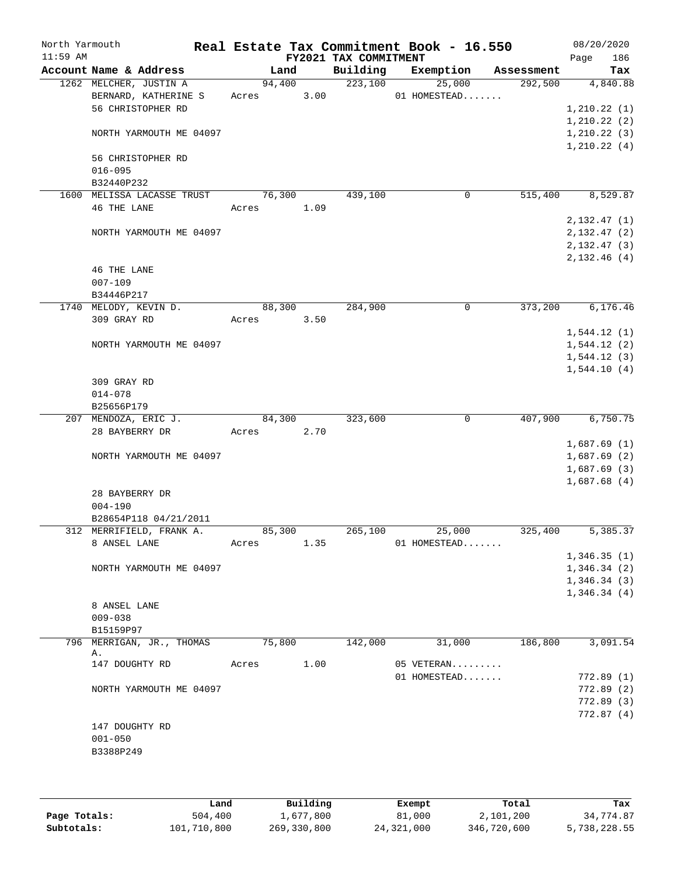| North Yarmouth<br>$11:59$ AM |                                 |        |        |      | FY2021 TAX COMMITMENT | Real Estate Tax Commitment Book - 16.550 |            | 08/20/2020<br>Page | 186 |
|------------------------------|---------------------------------|--------|--------|------|-----------------------|------------------------------------------|------------|--------------------|-----|
|                              | Account Name & Address          |        | Land   |      | Building              | Exemption                                | Assessment |                    | Tax |
|                              | 1262 MELCHER, JUSTIN A          |        | 94,400 |      | 223,100               | 25,000                                   | 292,500    | 4,840.88           |     |
|                              | BERNARD, KATHERINE S            | Acres  |        | 3.00 |                       | 01 HOMESTEAD                             |            |                    |     |
|                              | 56 CHRISTOPHER RD               |        |        |      |                       |                                          |            | 1, 210.22(1)       |     |
|                              |                                 |        |        |      |                       |                                          |            | 1, 210.22(2)       |     |
|                              | NORTH YARMOUTH ME 04097         |        |        |      |                       |                                          |            | 1, 210.22(3)       |     |
|                              |                                 |        |        |      |                       |                                          |            | 1, 210.22(4)       |     |
|                              | 56 CHRISTOPHER RD               |        |        |      |                       |                                          |            |                    |     |
|                              | $016 - 095$                     |        |        |      |                       |                                          |            |                    |     |
|                              | B32440P232                      |        |        |      |                       |                                          |            |                    |     |
|                              | 1600 MELISSA LACASSE TRUST      |        | 76,300 |      | 439,100               | 0                                        | 515,400    | 8,529.87           |     |
|                              | 46 THE LANE                     | Acres  |        | 1.09 |                       |                                          |            |                    |     |
|                              |                                 |        |        |      |                       |                                          |            | 2,132.47(1)        |     |
|                              | NORTH YARMOUTH ME 04097         |        |        |      |                       |                                          |            | 2,132.47(2)        |     |
|                              |                                 |        |        |      |                       |                                          |            | 2, 132. 47 (3)     |     |
|                              |                                 |        |        |      |                       |                                          |            | 2,132.46(4)        |     |
|                              | 46 THE LANE                     |        |        |      |                       |                                          |            |                    |     |
|                              | $007 - 109$                     |        |        |      |                       |                                          |            |                    |     |
|                              | B34446P217                      |        |        |      |                       |                                          |            |                    |     |
|                              | 1740 MELODY, KEVIN D.           |        | 88,300 |      | 284,900               | 0                                        | 373,200    | 6, 176.46          |     |
|                              | 309 GRAY RD                     | Acres  |        | 3.50 |                       |                                          |            |                    |     |
|                              |                                 |        |        |      |                       |                                          |            | 1,544.12(1)        |     |
|                              | NORTH YARMOUTH ME 04097         |        |        |      |                       |                                          |            | 1,544.12(2)        |     |
|                              |                                 |        |        |      |                       |                                          |            | 1,544.12(3)        |     |
|                              |                                 |        |        |      |                       |                                          |            | 1,544.10(4)        |     |
|                              | 309 GRAY RD                     |        |        |      |                       |                                          |            |                    |     |
|                              | $014 - 078$                     |        |        |      |                       |                                          |            |                    |     |
|                              | B25656P179                      |        |        |      |                       |                                          |            |                    |     |
|                              | 207 MENDOZA, ERIC J.            | 84,300 |        |      | 323,600               | $\mathsf{O}$                             | 407,900    | 6,750.75           |     |
|                              | 28 BAYBERRY DR                  | Acres  |        | 2.70 |                       |                                          |            |                    |     |
|                              |                                 |        |        |      |                       |                                          |            | 1,687.69(1)        |     |
|                              | NORTH YARMOUTH ME 04097         |        |        |      |                       |                                          |            | 1,687.69(2)        |     |
|                              |                                 |        |        |      |                       |                                          |            | 1,687.69(3)        |     |
|                              |                                 |        |        |      |                       |                                          |            | 1,687.68(4)        |     |
|                              | 28 BAYBERRY DR                  |        |        |      |                       |                                          |            |                    |     |
|                              | $004 - 190$                     |        |        |      |                       |                                          |            |                    |     |
|                              | B28654P118 04/21/2011           |        |        |      |                       |                                          |            |                    |     |
|                              | 312 MERRIFIELD, FRANK A.        | 85,300 |        |      | 265,100               | 25,000                                   | 325,400    | 5,385.37           |     |
|                              | 8 ANSEL LANE                    | Acres  |        | 1.35 |                       | 01 HOMESTEAD                             |            |                    |     |
|                              |                                 |        |        |      |                       |                                          |            | 1,346.35(1)        |     |
|                              | NORTH YARMOUTH ME 04097         |        |        |      |                       |                                          |            | 1,346.34(2)        |     |
|                              |                                 |        |        |      |                       |                                          |            | 1,346.34(3)        |     |
|                              |                                 |        |        |      |                       |                                          |            | 1,346.34(4)        |     |
|                              | 8 ANSEL LANE                    |        |        |      |                       |                                          |            |                    |     |
|                              | $009 - 038$                     |        |        |      |                       |                                          |            |                    |     |
|                              | B15159P97                       |        |        |      |                       |                                          |            |                    |     |
|                              | 796 MERRIGAN, JR., THOMAS<br>Α. | 75,800 |        |      | 142,000               | 31,000                                   | 186,800    | 3,091.54           |     |
|                              | 147 DOUGHTY RD                  | Acres  |        | 1.00 |                       | 05 VETERAN                               |            |                    |     |
|                              |                                 |        |        |      |                       | 01 HOMESTEAD                             |            | 772.89(1)          |     |
|                              | NORTH YARMOUTH ME 04097         |        |        |      |                       |                                          |            | 772.89(2)          |     |
|                              |                                 |        |        |      |                       |                                          |            | 772.89(3)          |     |
|                              |                                 |        |        |      |                       |                                          |            | 772.87(4)          |     |
|                              | 147 DOUGHTY RD                  |        |        |      |                       |                                          |            |                    |     |
|                              | $001 - 050$                     |        |        |      |                       |                                          |            |                    |     |
|                              | B3388P249                       |        |        |      |                       |                                          |            |                    |     |
|                              |                                 |        |        |      |                       |                                          |            |                    |     |
|                              |                                 |        |        |      |                       |                                          |            |                    |     |

|              | Land        | Building    | Exempt     | Total       | Tax          |
|--------------|-------------|-------------|------------|-------------|--------------|
| Page Totals: | 504,400     | 1,677,800   | 81,000     | 2,101,200   | 34,774.87    |
| Subtotals:   | 101,710,800 | 269,330,800 | 24,321,000 | 346,720,600 | 5,738,228.55 |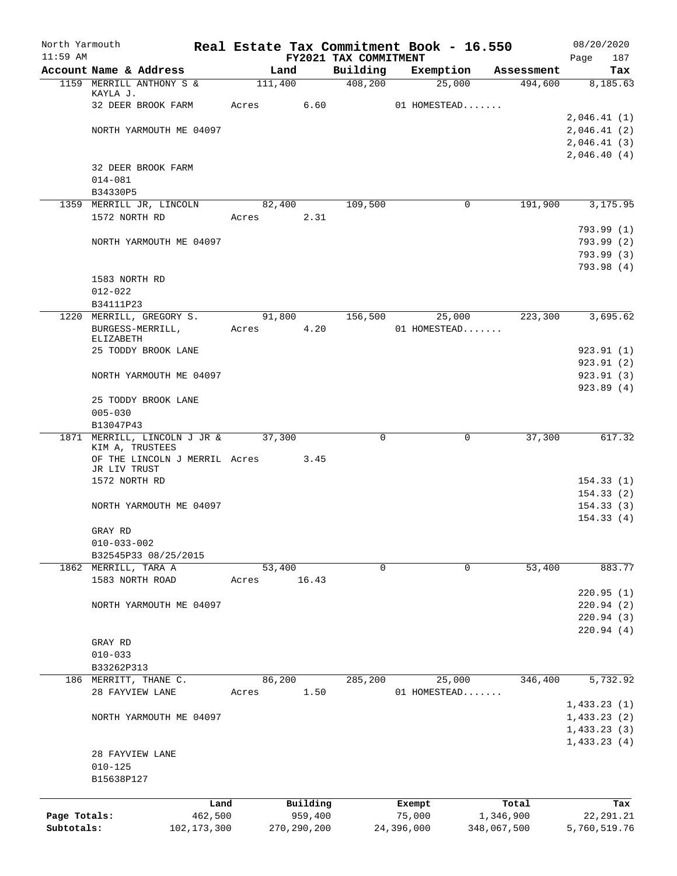| North Yarmouth |                                                    | Real Estate Tax Commitment Book - 16.550 |               |                       |              |             |                       | 08/20/2020      |
|----------------|----------------------------------------------------|------------------------------------------|---------------|-----------------------|--------------|-------------|-----------------------|-----------------|
| $11:59$ AM     |                                                    |                                          |               | FY2021 TAX COMMITMENT |              |             |                       | Page<br>187     |
|                | Account Name & Address<br>1159 MERRILL ANTHONY S & | Land<br>111,400                          |               | Building<br>408,200   | Exemption    | 25,000      | Assessment<br>494,600 | Tax<br>8,185.63 |
|                | KAYLA J.                                           |                                          |               |                       |              |             |                       |                 |
|                | 32 DEER BROOK FARM                                 | Acres                                    | 6.60          |                       | 01 HOMESTEAD |             |                       |                 |
|                |                                                    |                                          |               |                       |              |             |                       | 2,046.41(1)     |
|                | NORTH YARMOUTH ME 04097                            |                                          |               |                       |              |             |                       | 2,046.41(2)     |
|                |                                                    |                                          |               |                       |              |             |                       | 2,046.41(3)     |
|                |                                                    |                                          |               |                       |              |             |                       | 2,046.40(4)     |
|                | 32 DEER BROOK FARM                                 |                                          |               |                       |              |             |                       |                 |
|                | $014 - 081$<br>B34330P5                            |                                          |               |                       |              |             |                       |                 |
|                | 1359 MERRILL JR, LINCOLN                           | 82,400                                   |               | 109,500               |              | 0           | 191,900               | 3,175.95        |
|                | 1572 NORTH RD                                      | Acres                                    | 2.31          |                       |              |             |                       |                 |
|                |                                                    |                                          |               |                       |              |             |                       | 793.99(1)       |
|                | NORTH YARMOUTH ME 04097                            |                                          |               |                       |              |             |                       | 793.99 (2)      |
|                |                                                    |                                          |               |                       |              |             |                       | 793.99(3)       |
|                |                                                    |                                          |               |                       |              |             |                       | 793.98(4)       |
|                | 1583 NORTH RD                                      |                                          |               |                       |              |             |                       |                 |
|                | $012 - 022$                                        |                                          |               |                       |              |             |                       |                 |
|                | B34111P23                                          |                                          |               |                       |              |             |                       |                 |
|                | 1220 MERRILL, GREGORY S.                           | 91,800                                   |               | 156,500               |              | 25,000      | 223,300               | 3,695.62        |
|                | BURGESS-MERRILL,<br>ELIZABETH                      | Acres                                    | 4.20          |                       | 01 HOMESTEAD |             |                       |                 |
|                | 25 TODDY BROOK LANE                                |                                          |               |                       |              |             |                       | 923.91(1)       |
|                |                                                    |                                          |               |                       |              |             |                       | 923.91(2)       |
|                | NORTH YARMOUTH ME 04097                            |                                          |               |                       |              |             |                       | 923.91(3)       |
|                |                                                    |                                          |               |                       |              |             |                       | 923.89(4)       |
|                | 25 TODDY BROOK LANE                                |                                          |               |                       |              |             |                       |                 |
|                | $005 - 030$                                        |                                          |               |                       |              |             |                       |                 |
|                | B13047P43                                          |                                          |               |                       |              |             |                       |                 |
|                | 1871 MERRILL, LINCOLN J JR &<br>KIM A, TRUSTEES    | 37,300                                   |               | $\mathbf 0$           |              | 0           | 37,300                | 617.32          |
|                | OF THE LINCOLN J MERRIL Acres                      |                                          | 3.45          |                       |              |             |                       |                 |
|                | JR LIV TRUST                                       |                                          |               |                       |              |             |                       |                 |
|                | 1572 NORTH RD                                      |                                          |               |                       |              |             |                       | 154.33(1)       |
|                |                                                    |                                          |               |                       |              |             |                       | 154.33(2)       |
|                | NORTH YARMOUTH ME 04097                            |                                          |               |                       |              |             |                       | 154.33(3)       |
|                |                                                    |                                          |               |                       |              |             |                       | 154.33(4)       |
|                | GRAY RD<br>$010 - 033 - 002$                       |                                          |               |                       |              |             |                       |                 |
|                | B32545P33 08/25/2015                               |                                          |               |                       |              |             |                       |                 |
|                | 1862 MERRILL, TARA A                               | 53,400                                   |               | 0                     |              | $\mathbf 0$ | 53,400                | 883.77          |
|                | 1583 NORTH ROAD                                    | Acres                                    | 16.43         |                       |              |             |                       |                 |
|                |                                                    |                                          |               |                       |              |             |                       | 220.95(1)       |
|                | NORTH YARMOUTH ME 04097                            |                                          |               |                       |              |             |                       | 220.94(2)       |
|                |                                                    |                                          |               |                       |              |             |                       | 220.94(3)       |
|                |                                                    |                                          |               |                       |              |             |                       | 220.94(4)       |
|                | GRAY RD                                            |                                          |               |                       |              |             |                       |                 |
|                | $010 - 033$                                        |                                          |               |                       |              |             |                       |                 |
|                | B33262P313                                         |                                          |               |                       |              |             |                       |                 |
|                | 186 MERRITT, THANE C.                              | 86,200                                   |               | 285,200               |              | 25,000      | 346,400               | 5,732.92        |
|                | 28 FAYVIEW LANE                                    | Acres                                    | 1.50          |                       | 01 HOMESTEAD |             |                       | 1,433.23(1)     |
|                | NORTH YARMOUTH ME 04097                            |                                          |               |                       |              |             |                       | 1,433.23(2)     |
|                |                                                    |                                          |               |                       |              |             |                       | 1,433.23(3)     |
|                |                                                    |                                          |               |                       |              |             |                       | 1,433.23(4)     |
|                | 28 FAYVIEW LANE                                    |                                          |               |                       |              |             |                       |                 |
|                | $010 - 125$                                        |                                          |               |                       |              |             |                       |                 |
|                | B15638P127                                         |                                          |               |                       |              |             |                       |                 |
|                |                                                    |                                          |               |                       |              |             |                       |                 |
|                | Land                                               |                                          | Building      |                       | Exempt       |             | Total                 | Tax             |
| Page Totals:   | 462,500                                            |                                          | 959,400       |                       | 75,000       |             | 1,346,900             | 22, 291.21      |
| Subtotals:     | 102, 173, 300                                      |                                          | 270, 290, 200 |                       | 24,396,000   | 348,067,500 |                       | 5,760,519.76    |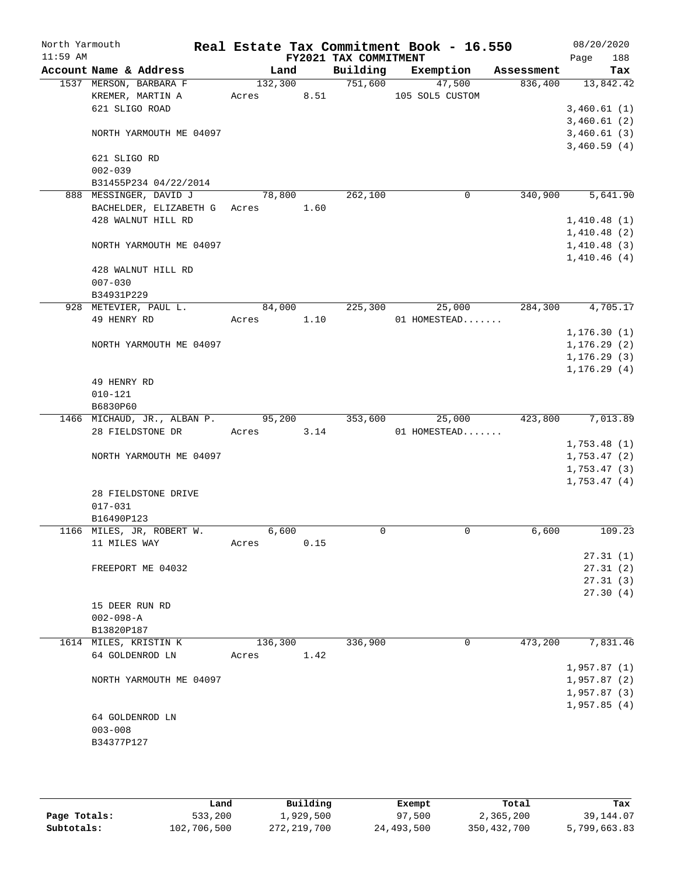| North Yarmouth |                                            |            |      |                       | Real Estate Tax Commitment Book - 16.550 |            | 08/20/2020         |
|----------------|--------------------------------------------|------------|------|-----------------------|------------------------------------------|------------|--------------------|
| $11:59$ AM     | Account Name & Address                     | Land       |      | FY2021 TAX COMMITMENT | Building Exemption                       | Assessment | 188<br>Page<br>Tax |
|                | 1537 MERSON, BARBARA F                     |            |      | 132,300 751,600       | 47,500                                   | 836,400    | 13,842.42          |
|                | KREMER, MARTIN A                           | Acres 8.51 |      |                       | 105 SOL5 CUSTOM                          |            |                    |
|                | 621 SLIGO ROAD                             |            |      |                       |                                          |            | 3,460.61(1)        |
|                |                                            |            |      |                       |                                          |            | 3,460.61(2)        |
|                | NORTH YARMOUTH ME 04097                    |            |      |                       |                                          |            | 3,460.61(3)        |
|                |                                            |            |      |                       |                                          |            | 3,460.59(4)        |
|                | 621 SLIGO RD                               |            |      |                       |                                          |            |                    |
|                | $002 - 039$                                |            |      |                       |                                          |            |                    |
|                | B31455P234 04/22/2014                      |            |      |                       |                                          |            |                    |
|                | 888 MESSINGER, DAVID J                     | 78,800     |      | 262,100               | $\mathbf 0$                              | 340,900    | 5,641.90           |
|                | BACHELDER, ELIZABETH G Acres 1.60          |            |      |                       |                                          |            |                    |
|                | 428 WALNUT HILL RD                         |            |      |                       |                                          |            | 1,410.48(1)        |
|                |                                            |            |      |                       |                                          |            | 1,410.48(2)        |
|                | NORTH YARMOUTH ME 04097                    |            |      |                       |                                          |            | 1,410.48(3)        |
|                |                                            |            |      |                       |                                          |            | 1,410.46(4)        |
|                | 428 WALNUT HILL RD                         |            |      |                       |                                          |            |                    |
|                | $007 - 030$                                |            |      |                       |                                          |            |                    |
|                | B34931P229<br>928 METEVIER, PAUL L.        | 84,000     |      | 225,300               | 25,000                                   | 284,300    | 4,705.17           |
|                | 49 HENRY RD                                | Acres 1.10 |      |                       | 01 HOMESTEAD                             |            |                    |
|                |                                            |            |      |                       |                                          |            | 1, 176.30(1)       |
|                | NORTH YARMOUTH ME 04097                    |            |      |                       |                                          |            | 1, 176.29(2)       |
|                |                                            |            |      |                       |                                          |            | 1, 176.29(3)       |
|                |                                            |            |      |                       |                                          |            | 1, 176.29(4)       |
|                | 49 HENRY RD                                |            |      |                       |                                          |            |                    |
|                | $010 - 121$                                |            |      |                       |                                          |            |                    |
|                | B6830P60                                   |            |      |                       |                                          |            |                    |
|                | 1466 MICHAUD, JR., ALBAN P. 95,200 353,600 |            |      |                       | 25,000                                   |            | 423,800 7,013.89   |
|                | 28 FIELDSTONE DR                           | Acres 3.14 |      |                       | 01 HOMESTEAD                             |            |                    |
|                |                                            |            |      |                       |                                          |            | 1,753.48(1)        |
|                | NORTH YARMOUTH ME 04097                    |            |      |                       |                                          |            | 1,753.47(2)        |
|                |                                            |            |      |                       |                                          |            | 1,753.47(3)        |
|                |                                            |            |      |                       |                                          |            | 1,753.47(4)        |
|                | 28 FIELDSTONE DRIVE                        |            |      |                       |                                          |            |                    |
|                | $017 - 031$                                |            |      |                       |                                          |            |                    |
|                | B16490P123                                 |            |      |                       |                                          |            |                    |
|                | 1166 MILES, JR, ROBERT W.                  | 6,600      |      | 0                     | 0                                        | 6,600      | 109.23             |
|                | 11 MILES WAY                               | Acres      | 0.15 |                       |                                          |            | 27.31(1)           |
|                | FREEPORT ME 04032                          |            |      |                       |                                          |            | 27.31(2)           |
|                |                                            |            |      |                       |                                          |            | 27.31(3)           |
|                |                                            |            |      |                       |                                          |            | 27.30(4)           |
|                | 15 DEER RUN RD                             |            |      |                       |                                          |            |                    |
|                | $002 - 098 - A$                            |            |      |                       |                                          |            |                    |
|                | B13820P187                                 |            |      |                       |                                          |            |                    |
|                | 1614 MILES, KRISTIN K                      | 136,300    |      | 336,900               | 0                                        | 473,200    | 7,831.46           |
|                | 64 GOLDENROD LN                            | Acres      | 1.42 |                       |                                          |            |                    |
|                |                                            |            |      |                       |                                          |            | 1,957.87(1)        |
|                | NORTH YARMOUTH ME 04097                    |            |      |                       |                                          |            | 1,957.87(2)        |
|                |                                            |            |      |                       |                                          |            | 1,957.87(3)        |
|                |                                            |            |      |                       |                                          |            | 1,957.85(4)        |
|                | 64 GOLDENROD LN                            |            |      |                       |                                          |            |                    |
|                | $003 - 008$                                |            |      |                       |                                          |            |                    |
|                | B34377P127                                 |            |      |                       |                                          |            |                    |
|                |                                            |            |      |                       |                                          |            |                    |

|              | Land        | Building    | Exempt     | Total       | Tax          |
|--------------|-------------|-------------|------------|-------------|--------------|
| Page Totals: | 533,200     | l,929,500   | 97,500     | 2,365,200   | 39,144.07    |
| Subtotals:   | 102,706,500 | 272,219,700 | 24,493,500 | 350,432,700 | 5,799,663.83 |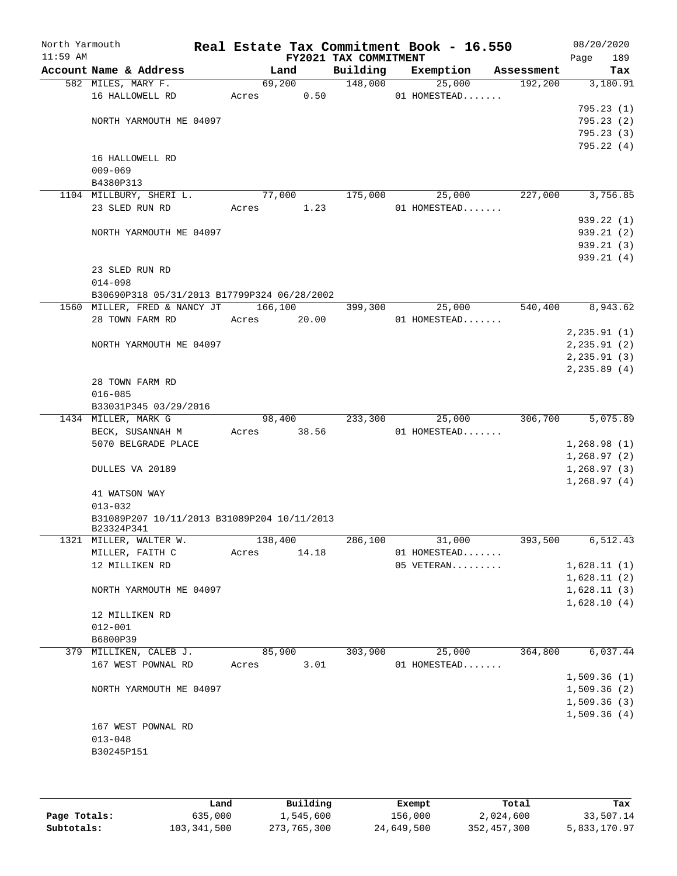| North Yarmouth<br>$11:59$ AM |                                                           |         |       | FY2021 TAX COMMITMENT | Real Estate Tax Commitment Book - 16.550 |            | 08/20/2020<br>189<br>Page |
|------------------------------|-----------------------------------------------------------|---------|-------|-----------------------|------------------------------------------|------------|---------------------------|
|                              | Account Name & Address                                    | Land    |       | Building              | Exemption                                | Assessment | Tax                       |
|                              | 582 MILES, MARY F.                                        | 69,200  |       | 148,000               | 25,000                                   | 192,200    | 3,180.91                  |
|                              | 16 HALLOWELL RD                                           | Acres   | 0.50  |                       | 01 HOMESTEAD                             |            |                           |
|                              |                                                           |         |       |                       |                                          |            | 795.23(1)                 |
|                              | NORTH YARMOUTH ME 04097                                   |         |       |                       |                                          |            | 795.23(2)                 |
|                              |                                                           |         |       |                       |                                          |            | 795.23(3)                 |
|                              |                                                           |         |       |                       |                                          |            | 795.22 (4)                |
|                              | 16 HALLOWELL RD<br>$009 - 069$                            |         |       |                       |                                          |            |                           |
|                              | B4380P313                                                 |         |       |                       |                                          |            |                           |
|                              | 1104 MILLBURY, SHERI L.                                   | 77,000  |       | 175,000               | 25,000                                   | 227,000    | 3,756.85                  |
|                              | 23 SLED RUN RD                                            | Acres   | 1.23  |                       | 01 HOMESTEAD                             |            |                           |
|                              |                                                           |         |       |                       |                                          |            | 939.22 (1)                |
|                              | NORTH YARMOUTH ME 04097                                   |         |       |                       |                                          |            | 939.21(2)                 |
|                              |                                                           |         |       |                       |                                          |            | 939.21 (3)                |
|                              |                                                           |         |       |                       |                                          |            | 939.21(4)                 |
|                              | 23 SLED RUN RD                                            |         |       |                       |                                          |            |                           |
|                              | $014 - 098$                                               |         |       |                       |                                          |            |                           |
|                              | B30690P318 05/31/2013 B17799P324 06/28/2002               |         |       |                       |                                          |            |                           |
|                              | 1560 MILLER, FRED & NANCY JT                              | 166,100 |       | 399,300               | 25,000                                   | 540,400    | 8,943.62                  |
|                              | 28 TOWN FARM RD                                           | Acres   | 20.00 |                       | 01 HOMESTEAD                             |            |                           |
|                              |                                                           |         |       |                       |                                          |            | 2, 235.91(1)              |
|                              | NORTH YARMOUTH ME 04097                                   |         |       |                       |                                          |            | 2, 235.91(2)              |
|                              |                                                           |         |       |                       |                                          |            | 2, 235.91(3)              |
|                              |                                                           |         |       |                       |                                          |            | 2, 235.89(4)              |
|                              | 28 TOWN FARM RD                                           |         |       |                       |                                          |            |                           |
|                              | $016 - 085$                                               |         |       |                       |                                          |            |                           |
|                              | B33031P345 03/29/2016                                     |         |       |                       |                                          |            |                           |
|                              | 1434 MILLER, MARK G                                       | 98,400  |       | 233,300               | 25,000                                   | 306,700    | 5,075.89                  |
|                              | BECK, SUSANNAH M                                          | Acres   | 38.56 |                       | 01 HOMESTEAD                             |            |                           |
|                              | 5070 BELGRADE PLACE                                       |         |       |                       |                                          |            | 1,268.98(1)               |
|                              |                                                           |         |       |                       |                                          |            | 1,268.97(2)               |
|                              | DULLES VA 20189                                           |         |       |                       |                                          |            | 1,268.97(3)               |
|                              |                                                           |         |       |                       |                                          |            | 1,268.97(4)               |
|                              | 41 WATSON WAY                                             |         |       |                       |                                          |            |                           |
|                              | $013 - 032$                                               |         |       |                       |                                          |            |                           |
|                              | B31089P207 10/11/2013 B31089P204 10/11/2013<br>B23324P341 |         |       |                       |                                          |            |                           |
|                              | 1321 MILLER, WALTER W.                                    | 138,400 |       | 286,100               | 31,000                                   | 393,500    | 6,512.43                  |
|                              | MILLER, FAITH C                                           | Acres   | 14.18 |                       | 01 HOMESTEAD                             |            |                           |
|                              | 12 MILLIKEN RD                                            |         |       |                       | 05 VETERAN                               |            | 1,628.11(1)               |
|                              |                                                           |         |       |                       |                                          |            | 1,628.11(2)               |
|                              | NORTH YARMOUTH ME 04097                                   |         |       |                       |                                          |            | 1,628.11(3)               |
|                              |                                                           |         |       |                       |                                          |            | 1,628.10(4)               |
|                              | 12 MILLIKEN RD                                            |         |       |                       |                                          |            |                           |
|                              | $012 - 001$                                               |         |       |                       |                                          |            |                           |
|                              | B6800P39                                                  |         |       |                       |                                          |            |                           |
|                              | 379 MILLIKEN, CALEB J.                                    | 85,900  |       | 303,900               | 25,000                                   | 364,800    | 6,037.44                  |
|                              | 167 WEST POWNAL RD                                        | Acres   | 3.01  |                       | 01 HOMESTEAD                             |            |                           |
|                              |                                                           |         |       |                       |                                          |            | 1,509.36(1)               |
|                              | NORTH YARMOUTH ME 04097                                   |         |       |                       |                                          |            | 1,509.36(2)               |
|                              |                                                           |         |       |                       |                                          |            | 1,509.36(3)               |
|                              |                                                           |         |       |                       |                                          |            | 1,509.36(4)               |
|                              | 167 WEST POWNAL RD                                        |         |       |                       |                                          |            |                           |
|                              | $013 - 048$                                               |         |       |                       |                                          |            |                           |
|                              | B30245P151                                                |         |       |                       |                                          |            |                           |
|                              |                                                           |         |       |                       |                                          |            |                           |
|                              |                                                           |         |       |                       |                                          |            |                           |

|              | Land        | Building    | Exempt     | Total       | Tax          |
|--------------|-------------|-------------|------------|-------------|--------------|
| Page Totals: | 635,000     | 1,545,600   | 156,000    | 2,024,600   | 33,507.14    |
| Subtotals:   | 103,341,500 | 273,765,300 | 24,649,500 | 352,457,300 | 5,833,170.97 |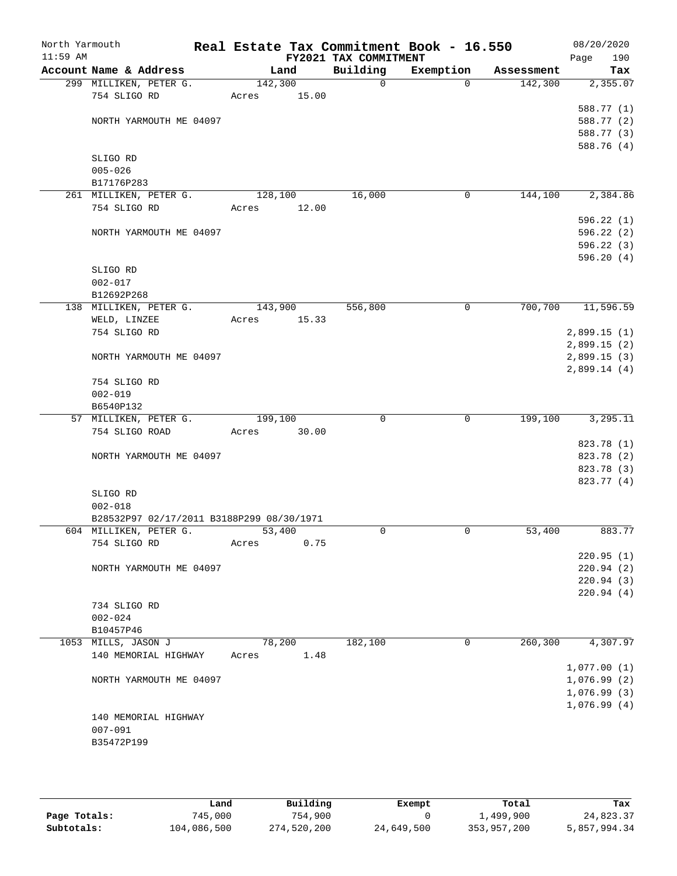| North Yarmouth |                                           |         |       |                                   | Real Estate Tax Commitment Book - 16.550 |            | 08/20/2020                 |
|----------------|-------------------------------------------|---------|-------|-----------------------------------|------------------------------------------|------------|----------------------------|
| $11:59$ AM     | Account Name & Address                    |         | Land  | FY2021 TAX COMMITMENT<br>Building | Exemption                                | Assessment | Page<br>190<br>Tax         |
|                | 299 MILLIKEN, PETER G.                    | 142,300 |       | 0                                 | $\mathbf 0$                              | 142,300    | 2,355.07                   |
|                | 754 SLIGO RD                              | Acres   | 15.00 |                                   |                                          |            |                            |
|                |                                           |         |       |                                   |                                          |            | 588.77 (1)                 |
|                | NORTH YARMOUTH ME 04097                   |         |       |                                   |                                          |            | 588.77 (2)                 |
|                |                                           |         |       |                                   |                                          |            | 588.77 (3)                 |
|                |                                           |         |       |                                   |                                          |            | 588.76 (4)                 |
|                | SLIGO RD                                  |         |       |                                   |                                          |            |                            |
|                | $005 - 026$                               |         |       |                                   |                                          |            |                            |
|                | B17176P283                                |         |       |                                   |                                          |            |                            |
|                | 261 MILLIKEN, PETER G.                    | 128,100 |       | 16,000                            | 0                                        | 144,100    | 2,384.86                   |
|                | 754 SLIGO RD                              | Acres   | 12.00 |                                   |                                          |            |                            |
|                |                                           |         |       |                                   |                                          |            | 596.22(1)                  |
|                | NORTH YARMOUTH ME 04097                   |         |       |                                   |                                          |            | 596.22 (2)                 |
|                |                                           |         |       |                                   |                                          |            | 596.22 (3)                 |
|                |                                           |         |       |                                   |                                          |            | 596.20(4)                  |
|                | SLIGO RD                                  |         |       |                                   |                                          |            |                            |
|                | $002 - 017$                               |         |       |                                   |                                          |            |                            |
|                | B12692P268                                |         |       |                                   |                                          |            |                            |
|                | 138 MILLIKEN, PETER G.                    | 143,900 |       | 556,800                           | 0                                        | 700,700    | 11,596.59                  |
|                | WELD, LINZEE                              | Acres   | 15.33 |                                   |                                          |            |                            |
|                | 754 SLIGO RD                              |         |       |                                   |                                          |            | 2,899.15(1)<br>2,899.15(2) |
|                | NORTH YARMOUTH ME 04097                   |         |       |                                   |                                          |            | 2,899.15(3)                |
|                |                                           |         |       |                                   |                                          |            | 2,899.14(4)                |
|                | 754 SLIGO RD                              |         |       |                                   |                                          |            |                            |
|                | $002 - 019$                               |         |       |                                   |                                          |            |                            |
|                | B6540P132                                 |         |       |                                   |                                          |            |                            |
|                | 57 MILLIKEN, PETER G.                     | 199,100 |       | $\mathbf 0$                       | $\mathbf 0$                              | 199,100    | 3, 295.11                  |
|                | 754 SLIGO ROAD                            | Acres   | 30.00 |                                   |                                          |            |                            |
|                |                                           |         |       |                                   |                                          |            | 823.78 (1)                 |
|                | NORTH YARMOUTH ME 04097                   |         |       |                                   |                                          |            | 823.78 (2)                 |
|                |                                           |         |       |                                   |                                          |            | 823.78 (3)                 |
|                |                                           |         |       |                                   |                                          |            | 823.77 (4)                 |
|                | SLIGO RD                                  |         |       |                                   |                                          |            |                            |
|                | $002 - 018$                               |         |       |                                   |                                          |            |                            |
|                | B28532P97 02/17/2011 B3188P299 08/30/1971 |         |       |                                   |                                          |            |                            |
|                | 604 MILLIKEN, PETER G.                    | 53,400  |       | $\mathbf 0$                       | $\mathbf 0$                              | 53,400     | 883.77                     |
|                | 754 SLIGO RD                              | Acres   | 0.75  |                                   |                                          |            |                            |
|                | NORTH YARMOUTH ME 04097                   |         |       |                                   |                                          |            | 220.95(1)<br>220.94(2)     |
|                |                                           |         |       |                                   |                                          |            | 220.94(3)                  |
|                |                                           |         |       |                                   |                                          |            | 220.94(4)                  |
|                | 734 SLIGO RD                              |         |       |                                   |                                          |            |                            |
|                | $002 - 024$                               |         |       |                                   |                                          |            |                            |
|                | B10457P46                                 |         |       |                                   |                                          |            |                            |
|                | 1053 MILLS, JASON J                       | 78,200  |       | 182,100                           | 0                                        | 260,300    | 4,307.97                   |
|                | 140 MEMORIAL HIGHWAY                      | Acres   | 1.48  |                                   |                                          |            |                            |
|                |                                           |         |       |                                   |                                          |            | 1,077.00(1)                |
|                | NORTH YARMOUTH ME 04097                   |         |       |                                   |                                          |            | 1,076.99(2)                |
|                |                                           |         |       |                                   |                                          |            | 1,076.99(3)                |
|                |                                           |         |       |                                   |                                          |            | 1,076.99(4)                |
|                | 140 MEMORIAL HIGHWAY                      |         |       |                                   |                                          |            |                            |
|                | $007 - 091$                               |         |       |                                   |                                          |            |                            |
|                | B35472P199                                |         |       |                                   |                                          |            |                            |
|                |                                           |         |       |                                   |                                          |            |                            |

|              | Land        | Building    | Exempt     | Total       | Tax          |
|--------------|-------------|-------------|------------|-------------|--------------|
| Page Totals: | 745,000     | 754,900     |            | 1,499,900   | 24,823.37    |
| Subtotals:   | 104,086,500 | 274,520,200 | 24,649,500 | 353,957,200 | 5,857,994.34 |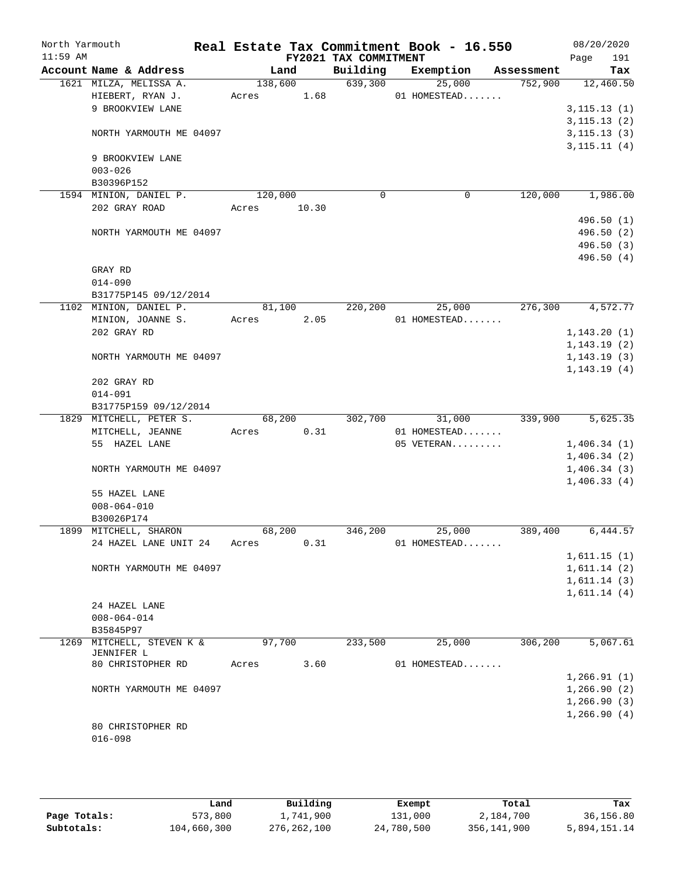| North Yarmouth<br>$11:59$ AM |                                  |         |       | FY2021 TAX COMMITMENT | Real Estate Tax Commitment Book - 16.550 |            | 08/20/2020<br>191           |
|------------------------------|----------------------------------|---------|-------|-----------------------|------------------------------------------|------------|-----------------------------|
|                              | Account Name & Address           | Land    |       | Building              | Exemption                                | Assessment | Page<br>Tax                 |
|                              | 1621 MILZA, MELISSA A.           | 138,600 |       | 639,300               | 25,000                                   | 752,900    | 12,460.50                   |
|                              | HIEBERT, RYAN J.                 | Acres   | 1.68  |                       | 01 HOMESTEAD                             |            |                             |
|                              | 9 BROOKVIEW LANE                 |         |       |                       |                                          |            | 3, 115.13(1)                |
|                              |                                  |         |       |                       |                                          |            | 3, 115.13(2)                |
|                              | NORTH YARMOUTH ME 04097          |         |       |                       |                                          |            | 3, 115.13(3)                |
|                              |                                  |         |       |                       |                                          |            | 3, 115.11(4)                |
|                              | 9 BROOKVIEW LANE                 |         |       |                       |                                          |            |                             |
|                              | $003 - 026$<br>B30396P152        |         |       |                       |                                          |            |                             |
|                              | 1594 MINION, DANIEL P.           | 120,000 |       | $\mathbf 0$           | 0                                        | 120,000    | 1,986.00                    |
|                              | 202 GRAY ROAD                    | Acres   | 10.30 |                       |                                          |            |                             |
|                              |                                  |         |       |                       |                                          |            | 496.50 (1)                  |
|                              | NORTH YARMOUTH ME 04097          |         |       |                       |                                          |            | 496.50 (2)                  |
|                              |                                  |         |       |                       |                                          |            | 496.50 (3)                  |
|                              |                                  |         |       |                       |                                          |            | 496.50(4)                   |
|                              | GRAY RD                          |         |       |                       |                                          |            |                             |
|                              | $014 - 090$                      |         |       |                       |                                          |            |                             |
|                              | B31775P145 09/12/2014            |         |       |                       |                                          |            |                             |
|                              | 1102 MINION, DANIEL P.           | 81,100  |       | 220,200               | 25,000<br>01 HOMESTEAD                   | 276,300    | 4,572.77                    |
|                              | MINION, JOANNE S.<br>202 GRAY RD | Acres   | 2.05  |                       |                                          |            | 1, 143.20(1)                |
|                              |                                  |         |       |                       |                                          |            | 1,143.19(2)                 |
|                              | NORTH YARMOUTH ME 04097          |         |       |                       |                                          |            | 1,143.19(3)                 |
|                              |                                  |         |       |                       |                                          |            | 1, 143.19(4)                |
|                              | 202 GRAY RD                      |         |       |                       |                                          |            |                             |
|                              | $014 - 091$                      |         |       |                       |                                          |            |                             |
|                              | B31775P159 09/12/2014            |         |       |                       |                                          |            |                             |
|                              | 1829 MITCHELL, PETER S.          | 68,200  |       | 302,700               | 31,000                                   | 339,900    | 5,625.35                    |
|                              | MITCHELL, JEANNE                 | Acres   | 0.31  |                       | 01 HOMESTEAD                             |            |                             |
|                              | 55 HAZEL LANE                    |         |       |                       | 05 VETERAN                               |            | 1,406.34(1)                 |
|                              | NORTH YARMOUTH ME 04097          |         |       |                       |                                          |            | 1,406.34(2)<br>1,406.34(3)  |
|                              |                                  |         |       |                       |                                          |            | 1,406.33(4)                 |
|                              | 55 HAZEL LANE                    |         |       |                       |                                          |            |                             |
|                              | $008 - 064 - 010$                |         |       |                       |                                          |            |                             |
|                              | B30026P174                       |         |       |                       |                                          |            |                             |
|                              | 1899 MITCHELL, SHARON            | 68,200  |       | 346,200               | 25,000                                   | 389,400    | 6,444.57                    |
|                              | 24 HAZEL LANE UNIT 24            | Acres   | 0.31  |                       | 01 HOMESTEAD                             |            |                             |
|                              |                                  |         |       |                       |                                          |            | 1,611.15(1)                 |
|                              | NORTH YARMOUTH ME 04097          |         |       |                       |                                          |            | 1,611.14(2)                 |
|                              |                                  |         |       |                       |                                          |            | 1,611.14(3)                 |
|                              | 24 HAZEL LANE                    |         |       |                       |                                          |            | 1,611.14(4)                 |
|                              | $008 - 064 - 014$                |         |       |                       |                                          |            |                             |
|                              | B35845P97                        |         |       |                       |                                          |            |                             |
|                              | 1269 MITCHELL, STEVEN K &        | 97,700  |       | 233,500               | 25,000                                   | 306,200    | 5,067.61                    |
|                              | JENNIFER L                       |         |       |                       |                                          |            |                             |
|                              | 80 CHRISTOPHER RD                | Acres   | 3.60  |                       | 01 HOMESTEAD                             |            |                             |
|                              |                                  |         |       |                       |                                          |            | 1, 266.91(1)                |
|                              | NORTH YARMOUTH ME 04097          |         |       |                       |                                          |            | 1, 266.90(2)                |
|                              |                                  |         |       |                       |                                          |            | 1, 266.90(3)<br>1,266.90(4) |
|                              | 80 CHRISTOPHER RD                |         |       |                       |                                          |            |                             |
|                              | $016 - 098$                      |         |       |                       |                                          |            |                             |
|                              |                                  |         |       |                       |                                          |            |                             |

|              | Land        | Building      | Exempt     | Total       | Tax          |
|--------------|-------------|---------------|------------|-------------|--------------|
| Page Totals: | 573,800     | l,741,900     | 131,000    | 2,184,700   | 36,156.80    |
| Subtotals:   | 104,660,300 | 276, 262, 100 | 24,780,500 | 356,141,900 | 5,894,151.14 |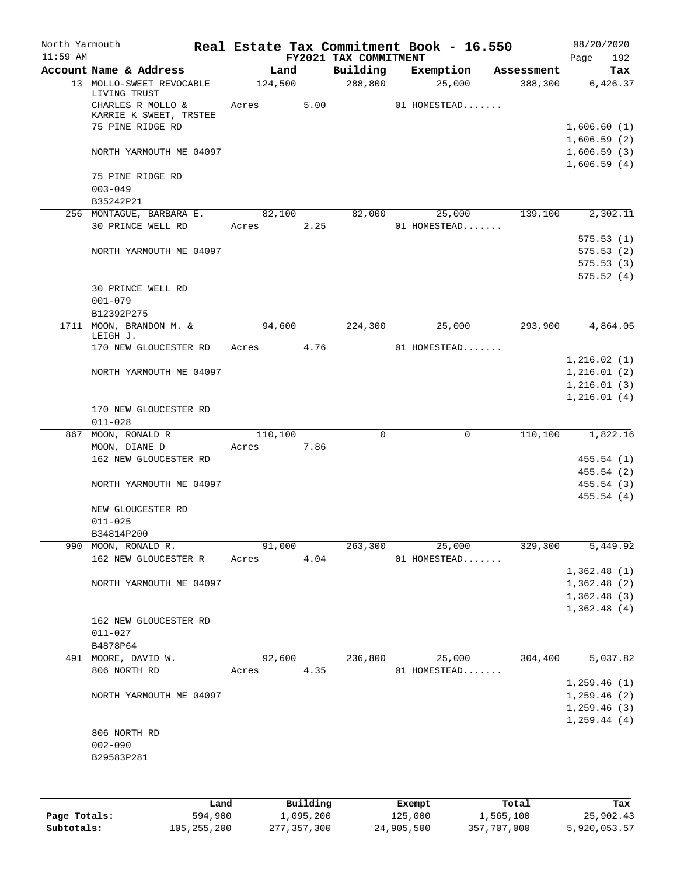| North Yarmouth<br>$11:59$ AM |                                   |            |        |                                   | Real Estate Tax Commitment Book - 16.550 |            | 08/20/2020                 |
|------------------------------|-----------------------------------|------------|--------|-----------------------------------|------------------------------------------|------------|----------------------------|
|                              | Account Name & Address            | Land       |        | FY2021 TAX COMMITMENT<br>Building | Exemption                                | Assessment | 192<br>Page<br>Tax         |
|                              | 13 MOLLO-SWEET REVOCABLE          | 124,500    |        | 288,800                           | 25,000                                   | 388,300    | 6,426.37                   |
|                              | LIVING TRUST<br>CHARLES R MOLLO & | Acres 5.00 |        |                                   | 01 HOMESTEAD                             |            |                            |
|                              | KARRIE K SWEET, TRSTEE            |            |        |                                   |                                          |            |                            |
|                              | 75 PINE RIDGE RD                  |            |        |                                   |                                          |            | 1,606.60(1)                |
|                              |                                   |            |        |                                   |                                          |            | 1,606.59(2)                |
|                              | NORTH YARMOUTH ME 04097           |            |        |                                   |                                          |            | 1,606.59(3)<br>1,606.59(4) |
|                              | 75 PINE RIDGE RD                  |            |        |                                   |                                          |            |                            |
|                              | $003 - 049$<br>B35242P21          |            |        |                                   |                                          |            |                            |
|                              | 256 MONTAGUE, BARBARA E. 82,100   |            |        |                                   | 82,000 25,000 139,100                    |            | 2,302.11                   |
|                              | 30 PRINCE WELL RD                 | Acres      | 2.25   |                                   | 01 HOMESTEAD                             |            |                            |
|                              |                                   |            |        |                                   |                                          |            | 575.53(1)                  |
|                              | NORTH YARMOUTH ME 04097           |            |        |                                   |                                          |            | 575.53(2)                  |
|                              |                                   |            |        |                                   |                                          |            | 575.53(3)                  |
|                              |                                   |            |        |                                   |                                          |            | 575.52(4)                  |
|                              | 30 PRINCE WELL RD<br>$001 - 079$  |            |        |                                   |                                          |            |                            |
|                              | B12392P275                        |            |        |                                   |                                          |            |                            |
|                              | 1711 MOON, BRANDON M. &           | 94,600     |        | 224,300                           | 25,000                                   | 293,900    | 4,864.05                   |
|                              | LEIGH J.                          |            |        |                                   |                                          |            |                            |
|                              | 170 NEW GLOUCESTER RD             | Acres 4.76 |        |                                   | 01 HOMESTEAD                             |            |                            |
|                              | NORTH YARMOUTH ME 04097           |            |        |                                   |                                          |            | 1,216.02(1)<br>1,216.01(2) |
|                              |                                   |            |        |                                   |                                          |            | 1,216.01(3)                |
|                              |                                   |            |        |                                   |                                          |            | 1,216.01(4)                |
|                              | 170 NEW GLOUCESTER RD             |            |        |                                   |                                          |            |                            |
|                              | $011 - 028$                       |            |        |                                   |                                          |            |                            |
|                              | 867 MOON, RONALD R                | 110,100    |        | $\Omega$                          | $\mathbf 0$                              | 110, 100   | 1,822.16                   |
|                              | MOON, DIANE D                     | Acres      | 7.86   |                                   |                                          |            |                            |
|                              | 162 NEW GLOUCESTER RD             |            |        |                                   |                                          |            | 455.54(1)                  |
|                              |                                   |            |        |                                   |                                          |            | 455.54 (2)                 |
|                              | NORTH YARMOUTH ME 04097           |            |        |                                   |                                          |            | 455.54(3)<br>455.54(4)     |
|                              | NEW GLOUCESTER RD                 |            |        |                                   |                                          |            |                            |
|                              | $011 - 025$                       |            |        |                                   |                                          |            |                            |
|                              | B34814P200                        |            |        |                                   |                                          |            |                            |
|                              | 990 MOON, RONALD R.               |            | 91,000 | 263,300                           | 25,000                                   | 329,300    | 5,449.92                   |
|                              | 162 NEW GLOUCESTER R              | Acres      | 4.04   |                                   | 01 HOMESTEAD                             |            |                            |
|                              |                                   |            |        |                                   |                                          |            | 1,362.48(1)                |
|                              | NORTH YARMOUTH ME 04097           |            |        |                                   |                                          |            | 1,362.48(2)                |
|                              |                                   |            |        |                                   |                                          |            | 1,362.48(3)<br>1,362.48(4) |
|                              | 162 NEW GLOUCESTER RD             |            |        |                                   |                                          |            |                            |
|                              | $011 - 027$                       |            |        |                                   |                                          |            |                            |
|                              | B4878P64                          |            |        |                                   |                                          |            |                            |
|                              | 491 MOORE, DAVID W.               | 92,600     |        | $2\overline{36,800}$              | 25,000                                   | 304,400    | 5,037.82                   |
|                              | 806 NORTH RD                      | Acres      | 4.35   |                                   | 01 HOMESTEAD                             |            |                            |
|                              |                                   |            |        |                                   |                                          |            | 1, 259.46(1)               |
|                              | NORTH YARMOUTH ME 04097           |            |        |                                   |                                          |            | 1, 259.46(2)               |
|                              |                                   |            |        |                                   |                                          |            | 1, 259.46(3)               |
|                              |                                   |            |        |                                   |                                          |            | 1, 259.44(4)               |
|                              | 806 NORTH RD                      |            |        |                                   |                                          |            |                            |
|                              | $002 - 090$<br>B29583P281         |            |        |                                   |                                          |            |                            |
|                              |                                   |            |        |                                   |                                          |            |                            |
|                              |                                   |            |        |                                   |                                          |            |                            |
|                              |                                   |            |        |                                   |                                          |            |                            |
|                              |                                   |            |        |                                   |                                          |            |                            |

|              | Land        | Building    | Exempt     | Total       | Tax          |
|--------------|-------------|-------------|------------|-------------|--------------|
| Page Totals: | 594,900     | 1,095,200   | 125,000    | 1,565,100   | 25,902.43    |
| Subtotals:   | 105,255,200 | 277,357,300 | 24,905,500 | 357,707,000 | 5,920,053.57 |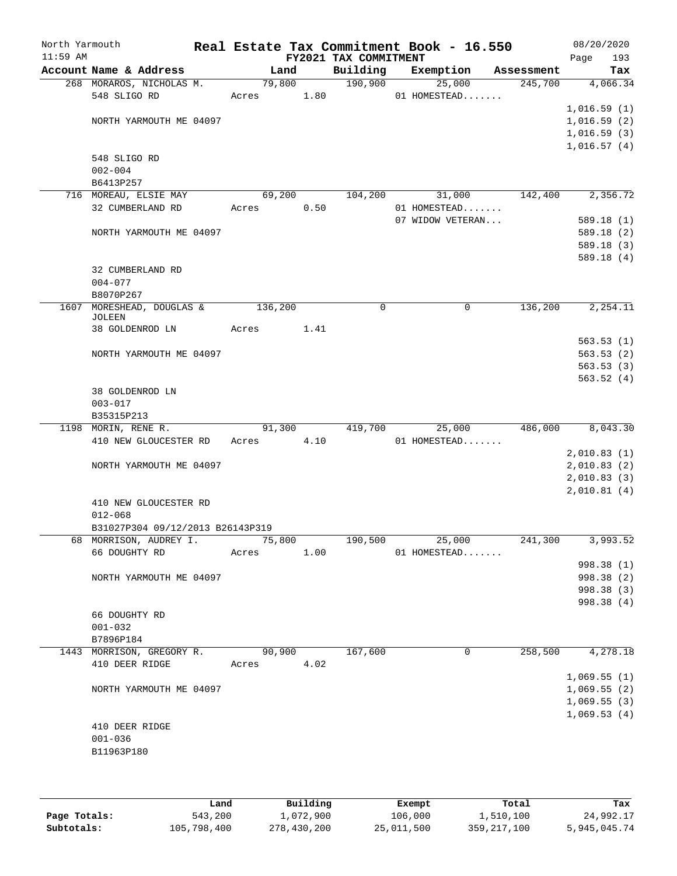| North Yarmouth |                                                            |            |        |                                   | Real Estate Tax Commitment Book - 16.550 |            | 08/20/2020                 |
|----------------|------------------------------------------------------------|------------|--------|-----------------------------------|------------------------------------------|------------|----------------------------|
| $11:59$ AM     | Account Name & Address                                     |            | Land   | FY2021 TAX COMMITMENT<br>Building | Exemption                                | Assessment | 193<br>Page<br>Tax         |
|                | 268 MORAROS, NICHOLAS M.                                   |            | 79,800 | 190,900                           | 25,000                                   | 245,700    | 4,066.34                   |
|                | 548 SLIGO RD                                               | Acres 1.80 |        |                                   | 01 HOMESTEAD                             |            |                            |
|                |                                                            |            |        |                                   |                                          |            | 1,016.59(1)                |
|                | NORTH YARMOUTH ME 04097                                    |            |        |                                   |                                          |            | 1,016.59(2)                |
|                |                                                            |            |        |                                   |                                          |            | 1,016.59(3)                |
|                |                                                            |            |        |                                   |                                          |            | 1,016.57(4)                |
|                | 548 SLIGO RD                                               |            |        |                                   |                                          |            |                            |
|                | $002 - 004$                                                |            |        |                                   |                                          |            |                            |
|                | B6413P257                                                  |            |        |                                   |                                          |            |                            |
|                | 716 MOREAU, ELSIE MAY                                      |            | 69,200 | 104,200                           | 31,000                                   | 142,400    | 2,356.72                   |
|                | 32 CUMBERLAND RD                                           | Acres      | 0.50   |                                   | 01 HOMESTEAD                             |            |                            |
|                |                                                            |            |        |                                   | 07 WIDOW VETERAN                         |            | 589.18(1)                  |
|                | NORTH YARMOUTH ME 04097                                    |            |        |                                   |                                          |            | 589.18 (2)                 |
|                |                                                            |            |        |                                   |                                          |            | 589.18(3)<br>589.18(4)     |
|                | 32 CUMBERLAND RD                                           |            |        |                                   |                                          |            |                            |
|                | $004 - 077$                                                |            |        |                                   |                                          |            |                            |
|                | B8070P267                                                  |            |        |                                   |                                          |            |                            |
| 1607           | MORESHEAD, DOUGLAS &                                       | 136,200    |        | $\mathbf 0$                       | $\mathbf 0$                              | 136,200    | 2,254.11                   |
|                | <b>JOLEEN</b>                                              |            |        |                                   |                                          |            |                            |
|                | 38 GOLDENROD LN                                            | Acres      | 1.41   |                                   |                                          |            |                            |
|                |                                                            |            |        |                                   |                                          |            | 563.53(1)                  |
|                | NORTH YARMOUTH ME 04097                                    |            |        |                                   |                                          |            | 563.53(2)                  |
|                |                                                            |            |        |                                   |                                          |            | 563.53(3)                  |
|                | 38 GOLDENROD LN                                            |            |        |                                   |                                          |            | 563.52(4)                  |
|                | $003 - 017$                                                |            |        |                                   |                                          |            |                            |
|                | B35315P213                                                 |            |        |                                   |                                          |            |                            |
|                | 1198 MORIN, RENE R.                                        |            | 91,300 | 419,700                           | 25,000                                   | 486,000    | 8,043.30                   |
|                | 410 NEW GLOUCESTER RD                                      | Acres      | 4.10   |                                   | 01 HOMESTEAD                             |            |                            |
|                |                                                            |            |        |                                   |                                          |            | 2,010.83(1)                |
|                | NORTH YARMOUTH ME 04097                                    |            |        |                                   |                                          |            | 2,010.83(2)                |
|                |                                                            |            |        |                                   |                                          |            | 2,010.83(3)                |
|                |                                                            |            |        |                                   |                                          |            | 2,010.81(4)                |
|                | 410 NEW GLOUCESTER RD                                      |            |        |                                   |                                          |            |                            |
|                | $012 - 068$                                                |            |        |                                   |                                          |            |                            |
|                | B31027P304 09/12/2013 B26143P319<br>68 MORRISON, AUDREY I. | 75,800     |        | 190,500                           | 25,000                                   | 241,300    | 3,993.52                   |
|                | 66 DOUGHTY RD                                              | Acres      | 1.00   |                                   | 01 HOMESTEAD                             |            |                            |
|                |                                                            |            |        |                                   |                                          |            | 998.38 (1)                 |
|                | NORTH YARMOUTH ME 04097                                    |            |        |                                   |                                          |            | 998.38 (2)                 |
|                |                                                            |            |        |                                   |                                          |            | 998.38 (3)                 |
|                |                                                            |            |        |                                   |                                          |            | 998.38 (4)                 |
|                | 66 DOUGHTY RD                                              |            |        |                                   |                                          |            |                            |
|                | $001 - 032$                                                |            |        |                                   |                                          |            |                            |
|                | B7896P184                                                  |            |        |                                   |                                          |            |                            |
|                | 1443 MORRISON, GREGORY R.                                  |            | 90,900 | 167,600                           | 0                                        | 258,500    | 4,278.18                   |
|                | 410 DEER RIDGE                                             | Acres      | 4.02   |                                   |                                          |            |                            |
|                |                                                            |            |        |                                   |                                          |            | 1,069.55(1)                |
|                | NORTH YARMOUTH ME 04097                                    |            |        |                                   |                                          |            | 1,069.55(2)<br>1,069.55(3) |
|                |                                                            |            |        |                                   |                                          |            | 1,069.53(4)                |
|                | 410 DEER RIDGE                                             |            |        |                                   |                                          |            |                            |
|                | $001 - 036$                                                |            |        |                                   |                                          |            |                            |
|                | B11963P180                                                 |            |        |                                   |                                          |            |                            |
|                |                                                            |            |        |                                   |                                          |            |                            |
|                |                                                            |            |        |                                   |                                          |            |                            |

|              | Land        | Building    | Exempt     | Total       | Tax          |
|--------------|-------------|-------------|------------|-------------|--------------|
| Page Totals: | 543,200     | 1,072,900   | 106,000    | 1,510,100   | 24,992.17    |
| Subtotals:   | 105,798,400 | 278,430,200 | 25,011,500 | 359,217,100 | 5,945,045.74 |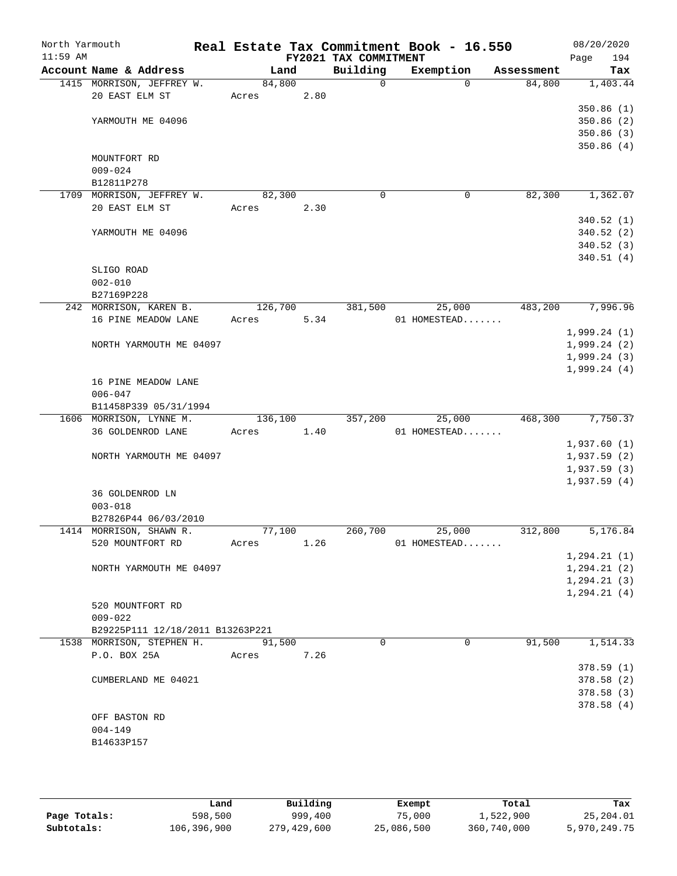| North Yarmouth |                        |                                  |         |      |      | Real Estate Tax Commitment Book - 16.550 |              |              |            | 08/20/2020    |
|----------------|------------------------|----------------------------------|---------|------|------|------------------------------------------|--------------|--------------|------------|---------------|
| $11:59$ AM     |                        |                                  |         |      |      | FY2021 TAX COMMITMENT                    |              |              |            | 194<br>Page   |
|                | Account Name & Address |                                  |         | Land |      | Building                                 | Exemption    |              | Assessment | Tax           |
|                |                        | 1415 MORRISON, JEFFREY W.        | 84,800  |      |      | $\mathbf 0$                              |              | $\Omega$     | 84,800     | 1,403.44      |
|                | 20 EAST ELM ST         |                                  | Acres   |      | 2.80 |                                          |              |              |            |               |
|                |                        |                                  |         |      |      |                                          |              |              |            | 350.86(1)     |
|                |                        | YARMOUTH ME 04096                |         |      |      |                                          |              |              |            | 350.86(2)     |
|                |                        |                                  |         |      |      |                                          |              |              |            | 350.86(3)     |
|                |                        |                                  |         |      |      |                                          |              |              |            | 350.86(4)     |
|                | MOUNTFORT RD           |                                  |         |      |      |                                          |              |              |            |               |
|                | $009 - 024$            |                                  |         |      |      |                                          |              |              |            |               |
|                | B12811P278             |                                  |         |      |      |                                          |              |              |            |               |
|                |                        | 1709 MORRISON, JEFFREY W.        | 82,300  |      |      | $\mathbf 0$                              |              | 0            | 82,300     | 1,362.07      |
|                | 20 EAST ELM ST         |                                  | Acres   |      | 2.30 |                                          |              |              |            |               |
|                |                        |                                  |         |      |      |                                          |              |              |            | 340.52(1)     |
|                |                        | YARMOUTH ME 04096                |         |      |      |                                          |              |              |            | 340.52 (2)    |
|                |                        |                                  |         |      |      |                                          |              |              |            | 340.52(3)     |
|                |                        |                                  |         |      |      |                                          |              |              |            | 340.51(4)     |
|                | SLIGO ROAD             |                                  |         |      |      |                                          |              |              |            |               |
|                | $002 - 010$            |                                  |         |      |      |                                          |              |              |            |               |
|                | B27169P228             |                                  |         |      |      |                                          |              |              |            |               |
|                |                        | 242 MORRISON, KAREN B.           | 126,700 |      |      | 381,500                                  |              | 25,000       | 483,200    | 7,996.96      |
|                |                        | 16 PINE MEADOW LANE              | Acres   |      | 5.34 |                                          | 01 HOMESTEAD |              |            |               |
|                |                        |                                  |         |      |      |                                          |              |              |            | 1,999.24(1)   |
|                |                        | NORTH YARMOUTH ME 04097          |         |      |      |                                          |              |              |            | 1,999.24(2)   |
|                |                        |                                  |         |      |      |                                          |              |              |            | 1,999.24(3)   |
|                |                        |                                  |         |      |      |                                          |              |              |            | 1,999.24(4)   |
|                | $006 - 047$            | 16 PINE MEADOW LANE              |         |      |      |                                          |              |              |            |               |
|                |                        | B11458P339 05/31/1994            |         |      |      |                                          |              |              |            |               |
|                |                        | 1606 MORRISON, LYNNE M.          | 136,100 |      |      | 357,200                                  |              | 25,000       | 468,300    | 7,750.37      |
|                |                        | 36 GOLDENROD LANE                | Acres   |      | 1.40 |                                          | 01 HOMESTEAD |              |            |               |
|                |                        |                                  |         |      |      |                                          |              |              |            | 1,937.60(1)   |
|                |                        | NORTH YARMOUTH ME 04097          |         |      |      |                                          |              |              |            | 1,937.59(2)   |
|                |                        |                                  |         |      |      |                                          |              |              |            | 1,937.59(3)   |
|                |                        |                                  |         |      |      |                                          |              |              |            | 1,937.59(4)   |
|                | 36 GOLDENROD LN        |                                  |         |      |      |                                          |              |              |            |               |
|                | $003 - 018$            |                                  |         |      |      |                                          |              |              |            |               |
|                |                        | B27826P44 06/03/2010             |         |      |      |                                          |              |              |            |               |
|                |                        | 1414 MORRISON, SHAWN R.          | 77,100  |      |      | 260,700                                  |              | 25,000       | 312,800    | 5,176.84      |
|                |                        | 520 MOUNTFORT RD                 | Acres   |      | 1.26 |                                          | 01 HOMESTEAD |              |            |               |
|                |                        |                                  |         |      |      |                                          |              |              |            | 1, 294.21(1)  |
|                |                        | NORTH YARMOUTH ME 04097          |         |      |      |                                          |              |              |            | 1, 294.21(2)  |
|                |                        |                                  |         |      |      |                                          |              |              |            | 1, 294.21(3)  |
|                |                        |                                  |         |      |      |                                          |              |              |            | 1, 294.21 (4) |
|                | 520 MOUNTFORT RD       |                                  |         |      |      |                                          |              |              |            |               |
|                | $009 - 022$            |                                  |         |      |      |                                          |              |              |            |               |
|                |                        | B29225P111 12/18/2011 B13263P221 |         |      |      |                                          |              |              |            |               |
|                |                        | 1538 MORRISON, STEPHEN H.        | 91,500  |      |      | $\Omega$                                 |              | $\mathbf{0}$ | 91,500     | 1,514.33      |
|                | P.O. BOX 25A           |                                  | Acres   |      | 7.26 |                                          |              |              |            |               |
|                |                        |                                  |         |      |      |                                          |              |              |            | 378.59 (1)    |
|                |                        | CUMBERLAND ME 04021              |         |      |      |                                          |              |              |            | 378.58(2)     |
|                |                        |                                  |         |      |      |                                          |              |              |            | 378.58(3)     |
|                |                        |                                  |         |      |      |                                          |              |              |            | 378.58(4)     |
|                | OFF BASTON RD          |                                  |         |      |      |                                          |              |              |            |               |
|                | $004 - 149$            |                                  |         |      |      |                                          |              |              |            |               |
|                | B14633P157             |                                  |         |      |      |                                          |              |              |            |               |
|                |                        |                                  |         |      |      |                                          |              |              |            |               |
|                |                        |                                  |         |      |      |                                          |              |              |            |               |

|              | Land        | Building    | Exempt     | Total       | Tax          |
|--------------|-------------|-------------|------------|-------------|--------------|
| Page Totals: | 598,500     | 999,400     | 75,000     | 1,522,900   | 25,204.01    |
| Subtotals:   | 106,396,900 | 279,429,600 | 25,086,500 | 360,740,000 | 5,970,249.75 |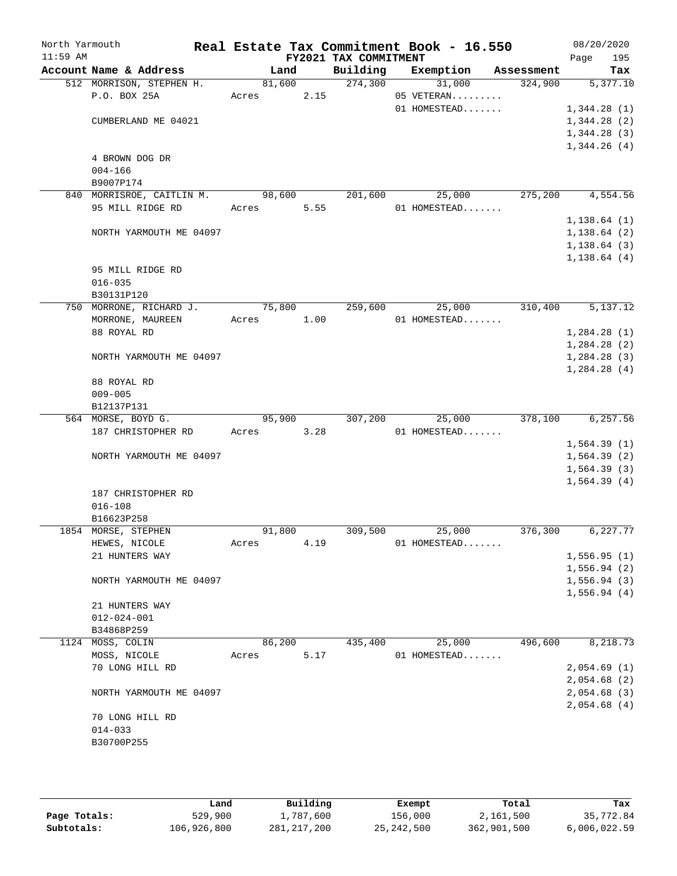| North Yarmouth<br>$11:59$ AM |                           |            |        | FY2021 TAX COMMITMENT | Real Estate Tax Commitment Book - 16.550 |         | 08/20/2020<br>Page           | 195       |
|------------------------------|---------------------------|------------|--------|-----------------------|------------------------------------------|---------|------------------------------|-----------|
|                              | Account Name & Address    |            | Land   | Building              | Exemption Assessment                     |         |                              | Tax       |
|                              | 512 MORRISON, STEPHEN H.  |            | 81,600 | 274,300               | 31,000                                   | 324,900 |                              | 5,377.10  |
|                              | P.O. BOX 25A              | Acres      | 2.15   |                       | 05 VETERAN                               |         |                              |           |
|                              |                           |            |        |                       | 01 HOMESTEAD                             |         | 1,344.28(1)                  |           |
|                              | CUMBERLAND ME 04021       |            |        |                       |                                          |         | 1,344.28(2)                  |           |
|                              |                           |            |        |                       |                                          |         | 1,344.28(3)                  |           |
|                              |                           |            |        |                       |                                          |         | 1,344.26(4)                  |           |
|                              | 4 BROWN DOG DR            |            |        |                       |                                          |         |                              |           |
|                              | $004 - 166$               |            |        |                       |                                          |         |                              |           |
|                              | B9007P174                 |            |        |                       |                                          |         |                              |           |
|                              | 840 MORRISROE, CAITLIN M. | 98,600     |        | 201,600               | 25,000                                   | 275,200 |                              | 4,554.56  |
|                              | 95 MILL RIDGE RD          | Acres      | 5.55   |                       | 01 HOMESTEAD                             |         |                              |           |
|                              |                           |            |        |                       |                                          |         | 1, 138.64(1)                 |           |
|                              | NORTH YARMOUTH ME 04097   |            |        |                       |                                          |         | 1,138.64(2)                  |           |
|                              |                           |            |        |                       |                                          |         | 1, 138.64(3)<br>1, 138.64(4) |           |
|                              | 95 MILL RIDGE RD          |            |        |                       |                                          |         |                              |           |
|                              | $016 - 035$               |            |        |                       |                                          |         |                              |           |
|                              | B30131P120                |            |        |                       |                                          |         |                              |           |
|                              | 750 MORRONE, RICHARD J.   | 75,800     |        | 259,600               | 25,000                                   | 310,400 |                              | 5,137.12  |
|                              | MORRONE, MAUREEN          | Acres 1.00 |        |                       | 01 HOMESTEAD                             |         |                              |           |
|                              | 88 ROYAL RD               |            |        |                       |                                          |         | 1,284.28(1)                  |           |
|                              |                           |            |        |                       |                                          |         | 1,284.28(2)                  |           |
|                              | NORTH YARMOUTH ME 04097   |            |        |                       |                                          |         | 1,284.28(3)                  |           |
|                              |                           |            |        |                       |                                          |         | 1,284.28(4)                  |           |
|                              | 88 ROYAL RD               |            |        |                       |                                          |         |                              |           |
|                              | $009 - 005$               |            |        |                       |                                          |         |                              |           |
|                              | B12137P131                |            |        |                       |                                          |         |                              |           |
|                              | 564 MORSE, BOYD G.        |            | 95,900 | 307,200               | 25,000                                   | 378,100 |                              | 6, 257.56 |
|                              | 187 CHRISTOPHER RD        | Acres      | 3.28   |                       | 01 HOMESTEAD                             |         |                              |           |
|                              |                           |            |        |                       |                                          |         | 1,564.39(1)                  |           |
|                              | NORTH YARMOUTH ME 04097   |            |        |                       |                                          |         | 1,564.39(2)                  |           |
|                              |                           |            |        |                       |                                          |         | 1,564.39(3)                  |           |
|                              |                           |            |        |                       |                                          |         | 1,564.39(4)                  |           |
|                              | 187 CHRISTOPHER RD        |            |        |                       |                                          |         |                              |           |
|                              | $016 - 108$               |            |        |                       |                                          |         |                              |           |
|                              | B16623P258                |            |        |                       |                                          |         |                              |           |
|                              | 1854 MORSE, STEPHEN       | 91,800     |        | 309,500               | 25,000                                   | 376,300 |                              | 6,227.77  |
|                              | HEWES, NICOLE             | Acres      | 4.19   |                       | 01 HOMESTEAD                             |         |                              |           |
|                              | 21 HUNTERS WAY            |            |        |                       |                                          |         | 1,556.95(1)                  |           |
|                              | NORTH YARMOUTH ME 04097   |            |        |                       |                                          |         | 1,556.94(2)                  |           |
|                              |                           |            |        |                       |                                          |         | 1,556.94(3)<br>1,556.94(4)   |           |
|                              | 21 HUNTERS WAY            |            |        |                       |                                          |         |                              |           |
|                              | $012 - 024 - 001$         |            |        |                       |                                          |         |                              |           |
|                              | B34868P259                |            |        |                       |                                          |         |                              |           |
|                              | 1124 MOSS, COLIN          | 86,200     |        | 435,400               | 25,000                                   | 496,600 |                              | 8,218.73  |
|                              | MOSS, NICOLE              | Acres      | 5.17   |                       | 01 HOMESTEAD                             |         |                              |           |
|                              | 70 LONG HILL RD           |            |        |                       |                                          |         | 2,054.69(1)                  |           |
|                              |                           |            |        |                       |                                          |         | 2,054.68(2)                  |           |
|                              | NORTH YARMOUTH ME 04097   |            |        |                       |                                          |         | 2,054.68(3)                  |           |
|                              |                           |            |        |                       |                                          |         | 2,054.68(4)                  |           |
|                              | 70 LONG HILL RD           |            |        |                       |                                          |         |                              |           |
|                              | $014 - 033$               |            |        |                       |                                          |         |                              |           |
|                              | B30700P255                |            |        |                       |                                          |         |                              |           |
|                              |                           |            |        |                       |                                          |         |                              |           |
|                              |                           |            |        |                       |                                          |         |                              |           |

|              | Land        | Building    | Exempt     | Total       | Tax          |
|--------------|-------------|-------------|------------|-------------|--------------|
| Page Totals: | 529,900     | 1,787,600   | 156,000    | 2,161,500   | 35,772.84    |
| Subtotals:   | 106,926,800 | 281,217,200 | 25,242,500 | 362,901,500 | 6,006,022.59 |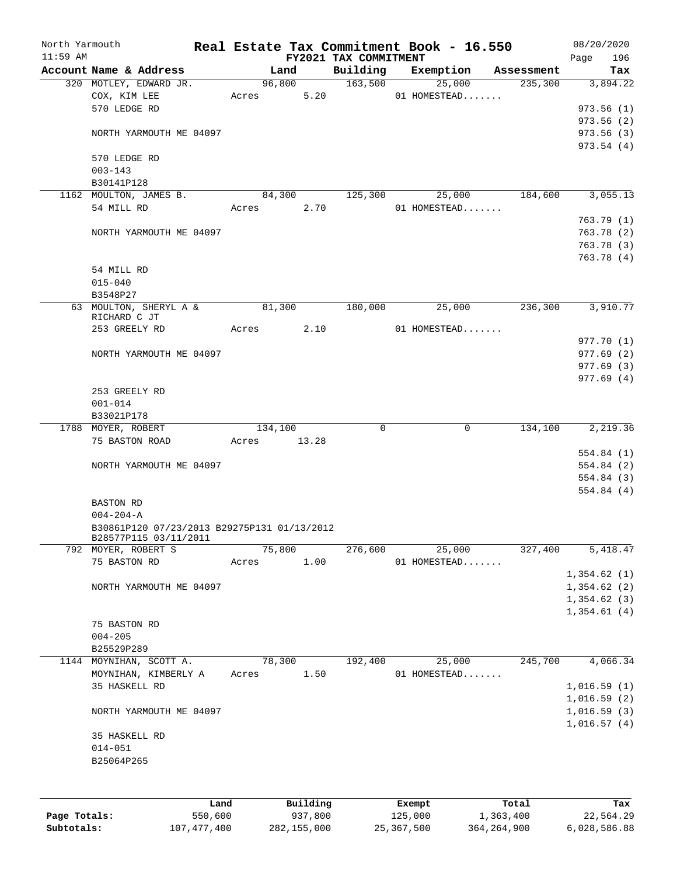| North Yarmouth<br>$11:59$ AM |                                             |         |       |         |          | FY2021 TAX COMMITMENT | Real Estate Tax Commitment Book - 16.550 |                        | 08/20/2020<br>Page<br>196 |
|------------------------------|---------------------------------------------|---------|-------|---------|----------|-----------------------|------------------------------------------|------------------------|---------------------------|
|                              | Account Name & Address                      |         |       | Land    |          | Building              | Exemption                                | Assessment             | Tax                       |
|                              | 320 MOTLEY, EDWARD JR.                      |         |       | 96,800  |          | 163,500               | 25,000                                   | 235,300                | 3,894.22                  |
|                              | COX, KIM LEE                                |         | Acres |         | 5.20     |                       | 01 HOMESTEAD                             |                        |                           |
|                              | 570 LEDGE RD                                |         |       |         |          |                       |                                          |                        | 973.56(1)                 |
|                              |                                             |         |       |         |          |                       |                                          |                        | 973.56(2)                 |
|                              | NORTH YARMOUTH ME 04097                     |         |       |         |          |                       |                                          |                        | 973.56(3)                 |
|                              |                                             |         |       |         |          |                       |                                          |                        | 973.54(4)                 |
|                              | 570 LEDGE RD                                |         |       |         |          |                       |                                          |                        |                           |
|                              | $003 - 143$                                 |         |       |         |          |                       |                                          |                        |                           |
|                              | B30141P128                                  |         |       |         |          |                       |                                          |                        |                           |
|                              | 1162 MOULTON, JAMES B.                      |         |       | 84,300  |          | 125,300               | 25,000                                   | 184,600                | 3,055.13                  |
|                              | 54 MILL RD                                  |         | Acres |         | 2.70     |                       | 01 HOMESTEAD                             |                        |                           |
|                              |                                             |         |       |         |          |                       |                                          |                        | 763.79(1)                 |
|                              | NORTH YARMOUTH ME 04097                     |         |       |         |          |                       |                                          |                        | 763.78(2)                 |
|                              |                                             |         |       |         |          |                       |                                          |                        | 763.78 (3)                |
|                              |                                             |         |       |         |          |                       |                                          |                        | 763.78 (4)                |
|                              | 54 MILL RD                                  |         |       |         |          |                       |                                          |                        |                           |
|                              | $015 - 040$                                 |         |       |         |          |                       |                                          |                        |                           |
|                              | B3548P27                                    |         |       |         |          |                       |                                          |                        |                           |
|                              | 63 MOULTON, SHERYL A &                      |         |       | 81,300  |          | 180,000               | 25,000                                   | 236,300                | 3,910.77                  |
|                              | RICHARD C JT<br>253 GREELY RD               |         |       |         | 2.10     |                       | 01 HOMESTEAD                             |                        |                           |
|                              |                                             |         | Acres |         |          |                       |                                          |                        | 977.70 (1)                |
|                              | NORTH YARMOUTH ME 04097                     |         |       |         |          |                       |                                          |                        | 977.69(2)                 |
|                              |                                             |         |       |         |          |                       |                                          |                        |                           |
|                              |                                             |         |       |         |          |                       |                                          |                        | 977.69 (3)<br>977.69(4)   |
|                              | 253 GREELY RD                               |         |       |         |          |                       |                                          |                        |                           |
|                              | $001 - 014$                                 |         |       |         |          |                       |                                          |                        |                           |
|                              | B33021P178                                  |         |       |         |          |                       |                                          |                        |                           |
|                              | 1788 MOYER, ROBERT                          |         |       | 134,100 |          | $\Omega$              |                                          | $\mathbf 0$<br>134,100 | 2,219.36                  |
|                              | 75 BASTON ROAD                              |         | Acres |         | 13.28    |                       |                                          |                        |                           |
|                              |                                             |         |       |         |          |                       |                                          |                        | 554.84(1)                 |
|                              | NORTH YARMOUTH ME 04097                     |         |       |         |          |                       |                                          |                        | 554.84 (2)                |
|                              |                                             |         |       |         |          |                       |                                          |                        | 554.84 (3)                |
|                              |                                             |         |       |         |          |                       |                                          |                        | 554.84(4)                 |
|                              | <b>BASTON RD</b>                            |         |       |         |          |                       |                                          |                        |                           |
|                              | $004 - 204 - A$                             |         |       |         |          |                       |                                          |                        |                           |
|                              | B30861P120 07/23/2013 B29275P131 01/13/2012 |         |       |         |          |                       |                                          |                        |                           |
|                              | B28577P115 03/11/2011                       |         |       |         |          |                       |                                          |                        |                           |
|                              | 792 MOYER, ROBERT S                         |         |       | 75,800  |          | 276,600               | 25,000                                   | 327,400                | 5,418.47                  |
|                              | 75 BASTON RD                                |         | Acres |         | 1.00     |                       | 01 HOMESTEAD                             |                        |                           |
|                              |                                             |         |       |         |          |                       |                                          |                        | 1,354.62(1)               |
|                              | NORTH YARMOUTH ME 04097                     |         |       |         |          |                       |                                          |                        | 1,354.62(2)               |
|                              |                                             |         |       |         |          |                       |                                          |                        | 1,354.62(3)               |
|                              |                                             |         |       |         |          |                       |                                          |                        | 1,354.61(4)               |
|                              | 75 BASTON RD                                |         |       |         |          |                       |                                          |                        |                           |
|                              | $004 - 205$                                 |         |       |         |          |                       |                                          |                        |                           |
|                              | B25529P289                                  |         |       |         |          |                       |                                          |                        |                           |
|                              | 1144 MOYNIHAN, SCOTT A.                     |         |       | 78,300  |          | 192,400               | 25,000                                   | 245,700                | 4,066.34                  |
|                              | MOYNIHAN, KIMBERLY A                        |         | Acres |         | 1.50     |                       | 01 HOMESTEAD                             |                        |                           |
|                              | 35 HASKELL RD                               |         |       |         |          |                       |                                          |                        | 1,016.59(1)               |
|                              |                                             |         |       |         |          |                       |                                          |                        | 1,016.59(2)               |
|                              | NORTH YARMOUTH ME 04097                     |         |       |         |          |                       |                                          |                        | 1,016.59(3)               |
|                              |                                             |         |       |         |          |                       |                                          |                        | 1,016.57(4)               |
|                              | 35 HASKELL RD                               |         |       |         |          |                       |                                          |                        |                           |
|                              | $014 - 051$                                 |         |       |         |          |                       |                                          |                        |                           |
|                              | B25064P265                                  |         |       |         |          |                       |                                          |                        |                           |
|                              |                                             |         |       |         |          |                       |                                          |                        |                           |
|                              |                                             |         |       |         |          |                       |                                          |                        |                           |
|                              |                                             | Land    |       |         | Building |                       | Exempt                                   | Total                  | Tax                       |
| Page Totals:                 |                                             | 550,600 |       |         | 937,800  |                       | 125,000                                  | 1,363,400              | 22,564.29                 |

**Subtotals:** 107,477,400 282,155,000 25,367,500 364,264,900 6,028,586.88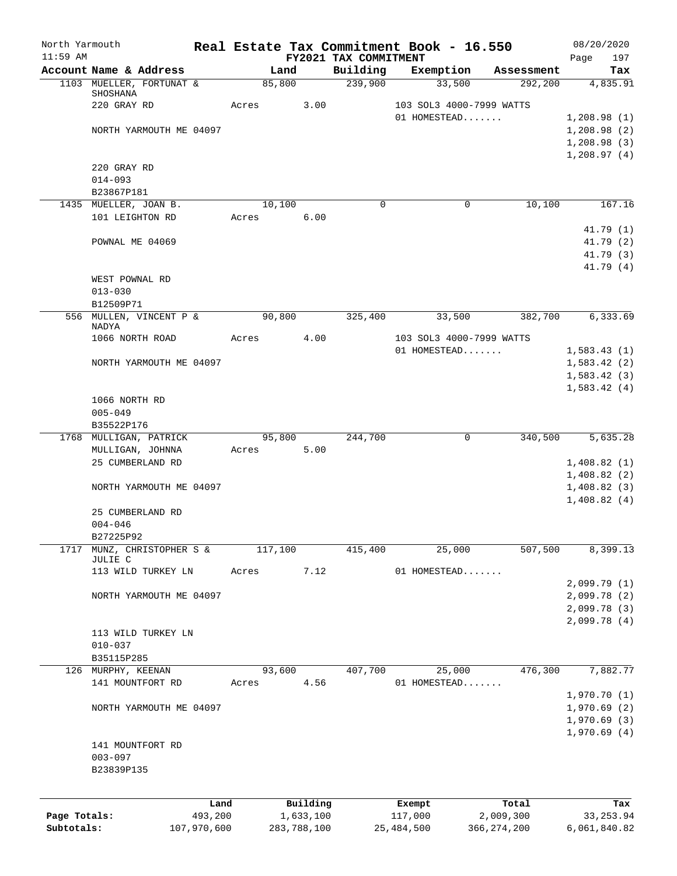| North Yarmouth |                               |             |         |             |                                   | Real Estate Tax Commitment Book - 16.550 |                       | 08/20/2020                 |
|----------------|-------------------------------|-------------|---------|-------------|-----------------------------------|------------------------------------------|-----------------------|----------------------------|
| $11:59$ AM     | Account Name & Address        |             | Land    |             | FY2021 TAX COMMITMENT<br>Building |                                          |                       | 197<br>Page                |
|                | 1103 MUELLER, FORTUNAT &      |             | 85,800  |             | 239,900                           | Exemption<br>33,500                      | Assessment<br>292,200 | Tax<br>4,835.91            |
|                | SHOSHANA                      |             |         |             |                                   |                                          |                       |                            |
|                | 220 GRAY RD                   |             | Acres   | 3.00        |                                   | 103 SOL3 4000-7999 WATTS                 |                       |                            |
|                |                               |             |         |             |                                   | 01 HOMESTEAD                             |                       | 1,208.98(1)                |
|                | NORTH YARMOUTH ME 04097       |             |         |             |                                   |                                          |                       | 1,208.98(2)                |
|                |                               |             |         |             |                                   |                                          |                       | 1,208.98(3)<br>1,208.97(4) |
|                | 220 GRAY RD                   |             |         |             |                                   |                                          |                       |                            |
|                | $014 - 093$                   |             |         |             |                                   |                                          |                       |                            |
|                | B23867P181                    |             |         |             |                                   |                                          |                       |                            |
|                | 1435 MUELLER, JOAN B.         |             | 10,100  |             | $\Omega$                          | $\mathbf 0$                              | 10,100                | 167.16                     |
|                | 101 LEIGHTON RD               |             | Acres   | 6.00        |                                   |                                          |                       |                            |
|                |                               |             |         |             |                                   |                                          |                       | 41.79(1)                   |
|                | POWNAL ME 04069               |             |         |             |                                   |                                          |                       | 41.79 (2)                  |
|                |                               |             |         |             |                                   |                                          |                       | 41.79 (3)<br>41.79 (4)     |
|                | WEST POWNAL RD                |             |         |             |                                   |                                          |                       |                            |
|                | $013 - 030$                   |             |         |             |                                   |                                          |                       |                            |
|                | B12509P71                     |             |         |             |                                   |                                          |                       |                            |
|                | 556 MULLEN, VINCENT P &       |             | 90,800  |             | 325,400                           | 33,500                                   | 382,700               | 6,333.69                   |
|                | NADYA                         |             |         |             |                                   |                                          |                       |                            |
|                | 1066 NORTH ROAD               |             | Acres   | 4.00        |                                   | 103 SOL3 4000-7999 WATTS<br>01 HOMESTEAD |                       | 1,583.43(1)                |
|                | NORTH YARMOUTH ME 04097       |             |         |             |                                   |                                          |                       | 1,583.42(2)                |
|                |                               |             |         |             |                                   |                                          |                       | 1,583.42(3)                |
|                |                               |             |         |             |                                   |                                          |                       | 1,583.42(4)                |
|                | 1066 NORTH RD                 |             |         |             |                                   |                                          |                       |                            |
|                | $005 - 049$                   |             |         |             |                                   |                                          |                       |                            |
|                | B35522P176                    |             |         |             |                                   |                                          |                       |                            |
|                | 1768 MULLIGAN, PATRICK        |             | 95,800  |             | 244,700                           | $\mathsf{O}$                             | 340,500               | 5,635.28                   |
|                | MULLIGAN, JOHNNA              |             | Acres   | 5.00        |                                   |                                          |                       |                            |
|                | 25 CUMBERLAND RD              |             |         |             |                                   |                                          |                       | 1,408.82(1)                |
|                | NORTH YARMOUTH ME 04097       |             |         |             |                                   |                                          |                       | 1,408.82(2)                |
|                |                               |             |         |             |                                   |                                          |                       | 1,408.82(3)<br>1,408.82(4) |
|                | 25 CUMBERLAND RD              |             |         |             |                                   |                                          |                       |                            |
|                | $004 - 046$                   |             |         |             |                                   |                                          |                       |                            |
|                | B27225P92                     |             |         |             |                                   |                                          |                       |                            |
| 1717           | MUNZ, CHRISTOPHER S &         |             | 117,100 |             | 415,400                           | 25,000                                   | 507,500               | 8,399.13                   |
|                | JULIE C<br>113 WILD TURKEY LN |             | Acres   | 7.12        |                                   | 01 HOMESTEAD                             |                       |                            |
|                |                               |             |         |             |                                   |                                          |                       | 2,099.79 (1)               |
|                | NORTH YARMOUTH ME 04097       |             |         |             |                                   |                                          |                       | 2,099.78(2)                |
|                |                               |             |         |             |                                   |                                          |                       | 2,099.78(3)                |
|                |                               |             |         |             |                                   |                                          |                       | 2,099.78(4)                |
|                | 113 WILD TURKEY LN            |             |         |             |                                   |                                          |                       |                            |
|                | $010 - 037$                   |             |         |             |                                   |                                          |                       |                            |
|                | B35115P285                    |             |         |             |                                   |                                          |                       |                            |
|                | 126 MURPHY, KEENAN            |             | 93,600  |             | 407,700                           | 25,000                                   | 476,300               | 7,882.77                   |
|                | 141 MOUNTFORT RD              |             | Acres   | 4.56        |                                   | 01 HOMESTEAD                             |                       | 1,970.70(1)                |
|                | NORTH YARMOUTH ME 04097       |             |         |             |                                   |                                          |                       | 1,970.69(2)                |
|                |                               |             |         |             |                                   |                                          |                       | 1,970.69(3)                |
|                |                               |             |         |             |                                   |                                          |                       | 1,970.69(4)                |
|                | 141 MOUNTFORT RD              |             |         |             |                                   |                                          |                       |                            |
|                | $003 - 097$                   |             |         |             |                                   |                                          |                       |                            |
|                | B23839P135                    |             |         |             |                                   |                                          |                       |                            |
|                |                               |             |         |             |                                   |                                          |                       |                            |
|                |                               | Land        |         | Building    |                                   | Exempt                                   | Total                 | Tax                        |
| Page Totals:   |                               | 493,200     |         | 1,633,100   |                                   | 117,000                                  | 2,009,300             | 33, 253.94                 |
| Subtotals:     |                               | 107,970,600 |         | 283,788,100 |                                   | 25,484,500                               | 366, 274, 200         | 6,061,840.82               |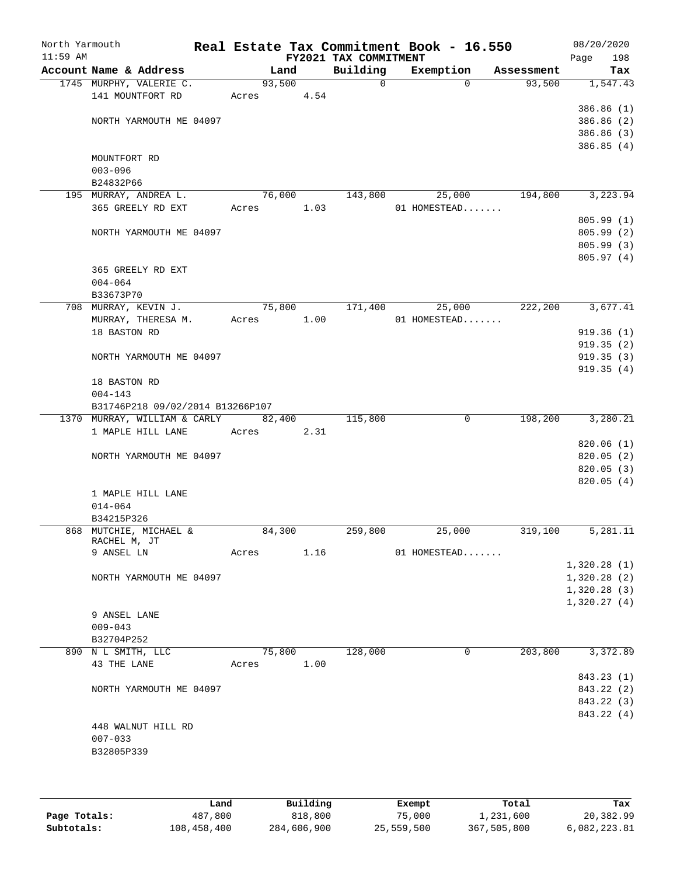| North Yarmouth<br>$11:59$ AM |                                  |        |      | FY2021 TAX COMMITMENT | Real Estate Tax Commitment Book - 16.550 |             |            | 08/20/2020<br>Page<br>198 |
|------------------------------|----------------------------------|--------|------|-----------------------|------------------------------------------|-------------|------------|---------------------------|
|                              | Account Name & Address           | Land   |      | Building              | Exemption                                |             | Assessment | Tax                       |
|                              | 1745 MURPHY, VALERIE C.          | 93,500 |      | $\mathsf{O}$          |                                          | $\Omega$    | 93,500     | 1,547.43                  |
|                              | 141 MOUNTFORT RD                 | Acres  | 4.54 |                       |                                          |             |            |                           |
|                              |                                  |        |      |                       |                                          |             |            | 386.86(1)                 |
|                              | NORTH YARMOUTH ME 04097          |        |      |                       |                                          |             |            | 386.86 (2)                |
|                              |                                  |        |      |                       |                                          |             |            | 386.86 (3)                |
|                              |                                  |        |      |                       |                                          |             |            | 386.85(4)                 |
|                              | MOUNTFORT RD                     |        |      |                       |                                          |             |            |                           |
|                              | $003 - 096$                      |        |      |                       |                                          |             |            |                           |
|                              | B24832P66                        |        |      |                       |                                          |             |            |                           |
|                              | 195 MURRAY, ANDREA L.            | 76,000 |      | 143,800               |                                          | 25,000      | 194,800    | 3,223.94                  |
|                              | 365 GREELY RD EXT                | Acres  | 1.03 |                       | 01 HOMESTEAD                             |             |            |                           |
|                              |                                  |        |      |                       |                                          |             |            | 805.99(1)                 |
|                              | NORTH YARMOUTH ME 04097          |        |      |                       |                                          |             |            | 805.99 (2)                |
|                              |                                  |        |      |                       |                                          |             |            | 805.99 (3)                |
|                              |                                  |        |      |                       |                                          |             |            | 805.97 (4)                |
|                              | 365 GREELY RD EXT                |        |      |                       |                                          |             |            |                           |
|                              | $004 - 064$                      |        |      |                       |                                          |             |            |                           |
|                              | B33673P70                        |        |      |                       |                                          |             |            |                           |
|                              | 708 MURRAY, KEVIN J.             | 75,800 |      | 171,400               | 25,000                                   |             | 222,200    | 3,677.41                  |
|                              | MURRAY, THERESA M.               | Acres  | 1.00 |                       | 01 HOMESTEAD                             |             |            |                           |
|                              | 18 BASTON RD                     |        |      |                       |                                          |             |            | 919.36(1)                 |
|                              |                                  |        |      |                       |                                          |             |            | 919.35(2)                 |
|                              | NORTH YARMOUTH ME 04097          |        |      |                       |                                          |             |            | 919.35(3)                 |
|                              |                                  |        |      |                       |                                          |             |            | 919.35(4)                 |
|                              | 18 BASTON RD<br>$004 - 143$      |        |      |                       |                                          |             |            |                           |
|                              | B31746P218 09/02/2014 B13266P107 |        |      |                       |                                          |             |            |                           |
|                              | 1370 MURRAY, WILLIAM & CARLY     | 82,400 |      | 115,800               |                                          | $\mathbf 0$ | 198,200    | 3,280.21                  |
|                              | 1 MAPLE HILL LANE                | Acres  | 2.31 |                       |                                          |             |            |                           |
|                              |                                  |        |      |                       |                                          |             |            | 820.06(1)                 |
|                              | NORTH YARMOUTH ME 04097          |        |      |                       |                                          |             |            | 820.05(2)                 |
|                              |                                  |        |      |                       |                                          |             |            | 820.05 (3)                |
|                              |                                  |        |      |                       |                                          |             |            | 820.05(4)                 |
|                              | 1 MAPLE HILL LANE                |        |      |                       |                                          |             |            |                           |
|                              | $014 - 064$                      |        |      |                       |                                          |             |            |                           |
|                              | B34215P326                       |        |      |                       |                                          |             |            |                           |
|                              | 868 MUTCHIE, MICHAEL &           | 84,300 |      | 259,800               | 25,000                                   |             | 319,100    | 5,281.11                  |
|                              | RACHEL M, JT                     |        |      |                       |                                          |             |            |                           |
|                              | 9 ANSEL LN                       | Acres  | 1.16 |                       | 01 HOMESTEAD                             |             |            |                           |
|                              |                                  |        |      |                       |                                          |             |            | 1,320.28(1)               |
|                              | NORTH YARMOUTH ME 04097          |        |      |                       |                                          |             |            | 1,320.28(2)               |
|                              |                                  |        |      |                       |                                          |             |            | 1,320.28(3)               |
|                              |                                  |        |      |                       |                                          |             |            | 1,320.27(4)               |
|                              | 9 ANSEL LANE                     |        |      |                       |                                          |             |            |                           |
|                              | $009 - 043$                      |        |      |                       |                                          |             |            |                           |
|                              | B32704P252                       |        |      |                       |                                          |             |            |                           |
|                              | 890 N L SMITH, LLC               | 75,800 |      | 128,000               |                                          | 0           | 203,800    | 3,372.89                  |
|                              | 43 THE LANE                      | Acres  | 1.00 |                       |                                          |             |            |                           |
|                              |                                  |        |      |                       |                                          |             |            | 843.23 (1)                |
|                              | NORTH YARMOUTH ME 04097          |        |      |                       |                                          |             |            | 843.22 (2)                |
|                              |                                  |        |      |                       |                                          |             |            | 843.22 (3)                |
|                              |                                  |        |      |                       |                                          |             |            | 843.22 (4)                |
|                              | 448 WALNUT HILL RD               |        |      |                       |                                          |             |            |                           |
|                              | $007 - 033$                      |        |      |                       |                                          |             |            |                           |
|                              | B32805P339                       |        |      |                       |                                          |             |            |                           |
|                              |                                  |        |      |                       |                                          |             |            |                           |
|                              |                                  |        |      |                       |                                          |             |            |                           |

|              | Land        | Building    | Exempt     | Total       | Tax          |
|--------------|-------------|-------------|------------|-------------|--------------|
| Page Totals: | 487,800     | 818,800     | 75,000     | 1,231,600   | 20,382.99    |
| Subtotals:   | 108,458,400 | 284,606,900 | 25,559,500 | 367,505,800 | 6,082,223.81 |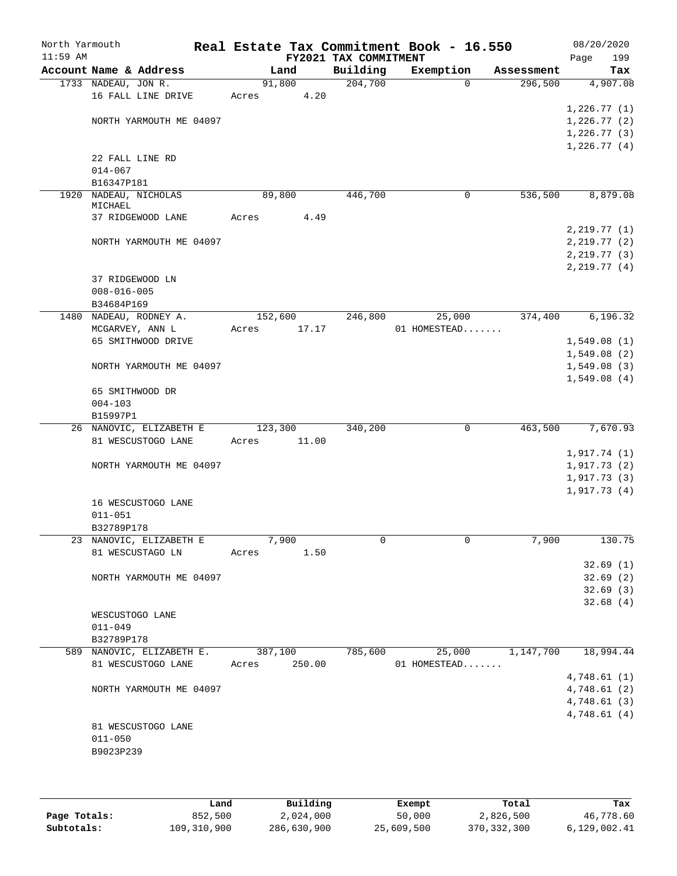| North Yarmouth<br>$11:59$ AM |                                             |       |         |       | FY2021 TAX COMMITMENT | Real Estate Tax Commitment Book - 16.550 |          |            | Page | 08/20/2020<br>199 |
|------------------------------|---------------------------------------------|-------|---------|-------|-----------------------|------------------------------------------|----------|------------|------|-------------------|
|                              | Account Name & Address                      |       | Land    |       | Building              | Exemption                                |          | Assessment |      | Tax               |
|                              | 1733 NADEAU, JON R.                         |       | 91,800  |       | 204,700               |                                          | $\Omega$ | 296,500    |      | 4,907.08          |
|                              | 16 FALL LINE DRIVE                          | Acres |         | 4.20  |                       |                                          |          |            |      |                   |
|                              |                                             |       |         |       |                       |                                          |          |            |      | 1,226.77(1)       |
|                              | NORTH YARMOUTH ME 04097                     |       |         |       |                       |                                          |          |            |      | 1,226.77(2)       |
|                              |                                             |       |         |       |                       |                                          |          |            |      | 1,226.77(3)       |
|                              |                                             |       |         |       |                       |                                          |          |            |      | 1,226.77(4)       |
|                              | 22 FALL LINE RD<br>$014 - 067$              |       |         |       |                       |                                          |          |            |      |                   |
|                              | B16347P181                                  |       |         |       |                       |                                          |          |            |      |                   |
| 1920                         | NADEAU, NICHOLAS                            |       | 89,800  |       | 446,700               |                                          | 0        | 536,500    |      | 8,879.08          |
|                              | MICHAEL                                     |       |         |       |                       |                                          |          |            |      |                   |
|                              | 37 RIDGEWOOD LANE                           | Acres |         | 4.49  |                       |                                          |          |            |      |                   |
|                              |                                             |       |         |       |                       |                                          |          |            |      | 2, 219.77(1)      |
|                              | NORTH YARMOUTH ME 04097                     |       |         |       |                       |                                          |          |            |      | 2, 219.77(2)      |
|                              |                                             |       |         |       |                       |                                          |          |            |      | 2, 219.77 (3)     |
|                              |                                             |       |         |       |                       |                                          |          |            |      | 2,219.77(4)       |
|                              | 37 RIDGEWOOD LN                             |       |         |       |                       |                                          |          |            |      |                   |
|                              | $008 - 016 - 005$                           |       |         |       |                       |                                          |          |            |      |                   |
|                              | B34684P169<br>1480 NADEAU, RODNEY A.        |       | 152,600 |       | 246,800               | 25,000                                   |          | 374,400    |      | 6,196.32          |
|                              | MCGARVEY, ANN L                             | Acres |         | 17.17 |                       | 01 HOMESTEAD                             |          |            |      |                   |
|                              | 65 SMITHWOOD DRIVE                          |       |         |       |                       |                                          |          |            |      | 1,549.08(1)       |
|                              |                                             |       |         |       |                       |                                          |          |            |      | 1,549.08(2)       |
|                              | NORTH YARMOUTH ME 04097                     |       |         |       |                       |                                          |          |            |      | 1,549.08(3)       |
|                              |                                             |       |         |       |                       |                                          |          |            |      | 1,549.08(4)       |
|                              | 65 SMITHWOOD DR                             |       |         |       |                       |                                          |          |            |      |                   |
|                              | $004 - 103$                                 |       |         |       |                       |                                          |          |            |      |                   |
|                              | B15997P1                                    |       |         |       |                       |                                          |          |            |      |                   |
|                              | 26 NANOVIC, ELIZABETH E                     |       | 123,300 |       | 340,200               |                                          | 0        | 463,500    |      | 7,670.93          |
|                              | 81 WESCUSTOGO LANE                          | Acres |         | 11.00 |                       |                                          |          |            |      |                   |
|                              |                                             |       |         |       |                       |                                          |          |            |      | 1,917.74(1)       |
|                              | NORTH YARMOUTH ME 04097                     |       |         |       |                       |                                          |          |            |      | 1,917.73(2)       |
|                              |                                             |       |         |       |                       |                                          |          |            |      | 1,917.73(3)       |
|                              |                                             |       |         |       |                       |                                          |          |            |      | 1,917.73(4)       |
|                              | 16 WESCUSTOGO LANE                          |       |         |       |                       |                                          |          |            |      |                   |
|                              | $011 - 051$                                 |       |         |       |                       |                                          |          |            |      |                   |
|                              | B32789P178                                  |       |         |       |                       |                                          |          |            |      |                   |
|                              | 23 NANOVIC, ELIZABETH E<br>81 WESCUSTAGO LN | Acres | 7,900   |       | 0                     |                                          | 0        | 7,900      |      | 130.75            |
|                              |                                             |       |         | 1.50  |                       |                                          |          |            |      | 32.69(1)          |
|                              | NORTH YARMOUTH ME 04097                     |       |         |       |                       |                                          |          |            |      | 32.69(2)          |
|                              |                                             |       |         |       |                       |                                          |          |            |      | 32.69(3)          |
|                              |                                             |       |         |       |                       |                                          |          |            |      | 32.68(4)          |
|                              | WESCUSTOGO LANE                             |       |         |       |                       |                                          |          |            |      |                   |
|                              | $011 - 049$                                 |       |         |       |                       |                                          |          |            |      |                   |
|                              | B32789P178                                  |       |         |       |                       |                                          |          |            |      |                   |
|                              | 589 NANOVIC, ELIZABETH E.                   |       | 387,100 |       | 785,600               | 25,000                                   |          | 1,147,700  |      | 18,994.44         |
|                              | 81 WESCUSTOGO LANE                          | Acres | 250.00  |       |                       | 01 HOMESTEAD                             |          |            |      |                   |
|                              |                                             |       |         |       |                       |                                          |          |            |      | 4,748.61(1)       |
|                              | NORTH YARMOUTH ME 04097                     |       |         |       |                       |                                          |          |            |      | 4,748.61(2)       |
|                              |                                             |       |         |       |                       |                                          |          |            |      | 4,748.61(3)       |
|                              |                                             |       |         |       |                       |                                          |          |            |      | 4,748.61(4)       |
|                              | 81 WESCUSTOGO LANE                          |       |         |       |                       |                                          |          |            |      |                   |
|                              | $011 - 050$                                 |       |         |       |                       |                                          |          |            |      |                   |
|                              | B9023P239                                   |       |         |       |                       |                                          |          |            |      |                   |
|                              |                                             |       |         |       |                       |                                          |          |            |      |                   |

|              | Land        | Building    | Exempt     | Total         | Tax          |
|--------------|-------------|-------------|------------|---------------|--------------|
| Page Totals: | 852,500     | 2,024,000   | 50,000     | 2,826,500     | 46,778.60    |
| Subtotals:   | 109,310,900 | 286,630,900 | 25,609,500 | 370, 332, 300 | 6,129,002.41 |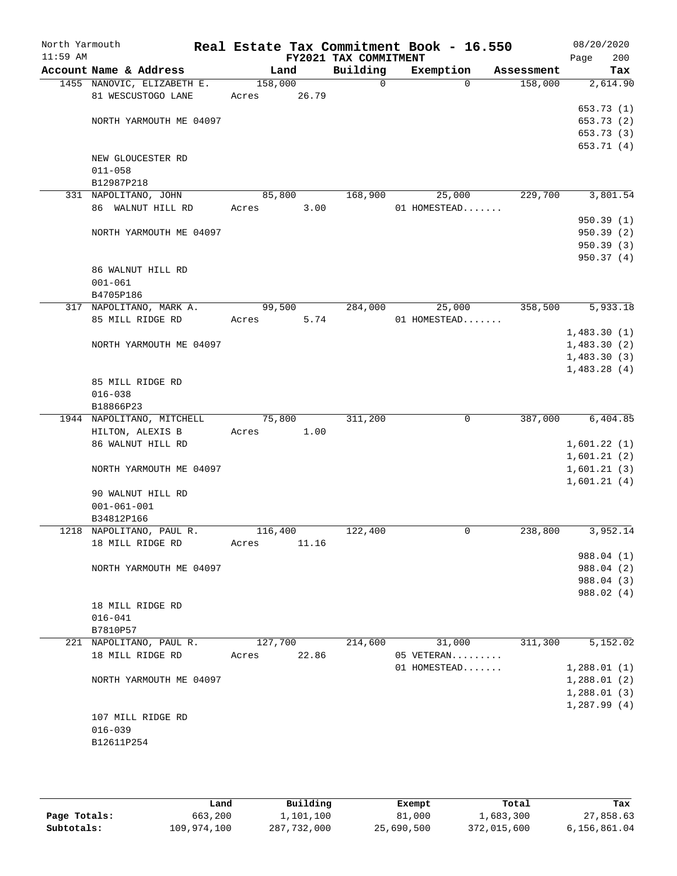| North Yarmouth<br>$11:59$ AM |                                        |                  |        | FY2021 TAX COMMITMENT | Real Estate Tax Commitment Book - 16.550 |            | 08/20/2020<br>Page<br>200  |
|------------------------------|----------------------------------------|------------------|--------|-----------------------|------------------------------------------|------------|----------------------------|
|                              | Account Name & Address                 |                  | Land   | Building              | Exemption                                | Assessment | Tax                        |
|                              | 1455 NANOVIC, ELIZABETH E.             | 158,000          |        | $\mathbf 0$           | $\Omega$                                 | 158,000    | 2,614.90                   |
|                              | 81 WESCUSTOGO LANE                     | Acres            | 26.79  |                       |                                          |            |                            |
|                              |                                        |                  |        |                       |                                          |            | 653.73 (1)                 |
|                              | NORTH YARMOUTH ME 04097                |                  |        |                       |                                          |            | 653.73 (2)                 |
|                              |                                        |                  |        |                       |                                          |            | 653.73 (3)                 |
|                              | NEW GLOUCESTER RD                      |                  |        |                       |                                          |            | 653.71 (4)                 |
|                              | $011 - 058$                            |                  |        |                       |                                          |            |                            |
|                              | B12987P218                             |                  |        |                       |                                          |            |                            |
|                              | 331 NAPOLITANO, JOHN                   |                  | 85,800 | 168,900               | 25,000                                   | 229,700    | 3,801.54                   |
|                              | 86 WALNUT HILL RD                      | Acres            | 3.00   |                       | 01 HOMESTEAD                             |            |                            |
|                              |                                        |                  |        |                       |                                          |            | 950.39(1)                  |
|                              | NORTH YARMOUTH ME 04097                |                  |        |                       |                                          |            | 950.39 (2)                 |
|                              |                                        |                  |        |                       |                                          |            | 950.39 (3)                 |
|                              |                                        |                  |        |                       |                                          |            | 950.37(4)                  |
|                              | 86 WALNUT HILL RD                      |                  |        |                       |                                          |            |                            |
|                              | $001 - 061$                            |                  |        |                       |                                          |            |                            |
|                              | B4705P186                              |                  |        |                       |                                          |            |                            |
|                              | 317 NAPOLITANO, MARK A.                |                  | 99,500 | 284,000               | 25,000                                   | 358,500    | 5,933.18                   |
|                              | 85 MILL RIDGE RD                       | Acres            | 5.74   |                       | 01 HOMESTEAD                             |            |                            |
|                              |                                        |                  |        |                       |                                          |            | 1,483.30(1)                |
|                              | NORTH YARMOUTH ME 04097                |                  |        |                       |                                          |            | 1,483.30(2)                |
|                              |                                        |                  |        |                       |                                          |            | 1,483.30(3)<br>1,483.28(4) |
|                              | 85 MILL RIDGE RD                       |                  |        |                       |                                          |            |                            |
|                              | $016 - 038$                            |                  |        |                       |                                          |            |                            |
|                              | B18866P23                              |                  |        |                       |                                          |            |                            |
|                              | 1944 NAPOLITANO, MITCHELL              |                  | 75,800 | 311,200               | $\mathbf 0$                              | 387,000    | 6,404.85                   |
|                              | HILTON, ALEXIS B                       | Acres            | 1.00   |                       |                                          |            |                            |
|                              | 86 WALNUT HILL RD                      |                  |        |                       |                                          |            | 1,601.22(1)                |
|                              |                                        |                  |        |                       |                                          |            | 1,601.21(2)                |
|                              | NORTH YARMOUTH ME 04097                |                  |        |                       |                                          |            | 1,601.21(3)                |
|                              |                                        |                  |        |                       |                                          |            | 1,601.21(4)                |
|                              | 90 WALNUT HILL RD                      |                  |        |                       |                                          |            |                            |
|                              | $001 - 061 - 001$                      |                  |        |                       |                                          |            |                            |
|                              | B34812P166<br>1218 NAPOLITANO, PAUL R. |                  |        | 122,400               | 0                                        |            | 3,952.14                   |
|                              | 18 MILL RIDGE RD                       | 116,400<br>Acres | 11.16  |                       |                                          | 238,800    |                            |
|                              |                                        |                  |        |                       |                                          |            | 988.04 (1)                 |
|                              | NORTH YARMOUTH ME 04097                |                  |        |                       |                                          |            | 988.04 (2)                 |
|                              |                                        |                  |        |                       |                                          |            | 988.04 (3)                 |
|                              |                                        |                  |        |                       |                                          |            | 988.02 (4)                 |
|                              | 18 MILL RIDGE RD                       |                  |        |                       |                                          |            |                            |
|                              | $016 - 041$                            |                  |        |                       |                                          |            |                            |
|                              | B7810P57                               |                  |        |                       |                                          |            |                            |
|                              | 221 NAPOLITANO, PAUL R.                | 127,700          |        | 214,600               | 31,000                                   | 311,300    | 5,152.02                   |
|                              | 18 MILL RIDGE RD                       | Acres            | 22.86  |                       | 05 VETERAN                               |            |                            |
|                              |                                        |                  |        |                       | 01 HOMESTEAD                             |            | 1,288.01(1)                |
|                              | NORTH YARMOUTH ME 04097                |                  |        |                       |                                          |            | 1,288.01(2)                |
|                              |                                        |                  |        |                       |                                          |            | 1,288.01(3)                |
|                              |                                        |                  |        |                       |                                          |            | 1,287.99(4)                |
|                              | 107 MILL RIDGE RD<br>$016 - 039$       |                  |        |                       |                                          |            |                            |
|                              | B12611P254                             |                  |        |                       |                                          |            |                            |
|                              |                                        |                  |        |                       |                                          |            |                            |
|                              |                                        |                  |        |                       |                                          |            |                            |

|              | Land        | Building    | Exempt     | Total       | Tax          |
|--------------|-------------|-------------|------------|-------------|--------------|
| Page Totals: | 663,200     | 1,101,100   | 81,000     | 1,683,300   | 27,858.63    |
| Subtotals:   | 109,974,100 | 287,732,000 | 25,690,500 | 372,015,600 | 6,156,861.04 |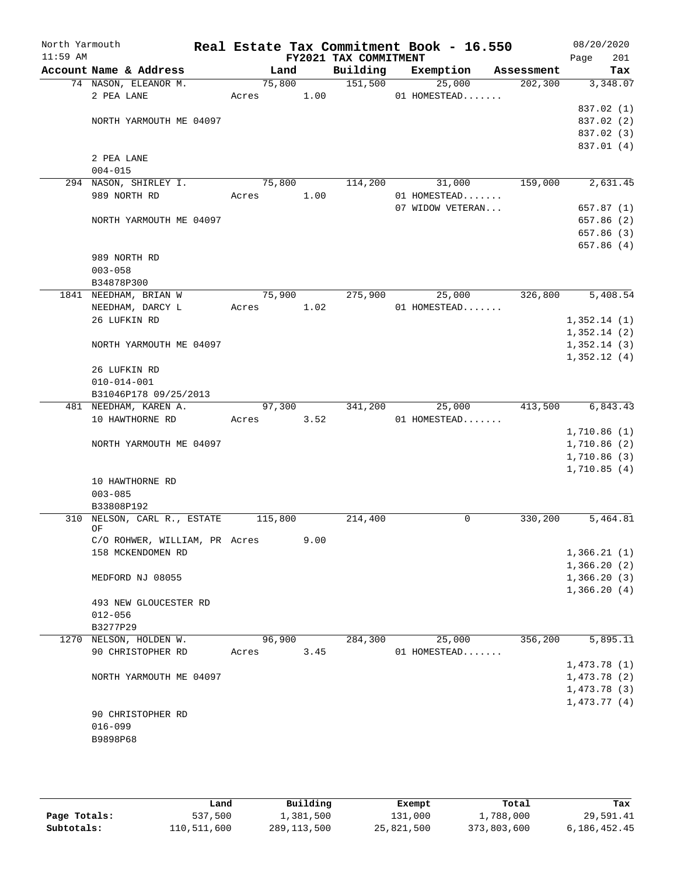| North Yarmouth |                                       |       |         |      |                       | Real Estate Tax Commitment Book - 16.550 |            | 08/20/2020               |
|----------------|---------------------------------------|-------|---------|------|-----------------------|------------------------------------------|------------|--------------------------|
| $11:59$ AM     |                                       |       |         |      | FY2021 TAX COMMITMENT |                                          |            | Page<br>201              |
|                | Account Name & Address                |       | Land    |      | Building              | Exemption                                | Assessment | Tax                      |
|                | 74 NASON, ELEANOR M.                  |       | 75,800  |      | 151,500               | 25,000                                   | 202, 300   | 3,348.07                 |
|                | 2 PEA LANE                            | Acres |         | 1.00 |                       | 01 HOMESTEAD                             |            |                          |
|                |                                       |       |         |      |                       |                                          |            | 837.02 (1)<br>837.02 (2) |
|                | NORTH YARMOUTH ME 04097               |       |         |      |                       |                                          |            | 837.02 (3)               |
|                |                                       |       |         |      |                       |                                          |            | 837.01 (4)               |
|                | 2 PEA LANE                            |       |         |      |                       |                                          |            |                          |
|                | $004 - 015$                           |       |         |      |                       |                                          |            |                          |
|                | 294 NASON, SHIRLEY I.                 |       | 75,800  |      | 114,200               | 31,000                                   | 159,000    | 2,631.45                 |
|                | 989 NORTH RD                          | Acres |         | 1.00 |                       | 01 HOMESTEAD                             |            |                          |
|                |                                       |       |         |      |                       | 07 WIDOW VETERAN                         |            | 657.87(1)                |
|                | NORTH YARMOUTH ME 04097               |       |         |      |                       |                                          |            | 657.86 (2)               |
|                |                                       |       |         |      |                       |                                          |            | 657.86 (3)               |
|                |                                       |       |         |      |                       |                                          |            | 657.86(4)                |
|                | 989 NORTH RD                          |       |         |      |                       |                                          |            |                          |
|                | $003 - 058$                           |       |         |      |                       |                                          |            |                          |
|                | B34878P300                            |       |         |      |                       |                                          |            |                          |
|                | 1841 NEEDHAM, BRIAN W                 |       | 75,900  |      | 275,900               | 25,000                                   | 326,800    | 5,408.54                 |
|                | NEEDHAM, DARCY L                      | Acres |         | 1.02 |                       | 01 HOMESTEAD                             |            |                          |
|                | 26 LUFKIN RD                          |       |         |      |                       |                                          |            | 1,352.14(1)              |
|                |                                       |       |         |      |                       |                                          |            | 1,352.14(2)              |
|                | NORTH YARMOUTH ME 04097               |       |         |      |                       |                                          |            | 1,352.14(3)              |
|                |                                       |       |         |      |                       |                                          |            | 1,352.12(4)              |
|                | 26 LUFKIN RD                          |       |         |      |                       |                                          |            |                          |
|                | $010 - 014 - 001$                     |       |         |      |                       |                                          |            |                          |
|                | B31046P178 09/25/2013                 |       |         |      |                       |                                          |            |                          |
|                | 481 NEEDHAM, KAREN A.                 |       | 97,300  |      | 341,200               | 25,000                                   | 413,500    | 6,843.43                 |
|                | 10 HAWTHORNE RD                       | Acres |         | 3.52 |                       | 01 HOMESTEAD                             |            |                          |
|                |                                       |       |         |      |                       |                                          |            | 1,710.86(1)              |
|                | NORTH YARMOUTH ME 04097               |       |         |      |                       |                                          |            | 1,710.86 (2)             |
|                |                                       |       |         |      |                       |                                          |            | 1,710.86(3)              |
|                |                                       |       |         |      |                       |                                          |            | 1,710.85(4)              |
|                | 10 HAWTHORNE RD                       |       |         |      |                       |                                          |            |                          |
|                | $003 - 085$                           |       |         |      |                       |                                          |            |                          |
| 310            | B33808P192<br>NELSON, CARL R., ESTATE |       | 115,800 |      | 214,400               | 0                                        | 330,200    | 5,464.81                 |
|                | ОF                                    |       |         |      |                       |                                          |            |                          |
|                | C/O ROHWER, WILLIAM, PR Acres         |       |         | 9.00 |                       |                                          |            |                          |
|                | 158 MCKENDOMEN RD                     |       |         |      |                       |                                          |            | 1,366.21(1)              |
|                |                                       |       |         |      |                       |                                          |            | 1,366.20(2)              |
|                | MEDFORD NJ 08055                      |       |         |      |                       |                                          |            | 1,366.20(3)              |
|                |                                       |       |         |      |                       |                                          |            | 1,366.20(4)              |
|                | 493 NEW GLOUCESTER RD                 |       |         |      |                       |                                          |            |                          |
|                | $012 - 056$                           |       |         |      |                       |                                          |            |                          |
|                | B3277P29                              |       |         |      |                       |                                          |            |                          |
|                | 1270 NELSON, HOLDEN W.                |       | 96,900  |      | 284,300               | 25,000                                   | 356,200    | 5,895.11                 |
|                | 90 CHRISTOPHER RD                     | Acres |         | 3.45 |                       | 01 HOMESTEAD                             |            |                          |
|                |                                       |       |         |      |                       |                                          |            | 1,473.78(1)              |
|                | NORTH YARMOUTH ME 04097               |       |         |      |                       |                                          |            | 1,473.78(2)              |
|                |                                       |       |         |      |                       |                                          |            | 1,473.78(3)              |
|                |                                       |       |         |      |                       |                                          |            | 1,473.77(4)              |
|                | 90 CHRISTOPHER RD                     |       |         |      |                       |                                          |            |                          |
|                | $016 - 099$                           |       |         |      |                       |                                          |            |                          |
|                | B9898P68                              |       |         |      |                       |                                          |            |                          |
|                |                                       |       |         |      |                       |                                          |            |                          |
|                |                                       |       |         |      |                       |                                          |            |                          |

|              | Land        | Building    | Exempt     | Total       | Tax          |
|--------------|-------------|-------------|------------|-------------|--------------|
| Page Totals: | 537,500     | 1,381,500   | 131,000    | 1,788,000   | 29,591.41    |
| Subtotals:   | 110,511,600 | 289,113,500 | 25,821,500 | 373,803,600 | 6,186,452.45 |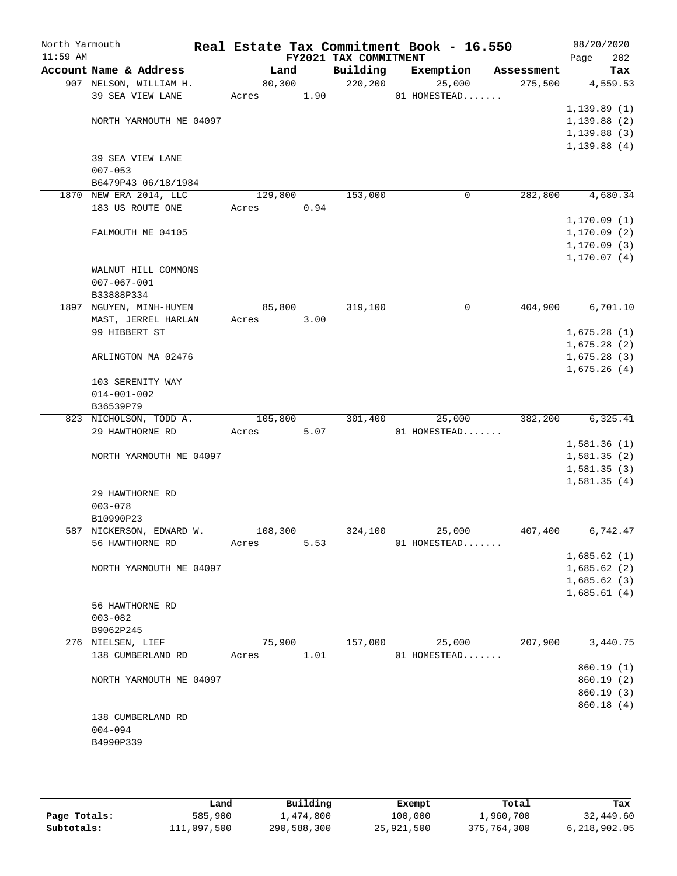| North Yarmouth<br>$11:59$ AM |                                    |         |      | FY2021 TAX COMMITMENT | Real Estate Tax Commitment Book - 16.550 |            | 08/20/2020<br>202<br>Page  |
|------------------------------|------------------------------------|---------|------|-----------------------|------------------------------------------|------------|----------------------------|
|                              | Account Name & Address             | Land    |      | Building              | Exemption                                | Assessment | Tax                        |
|                              | 907 NELSON, WILLIAM H.             | 80,300  |      | 220, 200              | 25,000                                   | 275,500    | 4,559.53                   |
|                              | 39 SEA VIEW LANE                   | Acres   | 1.90 |                       | 01 HOMESTEAD                             |            |                            |
|                              |                                    |         |      |                       |                                          |            | 1, 139.89(1)               |
|                              | NORTH YARMOUTH ME 04097            |         |      |                       |                                          |            | 1,139.88(2)                |
|                              |                                    |         |      |                       |                                          |            | 1,139.88(3)                |
|                              |                                    |         |      |                       |                                          |            | 1,139.88(4)                |
|                              | 39 SEA VIEW LANE                   |         |      |                       |                                          |            |                            |
|                              | $007 - 053$<br>B6479P43 06/18/1984 |         |      |                       |                                          |            |                            |
|                              | 1870 NEW ERA 2014, LLC             | 129,800 |      | 153,000               | 0                                        | 282,800    | 4,680.34                   |
|                              | 183 US ROUTE ONE                   | Acres   | 0.94 |                       |                                          |            |                            |
|                              |                                    |         |      |                       |                                          |            | 1, 170.09(1)               |
|                              | FALMOUTH ME 04105                  |         |      |                       |                                          |            | 1, 170.09(2)               |
|                              |                                    |         |      |                       |                                          |            | 1, 170.09(3)               |
|                              |                                    |         |      |                       |                                          |            | 1, 170.07(4)               |
|                              | WALNUT HILL COMMONS                |         |      |                       |                                          |            |                            |
|                              | $007 - 067 - 001$                  |         |      |                       |                                          |            |                            |
|                              | B33888P334                         |         |      |                       |                                          |            |                            |
|                              | 1897 NGUYEN, MINH-HUYEN            | 85,800  |      | 319,100               | 0                                        | 404,900    | 6,701.10                   |
|                              | MAST, JERREL HARLAN                | Acres   | 3.00 |                       |                                          |            |                            |
|                              | 99 HIBBERT ST                      |         |      |                       |                                          |            | 1,675.28(1)                |
|                              |                                    |         |      |                       |                                          |            | 1,675.28(2)                |
|                              | ARLINGTON MA 02476                 |         |      |                       |                                          |            | 1,675.28(3)                |
|                              |                                    |         |      |                       |                                          |            | 1,675.26(4)                |
|                              | 103 SERENITY WAY                   |         |      |                       |                                          |            |                            |
|                              | $014 - 001 - 002$                  |         |      |                       |                                          |            |                            |
|                              | B36539P79                          |         |      |                       |                                          |            |                            |
|                              | 823 NICHOLSON, TODD A.             | 105,800 |      | 301,400               | 25,000                                   | 382,200    | 6, 325.41                  |
|                              | 29 HAWTHORNE RD                    | Acres   | 5.07 |                       | 01 HOMESTEAD                             |            |                            |
|                              |                                    |         |      |                       |                                          |            | 1,581.36(1)                |
|                              | NORTH YARMOUTH ME 04097            |         |      |                       |                                          |            | 1,581.35(2)<br>1,581.35(3) |
|                              |                                    |         |      |                       |                                          |            | 1,581.35(4)                |
|                              | 29 HAWTHORNE RD                    |         |      |                       |                                          |            |                            |
|                              | $003 - 078$                        |         |      |                       |                                          |            |                            |
|                              | B10990P23                          |         |      |                       |                                          |            |                            |
|                              | 587 NICKERSON, EDWARD W.           | 108,300 |      | 324,100               | 25,000                                   | 407,400    | 6,742.47                   |
|                              | 56 HAWTHORNE RD                    | Acres   | 5.53 |                       | 01 HOMESTEAD                             |            |                            |
|                              |                                    |         |      |                       |                                          |            | 1,685.62(1)                |
|                              | NORTH YARMOUTH ME 04097            |         |      |                       |                                          |            | 1,685.62(2)                |
|                              |                                    |         |      |                       |                                          |            | 1,685.62(3)                |
|                              |                                    |         |      |                       |                                          |            | 1,685.61(4)                |
|                              | 56 HAWTHORNE RD                    |         |      |                       |                                          |            |                            |
|                              | $003 - 082$                        |         |      |                       |                                          |            |                            |
|                              | B9062P245                          |         |      |                       |                                          |            |                            |
|                              | 276 NIELSEN, LIEF                  | 75,900  |      | 157,000               | 25,000                                   | 207,900    | 3,440.75                   |
|                              | 138 CUMBERLAND RD                  | Acres   | 1.01 |                       | 01 HOMESTEAD                             |            |                            |
|                              |                                    |         |      |                       |                                          |            | 860.19(1)                  |
|                              | NORTH YARMOUTH ME 04097            |         |      |                       |                                          |            | 860.19(2)                  |
|                              |                                    |         |      |                       |                                          |            | 860.19(3)                  |
|                              |                                    |         |      |                       |                                          |            | 860.18 (4)                 |
|                              | 138 CUMBERLAND RD                  |         |      |                       |                                          |            |                            |
|                              | $004 - 094$                        |         |      |                       |                                          |            |                            |
|                              | B4990P339                          |         |      |                       |                                          |            |                            |
|                              |                                    |         |      |                       |                                          |            |                            |

|              | Land        | Building    | Exempt     | Total       | Tax          |
|--------------|-------------|-------------|------------|-------------|--------------|
| Page Totals: | 585,900     | 1,474,800   | 100,000    | 1,960,700   | 32,449.60    |
| Subtotals:   | 111,097,500 | 290,588,300 | 25,921,500 | 375,764,300 | 6,218,902.05 |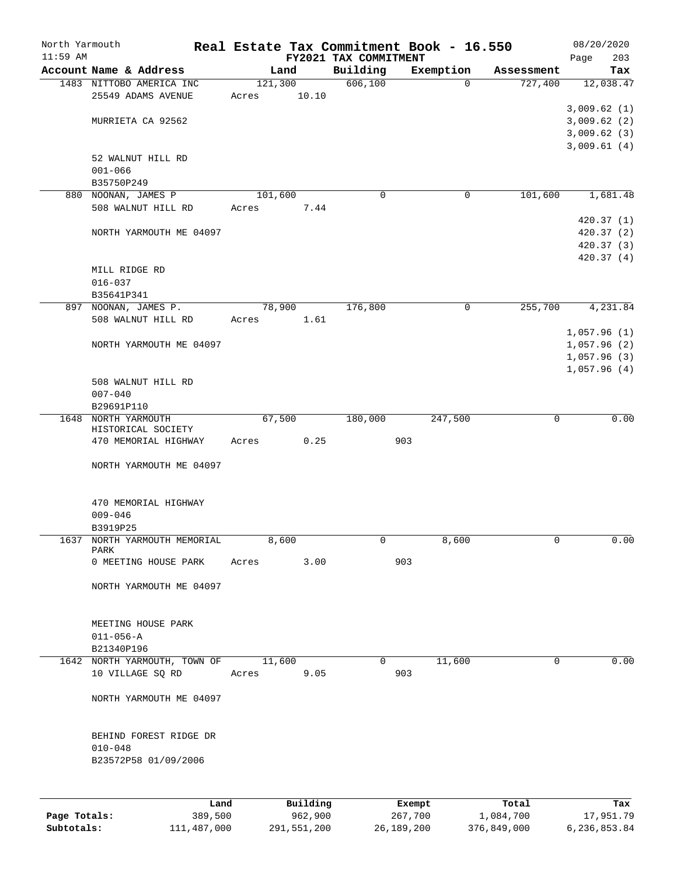|            | North Yarmouth                  | Real Estate Tax Commitment Book - 16.550 |                       |                   |                    | 08/20/2020       |
|------------|---------------------------------|------------------------------------------|-----------------------|-------------------|--------------------|------------------|
| $11:59$ AM |                                 |                                          | FY2021 TAX COMMITMENT |                   |                    | 203<br>Page      |
|            | Account Name & Address          | Land                                     | Building              | Exemption         | Assessment         | Tax              |
|            | 1483 NITTOBO AMERICA INC        | 121,300                                  | 606, 100              | $\mathbf 0$       | 727,400            | 12,038.47        |
|            | 25549 ADAMS AVENUE              | 10.10<br>Acres                           |                       |                   |                    |                  |
|            |                                 |                                          |                       |                   |                    | 3,009.62(1)      |
|            | MURRIETA CA 92562               |                                          |                       |                   |                    | 3,009.62(2)      |
|            |                                 |                                          |                       |                   |                    | 3,009.62(3)      |
|            |                                 |                                          |                       |                   |                    | 3,009.61(4)      |
|            | 52 WALNUT HILL RD               |                                          |                       |                   |                    |                  |
|            | $001 - 066$                     |                                          |                       |                   |                    |                  |
|            | B35750P249                      |                                          |                       |                   |                    |                  |
|            | 880 NOONAN, JAMES P             | 101,600                                  | 0                     | 0                 | 101,600            | 1,681.48         |
|            | 508 WALNUT HILL RD              | 7.44<br>Acres                            |                       |                   |                    |                  |
|            |                                 |                                          |                       |                   |                    | 420.37(1)        |
|            | NORTH YARMOUTH ME 04097         |                                          |                       |                   |                    | 420.37 (2)       |
|            |                                 |                                          |                       |                   |                    | 420.37 (3)       |
|            |                                 |                                          |                       |                   |                    | 420.37 (4)       |
|            | MILL RIDGE RD                   |                                          |                       |                   |                    |                  |
|            | $016 - 037$                     |                                          |                       |                   |                    |                  |
|            | B35641P341                      |                                          |                       |                   |                    |                  |
|            | 897 NOONAN, JAMES P.            | 78,900                                   | 176,800               | 0                 | 255,700            | 4,231.84         |
|            | 508 WALNUT HILL RD              | Acres<br>1.61                            |                       |                   |                    |                  |
|            |                                 |                                          |                       |                   |                    | 1,057.96(1)      |
|            | NORTH YARMOUTH ME 04097         |                                          |                       |                   |                    | 1,057.96(2)      |
|            |                                 |                                          |                       |                   |                    | 1,057.96(3)      |
|            |                                 |                                          |                       |                   |                    | 1,057.96(4)      |
|            | 508 WALNUT HILL RD              |                                          |                       |                   |                    |                  |
|            | $007 - 040$                     |                                          |                       |                   |                    |                  |
|            | B29691P110                      |                                          |                       |                   |                    |                  |
|            | 1648 NORTH YARMOUTH             | 67,500                                   | 180,000               | 247,500           | $\mathbf 0$        | 0.00             |
|            | HISTORICAL SOCIETY              |                                          |                       |                   |                    |                  |
|            | 470 MEMORIAL HIGHWAY            | 0.25<br>Acres                            |                       | 903               |                    |                  |
|            |                                 |                                          |                       |                   |                    |                  |
|            | NORTH YARMOUTH ME 04097         |                                          |                       |                   |                    |                  |
|            | 470 MEMORIAL HIGHWAY            |                                          |                       |                   |                    |                  |
|            | $009 - 046$                     |                                          |                       |                   |                    |                  |
|            | B3919P25                        |                                          |                       |                   |                    |                  |
|            | 1637 NORTH YARMOUTH MEMORIAL    | 8,600                                    | 0                     | 8,600             | 0                  | 0.00             |
|            | PARK                            |                                          |                       |                   |                    |                  |
|            | 0 MEETING HOUSE PARK            | Acres<br>3.00                            |                       | 903               |                    |                  |
|            |                                 |                                          |                       |                   |                    |                  |
|            | NORTH YARMOUTH ME 04097         |                                          |                       |                   |                    |                  |
|            |                                 |                                          |                       |                   |                    |                  |
|            | MEETING HOUSE PARK              |                                          |                       |                   |                    |                  |
|            | $011 - 056 - A$                 |                                          |                       |                   |                    |                  |
|            | B21340P196                      |                                          |                       |                   |                    |                  |
|            | 1642 NORTH YARMOUTH, TOWN OF    | 11,600                                   | 0                     | 11,600            | 0                  | 0.00             |
|            | 10 VILLAGE SQ RD                | 9.05<br>Acres                            |                       | 903               |                    |                  |
|            | NORTH YARMOUTH ME 04097         |                                          |                       |                   |                    |                  |
|            |                                 |                                          |                       |                   |                    |                  |
|            | BEHIND FOREST RIDGE DR          |                                          |                       |                   |                    |                  |
|            | $010 - 048$                     |                                          |                       |                   |                    |                  |
|            | B23572P58 01/09/2006            |                                          |                       |                   |                    |                  |
|            |                                 |                                          |                       |                   |                    |                  |
|            |                                 |                                          |                       |                   |                    |                  |
|            | Land<br>Page Totals:<br>389,500 | Building<br>962,900                      |                       | Exempt<br>267,700 | Total<br>1,084,700 | Tax<br>17,951.79 |

**Subtotals:** 111,487,000 291,551,200 26,189,200 376,849,000 6,236,853.84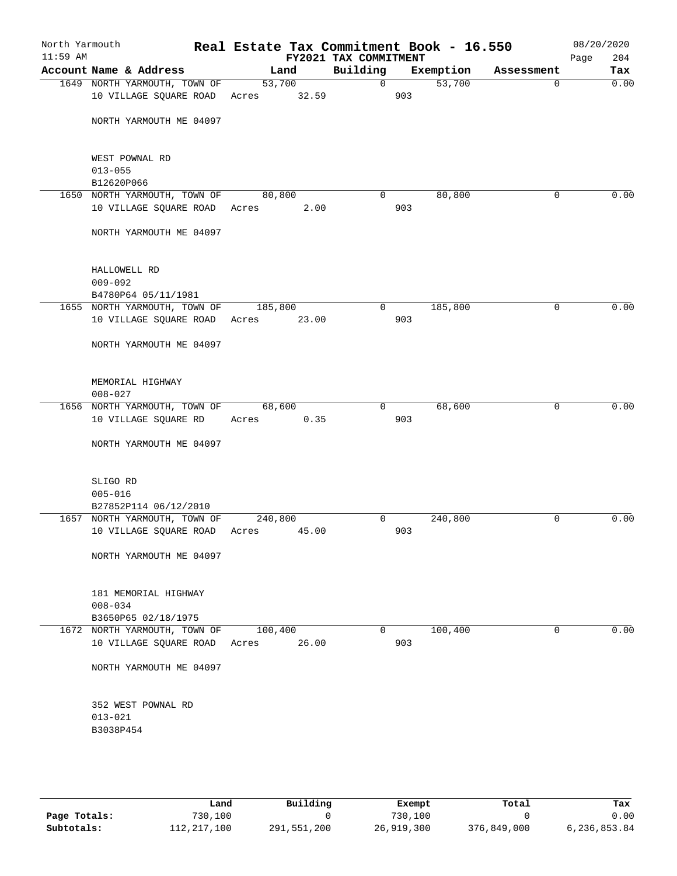| North Yarmouth<br>$11:59$ AM |                                             | Real Estate Tax Commitment Book - 16.550 | FY2021 TAX COMMITMENT |           |                       | 08/20/2020<br>204<br>Page |
|------------------------------|---------------------------------------------|------------------------------------------|-----------------------|-----------|-----------------------|---------------------------|
|                              | Account Name & Address                      | Land                                     | Building              | Exemption | Assessment            | Tax                       |
|                              | 1649 NORTH YARMOUTH, TOWN OF                | 53,700                                   | $\overline{0}$        |           | 53,700<br>$\mathbf 0$ | 0.00                      |
|                              | 10 VILLAGE SQUARE ROAD                      | Acres 32.59                              |                       | 903       |                       |                           |
|                              |                                             |                                          |                       |           |                       |                           |
|                              | NORTH YARMOUTH ME 04097                     |                                          |                       |           |                       |                           |
|                              |                                             |                                          |                       |           |                       |                           |
|                              |                                             |                                          |                       |           |                       |                           |
|                              | WEST POWNAL RD                              |                                          |                       |           |                       |                           |
|                              | $013 - 055$                                 |                                          |                       |           |                       |                           |
|                              | B12620P066                                  |                                          |                       |           |                       |                           |
|                              | 1650 NORTH YARMOUTH, TOWN OF                | 80,800                                   | $\overline{0}$        | 80,800    | $\mathbf 0$           | 0.00                      |
|                              | 10 VILLAGE SQUARE ROAD Acres                | 2.00                                     |                       | 903       |                       |                           |
|                              | NORTH YARMOUTH ME 04097                     |                                          |                       |           |                       |                           |
|                              |                                             |                                          |                       |           |                       |                           |
|                              |                                             |                                          |                       |           |                       |                           |
|                              | HALLOWELL RD                                |                                          |                       |           |                       |                           |
|                              | $009 - 092$                                 |                                          |                       |           |                       |                           |
|                              | B4780P64 05/11/1981                         |                                          |                       |           |                       |                           |
|                              | 1655 NORTH YARMOUTH, TOWN OF                | 185,800                                  | $\overline{0}$        | 185,800   | 0                     | 0.00                      |
|                              | 10 VILLAGE SQUARE ROAD                      | Acres<br>23.00                           |                       | 903       |                       |                           |
|                              |                                             |                                          |                       |           |                       |                           |
|                              | NORTH YARMOUTH ME 04097                     |                                          |                       |           |                       |                           |
|                              |                                             |                                          |                       |           |                       |                           |
|                              |                                             |                                          |                       |           |                       |                           |
|                              | MEMORIAL HIGHWAY                            |                                          |                       |           |                       |                           |
|                              | $008 - 027$<br>1656 NORTH YARMOUTH, TOWN OF | 68,600                                   | $\Omega$              | 68,600    | $\mathbf 0$           | 0.00                      |
|                              | 10 VILLAGE SQUARE RD                        | 0.35<br>Acres                            |                       | 903       |                       |                           |
|                              |                                             |                                          |                       |           |                       |                           |
|                              | NORTH YARMOUTH ME 04097                     |                                          |                       |           |                       |                           |
|                              |                                             |                                          |                       |           |                       |                           |
|                              |                                             |                                          |                       |           |                       |                           |
|                              | SLIGO RD                                    |                                          |                       |           |                       |                           |
|                              | $005 - 016$                                 |                                          |                       |           |                       |                           |
|                              | B27852P114 06/12/2010                       |                                          |                       |           |                       |                           |
|                              | 1657 NORTH YARMOUTH, TOWN OF                | 240,800                                  | $\overline{0}$        | 240,800   | 0                     | 0.00                      |
|                              | 10 VILLAGE SQUARE ROAD                      | Acres 45.00                              |                       | 903       |                       |                           |
|                              |                                             |                                          |                       |           |                       |                           |
|                              | NORTH YARMOUTH ME 04097                     |                                          |                       |           |                       |                           |
|                              |                                             |                                          |                       |           |                       |                           |
|                              | 181 MEMORIAL HIGHWAY                        |                                          |                       |           |                       |                           |
|                              | $008 - 034$                                 |                                          |                       |           |                       |                           |
|                              | B3650P65 02/18/1975                         |                                          |                       |           |                       |                           |
|                              | 1672 NORTH YARMOUTH, TOWN OF                | 100,400                                  | $\Omega$              | 100,400   | 0                     | 0.00                      |
|                              | 10 VILLAGE SQUARE ROAD                      | 26.00<br>Acres                           |                       | 903       |                       |                           |
|                              |                                             |                                          |                       |           |                       |                           |
|                              | NORTH YARMOUTH ME 04097                     |                                          |                       |           |                       |                           |
|                              |                                             |                                          |                       |           |                       |                           |
|                              |                                             |                                          |                       |           |                       |                           |
|                              | 352 WEST POWNAL RD                          |                                          |                       |           |                       |                           |
|                              | $013 - 021$                                 |                                          |                       |           |                       |                           |
|                              | B3038P454                                   |                                          |                       |           |                       |                           |
|                              |                                             |                                          |                       |           |                       |                           |
|                              |                                             |                                          |                       |           |                       |                           |

|              | Land        | Building    | Exempt     | Total       | Tax          |
|--------------|-------------|-------------|------------|-------------|--------------|
| Page Totals: | 730,100     |             | 730,100    |             | 0.00         |
| Subtotals:   | 112,217,100 | 291,551,200 | 26,919,300 | 376,849,000 | 6,236,853.84 |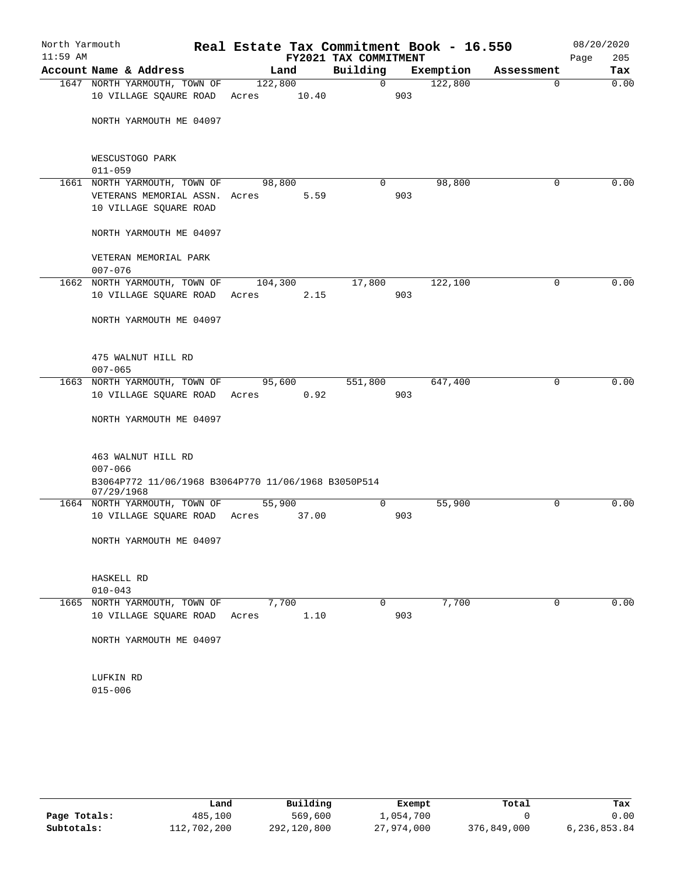| $11:59$ AM |                                                                                          |                |       | FY2021 TAX COMMITMENT |     |           |            | 205<br>Page |
|------------|------------------------------------------------------------------------------------------|----------------|-------|-----------------------|-----|-----------|------------|-------------|
|            | Account Name & Address                                                                   | Land           |       | Building              |     | Exemption | Assessment | Tax         |
|            | 1647 NORTH YARMOUTH, TOWN OF                                                             | 122,800        |       | $\Omega$              |     | 122,800   | 0          | 0.00        |
|            | 10 VILLAGE SQAURE ROAD                                                                   | Acres          | 10.40 |                       | 903 |           |            |             |
|            | NORTH YARMOUTH ME 04097                                                                  |                |       |                       |     |           |            |             |
|            | WESCUSTOGO PARK<br>$011 - 059$                                                           |                |       |                       |     |           |            |             |
|            | 1661 NORTH YARMOUTH, TOWN OF                                                             | 98,800         |       | $\Omega$              |     | 98,800    | $\Omega$   | 0.00        |
|            | VETERANS MEMORIAL ASSN. Acres<br>10 VILLAGE SQUARE ROAD                                  |                | 5.59  |                       | 903 |           |            |             |
|            | NORTH YARMOUTH ME 04097                                                                  |                |       |                       |     |           |            |             |
|            | VETERAN MEMORIAL PARK<br>$007 - 076$                                                     |                |       |                       |     |           |            |             |
|            | 1662 NORTH YARMOUTH, TOWN OF                                                             | 104,300        |       | 17,800                |     | 122,100   | 0          | 0.00        |
|            | 10 VILLAGE SQUARE ROAD Acres                                                             |                | 2.15  |                       | 903 |           |            |             |
|            | NORTH YARMOUTH ME 04097                                                                  |                |       |                       |     |           |            |             |
|            | 475 WALNUT HILL RD<br>$007 - 065$                                                        |                |       |                       |     |           |            |             |
|            | 1663 NORTH YARMOUTH, TOWN OF                                                             | 95,600         |       | 551,800               |     | 647,400   | $\Omega$   | 0.00        |
|            | 10 VILLAGE SQUARE ROAD                                                                   | Acres          | 0.92  |                       | 903 |           |            |             |
|            | NORTH YARMOUTH ME 04097                                                                  |                |       |                       |     |           |            |             |
|            | 463 WALNUT HILL RD<br>$007 - 066$<br>B3064P772 11/06/1968 B3064P770 11/06/1968 B3050P514 |                |       |                       |     |           |            |             |
|            | 07/29/1968                                                                               |                |       |                       |     |           |            |             |
|            | 1664 NORTH YARMOUTH, TOWN OF                                                             | 55,900         |       | 0                     |     | 55,900    | $\Omega$   | 0.00        |
|            | 10 VILLAGE SQUARE ROAD Acres                                                             |                | 37.00 |                       | 903 |           |            |             |
|            | NORTH YARMOUTH ME 04097                                                                  |                |       |                       |     |           |            |             |
|            | HASKELL RD                                                                               |                |       |                       |     |           |            |             |
|            | $010 - 043$                                                                              |                |       |                       |     |           |            |             |
|            | 1665 NORTH YARMOUTH, TOWN OF<br>10 VILLAGE SQUARE ROAD                                   | 7,700<br>Acres | 1.10  | 0                     | 903 | 7,700     | $\Omega$   | 0.00        |
|            | NORTH YARMOUTH ME 04097                                                                  |                |       |                       |     |           |            |             |
|            | LUFKIN RD<br>$015 - 006$                                                                 |                |       |                       |     |           |            |             |

|              | Land        | Building    | Exempt     | Total       | Tax          |
|--------------|-------------|-------------|------------|-------------|--------------|
| Page Totals: | 485,100     | 569,600     | 1,054,700  |             | 0.00         |
| Subtotals:   | 112,702,200 | 292,120,800 | 27,974,000 | 376,849,000 | 6,236,853.84 |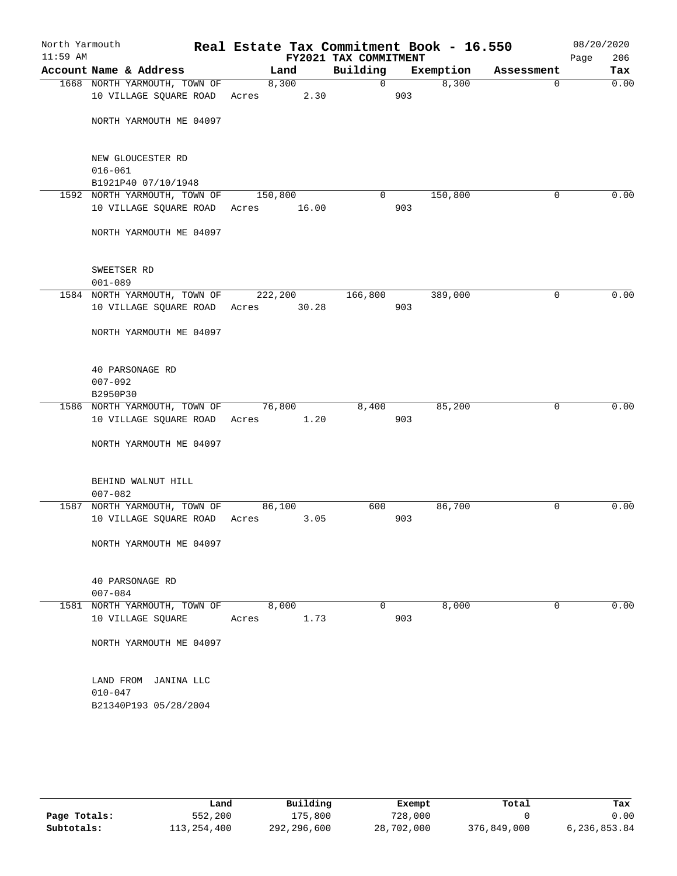| North Yarmouth<br>$11:59$ AM |                              | Real Estate Tax Commitment Book - 16.550 | FY2021 TAX COMMITMENT |     |           |            | 08/20/2020<br>206<br>Page |
|------------------------------|------------------------------|------------------------------------------|-----------------------|-----|-----------|------------|---------------------------|
|                              | Account Name & Address       | Land                                     | Building              |     | Exemption | Assessment | Tax                       |
|                              | 1668 NORTH YARMOUTH, TOWN OF | 8,300                                    | 0                     |     | 8,300     | $\Omega$   | 0.00                      |
|                              | 10 VILLAGE SQUARE ROAD       | 2.30<br>Acres                            |                       | 903 |           |            |                           |
|                              |                              |                                          |                       |     |           |            |                           |
|                              | NORTH YARMOUTH ME 04097      |                                          |                       |     |           |            |                           |
|                              |                              |                                          |                       |     |           |            |                           |
|                              |                              |                                          |                       |     |           |            |                           |
|                              | NEW GLOUCESTER RD            |                                          |                       |     |           |            |                           |
|                              | $016 - 061$                  |                                          |                       |     |           |            |                           |
|                              | B1921P40 07/10/1948          |                                          |                       |     |           |            |                           |
|                              | 1592 NORTH YARMOUTH, TOWN OF | 150,800                                  | $\circ$               | 903 | 150,800   | 0          | 0.00                      |
|                              | 10 VILLAGE SQUARE ROAD Acres | 16.00                                    |                       |     |           |            |                           |
|                              | NORTH YARMOUTH ME 04097      |                                          |                       |     |           |            |                           |
|                              |                              |                                          |                       |     |           |            |                           |
|                              |                              |                                          |                       |     |           |            |                           |
|                              | SWEETSER RD                  |                                          |                       |     |           |            |                           |
|                              | $001 - 089$                  |                                          |                       |     |           |            |                           |
|                              | 1584 NORTH YARMOUTH, TOWN OF | 222,200                                  | 166,800               |     | 389,000   | 0          | 0.00                      |
|                              | 10 VILLAGE SQUARE ROAD Acres | 30.28                                    |                       | 903 |           |            |                           |
|                              |                              |                                          |                       |     |           |            |                           |
|                              | NORTH YARMOUTH ME 04097      |                                          |                       |     |           |            |                           |
|                              |                              |                                          |                       |     |           |            |                           |
|                              |                              |                                          |                       |     |           |            |                           |
|                              | 40 PARSONAGE RD              |                                          |                       |     |           |            |                           |
|                              | $007 - 092$                  |                                          |                       |     |           |            |                           |
|                              | B2950P30                     |                                          |                       |     |           |            |                           |
|                              | 1586 NORTH YARMOUTH, TOWN OF | 76,800                                   | 8,400                 |     | 85,200    | 0          | 0.00                      |
|                              | 10 VILLAGE SQUARE ROAD Acres | 1.20                                     |                       | 903 |           |            |                           |
|                              | NORTH YARMOUTH ME 04097      |                                          |                       |     |           |            |                           |
|                              |                              |                                          |                       |     |           |            |                           |
|                              |                              |                                          |                       |     |           |            |                           |
|                              | BEHIND WALNUT HILL           |                                          |                       |     |           |            |                           |
|                              | $007 - 082$                  |                                          |                       |     |           |            |                           |
|                              | 1587 NORTH YARMOUTH, TOWN OF | 86,100                                   | 600                   |     | 86,700    | 0          | 0.00                      |
|                              | 10 VILLAGE SQUARE ROAD Acres | 3.05                                     |                       | 903 |           |            |                           |
|                              |                              |                                          |                       |     |           |            |                           |
|                              | NORTH YARMOUTH ME 04097      |                                          |                       |     |           |            |                           |
|                              |                              |                                          |                       |     |           |            |                           |
|                              |                              |                                          |                       |     |           |            |                           |
|                              | 40 PARSONAGE RD              |                                          |                       |     |           |            |                           |
|                              | $007 - 084$                  |                                          |                       |     |           |            |                           |
|                              | 1581 NORTH YARMOUTH, TOWN OF | 8,000                                    | 0                     |     | 8,000     | 0          | 0.00                      |
|                              | 10 VILLAGE SQUARE            | 1.73<br>Acres                            |                       | 903 |           |            |                           |
|                              | NORTH YARMOUTH ME 04097      |                                          |                       |     |           |            |                           |
|                              |                              |                                          |                       |     |           |            |                           |
|                              |                              |                                          |                       |     |           |            |                           |
|                              | LAND FROM JANINA LLC         |                                          |                       |     |           |            |                           |
|                              | $010 - 047$                  |                                          |                       |     |           |            |                           |
|                              | B21340P193 05/28/2004        |                                          |                       |     |           |            |                           |
|                              |                              |                                          |                       |     |           |            |                           |
|                              |                              |                                          |                       |     |           |            |                           |
|                              |                              |                                          |                       |     |           |            |                           |
|                              |                              |                                          |                       |     |           |            |                           |
|                              |                              |                                          |                       |     |           |            |                           |

|              | Land        | Building    | Exempt     | Total       | Tax          |
|--------------|-------------|-------------|------------|-------------|--------------|
| Page Totals: | 552,200     | 175,800     | 728,000    |             | 0.00         |
| Subtotals:   | 113,254,400 | 292,296,600 | 28,702,000 | 376,849,000 | 6,236,853.84 |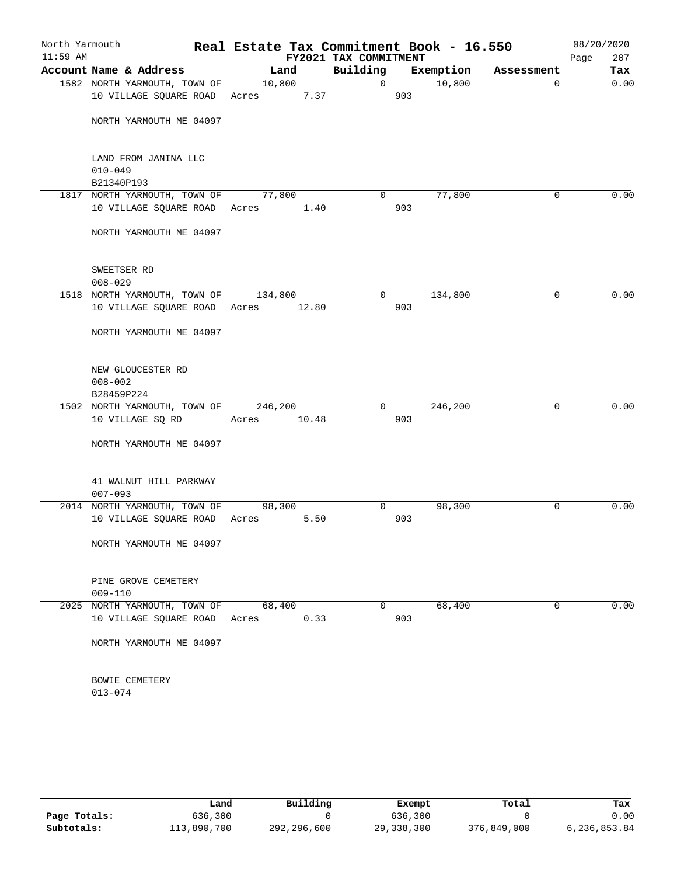| North Yarmouth<br>$11:59$ AM |                                                   |                | Real Estate Tax Commitment Book - 16.550<br>FY2021 TAX COMMITMENT |             | 08/20/2020<br>Page<br>207 |
|------------------------------|---------------------------------------------------|----------------|-------------------------------------------------------------------|-------------|---------------------------|
|                              | Account Name & Address                            | Land           | Building<br>Exemption                                             | Assessment  | Tax                       |
|                              | 1582 NORTH YARMOUTH, TOWN OF                      | 10,800         | 10,800<br>$\Omega$                                                | $\mathbf 0$ | 0.00                      |
|                              | 10 VILLAGE SQUARE ROAD                            | Acres 7.37     | 903                                                               |             |                           |
|                              | NORTH YARMOUTH ME 04097                           |                |                                                                   |             |                           |
|                              | LAND FROM JANINA LLC<br>$010 - 049$<br>B21340P193 |                |                                                                   |             |                           |
|                              | 1817 NORTH YARMOUTH, TOWN OF                      | 77,800         | 77,800<br>$\Omega$                                                | 0           | 0.00                      |
|                              | 10 VILLAGE SQUARE ROAD Acres                      | 1.40           | 903                                                               |             |                           |
|                              | NORTH YARMOUTH ME 04097                           |                |                                                                   |             |                           |
|                              | SWEETSER RD<br>$008 - 029$                        |                |                                                                   |             |                           |
|                              | 1518 NORTH YARMOUTH, TOWN OF                      | 134,800        | 134,800<br>$\overline{0}$                                         | 0           | 0.00                      |
|                              | 10 VILLAGE SQUARE ROAD Acres                      | 12.80          | 903                                                               |             |                           |
|                              | NORTH YARMOUTH ME 04097                           |                |                                                                   |             |                           |
|                              | NEW GLOUCESTER RD<br>$008 - 002$<br>B28459P224    |                |                                                                   |             |                           |
|                              | 1502 NORTH YARMOUTH, TOWN OF                      | 246,200        | 246,200<br>0                                                      | 0           | 0.00                      |
|                              | 10 VILLAGE SQ RD                                  | 10.48<br>Acres | 903                                                               |             |                           |
|                              | NORTH YARMOUTH ME 04097                           |                |                                                                   |             |                           |
|                              | 41 WALNUT HILL PARKWAY<br>$007 - 093$             |                |                                                                   |             |                           |
|                              | 2014 NORTH YARMOUTH, TOWN OF                      | 98,300         | 0<br>98,300                                                       | 0           | 0.00                      |
|                              | 10 VILLAGE SQUARE ROAD                            | Acres<br>5.50  | 903                                                               |             |                           |
|                              | NORTH YARMOUTH ME 04097                           |                |                                                                   |             |                           |
|                              | PINE GROVE CEMETERY<br>$009 - 110$                |                |                                                                   |             |                           |
|                              | 2025 NORTH YARMOUTH, TOWN OF                      | 68,400         | 68,400<br>$\Omega$                                                | 0           | 0.00                      |
|                              | 10 VILLAGE SQUARE ROAD                            | 0.33<br>Acres  | 903                                                               |             |                           |
|                              | NORTH YARMOUTH ME 04097                           |                |                                                                   |             |                           |
|                              | BOWIE CEMETERY<br>$013 - 074$                     |                |                                                                   |             |                           |

|              | Land        | Building    | Exempt     | Total       | Tax          |
|--------------|-------------|-------------|------------|-------------|--------------|
| Page Totals: | 636,300     |             | 636,300    |             | 0.00         |
| Subtotals:   | 113,890,700 | 292,296,600 | 29,338,300 | 376,849,000 | 6,236,853.84 |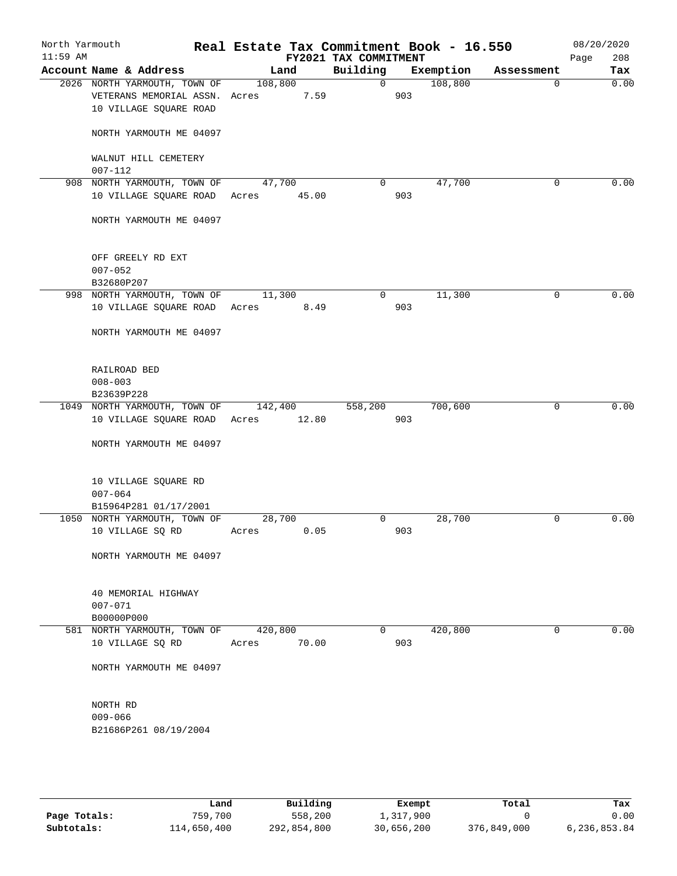| North Yarmouth<br>$11:59$ AM |                                                                                         |                       |       | Real Estate Tax Commitment Book - 16.550<br>FY2021 TAX COMMITMENT |     |           |             | 08/20/2020<br>208<br>Page |
|------------------------------|-----------------------------------------------------------------------------------------|-----------------------|-------|-------------------------------------------------------------------|-----|-----------|-------------|---------------------------|
|                              | Account Name & Address                                                                  |                       | Land  | Building                                                          |     | Exemption | Assessment  | Tax                       |
|                              | 2026 NORTH YARMOUTH, TOWN OF<br>VETERANS MEMORIAL ASSN. Acres<br>10 VILLAGE SQUARE ROAD | 108,800               | 7.59  | $\overline{0}$                                                    | 903 | 108,800   | $\mathbf 0$ | 0.00                      |
|                              | NORTH YARMOUTH ME 04097                                                                 |                       |       |                                                                   |     |           |             |                           |
|                              | WALNUT HILL CEMETERY<br>$007 - 112$                                                     |                       |       |                                                                   |     |           |             |                           |
|                              | 908 NORTH YARMOUTH, TOWN OF<br>10 VILLAGE SQUARE ROAD                                   | 47,700<br>Acres 45.00 |       | 0                                                                 | 903 | 47,700    | $\mathbf 0$ | 0.00                      |
|                              | NORTH YARMOUTH ME 04097                                                                 |                       |       |                                                                   |     |           |             |                           |
|                              | OFF GREELY RD EXT<br>$007 - 052$<br>B32680P207                                          |                       |       |                                                                   |     |           |             |                           |
|                              | 998 NORTH YARMOUTH, TOWN OF                                                             | 11,300                |       | 0                                                                 |     | 11,300    | 0           | 0.00                      |
|                              | 10 VILLAGE SQUARE ROAD                                                                  | Acres 8.49            |       |                                                                   | 903 |           |             |                           |
|                              | NORTH YARMOUTH ME 04097                                                                 |                       |       |                                                                   |     |           |             |                           |
|                              | RAILROAD BED<br>$008 - 003$                                                             |                       |       |                                                                   |     |           |             |                           |
|                              | B23639P228                                                                              |                       |       |                                                                   |     |           |             |                           |
|                              | 1049 NORTH YARMOUTH, TOWN OF 142,400                                                    |                       |       | 558,200                                                           |     | 700,600   | $\mathbf 0$ | 0.00                      |
|                              | 10 VILLAGE SQUARE ROAD Acres                                                            |                       | 12.80 |                                                                   | 903 |           |             |                           |
|                              | NORTH YARMOUTH ME 04097                                                                 |                       |       |                                                                   |     |           |             |                           |
|                              | 10 VILLAGE SQUARE RD<br>$007 - 064$                                                     |                       |       |                                                                   |     |           |             |                           |
|                              | B15964P281 01/17/2001                                                                   |                       |       |                                                                   |     |           |             |                           |
|                              | 1050 NORTH YARMOUTH, TOWN OF                                                            | 28,700                |       | $\overline{0}$                                                    |     | 28,700    | 0           | 0.00                      |
|                              | 10 VILLAGE SQ RD                                                                        | Acres                 | 0.05  |                                                                   | 903 |           |             |                           |
|                              | NORTH YARMOUTH ME 04097                                                                 |                       |       |                                                                   |     |           |             |                           |
|                              | 40 MEMORIAL HIGHWAY<br>$007 - 071$                                                      |                       |       |                                                                   |     |           |             |                           |
|                              | B00000P000                                                                              |                       |       |                                                                   |     |           |             |                           |
|                              | 581 NORTH YARMOUTH, TOWN OF                                                             | 420,800               |       | $\Omega$                                                          |     | 420,800   | 0           | 0.00                      |
|                              | 10 VILLAGE SQ RD                                                                        | Acres                 | 70.00 |                                                                   | 903 |           |             |                           |
|                              | NORTH YARMOUTH ME 04097                                                                 |                       |       |                                                                   |     |           |             |                           |
|                              | NORTH RD<br>$009 - 066$                                                                 |                       |       |                                                                   |     |           |             |                           |
|                              | B21686P261 08/19/2004                                                                   |                       |       |                                                                   |     |           |             |                           |
|                              |                                                                                         |                       |       |                                                                   |     |           |             |                           |
|                              |                                                                                         |                       |       |                                                                   |     |           |             |                           |

|              | Land        | Building    | Exempt     | Total       | Tax          |
|--------------|-------------|-------------|------------|-------------|--------------|
| Page Totals: | 759,700     | 558,200     | 1,317,900  |             | 0.00         |
| Subtotals:   | 114,650,400 | 292,854,800 | 30,656,200 | 376,849,000 | 6,236,853.84 |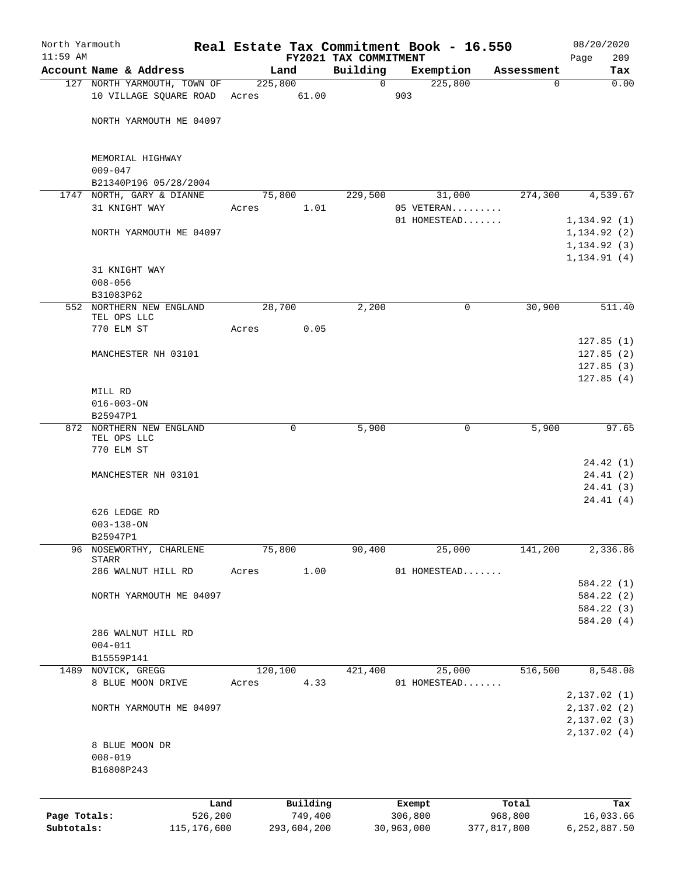| North Yarmouth<br>$11:59$ AM |                  | Account Name & Address       |       | Land                   | FY2021 TAX COMMITMENT<br>Building |                       | Real Estate Tax Commitment Book - 16.550<br>Exemption | Assessment             | 08/20/2020<br>209<br>Page<br>Tax |
|------------------------------|------------------|------------------------------|-------|------------------------|-----------------------------------|-----------------------|-------------------------------------------------------|------------------------|----------------------------------|
|                              |                  | 127 NORTH YARMOUTH, TOWN OF  |       | 225,800                | $\mathbf 0$                       |                       | 225,800                                               | $\Omega$               | 0.00                             |
|                              |                  | 10 VILLAGE SQUARE ROAD Acres |       | 61.00                  |                                   | 903                   |                                                       |                        |                                  |
|                              |                  | NORTH YARMOUTH ME 04097      |       |                        |                                   |                       |                                                       |                        |                                  |
|                              | $009 - 047$      | MEMORIAL HIGHWAY             |       |                        |                                   |                       |                                                       |                        |                                  |
|                              |                  | B21340P196 05/28/2004        |       |                        |                                   |                       |                                                       |                        |                                  |
|                              |                  | 1747 NORTH, GARY & DIANNE    |       | 75,800                 | 229,500                           |                       | 31,000                                                | 274,300                | 4,539.67                         |
|                              |                  | 31 KNIGHT WAY                | Acres | 1.01                   |                                   |                       | 05 VETERAN                                            |                        |                                  |
|                              |                  |                              |       |                        |                                   |                       | 01 HOMESTEAD                                          |                        | 1, 134.92(1)                     |
|                              |                  | NORTH YARMOUTH ME 04097      |       |                        |                                   |                       |                                                       |                        | 1, 134.92(2)                     |
|                              |                  |                              |       |                        |                                   |                       |                                                       |                        | 1, 134.92(3)                     |
|                              |                  | 31 KNIGHT WAY                |       |                        |                                   |                       |                                                       |                        | 1, 134.91(4)                     |
|                              | $008 - 056$      |                              |       |                        |                                   |                       |                                                       |                        |                                  |
|                              | B31083P62        |                              |       |                        |                                   |                       |                                                       |                        |                                  |
|                              |                  | 552 NORTHERN NEW ENGLAND     |       | 28,700                 | 2,200                             |                       | 0                                                     | 30,900                 | 511.40                           |
|                              |                  | TEL OPS LLC                  |       |                        |                                   |                       |                                                       |                        |                                  |
|                              | 770 ELM ST       |                              | Acres | 0.05                   |                                   |                       |                                                       |                        |                                  |
|                              |                  |                              |       |                        |                                   |                       |                                                       |                        | 127.85(1)                        |
|                              |                  | MANCHESTER NH 03101          |       |                        |                                   |                       |                                                       |                        | 127.85(2)                        |
|                              |                  |                              |       |                        |                                   |                       |                                                       |                        | 127.85(3)<br>127.85(4)           |
|                              | MILL RD          |                              |       |                        |                                   |                       |                                                       |                        |                                  |
|                              | $016 - 003 - ON$ |                              |       |                        |                                   |                       |                                                       |                        |                                  |
|                              | B25947P1         |                              |       |                        |                                   |                       |                                                       |                        |                                  |
|                              |                  | 872 NORTHERN NEW ENGLAND     |       | 0                      | 5,900                             |                       | 0                                                     | 5,900                  | 97.65                            |
|                              | 770 ELM ST       | TEL OPS LLC                  |       |                        |                                   |                       |                                                       |                        |                                  |
|                              |                  |                              |       |                        |                                   |                       |                                                       |                        | 24.42(1)                         |
|                              |                  | MANCHESTER NH 03101          |       |                        |                                   |                       |                                                       |                        | 24.41 (2)                        |
|                              |                  |                              |       |                        |                                   |                       |                                                       |                        | 24.41(3)                         |
|                              |                  |                              |       |                        |                                   |                       |                                                       |                        | 24.41(4)                         |
|                              | $003 - 138 - ON$ | 626 LEDGE RD                 |       |                        |                                   |                       |                                                       |                        |                                  |
|                              | B25947P1         |                              |       |                        |                                   |                       |                                                       |                        |                                  |
| 96                           |                  | NOSEWORTHY, CHARLENE         |       | 75,800                 | 90,400                            |                       | 25,000                                                | 141,200                | 2,336.86                         |
|                              | STARR            | 286 WALNUT HILL RD           | Acres | 1.00                   |                                   |                       | 01 HOMESTEAD                                          |                        |                                  |
|                              |                  |                              |       |                        |                                   |                       |                                                       |                        | 584.22 (1)                       |
|                              |                  | NORTH YARMOUTH ME 04097      |       |                        |                                   |                       |                                                       |                        | 584.22 (2)                       |
|                              |                  |                              |       |                        |                                   |                       |                                                       |                        | 584.22 (3)                       |
|                              |                  |                              |       |                        |                                   |                       |                                                       |                        | 584.20 (4)                       |
|                              |                  | 286 WALNUT HILL RD           |       |                        |                                   |                       |                                                       |                        |                                  |
|                              | $004 - 011$      |                              |       |                        |                                   |                       |                                                       |                        |                                  |
|                              | B15559P141       | NOVICK, GREGG                |       |                        |                                   |                       |                                                       | 516,500                |                                  |
| 1489                         |                  | 8 BLUE MOON DRIVE            | Acres | 120,100<br>4.33        | 421,400                           |                       | 25,000<br>01 HOMESTEAD                                |                        | 8,548.08                         |
|                              |                  |                              |       |                        |                                   |                       |                                                       |                        | 2,137.02(1)                      |
|                              |                  | NORTH YARMOUTH ME 04097      |       |                        |                                   |                       |                                                       |                        | 2,137.02(2)                      |
|                              |                  |                              |       |                        |                                   |                       |                                                       |                        | 2,137.02(3)                      |
|                              |                  |                              |       |                        |                                   |                       |                                                       |                        | 2,137.02(4)                      |
|                              |                  | 8 BLUE MOON DR               |       |                        |                                   |                       |                                                       |                        |                                  |
|                              | $008 - 019$      |                              |       |                        |                                   |                       |                                                       |                        |                                  |
|                              | B16808P243       |                              |       |                        |                                   |                       |                                                       |                        |                                  |
|                              |                  |                              |       |                        |                                   |                       |                                                       |                        |                                  |
|                              |                  |                              | Land  | Building               |                                   |                       | Exempt                                                | Total                  | Tax                              |
| Page Totals:<br>Subtotals:   |                  | 526,200<br>115, 176, 600     |       | 749,400<br>293,604,200 |                                   | 306,800<br>30,963,000 |                                                       | 968,800<br>377,817,800 | 16,033.66<br>6,252,887.50        |
|                              |                  |                              |       |                        |                                   |                       |                                                       |                        |                                  |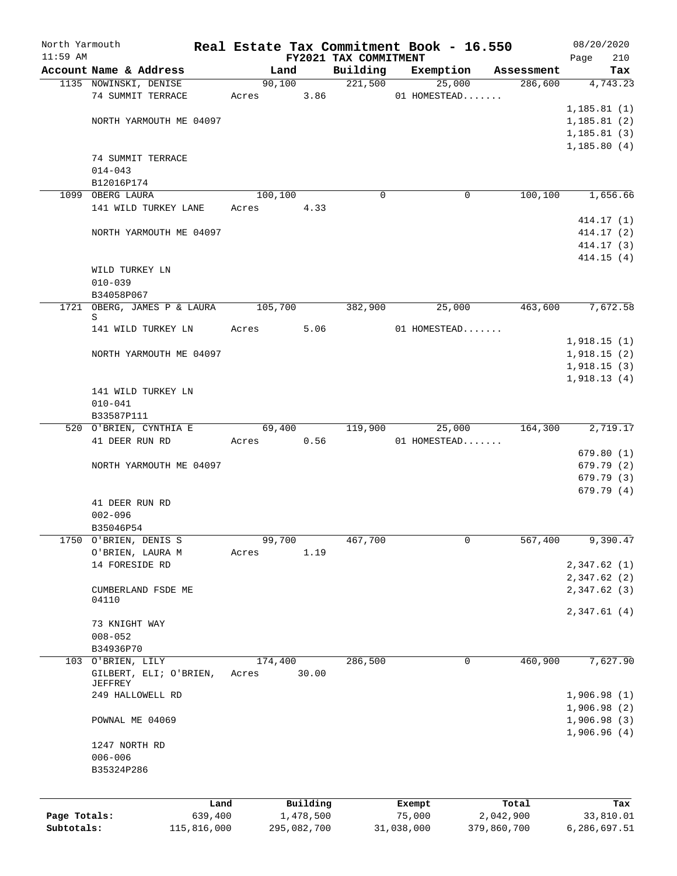| North Yarmouth |                                  |             |         |             |                       | Real Estate Tax Commitment Book - 16.550 |             | 08/20/2020   |
|----------------|----------------------------------|-------------|---------|-------------|-----------------------|------------------------------------------|-------------|--------------|
| $11:59$ AM     |                                  |             |         |             | FY2021 TAX COMMITMENT |                                          |             | 210<br>Page  |
|                | Account Name & Address           |             | Land    |             | Building              | Exemption                                | Assessment  | Tax          |
|                | 1135 NOWINSKI, DENISE            |             | 90,100  |             | 221,500               | 25,000                                   | 286,600     | 4,743.23     |
|                | 74 SUMMIT TERRACE                |             | Acres   | 3.86        |                       | 01 HOMESTEAD                             |             |              |
|                |                                  |             |         |             |                       |                                          |             | 1, 185.81(1) |
|                | NORTH YARMOUTH ME 04097          |             |         |             |                       |                                          |             | 1, 185.81(2) |
|                |                                  |             |         |             |                       |                                          |             | 1, 185.81(3) |
|                |                                  |             |         |             |                       |                                          |             | 1, 185.80(4) |
|                | 74 SUMMIT TERRACE                |             |         |             |                       |                                          |             |              |
|                | $014 - 043$                      |             |         |             |                       |                                          |             |              |
|                | B12016P174                       |             |         |             |                       |                                          |             |              |
|                | 1099 OBERG LAURA                 |             | 100,100 |             | $\Omega$              | $\mathbf 0$                              | 100,100     | 1,656.66     |
|                | 141 WILD TURKEY LANE             |             | Acres   | 4.33        |                       |                                          |             |              |
|                |                                  |             |         |             |                       |                                          |             | 414.17 (1)   |
|                | NORTH YARMOUTH ME 04097          |             |         |             |                       |                                          |             | 414.17 (2)   |
|                |                                  |             |         |             |                       |                                          |             | 414.17 (3)   |
|                |                                  |             |         |             |                       |                                          |             | 414.15(4)    |
|                | WILD TURKEY LN                   |             |         |             |                       |                                          |             |              |
|                | $010 - 039$                      |             |         |             |                       |                                          |             |              |
|                | B34058P067                       |             |         |             |                       |                                          |             |              |
|                | 1721 OBERG, JAMES P & LAURA<br>S |             | 105,700 |             | 382,900               | 25,000                                   | 463,600     | 7,672.58     |
|                | 141 WILD TURKEY LN               |             | Acres   | 5.06        |                       | 01 HOMESTEAD                             |             |              |
|                |                                  |             |         |             |                       |                                          |             | 1,918.15(1)  |
|                | NORTH YARMOUTH ME 04097          |             |         |             |                       |                                          |             | 1,918.15(2)  |
|                |                                  |             |         |             |                       |                                          |             | 1,918.15(3)  |
|                |                                  |             |         |             |                       |                                          |             | 1,918.13(4)  |
|                | 141 WILD TURKEY LN               |             |         |             |                       |                                          |             |              |
|                | $010 - 041$                      |             |         |             |                       |                                          |             |              |
|                | B33587P111                       |             |         |             |                       |                                          |             |              |
|                | 520 O'BRIEN, CYNTHIA E           |             | 69,400  |             | 119,900               | 25,000                                   | 164,300     | 2,719.17     |
|                | 41 DEER RUN RD                   |             | Acres   | 0.56        |                       | 01 HOMESTEAD                             |             |              |
|                |                                  |             |         |             |                       |                                          |             | 679.80(1)    |
|                | NORTH YARMOUTH ME 04097          |             |         |             |                       |                                          |             | 679.79 (2)   |
|                |                                  |             |         |             |                       |                                          |             | 679.79 (3)   |
|                |                                  |             |         |             |                       |                                          |             | 679.79(4)    |
|                | 41 DEER RUN RD                   |             |         |             |                       |                                          |             |              |
|                | $002 - 096$                      |             |         |             |                       |                                          |             |              |
|                | B35046P54                        |             |         |             |                       |                                          |             |              |
|                | 1750 O'BRIEN, DENIS S            |             | 99,700  |             | 467,700               | 0                                        | 567,400     | 9,390.47     |
|                | O'BRIEN, LAURA M                 |             | Acres   | 1.19        |                       |                                          |             |              |
|                | 14 FORESIDE RD                   |             |         |             |                       |                                          |             | 2,347.62(1)  |
|                |                                  |             |         |             |                       |                                          |             | 2,347.62(2)  |
|                | CUMBERLAND FSDE ME               |             |         |             |                       |                                          |             | 2,347.62(3)  |
|                | 04110                            |             |         |             |                       |                                          |             |              |
|                |                                  |             |         |             |                       |                                          |             | 2,347.61(4)  |
|                | 73 KNIGHT WAY                    |             |         |             |                       |                                          |             |              |
|                | $008 - 052$                      |             |         |             |                       |                                          |             |              |
|                | B34936P70                        |             |         |             |                       |                                          |             |              |
|                | 103 O'BRIEN, LILY                |             | 174,400 |             | 286,500               | 0                                        | 460,900     | 7,627.90     |
|                | GILBERT, ELI; O'BRIEN,           |             | Acres   | 30.00       |                       |                                          |             |              |
|                | JEFFREY<br>249 HALLOWELL RD      |             |         |             |                       |                                          |             | 1,906.98(1)  |
|                |                                  |             |         |             |                       |                                          |             | 1,906.98(2)  |
|                |                                  |             |         |             |                       |                                          |             |              |
|                | POWNAL ME 04069                  |             |         |             |                       |                                          |             | 1,906.98(3)  |
|                |                                  |             |         |             |                       |                                          |             | 1,906.96(4)  |
|                | 1247 NORTH RD                    |             |         |             |                       |                                          |             |              |
|                | $006 - 006$                      |             |         |             |                       |                                          |             |              |
|                | B35324P286                       |             |         |             |                       |                                          |             |              |
|                |                                  |             |         |             |                       |                                          |             |              |
|                |                                  | Land        |         | Building    |                       | Exempt                                   | Total       | Tax          |
| Page Totals:   |                                  | 639,400     |         | 1,478,500   |                       | 75,000                                   | 2,042,900   | 33,810.01    |
| Subtotals:     |                                  | 115,816,000 |         | 295,082,700 |                       | 31,038,000                               | 379,860,700 | 6,286,697.51 |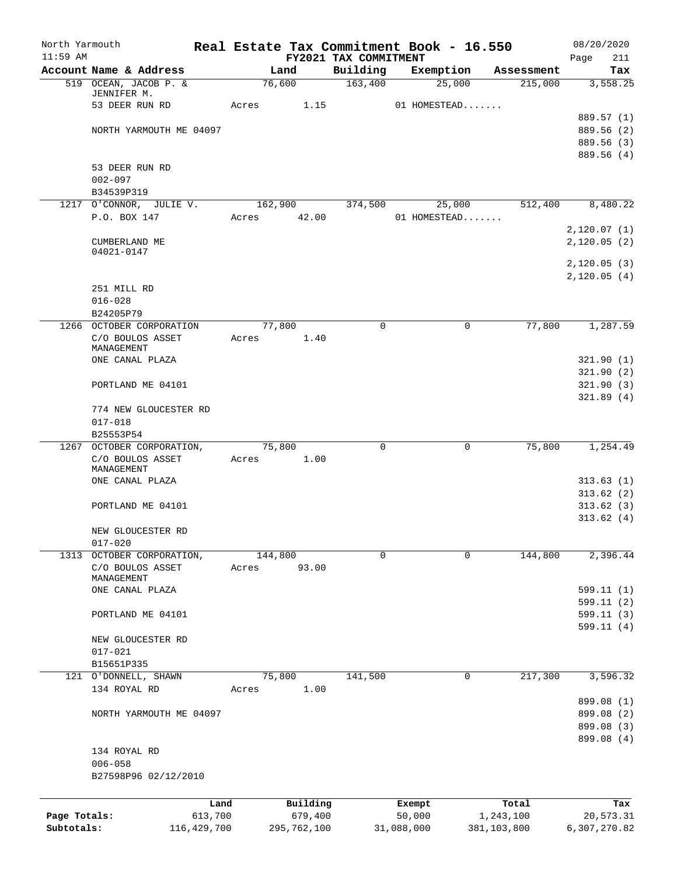| North Yarmouth<br>$11:59$ AM |                               | Real Estate Tax Commitment Book - 16.550 |                     | FY2021 TAX COMMITMENT |                  |              |                          | 08/20/2020<br>Page<br>211 |
|------------------------------|-------------------------------|------------------------------------------|---------------------|-----------------------|------------------|--------------|--------------------------|---------------------------|
|                              | Account Name & Address        |                                          | Land                | Building              |                  | Exemption    | Assessment               | Tax                       |
|                              | 519 OCEAN, JACOB P. &         |                                          | 76,600              | 163,400               |                  | 25,000       | 215,000                  | 3,558.25                  |
|                              | JENNIFER M.<br>53 DEER RUN RD | Acres                                    | 1.15                |                       |                  | 01 HOMESTEAD |                          |                           |
|                              |                               |                                          |                     |                       |                  |              |                          | 889.57 (1)                |
|                              | NORTH YARMOUTH ME 04097       |                                          |                     |                       |                  |              |                          | 889.56 (2)                |
|                              |                               |                                          |                     |                       |                  |              |                          | 889.56 (3)                |
|                              |                               |                                          |                     |                       |                  |              |                          | 889.56 (4)                |
|                              | 53 DEER RUN RD                |                                          |                     |                       |                  |              |                          |                           |
|                              | $002 - 097$                   |                                          |                     |                       |                  |              |                          |                           |
|                              | B34539P319                    |                                          |                     |                       |                  |              |                          |                           |
|                              | 1217 O'CONNOR, JULIE V.       | 162,900                                  |                     | 374,500               |                  | 25,000       | 512,400                  | 8,480.22                  |
|                              | P.O. BOX 147                  | Acres                                    | 42.00               |                       |                  | 01 HOMESTEAD |                          |                           |
|                              |                               |                                          |                     |                       |                  |              |                          | 2,120.07(1)               |
|                              | CUMBERLAND ME<br>04021-0147   |                                          |                     |                       |                  |              |                          | 2,120.05(2)               |
|                              |                               |                                          |                     |                       |                  |              |                          | 2,120.05(3)               |
|                              |                               |                                          |                     |                       |                  |              |                          | 2,120.05(4)               |
|                              | 251 MILL RD                   |                                          |                     |                       |                  |              |                          |                           |
|                              | $016 - 028$                   |                                          |                     |                       |                  |              |                          |                           |
|                              | B24205P79                     |                                          |                     |                       |                  |              |                          |                           |
|                              | 1266 OCTOBER CORPORATION      |                                          | 77,800              | $\mathbf 0$           |                  | 0            | 77,800                   | 1,287.59                  |
|                              | C/O BOULOS ASSET              | Acres                                    | 1.40                |                       |                  |              |                          |                           |
|                              | MANAGEMENT<br>ONE CANAL PLAZA |                                          |                     |                       |                  |              |                          | 321.90(1)                 |
|                              |                               |                                          |                     |                       |                  |              |                          | 321.90(2)                 |
|                              | PORTLAND ME 04101             |                                          |                     |                       |                  |              |                          | 321.90(3)                 |
|                              |                               |                                          |                     |                       |                  |              |                          | 321.89(4)                 |
|                              | 774 NEW GLOUCESTER RD         |                                          |                     |                       |                  |              |                          |                           |
|                              | $017 - 018$                   |                                          |                     |                       |                  |              |                          |                           |
|                              | B25553P54                     |                                          |                     |                       |                  |              |                          |                           |
| 1267                         | OCTOBER CORPORATION,          |                                          | 75,800              | $\mathbf 0$           |                  | $\mathbf 0$  | 75,800                   | 1,254.49                  |
|                              | C/O BOULOS ASSET              | Acres                                    | 1.00                |                       |                  |              |                          |                           |
|                              | MANAGEMENT                    |                                          |                     |                       |                  |              |                          |                           |
|                              | ONE CANAL PLAZA               |                                          |                     |                       |                  |              |                          | 313.63(1)<br>313.62(2)    |
|                              | PORTLAND ME 04101             |                                          |                     |                       |                  |              |                          | 313.62(3)                 |
|                              |                               |                                          |                     |                       |                  |              |                          | 313.62(4)                 |
|                              | NEW GLOUCESTER RD             |                                          |                     |                       |                  |              |                          |                           |
|                              | $017 - 020$                   |                                          |                     |                       |                  |              |                          |                           |
|                              | 1313 OCTOBER CORPORATION,     | 144,800                                  |                     | 0                     |                  | 0            | 144,800                  | 2,396.44                  |
|                              | C/O BOULOS ASSET              | Acres                                    | 93.00               |                       |                  |              |                          |                           |
|                              | MANAGEMENT                    |                                          |                     |                       |                  |              |                          |                           |
|                              | ONE CANAL PLAZA               |                                          |                     |                       |                  |              |                          | 599.11 (1)                |
|                              | PORTLAND ME 04101             |                                          |                     |                       |                  |              |                          | 599.11(2)<br>599.11(3)    |
|                              |                               |                                          |                     |                       |                  |              |                          | 599.11(4)                 |
|                              | NEW GLOUCESTER RD             |                                          |                     |                       |                  |              |                          |                           |
|                              | $017 - 021$                   |                                          |                     |                       |                  |              |                          |                           |
|                              | B15651P335                    |                                          |                     |                       |                  |              |                          |                           |
|                              | 121 O'DONNELL, SHAWN          |                                          | 75,800              | 141,500               |                  | 0            | 217,300                  | 3,596.32                  |
|                              | 134 ROYAL RD                  | Acres                                    | 1.00                |                       |                  |              |                          |                           |
|                              |                               |                                          |                     |                       |                  |              |                          | 899.08 (1)                |
|                              | NORTH YARMOUTH ME 04097       |                                          |                     |                       |                  |              |                          | 899.08 (2)                |
|                              |                               |                                          |                     |                       |                  |              |                          | 899.08 (3)                |
|                              |                               |                                          |                     |                       |                  |              |                          | 899.08 (4)                |
|                              | 134 ROYAL RD                  |                                          |                     |                       |                  |              |                          |                           |
|                              | $006 - 058$                   |                                          |                     |                       |                  |              |                          |                           |
|                              | B27598P96 02/12/2010          |                                          |                     |                       |                  |              |                          |                           |
|                              |                               |                                          |                     |                       |                  |              |                          |                           |
| Page Totals:                 |                               | Land<br>613,700                          | Building<br>679,400 |                       | Exempt<br>50,000 |              | Total                    | Tax                       |
| Subtotals:                   | 116, 429, 700                 |                                          | 295,762,100         |                       | 31,088,000       |              | 1,243,100<br>381,103,800 | 20,573.31<br>6,307,270.82 |
|                              |                               |                                          |                     |                       |                  |              |                          |                           |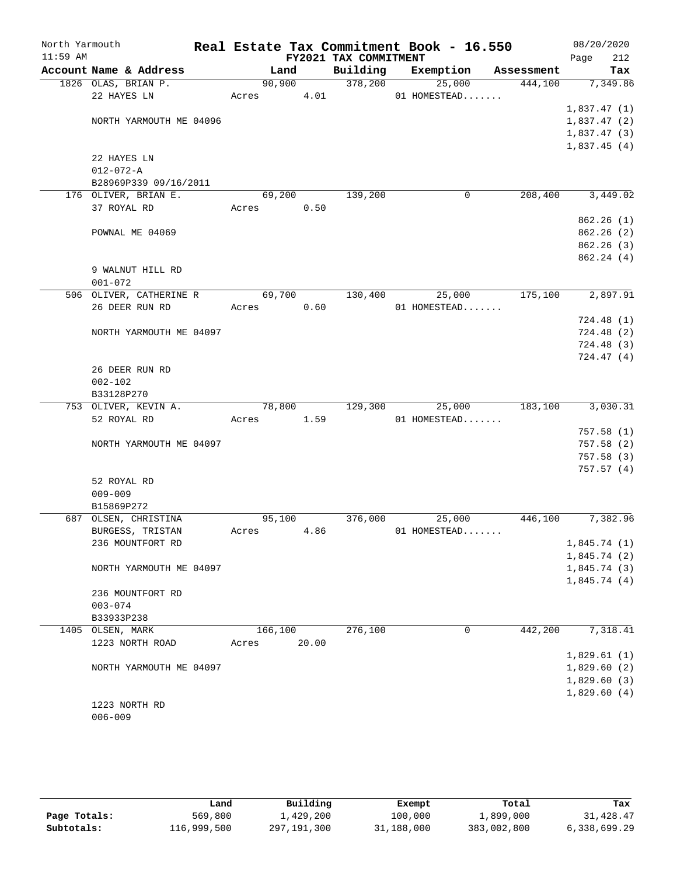| North Yarmouth<br>$11:59$ AM |                  |                         |         |        | FY2021 TAX COMMITMENT | Real Estate Tax Commitment Book - 16.550 |        |            | 08/20/2020<br>Page<br>212  |
|------------------------------|------------------|-------------------------|---------|--------|-----------------------|------------------------------------------|--------|------------|----------------------------|
|                              |                  | Account Name & Address  | Land    |        | Building              | Exemption                                |        | Assessment | Tax                        |
|                              |                  | 1826 OLAS, BRIAN P.     |         | 90,900 | 378,200               |                                          | 25,000 | 444,100    | 7,349.86                   |
|                              |                  | 22 HAYES LN             | Acres   | 4.01   |                       | 01 HOMESTEAD                             |        |            |                            |
|                              |                  |                         |         |        |                       |                                          |        |            | 1,837.47(1)                |
|                              |                  | NORTH YARMOUTH ME 04096 |         |        |                       |                                          |        |            | 1,837.47(2)                |
|                              |                  |                         |         |        |                       |                                          |        |            | 1,837.47(3)                |
|                              |                  |                         |         |        |                       |                                          |        |            | 1,837.45(4)                |
|                              |                  | 22 HAYES LN             |         |        |                       |                                          |        |            |                            |
|                              | $012 - 072 - A$  |                         |         |        |                       |                                          |        |            |                            |
|                              |                  | B28969P339 09/16/2011   |         |        |                       |                                          |        |            |                            |
|                              |                  | 176 OLIVER, BRIAN E.    | 69,200  |        | 139,200               |                                          | 0      | 208,400    | 3,449.02                   |
|                              |                  | 37 ROYAL RD             | Acres   | 0.50   |                       |                                          |        |            |                            |
|                              |                  |                         |         |        |                       |                                          |        |            | 862.26 (1)                 |
|                              |                  | POWNAL ME 04069         |         |        |                       |                                          |        |            | 862.26 (2)                 |
|                              |                  |                         |         |        |                       |                                          |        |            | 862.26 (3)                 |
|                              |                  |                         |         |        |                       |                                          |        |            | 862.24(4)                  |
|                              |                  | 9 WALNUT HILL RD        |         |        |                       |                                          |        |            |                            |
|                              | $001 - 072$      |                         |         |        |                       |                                          |        |            |                            |
|                              |                  | 506 OLIVER, CATHERINE R | 69,700  |        | 130,400               |                                          | 25,000 | 175,100    | 2,897.91                   |
|                              |                  | 26 DEER RUN RD          | Acres   | 0.60   |                       | 01 HOMESTEAD                             |        |            |                            |
|                              |                  |                         |         |        |                       |                                          |        |            | 724.48(1)                  |
|                              |                  | NORTH YARMOUTH ME 04097 |         |        |                       |                                          |        |            | 724.48(2)                  |
|                              |                  |                         |         |        |                       |                                          |        |            | 724.48(3)                  |
|                              |                  |                         |         |        |                       |                                          |        |            | 724.47(4)                  |
|                              |                  | 26 DEER RUN RD          |         |        |                       |                                          |        |            |                            |
|                              | $002 - 102$      |                         |         |        |                       |                                          |        |            |                            |
|                              | B33128P270       |                         |         |        |                       |                                          |        |            |                            |
|                              |                  | 753 OLIVER, KEVIN A.    | 78,800  |        | 129,300               |                                          | 25,000 | 183,100    | 3,030.31                   |
|                              |                  | 52 ROYAL RD             | Acres   | 1.59   |                       | 01 HOMESTEAD                             |        |            |                            |
|                              |                  |                         |         |        |                       |                                          |        |            | 757.58(1)                  |
|                              |                  | NORTH YARMOUTH ME 04097 |         |        |                       |                                          |        |            | 757.58 (2)                 |
|                              |                  |                         |         |        |                       |                                          |        |            | 757.58 (3)                 |
|                              |                  |                         |         |        |                       |                                          |        |            | 757.57(4)                  |
|                              |                  | 52 ROYAL RD             |         |        |                       |                                          |        |            |                            |
|                              | $009 - 009$      |                         |         |        |                       |                                          |        |            |                            |
|                              | B15869P272       |                         |         |        |                       |                                          |        |            |                            |
|                              |                  | 687 OLSEN, CHRISTINA    | 95,100  |        | 376,000               |                                          | 25,000 | 446,100    | 7,382.96                   |
|                              |                  | BURGESS, TRISTAN        | Acres   | 4.86   |                       | 01 HOMESTEAD                             |        |            |                            |
|                              |                  | 236 MOUNTFORT RD        |         |        |                       |                                          |        |            | 1,845.74(1)                |
|                              |                  |                         |         |        |                       |                                          |        |            | 1,845.74(2)                |
|                              |                  | NORTH YARMOUTH ME 04097 |         |        |                       |                                          |        |            | 1,845.74(3)                |
|                              |                  |                         |         |        |                       |                                          |        |            | 1,845.74(4)                |
|                              |                  | 236 MOUNTFORT RD        |         |        |                       |                                          |        |            |                            |
|                              | $003 - 074$      |                         |         |        |                       |                                          |        |            |                            |
|                              | B33933P238       |                         |         |        | 276,100               |                                          | 0      |            | 7,318.41                   |
|                              | 1405 OLSEN, MARK |                         | 166,100 |        |                       |                                          |        | 442,200    |                            |
|                              |                  | 1223 NORTH ROAD         | Acres   | 20.00  |                       |                                          |        |            | 1,829.61(1)                |
|                              |                  |                         |         |        |                       |                                          |        |            |                            |
|                              |                  | NORTH YARMOUTH ME 04097 |         |        |                       |                                          |        |            | 1,829.60(2)                |
|                              |                  |                         |         |        |                       |                                          |        |            | 1,829.60(3)<br>1,829.60(4) |
|                              |                  | 1223 NORTH RD           |         |        |                       |                                          |        |            |                            |
|                              | $006 - 009$      |                         |         |        |                       |                                          |        |            |                            |
|                              |                  |                         |         |        |                       |                                          |        |            |                            |

|              | Land        | Building    | Exempt     | Total       | Tax          |
|--------------|-------------|-------------|------------|-------------|--------------|
| Page Totals: | 569,800     | 1,429,200   | 100,000    | 1,899,000   | 31,428.47    |
| Subtotals:   | 116,999,500 | 297,191,300 | 31,188,000 | 383,002,800 | 6,338,699.29 |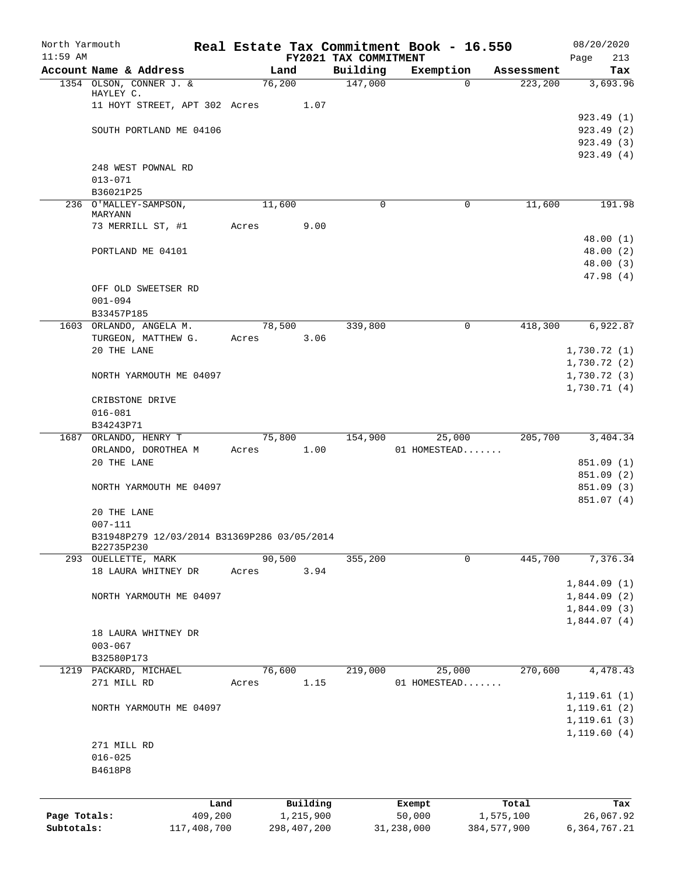| North Yarmouth             |                                             |        |                          |                       | Real Estate Tax Commitment Book - 16.550 |               | 08/20/2020     |
|----------------------------|---------------------------------------------|--------|--------------------------|-----------------------|------------------------------------------|---------------|----------------|
| $11:59$ AM                 |                                             |        |                          | FY2021 TAX COMMITMENT |                                          |               | 213<br>Page    |
|                            | Account Name & Address                      | Land   |                          | Building              | Exemption                                | Assessment    | Tax            |
|                            | 1354 OLSON, CONNER J. &<br>HAYLEY C.        | 76,200 |                          | 147,000               | $\Omega$                                 | 223, 200      | 3,693.96       |
|                            | 11 HOYT STREET, APT 302 Acres 1.07          |        |                          |                       |                                          |               |                |
|                            |                                             |        |                          |                       |                                          |               | 923.49(1)      |
|                            | SOUTH PORTLAND ME 04106                     |        |                          |                       |                                          |               | 923.49(2)      |
|                            |                                             |        |                          |                       |                                          |               | 923.49(3)      |
|                            |                                             |        |                          |                       |                                          |               | 923.49(4)      |
|                            | 248 WEST POWNAL RD                          |        |                          |                       |                                          |               |                |
|                            | $013 - 071$                                 |        |                          |                       |                                          |               |                |
|                            | B36021P25                                   |        |                          |                       |                                          |               |                |
|                            | 236 O'MALLEY-SAMPSON,                       | 11,600 |                          | $\mathbf 0$           | $\mathbf 0$                              | 11,600        | 191.98         |
|                            | MARYANN                                     |        |                          |                       |                                          |               |                |
|                            | 73 MERRILL ST, #1                           | Acres  | 9.00                     |                       |                                          |               |                |
|                            |                                             |        |                          |                       |                                          |               | 48.00(1)       |
|                            | PORTLAND ME 04101                           |        |                          |                       |                                          |               | 48.00 (2)      |
|                            |                                             |        |                          |                       |                                          |               | 48.00(3)       |
|                            | OFF OLD SWEETSER RD                         |        |                          |                       |                                          |               | 47.98(4)       |
|                            | $001 - 094$                                 |        |                          |                       |                                          |               |                |
|                            | B33457P185                                  |        |                          |                       |                                          |               |                |
|                            | 1603 ORLANDO, ANGELA M.                     | 78,500 |                          | 339,800               | $\Omega$                                 | 418,300       | 6,922.87       |
|                            | TURGEON, MATTHEW G.                         | Acres  | 3.06                     |                       |                                          |               |                |
|                            | 20 THE LANE                                 |        |                          |                       |                                          |               | 1,730.72(1)    |
|                            |                                             |        |                          |                       |                                          |               | 1,730.72(2)    |
|                            | NORTH YARMOUTH ME 04097                     |        |                          |                       |                                          |               | 1,730.72(3)    |
|                            |                                             |        |                          |                       |                                          |               | 1,730.71(4)    |
|                            | CRIBSTONE DRIVE                             |        |                          |                       |                                          |               |                |
|                            | $016 - 081$                                 |        |                          |                       |                                          |               |                |
|                            | B34243P71                                   |        |                          |                       |                                          |               |                |
|                            | 1687 ORLANDO, HENRY T                       | 75,800 |                          | 154,900               | 25,000                                   | 205,700       | 3,404.34       |
|                            | ORLANDO, DOROTHEA M                         | Acres  | 1.00                     |                       | 01 HOMESTEAD                             |               |                |
|                            | 20 THE LANE                                 |        |                          |                       |                                          |               | 851.09 (1)     |
|                            |                                             |        |                          |                       |                                          |               | 851.09 (2)     |
|                            | NORTH YARMOUTH ME 04097                     |        |                          |                       |                                          |               | 851.09 (3)     |
|                            |                                             |        |                          |                       |                                          |               | 851.07 (4)     |
|                            | 20 THE LANE                                 |        |                          |                       |                                          |               |                |
|                            | $007 - 111$                                 |        |                          |                       |                                          |               |                |
|                            | B31948P279 12/03/2014 B31369P286 03/05/2014 |        |                          |                       |                                          |               |                |
|                            | B22735P230                                  | 90,500 |                          | 355,200               | 0                                        |               | 7,376.34       |
|                            | 293 OUELLETTE, MARK<br>18 LAURA WHITNEY DR  |        | 3.94                     |                       |                                          | 445,700       |                |
|                            |                                             | Acres  |                          |                       |                                          |               | 1,844.09(1)    |
|                            | NORTH YARMOUTH ME 04097                     |        |                          |                       |                                          |               | 1,844.09(2)    |
|                            |                                             |        |                          |                       |                                          |               | 1,844.09(3)    |
|                            |                                             |        |                          |                       |                                          |               | 1,844.07(4)    |
|                            | 18 LAURA WHITNEY DR                         |        |                          |                       |                                          |               |                |
|                            | $003 - 067$                                 |        |                          |                       |                                          |               |                |
|                            | B32580P173                                  |        |                          |                       |                                          |               |                |
|                            | 1219 PACKARD, MICHAEL                       | 76,600 |                          | 219,000               | 25,000                                   | 270,600       | 4,478.43       |
|                            | 271 MILL RD                                 | Acres  | 1.15                     |                       | 01 HOMESTEAD                             |               |                |
|                            |                                             |        |                          |                       |                                          |               | 1, 119.61(1)   |
|                            | NORTH YARMOUTH ME 04097                     |        |                          |                       |                                          |               | 1, 119.61(2)   |
|                            |                                             |        |                          |                       |                                          |               | 1, 119.61(3)   |
|                            |                                             |        |                          |                       |                                          |               | 1, 119.60(4)   |
|                            | 271 MILL RD                                 |        |                          |                       |                                          |               |                |
|                            | $016 - 025$                                 |        |                          |                       |                                          |               |                |
|                            | B4618P8                                     |        |                          |                       |                                          |               |                |
|                            |                                             |        |                          |                       |                                          |               |                |
|                            |                                             |        |                          |                       |                                          |               |                |
|                            | Land                                        |        | Building                 |                       | Exempt                                   | Total         | Tax            |
| Page Totals:<br>Subtotals: | 409,200                                     |        | 1,215,900<br>298,407,200 |                       | 50,000<br>31,238,000                     | 1,575,100     | 26,067.92      |
|                            | 117,408,700                                 |        |                          |                       |                                          | 384, 577, 900 | 6, 364, 767.21 |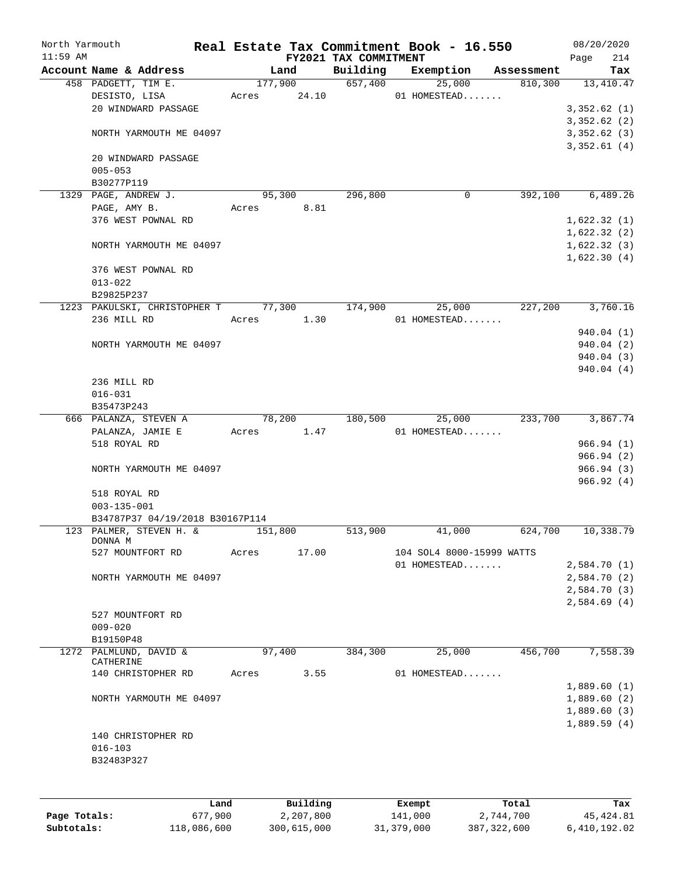| North Yarmouth |                                                            |       |             |                             | Real Estate Tax Commitment Book - 16.550 |                       |      | 08/20/2020                 |
|----------------|------------------------------------------------------------|-------|-------------|-----------------------------|------------------------------------------|-----------------------|------|----------------------------|
| $11:59$ AM     |                                                            |       |             | FY2021 TAX COMMITMENT       |                                          |                       | Page | 214                        |
|                | Account Name & Address<br>458 PADGETT, TIM E.              |       | Land        | Building<br>177,900 657,400 | Exemption<br>25,000                      | Assessment<br>810,300 |      | Tax<br>13, 410. 47         |
|                | DESISTO, LISA                                              |       | Acres 24.10 |                             | 01 HOMESTEAD                             |                       |      |                            |
|                | 20 WINDWARD PASSAGE                                        |       |             |                             |                                          |                       |      | 3,352.62(1)                |
|                |                                                            |       |             |                             |                                          |                       |      | 3,352.62(2)                |
|                | NORTH YARMOUTH ME 04097                                    |       |             |                             |                                          |                       |      | 3,352.62(3)                |
|                | 20 WINDWARD PASSAGE                                        |       |             |                             |                                          |                       |      | 3,352.61(4)                |
|                | $005 - 053$                                                |       |             |                             |                                          |                       |      |                            |
|                | B30277P119                                                 |       |             |                             |                                          |                       |      |                            |
|                | 1329 PAGE, ANDREW J.                                       |       | 95,300      | 296,800                     | 0                                        | 392,100               |      | 6,489.26                   |
|                | PAGE, AMY B.                                               | Acres | 8.81        |                             |                                          |                       |      |                            |
|                | 376 WEST POWNAL RD                                         |       |             |                             |                                          |                       |      | 1,622.32(1)                |
|                |                                                            |       |             |                             |                                          |                       |      | 1,622.32(2)                |
|                | NORTH YARMOUTH ME 04097                                    |       |             |                             |                                          |                       |      | 1,622.32(3)<br>1,622.30(4) |
|                | 376 WEST POWNAL RD                                         |       |             |                             |                                          |                       |      |                            |
|                | $013 - 022$                                                |       |             |                             |                                          |                       |      |                            |
|                | B29825P237                                                 |       |             |                             |                                          |                       |      |                            |
|                | 1223 PAKULSKI, CHRISTOPHER T 77,300                        |       |             | 174,900                     | 25,000                                   | 227,200               |      | 3,760.16                   |
|                | 236 MILL RD                                                |       | Acres 1.30  |                             | 01 HOMESTEAD                             |                       |      |                            |
|                |                                                            |       |             |                             |                                          |                       |      | 940.04 (1)                 |
|                | NORTH YARMOUTH ME 04097                                    |       |             |                             |                                          |                       |      | 940.04(2)                  |
|                |                                                            |       |             |                             |                                          |                       |      | 940.04 (3)                 |
|                |                                                            |       |             |                             |                                          |                       |      | 940.04(4)                  |
|                | 236 MILL RD<br>$016 - 031$                                 |       |             |                             |                                          |                       |      |                            |
|                | B35473P243                                                 |       |             |                             |                                          |                       |      |                            |
|                | 666 PALANZA, STEVEN A                                      |       | 78,200      | 180,500                     | 25,000                                   | 233,700               |      | 3,867.74                   |
|                | PALANZA, JAMIE E                                           | Acres | 1.47        |                             | 01 HOMESTEAD                             |                       |      |                            |
|                | 518 ROYAL RD                                               |       |             |                             |                                          |                       |      | 966.94(1)                  |
|                |                                                            |       |             |                             |                                          |                       |      | 966.94(2)                  |
|                | NORTH YARMOUTH ME 04097                                    |       |             |                             |                                          |                       |      | 966.94(3)                  |
|                |                                                            |       |             |                             |                                          |                       |      | 966.92(4)                  |
|                | 518 ROYAL RD                                               |       |             |                             |                                          |                       |      |                            |
|                | $003 - 135 - 001$                                          |       |             |                             |                                          |                       |      |                            |
|                | B34787P37 04/19/2018 B30167P114<br>123 PALMER, STEVEN H. & |       |             |                             |                                          |                       |      | 10,338.79                  |
|                | DONNA M                                                    |       | 151,800     | 513,900                     | 41,000                                   | 624,700               |      |                            |
|                | 527 MOUNTFORT RD                                           | Acres | 17.00       |                             | 104 SOL4 8000-15999 WATTS                |                       |      |                            |
|                |                                                            |       |             |                             | 01 HOMESTEAD                             |                       |      | 2,584.70(1)                |
|                | NORTH YARMOUTH ME 04097                                    |       |             |                             |                                          |                       |      | 2,584.70(2)                |
|                |                                                            |       |             |                             |                                          |                       |      | 2,584.70 (3)               |
|                |                                                            |       |             |                             |                                          |                       |      | 2,584.69(4)                |
|                | 527 MOUNTFORT RD<br>$009 - 020$                            |       |             |                             |                                          |                       |      |                            |
|                | B19150P48                                                  |       |             |                             |                                          |                       |      |                            |
|                | 1272 PALMLUND, DAVID &                                     |       | 97,400      | 384,300                     | 25,000                                   | 456,700               |      | 7,558.39                   |
|                | CATHERINE                                                  |       |             |                             |                                          |                       |      |                            |
|                | 140 CHRISTOPHER RD                                         | Acres | 3.55        |                             | 01 HOMESTEAD                             |                       |      |                            |
|                |                                                            |       |             |                             |                                          |                       |      | 1,889.60(1)                |
|                | NORTH YARMOUTH ME 04097                                    |       |             |                             |                                          |                       |      | 1,889.60(2)                |
|                |                                                            |       |             |                             |                                          |                       |      | 1,889.60(3)                |
|                | 140 CHRISTOPHER RD                                         |       |             |                             |                                          |                       |      | 1,889.59(4)                |
|                | $016 - 103$                                                |       |             |                             |                                          |                       |      |                            |
|                | B32483P327                                                 |       |             |                             |                                          |                       |      |                            |
|                |                                                            |       |             |                             |                                          |                       |      |                            |
|                |                                                            |       |             |                             |                                          |                       |      |                            |
|                | Land.                                                      |       | Building    |                             | <b>Fromnt</b>                            | $T$ ctal              |      | To-                        |

|              | Land        | Building    | Exempt     | Total       | Tax          |
|--------------|-------------|-------------|------------|-------------|--------------|
| Page Totals: | 677,900     | 2,207,800   | 141,000    | 2,744,700   | 45,424.81    |
| Subtotals:   | 118,086,600 | 300,615,000 | 31,379,000 | 387,322,600 | 6,410,192.02 |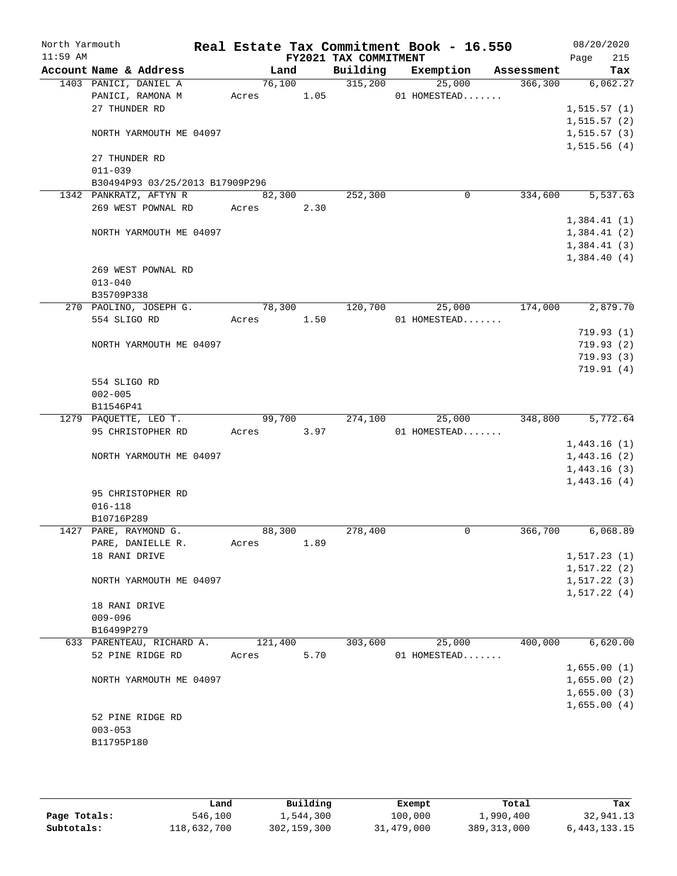| North Yarmouth |               |                                                 |            |                |                                  | Real Estate Tax Commitment Book - 16.550 |                                  | 08/20/2020             |
|----------------|---------------|-------------------------------------------------|------------|----------------|----------------------------------|------------------------------------------|----------------------------------|------------------------|
| $11:59$ AM     |               |                                                 |            |                | FY2021 TAX COMMITMENT            |                                          |                                  | 215<br>Page            |
|                |               | Account Name & Address<br>1403 PANICI, DANIEL A |            | Land<br>76,100 | Building<br>$\overline{315,200}$ | 25,000                                   | Exemption Assessment<br>366, 300 | Tax<br>6,062.27        |
|                |               | PANICI, RAMONA M                                | Acres 1.05 |                |                                  | 01 HOMESTEAD                             |                                  |                        |
|                | 27 THUNDER RD |                                                 |            |                |                                  |                                          |                                  | 1, 515.57(1)           |
|                |               |                                                 |            |                |                                  |                                          |                                  | 1, 515.57(2)           |
|                |               | NORTH YARMOUTH ME 04097                         |            |                |                                  |                                          |                                  | 1, 515.57(3)           |
|                |               |                                                 |            |                |                                  |                                          |                                  | 1,515.56(4)            |
|                | 27 THUNDER RD |                                                 |            |                |                                  |                                          |                                  |                        |
|                | $011 - 039$   |                                                 |            |                |                                  |                                          |                                  |                        |
|                |               | B30494P93 03/25/2013 B17909P296                 |            |                |                                  |                                          |                                  |                        |
|                |               | 1342 PANKRATZ, AFTYN R                          |            | 82,300         | 252,300                          | 0                                        | 334,600                          | 5, 537.63              |
|                |               | 269 WEST POWNAL RD Acres                        |            | 2.30           |                                  |                                          |                                  |                        |
|                |               |                                                 |            |                |                                  |                                          |                                  | 1,384.41(1)            |
|                |               | NORTH YARMOUTH ME 04097                         |            |                |                                  |                                          |                                  | 1,384.41(2)            |
|                |               |                                                 |            |                |                                  |                                          |                                  | 1,384.41(3)            |
|                |               |                                                 |            |                |                                  |                                          |                                  | 1,384.40(4)            |
|                |               | 269 WEST POWNAL RD                              |            |                |                                  |                                          |                                  |                        |
|                | $013 - 040$   |                                                 |            |                |                                  |                                          |                                  |                        |
|                | B35709P338    |                                                 |            |                |                                  |                                          |                                  |                        |
|                |               | 270 PAOLINO, JOSEPH G.                          | 78,300     |                | 120,700                          | 25,000<br>01 HOMESTEAD                   | 174,000                          | 2,879.70               |
|                | 554 SLIGO RD  |                                                 | Acres 1.50 |                |                                  |                                          |                                  |                        |
|                |               | NORTH YARMOUTH ME 04097                         |            |                |                                  |                                          |                                  | 719.93(1)<br>719.93(2) |
|                |               |                                                 |            |                |                                  |                                          |                                  | 719.93(3)              |
|                |               |                                                 |            |                |                                  |                                          |                                  | 719.91(4)              |
|                | 554 SLIGO RD  |                                                 |            |                |                                  |                                          |                                  |                        |
|                | $002 - 005$   |                                                 |            |                |                                  |                                          |                                  |                        |
|                | B11546P41     |                                                 |            |                |                                  |                                          |                                  |                        |
|                |               | 1279 PAQUETTE, LEO T.                           |            | 99,700         | 274,100                          | 25,000                                   | 348,800                          | 5,772.64               |
|                |               | 95 CHRISTOPHER RD                               | Acres      | 3.97           |                                  | 01 HOMESTEAD                             |                                  |                        |
|                |               |                                                 |            |                |                                  |                                          |                                  | 1,443.16(1)            |
|                |               | NORTH YARMOUTH ME 04097                         |            |                |                                  |                                          |                                  | 1,443.16(2)            |
|                |               |                                                 |            |                |                                  |                                          |                                  | 1,443.16(3)            |
|                |               |                                                 |            |                |                                  |                                          |                                  | 1,443.16(4)            |
|                |               | 95 CHRISTOPHER RD                               |            |                |                                  |                                          |                                  |                        |
|                | $016 - 118$   |                                                 |            |                |                                  |                                          |                                  |                        |
|                | B10716P289    |                                                 |            |                |                                  |                                          |                                  |                        |
|                |               | 1427 PARE, RAYMOND G.                           | 88,300     |                | 278,400                          | 0                                        | 366,700                          | 6,068.89               |
|                | 18 RANI DRIVE | PARE, DANIELLE R.                               | Acres      | 1.89           |                                  |                                          |                                  | 1, 517.23(1)           |
|                |               |                                                 |            |                |                                  |                                          |                                  | 1, 517.22(2)           |
|                |               | NORTH YARMOUTH ME 04097                         |            |                |                                  |                                          |                                  | 1, 517.22(3)           |
|                |               |                                                 |            |                |                                  |                                          |                                  | 1, 517.22(4)           |
|                | 18 RANI DRIVE |                                                 |            |                |                                  |                                          |                                  |                        |
|                | $009 - 096$   |                                                 |            |                |                                  |                                          |                                  |                        |
|                | B16499P279    |                                                 |            |                |                                  |                                          |                                  |                        |
|                |               | 633 PARENTEAU, RICHARD A.                       | 121,400    |                | 303,600                          | 25,000                                   | 400,000                          | 6,620.00               |
|                |               | 52 PINE RIDGE RD                                | Acres      | 5.70           |                                  | 01 HOMESTEAD                             |                                  |                        |
|                |               |                                                 |            |                |                                  |                                          |                                  | 1,655.00(1)            |
|                |               | NORTH YARMOUTH ME 04097                         |            |                |                                  |                                          |                                  | 1,655.00(2)            |
|                |               |                                                 |            |                |                                  |                                          |                                  | 1,655.00(3)            |
|                |               |                                                 |            |                |                                  |                                          |                                  | 1,655.00(4)            |
|                |               | 52 PINE RIDGE RD                                |            |                |                                  |                                          |                                  |                        |
|                | $003 - 053$   |                                                 |            |                |                                  |                                          |                                  |                        |
|                | B11795P180    |                                                 |            |                |                                  |                                          |                                  |                        |
|                |               |                                                 |            |                |                                  |                                          |                                  |                        |

|              | Land        | Building    | Exempt     | Total         | Tax             |
|--------------|-------------|-------------|------------|---------------|-----------------|
| Page Totals: | 546,100     | 1,544,300   | 100,000    | 1,990,400     | 32,941.13       |
| Subtotals:   | 118,632,700 | 302,159,300 | 31,479,000 | 389, 313, 000 | 6, 443, 133. 15 |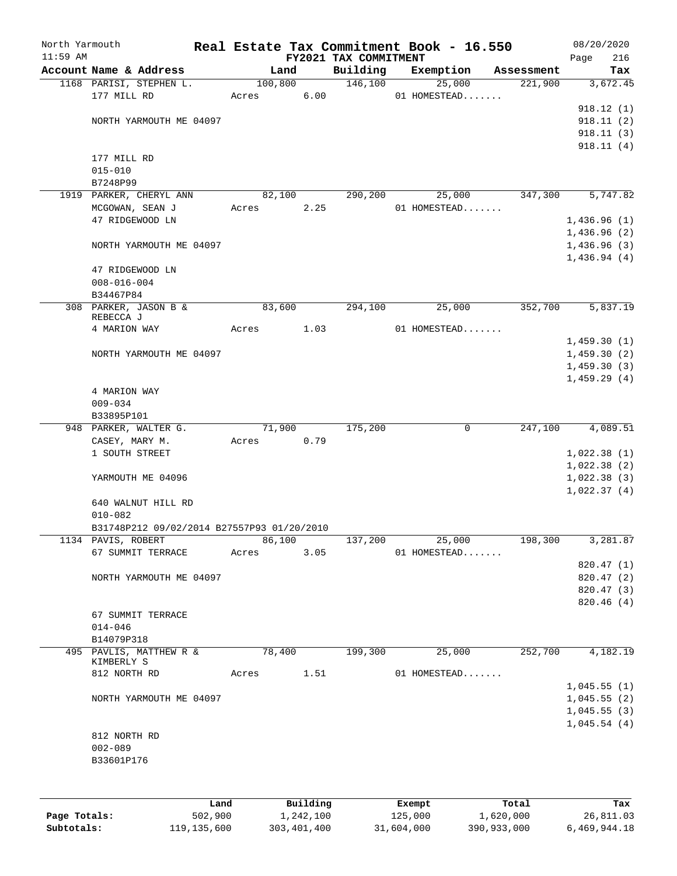| North Yarmouth<br>$11:59$ AM |                                            |       |         |          |                                   | Real Estate Tax Commitment Book - 16.550 |            | 08/20/2020         |
|------------------------------|--------------------------------------------|-------|---------|----------|-----------------------------------|------------------------------------------|------------|--------------------|
|                              | Account Name & Address                     |       | Land    |          | FY2021 TAX COMMITMENT<br>Building | Exemption                                | Assessment | 216<br>Page<br>Tax |
|                              | 1168 PARISI, STEPHEN L.                    |       | 100,800 |          | 146,100                           | 25,000                                   | 221,900    | 3,672.45           |
|                              | 177 MILL RD                                | Acres |         | 6.00     |                                   | 01 HOMESTEAD                             |            |                    |
|                              |                                            |       |         |          |                                   |                                          |            | 918.12(1)          |
|                              | NORTH YARMOUTH ME 04097                    |       |         |          |                                   |                                          |            | 918.11(2)          |
|                              |                                            |       |         |          |                                   |                                          |            | 918.11(3)          |
|                              |                                            |       |         |          |                                   |                                          |            | 918.11(4)          |
|                              | 177 MILL RD                                |       |         |          |                                   |                                          |            |                    |
|                              | $015 - 010$                                |       |         |          |                                   |                                          |            |                    |
|                              | B7248P99                                   |       |         |          |                                   |                                          |            |                    |
|                              | 1919 PARKER, CHERYL ANN                    |       | 82,100  |          | 290,200                           | 25,000                                   | 347,300    | 5,747.82           |
|                              | MCGOWAN, SEAN J                            | Acres |         | 2.25     |                                   | 01 HOMESTEAD                             |            |                    |
|                              | 47 RIDGEWOOD LN                            |       |         |          |                                   |                                          |            | 1,436.96(1)        |
|                              |                                            |       |         |          |                                   |                                          |            | 1,436.96(2)        |
|                              | NORTH YARMOUTH ME 04097                    |       |         |          |                                   |                                          |            | 1,436.96(3)        |
|                              |                                            |       |         |          |                                   |                                          |            | 1,436.94(4)        |
|                              | 47 RIDGEWOOD LN                            |       |         |          |                                   |                                          |            |                    |
|                              | $008 - 016 - 004$                          |       |         |          |                                   |                                          |            |                    |
|                              | B34467P84                                  |       |         |          |                                   |                                          |            |                    |
|                              | 308 PARKER, JASON B &                      |       | 83,600  |          | 294,100                           | 25,000                                   | 352,700    | 5,837.19           |
|                              | REBECCA J                                  |       |         |          |                                   |                                          |            |                    |
|                              | 4 MARION WAY                               | Acres |         | 1.03     |                                   | 01 HOMESTEAD                             |            |                    |
|                              |                                            |       |         |          |                                   |                                          |            | 1,459.30(1)        |
|                              | NORTH YARMOUTH ME 04097                    |       |         |          |                                   |                                          |            | 1,459.30(2)        |
|                              |                                            |       |         |          |                                   |                                          |            | 1,459.30(3)        |
|                              | 4 MARION WAY                               |       |         |          |                                   |                                          |            | 1,459.29(4)        |
|                              | $009 - 034$                                |       |         |          |                                   |                                          |            |                    |
|                              | B33895P101                                 |       |         |          |                                   |                                          |            |                    |
|                              | 948 PARKER, WALTER G.                      |       | 71,900  |          | 175,200                           | 0                                        | 247,100    | 4,089.51           |
|                              | CASEY, MARY M.                             | Acres |         | 0.79     |                                   |                                          |            |                    |
|                              | 1 SOUTH STREET                             |       |         |          |                                   |                                          |            | 1,022.38(1)        |
|                              |                                            |       |         |          |                                   |                                          |            | 1,022.38(2)        |
|                              | YARMOUTH ME 04096                          |       |         |          |                                   |                                          |            | 1,022.38(3)        |
|                              |                                            |       |         |          |                                   |                                          |            | 1,022.37(4)        |
|                              | 640 WALNUT HILL RD                         |       |         |          |                                   |                                          |            |                    |
|                              | $010 - 082$                                |       |         |          |                                   |                                          |            |                    |
|                              | B31748P212 09/02/2014 B27557P93 01/20/2010 |       |         |          |                                   |                                          |            |                    |
|                              | 1134 PAVIS, ROBERT                         |       | 86,100  |          | 137,200                           | 25,000                                   | 198,300    | 3,281.87           |
|                              | 67 SUMMIT TERRACE                          | Acres |         | 3.05     |                                   | 01 HOMESTEAD                             |            |                    |
|                              |                                            |       |         |          |                                   |                                          |            | 820.47 (1)         |
|                              | NORTH YARMOUTH ME 04097                    |       |         |          |                                   |                                          |            | 820.47 (2)         |
|                              |                                            |       |         |          |                                   |                                          |            | 820.47 (3)         |
|                              |                                            |       |         |          |                                   |                                          |            | 820.46 (4)         |
|                              | 67 SUMMIT TERRACE                          |       |         |          |                                   |                                          |            |                    |
|                              | $014 - 046$                                |       |         |          |                                   |                                          |            |                    |
|                              | B14079P318                                 |       |         |          |                                   |                                          |            |                    |
|                              | 495 PAVLIS, MATTHEW R &<br>KIMBERLY S      |       | 78,400  |          | 199,300                           | 25,000                                   | 252,700    | 4,182.19           |
|                              | 812 NORTH RD                               | Acres |         | 1.51     |                                   | 01 HOMESTEAD                             |            |                    |
|                              |                                            |       |         |          |                                   |                                          |            | 1,045.55(1)        |
|                              | NORTH YARMOUTH ME 04097                    |       |         |          |                                   |                                          |            | 1,045.55(2)        |
|                              |                                            |       |         |          |                                   |                                          |            | 1,045.55(3)        |
|                              |                                            |       |         |          |                                   |                                          |            | 1,045.54(4)        |
|                              | 812 NORTH RD                               |       |         |          |                                   |                                          |            |                    |
|                              | $002 - 089$                                |       |         |          |                                   |                                          |            |                    |
|                              | B33601P176                                 |       |         |          |                                   |                                          |            |                    |
|                              |                                            |       |         |          |                                   |                                          |            |                    |
|                              |                                            |       |         |          |                                   |                                          |            |                    |
|                              |                                            | Land  |         | Building |                                   | Exempt                                   | Total      | Tax                |
|                              |                                            |       |         |          |                                   |                                          |            |                    |

|              | Land        | Building    | Exempt     | Total       | тах          |
|--------------|-------------|-------------|------------|-------------|--------------|
| Page Totals: | 502,900     | 1,242,100   | 125,000    | 1,620,000   | 26,811.03    |
| Subtotals:   | 119,135,600 | 303,401,400 | 31,604,000 | 390,933,000 | 6,469,944.18 |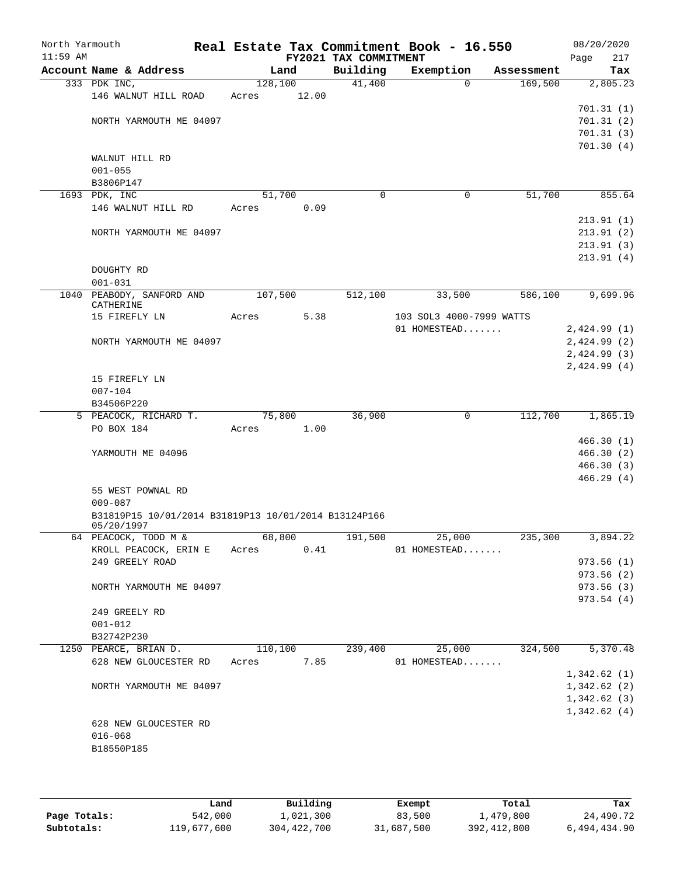| North Yarmouth<br>$11:59$ AM |                                                      |       |                       | FY2021 TAX COMMITMENT | Real Estate Tax Commitment Book - 16.550 |            | 08/20/2020<br>217<br>Page  |
|------------------------------|------------------------------------------------------|-------|-----------------------|-----------------------|------------------------------------------|------------|----------------------------|
|                              | Account Name & Address                               |       | Land                  | Building              | Exemption                                | Assessment | Tax                        |
|                              | 333 PDK INC,                                         |       | 128,100               | 41,400                | $\Omega$                                 | 169,500    | 2,805.23                   |
|                              | 146 WALNUT HILL ROAD                                 | Acres | 12.00                 |                       |                                          |            |                            |
|                              |                                                      |       |                       |                       |                                          |            | 701.31(1)                  |
|                              | NORTH YARMOUTH ME 04097                              |       |                       |                       |                                          |            | 701.31(2)                  |
|                              |                                                      |       |                       |                       |                                          |            | 701.31(3)                  |
|                              |                                                      |       |                       |                       |                                          |            | 701.30(4)                  |
|                              | WALNUT HILL RD                                       |       |                       |                       |                                          |            |                            |
|                              | $001 - 055$                                          |       |                       |                       |                                          |            |                            |
|                              | B3806P147                                            |       |                       |                       |                                          |            |                            |
|                              | 1693 PDK, INC                                        |       | 51,700                | 0                     | $\mathbf 0$                              | 51,700     | 855.64                     |
|                              | 146 WALNUT HILL RD                                   | Acres | 0.09                  |                       |                                          |            |                            |
|                              |                                                      |       |                       |                       |                                          |            | 213.91(1)                  |
|                              | NORTH YARMOUTH ME 04097                              |       |                       |                       |                                          |            | 213.91 (2)<br>213.91(3)    |
|                              |                                                      |       |                       |                       |                                          |            | 213.91(4)                  |
|                              | DOUGHTY RD                                           |       |                       |                       |                                          |            |                            |
|                              | $001 - 031$                                          |       |                       |                       |                                          |            |                            |
|                              | 1040 PEABODY, SANFORD AND                            |       | 107,500               | 512,100               | 33,500                                   | 586,100    | 9,699.96                   |
|                              | CATHERINE                                            |       |                       |                       |                                          |            |                            |
|                              | 15 FIREFLY LN                                        | Acres | 5.38                  |                       | 103 SOL3 4000-7999 WATTS                 |            |                            |
|                              |                                                      |       |                       |                       | 01 HOMESTEAD                             |            | 2,424.99(1)                |
|                              | NORTH YARMOUTH ME 04097                              |       |                       |                       |                                          |            | 2,424.99(2)                |
|                              |                                                      |       |                       |                       |                                          |            | 2,424.99(3)                |
|                              |                                                      |       |                       |                       |                                          |            | 2,424.99(4)                |
|                              | 15 FIREFLY LN                                        |       |                       |                       |                                          |            |                            |
|                              | $007 - 104$                                          |       |                       |                       |                                          |            |                            |
|                              | B34506P220                                           |       |                       |                       |                                          |            |                            |
|                              | 5 PEACOCK, RICHARD T.                                |       | 75,800                | 36,900                | 0                                        | 112,700    | 1,865.19                   |
|                              | PO BOX 184                                           | Acres | 1.00                  |                       |                                          |            |                            |
|                              |                                                      |       |                       |                       |                                          |            | 466.30(1)                  |
|                              | YARMOUTH ME 04096                                    |       |                       |                       |                                          |            | 466.30(2)                  |
|                              |                                                      |       |                       |                       |                                          |            | 466.30(3)                  |
|                              | 55 WEST POWNAL RD                                    |       |                       |                       |                                          |            | 466.29(4)                  |
|                              | $009 - 087$                                          |       |                       |                       |                                          |            |                            |
|                              | B31819P15 10/01/2014 B31819P13 10/01/2014 B13124P166 |       |                       |                       |                                          |            |                            |
|                              | 05/20/1997                                           |       |                       |                       |                                          |            |                            |
|                              | 64 PEACOCK, TODD M & 68,800                          |       |                       | 191,500               | 25,000                                   | 235,300    | 3,894.22                   |
|                              | KROLL PEACOCK, ERIN E Acres                          |       | 0.41                  |                       | 01 HOMESTEAD                             |            |                            |
|                              | 249 GREELY ROAD                                      |       |                       |                       |                                          |            | 973.56(1)                  |
|                              |                                                      |       |                       |                       |                                          |            | 973.56 (2)                 |
|                              | NORTH YARMOUTH ME 04097                              |       |                       |                       |                                          |            | 973.56(3)                  |
|                              |                                                      |       |                       |                       |                                          |            | 973.54(4)                  |
|                              | 249 GREELY RD                                        |       |                       |                       |                                          |            |                            |
|                              | $001 - 012$                                          |       |                       |                       |                                          |            |                            |
|                              | B32742P230                                           |       |                       | 239,400               |                                          | 324,500    | 5,370.48                   |
|                              | 1250 PEARCE, BRIAN D.<br>628 NEW GLOUCESTER RD       |       | 110,100<br>Acres 7.85 |                       | 25,000<br>01 HOMESTEAD                   |            |                            |
|                              |                                                      |       |                       |                       |                                          |            | 1,342.62(1)                |
|                              | NORTH YARMOUTH ME 04097                              |       |                       |                       |                                          |            | 1,342.62(2)                |
|                              |                                                      |       |                       |                       |                                          |            |                            |
|                              |                                                      |       |                       |                       |                                          |            | 1,342.62(3)<br>1,342.62(4) |
|                              | 628 NEW GLOUCESTER RD                                |       |                       |                       |                                          |            |                            |
|                              | $016 - 068$                                          |       |                       |                       |                                          |            |                            |
|                              | B18550P185                                           |       |                       |                       |                                          |            |                            |
|                              |                                                      |       |                       |                       |                                          |            |                            |
|                              |                                                      |       |                       |                       |                                          |            |                            |

|              | Land        | Building    | Exempt     | Total         | Tax          |
|--------------|-------------|-------------|------------|---------------|--------------|
| Page Totals: | 542,000     | 1,021,300   | 83,500     | 1,479,800     | 24,490.72    |
| Subtotals:   | 119,677,600 | 304,422,700 | 31,687,500 | 392, 412, 800 | 6,494,434.90 |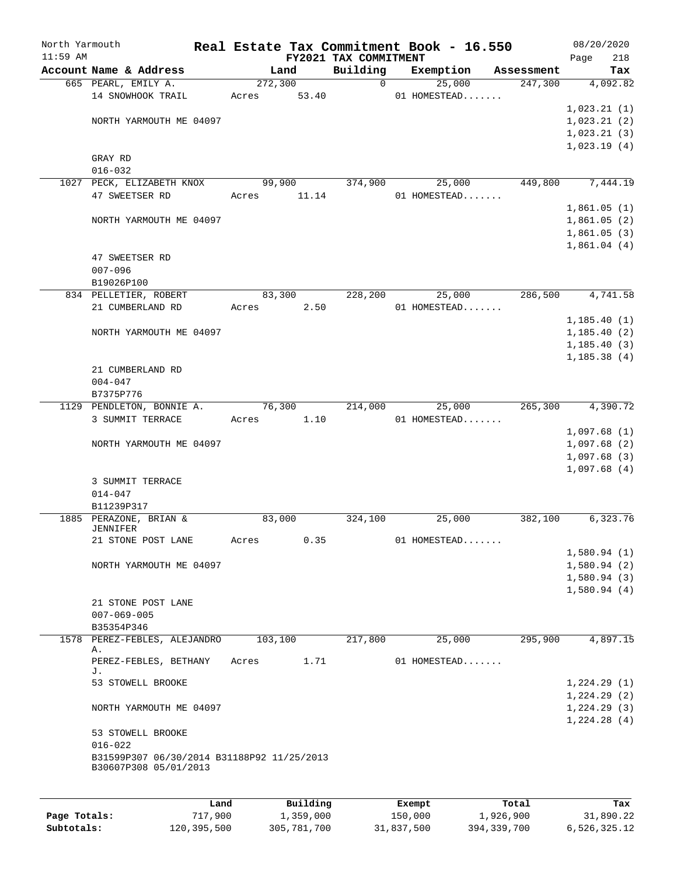| North Yarmouth |                                                                     |                 |         |                       |                                   | Real Estate Tax Commitment Book - 16.550 |                       | 08/20/2020                 |
|----------------|---------------------------------------------------------------------|-----------------|---------|-----------------------|-----------------------------------|------------------------------------------|-----------------------|----------------------------|
| $11:59$ AM     | Account Name & Address                                              |                 |         |                       | FY2021 TAX COMMITMENT<br>Building |                                          |                       | Page<br>218                |
|                | 665 PEARL, EMILY A.                                                 |                 | 272,300 | Land                  | 0                                 | Exemption<br>25,000                      | Assessment<br>247,300 | Tax<br>4,092.82            |
|                | 14 SNOWHOOK TRAIL                                                   |                 | Acres   | 53.40                 |                                   | 01 HOMESTEAD                             |                       |                            |
|                |                                                                     |                 |         |                       |                                   |                                          |                       | 1,023.21(1)                |
|                | NORTH YARMOUTH ME 04097                                             |                 |         |                       |                                   |                                          |                       | 1,023.21(2)                |
|                |                                                                     |                 |         |                       |                                   |                                          |                       | 1,023.21(3)                |
|                |                                                                     |                 |         |                       |                                   |                                          |                       | 1,023.19(4)                |
|                | GRAY RD                                                             |                 |         |                       |                                   |                                          |                       |                            |
|                | $016 - 032$                                                         |                 |         |                       |                                   |                                          |                       |                            |
|                | 1027 PECK, ELIZABETH KNOX                                           |                 |         | 99,900                | 374,900                           | 25,000                                   | 449,800               | 7,444.19                   |
|                | 47 SWEETSER RD                                                      |                 | Acres   | 11.14                 |                                   | 01 HOMESTEAD                             |                       |                            |
|                | NORTH YARMOUTH ME 04097                                             |                 |         |                       |                                   |                                          |                       | 1,861.05(1)<br>1,861.05(2) |
|                |                                                                     |                 |         |                       |                                   |                                          |                       | 1,861.05(3)                |
|                |                                                                     |                 |         |                       |                                   |                                          |                       | 1,861.04(4)                |
|                | 47 SWEETSER RD                                                      |                 |         |                       |                                   |                                          |                       |                            |
|                | $007 - 096$                                                         |                 |         |                       |                                   |                                          |                       |                            |
|                | B19026P100                                                          |                 |         |                       |                                   |                                          |                       |                            |
|                | 834 PELLETIER, ROBERT                                               |                 |         | 83,300                | 228,200                           | 25,000                                   | 286,500               | 4,741.58                   |
|                | 21 CUMBERLAND RD                                                    |                 | Acres   | 2.50                  |                                   | 01 HOMESTEAD                             |                       |                            |
|                |                                                                     |                 |         |                       |                                   |                                          |                       | 1, 185.40(1)               |
|                | NORTH YARMOUTH ME 04097                                             |                 |         |                       |                                   |                                          |                       | 1, 185.40(2)               |
|                |                                                                     |                 |         |                       |                                   |                                          |                       | 1, 185.40(3)               |
|                | 21 CUMBERLAND RD                                                    |                 |         |                       |                                   |                                          |                       | 1,185.38(4)                |
|                | $004 - 047$                                                         |                 |         |                       |                                   |                                          |                       |                            |
|                | B7375P776                                                           |                 |         |                       |                                   |                                          |                       |                            |
|                | 1129 PENDLETON, BONNIE A.                                           |                 |         | 76,300                | 214,000                           | 25,000                                   | 265,300               | 4,390.72                   |
|                | 3 SUMMIT TERRACE                                                    |                 | Acres   | 1.10                  |                                   | 01 HOMESTEAD                             |                       |                            |
|                |                                                                     |                 |         |                       |                                   |                                          |                       | 1,097.68(1)                |
|                | NORTH YARMOUTH ME 04097                                             |                 |         |                       |                                   |                                          |                       | 1,097.68(2)                |
|                |                                                                     |                 |         |                       |                                   |                                          |                       | 1,097.68(3)                |
|                |                                                                     |                 |         |                       |                                   |                                          |                       | 1,097.68(4)                |
|                | 3 SUMMIT TERRACE                                                    |                 |         |                       |                                   |                                          |                       |                            |
|                | $014 - 047$<br>B11239P317                                           |                 |         |                       |                                   |                                          |                       |                            |
|                | 1885 PERAZONE, BRIAN &                                              |                 | 83,000  |                       | 324,100                           | 25,000                                   | 382,100               | 6,323.76                   |
|                | JENNIFER                                                            |                 |         |                       |                                   |                                          |                       |                            |
|                | 21 STONE POST LANE                                                  |                 | Acres   | 0.35                  |                                   | 01 HOMESTEAD                             |                       |                            |
|                |                                                                     |                 |         |                       |                                   |                                          |                       | 1,580.94(1)                |
|                | NORTH YARMOUTH ME 04097                                             |                 |         |                       |                                   |                                          |                       | 1,580.94(2)                |
|                |                                                                     |                 |         |                       |                                   |                                          |                       | 1,580.94(3)                |
|                | 21 STONE POST LANE                                                  |                 |         |                       |                                   |                                          |                       | 1,580.94(4)                |
|                | $007 - 069 - 005$                                                   |                 |         |                       |                                   |                                          |                       |                            |
|                | B35354P346                                                          |                 |         |                       |                                   |                                          |                       |                            |
| 1578           | PEREZ-FEBLES, ALEJANDRO                                             |                 | 103,100 |                       | 217,800                           | 25,000                                   | 295,900               | 4,897.15                   |
|                | Α.                                                                  |                 |         |                       |                                   |                                          |                       |                            |
|                | PEREZ-FEBLES, BETHANY                                               |                 | Acres   | 1.71                  |                                   | 01 HOMESTEAD                             |                       |                            |
|                | J.<br>53 STOWELL BROOKE                                             |                 |         |                       |                                   |                                          |                       | 1,224.29(1)                |
|                |                                                                     |                 |         |                       |                                   |                                          |                       | 1,224.29(2)                |
|                | NORTH YARMOUTH ME 04097                                             |                 |         |                       |                                   |                                          |                       | 1,224.29(3)                |
|                |                                                                     |                 |         |                       |                                   |                                          |                       | 1,224.28(4)                |
|                | 53 STOWELL BROOKE                                                   |                 |         |                       |                                   |                                          |                       |                            |
|                | $016 - 022$                                                         |                 |         |                       |                                   |                                          |                       |                            |
|                | B31599P307 06/30/2014 B31188P92 11/25/2013<br>B30607P308 05/01/2013 |                 |         |                       |                                   |                                          |                       |                            |
|                |                                                                     |                 |         |                       |                                   |                                          |                       |                            |
| Page Totals:   |                                                                     | Land<br>717,900 |         | Building<br>1,359,000 |                                   | Exempt<br>150,000                        | Total<br>1,926,900    | Tax<br>31,890.22           |
| Subtotals:     |                                                                     | 120, 395, 500   |         | 305,781,700           |                                   | 31,837,500                               | 394, 339, 700         | 6,526,325.12               |
|                |                                                                     |                 |         |                       |                                   |                                          |                       |                            |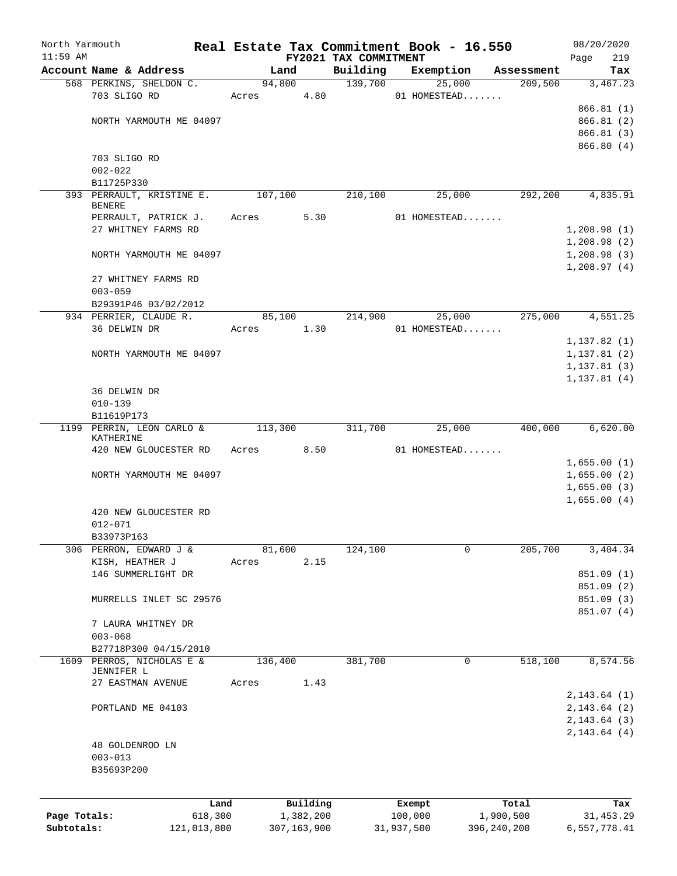| North Yarmouth |                           |                 |                       |                                   | Real Estate Tax Commitment Book - 16.550 |                    | 08/20/2020         |
|----------------|---------------------------|-----------------|-----------------------|-----------------------------------|------------------------------------------|--------------------|--------------------|
| $11:59$ AM     | Account Name & Address    |                 | Land                  | FY2021 TAX COMMITMENT<br>Building | Exemption                                | Assessment         | 219<br>Page<br>Tax |
|                | 568 PERKINS, SHELDON C.   |                 | 94,800                | 139,700                           | 25,000                                   | 209,500            | 3,467.23           |
|                | 703 SLIGO RD              | Acres           | 4.80                  |                                   | 01 HOMESTEAD                             |                    |                    |
|                |                           |                 |                       |                                   |                                          |                    | 866.81 (1)         |
|                | NORTH YARMOUTH ME 04097   |                 |                       |                                   |                                          |                    | 866.81 (2)         |
|                |                           |                 |                       |                                   |                                          |                    | 866.81 (3)         |
|                |                           |                 |                       |                                   |                                          |                    | 866.80 (4)         |
|                | 703 SLIGO RD              |                 |                       |                                   |                                          |                    |                    |
|                | $002 - 022$               |                 |                       |                                   |                                          |                    |                    |
|                | B11725P330                |                 |                       |                                   |                                          |                    |                    |
|                | 393 PERRAULT, KRISTINE E. |                 | 107,100               | 210,100                           | 25,000                                   | 292,200            | 4,835.91           |
|                | <b>BENERE</b>             |                 |                       |                                   |                                          |                    |                    |
|                | PERRAULT, PATRICK J.      | Acres           | 5.30                  |                                   | 01 HOMESTEAD                             |                    |                    |
|                | 27 WHITNEY FARMS RD       |                 |                       |                                   |                                          |                    | 1,208.98(1)        |
|                |                           |                 |                       |                                   |                                          |                    | 1,208.98(2)        |
|                | NORTH YARMOUTH ME 04097   |                 |                       |                                   |                                          |                    | 1,208.98(3)        |
|                |                           |                 |                       |                                   |                                          |                    | 1,208.97(4)        |
|                | 27 WHITNEY FARMS RD       |                 |                       |                                   |                                          |                    |                    |
|                | $003 - 059$               |                 |                       |                                   |                                          |                    |                    |
|                | B29391P46 03/02/2012      |                 |                       |                                   |                                          |                    |                    |
|                | 934 PERRIER, CLAUDE R.    |                 | 85,100                | 214,900                           | 25,000                                   | 275,000            | 4,551.25           |
|                | 36 DELWIN DR              | Acres           | 1.30                  |                                   | 01 HOMESTEAD                             |                    |                    |
|                |                           |                 |                       |                                   |                                          |                    | 1,137.82(1)        |
|                | NORTH YARMOUTH ME 04097   |                 |                       |                                   |                                          |                    | 1, 137.81(2)       |
|                |                           |                 |                       |                                   |                                          |                    | 1, 137.81(3)       |
|                | 36 DELWIN DR              |                 |                       |                                   |                                          |                    | 1, 137.81(4)       |
|                | $010 - 139$               |                 |                       |                                   |                                          |                    |                    |
|                | B11619P173                |                 |                       |                                   |                                          |                    |                    |
|                | 1199 PERRIN, LEON CARLO & |                 | 113,300               | 311,700                           | 25,000                                   | 400,000            | 6,620.00           |
|                | KATHERINE                 |                 |                       |                                   |                                          |                    |                    |
|                | 420 NEW GLOUCESTER RD     | Acres           | 8.50                  |                                   | 01 HOMESTEAD                             |                    |                    |
|                |                           |                 |                       |                                   |                                          |                    | 1,655.00(1)        |
|                | NORTH YARMOUTH ME 04097   |                 |                       |                                   |                                          |                    | 1,655.00(2)        |
|                |                           |                 |                       |                                   |                                          |                    | 1,655.00(3)        |
|                |                           |                 |                       |                                   |                                          |                    | 1,655.00(4)        |
|                | 420 NEW GLOUCESTER RD     |                 |                       |                                   |                                          |                    |                    |
|                | $012 - 071$               |                 |                       |                                   |                                          |                    |                    |
|                | B33973P163                |                 |                       |                                   |                                          |                    |                    |
|                | 306 PERRON, EDWARD J &    |                 | 81,600                | 124,100                           | 0                                        | 205,700            | 3,404.34           |
|                | KISH, HEATHER J           | Acres           | 2.15                  |                                   |                                          |                    |                    |
|                | 146 SUMMERLIGHT DR        |                 |                       |                                   |                                          |                    | 851.09 (1)         |
|                |                           |                 |                       |                                   |                                          |                    | 851.09 (2)         |
|                | MURRELLS INLET SC 29576   |                 |                       |                                   |                                          |                    | 851.09 (3)         |
|                | 7 LAURA WHITNEY DR        |                 |                       |                                   |                                          |                    | 851.07 (4)         |
|                | $003 - 068$               |                 |                       |                                   |                                          |                    |                    |
|                | B27718P300 04/15/2010     |                 |                       |                                   |                                          |                    |                    |
| 1609           | PERROS, NICHOLAS E &      |                 | 136,400               | 381,700                           | 0                                        | 518,100            | 8,574.56           |
|                | JENNIFER L                |                 |                       |                                   |                                          |                    |                    |
|                | 27 EASTMAN AVENUE         | Acres           | 1.43                  |                                   |                                          |                    |                    |
|                |                           |                 |                       |                                   |                                          |                    | 2, 143.64 (1)      |
|                | PORTLAND ME 04103         |                 |                       |                                   |                                          |                    | 2, 143.64 (2)      |
|                |                           |                 |                       |                                   |                                          |                    | 2, 143.64(3)       |
|                |                           |                 |                       |                                   |                                          |                    | 2, 143.64 (4)      |
|                | 48 GOLDENROD LN           |                 |                       |                                   |                                          |                    |                    |
|                | $003 - 013$               |                 |                       |                                   |                                          |                    |                    |
|                | B35693P200                |                 |                       |                                   |                                          |                    |                    |
|                |                           |                 |                       |                                   |                                          |                    |                    |
|                |                           |                 |                       |                                   |                                          |                    |                    |
| Page Totals:   |                           | Land<br>618,300 | Building<br>1,382,200 |                                   | Exempt<br>100,000                        | Total<br>1,900,500 | Tax<br>31, 453.29  |
| Subtotals:     | 121,013,800               |                 | 307, 163, 900         |                                   | 31,937,500                               | 396, 240, 200      | 6,557,778.41       |
|                |                           |                 |                       |                                   |                                          |                    |                    |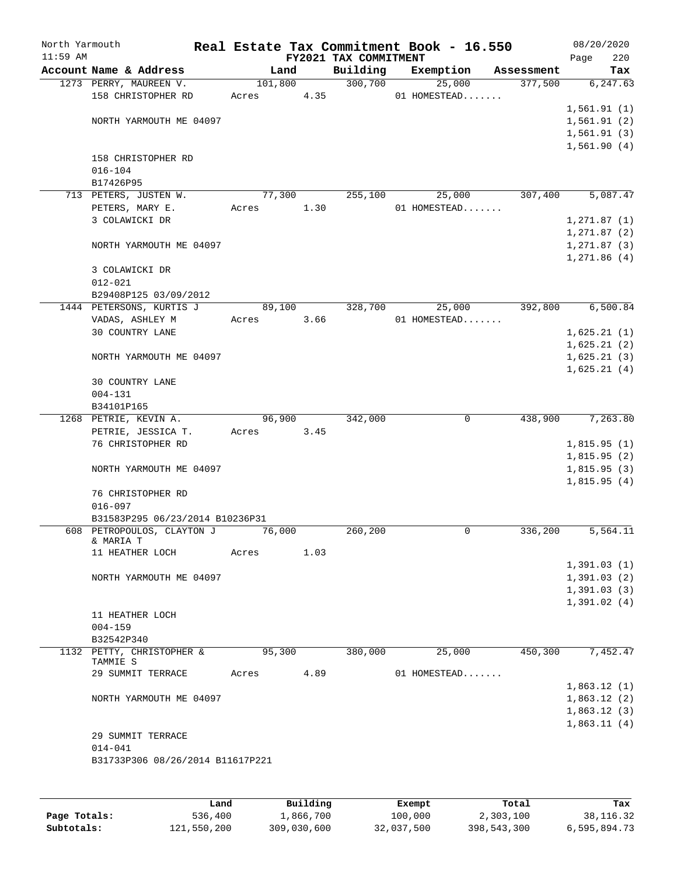| North Yarmouth<br>$11:59$ AM |                                             |                 |      | FY2021 TAX COMMITMENT | Real Estate Tax Commitment Book - 16.550 |            | Page                       | 08/20/2020<br>220 |
|------------------------------|---------------------------------------------|-----------------|------|-----------------------|------------------------------------------|------------|----------------------------|-------------------|
|                              | Account Name & Address                      | Land            |      | Building              | Exemption                                | Assessment |                            | Tax               |
|                              | 1273 PERRY, MAUREEN V.                      | 101,800         |      | 300,700               | 25,000                                   | 377,500    |                            | 6, 247.63         |
|                              | 158 CHRISTOPHER RD                          | Acres           | 4.35 |                       | 01 HOMESTEAD                             |            |                            |                   |
|                              |                                             |                 |      |                       |                                          |            | 1,561.91(1)                |                   |
|                              | NORTH YARMOUTH ME 04097                     |                 |      |                       |                                          |            | 1,561.91(2)                |                   |
|                              |                                             |                 |      |                       |                                          |            | 1,561.91(3)                |                   |
|                              | 158 CHRISTOPHER RD                          |                 |      |                       |                                          |            | 1,561.90(4)                |                   |
|                              | $016 - 104$                                 |                 |      |                       |                                          |            |                            |                   |
|                              | B17426P95                                   |                 |      |                       |                                          |            |                            |                   |
|                              | 713 PETERS, JUSTEN W.                       | 77,300          |      | 255,100               | 25,000                                   | 307,400    |                            | 5,087.47          |
|                              | PETERS, MARY E.                             | Acres           | 1.30 |                       | 01 HOMESTEAD                             |            |                            |                   |
|                              | 3 COLAWICKI DR                              |                 |      |                       |                                          |            | 1, 271.87(1)               |                   |
|                              |                                             |                 |      |                       |                                          |            | 1, 271.87(2)               |                   |
|                              | NORTH YARMOUTH ME 04097                     |                 |      |                       |                                          |            | 1,271.87(3)                |                   |
|                              |                                             |                 |      |                       |                                          |            | 1,271.86(4)                |                   |
|                              | 3 COLAWICKI DR                              |                 |      |                       |                                          |            |                            |                   |
|                              | $012 - 021$                                 |                 |      |                       |                                          |            |                            |                   |
|                              | B29408P125 03/09/2012                       |                 |      |                       |                                          | 392,800    |                            | 6,500.84          |
|                              | 1444 PETERSONS, KURTIS J<br>VADAS, ASHLEY M | 89,100<br>Acres | 3.66 | 328,700               | 25,000<br>01 HOMESTEAD                   |            |                            |                   |
|                              | 30 COUNTRY LANE                             |                 |      |                       |                                          |            | 1,625.21(1)                |                   |
|                              |                                             |                 |      |                       |                                          |            | 1,625.21(2)                |                   |
|                              | NORTH YARMOUTH ME 04097                     |                 |      |                       |                                          |            | 1,625.21(3)                |                   |
|                              |                                             |                 |      |                       |                                          |            | 1,625.21(4)                |                   |
|                              | <b>30 COUNTRY LANE</b>                      |                 |      |                       |                                          |            |                            |                   |
|                              | $004 - 131$                                 |                 |      |                       |                                          |            |                            |                   |
|                              | B34101P165                                  |                 |      |                       |                                          |            |                            |                   |
|                              | 1268 PETRIE, KEVIN A.                       | 96,900          |      | 342,000               | 0                                        | 438,900    |                            | 7,263.80          |
|                              | PETRIE, JESSICA T.                          | Acres           | 3.45 |                       |                                          |            |                            |                   |
|                              | 76 CHRISTOPHER RD                           |                 |      |                       |                                          |            | 1,815.95(1)                |                   |
|                              |                                             |                 |      |                       |                                          |            | 1,815.95(2)                |                   |
|                              | NORTH YARMOUTH ME 04097                     |                 |      |                       |                                          |            | 1,815.95(3)<br>1,815.95(4) |                   |
|                              | 76 CHRISTOPHER RD                           |                 |      |                       |                                          |            |                            |                   |
|                              | $016 - 097$                                 |                 |      |                       |                                          |            |                            |                   |
|                              | B31583P295 06/23/2014 B10236P31             |                 |      |                       |                                          |            |                            |                   |
|                              | 608 PETROPOULOS, CLAYTON J                  | 76,000          |      | 260,200               | 0                                        | 336,200    |                            | 5,564.11          |
|                              | & MARIA T                                   |                 |      |                       |                                          |            |                            |                   |
|                              | 11 HEATHER LOCH                             | Acres           | 1.03 |                       |                                          |            |                            |                   |
|                              |                                             |                 |      |                       |                                          |            | 1,391.03(1)                |                   |
|                              | NORTH YARMOUTH ME 04097                     |                 |      |                       |                                          |            | 1,391.03(2)<br>1,391.03(3) |                   |
|                              |                                             |                 |      |                       |                                          |            | 1,391.02(4)                |                   |
|                              | 11 HEATHER LOCH                             |                 |      |                       |                                          |            |                            |                   |
|                              | $004 - 159$                                 |                 |      |                       |                                          |            |                            |                   |
|                              | B32542P340                                  |                 |      |                       |                                          |            |                            |                   |
|                              | 1132 PETTY, CHRISTOPHER &                   | 95,300          |      | 380,000               | 25,000                                   | 450,300    |                            | 7,452.47          |
|                              | TAMMIE S                                    |                 |      |                       |                                          |            |                            |                   |
|                              | 29 SUMMIT TERRACE                           | Acres           | 4.89 |                       | 01 HOMESTEAD                             |            |                            |                   |
|                              |                                             |                 |      |                       |                                          |            | 1,863.12(1)                |                   |
|                              | NORTH YARMOUTH ME 04097                     |                 |      |                       |                                          |            | 1,863.12(2)<br>1,863.12(3) |                   |
|                              |                                             |                 |      |                       |                                          |            | 1,863.11(4)                |                   |
|                              | 29 SUMMIT TERRACE                           |                 |      |                       |                                          |            |                            |                   |
|                              | $014 - 041$                                 |                 |      |                       |                                          |            |                            |                   |
|                              | B31733P306 08/26/2014 B11617P221            |                 |      |                       |                                          |            |                            |                   |
|                              |                                             |                 |      |                       |                                          |            |                            |                   |
|                              |                                             |                 |      |                       |                                          |            |                            |                   |

|              | Land        | Building    | Exempt     | Total       | Tax          |
|--------------|-------------|-------------|------------|-------------|--------------|
| Page Totals: | 536,400     | 1,866,700   | 100,000    | 2,303,100   | 38,116.32    |
| Subtotals:   | 121,550,200 | 309,030,600 | 32,037,500 | 398,543,300 | 6,595,894.73 |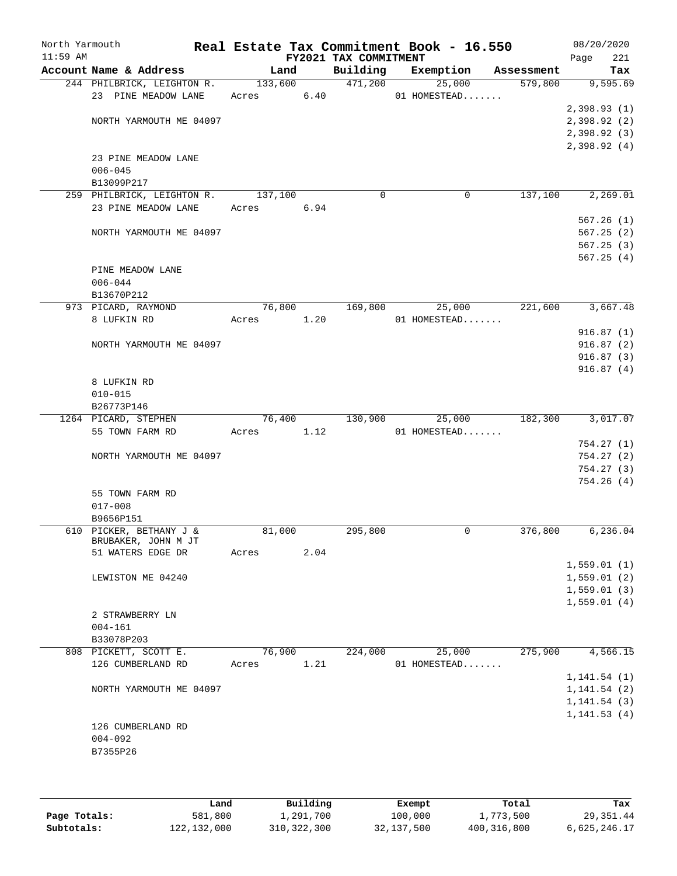| North Yarmouth |                            |            |      |                       | Real Estate Tax Commitment Book - 16.550 |            | 08/20/2020             |
|----------------|----------------------------|------------|------|-----------------------|------------------------------------------|------------|------------------------|
| $11:59$ AM     |                            |            |      | FY2021 TAX COMMITMENT |                                          |            | 221<br>Page            |
|                | Account Name & Address     | Land       |      | Building              | Exemption                                | Assessment | Tax                    |
|                | 244 PHILBRICK, LEIGHTON R. | 133,600    |      | 471,200               | 25,000                                   | 579,800    | 9,595.69               |
|                | 23 PINE MEADOW LANE        | Acres 6.40 |      |                       | 01 HOMESTEAD                             |            |                        |
|                |                            |            |      |                       |                                          |            | 2,398.93(1)            |
|                | NORTH YARMOUTH ME 04097    |            |      |                       |                                          |            | 2,398.92(2)            |
|                |                            |            |      |                       |                                          |            | 2,398.92(3)            |
|                |                            |            |      |                       |                                          |            | 2,398.92(4)            |
|                | 23 PINE MEADOW LANE        |            |      |                       |                                          |            |                        |
|                | $006 - 045$                |            |      |                       |                                          |            |                        |
|                | B13099P217                 |            |      |                       |                                          |            |                        |
|                | 259 PHILBRICK, LEIGHTON R. | 137,100    |      | $\mathbf 0$           | 0                                        | 137,100    | 2,269.01               |
|                | 23 PINE MEADOW LANE        | Acres      | 6.94 |                       |                                          |            |                        |
|                |                            |            |      |                       |                                          |            | 567.26(1)              |
|                | NORTH YARMOUTH ME 04097    |            |      |                       |                                          |            | 567.25(2)              |
|                |                            |            |      |                       |                                          |            | 567.25(3)              |
|                |                            |            |      |                       |                                          |            | 567.25(4)              |
|                | PINE MEADOW LANE           |            |      |                       |                                          |            |                        |
|                | $006 - 044$                |            |      |                       |                                          |            |                        |
|                | B13670P212                 |            |      |                       |                                          |            |                        |
|                | 973 PICARD, RAYMOND        | 76,800     |      | 169,800               | 25,000                                   | 221,600    | 3,667.48               |
|                | 8 LUFKIN RD                | Acres 1.20 |      |                       | 01 HOMESTEAD                             |            |                        |
|                |                            |            |      |                       |                                          |            | 916.87(1)              |
|                | NORTH YARMOUTH ME 04097    |            |      |                       |                                          |            | 916.87(2)              |
|                |                            |            |      |                       |                                          |            | 916.87(3)              |
|                |                            |            |      |                       |                                          |            | 916.87(4)              |
|                | 8 LUFKIN RD                |            |      |                       |                                          |            |                        |
|                | $010 - 015$                |            |      |                       |                                          |            |                        |
|                | B26773P146                 |            |      |                       |                                          |            |                        |
|                | 1264 PICARD, STEPHEN       | 76,400     |      | 130,900               | 25,000                                   | 182,300    | 3,017.07               |
|                | 55 TOWN FARM RD            | Acres      | 1.12 |                       | 01 HOMESTEAD                             |            |                        |
|                |                            |            |      |                       |                                          |            | 754.27(1)              |
|                | NORTH YARMOUTH ME 04097    |            |      |                       |                                          |            | 754.27(2)<br>754.27(3) |
|                |                            |            |      |                       |                                          |            |                        |
|                |                            |            |      |                       |                                          |            | 754.26(4)              |
|                | 55 TOWN FARM RD            |            |      |                       |                                          |            |                        |
|                | $017 - 008$<br>B9656P151   |            |      |                       |                                          |            |                        |
|                | 610 PICKER, BETHANY J &    | 81,000     |      | 295,800               | 0                                        | 376,800    | 6, 236.04              |
|                | BRUBAKER, JOHN M JT        |            |      |                       |                                          |            |                        |
|                | 51 WATERS EDGE DR          | Acres      | 2.04 |                       |                                          |            |                        |
|                |                            |            |      |                       |                                          |            | 1,559.01(1)            |
|                | LEWISTON ME 04240          |            |      |                       |                                          |            | 1,559.01(2)            |
|                |                            |            |      |                       |                                          |            | 1,559.01(3)            |
|                |                            |            |      |                       |                                          |            | 1,559.01(4)            |
|                | 2 STRAWBERRY LN            |            |      |                       |                                          |            |                        |
|                | $004 - 161$                |            |      |                       |                                          |            |                        |
|                | B33078P203                 |            |      |                       |                                          |            |                        |
|                | 808 PICKETT, SCOTT E.      | 76,900     |      | 224,000               | 25,000                                   | 275,900    | 4,566.15               |
|                | 126 CUMBERLAND RD          | Acres      | 1.21 |                       | 01 HOMESTEAD                             |            |                        |
|                |                            |            |      |                       |                                          |            | 1, 141.54(1)           |
|                | NORTH YARMOUTH ME 04097    |            |      |                       |                                          |            | 1, 141.54(2)           |
|                |                            |            |      |                       |                                          |            | 1, 141.54(3)           |
|                |                            |            |      |                       |                                          |            | 1, 141.53(4)           |
|                | 126 CUMBERLAND RD          |            |      |                       |                                          |            |                        |
|                | $004 - 092$                |            |      |                       |                                          |            |                        |
|                | B7355P26                   |            |      |                       |                                          |            |                        |
|                |                            |            |      |                       |                                          |            |                        |
|                |                            |            |      |                       |                                          |            |                        |
|                |                            |            |      |                       |                                          |            |                        |

|              | Land        | Building    | Exempt     | Total         | Tax          |
|--------------|-------------|-------------|------------|---------------|--------------|
| Page Totals: | 581,800     | 1,291,700   | 100,000    | 1,773,500     | 29,351.44    |
| Subtotals:   | 122,132,000 | 310,322,300 | 32,137,500 | 400, 316, 800 | 6,625,246.17 |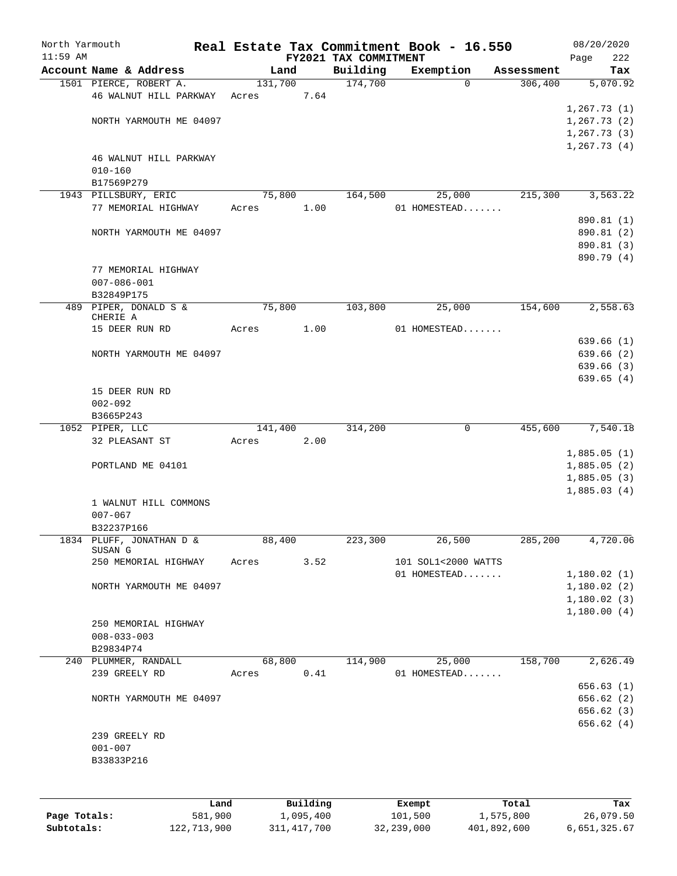| North Yarmouth |                            |         |          |                                   | Real Estate Tax Commitment Book - 16.550 |                       | 08/20/2020         |
|----------------|----------------------------|---------|----------|-----------------------------------|------------------------------------------|-----------------------|--------------------|
| $11:59$ AM     | Account Name & Address     | Land    |          | FY2021 TAX COMMITMENT<br>Building | Exemption                                |                       | 222<br>Page<br>Tax |
|                | 1501 PIERCE, ROBERT A.     | 131,700 |          | 174,700                           | $\mathbf 0$                              | Assessment<br>306,400 | 5,070.92           |
|                | 46 WALNUT HILL PARKWAY     | Acres   | 7.64     |                                   |                                          |                       |                    |
|                |                            |         |          |                                   |                                          |                       | 1,267.73(1)        |
|                | NORTH YARMOUTH ME 04097    |         |          |                                   |                                          |                       | 1,267.73(2)        |
|                |                            |         |          |                                   |                                          |                       | 1, 267.73(3)       |
|                |                            |         |          |                                   |                                          |                       | 1, 267.73(4)       |
|                | 46 WALNUT HILL PARKWAY     |         |          |                                   |                                          |                       |                    |
|                | $010 - 160$                |         |          |                                   |                                          |                       |                    |
|                | B17569P279                 |         |          |                                   |                                          |                       |                    |
|                | 1943 PILLSBURY, ERIC       | 75,800  |          | 164,500                           | 25,000                                   | 215,300               | 3, 563.22          |
|                | 77 MEMORIAL HIGHWAY        | Acres   | 1.00     |                                   | 01 HOMESTEAD                             |                       |                    |
|                |                            |         |          |                                   |                                          |                       | 890.81 (1)         |
|                | NORTH YARMOUTH ME 04097    |         |          |                                   |                                          |                       | 890.81 (2)         |
|                |                            |         |          |                                   |                                          |                       | 890.81 (3)         |
|                |                            |         |          |                                   |                                          |                       | 890.79 (4)         |
|                | 77 MEMORIAL HIGHWAY        |         |          |                                   |                                          |                       |                    |
|                | $007 - 086 - 001$          |         |          |                                   |                                          |                       |                    |
|                | B32849P175                 |         |          |                                   |                                          |                       |                    |
|                | 489 PIPER, DONALD S &      | 75,800  |          | 103,800                           | 25,000                                   | 154,600               | 2,558.63           |
|                | CHERIE A<br>15 DEER RUN RD | Acres   | 1.00     |                                   | 01 HOMESTEAD                             |                       |                    |
|                |                            |         |          |                                   |                                          |                       | 639.66(1)          |
|                | NORTH YARMOUTH ME 04097    |         |          |                                   |                                          |                       | 639.66 (2)         |
|                |                            |         |          |                                   |                                          |                       | 639.66 (3)         |
|                |                            |         |          |                                   |                                          |                       | 639.65(4)          |
|                | 15 DEER RUN RD             |         |          |                                   |                                          |                       |                    |
|                | $002 - 092$                |         |          |                                   |                                          |                       |                    |
|                | B3665P243                  |         |          |                                   |                                          |                       |                    |
|                | 1052 PIPER, LLC            | 141,400 |          | 314,200                           | 0                                        | 455,600               | 7,540.18           |
|                | 32 PLEASANT ST             | Acres   | 2.00     |                                   |                                          |                       |                    |
|                |                            |         |          |                                   |                                          |                       | 1,885.05(1)        |
|                | PORTLAND ME 04101          |         |          |                                   |                                          |                       | 1,885.05(2)        |
|                |                            |         |          |                                   |                                          |                       | 1,885.05(3)        |
|                |                            |         |          |                                   |                                          |                       | 1,885.03(4)        |
|                | 1 WALNUT HILL COMMONS      |         |          |                                   |                                          |                       |                    |
|                | $007 - 067$                |         |          |                                   |                                          |                       |                    |
|                | B32237P166                 |         |          |                                   |                                          |                       |                    |
|                | 1834 PLUFF, JONATHAN D &   | 88,400  |          | 223,300                           | 26,500                                   | 285,200               | 4,720.06           |
|                | SUSAN G                    |         |          |                                   |                                          |                       |                    |
|                | 250 MEMORIAL HIGHWAY       | Acres   | 3.52     |                                   | 101 SOL1<2000 WATTS                      |                       |                    |
|                |                            |         |          |                                   | 01 HOMESTEAD                             |                       | 1,180.02(1)        |
|                | NORTH YARMOUTH ME 04097    |         |          |                                   |                                          |                       | 1,180.02(2)        |
|                |                            |         |          |                                   |                                          |                       | 1,180.02(3)        |
|                | 250 MEMORIAL HIGHWAY       |         |          |                                   |                                          |                       | 1,180.00(4)        |
|                | $008 - 033 - 003$          |         |          |                                   |                                          |                       |                    |
|                | B29834P74                  |         |          |                                   |                                          |                       |                    |
|                | 240 PLUMMER, RANDALL       | 68,800  |          | 114,900                           | 25,000                                   | 158,700               | 2,626.49           |
|                | 239 GREELY RD              | Acres   | 0.41     |                                   | 01 HOMESTEAD                             |                       |                    |
|                |                            |         |          |                                   |                                          |                       | 656.63(1)          |
|                | NORTH YARMOUTH ME 04097    |         |          |                                   |                                          |                       | 656.62 (2)         |
|                |                            |         |          |                                   |                                          |                       | 656.62 (3)         |
|                |                            |         |          |                                   |                                          |                       | 656.62 (4)         |
|                | 239 GREELY RD              |         |          |                                   |                                          |                       |                    |
|                | $001 - 007$                |         |          |                                   |                                          |                       |                    |
|                | B33833P216                 |         |          |                                   |                                          |                       |                    |
|                |                            |         |          |                                   |                                          |                       |                    |
|                |                            |         |          |                                   |                                          |                       |                    |
|                | Land                       |         | Building |                                   | Exempt                                   | Total                 | Tax                |

|              | --------    | ____________ | ______     |             | --------     |
|--------------|-------------|--------------|------------|-------------|--------------|
| Page Totals: | 581,900     | 1,095,400    | 101,500    | 1,575,800   | 26,079.50    |
| Subtotals:   | 122,713,900 | 311,417,700  | 32,239,000 | 401,892,600 | 6,651,325.67 |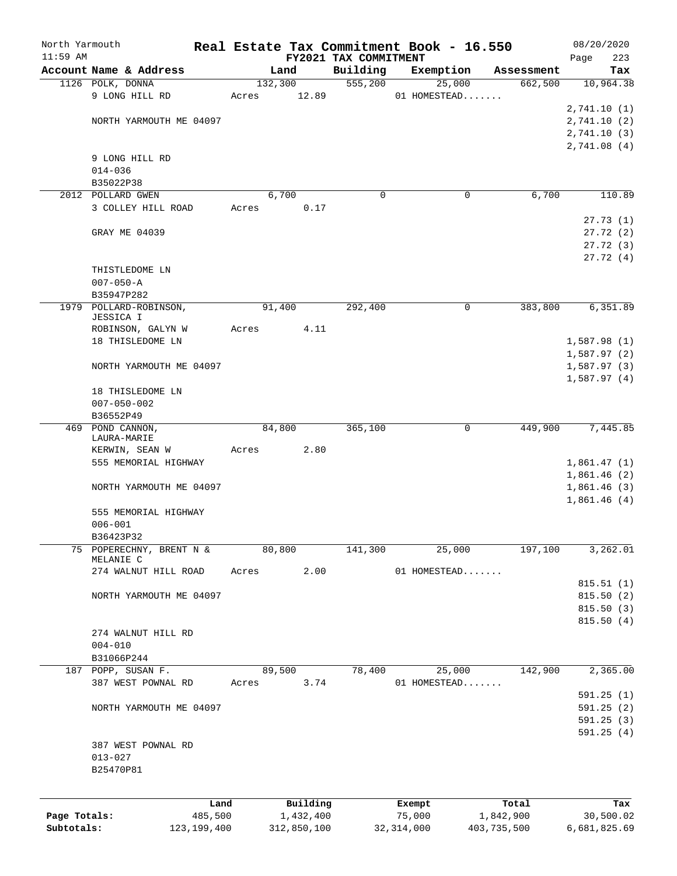| North Yarmouth |                                        |       |           |                                   | Real Estate Tax Commitment Book - 16.550 |                       | 08/20/2020                 |
|----------------|----------------------------------------|-------|-----------|-----------------------------------|------------------------------------------|-----------------------|----------------------------|
| $11:59$ AM     | Account Name & Address                 |       | Land      | FY2021 TAX COMMITMENT<br>Building |                                          |                       | 223<br>Page                |
|                | 1126 POLK, DONNA                       |       | 132,300   | 555,200                           | Exemption<br>25,000                      | Assessment<br>662,500 | Tax<br>10,964.38           |
|                | 9 LONG HILL RD                         | Acres | 12.89     |                                   | 01 HOMESTEAD                             |                       |                            |
|                |                                        |       |           |                                   |                                          |                       | 2,741.10(1)                |
|                | NORTH YARMOUTH ME 04097                |       |           |                                   |                                          |                       | 2,741.10(2)                |
|                |                                        |       |           |                                   |                                          |                       | 2,741.10(3)                |
|                |                                        |       |           |                                   |                                          |                       | 2,741.08(4)                |
|                | 9 LONG HILL RD                         |       |           |                                   |                                          |                       |                            |
|                | $014 - 036$                            |       |           |                                   |                                          |                       |                            |
|                | B35022P38                              |       |           |                                   |                                          |                       |                            |
|                | 2012 POLLARD GWEN                      |       | 6,700     | 0                                 | 0                                        | 6,700                 | 110.89                     |
|                | 3 COLLEY HILL ROAD                     | Acres | 0.17      |                                   |                                          |                       |                            |
|                |                                        |       |           |                                   |                                          |                       | 27.73(1)                   |
|                | GRAY ME 04039                          |       |           |                                   |                                          |                       | 27.72(2)                   |
|                |                                        |       |           |                                   |                                          |                       | 27.72(3)                   |
|                |                                        |       |           |                                   |                                          |                       | 27.72(4)                   |
|                | THISTLEDOME LN                         |       |           |                                   |                                          |                       |                            |
|                | $007 - 050 - A$<br>B35947P282          |       |           |                                   |                                          |                       |                            |
|                | 1979 POLLARD-ROBINSON,                 |       | 91,400    | 292,400                           | 0                                        | 383,800               | 6,351.89                   |
|                | JESSICA I                              |       |           |                                   |                                          |                       |                            |
|                | ROBINSON, GALYN W                      | Acres | 4.11      |                                   |                                          |                       |                            |
|                | 18 THISLEDOME LN                       |       |           |                                   |                                          |                       | 1,587.98(1)                |
|                |                                        |       |           |                                   |                                          |                       | 1,587.97(2)                |
|                | NORTH YARMOUTH ME 04097                |       |           |                                   |                                          |                       | 1,587.97(3)                |
|                |                                        |       |           |                                   |                                          |                       | 1,587.97(4)                |
|                | 18 THISLEDOME LN                       |       |           |                                   |                                          |                       |                            |
|                | $007 - 050 - 002$                      |       |           |                                   |                                          |                       |                            |
|                | B36552P49                              |       |           |                                   |                                          |                       |                            |
|                | 469 POND CANNON,                       |       | 84,800    | 365,100                           | 0                                        | 449,900               | 7,445.85                   |
|                | LAURA-MARIE                            |       |           |                                   |                                          |                       |                            |
|                | KERWIN, SEAN W<br>555 MEMORIAL HIGHWAY | Acres | 2.80      |                                   |                                          |                       |                            |
|                |                                        |       |           |                                   |                                          |                       | 1,861.47(1)<br>1,861.46(2) |
|                | NORTH YARMOUTH ME 04097                |       |           |                                   |                                          |                       | 1,861.46(3)                |
|                |                                        |       |           |                                   |                                          |                       | 1,861.46(4)                |
|                | 555 MEMORIAL HIGHWAY                   |       |           |                                   |                                          |                       |                            |
|                | $006 - 001$                            |       |           |                                   |                                          |                       |                            |
|                | B36423P32                              |       |           |                                   |                                          |                       |                            |
|                | 75 POPERECHNY, BRENT N &               |       | 80,800    | 141,300                           | 25,000                                   | 197,100               | 3,262.01                   |
|                | MELANIE C                              |       |           |                                   |                                          |                       |                            |
|                | 274 WALNUT HILL ROAD                   | Acres | 2.00      |                                   | 01 HOMESTEAD                             |                       |                            |
|                |                                        |       |           |                                   |                                          |                       | 815.51(1)                  |
|                | NORTH YARMOUTH ME 04097                |       |           |                                   |                                          |                       | 815.50(2)                  |
|                |                                        |       |           |                                   |                                          |                       | 815.50(3)                  |
|                | 274 WALNUT HILL RD                     |       |           |                                   |                                          |                       | 815.50(4)                  |
|                | $004 - 010$                            |       |           |                                   |                                          |                       |                            |
|                | B31066P244                             |       |           |                                   |                                          |                       |                            |
|                | 187 POPP, SUSAN F.                     |       | 89,500    | 78,400                            | 25,000                                   | 142,900               | 2,365.00                   |
|                | 387 WEST POWNAL RD                     | Acres | 3.74      |                                   | 01 HOMESTEAD                             |                       |                            |
|                |                                        |       |           |                                   |                                          |                       | 591.25(1)                  |
|                | NORTH YARMOUTH ME 04097                |       |           |                                   |                                          |                       | 591.25(2)                  |
|                |                                        |       |           |                                   |                                          |                       | 591.25(3)                  |
|                |                                        |       |           |                                   |                                          |                       | 591.25(4)                  |
|                | 387 WEST POWNAL RD                     |       |           |                                   |                                          |                       |                            |
|                | $013 - 027$                            |       |           |                                   |                                          |                       |                            |
|                | B25470P81                              |       |           |                                   |                                          |                       |                            |
|                |                                        |       |           |                                   |                                          |                       |                            |
|                | Land                                   |       | Building  |                                   | Exempt                                   | Total                 | Tax                        |
| Page Totals:   | 485,500                                |       | 1,432,400 |                                   | 75,000                                   | 1,842,900             | 30,500.02                  |
|                |                                        |       |           |                                   |                                          |                       |                            |

**Subtotals:** 123,199,400 312,850,100 32,314,000 403,735,500 6,681,825.69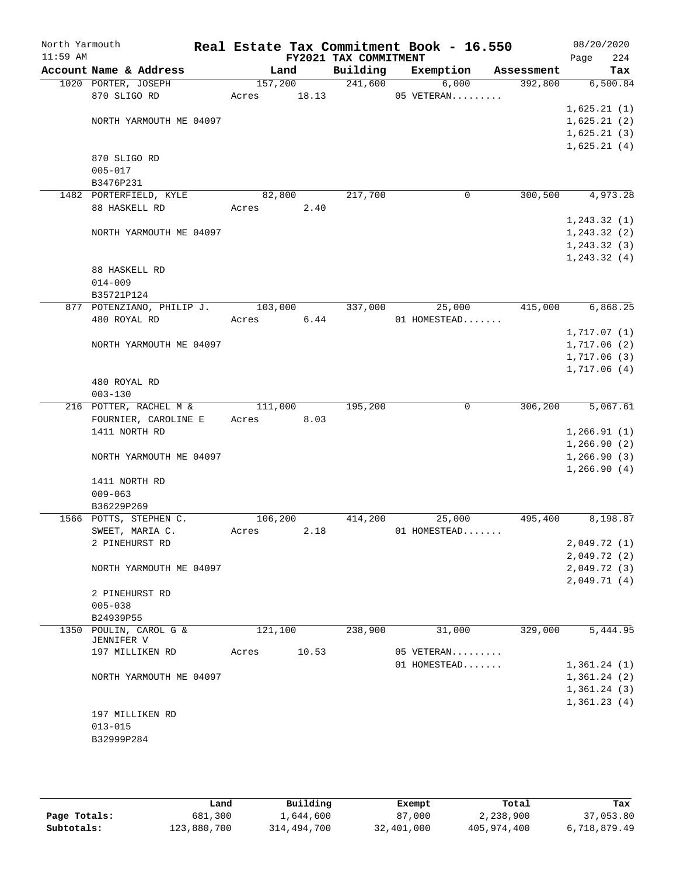| North Yarmouth |                                     |                 |       |                       | Real Estate Tax Commitment Book - 16.550 |                       | 08/20/2020                 |
|----------------|-------------------------------------|-----------------|-------|-----------------------|------------------------------------------|-----------------------|----------------------------|
| $11:59$ AM     | Account Name & Address              |                 |       | FY2021 TAX COMMITMENT |                                          |                       | 224<br>Page                |
|                | 1020 PORTER, JOSEPH                 | Land<br>157,200 |       | Building              | Exemption<br>241,600<br>6,000            | Assessment<br>392,800 | Tax<br>6,500.84            |
|                | 870 SLIGO RD                        | 18.13<br>Acres  |       |                       | 05 VETERAN                               |                       |                            |
|                |                                     |                 |       |                       |                                          |                       | 1,625.21(1)                |
|                | NORTH YARMOUTH ME 04097             |                 |       |                       |                                          |                       | 1,625.21(2)                |
|                |                                     |                 |       |                       |                                          |                       | 1,625.21(3)                |
|                |                                     |                 |       |                       |                                          |                       | 1,625.21(4)                |
|                | 870 SLIGO RD                        |                 |       |                       |                                          |                       |                            |
|                | $005 - 017$                         |                 |       |                       |                                          |                       |                            |
|                | B3476P231                           |                 |       |                       |                                          |                       |                            |
|                | 1482 PORTERFIELD, KYLE              | 82,800          |       | 217,700               | 0                                        | 300,500               | 4,973.28                   |
|                | 88 HASKELL RD                       | Acres           | 2.40  |                       |                                          |                       |                            |
|                |                                     |                 |       |                       |                                          |                       | 1, 243.32(1)               |
|                | NORTH YARMOUTH ME 04097             |                 |       |                       |                                          |                       | 1, 243.32 (2)              |
|                |                                     |                 |       |                       |                                          |                       | 1, 243.32(3)               |
|                |                                     |                 |       |                       |                                          |                       | 1, 243.32(4)               |
|                | 88 HASKELL RD                       |                 |       |                       |                                          |                       |                            |
|                | $014 - 009$                         |                 |       |                       |                                          |                       |                            |
|                | B35721P124                          |                 |       |                       |                                          |                       |                            |
|                | 877 POTENZIANO, PHILIP J. 103,000   |                 |       | 337,000               | 25,000                                   | 415,000               | 6,868.25                   |
|                | 480 ROYAL RD                        | Acres           | 6.44  |                       | 01 HOMESTEAD                             |                       |                            |
|                |                                     |                 |       |                       |                                          |                       | 1,717.07(1)                |
|                | NORTH YARMOUTH ME 04097             |                 |       |                       |                                          |                       | 1,717.06(2)<br>1,717.06(3) |
|                |                                     |                 |       |                       |                                          |                       | 1,717.06(4)                |
|                | 480 ROYAL RD                        |                 |       |                       |                                          |                       |                            |
|                | $003 - 130$                         |                 |       |                       |                                          |                       |                            |
|                | 216 POTTER, RACHEL M &              | 111,000         |       | 195,200               | $\mathbf 0$                              | 306,200               | 5,067.61                   |
|                | FOURNIER, CAROLINE E Acres          |                 | 8.03  |                       |                                          |                       |                            |
|                | 1411 NORTH RD                       |                 |       |                       |                                          |                       | 1,266.91(1)                |
|                |                                     |                 |       |                       |                                          |                       | 1,266.90(2)                |
|                | NORTH YARMOUTH ME 04097             |                 |       |                       |                                          |                       | 1,266.90(3)                |
|                |                                     |                 |       |                       |                                          |                       | 1,266.90(4)                |
|                | 1411 NORTH RD                       |                 |       |                       |                                          |                       |                            |
|                | $009 - 063$                         |                 |       |                       |                                          |                       |                            |
|                | B36229P269                          |                 |       |                       |                                          |                       |                            |
|                | 1566 POTTS, STEPHEN C.              | 106,200         |       | 414,200               | 25,000                                   | 495,400               | 8,198.87                   |
|                | SWEET, MARIA C.                     | Acres           | 2.18  |                       | 01 HOMESTEAD                             |                       |                            |
|                | 2 PINEHURST RD                      |                 |       |                       |                                          |                       | 2,049.72(1)                |
|                |                                     |                 |       |                       |                                          |                       | 2,049.72(2)                |
|                | NORTH YARMOUTH ME 04097             |                 |       |                       |                                          |                       | 2,049.72 (3)               |
|                |                                     |                 |       |                       |                                          |                       | 2,049.71(4)                |
|                | 2 PINEHURST RD                      |                 |       |                       |                                          |                       |                            |
|                | $005 - 038$                         |                 |       |                       |                                          |                       |                            |
|                | B24939P55<br>1350 POULIN, CAROL G & | 121,100         |       | 238,900               | 31,000                                   | 329,000               | 5,444.95                   |
|                | JENNIFER V                          |                 |       |                       |                                          |                       |                            |
|                | 197 MILLIKEN RD                     | Acres           | 10.53 |                       | 05 VETERAN                               |                       |                            |
|                |                                     |                 |       |                       | 01 HOMESTEAD                             |                       | 1,361.24(1)                |
|                | NORTH YARMOUTH ME 04097             |                 |       |                       |                                          |                       | 1,361.24(2)                |
|                |                                     |                 |       |                       |                                          |                       | 1,361.24(3)                |
|                |                                     |                 |       |                       |                                          |                       | 1,361.23(4)                |
|                | 197 MILLIKEN RD                     |                 |       |                       |                                          |                       |                            |
|                | $013 - 015$                         |                 |       |                       |                                          |                       |                            |
|                | B32999P284                          |                 |       |                       |                                          |                       |                            |
|                |                                     |                 |       |                       |                                          |                       |                            |

|              | Land        | Building    | Exempt     | Total       | Tax          |
|--------------|-------------|-------------|------------|-------------|--------------|
| Page Totals: | 681,300     | 1,644,600   | 87,000     | 2,238,900   | 37,053.80    |
| Subtotals:   | 123,880,700 | 314,494,700 | 32,401,000 | 405,974,400 | 6,718,879.49 |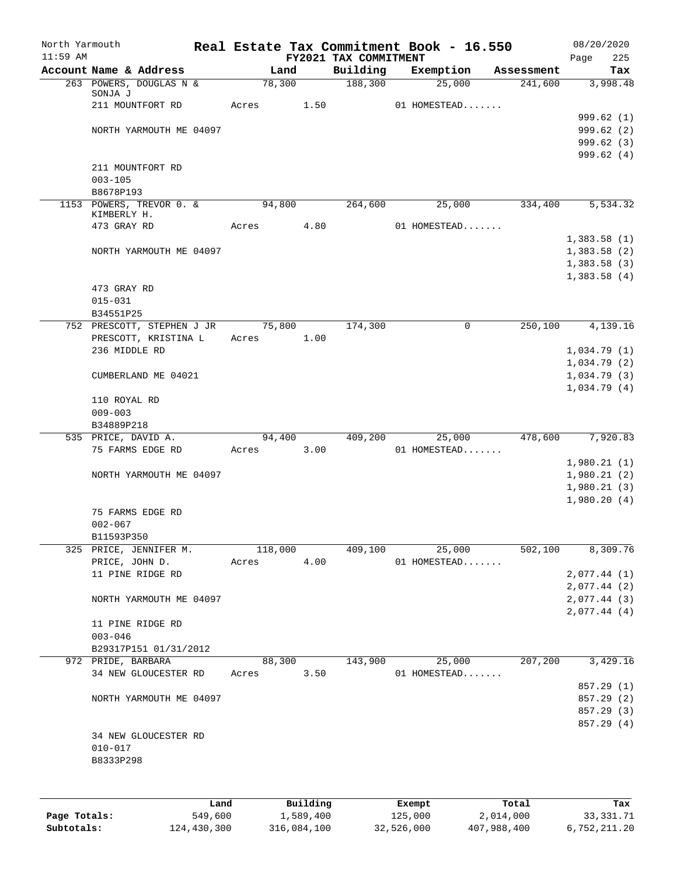| North Yarmouth<br>$11:59$ AM |                                       |       |            |          | FY2021 TAX COMMITMENT | Real Estate Tax Commitment Book - 16.550 |            | 08/20/2020         |
|------------------------------|---------------------------------------|-------|------------|----------|-----------------------|------------------------------------------|------------|--------------------|
|                              | Account Name & Address                |       | Land       |          | Building              | Exemption                                | Assessment | 225<br>Page<br>Tax |
|                              | 263 POWERS, DOUGLAS N &               |       | 78,300     |          | 188,300               | 25,000                                   | 241,600    | 3,998.48           |
|                              | SONJA J                               |       |            |          |                       |                                          |            |                    |
|                              | 211 MOUNTFORT RD                      |       | Acres      | 1.50     |                       | 01 HOMESTEAD                             |            |                    |
|                              |                                       |       |            |          |                       |                                          |            | 999.62(1)          |
|                              | NORTH YARMOUTH ME 04097               |       |            |          |                       |                                          |            | 999.62(2)          |
|                              |                                       |       |            |          |                       |                                          |            | 999.62 (3)         |
|                              |                                       |       |            |          |                       |                                          |            | 999.62(4)          |
|                              | 211 MOUNTFORT RD                      |       |            |          |                       |                                          |            |                    |
|                              | $003 - 105$                           |       |            |          |                       |                                          |            |                    |
|                              | B8678P193<br>1153 POWERS, TREVOR 0. & |       | 94,800     |          | 264,600               | 25,000                                   | 334,400    | 5,534.32           |
|                              | KIMBERLY H.                           |       |            |          |                       |                                          |            |                    |
|                              | 473 GRAY RD                           |       | Acres      | 4.80     |                       | 01 HOMESTEAD                             |            |                    |
|                              |                                       |       |            |          |                       |                                          |            | 1,383.58(1)        |
|                              | NORTH YARMOUTH ME 04097               |       |            |          |                       |                                          |            | 1,383.58(2)        |
|                              |                                       |       |            |          |                       |                                          |            | 1,383.58(3)        |
|                              |                                       |       |            |          |                       |                                          |            | 1,383.58(4)        |
|                              | 473 GRAY RD                           |       |            |          |                       |                                          |            |                    |
|                              | $015 - 031$                           |       |            |          |                       |                                          |            |                    |
|                              | B34551P25                             |       |            |          |                       |                                          |            |                    |
|                              | 752 PRESCOTT, STEPHEN J JR            |       | 75,800     |          | 174,300               | $\mathbf 0$                              | 250,100    | 4,139.16           |
|                              | PRESCOTT, KRISTINA L                  |       | Acres      | 1.00     |                       |                                          |            |                    |
|                              | 236 MIDDLE RD                         |       |            |          |                       |                                          |            | 1,034.79(1)        |
|                              |                                       |       |            |          |                       |                                          |            | 1,034.79(2)        |
|                              | CUMBERLAND ME 04021                   |       |            |          |                       |                                          |            | 1,034.79(3)        |
|                              |                                       |       |            |          |                       |                                          |            | 1,034.79(4)        |
|                              | 110 ROYAL RD<br>$009 - 003$           |       |            |          |                       |                                          |            |                    |
|                              | B34889P218                            |       |            |          |                       |                                          |            |                    |
|                              | 535 PRICE, DAVID A.                   |       | 94,400     |          | 409,200               | 25,000                                   | 478,600    | 7,920.83           |
|                              | 75 FARMS EDGE RD                      |       | Acres 3.00 |          |                       | 01 HOMESTEAD                             |            |                    |
|                              |                                       |       |            |          |                       |                                          |            | 1,980.21(1)        |
|                              | NORTH YARMOUTH ME 04097               |       |            |          |                       |                                          |            | 1,980.21(2)        |
|                              |                                       |       |            |          |                       |                                          |            | 1,980.21(3)        |
|                              |                                       |       |            |          |                       |                                          |            | 1,980.20(4)        |
|                              | 75 FARMS EDGE RD                      |       |            |          |                       |                                          |            |                    |
|                              | $002 - 067$                           |       |            |          |                       |                                          |            |                    |
|                              | B11593P350                            |       |            |          |                       |                                          |            |                    |
|                              | 325 PRICE, JENNIFER M.                |       | 118,000    |          | 409,100               | $\overline{25,000}$                      | 502,100    | 8,309.76           |
|                              | PRICE, JOHN D.                        | Acres |            | 4.00     |                       | 01 HOMESTEAD                             |            |                    |
|                              | 11 PINE RIDGE RD                      |       |            |          |                       |                                          |            | 2,077.44(1)        |
|                              |                                       |       |            |          |                       |                                          |            | 2,077.44(2)        |
|                              | NORTH YARMOUTH ME 04097               |       |            |          |                       |                                          |            | 2,077.44 (3)       |
|                              |                                       |       |            |          |                       |                                          |            | 2,077.44(4)        |
|                              | 11 PINE RIDGE RD<br>$003 - 046$       |       |            |          |                       |                                          |            |                    |
|                              | B29317P151 01/31/2012                 |       |            |          |                       |                                          |            |                    |
|                              | 972 PRIDE, BARBARA                    |       | 88,300     |          | 143,900               | 25,000                                   | 207,200    | 3,429.16           |
|                              | 34 NEW GLOUCESTER RD                  |       | Acres      | 3.50     |                       | 01 HOMESTEAD                             |            |                    |
|                              |                                       |       |            |          |                       |                                          |            | 857.29 (1)         |
|                              | NORTH YARMOUTH ME 04097               |       |            |          |                       |                                          |            | 857.29 (2)         |
|                              |                                       |       |            |          |                       |                                          |            | 857.29 (3)         |
|                              |                                       |       |            |          |                       |                                          |            | 857.29 (4)         |
|                              | 34 NEW GLOUCESTER RD                  |       |            |          |                       |                                          |            |                    |
|                              | $010 - 017$                           |       |            |          |                       |                                          |            |                    |
|                              | B8333P298                             |       |            |          |                       |                                          |            |                    |
|                              |                                       |       |            |          |                       |                                          |            |                    |
|                              |                                       |       |            |          |                       |                                          |            |                    |
|                              |                                       | Land  |            | Building |                       | Exempt                                   | Total      | Tax                |

**Page Totals:** 549,600 1,589,400 125,000 2,014,000 33,331.71 **Subtotals:** 124,430,300 316,084,100 32,526,000 407,988,400 6,752,211.20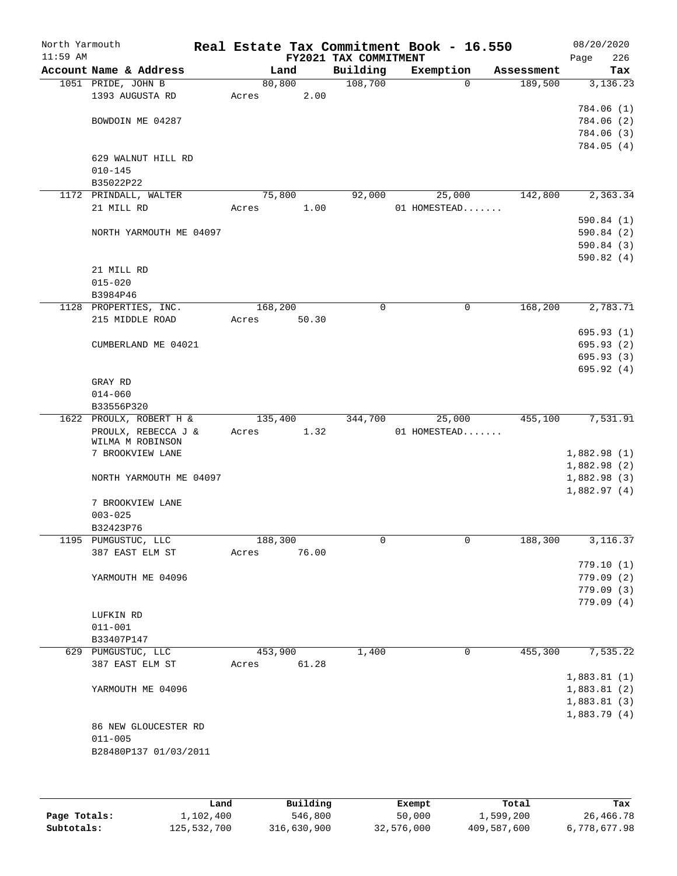| North Yarmouth<br>$11:59$ AM |                         | Real Estate Tax Commitment Book - 16.550 |       | FY2021 TAX COMMITMENT |              |             |            | 08/20/2020<br>Page | 226                    |
|------------------------------|-------------------------|------------------------------------------|-------|-----------------------|--------------|-------------|------------|--------------------|------------------------|
|                              | Account Name & Address  | Land                                     |       | Building              | Exemption    |             | Assessment |                    | Tax                    |
|                              | 1051 PRIDE, JOHN B      | 80,800                                   |       | 108,700               |              | $\mathbf 0$ | 189,500    |                    | 3,136.23               |
|                              | 1393 AUGUSTA RD         | Acres                                    | 2.00  |                       |              |             |            |                    |                        |
|                              |                         |                                          |       |                       |              |             |            |                    | 784.06 (1)             |
|                              | BOWDOIN ME 04287        |                                          |       |                       |              |             |            |                    | 784.06 (2)             |
|                              |                         |                                          |       |                       |              |             |            |                    | 784.06 (3)             |
|                              |                         |                                          |       |                       |              |             |            |                    | 784.05 (4)             |
|                              | 629 WALNUT HILL RD      |                                          |       |                       |              |             |            |                    |                        |
|                              | $010 - 145$             |                                          |       |                       |              |             |            |                    |                        |
|                              | B35022P22               |                                          |       |                       |              |             |            |                    |                        |
|                              | 1172 PRINDALL, WALTER   | 75,800                                   |       | 92,000                |              | 25,000      | 142,800    |                    | 2,363.34               |
|                              | 21 MILL RD              | Acres                                    | 1.00  |                       | 01 HOMESTEAD |             |            |                    |                        |
|                              |                         |                                          |       |                       |              |             |            |                    | 590.84 (1)             |
|                              | NORTH YARMOUTH ME 04097 |                                          |       |                       |              |             |            |                    | 590.84(2)              |
|                              |                         |                                          |       |                       |              |             |            |                    | 590.84 (3)             |
|                              |                         |                                          |       |                       |              |             |            |                    | 590.82(4)              |
|                              | 21 MILL RD              |                                          |       |                       |              |             |            |                    |                        |
|                              | $015 - 020$             |                                          |       |                       |              |             |            |                    |                        |
|                              | B3984P46                |                                          |       |                       |              |             |            |                    |                        |
|                              | 1128 PROPERTIES, INC.   | 168,200                                  |       | 0                     |              | $\mathbf 0$ | 168,200    |                    | 2,783.71               |
|                              | 215 MIDDLE ROAD         | Acres                                    | 50.30 |                       |              |             |            |                    |                        |
|                              |                         |                                          |       |                       |              |             |            |                    | 695.93(1)              |
|                              | CUMBERLAND ME 04021     |                                          |       |                       |              |             |            |                    | 695.93 (2)             |
|                              |                         |                                          |       |                       |              |             |            |                    | 695.93(3)              |
|                              |                         |                                          |       |                       |              |             |            |                    | 695.92(4)              |
|                              | GRAY RD                 |                                          |       |                       |              |             |            |                    |                        |
|                              | $014 - 060$             |                                          |       |                       |              |             |            |                    |                        |
|                              | B33556P320              |                                          |       |                       |              |             |            |                    |                        |
|                              | 1622 PROULX, ROBERT H & | 135,400                                  |       | 344,700               |              | 25,000      | 455,100    |                    | 7,531.91               |
|                              | PROULX, REBECCA J &     | Acres                                    | 1.32  |                       | 01 HOMESTEAD |             |            |                    |                        |
|                              | WILMA M ROBINSON        |                                          |       |                       |              |             |            |                    |                        |
|                              | 7 BROOKVIEW LANE        |                                          |       |                       |              |             |            | 1,882.98(1)        |                        |
|                              |                         |                                          |       |                       |              |             |            | 1,882.98 (2)       |                        |
|                              | NORTH YARMOUTH ME 04097 |                                          |       |                       |              |             |            | 1,882.98(3)        |                        |
|                              |                         |                                          |       |                       |              |             |            | 1,882.97(4)        |                        |
|                              | 7 BROOKVIEW LANE        |                                          |       |                       |              |             |            |                    |                        |
|                              | $003 - 025$             |                                          |       |                       |              |             |            |                    |                        |
|                              | B32423P76               |                                          |       |                       |              |             |            |                    |                        |
|                              | 1195 PUMGUSTUC, LLC     | 188,300                                  |       | 0                     |              | 0           | 188,300    |                    | 3, 116.37              |
|                              | 387 EAST ELM ST         | Acres                                    | 76.00 |                       |              |             |            |                    |                        |
|                              |                         |                                          |       |                       |              |             |            |                    | 779.10(1)              |
|                              | YARMOUTH ME 04096       |                                          |       |                       |              |             |            |                    | 779.09(2)              |
|                              |                         |                                          |       |                       |              |             |            |                    |                        |
|                              |                         |                                          |       |                       |              |             |            |                    | 779.09(3)<br>779.09(4) |
|                              |                         |                                          |       |                       |              |             |            |                    |                        |
|                              | LUFKIN RD               |                                          |       |                       |              |             |            |                    |                        |
|                              | $011 - 001$             |                                          |       |                       |              |             |            |                    |                        |
|                              | B33407P147              |                                          |       |                       |              |             |            |                    |                        |
|                              | 629 PUMGUSTUC, LLC      | 453,900                                  |       | 1,400                 |              | 0           | 455,300    |                    | 7,535.22               |
|                              | 387 EAST ELM ST         | Acres                                    | 61.28 |                       |              |             |            |                    |                        |
|                              |                         |                                          |       |                       |              |             |            | 1,883.81(1)        |                        |
|                              | YARMOUTH ME 04096       |                                          |       |                       |              |             |            | 1,883.81(2)        |                        |
|                              |                         |                                          |       |                       |              |             |            | 1,883.81(3)        |                        |
|                              |                         |                                          |       |                       |              |             |            | 1,883.79(4)        |                        |
|                              | 86 NEW GLOUCESTER RD    |                                          |       |                       |              |             |            |                    |                        |
|                              | $011 - 005$             |                                          |       |                       |              |             |            |                    |                        |
|                              | B28480P137 01/03/2011   |                                          |       |                       |              |             |            |                    |                        |
|                              |                         |                                          |       |                       |              |             |            |                    |                        |
|                              |                         |                                          |       |                       |              |             |            |                    |                        |
|                              |                         |                                          |       |                       |              |             |            |                    |                        |

|              | Land        | Building    | Exempt     | Total       | Tax          |
|--------------|-------------|-------------|------------|-------------|--------------|
| Page Totals: | 1,102,400   | 546,800     | 50,000     | 1,599,200   | 26,466.78    |
| Subtotals:   | 125,532,700 | 316,630,900 | 32,576,000 | 409,587,600 | 6,778,677.98 |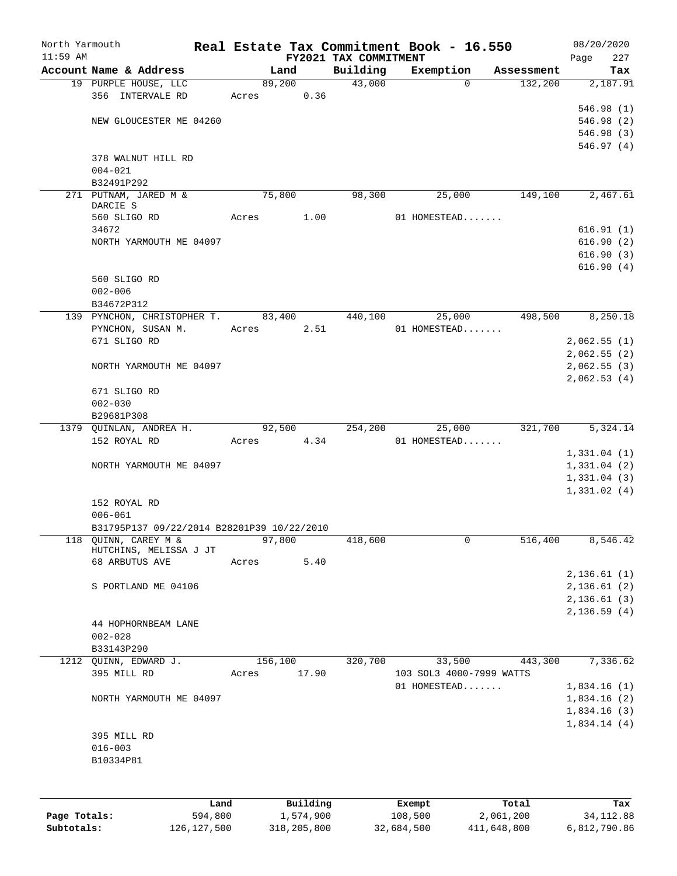| $11:59$ AM   |                                            |       |           | FY2021 TAX COMMITMENT | Real Estate Tax Commitment Book - 16.550 |            | 08/20/2020<br>227<br>Page |
|--------------|--------------------------------------------|-------|-----------|-----------------------|------------------------------------------|------------|---------------------------|
|              | Account Name & Address                     |       | Land      | Building              | Exemption                                | Assessment | Tax                       |
|              | 19 PURPLE HOUSE, LLC                       |       | 89,200    | 43,000                | $\Omega$                                 | 132,200    | 2,187.91                  |
|              | 356 INTERVALE RD                           | Acres | 0.36      |                       |                                          |            |                           |
|              |                                            |       |           |                       |                                          |            | 546.98 (1)                |
|              | NEW GLOUCESTER ME 04260                    |       |           |                       |                                          |            | 546.98 (2)                |
|              |                                            |       |           |                       |                                          |            | 546.98 (3)                |
|              |                                            |       |           |                       |                                          |            | 546.97(4)                 |
|              | 378 WALNUT HILL RD                         |       |           |                       |                                          |            |                           |
|              | $004 - 021$                                |       |           |                       |                                          |            |                           |
|              | B32491P292                                 |       |           |                       |                                          |            |                           |
|              | 271 PUTNAM, JARED M &                      |       | 75,800    | 98,300                | 25,000                                   | 149,100    | 2,467.61                  |
| DARCIE S     |                                            |       |           |                       |                                          |            |                           |
|              | 560 SLIGO RD                               | Acres | 1.00      |                       | 01 HOMESTEAD                             |            |                           |
|              | 34672                                      |       |           |                       |                                          |            | 616.91(1)                 |
|              | NORTH YARMOUTH ME 04097                    |       |           |                       |                                          |            | 616.90(2)                 |
|              |                                            |       |           |                       |                                          |            | 616.90(3)                 |
|              |                                            |       |           |                       |                                          |            | 616.90(4)                 |
|              | 560 SLIGO RD                               |       |           |                       |                                          |            |                           |
|              | $002 - 006$                                |       |           |                       |                                          |            |                           |
|              | B34672P312                                 |       |           |                       |                                          |            |                           |
|              | 139 PYNCHON, CHRISTOPHER T.                |       | 83,400    | 440,100               | 25,000                                   | 498,500    | 8,250.18                  |
|              | PYNCHON, SUSAN M.                          | Acres | 2.51      |                       | 01 HOMESTEAD                             |            |                           |
|              | 671 SLIGO RD                               |       |           |                       |                                          |            | 2,062.55(1)               |
|              |                                            |       |           |                       |                                          |            | 2,062.55(2)               |
|              | NORTH YARMOUTH ME 04097                    |       |           |                       |                                          |            | 2,062.55(3)               |
|              |                                            |       |           |                       |                                          |            | 2,062.53(4)               |
|              | 671 SLIGO RD                               |       |           |                       |                                          |            |                           |
|              | $002 - 030$                                |       |           |                       |                                          |            |                           |
|              | B29681P308                                 |       |           |                       |                                          |            |                           |
|              | 1379 QUINLAN, ANDREA H.                    |       | 92,500    | 254,200               | 25,000                                   | 321,700    | 5,324.14                  |
|              | 152 ROYAL RD                               | Acres | 4.34      |                       | 01 HOMESTEAD                             |            |                           |
|              |                                            |       |           |                       |                                          |            | 1,331.04(1)               |
|              | NORTH YARMOUTH ME 04097                    |       |           |                       |                                          |            | 1,331.04(2)               |
|              |                                            |       |           |                       |                                          |            | 1,331.04(3)               |
|              |                                            |       |           |                       |                                          |            | 1,331.02(4)               |
|              | 152 ROYAL RD                               |       |           |                       |                                          |            |                           |
|              | $006 - 061$                                |       |           |                       |                                          |            |                           |
|              | B31795P137 09/22/2014 B28201P39 10/22/2010 |       |           |                       |                                          |            |                           |
|              | 118 QUINN, CAREY M &                       |       | 97,800    | 418,600               | 0                                        | 516,400    | 8,546.42                  |
|              | HUTCHINS, MELISSA J JT                     |       |           |                       |                                          |            |                           |
|              | 68 ARBUTUS AVE                             | Acres | 5.40      |                       |                                          |            |                           |
|              |                                            |       |           |                       |                                          |            | 2,136.61(1)               |
|              | S PORTLAND ME 04106                        |       |           |                       |                                          |            | 2,136.61(2)               |
|              |                                            |       |           |                       |                                          |            | 2,136.61(3)               |
|              |                                            |       |           |                       |                                          |            | 2,136.59(4)               |
|              | 44 HOPHORNBEAM LANE                        |       |           |                       |                                          |            |                           |
|              | $002 - 028$                                |       |           |                       |                                          |            |                           |
|              | B33143P290                                 |       |           |                       |                                          |            |                           |
|              | 1212 QUINN, EDWARD J.                      |       | 156,100   | 320,700               | 33,500                                   | 443,300    | 7,336.62                  |
|              | 395 MILL RD                                | Acres | 17.90     |                       | 103 SOL3 4000-7999 WATTS                 |            |                           |
|              |                                            |       |           |                       | 01 HOMESTEAD                             |            | 1,834.16(1)               |
|              | NORTH YARMOUTH ME 04097                    |       |           |                       |                                          |            | 1,834.16(2)               |
|              |                                            |       |           |                       |                                          |            | 1,834.16(3)               |
|              |                                            |       |           |                       |                                          |            | 1,834.14(4)               |
|              | 395 MILL RD                                |       |           |                       |                                          |            |                           |
|              | $016 - 003$                                |       |           |                       |                                          |            |                           |
|              | B10334P81                                  |       |           |                       |                                          |            |                           |
|              |                                            |       |           |                       |                                          |            |                           |
|              |                                            |       |           |                       |                                          |            |                           |
|              |                                            |       |           |                       |                                          |            |                           |
|              | Land                                       |       | Building  |                       | Exempt                                   | Total      | Tax                       |
| Page Totals: | 594,800                                    |       | 1,574,900 |                       | 108,500                                  | 2,061,200  | 34, 112.88                |

**Subtotals:** 126,127,500 318,205,800 32,684,500 411,648,800 6,812,790.86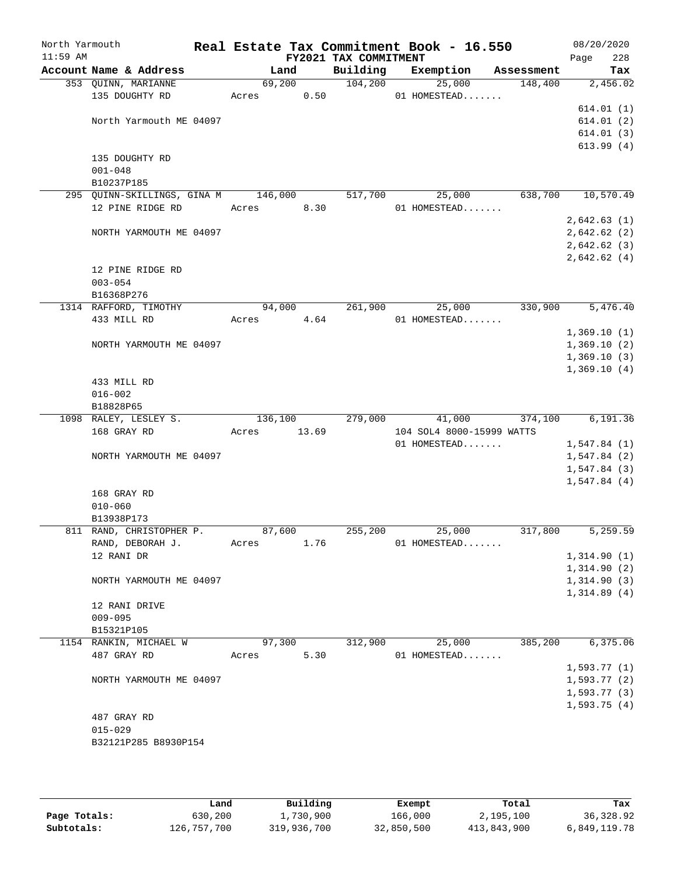| North Yarmouth<br>$11:59$ AM |                                                   |         |       | FY2021 TAX COMMITMENT | Real Estate Tax Commitment Book - 16.550 |            | 08/20/2020<br>228<br>Page  |
|------------------------------|---------------------------------------------------|---------|-------|-----------------------|------------------------------------------|------------|----------------------------|
|                              | Account Name & Address                            | Land    |       | Building              | Exemption                                | Assessment | Tax                        |
|                              | 353 QUINN, MARIANNE                               | 69,200  |       | 104,200               | 25,000                                   | 148,400    | 2,456.02                   |
|                              | 135 DOUGHTY RD                                    | Acres   | 0.50  |                       | 01 HOMESTEAD                             |            |                            |
|                              |                                                   |         |       |                       |                                          |            | 614.01(1)                  |
|                              | North Yarmouth ME 04097                           |         |       |                       |                                          |            | 614.01(2)                  |
|                              |                                                   |         |       |                       |                                          |            | 614.01(3)                  |
|                              |                                                   |         |       |                       |                                          |            | 613.99(4)                  |
| $001 - 048$                  | 135 DOUGHTY RD                                    |         |       |                       |                                          |            |                            |
|                              |                                                   |         |       |                       |                                          |            |                            |
|                              | B10237P185<br>295 QUINN-SKILLINGS, GINA M 146,000 |         |       | 517,700               | 25,000                                   | 638,700    | 10,570.49                  |
|                              | 12 PINE RIDGE RD                                  | Acres   | 8.30  |                       | 01 HOMESTEAD                             |            |                            |
|                              |                                                   |         |       |                       |                                          |            | 2,642.63(1)                |
|                              | NORTH YARMOUTH ME 04097                           |         |       |                       |                                          |            | 2,642.62(2)                |
|                              |                                                   |         |       |                       |                                          |            | 2,642.62(3)                |
|                              |                                                   |         |       |                       |                                          |            | 2,642.62(4)                |
|                              | 12 PINE RIDGE RD                                  |         |       |                       |                                          |            |                            |
|                              | $003 - 054$                                       |         |       |                       |                                          |            |                            |
|                              | B16368P276                                        |         |       |                       |                                          |            |                            |
|                              | 1314 RAFFORD, TIMOTHY                             | 94,000  |       | 261,900               | 25,000                                   | 330,900    | 5,476.40                   |
|                              | 433 MILL RD                                       | Acres   | 4.64  |                       | 01 HOMESTEAD                             |            |                            |
|                              |                                                   |         |       |                       |                                          |            | 1,369.10(1)                |
|                              | NORTH YARMOUTH ME 04097                           |         |       |                       |                                          |            | 1,369.10(2)                |
|                              |                                                   |         |       |                       |                                          |            | 1,369.10(3)                |
|                              |                                                   |         |       |                       |                                          |            | 1,369.10(4)                |
|                              | 433 MILL RD                                       |         |       |                       |                                          |            |                            |
|                              | $016 - 002$                                       |         |       |                       |                                          |            |                            |
|                              | B18828P65                                         |         |       |                       |                                          |            |                            |
|                              | 1098 RALEY, LESLEY S.                             | 136,100 |       | 279,000               | 41,000                                   | 374,100    | 6, 191.36                  |
|                              | 168 GRAY RD                                       | Acres   | 13.69 |                       | 104 SOL4 8000-15999 WATTS                |            |                            |
|                              |                                                   |         |       |                       | 01 HOMESTEAD                             |            | 1,547.84(1)                |
|                              | NORTH YARMOUTH ME 04097                           |         |       |                       |                                          |            | 1,547.84(2)<br>1,547.84(3) |
|                              |                                                   |         |       |                       |                                          |            | 1,547.84(4)                |
|                              | 168 GRAY RD                                       |         |       |                       |                                          |            |                            |
|                              | $010 - 060$                                       |         |       |                       |                                          |            |                            |
|                              | B13938P173                                        |         |       |                       |                                          |            |                            |
|                              | 811 RAND, CHRISTOPHER P.                          | 87,600  |       | 255,200               | 25,000                                   | 317,800    | 5,259.59                   |
|                              | RAND, DEBORAH J.                                  | Acres   | 1.76  |                       | 01 HOMESTEAD                             |            |                            |
|                              | 12 RANI DR                                        |         |       |                       |                                          |            | 1,314.90(1)                |
|                              |                                                   |         |       |                       |                                          |            | 1,314.90(2)                |
|                              | NORTH YARMOUTH ME 04097                           |         |       |                       |                                          |            | 1,314.90(3)                |
|                              |                                                   |         |       |                       |                                          |            | 1,314.89(4)                |
|                              | 12 RANI DRIVE                                     |         |       |                       |                                          |            |                            |
|                              | $009 - 095$                                       |         |       |                       |                                          |            |                            |
|                              | B15321P105                                        |         |       |                       |                                          |            |                            |
|                              | 1154 RANKIN, MICHAEL W                            | 97,300  |       | 312,900               | 25,000                                   | 385,200    | 6,375.06                   |
|                              | 487 GRAY RD                                       | Acres   | 5.30  |                       | 01 HOMESTEAD                             |            |                            |
|                              |                                                   |         |       |                       |                                          |            | 1,593.77(1)                |
|                              | NORTH YARMOUTH ME 04097                           |         |       |                       |                                          |            | 1,593.77(2)                |
|                              |                                                   |         |       |                       |                                          |            | 1,593.77(3)                |
|                              |                                                   |         |       |                       |                                          |            | 1,593.75(4)                |
|                              | 487 GRAY RD<br>$015 - 029$                        |         |       |                       |                                          |            |                            |
|                              | B32121P285 B8930P154                              |         |       |                       |                                          |            |                            |
|                              |                                                   |         |       |                       |                                          |            |                            |
|                              |                                                   |         |       |                       |                                          |            |                            |

|              | Land        | Building    | Exempt     | Total       | Tax          |
|--------------|-------------|-------------|------------|-------------|--------------|
| Page Totals: | 630,200     | 1,730,900   | 166,000    | 2,195,100   | 36,328.92    |
| Subtotals:   | 126,757,700 | 319,936,700 | 32,850,500 | 413,843,900 | 6,849,119.78 |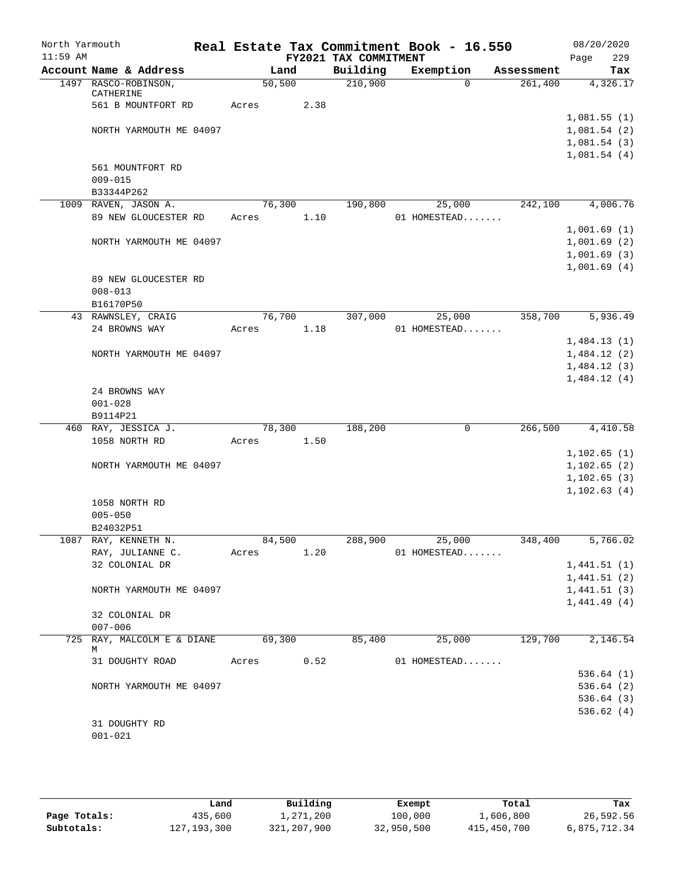| North Yarmouth<br>$11:59$ AM        |                                 |         |      | FY2021 TAX COMMITMENT | Real Estate Tax Commitment Book - 16.550 |            | 08/20/2020<br>229<br>Page |
|-------------------------------------|---------------------------------|---------|------|-----------------------|------------------------------------------|------------|---------------------------|
|                                     | Account Name & Address          | Land    |      | Building              | Exemption                                | Assessment | Tax                       |
|                                     | 1497 RASCO-ROBINSON,            | 50, 500 |      | 210,900               | $\Omega$                                 | 261,400    | 4,326.17                  |
|                                     | CATHERINE<br>561 B MOUNTFORT RD | Acres   | 2.38 |                       |                                          |            |                           |
|                                     |                                 |         |      |                       |                                          |            | 1,081.55(1)               |
|                                     | NORTH YARMOUTH ME 04097         |         |      |                       |                                          |            | 1,081.54(2)               |
|                                     |                                 |         |      |                       |                                          |            | 1,081.54(3)               |
|                                     |                                 |         |      |                       |                                          |            | 1,081.54(4)               |
|                                     | 561 MOUNTFORT RD                |         |      |                       |                                          |            |                           |
|                                     | $009 - 015$                     |         |      |                       |                                          |            |                           |
|                                     | B33344P262                      |         |      |                       |                                          |            |                           |
|                                     | 1009 RAVEN, JASON A.            | 76,300  |      | 190,800               | 25,000                                   | 242,100    | 4,006.76                  |
|                                     | 89 NEW GLOUCESTER RD            | Acres   | 1.10 |                       | 01 HOMESTEAD                             |            |                           |
|                                     |                                 |         |      |                       |                                          |            | 1,001.69(1)               |
|                                     | NORTH YARMOUTH ME 04097         |         |      |                       |                                          |            | 1,001.69(2)               |
|                                     |                                 |         |      |                       |                                          |            | 1,001.69(3)               |
| 89 NEW GLOUCESTER RD<br>$008 - 013$ |                                 |         |      |                       |                                          |            | 1,001.69(4)               |
|                                     |                                 |         |      |                       |                                          |            |                           |
|                                     | B16170P50                       |         |      |                       |                                          |            |                           |
|                                     | 43 RAWNSLEY, CRAIG              | 76,700  |      | 307,000               | 25,000                                   | 358,700    | 5,936.49                  |
|                                     | 24 BROWNS WAY                   | Acres   | 1.18 |                       | 01 HOMESTEAD                             |            |                           |
|                                     |                                 |         |      |                       |                                          |            | 1,484.13(1)               |
|                                     | NORTH YARMOUTH ME 04097         |         |      |                       |                                          |            | 1,484.12(2)               |
|                                     |                                 |         |      |                       |                                          |            | 1,484.12(3)               |
|                                     |                                 |         |      |                       |                                          |            | 1,484.12(4)               |
|                                     | 24 BROWNS WAY                   |         |      |                       |                                          |            |                           |
|                                     | $001 - 028$                     |         |      |                       |                                          |            |                           |
|                                     | B9114P21                        |         |      |                       |                                          |            |                           |
|                                     | 460 RAY, JESSICA J.             | 78,300  |      | 188,200               | 0                                        | 266,500    | 4,410.58                  |
|                                     | 1058 NORTH RD                   | Acres   | 1.50 |                       |                                          |            |                           |
|                                     |                                 |         |      |                       |                                          |            | 1,102.65(1)               |
|                                     | NORTH YARMOUTH ME 04097         |         |      |                       |                                          |            | 1,102.65(2)               |
|                                     |                                 |         |      |                       |                                          |            | 1, 102.65(3)              |
|                                     |                                 |         |      |                       |                                          |            | 1,102.63(4)               |
|                                     | 1058 NORTH RD                   |         |      |                       |                                          |            |                           |
|                                     | $005 - 050$<br>B24032P51        |         |      |                       |                                          |            |                           |
|                                     | 1087 RAY, KENNETH N.            | 84,500  |      | 288,900               | 25,000                                   | 348,400    | 5,766.02                  |
|                                     | RAY, JULIANNE C.                | Acres   | 1.20 |                       | 01 HOMESTEAD                             |            |                           |
|                                     | 32 COLONIAL DR                  |         |      |                       |                                          |            | 1,441.51(1)               |
|                                     |                                 |         |      |                       |                                          |            | 1,441.51(2)               |
|                                     | NORTH YARMOUTH ME 04097         |         |      |                       |                                          |            | 1,441.51(3)               |
|                                     |                                 |         |      |                       |                                          |            | 1,441.49(4)               |
|                                     | 32 COLONIAL DR                  |         |      |                       |                                          |            |                           |
|                                     | $007 - 006$                     |         |      |                       |                                          |            |                           |
|                                     | 725 RAY, MALCOLM E & DIANE<br>М | 69,300  |      | 85,400                | 25,000                                   | 129,700    | 2,146.54                  |
|                                     | 31 DOUGHTY ROAD                 | Acres   | 0.52 |                       | 01 HOMESTEAD                             |            |                           |
|                                     |                                 |         |      |                       |                                          |            | 536.64(1)                 |
|                                     | NORTH YARMOUTH ME 04097         |         |      |                       |                                          |            | 536.64(2)                 |
|                                     |                                 |         |      |                       |                                          |            | 536.64(3)                 |
|                                     |                                 |         |      |                       |                                          |            | 536.62(4)                 |
|                                     | 31 DOUGHTY RD                   |         |      |                       |                                          |            |                           |
|                                     | $001 - 021$                     |         |      |                       |                                          |            |                           |
|                                     |                                 |         |      |                       |                                          |            |                           |

|              | Land          | Building    | Exempt     | Total       | Tax          |
|--------------|---------------|-------------|------------|-------------|--------------|
| Page Totals: | 435,600       | 1,271,200   | 100,000    | 1,606,800   | 26,592.56    |
| Subtotals:   | 127, 193, 300 | 321,207,900 | 32,950,500 | 415,450,700 | 6,875,712.34 |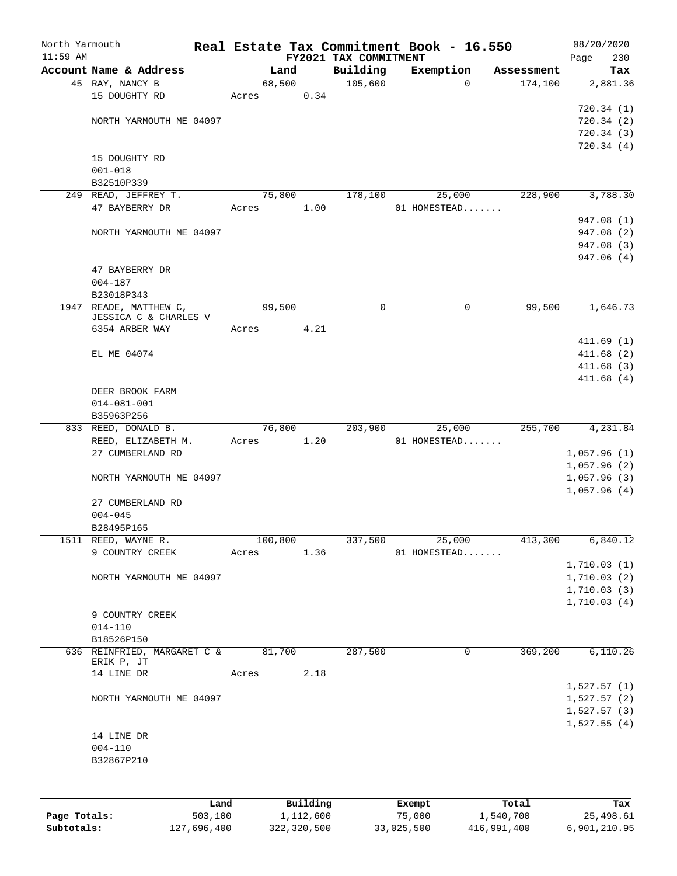| North Yarmouth |                             |         |          |                       | Real Estate Tax Commitment Book - 16.550 |            | 08/20/2020  |
|----------------|-----------------------------|---------|----------|-----------------------|------------------------------------------|------------|-------------|
| $11:59$ AM     |                             |         |          | FY2021 TAX COMMITMENT |                                          |            | 230<br>Page |
|                | Account Name & Address      | Land    |          | Building              | Exemption                                | Assessment | Tax         |
|                | 45 RAY, NANCY B             | 68,500  |          | 105,600               | $\Omega$                                 | 174,100    | 2,881.36    |
|                | 15 DOUGHTY RD               | Acres   | 0.34     |                       |                                          |            |             |
|                |                             |         |          |                       |                                          |            | 720.34(1)   |
|                | NORTH YARMOUTH ME 04097     |         |          |                       |                                          |            | 720.34(2)   |
|                |                             |         |          |                       |                                          |            | 720.34(3)   |
|                |                             |         |          |                       |                                          |            | 720.34(4)   |
|                | 15 DOUGHTY RD               |         |          |                       |                                          |            |             |
|                | $001 - 018$                 |         |          |                       |                                          |            |             |
|                | B32510P339                  |         |          |                       |                                          |            |             |
|                | 249 READ, JEFFREY T.        | 75,800  |          | 178,100               | 25,000                                   | 228,900    | 3,788.30    |
|                | 47 BAYBERRY DR              | Acres   | 1.00     |                       | 01 HOMESTEAD                             |            |             |
|                |                             |         |          |                       |                                          |            | 947.08 (1)  |
|                | NORTH YARMOUTH ME 04097     |         |          |                       |                                          |            | 947.08 (2)  |
|                |                             |         |          |                       |                                          |            | 947.08 (3)  |
|                |                             |         |          |                       |                                          |            | 947.06 (4)  |
|                | 47 BAYBERRY DR              |         |          |                       |                                          |            |             |
|                | $004 - 187$                 |         |          |                       |                                          |            |             |
|                | B23018P343                  |         |          |                       |                                          |            |             |
|                | 1947 READE, MATTHEW C,      | 99,500  |          | $\mathbf 0$           | $\mathbf 0$                              | 99,500     | 1,646.73    |
|                | JESSICA C & CHARLES V       |         |          |                       |                                          |            |             |
|                | 6354 ARBER WAY              | Acres   | 4.21     |                       |                                          |            |             |
|                |                             |         |          |                       |                                          |            | 411.69(1)   |
|                | EL ME 04074                 |         |          |                       |                                          |            | 411.68(2)   |
|                |                             |         |          |                       |                                          |            | 411.68(3)   |
|                |                             |         |          |                       |                                          |            | 411.68(4)   |
|                | DEER BROOK FARM             |         |          |                       |                                          |            |             |
|                | $014 - 081 - 001$           |         |          |                       |                                          |            |             |
|                | B35963P256                  |         |          |                       |                                          |            |             |
|                | 833 REED, DONALD B.         | 76,800  |          | 203,900               | 25,000                                   | 255,700    | 4,231.84    |
|                | REED, ELIZABETH M.          | Acres   | 1.20     |                       | 01 HOMESTEAD                             |            |             |
|                | 27 CUMBERLAND RD            |         |          |                       |                                          |            | 1,057.96(1) |
|                |                             |         |          |                       |                                          |            | 1,057.96(2) |
|                | NORTH YARMOUTH ME 04097     |         |          |                       |                                          |            | 1,057.96(3) |
|                |                             |         |          |                       |                                          |            | 1,057.96(4) |
|                | 27 CUMBERLAND RD            |         |          |                       |                                          |            |             |
|                | $004 - 045$                 |         |          |                       |                                          |            |             |
|                | B28495P165                  |         |          |                       |                                          |            |             |
|                | 1511 REED, WAYNE R.         | 100,800 |          | 337,500               | 25,000                                   | 413,300    | 6,840.12    |
|                | 9 COUNTRY CREEK             | Acres   | 1.36     |                       | 01 HOMESTEAD                             |            |             |
|                |                             |         |          |                       |                                          |            | 1,710.03(1) |
|                | NORTH YARMOUTH ME 04097     |         |          |                       |                                          |            | 1,710.03(2) |
|                |                             |         |          |                       |                                          |            | 1,710.03(3) |
|                |                             |         |          |                       |                                          |            | 1,710.03(4) |
|                | 9 COUNTRY CREEK             |         |          |                       |                                          |            |             |
|                | $014 - 110$                 |         |          |                       |                                          |            |             |
|                | B18526P150                  |         |          |                       |                                          |            |             |
|                | 636 REINFRIED, MARGARET C & | 81,700  |          | 287,500               | $\mathbf 0$                              | 369,200    | 6,110.26    |
|                | ERIK P, JT                  |         |          |                       |                                          |            |             |
|                | 14 LINE DR                  | Acres   | 2.18     |                       |                                          |            |             |
|                |                             |         |          |                       |                                          |            | 1,527.57(1) |
|                | NORTH YARMOUTH ME 04097     |         |          |                       |                                          |            | 1,527.57(2) |
|                |                             |         |          |                       |                                          |            | 1,527.57(3) |
|                |                             |         |          |                       |                                          |            |             |
|                |                             |         |          |                       |                                          |            | 1,527.55(4) |
|                | 14 LINE DR                  |         |          |                       |                                          |            |             |
|                | $004 - 110$                 |         |          |                       |                                          |            |             |
|                | B32867P210                  |         |          |                       |                                          |            |             |
|                |                             |         |          |                       |                                          |            |             |
|                |                             |         |          |                       |                                          |            |             |
|                | Land                        |         | Building |                       | Exempt                                   | Total      | Tax         |

|              | Land        | Building    | Exempt     | Total       | Tax          |
|--------------|-------------|-------------|------------|-------------|--------------|
| Page Totals: | 503,100     | 1,112,600   | 75,000     | 1,540,700   | 25,498.61    |
| Subtotals:   | 127,696,400 | 322,320,500 | 33,025,500 | 416,991,400 | 6,901,210.95 |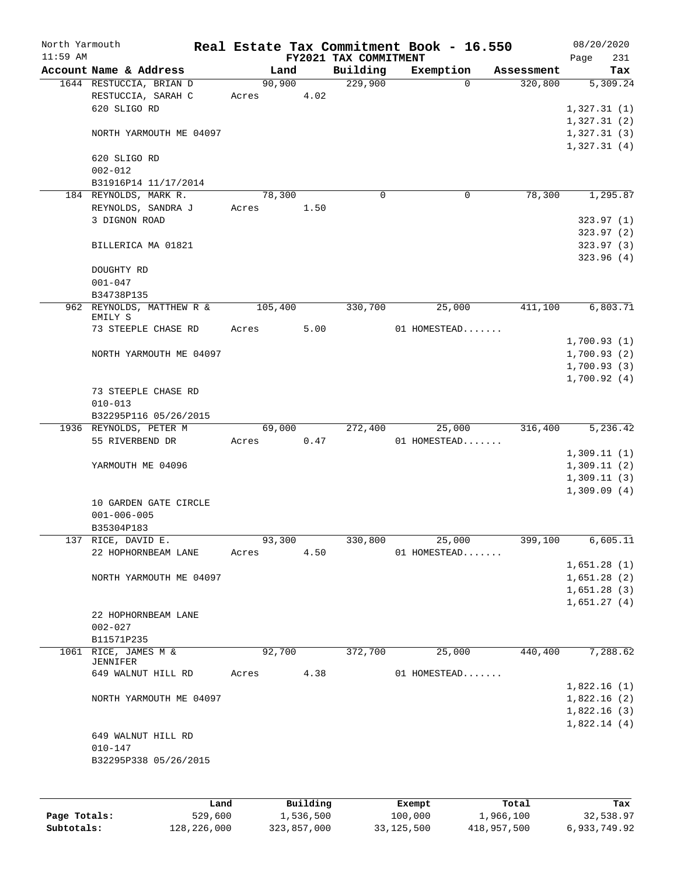| North Yarmouth |                                               |         |                |                       | Real Estate Tax Commitment Book - 16.550 |            | 08/20/2020                 |
|----------------|-----------------------------------------------|---------|----------------|-----------------------|------------------------------------------|------------|----------------------------|
| $11:59$ AM     |                                               |         |                | FY2021 TAX COMMITMENT |                                          |            | Page<br>231                |
|                | Account Name & Address                        |         | Land           | Building              | Exemption                                | Assessment | Tax                        |
|                | 1644 RESTUCCIA, BRIAN D<br>RESTUCCIA, SARAH C | Acres   | 90,900<br>4.02 | 229,900               | $\Omega$                                 | 320,800    | 5,309.24                   |
|                | 620 SLIGO RD                                  |         |                |                       |                                          |            | 1,327.31(1)                |
|                |                                               |         |                |                       |                                          |            | 1,327.31(2)                |
|                | NORTH YARMOUTH ME 04097                       |         |                |                       |                                          |            | 1,327.31(3)                |
|                |                                               |         |                |                       |                                          |            | 1,327.31(4)                |
|                | 620 SLIGO RD                                  |         |                |                       |                                          |            |                            |
|                | $002 - 012$                                   |         |                |                       |                                          |            |                            |
|                | B31916P14 11/17/2014                          |         |                |                       |                                          |            |                            |
|                | 184 REYNOLDS, MARK R.                         |         | 78,300         | $\mathbf 0$           | $\mathbf 0$                              | 78,300     | 1,295.87                   |
|                | REYNOLDS, SANDRA J<br>3 DIGNON ROAD           | Acres   | 1.50           |                       |                                          |            |                            |
|                |                                               |         |                |                       |                                          |            | 323.97 (1)<br>323.97 (2)   |
|                | BILLERICA MA 01821                            |         |                |                       |                                          |            | 323.97 (3)                 |
|                |                                               |         |                |                       |                                          |            | 323.96(4)                  |
|                | DOUGHTY RD                                    |         |                |                       |                                          |            |                            |
|                | $001 - 047$                                   |         |                |                       |                                          |            |                            |
|                | B34738P135                                    |         |                |                       |                                          |            |                            |
|                | 962 REYNOLDS, MATTHEW R &                     | 105,400 |                | 330,700               | 25,000                                   | 411,100    | 6,803.71                   |
|                | EMILY S<br>73 STEEPLE CHASE RD                | Acres   | 5.00           |                       | 01 HOMESTEAD                             |            |                            |
|                |                                               |         |                |                       |                                          |            | 1,700.93(1)                |
|                | NORTH YARMOUTH ME 04097                       |         |                |                       |                                          |            | 1,700.93(2)                |
|                |                                               |         |                |                       |                                          |            | 1,700.93(3)                |
|                |                                               |         |                |                       |                                          |            | 1,700.92(4)                |
|                | 73 STEEPLE CHASE RD                           |         |                |                       |                                          |            |                            |
|                | $010 - 013$                                   |         |                |                       |                                          |            |                            |
|                | B32295P116 05/26/2015                         |         |                |                       |                                          |            |                            |
|                | 1936 REYNOLDS, PETER M                        |         | 69,000         | 272,400               | 25,000                                   | 316,400    | 5,236.42                   |
|                | 55 RIVERBEND DR                               | Acres   | 0.47           |                       | 01 HOMESTEAD                             |            | 1,309.11(1)                |
|                | YARMOUTH ME 04096                             |         |                |                       |                                          |            | 1,309.11(2)                |
|                |                                               |         |                |                       |                                          |            | 1,309.11(3)                |
|                |                                               |         |                |                       |                                          |            | 1,309.09(4)                |
|                | 10 GARDEN GATE CIRCLE                         |         |                |                       |                                          |            |                            |
|                | $001 - 006 - 005$                             |         |                |                       |                                          |            |                            |
|                | B35304P183                                    |         |                |                       |                                          |            |                            |
|                | 137 RICE, DAVID E.                            |         | 93,300         | 330,800               | 25,000                                   | 399,100    | 6,605.11                   |
|                | 22 HOPHORNBEAM LANE                           | Acres   | 4.50           |                       | 01 HOMESTEAD                             |            |                            |
|                |                                               |         |                |                       |                                          |            | 1,651.28(1)                |
|                | NORTH YARMOUTH ME 04097                       |         |                |                       |                                          |            | 1,651.28(2)                |
|                |                                               |         |                |                       |                                          |            | 1,651.28(3)<br>1,651.27(4) |
|                | 22 HOPHORNBEAM LANE                           |         |                |                       |                                          |            |                            |
|                | $002 - 027$                                   |         |                |                       |                                          |            |                            |
|                | B11571P235                                    |         |                |                       |                                          |            |                            |
|                | 1061 RICE, JAMES M &                          |         | 92,700         | 372,700               | 25,000                                   | 440,400    | 7,288.62                   |
|                | <b>JENNIFER</b>                               |         |                |                       |                                          |            |                            |
|                | 649 WALNUT HILL RD                            | Acres   | 4.38           |                       | 01 HOMESTEAD                             |            |                            |
|                | NORTH YARMOUTH ME 04097                       |         |                |                       |                                          |            | 1,822.16(1)<br>1,822.16(2) |
|                |                                               |         |                |                       |                                          |            | 1,822.16(3)                |
|                |                                               |         |                |                       |                                          |            | 1,822.14(4)                |
|                | 649 WALNUT HILL RD                            |         |                |                       |                                          |            |                            |
|                | $010 - 147$                                   |         |                |                       |                                          |            |                            |
|                | B32295P338 05/26/2015                         |         |                |                       |                                          |            |                            |
|                |                                               |         |                |                       |                                          |            |                            |
|                |                                               |         |                |                       |                                          |            |                            |
|                |                                               |         |                |                       |                                          |            |                            |

|              | Land        | Building    | Exempt     | Total       | Tax          |
|--------------|-------------|-------------|------------|-------------|--------------|
| Page Totals: | 529,600     | 1,536,500   | 100,000    | 1,966,100   | 32,538.97    |
| Subtotals:   | 128,226,000 | 323,857,000 | 33,125,500 | 418,957,500 | 6,933,749.92 |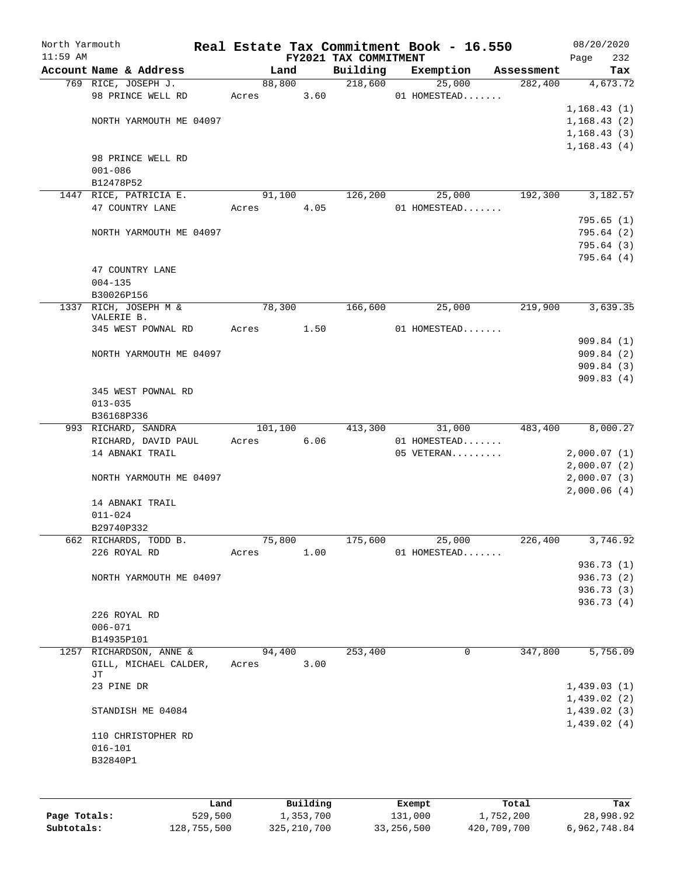| North Yarmouth |                                                  |       |                 |          |                       | Real Estate Tax Commitment Book - 16.550 |            | 08/20/2020                 |
|----------------|--------------------------------------------------|-------|-----------------|----------|-----------------------|------------------------------------------|------------|----------------------------|
| $11:59$ AM     | Account Name & Address                           |       |                 |          | FY2021 TAX COMMITMENT |                                          |            | 232<br>Page                |
|                |                                                  |       | Land<br>88,800  |          | Building<br>218,600   | Exemption<br>25,000                      | Assessment | Tax<br>282,400<br>4,673.72 |
|                | 769 RICE, JOSEPH J.<br>98 PRINCE WELL RD         | Acres |                 | 3.60     |                       | 01 HOMESTEAD                             |            |                            |
|                |                                                  |       |                 |          |                       |                                          |            | 1,168.43(1)                |
|                | NORTH YARMOUTH ME 04097                          |       |                 |          |                       |                                          |            | 1,168.43(2)                |
|                |                                                  |       |                 |          |                       |                                          |            | 1,168.43(3)                |
|                |                                                  |       |                 |          |                       |                                          |            | 1, 168.43(4)               |
|                | 98 PRINCE WELL RD                                |       |                 |          |                       |                                          |            |                            |
|                | $001 - 086$                                      |       |                 |          |                       |                                          |            |                            |
|                | B12478P52                                        |       |                 |          |                       |                                          |            |                            |
|                | 1447 RICE, PATRICIA E.                           |       | 91,100          |          | 126,200               | 25,000                                   |            | 192,300<br>3,182.57        |
|                | 47 COUNTRY LANE                                  | Acres |                 | 4.05     |                       | 01 HOMESTEAD                             |            |                            |
|                |                                                  |       |                 |          |                       |                                          |            | 795.65(1)                  |
|                | NORTH YARMOUTH ME 04097                          |       |                 |          |                       |                                          |            | 795.64(2)                  |
|                |                                                  |       |                 |          |                       |                                          |            | 795.64 (3)                 |
|                |                                                  |       |                 |          |                       |                                          |            | 795.64 (4)                 |
|                | 47 COUNTRY LANE                                  |       |                 |          |                       |                                          |            |                            |
|                | $004 - 135$                                      |       |                 |          |                       |                                          |            |                            |
|                | B30026P156                                       |       |                 |          |                       |                                          |            |                            |
|                | 1337 RICH, JOSEPH M &                            |       | 78,300          |          | 166,600               | 25,000                                   |            | 219,900<br>3,639.35        |
|                | VALERIE B.                                       |       |                 |          |                       |                                          |            |                            |
|                | 345 WEST POWNAL RD                               | Acres |                 | 1.50     |                       | 01 HOMESTEAD                             |            |                            |
|                |                                                  |       |                 |          |                       |                                          |            | 909.84(1)                  |
|                | NORTH YARMOUTH ME 04097                          |       |                 |          |                       |                                          |            | 909.84(2)                  |
|                |                                                  |       |                 |          |                       |                                          |            | 909.84(3)                  |
|                |                                                  |       |                 |          |                       |                                          |            | 909.83(4)                  |
|                | 345 WEST POWNAL RD                               |       |                 |          |                       |                                          |            |                            |
|                | $013 - 035$                                      |       |                 |          |                       |                                          |            |                            |
|                | B36168P336                                       |       |                 |          |                       |                                          |            |                            |
|                | 993 RICHARD, SANDRA                              |       | 101,100         |          | 413,300               | 31,000                                   |            | 8,000.27<br>483,400        |
|                | RICHARD, DAVID PAUL                              | Acres |                 | 6.06     |                       | 01 HOMESTEAD                             |            |                            |
|                | 14 ABNAKI TRAIL                                  |       |                 |          |                       | 05 VETERAN                               |            | 2,000.07(1)                |
|                |                                                  |       |                 |          |                       |                                          |            | 2,000.07(2)                |
|                | NORTH YARMOUTH ME 04097                          |       |                 |          |                       |                                          |            | 2,000.07(3)                |
|                |                                                  |       |                 |          |                       |                                          |            | 2,000.06(4)                |
|                | 14 ABNAKI TRAIL                                  |       |                 |          |                       |                                          |            |                            |
|                | $011 - 024$                                      |       |                 |          |                       |                                          |            |                            |
|                | B29740P332                                       |       |                 |          |                       |                                          |            |                            |
|                | 662 RICHARDS, TODD B.                            |       | 75,800          |          | 175,600               | 25,000                                   |            | 226,400<br>3,746.92        |
|                | 226 ROYAL RD                                     | Acres |                 | 1.00     |                       | 01 HOMESTEAD                             |            |                            |
|                |                                                  |       |                 |          |                       |                                          |            | 936.73 (1)                 |
|                | NORTH YARMOUTH ME 04097                          |       |                 |          |                       |                                          |            | 936.73 (2)                 |
|                |                                                  |       |                 |          |                       |                                          |            | 936.73 (3)                 |
|                |                                                  |       |                 |          |                       |                                          |            | 936.73(4)                  |
|                | 226 ROYAL RD                                     |       |                 |          |                       |                                          |            |                            |
|                | $006 - 071$                                      |       |                 |          |                       |                                          |            |                            |
|                | B14935P101                                       |       |                 |          | 253,400               |                                          | 0          | 347,800<br>5,756.09        |
|                | 1257 RICHARDSON, ANNE &<br>GILL, MICHAEL CALDER, |       | 94,400<br>Acres | 3.00     |                       |                                          |            |                            |
|                | JТ                                               |       |                 |          |                       |                                          |            |                            |
|                | 23 PINE DR                                       |       |                 |          |                       |                                          |            | 1,439.03(1)                |
|                |                                                  |       |                 |          |                       |                                          |            | 1,439.02(2)                |
|                | STANDISH ME 04084                                |       |                 |          |                       |                                          |            | 1,439.02(3)                |
|                |                                                  |       |                 |          |                       |                                          |            | 1,439.02(4)                |
|                | 110 CHRISTOPHER RD                               |       |                 |          |                       |                                          |            |                            |
|                | $016 - 101$                                      |       |                 |          |                       |                                          |            |                            |
|                | B32840P1                                         |       |                 |          |                       |                                          |            |                            |
|                |                                                  |       |                 |          |                       |                                          |            |                            |
|                |                                                  |       |                 |          |                       |                                          |            |                            |
|                |                                                  | Land  |                 | Building |                       | Exempt                                   | Total      | Tax                        |
|                |                                                  |       |                 |          |                       |                                          |            |                            |

|              | ⊥and        | Building      | Exempt       | Total       | тах          |
|--------------|-------------|---------------|--------------|-------------|--------------|
| Page Totals: | 529,500     | 1,353,700     | 131,000      | 1,752,200   | 28,998.92    |
| Subtotals:   | 128,755,500 | 325, 210, 700 | 33, 256, 500 | 420,709,700 | 6,962,748.84 |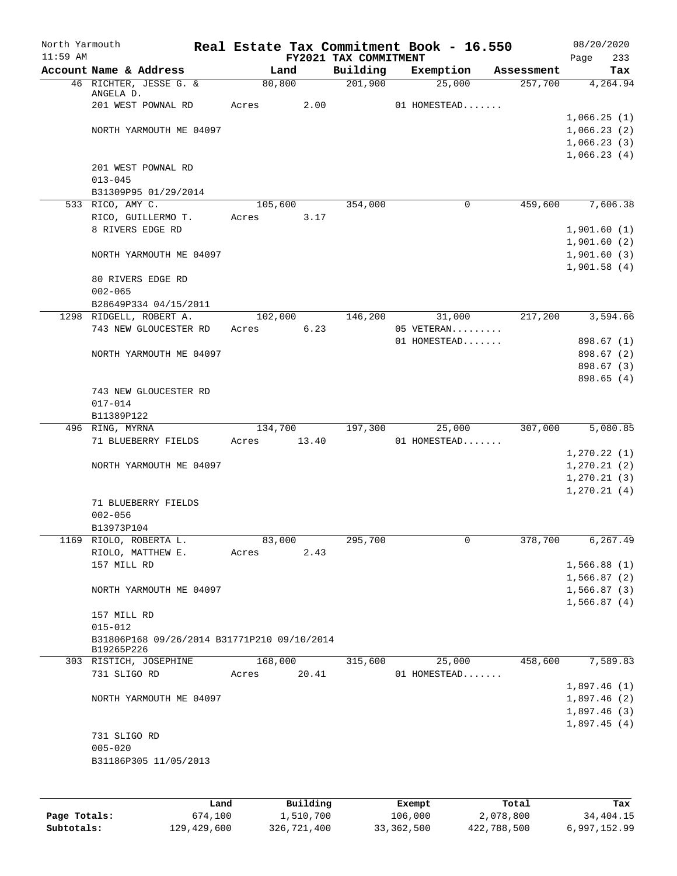| North Yarmouth |                                                            |                 |                       | Real Estate Tax Commitment Book - 16.550 |                       | 08/20/2020      |
|----------------|------------------------------------------------------------|-----------------|-----------------------|------------------------------------------|-----------------------|-----------------|
| $11:59$ AM     | Account Name & Address                                     |                 | FY2021 TAX COMMITMENT |                                          |                       | 233<br>Page     |
|                | 46 RICHTER, JESSE G. &                                     | Land<br>80,800  | Building<br>201,900   | Exemption<br>25,000                      | Assessment<br>257,700 | Tax<br>4,264.94 |
|                | ANGELA D.                                                  |                 |                       |                                          |                       |                 |
|                | 201 WEST POWNAL RD                                         | 2.00<br>Acres   |                       | 01 HOMESTEAD                             |                       |                 |
|                |                                                            |                 |                       |                                          |                       | 1,066.25(1)     |
|                | NORTH YARMOUTH ME 04097                                    |                 |                       |                                          |                       | 1,066.23(2)     |
|                |                                                            |                 |                       |                                          |                       | 1,066.23(3)     |
|                |                                                            |                 |                       |                                          |                       | 1,066.23(4)     |
|                | 201 WEST POWNAL RD                                         |                 |                       |                                          |                       |                 |
|                | $013 - 045$                                                |                 |                       |                                          |                       |                 |
|                | B31309P95 01/29/2014                                       |                 |                       |                                          |                       |                 |
|                | 533 RICO, AMY C.                                           | 105,600         | 354,000               | $\mathbf 0$                              | 459,600               | 7,606.38        |
|                | RICO, GUILLERMO T.                                         | 3.17<br>Acres   |                       |                                          |                       |                 |
|                | 8 RIVERS EDGE RD                                           |                 |                       |                                          |                       | 1,901.60(1)     |
|                |                                                            |                 |                       |                                          |                       | 1,901.60(2)     |
|                | NORTH YARMOUTH ME 04097                                    |                 |                       |                                          |                       | 1,901.60(3)     |
|                |                                                            |                 |                       |                                          |                       | 1,901.58(4)     |
|                | 80 RIVERS EDGE RD                                          |                 |                       |                                          |                       |                 |
|                | $002 - 065$                                                |                 |                       |                                          |                       |                 |
|                | B28649P334 04/15/2011                                      |                 |                       |                                          |                       |                 |
|                | 1298 RIDGELL, ROBERT A.<br>743 NEW GLOUCESTER RD           | 102,000<br>6.23 | 146,200               | 31,000<br>05 VETERAN                     | 217,200               | 3,594.66        |
|                |                                                            | Acres           |                       | 01 HOMESTEAD                             |                       | 898.67 (1)      |
|                | NORTH YARMOUTH ME 04097                                    |                 |                       |                                          |                       | 898.67 (2)      |
|                |                                                            |                 |                       |                                          |                       | 898.67 (3)      |
|                |                                                            |                 |                       |                                          |                       | 898.65 (4)      |
|                | 743 NEW GLOUCESTER RD                                      |                 |                       |                                          |                       |                 |
|                | $017 - 014$                                                |                 |                       |                                          |                       |                 |
|                | B11389P122                                                 |                 |                       |                                          |                       |                 |
|                | 496 RING, MYRNA                                            | 134,700         | 197,300               | 25,000                                   | 307,000               | 5,080.85        |
|                | 71 BLUEBERRY FIELDS                                        | Acres<br>13.40  |                       | 01 HOMESTEAD                             |                       |                 |
|                |                                                            |                 |                       |                                          |                       | 1,270.22(1)     |
|                | NORTH YARMOUTH ME 04097                                    |                 |                       |                                          |                       | 1,270.21(2)     |
|                |                                                            |                 |                       |                                          |                       | 1, 270.21(3)    |
|                |                                                            |                 |                       |                                          |                       | 1, 270.21(4)    |
|                | 71 BLUEBERRY FIELDS                                        |                 |                       |                                          |                       |                 |
|                | $002 - 056$                                                |                 |                       |                                          |                       |                 |
|                | B13973P104                                                 |                 |                       |                                          |                       |                 |
|                | 1169 RIOLO, ROBERTA L.                                     | 83,000          | 295,700               | 0                                        | 378,700               | 6,267.49        |
|                | RIOLO, MATTHEW E.                                          | 2.43<br>Acres   |                       |                                          |                       |                 |
|                | 157 MILL RD                                                |                 |                       |                                          |                       | 1,566.88(1)     |
|                |                                                            |                 |                       |                                          |                       | 1,566.87(2)     |
|                | NORTH YARMOUTH ME 04097                                    |                 |                       |                                          |                       | 1,566.87(3)     |
|                |                                                            |                 |                       |                                          |                       | 1,566.87(4)     |
|                | 157 MILL RD                                                |                 |                       |                                          |                       |                 |
|                | $015 - 012$<br>B31806P168 09/26/2014 B31771P210 09/10/2014 |                 |                       |                                          |                       |                 |
|                | B19265P226                                                 |                 |                       |                                          |                       |                 |
|                | 303 RISTICH, JOSEPHINE                                     | 168,000         | 315,600               | 25,000                                   | 458,600               | 7,589.83        |
|                | 731 SLIGO RD                                               | 20.41<br>Acres  |                       | 01 HOMESTEAD                             |                       |                 |
|                |                                                            |                 |                       |                                          |                       | 1,897.46(1)     |
|                | NORTH YARMOUTH ME 04097                                    |                 |                       |                                          |                       | 1,897.46(2)     |
|                |                                                            |                 |                       |                                          |                       | 1,897.46(3)     |
|                |                                                            |                 |                       |                                          |                       | 1,897.45(4)     |
|                | 731 SLIGO RD                                               |                 |                       |                                          |                       |                 |
|                | $005 - 020$                                                |                 |                       |                                          |                       |                 |
|                | B31186P305 11/05/2013                                      |                 |                       |                                          |                       |                 |
|                |                                                            |                 |                       |                                          |                       |                 |
|                |                                                            |                 |                       |                                          |                       |                 |
|                | Land                                                       | Building        |                       | <b>Fromnt</b>                            | $T0+21$               | Tav             |

|              | Land        | Building    | Exempt     | Total       | Tax          |
|--------------|-------------|-------------|------------|-------------|--------------|
| Page Totals: | 674,100     | 1,510,700   | 106,000    | 2,078,800   | 34,404.15    |
| Subtotals:   | 129,429,600 | 326,721,400 | 33,362,500 | 422,788,500 | 6,997,152.99 |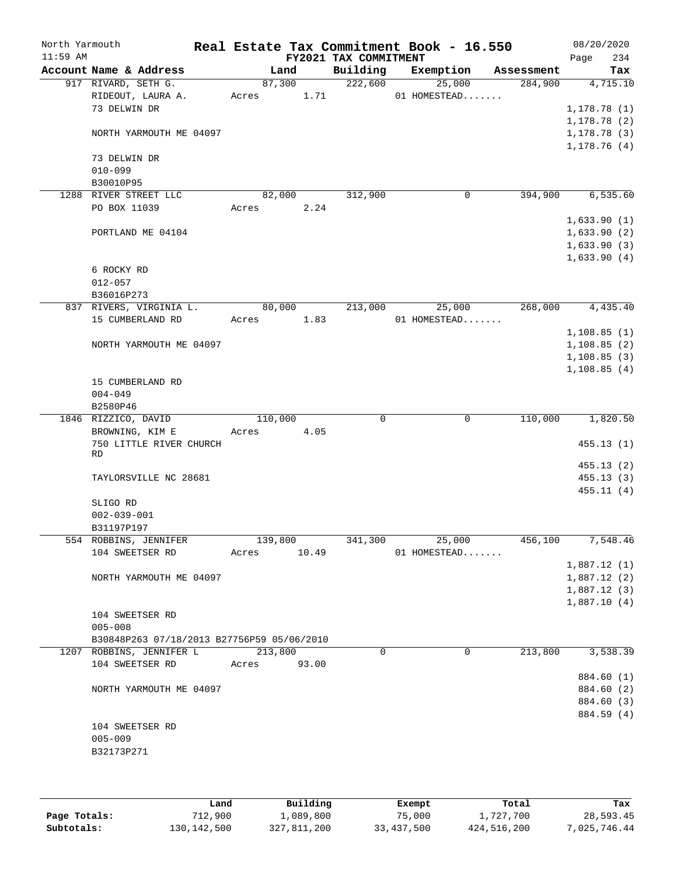| North Yarmouth<br>$11:59$ AM |                                            |            |        |       | FY2021 TAX COMMITMENT | Real Estate Tax Commitment Book - 16.550 |            | 08/20/2020<br>Page         | 234                    |
|------------------------------|--------------------------------------------|------------|--------|-------|-----------------------|------------------------------------------|------------|----------------------------|------------------------|
|                              | Account Name & Address                     |            | Land   |       | Building              | Exemption                                | Assessment |                            | Tax                    |
|                              | 917 RIVARD, SETH G.                        | 87,300     |        |       | 222,600               | 25,000                                   | 284,900    |                            | 4,715.10               |
|                              | RIDEOUT, LAURA A.                          | Acres      |        | 1.71  |                       | 01 HOMESTEAD                             |            |                            |                        |
|                              | 73 DELWIN DR                               |            |        |       |                       |                                          |            | 1, 178.78(1)               |                        |
|                              |                                            |            |        |       |                       |                                          |            | 1, 178.78(2)               |                        |
|                              | NORTH YARMOUTH ME 04097                    |            |        |       |                       |                                          |            | 1, 178.78(3)               |                        |
|                              |                                            |            |        |       |                       |                                          |            | 1, 178.76(4)               |                        |
|                              | 73 DELWIN DR                               |            |        |       |                       |                                          |            |                            |                        |
|                              | $010 - 099$                                |            |        |       |                       |                                          |            |                            |                        |
|                              | B30010P95                                  |            |        |       |                       |                                          |            |                            |                        |
|                              | 1288 RIVER STREET LLC                      |            | 82,000 |       | 312,900               | $\mathbf 0$                              | 394,900    |                            | 6, 535.60              |
|                              | PO BOX 11039                               | Acres      |        | 2.24  |                       |                                          |            |                            |                        |
|                              |                                            |            |        |       |                       |                                          |            | 1,633.90(1)                |                        |
|                              | PORTLAND ME 04104                          |            |        |       |                       |                                          |            | 1,633.90(2)                |                        |
|                              |                                            |            |        |       |                       |                                          |            | 1,633.90(3)<br>1,633.90(4) |                        |
|                              | 6 ROCKY RD                                 |            |        |       |                       |                                          |            |                            |                        |
|                              | $012 - 057$                                |            |        |       |                       |                                          |            |                            |                        |
|                              | B36016P273                                 |            |        |       |                       |                                          |            |                            |                        |
|                              | 837 RIVERS, VIRGINIA L.                    |            | 80,000 |       | 213,000               | 25,000                                   | 268,000    |                            | 4,435.40               |
|                              | 15 CUMBERLAND RD                           | Acres 1.83 |        |       |                       | 01 HOMESTEAD                             |            |                            |                        |
|                              |                                            |            |        |       |                       |                                          |            | 1, 108.85(1)               |                        |
|                              | NORTH YARMOUTH ME 04097                    |            |        |       |                       |                                          |            | 1,108.85(2)                |                        |
|                              |                                            |            |        |       |                       |                                          |            | 1, 108.85(3)               |                        |
|                              |                                            |            |        |       |                       |                                          |            | 1,108.85(4)                |                        |
|                              | 15 CUMBERLAND RD                           |            |        |       |                       |                                          |            |                            |                        |
|                              | $004 - 049$                                |            |        |       |                       |                                          |            |                            |                        |
|                              | B2580P46                                   |            |        |       |                       |                                          |            |                            |                        |
|                              | 1846 RIZZICO, DAVID                        | 110,000    |        |       | 0                     | 0                                        | 110,000    |                            | 1,820.50               |
|                              | BROWNING, KIM E                            | Acres      |        | 4.05  |                       |                                          |            |                            |                        |
|                              | 750 LITTLE RIVER CHURCH                    |            |        |       |                       |                                          |            |                            | 455.13(1)              |
|                              | RD                                         |            |        |       |                       |                                          |            |                            |                        |
|                              | TAYLORSVILLE NC 28681                      |            |        |       |                       |                                          |            |                            | 455.13(2)<br>455.13(3) |
|                              |                                            |            |        |       |                       |                                          |            |                            | 455.11(4)              |
|                              | SLIGO RD                                   |            |        |       |                       |                                          |            |                            |                        |
|                              | $002 - 039 - 001$                          |            |        |       |                       |                                          |            |                            |                        |
|                              | B31197P197                                 |            |        |       |                       |                                          |            |                            |                        |
|                              | 554 ROBBINS, JENNIFER                      | 139,800    |        |       | 341,300               | 25,000                                   | 456,100    |                            | 7,548.46               |
|                              | 104 SWEETSER RD                            | Acres      |        | 10.49 |                       | 01 HOMESTEAD                             |            |                            |                        |
|                              |                                            |            |        |       |                       |                                          |            | 1,887.12(1)                |                        |
|                              | NORTH YARMOUTH ME 04097                    |            |        |       |                       |                                          |            | 1,887.12(2)                |                        |
|                              |                                            |            |        |       |                       |                                          |            | 1,887.12(3)                |                        |
|                              |                                            |            |        |       |                       |                                          |            | 1,887.10(4)                |                        |
|                              | 104 SWEETSER RD                            |            |        |       |                       |                                          |            |                            |                        |
|                              | $005 - 008$                                |            |        |       |                       |                                          |            |                            |                        |
|                              | B30848P263 07/18/2013 B27756P59 05/06/2010 |            |        |       |                       |                                          |            |                            |                        |
|                              | 1207 ROBBINS, JENNIFER L                   | 213,800    |        |       | $\Omega$              | 0                                        | 213,800    |                            | 3,538.39               |
|                              | 104 SWEETSER RD                            | Acres      |        | 93.00 |                       |                                          |            |                            |                        |
|                              |                                            |            |        |       |                       |                                          |            |                            | 884.60 (1)             |
|                              | NORTH YARMOUTH ME 04097                    |            |        |       |                       |                                          |            |                            | 884.60 (2)             |
|                              |                                            |            |        |       |                       |                                          |            |                            | 884.60 (3)             |
|                              |                                            |            |        |       |                       |                                          |            |                            | 884.59 (4)             |
|                              | 104 SWEETSER RD                            |            |        |       |                       |                                          |            |                            |                        |
|                              | $005 - 009$                                |            |        |       |                       |                                          |            |                            |                        |
|                              | B32173P271                                 |            |        |       |                       |                                          |            |                            |                        |
|                              |                                            |            |        |       |                       |                                          |            |                            |                        |

|              | Land        | Building    | Exempt     | Total       | Tax          |
|--------------|-------------|-------------|------------|-------------|--------------|
| Page Totals: | 712,900     | 1,089,800   | 75,000     | 1,727,700   | 28,593.45    |
| Subtotals:   | 130,142,500 | 327,811,200 | 33,437,500 | 424,516,200 | 7,025,746.44 |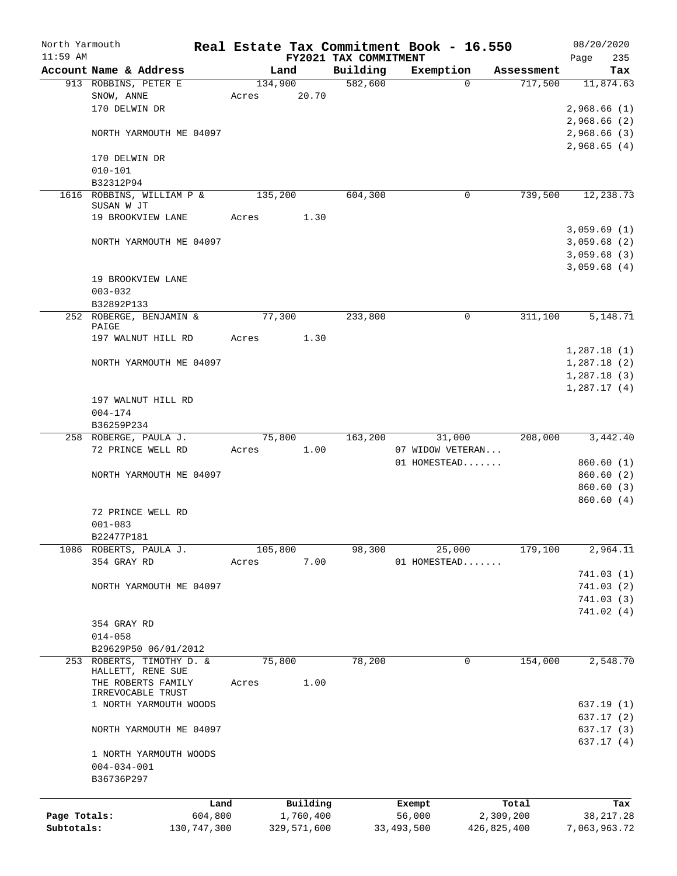| North Yarmouth |                                         |             |         |             |                                   | Real Estate Tax Commitment Book - 16.550 |             |      | 08/20/2020             |
|----------------|-----------------------------------------|-------------|---------|-------------|-----------------------------------|------------------------------------------|-------------|------|------------------------|
| $11:59$ AM     | Account Name & Address                  |             |         |             | FY2021 TAX COMMITMENT<br>Building |                                          | Assessment  | Page | 235                    |
|                | 913 ROBBINS, PETER E                    |             | 134,900 | Land        | 582,600                           | Exemption<br>$\Omega$                    | 717,500     |      | Tax<br>11,874.63       |
|                | SNOW, ANNE                              |             | Acres   | 20.70       |                                   |                                          |             |      |                        |
|                | 170 DELWIN DR                           |             |         |             |                                   |                                          |             |      | 2,968.66(1)            |
|                |                                         |             |         |             |                                   |                                          |             |      | 2,968.66 (2)           |
|                | NORTH YARMOUTH ME 04097                 |             |         |             |                                   |                                          |             |      | 2,968.66(3)            |
|                |                                         |             |         |             |                                   |                                          |             |      | 2,968.65(4)            |
|                | 170 DELWIN DR                           |             |         |             |                                   |                                          |             |      |                        |
|                | $010 - 101$                             |             |         |             |                                   |                                          |             |      |                        |
|                | B32312P94<br>1616 ROBBINS, WILLIAM P &  |             | 135,200 |             | 604,300                           | $\mathbf 0$                              | 739,500     |      |                        |
|                | SUSAN W JT                              |             |         |             |                                   |                                          |             |      | 12,238.73              |
|                | 19 BROOKVIEW LANE                       |             | Acres   | 1.30        |                                   |                                          |             |      |                        |
|                |                                         |             |         |             |                                   |                                          |             |      | 3,059.69(1)            |
|                | NORTH YARMOUTH ME 04097                 |             |         |             |                                   |                                          |             |      | 3,059.68(2)            |
|                |                                         |             |         |             |                                   |                                          |             |      | 3,059.68(3)            |
|                |                                         |             |         |             |                                   |                                          |             |      | 3,059.68(4)            |
|                | 19 BROOKVIEW LANE                       |             |         |             |                                   |                                          |             |      |                        |
|                | $003 - 032$                             |             |         |             |                                   |                                          |             |      |                        |
|                | B32892P133<br>252 ROBERGE, BENJAMIN &   |             | 77,300  |             | 233,800                           | $\mathbf 0$                              | 311,100     |      | 5,148.71               |
|                | PAIGE                                   |             |         |             |                                   |                                          |             |      |                        |
|                | 197 WALNUT HILL RD                      |             | Acres   | 1.30        |                                   |                                          |             |      |                        |
|                |                                         |             |         |             |                                   |                                          |             |      | 1,287.18(1)            |
|                | NORTH YARMOUTH ME 04097                 |             |         |             |                                   |                                          |             |      | 1,287.18(2)            |
|                |                                         |             |         |             |                                   |                                          |             |      | 1,287.18(3)            |
|                |                                         |             |         |             |                                   |                                          |             |      | 1,287.17(4)            |
|                | 197 WALNUT HILL RD                      |             |         |             |                                   |                                          |             |      |                        |
|                | $004 - 174$                             |             |         |             |                                   |                                          |             |      |                        |
|                | B36259P234<br>258 ROBERGE, PAULA J.     |             | 75,800  |             | 163,200                           | 31,000                                   | 208,000     |      | 3,442.40               |
|                | 72 PRINCE WELL RD                       |             | Acres   | 1.00        |                                   | 07 WIDOW VETERAN                         |             |      |                        |
|                |                                         |             |         |             |                                   | 01 HOMESTEAD                             |             |      | 860.60(1)              |
|                | NORTH YARMOUTH ME 04097                 |             |         |             |                                   |                                          |             |      | 860.60(2)              |
|                |                                         |             |         |             |                                   |                                          |             |      | 860.60 (3)             |
|                |                                         |             |         |             |                                   |                                          |             |      | 860.60(4)              |
|                | 72 PRINCE WELL RD                       |             |         |             |                                   |                                          |             |      |                        |
|                | $001 - 083$                             |             |         |             |                                   |                                          |             |      |                        |
|                | B22477P181                              |             |         |             |                                   |                                          |             |      |                        |
|                | 1086 ROBERTS, PAULA J.                  |             | 105,800 |             | 98,300                            | 25,000                                   | 179,100     |      | 2,964.11               |
|                | 354 GRAY RD                             |             | Acres   | 7.00        |                                   | 01 HOMESTEAD                             |             |      |                        |
|                |                                         |             |         |             |                                   |                                          |             |      | 741.03(1)              |
|                | NORTH YARMOUTH ME 04097                 |             |         |             |                                   |                                          |             |      | 741.03(2)<br>741.03(3) |
|                |                                         |             |         |             |                                   |                                          |             |      | 741.02(4)              |
|                | 354 GRAY RD                             |             |         |             |                                   |                                          |             |      |                        |
|                | $014 - 058$                             |             |         |             |                                   |                                          |             |      |                        |
|                | B29629P50 06/01/2012                    |             |         |             |                                   |                                          |             |      |                        |
|                | 253 ROBERTS, TIMOTHY D. &               |             | 75,800  |             | 78,200                            | $\mathbf 0$                              | 154,000     |      | 2,548.70               |
|                | HALLETT, RENE SUE                       |             |         |             |                                   |                                          |             |      |                        |
|                | THE ROBERTS FAMILY<br>IRREVOCABLE TRUST |             | Acres   | 1.00        |                                   |                                          |             |      |                        |
|                | 1 NORTH YARMOUTH WOODS                  |             |         |             |                                   |                                          |             |      | 637.19(1)              |
|                |                                         |             |         |             |                                   |                                          |             |      | 637.17 (2)             |
|                | NORTH YARMOUTH ME 04097                 |             |         |             |                                   |                                          |             |      | 637.17(3)              |
|                |                                         |             |         |             |                                   |                                          |             |      | 637.17(4)              |
|                | 1 NORTH YARMOUTH WOODS                  |             |         |             |                                   |                                          |             |      |                        |
|                | $004 - 034 - 001$                       |             |         |             |                                   |                                          |             |      |                        |
|                | B36736P297                              |             |         |             |                                   |                                          |             |      |                        |
|                |                                         | Land        |         | Building    |                                   | Exempt                                   | Total       |      | Tax                    |
| Page Totals:   |                                         | 604,800     |         | 1,760,400   |                                   | 56,000                                   | 2,309,200   |      | 38, 217. 28            |
| Subtotals:     |                                         | 130,747,300 |         | 329,571,600 |                                   | 33, 493, 500                             | 426,825,400 |      | 7,063,963.72           |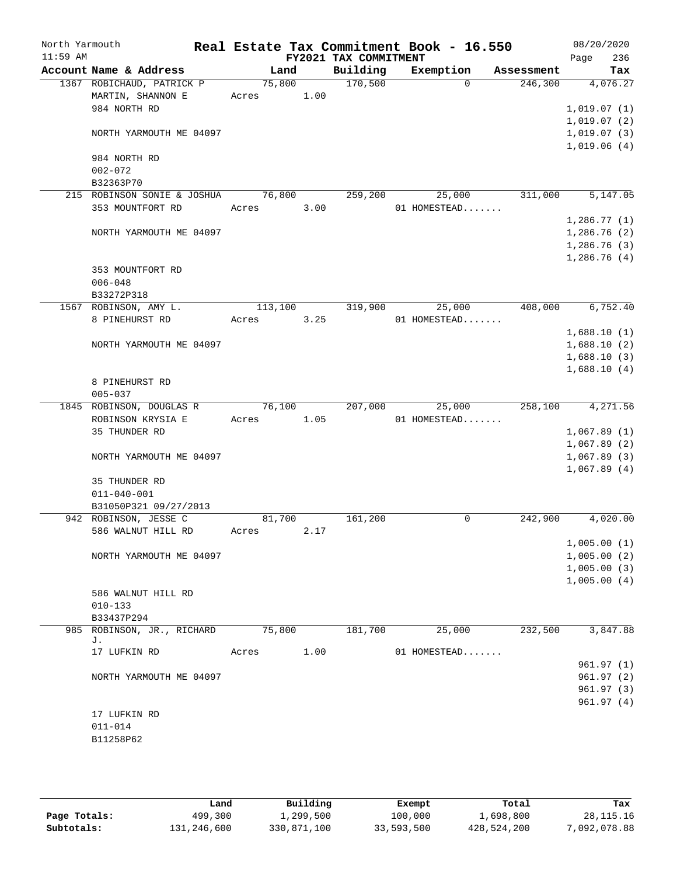| North Yarmouth |                                                |       |         |      | Real Estate Tax Commitment Book - 16.550 |              |          |            | 08/20/2020                 |                        |
|----------------|------------------------------------------------|-------|---------|------|------------------------------------------|--------------|----------|------------|----------------------------|------------------------|
| $11:59$ AM     |                                                |       |         |      | FY2021 TAX COMMITMENT                    |              |          |            | Page                       | 236                    |
|                | Account Name & Address                         |       | Land    |      | Building                                 | Exemption    |          | Assessment |                            | Tax                    |
|                | 1367 ROBICHAUD, PATRICK P                      |       | 75,800  |      | 170,500                                  |              | $\Omega$ | 246,300    |                            | 4,076.27               |
|                | MARTIN, SHANNON E<br>984 NORTH RD              | Acres |         | 1.00 |                                          |              |          |            |                            |                        |
|                |                                                |       |         |      |                                          |              |          |            | 1,019.07(1)<br>1,019.07(2) |                        |
|                | NORTH YARMOUTH ME 04097                        |       |         |      |                                          |              |          |            | 1,019.07(3)                |                        |
|                |                                                |       |         |      |                                          |              |          |            | 1,019.06(4)                |                        |
|                | 984 NORTH RD                                   |       |         |      |                                          |              |          |            |                            |                        |
|                | $002 - 072$                                    |       |         |      |                                          |              |          |            |                            |                        |
|                | B32363P70                                      |       |         |      |                                          |              |          |            |                            |                        |
|                | 215 ROBINSON SONIE & JOSHUA                    |       | 76,800  |      | 259,200                                  |              | 25,000   | 311,000    |                            | 5,147.05               |
|                | 353 MOUNTFORT RD                               | Acres |         | 3.00 |                                          | 01 HOMESTEAD |          |            |                            |                        |
|                |                                                |       |         |      |                                          |              |          |            | 1,286.77(1)                |                        |
|                | NORTH YARMOUTH ME 04097                        |       |         |      |                                          |              |          |            | 1,286.76(2)                |                        |
|                |                                                |       |         |      |                                          |              |          |            | 1,286.76(3)                |                        |
|                |                                                |       |         |      |                                          |              |          |            | 1,286.76(4)                |                        |
|                | 353 MOUNTFORT RD                               |       |         |      |                                          |              |          |            |                            |                        |
|                | $006 - 048$                                    |       |         |      |                                          |              |          |            |                            |                        |
|                | B33272P318                                     |       |         |      |                                          |              |          |            |                            |                        |
|                | 1567 ROBINSON, AMY L.                          |       | 113,100 |      | 319,900                                  |              | 25,000   | 408,000    |                            | 6,752.40               |
|                | 8 PINEHURST RD                                 | Acres |         | 3.25 |                                          | 01 HOMESTEAD |          |            |                            |                        |
|                |                                                |       |         |      |                                          |              |          |            | 1,688.10(1)                |                        |
|                | NORTH YARMOUTH ME 04097                        |       |         |      |                                          |              |          |            | 1,688.10(2)<br>1,688.10(3) |                        |
|                |                                                |       |         |      |                                          |              |          |            | 1,688.10(4)                |                        |
|                | 8 PINEHURST RD                                 |       |         |      |                                          |              |          |            |                            |                        |
|                | $005 - 037$                                    |       |         |      |                                          |              |          |            |                            |                        |
|                | 1845 ROBINSON, DOUGLAS R                       |       | 76,100  |      | 207,000                                  |              | 25,000   | 258,100    |                            | 4,271.56               |
|                | ROBINSON KRYSIA E                              | Acres |         | 1.05 |                                          | 01 HOMESTEAD |          |            |                            |                        |
|                | 35 THUNDER RD                                  |       |         |      |                                          |              |          |            | 1,067.89(1)                |                        |
|                |                                                |       |         |      |                                          |              |          |            | 1,067.89(2)                |                        |
|                | NORTH YARMOUTH ME 04097                        |       |         |      |                                          |              |          |            | 1,067.89(3)                |                        |
|                |                                                |       |         |      |                                          |              |          |            | 1,067.89(4)                |                        |
|                | 35 THUNDER RD                                  |       |         |      |                                          |              |          |            |                            |                        |
|                | $011 - 040 - 001$                              |       |         |      |                                          |              |          |            |                            |                        |
|                | B31050P321 09/27/2013<br>942 ROBINSON, JESSE C |       |         |      |                                          |              |          |            |                            |                        |
|                |                                                |       | 81,700  |      | 161,200                                  |              | 0        | 242,900    |                            | 4,020.00               |
|                | 586 WALNUT HILL RD                             | Acres |         | 2.17 |                                          |              |          |            | 1,005.00(1)                |                        |
|                | NORTH YARMOUTH ME 04097                        |       |         |      |                                          |              |          |            | 1,005.00(2)                |                        |
|                |                                                |       |         |      |                                          |              |          |            | 1,005.00(3)                |                        |
|                |                                                |       |         |      |                                          |              |          |            | 1,005.00(4)                |                        |
|                | 586 WALNUT HILL RD                             |       |         |      |                                          |              |          |            |                            |                        |
|                | $010 - 133$                                    |       |         |      |                                          |              |          |            |                            |                        |
|                | B33437P294                                     |       |         |      |                                          |              |          |            |                            |                        |
|                | 985 ROBINSON, JR., RICHARD                     |       | 75,800  |      | 181,700                                  |              | 25,000   | 232,500    |                            | 3,847.88               |
|                | J.                                             |       |         |      |                                          |              |          |            |                            |                        |
|                | 17 LUFKIN RD                                   | Acres |         | 1.00 |                                          | 01 HOMESTEAD |          |            |                            |                        |
|                |                                                |       |         |      |                                          |              |          |            |                            | 961.97(1)              |
|                | NORTH YARMOUTH ME 04097                        |       |         |      |                                          |              |          |            |                            | 961.97(2)              |
|                |                                                |       |         |      |                                          |              |          |            |                            | 961.97(3)<br>961.97(4) |
|                | 17 LUFKIN RD                                   |       |         |      |                                          |              |          |            |                            |                        |
|                | $011 - 014$                                    |       |         |      |                                          |              |          |            |                            |                        |
|                | B11258P62                                      |       |         |      |                                          |              |          |            |                            |                        |
|                |                                                |       |         |      |                                          |              |          |            |                            |                        |
|                |                                                |       |         |      |                                          |              |          |            |                            |                        |

|              | Land        | Building    | Exempt     | Total       | Tax         |
|--------------|-------------|-------------|------------|-------------|-------------|
| Page Totals: | 499,300     | l,299,500   | 100,000    | 1,698,800   | 28, 115. 16 |
| Subtotals:   | 131,246,600 | 330,871,100 | 33,593,500 | 428,524,200 | ,092,078.88 |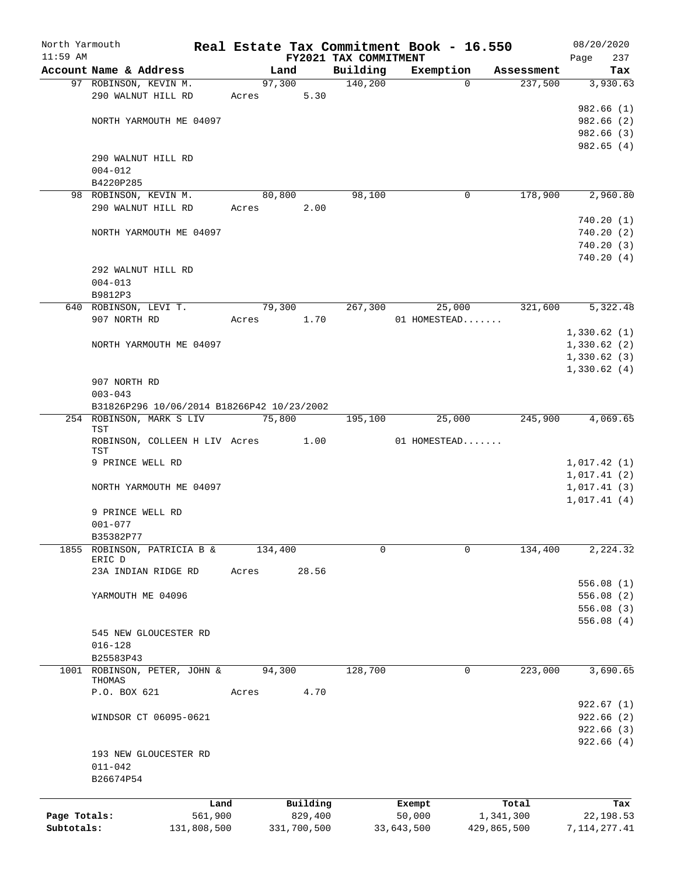| North Yarmouth |                        |                                            |         |             |                       | Real Estate Tax Commitment Book - 16.550 |             | 08/20/2020     |
|----------------|------------------------|--------------------------------------------|---------|-------------|-----------------------|------------------------------------------|-------------|----------------|
| $11:59$ AM     |                        |                                            |         |             | FY2021 TAX COMMITMENT |                                          |             | 237<br>Page    |
|                | Account Name & Address |                                            |         | Land        | Building              | Exemption                                | Assessment  | Tax            |
|                | 97 ROBINSON, KEVIN M.  |                                            |         | 97,300      | 140,200               | $\Omega$                                 | 237,500     | 3,930.63       |
|                | 290 WALNUT HILL RD     |                                            | Acres   | 5.30        |                       |                                          |             |                |
|                |                        |                                            |         |             |                       |                                          |             | 982.66(1)      |
|                |                        | NORTH YARMOUTH ME 04097                    |         |             |                       |                                          |             | 982.66(2)      |
|                |                        |                                            |         |             |                       |                                          |             | 982.66 (3)     |
|                |                        |                                            |         |             |                       |                                          |             | 982.65(4)      |
|                | 290 WALNUT HILL RD     |                                            |         |             |                       |                                          |             |                |
|                | $004 - 012$            |                                            |         |             |                       |                                          |             |                |
|                | B4220P285              |                                            |         |             |                       |                                          |             |                |
|                | 98 ROBINSON, KEVIN M.  |                                            |         | 80,800      | 98,100                | 0                                        | 178,900     | 2,960.80       |
|                | 290 WALNUT HILL RD     |                                            | Acres   | 2.00        |                       |                                          |             |                |
|                |                        |                                            |         |             |                       |                                          |             | 740.20(1)      |
|                |                        | NORTH YARMOUTH ME 04097                    |         |             |                       |                                          |             | 740.20(2)      |
|                |                        |                                            |         |             |                       |                                          |             | 740.20(3)      |
|                |                        |                                            |         |             |                       |                                          |             | 740.20(4)      |
|                | 292 WALNUT HILL RD     |                                            |         |             |                       |                                          |             |                |
|                | $004 - 013$            |                                            |         |             |                       |                                          |             |                |
|                | B9812P3                |                                            |         |             |                       |                                          |             |                |
|                | 640 ROBINSON, LEVI T.  |                                            |         | 79,300      | 267,300               | 25,000                                   | 321,600     | 5,322.48       |
|                | 907 NORTH RD           |                                            | Acres   | 1.70        |                       | 01 HOMESTEAD                             |             |                |
|                |                        |                                            |         |             |                       |                                          |             | 1,330.62(1)    |
|                |                        | NORTH YARMOUTH ME 04097                    |         |             |                       |                                          |             | 1,330.62(2)    |
|                |                        |                                            |         |             |                       |                                          |             | 1,330.62(3)    |
|                |                        |                                            |         |             |                       |                                          |             | 1,330.62(4)    |
|                | 907 NORTH RD           |                                            |         |             |                       |                                          |             |                |
|                | $003 - 043$            |                                            |         |             |                       |                                          |             |                |
|                |                        | B31826P296 10/06/2014 B18266P42 10/23/2002 |         |             |                       |                                          |             |                |
|                |                        | 254 ROBINSON, MARK S LIV                   | 75,800  |             | 195,100               | 25,000                                   | 245,900     | 4,069.65       |
|                | TST                    |                                            |         |             |                       |                                          |             |                |
|                |                        | ROBINSON, COLLEEN H LIV Acres 1.00         |         |             |                       | 01 HOMESTEAD                             |             |                |
|                | TST                    |                                            |         |             |                       |                                          |             |                |
|                | 9 PRINCE WELL RD       |                                            |         |             |                       |                                          |             | 1,017.42(1)    |
|                |                        |                                            |         |             |                       |                                          |             | 1,017.41(2)    |
|                |                        | NORTH YARMOUTH ME 04097                    |         |             |                       |                                          |             | 1,017.41(3)    |
|                |                        |                                            |         |             |                       |                                          |             | 1,017.41(4)    |
|                | 9 PRINCE WELL RD       |                                            |         |             |                       |                                          |             |                |
|                | $001 - 077$            |                                            |         |             |                       |                                          |             |                |
|                | B35382P77              |                                            |         |             |                       |                                          |             |                |
| 1855           |                        | ROBINSON, PATRICIA B &                     | 134,400 |             | 0                     | 0                                        | 134,400     | 2, 224.32      |
|                | ERIC D                 |                                            |         |             |                       |                                          |             |                |
|                |                        | 23A INDIAN RIDGE RD                        | Acres   | 28.56       |                       |                                          |             |                |
|                |                        |                                            |         |             |                       |                                          |             | 556.08(1)      |
|                | YARMOUTH ME 04096      |                                            |         |             |                       |                                          |             | 556.08(2)      |
|                |                        |                                            |         |             |                       |                                          |             | 556.08(3)      |
|                |                        |                                            |         |             |                       |                                          |             | 556.08(4)      |
|                |                        | 545 NEW GLOUCESTER RD                      |         |             |                       |                                          |             |                |
|                | $016 - 128$            |                                            |         |             |                       |                                          |             |                |
|                | B25583P43              |                                            |         |             |                       |                                          |             |                |
|                |                        | 1001 ROBINSON, PETER, JOHN &               | 94,300  |             | 128,700               | 0                                        | 223,000     | 3,690.65       |
|                | THOMAS                 |                                            |         |             |                       |                                          |             |                |
|                | P.O. BOX 621           |                                            | Acres   | 4.70        |                       |                                          |             |                |
|                |                        |                                            |         |             |                       |                                          |             | 922.67(1)      |
|                |                        | WINDSOR CT 06095-0621                      |         |             |                       |                                          |             | 922.66(2)      |
|                |                        |                                            |         |             |                       |                                          |             | 922.66(3)      |
|                |                        |                                            |         |             |                       |                                          |             | 922.66(4)      |
|                |                        | 193 NEW GLOUCESTER RD                      |         |             |                       |                                          |             |                |
|                | $011 - 042$            |                                            |         |             |                       |                                          |             |                |
|                | B26674P54              |                                            |         |             |                       |                                          |             |                |
|                |                        |                                            |         |             |                       |                                          |             |                |
|                |                        | Land                                       |         | Building    |                       | Exempt                                   | Total       | Tax            |
| Page Totals:   |                        | 561,900                                    |         | 829,400     |                       | 50,000                                   | 1,341,300   | 22, 198.53     |
| Subtotals:     |                        | 131,808,500                                |         | 331,700,500 |                       | 33,643,500                               | 429,865,500 | 7, 114, 277.41 |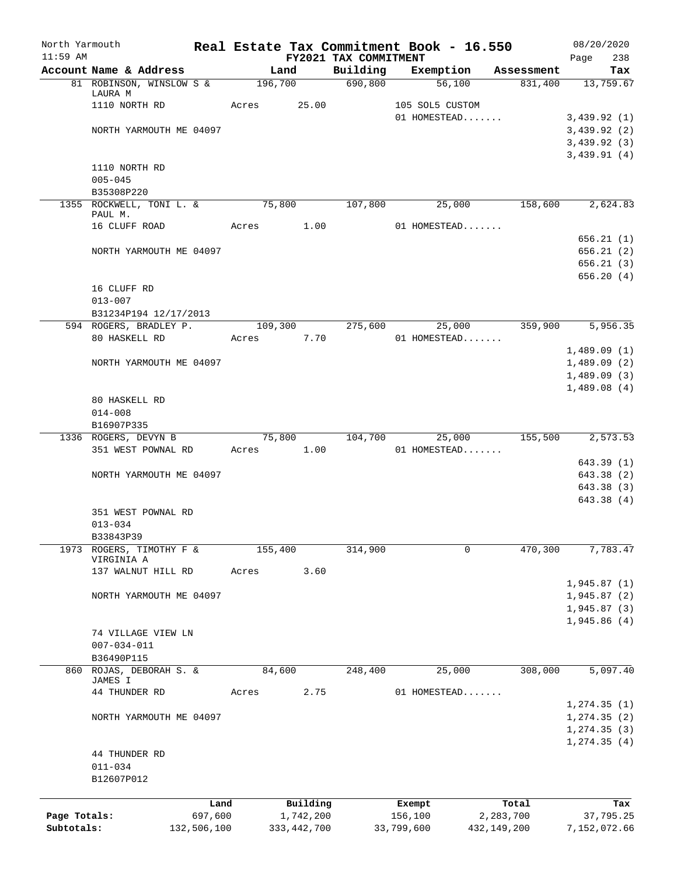| North Yarmouth |                                            |         |            |               |                                   | Real Estate Tax Commitment Book - 16.550          |                   | 08/20/2020                 |
|----------------|--------------------------------------------|---------|------------|---------------|-----------------------------------|---------------------------------------------------|-------------------|----------------------------|
| $11:59$ AM     | Account Name & Address                     |         |            | Land          | FY2021 TAX COMMITMENT<br>Building | Exemption                                         | Assessment        | Page<br>238<br>Tax         |
|                | 81 ROBINSON, WINSLOW S & 196,700 690,800   |         |            |               |                                   | 56,100                                            | 831,400 13,759.67 |                            |
|                | LAURA M                                    |         |            |               |                                   |                                                   |                   |                            |
|                | 1110 NORTH RD                              |         | Acres      | 25.00         |                                   | 105 SOL5 CUSTOM                                   |                   |                            |
|                | NORTH YARMOUTH ME 04097                    |         |            |               |                                   | 01 HOMESTEAD                                      |                   | 3,439.92(1)<br>3,439.92(2) |
|                |                                            |         |            |               |                                   |                                                   |                   | 3,439.92(3)                |
|                |                                            |         |            |               |                                   |                                                   |                   | 3,439.91(4)                |
|                | 1110 NORTH RD                              |         |            |               |                                   |                                                   |                   |                            |
|                | $005 - 045$                                |         |            |               |                                   |                                                   |                   |                            |
|                | B35308P220                                 |         |            |               |                                   |                                                   |                   |                            |
|                | 1355 ROCKWELL, TONI L. & 75,800<br>PAUL M. |         |            |               | 107,800                           | 25,000                                            | 158,600           | 2,624.83                   |
|                | 16 CLUFF ROAD                              |         | Acres 1.00 |               |                                   | $01$ HOMESTEAD                                    |                   |                            |
|                |                                            |         |            |               |                                   |                                                   |                   | 656.21(1)                  |
|                | NORTH YARMOUTH ME 04097                    |         |            |               |                                   |                                                   |                   | 656.21(2)                  |
|                |                                            |         |            |               |                                   |                                                   |                   | 656.21(3)                  |
|                | 16 CLUFF RD                                |         |            |               |                                   |                                                   |                   | 656.20(4)                  |
|                | $013 - 007$                                |         |            |               |                                   |                                                   |                   |                            |
|                | B31234P194 12/17/2013                      |         |            |               |                                   |                                                   |                   |                            |
|                | 594 ROGERS, BRADLEY P.                     |         |            |               |                                   | $109,300$ $275,600$ $25,000$ $359,900$ $5,956.35$ |                   |                            |
|                | 80 HASKELL RD                              |         | Acres 7.70 |               |                                   | 01 HOMESTEAD                                      |                   |                            |
|                |                                            |         |            |               |                                   |                                                   |                   | 1,489.09(1)                |
|                | NORTH YARMOUTH ME 04097                    |         |            |               |                                   |                                                   |                   | 1,489.09(2)<br>1,489.09(3) |
|                |                                            |         |            |               |                                   |                                                   |                   | 1,489.08(4)                |
|                | 80 HASKELL RD                              |         |            |               |                                   |                                                   |                   |                            |
|                | $014 - 008$                                |         |            |               |                                   |                                                   |                   |                            |
|                | B16907P335                                 |         |            |               |                                   |                                                   |                   |                            |
|                | 1336 ROGERS, DEVYN B                       |         |            | 75,800        |                                   | $104,700$ 25,000                                  | 155,500           | 2,573.53                   |
|                | 351 WEST POWNAL RD                         |         | Acres 1.00 |               |                                   | $01$ HOMESTEAD                                    |                   | 643.39(1)                  |
|                | NORTH YARMOUTH ME 04097                    |         |            |               |                                   |                                                   |                   | 643.38 (2)                 |
|                |                                            |         |            |               |                                   |                                                   |                   | 643.38 (3)                 |
|                |                                            |         |            |               |                                   |                                                   |                   | 643.38(4)                  |
|                | 351 WEST POWNAL RD                         |         |            |               |                                   |                                                   |                   |                            |
|                | $013 - 034$                                |         |            |               |                                   |                                                   |                   |                            |
| 1973           | B33843P39<br>ROGERS, TIMOTHY F &           |         | 155,400    |               | 314,900                           | 0                                                 | 470,300           | 7,783.47                   |
|                | VIRGINIA A                                 |         |            |               |                                   |                                                   |                   |                            |
|                | 137 WALNUT HILL RD                         |         | Acres      | 3.60          |                                   |                                                   |                   |                            |
|                |                                            |         |            |               |                                   |                                                   |                   | 1,945.87(1)                |
|                | NORTH YARMOUTH ME 04097                    |         |            |               |                                   |                                                   |                   | 1,945.87(2)                |
|                |                                            |         |            |               |                                   |                                                   |                   | 1,945.87(3)<br>1,945.86(4) |
|                | 74 VILLAGE VIEW LN                         |         |            |               |                                   |                                                   |                   |                            |
|                | $007 - 034 - 011$                          |         |            |               |                                   |                                                   |                   |                            |
|                | B36490P115                                 |         |            |               |                                   |                                                   |                   |                            |
| 860            | ROJAS, DEBORAH S. &                        |         | 84,600     |               | 248,400                           | 25,000                                            | 308,000           | 5,097.40                   |
|                | JAMES I<br>44 THUNDER RD                   |         | Acres      | 2.75          |                                   | 01 HOMESTEAD                                      |                   |                            |
|                |                                            |         |            |               |                                   |                                                   |                   | 1, 274.35(1)               |
|                | NORTH YARMOUTH ME 04097                    |         |            |               |                                   |                                                   |                   | 1, 274.35(2)               |
|                |                                            |         |            |               |                                   |                                                   |                   | 1, 274.35(3)               |
|                |                                            |         |            |               |                                   |                                                   |                   | 1, 274.35(4)               |
|                | 44 THUNDER RD<br>$011 - 034$               |         |            |               |                                   |                                                   |                   |                            |
|                | B12607P012                                 |         |            |               |                                   |                                                   |                   |                            |
|                |                                            |         |            |               |                                   |                                                   |                   |                            |
|                |                                            | Land    |            | Building      |                                   | Exempt                                            | Total             | Tax                        |
| Page Totals:   |                                            | 697,600 |            | 1,742,200     |                                   | 156,100                                           | 2,283,700         | 37,795.25                  |
| Subtotals:     | 132,506,100                                |         |            | 333, 442, 700 |                                   | 33,799,600                                        | 432,149,200       | 7,152,072.66               |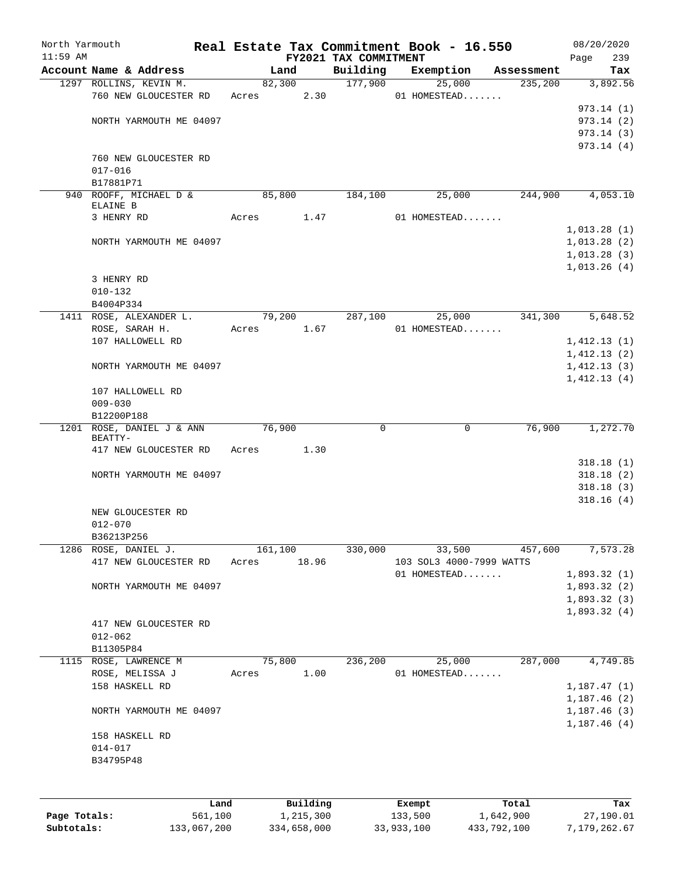| North Yarmouth |                                 |       |           |                                   | Real Estate Tax Commitment Book - 16.550 |            | 08/20/2020         |
|----------------|---------------------------------|-------|-----------|-----------------------------------|------------------------------------------|------------|--------------------|
| $11:59$ AM     | Account Name & Address          |       | Land      | FY2021 TAX COMMITMENT<br>Building | Exemption                                | Assessment | 239<br>Page<br>Tax |
|                | 1297 ROLLINS, KEVIN M.          |       | 82,300    | 177,900                           | 25,000                                   | 235,200    | 3,892.56           |
|                | 760 NEW GLOUCESTER RD           | Acres | 2.30      |                                   | 01 HOMESTEAD                             |            |                    |
|                |                                 |       |           |                                   |                                          |            | 973.14(1)          |
|                | NORTH YARMOUTH ME 04097         |       |           |                                   |                                          |            | 973.14(2)          |
|                |                                 |       |           |                                   |                                          |            | 973.14(3)          |
|                |                                 |       |           |                                   |                                          |            | 973.14(4)          |
|                | 760 NEW GLOUCESTER RD           |       |           |                                   |                                          |            |                    |
|                | $017 - 016$                     |       |           |                                   |                                          |            |                    |
|                | B17881P71                       |       |           |                                   |                                          |            |                    |
|                | 940 ROOFF, MICHAEL D &          |       | 85,800    | 184,100                           | 25,000                                   | 244,900    | 4,053.10           |
|                | ELAINE B                        |       |           |                                   |                                          |            |                    |
|                | 3 HENRY RD                      | Acres | 1.47      |                                   | 01 HOMESTEAD                             |            |                    |
|                |                                 |       |           |                                   |                                          |            | 1,013.28(1)        |
|                | NORTH YARMOUTH ME 04097         |       |           |                                   |                                          |            | 1,013.28(2)        |
|                |                                 |       |           |                                   |                                          |            | 1,013.28(3)        |
|                |                                 |       |           |                                   |                                          |            | 1,013.26(4)        |
|                | 3 HENRY RD                      |       |           |                                   |                                          |            |                    |
|                | $010 - 132$                     |       |           |                                   |                                          |            |                    |
|                | B4004P334                       |       |           |                                   |                                          |            |                    |
|                | 1411 ROSE, ALEXANDER L.         |       | 79,200    | 287,100                           | 25,000                                   | 341,300    | 5,648.52           |
|                | ROSE, SARAH H.                  | Acres | 1.67      |                                   | 01 HOMESTEAD                             |            |                    |
|                | 107 HALLOWELL RD                |       |           |                                   |                                          |            | 1,412.13(1)        |
|                |                                 |       |           |                                   |                                          |            | 1,412.13(2)        |
|                | NORTH YARMOUTH ME 04097         |       |           |                                   |                                          |            | 1,412.13(3)        |
|                |                                 |       |           |                                   |                                          |            | 1,412.13(4)        |
|                | 107 HALLOWELL RD<br>$009 - 030$ |       |           |                                   |                                          |            |                    |
|                | B12200P188                      |       |           |                                   |                                          |            |                    |
| 1201           | ROSE, DANIEL J & ANN            |       | 76,900    | 0                                 | 0                                        | 76,900     | 1,272.70           |
|                | BEATTY-                         |       |           |                                   |                                          |            |                    |
|                | 417 NEW GLOUCESTER RD           | Acres | 1.30      |                                   |                                          |            |                    |
|                |                                 |       |           |                                   |                                          |            | 318.18(1)          |
|                | NORTH YARMOUTH ME 04097         |       |           |                                   |                                          |            | 318.18(2)          |
|                |                                 |       |           |                                   |                                          |            | 318.18(3)          |
|                |                                 |       |           |                                   |                                          |            | 318.16(4)          |
|                | NEW GLOUCESTER RD               |       |           |                                   |                                          |            |                    |
|                | $012 - 070$                     |       |           |                                   |                                          |            |                    |
|                | B36213P256                      |       |           |                                   |                                          |            |                    |
| 1286           | ROSE, DANIEL J.                 |       | 161,100   | 330,000                           | 33,500                                   | 457,600    | 7,573.28           |
|                | 417 NEW GLOUCESTER RD           | Acres | 18.96     |                                   | 103 SOL3 4000-7999 WATTS                 |            |                    |
|                |                                 |       |           |                                   | 01 HOMESTEAD                             |            | 1,893.32(1)        |
|                | NORTH YARMOUTH ME 04097         |       |           |                                   |                                          |            | 1,893.32(2)        |
|                |                                 |       |           |                                   |                                          |            | 1,893.32(3)        |
|                |                                 |       |           |                                   |                                          |            | 1,893.32(4)        |
|                | 417 NEW GLOUCESTER RD           |       |           |                                   |                                          |            |                    |
|                | $012 - 062$<br>B11305P84        |       |           |                                   |                                          |            |                    |
|                | 1115 ROSE, LAWRENCE M           |       | 75,800    | 236,200                           | 25,000                                   | 287,000    | 4,749.85           |
|                | ROSE, MELISSA J                 | Acres | 1.00      |                                   | 01 HOMESTEAD                             |            |                    |
|                | 158 HASKELL RD                  |       |           |                                   |                                          |            | 1, 187.47(1)       |
|                |                                 |       |           |                                   |                                          |            | 1,187.46 (2)       |
|                | NORTH YARMOUTH ME 04097         |       |           |                                   |                                          |            | 1,187.46(3)        |
|                |                                 |       |           |                                   |                                          |            | 1,187.46(4)        |
|                | 158 HASKELL RD                  |       |           |                                   |                                          |            |                    |
|                | $014 - 017$                     |       |           |                                   |                                          |            |                    |
|                | B34795P48                       |       |           |                                   |                                          |            |                    |
|                |                                 |       |           |                                   |                                          |            |                    |
|                |                                 |       |           |                                   |                                          |            |                    |
|                | Land                            |       | Building  |                                   |                                          | Total      | Tax                |
| Page Totals:   | 561,100                         |       | 1,215,300 |                                   | Exempt<br>133,500                        | 1,642,900  | 27,190.01          |
|                |                                 |       |           |                                   |                                          |            |                    |

**Subtotals:** 133,067,200 334,658,000 33,933,100 433,792,100 7,179,262.67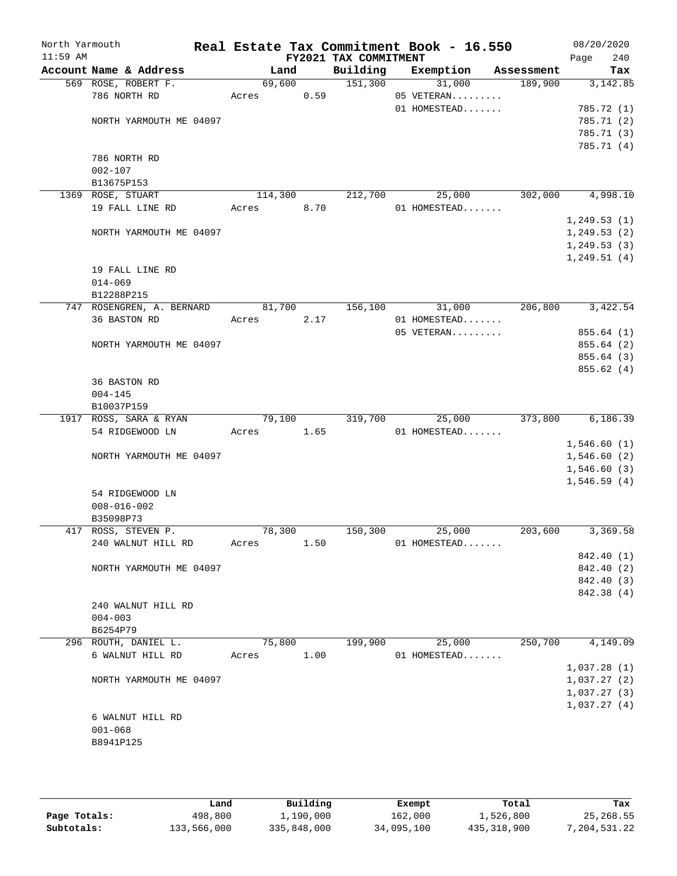| North Yarmouth |                                     |                     |        | Real Estate Tax Commitment Book - 16.550 |                      |            | 08/20/2020   |
|----------------|-------------------------------------|---------------------|--------|------------------------------------------|----------------------|------------|--------------|
| $11:59$ AM     |                                     |                     |        | FY2021 TAX COMMITMENT                    |                      |            | 240<br>Page  |
|                | Account Name & Address              | Land                |        | Building                                 | Exemption            | Assessment | Tax          |
|                | 569 ROSE, ROBERT F.<br>786 NORTH RD | 69,600<br>Acres     |        | 151,300                                  | 31,000<br>05 VETERAN | 189,900    | 3,142.85     |
|                |                                     |                     | 0.59   |                                          | 01 HOMESTEAD         |            | 785.72 (1)   |
|                | NORTH YARMOUTH ME 04097             |                     |        |                                          |                      |            | 785.71 (2)   |
|                |                                     |                     |        |                                          |                      |            | 785.71 (3)   |
|                |                                     |                     |        |                                          |                      |            | 785.71 (4)   |
|                | 786 NORTH RD                        |                     |        |                                          |                      |            |              |
|                | $002 - 107$                         |                     |        |                                          |                      |            |              |
|                | B13675P153                          |                     |        |                                          |                      |            |              |
|                | 1369 ROSE, STUART                   | 114,300             |        | 212,700                                  | 25,000               | 302,000    | 4,998.10     |
|                | 19 FALL LINE RD                     | Acres               | 8.70   |                                          | 01 HOMESTEAD         |            |              |
|                |                                     |                     |        |                                          |                      |            | 1, 249.53(1) |
|                | NORTH YARMOUTH ME 04097             |                     |        |                                          |                      |            | 1, 249.53(2) |
|                |                                     |                     |        |                                          |                      |            | 1, 249.53(3) |
|                |                                     |                     |        |                                          |                      |            | 1, 249.51(4) |
|                | 19 FALL LINE RD                     |                     |        |                                          |                      |            |              |
|                | $014 - 069$                         |                     |        |                                          |                      |            |              |
|                | B12288P215                          |                     |        |                                          |                      |            |              |
|                | 747 ROSENGREN, A. BERNARD           | 81,700              |        | 156,100                                  | 31,000               | 206,800    | 3,422.54     |
|                | 36 BASTON RD                        | Acres               | 2.17   |                                          | 01 HOMESTEAD         |            |              |
|                |                                     |                     |        |                                          | $05$ VETERAN         |            | 855.64 (1)   |
|                | NORTH YARMOUTH ME 04097             |                     |        |                                          |                      |            | 855.64 (2)   |
|                |                                     |                     |        |                                          |                      |            | 855.64 (3)   |
|                |                                     |                     |        |                                          |                      |            | 855.62(4)    |
|                | 36 BASTON RD                        |                     |        |                                          |                      |            |              |
|                | $004 - 145$                         |                     |        |                                          |                      |            |              |
|                | B10037P159                          |                     |        |                                          |                      |            |              |
|                | 1917 ROSS, SARA & RYAN              | $\overline{79,100}$ |        | 319,700                                  | 25,000               | 373,800    | 6,186.39     |
|                | 54 RIDGEWOOD LN                     | Acres               | 1.65   |                                          | 01 HOMESTEAD         |            |              |
|                |                                     |                     |        |                                          |                      |            | 1,546.60(1)  |
|                | NORTH YARMOUTH ME 04097             |                     |        |                                          |                      |            | 1,546.60(2)  |
|                |                                     |                     |        |                                          |                      |            | 1,546.60(3)  |
|                |                                     |                     |        |                                          |                      |            | 1,546.59(4)  |
|                | 54 RIDGEWOOD LN                     |                     |        |                                          |                      |            |              |
|                | $008 - 016 - 002$                   |                     |        |                                          |                      |            |              |
|                | B35098P73                           |                     |        |                                          |                      |            |              |
|                | 417 ROSS, STEVEN P.                 | 78,300              |        | 150,300                                  | 25,000               | 203,600    | 3,369.58     |
|                | 240 WALNUT HILL RD                  | Acres               | 1.50   |                                          | 01 HOMESTEAD         |            |              |
|                |                                     |                     |        |                                          |                      |            | 842.40 (1)   |
|                | NORTH YARMOUTH ME 04097             |                     |        |                                          |                      |            | 842.40 (2)   |
|                |                                     |                     |        |                                          |                      |            | 842.40 (3)   |
|                |                                     |                     |        |                                          |                      |            | 842.38 (4)   |
|                | 240 WALNUT HILL RD                  |                     |        |                                          |                      |            |              |
|                | $004 - 003$                         |                     |        |                                          |                      |            |              |
|                | B6254P79                            |                     |        |                                          |                      |            |              |
|                | 296 ROUTH, DANIEL L.                |                     | 75,800 | 199,900                                  | 25,000               | 250,700    | 4,149.09     |
|                | 6 WALNUT HILL RD                    | Acres               | 1.00   |                                          | 01 HOMESTEAD         |            |              |
|                |                                     |                     |        |                                          |                      |            | 1,037.28(1)  |
|                | NORTH YARMOUTH ME 04097             |                     |        |                                          |                      |            | 1,037.27(2)  |
|                |                                     |                     |        |                                          |                      |            | 1,037.27(3)  |
|                |                                     |                     |        |                                          |                      |            | 1,037.27(4)  |
|                | 6 WALNUT HILL RD                    |                     |        |                                          |                      |            |              |
|                | $001 - 068$                         |                     |        |                                          |                      |            |              |
|                | B8941P125                           |                     |        |                                          |                      |            |              |
|                |                                     |                     |        |                                          |                      |            |              |
|                |                                     |                     |        |                                          |                      |            |              |

|              | Land        | Building    | Exempt     | Total       | Tax          |
|--------------|-------------|-------------|------------|-------------|--------------|
| Page Totals: | 498,800     | 1,190,000   | 162,000    | 1,526,800   | 25,268.55    |
| Subtotals:   | 133,566,000 | 335,848,000 | 34,095,100 | 435,318,900 | 7,204,531.22 |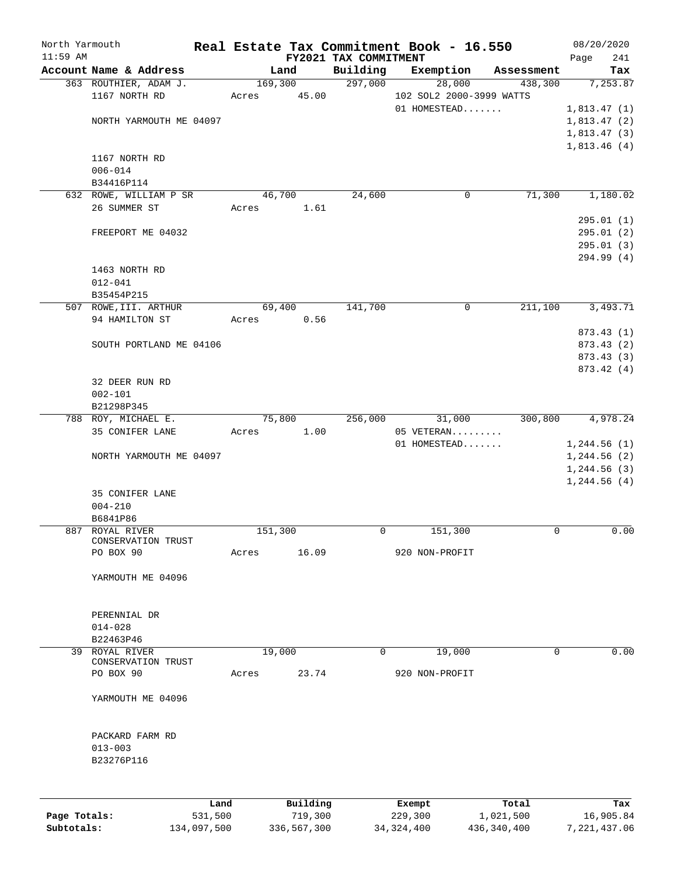| North Yarmouth |                             |                         |         |                  |                       | Real Estate Tax Commitment Book - 16.550 |               | 08/20/2020                 |
|----------------|-----------------------------|-------------------------|---------|------------------|-----------------------|------------------------------------------|---------------|----------------------------|
| $11:59$ AM     |                             |                         |         |                  | FY2021 TAX COMMITMENT |                                          |               | 241<br>Page                |
|                |                             | Account Name & Address  |         | Land             | Building<br>297,000   | Exemption                                | Assessment    | Tax                        |
|                | 1167 NORTH RD               | 363 ROUTHIER, ADAM J.   | Acres   | 169,300<br>45.00 |                       | 28,000<br>102 SOL2 2000-3999 WATTS       | 438,300       | 7,253.87                   |
|                |                             |                         |         |                  |                       | 01 HOMESTEAD                             |               | 1,813.47(1)                |
|                |                             | NORTH YARMOUTH ME 04097 |         |                  |                       |                                          |               | 1,813.47(2)                |
|                |                             |                         |         |                  |                       |                                          |               | 1,813.47(3)<br>1,813.46(4) |
|                | 1167 NORTH RD               |                         |         |                  |                       |                                          |               |                            |
|                | $006 - 014$                 |                         |         |                  |                       |                                          |               |                            |
|                | B34416P114                  |                         |         |                  |                       |                                          |               |                            |
|                |                             | 632 ROWE, WILLIAM P SR  |         | 46,700           | 24,600                | $\mathbf 0$                              | 71,300        | 1,180.02                   |
|                | 26 SUMMER ST                |                         | Acres   | 1.61             |                       |                                          |               |                            |
|                |                             |                         |         |                  |                       |                                          |               | 295.01(1)                  |
|                |                             | FREEPORT ME 04032       |         |                  |                       |                                          |               | 295.01(2)                  |
|                |                             |                         |         |                  |                       |                                          |               | 295.01(3)                  |
|                |                             |                         |         |                  |                       |                                          |               | 294.99 (4)                 |
|                | 1463 NORTH RD               |                         |         |                  |                       |                                          |               |                            |
|                | $012 - 041$                 |                         |         |                  |                       |                                          |               |                            |
|                | B35454P215                  |                         |         |                  |                       |                                          |               |                            |
|                |                             | 507 ROWE, III. ARTHUR   |         | 69,400           | 141,700               | 0                                        | 211,100       | 3,493.71                   |
|                | 94 HAMILTON ST              |                         | Acres   | 0.56             |                       |                                          |               |                            |
|                |                             | SOUTH PORTLAND ME 04106 |         |                  |                       |                                          |               | 873.43 (1)<br>873.43 (2)   |
|                |                             |                         |         |                  |                       |                                          |               | 873.43 (3)                 |
|                |                             |                         |         |                  |                       |                                          |               | 873.42 (4)                 |
|                | 32 DEER RUN RD              |                         |         |                  |                       |                                          |               |                            |
|                | $002 - 101$                 |                         |         |                  |                       |                                          |               |                            |
|                | B21298P345                  |                         |         |                  |                       |                                          |               |                            |
|                | 788 ROY, MICHAEL E.         |                         |         | 75,800           | 256,000               | 31,000                                   | 300,800       | 4,978.24                   |
|                | 35 CONIFER LANE             |                         | Acres   | 1.00             |                       | 05 VETERAN                               |               |                            |
|                |                             |                         |         |                  |                       | 01 HOMESTEAD                             |               | 1,244.56(1)                |
|                |                             | NORTH YARMOUTH ME 04097 |         |                  |                       |                                          |               | 1,244.56(2)                |
|                |                             |                         |         |                  |                       |                                          |               | 1, 244.56(3)               |
|                |                             |                         |         |                  |                       |                                          |               | 1,244.56(4)                |
|                | 35 CONIFER LANE             |                         |         |                  |                       |                                          |               |                            |
|                | $004 - 210$                 |                         |         |                  |                       |                                          |               |                            |
|                | B6841P86<br>887 ROYAL RIVER |                         | 151,300 |                  | 0                     | 151,300                                  | 0             | 0.00                       |
|                |                             | CONSERVATION TRUST      |         |                  |                       |                                          |               |                            |
|                | PO BOX 90                   |                         | Acres   | 16.09            |                       | 920 NON-PROFIT                           |               |                            |
|                |                             |                         |         |                  |                       |                                          |               |                            |
|                |                             | YARMOUTH ME 04096       |         |                  |                       |                                          |               |                            |
|                |                             |                         |         |                  |                       |                                          |               |                            |
|                |                             |                         |         |                  |                       |                                          |               |                            |
|                | PERENNIAL DR                |                         |         |                  |                       |                                          |               |                            |
|                | $014 - 028$                 |                         |         |                  |                       |                                          |               |                            |
|                | B22463P46                   |                         |         |                  |                       |                                          |               |                            |
|                | 39 ROYAL RIVER              | CONSERVATION TRUST      |         | 19,000           | $\mathbf 0$           | 19,000                                   | 0             | 0.00                       |
|                | PO BOX 90                   |                         | Acres   | 23.74            |                       | 920 NON-PROFIT                           |               |                            |
|                |                             |                         |         |                  |                       |                                          |               |                            |
|                |                             | YARMOUTH ME 04096       |         |                  |                       |                                          |               |                            |
|                |                             |                         |         |                  |                       |                                          |               |                            |
|                |                             |                         |         |                  |                       |                                          |               |                            |
|                | PACKARD FARM RD             |                         |         |                  |                       |                                          |               |                            |
|                | $013 - 003$                 |                         |         |                  |                       |                                          |               |                            |
|                | B23276P116                  |                         |         |                  |                       |                                          |               |                            |
|                |                             |                         |         |                  |                       |                                          |               |                            |
|                |                             |                         |         |                  |                       |                                          |               |                            |
|                |                             | Land                    |         | Building         |                       | Exempt                                   | Total         | Tax                        |
| Page Totals:   |                             | 531,500                 |         | 719,300          |                       | 229,300                                  | 1,021,500     | 16,905.84                  |
| Subtotals:     |                             | 134,097,500             |         | 336,567,300      |                       | 34, 324, 400                             | 436, 340, 400 | 7,221,437.06               |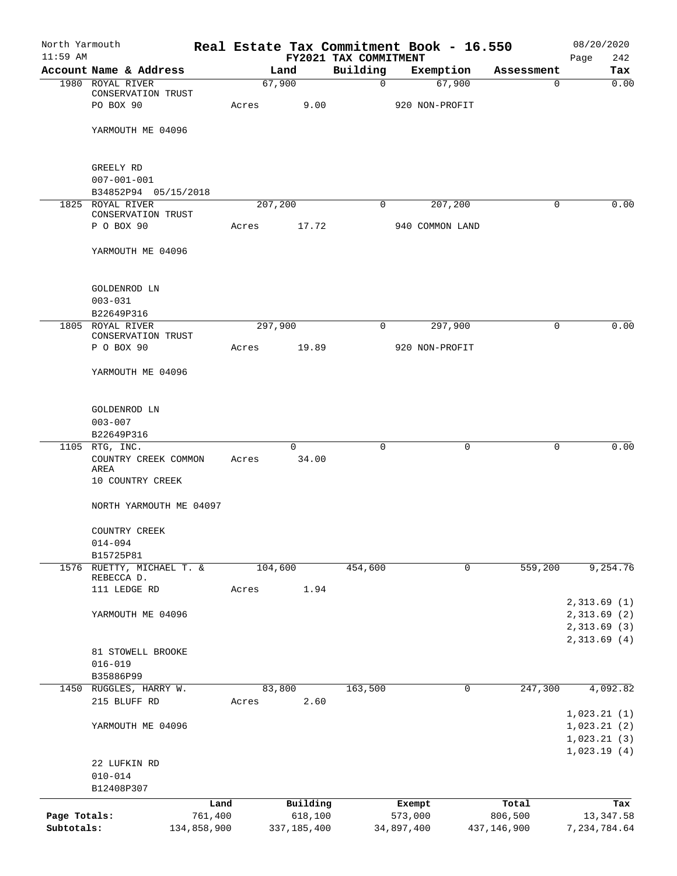| North Yarmouth |                                         |             |       |                   | Real Estate Tax Commitment Book - 16.550 |                 |             |             | 08/20/2020         |
|----------------|-----------------------------------------|-------------|-------|-------------------|------------------------------------------|-----------------|-------------|-------------|--------------------|
| $11:59$ AM     | Account Name & Address                  |             |       | Land              | FY2021 TAX COMMITMENT<br>Building        | Exemption       |             | Assessment  | 242<br>Page<br>Tax |
|                | 1980 ROYAL RIVER                        |             |       | 67,900            | $\mathbf 0$                              |                 | 67,900      | 0           | 0.00               |
|                | CONSERVATION TRUST                      |             |       |                   |                                          |                 |             |             |                    |
|                | PO BOX 90                               |             | Acres | 9.00              |                                          | 920 NON-PROFIT  |             |             |                    |
|                |                                         |             |       |                   |                                          |                 |             |             |                    |
|                | YARMOUTH ME 04096                       |             |       |                   |                                          |                 |             |             |                    |
|                | GREELY RD                               |             |       |                   |                                          |                 |             |             |                    |
|                | $007 - 001 - 001$                       |             |       |                   |                                          |                 |             |             |                    |
|                | B34852P94 05/15/2018                    |             |       |                   |                                          |                 |             |             |                    |
|                | 1825 ROYAL RIVER                        |             |       | 207,200           | 0                                        |                 | 207,200     | 0           | 0.00               |
|                | CONSERVATION TRUST<br>P O BOX 90        |             | Acres | 17.72             |                                          | 940 COMMON LAND |             |             |                    |
|                |                                         |             |       |                   |                                          |                 |             |             |                    |
|                | YARMOUTH ME 04096                       |             |       |                   |                                          |                 |             |             |                    |
|                | GOLDENROD LN                            |             |       |                   |                                          |                 |             |             |                    |
|                | $003 - 031$                             |             |       |                   |                                          |                 |             |             |                    |
|                | B22649P316                              |             |       |                   |                                          |                 |             |             |                    |
|                | 1805 ROYAL RIVER                        |             |       | 297,900           | $\mathbf 0$                              |                 | 297,900     | 0           | 0.00               |
|                | CONSERVATION TRUST                      |             |       |                   |                                          |                 |             |             |                    |
|                | P O BOX 90                              |             | Acres | 19.89             |                                          | 920 NON-PROFIT  |             |             |                    |
|                | YARMOUTH ME 04096                       |             |       |                   |                                          |                 |             |             |                    |
|                |                                         |             |       |                   |                                          |                 |             |             |                    |
|                | GOLDENROD LN                            |             |       |                   |                                          |                 |             |             |                    |
|                | $003 - 007$                             |             |       |                   |                                          |                 |             |             |                    |
|                | B22649P316                              |             |       |                   |                                          |                 |             |             |                    |
|                | 1105 RTG, INC.<br>COUNTRY CREEK COMMON  |             | Acres | $\Omega$<br>34.00 | 0                                        |                 | 0           | 0           | 0.00               |
|                | AREA<br>10 COUNTRY CREEK                |             |       |                   |                                          |                 |             |             |                    |
|                | NORTH YARMOUTH ME 04097                 |             |       |                   |                                          |                 |             |             |                    |
|                |                                         |             |       |                   |                                          |                 |             |             |                    |
|                | COUNTRY CREEK                           |             |       |                   |                                          |                 |             |             |                    |
|                | $014 - 094$                             |             |       |                   |                                          |                 |             |             |                    |
|                | B15725P81                               |             |       |                   |                                          |                 | $\mathbf 0$ |             | 9,254.76           |
|                | 1576 RUETTY, MICHAEL T. &<br>REBECCA D. |             |       | 104,600           | 454,600                                  |                 |             | 559,200     |                    |
|                | 111 LEDGE RD                            |             | Acres | 1.94              |                                          |                 |             |             |                    |
|                |                                         |             |       |                   |                                          |                 |             |             | 2,313.69(1)        |
|                | YARMOUTH ME 04096                       |             |       |                   |                                          |                 |             |             | 2,313.69 (2)       |
|                |                                         |             |       |                   |                                          |                 |             |             | 2,313.69 (3)       |
|                |                                         |             |       |                   |                                          |                 |             |             | 2,313.69(4)        |
|                | 81 STOWELL BROOKE                       |             |       |                   |                                          |                 |             |             |                    |
|                | $016 - 019$<br>B35886P99                |             |       |                   |                                          |                 |             |             |                    |
|                | 1450 RUGGLES, HARRY W.                  |             |       | 83,800            | 163,500                                  |                 | $\mathbf 0$ | 247,300     | 4,092.82           |
|                | 215 BLUFF RD                            |             | Acres | 2.60              |                                          |                 |             |             |                    |
|                |                                         |             |       |                   |                                          |                 |             |             | 1,023.21(1)        |
|                | YARMOUTH ME 04096                       |             |       |                   |                                          |                 |             |             | 1,023.21(2)        |
|                |                                         |             |       |                   |                                          |                 |             |             | 1,023.21(3)        |
|                |                                         |             |       |                   |                                          |                 |             |             | 1,023.19(4)        |
|                | 22 LUFKIN RD                            |             |       |                   |                                          |                 |             |             |                    |
|                | $010 - 014$                             |             |       |                   |                                          |                 |             |             |                    |
|                | B12408P307                              |             |       |                   |                                          |                 |             |             |                    |
|                |                                         | Land        |       | Building          |                                          | Exempt          |             | Total       | Tax                |
| Page Totals:   |                                         | 761,400     |       | 618,100           |                                          | 573,000         |             | 806,500     | 13, 347.58         |
| Subtotals:     |                                         | 134,858,900 |       | 337,185,400       |                                          | 34,897,400      |             | 437,146,900 | 7,234,784.64       |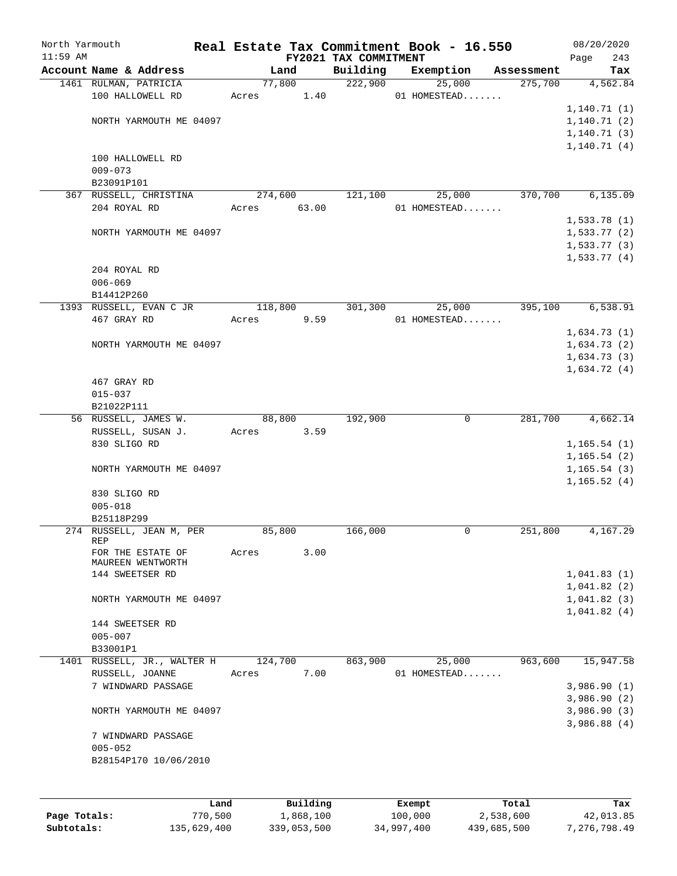| North Yarmouth |                          | Real Estate Tax Commitment Book - 16.550 |                                   |              |            | 08/20/2020      |
|----------------|--------------------------|------------------------------------------|-----------------------------------|--------------|------------|-----------------|
| $11:59$ AM     | Account Name & Address   | Land                                     | FY2021 TAX COMMITMENT<br>Building | Exemption    | Assessment | 243<br>Page     |
|                | 1461 RULMAN, PATRICIA    | 77,800                                   | 222,900                           | 25,000       | 275,700    | Tax<br>4,562.84 |
|                | 100 HALLOWELL RD         | Acres 1.40                               |                                   | 01 HOMESTEAD |            |                 |
|                |                          |                                          |                                   |              |            |                 |
|                |                          |                                          |                                   |              |            | 1, 140.71(1)    |
|                | NORTH YARMOUTH ME 04097  |                                          |                                   |              |            | 1, 140.71(2)    |
|                |                          |                                          |                                   |              |            | 1, 140.71(3)    |
|                |                          |                                          |                                   |              |            | 1, 140.71(4)    |
|                | 100 HALLOWELL RD         |                                          |                                   |              |            |                 |
|                | $009 - 073$              |                                          |                                   |              |            |                 |
|                | B23091P101               |                                          |                                   |              |            |                 |
|                | 367 RUSSELL, CHRISTINA   | 274,600                                  | 121,100                           | 25,000       | 370,700    | 6, 135.09       |
|                | 204 ROYAL RD             | 63.00<br>Acres                           |                                   | 01 HOMESTEAD |            |                 |
|                |                          |                                          |                                   |              |            | 1,533.78(1)     |
|                | NORTH YARMOUTH ME 04097  |                                          |                                   |              |            | 1,533.77(2)     |
|                |                          |                                          |                                   |              |            | 1,533.77(3)     |
|                |                          |                                          |                                   |              |            | 1,533.77(4)     |
|                | 204 ROYAL RD             |                                          |                                   |              |            |                 |
|                | $006 - 069$              |                                          |                                   |              |            |                 |
|                | B14412P260               |                                          |                                   |              |            |                 |
|                | 1393 RUSSELL, EVAN C JR  | 118,800                                  | 301,300                           | 25,000       | 395,100    | 6,538.91        |
|                | 467 GRAY RD              | 9.59<br>Acres                            |                                   | 01 HOMESTEAD |            |                 |
|                |                          |                                          |                                   |              |            | 1,634.73(1)     |
|                | NORTH YARMOUTH ME 04097  |                                          |                                   |              |            | 1,634.73(2)     |
|                |                          |                                          |                                   |              |            | 1,634.73(3)     |
|                |                          |                                          |                                   |              |            | 1,634.72(4)     |
|                | 467 GRAY RD              |                                          |                                   |              |            |                 |
|                | $015 - 037$              |                                          |                                   |              |            |                 |
|                | B21022P111               |                                          |                                   |              |            |                 |
|                | 56 RUSSELL, JAMES W.     | 88,800                                   | 192,900                           | $\mathbf 0$  | 281,700    | 4,662.14        |
|                | RUSSELL, SUSAN J.        | 3.59<br>Acres                            |                                   |              |            |                 |
|                | 830 SLIGO RD             |                                          |                                   |              |            | 1, 165.54(1)    |
|                |                          |                                          |                                   |              |            | 1, 165.54(2)    |
|                | NORTH YARMOUTH ME 04097  |                                          |                                   |              |            | 1, 165.54(3)    |
|                |                          |                                          |                                   |              |            | 1, 165.52(4)    |
|                | 830 SLIGO RD             |                                          |                                   |              |            |                 |
|                | $005 - 018$              |                                          |                                   |              |            |                 |
|                | B25118P299               |                                          |                                   |              |            |                 |
|                | 274 RUSSELL, JEAN M, PER | 85,800                                   | 166,000                           | 0            | 251,800    | 4,167.29        |
|                | REP                      |                                          |                                   |              |            |                 |
|                | FOR THE ESTATE OF        | 3.00<br>Acres                            |                                   |              |            |                 |
|                | MAUREEN WENTWORTH        |                                          |                                   |              |            |                 |
|                | 144 SWEETSER RD          |                                          |                                   |              |            | 1,041.83(1)     |
|                |                          |                                          |                                   |              |            | 1,041.82(2)     |
|                | NORTH YARMOUTH ME 04097  |                                          |                                   |              |            | 1,041.82(3)     |
|                |                          |                                          |                                   |              |            | 1,041.82(4)     |
|                | 144 SWEETSER RD          |                                          |                                   |              |            |                 |
|                | $005 - 007$              |                                          |                                   |              |            |                 |
|                | B33001P1                 |                                          |                                   |              |            |                 |
| 1401           | RUSSELL, JR., WALTER H   | 124,700                                  | 863,900                           | 25,000       | 963,600    | 15,947.58       |
|                | RUSSELL, JOANNE          | 7.00<br>Acres                            |                                   | 01 HOMESTEAD |            |                 |
|                | 7 WINDWARD PASSAGE       |                                          |                                   |              |            | 3,986.90(1)     |
|                |                          |                                          |                                   |              |            | 3,986.90(2)     |
|                | NORTH YARMOUTH ME 04097  |                                          |                                   |              |            | 3,986.90(3)     |
|                |                          |                                          |                                   |              |            | 3,986.88(4)     |
|                | 7 WINDWARD PASSAGE       |                                          |                                   |              |            |                 |
|                | $005 - 052$              |                                          |                                   |              |            |                 |
|                | B28154P170 10/06/2010    |                                          |                                   |              |            |                 |
|                |                          |                                          |                                   |              |            |                 |
|                |                          |                                          |                                   |              |            |                 |
|                |                          |                                          |                                   |              |            |                 |
|                | Land                     | Building                                 |                                   | Exempt       | Total      | Tax             |
| Page Totals:   | 770,500                  | 1,868,100                                |                                   | 100,000      | 2,538,600  | 42,013.85       |

**Subtotals:** 135,629,400 339,053,500 34,997,400 439,685,500 7,276,798.49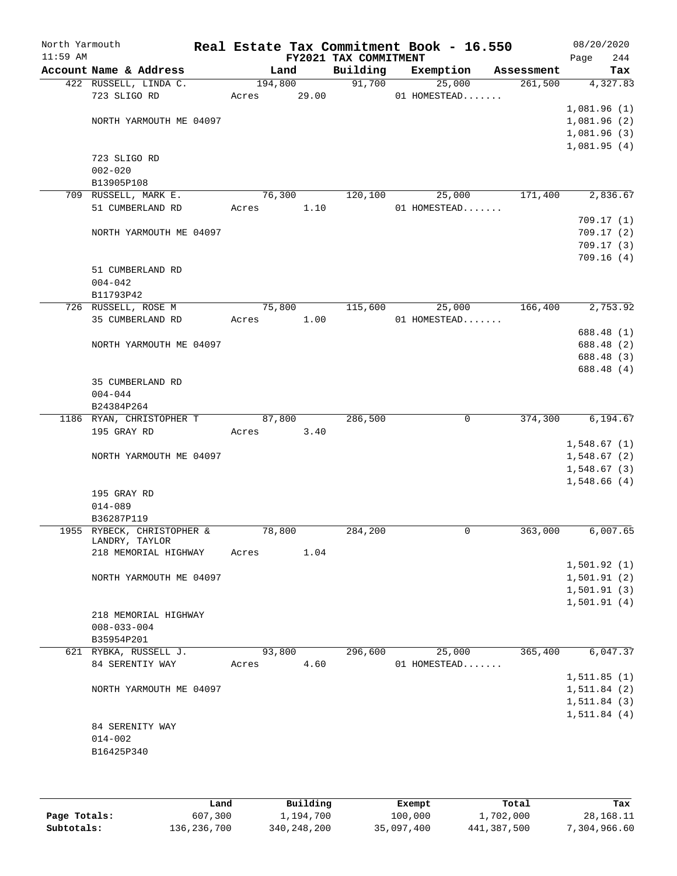| North Yarmouth<br>$11:59$ AM |                            |        |         | Real Estate Tax Commitment Book - 16.550<br>FY2021 TAX COMMITMENT |           |                |            | Page | 08/20/2020<br>244            |
|------------------------------|----------------------------|--------|---------|-------------------------------------------------------------------|-----------|----------------|------------|------|------------------------------|
|                              | Account Name & Address     |        | Land    | Building                                                          | Exemption |                | Assessment |      | Tax                          |
|                              | 422 RUSSELL, LINDA C.      |        | 194,800 | 91,700                                                            |           | 25,000         | 261,500    |      | 4,327.83                     |
|                              | 723 SLIGO RD               | Acres  | 29.00   |                                                                   |           | 01 HOMESTEAD   |            |      |                              |
|                              |                            |        |         |                                                                   |           |                |            |      | 1,081.96(1)                  |
|                              | NORTH YARMOUTH ME 04097    |        |         |                                                                   |           |                |            |      | 1,081.96(2)                  |
|                              |                            |        |         |                                                                   |           |                |            |      | 1,081.96(3)                  |
|                              |                            |        |         |                                                                   |           |                |            |      | 1,081.95(4)                  |
|                              | 723 SLIGO RD               |        |         |                                                                   |           |                |            |      |                              |
|                              | $002 - 020$                |        |         |                                                                   |           |                |            |      |                              |
|                              | B13905P108                 |        |         |                                                                   |           |                |            |      |                              |
|                              | 709 RUSSELL, MARK E.       |        | 76,300  | 120,100                                                           |           | 25,000         | 171,400    |      | 2,836.67                     |
|                              | 51 CUMBERLAND RD           | Acres  | 1.10    |                                                                   |           | 01 HOMESTEAD   |            |      |                              |
|                              |                            |        |         |                                                                   |           |                |            |      | 709.17(1)                    |
|                              | NORTH YARMOUTH ME 04097    |        |         |                                                                   |           |                |            |      | 709.17(2)<br>709.17(3)       |
|                              |                            |        |         |                                                                   |           |                |            |      | 709.16(4)                    |
|                              | 51 CUMBERLAND RD           |        |         |                                                                   |           |                |            |      |                              |
|                              | $004 - 042$                |        |         |                                                                   |           |                |            |      |                              |
|                              | B11793P42                  |        |         |                                                                   |           |                |            |      |                              |
|                              | 726 RUSSELL, ROSE M        |        | 75,800  | 115,600                                                           |           | 25,000         | 166,400    |      | 2,753.92                     |
|                              | 35 CUMBERLAND RD           | Acres  | 1.00    |                                                                   |           | 01 HOMESTEAD   |            |      |                              |
|                              |                            |        |         |                                                                   |           |                |            |      | 688.48 (1)                   |
|                              | NORTH YARMOUTH ME 04097    |        |         |                                                                   |           |                |            |      | 688.48 (2)                   |
|                              |                            |        |         |                                                                   |           |                |            |      | 688.48 (3)                   |
|                              |                            |        |         |                                                                   |           |                |            |      | 688.48 (4)                   |
|                              | 35 CUMBERLAND RD           |        |         |                                                                   |           |                |            |      |                              |
|                              | $004 - 044$                |        |         |                                                                   |           |                |            |      |                              |
|                              | B24384P264                 |        |         |                                                                   |           |                |            |      |                              |
|                              | 1186 RYAN, CHRISTOPHER T   |        | 87,800  | 286,500                                                           |           | $\overline{0}$ | 374,300    |      | 6,194.67                     |
|                              | 195 GRAY RD                | Acres  | 3.40    |                                                                   |           |                |            |      |                              |
|                              |                            |        |         |                                                                   |           |                |            |      | 1,548.67(1)                  |
|                              | NORTH YARMOUTH ME 04097    |        |         |                                                                   |           |                |            |      | 1,548.67(2)                  |
|                              |                            |        |         |                                                                   |           |                |            |      | 1,548.67(3)                  |
|                              | 195 GRAY RD                |        |         |                                                                   |           |                |            |      | 1,548.66(4)                  |
|                              | $014 - 089$                |        |         |                                                                   |           |                |            |      |                              |
|                              | B36287P119                 |        |         |                                                                   |           |                |            |      |                              |
|                              | 1955 RYBECK, CHRISTOPHER & | 78,800 |         | 284,200                                                           |           | 0              | 363,000    |      | 6,007.65                     |
|                              | LANDRY, TAYLOR             |        |         |                                                                   |           |                |            |      |                              |
|                              | 218 MEMORIAL HIGHWAY       | Acres  | 1.04    |                                                                   |           |                |            |      |                              |
|                              |                            |        |         |                                                                   |           |                |            |      | 1,501.92(1)                  |
|                              | NORTH YARMOUTH ME 04097    |        |         |                                                                   |           |                |            |      | 1,501.91(2)                  |
|                              |                            |        |         |                                                                   |           |                |            |      | 1,501.91(3)                  |
|                              |                            |        |         |                                                                   |           |                |            |      | 1,501.91(4)                  |
|                              | 218 MEMORIAL HIGHWAY       |        |         |                                                                   |           |                |            |      |                              |
|                              | $008 - 033 - 004$          |        |         |                                                                   |           |                |            |      |                              |
|                              | B35954P201                 |        |         |                                                                   |           |                |            |      |                              |
|                              | 621 RYBKA, RUSSELL J.      | 93,800 |         | 296,600                                                           |           | 25,000         | 365,400    |      | 6,047.37                     |
|                              | 84 SERENTIY WAY            | Acres  | 4.60    |                                                                   |           | 01 HOMESTEAD   |            |      |                              |
|                              | NORTH YARMOUTH ME 04097    |        |         |                                                                   |           |                |            |      | 1, 511.85(1)<br>1, 511.84(2) |
|                              |                            |        |         |                                                                   |           |                |            |      | 1, 511.84(3)                 |
|                              |                            |        |         |                                                                   |           |                |            |      | 1, 511.84(4)                 |
|                              | 84 SERENITY WAY            |        |         |                                                                   |           |                |            |      |                              |
|                              | $014 - 002$                |        |         |                                                                   |           |                |            |      |                              |
|                              | B16425P340                 |        |         |                                                                   |           |                |            |      |                              |
|                              |                            |        |         |                                                                   |           |                |            |      |                              |
|                              |                            |        |         |                                                                   |           |                |            |      |                              |

|              | Land        | Building    | Exempt     | Total       | Tax          |
|--------------|-------------|-------------|------------|-------------|--------------|
| Page Totals: | 607,300     | 1,194,700   | 100,000    | 1,702,000   | 28,168.11    |
| Subtotals:   | 136,236,700 | 340,248,200 | 35,097,400 | 441,387,500 | 7,304,966.60 |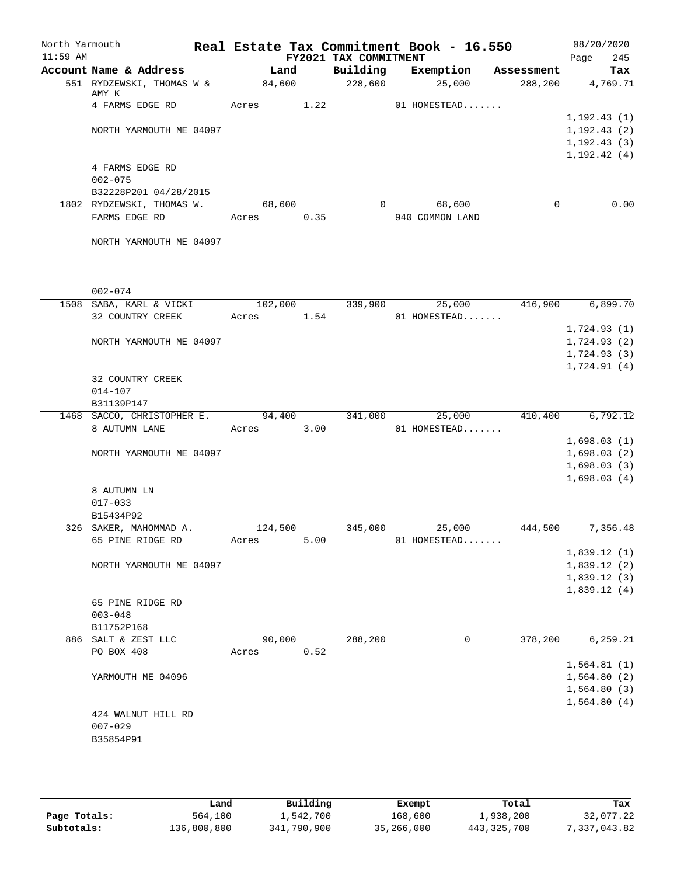| North Yarmouth |                                            |                  |      |                       | Real Estate Tax Commitment Book - 16.550 |             | 08/20/2020                   |
|----------------|--------------------------------------------|------------------|------|-----------------------|------------------------------------------|-------------|------------------------------|
| $11:59$ AM     |                                            |                  |      | FY2021 TAX COMMITMENT |                                          |             | 245<br>Page                  |
|                | Account Name & Address                     | Land             |      | Building              | Exemption                                | Assessment  | Tax                          |
|                | 551 RYDZEWSKI, THOMAS W &<br>AMY K         | 84,600           |      | 228,600               | 25,000                                   | 288,200     | 4,769.71                     |
|                | 4 FARMS EDGE RD                            | Acres            | 1.22 |                       | 01 HOMESTEAD                             |             |                              |
|                | NORTH YARMOUTH ME 04097                    |                  |      |                       |                                          |             | 1, 192.43(1)<br>1, 192.43(2) |
|                |                                            |                  |      |                       |                                          |             | 1, 192.43(3)                 |
|                |                                            |                  |      |                       |                                          |             | 1, 192.42(4)                 |
|                | 4 FARMS EDGE RD                            |                  |      |                       |                                          |             |                              |
|                | $002 - 075$                                |                  |      |                       |                                          |             |                              |
|                | B32228P201 04/28/2015                      |                  |      |                       |                                          |             |                              |
|                | 1802 RYDZEWSKI, THOMAS W.                  | 68,600           |      | $\Omega$              | 68,600                                   | $\mathbf 0$ | 0.00                         |
|                | FARMS EDGE RD                              | Acres 0.35       |      |                       | 940 COMMON LAND                          |             |                              |
|                | NORTH YARMOUTH ME 04097                    |                  |      |                       |                                          |             |                              |
|                |                                            |                  |      |                       |                                          |             |                              |
|                | $002 - 074$                                |                  |      |                       |                                          |             |                              |
|                | 1508 SABA, KARL & VICKI                    | 102,000          |      | 339,900               | 25,000                                   | 416,900     | 6,899.70                     |
|                | 32 COUNTRY CREEK                           | Acres 1.54       |      |                       | 01 HOMESTEAD                             |             | 1,724.93(1)                  |
|                | NORTH YARMOUTH ME 04097                    |                  |      |                       |                                          |             | 1,724.93(2)                  |
|                |                                            |                  |      |                       |                                          |             | 1,724.93(3)                  |
|                |                                            |                  |      |                       |                                          |             | 1,724.91(4)                  |
|                | 32 COUNTRY CREEK                           |                  |      |                       |                                          |             |                              |
|                | $014 - 107$                                |                  |      |                       |                                          |             |                              |
|                | B31139P147                                 |                  |      |                       |                                          |             |                              |
|                | 1468 SACCO, CHRISTOPHER E.                 | 94,400           |      | 341,000               | 25,000                                   | 410,400     | 6,792.12                     |
|                | 8 AUTUMN LANE                              | Acres 3.00       |      |                       | 01 HOMESTEAD                             |             | 1,698.03(1)                  |
|                | NORTH YARMOUTH ME 04097                    |                  |      |                       |                                          |             | 1,698.03(2)                  |
|                |                                            |                  |      |                       |                                          |             | 1,698.03(3)                  |
|                |                                            |                  |      |                       |                                          |             | 1,698.03(4)                  |
|                | 8 AUTUMN LN                                |                  |      |                       |                                          |             |                              |
|                | $017 - 033$                                |                  |      |                       |                                          |             |                              |
|                | B15434P92                                  |                  |      |                       |                                          | 444,500     |                              |
|                | 326 SAKER, MAHOMMAD A.<br>65 PINE RIDGE RD | 124,500<br>Acres | 5.00 | 345,000               | 25,000<br>01 HOMESTEAD                   |             | 7,356.48                     |
|                |                                            |                  |      |                       |                                          |             | 1,839.12(1)                  |
|                | NORTH YARMOUTH ME 04097                    |                  |      |                       |                                          |             | 1,839.12(2)                  |
|                |                                            |                  |      |                       |                                          |             | 1,839.12(3)                  |
|                |                                            |                  |      |                       |                                          |             | 1,839.12(4)                  |
|                | 65 PINE RIDGE RD                           |                  |      |                       |                                          |             |                              |
|                | $003 - 048$                                |                  |      |                       |                                          |             |                              |
|                | B11752P168<br>886 SALT & ZEST LLC          |                  |      |                       |                                          | 378,200     |                              |
|                | PO BOX 408                                 | 90,000<br>Acres  | 0.52 | 288,200               | 0                                        |             | 6,259.21                     |
|                |                                            |                  |      |                       |                                          |             | 1,564.81(1)                  |
|                | YARMOUTH ME 04096                          |                  |      |                       |                                          |             | 1,564.80(2)                  |
|                |                                            |                  |      |                       |                                          |             | 1,564.80(3)                  |
|                |                                            |                  |      |                       |                                          |             | 1,564.80(4)                  |
|                | 424 WALNUT HILL RD                         |                  |      |                       |                                          |             |                              |
|                | $007 - 029$                                |                  |      |                       |                                          |             |                              |
|                | B35854P91                                  |                  |      |                       |                                          |             |                              |
|                |                                            |                  |      |                       |                                          |             |                              |

|              | úand        | Building    | Exempt     | Total       | Tax          |
|--------------|-------------|-------------|------------|-------------|--------------|
| Page Totals: | 564,100     | 1,542,700   | 168,600    | 1,938,200   | 32,077.22    |
| Subtotals:   | 136,800,800 | 341,790,900 | 35,266,000 | 443,325,700 | 7,337,043.82 |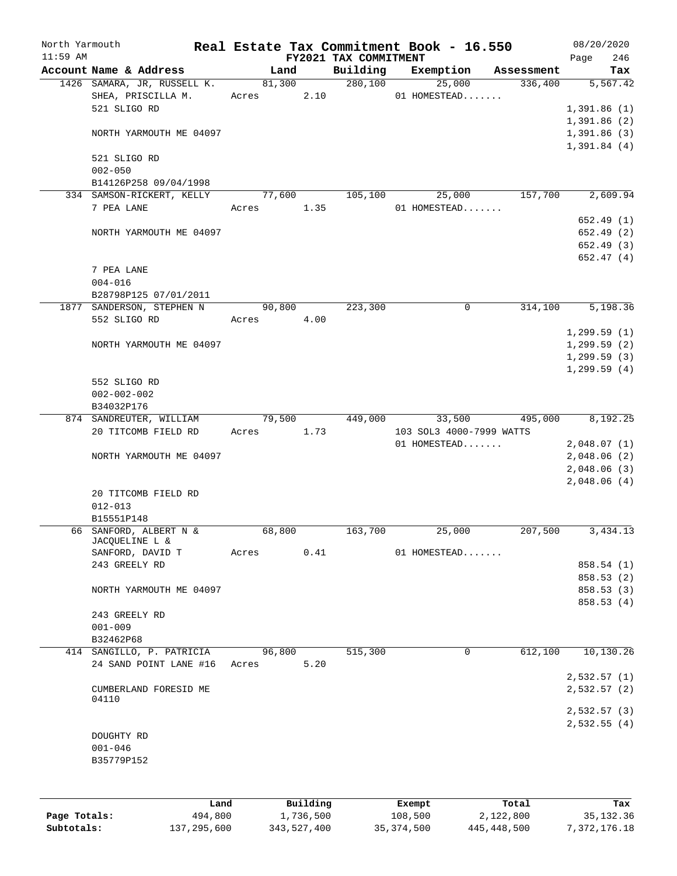| North Yarmouth |                             |        |          |                                   | Real Estate Tax Commitment Book - 16.550 |                       | 08/20/2020               |
|----------------|-----------------------------|--------|----------|-----------------------------------|------------------------------------------|-----------------------|--------------------------|
| $11:59$ AM     | Account Name & Address      | Land   |          | FY2021 TAX COMMITMENT<br>Building | Exemption                                | Assessment            | Page<br>246              |
|                | 1426 SAMARA, JR, RUSSELL K. |        | 81,300   | 280,100                           | 25,000                                   | 336,400               | Tax<br>5,567.42          |
|                | SHEA, PRISCILLA M.          | Acres  | 2.10     |                                   | 01 HOMESTEAD                             |                       |                          |
|                | 521 SLIGO RD                |        |          |                                   |                                          |                       | 1,391.86(1)              |
|                |                             |        |          |                                   |                                          |                       | 1,391.86(2)              |
|                | NORTH YARMOUTH ME 04097     |        |          |                                   |                                          |                       | 1,391.86(3)              |
|                |                             |        |          |                                   |                                          |                       | 1,391.84(4)              |
|                | 521 SLIGO RD                |        |          |                                   |                                          |                       |                          |
|                | $002 - 050$                 |        |          |                                   |                                          |                       |                          |
|                | B14126P258 09/04/1998       |        |          |                                   |                                          |                       |                          |
|                | 334 SAMSON-RICKERT, KELLY   | 77,600 |          | 105,100                           | 25,000                                   | 157,700               | 2,609.94                 |
|                | 7 PEA LANE                  | Acres  | 1.35     |                                   | 01 HOMESTEAD                             |                       |                          |
|                |                             |        |          |                                   |                                          |                       | 652.49(1)                |
|                | NORTH YARMOUTH ME 04097     |        |          |                                   |                                          |                       | 652.49 (2)               |
|                |                             |        |          |                                   |                                          |                       | 652.49 (3)               |
|                |                             |        |          |                                   |                                          |                       | 652.47(4)                |
|                | 7 PEA LANE                  |        |          |                                   |                                          |                       |                          |
|                | $004 - 016$                 |        |          |                                   |                                          |                       |                          |
|                | B28798P125 07/01/2011       |        |          |                                   |                                          |                       |                          |
|                | 1877 SANDERSON, STEPHEN N   | 90,800 |          | 223,300                           | $\mathbf 0$                              | 314,100               | 5,198.36                 |
|                | 552 SLIGO RD                | Acres  | 4.00     |                                   |                                          |                       |                          |
|                |                             |        |          |                                   |                                          |                       | 1,299.59(1)              |
|                | NORTH YARMOUTH ME 04097     |        |          |                                   |                                          |                       | 1,299.59(2)              |
|                |                             |        |          |                                   |                                          |                       | 1, 299.59(3)             |
|                |                             |        |          |                                   |                                          |                       | 1, 299.59(4)             |
|                | 552 SLIGO RD                |        |          |                                   |                                          |                       |                          |
|                | $002 - 002 - 002$           |        |          |                                   |                                          |                       |                          |
|                | B34032P176                  |        |          |                                   |                                          |                       |                          |
|                | 874 SANDREUTER, WILLIAM     |        |          | 79,500 449,000                    | 33,500                                   | $\overline{495}$ ,000 | $\overline{8,192.25}$    |
|                | 20 TITCOMB FIELD RD         | Acres  | 1.73     |                                   | 103 SOL3 4000-7999 WATTS                 |                       |                          |
|                |                             |        |          |                                   | 01 HOMESTEAD                             |                       | 2,048.07(1)              |
|                | NORTH YARMOUTH ME 04097     |        |          |                                   |                                          |                       | 2,048.06(2)              |
|                |                             |        |          |                                   |                                          |                       | 2,048.06(3)              |
|                |                             |        |          |                                   |                                          |                       | 2,048.06(4)              |
|                | 20 TITCOMB FIELD RD         |        |          |                                   |                                          |                       |                          |
|                | $012 - 013$                 |        |          |                                   |                                          |                       |                          |
|                | B15551P148                  |        |          |                                   |                                          |                       |                          |
|                | 66 SANFORD, ALBERT N &      | 68,800 |          | 163,700                           | 25,000                                   | 207,500               | 3,434.13                 |
|                | JACQUELINE L &              |        |          |                                   |                                          |                       |                          |
|                | SANFORD, DAVID T            | Acres  | 0.41     |                                   | 01 HOMESTEAD                             |                       |                          |
|                | 243 GREELY RD               |        |          |                                   |                                          |                       | 858.54 (1)               |
|                |                             |        |          |                                   |                                          |                       | 858.53 (2)<br>858.53 (3) |
|                | NORTH YARMOUTH ME 04097     |        |          |                                   |                                          |                       |                          |
|                | 243 GREELY RD               |        |          |                                   |                                          |                       | 858.53 (4)               |
|                | $001 - 009$                 |        |          |                                   |                                          |                       |                          |
|                | B32462P68                   |        |          |                                   |                                          |                       |                          |
|                | 414 SANGILLO, P. PATRICIA   | 96,800 |          | 515,300                           | $\mathbf 0$                              | 612,100               | 10, 130.26               |
|                | 24 SAND POINT LANE #16      | Acres  | 5.20     |                                   |                                          |                       |                          |
|                |                             |        |          |                                   |                                          |                       | 2,532.57(1)              |
|                | CUMBERLAND FORESID ME       |        |          |                                   |                                          |                       | 2,532.57(2)              |
|                | 04110                       |        |          |                                   |                                          |                       |                          |
|                |                             |        |          |                                   |                                          |                       | 2,532.57(3)              |
|                |                             |        |          |                                   |                                          |                       | 2,532.55(4)              |
|                | DOUGHTY RD                  |        |          |                                   |                                          |                       |                          |
|                | $001 - 046$                 |        |          |                                   |                                          |                       |                          |
|                | B35779P152                  |        |          |                                   |                                          |                       |                          |
|                |                             |        |          |                                   |                                          |                       |                          |
|                |                             |        |          |                                   |                                          |                       |                          |
|                | Land                        |        | Building |                                   | Exempt                                   | Total                 | Tax                      |
|                |                             |        |          |                                   |                                          |                       |                          |

|              | Lanu        | <b>Building</b> | LXCMDL     | TOLAT       | rax.         |
|--------------|-------------|-----------------|------------|-------------|--------------|
| Page Totals: | 494,800     | 1,736,500       | 108,500    | 2,122,800   | 35,132.36    |
| Subtotals:   | 137,295,600 | 343,527,400     | 35,374,500 | 445,448,500 | 7,372,176.18 |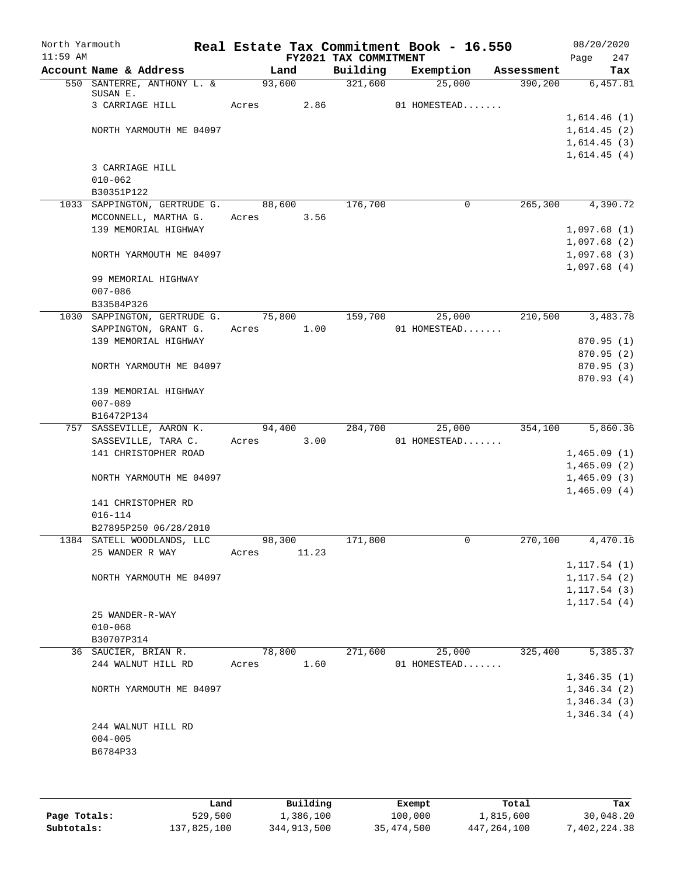| North Yarmouth<br>$11:59$ AM |                                     |       |        |       | Real Estate Tax Commitment Book - 16.550<br>FY2021 TAX COMMITMENT |              |             |            | 08/20/2020<br>Page           | 247        |
|------------------------------|-------------------------------------|-------|--------|-------|-------------------------------------------------------------------|--------------|-------------|------------|------------------------------|------------|
|                              | Account Name & Address              |       | Land   |       | Building                                                          | Exemption    |             | Assessment |                              | Tax        |
|                              | 550 SANTERRE, ANTHONY L. &          |       | 93,600 |       | 321,600                                                           |              | 25,000      | 390, 200   |                              | 6,457.81   |
|                              | SUSAN E.<br>3 CARRIAGE HILL         | Acres |        | 2.86  |                                                                   | 01 HOMESTEAD |             |            |                              |            |
|                              |                                     |       |        |       |                                                                   |              |             |            | 1,614.46(1)                  |            |
|                              | NORTH YARMOUTH ME 04097             |       |        |       |                                                                   |              |             |            | 1,614.45(2)                  |            |
|                              |                                     |       |        |       |                                                                   |              |             |            | 1,614.45(3)                  |            |
|                              | 3 CARRIAGE HILL                     |       |        |       |                                                                   |              |             |            | 1,614.45(4)                  |            |
|                              | $010 - 062$                         |       |        |       |                                                                   |              |             |            |                              |            |
|                              | B30351P122                          |       |        |       |                                                                   |              |             |            |                              |            |
|                              | 1033 SAPPINGTON, GERTRUDE G.        |       | 88,600 |       | 176,700                                                           |              | 0           | 265,300    |                              | 4,390.72   |
|                              | MCCONNELL, MARTHA G.                | Acres |        | 3.56  |                                                                   |              |             |            |                              |            |
|                              | 139 MEMORIAL HIGHWAY                |       |        |       |                                                                   |              |             |            | 1,097.68(1)                  |            |
|                              |                                     |       |        |       |                                                                   |              |             |            | 1,097.68(2)                  |            |
|                              | NORTH YARMOUTH ME 04097             |       |        |       |                                                                   |              |             |            | 1,097.68(3)                  |            |
|                              | 99 MEMORIAL HIGHWAY                 |       |        |       |                                                                   |              |             |            | 1,097.68(4)                  |            |
|                              | $007 - 086$                         |       |        |       |                                                                   |              |             |            |                              |            |
|                              | B33584P326                          |       |        |       |                                                                   |              |             |            |                              |            |
|                              | 1030 SAPPINGTON, GERTRUDE G. 75,800 |       |        |       | 159,700                                                           |              | 25,000      | 210,500    |                              | 3,483.78   |
|                              | SAPPINGTON, GRANT G.                | Acres |        | 1.00  |                                                                   | 01 HOMESTEAD |             |            |                              |            |
|                              | 139 MEMORIAL HIGHWAY                |       |        |       |                                                                   |              |             |            | 870.95 (1)                   |            |
|                              |                                     |       |        |       |                                                                   |              |             |            |                              | 870.95 (2) |
|                              | NORTH YARMOUTH ME 04097             |       |        |       |                                                                   |              |             |            |                              | 870.95(3)  |
|                              | 139 MEMORIAL HIGHWAY                |       |        |       |                                                                   |              |             |            | 870.93 (4)                   |            |
|                              | $007 - 089$                         |       |        |       |                                                                   |              |             |            |                              |            |
|                              | B16472P134                          |       |        |       |                                                                   |              |             |            |                              |            |
|                              | 757 SASSEVILLE, AARON K.            |       | 94,400 |       | 284,700                                                           |              | 25,000      | 354,100    |                              | 5,860.36   |
|                              | SASSEVILLE, TARA C.                 | Acres |        | 3.00  |                                                                   | 01 HOMESTEAD |             |            |                              |            |
|                              | 141 CHRISTOPHER ROAD                |       |        |       |                                                                   |              |             |            | 1,465.09(1)                  |            |
|                              | NORTH YARMOUTH ME 04097             |       |        |       |                                                                   |              |             |            | 1,465.09(2)<br>1,465.09(3)   |            |
|                              |                                     |       |        |       |                                                                   |              |             |            | 1,465.09(4)                  |            |
|                              | 141 CHRISTOPHER RD                  |       |        |       |                                                                   |              |             |            |                              |            |
|                              | $016 - 114$                         |       |        |       |                                                                   |              |             |            |                              |            |
|                              | B27895P250 06/28/2010               |       |        |       |                                                                   |              |             |            |                              |            |
|                              | 1384 SATELL WOODLANDS, LLC          |       | 98,300 |       | 171,800                                                           |              | $\mathbf 0$ | 270,100    |                              | 4,470.16   |
|                              | 25 WANDER R WAY                     | Acres |        | 11.23 |                                                                   |              |             |            |                              |            |
|                              |                                     |       |        |       |                                                                   |              |             |            | 1, 117.54(1)                 |            |
|                              | NORTH YARMOUTH ME 04097             |       |        |       |                                                                   |              |             |            | 1, 117.54(2)<br>1, 117.54(3) |            |
|                              |                                     |       |        |       |                                                                   |              |             |            | 1, 117.54(4)                 |            |
|                              | 25 WANDER-R-WAY                     |       |        |       |                                                                   |              |             |            |                              |            |
|                              | $010 - 068$                         |       |        |       |                                                                   |              |             |            |                              |            |
|                              | B30707P314                          |       |        |       |                                                                   |              |             |            |                              |            |
|                              | 36 SAUCIER, BRIAN R.                |       | 78,800 |       | 271,600                                                           |              | 25,000      | 325,400    |                              | 5,385.37   |
|                              | 244 WALNUT HILL RD                  | Acres |        | 1.60  |                                                                   | 01 HOMESTEAD |             |            |                              |            |
|                              |                                     |       |        |       |                                                                   |              |             |            | 1,346.35(1)                  |            |
|                              | NORTH YARMOUTH ME 04097             |       |        |       |                                                                   |              |             |            | 1,346.34(2)                  |            |
|                              |                                     |       |        |       |                                                                   |              |             |            | 1,346.34(3)<br>1,346.34(4)   |            |
|                              | 244 WALNUT HILL RD                  |       |        |       |                                                                   |              |             |            |                              |            |
|                              | $004 - 005$                         |       |        |       |                                                                   |              |             |            |                              |            |
|                              | B6784P33                            |       |        |       |                                                                   |              |             |            |                              |            |
|                              |                                     |       |        |       |                                                                   |              |             |            |                              |            |
|                              |                                     |       |        |       |                                                                   |              |             |            |                              |            |

|              | Land        | Building    | Exempt     | Total       | Tax          |
|--------------|-------------|-------------|------------|-------------|--------------|
| Page Totals: | 529,500     | 1,386,100   | 100,000    | 1,815,600   | 30,048.20    |
| Subtotals:   | 137,825,100 | 344,913,500 | 35,474,500 | 447,264,100 | 7,402,224.38 |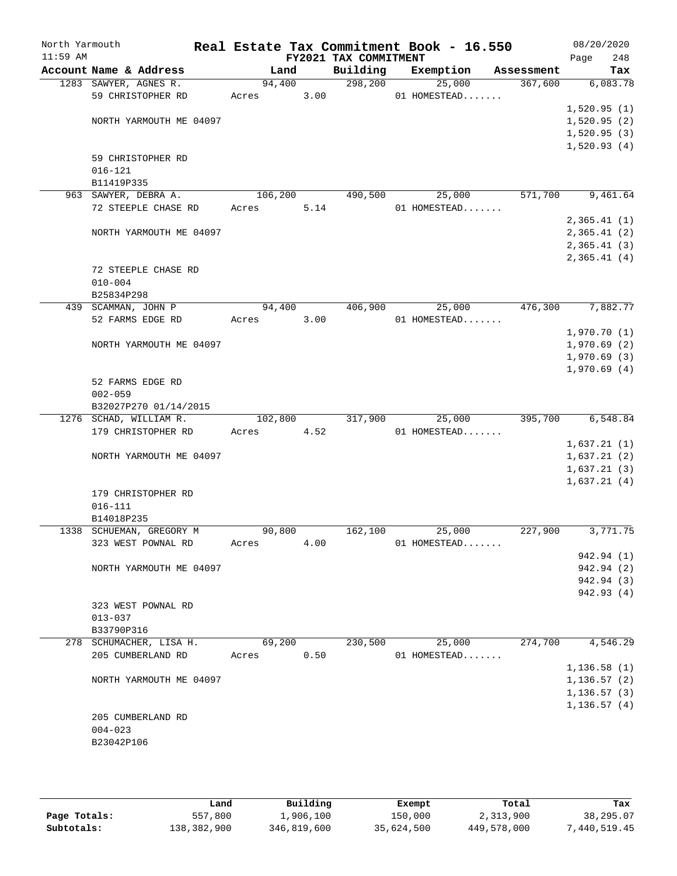| North Yarmouth<br>$11:59$ AM |                                       |         |      | FY2021 TAX COMMITMENT | Real Estate Tax Commitment Book - 16.550 |            | 08/20/2020<br>Page         | 248 |
|------------------------------|---------------------------------------|---------|------|-----------------------|------------------------------------------|------------|----------------------------|-----|
|                              | Account Name & Address                | Land    |      | Building              | Exemption                                | Assessment |                            | Tax |
|                              | 1283 SAWYER, AGNES R.                 | 94,400  |      | 298,200               | 25,000                                   | 367,600    | 6,083.78                   |     |
|                              | 59 CHRISTOPHER RD                     | Acres   | 3.00 |                       | 01 HOMESTEAD                             |            |                            |     |
|                              |                                       |         |      |                       |                                          |            | 1,520.95(1)                |     |
|                              | NORTH YARMOUTH ME 04097               |         |      |                       |                                          |            | 1,520.95(2)                |     |
|                              |                                       |         |      |                       |                                          |            | 1,520.95(3)                |     |
|                              |                                       |         |      |                       |                                          |            | 1,520.93(4)                |     |
|                              | 59 CHRISTOPHER RD                     |         |      |                       |                                          |            |                            |     |
|                              | $016 - 121$                           |         |      |                       |                                          |            |                            |     |
|                              | B11419P335                            |         |      |                       |                                          |            |                            |     |
|                              | 963 SAWYER, DEBRA A.                  | 106,200 |      | 490,500               | 25,000                                   | 571,700    | 9,461.64                   |     |
|                              | 72 STEEPLE CHASE RD                   | Acres   | 5.14 |                       | 01 HOMESTEAD                             |            |                            |     |
|                              |                                       |         |      |                       |                                          |            | 2,365.41(1)                |     |
|                              | NORTH YARMOUTH ME 04097               |         |      |                       |                                          |            | 2,365.41(2)                |     |
|                              |                                       |         |      |                       |                                          |            | 2,365.41(3)<br>2,365.41(4) |     |
|                              | 72 STEEPLE CHASE RD                   |         |      |                       |                                          |            |                            |     |
|                              | $010 - 004$                           |         |      |                       |                                          |            |                            |     |
|                              | B25834P298                            |         |      |                       |                                          |            |                            |     |
|                              | 439 SCAMMAN, JOHN P                   | 94,400  |      | 406,900               | 25,000                                   | 476,300    | 7,882.77                   |     |
|                              | 52 FARMS EDGE RD                      | Acres   | 3.00 |                       | 01 HOMESTEAD                             |            |                            |     |
|                              |                                       |         |      |                       |                                          |            | 1,970.70(1)                |     |
|                              | NORTH YARMOUTH ME 04097               |         |      |                       |                                          |            | 1,970.69(2)                |     |
|                              |                                       |         |      |                       |                                          |            | 1,970.69(3)                |     |
|                              |                                       |         |      |                       |                                          |            | 1,970.69(4)                |     |
|                              | 52 FARMS EDGE RD                      |         |      |                       |                                          |            |                            |     |
|                              | $002 - 059$                           |         |      |                       |                                          |            |                            |     |
|                              | B32027P270 01/14/2015                 |         |      |                       |                                          |            |                            |     |
|                              | 1276 SCHAD, WILLIAM R.                | 102,800 |      | 317,900               | 25,000                                   | 395,700    | 6,548.84                   |     |
|                              | 179 CHRISTOPHER RD                    | Acres   | 4.52 |                       | 01 HOMESTEAD                             |            |                            |     |
|                              |                                       |         |      |                       |                                          |            | 1,637.21(1)                |     |
|                              | NORTH YARMOUTH ME 04097               |         |      |                       |                                          |            | 1,637.21(2)                |     |
|                              |                                       |         |      |                       |                                          |            | 1,637.21(3)                |     |
|                              |                                       |         |      |                       |                                          |            | 1,637.21(4)                |     |
|                              | 179 CHRISTOPHER RD                    |         |      |                       |                                          |            |                            |     |
|                              | $016 - 111$                           |         |      |                       |                                          |            |                            |     |
|                              | B14018P235                            |         |      |                       |                                          |            |                            |     |
|                              | 1338 SCHUEMAN, GREGORY M              | 90,800  |      | 162,100               | 25,000                                   | 227,900    | 3,771.75                   |     |
|                              | 323 WEST POWNAL RD                    | Acres   | 4.00 |                       | 01 HOMESTEAD                             |            |                            |     |
|                              |                                       |         |      |                       |                                          |            | 942.94 (1)                 |     |
|                              | NORTH YARMOUTH ME 04097               |         |      |                       |                                          |            | 942.94 (2)                 |     |
|                              |                                       |         |      |                       |                                          |            | 942.94 (3)                 |     |
|                              |                                       |         |      |                       |                                          |            | 942.93(4)                  |     |
|                              | 323 WEST POWNAL RD                    |         |      |                       |                                          |            |                            |     |
|                              | $013 - 037$                           |         |      |                       |                                          |            |                            |     |
|                              | B33790P316<br>278 SCHUMACHER, LISA H. | 69,200  |      | 230,500               | 25,000                                   | 274,700    | 4,546.29                   |     |
|                              | 205 CUMBERLAND RD                     | Acres   | 0.50 |                       | 01 HOMESTEAD                             |            |                            |     |
|                              |                                       |         |      |                       |                                          |            | 1, 136.58(1)               |     |
|                              | NORTH YARMOUTH ME 04097               |         |      |                       |                                          |            | 1,136.57(2)                |     |
|                              |                                       |         |      |                       |                                          |            | 1, 136.57(3)               |     |
|                              |                                       |         |      |                       |                                          |            | 1, 136.57(4)               |     |
|                              | 205 CUMBERLAND RD                     |         |      |                       |                                          |            |                            |     |
|                              | $004 - 023$                           |         |      |                       |                                          |            |                            |     |
|                              | B23042P106                            |         |      |                       |                                          |            |                            |     |
|                              |                                       |         |      |                       |                                          |            |                            |     |
|                              |                                       |         |      |                       |                                          |            |                            |     |

|              | Land        | Building    | Exempt     | Total       | Tax          |
|--------------|-------------|-------------|------------|-------------|--------------|
| Page Totals: | 557,800     | 1,906,100   | 150,000    | 2,313,900   | 38,295.07    |
| Subtotals:   | 138,382,900 | 346,819,600 | 35,624,500 | 449,578,000 | 7,440,519.45 |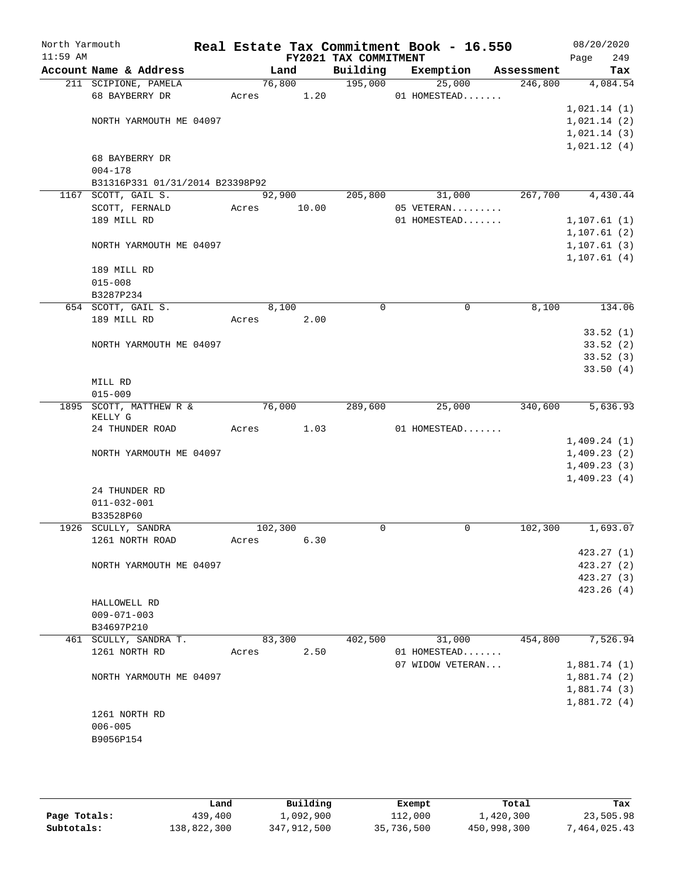| North Yarmouth<br>$11:59$ AM |                                                |       |         |       | FY2021 TAX COMMITMENT | Real Estate Tax Commitment Book - 16.550 |            | 08/20/2020<br>249<br>Page  |
|------------------------------|------------------------------------------------|-------|---------|-------|-----------------------|------------------------------------------|------------|----------------------------|
|                              | Account Name & Address                         |       | Land    |       | Building              | Exemption                                | Assessment | Tax                        |
|                              | 211 SCIPIONE, PAMELA                           |       | 76,800  |       | 195,000               | 25,000                                   | 246,800    | 4,084.54                   |
|                              | 68 BAYBERRY DR                                 | Acres |         | 1.20  |                       | 01 HOMESTEAD                             |            |                            |
|                              |                                                |       |         |       |                       |                                          |            | 1,021.14(1)                |
|                              | NORTH YARMOUTH ME 04097                        |       |         |       |                       |                                          |            | 1,021.14(2)                |
|                              |                                                |       |         |       |                       |                                          |            | 1,021.14(3)                |
|                              |                                                |       |         |       |                       |                                          |            | 1,021.12(4)                |
|                              | 68 BAYBERRY DR                                 |       |         |       |                       |                                          |            |                            |
|                              | $004 - 178$<br>B31316P331 01/31/2014 B23398P92 |       |         |       |                       |                                          |            |                            |
|                              | 1167 SCOTT, GAIL S.                            |       | 92,900  |       | 205,800               | 31,000                                   | 267,700    | 4,430.44                   |
|                              | SCOTT, FERNALD                                 | Acres |         | 10.00 |                       | 05 VETERAN                               |            |                            |
|                              | 189 MILL RD                                    |       |         |       |                       | 01 HOMESTEAD                             |            | 1, 107.61(1)               |
|                              |                                                |       |         |       |                       |                                          |            | 1,107.61(2)                |
|                              | NORTH YARMOUTH ME 04097                        |       |         |       |                       |                                          |            | 1, 107.61(3)               |
|                              |                                                |       |         |       |                       |                                          |            | 1, 107.61(4)               |
|                              | 189 MILL RD                                    |       |         |       |                       |                                          |            |                            |
|                              | $015 - 008$                                    |       |         |       |                       |                                          |            |                            |
|                              | B3287P234                                      |       |         |       |                       |                                          |            |                            |
|                              | 654 SCOTT, GAIL S.                             |       | 8,100   |       | 0                     | 0                                        | 8,100      | 134.06                     |
|                              | 189 MILL RD                                    | Acres |         | 2.00  |                       |                                          |            |                            |
|                              |                                                |       |         |       |                       |                                          |            | 33.52(1)                   |
|                              | NORTH YARMOUTH ME 04097                        |       |         |       |                       |                                          |            | 33.52(2)                   |
|                              |                                                |       |         |       |                       |                                          |            | 33.52(3)                   |
|                              |                                                |       |         |       |                       |                                          |            | 33.50(4)                   |
|                              | MILL RD                                        |       |         |       |                       |                                          |            |                            |
|                              | $015 - 009$                                    |       |         |       |                       |                                          |            |                            |
|                              | 1895 SCOTT, MATTHEW R &<br>KELLY G             |       | 76,000  |       | 289,600               | 25,000                                   | 340,600    | 5,636.93                   |
|                              | 24 THUNDER ROAD                                | Acres |         | 1.03  |                       | 01 HOMESTEAD                             |            |                            |
|                              |                                                |       |         |       |                       |                                          |            | 1,409.24(1)                |
|                              | NORTH YARMOUTH ME 04097                        |       |         |       |                       |                                          |            | 1,409.23(2)                |
|                              |                                                |       |         |       |                       |                                          |            | 1,409.23(3)<br>1,409.23(4) |
|                              | 24 THUNDER RD                                  |       |         |       |                       |                                          |            |                            |
|                              | $011 - 032 - 001$                              |       |         |       |                       |                                          |            |                            |
|                              | B33528P60                                      |       |         |       |                       |                                          |            |                            |
|                              | 1926 SCULLY, SANDRA                            |       | 102,300 |       | 0                     | 0                                        | 102,300    | 1,693.07                   |
|                              | 1261 NORTH ROAD                                | Acres |         | 6.30  |                       |                                          |            |                            |
|                              |                                                |       |         |       |                       |                                          |            | 423.27(1)                  |
|                              | NORTH YARMOUTH ME 04097                        |       |         |       |                       |                                          |            | 423.27(2)                  |
|                              |                                                |       |         |       |                       |                                          |            | 423.27(3)                  |
|                              |                                                |       |         |       |                       |                                          |            | 423.26(4)                  |
|                              | HALLOWELL RD                                   |       |         |       |                       |                                          |            |                            |
|                              | $009 - 071 - 003$                              |       |         |       |                       |                                          |            |                            |
|                              | B34697P210                                     |       |         |       |                       |                                          |            |                            |
|                              | 461 SCULLY, SANDRA T.                          |       | 83,300  |       | 402,500               | 31,000                                   | 454,800    | 7,526.94                   |
|                              | 1261 NORTH RD                                  | Acres |         | 2.50  |                       | 01 HOMESTEAD                             |            |                            |
|                              |                                                |       |         |       |                       | 07 WIDOW VETERAN                         |            | 1,881.74(1)                |
|                              | NORTH YARMOUTH ME 04097                        |       |         |       |                       |                                          |            | 1,881.74(2)                |
|                              |                                                |       |         |       |                       |                                          |            | 1,881.74(3)                |
|                              |                                                |       |         |       |                       |                                          |            | 1,881.72(4)                |
|                              | 1261 NORTH RD                                  |       |         |       |                       |                                          |            |                            |
|                              | $006 - 005$                                    |       |         |       |                       |                                          |            |                            |
|                              | B9056P154                                      |       |         |       |                       |                                          |            |                            |
|                              |                                                |       |         |       |                       |                                          |            |                            |

|              | Land        | Building    | Exempt     | Total       | Tax          |
|--------------|-------------|-------------|------------|-------------|--------------|
| Page Totals: | 439,400     | 1,092,900   | 112,000    | 1,420,300   | 23,505.98    |
| Subtotals:   | 138,822,300 | 347,912,500 | 35,736,500 | 450,998,300 | 7,464,025.43 |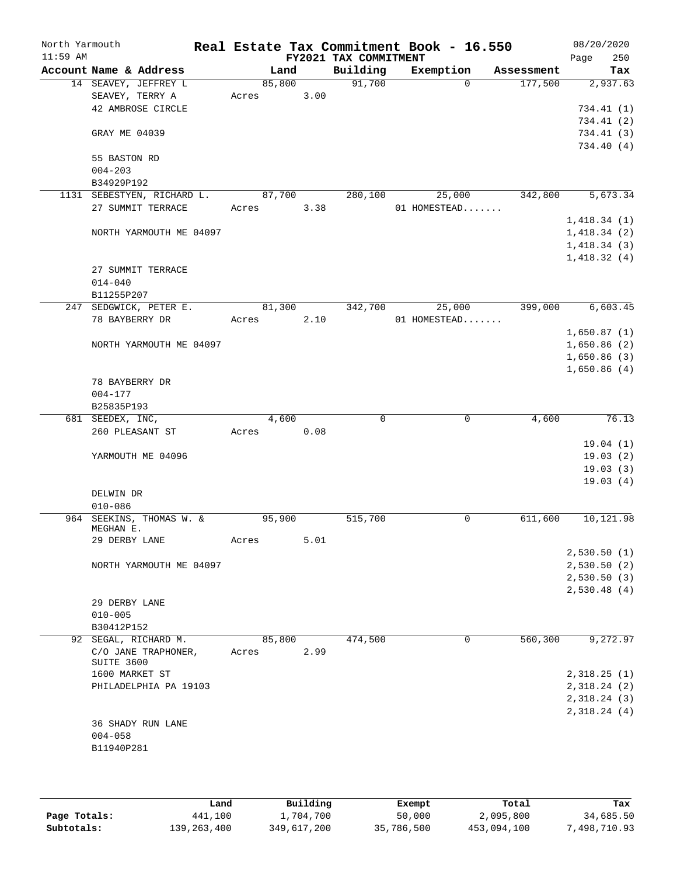| North Yarmouth<br>$11:59$ AM |                                |                            |       |        |      | FY2021 TAX COMMITMENT | Real Estate Tax Commitment Book - 16.550 |            | Page        | 08/20/2020<br>250          |
|------------------------------|--------------------------------|----------------------------|-------|--------|------|-----------------------|------------------------------------------|------------|-------------|----------------------------|
|                              |                                | Account Name & Address     |       | Land   |      | Building              | Exemption                                | Assessment |             | Tax                        |
|                              |                                | 14 SEAVEY, JEFFREY L       |       | 85,800 |      | 91,700                | $\Omega$                                 | 177,500    |             | 2,937.63                   |
|                              | SEAVEY, TERRY A                |                            | Acres |        | 3.00 |                       |                                          |            |             |                            |
|                              |                                | 42 AMBROSE CIRCLE          |       |        |      |                       |                                          |            |             | 734.41(1)                  |
|                              |                                |                            |       |        |      |                       |                                          |            |             | 734.41(2)                  |
|                              | GRAY ME 04039                  |                            |       |        |      |                       |                                          |            |             | 734.41(3)                  |
|                              |                                |                            |       |        |      |                       |                                          |            |             | 734.40 (4)                 |
|                              | 55 BASTON RD                   |                            |       |        |      |                       |                                          |            |             |                            |
|                              | $004 - 203$                    |                            |       |        |      |                       |                                          |            |             |                            |
|                              | B34929P192                     | 1131 SEBESTYEN, RICHARD L. |       | 87,700 |      | 280,100               | 25,000                                   | 342,800    |             | 5,673.34                   |
|                              |                                | 27 SUMMIT TERRACE          | Acres |        | 3.38 |                       | 01 HOMESTEAD                             |            |             |                            |
|                              |                                |                            |       |        |      |                       |                                          |            | 1,418.34(1) |                            |
|                              |                                | NORTH YARMOUTH ME 04097    |       |        |      |                       |                                          |            | 1,418.34(2) |                            |
|                              |                                |                            |       |        |      |                       |                                          |            | 1,418.34(3) |                            |
|                              |                                |                            |       |        |      |                       |                                          |            | 1,418.32(4) |                            |
|                              |                                | 27 SUMMIT TERRACE          |       |        |      |                       |                                          |            |             |                            |
|                              | $014 - 040$                    |                            |       |        |      |                       |                                          |            |             |                            |
|                              | B11255P207                     |                            |       |        |      |                       |                                          |            |             |                            |
|                              |                                | 247 SEDGWICK, PETER E.     |       | 81,300 |      | 342,700               | 25,000                                   | 399,000    |             | 6,603.45                   |
|                              | 78 BAYBERRY DR                 |                            | Acres |        | 2.10 |                       | 01 HOMESTEAD                             |            |             |                            |
|                              |                                |                            |       |        |      |                       |                                          |            | 1,650.87(1) |                            |
|                              |                                | NORTH YARMOUTH ME 04097    |       |        |      |                       |                                          |            | 1,650.86(2) |                            |
|                              |                                |                            |       |        |      |                       |                                          |            | 1,650.86(3) |                            |
|                              |                                |                            |       |        |      |                       |                                          |            |             | 1,650.86(4)                |
|                              | 78 BAYBERRY DR                 |                            |       |        |      |                       |                                          |            |             |                            |
|                              | $004 - 177$                    |                            |       |        |      |                       |                                          |            |             |                            |
|                              | B25835P193<br>681 SEEDEX, INC, |                            |       | 4,600  |      | 0                     | 0                                        | 4,600      |             | 76.13                      |
|                              |                                | 260 PLEASANT ST            | Acres |        | 0.08 |                       |                                          |            |             |                            |
|                              |                                |                            |       |        |      |                       |                                          |            |             | 19.04(1)                   |
|                              |                                | YARMOUTH ME 04096          |       |        |      |                       |                                          |            |             | 19.03(2)                   |
|                              |                                |                            |       |        |      |                       |                                          |            |             | 19.03(3)                   |
|                              |                                |                            |       |        |      |                       |                                          |            |             | 19.03(4)                   |
|                              | DELWIN DR                      |                            |       |        |      |                       |                                          |            |             |                            |
|                              | $010 - 086$                    |                            |       |        |      |                       |                                          |            |             |                            |
|                              |                                | 964 SEEKINS, THOMAS W. &   |       | 95,900 |      | 515,700               | 0                                        | 611,600    |             | 10,121.98                  |
|                              | MEGHAN E.                      |                            |       |        |      |                       |                                          |            |             |                            |
|                              | 29 DERBY LANE                  |                            | Acres |        | 5.01 |                       |                                          |            |             |                            |
|                              |                                |                            |       |        |      |                       |                                          |            |             | 2,530.50(1)                |
|                              |                                | NORTH YARMOUTH ME 04097    |       |        |      |                       |                                          |            |             | 2,530.50(2)<br>2,530.50(3) |
|                              |                                |                            |       |        |      |                       |                                          |            |             | 2,530.48(4)                |
|                              | 29 DERBY LANE                  |                            |       |        |      |                       |                                          |            |             |                            |
|                              | $010 - 005$                    |                            |       |        |      |                       |                                          |            |             |                            |
|                              | B30412P152                     |                            |       |        |      |                       |                                          |            |             |                            |
|                              |                                | 92 SEGAL, RICHARD M.       |       | 85,800 |      | 474,500               | 0                                        | 560,300    |             | 9,272.97                   |
|                              |                                | C/O JANE TRAPHONER,        | Acres |        | 2.99 |                       |                                          |            |             |                            |
|                              | SUITE 3600                     |                            |       |        |      |                       |                                          |            |             |                            |
|                              | 1600 MARKET ST                 |                            |       |        |      |                       |                                          |            |             | 2,318.25(1)                |
|                              |                                | PHILADELPHIA PA 19103      |       |        |      |                       |                                          |            |             | 2,318.24(2)                |
|                              |                                |                            |       |        |      |                       |                                          |            |             | 2,318.24(3)                |
|                              |                                | 36 SHADY RUN LANE          |       |        |      |                       |                                          |            |             | 2,318.24(4)                |
|                              | $004 - 058$                    |                            |       |        |      |                       |                                          |            |             |                            |
|                              | B11940P281                     |                            |       |        |      |                       |                                          |            |             |                            |
|                              |                                |                            |       |        |      |                       |                                          |            |             |                            |
|                              |                                |                            |       |        |      |                       |                                          |            |             |                            |

|              | Land        | Building    | Exempt     | Total       | Tax          |
|--------------|-------------|-------------|------------|-------------|--------------|
| Page Totals: | 441,100     | 1,704,700   | 50,000     | 2,095,800   | 34,685.50    |
| Subtotals:   | 139,263,400 | 349,617,200 | 35,786,500 | 453,094,100 | 7,498,710.93 |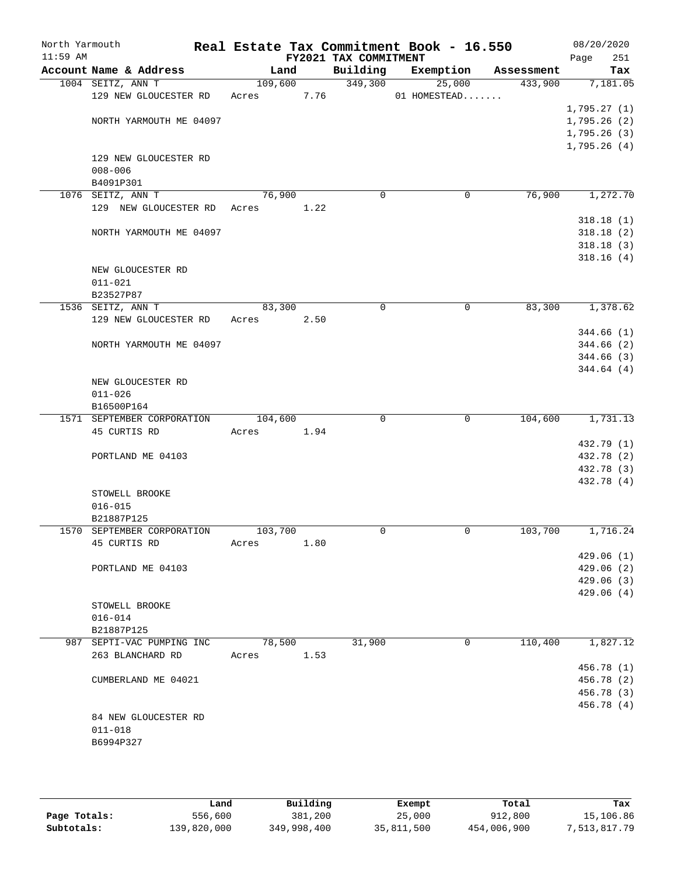| North Yarmouth<br>$11:59$ AM |                             |         |      | FY2021 TAX COMMITMENT | Real Estate Tax Commitment Book - 16.550 |            | 08/20/2020<br>251<br>Page |
|------------------------------|-----------------------------|---------|------|-----------------------|------------------------------------------|------------|---------------------------|
|                              | Account Name & Address      | Land    |      | Building              | Exemption                                | Assessment | Tax                       |
|                              | 1004 SEITZ, ANN T           | 109,600 |      | 349,300               | 25,000                                   | 433,900    | 7,181.05                  |
|                              | 129 NEW GLOUCESTER RD       | Acres   | 7.76 |                       | 01 HOMESTEAD                             |            |                           |
|                              |                             |         |      |                       |                                          |            | 1,795.27(1)               |
|                              | NORTH YARMOUTH ME 04097     |         |      |                       |                                          |            | 1,795.26(2)               |
|                              |                             |         |      |                       |                                          |            | 1,795.26(3)               |
|                              |                             |         |      |                       |                                          |            | 1,795.26(4)               |
|                              | 129 NEW GLOUCESTER RD       |         |      |                       |                                          |            |                           |
|                              | $008 - 006$                 |         |      |                       |                                          |            |                           |
|                              | B4091P301                   |         |      |                       |                                          |            |                           |
|                              | 1076 SEITZ, ANN T           | 76,900  |      | $\Omega$              | 0                                        | 76,900     | 1,272.70                  |
|                              | 129 NEW GLOUCESTER RD Acres |         | 1.22 |                       |                                          |            |                           |
|                              |                             |         |      |                       |                                          |            | 318.18(1)                 |
|                              | NORTH YARMOUTH ME 04097     |         |      |                       |                                          |            | 318.18(2)                 |
|                              |                             |         |      |                       |                                          |            | 318.18(3)<br>318.16(4)    |
|                              | NEW GLOUCESTER RD           |         |      |                       |                                          |            |                           |
|                              | $011 - 021$                 |         |      |                       |                                          |            |                           |
|                              | B23527P87                   |         |      |                       |                                          |            |                           |
|                              | 1536 SEITZ, ANN T           | 83,300  |      | $\mathbf 0$           | 0                                        | 83,300     | 1,378.62                  |
|                              | 129 NEW GLOUCESTER RD       | Acres   | 2.50 |                       |                                          |            |                           |
|                              |                             |         |      |                       |                                          |            | 344.66 (1)                |
|                              | NORTH YARMOUTH ME 04097     |         |      |                       |                                          |            | 344.66(2)                 |
|                              |                             |         |      |                       |                                          |            | 344.66 (3)                |
|                              |                             |         |      |                       |                                          |            | 344.64 (4)                |
|                              | NEW GLOUCESTER RD           |         |      |                       |                                          |            |                           |
|                              | $011 - 026$                 |         |      |                       |                                          |            |                           |
|                              | B16500P164                  |         |      |                       |                                          |            |                           |
|                              | 1571 SEPTEMBER CORPORATION  | 104,600 |      | $\Omega$              | 0                                        | 104,600    | 1,731.13                  |
|                              | 45 CURTIS RD                | Acres   | 1.94 |                       |                                          |            |                           |
|                              |                             |         |      |                       |                                          |            | 432.79 (1)                |
|                              | PORTLAND ME 04103           |         |      |                       |                                          |            | 432.78 (2)                |
|                              |                             |         |      |                       |                                          |            | 432.78 (3)                |
|                              |                             |         |      |                       |                                          |            | 432.78 (4)                |
|                              | STOWELL BROOKE              |         |      |                       |                                          |            |                           |
|                              | $016 - 015$                 |         |      |                       |                                          |            |                           |
|                              | B21887P125                  |         |      |                       |                                          |            |                           |
|                              | 1570 SEPTEMBER CORPORATION  | 103,700 |      | 0                     | 0                                        | 103,700    | 1,716.24                  |
|                              | 45 CURTIS RD                | Acres   | 1.80 |                       |                                          |            |                           |
|                              | PORTLAND ME 04103           |         |      |                       |                                          |            | 429.06 (1)<br>429.06(2)   |
|                              |                             |         |      |                       |                                          |            | 429.06(3)                 |
|                              |                             |         |      |                       |                                          |            | 429.06(4)                 |
|                              | STOWELL BROOKE              |         |      |                       |                                          |            |                           |
|                              | $016 - 014$                 |         |      |                       |                                          |            |                           |
|                              | B21887P125                  |         |      |                       |                                          |            |                           |
|                              | 987 SEPTI-VAC PUMPING INC   | 78,500  |      | 31,900                | 0                                        | 110,400    | 1,827.12                  |
|                              | 263 BLANCHARD RD            | Acres   | 1.53 |                       |                                          |            |                           |
|                              |                             |         |      |                       |                                          |            | 456.78 (1)                |
|                              | CUMBERLAND ME 04021         |         |      |                       |                                          |            | 456.78 (2)                |
|                              |                             |         |      |                       |                                          |            | 456.78 (3)                |
|                              |                             |         |      |                       |                                          |            | 456.78 (4)                |
|                              | 84 NEW GLOUCESTER RD        |         |      |                       |                                          |            |                           |
|                              | $011 - 018$                 |         |      |                       |                                          |            |                           |
|                              | B6994P327                   |         |      |                       |                                          |            |                           |
|                              |                             |         |      |                       |                                          |            |                           |
|                              |                             |         |      |                       |                                          |            |                           |

|              | Land        | Building    | Exempt     | Total       | Tax          |
|--------------|-------------|-------------|------------|-------------|--------------|
| Page Totals: | 556,600     | 381,200     | 25,000     | 912,800     | 15,106.86    |
| Subtotals:   | 139,820,000 | 349,998,400 | 35,811,500 | 454,006,900 | 7,513,817.79 |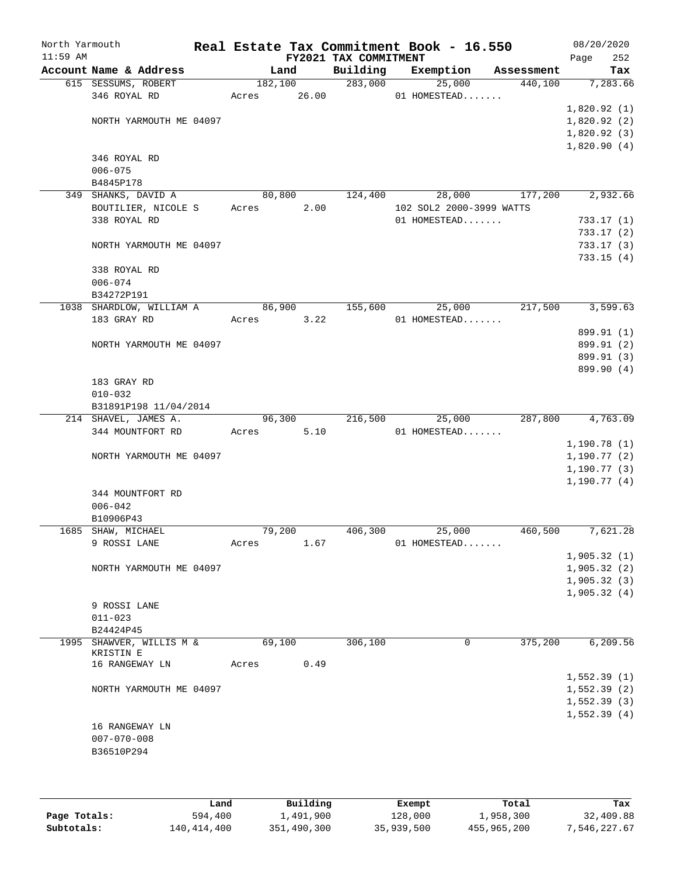| North Yarmouth<br>$11:59$ AM |                                      |        |         | FY2021 TAX COMMITMENT | Real Estate Tax Commitment Book - 16.550 |            | Page         | 08/20/2020<br>252 |
|------------------------------|--------------------------------------|--------|---------|-----------------------|------------------------------------------|------------|--------------|-------------------|
|                              | Account Name & Address               |        | Land    | Building              | Exemption                                | Assessment |              | Tax               |
|                              | 615 SESSUMS, ROBERT                  |        | 182,100 | 283,000               | 25,000                                   | 440,100    |              | 7,283.66          |
|                              | 346 ROYAL RD                         | Acres  | 26.00   |                       | 01 HOMESTEAD                             |            |              |                   |
|                              |                                      |        |         |                       |                                          |            | 1,820.92(1)  |                   |
|                              | NORTH YARMOUTH ME 04097              |        |         |                       |                                          |            | 1,820.92(2)  |                   |
|                              |                                      |        |         |                       |                                          |            | 1,820.92(3)  |                   |
|                              |                                      |        |         |                       |                                          |            | 1,820.90(4)  |                   |
|                              | 346 ROYAL RD                         |        |         |                       |                                          |            |              |                   |
|                              | $006 - 075$                          |        |         |                       |                                          |            |              |                   |
|                              | B4845P178<br>349 SHANKS, DAVID A     | 80,800 |         | 124,400               | 28,000                                   | 177,200    |              | 2,932.66          |
|                              | BOUTILIER, NICOLE S                  | Acres  | 2.00    |                       | 102 SOL2 2000-3999 WATTS                 |            |              |                   |
|                              | 338 ROYAL RD                         |        |         |                       | 01 HOMESTEAD                             |            |              | 733.17(1)         |
|                              |                                      |        |         |                       |                                          |            |              | 733.17(2)         |
|                              | NORTH YARMOUTH ME 04097              |        |         |                       |                                          |            |              | 733.17(3)         |
|                              |                                      |        |         |                       |                                          |            |              | 733.15(4)         |
|                              | 338 ROYAL RD                         |        |         |                       |                                          |            |              |                   |
|                              | $006 - 074$                          |        |         |                       |                                          |            |              |                   |
|                              | B34272P191                           |        |         |                       |                                          |            |              |                   |
|                              | 1038 SHARDLOW, WILLIAM A             |        | 86,900  | 155,600               | 25,000                                   | 217,500    |              | 3,599.63          |
|                              | 183 GRAY RD                          | Acres  | 3.22    |                       | 01 HOMESTEAD                             |            |              |                   |
|                              |                                      |        |         |                       |                                          |            |              | 899.91 (1)        |
|                              | NORTH YARMOUTH ME 04097              |        |         |                       |                                          |            |              | 899.91 (2)        |
|                              |                                      |        |         |                       |                                          |            |              | 899.91 (3)        |
|                              |                                      |        |         |                       |                                          |            |              | 899.90 (4)        |
|                              | 183 GRAY RD                          |        |         |                       |                                          |            |              |                   |
|                              | $010 - 032$<br>B31891P198 11/04/2014 |        |         |                       |                                          |            |              |                   |
|                              | 214 SHAVEL, JAMES A.                 |        | 96,300  | 216,500               | 25,000                                   | 287,800    |              | 4,763.09          |
|                              | 344 MOUNTFORT RD                     | Acres  | 5.10    |                       | 01 HOMESTEAD                             |            |              |                   |
|                              |                                      |        |         |                       |                                          |            | 1,190.78(1)  |                   |
|                              | NORTH YARMOUTH ME 04097              |        |         |                       |                                          |            | 1,190.77(2)  |                   |
|                              |                                      |        |         |                       |                                          |            | 1, 190.77(3) |                   |
|                              |                                      |        |         |                       |                                          |            | 1,190.77(4)  |                   |
|                              | 344 MOUNTFORT RD                     |        |         |                       |                                          |            |              |                   |
|                              | $006 - 042$                          |        |         |                       |                                          |            |              |                   |
|                              | B10906P43                            |        |         |                       |                                          |            |              |                   |
|                              | 1685 SHAW, MICHAEL                   | 79,200 |         | 406,300               | 25,000                                   | 460,500    |              | 7,621.28          |
|                              | 9 ROSSI LANE                         | Acres  | 1.67    |                       | 01 HOMESTEAD                             |            |              |                   |
|                              |                                      |        |         |                       |                                          |            | 1,905.32(1)  |                   |
|                              | NORTH YARMOUTH ME 04097              |        |         |                       |                                          |            | 1,905.32(2)  |                   |
|                              |                                      |        |         |                       |                                          |            | 1,905.32(3)  |                   |
|                              |                                      |        |         |                       |                                          |            | 1,905.32(4)  |                   |
|                              | 9 ROSSI LANE<br>$011 - 023$          |        |         |                       |                                          |            |              |                   |
|                              | B24424P45                            |        |         |                       |                                          |            |              |                   |
|                              | 1995 SHAWVER, WILLIS M &             | 69,100 |         | 306,100               | 0                                        | 375,200    |              | 6,209.56          |
|                              | KRISTIN E                            |        |         |                       |                                          |            |              |                   |
|                              | 16 RANGEWAY LN                       | Acres  | 0.49    |                       |                                          |            |              |                   |
|                              |                                      |        |         |                       |                                          |            | 1,552.39(1)  |                   |
|                              | NORTH YARMOUTH ME 04097              |        |         |                       |                                          |            | 1,552.39(2)  |                   |
|                              |                                      |        |         |                       |                                          |            | 1,552.39(3)  |                   |
|                              |                                      |        |         |                       |                                          |            | 1,552.39(4)  |                   |
|                              | 16 RANGEWAY LN                       |        |         |                       |                                          |            |              |                   |
|                              | $007 - 070 - 008$                    |        |         |                       |                                          |            |              |                   |
|                              | B36510P294                           |        |         |                       |                                          |            |              |                   |
|                              |                                      |        |         |                       |                                          |            |              |                   |
|                              |                                      |        |         |                       |                                          |            |              |                   |

|              | Land        | Building    | Exempt     | Total       | Tax          |
|--------------|-------------|-------------|------------|-------------|--------------|
| Page Totals: | 594,400     | 1,491,900   | 128,000    | 1,958,300   | 32,409.88    |
| Subtotals:   | 140,414,400 | 351,490,300 | 35,939,500 | 455,965,200 | 7,546,227.67 |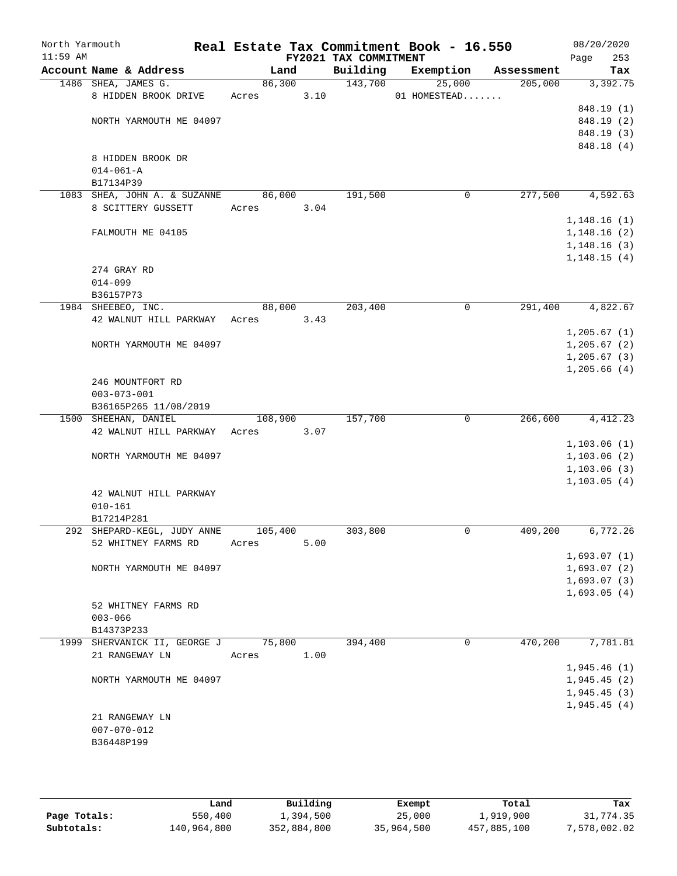| North Yarmouth<br>$11:59$ AM |                                           |         |      | FY2021 TAX COMMITMENT | Real Estate Tax Commitment Book - 16.550 |            | 08/20/2020<br>Page<br>253 |
|------------------------------|-------------------------------------------|---------|------|-----------------------|------------------------------------------|------------|---------------------------|
|                              | Account Name & Address                    | Land    |      | Building              | Exemption                                | Assessment | Tax                       |
|                              | 1486 SHEA, JAMES G.                       | 86,300  |      | 143,700               | 25,000                                   | 205,000    | 3,392.75                  |
|                              | 8 HIDDEN BROOK DRIVE                      | Acres   | 3.10 |                       | 01 HOMESTEAD                             |            |                           |
|                              |                                           |         |      |                       |                                          |            | 848.19 (1)                |
|                              | NORTH YARMOUTH ME 04097                   |         |      |                       |                                          |            | 848.19 (2)                |
|                              |                                           |         |      |                       |                                          |            | 848.19 (3)                |
|                              |                                           |         |      |                       |                                          |            | 848.18 (4)                |
|                              | 8 HIDDEN BROOK DR                         |         |      |                       |                                          |            |                           |
|                              | $014 - 061 - A$                           |         |      |                       |                                          |            |                           |
|                              | B17134P39<br>1083 SHEA, JOHN A. & SUZANNE | 86,000  |      | 191,500               | $\mathbf 0$                              | 277,500    | 4,592.63                  |
|                              | 8 SCITTERY GUSSETT                        | Acres   | 3.04 |                       |                                          |            |                           |
|                              |                                           |         |      |                       |                                          |            | 1,148.16(1)               |
|                              | FALMOUTH ME 04105                         |         |      |                       |                                          |            | 1,148.16(2)               |
|                              |                                           |         |      |                       |                                          |            | 1,148.16(3)               |
|                              |                                           |         |      |                       |                                          |            | 1, 148.15(4)              |
|                              | 274 GRAY RD                               |         |      |                       |                                          |            |                           |
|                              | $014 - 099$                               |         |      |                       |                                          |            |                           |
|                              | B36157P73                                 |         |      |                       |                                          |            |                           |
|                              | 1984 SHEEBEO, INC.                        | 88,000  |      | 203,400               | $\mathbf 0$                              | 291,400    | 4,822.67                  |
|                              | 42 WALNUT HILL PARKWAY                    | Acres   | 3.43 |                       |                                          |            |                           |
|                              |                                           |         |      |                       |                                          |            | 1, 205.67(1)              |
|                              | NORTH YARMOUTH ME 04097                   |         |      |                       |                                          |            | 1, 205.67(2)              |
|                              |                                           |         |      |                       |                                          |            | $1, 205.67$ (3)           |
|                              |                                           |         |      |                       |                                          |            | 1,205.66(4)               |
|                              | 246 MOUNTFORT RD                          |         |      |                       |                                          |            |                           |
|                              | $003 - 073 - 001$                         |         |      |                       |                                          |            |                           |
|                              | B36165P265 11/08/2019                     |         |      |                       |                                          |            |                           |
|                              | 1500 SHEEHAN, DANIEL                      | 108,900 |      | 157,700               | $\mathbf 0$                              | 266,600    | 4, 412.23                 |
|                              | 42 WALNUT HILL PARKWAY                    | Acres   | 3.07 |                       |                                          |            |                           |
|                              |                                           |         |      |                       |                                          |            | 1,103.06(1)               |
|                              | NORTH YARMOUTH ME 04097                   |         |      |                       |                                          |            | 1,103.06(2)               |
|                              |                                           |         |      |                       |                                          |            | 1, 103.06(3)              |
|                              |                                           |         |      |                       |                                          |            | 1, 103.05(4)              |
|                              | 42 WALNUT HILL PARKWAY                    |         |      |                       |                                          |            |                           |
|                              | $010 - 161$                               |         |      |                       |                                          |            |                           |
|                              | B17214P281                                |         |      |                       |                                          |            |                           |
|                              | 292 SHEPARD-KEGL, JUDY ANNE               | 105,400 |      | 303,800               | 0                                        | 409,200    | 6,772.26                  |
|                              | 52 WHITNEY FARMS RD                       | Acres   | 5.00 |                       |                                          |            | 1,693.07(1)               |
|                              | NORTH YARMOUTH ME 04097                   |         |      |                       |                                          |            | 1,693.07(2)               |
|                              |                                           |         |      |                       |                                          |            | 1,693.07(3)               |
|                              |                                           |         |      |                       |                                          |            | 1,693.05(4)               |
|                              | 52 WHITNEY FARMS RD                       |         |      |                       |                                          |            |                           |
|                              | $003 - 066$                               |         |      |                       |                                          |            |                           |
|                              | B14373P233                                |         |      |                       |                                          |            |                           |
|                              | 1999 SHERVANICK II, GEORGE J              | 75,800  |      | 394,400               | $\mathbf 0$                              | 470,200    | 7,781.81                  |
|                              | 21 RANGEWAY LN                            | Acres   | 1.00 |                       |                                          |            |                           |
|                              |                                           |         |      |                       |                                          |            | 1,945.46(1)               |
|                              | NORTH YARMOUTH ME 04097                   |         |      |                       |                                          |            | 1,945.45(2)               |
|                              |                                           |         |      |                       |                                          |            | 1,945.45(3)               |
|                              |                                           |         |      |                       |                                          |            | 1,945.45(4)               |
|                              | 21 RANGEWAY LN                            |         |      |                       |                                          |            |                           |
|                              | $007 - 070 - 012$                         |         |      |                       |                                          |            |                           |
|                              | B36448P199                                |         |      |                       |                                          |            |                           |
|                              |                                           |         |      |                       |                                          |            |                           |

|              | Land        | Building    | Exempt     | Total       | Tax          |
|--------------|-------------|-------------|------------|-------------|--------------|
| Page Totals: | 550,400     | 1,394,500   | 25,000     | 1,919,900   | 31,774.35    |
| Subtotals:   | 140,964,800 | 352,884,800 | 35,964,500 | 457,885,100 | 7,578,002.02 |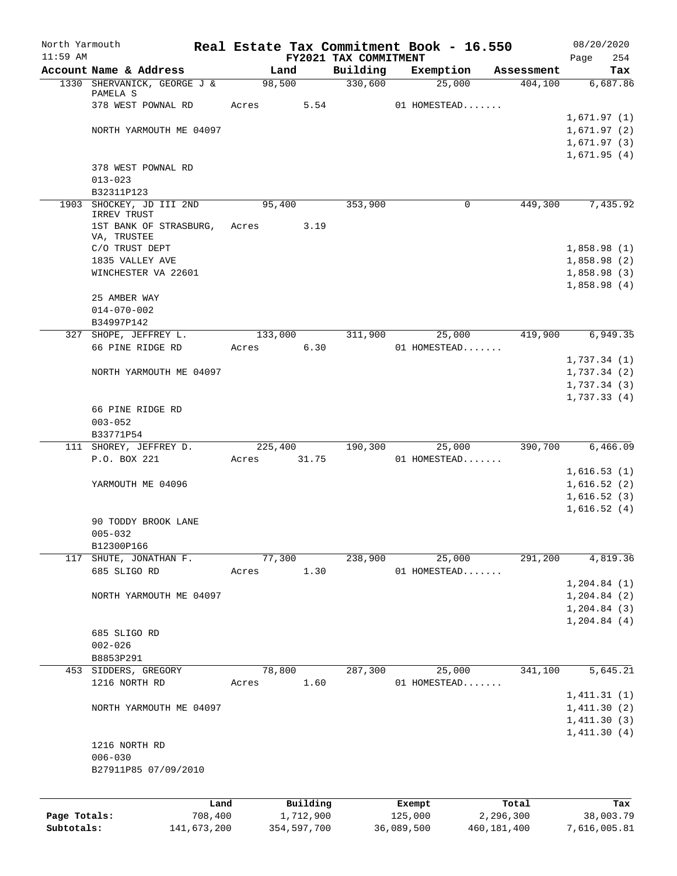| North Yarmouth |                                                       |                  |             |                       | Real Estate Tax Commitment Book - 16.550 |             |                       | 08/20/2020                     |
|----------------|-------------------------------------------------------|------------------|-------------|-----------------------|------------------------------------------|-------------|-----------------------|--------------------------------|
| $11:59$ AM     |                                                       |                  |             | FY2021 TAX COMMITMENT |                                          |             |                       | 254<br>Page                    |
|                | Account Name & Address<br>1330 SHERVANICK, GEORGE J & | Land<br>98,500   |             | Building<br>330,600   | Exemption<br>25,000                      |             | Assessment<br>404,100 | Tax<br>6,687.86                |
|                | PAMELA S                                              |                  |             |                       |                                          |             |                       |                                |
|                | 378 WEST POWNAL RD                                    | Acres            | 5.54        |                       | 01 HOMESTEAD                             |             |                       |                                |
|                |                                                       |                  |             |                       |                                          |             |                       | 1,671.97(1)                    |
|                | NORTH YARMOUTH ME 04097                               |                  |             |                       |                                          |             |                       | 1,671.97(2)                    |
|                |                                                       |                  |             |                       |                                          |             |                       | 1,671.97(3)                    |
|                |                                                       |                  |             |                       |                                          |             |                       | 1,671.95(4)                    |
|                | 378 WEST POWNAL RD                                    |                  |             |                       |                                          |             |                       |                                |
|                | $013 - 023$                                           |                  |             |                       |                                          |             |                       |                                |
|                | B32311P123                                            |                  |             |                       |                                          |             |                       |                                |
|                | 1903 SHOCKEY, JD III 2ND<br>IRREV TRUST               | 95,400           |             | 353,900               |                                          | 0           | 449,300               | 7,435.92                       |
|                | 1ST BANK OF STRASBURG,                                | Acres            | 3.19        |                       |                                          |             |                       |                                |
|                | VA, TRUSTEE                                           |                  |             |                       |                                          |             |                       |                                |
|                | C/O TRUST DEPT                                        |                  |             |                       |                                          |             |                       | 1,858.98(1)                    |
|                | 1835 VALLEY AVE                                       |                  |             |                       |                                          |             |                       | 1,858.98(2)                    |
|                | WINCHESTER VA 22601                                   |                  |             |                       |                                          |             |                       | 1,858.98(3)                    |
|                |                                                       |                  |             |                       |                                          |             |                       | 1,858.98(4)                    |
|                | 25 AMBER WAY                                          |                  |             |                       |                                          |             |                       |                                |
|                | $014 - 070 - 002$                                     |                  |             |                       |                                          |             |                       |                                |
|                | B34997P142<br>327 SHOPE, JEFFREY L.                   |                  |             | 311,900               | 25,000                                   |             | 419,900               | 6,949.35                       |
|                | 66 PINE RIDGE RD                                      | 133,000<br>Acres | 6.30        |                       | 01 HOMESTEAD                             |             |                       |                                |
|                |                                                       |                  |             |                       |                                          |             |                       | 1,737.34(1)                    |
|                | NORTH YARMOUTH ME 04097                               |                  |             |                       |                                          |             |                       | 1,737.34(2)                    |
|                |                                                       |                  |             |                       |                                          |             |                       | 1,737.34(3)                    |
|                |                                                       |                  |             |                       |                                          |             |                       | 1,737.33(4)                    |
|                | 66 PINE RIDGE RD                                      |                  |             |                       |                                          |             |                       |                                |
|                | $003 - 052$                                           |                  |             |                       |                                          |             |                       |                                |
|                | B33771P54                                             |                  |             |                       |                                          |             |                       |                                |
|                | 111 SHOREY, JEFFREY D.                                | 225,400          |             | 190,300               | 25,000                                   |             | 390,700               | 6,466.09                       |
|                | P.O. BOX 221                                          | Acres            | 31.75       |                       | 01 HOMESTEAD                             |             |                       |                                |
|                |                                                       |                  |             |                       |                                          |             |                       | 1,616.53(1)                    |
|                | YARMOUTH ME 04096                                     |                  |             |                       |                                          |             |                       | 1,616.52(2)                    |
|                |                                                       |                  |             |                       |                                          |             |                       | 1,616.52(3)                    |
|                |                                                       |                  |             |                       |                                          |             |                       | 1,616.52(4)                    |
|                | 90 TODDY BROOK LANE                                   |                  |             |                       |                                          |             |                       |                                |
|                | $005 - 032$                                           |                  |             |                       |                                          |             |                       |                                |
|                | B12300P166<br>117 SHUTE, JONATHAN F.                  |                  |             | 238,900               |                                          |             |                       |                                |
|                | 685 SLIGO RD                                          | 77,300           | 1.30        |                       | 25,000<br>01 HOMESTEAD                   |             | 291,200               | 4,819.36                       |
|                |                                                       | Acres            |             |                       |                                          |             |                       |                                |
|                | NORTH YARMOUTH ME 04097                               |                  |             |                       |                                          |             |                       | 1,204.84(1)<br>$1, 204.84$ (2) |
|                |                                                       |                  |             |                       |                                          |             |                       | $1, 204.84$ (3)                |
|                |                                                       |                  |             |                       |                                          |             |                       | 1,204.84(4)                    |
|                | 685 SLIGO RD                                          |                  |             |                       |                                          |             |                       |                                |
|                | $002 - 026$                                           |                  |             |                       |                                          |             |                       |                                |
|                | B8853P291                                             |                  |             |                       |                                          |             |                       |                                |
|                | 453 SIDDERS, GREGORY                                  | 78,800           |             | 287,300               | 25,000                                   |             | 341,100               | 5,645.21                       |
|                | 1216 NORTH RD                                         | Acres            | 1.60        |                       | 01 HOMESTEAD                             |             |                       |                                |
|                |                                                       |                  |             |                       |                                          |             |                       | 1,411.31(1)                    |
|                | NORTH YARMOUTH ME 04097                               |                  |             |                       |                                          |             |                       | 1,411.30(2)                    |
|                |                                                       |                  |             |                       |                                          |             |                       | 1,411.30(3)                    |
|                |                                                       |                  |             |                       |                                          |             |                       | 1,411.30(4)                    |
|                | 1216 NORTH RD                                         |                  |             |                       |                                          |             |                       |                                |
|                | $006 - 030$                                           |                  |             |                       |                                          |             |                       |                                |
|                | B27911P85 07/09/2010                                  |                  |             |                       |                                          |             |                       |                                |
|                |                                                       |                  |             |                       |                                          |             |                       |                                |
|                | Land                                                  |                  | Building    |                       | Exempt                                   |             | Total                 | Tax                            |
| Page Totals:   | 708,400                                               |                  | 1,712,900   |                       | 125,000                                  | 2,296,300   |                       | 38,003.79                      |
| Subtotals:     | 141,673,200                                           |                  | 354,597,700 |                       | 36,089,500                               | 460,181,400 |                       | 7,616,005.81                   |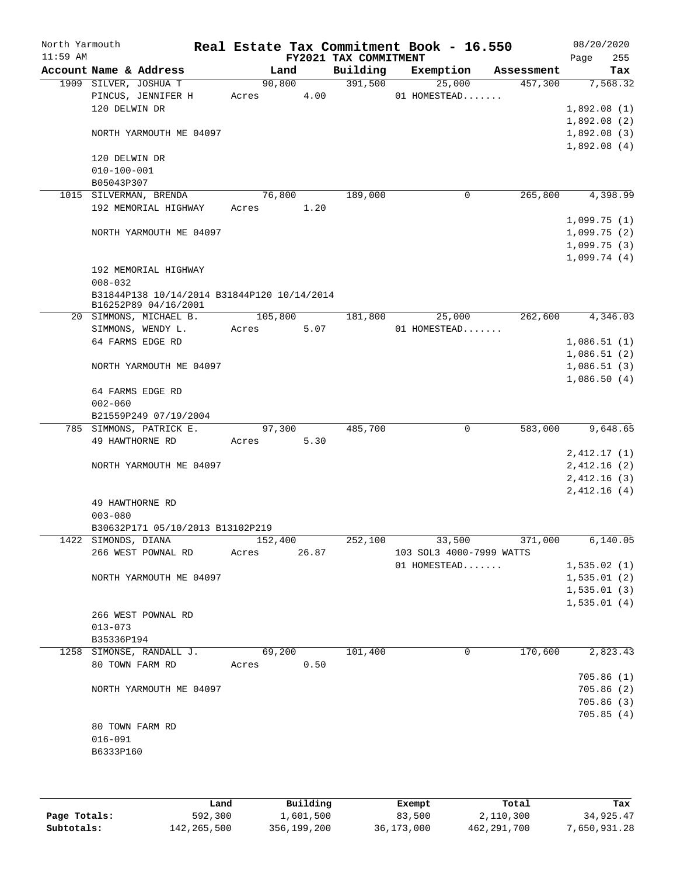| North Yarmouth<br>$11:59$ AM |                                                                     |         |       | Real Estate Tax Commitment Book - 16.550<br>FY2021 TAX COMMITMENT |                                    |            | 08/20/2020<br>255<br>Page |
|------------------------------|---------------------------------------------------------------------|---------|-------|-------------------------------------------------------------------|------------------------------------|------------|---------------------------|
|                              | Account Name & Address                                              | Land    |       | Building                                                          | Exemption                          | Assessment | Tax                       |
|                              | 1909 SILVER, JOSHUA T                                               | 90,800  |       | 391,500                                                           | 25,000                             | 457,300    | 7,568.32                  |
|                              | PINCUS, JENNIFER H                                                  | Acres   | 4.00  |                                                                   | 01 HOMESTEAD                       |            |                           |
|                              | 120 DELWIN DR                                                       |         |       |                                                                   |                                    |            | 1,892.08(1)               |
|                              |                                                                     |         |       |                                                                   |                                    |            | 1,892.08(2)               |
|                              | NORTH YARMOUTH ME 04097                                             |         |       |                                                                   |                                    |            | 1,892.08(3)               |
|                              |                                                                     |         |       |                                                                   |                                    |            | 1,892.08(4)               |
|                              | 120 DELWIN DR                                                       |         |       |                                                                   |                                    |            |                           |
|                              | $010 - 100 - 001$                                                   |         |       |                                                                   |                                    |            |                           |
|                              | B05043P307                                                          |         |       |                                                                   |                                    |            |                           |
|                              | 1015 SILVERMAN, BRENDA<br>192 MEMORIAL HIGHWAY                      | 76,800  | 1.20  | 189,000                                                           | 0                                  | 265,800    | 4,398.99                  |
|                              |                                                                     | Acres   |       |                                                                   |                                    |            | 1,099.75(1)               |
|                              | NORTH YARMOUTH ME 04097                                             |         |       |                                                                   |                                    |            | 1,099.75(2)               |
|                              |                                                                     |         |       |                                                                   |                                    |            | 1,099.75(3)               |
|                              |                                                                     |         |       |                                                                   |                                    |            | 1,099.74(4)               |
|                              | 192 MEMORIAL HIGHWAY                                                |         |       |                                                                   |                                    |            |                           |
|                              | $008 - 032$                                                         |         |       |                                                                   |                                    |            |                           |
|                              | B31844P138 10/14/2014 B31844P120 10/14/2014<br>B16252P89 04/16/2001 |         |       |                                                                   |                                    |            |                           |
|                              | 20 SIMMONS, MICHAEL B.                                              | 105,800 |       | 181,800                                                           | 25,000                             | 262,600    | 4,346.03                  |
|                              | SIMMONS, WENDY L.                                                   | Acres   | 5.07  |                                                                   | 01 HOMESTEAD                       |            |                           |
|                              | 64 FARMS EDGE RD                                                    |         |       |                                                                   |                                    |            | 1,086.51(1)               |
|                              |                                                                     |         |       |                                                                   |                                    |            | 1,086.51(2)               |
|                              | NORTH YARMOUTH ME 04097                                             |         |       |                                                                   |                                    |            | 1,086.51(3)               |
|                              |                                                                     |         |       |                                                                   |                                    |            | 1,086.50(4)               |
|                              | 64 FARMS EDGE RD                                                    |         |       |                                                                   |                                    |            |                           |
|                              | $002 - 060$                                                         |         |       |                                                                   |                                    |            |                           |
|                              | B21559P249 07/19/2004                                               |         |       |                                                                   |                                    |            |                           |
|                              | 785 SIMMONS, PATRICK E.                                             | 97,300  |       | 485,700                                                           | $\mathbf 0$                        | 583,000    | 9,648.65                  |
|                              | 49 HAWTHORNE RD                                                     | Acres   | 5.30  |                                                                   |                                    |            |                           |
|                              |                                                                     |         |       |                                                                   |                                    |            | 2,412.17(1)               |
|                              | NORTH YARMOUTH ME 04097                                             |         |       |                                                                   |                                    |            | 2,412.16(2)               |
|                              |                                                                     |         |       |                                                                   |                                    |            | 2,412.16(3)               |
|                              |                                                                     |         |       |                                                                   |                                    |            | 2,412.16(4)               |
|                              | 49 HAWTHORNE RD                                                     |         |       |                                                                   |                                    |            |                           |
|                              | $003 - 080$                                                         |         |       |                                                                   |                                    |            |                           |
|                              | B30632P171 05/10/2013 B13102P219                                    | 152,400 |       |                                                                   |                                    |            |                           |
|                              | 1422 SIMONDS, DIANA<br>266 WEST POWNAL RD                           | Acres   | 26.87 | 252,100                                                           | 33,500<br>103 SOL3 4000-7999 WATTS | 371,000    | 6,140.05                  |
|                              |                                                                     |         |       |                                                                   | 01 HOMESTEAD                       |            | 1,535.02(1)               |
|                              | NORTH YARMOUTH ME 04097                                             |         |       |                                                                   |                                    |            | 1,535.01(2)               |
|                              |                                                                     |         |       |                                                                   |                                    |            | 1,535.01(3)               |
|                              |                                                                     |         |       |                                                                   |                                    |            | 1,535.01(4)               |
|                              | 266 WEST POWNAL RD                                                  |         |       |                                                                   |                                    |            |                           |
|                              | $013 - 073$                                                         |         |       |                                                                   |                                    |            |                           |
|                              | B35336P194                                                          |         |       |                                                                   |                                    |            |                           |
|                              | 1258 SIMONSE, RANDALL J.                                            | 69,200  |       | 101,400                                                           | 0                                  | 170,600    | 2,823.43                  |
|                              | 80 TOWN FARM RD                                                     | Acres   | 0.50  |                                                                   |                                    |            |                           |
|                              |                                                                     |         |       |                                                                   |                                    |            | 705.86(1)                 |
|                              | NORTH YARMOUTH ME 04097                                             |         |       |                                                                   |                                    |            | 705.86(2)                 |
|                              |                                                                     |         |       |                                                                   |                                    |            | 705.86(3)                 |
|                              |                                                                     |         |       |                                                                   |                                    |            | 705.85(4)                 |
|                              | 80 TOWN FARM RD                                                     |         |       |                                                                   |                                    |            |                           |
|                              | $016 - 091$                                                         |         |       |                                                                   |                                    |            |                           |
|                              | B6333P160                                                           |         |       |                                                                   |                                    |            |                           |
|                              |                                                                     |         |       |                                                                   |                                    |            |                           |
|                              |                                                                     |         |       |                                                                   |                                    |            |                           |

|              | Land        | Building    | Exempt     | Total       | Tax          |
|--------------|-------------|-------------|------------|-------------|--------------|
| Page Totals: | 592,300     | 1,601,500   | 83,500     | 2,110,300   | 34,925.47    |
| Subtotals:   | 142,265,500 | 356,199,200 | 36,173,000 | 462,291,700 | 7,650,931.28 |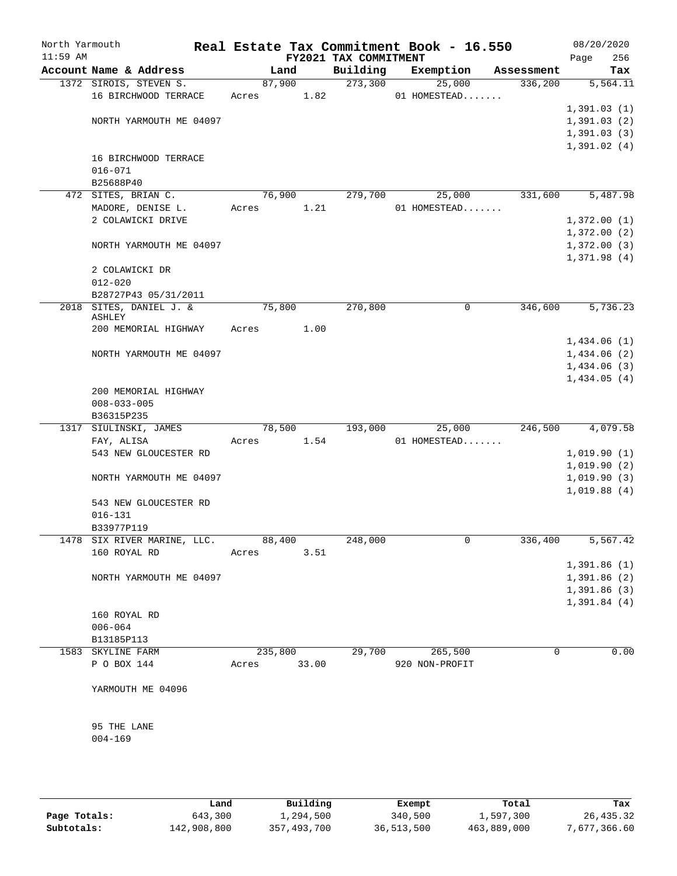| North Yarmouth<br>$11:59$ AM |                                |        |         | FY2021 TAX COMMITMENT | Real Estate Tax Commitment Book - 16.550 |             | 08/20/2020<br>256<br>Page |
|------------------------------|--------------------------------|--------|---------|-----------------------|------------------------------------------|-------------|---------------------------|
|                              | Account Name & Address         |        | Land    | Building              | Exemption                                | Assessment  | Tax                       |
|                              | 1372 SIROIS, STEVEN S.         | 87,900 |         | 273,300               | 25,000                                   | 336,200     | 5,564.11                  |
|                              | 16 BIRCHWOOD TERRACE           | Acres  | 1.82    |                       | 01 HOMESTEAD                             |             |                           |
|                              |                                |        |         |                       |                                          |             | 1,391.03(1)               |
|                              | NORTH YARMOUTH ME 04097        |        |         |                       |                                          |             | 1,391.03(2)               |
|                              |                                |        |         |                       |                                          |             | 1,391.03(3)               |
|                              |                                |        |         |                       |                                          |             | 1,391.02(4)               |
|                              | 16 BIRCHWOOD TERRACE           |        |         |                       |                                          |             |                           |
|                              | $016 - 071$                    |        |         |                       |                                          |             |                           |
|                              | B25688P40                      |        |         |                       |                                          |             |                           |
|                              | 472 SITES, BRIAN C.            | 76,900 |         | 279,700               | 25,000                                   | 331,600     | 5,487.98                  |
|                              | MADORE, DENISE L.              | Acres  | 1.21    |                       | 01 HOMESTEAD                             |             |                           |
|                              | 2 COLAWICKI DRIVE              |        |         |                       |                                          |             | 1,372.00(1)               |
|                              |                                |        |         |                       |                                          |             | 1,372.00(2)               |
|                              | NORTH YARMOUTH ME 04097        |        |         |                       |                                          |             | 1,372.00(3)               |
|                              |                                |        |         |                       |                                          |             | 1,371.98(4)               |
|                              | 2 COLAWICKI DR                 |        |         |                       |                                          |             |                           |
|                              | $012 - 020$                    |        |         |                       |                                          |             |                           |
|                              | B28727P43 05/31/2011           |        |         |                       |                                          |             |                           |
| 2018                         | SITES, DANIEL J. &             | 75,800 |         | 270,800               | 0                                        | 346,600     | 5,736.23                  |
|                              | ASHLEY<br>200 MEMORIAL HIGHWAY | Acres  | 1.00    |                       |                                          |             |                           |
|                              |                                |        |         |                       |                                          |             | 1,434.06(1)               |
|                              | NORTH YARMOUTH ME 04097        |        |         |                       |                                          |             | 1,434.06(2)               |
|                              |                                |        |         |                       |                                          |             | 1,434.06(3)               |
|                              |                                |        |         |                       |                                          |             | 1,434.05(4)               |
|                              | 200 MEMORIAL HIGHWAY           |        |         |                       |                                          |             |                           |
|                              | $008 - 033 - 005$              |        |         |                       |                                          |             |                           |
|                              | B36315P235                     |        |         |                       |                                          |             |                           |
|                              | 1317 SIULINSKI, JAMES          | 78,500 |         | 193,000               | 25,000                                   | 246,500     | 4,079.58                  |
|                              | FAY, ALISA                     | Acres  | 1.54    |                       | 01 HOMESTEAD                             |             |                           |
|                              | 543 NEW GLOUCESTER RD          |        |         |                       |                                          |             | 1,019.90(1)               |
|                              |                                |        |         |                       |                                          |             | 1,019.90(2)               |
|                              | NORTH YARMOUTH ME 04097        |        |         |                       |                                          |             | 1,019.90(3)               |
|                              |                                |        |         |                       |                                          |             | 1,019.88(4)               |
|                              | 543 NEW GLOUCESTER RD          |        |         |                       |                                          |             |                           |
|                              | $016 - 131$                    |        |         |                       |                                          |             |                           |
|                              | B33977P119                     |        |         |                       |                                          |             |                           |
|                              | 1478 SIX RIVER MARINE, LLC.    | 88,400 |         | 248,000               | 0                                        | 336,400     | 5,567.42                  |
|                              | 160 ROYAL RD                   | Acres  | 3.51    |                       |                                          |             |                           |
|                              |                                |        |         |                       |                                          |             | 1,391.86(1)               |
|                              | NORTH YARMOUTH ME 04097        |        |         |                       |                                          |             | 1,391.86(2)               |
|                              |                                |        |         |                       |                                          |             | 1,391.86(3)               |
|                              |                                |        |         |                       |                                          |             | 1,391.84(4)               |
|                              | 160 ROYAL RD                   |        |         |                       |                                          |             |                           |
|                              | $006 - 064$                    |        |         |                       |                                          |             |                           |
|                              | B13185P113                     |        |         |                       |                                          |             |                           |
|                              | 1583 SKYLINE FARM              |        | 235,800 | 29,700                | 265,500                                  | $\mathbf 0$ | 0.00                      |
|                              | P O BOX 144                    | Acres  | 33.00   |                       | 920 NON-PROFIT                           |             |                           |
|                              |                                |        |         |                       |                                          |             |                           |
|                              | YARMOUTH ME 04096              |        |         |                       |                                          |             |                           |
|                              |                                |        |         |                       |                                          |             |                           |
|                              | 95 THE LANE                    |        |         |                       |                                          |             |                           |
|                              | $004 - 169$                    |        |         |                       |                                          |             |                           |
|                              |                                |        |         |                       |                                          |             |                           |
|                              |                                |        |         |                       |                                          |             |                           |

|              | Land        | Building    | Exempt     | Total       | Tax          |
|--------------|-------------|-------------|------------|-------------|--------------|
| Page Totals: | 643,300     | 1,294,500   | 340,500    | 1,597,300   | 26,435.32    |
| Subtotals:   | 142,908,800 | 357,493,700 | 36,513,500 | 463,889,000 | 7,677,366.60 |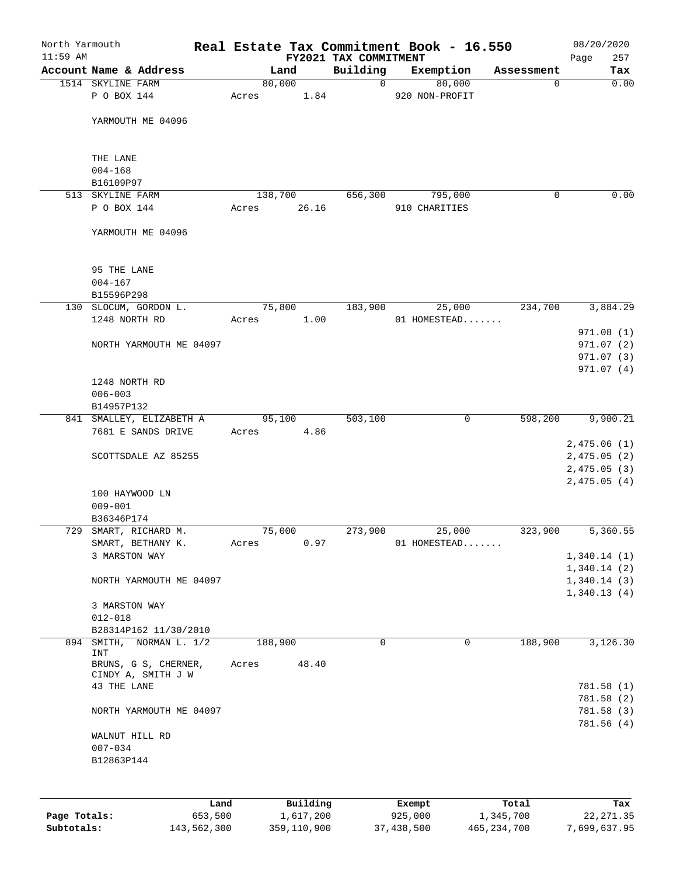| North Yarmouth<br>$11:59$ AM |                                            |         |           | FY2021 TAX COMMITMENT | Real Estate Tax Commitment Book - 16.550 |            | 08/20/2020<br>257<br>Page |
|------------------------------|--------------------------------------------|---------|-----------|-----------------------|------------------------------------------|------------|---------------------------|
|                              | Account Name & Address                     |         | Land      | Building              | Exemption                                | Assessment | Tax                       |
|                              | 1514 SKYLINE FARM                          | 80,000  |           | $\overline{0}$        | 80,000                                   | $\Omega$   | 0.00                      |
|                              | P O BOX 144                                | Acres   | 1.84      |                       | 920 NON-PROFIT                           |            |                           |
|                              | YARMOUTH ME 04096                          |         |           |                       |                                          |            |                           |
|                              | THE LANE                                   |         |           |                       |                                          |            |                           |
|                              | $004 - 168$                                |         |           |                       |                                          |            |                           |
|                              | B16109P97                                  |         |           |                       |                                          |            |                           |
|                              | 513 SKYLINE FARM                           | 138,700 |           | 656,300               | 795,000                                  | 0          | 0.00                      |
|                              | P O BOX 144                                | Acres   | 26.16     |                       | 910 CHARITIES                            |            |                           |
|                              | YARMOUTH ME 04096                          |         |           |                       |                                          |            |                           |
|                              | 95 THE LANE                                |         |           |                       |                                          |            |                           |
|                              | $004 - 167$                                |         |           |                       |                                          |            |                           |
|                              | B15596P298                                 |         |           |                       |                                          |            |                           |
|                              | 130 SLOCUM, GORDON L.                      | 75,800  |           | 183,900               | 25,000                                   | 234,700    | 3,884.29                  |
|                              | 1248 NORTH RD                              | Acres   | 1.00      |                       | 01 HOMESTEAD                             |            | 971.08(1)                 |
|                              | NORTH YARMOUTH ME 04097                    |         |           |                       |                                          |            | 971.07(2)                 |
|                              |                                            |         |           |                       |                                          |            | 971.07 (3)                |
|                              |                                            |         |           |                       |                                          |            | 971.07(4)                 |
|                              | 1248 NORTH RD                              |         |           |                       |                                          |            |                           |
|                              | $006 - 003$                                |         |           |                       |                                          |            |                           |
|                              | B14957P132                                 |         |           |                       |                                          |            |                           |
|                              | 841 SMALLEY, ELIZABETH A                   | 95,100  |           | 503,100               | 0                                        | 598,200    | 9,900.21                  |
|                              | 7681 E SANDS DRIVE                         | Acres   | 4.86      |                       |                                          |            |                           |
|                              |                                            |         |           |                       |                                          |            | 2,475.06(1)               |
|                              | SCOTTSDALE AZ 85255                        |         |           |                       |                                          |            | 2,475.05(2)               |
|                              |                                            |         |           |                       |                                          |            | 2,475.05(3)               |
|                              | 100 HAYWOOD LN                             |         |           |                       |                                          |            | 2,475.05(4)               |
|                              | $009 - 001$                                |         |           |                       |                                          |            |                           |
|                              | B36346P174                                 |         |           |                       |                                          |            |                           |
|                              | 729 SMART, RICHARD M.                      | 75,000  |           | 273,900               | 25,000                                   | 323,900    | 5,360.55                  |
|                              | SMART, BETHANY K.                          | Acres   | 0.97      |                       | 01 HOMESTEAD                             |            |                           |
|                              | 3 MARSTON WAY                              |         |           |                       |                                          |            | 1,340.14(1)               |
|                              |                                            |         |           |                       |                                          |            | 1,340.14(2)               |
|                              | NORTH YARMOUTH ME 04097                    |         |           |                       |                                          |            | 1,340.14(3)               |
|                              |                                            |         |           |                       |                                          |            | 1,340.13(4)               |
|                              | 3 MARSTON WAY                              |         |           |                       |                                          |            |                           |
|                              | $012 - 018$                                |         |           |                       |                                          |            |                           |
|                              | B28314P162 11/30/2010                      |         |           |                       |                                          |            |                           |
| 894                          | SMITH, NORMAN L. 1/2<br><b>INT</b>         | 188,900 |           | 0                     | 0                                        | 188,900    | 3,126.30                  |
|                              | BRUNS, G S, CHERNER,<br>CINDY A, SMITH J W | Acres   | 48.40     |                       |                                          |            |                           |
|                              | 43 THE LANE                                |         |           |                       |                                          |            | 781.58 (1)                |
|                              |                                            |         |           |                       |                                          |            | 781.58 (2)                |
|                              | NORTH YARMOUTH ME 04097                    |         |           |                       |                                          |            | 781.58 (3)                |
|                              |                                            |         |           |                       |                                          |            | 781.56 (4)                |
|                              | WALNUT HILL RD                             |         |           |                       |                                          |            |                           |
|                              | $007 - 034$                                |         |           |                       |                                          |            |                           |
|                              | B12863P144                                 |         |           |                       |                                          |            |                           |
|                              |                                            |         |           |                       |                                          |            |                           |
|                              | Land                                       |         | Building  |                       | Exempt                                   | Total      | Tax                       |
| Page Totals:                 | 653,500                                    |         | 1,617,200 |                       | 925,000                                  | 1,345,700  | 22, 271.35                |

**Subtotals:** 143,562,300 359,110,900 37,438,500 465,234,700 7,699,637.95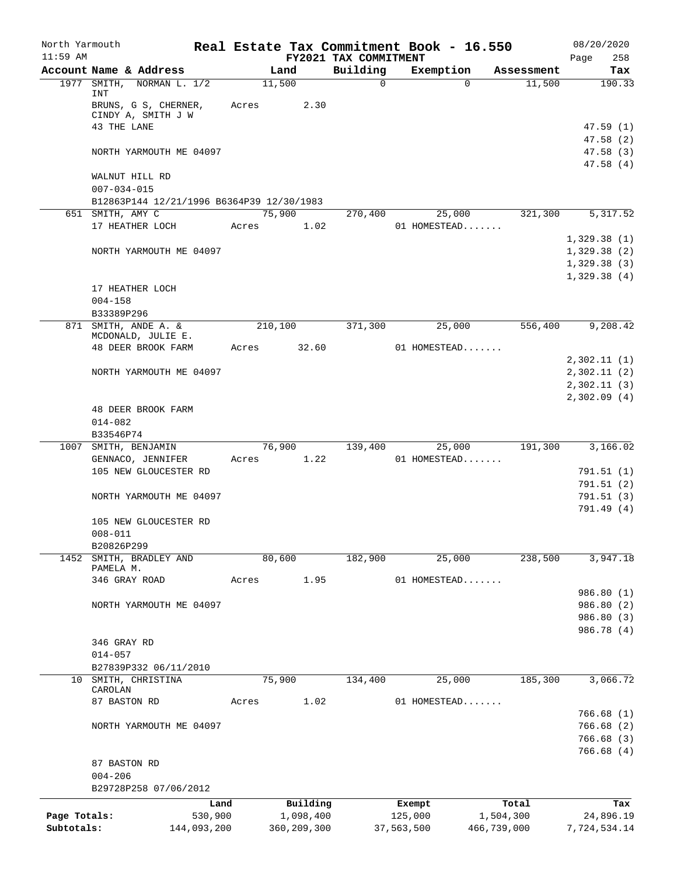| North Yarmouth<br>$11:59$ AM |                                           |       |               |                                   | Real Estate Tax Commitment Book - 16.550 |             | 08/20/2020         |
|------------------------------|-------------------------------------------|-------|---------------|-----------------------------------|------------------------------------------|-------------|--------------------|
|                              | Account Name & Address                    |       | Land          | FY2021 TAX COMMITMENT<br>Building | Exemption                                | Assessment  | 258<br>Page<br>Tax |
|                              | NORMAN L. 1/2<br>1977 SMITH,              |       | 11,500        | $\mathbf 0$                       | $\Omega$                                 | 11,500      | 190.33             |
|                              | INT                                       |       |               |                                   |                                          |             |                    |
|                              | BRUNS, G S, CHERNER,                      | Acres | 2.30          |                                   |                                          |             |                    |
|                              | CINDY A, SMITH J W<br>43 THE LANE         |       |               |                                   |                                          |             | 47.59(1)           |
|                              |                                           |       |               |                                   |                                          |             | 47.58(2)           |
|                              | NORTH YARMOUTH ME 04097                   |       |               |                                   |                                          |             | 47.58(3)           |
|                              |                                           |       |               |                                   |                                          |             | 47.58(4)           |
|                              | WALNUT HILL RD<br>$007 - 034 - 015$       |       |               |                                   |                                          |             |                    |
|                              | B12863P144 12/21/1996 B6364P39 12/30/1983 |       |               |                                   |                                          |             |                    |
|                              | 651 SMITH, AMY C                          |       | 75,900        | 270,400                           | 25,000                                   | 321,300     | 5,317.52           |
|                              | 17 HEATHER LOCH                           | Acres | 1.02          |                                   | 01 HOMESTEAD                             |             |                    |
|                              |                                           |       |               |                                   |                                          |             | 1,329.38(1)        |
|                              | NORTH YARMOUTH ME 04097                   |       |               |                                   |                                          |             | 1,329.38(2)        |
|                              |                                           |       |               |                                   |                                          |             | 1,329.38(3)        |
|                              |                                           |       |               |                                   |                                          |             | 1,329.38(4)        |
|                              | 17 HEATHER LOCH                           |       |               |                                   |                                          |             |                    |
|                              | $004 - 158$                               |       |               |                                   |                                          |             |                    |
|                              | B33389P296                                |       |               |                                   |                                          |             |                    |
|                              | 871 SMITH, ANDE A. &                      |       | 210,100       | 371,300                           | 25,000                                   | 556,400     | 9,208.42           |
|                              | MCDONALD, JULIE E.                        |       |               |                                   |                                          |             |                    |
|                              | 48 DEER BROOK FARM                        | Acres | 32.60         |                                   | 01 HOMESTEAD                             |             |                    |
|                              |                                           |       |               |                                   |                                          |             | 2,302.11(1)        |
|                              | NORTH YARMOUTH ME 04097                   |       |               |                                   |                                          |             | 2,302.11(2)        |
|                              |                                           |       |               |                                   |                                          |             | 2,302.11(3)        |
|                              |                                           |       |               |                                   |                                          |             | 2,302.09(4)        |
|                              | 48 DEER BROOK FARM                        |       |               |                                   |                                          |             |                    |
|                              | $014 - 082$                               |       |               |                                   |                                          |             |                    |
|                              | B33546P74<br>1007 SMITH, BENJAMIN         |       | 76,900        | 139,400                           | 25,000                                   | 191,300     | 3,166.02           |
|                              | GENNACO, JENNIFER                         | Acres | 1.22          |                                   | 01 HOMESTEAD                             |             |                    |
|                              | 105 NEW GLOUCESTER RD                     |       |               |                                   |                                          |             | 791.51 (1)         |
|                              |                                           |       |               |                                   |                                          |             | 791.51(2)          |
|                              | NORTH YARMOUTH ME 04097                   |       |               |                                   |                                          |             | 791.51(3)          |
|                              |                                           |       |               |                                   |                                          |             | 791.49(4)          |
|                              | 105 NEW GLOUCESTER RD                     |       |               |                                   |                                          |             |                    |
|                              | $008 - 011$                               |       |               |                                   |                                          |             |                    |
|                              | B20826P299                                |       |               |                                   |                                          |             |                    |
| 1452                         | SMITH, BRADLEY AND                        |       | 80,600        | 182,900                           | 25,000                                   | 238,500     | 3,947.18           |
|                              | PAMELA M.                                 |       |               |                                   |                                          |             |                    |
|                              | 346 GRAY ROAD                             | Acres | 1.95          |                                   | 01 HOMESTEAD                             |             |                    |
|                              |                                           |       |               |                                   |                                          |             | 986.80 (1)         |
|                              | NORTH YARMOUTH ME 04097                   |       |               |                                   |                                          |             | 986.80 (2)         |
|                              |                                           |       |               |                                   |                                          |             | 986.80 (3)         |
|                              |                                           |       |               |                                   |                                          |             | 986.78 (4)         |
|                              | 346 GRAY RD                               |       |               |                                   |                                          |             |                    |
|                              | $014 - 057$                               |       |               |                                   |                                          |             |                    |
|                              | B27839P332 06/11/2010                     |       |               |                                   |                                          |             |                    |
|                              | 10 SMITH, CHRISTINA<br>CAROLAN            |       | 75,900        | 134,400                           | 25,000                                   | 185,300     | 3,066.72           |
|                              | 87 BASTON RD                              | Acres | 1.02          |                                   | 01 HOMESTEAD                             |             |                    |
|                              |                                           |       |               |                                   |                                          |             | 766.68(1)          |
|                              | NORTH YARMOUTH ME 04097                   |       |               |                                   |                                          |             | 766.68 (2)         |
|                              |                                           |       |               |                                   |                                          |             | 766.68(3)          |
|                              |                                           |       |               |                                   |                                          |             | 766.68(4)          |
|                              | 87 BASTON RD                              |       |               |                                   |                                          |             |                    |
|                              | $004 - 206$                               |       |               |                                   |                                          |             |                    |
|                              | B29728P258 07/06/2012                     |       |               |                                   |                                          |             |                    |
|                              |                                           | Land  | Building      |                                   | Exempt                                   | Total       | Tax                |
| Page Totals:                 | 530,900                                   |       | 1,098,400     |                                   | 125,000                                  | 1,504,300   | 24,896.19          |
| Subtotals:                   | 144,093,200                               |       | 360, 209, 300 |                                   | 37,563,500                               | 466,739,000 | 7,724,534.14       |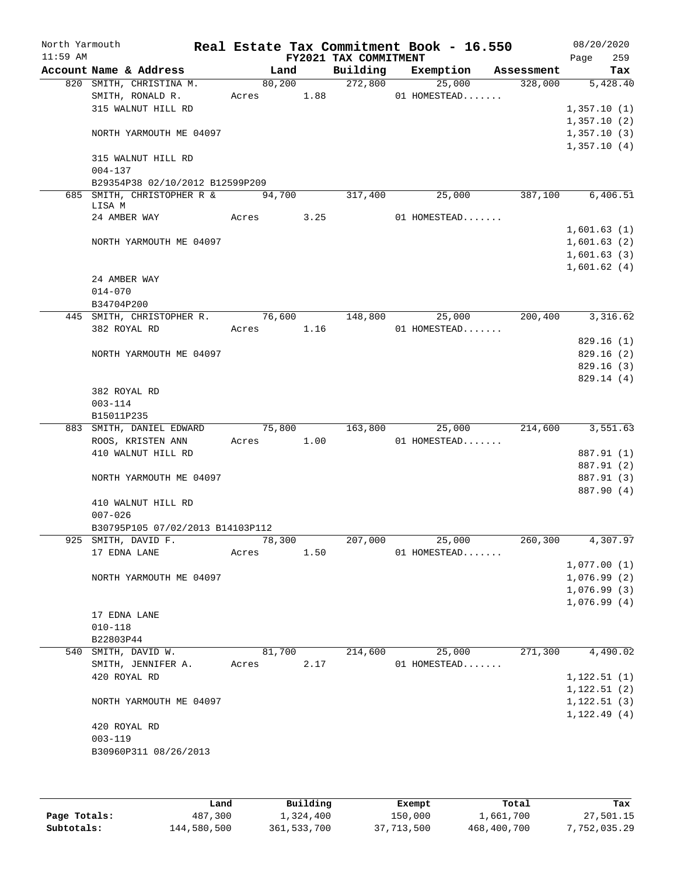| North Yarmouth<br>$11:59$ AM |                                          |        |            |      | FY2021 TAX COMMITMENT | Real Estate Tax Commitment Book - 16.550 |                      | 08/20/2020<br>259<br>Page |
|------------------------------|------------------------------------------|--------|------------|------|-----------------------|------------------------------------------|----------------------|---------------------------|
|                              | Account Name & Address                   |        | Land       |      | Building              |                                          | Exemption Assessment | Tax                       |
|                              | 820 SMITH, CHRISTINA M.                  |        | 80,200     |      | 272,800               | 25,000                                   | 328,000              | 5,428.40                  |
|                              | SMITH, RONALD R.                         |        | Acres 1.88 |      |                       | 01 HOMESTEAD                             |                      |                           |
|                              | 315 WALNUT HILL RD                       |        |            |      |                       |                                          |                      | 1,357.10(1)               |
|                              |                                          |        |            |      |                       |                                          |                      | 1,357.10(2)               |
|                              | NORTH YARMOUTH ME 04097                  |        |            |      |                       |                                          |                      | 1,357.10(3)               |
|                              |                                          |        |            |      |                       |                                          |                      | 1,357.10(4)               |
|                              | 315 WALNUT HILL RD<br>$004 - 137$        |        |            |      |                       |                                          |                      |                           |
|                              | B29354P38 02/10/2012 B12599P209          |        |            |      |                       |                                          |                      |                           |
|                              | 685 SMITH, CHRISTOPHER R &               | 94,700 |            |      | 317,400               | 25,000                                   | 387,100              | 6,406.51                  |
|                              | LISA M                                   |        |            |      |                       |                                          |                      |                           |
|                              | 24 AMBER WAY                             |        | Acres 3.25 |      |                       | 01 HOMESTEAD                             |                      |                           |
|                              |                                          |        |            |      |                       |                                          |                      | 1,601.63(1)               |
|                              | NORTH YARMOUTH ME 04097                  |        |            |      |                       |                                          |                      | 1,601.63(2)               |
|                              |                                          |        |            |      |                       |                                          |                      | 1,601.63(3)               |
|                              |                                          |        |            |      |                       |                                          |                      | 1,601.62(4)               |
|                              | 24 AMBER WAY                             |        |            |      |                       |                                          |                      |                           |
|                              | $014 - 070$                              |        |            |      |                       |                                          |                      |                           |
|                              | B34704P200                               |        |            |      |                       |                                          |                      |                           |
|                              | 445 SMITH, CHRISTOPHER R. 76,600 148,800 |        |            |      |                       | 25,000<br>01 HOMESTEAD                   | 200,400              | 3,316.62                  |
|                              | 382 ROYAL RD                             |        | Acres 1.16 |      |                       |                                          |                      | 829.16(1)                 |
|                              | NORTH YARMOUTH ME 04097                  |        |            |      |                       |                                          |                      | 829.16(2)                 |
|                              |                                          |        |            |      |                       |                                          |                      | 829.16(3)                 |
|                              |                                          |        |            |      |                       |                                          |                      | 829.14 (4)                |
|                              | 382 ROYAL RD                             |        |            |      |                       |                                          |                      |                           |
|                              | $003 - 114$                              |        |            |      |                       |                                          |                      |                           |
|                              | B15011P235                               |        |            |      |                       |                                          |                      |                           |
|                              | 883 SMITH, DANIEL EDWARD                 |        | 75,800     |      | 163,800               | 25,000                                   | 214,600              | 3,551.63                  |
|                              | ROOS, KRISTEN ANN                        |        | Acres 1.00 |      |                       | 01 HOMESTEAD                             |                      |                           |
|                              | 410 WALNUT HILL RD                       |        |            |      |                       |                                          |                      | 887.91 (1)                |
|                              |                                          |        |            |      |                       |                                          |                      | 887.91 (2)                |
|                              | NORTH YARMOUTH ME 04097                  |        |            |      |                       |                                          |                      | 887.91 (3)                |
|                              |                                          |        |            |      |                       |                                          |                      | 887.90 (4)                |
|                              | 410 WALNUT HILL RD                       |        |            |      |                       |                                          |                      |                           |
|                              | $007 - 026$                              |        |            |      |                       |                                          |                      |                           |
|                              | B30795P105 07/02/2013 B14103P112         |        |            |      |                       |                                          |                      |                           |
|                              | 925 SMITH, DAVID F.                      |        | 78,300     |      | 207,000               | 25,000                                   | 260,300              | 4,307.97                  |
|                              | 17 EDNA LANE                             | Acres  |            | 1.50 |                       | 01 HOMESTEAD                             |                      | 1,077.00(1)               |
|                              |                                          |        |            |      |                       |                                          |                      | 1,076.99(2)               |
|                              | NORTH YARMOUTH ME 04097                  |        |            |      |                       |                                          |                      | 1,076.99(3)               |
|                              |                                          |        |            |      |                       |                                          |                      | 1,076.99(4)               |
|                              | 17 EDNA LANE                             |        |            |      |                       |                                          |                      |                           |
|                              | $010 - 118$                              |        |            |      |                       |                                          |                      |                           |
|                              | B22803P44                                |        |            |      |                       |                                          |                      |                           |
|                              | 540 SMITH, DAVID W.                      |        | 81,700     |      | 214,600               | 25,000                                   | 271,300              | 4,490.02                  |
|                              | SMITH, JENNIFER A.                       | Acres  |            | 2.17 |                       | 01 HOMESTEAD                             |                      |                           |
|                              | 420 ROYAL RD                             |        |            |      |                       |                                          |                      | 1, 122.51(1)              |
|                              |                                          |        |            |      |                       |                                          |                      | 1, 122.51(2)              |
|                              | NORTH YARMOUTH ME 04097                  |        |            |      |                       |                                          |                      | 1, 122.51(3)              |
|                              |                                          |        |            |      |                       |                                          |                      | 1, 122.49(4)              |
|                              | 420 ROYAL RD                             |        |            |      |                       |                                          |                      |                           |
|                              | $003 - 119$                              |        |            |      |                       |                                          |                      |                           |
|                              | B30960P311 08/26/2013                    |        |            |      |                       |                                          |                      |                           |
|                              |                                          |        |            |      |                       |                                          |                      |                           |
|                              |                                          |        |            |      |                       |                                          |                      |                           |
|                              |                                          |        |            |      |                       |                                          |                      |                           |

|              | Land        | Building    | Exempt     | Total       | Tax          |
|--------------|-------------|-------------|------------|-------------|--------------|
| Page Totals: | 487,300     | 1,324,400   | 150,000    | 1,661,700   | 27,501.15    |
| Subtotals:   | 144,580,500 | 361,533,700 | 37,713,500 | 468,400,700 | 7,752,035.29 |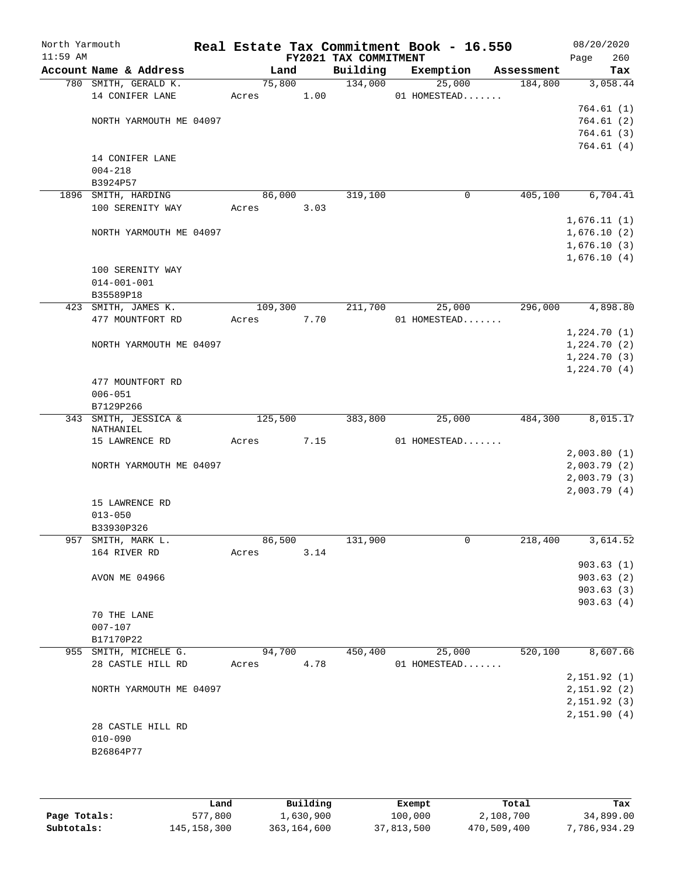| North Yarmouth<br>$11:59$ AM |                             |         |      | FY2021 TAX COMMITMENT | Real Estate Tax Commitment Book - 16.550 |            | 08/20/2020<br>Page<br>260 |
|------------------------------|-----------------------------|---------|------|-----------------------|------------------------------------------|------------|---------------------------|
|                              | Account Name & Address      | Land    |      | Building              | Exemption                                | Assessment | Tax                       |
|                              | 780 SMITH, GERALD K.        | 75,800  |      | 134,000               | 25,000                                   | 184,800    | 3,058.44                  |
|                              | 14 CONIFER LANE             | Acres   | 1.00 |                       | 01 HOMESTEAD                             |            |                           |
|                              |                             |         |      |                       |                                          |            | 764.61(1)                 |
|                              | NORTH YARMOUTH ME 04097     |         |      |                       |                                          |            | 764.61(2)                 |
|                              |                             |         |      |                       |                                          |            | 764.61(3)                 |
|                              |                             |         |      |                       |                                          |            | 764.61 (4)                |
|                              | 14 CONIFER LANE             |         |      |                       |                                          |            |                           |
|                              | $004 - 218$                 |         |      |                       |                                          |            |                           |
|                              | B3924P57                    |         |      |                       |                                          |            |                           |
|                              | 1896 SMITH, HARDING         | 86,000  |      | 319,100               | 0                                        | 405,100    | 6,704.41                  |
|                              | 100 SERENITY WAY            | Acres   | 3.03 |                       |                                          |            |                           |
|                              |                             |         |      |                       |                                          |            | 1,676.11(1)               |
|                              | NORTH YARMOUTH ME 04097     |         |      |                       |                                          |            | 1,676.10(2)               |
|                              |                             |         |      |                       |                                          |            | 1,676.10(3)               |
|                              |                             |         |      |                       |                                          |            | 1,676.10(4)               |
|                              | 100 SERENITY WAY            |         |      |                       |                                          |            |                           |
|                              | $014 - 001 - 001$           |         |      |                       |                                          |            |                           |
|                              | B35589P18                   |         |      |                       |                                          |            |                           |
|                              | 423 SMITH, JAMES K.         | 109,300 |      | 211,700               | 25,000                                   | 296,000    | 4,898.80                  |
|                              | 477 MOUNTFORT RD            | Acres   | 7.70 |                       | 01 HOMESTEAD                             |            |                           |
|                              |                             |         |      |                       |                                          |            | 1,224.70(1)               |
|                              | NORTH YARMOUTH ME 04097     |         |      |                       |                                          |            | 1,224.70(2)               |
|                              |                             |         |      |                       |                                          |            | 1,224.70(3)               |
|                              |                             |         |      |                       |                                          |            | 1,224.70(4)               |
|                              | 477 MOUNTFORT RD            |         |      |                       |                                          |            |                           |
|                              | $006 - 051$                 |         |      |                       |                                          |            |                           |
|                              | B7129P266                   |         |      |                       |                                          |            |                           |
|                              | 343 SMITH, JESSICA &        | 125,500 |      | 383,800               | 25,000                                   | 484,300    | 8,015.17                  |
|                              | NATHANIEL<br>15 LAWRENCE RD | Acres   | 7.15 |                       | 01 HOMESTEAD                             |            |                           |
|                              |                             |         |      |                       |                                          |            | 2,003.80(1)               |
|                              | NORTH YARMOUTH ME 04097     |         |      |                       |                                          |            | 2,003.79(2)               |
|                              |                             |         |      |                       |                                          |            | 2,003.79(3)               |
|                              |                             |         |      |                       |                                          |            | 2,003.79(4)               |
|                              | 15 LAWRENCE RD              |         |      |                       |                                          |            |                           |
|                              | $013 - 050$                 |         |      |                       |                                          |            |                           |
|                              | B33930P326                  |         |      |                       |                                          |            |                           |
|                              | 957 SMITH, MARK L.          | 86,500  |      | 131,900               | $\mathsf{O}$                             | 218,400    | 3,614.52                  |
|                              | 164 RIVER RD                | Acres   | 3.14 |                       |                                          |            |                           |
|                              |                             |         |      |                       |                                          |            | 903.63(1)                 |
|                              | AVON ME 04966               |         |      |                       |                                          |            | 903.63(2)                 |
|                              |                             |         |      |                       |                                          |            | 903.63(3)                 |
|                              |                             |         |      |                       |                                          |            | 903.63(4)                 |
|                              | 70 THE LANE                 |         |      |                       |                                          |            |                           |
|                              | $007 - 107$                 |         |      |                       |                                          |            |                           |
|                              | B17170P22                   |         |      |                       |                                          |            |                           |
|                              | 955 SMITH, MICHELE G.       | 94,700  |      | 450,400               | 25,000                                   | 520,100    | 8,607.66                  |
|                              | 28 CASTLE HILL RD           | Acres   | 4.78 |                       | 01 HOMESTEAD                             |            |                           |
|                              |                             |         |      |                       |                                          |            | 2,151.92(1)               |
|                              | NORTH YARMOUTH ME 04097     |         |      |                       |                                          |            | 2, 151.92 (2)             |
|                              |                             |         |      |                       |                                          |            | 2,151.92(3)               |
|                              |                             |         |      |                       |                                          |            | 2,151.90(4)               |
|                              | 28 CASTLE HILL RD           |         |      |                       |                                          |            |                           |
|                              | $010 - 090$                 |         |      |                       |                                          |            |                           |
|                              | B26864P77                   |         |      |                       |                                          |            |                           |
|                              |                             |         |      |                       |                                          |            |                           |
|                              |                             |         |      |                       |                                          |            |                           |
|                              |                             |         |      |                       |                                          |            |                           |

|              | Land        | Building    | Exempt     | Total       | Tax          |
|--------------|-------------|-------------|------------|-------------|--------------|
| Page Totals: | 577,800     | 1,630,900   | 100,000    | 2,108,700   | 34,899.00    |
| Subtotals:   | 145,158,300 | 363,164,600 | 37,813,500 | 470,509,400 | 7,786,934.29 |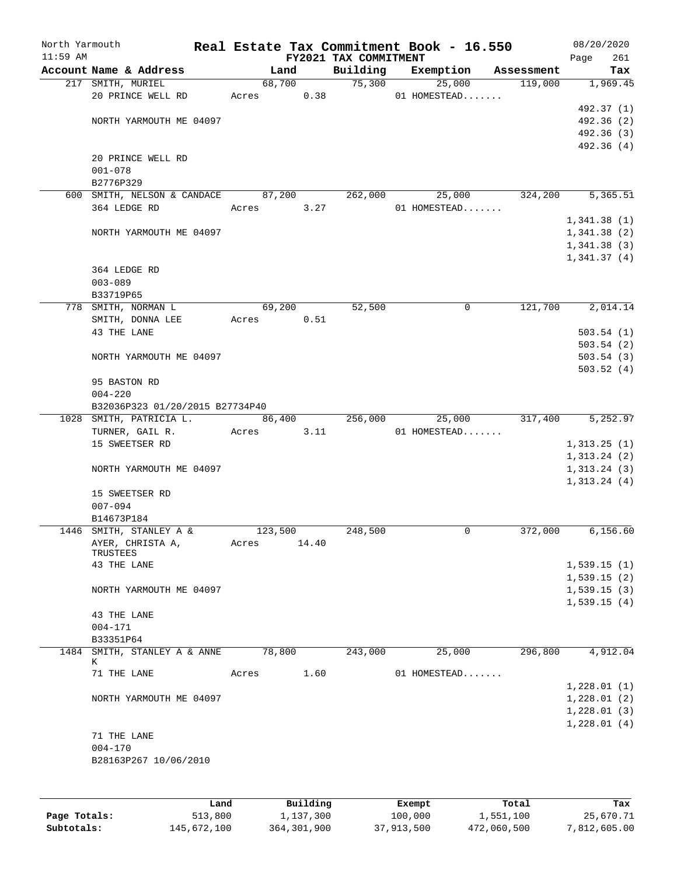| North Yarmouth<br>$11:59$ AM |                                                            |       |         |          |                                   | Real Estate Tax Commitment Book - 16.550 |            | 08/20/2020                  |
|------------------------------|------------------------------------------------------------|-------|---------|----------|-----------------------------------|------------------------------------------|------------|-----------------------------|
|                              | Account Name & Address                                     |       | Land    |          | FY2021 TAX COMMITMENT<br>Building | Exemption                                | Assessment | 261<br>Page<br>Tax          |
|                              | 217 SMITH, MURIEL                                          |       | 68,700  |          | 75,300                            | 25,000                                   | 119,000    | 1,969.45                    |
|                              | 20 PRINCE WELL RD                                          |       | Acres   | 0.38     |                                   | 01 HOMESTEAD                             |            |                             |
|                              |                                                            |       |         |          |                                   |                                          |            | 492.37 (1)                  |
|                              | NORTH YARMOUTH ME 04097                                    |       |         |          |                                   |                                          |            | 492.36 (2)                  |
|                              |                                                            |       |         |          |                                   |                                          |            | 492.36 (3)                  |
|                              |                                                            |       |         |          |                                   |                                          |            | 492.36(4)                   |
|                              | 20 PRINCE WELL RD                                          |       |         |          |                                   |                                          |            |                             |
|                              | $001 - 078$                                                |       |         |          |                                   |                                          |            |                             |
|                              | B2776P329                                                  |       |         |          |                                   |                                          |            |                             |
|                              | 600 SMITH, NELSON & CANDACE                                |       | 87,200  |          | 262,000                           | 25,000                                   | 324,200    | 5,365.51                    |
|                              | 364 LEDGE RD                                               | Acres |         | 3.27     |                                   | 01 HOMESTEAD                             |            |                             |
|                              |                                                            |       |         |          |                                   |                                          |            | 1,341.38(1)                 |
|                              | NORTH YARMOUTH ME 04097                                    |       |         |          |                                   |                                          |            | 1,341.38(2)                 |
|                              |                                                            |       |         |          |                                   |                                          |            | 1,341.38(3)                 |
|                              |                                                            |       |         |          |                                   |                                          |            | 1,341.37(4)                 |
|                              | 364 LEDGE RD                                               |       |         |          |                                   |                                          |            |                             |
|                              | $003 - 089$                                                |       |         |          |                                   |                                          |            |                             |
|                              | B33719P65                                                  |       |         |          |                                   |                                          |            |                             |
|                              | 778 SMITH, NORMAN L                                        |       | 69,200  |          | 52,500                            | $\mathsf{O}$                             | 121,700    | 2,014.14                    |
|                              | SMITH, DONNA LEE                                           | Acres |         | 0.51     |                                   |                                          |            |                             |
|                              | 43 THE LANE                                                |       |         |          |                                   |                                          |            | 503.54(1)                   |
|                              |                                                            |       |         |          |                                   |                                          |            | 503.54(2)                   |
|                              | NORTH YARMOUTH ME 04097                                    |       |         |          |                                   |                                          |            | 503.54(3)                   |
|                              |                                                            |       |         |          |                                   |                                          |            |                             |
|                              | 95 BASTON RD                                               |       |         |          |                                   |                                          |            | 503.52(4)                   |
|                              | $004 - 220$                                                |       |         |          |                                   |                                          |            |                             |
|                              |                                                            |       |         |          |                                   |                                          |            |                             |
|                              | B32036P323 01/20/2015 B27734P40<br>1028 SMITH, PATRICIA L. |       |         |          |                                   |                                          |            | 5,252.97                    |
|                              | TURNER, GAIL R.                                            |       | 86,400  | 3.11     | 256,000                           | 25,000<br>01 HOMESTEAD                   | 317,400    |                             |
|                              |                                                            | Acres |         |          |                                   |                                          |            |                             |
|                              | 15 SWEETSER RD                                             |       |         |          |                                   |                                          |            | 1,313.25(1)                 |
|                              | NORTH YARMOUTH ME 04097                                    |       |         |          |                                   |                                          |            | 1,313.24(2)<br>1, 313.24(3) |
|                              |                                                            |       |         |          |                                   |                                          |            | 1,313.24(4)                 |
|                              | 15 SWEETSER RD                                             |       |         |          |                                   |                                          |            |                             |
|                              | $007 - 094$                                                |       |         |          |                                   |                                          |            |                             |
|                              | B14673P184                                                 |       |         |          |                                   |                                          |            |                             |
|                              | 1446 SMITH, STANLEY A &                                    |       | 123,500 |          | 248,500                           | 0                                        | 372,000    | 6, 156.60                   |
|                              | AYER, CHRISTA A,                                           | Acres |         | 14.40    |                                   |                                          |            |                             |
|                              | TRUSTEES                                                   |       |         |          |                                   |                                          |            |                             |
|                              | 43 THE LANE                                                |       |         |          |                                   |                                          |            | 1,539.15(1)                 |
|                              |                                                            |       |         |          |                                   |                                          |            | 1,539.15(2)                 |
|                              | NORTH YARMOUTH ME 04097                                    |       |         |          |                                   |                                          |            | 1,539.15(3)                 |
|                              |                                                            |       |         |          |                                   |                                          |            | 1,539.15(4)                 |
|                              | 43 THE LANE                                                |       |         |          |                                   |                                          |            |                             |
|                              | $004 - 171$                                                |       |         |          |                                   |                                          |            |                             |
|                              | B33351P64                                                  |       |         |          |                                   |                                          |            |                             |
|                              | 1484 SMITH, STANLEY A & ANNE                               |       | 78,800  |          | 243,000                           | 25,000                                   | 296,800    | 4,912.04                    |
|                              | К                                                          |       |         |          |                                   |                                          |            |                             |
|                              | 71 THE LANE                                                | Acres |         | 1.60     |                                   | 01 HOMESTEAD                             |            |                             |
|                              |                                                            |       |         |          |                                   |                                          |            | 1,228.01(1)                 |
|                              | NORTH YARMOUTH ME 04097                                    |       |         |          |                                   |                                          |            | 1,228.01(2)                 |
|                              |                                                            |       |         |          |                                   |                                          |            | 1,228.01(3)                 |
|                              |                                                            |       |         |          |                                   |                                          |            | 1,228.01(4)                 |
|                              | 71 THE LANE                                                |       |         |          |                                   |                                          |            |                             |
|                              | $004 - 170$                                                |       |         |          |                                   |                                          |            |                             |
|                              | B28163P267 10/06/2010                                      |       |         |          |                                   |                                          |            |                             |
|                              |                                                            |       |         |          |                                   |                                          |            |                             |
|                              |                                                            |       |         |          |                                   |                                          |            |                             |
|                              |                                                            |       |         |          |                                   |                                          |            |                             |
|                              | T.and                                                      |       |         | Building |                                   | Exempt                                   | Total      | Tax                         |

|              | Land        | Building    | Exempt     | Total       | Tax          |
|--------------|-------------|-------------|------------|-------------|--------------|
| Page Totals: | 513,800     | 1,137,300   | 100,000    | 1,551,100   | 25,670.71    |
| Subtotals:   | 145,672,100 | 364,301,900 | 37,913,500 | 472,060,500 | 7,812,605.00 |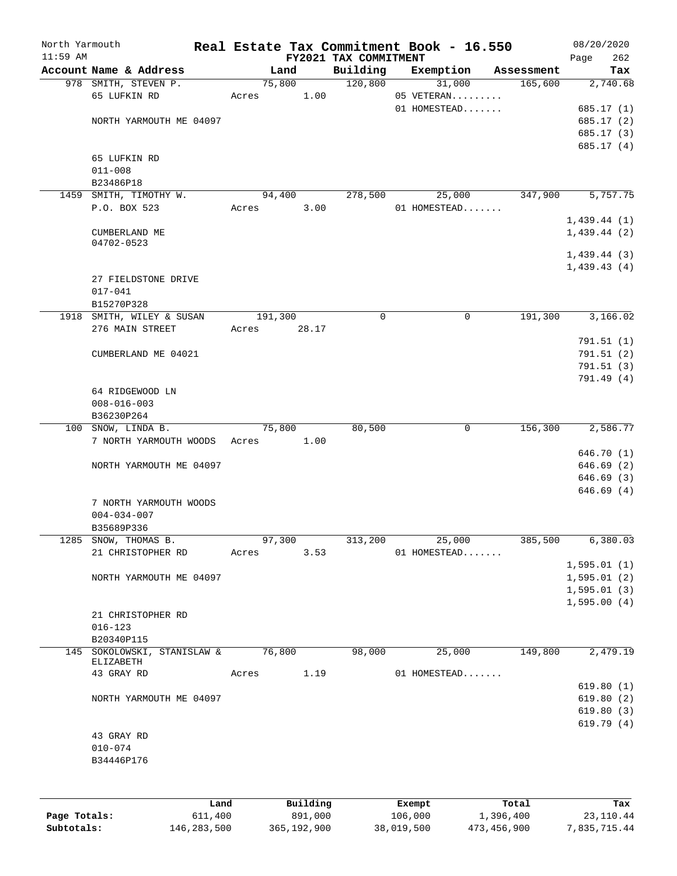| North Yarmouth |                                    |         |        |                       | Real Estate Tax Commitment Book - 16.550 |            | 08/20/2020   |
|----------------|------------------------------------|---------|--------|-----------------------|------------------------------------------|------------|--------------|
| $11:59$ AM     |                                    |         |        | FY2021 TAX COMMITMENT |                                          |            | 262<br>Page  |
|                | Account Name & Address             |         | Land   | Building              | Exemption                                | Assessment | Tax          |
|                | 978 SMITH, STEVEN P.               | 75,800  |        | 120,800               | 31,000                                   | 165,600    | 2,740.68     |
|                | 65 LUFKIN RD                       | Acres   | 1.00   |                       | 05 VETERAN                               |            |              |
|                |                                    |         |        |                       | 01 HOMESTEAD                             |            | 685.17 (1)   |
|                | NORTH YARMOUTH ME 04097            |         |        |                       |                                          |            | 685.17 (2)   |
|                |                                    |         |        |                       |                                          |            | 685.17 (3)   |
|                |                                    |         |        |                       |                                          |            | 685.17 (4)   |
|                | 65 LUFKIN RD                       |         |        |                       |                                          |            |              |
|                | $011 - 008$                        |         |        |                       |                                          |            |              |
|                | B23486P18                          |         |        |                       |                                          |            |              |
|                | 1459 SMITH, TIMOTHY W.             | 94,400  |        | 278,500               | 25,000                                   | 347,900    | 5,757.75     |
|                | P.O. BOX 523                       | Acres   | 3.00   |                       | 01 HOMESTEAD                             |            |              |
|                |                                    |         |        |                       |                                          |            | 1,439.44(1)  |
|                | CUMBERLAND ME                      |         |        |                       |                                          |            | 1,439.44(2)  |
|                | 04702-0523                         |         |        |                       |                                          |            |              |
|                |                                    |         |        |                       |                                          |            | 1,439.44(3)  |
|                |                                    |         |        |                       |                                          |            | 1,439.43(4)  |
|                | 27 FIELDSTONE DRIVE                |         |        |                       |                                          |            |              |
|                | $017 - 041$                        |         |        |                       |                                          |            |              |
|                | B15270P328                         |         |        |                       |                                          |            |              |
| 1918           | SMITH, WILEY & SUSAN               | 191,300 |        | $\mathbf 0$           | $\mathbf 0$                              | 191,300    | 3,166.02     |
|                | 276 MAIN STREET                    | Acres   | 28.17  |                       |                                          |            |              |
|                |                                    |         |        |                       |                                          |            | 791.51(1)    |
|                | CUMBERLAND ME 04021                |         |        |                       |                                          |            | 791.51(2)    |
|                |                                    |         |        |                       |                                          |            | 791.51(3)    |
|                |                                    |         |        |                       |                                          |            | 791.49 (4)   |
|                | 64 RIDGEWOOD LN                    |         |        |                       |                                          |            |              |
|                | $008 - 016 - 003$                  |         |        |                       |                                          |            |              |
|                | B36230P264                         |         |        |                       |                                          |            |              |
| 100            | SNOW, LINDA B.                     | 75,800  |        | 80,500                | 0                                        | 156,300    | 2,586.77     |
|                | 7 NORTH YARMOUTH WOODS             | Acres   | 1.00   |                       |                                          |            |              |
|                |                                    |         |        |                       |                                          |            | 646.70 (1)   |
|                | NORTH YARMOUTH ME 04097            |         |        |                       |                                          |            | 646.69(2)    |
|                |                                    |         |        |                       |                                          |            | 646.69 (3)   |
|                |                                    |         |        |                       |                                          |            | 646.69(4)    |
|                | 7 NORTH YARMOUTH WOODS             |         |        |                       |                                          |            |              |
|                | $004 - 034 - 007$                  |         |        |                       |                                          |            |              |
|                | B35689P336                         |         |        |                       |                                          |            |              |
|                | 1285 SNOW, THOMAS B.               |         | 97,300 | 313,200               | 25,000                                   | 385,500    | 6,380.03     |
|                | 21 CHRISTOPHER RD                  | Acres   | 3.53   |                       | 01 HOMESTEAD                             |            |              |
|                |                                    |         |        |                       |                                          |            | 1,595.01(1)  |
|                | NORTH YARMOUTH ME 04097            |         |        |                       |                                          |            | 1,595.01(2)  |
|                |                                    |         |        |                       |                                          |            | 1, 595.01(3) |
|                |                                    |         |        |                       |                                          |            |              |
|                |                                    |         |        |                       |                                          |            | 1,595.00(4)  |
|                | 21 CHRISTOPHER RD                  |         |        |                       |                                          |            |              |
|                | $016 - 123$                        |         |        |                       |                                          |            |              |
|                | B20340P115                         |         |        |                       |                                          |            |              |
|                | 145 SOKOLOWSKI, STANISLAW & 76,800 |         |        | 98,000                | 25,000                                   | 149,800    | 2,479.19     |
|                | ELIZABETH<br>43 GRAY RD            |         | 1.19   |                       | 01 HOMESTEAD                             |            |              |
|                |                                    | Acres   |        |                       |                                          |            |              |
|                |                                    |         |        |                       |                                          |            | 619.80(1)    |
|                | NORTH YARMOUTH ME 04097            |         |        |                       |                                          |            | 619.80(2)    |
|                |                                    |         |        |                       |                                          |            | 619.80(3)    |
|                |                                    |         |        |                       |                                          |            | 619.79(4)    |
|                | 43 GRAY RD                         |         |        |                       |                                          |            |              |
|                | $010 - 074$                        |         |        |                       |                                          |            |              |
|                | B34446P176                         |         |        |                       |                                          |            |              |
|                |                                    |         |        |                       |                                          |            |              |
|                |                                    |         |        |                       |                                          |            |              |
|                |                                    |         |        |                       |                                          |            |              |

|              | Land        | Building    | Exempt     | Total       | Tax          |
|--------------|-------------|-------------|------------|-------------|--------------|
| Page Totals: | 611,400     | 891,000     | 106,000    | 1,396,400   | 23,110.44    |
| Subtotals:   | 146,283,500 | 365,192,900 | 38,019,500 | 473,456,900 | 7,835,715.44 |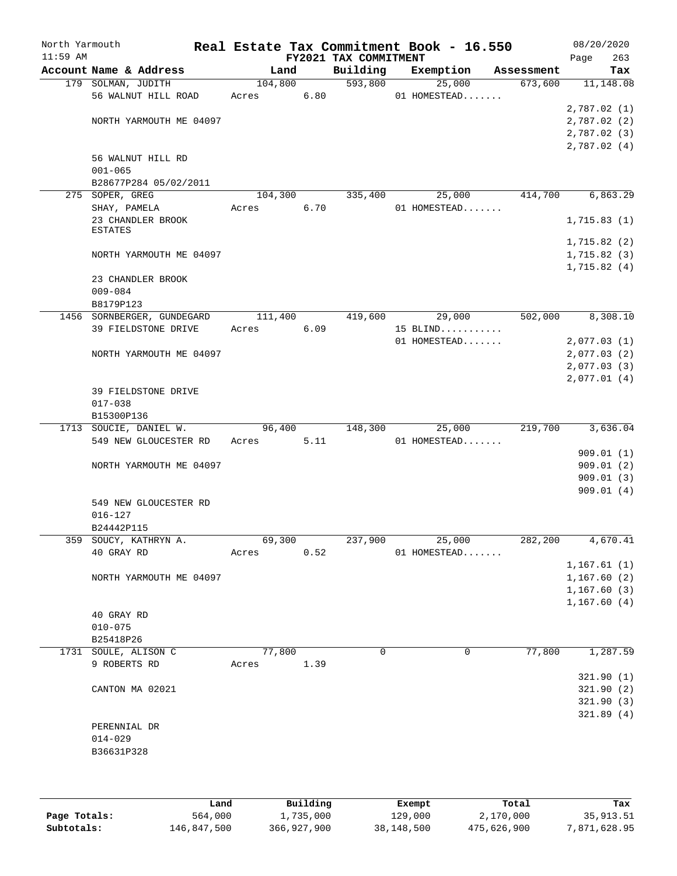| North Yarmouth<br>$11:59$ AM |                            |         |      | FY2021 TAX COMMITMENT | Real Estate Tax Commitment Book - 16.550 |            | Page        | 08/20/2020<br>263 |
|------------------------------|----------------------------|---------|------|-----------------------|------------------------------------------|------------|-------------|-------------------|
|                              | Account Name & Address     | Land    |      | Building              | Exemption                                | Assessment |             | Tax               |
|                              | 179 SOLMAN, JUDITH         | 104,800 |      | 593,800               | 25,000                                   | 673,600    |             | 11, 148.08        |
|                              | 56 WALNUT HILL ROAD        | Acres   | 6.80 |                       | 01 HOMESTEAD                             |            |             |                   |
|                              |                            |         |      |                       |                                          |            | 2,787.02(1) |                   |
|                              | NORTH YARMOUTH ME 04097    |         |      |                       |                                          |            | 2,787.02(2) |                   |
|                              |                            |         |      |                       |                                          |            | 2,787.02(3) |                   |
|                              |                            |         |      |                       |                                          |            | 2,787.02(4) |                   |
|                              | 56 WALNUT HILL RD          |         |      |                       |                                          |            |             |                   |
|                              | $001 - 065$                |         |      |                       |                                          |            |             |                   |
|                              | B28677P284 05/02/2011      |         |      |                       |                                          |            |             |                   |
|                              | 275 SOPER, GREG            | 104,300 |      | 335,400               | 25,000                                   | 414,700    |             | 6,863.29          |
|                              | SHAY, PAMELA               | Acres   | 6.70 |                       | 01 HOMESTEAD                             |            |             |                   |
|                              | 23 CHANDLER BROOK          |         |      |                       |                                          |            | 1,715.83(1) |                   |
|                              | <b>ESTATES</b>             |         |      |                       |                                          |            |             |                   |
|                              |                            |         |      |                       |                                          |            | 1,715.82(2) |                   |
|                              | NORTH YARMOUTH ME 04097    |         |      |                       |                                          |            | 1,715.82(3) |                   |
|                              |                            |         |      |                       |                                          |            | 1,715.82(4) |                   |
|                              | 23 CHANDLER BROOK          |         |      |                       |                                          |            |             |                   |
|                              | $009 - 084$                |         |      |                       |                                          |            |             |                   |
|                              | B8179P123                  |         |      |                       |                                          |            |             |                   |
|                              | 1456 SORNBERGER, GUNDEGARD | 111,400 |      | 419,600               | 29,000                                   | 502,000    |             | 8,308.10          |
|                              | <b>39 FIELDSTONE DRIVE</b> | Acres   | 6.09 |                       | $15$ BLIND                               |            |             |                   |
|                              |                            |         |      |                       | 01 HOMESTEAD                             |            | 2,077.03(1) |                   |
|                              | NORTH YARMOUTH ME 04097    |         |      |                       |                                          |            | 2,077.03(2) |                   |
|                              |                            |         |      |                       |                                          |            | 2,077.03(3) |                   |
|                              |                            |         |      |                       |                                          |            | 2,077.01(4) |                   |
|                              | 39 FIELDSTONE DRIVE        |         |      |                       |                                          |            |             |                   |
|                              | $017 - 038$                |         |      |                       |                                          |            |             |                   |
|                              | B15300P136                 |         |      |                       |                                          |            |             |                   |
|                              | 1713 SOUCIE, DANIEL W.     | 96,400  |      | 148,300               | 25,000                                   | 219,700    |             | 3,636.04          |
|                              | 549 NEW GLOUCESTER RD      | Acres   | 5.11 |                       | 01 HOMESTEAD                             |            |             |                   |
|                              |                            |         |      |                       |                                          |            |             | 909.01(1)         |
|                              | NORTH YARMOUTH ME 04097    |         |      |                       |                                          |            |             | 909.01(2)         |
|                              |                            |         |      |                       |                                          |            |             | 909.01(3)         |
|                              |                            |         |      |                       |                                          |            |             | 909.01(4)         |
|                              | 549 NEW GLOUCESTER RD      |         |      |                       |                                          |            |             |                   |
|                              | $016 - 127$                |         |      |                       |                                          |            |             |                   |
|                              | B24442P115                 |         |      |                       |                                          |            |             |                   |
|                              | 359 SOUCY, KATHRYN A.      | 69,300  |      | 237,900               | 25,000                                   | 282,200    |             | 4,670.41          |
|                              | 40 GRAY RD                 | Acres   | 0.52 |                       | 01 HOMESTEAD                             |            |             |                   |
|                              |                            |         |      |                       |                                          |            | 1,167.61(1) |                   |
|                              | NORTH YARMOUTH ME 04097    |         |      |                       |                                          |            | 1,167.60(2) |                   |
|                              |                            |         |      |                       |                                          |            | 1,167.60(3) |                   |
|                              |                            |         |      |                       |                                          |            | 1,167.60(4) |                   |
|                              | 40 GRAY RD                 |         |      |                       |                                          |            |             |                   |
|                              | $010 - 075$                |         |      |                       |                                          |            |             |                   |
|                              | B25418P26                  |         |      |                       |                                          |            |             |                   |
|                              | 1731 SOULE, ALISON C       | 77,800  |      | $\Omega$              | 0                                        | 77,800     |             | 1,287.59          |
|                              | 9 ROBERTS RD               | Acres   | 1.39 |                       |                                          |            |             |                   |
|                              |                            |         |      |                       |                                          |            |             | 321.90(1)         |
|                              | CANTON MA 02021            |         |      |                       |                                          |            |             | 321.90(2)         |
|                              |                            |         |      |                       |                                          |            |             | 321.90(3)         |
|                              |                            |         |      |                       |                                          |            |             | 321.89(4)         |
|                              | PERENNIAL DR               |         |      |                       |                                          |            |             |                   |
|                              | $014 - 029$                |         |      |                       |                                          |            |             |                   |
|                              | B36631P328                 |         |      |                       |                                          |            |             |                   |
|                              |                            |         |      |                       |                                          |            |             |                   |
|                              |                            |         |      |                       |                                          |            |             |                   |
|                              |                            |         |      |                       |                                          |            |             |                   |

|              | Land        | Building    | Exempt     | Total       | Tax          |
|--------------|-------------|-------------|------------|-------------|--------------|
| Page Totals: | 564,000     | 1,735,000   | 129,000    | 2,170,000   | 35,913.51    |
| Subtotals:   | 146,847,500 | 366,927,900 | 38,148,500 | 475,626,900 | 7,871,628.95 |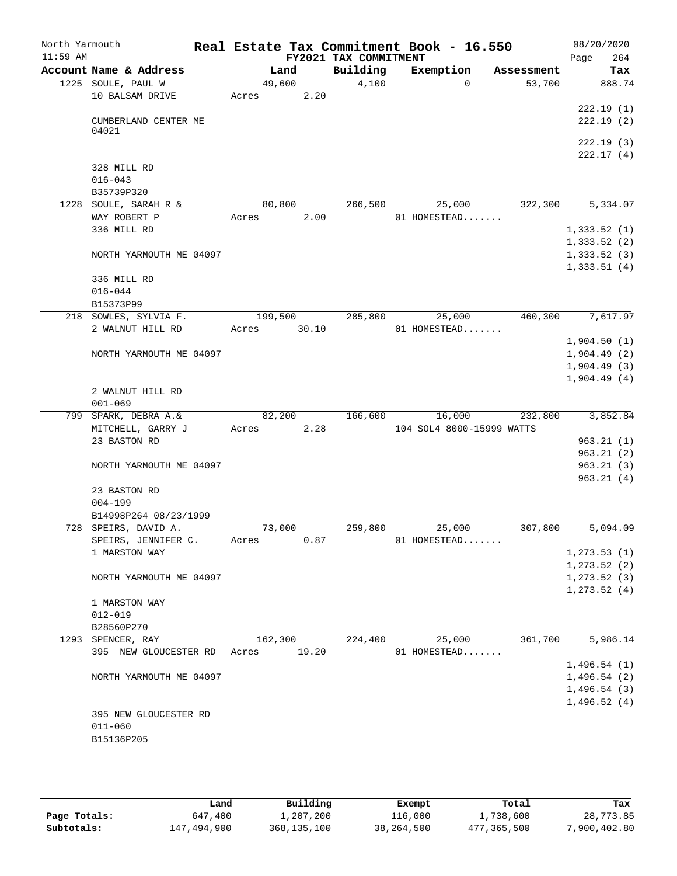| North Yarmouth<br>$11:59$ AM |                                     |                 |       | FY2021 TAX COMMITMENT | Real Estate Tax Commitment Book - 16.550 |            | 08/20/2020<br>Page | 264                    |
|------------------------------|-------------------------------------|-----------------|-------|-----------------------|------------------------------------------|------------|--------------------|------------------------|
|                              | Account Name & Address              |                 | Land  | Building              | Exemption                                | Assessment |                    | Tax                    |
|                              | 1225 SOULE, PAUL W                  | 49,600          |       | 4,100                 | $\Omega$                                 | 53,700     |                    | 888.74                 |
|                              | 10 BALSAM DRIVE                     | Acres           | 2.20  |                       |                                          |            |                    |                        |
|                              |                                     |                 |       |                       |                                          |            |                    | 222.19(1)              |
|                              | CUMBERLAND CENTER ME                |                 |       |                       |                                          |            |                    | 222.19(2)              |
|                              | 04021                               |                 |       |                       |                                          |            |                    |                        |
|                              |                                     |                 |       |                       |                                          |            |                    | 222.19(3)<br>222.17(4) |
|                              | 328 MILL RD                         |                 |       |                       |                                          |            |                    |                        |
|                              | $016 - 043$                         |                 |       |                       |                                          |            |                    |                        |
|                              | B35739P320                          |                 |       |                       |                                          |            |                    |                        |
|                              | 1228 SOULE, SARAH R &               | 80,800          |       | 266,500               | 25,000                                   | 322,300    |                    | 5,334.07               |
|                              | WAY ROBERT P                        | Acres           | 2.00  |                       | 01 HOMESTEAD                             |            |                    |                        |
|                              | 336 MILL RD                         |                 |       |                       |                                          |            | 1,333.52(1)        |                        |
|                              |                                     |                 |       |                       |                                          |            | 1,333.52(2)        |                        |
|                              | NORTH YARMOUTH ME 04097             |                 |       |                       |                                          |            | 1,333.52(3)        |                        |
|                              |                                     |                 |       |                       |                                          |            | 1,333.51(4)        |                        |
|                              | 336 MILL RD                         |                 |       |                       |                                          |            |                    |                        |
|                              | $016 - 044$                         |                 |       |                       |                                          |            |                    |                        |
|                              | B15373P99                           |                 |       |                       |                                          |            |                    |                        |
|                              | 218 SOWLES, SYLVIA F.               | 199,500         |       | 285,800               | 25,000                                   | 460,300    |                    | 7,617.97               |
|                              | 2 WALNUT HILL RD                    | Acres           | 30.10 |                       | 01 HOMESTEAD                             |            |                    |                        |
|                              |                                     |                 |       |                       |                                          |            | 1,904.50(1)        |                        |
|                              | NORTH YARMOUTH ME 04097             |                 |       |                       |                                          |            | 1,904.49(2)        |                        |
|                              |                                     |                 |       |                       |                                          |            | 1,904.49(3)        |                        |
|                              |                                     |                 |       |                       |                                          |            | 1,904.49(4)        |                        |
|                              | 2 WALNUT HILL RD                    |                 |       |                       |                                          |            |                    |                        |
|                              | $001 - 069$<br>799 SPARK, DEBRA A.& |                 |       | 166,600               |                                          |            |                    | 3,852.84               |
|                              | MITCHELL, GARRY J                   | 82,200<br>Acres | 2.28  |                       | 16,000<br>104 SOL4 8000-15999 WATTS      | 232,800    |                    |                        |
|                              | 23 BASTON RD                        |                 |       |                       |                                          |            |                    | 963.21(1)              |
|                              |                                     |                 |       |                       |                                          |            |                    | 963.21(2)              |
|                              | NORTH YARMOUTH ME 04097             |                 |       |                       |                                          |            |                    | 963.21(3)              |
|                              |                                     |                 |       |                       |                                          |            |                    | 963.21(4)              |
|                              | 23 BASTON RD                        |                 |       |                       |                                          |            |                    |                        |
|                              | $004 - 199$                         |                 |       |                       |                                          |            |                    |                        |
|                              | B14998P264 08/23/1999               |                 |       |                       |                                          |            |                    |                        |
|                              | 728 SPEIRS, DAVID A.                | 73,000          |       | 259,800               | 25,000                                   | 307,800    |                    | 5,094.09               |
|                              | SPEIRS, JENNIFER C.                 | Acres           | 0.87  |                       | 01 HOMESTEAD                             |            |                    |                        |
|                              | 1 MARSTON WAY                       |                 |       |                       |                                          |            | 1, 273.53(1)       |                        |
|                              |                                     |                 |       |                       |                                          |            | 1, 273.52(2)       |                        |
|                              | NORTH YARMOUTH ME 04097             |                 |       |                       |                                          |            | 1, 273.52(3)       |                        |
|                              |                                     |                 |       |                       |                                          |            | 1, 273.52(4)       |                        |
|                              | 1 MARSTON WAY                       |                 |       |                       |                                          |            |                    |                        |
|                              | $012 - 019$                         |                 |       |                       |                                          |            |                    |                        |
|                              | B28560P270                          |                 |       |                       |                                          |            |                    |                        |
|                              | 1293 SPENCER, RAY                   | 162,300         |       | 224,400               | 25,000                                   | 361,700    |                    | 5,986.14               |
|                              | 395 NEW GLOUCESTER RD Acres         |                 | 19.20 |                       | 01 HOMESTEAD                             |            | 1,496.54(1)        |                        |
|                              | NORTH YARMOUTH ME 04097             |                 |       |                       |                                          |            | 1,496.54(2)        |                        |
|                              |                                     |                 |       |                       |                                          |            | 1,496.54(3)        |                        |
|                              |                                     |                 |       |                       |                                          |            | 1,496.52(4)        |                        |
|                              | 395 NEW GLOUCESTER RD               |                 |       |                       |                                          |            |                    |                        |
|                              | $011 - 060$                         |                 |       |                       |                                          |            |                    |                        |
|                              | B15136P205                          |                 |       |                       |                                          |            |                    |                        |
|                              |                                     |                 |       |                       |                                          |            |                    |                        |
|                              |                                     |                 |       |                       |                                          |            |                    |                        |

|              | Land        | Building    | Exempt     | Total       | Tax          |
|--------------|-------------|-------------|------------|-------------|--------------|
| Page Totals: | 647,400     | 1,207,200   | 116,000    | 1,738,600   | 28,773.85    |
| Subtotals:   | 147,494,900 | 368,135,100 | 38,264,500 | 477,365,500 | 7,900,402.80 |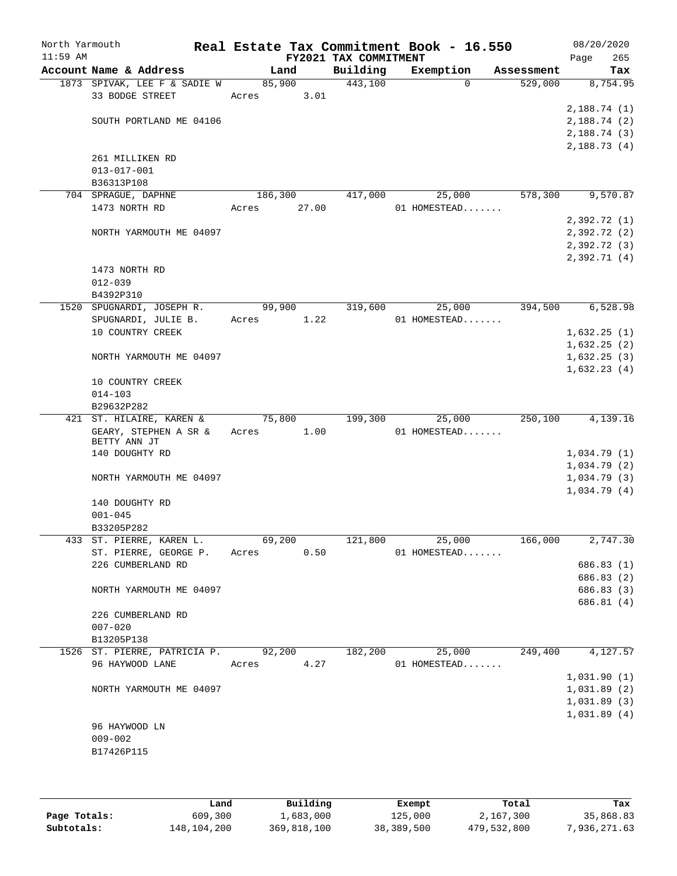| North Yarmouth<br>$11:59$ AM |                                        |                 |       | FY2021 TAX COMMITMENT | Real Estate Tax Commitment Book - 16.550 |            | Page | 08/20/2020<br>265 |
|------------------------------|----------------------------------------|-----------------|-------|-----------------------|------------------------------------------|------------|------|-------------------|
|                              | Account Name & Address                 | Land            |       | Building              | Exemption                                | Assessment |      | Tax               |
|                              | 1873 SPIVAK, LEE F & SADIE W           | 85,900          |       | 443,100               | $\Omega$                                 | 529,000    |      | 8,754.95          |
|                              | 33 BODGE STREET                        | Acres           | 3.01  |                       |                                          |            |      |                   |
|                              |                                        |                 |       |                       |                                          |            |      | 2,188.74(1)       |
|                              | SOUTH PORTLAND ME 04106                |                 |       |                       |                                          |            |      | 2,188.74(2)       |
|                              |                                        |                 |       |                       |                                          |            |      | 2,188.74 (3)      |
|                              |                                        |                 |       |                       |                                          |            |      | 2,188.73(4)       |
|                              | 261 MILLIKEN RD                        |                 |       |                       |                                          |            |      |                   |
|                              | $013 - 017 - 001$<br>B36313P108        |                 |       |                       |                                          |            |      |                   |
|                              | 704 SPRAGUE, DAPHNE                    | 186,300         |       | 417,000               | 25,000                                   | 578,300    |      | 9,570.87          |
|                              | 1473 NORTH RD                          | Acres           | 27.00 |                       | 01 HOMESTEAD                             |            |      |                   |
|                              |                                        |                 |       |                       |                                          |            |      | 2,392.72(1)       |
|                              | NORTH YARMOUTH ME 04097                |                 |       |                       |                                          |            |      | 2,392.72(2)       |
|                              |                                        |                 |       |                       |                                          |            |      | 2,392.72 (3)      |
|                              |                                        |                 |       |                       |                                          |            |      | 2,392.71(4)       |
|                              | 1473 NORTH RD                          |                 |       |                       |                                          |            |      |                   |
|                              | $012 - 039$                            |                 |       |                       |                                          |            |      |                   |
|                              | B4392P310                              |                 |       |                       |                                          |            |      |                   |
|                              | 1520 SPUGNARDI, JOSEPH R.              | 99,900          |       | 319,600               | 25,000                                   | 394,500    |      | 6,528.98          |
|                              | SPUGNARDI, JULIE B.                    | Acres           | 1.22  |                       | 01 HOMESTEAD                             |            |      |                   |
|                              | 10 COUNTRY CREEK                       |                 |       |                       |                                          |            |      | 1,632.25(1)       |
|                              |                                        |                 |       |                       |                                          |            |      | 1,632.25(2)       |
|                              | NORTH YARMOUTH ME 04097                |                 |       |                       |                                          |            |      | 1,632.25(3)       |
|                              | 10 COUNTRY CREEK                       |                 |       |                       |                                          |            |      | 1,632.23(4)       |
|                              | $014 - 103$                            |                 |       |                       |                                          |            |      |                   |
|                              | B29632P282                             |                 |       |                       |                                          |            |      |                   |
|                              | 421 ST. HILAIRE, KAREN &               | 75,800          |       | 199,300               | 25,000                                   | 250,100    |      | 4,139.16          |
|                              | GEARY, STEPHEN A SR &<br>BETTY ANN JT  | Acres           | 1.00  |                       | 01 HOMESTEAD                             |            |      |                   |
|                              | 140 DOUGHTY RD                         |                 |       |                       |                                          |            |      | 1,034.79(1)       |
|                              |                                        |                 |       |                       |                                          |            |      | 1,034.79(2)       |
|                              | NORTH YARMOUTH ME 04097                |                 |       |                       |                                          |            |      | 1,034.79(3)       |
|                              |                                        |                 |       |                       |                                          |            |      | 1,034.79(4)       |
|                              | 140 DOUGHTY RD                         |                 |       |                       |                                          |            |      |                   |
|                              | $001 - 045$                            |                 |       |                       |                                          |            |      |                   |
|                              | B33205P282<br>433 ST. PIERRE, KAREN L. |                 |       |                       |                                          | 166,000    |      |                   |
|                              | ST. PIERRE, GEORGE P.                  | 69,200<br>Acres | 0.50  | 121,800               | 25,000<br>01 HOMESTEAD                   |            |      | 2,747.30          |
|                              | 226 CUMBERLAND RD                      |                 |       |                       |                                          |            |      | 686.83 (1)        |
|                              |                                        |                 |       |                       |                                          |            |      | 686.83 (2)        |
|                              | NORTH YARMOUTH ME 04097                |                 |       |                       |                                          |            |      | 686.83 (3)        |
|                              |                                        |                 |       |                       |                                          |            |      | 686.81 (4)        |
|                              | 226 CUMBERLAND RD                      |                 |       |                       |                                          |            |      |                   |
|                              | $007 - 020$                            |                 |       |                       |                                          |            |      |                   |
|                              | B13205P138                             |                 |       |                       |                                          |            |      |                   |
|                              | 1526 ST. PIERRE, PATRICIA P.           | 92,200          |       | 182,200               | 25,000                                   | 249,400    |      | 4,127.57          |
|                              | 96 HAYWOOD LANE                        | Acres           | 4.27  |                       | 01 HOMESTEAD                             |            |      |                   |
|                              |                                        |                 |       |                       |                                          |            |      | 1,031.90(1)       |
|                              | NORTH YARMOUTH ME 04097                |                 |       |                       |                                          |            |      | 1,031.89(2)       |
|                              |                                        |                 |       |                       |                                          |            |      | 1,031.89(3)       |
|                              | 96 HAYWOOD LN                          |                 |       |                       |                                          |            |      | 1,031.89(4)       |
|                              | $009 - 002$                            |                 |       |                       |                                          |            |      |                   |
|                              | B17426P115                             |                 |       |                       |                                          |            |      |                   |
|                              |                                        |                 |       |                       |                                          |            |      |                   |
|                              |                                        |                 |       |                       |                                          |            |      |                   |

|              | Land        | Building    | Exempt     | Total       | Tax          |
|--------------|-------------|-------------|------------|-------------|--------------|
| Page Totals: | 609,300     | L,683,000   | 125,000    | 2,167,300   | 35,868.83    |
| Subtotals:   | 148,104,200 | 369,818,100 | 38,389,500 | 479,532,800 | 7,936,271.63 |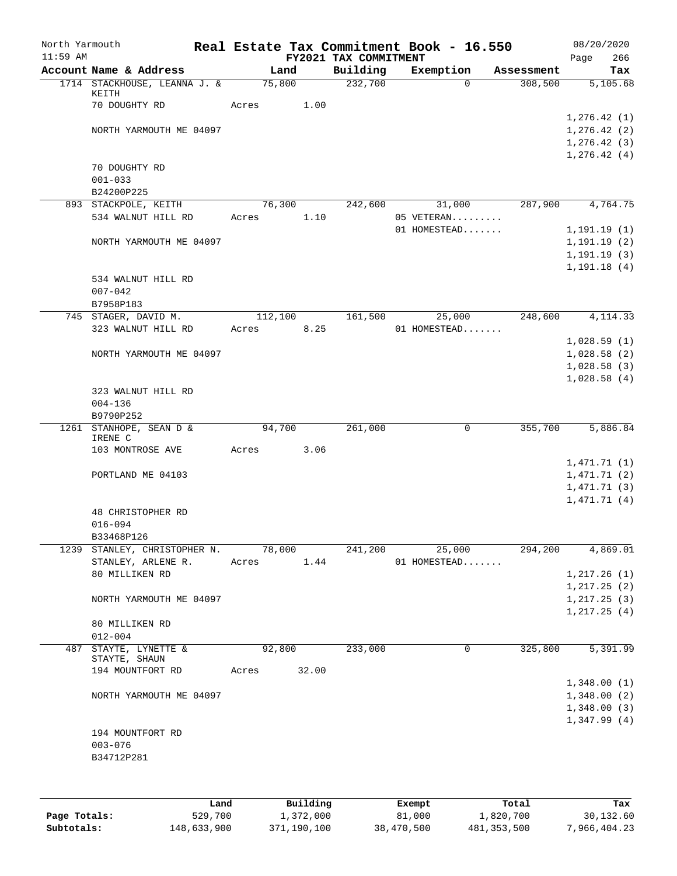| North Yarmouth<br>$11:59$ AM |                                            |       |         |       | FY2021 TAX COMMITMENT | Real Estate Tax Commitment Book - 16.550 |            | 08/20/2020<br>266<br>Page    |
|------------------------------|--------------------------------------------|-------|---------|-------|-----------------------|------------------------------------------|------------|------------------------------|
|                              | Account Name & Address                     |       | Land    |       | Building              | Exemption                                | Assessment | Tax                          |
|                              | 1714 STACKHOUSE, LEANNA J. &<br>KEITH      |       | 75,800  |       | 232,700               | $\Omega$                                 | 308,500    | 5,105.68                     |
|                              | 70 DOUGHTY RD                              | Acres |         | 1.00  |                       |                                          |            |                              |
|                              | NORTH YARMOUTH ME 04097                    |       |         |       |                       |                                          |            | 1,276.42(1)<br>1, 276.42(2)  |
|                              |                                            |       |         |       |                       |                                          |            | 1, 276.42(3)                 |
|                              |                                            |       |         |       |                       |                                          |            | 1, 276.42(4)                 |
|                              | 70 DOUGHTY RD                              |       |         |       |                       |                                          |            |                              |
|                              | $001 - 033$                                |       |         |       |                       |                                          |            |                              |
|                              | B24200P225                                 |       |         |       |                       |                                          |            |                              |
|                              | 893 STACKPOLE, KEITH                       |       | 76,300  |       | 242,600               | 31,000                                   | 287,900    | 4,764.75                     |
|                              | 534 WALNUT HILL RD                         | Acres |         | 1.10  |                       | 05 VETERAN                               |            |                              |
|                              | NORTH YARMOUTH ME 04097                    |       |         |       |                       | 01 HOMESTEAD                             |            | 1, 191.19(1)<br>1, 191.19(2) |
|                              |                                            |       |         |       |                       |                                          |            | 1, 191.19(3)                 |
|                              |                                            |       |         |       |                       |                                          |            | 1, 191.18(4)                 |
|                              | 534 WALNUT HILL RD                         |       |         |       |                       |                                          |            |                              |
|                              | $007 - 042$                                |       |         |       |                       |                                          |            |                              |
|                              | B7958P183                                  |       |         |       |                       |                                          |            |                              |
|                              | 745 STAGER, DAVID M.                       |       | 112,100 |       | 161,500               | 25,000                                   | 248,600    | 4, 114.33                    |
|                              | 323 WALNUT HILL RD                         | Acres |         | 8.25  |                       | 01 HOMESTEAD                             |            |                              |
|                              |                                            |       |         |       |                       |                                          |            | 1,028.59(1)                  |
|                              | NORTH YARMOUTH ME 04097                    |       |         |       |                       |                                          |            | 1,028.58(2)                  |
|                              |                                            |       |         |       |                       |                                          |            | 1,028.58(3)<br>1,028.58(4)   |
|                              | 323 WALNUT HILL RD                         |       |         |       |                       |                                          |            |                              |
|                              | $004 - 136$                                |       |         |       |                       |                                          |            |                              |
|                              | B9790P252                                  |       |         |       |                       |                                          |            |                              |
| 1261                         | STANHOPE, SEAN D &<br>IRENE C              |       | 94,700  |       | 261,000               | 0                                        | 355,700    | 5,886.84                     |
|                              | 103 MONTROSE AVE                           | Acres |         | 3.06  |                       |                                          |            |                              |
|                              |                                            |       |         |       |                       |                                          |            | 1,471.71(1)                  |
|                              | PORTLAND ME 04103                          |       |         |       |                       |                                          |            | 1,471.71(2)                  |
|                              |                                            |       |         |       |                       |                                          |            | 1,471.71(3)                  |
|                              |                                            |       |         |       |                       |                                          |            | 1,471.71(4)                  |
|                              | 48 CHRISTOPHER RD                          |       |         |       |                       |                                          |            |                              |
|                              | $016 - 094$                                |       |         |       |                       |                                          |            |                              |
|                              | B33468P126<br>1239 STANLEY, CHRISTOPHER N. |       | 78,000  |       | 241,200               | 25,000                                   | 294,200    | 4,869.01                     |
|                              | STANLEY, ARLENE R.                         | Acres |         | 1.44  |                       | 01 HOMESTEAD                             |            |                              |
|                              | 80 MILLIKEN RD                             |       |         |       |                       |                                          |            | 1, 217.26(1)                 |
|                              |                                            |       |         |       |                       |                                          |            | 1, 217.25(2)                 |
|                              | NORTH YARMOUTH ME 04097                    |       |         |       |                       |                                          |            | 1, 217.25(3)                 |
|                              |                                            |       |         |       |                       |                                          |            | 1,217.25(4)                  |
|                              | 80 MILLIKEN RD                             |       |         |       |                       |                                          |            |                              |
|                              | $012 - 004$                                |       |         |       |                       |                                          |            |                              |
|                              | 487 STAYTE, LYNETTE &<br>STAYTE, SHAUN     |       | 92,800  |       | 233,000               | 0                                        | 325,800    | 5,391.99                     |
|                              | 194 MOUNTFORT RD                           | Acres |         | 32.00 |                       |                                          |            |                              |
|                              |                                            |       |         |       |                       |                                          |            | 1,348.00(1)                  |
|                              | NORTH YARMOUTH ME 04097                    |       |         |       |                       |                                          |            | 1,348.00(2)                  |
|                              |                                            |       |         |       |                       |                                          |            | 1,348.00(3)                  |
|                              |                                            |       |         |       |                       |                                          |            | 1,347.99(4)                  |
|                              | 194 MOUNTFORT RD                           |       |         |       |                       |                                          |            |                              |
|                              | $003 - 076$                                |       |         |       |                       |                                          |            |                              |
|                              | B34712P281                                 |       |         |       |                       |                                          |            |                              |
|                              |                                            |       |         |       |                       |                                          |            |                              |
|                              |                                            |       |         |       |                       |                                          |            |                              |

|              | Land        | Building    | Exempt     | Total       | Tax          |
|--------------|-------------|-------------|------------|-------------|--------------|
| Page Totals: | 529,700     | 1,372,000   | 81,000     | 1,820,700   | 30,132.60    |
| Subtotals:   | 148,633,900 | 371,190,100 | 38,470,500 | 481,353,500 | 7,966,404.23 |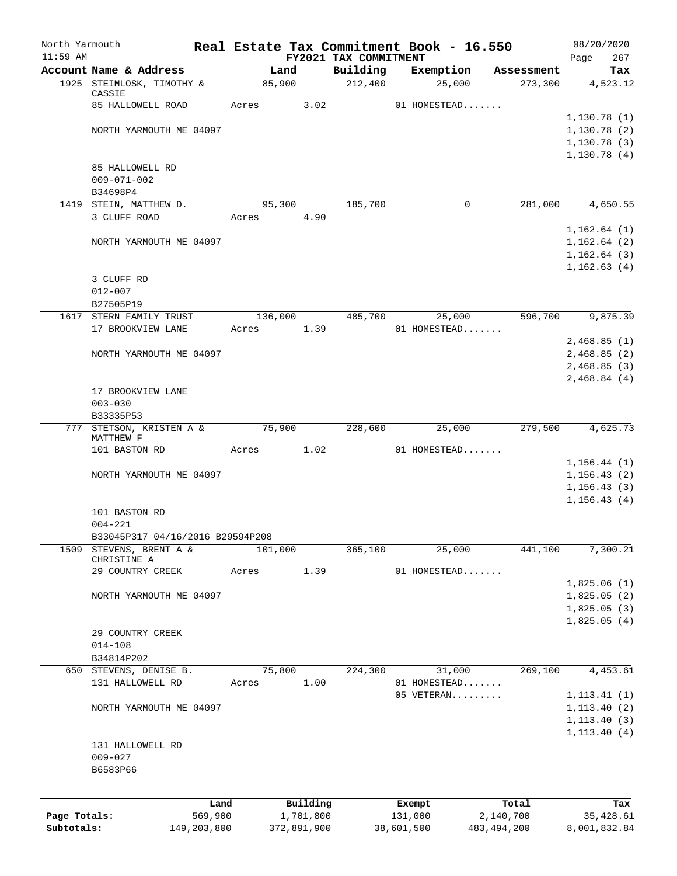| North Yarmouth |                                         |                  |             |                                   | Real Estate Tax Commitment Book - 16.550 |                       | 08/20/2020                   |
|----------------|-----------------------------------------|------------------|-------------|-----------------------------------|------------------------------------------|-----------------------|------------------------------|
| $11:59$ AM     | Account Name & Address                  | Land             |             | FY2021 TAX COMMITMENT<br>Building | Exemption                                |                       | 267<br>Page<br>Tax           |
|                | 1925 STEIMLOSK, TIMOTHY &               | 85,900           |             | 212,400                           | 25,000                                   | Assessment<br>273,300 | $\overline{4,523.12}$        |
|                | CASSIE                                  |                  |             |                                   |                                          |                       |                              |
|                | 85 HALLOWELL ROAD                       | Acres            | 3.02        |                                   | 01 HOMESTEAD                             |                       |                              |
|                |                                         |                  |             |                                   |                                          |                       | 1,130.78(1)                  |
|                | NORTH YARMOUTH ME 04097                 |                  |             |                                   |                                          |                       | 1,130.78(2)                  |
|                |                                         |                  |             |                                   |                                          |                       | 1, 130.78(3)                 |
|                | 85 HALLOWELL RD                         |                  |             |                                   |                                          |                       | 1,130.78(4)                  |
|                | $009 - 071 - 002$                       |                  |             |                                   |                                          |                       |                              |
|                | B34698P4                                |                  |             |                                   |                                          |                       |                              |
|                | 1419 STEIN, MATTHEW D.                  | 95,300           |             | 185,700                           | $\Omega$                                 | 281,000               | 4,650.55                     |
|                | 3 CLUFF ROAD                            | Acres            | 4.90        |                                   |                                          |                       |                              |
|                |                                         |                  |             |                                   |                                          |                       | 1,162.64(1)                  |
|                | NORTH YARMOUTH ME 04097                 |                  |             |                                   |                                          |                       | 1,162.64(2)                  |
|                |                                         |                  |             |                                   |                                          |                       | 1,162.64(3)                  |
|                |                                         |                  |             |                                   |                                          |                       | 1, 162.63(4)                 |
|                | 3 CLUFF RD                              |                  |             |                                   |                                          |                       |                              |
|                | $012 - 007$                             |                  |             |                                   |                                          |                       |                              |
|                | B27505P19                               |                  |             |                                   |                                          |                       |                              |
| 1617           | STERN FAMILY TRUST<br>17 BROOKVIEW LANE | 136,000<br>Acres | 1.39        | 485,700                           | 25,000<br>01 HOMESTEAD                   | 596,700               | 9,875.39                     |
|                |                                         |                  |             |                                   |                                          |                       | 2,468.85(1)                  |
|                | NORTH YARMOUTH ME 04097                 |                  |             |                                   |                                          |                       | 2,468.85(2)                  |
|                |                                         |                  |             |                                   |                                          |                       | 2,468.85(3)                  |
|                |                                         |                  |             |                                   |                                          |                       | 2,468.84(4)                  |
|                | 17 BROOKVIEW LANE                       |                  |             |                                   |                                          |                       |                              |
|                | $003 - 030$                             |                  |             |                                   |                                          |                       |                              |
|                | B33335P53                               |                  |             |                                   |                                          |                       |                              |
| 777            | STETSON, KRISTEN A &                    | 75,900           |             | 228,600                           | 25,000                                   | 279,500               | 4,625.73                     |
|                | MATTHEW F<br>101 BASTON RD              | Acres            | 1.02        |                                   | 01 HOMESTEAD                             |                       |                              |
|                |                                         |                  |             |                                   |                                          |                       | 1,156.44(1)                  |
|                | NORTH YARMOUTH ME 04097                 |                  |             |                                   |                                          |                       | 1, 156.43(2)                 |
|                |                                         |                  |             |                                   |                                          |                       | 1, 156.43(3)                 |
|                |                                         |                  |             |                                   |                                          |                       | 1, 156.43(4)                 |
|                | 101 BASTON RD                           |                  |             |                                   |                                          |                       |                              |
|                | $004 - 221$                             |                  |             |                                   |                                          |                       |                              |
|                | B33045P317 04/16/2016 B29594P208        |                  |             |                                   |                                          |                       |                              |
| 1509           | STEVENS, BRENT A &<br>CHRISTINE A       | 101,000          |             | 365,100                           | 25,000                                   | 441,100               | 7,300.21                     |
|                | 29 COUNTRY CREEK                        | Acres            | 1.39        |                                   | 01 HOMESTEAD                             |                       |                              |
|                |                                         |                  |             |                                   |                                          |                       | 1,825.06(1)                  |
|                | NORTH YARMOUTH ME 04097                 |                  |             |                                   |                                          |                       | 1,825.05(2)                  |
|                |                                         |                  |             |                                   |                                          |                       | 1,825.05(3)                  |
|                |                                         |                  |             |                                   |                                          |                       | 1,825.05(4)                  |
|                | 29 COUNTRY CREEK                        |                  |             |                                   |                                          |                       |                              |
|                | $014 - 108$                             |                  |             |                                   |                                          |                       |                              |
|                | B34814P202                              |                  |             |                                   |                                          |                       |                              |
|                | 650 STEVENS, DENISE B.                  | 75,800           |             | 224,300                           | 31,000                                   | 269,100               | 4,453.61                     |
|                | 131 HALLOWELL RD                        | Acres            | 1.00        |                                   | 01 HOMESTEAD<br>05 VETERAN               |                       |                              |
|                | NORTH YARMOUTH ME 04097                 |                  |             |                                   |                                          |                       | 1, 113.41(1)<br>1, 113.40(2) |
|                |                                         |                  |             |                                   |                                          |                       | 1, 113.40(3)                 |
|                |                                         |                  |             |                                   |                                          |                       | 1, 113.40(4)                 |
|                | 131 HALLOWELL RD                        |                  |             |                                   |                                          |                       |                              |
|                | $009 - 027$                             |                  |             |                                   |                                          |                       |                              |
|                | B6583P66                                |                  |             |                                   |                                          |                       |                              |
|                |                                         |                  |             |                                   |                                          |                       |                              |
|                |                                         | Land             | Building    |                                   | Exempt                                   | Total                 | Tax                          |
| Page Totals:   | 569,900                                 |                  | 1,701,800   |                                   | 131,000                                  | 2,140,700             | 35,428.61                    |
| Subtotals:     | 149,203,800                             |                  | 372,891,900 |                                   | 38,601,500                               | 483, 494, 200         | 8,001,832.84                 |
|                |                                         |                  |             |                                   |                                          |                       |                              |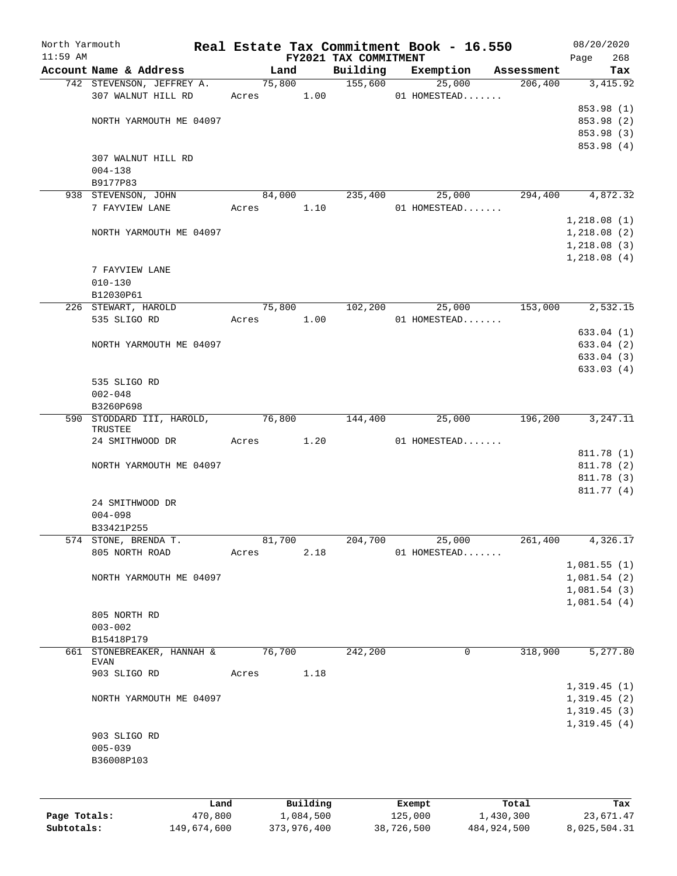| North Yarmouth |                                           |       |        |            |                                   | Real Estate Tax Commitment Book - 16.550 |            | 08/20/2020         |
|----------------|-------------------------------------------|-------|--------|------------|-----------------------------------|------------------------------------------|------------|--------------------|
| $11:59$ AM     | Account Name & Address                    |       | Land   |            | FY2021 TAX COMMITMENT<br>Building | Exemption                                | Assessment | 268<br>Page<br>Tax |
|                | 742 STEVENSON, JEFFREY A.                 |       |        |            | 75,800 155,600                    | 25,000                                   | 206,400    | 3,415.92           |
|                | 307 WALNUT HILL RD                        |       |        |            | Acres 1.00                        | 01 HOMESTEAD                             |            |                    |
|                |                                           |       |        |            |                                   |                                          |            | 853.98 (1)         |
|                | NORTH YARMOUTH ME 04097                   |       |        |            |                                   |                                          |            | 853.98 (2)         |
|                |                                           |       |        |            |                                   |                                          |            | 853.98 (3)         |
|                |                                           |       |        |            |                                   |                                          |            | 853.98 (4)         |
|                | 307 WALNUT HILL RD                        |       |        |            |                                   |                                          |            |                    |
|                | $004 - 138$                               |       |        |            |                                   |                                          |            |                    |
|                | B9177P83                                  |       |        |            |                                   |                                          |            |                    |
|                | 938 STEVENSON, JOHN                       |       | 84,000 |            | 235,400                           | 25,000                                   | 294,400    | 4,872.32           |
|                | 7 FAYVIEW LANE                            |       |        | Acres 1.10 |                                   | 01 HOMESTEAD                             |            |                    |
|                |                                           |       |        |            |                                   |                                          |            | 1,218.08(1)        |
|                | NORTH YARMOUTH ME 04097                   |       |        |            |                                   |                                          |            | 1,218.08(2)        |
|                |                                           |       |        |            |                                   |                                          |            | 1,218.08(3)        |
|                |                                           |       |        |            |                                   |                                          |            | 1,218.08(4)        |
|                | 7 FAYVIEW LANE<br>$010 - 130$             |       |        |            |                                   |                                          |            |                    |
|                | B12030P61                                 |       |        |            |                                   |                                          |            |                    |
|                | 226 STEWART, HAROLD                       |       | 75,800 |            | 102,200                           | 25,000                                   | 153,000    | 2,532.15           |
|                | 535 SLIGO RD                              |       |        | Acres 1.00 |                                   | 01 HOMESTEAD                             |            |                    |
|                |                                           |       |        |            |                                   |                                          |            | 633.04(1)          |
|                | NORTH YARMOUTH ME 04097                   |       |        |            |                                   |                                          |            | 633.04(2)          |
|                |                                           |       |        |            |                                   |                                          |            | 633.04(3)          |
|                |                                           |       |        |            |                                   |                                          |            | 633.03(4)          |
|                | 535 SLIGO RD                              |       |        |            |                                   |                                          |            |                    |
|                | $002 - 048$                               |       |        |            |                                   |                                          |            |                    |
|                | B3260P698                                 |       |        |            |                                   |                                          |            |                    |
|                | 590 STODDARD III, HAROLD,                 |       | 76,800 |            | 144,400                           | 25,000                                   | 196,200    | 3,247.11           |
|                | TRUSTEE<br>24 SMITHWOOD DR                |       | Acres  | 1.20       |                                   | 01 HOMESTEAD                             |            |                    |
|                |                                           |       |        |            |                                   |                                          |            | 811.78 (1)         |
|                | NORTH YARMOUTH ME 04097                   |       |        |            |                                   |                                          |            | 811.78 (2)         |
|                |                                           |       |        |            |                                   |                                          |            | 811.78 (3)         |
|                |                                           |       |        |            |                                   |                                          |            | 811.77 (4)         |
|                | 24 SMITHWOOD DR                           |       |        |            |                                   |                                          |            |                    |
|                | $004 - 098$                               |       |        |            |                                   |                                          |            |                    |
|                | B33421P255                                |       |        |            |                                   |                                          |            |                    |
|                | 574 STONE, BRENDA T.                      |       | 81,700 |            | 204,700                           | 25,000                                   | 261,400    | 4,326.17           |
|                | 805 NORTH ROAD                            | Acres |        | 2.18       |                                   | 01 HOMESTEAD                             |            |                    |
|                |                                           |       |        |            |                                   |                                          |            | 1,081.55(1)        |
|                | NORTH YARMOUTH ME 04097                   |       |        |            |                                   |                                          |            | 1,081.54(2)        |
|                |                                           |       |        |            |                                   |                                          |            | 1,081.54(3)        |
|                |                                           |       |        |            |                                   |                                          |            | 1,081.54(4)        |
|                | 805 NORTH RD                              |       |        |            |                                   |                                          |            |                    |
|                | $003 - 002$                               |       |        |            |                                   |                                          |            |                    |
|                | B15418P179                                |       |        |            |                                   |                                          |            |                    |
|                | 661 STONEBREAKER, HANNAH &<br><b>EVAN</b> |       | 76,700 |            | 242,200                           | 0                                        | 318,900    | 5,277.80           |
|                | 903 SLIGO RD                              | Acres |        | 1.18       |                                   |                                          |            |                    |
|                |                                           |       |        |            |                                   |                                          |            | 1,319.45(1)        |
|                | NORTH YARMOUTH ME 04097                   |       |        |            |                                   |                                          |            | 1,319.45(2)        |
|                |                                           |       |        |            |                                   |                                          |            | 1,319.45(3)        |
|                |                                           |       |        |            |                                   |                                          |            | 1,319.45(4)        |
|                | 903 SLIGO RD                              |       |        |            |                                   |                                          |            |                    |
|                | $005 - 039$                               |       |        |            |                                   |                                          |            |                    |
|                | B36008P103                                |       |        |            |                                   |                                          |            |                    |
|                |                                           |       |        |            |                                   |                                          |            |                    |
|                |                                           |       |        |            |                                   |                                          |            |                    |
|                | Land                                      |       |        | Building   |                                   | Exempt                                   | Total      | Tax                |

|              | Land        | Building    | Exempt     | тосат       | тах          |
|--------------|-------------|-------------|------------|-------------|--------------|
| Page Totals: | 470,800     | 1,084,500   | 125,000    | 1,430,300   | 23,671.47    |
| Subtotals:   | 149,674,600 | 373,976,400 | 38,726,500 | 484,924,500 | 8,025,504.31 |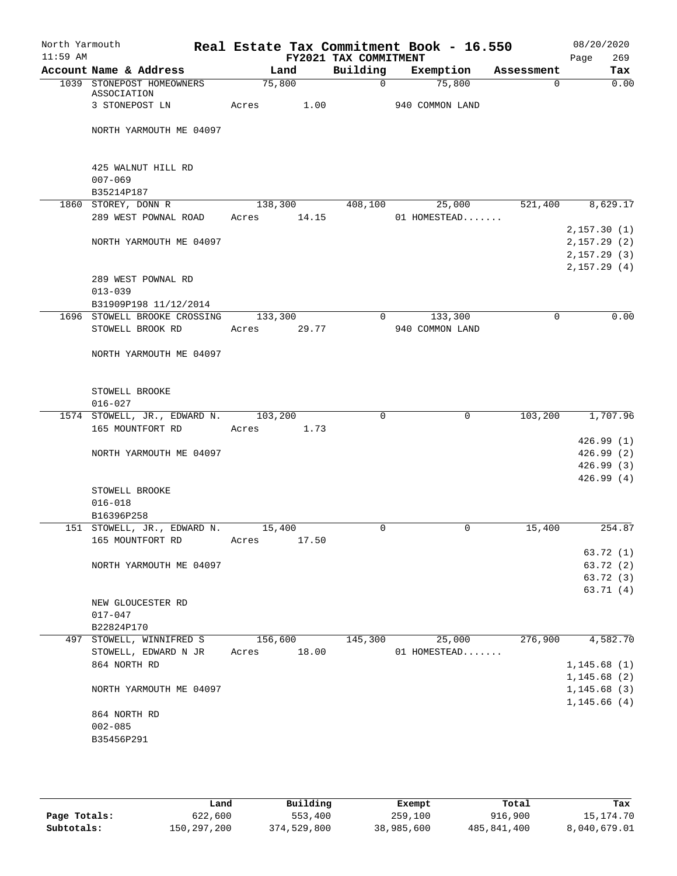| North Yarmouth<br>$11:59$ AM |                                                  | Real Estate Tax Commitment Book - 16.550 | FY2021 TAX COMMITMENT |                            |             | 08/20/2020<br>269<br>Page                 |
|------------------------------|--------------------------------------------------|------------------------------------------|-----------------------|----------------------------|-------------|-------------------------------------------|
|                              | Account Name & Address                           | Land                                     | Building              | Exemption                  | Assessment  | Tax                                       |
|                              | 1039 STONEPOST HOMEOWNERS<br>ASSOCIATION         | 75,800                                   | $\mathbf{0}$          | 75,800                     | 0           | 0.00                                      |
|                              | 3 STONEPOST LN                                   | Acres<br>1.00                            |                       | 940 COMMON LAND            |             |                                           |
|                              | NORTH YARMOUTH ME 04097                          |                                          |                       |                            |             |                                           |
|                              | 425 WALNUT HILL RD<br>$007 - 069$                |                                          |                       |                            |             |                                           |
|                              | B35214P187                                       |                                          |                       |                            |             |                                           |
|                              | 1860 STOREY, DONN R<br>289 WEST POWNAL ROAD      | 138,300<br>14.15<br>Acres                | 408,100               | 25,000<br>01 HOMESTEAD     | 521,400     | 8,629.17                                  |
|                              | NORTH YARMOUTH ME 04097                          |                                          |                       |                            |             | 2,157.30(1)<br>2,157.29(2)<br>2,157.29(3) |
|                              | 289 WEST POWNAL RD<br>$013 - 039$                |                                          |                       |                            |             | 2,157.29(4)                               |
|                              | B31909P198 11/12/2014                            |                                          |                       |                            |             |                                           |
|                              | 1696 STOWELL BROOKE CROSSING<br>STOWELL BROOK RD | 133,300<br>29.77<br>Acres                | $\Omega$              | 133,300<br>940 COMMON LAND | $\mathbf 0$ | 0.00                                      |
|                              | NORTH YARMOUTH ME 04097                          |                                          |                       |                            |             |                                           |
|                              | STOWELL BROOKE<br>$016 - 027$                    |                                          |                       |                            |             |                                           |
|                              | 1574 STOWELL, JR., EDWARD N.<br>165 MOUNTFORT RD | 103,200<br>1.73<br>Acres                 | $\Omega$              | $\mathbf 0$                | 103,200     | 1,707.96                                  |
|                              |                                                  |                                          |                       |                            |             | 426.99(1)                                 |
|                              | NORTH YARMOUTH ME 04097                          |                                          |                       |                            |             | 426.99(2)                                 |
|                              |                                                  |                                          |                       |                            |             | 426.99(3)<br>426.99(4)                    |
|                              | STOWELL BROOKE                                   |                                          |                       |                            |             |                                           |
|                              | $016 - 018$<br>B16396P258                        |                                          |                       |                            |             |                                           |
|                              | 151 STOWELL, JR., EDWARD N.                      | 15,400                                   | 0                     | 0                          | 15,400      | 254.87                                    |
|                              | 165 MOUNTFORT RD                                 | 17.50<br>Acres                           |                       |                            |             | 63.72 (1)                                 |
|                              | NORTH YARMOUTH ME 04097                          |                                          |                       |                            |             | 63.72 (2)                                 |
|                              |                                                  |                                          |                       |                            |             | 63.72 (3)                                 |
|                              |                                                  |                                          |                       |                            |             | 63.71(4)                                  |
|                              | NEW GLOUCESTER RD                                |                                          |                       |                            |             |                                           |
|                              | $017 - 047$                                      |                                          |                       |                            |             |                                           |
|                              | B22824P170                                       |                                          | 145,300               |                            | 276,900     | 4,582.70                                  |
|                              | 497 STOWELL, WINNIFRED S<br>STOWELL, EDWARD N JR | 156,600<br>18.00<br>Acres                |                       | 25,000<br>01 HOMESTEAD     |             |                                           |
|                              | 864 NORTH RD                                     |                                          |                       |                            |             | 1, 145.68(1)                              |
|                              |                                                  |                                          |                       |                            |             | 1,145.68(2)                               |
|                              | NORTH YARMOUTH ME 04097                          |                                          |                       |                            |             | 1,145.68(3)                               |
|                              |                                                  |                                          |                       |                            |             | 1, 145.66(4)                              |
|                              | 864 NORTH RD                                     |                                          |                       |                            |             |                                           |
|                              | $002 - 085$<br>B35456P291                        |                                          |                       |                            |             |                                           |
|                              |                                                  |                                          |                       |                            |             |                                           |
|                              |                                                  |                                          |                       |                            |             |                                           |

|              | Land        | Building    | Exempt     | Total       | Tax          |
|--------------|-------------|-------------|------------|-------------|--------------|
| Page Totals: | 622,600     | 553,400     | 259,100    | 916,900     | 15,174.70    |
| Subtotals:   | 150,297,200 | 374,529,800 | 38,985,600 | 485,841,400 | 8,040,679.01 |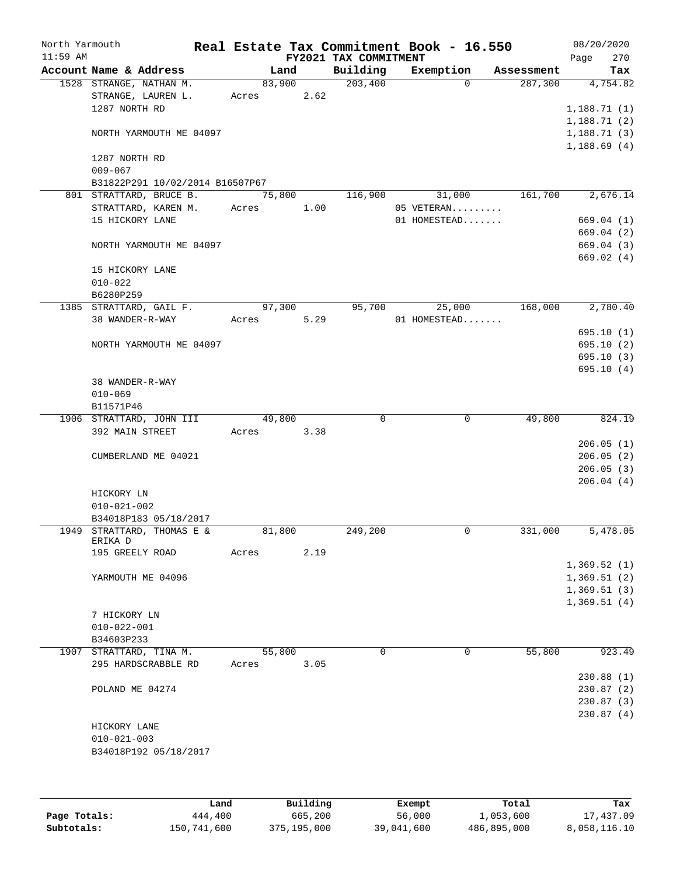| North Yarmouth |                                                |        |      | Real Estate Tax Commitment Book - 16.550 |                            |            | 08/20/2020  |
|----------------|------------------------------------------------|--------|------|------------------------------------------|----------------------------|------------|-------------|
| $11:59$ AM     |                                                |        |      | FY2021 TAX COMMITMENT                    |                            |            | 270<br>Page |
|                | Account Name & Address                         | Land   |      | Building                                 | Exemption                  | Assessment | Tax         |
|                | 1528 STRANGE, NATHAN M.                        | 83,900 |      | 203,400                                  | $\Omega$                   | 287,300    | 4,754.82    |
|                | STRANGE, LAUREN L.                             | Acres  | 2.62 |                                          |                            |            |             |
|                | 1287 NORTH RD                                  |        |      |                                          |                            |            | 1,188.71(1) |
|                |                                                |        |      |                                          |                            |            | 1,188.71(2) |
|                | NORTH YARMOUTH ME 04097                        |        |      |                                          |                            |            | 1,188.71(3) |
|                |                                                |        |      |                                          |                            |            | 1,188.69(4) |
|                | 1287 NORTH RD                                  |        |      |                                          |                            |            |             |
|                | $009 - 067$                                    |        |      |                                          |                            |            |             |
|                | B31822P291 10/02/2014 B16507P67                |        |      |                                          | 31,000                     |            |             |
|                | 801 STRATTARD, BRUCE B.<br>STRATTARD, KAREN M. | 75,800 |      | 116,900                                  |                            | 161,700    | 2,676.14    |
|                | 15 HICKORY LANE                                | Acres  | 1.00 |                                          | 05 VETERAN<br>01 HOMESTEAD |            |             |
|                |                                                |        |      |                                          |                            |            | 669.04 (1)  |
|                |                                                |        |      |                                          |                            |            | 669.04 (2)  |
|                | NORTH YARMOUTH ME 04097                        |        |      |                                          |                            |            | 669.04 (3)  |
|                |                                                |        |      |                                          |                            |            | 669.02 (4)  |
|                | 15 HICKORY LANE                                |        |      |                                          |                            |            |             |
|                | $010 - 022$                                    |        |      |                                          |                            |            |             |
|                | B6280P259<br>1385 STRATTARD, GAIL F.           | 97,300 |      | 95,700                                   |                            | 168,000    | 2,780.40    |
|                | 38 WANDER-R-WAY                                | Acres  | 5.29 |                                          | 25,000<br>01 HOMESTEAD     |            |             |
|                |                                                |        |      |                                          |                            |            | 695.10(1)   |
|                | NORTH YARMOUTH ME 04097                        |        |      |                                          |                            |            | 695.10(2)   |
|                |                                                |        |      |                                          |                            |            | 695.10(3)   |
|                |                                                |        |      |                                          |                            |            | 695.10(4)   |
|                | 38 WANDER-R-WAY                                |        |      |                                          |                            |            |             |
|                | $010 - 069$                                    |        |      |                                          |                            |            |             |
|                | B11571P46                                      |        |      |                                          |                            |            |             |
|                | 1906 STRATTARD, JOHN III                       | 49,800 |      | $\Omega$                                 | 0                          | 49,800     | 824.19      |
|                | 392 MAIN STREET                                | Acres  | 3.38 |                                          |                            |            |             |
|                |                                                |        |      |                                          |                            |            | 206.05(1)   |
|                | CUMBERLAND ME 04021                            |        |      |                                          |                            |            | 206.05(2)   |
|                |                                                |        |      |                                          |                            |            | 206.05(3)   |
|                |                                                |        |      |                                          |                            |            | 206.04(4)   |
|                | HICKORY LN                                     |        |      |                                          |                            |            |             |
|                | $010 - 021 - 002$                              |        |      |                                          |                            |            |             |
|                | B34018P183 05/18/2017                          |        |      |                                          |                            |            |             |
|                | 1949 STRATTARD, THOMAS E &                     | 81,800 |      | 249,200                                  | 0                          | 331,000    | 5,478.05    |
|                | ERIKA D                                        |        |      |                                          |                            |            |             |
|                | 195 GREELY ROAD                                | Acres  | 2.19 |                                          |                            |            |             |
|                |                                                |        |      |                                          |                            |            | 1,369.52(1) |
|                | YARMOUTH ME 04096                              |        |      |                                          |                            |            | 1,369.51(2) |
|                |                                                |        |      |                                          |                            |            | 1,369.51(3) |
|                |                                                |        |      |                                          |                            |            | 1,369.51(4) |
|                | 7 HICKORY LN                                   |        |      |                                          |                            |            |             |
|                | $010 - 022 - 001$                              |        |      |                                          |                            |            |             |
|                | B34603P233                                     |        |      |                                          |                            |            |             |
| 1907           | STRATTARD, TINA M.                             | 55,800 |      | $\Omega$                                 | 0                          | 55,800     | 923.49      |
|                | 295 HARDSCRABBLE RD                            | Acres  | 3.05 |                                          |                            |            |             |
|                |                                                |        |      |                                          |                            |            | 230.88(1)   |
|                | POLAND ME 04274                                |        |      |                                          |                            |            | 230.87(2)   |
|                |                                                |        |      |                                          |                            |            | 230.87(3)   |
|                |                                                |        |      |                                          |                            |            | 230.87(4)   |
|                | HICKORY LANE                                   |        |      |                                          |                            |            |             |
|                | $010 - 021 - 003$                              |        |      |                                          |                            |            |             |
|                | B34018P192 05/18/2017                          |        |      |                                          |                            |            |             |
|                |                                                |        |      |                                          |                            |            |             |
|                |                                                |        |      |                                          |                            |            |             |
|                |                                                |        |      |                                          |                            |            |             |

|              | Land        | Building    | Exempt     | Total       | Tax          |
|--------------|-------------|-------------|------------|-------------|--------------|
| Page Totals: | 444,400     | 665,200     | 56,000     | 1,053,600   | 17,437.09    |
| Subtotals:   | 150,741,600 | 375,195,000 | 39,041,600 | 486,895,000 | 8,058,116.10 |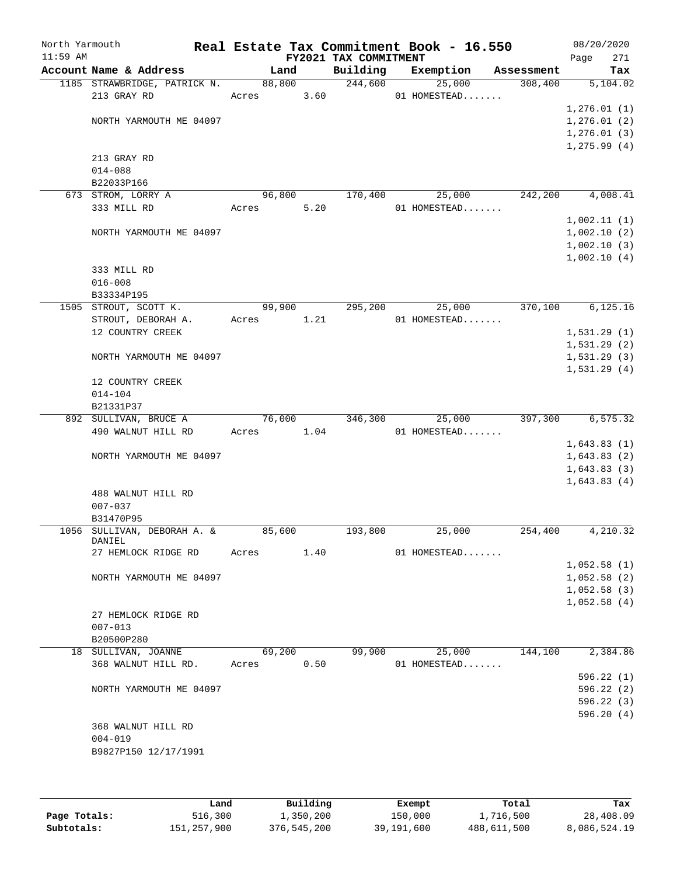| North Yarmouth<br>$11:59$ AM |                                     |        |        | FY2021 TAX COMMITMENT | Real Estate Tax Commitment Book - 16.550 |            | 08/20/2020<br>271<br>Page |
|------------------------------|-------------------------------------|--------|--------|-----------------------|------------------------------------------|------------|---------------------------|
|                              | Account Name & Address              |        | Land   | Building              | Exemption                                | Assessment | Tax                       |
|                              | 1185 STRAWBRIDGE, PATRICK N.        |        | 88,800 | 244,600               | 25,000                                   | 308,400    | 5,104.02                  |
|                              | 213 GRAY RD                         | Acres  | 3.60   |                       | 01 HOMESTEAD                             |            |                           |
|                              |                                     |        |        |                       |                                          |            | 1, 276.01(1)              |
|                              | NORTH YARMOUTH ME 04097             |        |        |                       |                                          |            | 1,276.01(2)               |
|                              |                                     |        |        |                       |                                          |            | 1,276.01(3)               |
|                              |                                     |        |        |                       |                                          |            | 1, 275.99(4)              |
|                              | 213 GRAY RD                         |        |        |                       |                                          |            |                           |
|                              | $014 - 088$                         |        |        |                       |                                          |            |                           |
|                              | B22033P166                          |        |        |                       |                                          |            |                           |
|                              | 673 STROM, LORRY A                  | 96,800 |        | 170,400               | 25,000                                   | 242,200    | 4,008.41                  |
|                              | 333 MILL RD                         | Acres  | 5.20   |                       | 01 HOMESTEAD                             |            |                           |
|                              |                                     |        |        |                       |                                          |            | 1,002.11(1)               |
|                              | NORTH YARMOUTH ME 04097             |        |        |                       |                                          |            | 1,002.10(2)               |
|                              |                                     |        |        |                       |                                          |            | 1,002.10(3)               |
|                              |                                     |        |        |                       |                                          |            | 1,002.10(4)               |
|                              | 333 MILL RD                         |        |        |                       |                                          |            |                           |
|                              | $016 - 008$                         |        |        |                       |                                          |            |                           |
|                              | B33334P195<br>1505 STROUT, SCOTT K. |        | 99,900 | 295,200               | 25,000                                   | 370,100    | 6, 125.16                 |
|                              | STROUT, DEBORAH A.                  | Acres  | 1.21   |                       | 01 HOMESTEAD                             |            |                           |
|                              | 12 COUNTRY CREEK                    |        |        |                       |                                          |            | 1,531.29(1)               |
|                              |                                     |        |        |                       |                                          |            | 1,531.29(2)               |
|                              | NORTH YARMOUTH ME 04097             |        |        |                       |                                          |            | 1,531.29(3)               |
|                              |                                     |        |        |                       |                                          |            | 1,531.29(4)               |
|                              | 12 COUNTRY CREEK                    |        |        |                       |                                          |            |                           |
|                              | $014 - 104$                         |        |        |                       |                                          |            |                           |
|                              | B21331P37                           |        |        |                       |                                          |            |                           |
|                              | 892 SULLIVAN, BRUCE A               | 76,000 |        | 346,300               | 25,000                                   | 397,300    | 6, 575.32                 |
|                              | 490 WALNUT HILL RD                  | Acres  | 1.04   |                       | 01 HOMESTEAD                             |            |                           |
|                              |                                     |        |        |                       |                                          |            | 1,643.83(1)               |
|                              | NORTH YARMOUTH ME 04097             |        |        |                       |                                          |            | 1,643.83(2)               |
|                              |                                     |        |        |                       |                                          |            | 1,643.83(3)               |
|                              |                                     |        |        |                       |                                          |            | 1,643.83(4)               |
|                              | 488 WALNUT HILL RD                  |        |        |                       |                                          |            |                           |
|                              | $007 - 037$                         |        |        |                       |                                          |            |                           |
|                              | B31470P95                           |        |        |                       |                                          |            |                           |
|                              | 1056 SULLIVAN, DEBORAH A. &         | 85,600 |        | 193,800               | 25,000                                   | 254,400    | 4,210.32                  |
|                              | DANIEL<br>27 HEMLOCK RIDGE RD       | Acres  | 1.40   |                       | 01 HOMESTEAD                             |            |                           |
|                              |                                     |        |        |                       |                                          |            | 1,052.58(1)               |
|                              | NORTH YARMOUTH ME 04097             |        |        |                       |                                          |            | 1,052.58(2)               |
|                              |                                     |        |        |                       |                                          |            | 1,052.58(3)               |
|                              |                                     |        |        |                       |                                          |            | 1,052.58(4)               |
|                              | 27 HEMLOCK RIDGE RD                 |        |        |                       |                                          |            |                           |
|                              | $007 - 013$                         |        |        |                       |                                          |            |                           |
|                              | B20500P280                          |        |        |                       |                                          |            |                           |
|                              | 18 SULLIVAN, JOANNE                 | 69,200 |        | 99,900                | 25,000                                   | 144,100    | 2,384.86                  |
|                              | 368 WALNUT HILL RD.                 | Acres  | 0.50   |                       | 01 HOMESTEAD                             |            |                           |
|                              |                                     |        |        |                       |                                          |            | 596.22(1)                 |
|                              | NORTH YARMOUTH ME 04097             |        |        |                       |                                          |            | 596.22(2)                 |
|                              |                                     |        |        |                       |                                          |            | 596.22(3)                 |
|                              |                                     |        |        |                       |                                          |            | 596.20(4)                 |
|                              | 368 WALNUT HILL RD                  |        |        |                       |                                          |            |                           |
|                              | $004 - 019$                         |        |        |                       |                                          |            |                           |
|                              | B9827P150 12/17/1991                |        |        |                       |                                          |            |                           |
|                              |                                     |        |        |                       |                                          |            |                           |
|                              |                                     |        |        |                       |                                          |            |                           |

|              | Land        | Building    | Exempt     | Total       | Tax          |
|--------------|-------------|-------------|------------|-------------|--------------|
| Page Totals: | 516,300     | 1,350,200   | 150,000    | 1,716,500   | 28,408.09    |
| Subtotals:   | 151,257,900 | 376,545,200 | 39,191,600 | 488,611,500 | 8,086,524.19 |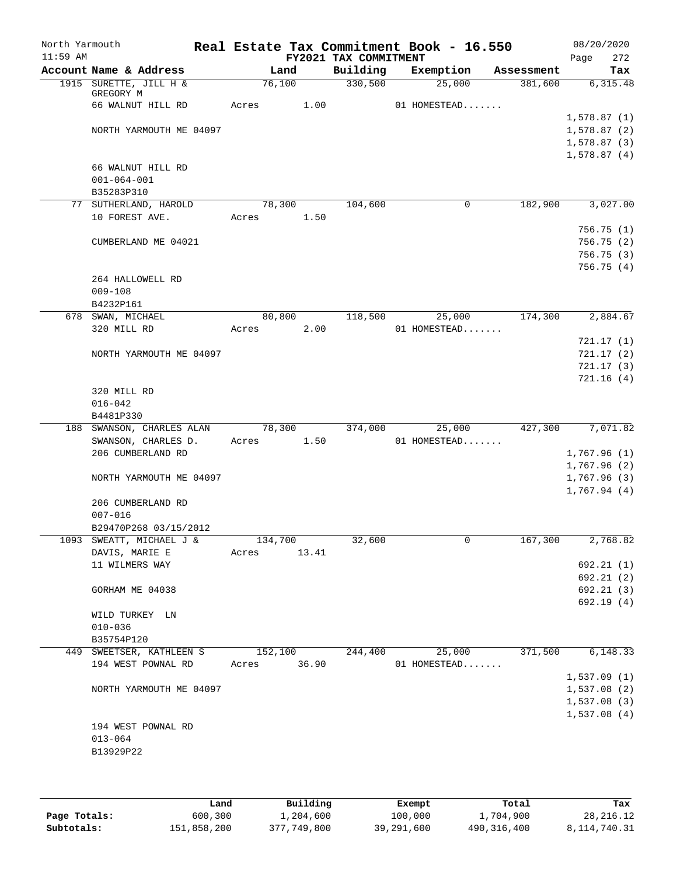| North Yarmouth<br>$11:59$ AM |                                                   |       |         | FY2021 TAX COMMITMENT | Real Estate Tax Commitment Book - 16.550 |            | 08/20/2020<br>272<br>Page |
|------------------------------|---------------------------------------------------|-------|---------|-----------------------|------------------------------------------|------------|---------------------------|
|                              | Account Name & Address                            |       | Land    | Building              | Exemption                                | Assessment | Tax                       |
|                              | 1915 SURETTE, JILL H &<br>GREGORY M               |       | 76,100  | 330,500               | 25,000                                   | 381,600    | 6,315.48                  |
|                              | 66 WALNUT HILL RD                                 | Acres | 1.00    |                       | 01 HOMESTEAD                             |            |                           |
|                              |                                                   |       |         |                       |                                          |            | 1,578.87(1)               |
|                              | NORTH YARMOUTH ME 04097                           |       |         |                       |                                          |            | 1,578.87(2)               |
|                              |                                                   |       |         |                       |                                          |            | 1,578.87(3)               |
|                              |                                                   |       |         |                       |                                          |            | 1,578.87(4)               |
|                              | 66 WALNUT HILL RD<br>$001 - 064 - 001$            |       |         |                       |                                          |            |                           |
|                              | B35283P310                                        |       |         |                       |                                          |            |                           |
|                              | 77 SUTHERLAND, HAROLD                             |       | 78,300  | 104,600               | 0                                        | 182,900    | 3,027.00                  |
|                              | 10 FOREST AVE.                                    | Acres | 1.50    |                       |                                          |            |                           |
|                              |                                                   |       |         |                       |                                          |            | 756.75(1)                 |
|                              | CUMBERLAND ME 04021                               |       |         |                       |                                          |            | 756.75(2)                 |
|                              |                                                   |       |         |                       |                                          |            | 756.75(3)                 |
|                              |                                                   |       |         |                       |                                          |            | 756.75 (4)                |
|                              | 264 HALLOWELL RD<br>$009 - 108$                   |       |         |                       |                                          |            |                           |
|                              | B4232P161                                         |       |         |                       |                                          |            |                           |
|                              | 678 SWAN, MICHAEL                                 |       | 80,800  | 118,500               | 25,000                                   | 174,300    | 2,884.67                  |
|                              | 320 MILL RD                                       | Acres | 2.00    |                       | 01 HOMESTEAD                             |            |                           |
|                              |                                                   |       |         |                       |                                          |            | 721.17(1)                 |
|                              | NORTH YARMOUTH ME 04097                           |       |         |                       |                                          |            | 721.17(2)                 |
|                              |                                                   |       |         |                       |                                          |            | 721.17(3)                 |
|                              |                                                   |       |         |                       |                                          |            | 721.16(4)                 |
|                              | 320 MILL RD                                       |       |         |                       |                                          |            |                           |
|                              | $016 - 042$                                       |       |         |                       |                                          |            |                           |
| 188                          | B4481P330<br>SWANSON, CHARLES ALAN                |       | 78,300  | 374,000               | 25,000                                   | 427,300    | 7,071.82                  |
|                              | SWANSON, CHARLES D.                               | Acres | 1.50    |                       | 01 HOMESTEAD                             |            |                           |
|                              | 206 CUMBERLAND RD                                 |       |         |                       |                                          |            | 1,767.96(1)               |
|                              |                                                   |       |         |                       |                                          |            | 1,767.96 (2)              |
|                              | NORTH YARMOUTH ME 04097                           |       |         |                       |                                          |            | 1,767.96(3)               |
|                              |                                                   |       |         |                       |                                          |            | 1,767.94(4)               |
|                              | 206 CUMBERLAND RD                                 |       |         |                       |                                          |            |                           |
|                              | $007 - 016$                                       |       |         |                       |                                          |            |                           |
|                              | B29470P268 03/15/2012<br>1093 SWEATT, MICHAEL J & |       | 134,700 | 32,600                | $\mathsf{O}$                             | 167,300    | 2,768.82                  |
|                              | DAVIS, MARIE E                                    | Acres | 13.41   |                       |                                          |            |                           |
|                              | 11 WILMERS WAY                                    |       |         |                       |                                          |            | 692.21(1)                 |
|                              |                                                   |       |         |                       |                                          |            | 692.21(2)                 |
|                              | GORHAM ME 04038                                   |       |         |                       |                                          |            | 692.21(3)                 |
|                              |                                                   |       |         |                       |                                          |            | 692.19(4)                 |
|                              | WILD TURKEY LN                                    |       |         |                       |                                          |            |                           |
|                              | $010 - 036$                                       |       |         |                       |                                          |            |                           |
|                              | B35754P120                                        |       |         |                       |                                          |            |                           |
|                              | 449 SWEETSER, KATHLEEN S                          |       | 152,100 | 244,400               | 25,000                                   | 371,500    | 6,148.33                  |
|                              | 194 WEST POWNAL RD                                | Acres | 36.90   |                       | 01 HOMESTEAD                             |            | 1,537.09(1)               |
|                              | NORTH YARMOUTH ME 04097                           |       |         |                       |                                          |            | 1,537.08(2)               |
|                              |                                                   |       |         |                       |                                          |            | 1,537.08(3)               |
|                              |                                                   |       |         |                       |                                          |            | 1,537.08(4)               |
|                              | 194 WEST POWNAL RD                                |       |         |                       |                                          |            |                           |
|                              | $013 - 064$                                       |       |         |                       |                                          |            |                           |
|                              | B13929P22                                         |       |         |                       |                                          |            |                           |
|                              |                                                   |       |         |                       |                                          |            |                           |

|              | Land        | Building    | Exempt     | Total       | Tax          |
|--------------|-------------|-------------|------------|-------------|--------------|
| Page Totals: | 600,300     | 1,204,600   | 100,000    | 1,704,900   | 28, 216. 12  |
| Subtotals:   | 151,858,200 | 377,749,800 | 39,291,600 | 490,316,400 | 8,114,740.31 |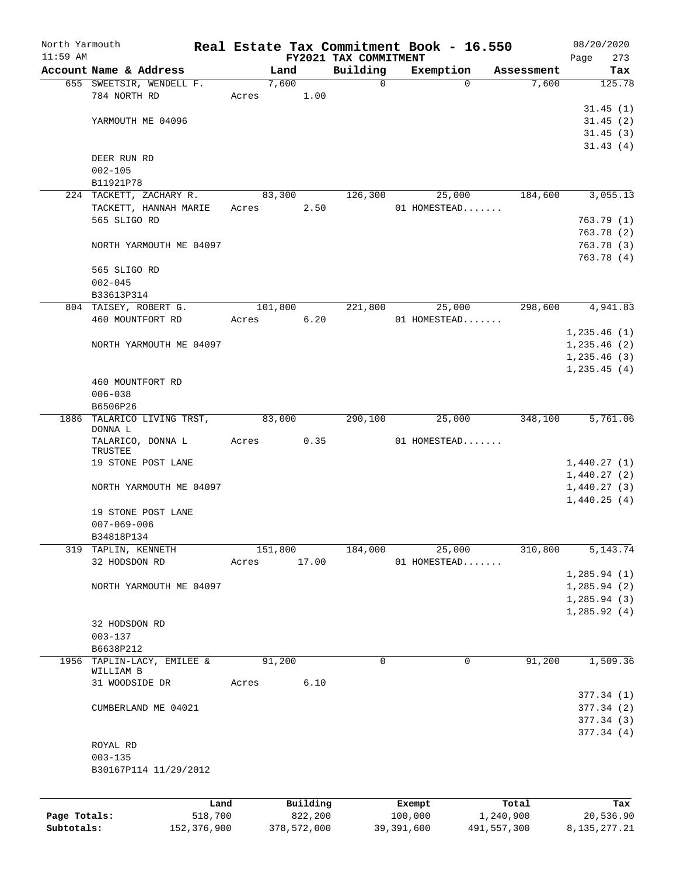|              | North Yarmouth                        |         |         |          |                                   | Real Estate Tax Commitment Book - 16.550 |            | 08/20/2020            |
|--------------|---------------------------------------|---------|---------|----------|-----------------------------------|------------------------------------------|------------|-----------------------|
| $11:59$ AM   | Account Name & Address                |         |         | Land     | FY2021 TAX COMMITMENT<br>Building | Exemption                                | Assessment | Page<br>273<br>Tax    |
|              | 655 SWEETSIR, WENDELL F.              |         |         | 7,600    | $\mathbf 0$                       | $\Omega$                                 | 7,600      | 125.78                |
|              | 784 NORTH RD                          |         | Acres   | 1.00     |                                   |                                          |            |                       |
|              |                                       |         |         |          |                                   |                                          |            | 31.45(1)              |
|              | YARMOUTH ME 04096                     |         |         |          |                                   |                                          |            | 31.45(2)              |
|              |                                       |         |         |          |                                   |                                          |            | 31.45(3)              |
|              |                                       |         |         |          |                                   |                                          |            | 31.43(4)              |
|              | DEER RUN RD                           |         |         |          |                                   |                                          |            |                       |
|              | $002 - 105$                           |         |         |          |                                   |                                          |            |                       |
|              | B11921P78                             |         |         |          |                                   |                                          |            |                       |
|              | 224 TACKETT, ZACHARY R.               |         |         | 83,300   | 126,300                           | 25,000                                   | 184,600    | 3,055.13              |
|              | TACKETT, HANNAH MARIE                 |         | Acres   | 2.50     |                                   | 01 HOMESTEAD                             |            |                       |
|              | 565 SLIGO RD                          |         |         |          |                                   |                                          |            | 763.79(1)             |
|              |                                       |         |         |          |                                   |                                          |            | 763.78(2)             |
|              | NORTH YARMOUTH ME 04097               |         |         |          |                                   |                                          |            | 763.78(3)             |
|              |                                       |         |         |          |                                   |                                          |            | 763.78(4)             |
|              | 565 SLIGO RD                          |         |         |          |                                   |                                          |            |                       |
|              | $002 - 045$                           |         |         |          |                                   |                                          |            |                       |
|              | B33613P314                            |         |         |          |                                   |                                          |            |                       |
|              | 804 TAISEY, ROBERT G.                 |         | 101,800 |          | 221,800                           | 25,000                                   | 298,600    | 4,941.83              |
|              | 460 MOUNTFORT RD                      |         | Acres   | 6.20     |                                   | 01 HOMESTEAD                             |            |                       |
|              |                                       |         |         |          |                                   |                                          |            | 1,235.46(1)           |
|              | NORTH YARMOUTH ME 04097               |         |         |          |                                   |                                          |            | 1,235.46(2)           |
|              |                                       |         |         |          |                                   |                                          |            | 1,235.46(3)           |
|              |                                       |         |         |          |                                   |                                          |            | 1,235.45(4)           |
|              | 460 MOUNTFORT RD                      |         |         |          |                                   |                                          |            |                       |
|              | $006 - 038$                           |         |         |          |                                   |                                          |            |                       |
|              | B6506P26                              |         |         |          |                                   |                                          |            |                       |
|              | 1886 TALARICO LIVING TRST,<br>DONNA L |         | 83,000  |          | 290,100                           | 25,000                                   | 348,100    | 5,761.06              |
|              | TALARICO, DONNA L                     |         | Acres   | 0.35     |                                   | 01 HOMESTEAD                             |            |                       |
|              | TRUSTEE                               |         |         |          |                                   |                                          |            |                       |
|              | 19 STONE POST LANE                    |         |         |          |                                   |                                          |            | 1,440.27(1)           |
|              |                                       |         |         |          |                                   |                                          |            | 1,440.27(2)           |
|              | NORTH YARMOUTH ME 04097               |         |         |          |                                   |                                          |            | 1,440.27(3)           |
|              |                                       |         |         |          |                                   |                                          |            | 1,440.25(4)           |
|              | 19 STONE POST LANE                    |         |         |          |                                   |                                          |            |                       |
|              | $007 - 069 - 006$                     |         |         |          |                                   |                                          |            |                       |
|              | B34818P134                            |         |         |          |                                   |                                          |            |                       |
| 319          | TAPLIN, KENNETH                       |         | 151,800 |          | 184,000                           | 25,000                                   | 310,800    | $\overline{5,143.74}$ |
|              | 32 HODSDON RD                         |         | Acres   | 17.00    |                                   | 01 HOMESTEAD                             |            |                       |
|              |                                       |         |         |          |                                   |                                          |            | 1, 285.94(1)          |
|              | NORTH YARMOUTH ME 04097               |         |         |          |                                   |                                          |            | 1, 285.94 (2)         |
|              |                                       |         |         |          |                                   |                                          |            | 1, 285.94(3)          |
|              | 32 HODSDON RD                         |         |         |          |                                   |                                          |            | 1, 285.92(4)          |
|              | $003 - 137$                           |         |         |          |                                   |                                          |            |                       |
|              | B6638P212                             |         |         |          |                                   |                                          |            |                       |
| 1956         | TAPLIN-LACY, EMILEE &                 |         | 91,200  |          | 0                                 | 0                                        | 91,200     | 1,509.36              |
|              | WILLIAM B                             |         |         |          |                                   |                                          |            |                       |
|              | 31 WOODSIDE DR                        |         | Acres   | 6.10     |                                   |                                          |            |                       |
|              |                                       |         |         |          |                                   |                                          |            | 377.34 (1)            |
|              | CUMBERLAND ME 04021                   |         |         |          |                                   |                                          |            | 377.34 (2)            |
|              |                                       |         |         |          |                                   |                                          |            | 377.34(3)             |
|              |                                       |         |         |          |                                   |                                          |            | 377.34(4)             |
|              | ROYAL RD                              |         |         |          |                                   |                                          |            |                       |
|              | $003 - 135$                           |         |         |          |                                   |                                          |            |                       |
|              | B30167P114 11/29/2012                 |         |         |          |                                   |                                          |            |                       |
|              |                                       |         |         |          |                                   |                                          |            |                       |
|              |                                       | Land    |         | Building |                                   | Exempt                                   | Total      | Tax                   |
| Page Totals: |                                       | 518,700 |         | 822,200  |                                   | 100,000                                  | 1,240,900  | 20,536.90             |

**Subtotals:** 152,376,900 378,572,000 39,391,600 491,557,300 8,135,277.21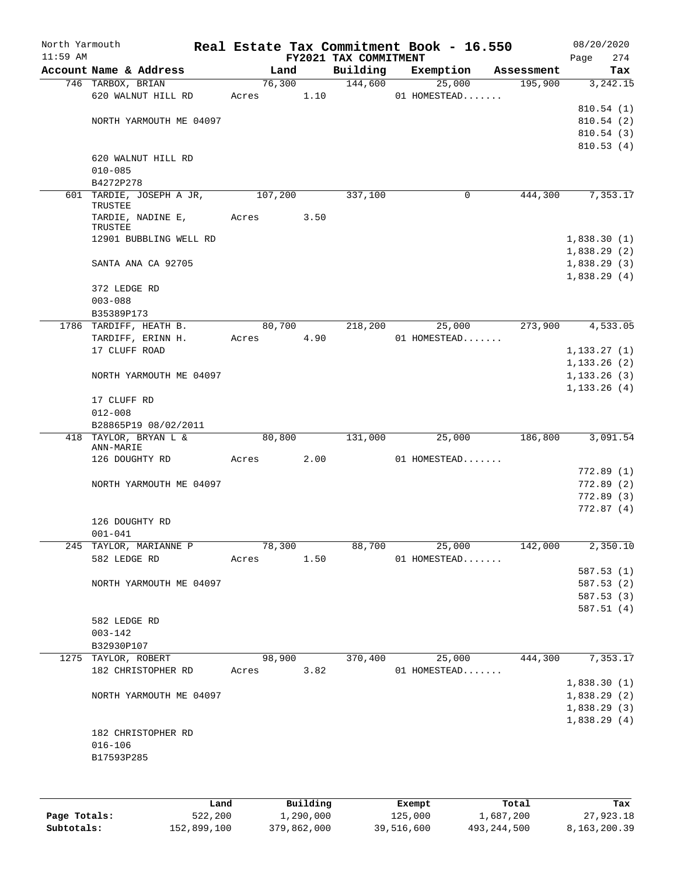| Account Name & Address<br>746 TARBOX, BRIAN<br>620 WALNUT HILL RD<br>NORTH YARMOUTH ME 04097<br>620 WALNUT HILL RD<br>$010 - 085$<br>B4272P278<br>601 TARDIE, JOSEPH A JR,<br>TRUSTEE<br>TARDIE, NADINE E,<br>TRUSTEE<br>12901 BUBBLING WELL RD<br>SANTA ANA CA 92705<br>372 LEDGE RD<br>$003 - 088$<br>B35389P173<br>1786 TARDIFF, HEATH B.<br>TARDIFF, ERINN H.<br>17 CLUFF ROAD<br>NORTH YARMOUTH ME 04097 | Land<br>Acres 1.10<br>107,200<br>Acres<br>80,700<br>Acres                              | 76,300<br>3.50<br>4.90 | FY2021 TAX COMMITMENT<br>Building<br>144,600<br>337,100<br>218,200 | Exemption<br>25,000<br>01 HOMESTEAD<br>25,000<br>01 HOMESTEAD | Assessment<br>195,900<br>444,300<br>0<br>273,900 | 274<br>Page<br>Tax<br>3,242.15<br>810.54(1)<br>810.54(2)<br>810.54(3)<br>810.53(4)<br>7,353.17<br>1,838.30(1)<br>1,838.29(2)<br>1,838.29(3)<br>1,838.29(4)<br>4,533.05<br>1, 133.27(1)<br>1, 133.26(2) |
|---------------------------------------------------------------------------------------------------------------------------------------------------------------------------------------------------------------------------------------------------------------------------------------------------------------------------------------------------------------------------------------------------------------|----------------------------------------------------------------------------------------|------------------------|--------------------------------------------------------------------|---------------------------------------------------------------|--------------------------------------------------|--------------------------------------------------------------------------------------------------------------------------------------------------------------------------------------------------------|
|                                                                                                                                                                                                                                                                                                                                                                                                               |                                                                                        |                        |                                                                    |                                                               |                                                  |                                                                                                                                                                                                        |
|                                                                                                                                                                                                                                                                                                                                                                                                               |                                                                                        |                        |                                                                    |                                                               |                                                  |                                                                                                                                                                                                        |
|                                                                                                                                                                                                                                                                                                                                                                                                               |                                                                                        |                        |                                                                    |                                                               |                                                  |                                                                                                                                                                                                        |
|                                                                                                                                                                                                                                                                                                                                                                                                               |                                                                                        |                        |                                                                    |                                                               |                                                  |                                                                                                                                                                                                        |
|                                                                                                                                                                                                                                                                                                                                                                                                               |                                                                                        |                        |                                                                    |                                                               |                                                  |                                                                                                                                                                                                        |
|                                                                                                                                                                                                                                                                                                                                                                                                               |                                                                                        |                        |                                                                    |                                                               |                                                  |                                                                                                                                                                                                        |
|                                                                                                                                                                                                                                                                                                                                                                                                               |                                                                                        |                        |                                                                    |                                                               |                                                  |                                                                                                                                                                                                        |
|                                                                                                                                                                                                                                                                                                                                                                                                               |                                                                                        |                        |                                                                    |                                                               |                                                  |                                                                                                                                                                                                        |
|                                                                                                                                                                                                                                                                                                                                                                                                               |                                                                                        |                        |                                                                    |                                                               |                                                  |                                                                                                                                                                                                        |
|                                                                                                                                                                                                                                                                                                                                                                                                               |                                                                                        |                        |                                                                    |                                                               |                                                  |                                                                                                                                                                                                        |
|                                                                                                                                                                                                                                                                                                                                                                                                               |                                                                                        |                        |                                                                    |                                                               |                                                  |                                                                                                                                                                                                        |
|                                                                                                                                                                                                                                                                                                                                                                                                               |                                                                                        |                        |                                                                    |                                                               |                                                  |                                                                                                                                                                                                        |
|                                                                                                                                                                                                                                                                                                                                                                                                               |                                                                                        |                        |                                                                    |                                                               |                                                  |                                                                                                                                                                                                        |
|                                                                                                                                                                                                                                                                                                                                                                                                               |                                                                                        |                        |                                                                    |                                                               |                                                  |                                                                                                                                                                                                        |
|                                                                                                                                                                                                                                                                                                                                                                                                               |                                                                                        |                        |                                                                    |                                                               |                                                  |                                                                                                                                                                                                        |
|                                                                                                                                                                                                                                                                                                                                                                                                               |                                                                                        |                        |                                                                    |                                                               |                                                  |                                                                                                                                                                                                        |
|                                                                                                                                                                                                                                                                                                                                                                                                               |                                                                                        |                        |                                                                    |                                                               |                                                  |                                                                                                                                                                                                        |
|                                                                                                                                                                                                                                                                                                                                                                                                               |                                                                                        |                        |                                                                    |                                                               |                                                  |                                                                                                                                                                                                        |
|                                                                                                                                                                                                                                                                                                                                                                                                               |                                                                                        |                        |                                                                    |                                                               |                                                  |                                                                                                                                                                                                        |
|                                                                                                                                                                                                                                                                                                                                                                                                               |                                                                                        |                        |                                                                    |                                                               |                                                  |                                                                                                                                                                                                        |
|                                                                                                                                                                                                                                                                                                                                                                                                               |                                                                                        |                        |                                                                    |                                                               |                                                  |                                                                                                                                                                                                        |
|                                                                                                                                                                                                                                                                                                                                                                                                               |                                                                                        |                        |                                                                    |                                                               |                                                  |                                                                                                                                                                                                        |
|                                                                                                                                                                                                                                                                                                                                                                                                               |                                                                                        |                        |                                                                    |                                                               |                                                  |                                                                                                                                                                                                        |
|                                                                                                                                                                                                                                                                                                                                                                                                               |                                                                                        |                        |                                                                    |                                                               |                                                  | 1, 133.26(3)                                                                                                                                                                                           |
| 17 CLUFF RD                                                                                                                                                                                                                                                                                                                                                                                                   |                                                                                        |                        |                                                                    |                                                               |                                                  | 1, 133.26(4)                                                                                                                                                                                           |
| $012 - 008$                                                                                                                                                                                                                                                                                                                                                                                                   |                                                                                        |                        |                                                                    |                                                               |                                                  |                                                                                                                                                                                                        |
| B28865P19 08/02/2011                                                                                                                                                                                                                                                                                                                                                                                          |                                                                                        |                        |                                                                    |                                                               |                                                  |                                                                                                                                                                                                        |
| 418 TAYLOR, BRYAN L &<br>ANN-MARIE                                                                                                                                                                                                                                                                                                                                                                            | 80,800                                                                                 |                        | 131,000                                                            | 25,000                                                        | 186,800                                          | 3,091.54                                                                                                                                                                                               |
| 126 DOUGHTY RD                                                                                                                                                                                                                                                                                                                                                                                                | Acres 2.00                                                                             |                        |                                                                    | 01 HOMESTEAD                                                  |                                                  |                                                                                                                                                                                                        |
|                                                                                                                                                                                                                                                                                                                                                                                                               |                                                                                        |                        |                                                                    |                                                               |                                                  | 772.89(1)                                                                                                                                                                                              |
| NORTH YARMOUTH ME 04097                                                                                                                                                                                                                                                                                                                                                                                       |                                                                                        |                        |                                                                    |                                                               |                                                  | 772.89(2)                                                                                                                                                                                              |
|                                                                                                                                                                                                                                                                                                                                                                                                               |                                                                                        |                        |                                                                    |                                                               |                                                  | 772.89(3)                                                                                                                                                                                              |
|                                                                                                                                                                                                                                                                                                                                                                                                               |                                                                                        |                        |                                                                    |                                                               |                                                  | 772.87(4)                                                                                                                                                                                              |
| 126 DOUGHTY RD                                                                                                                                                                                                                                                                                                                                                                                                |                                                                                        |                        |                                                                    |                                                               |                                                  |                                                                                                                                                                                                        |
| $001 - 041$                                                                                                                                                                                                                                                                                                                                                                                                   |                                                                                        |                        |                                                                    |                                                               |                                                  |                                                                                                                                                                                                        |
| 245 TAYLOR, MARIANNE P                                                                                                                                                                                                                                                                                                                                                                                        | 78,300                                                                                 |                        | 88,700                                                             | 25,000                                                        | 142,000                                          | 2,350.10                                                                                                                                                                                               |
| 582 LEDGE RD                                                                                                                                                                                                                                                                                                                                                                                                  | Acres                                                                                  | 1.50                   |                                                                    | 01 HOMESTEAD                                                  |                                                  |                                                                                                                                                                                                        |
|                                                                                                                                                                                                                                                                                                                                                                                                               |                                                                                        |                        |                                                                    |                                                               |                                                  | 587.53(1)                                                                                                                                                                                              |
| NORTH YARMOUTH ME 04097                                                                                                                                                                                                                                                                                                                                                                                       |                                                                                        |                        |                                                                    |                                                               |                                                  | 587.53(2)                                                                                                                                                                                              |
|                                                                                                                                                                                                                                                                                                                                                                                                               |                                                                                        |                        |                                                                    |                                                               |                                                  | 587.53(3)                                                                                                                                                                                              |
|                                                                                                                                                                                                                                                                                                                                                                                                               |                                                                                        |                        |                                                                    |                                                               |                                                  | 587.51(4)                                                                                                                                                                                              |
|                                                                                                                                                                                                                                                                                                                                                                                                               |                                                                                        |                        |                                                                    |                                                               |                                                  |                                                                                                                                                                                                        |
|                                                                                                                                                                                                                                                                                                                                                                                                               |                                                                                        |                        |                                                                    |                                                               |                                                  |                                                                                                                                                                                                        |
|                                                                                                                                                                                                                                                                                                                                                                                                               |                                                                                        |                        |                                                                    |                                                               |                                                  | 7,353.17                                                                                                                                                                                               |
|                                                                                                                                                                                                                                                                                                                                                                                                               |                                                                                        |                        |                                                                    |                                                               |                                                  |                                                                                                                                                                                                        |
|                                                                                                                                                                                                                                                                                                                                                                                                               |                                                                                        |                        |                                                                    |                                                               |                                                  | 1,838.30(1)                                                                                                                                                                                            |
|                                                                                                                                                                                                                                                                                                                                                                                                               |                                                                                        |                        |                                                                    |                                                               |                                                  | 1,838.29(2)                                                                                                                                                                                            |
|                                                                                                                                                                                                                                                                                                                                                                                                               |                                                                                        |                        |                                                                    |                                                               |                                                  | 1,838.29(3)                                                                                                                                                                                            |
| NORTH YARMOUTH ME 04097                                                                                                                                                                                                                                                                                                                                                                                       |                                                                                        |                        |                                                                    |                                                               |                                                  | 1,838.29(4)                                                                                                                                                                                            |
|                                                                                                                                                                                                                                                                                                                                                                                                               |                                                                                        |                        |                                                                    |                                                               |                                                  |                                                                                                                                                                                                        |
| 182 CHRISTOPHER RD                                                                                                                                                                                                                                                                                                                                                                                            |                                                                                        |                        |                                                                    |                                                               |                                                  |                                                                                                                                                                                                        |
| $016 - 106$                                                                                                                                                                                                                                                                                                                                                                                                   |                                                                                        |                        |                                                                    |                                                               |                                                  |                                                                                                                                                                                                        |
| B17593P285                                                                                                                                                                                                                                                                                                                                                                                                    |                                                                                        |                        |                                                                    |                                                               |                                                  |                                                                                                                                                                                                        |
|                                                                                                                                                                                                                                                                                                                                                                                                               | 582 LEDGE RD<br>$003 - 142$<br>B32930P107<br>1275 TAYLOR, ROBERT<br>182 CHRISTOPHER RD | Acres                  | 98,900<br>3.82                                                     |                                                               |                                                  | $\overline{370,400}$ $\overline{25,000}$<br>444,300<br>01 HOMESTEAD                                                                                                                                    |

|              | Land        | Building    | Exempt     | Total       | Tax          |
|--------------|-------------|-------------|------------|-------------|--------------|
| Page Totals: | 522,200     | 1,290,000   | 125,000    | 1,687,200   | 27,923.18    |
| Subtotals:   | 152,899,100 | 379,862,000 | 39,516,600 | 493,244,500 | 8,163,200.39 |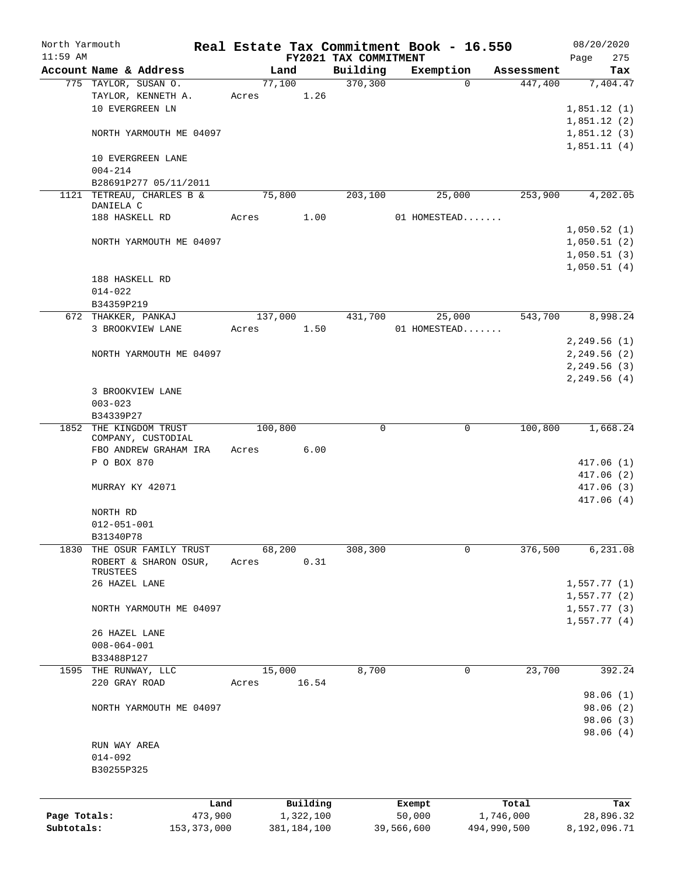| North Yarmouth |                                         |               |                |               |                       | Real Estate Tax Commitment Book - 16.550 |                       | 08/20/2020                 |
|----------------|-----------------------------------------|---------------|----------------|---------------|-----------------------|------------------------------------------|-----------------------|----------------------------|
| $11:59$ AM     | Account Name & Address                  |               |                |               | FY2021 TAX COMMITMENT |                                          |                       | 275<br>Page                |
|                | 775 TAYLOR, SUSAN O.                    |               | Land<br>77,100 |               | Building<br>370,300   | Exemption<br>$\Omega$                    | Assessment<br>447,400 | Tax<br>7,404.47            |
|                |                                         |               |                |               |                       |                                          |                       |                            |
|                | TAYLOR, KENNETH A.                      |               | Acres          | 1.26          |                       |                                          |                       |                            |
|                | 10 EVERGREEN LN                         |               |                |               |                       |                                          |                       | 1,851.12(1)                |
|                |                                         |               |                |               |                       |                                          |                       | 1,851.12(2)                |
|                | NORTH YARMOUTH ME 04097                 |               |                |               |                       |                                          |                       | 1,851.12(3)<br>1,851.11(4) |
|                | 10 EVERGREEN LANE<br>$004 - 214$        |               |                |               |                       |                                          |                       |                            |
|                | B28691P277 05/11/2011                   |               |                |               |                       |                                          |                       |                            |
|                | 1121 TETREAU, CHARLES B &               |               | 75,800         |               | 203,100               | 25,000                                   | 253,900               | 4,202.05                   |
|                | DANIELA C                               |               |                |               |                       |                                          |                       |                            |
|                | 188 HASKELL RD                          |               | Acres          | 1.00          |                       | 01 HOMESTEAD                             |                       |                            |
|                |                                         |               |                |               |                       |                                          |                       | 1,050.52(1)                |
|                | NORTH YARMOUTH ME 04097                 |               |                |               |                       |                                          |                       | 1,050.51(2)                |
|                |                                         |               |                |               |                       |                                          |                       | 1,050.51(3)                |
|                |                                         |               |                |               |                       |                                          |                       | 1,050.51(4)                |
|                | 188 HASKELL RD                          |               |                |               |                       |                                          |                       |                            |
|                | $014 - 022$                             |               |                |               |                       |                                          |                       |                            |
|                | B34359P219                              |               |                |               |                       |                                          |                       |                            |
|                | 672 THAKKER, PANKAJ                     |               | 137,000        |               | 431,700               | 25,000                                   | 543,700               | 8,998.24                   |
|                | 3 BROOKVIEW LANE                        |               | Acres          | 1.50          |                       | 01 HOMESTEAD                             |                       |                            |
|                |                                         |               |                |               |                       |                                          |                       | 2,249.56(1)                |
|                | NORTH YARMOUTH ME 04097                 |               |                |               |                       |                                          |                       | 2,249.56 (2)               |
|                |                                         |               |                |               |                       |                                          |                       | 2, 249.56(3)               |
|                |                                         |               |                |               |                       |                                          |                       | 2, 249.56 (4)              |
|                | 3 BROOKVIEW LANE                        |               |                |               |                       |                                          |                       |                            |
|                |                                         |               |                |               |                       |                                          |                       |                            |
|                | $003 - 023$                             |               |                |               |                       |                                          |                       |                            |
|                | B34339P27                               |               |                |               |                       |                                          |                       |                            |
| 1852           | THE KINGDOM TRUST<br>COMPANY, CUSTODIAL |               | 100,800        |               | 0                     | 0                                        | 100,800               | 1,668.24                   |
|                | FBO ANDREW GRAHAM IRA                   |               | Acres          | 6.00          |                       |                                          |                       |                            |
|                | P O BOX 870                             |               |                |               |                       |                                          |                       | 417.06(1)                  |
|                |                                         |               |                |               |                       |                                          |                       | 417.06(2)                  |
|                |                                         |               |                |               |                       |                                          |                       | 417.06(3)                  |
|                | MURRAY KY 42071                         |               |                |               |                       |                                          |                       |                            |
|                |                                         |               |                |               |                       |                                          |                       | 417.06 (4)                 |
|                | NORTH RD                                |               |                |               |                       |                                          |                       |                            |
|                | $012 - 051 - 001$                       |               |                |               |                       |                                          |                       |                            |
|                | B31340P78                               |               |                |               |                       |                                          |                       |                            |
| 1830           | THE OSUR FAMILY TRUST                   |               | 68,200         |               | 308,300               | 0                                        | 376,500               | 6,231.08                   |
|                | ROBERT & SHARON OSUR,                   |               | Acres          | 0.31          |                       |                                          |                       |                            |
|                | TRUSTEES                                |               |                |               |                       |                                          |                       |                            |
|                | 26 HAZEL LANE                           |               |                |               |                       |                                          |                       | 1,557.77(1)                |
|                |                                         |               |                |               |                       |                                          |                       | 1,557.77(2)                |
|                | NORTH YARMOUTH ME 04097                 |               |                |               |                       |                                          |                       | 1,557.77(3)                |
|                |                                         |               |                |               |                       |                                          |                       | 1,557.77(4)                |
|                | 26 HAZEL LANE                           |               |                |               |                       |                                          |                       |                            |
|                | $008 - 064 - 001$                       |               |                |               |                       |                                          |                       |                            |
|                | B33488P127                              |               |                |               |                       |                                          |                       |                            |
|                | 1595 THE RUNWAY, LLC                    |               | 15,000         |               | 8,700                 | 0                                        | 23,700                | 392.24                     |
|                | 220 GRAY ROAD                           |               | Acres          | 16.54         |                       |                                          |                       |                            |
|                |                                         |               |                |               |                       |                                          |                       | 98.06 (1)                  |
|                | NORTH YARMOUTH ME 04097                 |               |                |               |                       |                                          |                       | 98.06 (2)                  |
|                |                                         |               |                |               |                       |                                          |                       | 98.06 (3)                  |
|                |                                         |               |                |               |                       |                                          |                       | 98.06(4)                   |
|                | RUN WAY AREA                            |               |                |               |                       |                                          |                       |                            |
|                | $014 - 092$                             |               |                |               |                       |                                          |                       |                            |
|                | B30255P325                              |               |                |               |                       |                                          |                       |                            |
|                |                                         |               |                |               |                       |                                          |                       |                            |
|                |                                         |               |                |               |                       |                                          |                       |                            |
|                |                                         | Land          |                | Building      |                       | Exempt                                   | Total                 | Tax                        |
| Page Totals:   |                                         | 473,900       |                | 1,322,100     |                       | 50,000                                   | 1,746,000             | 28,896.32                  |
| Subtotals:     |                                         | 153, 373, 000 |                | 381, 184, 100 |                       | 39,566,600                               | 494,990,500           | 8,192,096.71               |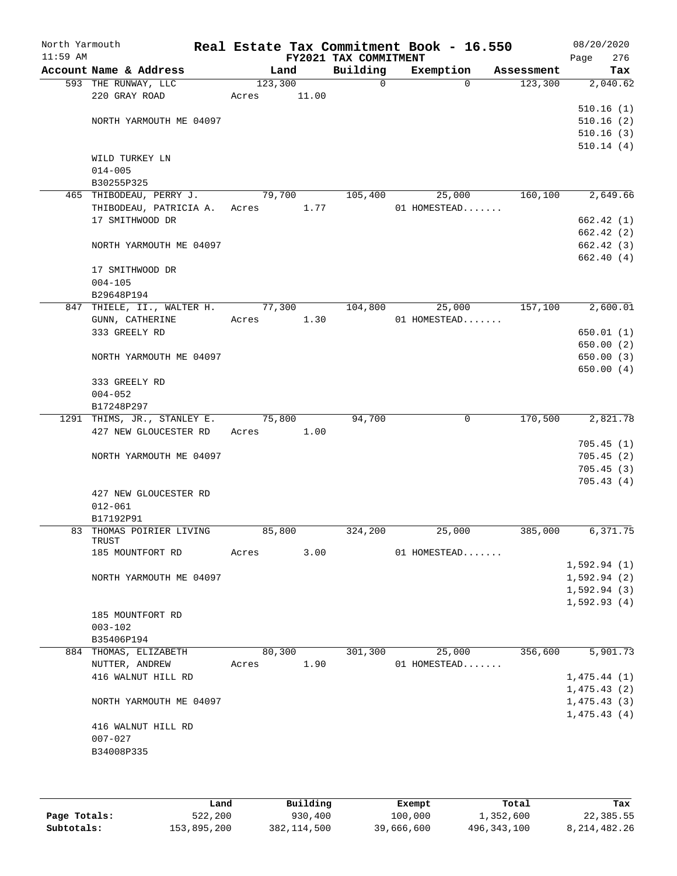| North Yarmouth<br>$11:59$ AM |                              |         |        | FY2021 TAX COMMITMENT | Real Estate Tax Commitment Book - 16.550 |            | 08/20/2020<br>Page<br>276 |
|------------------------------|------------------------------|---------|--------|-----------------------|------------------------------------------|------------|---------------------------|
|                              | Account Name & Address       |         | Land   | Building              | Exemption                                | Assessment | Tax                       |
|                              | 593 THE RUNWAY, LLC          | 123,300 |        | $\overline{0}$        | $\Omega$                                 | 123,300    | 2,040.62                  |
|                              | 220 GRAY ROAD                | Acres   | 11.00  |                       |                                          |            |                           |
|                              |                              |         |        |                       |                                          |            | 510.16(1)                 |
|                              | NORTH YARMOUTH ME 04097      |         |        |                       |                                          |            | 510.16(2)                 |
|                              |                              |         |        |                       |                                          |            | 510.16(3)                 |
|                              |                              |         |        |                       |                                          |            | 510.14(4)                 |
|                              | WILD TURKEY LN               |         |        |                       |                                          |            |                           |
|                              | $014 - 005$                  |         |        |                       |                                          |            |                           |
|                              | B30255P325                   |         |        |                       |                                          |            |                           |
|                              | 465 THIBODEAU, PERRY J.      | 79,700  |        | 105,400               | 25,000                                   | 160,100    | 2,649.66                  |
|                              | THIBODEAU, PATRICIA A. Acres |         | 1.77   |                       | 01 HOMESTEAD                             |            |                           |
|                              | 17 SMITHWOOD DR              |         |        |                       |                                          |            | 662.42(1)                 |
|                              |                              |         |        |                       |                                          |            | 662.42 (2)                |
|                              | NORTH YARMOUTH ME 04097      |         |        |                       |                                          |            | 662.42 (3)                |
|                              |                              |         |        |                       |                                          |            | 662.40(4)                 |
|                              | 17 SMITHWOOD DR              |         |        |                       |                                          |            |                           |
|                              | $004 - 105$                  |         |        |                       |                                          |            |                           |
|                              | B29648P194                   |         |        |                       |                                          |            |                           |
|                              | 847 THIELE, II., WALTER H.   | 77,300  |        | 104,800               | 25,000                                   | 157,100    | 2,600.01                  |
|                              | GUNN, CATHERINE              | Acres   | 1.30   |                       | 01 HOMESTEAD                             |            |                           |
|                              | 333 GREELY RD                |         |        |                       |                                          |            | 650.01(1)                 |
|                              |                              |         |        |                       |                                          |            | 650.00(2)                 |
|                              | NORTH YARMOUTH ME 04097      |         |        |                       |                                          |            | 650.00(3)                 |
|                              |                              |         |        |                       |                                          |            | 650.00 (4)                |
|                              | 333 GREELY RD                |         |        |                       |                                          |            |                           |
|                              | $004 - 052$                  |         |        |                       |                                          |            |                           |
|                              | B17248P297                   |         |        |                       |                                          |            |                           |
|                              | 1291 THIMS, JR., STANLEY E.  | 75,800  |        | 94,700                | 0                                        | 170,500    | 2,821.78                  |
|                              | 427 NEW GLOUCESTER RD        | Acres   | 1.00   |                       |                                          |            |                           |
|                              |                              |         |        |                       |                                          |            | 705.45(1)                 |
|                              | NORTH YARMOUTH ME 04097      |         |        |                       |                                          |            | 705.45(2)                 |
|                              |                              |         |        |                       |                                          |            | 705.45(3)                 |
|                              |                              |         |        |                       |                                          |            | 705.43(4)                 |
|                              | 427 NEW GLOUCESTER RD        |         |        |                       |                                          |            |                           |
|                              | $012 - 061$                  |         |        |                       |                                          |            |                           |
|                              | B17192P91                    |         |        |                       |                                          |            |                           |
|                              | 83 THOMAS POIRIER LIVING     | 85,800  |        | 324,200               | 25,000                                   | 385,000    | 6,371.75                  |
|                              | TRUST                        |         |        |                       |                                          |            |                           |
|                              | 185 MOUNTFORT RD             | Acres   | 3.00   |                       | 01 HOMESTEAD                             |            |                           |
|                              |                              |         |        |                       |                                          |            | 1,592.94(1)               |
|                              | NORTH YARMOUTH ME 04097      |         |        |                       |                                          |            | 1,592.94(2)               |
|                              |                              |         |        |                       |                                          |            | 1,592.94(3)               |
|                              |                              |         |        |                       |                                          |            | 1,592.93(4)               |
|                              | 185 MOUNTFORT RD             |         |        |                       |                                          |            |                           |
|                              | $003 - 102$                  |         |        |                       |                                          |            |                           |
|                              | B35406P194                   |         |        |                       |                                          |            |                           |
|                              | 884 THOMAS, ELIZABETH        |         | 80,300 | 301,300               | 25,000                                   | 356,600    | 5,901.73                  |
|                              | NUTTER, ANDREW               | Acres   | 1.90   |                       | 01 HOMESTEAD                             |            |                           |
|                              | 416 WALNUT HILL RD           |         |        |                       |                                          |            | 1,475.44(1)               |
|                              |                              |         |        |                       |                                          |            | 1,475.43(2)               |
|                              | NORTH YARMOUTH ME 04097      |         |        |                       |                                          |            | 1,475.43(3)               |
|                              |                              |         |        |                       |                                          |            | 1,475.43(4)               |
|                              | 416 WALNUT HILL RD           |         |        |                       |                                          |            |                           |
|                              | $007 - 027$                  |         |        |                       |                                          |            |                           |
|                              | B34008P335                   |         |        |                       |                                          |            |                           |
|                              |                              |         |        |                       |                                          |            |                           |
|                              |                              |         |        |                       |                                          |            |                           |
|                              |                              |         |        |                       |                                          |            |                           |

|              | Land        | Building    | Exempt     | Total         | Tax             |
|--------------|-------------|-------------|------------|---------------|-----------------|
| Page Totals: | 522,200     | 930,400     | 100,000    | ⊥,352,600     | 22,385.55       |
| Subtotals:   | 153,895,200 | 382,114,500 | 39,666,600 | 496, 343, 100 | 8, 214, 482. 26 |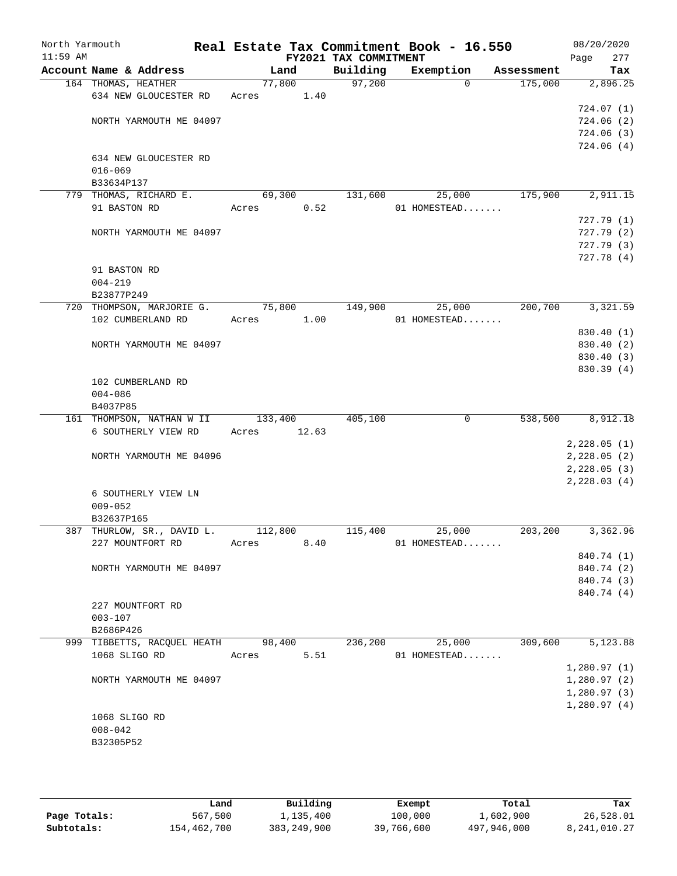| North Yarmouth<br>$11:59$ AM |                        |                                    |       |         |       | Real Estate Tax Commitment Book - 16.550<br>FY2021 TAX COMMITMENT |              |          |            | 08/20/2020<br>Page | 277 |
|------------------------------|------------------------|------------------------------------|-------|---------|-------|-------------------------------------------------------------------|--------------|----------|------------|--------------------|-----|
|                              | Account Name & Address |                                    |       | Land    |       | Building                                                          | Exemption    |          | Assessment |                    | Tax |
|                              | 164 THOMAS, HEATHER    |                                    |       | 77,800  |       | 97,200                                                            |              | $\Omega$ | 175,000    | 2,896.25           |     |
|                              |                        | 634 NEW GLOUCESTER RD              | Acres |         | 1.40  |                                                                   |              |          |            |                    |     |
|                              |                        |                                    |       |         |       |                                                                   |              |          |            | 724.07 (1)         |     |
|                              |                        | NORTH YARMOUTH ME 04097            |       |         |       |                                                                   |              |          |            | 724.06(2)          |     |
|                              |                        |                                    |       |         |       |                                                                   |              |          |            | 724.06(3)          |     |
|                              |                        | 634 NEW GLOUCESTER RD              |       |         |       |                                                                   |              |          |            | 724.06(4)          |     |
|                              | $016 - 069$            |                                    |       |         |       |                                                                   |              |          |            |                    |     |
|                              | B33634P137             |                                    |       |         |       |                                                                   |              |          |            |                    |     |
|                              |                        | 779 THOMAS, RICHARD E.             |       | 69,300  |       | 131,600                                                           |              | 25,000   | 175,900    | 2,911.15           |     |
|                              | 91 BASTON RD           |                                    | Acres |         | 0.52  |                                                                   | 01 HOMESTEAD |          |            |                    |     |
|                              |                        |                                    |       |         |       |                                                                   |              |          |            | 727.79(1)          |     |
|                              |                        | NORTH YARMOUTH ME 04097            |       |         |       |                                                                   |              |          |            | 727.79(2)          |     |
|                              |                        |                                    |       |         |       |                                                                   |              |          |            | 727.79(3)          |     |
|                              |                        |                                    |       |         |       |                                                                   |              |          |            | 727.78 (4)         |     |
|                              | 91 BASTON RD           |                                    |       |         |       |                                                                   |              |          |            |                    |     |
|                              | $004 - 219$            |                                    |       |         |       |                                                                   |              |          |            |                    |     |
|                              | B23877P249             |                                    |       |         |       |                                                                   |              |          |            |                    |     |
|                              |                        | 720 THOMPSON, MARJORIE G.          |       | 75,800  |       | 149,900                                                           |              | 25,000   | 200,700    | 3,321.59           |     |
|                              |                        | 102 CUMBERLAND RD                  | Acres |         | 1.00  |                                                                   | 01 HOMESTEAD |          |            |                    |     |
|                              |                        |                                    |       |         |       |                                                                   |              |          |            | 830.40 (1)         |     |
|                              |                        | NORTH YARMOUTH ME 04097            |       |         |       |                                                                   |              |          |            | 830.40 (2)         |     |
|                              |                        |                                    |       |         |       |                                                                   |              |          |            | 830.40 (3)         |     |
|                              |                        |                                    |       |         |       |                                                                   |              |          |            | 830.39(4)          |     |
|                              |                        | 102 CUMBERLAND RD                  |       |         |       |                                                                   |              |          |            |                    |     |
|                              | $004 - 086$            |                                    |       |         |       |                                                                   |              |          |            |                    |     |
|                              | B4037P85               |                                    |       |         |       |                                                                   |              |          |            |                    |     |
|                              |                        | 161 THOMPSON, NATHAN W II          |       | 133,400 |       | 405,100                                                           |              | 0        | 538,500    | 8,912.18           |     |
|                              |                        | 6 SOUTHERLY VIEW RD                | Acres |         | 12.63 |                                                                   |              |          |            |                    |     |
|                              |                        |                                    |       |         |       |                                                                   |              |          |            | 2,228.05(1)        |     |
|                              |                        | NORTH YARMOUTH ME 04096            |       |         |       |                                                                   |              |          |            | 2,228.05(2)        |     |
|                              |                        |                                    |       |         |       |                                                                   |              |          |            | 2, 228.05(3)       |     |
|                              |                        |                                    |       |         |       |                                                                   |              |          |            | 2, 228.03(4)       |     |
|                              |                        | 6 SOUTHERLY VIEW LN                |       |         |       |                                                                   |              |          |            |                    |     |
|                              | $009 - 052$            |                                    |       |         |       |                                                                   |              |          |            |                    |     |
|                              | B32637P165             |                                    |       |         |       |                                                                   |              |          |            |                    |     |
|                              |                        | 387 THURLOW, SR., DAVID L.         |       | 112,800 |       | 115,400                                                           |              | 25,000   | 203,200    | 3,362.96           |     |
|                              |                        | 227 MOUNTFORT RD                   | Acres |         | 8.40  |                                                                   | 01 HOMESTEAD |          |            |                    |     |
|                              |                        |                                    |       |         |       |                                                                   |              |          |            | 840.74 (1)         |     |
|                              |                        | NORTH YARMOUTH ME 04097            |       |         |       |                                                                   |              |          |            | 840.74 (2)         |     |
|                              |                        |                                    |       |         |       |                                                                   |              |          |            | 840.74 (3)         |     |
|                              | 227 MOUNTFORT RD       |                                    |       |         |       |                                                                   |              |          |            | 840.74 (4)         |     |
|                              | $003 - 107$            |                                    |       |         |       |                                                                   |              |          |            |                    |     |
|                              | B2686P426              |                                    |       |         |       |                                                                   |              |          |            |                    |     |
|                              |                        | 999 TIBBETTS, RACQUEL HEATH 98,400 |       |         |       | $2\overline{36,200}$                                              |              | 25,000   | 309,600    | 5,123.88           |     |
|                              | 1068 SLIGO RD          |                                    | Acres |         | 5.51  |                                                                   | 01 HOMESTEAD |          |            |                    |     |
|                              |                        |                                    |       |         |       |                                                                   |              |          |            | 1,280.97(1)        |     |
|                              |                        | NORTH YARMOUTH ME 04097            |       |         |       |                                                                   |              |          |            | 1,280.97(2)        |     |
|                              |                        |                                    |       |         |       |                                                                   |              |          |            | 1,280.97(3)        |     |
|                              |                        |                                    |       |         |       |                                                                   |              |          |            | 1,280.97(4)        |     |
|                              | 1068 SLIGO RD          |                                    |       |         |       |                                                                   |              |          |            |                    |     |
|                              | $008 - 042$            |                                    |       |         |       |                                                                   |              |          |            |                    |     |
|                              | B32305P52              |                                    |       |         |       |                                                                   |              |          |            |                    |     |
|                              |                        |                                    |       |         |       |                                                                   |              |          |            |                    |     |
|                              |                        |                                    |       |         |       |                                                                   |              |          |            |                    |     |

|              | Land        | Building      | Exempt     | Total       | Tax             |
|--------------|-------------|---------------|------------|-------------|-----------------|
| Page Totals: | 567,500     | 1,135,400     | 100,000    | 1,602,900   | 26,528.01       |
| Subtotals:   | 154,462,700 | 383, 249, 900 | 39,766,600 | 497,946,000 | 8, 241, 010, 27 |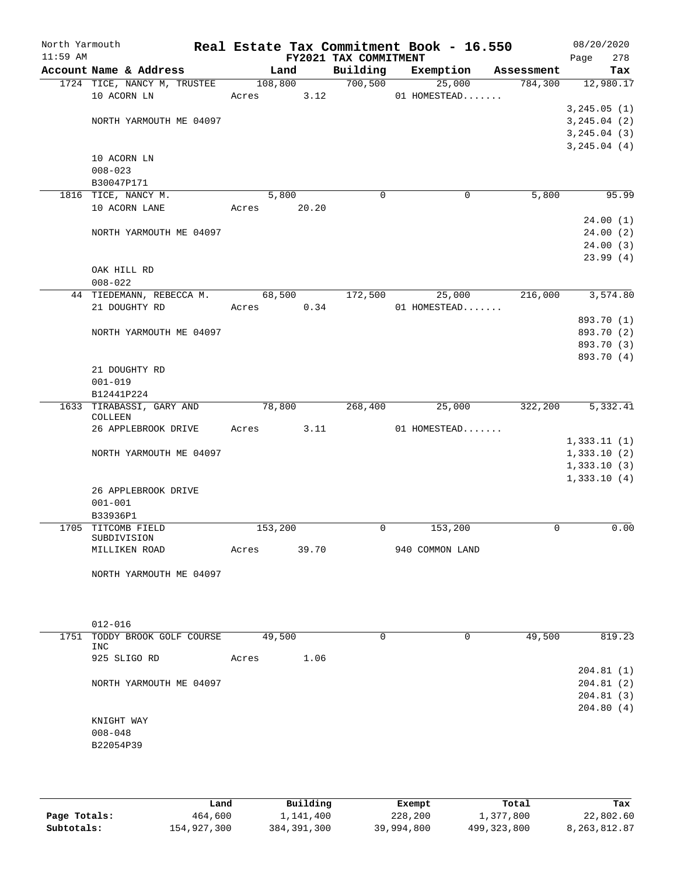| North Yarmouth<br>$11:59$ AM |                             |         |            | FY2021 TAX COMMITMENT | Real Estate Tax Commitment Book - 16.550 |            | 08/20/2020<br>Page<br>278  |
|------------------------------|-----------------------------|---------|------------|-----------------------|------------------------------------------|------------|----------------------------|
|                              | Account Name & Address      |         | Land       | Building              | Exemption                                | Assessment | Tax                        |
|                              | 1724 TICE, NANCY M, TRUSTEE |         | 108,800    | 700,500               | 25,000                                   | 784,300    | 12,980.17                  |
|                              | 10 ACORN LN                 | Acres   | 3.12       |                       | 01 HOMESTEAD                             |            |                            |
|                              |                             |         |            |                       |                                          |            | 3, 245.05 (1)              |
|                              | NORTH YARMOUTH ME 04097     |         |            |                       |                                          |            | 3, 245.04 (2)              |
|                              |                             |         |            |                       |                                          |            | 3, 245.04 (3)              |
|                              |                             |         |            |                       |                                          |            | 3, 245.04 (4)              |
|                              | 10 ACORN LN<br>$008 - 023$  |         |            |                       |                                          |            |                            |
|                              | B30047P171                  |         |            |                       |                                          |            |                            |
|                              | 1816 TICE, NANCY M.         |         | 5,800      | $\mathbf 0$           | 0                                        | 5,800      | 95.99                      |
|                              | 10 ACORN LANE               | Acres   | 20.20      |                       |                                          |            |                            |
|                              |                             |         |            |                       |                                          |            | 24.00(1)                   |
|                              | NORTH YARMOUTH ME 04097     |         |            |                       |                                          |            | 24.00(2)                   |
|                              |                             |         |            |                       |                                          |            | 24.00(3)                   |
|                              |                             |         |            |                       |                                          |            | 23.99(4)                   |
|                              | OAK HILL RD                 |         |            |                       |                                          |            |                            |
|                              | $008 - 022$                 |         |            |                       |                                          |            |                            |
|                              | 44 TIEDEMANN, REBECCA M.    |         | 68,500     | 172,500               | 25,000                                   | 216,000    | 3,574.80                   |
|                              | 21 DOUGHTY RD               |         | Acres 0.34 |                       | 01 HOMESTEAD                             |            |                            |
|                              |                             |         |            |                       |                                          |            | 893.70 (1)                 |
|                              | NORTH YARMOUTH ME 04097     |         |            |                       |                                          |            | 893.70 (2)<br>893.70 (3)   |
|                              |                             |         |            |                       |                                          |            | 893.70 (4)                 |
|                              | 21 DOUGHTY RD               |         |            |                       |                                          |            |                            |
|                              | $001 - 019$                 |         |            |                       |                                          |            |                            |
|                              | B12441P224                  |         |            |                       |                                          |            |                            |
|                              | 1633 TIRABASSI, GARY AND    |         | 78,800     | 268,400               | 25,000                                   | 322,200    | 5,332.41                   |
|                              | COLLEEN                     |         |            |                       |                                          |            |                            |
|                              | 26 APPLEBROOK DRIVE         | Acres   | 3.11       |                       | 01 HOMESTEAD                             |            |                            |
|                              | NORTH YARMOUTH ME 04097     |         |            |                       |                                          |            | 1,333.11(1)<br>1,333.10(2) |
|                              |                             |         |            |                       |                                          |            | 1,333.10(3)                |
|                              |                             |         |            |                       |                                          |            | 1,333.10(4)                |
|                              | 26 APPLEBROOK DRIVE         |         |            |                       |                                          |            |                            |
|                              | $001 - 001$                 |         |            |                       |                                          |            |                            |
|                              | B33936P1                    |         |            |                       |                                          |            |                            |
|                              | 1705 TITCOMB FIELD          | 153,200 |            | 0                     | 153,200                                  | 0          | 0.00                       |
|                              | SUBDIVISION                 |         | 39.70      |                       |                                          |            |                            |
|                              | MILLIKEN ROAD               | Acres   |            |                       | 940 COMMON LAND                          |            |                            |
|                              | NORTH YARMOUTH ME 04097     |         |            |                       |                                          |            |                            |
|                              |                             |         |            |                       |                                          |            |                            |
|                              |                             |         |            |                       |                                          |            |                            |
|                              |                             |         |            |                       |                                          |            |                            |
|                              | $012 - 016$                 |         |            |                       |                                          |            |                            |
| 1751                         | TODDY BROOK GOLF COURSE     |         | 49,500     | $\Omega$              | 0                                        | 49,500     | 819.23                     |
|                              | <b>INC</b>                  |         |            |                       |                                          |            |                            |
|                              | 925 SLIGO RD                | Acres   | 1.06       |                       |                                          |            | 204.81(1)                  |
|                              | NORTH YARMOUTH ME 04097     |         |            |                       |                                          |            | 204.81(2)                  |
|                              |                             |         |            |                       |                                          |            | 204.81(3)                  |
|                              |                             |         |            |                       |                                          |            | 204.80(4)                  |
|                              | KNIGHT WAY                  |         |            |                       |                                          |            |                            |
|                              | $008 - 048$                 |         |            |                       |                                          |            |                            |
|                              | B22054P39                   |         |            |                       |                                          |            |                            |
|                              |                             |         |            |                       |                                          |            |                            |
|                              |                             |         |            |                       |                                          |            |                            |

|              | Land        | Building      | Exempt     | Total         | Tax          |
|--------------|-------------|---------------|------------|---------------|--------------|
| Page Totals: | 464,600     | 1,141,400     | 228,200    | 1,377,800     | 22,802.60    |
| Subtotals:   | 154,927,300 | 384, 391, 300 | 39,994,800 | 499, 323, 800 | 8,263,812.87 |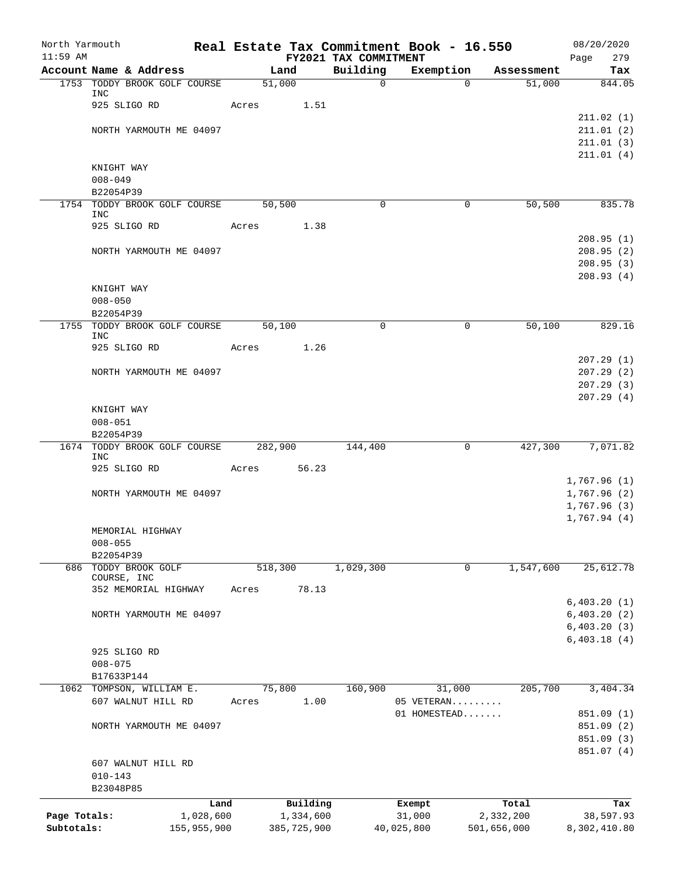| North Yarmouth             |                          |                                      |         |                          |                                   | Real Estate Tax Commitment Book - 16.550 |             |                          | 08/20/2020                 |            |
|----------------------------|--------------------------|--------------------------------------|---------|--------------------------|-----------------------------------|------------------------------------------|-------------|--------------------------|----------------------------|------------|
| $11:59$ AM                 |                          | Account Name & Address               | Land    |                          | FY2021 TAX COMMITMENT<br>Building | Exemption                                |             | Assessment               | Page                       | 279<br>Tax |
|                            |                          | 1753 TODDY BROOK GOLF COURSE         | 51,000  |                          | $\mathsf{O}$                      |                                          | $\Omega$    | 51,000                   | 844.05                     |            |
|                            | <b>INC</b>               |                                      |         |                          |                                   |                                          |             |                          |                            |            |
|                            |                          | 925 SLIGO RD                         | Acres   | 1.51                     |                                   |                                          |             |                          |                            |            |
|                            |                          |                                      |         |                          |                                   |                                          |             |                          | 211.02(1)                  |            |
|                            |                          | NORTH YARMOUTH ME 04097              |         |                          |                                   |                                          |             |                          | 211.01(2)<br>211.01(3)     |            |
|                            |                          |                                      |         |                          |                                   |                                          |             |                          | 211.01(4)                  |            |
|                            | KNIGHT WAY               |                                      |         |                          |                                   |                                          |             |                          |                            |            |
|                            | $008 - 049$              |                                      |         |                          |                                   |                                          |             |                          |                            |            |
|                            | B22054P39                |                                      |         |                          |                                   |                                          |             |                          |                            |            |
| 1754                       |                          | TODDY BROOK GOLF COURSE              | 50,500  |                          | $\mathbf 0$                       |                                          | $\mathbf 0$ | 50,500                   | 835.78                     |            |
|                            | INC                      | 925 SLIGO RD                         | Acres   | 1.38                     |                                   |                                          |             |                          |                            |            |
|                            |                          |                                      |         |                          |                                   |                                          |             |                          | 208.95(1)                  |            |
|                            |                          | NORTH YARMOUTH ME 04097              |         |                          |                                   |                                          |             |                          | 208.95(2)                  |            |
|                            |                          |                                      |         |                          |                                   |                                          |             |                          | 208.95(3)                  |            |
|                            |                          |                                      |         |                          |                                   |                                          |             |                          | 208.93(4)                  |            |
|                            | KNIGHT WAY               |                                      |         |                          |                                   |                                          |             |                          |                            |            |
|                            | $008 - 050$              |                                      |         |                          |                                   |                                          |             |                          |                            |            |
|                            | B22054P39                | 1755 TODDY BROOK GOLF COURSE         | 50,100  |                          | $\Omega$                          |                                          | $\mathbf 0$ | 50,100                   | 829.16                     |            |
|                            | <b>INC</b>               |                                      |         |                          |                                   |                                          |             |                          |                            |            |
|                            |                          | 925 SLIGO RD                         | Acres   | 1.26                     |                                   |                                          |             |                          |                            |            |
|                            |                          |                                      |         |                          |                                   |                                          |             |                          | 207.29(1)                  |            |
|                            |                          | NORTH YARMOUTH ME 04097              |         |                          |                                   |                                          |             |                          | 207.29(2)                  |            |
|                            |                          |                                      |         |                          |                                   |                                          |             |                          | 207.29(3)<br>207.29(4)     |            |
|                            | KNIGHT WAY               |                                      |         |                          |                                   |                                          |             |                          |                            |            |
|                            | $008 - 051$              |                                      |         |                          |                                   |                                          |             |                          |                            |            |
|                            | B22054P39                |                                      |         |                          |                                   |                                          |             |                          |                            |            |
|                            |                          | 1674 TODDY BROOK GOLF COURSE 282,900 |         |                          | 144,400                           |                                          | $\mathbf 0$ | 427,300                  | 7,071.82                   |            |
|                            | <b>INC</b>               | 925 SLIGO RD                         | Acres   | 56.23                    |                                   |                                          |             |                          |                            |            |
|                            |                          |                                      |         |                          |                                   |                                          |             |                          | 1,767.96(1)                |            |
|                            |                          | NORTH YARMOUTH ME 04097              |         |                          |                                   |                                          |             |                          | 1,767.96(2)                |            |
|                            |                          |                                      |         |                          |                                   |                                          |             |                          | 1,767.96(3)                |            |
|                            |                          |                                      |         |                          |                                   |                                          |             |                          | 1,767.94(4)                |            |
|                            |                          | MEMORIAL HIGHWAY                     |         |                          |                                   |                                          |             |                          |                            |            |
|                            | $008 - 055$<br>B22054P39 |                                      |         |                          |                                   |                                          |             |                          |                            |            |
|                            |                          | 686 TODDY BROOK GOLF                 | 518,300 |                          | 1,029,300                         |                                          | $\mathbf 0$ | 1,547,600                | 25,612.78                  |            |
|                            |                          | COURSE, INC                          |         |                          |                                   |                                          |             |                          |                            |            |
|                            |                          | 352 MEMORIAL HIGHWAY                 | Acres   | 78.13                    |                                   |                                          |             |                          |                            |            |
|                            |                          |                                      |         |                          |                                   |                                          |             |                          | 6,403.20(1)<br>6,403.20(2) |            |
|                            |                          | NORTH YARMOUTH ME 04097              |         |                          |                                   |                                          |             |                          | 6,403.20(3)                |            |
|                            |                          |                                      |         |                          |                                   |                                          |             |                          | 6,403.18(4)                |            |
|                            |                          | 925 SLIGO RD                         |         |                          |                                   |                                          |             |                          |                            |            |
|                            | $008 - 075$              |                                      |         |                          |                                   |                                          |             |                          |                            |            |
|                            | B17633P144               |                                      |         |                          |                                   |                                          |             |                          |                            |            |
|                            |                          | 1062 TOMPSON, WILLIAM E.             | 75,800  |                          | 160,900                           |                                          | 31,000      | 205,700                  | 3,404.34                   |            |
|                            |                          | 607 WALNUT HILL RD                   | Acres   | 1.00                     |                                   | 05 VETERAN<br>01 HOMESTEAD               |             |                          | 851.09 (1)                 |            |
|                            |                          | NORTH YARMOUTH ME 04097              |         |                          |                                   |                                          |             |                          | 851.09 (2)                 |            |
|                            |                          |                                      |         |                          |                                   |                                          |             |                          | 851.09 (3)                 |            |
|                            |                          |                                      |         |                          |                                   |                                          |             |                          | 851.07 (4)                 |            |
|                            |                          | 607 WALNUT HILL RD                   |         |                          |                                   |                                          |             |                          |                            |            |
|                            | $010 - 143$              |                                      |         |                          |                                   |                                          |             |                          |                            |            |
|                            | B23048P85                |                                      |         |                          |                                   |                                          |             |                          |                            |            |
|                            |                          | Land                                 |         | Building                 |                                   | Exempt                                   |             | Total                    |                            | Tax        |
| Page Totals:<br>Subtotals: |                          | 1,028,600<br>155,955,900             |         | 1,334,600<br>385,725,900 |                                   | 31,000<br>40,025,800                     |             | 2,332,200<br>501,656,000 | 38,597.93<br>8,302,410.80  |            |
|                            |                          |                                      |         |                          |                                   |                                          |             |                          |                            |            |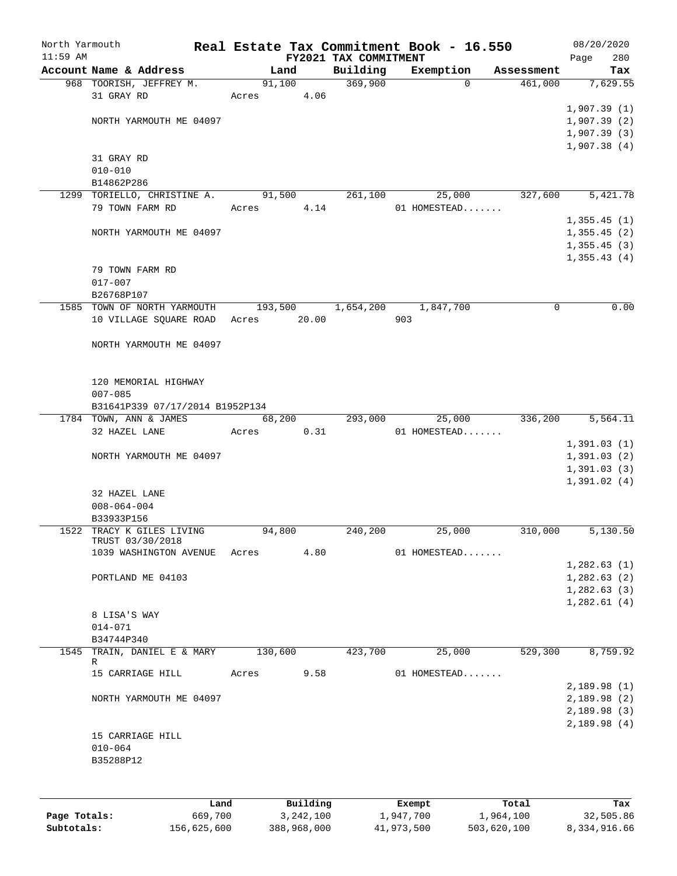| North Yarmouth<br>$11:59$ AM |                                 |         |             | FY2021 TAX COMMITMENT | Real Estate Tax Commitment Book - 16.550 |            | 08/20/2020<br>Page<br>280  |
|------------------------------|---------------------------------|---------|-------------|-----------------------|------------------------------------------|------------|----------------------------|
|                              | Account Name & Address          | Land    |             | Building              | Exemption                                | Assessment | Tax                        |
|                              | 968 TOORISH, JEFFREY M.         | 91,100  |             | 369,900               | $\Omega$                                 | 461,000    | 7,629.55                   |
|                              | 31 GRAY RD                      | Acres   | 4.06        |                       |                                          |            |                            |
|                              |                                 |         |             |                       |                                          |            | 1,907.39(1)                |
|                              | NORTH YARMOUTH ME 04097         |         |             |                       |                                          |            | 1,907.39(2)                |
|                              |                                 |         |             |                       |                                          |            | 1,907.39(3)                |
|                              |                                 |         |             |                       |                                          |            | 1,907.38(4)                |
|                              | 31 GRAY RD                      |         |             |                       |                                          |            |                            |
|                              | $010 - 010$                     |         |             |                       |                                          |            |                            |
|                              | B14862P286                      |         |             |                       |                                          |            |                            |
|                              | 1299 TORIELLO, CHRISTINE A.     | 91,500  |             | 261,100               | 25,000                                   | 327,600    | 5,421.78                   |
|                              | 79 TOWN FARM RD                 | Acres   | 4.14        |                       | 01 HOMESTEAD                             |            |                            |
|                              |                                 |         |             |                       |                                          |            | 1,355.45(1)                |
|                              | NORTH YARMOUTH ME 04097         |         |             |                       |                                          |            | 1,355.45(2)                |
|                              |                                 |         |             |                       |                                          |            | 1,355.45(3)<br>1,355.43(4) |
|                              | 79 TOWN FARM RD                 |         |             |                       |                                          |            |                            |
|                              | $017 - 007$                     |         |             |                       |                                          |            |                            |
|                              | B26768P107                      |         |             |                       |                                          |            |                            |
|                              | 1585 TOWN OF NORTH YARMOUTH     |         | 193,500     | 1,654,200             | 1,847,700                                | 0          | 0.00                       |
|                              | 10 VILLAGE SQUARE ROAD          | Acres   | 20.00       |                       | 903                                      |            |                            |
|                              |                                 |         |             |                       |                                          |            |                            |
|                              | NORTH YARMOUTH ME 04097         |         |             |                       |                                          |            |                            |
|                              |                                 |         |             |                       |                                          |            |                            |
|                              |                                 |         |             |                       |                                          |            |                            |
|                              | 120 MEMORIAL HIGHWAY            |         |             |                       |                                          |            |                            |
|                              | $007 - 085$                     |         |             |                       |                                          |            |                            |
|                              | B31641P339 07/17/2014 B1952P134 |         |             |                       |                                          |            |                            |
|                              | 1784 TOWN, ANN & JAMES          |         | 68,200      | 293,000               | 25,000                                   | 336,200    | 5,564.11                   |
|                              | 32 HAZEL LANE                   | Acres   | 0.31        |                       | 01 HOMESTEAD                             |            |                            |
|                              |                                 |         |             |                       |                                          |            | 1,391.03(1)                |
|                              | NORTH YARMOUTH ME 04097         |         |             |                       |                                          |            | 1,391.03(2)<br>1,391.03(3) |
|                              |                                 |         |             |                       |                                          |            | 1,391.02(4)                |
|                              | 32 HAZEL LANE                   |         |             |                       |                                          |            |                            |
|                              | $008 - 064 - 004$               |         |             |                       |                                          |            |                            |
|                              | B33933P156                      |         |             |                       |                                          |            |                            |
|                              | 1522 TRACY K GILES LIVING       | 94,800  |             | 240,200               | 25,000                                   | 310,000    | 5,130.50                   |
|                              | TRUST 03/30/2018                |         |             |                       |                                          |            |                            |
|                              | 1039 WASHINGTON AVENUE          | Acres   | 4.80        |                       | 01 HOMESTEAD                             |            |                            |
|                              |                                 |         |             |                       |                                          |            | 1,282.63(1)                |
|                              | PORTLAND ME 04103               |         |             |                       |                                          |            | 1,282.63(2)                |
|                              |                                 |         |             |                       |                                          |            | 1,282.63(3)<br>1,282.61(4) |
|                              | 8 LISA'S WAY                    |         |             |                       |                                          |            |                            |
|                              | $014 - 071$                     |         |             |                       |                                          |            |                            |
|                              | B34744P340                      |         |             |                       |                                          |            |                            |
| 1545                         | TRAIN, DANIEL E & MARY          | 130,600 |             | 423,700               | 25,000                                   | 529,300    | 8,759.92                   |
|                              | R                               |         |             |                       |                                          |            |                            |
|                              | 15 CARRIAGE HILL                | Acres   | 9.58        |                       | 01 HOMESTEAD                             |            |                            |
|                              |                                 |         |             |                       |                                          |            | 2,189.98(1)                |
|                              | NORTH YARMOUTH ME 04097         |         |             |                       |                                          |            | 2,189.98(2)                |
|                              |                                 |         |             |                       |                                          |            | 2,189.98(3)                |
|                              |                                 |         |             |                       |                                          |            | 2,189.98(4)                |
|                              | 15 CARRIAGE HILL<br>$010 - 064$ |         |             |                       |                                          |            |                            |
|                              | B35288P12                       |         |             |                       |                                          |            |                            |
|                              |                                 |         |             |                       |                                          |            |                            |
|                              |                                 |         |             |                       |                                          |            |                            |
|                              |                                 |         |             |                       |                                          |            |                            |
|                              |                                 | Land    | Building    |                       | Exempt                                   | Total      | Tax                        |
| Page Totals:                 | 669,700                         |         | 3, 242, 100 |                       | 1,947,700                                | 1,964,100  | 32,505.86                  |

**Subtotals:** 156,625,600 388,968,000 41,973,500 503,620,100 8,334,916.66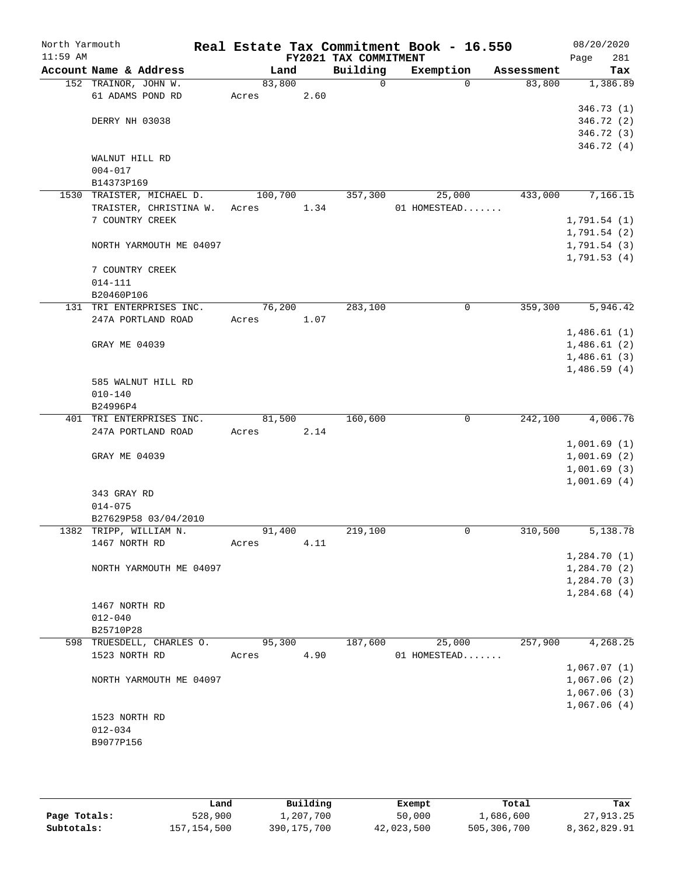| North Yarmouth<br>$11:59$ AM |                           |                           |         |      | FY2021 TAX COMMITMENT | Real Estate Tax Commitment Book - 16.550 |            | 08/20/2020<br>281<br>Page  |
|------------------------------|---------------------------|---------------------------|---------|------|-----------------------|------------------------------------------|------------|----------------------------|
|                              | Account Name & Address    |                           | Land    |      | Building              | Exemption                                | Assessment | Tax                        |
|                              | 152 TRAINOR, JOHN W.      |                           | 83,800  |      | $\mathbf 0$           | $\Omega$                                 | 83,800     | 1,386.89                   |
|                              |                           | 61 ADAMS POND RD          | Acres   | 2.60 |                       |                                          |            |                            |
|                              |                           |                           |         |      |                       |                                          |            | 346.73(1)                  |
|                              | DERRY NH 03038            |                           |         |      |                       |                                          |            | 346.72 (2)                 |
|                              |                           |                           |         |      |                       |                                          |            | 346.72 (3)                 |
|                              |                           |                           |         |      |                       |                                          |            | 346.72 (4)                 |
|                              | WALNUT HILL RD            |                           |         |      |                       |                                          |            |                            |
|                              | $004 - 017$<br>B14373P169 |                           |         |      |                       |                                          |            |                            |
|                              |                           | 1530 TRAISTER, MICHAEL D. | 100,700 |      | 357,300               | 25,000                                   | 433,000    | 7,166.15                   |
|                              |                           | TRAISTER, CHRISTINA W.    | Acres   | 1.34 |                       | 01 HOMESTEAD                             |            |                            |
|                              | 7 COUNTRY CREEK           |                           |         |      |                       |                                          |            | 1,791.54(1)                |
|                              |                           |                           |         |      |                       |                                          |            | 1,791.54(2)                |
|                              |                           | NORTH YARMOUTH ME 04097   |         |      |                       |                                          |            | 1,791.54(3)                |
|                              |                           |                           |         |      |                       |                                          |            | 1,791.53(4)                |
|                              | 7 COUNTRY CREEK           |                           |         |      |                       |                                          |            |                            |
|                              | $014 - 111$               |                           |         |      |                       |                                          |            |                            |
|                              | B20460P106                |                           |         |      |                       |                                          |            |                            |
|                              |                           | 131 TRI ENTERPRISES INC.  | 76,200  |      | 283,100               | 0                                        | 359,300    | 5,946.42                   |
|                              |                           | 247A PORTLAND ROAD        | Acres   | 1.07 |                       |                                          |            |                            |
|                              |                           |                           |         |      |                       |                                          |            | 1,486.61(1)                |
|                              | GRAY ME 04039             |                           |         |      |                       |                                          |            | 1,486.61(2)                |
|                              |                           |                           |         |      |                       |                                          |            | 1,486.61(3)                |
|                              |                           |                           |         |      |                       |                                          |            | 1,486.59(4)                |
|                              |                           | 585 WALNUT HILL RD        |         |      |                       |                                          |            |                            |
|                              | $010 - 140$               |                           |         |      |                       |                                          |            |                            |
|                              | B24996P4                  |                           |         |      |                       |                                          |            |                            |
|                              |                           | 401 TRI ENTERPRISES INC.  | 81,500  |      | 160,600               | $\mathbf 0$                              | 242,100    | 4,006.76                   |
|                              |                           | 247A PORTLAND ROAD        | Acres   | 2.14 |                       |                                          |            |                            |
|                              |                           |                           |         |      |                       |                                          |            | 1,001.69(1)                |
|                              | GRAY ME 04039             |                           |         |      |                       |                                          |            | 1,001.69(2)                |
|                              |                           |                           |         |      |                       |                                          |            | 1,001.69(3)<br>1,001.69(4) |
|                              | 343 GRAY RD               |                           |         |      |                       |                                          |            |                            |
|                              | $014 - 075$               |                           |         |      |                       |                                          |            |                            |
|                              |                           | B27629P58 03/04/2010      |         |      |                       |                                          |            |                            |
|                              |                           | 1382 TRIPP, WILLIAM N.    | 91,400  |      | 219,100               | 0                                        | 310,500    | 5,138.78                   |
|                              | 1467 NORTH RD             |                           | Acres   | 4.11 |                       |                                          |            |                            |
|                              |                           |                           |         |      |                       |                                          |            | 1,284.70(1)                |
|                              |                           | NORTH YARMOUTH ME 04097   |         |      |                       |                                          |            | 1,284.70(2)                |
|                              |                           |                           |         |      |                       |                                          |            | 1,284.70(3)                |
|                              |                           |                           |         |      |                       |                                          |            | 1,284.68(4)                |
|                              | 1467 NORTH RD             |                           |         |      |                       |                                          |            |                            |
|                              | $012 - 040$               |                           |         |      |                       |                                          |            |                            |
|                              | B25710P28                 |                           |         |      |                       |                                          |            |                            |
|                              |                           | 598 TRUESDELL, CHARLES O. | 95,300  |      | 187,600               | 25,000                                   | 257,900    | 4,268.25                   |
|                              | 1523 NORTH RD             |                           | Acres   | 4.90 |                       | 01 HOMESTEAD                             |            |                            |
|                              |                           |                           |         |      |                       |                                          |            | 1,067.07(1)                |
|                              |                           | NORTH YARMOUTH ME 04097   |         |      |                       |                                          |            | 1,067.06(2)                |
|                              |                           |                           |         |      |                       |                                          |            | 1,067.06(3)                |
|                              |                           |                           |         |      |                       |                                          |            | 1,067.06(4)                |
|                              | 1523 NORTH RD             |                           |         |      |                       |                                          |            |                            |
|                              | $012 - 034$               |                           |         |      |                       |                                          |            |                            |
|                              | B9077P156                 |                           |         |      |                       |                                          |            |                            |
|                              |                           |                           |         |      |                       |                                          |            |                            |

|              | Land        | Building      | Exempt     | Total       | Tax          |
|--------------|-------------|---------------|------------|-------------|--------------|
| Page Totals: | 528,900     | l,207,700     | 50,000     | 1,686,600   | 27,913.25    |
| Subtotals:   | 157,154,500 | 390, 175, 700 | 42,023,500 | 505,306,700 | 8,362,829.91 |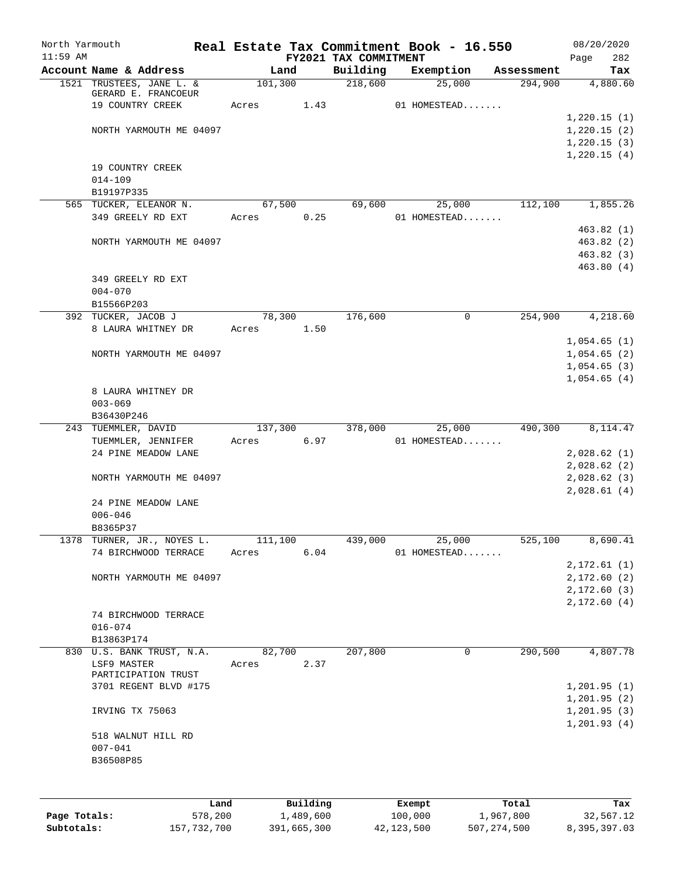| North Yarmouth<br>$11:59$ AM |                                                    |         |           | FY2021 TAX COMMITMENT | Real Estate Tax Commitment Book - 16.550 |            | 08/20/2020<br>282<br>Page   |
|------------------------------|----------------------------------------------------|---------|-----------|-----------------------|------------------------------------------|------------|-----------------------------|
|                              | Account Name & Address                             | Land    |           | Building              | Exemption                                | Assessment | Tax                         |
|                              | 1521 TRUSTEES, JANE L. &                           | 101,300 |           | 218,600               | 25,000                                   | 294,900    | 4,880.60                    |
|                              | GERARD E. FRANCOEUR                                |         |           |                       |                                          |            |                             |
|                              | 19 COUNTRY CREEK                                   | Acres   | 1.43      |                       | 01 HOMESTEAD                             |            |                             |
|                              |                                                    |         |           |                       |                                          |            | 1,220.15(1)                 |
|                              | NORTH YARMOUTH ME 04097                            |         |           |                       |                                          |            | 1,220.15(2)                 |
|                              |                                                    |         |           |                       |                                          |            | 1,220.15(3)                 |
|                              |                                                    |         |           |                       |                                          |            | 1,220.15(4)                 |
|                              | 19 COUNTRY CREEK                                   |         |           |                       |                                          |            |                             |
|                              | $014 - 109$                                        |         |           |                       |                                          |            |                             |
|                              | B19197P335                                         |         |           |                       |                                          |            |                             |
|                              | 565 TUCKER, ELEANOR N.                             | 67,500  |           | 69,600                | 25,000                                   | 112,100    | 1,855.26                    |
|                              | 349 GREELY RD EXT                                  | Acres   | 0.25      |                       | 01 HOMESTEAD                             |            |                             |
|                              |                                                    |         |           |                       |                                          |            | 463.82(1)                   |
|                              | NORTH YARMOUTH ME 04097                            |         |           |                       |                                          |            | 463.82(2)                   |
|                              |                                                    |         |           |                       |                                          |            | 463.82 (3)                  |
|                              |                                                    |         |           |                       |                                          |            | 463.80(4)                   |
|                              | 349 GREELY RD EXT                                  |         |           |                       |                                          |            |                             |
|                              | $004 - 070$                                        |         |           |                       |                                          |            |                             |
|                              | B15566P203                                         |         |           |                       |                                          |            |                             |
|                              | 392 TUCKER, JACOB J                                | 78,300  |           | 176,600               | 0                                        | 254,900    | 4,218.60                    |
|                              | 8 LAURA WHITNEY DR                                 | Acres   | 1.50      |                       |                                          |            |                             |
|                              |                                                    |         |           |                       |                                          |            | 1,054.65(1)                 |
|                              | NORTH YARMOUTH ME 04097                            |         |           |                       |                                          |            | 1,054.65(2)                 |
|                              |                                                    |         |           |                       |                                          |            | 1,054.65(3)                 |
|                              |                                                    |         |           |                       |                                          |            | 1,054.65(4)                 |
|                              | 8 LAURA WHITNEY DR                                 |         |           |                       |                                          |            |                             |
|                              | $003 - 069$                                        |         |           |                       |                                          |            |                             |
|                              | B36430P246                                         |         |           |                       |                                          |            |                             |
|                              | 243 TUEMMLER, DAVID                                | 137,300 |           | 378,000               | 25,000                                   | 490,300    | 8,114.47                    |
|                              | TUEMMLER, JENNIFER                                 | Acres   | 6.97      |                       | 01 HOMESTEAD                             |            |                             |
|                              | 24 PINE MEADOW LANE                                |         |           |                       |                                          |            | 2,028.62(1)                 |
|                              |                                                    |         |           |                       |                                          |            | 2,028.62(2)                 |
|                              | NORTH YARMOUTH ME 04097                            |         |           |                       |                                          |            | 2,028.62(3)                 |
|                              |                                                    |         |           |                       |                                          |            | 2,028.61(4)                 |
|                              | 24 PINE MEADOW LANE                                |         |           |                       |                                          |            |                             |
|                              | $006 - 046$                                        |         |           |                       |                                          |            |                             |
|                              | B8365P37                                           |         |           | 439,000               |                                          | 525,100    |                             |
|                              | 1378 TURNER, JR., NOYES L.<br>74 BIRCHWOOD TERRACE | 111,100 | 6.04      |                       | 25,000<br>01 HOMESTEAD                   |            | 8,690.41                    |
|                              |                                                    | Acres   |           |                       |                                          |            | 2, 172.61(1)                |
|                              |                                                    |         |           |                       |                                          |            |                             |
|                              | NORTH YARMOUTH ME 04097                            |         |           |                       |                                          |            | 2,172.60 (2)<br>2,172.60(3) |
|                              |                                                    |         |           |                       |                                          |            |                             |
|                              | 74 BIRCHWOOD TERRACE                               |         |           |                       |                                          |            | 2,172.60(4)                 |
|                              | $016 - 074$                                        |         |           |                       |                                          |            |                             |
|                              | B13863P174                                         |         |           |                       |                                          |            |                             |
|                              | 830 U.S. BANK TRUST, N.A.                          | 82,700  |           | 207,800               | 0                                        | 290,500    | 4,807.78                    |
|                              | LSF9 MASTER                                        | Acres   | 2.37      |                       |                                          |            |                             |
|                              | PARTICIPATION TRUST                                |         |           |                       |                                          |            |                             |
|                              | 3701 REGENT BLVD #175                              |         |           |                       |                                          |            | 1,201.95(1)                 |
|                              |                                                    |         |           |                       |                                          |            | 1,201.95(2)                 |
|                              | IRVING TX 75063                                    |         |           |                       |                                          |            | 1,201.95(3)                 |
|                              |                                                    |         |           |                       |                                          |            | 1, 201.93(4)                |
|                              | 518 WALNUT HILL RD                                 |         |           |                       |                                          |            |                             |
|                              | $007 - 041$                                        |         |           |                       |                                          |            |                             |
|                              | B36508P85                                          |         |           |                       |                                          |            |                             |
|                              |                                                    |         |           |                       |                                          |            |                             |
|                              |                                                    |         |           |                       |                                          |            |                             |
|                              |                                                    |         |           |                       |                                          |            |                             |
|                              | Land                                               |         | Building  |                       | Exempt                                   | Total      | Tax                         |
| Page Totals:                 | 578,200                                            |         | 1,489,600 |                       | 100,000                                  | 1,967,800  | 32,567.12                   |

**Subtotals:** 157,732,700 391,665,300 42,123,500 507,274,500 8,395,397.03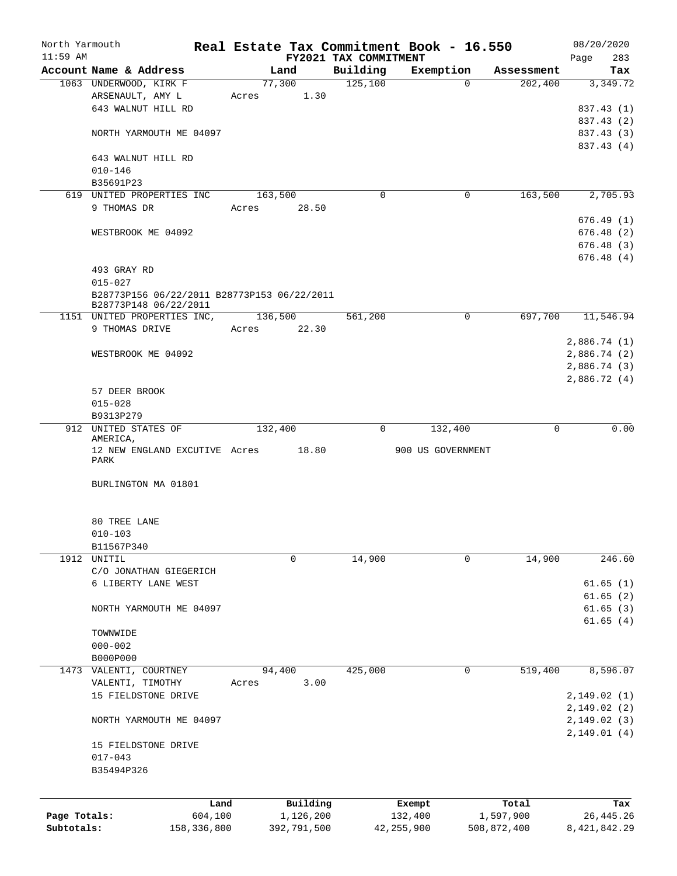| North Yarmouth |                                             | Real Estate Tax Commitment Book - 16.550 |                       |                   |             | 08/20/2020   |
|----------------|---------------------------------------------|------------------------------------------|-----------------------|-------------------|-------------|--------------|
| $11:59$ AM     |                                             |                                          | FY2021 TAX COMMITMENT |                   |             | 283<br>Page  |
|                | Account Name & Address                      | Land                                     | Building              | Exemption         | Assessment  | Tax          |
|                | 1063 UNDERWOOD, KIRK F                      | 77,300                                   | 125,100               | 0                 | 202,400     | 3,349.72     |
|                | ARSENAULT, AMY L                            | 1.30<br>Acres                            |                       |                   |             |              |
|                | 643 WALNUT HILL RD                          |                                          |                       |                   |             | 837.43 (1)   |
|                |                                             |                                          |                       |                   |             | 837.43 (2)   |
|                | NORTH YARMOUTH ME 04097                     |                                          |                       |                   |             | 837.43 (3)   |
|                |                                             |                                          |                       |                   |             | 837.43 (4)   |
|                | 643 WALNUT HILL RD                          |                                          |                       |                   |             |              |
|                | $010 - 146$                                 |                                          |                       |                   |             |              |
|                | B35691P23                                   |                                          |                       |                   |             |              |
|                | 619 UNITED PROPERTIES INC                   | 163,500                                  | 0                     | 0                 | 163,500     | 2,705.93     |
|                | 9 THOMAS DR                                 | 28.50<br>Acres                           |                       |                   |             |              |
|                |                                             |                                          |                       |                   |             | 676.49(1)    |
|                | WESTBROOK ME 04092                          |                                          |                       |                   |             | 676.48(2)    |
|                |                                             |                                          |                       |                   |             | 676.48(3)    |
|                |                                             |                                          |                       |                   |             | 676.48(4)    |
|                | 493 GRAY RD                                 |                                          |                       |                   |             |              |
|                | $015 - 027$                                 |                                          |                       |                   |             |              |
|                | B28773P156 06/22/2011 B28773P153 06/22/2011 |                                          |                       |                   |             |              |
|                | B28773P148 06/22/2011                       |                                          |                       |                   |             |              |
|                | 1151 UNITED PROPERTIES INC,                 | 136,500                                  | 561,200               | 0                 | 697,700     | 11,546.94    |
|                | 9 THOMAS DRIVE                              | 22.30<br>Acres                           |                       |                   |             |              |
|                |                                             |                                          |                       |                   |             | 2,886.74(1)  |
|                | WESTBROOK ME 04092                          |                                          |                       |                   |             | 2,886.74 (2) |
|                |                                             |                                          |                       |                   |             | 2,886.74 (3) |
|                |                                             |                                          |                       |                   |             | 2,886.72(4)  |
|                | 57 DEER BROOK                               |                                          |                       |                   |             |              |
|                | $015 - 028$                                 |                                          |                       |                   |             |              |
|                | B9313P279                                   |                                          |                       |                   |             |              |
|                | 912 UNITED STATES OF                        | 132,400                                  | 0                     | 132,400           | 0           | 0.00         |
|                | AMERICA,                                    |                                          |                       |                   |             |              |
|                | 12 NEW ENGLAND EXCUTIVE Acres               | 18.80                                    |                       | 900 US GOVERNMENT |             |              |
|                | PARK                                        |                                          |                       |                   |             |              |
|                | BURLINGTON MA 01801                         |                                          |                       |                   |             |              |
|                |                                             |                                          |                       |                   |             |              |
|                | 80 TREE LANE                                |                                          |                       |                   |             |              |
|                | $010 - 103$                                 |                                          |                       |                   |             |              |
|                | B11567P340                                  |                                          |                       |                   |             |              |
|                | 1912 UNITIL                                 | 0                                        | 14,900                | 0                 | 14,900      | 246.60       |
|                | C/O JONATHAN GIEGERICH                      |                                          |                       |                   |             |              |
|                | 6 LIBERTY LANE WEST                         |                                          |                       |                   |             | 61.65(1)     |
|                |                                             |                                          |                       |                   |             | 61.65(2)     |
|                | NORTH YARMOUTH ME 04097                     |                                          |                       |                   |             | 61.65(3)     |
|                |                                             |                                          |                       |                   |             | 61.65(4)     |
|                | TOWNWIDE                                    |                                          |                       |                   |             |              |
|                | $000 - 002$                                 |                                          |                       |                   |             |              |
|                | B000P000                                    |                                          |                       |                   |             |              |
|                | 1473 VALENTI, COURTNEY                      | 94,400                                   | 425,000               | 0                 | 519,400     | 8,596.07     |
|                | VALENTI, TIMOTHY                            | 3.00<br>Acres                            |                       |                   |             |              |
|                | 15 FIELDSTONE DRIVE                         |                                          |                       |                   |             | 2,149.02 (1) |
|                |                                             |                                          |                       |                   |             | 2,149.02(2)  |
|                | NORTH YARMOUTH ME 04097                     |                                          |                       |                   |             | 2,149.02(3)  |
|                |                                             |                                          |                       |                   |             | 2,149.01(4)  |
|                | 15 FIELDSTONE DRIVE                         |                                          |                       |                   |             |              |
|                | $017 - 043$                                 |                                          |                       |                   |             |              |
|                | B35494P326                                  |                                          |                       |                   |             |              |
|                |                                             |                                          |                       |                   |             |              |
|                |                                             | Land<br>Building                         |                       | Exempt            | Total       | Tax          |
| Page Totals:   | 604,100                                     | 1,126,200                                |                       | 132,400           | 1,597,900   | 26, 445.26   |
| Subtotals:     | 158,336,800                                 | 392,791,500                              |                       | 42, 255, 900      | 508,872,400 | 8,421,842.29 |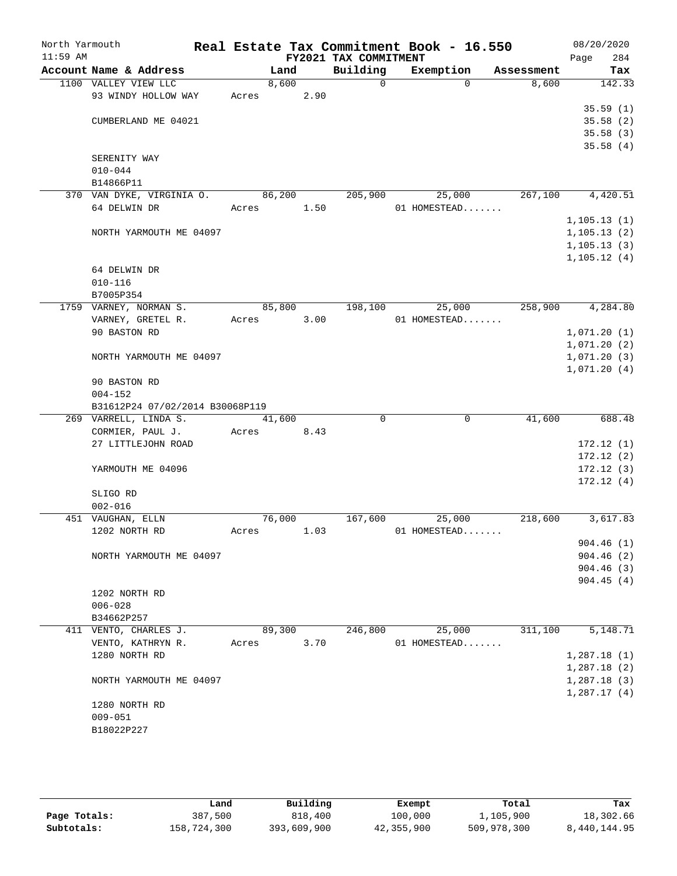| North Yarmouth<br>$11:59$ AM |                                 |        |        | FY2021 TAX COMMITMENT | Real Estate Tax Commitment Book - 16.550 |            | 08/20/2020<br>Page |
|------------------------------|---------------------------------|--------|--------|-----------------------|------------------------------------------|------------|--------------------|
|                              | Account Name & Address          | Land   |        | Building              | Exemption                                | Assessment | 284<br>Tax         |
|                              | 1100 VALLEY VIEW LLC            | 8,600  |        | $\Omega$              | $\Omega$                                 | 8,600      | 142.33             |
|                              | 93 WINDY HOLLOW WAY             | Acres  | 2.90   |                       |                                          |            |                    |
|                              |                                 |        |        |                       |                                          |            | 35.59(1)           |
|                              | CUMBERLAND ME 04021             |        |        |                       |                                          |            | 35.58(2)           |
|                              |                                 |        |        |                       |                                          |            | 35.58(3)           |
|                              |                                 |        |        |                       |                                          |            | 35.58(4)           |
|                              | SERENITY WAY                    |        |        |                       |                                          |            |                    |
|                              | $010 - 044$                     |        |        |                       |                                          |            |                    |
|                              | B14866P11                       |        |        |                       |                                          |            |                    |
|                              | 370 VAN DYKE, VIRGINIA O.       | 86,200 |        | 205,900               | 25,000                                   | 267,100    | 4,420.51           |
|                              | 64 DELWIN DR                    | Acres  | 1.50   |                       | 01 HOMESTEAD                             |            |                    |
|                              |                                 |        |        |                       |                                          |            | 1, 105.13(1)       |
|                              | NORTH YARMOUTH ME 04097         |        |        |                       |                                          |            | 1, 105.13(2)       |
|                              |                                 |        |        |                       |                                          |            | 1, 105.13(3)       |
|                              |                                 |        |        |                       |                                          |            | 1, 105.12(4)       |
|                              | 64 DELWIN DR<br>$010 - 116$     |        |        |                       |                                          |            |                    |
|                              | B7005P354                       |        |        |                       |                                          |            |                    |
|                              | 1759 VARNEY, NORMAN S.          | 85,800 |        | 198,100               | 25,000                                   | 258,900    | 4,284.80           |
|                              | VARNEY, GRETEL R.               | Acres  | 3.00   |                       | 01 HOMESTEAD                             |            |                    |
|                              | 90 BASTON RD                    |        |        |                       |                                          |            | 1,071.20(1)        |
|                              |                                 |        |        |                       |                                          |            | 1,071.20(2)        |
|                              | NORTH YARMOUTH ME 04097         |        |        |                       |                                          |            | 1,071.20(3)        |
|                              |                                 |        |        |                       |                                          |            | 1,071.20(4)        |
|                              | 90 BASTON RD                    |        |        |                       |                                          |            |                    |
|                              | $004 - 152$                     |        |        |                       |                                          |            |                    |
|                              | B31612P24 07/02/2014 B30068P119 |        |        |                       |                                          |            |                    |
|                              | 269 VARRELL, LINDA S.           | 41,600 |        | $\Omega$              | $\mathbf 0$                              | 41,600     | 688.48             |
|                              | CORMIER, PAUL J.                | Acres  | 8.43   |                       |                                          |            |                    |
|                              | 27 LITTLEJOHN ROAD              |        |        |                       |                                          |            | 172.12(1)          |
|                              |                                 |        |        |                       |                                          |            | 172.12(2)          |
|                              | YARMOUTH ME 04096               |        |        |                       |                                          |            | 172.12(3)          |
|                              |                                 |        |        |                       |                                          |            | 172.12(4)          |
|                              | SLIGO RD                        |        |        |                       |                                          |            |                    |
|                              | $002 - 016$                     |        |        |                       |                                          |            |                    |
|                              | 451 VAUGHAN, ELLN               | 76,000 |        | 167,600               | 25,000                                   | 218,600    | 3,617.83           |
|                              | 1202 NORTH RD                   | Acres  | 1.03   |                       | 01 HOMESTEAD                             |            | 904.46(1)          |
|                              | NORTH YARMOUTH ME 04097         |        |        |                       |                                          |            | 904.46(2)          |
|                              |                                 |        |        |                       |                                          |            | 904.46(3)          |
|                              |                                 |        |        |                       |                                          |            | 904.45(4)          |
|                              | 1202 NORTH RD                   |        |        |                       |                                          |            |                    |
|                              | $006 - 028$                     |        |        |                       |                                          |            |                    |
|                              | B34662P257                      |        |        |                       |                                          |            |                    |
|                              | 411 VENTO, CHARLES J.           |        | 89,300 | 246,800               | 25,000                                   | 311,100    | 5,148.71           |
|                              | VENTO, KATHRYN R.               | Acres  | 3.70   |                       | 01 HOMESTEAD                             |            |                    |
|                              | 1280 NORTH RD                   |        |        |                       |                                          |            | 1,287.18(1)        |
|                              |                                 |        |        |                       |                                          |            | 1,287.18(2)        |
|                              | NORTH YARMOUTH ME 04097         |        |        |                       |                                          |            | 1,287.18(3)        |
|                              |                                 |        |        |                       |                                          |            | 1,287.17(4)        |
|                              | 1280 NORTH RD                   |        |        |                       |                                          |            |                    |
|                              | $009 - 051$                     |        |        |                       |                                          |            |                    |
|                              | B18022P227                      |        |        |                       |                                          |            |                    |
|                              |                                 |        |        |                       |                                          |            |                    |
|                              |                                 |        |        |                       |                                          |            |                    |

|              | Land        | Building    | Exempt     | Total       | Tax          |
|--------------|-------------|-------------|------------|-------------|--------------|
| Page Totals: | 387,500     | 818,400     | 100,000    | 1,105,900   | 18,302.66    |
| Subtotals:   | 158,724,300 | 393,609,900 | 42,355,900 | 509,978,300 | 8,440,144.95 |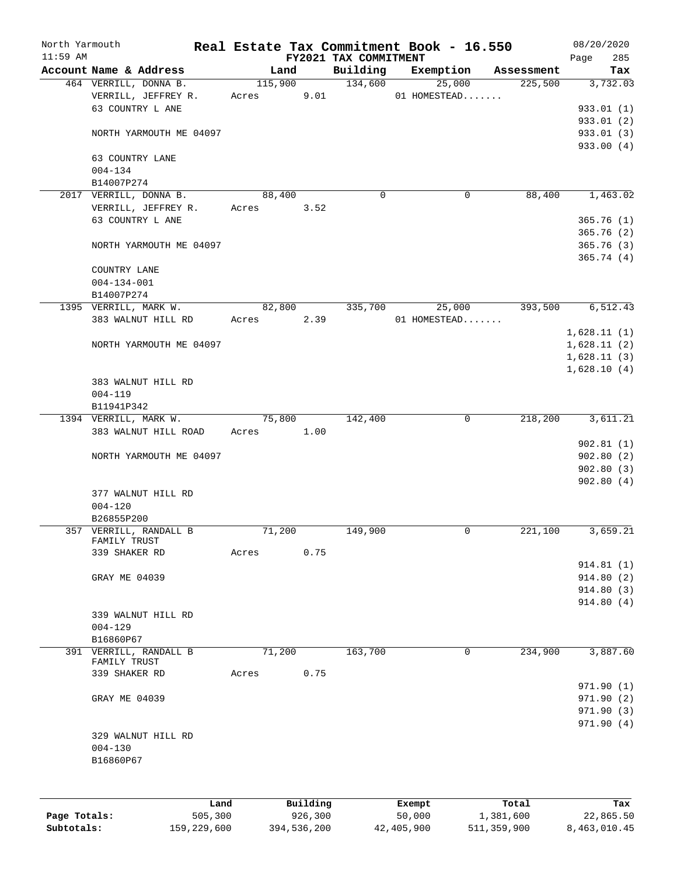| North Yarmouth<br>$11:59$ AM |                                        |                      |          |                                   | Real Estate Tax Commitment Book - 16.550 |            | 08/20/2020         |
|------------------------------|----------------------------------------|----------------------|----------|-----------------------------------|------------------------------------------|------------|--------------------|
|                              | Account Name & Address                 |                      | Land     | FY2021 TAX COMMITMENT<br>Building | Exemption                                | Assessment | Page<br>285<br>Tax |
|                              | 464 VERRILL, DONNA B.                  |                      | 115,900  | 134,600                           | 25,000                                   | 225,500    | 3,732.03           |
|                              | VERRILL, JEFFREY R.                    | Acres                | 9.01     |                                   | 01 HOMESTEAD                             |            |                    |
|                              | 63 COUNTRY L ANE                       |                      |          |                                   |                                          |            | 933.01 (1)         |
|                              |                                        |                      |          |                                   |                                          |            | 933.01(2)          |
|                              | NORTH YARMOUTH ME 04097                |                      |          |                                   |                                          |            | 933.01 (3)         |
|                              | 63 COUNTRY LANE                        |                      |          |                                   |                                          |            | 933.00 (4)         |
|                              | $004 - 134$                            |                      |          |                                   |                                          |            |                    |
|                              | B14007P274                             |                      |          |                                   |                                          |            |                    |
|                              | 2017 VERRILL, DONNA B.                 | 88,400               |          | $\Omega$                          | 0                                        | 88,400     | 1,463.02           |
|                              | VERRILL, JEFFREY R.                    | Acres                | 3.52     |                                   |                                          |            |                    |
|                              | 63 COUNTRY L ANE                       |                      |          |                                   |                                          |            | 365.76(1)          |
|                              |                                        |                      |          |                                   |                                          |            | 365.76(2)          |
|                              | NORTH YARMOUTH ME 04097                |                      |          |                                   |                                          |            | 365.76(3)          |
|                              |                                        |                      |          |                                   |                                          |            | 365.74(4)          |
|                              | COUNTRY LANE                           |                      |          |                                   |                                          |            |                    |
|                              | $004 - 134 - 001$                      |                      |          |                                   |                                          |            |                    |
|                              | B14007P274                             |                      |          |                                   |                                          |            |                    |
|                              | 1395 VERRILL, MARK W.                  | 82,800               |          | 335,700                           | 25,000                                   | 393,500    | 6,512.43           |
|                              | 383 WALNUT HILL RD                     | Acres                | 2.39     |                                   | 01 HOMESTEAD                             |            |                    |
|                              |                                        |                      |          |                                   |                                          |            | 1,628.11(1)        |
|                              | NORTH YARMOUTH ME 04097                |                      |          |                                   |                                          |            | 1,628.11(2)        |
|                              |                                        |                      |          |                                   |                                          |            | 1,628.11(3)        |
|                              |                                        |                      |          |                                   |                                          |            | 1,628.10(4)        |
|                              | 383 WALNUT HILL RD                     |                      |          |                                   |                                          |            |                    |
|                              | $004 - 119$                            |                      |          |                                   |                                          |            |                    |
|                              | B11941P342                             |                      |          |                                   | $\overline{0}$                           |            |                    |
|                              | 1394 VERRILL, MARK W.                  | 75,800<br>Acres 1.00 |          | 142,400                           |                                          | 218,200    | 3,611.21           |
|                              | 383 WALNUT HILL ROAD                   |                      |          |                                   |                                          |            | 902.81(1)          |
|                              | NORTH YARMOUTH ME 04097                |                      |          |                                   |                                          |            | 902.80(2)          |
|                              |                                        |                      |          |                                   |                                          |            | 902.80(3)          |
|                              |                                        |                      |          |                                   |                                          |            | 902.80(4)          |
|                              | 377 WALNUT HILL RD                     |                      |          |                                   |                                          |            |                    |
|                              | $004 - 120$                            |                      |          |                                   |                                          |            |                    |
|                              | B26855P200                             |                      |          |                                   |                                          |            |                    |
|                              | 357 VERRILL, RANDALL B                 | 71,200               |          | 149,900                           | 0                                        | 221,100    | 3,659.21           |
|                              | FAMILY TRUST                           |                      |          |                                   |                                          |            |                    |
|                              | 339 SHAKER RD                          | Acres                | 0.75     |                                   |                                          |            |                    |
|                              |                                        |                      |          |                                   |                                          |            | 914.81(1)          |
|                              | GRAY ME 04039                          |                      |          |                                   |                                          |            | 914.80(2)          |
|                              |                                        |                      |          |                                   |                                          |            | 914.80(3)          |
|                              |                                        |                      |          |                                   |                                          |            | 914.80(4)          |
|                              | 339 WALNUT HILL RD                     |                      |          |                                   |                                          |            |                    |
|                              | $004 - 129$                            |                      |          |                                   |                                          |            |                    |
|                              | B16860P67                              |                      |          |                                   |                                          |            |                    |
|                              | 391 VERRILL, RANDALL B<br>FAMILY TRUST | 71,200               |          | 163,700                           | $\mathbf 0$                              | 234,900    | 3,887.60           |
|                              | 339 SHAKER RD                          | Acres                | 0.75     |                                   |                                          |            |                    |
|                              |                                        |                      |          |                                   |                                          |            | 971.90(1)          |
|                              | GRAY ME 04039                          |                      |          |                                   |                                          |            | 971.90 (2)         |
|                              |                                        |                      |          |                                   |                                          |            | 971.90(3)          |
|                              |                                        |                      |          |                                   |                                          |            | 971.90(4)          |
|                              | 329 WALNUT HILL RD                     |                      |          |                                   |                                          |            |                    |
|                              | $004 - 130$                            |                      |          |                                   |                                          |            |                    |
|                              | B16860P67                              |                      |          |                                   |                                          |            |                    |
|                              |                                        |                      |          |                                   |                                          |            |                    |
|                              |                                        |                      |          |                                   |                                          |            |                    |
|                              | Land                                   |                      | Building |                                   | Exempt                                   | Total      | Tax                |
| Page Totals:                 | 505,300                                |                      | 926,300  |                                   | 50,000                                   | 1,381,600  | 22,865.50          |
|                              |                                        |                      |          |                                   |                                          |            |                    |

**Subtotals:** 159,229,600 394,536,200 42,405,900 511,359,900 8,463,010.45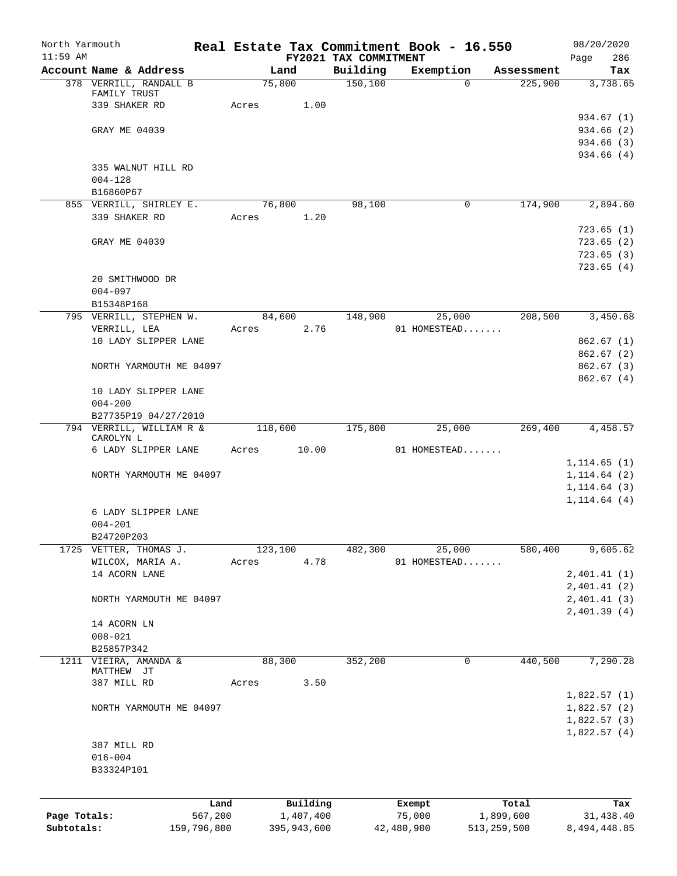| North Yarmouth<br>$11:59$ AM |                                       |             |         |             |                                   | Real Estate Tax Commitment Book - 16.550 |                       | 08/20/2020         |
|------------------------------|---------------------------------------|-------------|---------|-------------|-----------------------------------|------------------------------------------|-----------------------|--------------------|
|                              | Account Name & Address                |             |         | Land        | FY2021 TAX COMMITMENT<br>Building | Exemption                                |                       | 286<br>Page<br>Tax |
|                              | 378 VERRILL, RANDALL B                |             | 75,800  |             | 150,100                           | $\Omega$                                 | Assessment<br>225,900 | 3,738.65           |
|                              | FAMILY TRUST                          |             |         |             |                                   |                                          |                       |                    |
|                              | 339 SHAKER RD                         |             | Acres   | 1.00        |                                   |                                          |                       |                    |
|                              |                                       |             |         |             |                                   |                                          |                       | 934.67 (1)         |
|                              | GRAY ME 04039                         |             |         |             |                                   |                                          |                       | 934.66 (2)         |
|                              |                                       |             |         |             |                                   |                                          |                       | 934.66 (3)         |
|                              |                                       |             |         |             |                                   |                                          |                       | 934.66(4)          |
|                              | 335 WALNUT HILL RD                    |             |         |             |                                   |                                          |                       |                    |
|                              | $004 - 128$                           |             |         |             |                                   |                                          |                       |                    |
|                              | B16860P67                             |             |         |             |                                   |                                          |                       |                    |
|                              | 855 VERRILL, SHIRLEY E.               |             | 76,800  |             | 98,100                            | $\mathbf 0$                              | 174,900               | 2,894.60           |
|                              | 339 SHAKER RD                         |             | Acres   | 1.20        |                                   |                                          |                       |                    |
|                              |                                       |             |         |             |                                   |                                          |                       | 723.65(1)          |
|                              | GRAY ME 04039                         |             |         |             |                                   |                                          |                       | 723.65(2)          |
|                              |                                       |             |         |             |                                   |                                          |                       | 723.65(3)          |
|                              |                                       |             |         |             |                                   |                                          |                       | 723.65(4)          |
|                              | 20 SMITHWOOD DR                       |             |         |             |                                   |                                          |                       |                    |
|                              | $004 - 097$                           |             |         |             |                                   |                                          |                       |                    |
|                              | B15348P168                            |             |         |             |                                   |                                          |                       |                    |
|                              | 795 VERRILL, STEPHEN W.               |             | 84,600  |             | 148,900                           | 25,000                                   | 208,500               | 3,450.68           |
|                              | VERRILL, LEA                          |             | Acres   | 2.76        |                                   | 01 HOMESTEAD                             |                       |                    |
|                              | 10 LADY SLIPPER LANE                  |             |         |             |                                   |                                          |                       | 862.67(1)          |
|                              |                                       |             |         |             |                                   |                                          |                       | 862.67(2)          |
|                              | NORTH YARMOUTH ME 04097               |             |         |             |                                   |                                          |                       | 862.67(3)          |
|                              |                                       |             |         |             |                                   |                                          |                       | 862.67(4)          |
|                              | 10 LADY SLIPPER LANE                  |             |         |             |                                   |                                          |                       |                    |
|                              | $004 - 200$                           |             |         |             |                                   |                                          |                       |                    |
|                              | B27735P19 04/27/2010                  |             |         |             |                                   |                                          |                       |                    |
|                              | 794 VERRILL, WILLIAM R &<br>CAROLYN L |             | 118,600 |             | 175,800                           | 25,000                                   | 269,400               | 4,458.57           |
|                              | 6 LADY SLIPPER LANE                   |             | Acres   | 10.00       |                                   | 01 HOMESTEAD                             |                       |                    |
|                              |                                       |             |         |             |                                   |                                          |                       | 1, 114.65(1)       |
|                              | NORTH YARMOUTH ME 04097               |             |         |             |                                   |                                          |                       | 1, 114.64(2)       |
|                              |                                       |             |         |             |                                   |                                          |                       | 1, 114.64(3)       |
|                              |                                       |             |         |             |                                   |                                          |                       | 1, 114.64(4)       |
|                              | 6 LADY SLIPPER LANE                   |             |         |             |                                   |                                          |                       |                    |
|                              | $004 - 201$                           |             |         |             |                                   |                                          |                       |                    |
|                              | B24720P203                            |             |         |             |                                   |                                          |                       |                    |
| 1725                         | VETTER, THOMAS J.                     |             | 123,100 |             | 482,300                           | 25,000                                   | 580,400               | 9,605.62           |
|                              | WILCOX, MARIA A.                      |             | Acres   | 4.78        |                                   | 01 HOMESTEAD                             |                       |                    |
|                              | 14 ACORN LANE                         |             |         |             |                                   |                                          |                       | 2,401.41(1)        |
|                              |                                       |             |         |             |                                   |                                          |                       | 2,401.41(2)        |
|                              | NORTH YARMOUTH ME 04097               |             |         |             |                                   |                                          |                       | 2,401.41 (3)       |
|                              |                                       |             |         |             |                                   |                                          |                       | 2,401.39(4)        |
|                              | 14 ACORN LN                           |             |         |             |                                   |                                          |                       |                    |
|                              | $008 - 021$                           |             |         |             |                                   |                                          |                       |                    |
|                              | B25857P342                            |             |         |             |                                   |                                          |                       |                    |
| 1211                         | VIEIRA, AMANDA &                      |             | 88,300  |             | 352,200                           | 0                                        | 440,500               | 7,290.28           |
|                              | MATTHEW JT                            |             |         |             |                                   |                                          |                       |                    |
|                              | 387 MILL RD                           |             | Acres   | 3.50        |                                   |                                          |                       |                    |
|                              |                                       |             |         |             |                                   |                                          |                       | 1,822.57(1)        |
|                              | NORTH YARMOUTH ME 04097               |             |         |             |                                   |                                          |                       | 1,822.57(2)        |
|                              |                                       |             |         |             |                                   |                                          |                       | 1,822.57(3)        |
|                              |                                       |             |         |             |                                   |                                          |                       | 1,822.57(4)        |
|                              | 387 MILL RD                           |             |         |             |                                   |                                          |                       |                    |
|                              | $016 - 004$                           |             |         |             |                                   |                                          |                       |                    |
|                              | B33324P101                            |             |         |             |                                   |                                          |                       |                    |
|                              |                                       |             |         |             |                                   |                                          |                       |                    |
|                              |                                       | Land        |         | Building    |                                   | Exempt                                   | Total                 | Tax                |
| Page Totals:                 |                                       | 567,200     |         | 1,407,400   |                                   | 75,000                                   | 1,899,600             | 31,438.40          |
| Subtotals:                   |                                       | 159,796,800 |         | 395,943,600 |                                   | 42,480,900                               | 513, 259, 500         | 8,494,448.85       |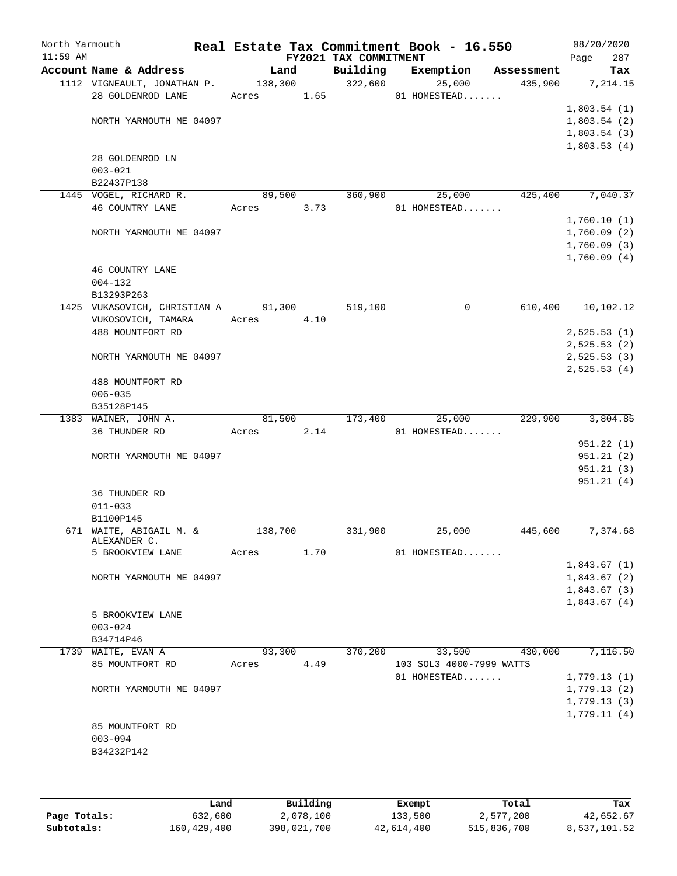| North Yarmouth<br>$11:59$ AM |                              |         |         | FY2021 TAX COMMITMENT | Real Estate Tax Commitment Book - 16.550 |            | 08/20/2020<br>Page | 287       |
|------------------------------|------------------------------|---------|---------|-----------------------|------------------------------------------|------------|--------------------|-----------|
|                              | Account Name & Address       | Land    |         | Building              | Exemption                                | Assessment |                    | Tax       |
|                              | 1112 VIGNEAULT, JONATHAN P.  |         | 138,300 | 322,600               | 25,000                                   | 435,900    |                    | 7, 214.15 |
|                              | 28 GOLDENROD LANE            | Acres   | 1.65    |                       | 01 HOMESTEAD                             |            |                    |           |
|                              |                              |         |         |                       |                                          |            | 1,803.54(1)        |           |
|                              | NORTH YARMOUTH ME 04097      |         |         |                       |                                          |            | 1,803.54(2)        |           |
|                              |                              |         |         |                       |                                          |            | 1,803.54(3)        |           |
|                              |                              |         |         |                       |                                          |            | 1,803.53(4)        |           |
|                              | 28 GOLDENROD LN              |         |         |                       |                                          |            |                    |           |
|                              | $003 - 021$                  |         |         |                       |                                          |            |                    |           |
|                              | B22437P138                   |         |         |                       |                                          |            |                    |           |
|                              | 1445 VOGEL, RICHARD R.       | 89,500  |         | 360,900               | 25,000                                   | 425,400    |                    | 7,040.37  |
|                              | <b>46 COUNTRY LANE</b>       | Acres   | 3.73    |                       | 01 HOMESTEAD                             |            |                    |           |
|                              |                              |         |         |                       |                                          |            | 1,760.10(1)        |           |
|                              | NORTH YARMOUTH ME 04097      |         |         |                       |                                          |            | 1,760.09(2)        |           |
|                              |                              |         |         |                       |                                          |            | 1,760.09(3)        |           |
|                              |                              |         |         |                       |                                          |            | 1,760.09(4)        |           |
|                              | 46 COUNTRY LANE              |         |         |                       |                                          |            |                    |           |
|                              | $004 - 132$                  |         |         |                       |                                          |            |                    |           |
|                              | B13293P263                   |         |         |                       |                                          |            |                    |           |
|                              | 1425 VUKASOVICH, CHRISTIAN A | 91,300  |         | 519,100               | 0                                        | 610,400    | 10,102.12          |           |
|                              | VUKOSOVICH, TAMARA           | Acres   | 4.10    |                       |                                          |            |                    |           |
|                              | 488 MOUNTFORT RD             |         |         |                       |                                          |            | 2,525.53(1)        |           |
|                              |                              |         |         |                       |                                          |            | 2,525.53(2)        |           |
|                              | NORTH YARMOUTH ME 04097      |         |         |                       |                                          |            | 2,525.53(3)        |           |
|                              |                              |         |         |                       |                                          |            | 2,525.53(4)        |           |
|                              | 488 MOUNTFORT RD             |         |         |                       |                                          |            |                    |           |
|                              | $006 - 035$                  |         |         |                       |                                          |            |                    |           |
|                              | B35128P145                   |         |         |                       |                                          |            |                    |           |
|                              | 1383 WAINER, JOHN A.         | 81,500  |         | 173,400               | 25,000                                   | 229,900    |                    | 3,804.85  |
|                              | 36 THUNDER RD                | Acres   | 2.14    |                       | 01 HOMESTEAD                             |            |                    |           |
|                              |                              |         |         |                       |                                          |            | 951.22 (1)         |           |
|                              | NORTH YARMOUTH ME 04097      |         |         |                       |                                          |            | 951.21(2)          |           |
|                              |                              |         |         |                       |                                          |            | 951.21(3)          |           |
|                              |                              |         |         |                       |                                          |            | 951.21(4)          |           |
|                              | 36 THUNDER RD                |         |         |                       |                                          |            |                    |           |
|                              | $011 - 033$                  |         |         |                       |                                          |            |                    |           |
|                              | B1100P145                    |         |         |                       |                                          |            |                    |           |
|                              | 671 WAITE, ABIGAIL M. &      | 138,700 |         | 331,900               | 25,000                                   | 445,600    |                    | 7,374.68  |
|                              | ALEXANDER C.                 |         |         |                       |                                          |            |                    |           |
|                              | 5 BROOKVIEW LANE             | Acres   | 1.70    |                       | 01 HOMESTEAD                             |            |                    |           |
|                              |                              |         |         |                       |                                          |            | 1,843.67(1)        |           |
|                              | NORTH YARMOUTH ME 04097      |         |         |                       |                                          |            | 1,843.67(2)        |           |
|                              |                              |         |         |                       |                                          |            | 1,843.67(3)        |           |
|                              |                              |         |         |                       |                                          |            | 1,843.67(4)        |           |
|                              | 5 BROOKVIEW LANE             |         |         |                       |                                          |            |                    |           |
|                              | $003 - 024$                  |         |         |                       |                                          |            |                    |           |
|                              | B34714P46                    |         |         |                       |                                          |            |                    |           |
|                              | 1739 WAITE, EVAN A           | 93,300  |         | 370,200               | 33,500                                   | 430,000    |                    | 7,116.50  |
|                              | 85 MOUNTFORT RD              | Acres   | 4.49    |                       | 103 SOL3 4000-7999 WATTS                 |            |                    |           |
|                              |                              |         |         |                       | 01 HOMESTEAD                             |            | 1,779.13(1)        |           |
|                              | NORTH YARMOUTH ME 04097      |         |         |                       |                                          |            | 1,779.13(2)        |           |
|                              |                              |         |         |                       |                                          |            | 1,779.13(3)        |           |
|                              |                              |         |         |                       |                                          |            | 1,779.11(4)        |           |
|                              | 85 MOUNTFORT RD              |         |         |                       |                                          |            |                    |           |
|                              | $003 - 094$                  |         |         |                       |                                          |            |                    |           |
|                              | B34232P142                   |         |         |                       |                                          |            |                    |           |
|                              |                              |         |         |                       |                                          |            |                    |           |
|                              |                              |         |         |                       |                                          |            |                    |           |
|                              |                              |         |         |                       |                                          |            |                    |           |

|              | Land          | Building    | Exempt     | Total       | Tax          |
|--------------|---------------|-------------|------------|-------------|--------------|
| Page Totals: | 632,600       | 2,078,100   | 133,500    | 2,577,200   | 42,652.67    |
| Subtotals:   | 160, 429, 400 | 398,021,700 | 42,614,400 | 515,836,700 | 8,537,101.52 |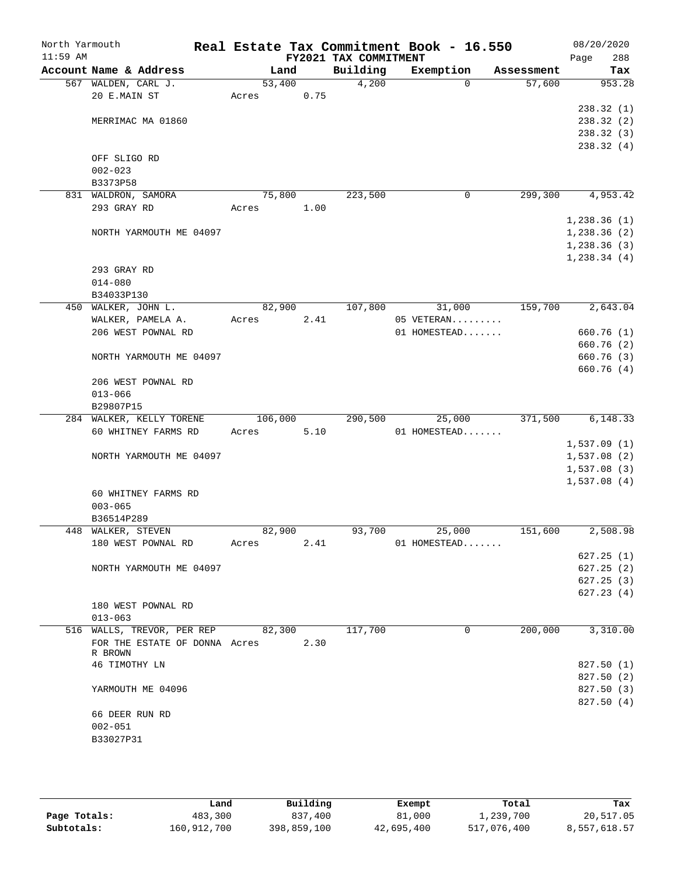| North Yarmouth |                                                  |                 |      |                       | Real Estate Tax Commitment Book - 16.550 |            | 08/20/2020   |
|----------------|--------------------------------------------------|-----------------|------|-----------------------|------------------------------------------|------------|--------------|
| $11:59$ AM     |                                                  |                 |      | FY2021 TAX COMMITMENT |                                          |            | 288<br>Page  |
|                | Account Name & Address                           | Land            |      | Building              | Exemption                                | Assessment | Tax          |
|                | 567 WALDEN, CARL J.<br>20 E.MAIN ST              | 53,400<br>Acres | 0.75 | 4,200                 | $\Omega$                                 | 57,600     | 953.28       |
|                |                                                  |                 |      |                       |                                          |            | 238.32(1)    |
|                | MERRIMAC MA 01860                                |                 |      |                       |                                          |            | 238.32(2)    |
|                |                                                  |                 |      |                       |                                          |            | 238.32(3)    |
|                |                                                  |                 |      |                       |                                          |            | 238.32(4)    |
|                | OFF SLIGO RD                                     |                 |      |                       |                                          |            |              |
|                | $002 - 023$                                      |                 |      |                       |                                          |            |              |
|                | B3373P58                                         |                 |      |                       |                                          |            |              |
|                | 831 WALDRON, SAMORA                              | 75,800          |      | 223,500               | 0                                        | 299,300    | 4,953.42     |
|                | 293 GRAY RD                                      | Acres           | 1.00 |                       |                                          |            |              |
|                |                                                  |                 |      |                       |                                          |            | 1,238.36(1)  |
|                | NORTH YARMOUTH ME 04097                          |                 |      |                       |                                          |            | 1,238.36(2)  |
|                |                                                  |                 |      |                       |                                          |            | 1,238.36(3)  |
|                |                                                  |                 |      |                       |                                          |            | 1, 238.34(4) |
|                | 293 GRAY RD                                      |                 |      |                       |                                          |            |              |
|                | $014 - 080$                                      |                 |      |                       |                                          |            |              |
|                | B34033P130                                       |                 |      |                       |                                          |            |              |
|                | 450 WALKER, JOHN L.                              | 82,900          |      | 107,800               | 31,000                                   | 159,700    | 2,643.04     |
|                | WALKER, PAMELA A.                                | Acres           | 2.41 |                       | 05 VETERAN                               |            |              |
|                | 206 WEST POWNAL RD                               |                 |      |                       | 01 HOMESTEAD                             |            | 660.76(1)    |
|                |                                                  |                 |      |                       |                                          |            | 660.76 (2)   |
|                | NORTH YARMOUTH ME 04097                          |                 |      |                       |                                          |            | 660.76(3)    |
|                | 206 WEST POWNAL RD                               |                 |      |                       |                                          |            | 660.76 (4)   |
|                | $013 - 066$                                      |                 |      |                       |                                          |            |              |
|                | B29807P15                                        |                 |      |                       |                                          |            |              |
|                | 284 WALKER, KELLY TORENE                         | 106,000         |      | 290,500               | 25,000                                   | 371,500    | 6,148.33     |
|                | 60 WHITNEY FARMS RD                              | Acres           | 5.10 |                       | 01 HOMESTEAD                             |            |              |
|                |                                                  |                 |      |                       |                                          |            | 1,537.09(1)  |
|                | NORTH YARMOUTH ME 04097                          |                 |      |                       |                                          |            | 1,537.08(2)  |
|                |                                                  |                 |      |                       |                                          |            | 1,537.08(3)  |
|                |                                                  |                 |      |                       |                                          |            | 1,537.08(4)  |
|                | 60 WHITNEY FARMS RD                              |                 |      |                       |                                          |            |              |
|                | $003 - 065$                                      |                 |      |                       |                                          |            |              |
|                | B36514P289                                       |                 |      |                       |                                          |            |              |
|                | 448 WALKER, STEVEN                               | 82,900          |      | 93,700                | 25,000                                   | 151,600    | 2,508.98     |
|                | 180 WEST POWNAL RD                               | Acres           | 2.41 |                       | 01 HOMESTEAD                             |            |              |
|                |                                                  |                 |      |                       |                                          |            | 627.25(1)    |
|                | NORTH YARMOUTH ME 04097                          |                 |      |                       |                                          |            | 627.25(2)    |
|                |                                                  |                 |      |                       |                                          |            | 627.25(3)    |
|                |                                                  |                 |      |                       |                                          |            | 627.23(4)    |
|                | 180 WEST POWNAL RD                               |                 |      |                       |                                          |            |              |
|                | $013 - 063$<br>516 WALLS, TREVOR, PER REP 82,300 |                 |      | 117,700               | 0                                        | 200,000    | 3,310.00     |
|                | FOR THE ESTATE OF DONNA Acres                    |                 | 2.30 |                       |                                          |            |              |
|                | R BROWN                                          |                 |      |                       |                                          |            |              |
|                | 46 TIMOTHY LN                                    |                 |      |                       |                                          |            | 827.50 (1)   |
|                |                                                  |                 |      |                       |                                          |            | 827.50 (2)   |
|                | YARMOUTH ME 04096                                |                 |      |                       |                                          |            | 827.50 (3)   |
|                |                                                  |                 |      |                       |                                          |            | 827.50(4)    |
|                | 66 DEER RUN RD                                   |                 |      |                       |                                          |            |              |
|                | $002 - 051$                                      |                 |      |                       |                                          |            |              |
|                | B33027P31                                        |                 |      |                       |                                          |            |              |
|                |                                                  |                 |      |                       |                                          |            |              |

|              | úand        | Building    | Exempt     | Total       | Tax          |
|--------------|-------------|-------------|------------|-------------|--------------|
| Page Totals: | 483,300     | 837,400     | 81,000     | 1,239,700   | 20,517.05    |
| Subtotals:   | 160,912,700 | 398,859,100 | 42,695,400 | 517,076,400 | 8,557,618.57 |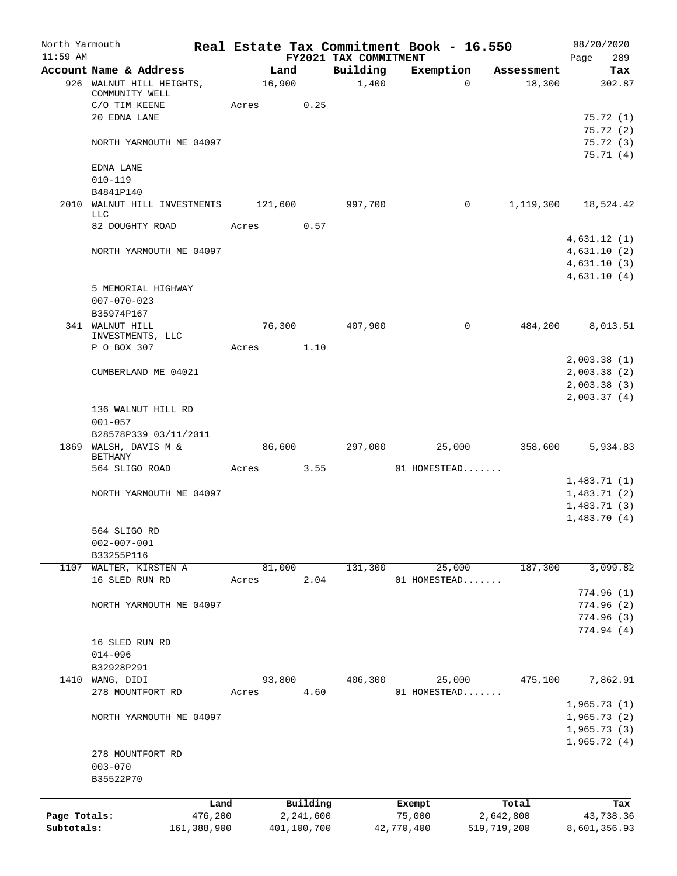| North Yarmouth |                                            |         |         |             |                                   | Real Estate Tax Commitment Book - 16.550 |             | 08/20/2020                 |
|----------------|--------------------------------------------|---------|---------|-------------|-----------------------------------|------------------------------------------|-------------|----------------------------|
| $11:59$ AM     | Account Name & Address                     |         | Land    |             | FY2021 TAX COMMITMENT<br>Building | Exemption                                | Assessment  | 289<br>Page<br>Tax         |
|                | 926 WALNUT HILL HEIGHTS,<br>COMMUNITY WELL |         | 16,900  |             | 1,400                             | $\Omega$                                 | 18,300      | 302.87                     |
|                | C/O TIM KEENE                              | Acres   |         | 0.25        |                                   |                                          |             |                            |
|                | 20 EDNA LANE                               |         |         |             |                                   |                                          |             | 75.72(1)                   |
|                |                                            |         |         |             |                                   |                                          |             | 75.72(2)                   |
|                | NORTH YARMOUTH ME 04097                    |         |         |             |                                   |                                          |             | 75.72(3)<br>75.71(4)       |
|                | EDNA LANE                                  |         |         |             |                                   |                                          |             |                            |
|                | $010 - 119$                                |         |         |             |                                   |                                          |             |                            |
|                | B4841P140                                  |         |         |             |                                   |                                          |             |                            |
|                | 2010 WALNUT HILL INVESTMENTS<br>LLC        |         | 121,600 |             | 997,700                           | 0                                        | 1,119,300   | 18,524.42                  |
|                | 82 DOUGHTY ROAD                            | Acres   |         | 0.57        |                                   |                                          |             |                            |
|                |                                            |         |         |             |                                   |                                          |             | 4,631.12(1)                |
|                | NORTH YARMOUTH ME 04097                    |         |         |             |                                   |                                          |             | 4,631.10(2)                |
|                |                                            |         |         |             |                                   |                                          |             | 4,631.10(3)<br>4,631.10(4) |
|                | 5 MEMORIAL HIGHWAY                         |         |         |             |                                   |                                          |             |                            |
|                | $007 - 070 - 023$                          |         |         |             |                                   |                                          |             |                            |
|                | B35974P167                                 |         |         |             |                                   |                                          |             |                            |
|                | 341 WALNUT HILL                            |         | 76,300  |             | 407,900                           | $\mathbf 0$                              | 484,200     | 8,013.51                   |
|                | INVESTMENTS, LLC<br>P O BOX 307            | Acres   |         | 1.10        |                                   |                                          |             |                            |
|                |                                            |         |         |             |                                   |                                          |             | 2,003.38(1)                |
|                | CUMBERLAND ME 04021                        |         |         |             |                                   |                                          |             | 2,003.38(2)                |
|                |                                            |         |         |             |                                   |                                          |             | 2,003.38(3)                |
|                |                                            |         |         |             |                                   |                                          |             | 2,003.37(4)                |
|                | 136 WALNUT HILL RD<br>$001 - 057$          |         |         |             |                                   |                                          |             |                            |
|                | B28578P339 03/11/2011                      |         |         |             |                                   |                                          |             |                            |
|                | 1869 WALSH, DAVIS M &                      |         | 86,600  |             | 297,000                           | 25,000                                   | 358,600     | 5,934.83                   |
|                | <b>BETHANY</b><br>564 SLIGO ROAD           | Acres   |         | 3.55        |                                   | 01 HOMESTEAD                             |             |                            |
|                |                                            |         |         |             |                                   |                                          |             | 1,483.71(1)                |
|                | NORTH YARMOUTH ME 04097                    |         |         |             |                                   |                                          |             | 1,483.71(2)                |
|                |                                            |         |         |             |                                   |                                          |             | 1,483.71(3)                |
|                |                                            |         |         |             |                                   |                                          |             | 1,483.70(4)                |
|                | 564 SLIGO RD<br>$002 - 007 - 001$          |         |         |             |                                   |                                          |             |                            |
|                | B33255P116                                 |         |         |             |                                   |                                          |             |                            |
| 1107           | WALTER, KIRSTEN A                          |         | 81,000  |             | 131,300                           | 25,000                                   | 187,300     | 3,099.82                   |
|                | 16 SLED RUN RD                             | Acres   |         | 2.04        |                                   | 01 HOMESTEAD                             |             |                            |
|                |                                            |         |         |             |                                   |                                          |             | 774.96(1)                  |
|                | NORTH YARMOUTH ME 04097                    |         |         |             |                                   |                                          |             | 774.96(2)                  |
|                |                                            |         |         |             |                                   |                                          |             | 774.96(3)<br>774.94(4)     |
|                | 16 SLED RUN RD                             |         |         |             |                                   |                                          |             |                            |
|                | $014 - 096$                                |         |         |             |                                   |                                          |             |                            |
|                | B32928P291                                 |         |         |             |                                   |                                          |             |                            |
| 1410           | WANG, DIDI                                 |         | 93,800  |             | 406,300                           | 25,000                                   | 475,100     | 7,862.91                   |
|                | 278 MOUNTFORT RD                           | Acres   |         | 4.60        |                                   | 01 HOMESTEAD                             |             |                            |
|                | NORTH YARMOUTH ME 04097                    |         |         |             |                                   |                                          |             | 1,965.73(1)<br>1,965.73(2) |
|                |                                            |         |         |             |                                   |                                          |             | 1,965.73(3)                |
|                |                                            |         |         |             |                                   |                                          |             | 1,965.72(4)                |
|                | 278 MOUNTFORT RD                           |         |         |             |                                   |                                          |             |                            |
|                | $003 - 070$                                |         |         |             |                                   |                                          |             |                            |
|                | B35522P70                                  |         |         |             |                                   |                                          |             |                            |
|                |                                            | Land    |         | Building    |                                   | Exempt                                   | Total       | Tax                        |
| Page Totals:   |                                            | 476,200 |         | 2,241,600   |                                   | 75,000                                   | 2,642,800   | 43,738.36                  |
| Subtotals:     | 161,388,900                                |         |         | 401,100,700 |                                   | 42,770,400                               | 519,719,200 | 8,601,356.93               |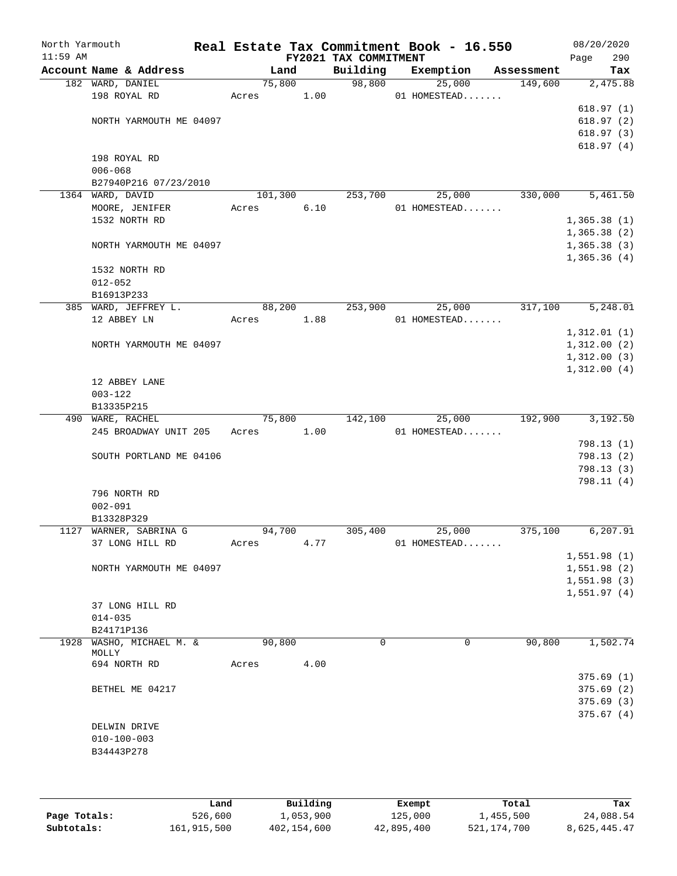| North Yarmouth<br>$11:59$ AM |                         |            |      | FY2021 TAX COMMITMENT | Real Estate Tax Commitment Book - 16.550 |            | 08/20/2020<br>Page      | 290 |
|------------------------------|-------------------------|------------|------|-----------------------|------------------------------------------|------------|-------------------------|-----|
|                              | Account Name & Address  | Land       |      | Building              | Exemption                                | Assessment |                         | Tax |
|                              | 182 WARD, DANIEL        | 75,800     |      | 98,800                | 25,000                                   | 149,600    | 2,475.88                |     |
|                              | 198 ROYAL RD            | Acres 1.00 |      |                       | 01 HOMESTEAD                             |            |                         |     |
|                              |                         |            |      |                       |                                          |            | 618.97(1)               |     |
|                              | NORTH YARMOUTH ME 04097 |            |      |                       |                                          |            | 618.97(2)               |     |
|                              |                         |            |      |                       |                                          |            | 618.97(3)               |     |
|                              |                         |            |      |                       |                                          |            | 618.97(4)               |     |
|                              | 198 ROYAL RD            |            |      |                       |                                          |            |                         |     |
|                              | $006 - 068$             |            |      |                       |                                          |            |                         |     |
|                              | B27940P216 07/23/2010   |            |      |                       |                                          |            |                         |     |
|                              | 1364 WARD, DAVID        | 101,300    |      | 253,700               | 25,000                                   | 330,000    | 5,461.50                |     |
|                              | MOORE, JENIFER          | Acres      | 6.10 |                       | 01 HOMESTEAD                             |            |                         |     |
|                              | 1532 NORTH RD           |            |      |                       |                                          |            | 1,365.38(1)             |     |
|                              |                         |            |      |                       |                                          |            | 1,365.38(2)             |     |
|                              | NORTH YARMOUTH ME 04097 |            |      |                       |                                          |            | 1,365.38(3)             |     |
|                              |                         |            |      |                       |                                          |            | 1,365.36(4)             |     |
|                              | 1532 NORTH RD           |            |      |                       |                                          |            |                         |     |
|                              | $012 - 052$             |            |      |                       |                                          |            |                         |     |
|                              | B16913P233              |            |      |                       |                                          |            |                         |     |
|                              | 385 WARD, JEFFREY L.    | 88,200     |      | 253,900               | 25,000                                   | 317,100    | 5,248.01                |     |
|                              | 12 ABBEY LN             | Acres      | 1.88 |                       | 01 HOMESTEAD                             |            |                         |     |
|                              |                         |            |      |                       |                                          |            | 1,312.01(1)             |     |
|                              | NORTH YARMOUTH ME 04097 |            |      |                       |                                          |            | 1,312.00(2)             |     |
|                              |                         |            |      |                       |                                          |            | 1,312.00(3)             |     |
|                              |                         |            |      |                       |                                          |            | 1,312.00(4)             |     |
|                              | 12 ABBEY LANE           |            |      |                       |                                          |            |                         |     |
|                              | $003 - 122$             |            |      |                       |                                          |            |                         |     |
|                              | B13335P215              |            |      |                       |                                          |            |                         |     |
|                              | 490 WARE, RACHEL        | 75,800     |      | 142,100               | 25,000                                   | 192,900    | 3,192.50                |     |
|                              | 245 BROADWAY UNIT 205   | Acres      | 1.00 |                       | 01 HOMESTEAD                             |            |                         |     |
|                              |                         |            |      |                       |                                          |            | 798.13(1)<br>798.13 (2) |     |
|                              | SOUTH PORTLAND ME 04106 |            |      |                       |                                          |            |                         |     |
|                              |                         |            |      |                       |                                          |            | 798.13(3)<br>798.11 (4) |     |
|                              | 796 NORTH RD            |            |      |                       |                                          |            |                         |     |
|                              | $002 - 091$             |            |      |                       |                                          |            |                         |     |
|                              | B13328P329              |            |      |                       |                                          |            |                         |     |
|                              | 1127 WARNER, SABRINA G  | 94,700     |      | 305,400               | 25,000                                   | 375,100    | 6, 207.91               |     |
|                              | 37 LONG HILL RD         | Acres      | 4.77 |                       | 01 HOMESTEAD                             |            |                         |     |
|                              |                         |            |      |                       |                                          |            | 1,551.98(1)             |     |
|                              | NORTH YARMOUTH ME 04097 |            |      |                       |                                          |            | 1,551.98(2)             |     |
|                              |                         |            |      |                       |                                          |            | 1,551.98(3)             |     |
|                              |                         |            |      |                       |                                          |            | 1,551.97(4)             |     |
|                              | 37 LONG HILL RD         |            |      |                       |                                          |            |                         |     |
|                              | $014 - 035$             |            |      |                       |                                          |            |                         |     |
|                              | B24171P136              |            |      |                       |                                          |            |                         |     |
| 1928                         | WASHO, MICHAEL M. &     | 90,800     |      | $\mathbf 0$           | $\mathbf 0$                              | 90,800     | 1,502.74                |     |
|                              | MOLLY<br>694 NORTH RD   |            |      |                       |                                          |            |                         |     |
|                              |                         | Acres      | 4.00 |                       |                                          |            |                         |     |
|                              |                         |            |      |                       |                                          |            | 375.69(1)               |     |
|                              | BETHEL ME 04217         |            |      |                       |                                          |            | 375.69(2)               |     |
|                              |                         |            |      |                       |                                          |            | 375.69(3)               |     |
|                              |                         |            |      |                       |                                          |            | 375.67(4)               |     |
|                              | DELWIN DRIVE            |            |      |                       |                                          |            |                         |     |
|                              | $010 - 100 - 003$       |            |      |                       |                                          |            |                         |     |
|                              | B34443P278              |            |      |                       |                                          |            |                         |     |
|                              |                         |            |      |                       |                                          |            |                         |     |
|                              |                         |            |      |                       |                                          |            |                         |     |
|                              |                         |            |      |                       |                                          |            |                         |     |

|              | Land        | Building    | Exempt     | Total       | Tax          |
|--------------|-------------|-------------|------------|-------------|--------------|
| Page Totals: | 526,600     | 1,053,900   | 125,000    | 1,455,500   | 24,088.54    |
| Subtotals:   | 161,915,500 | 402,154,600 | 42,895,400 | 521,174,700 | 8,625,445.47 |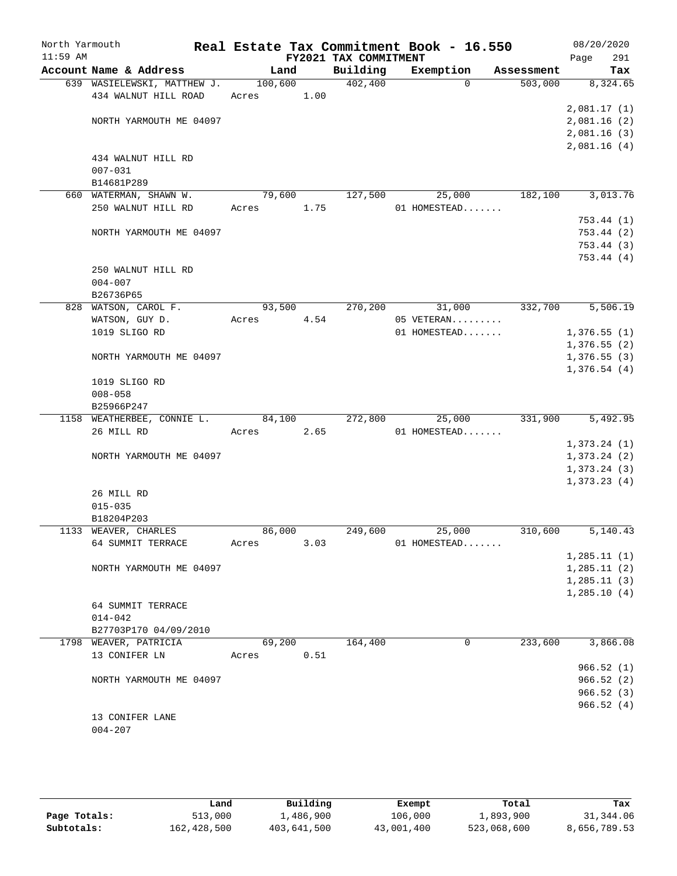| North Yarmouth |                                                     |                  |      |                       | Real Estate Tax Commitment Book - 16.550 |            | 08/20/2020   |
|----------------|-----------------------------------------------------|------------------|------|-----------------------|------------------------------------------|------------|--------------|
| $11:59$ AM     |                                                     |                  |      | FY2021 TAX COMMITMENT |                                          |            | 291<br>Page  |
|                | Account Name & Address                              | Land             |      | Building              | Exemption<br>$\Omega$                    | Assessment | Tax          |
|                | 639 WASIELEWSKI, MATTHEW J.<br>434 WALNUT HILL ROAD | 100,600<br>Acres | 1.00 | 402,400               |                                          | 503,000    | 8,324.65     |
|                |                                                     |                  |      |                       |                                          |            | 2,081.17(1)  |
|                | NORTH YARMOUTH ME 04097                             |                  |      |                       |                                          |            | 2,081.16(2)  |
|                |                                                     |                  |      |                       |                                          |            | 2,081.16(3)  |
|                |                                                     |                  |      |                       |                                          |            | 2,081.16(4)  |
|                | 434 WALNUT HILL RD                                  |                  |      |                       |                                          |            |              |
|                | $007 - 031$                                         |                  |      |                       |                                          |            |              |
|                | B14681P289                                          |                  |      |                       |                                          |            |              |
|                | 660 WATERMAN, SHAWN W.                              | 79,600           |      | 127,500               | 25,000                                   | 182,100    | 3,013.76     |
|                | 250 WALNUT HILL RD                                  | Acres            | 1.75 |                       | 01 HOMESTEAD                             |            |              |
|                |                                                     |                  |      |                       |                                          |            | 753.44 (1)   |
|                | NORTH YARMOUTH ME 04097                             |                  |      |                       |                                          |            | 753.44 (2)   |
|                |                                                     |                  |      |                       |                                          |            | 753.44 (3)   |
|                |                                                     |                  |      |                       |                                          |            | 753.44(4)    |
|                | 250 WALNUT HILL RD                                  |                  |      |                       |                                          |            |              |
|                | $004 - 007$                                         |                  |      |                       |                                          |            |              |
|                | B26736P65                                           |                  |      |                       |                                          |            |              |
|                | 828 WATSON, CAROL F.                                | 93,500           |      | 270,200               | 31,000                                   | 332,700    | 5,506.19     |
|                | WATSON, GUY D.                                      | Acres            | 4.54 |                       | 05 VETERAN                               |            |              |
|                | 1019 SLIGO RD                                       |                  |      |                       | 01 HOMESTEAD                             |            | 1,376.55(1)  |
|                |                                                     |                  |      |                       |                                          |            | 1,376.55(2)  |
|                | NORTH YARMOUTH ME 04097                             |                  |      |                       |                                          |            | 1,376.55(3)  |
|                |                                                     |                  |      |                       |                                          |            | 1,376.54(4)  |
|                | 1019 SLIGO RD                                       |                  |      |                       |                                          |            |              |
|                | $008 - 058$<br>B25966P247                           |                  |      |                       |                                          |            |              |
|                | 1158 WEATHERBEE, CONNIE L.                          | 84,100           |      | 272,800               | 25,000                                   | 331,900    | 5,492.95     |
|                | 26 MILL RD                                          | Acres            | 2.65 |                       | 01 HOMESTEAD                             |            |              |
|                |                                                     |                  |      |                       |                                          |            | 1,373.24(1)  |
|                | NORTH YARMOUTH ME 04097                             |                  |      |                       |                                          |            | 1,373.24(2)  |
|                |                                                     |                  |      |                       |                                          |            | 1,373.24(3)  |
|                |                                                     |                  |      |                       |                                          |            | 1,373.23(4)  |
|                | 26 MILL RD                                          |                  |      |                       |                                          |            |              |
|                | $015 - 035$                                         |                  |      |                       |                                          |            |              |
|                | B18204P203                                          |                  |      |                       |                                          |            |              |
|                | 1133 WEAVER, CHARLES                                | 86,000           |      | 249,600               | 25,000                                   | 310,600    | 5,140.43     |
|                | 64 SUMMIT TERRACE                                   | Acres            | 3.03 |                       | 01 HOMESTEAD                             |            |              |
|                |                                                     |                  |      |                       |                                          |            | 1, 285.11(1) |
|                | NORTH YARMOUTH ME 04097                             |                  |      |                       |                                          |            | 1, 285.11(2) |
|                |                                                     |                  |      |                       |                                          |            | 1, 285.11(3) |
|                |                                                     |                  |      |                       |                                          |            | 1,285.10(4)  |
|                | 64 SUMMIT TERRACE                                   |                  |      |                       |                                          |            |              |
|                | $014 - 042$                                         |                  |      |                       |                                          |            |              |
|                | B27703P170 04/09/2010                               |                  |      |                       |                                          |            |              |
|                | 1798 WEAVER, PATRICIA                               | 69,200           |      | 164,400               | 0                                        | 233,600    | 3,866.08     |
|                | 13 CONIFER LN                                       | Acres            | 0.51 |                       |                                          |            |              |
|                |                                                     |                  |      |                       |                                          |            | 966.52(1)    |
|                | NORTH YARMOUTH ME 04097                             |                  |      |                       |                                          |            | 966.52(2)    |
|                |                                                     |                  |      |                       |                                          |            | 966.52(3)    |
|                |                                                     |                  |      |                       |                                          |            | 966.52(4)    |
|                | 13 CONIFER LANE<br>$004 - 207$                      |                  |      |                       |                                          |            |              |
|                |                                                     |                  |      |                       |                                          |            |              |

|              | Land        | Building    | Exempt     | Total       | Tax          |
|--------------|-------------|-------------|------------|-------------|--------------|
| Page Totals: | 513,000     | 1,486,900   | 106,000    | 1,893,900   | 31,344.06    |
| Subtotals:   | 162,428,500 | 403,641,500 | 43,001,400 | 523,068,600 | 8,656,789.53 |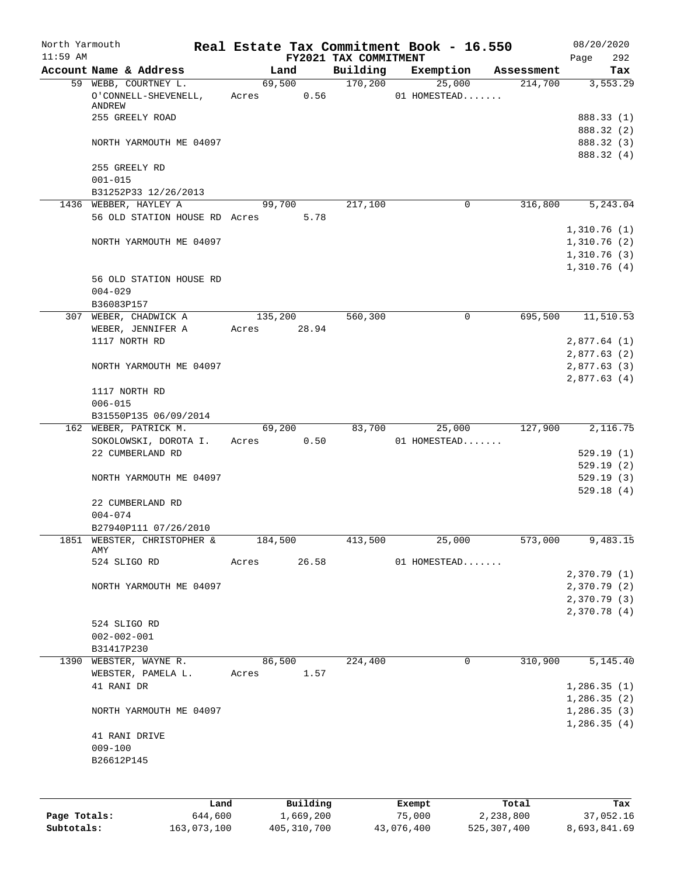| North Yarmouth<br>$11:59$ AM |                                                        | Real Estate Tax Commitment Book - 16.550 | FY2021 TAX COMMITMENT |                  |                    | 08/20/2020<br>292<br>Page   |
|------------------------------|--------------------------------------------------------|------------------------------------------|-----------------------|------------------|--------------------|-----------------------------|
|                              | Account Name & Address                                 | Land                                     | Building              | Exemption        | Assessment         | Tax                         |
|                              | 59 WEBB, COURTNEY L.                                   | 69,500                                   | 170,200               | 25,000           | 214,700            | 3,553.29                    |
|                              | O'CONNELL-SHEVENELL,<br>ANDREW                         | 0.56<br>Acres                            |                       | 01 HOMESTEAD     |                    |                             |
|                              | 255 GREELY ROAD                                        |                                          |                       |                  |                    | 888.33 (1)                  |
|                              |                                                        |                                          |                       |                  |                    | 888.32 (2)                  |
|                              | NORTH YARMOUTH ME 04097                                |                                          |                       |                  |                    | 888.32 (3)                  |
|                              | 255 GREELY RD                                          |                                          |                       |                  |                    | 888.32 (4)                  |
|                              | $001 - 015$                                            |                                          |                       |                  |                    |                             |
|                              | B31252P33 12/26/2013                                   |                                          |                       |                  |                    |                             |
|                              | 1436 WEBBER, HAYLEY A<br>56 OLD STATION HOUSE RD Acres | 99,700<br>5.78                           | 217,100               | $\mathbf 0$      | 316,800            | 5,243.04                    |
|                              |                                                        |                                          |                       |                  |                    | 1,310.76(1)                 |
|                              | NORTH YARMOUTH ME 04097                                |                                          |                       |                  |                    | 1,310.76(2)                 |
|                              |                                                        |                                          |                       |                  |                    | 1,310.76(3)                 |
|                              |                                                        |                                          |                       |                  |                    | 1,310.76(4)                 |
|                              | 56 OLD STATION HOUSE RD                                |                                          |                       |                  |                    |                             |
|                              | $004 - 029$<br>B36083P157                              |                                          |                       |                  |                    |                             |
| 307                          | WEBER, CHADWICK A                                      | 135,200                                  | 560,300               | 0                | 695,500            | 11,510.53                   |
|                              | WEBER, JENNIFER A                                      | Acres<br>28.94                           |                       |                  |                    |                             |
|                              | 1117 NORTH RD                                          |                                          |                       |                  |                    | 2,877.64(1)                 |
|                              |                                                        |                                          |                       |                  |                    | 2,877.63(2)                 |
|                              | NORTH YARMOUTH ME 04097                                |                                          |                       |                  |                    | 2,877.63 (3)<br>2,877.63(4) |
|                              | 1117 NORTH RD                                          |                                          |                       |                  |                    |                             |
|                              | $006 - 015$                                            |                                          |                       |                  |                    |                             |
|                              | B31550P135 06/09/2014                                  |                                          |                       |                  |                    |                             |
|                              | 162 WEBER, PATRICK M.                                  | 69,200                                   | 83,700                | 25,000           | 127,900            | 2,116.75                    |
|                              | SOKOLOWSKI, DOROTA I.<br>22 CUMBERLAND RD              | 0.50<br>Acres                            |                       | 01 HOMESTEAD     |                    | 529.19(1)                   |
|                              |                                                        |                                          |                       |                  |                    | 529.19 (2)                  |
|                              | NORTH YARMOUTH ME 04097                                |                                          |                       |                  |                    | 529.19(3)                   |
|                              |                                                        |                                          |                       |                  |                    | 529.18(4)                   |
|                              | 22 CUMBERLAND RD                                       |                                          |                       |                  |                    |                             |
|                              | $004 - 074$                                            |                                          |                       |                  |                    |                             |
|                              | B27940P111 07/26/2010                                  |                                          |                       |                  |                    |                             |
| 1851                         | WEBSTER, CHRISTOPHER &<br>AMY                          | 184,500                                  | 413,500               | 25,000           | 573,000            | 9,483.15                    |
|                              | 524 SLIGO RD                                           | Acres<br>26.58                           |                       | 01 HOMESTEAD     |                    |                             |
|                              |                                                        |                                          |                       |                  |                    | 2,370.79(1)                 |
|                              | NORTH YARMOUTH ME 04097                                |                                          |                       |                  |                    | 2,370.79(2)                 |
|                              |                                                        |                                          |                       |                  |                    | 2,370.79 (3)                |
|                              | 524 SLIGO RD                                           |                                          |                       |                  |                    | 2,370.78(4)                 |
|                              | $002 - 002 - 001$                                      |                                          |                       |                  |                    |                             |
|                              | B31417P230                                             |                                          |                       |                  |                    |                             |
| 1390                         | WEBSTER, WAYNE R.                                      | 86,500                                   | 224,400               | 0                | 310,900            | 5,145.40                    |
|                              | WEBSTER, PAMELA L.                                     | 1.57<br>Acres                            |                       |                  |                    |                             |
|                              | 41 RANI DR                                             |                                          |                       |                  |                    | 1,286.35(1)                 |
|                              |                                                        |                                          |                       |                  |                    | 1,286.35(2)                 |
|                              | NORTH YARMOUTH ME 04097                                |                                          |                       |                  |                    | 1,286.35(3)<br>1,286.35(4)  |
|                              | 41 RANI DRIVE                                          |                                          |                       |                  |                    |                             |
|                              | $009 - 100$                                            |                                          |                       |                  |                    |                             |
|                              | B26612P145                                             |                                          |                       |                  |                    |                             |
|                              |                                                        |                                          |                       |                  |                    |                             |
|                              |                                                        |                                          |                       |                  |                    |                             |
| Page Totals:                 | Land<br>644,600                                        | Building<br>1,669,200                    |                       | Exempt<br>75,000 | Total<br>2,238,800 | Tax<br>37,052.16            |
|                              |                                                        |                                          |                       |                  |                    |                             |

**Subtotals:** 163,073,100 405,310,700 43,076,400 525,307,400 8,693,841.69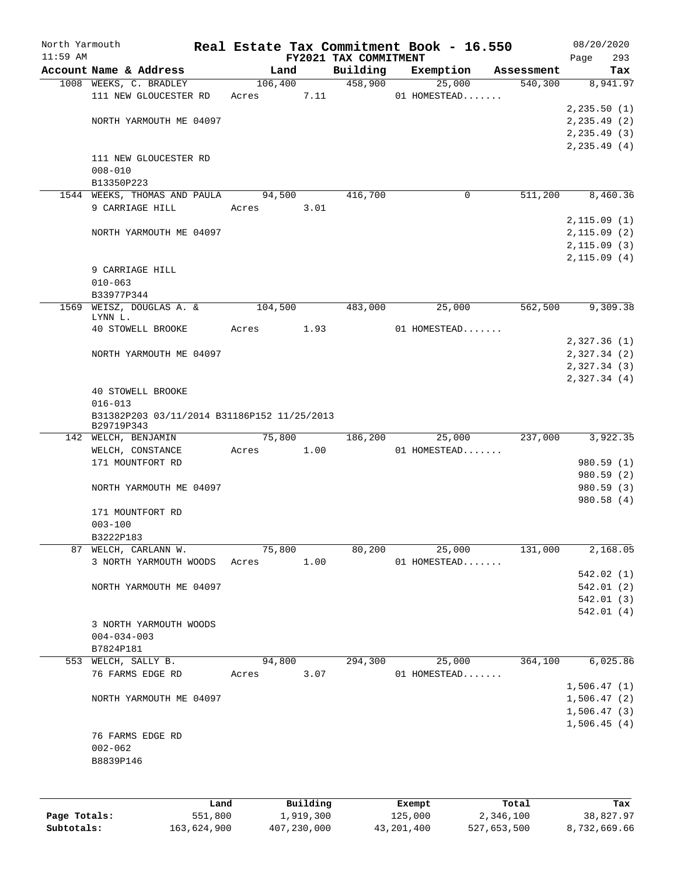| North Yarmouth<br>$11:59$ AM |                                                           |         |           | FY2021 TAX COMMITMENT | Real Estate Tax Commitment Book - 16.550 |            | 08/20/2020         |
|------------------------------|-----------------------------------------------------------|---------|-----------|-----------------------|------------------------------------------|------------|--------------------|
|                              | Account Name & Address                                    | Land    |           | Building              | Exemption                                | Assessment | 293<br>Page<br>Tax |
|                              | 1008 WEEKS, C. BRADLEY                                    | 106,400 |           | 458,900               | 25,000                                   | 540,300    | 8,941.97           |
|                              | 111 NEW GLOUCESTER RD                                     | Acres   | 7.11      |                       | 01 HOMESTEAD                             |            |                    |
|                              |                                                           |         |           |                       |                                          |            | 2, 235.50(1)       |
|                              | NORTH YARMOUTH ME 04097                                   |         |           |                       |                                          |            | 2, 235.49(2)       |
|                              |                                                           |         |           |                       |                                          |            | 2, 235.49(3)       |
|                              |                                                           |         |           |                       |                                          |            | 2, 235.49(4)       |
|                              | 111 NEW GLOUCESTER RD                                     |         |           |                       |                                          |            |                    |
|                              | $008 - 010$                                               |         |           |                       |                                          |            |                    |
|                              | B13350P223                                                |         |           |                       |                                          |            |                    |
|                              | 1544 WEEKS, THOMAS AND PAULA                              | 94,500  |           | 416,700               | 0                                        | 511,200    | 8,460.36           |
|                              | 9 CARRIAGE HILL                                           | Acres   | 3.01      |                       |                                          |            |                    |
|                              |                                                           |         |           |                       |                                          |            | 2,115.09(1)        |
|                              | NORTH YARMOUTH ME 04097                                   |         |           |                       |                                          |            | 2,115.09(2)        |
|                              |                                                           |         |           |                       |                                          |            | 2, 115.09(3)       |
|                              |                                                           |         |           |                       |                                          |            | 2, 115.09(4)       |
|                              | 9 CARRIAGE HILL                                           |         |           |                       |                                          |            |                    |
|                              | $010 - 063$                                               |         |           |                       |                                          |            |                    |
|                              | B33977P344                                                |         |           |                       |                                          |            |                    |
|                              | 1569 WEISZ, DOUGLAS A. &                                  | 104,500 |           | 483,000               | 25,000                                   | 562,500    | 9,309.38           |
|                              | LYNN L.                                                   |         |           |                       |                                          |            |                    |
|                              | 40 STOWELL BROOKE                                         | Acres   | 1.93      |                       | 01 HOMESTEAD                             |            |                    |
|                              |                                                           |         |           |                       |                                          |            | 2,327.36(1)        |
|                              | NORTH YARMOUTH ME 04097                                   |         |           |                       |                                          |            | 2,327.34 (2)       |
|                              |                                                           |         |           |                       |                                          |            | 2,327.34 (3)       |
|                              |                                                           |         |           |                       |                                          |            | 2,327.34(4)        |
|                              | <b>40 STOWELL BROOKE</b>                                  |         |           |                       |                                          |            |                    |
|                              | $016 - 013$                                               |         |           |                       |                                          |            |                    |
|                              | B31382P203 03/11/2014 B31186P152 11/25/2013<br>B29719P343 |         |           |                       |                                          |            |                    |
|                              | 142 WELCH, BENJAMIN                                       | 75,800  |           | 186,200               | 25,000                                   | 237,000    | 3,922.35           |
|                              | WELCH, CONSTANCE                                          | Acres   | 1.00      |                       | 01 HOMESTEAD                             |            |                    |
|                              | 171 MOUNTFORT RD                                          |         |           |                       |                                          |            | 980.59 (1)         |
|                              |                                                           |         |           |                       |                                          |            | 980.59(2)          |
|                              | NORTH YARMOUTH ME 04097                                   |         |           |                       |                                          |            | 980.59(3)          |
|                              |                                                           |         |           |                       |                                          |            | 980.58 (4)         |
|                              | 171 MOUNTFORT RD                                          |         |           |                       |                                          |            |                    |
|                              | $003 - 100$                                               |         |           |                       |                                          |            |                    |
|                              | B3222P183                                                 |         |           |                       |                                          |            |                    |
| 87                           | WELCH, CARLANN W.                                         | 75,800  |           | 80,200                | 25,000                                   | 131,000    | 2,168.05           |
|                              | 3 NORTH YARMOUTH WOODS                                    | Acres   | 1.00      |                       | 01 HOMESTEAD                             |            |                    |
|                              |                                                           |         |           |                       |                                          |            | 542.02(1)          |
|                              | NORTH YARMOUTH ME 04097                                   |         |           |                       |                                          |            | 542.01(2)          |
|                              |                                                           |         |           |                       |                                          |            | 542.01(3)          |
|                              |                                                           |         |           |                       |                                          |            | 542.01(4)          |
|                              | 3 NORTH YARMOUTH WOODS                                    |         |           |                       |                                          |            |                    |
|                              | $004 - 034 - 003$                                         |         |           |                       |                                          |            |                    |
|                              | B7824P181                                                 |         |           |                       |                                          |            |                    |
|                              | 553 WELCH, SALLY B.                                       | 94,800  |           | 294,300               | 25,000                                   | 364,100    | 6,025.86           |
|                              | 76 FARMS EDGE RD                                          | Acres   | 3.07      |                       | 01 HOMESTEAD                             |            |                    |
|                              |                                                           |         |           |                       |                                          |            | 1,506.47(1)        |
|                              | NORTH YARMOUTH ME 04097                                   |         |           |                       |                                          |            | 1,506.47(2)        |
|                              |                                                           |         |           |                       |                                          |            | 1,506.47(3)        |
|                              | 76 FARMS EDGE RD                                          |         |           |                       |                                          |            | 1,506.45(4)        |
|                              | $002 - 062$                                               |         |           |                       |                                          |            |                    |
|                              |                                                           |         |           |                       |                                          |            |                    |
|                              | B8839P146                                                 |         |           |                       |                                          |            |                    |
|                              |                                                           |         |           |                       |                                          |            |                    |
|                              | Land                                                      |         | Building  |                       | Exempt                                   | Total      | Tax                |
| Page Totals:                 | 551,800                                                   |         | 1,919,300 |                       | 125,000                                  | 2,346,100  | 38,827.97          |
|                              |                                                           |         |           |                       |                                          |            |                    |

**Subtotals:** 163,624,900 407,230,000 43,201,400 527,653,500 8,732,669.66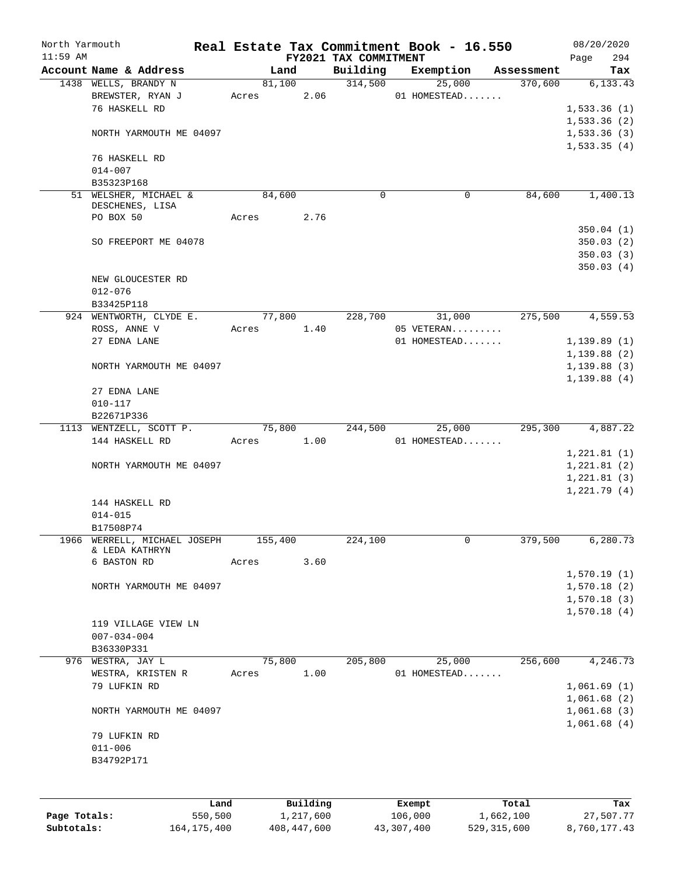| North Yarmouth<br>$11:59$ AM |                         |       |             |                       |                       | Real Estate Tax Commitment Book - 16.550 |                    | 08/20/2020       |
|------------------------------|-------------------------|-------|-------------|-----------------------|-----------------------|------------------------------------------|--------------------|------------------|
|                              |                         |       |             |                       | FY2021 TAX COMMITMENT |                                          |                    | 294<br>Page      |
|                              | Account Name & Address  |       | Land        |                       | Building              | Exemption                                | Assessment         | Tax              |
|                              | 1438 WELLS, BRANDY N    |       | 81,100      |                       | 314,500               | 25,000                                   | 370,600            | 6,133.43         |
|                              | BREWSTER, RYAN J        | Acres |             | 2.06                  |                       | 01 HOMESTEAD                             |                    |                  |
|                              | 76 HASKELL RD           |       |             |                       |                       |                                          |                    | 1,533.36(1)      |
|                              |                         |       |             |                       |                       |                                          |                    | 1,533.36(2)      |
|                              | NORTH YARMOUTH ME 04097 |       |             |                       |                       |                                          |                    | 1,533.36(3)      |
|                              |                         |       |             |                       |                       |                                          |                    | 1,533.35(4)      |
|                              | 76 HASKELL RD           |       |             |                       |                       |                                          |                    |                  |
|                              | $014 - 007$             |       |             |                       |                       |                                          |                    |                  |
|                              | B35323P168              |       |             |                       |                       |                                          |                    |                  |
|                              | 51 WELSHER, MICHAEL &   |       | 84,600      |                       | 0                     | 0                                        | 84,600             | 1,400.13         |
|                              | DESCHENES, LISA         |       |             |                       |                       |                                          |                    |                  |
|                              | PO BOX 50               | Acres |             | 2.76                  |                       |                                          |                    |                  |
|                              |                         |       |             |                       |                       |                                          |                    | 350.04(1)        |
|                              | SO FREEPORT ME 04078    |       |             |                       |                       |                                          |                    | 350.03(2)        |
|                              |                         |       |             |                       |                       |                                          |                    | 350.03(3)        |
|                              |                         |       |             |                       |                       |                                          |                    | 350.03(4)        |
|                              | NEW GLOUCESTER RD       |       |             |                       |                       |                                          |                    |                  |
|                              | $012 - 076$             |       |             |                       |                       |                                          |                    |                  |
|                              | B33425P118              |       |             |                       |                       |                                          |                    |                  |
|                              | 924 WENTWORTH, CLYDE E. |       | 77,800      |                       | 228,700               | 31,000                                   | 275,500            | 4,559.53         |
|                              |                         |       |             |                       |                       |                                          |                    |                  |
|                              | ROSS, ANNE V            | Acres |             | 1.40                  |                       | 05 VETERAN                               |                    |                  |
|                              | 27 EDNA LANE            |       |             |                       |                       | 01 HOMESTEAD                             |                    | 1, 139.89(1)     |
|                              |                         |       |             |                       |                       |                                          |                    | 1,139.88(2)      |
|                              | NORTH YARMOUTH ME 04097 |       |             |                       |                       |                                          |                    | 1,139.88(3)      |
|                              |                         |       |             |                       |                       |                                          |                    | 1,139.88(4)      |
|                              | 27 EDNA LANE            |       |             |                       |                       |                                          |                    |                  |
|                              | $010 - 117$             |       |             |                       |                       |                                          |                    |                  |
|                              | B22671P336              |       |             |                       |                       |                                          |                    |                  |
|                              | 1113 WENTZELL, SCOTT P. |       | 75,800      |                       | 244,500               | 25,000                                   | 295,300            | 4,887.22         |
|                              | 144 HASKELL RD          | Acres |             | 1.00                  |                       | 01 HOMESTEAD                             |                    |                  |
|                              |                         |       |             |                       |                       |                                          |                    | 1,221.81(1)      |
|                              | NORTH YARMOUTH ME 04097 |       |             |                       |                       |                                          |                    | 1,221.81(2)      |
|                              |                         |       |             |                       |                       |                                          |                    | 1,221.81(3)      |
|                              |                         |       |             |                       |                       |                                          |                    | 1,221.79(4)      |
|                              | 144 HASKELL RD          |       |             |                       |                       |                                          |                    |                  |
|                              | $014 - 015$             |       |             |                       |                       |                                          |                    |                  |
|                              | B17508P74               |       |             |                       |                       |                                          |                    |                  |
| 1966                         | WERRELL, MICHAEL JOSEPH |       | 155,400     |                       | 224,100               | 0                                        | 379,500            | 6,280.73         |
|                              | & LEDA KATHRYN          |       |             |                       |                       |                                          |                    |                  |
|                              | 6 BASTON RD             | Acres |             | 3.60                  |                       |                                          |                    |                  |
|                              |                         |       |             |                       |                       |                                          |                    | 1,570.19(1)      |
|                              | NORTH YARMOUTH ME 04097 |       |             |                       |                       |                                          |                    | 1,570.18(2)      |
|                              |                         |       |             |                       |                       |                                          |                    | 1,570.18(3)      |
|                              |                         |       |             |                       |                       |                                          |                    | 1,570.18(4)      |
|                              |                         |       |             |                       |                       |                                          |                    |                  |
|                              | 119 VILLAGE VIEW LN     |       |             |                       |                       |                                          |                    |                  |
|                              | $007 - 034 - 004$       |       |             |                       |                       |                                          |                    |                  |
|                              | B36330P331              |       |             |                       |                       |                                          |                    |                  |
| 976                          | WESTRA, JAY L           |       | 75,800      |                       | 205,800               | 25,000                                   | 256,600            | 4,246.73         |
|                              | WESTRA, KRISTEN R       | Acres |             | 1.00                  |                       | 01 HOMESTEAD                             |                    |                  |
|                              | 79 LUFKIN RD            |       |             |                       |                       |                                          |                    | 1,061.69(1)      |
|                              |                         |       |             |                       |                       |                                          |                    | 1,061.68(2)      |
|                              | NORTH YARMOUTH ME 04097 |       |             |                       |                       |                                          |                    | 1,061.68(3)      |
|                              |                         |       |             |                       |                       |                                          |                    | 1,061.68(4)      |
|                              | 79 LUFKIN RD            |       |             |                       |                       |                                          |                    |                  |
|                              | $011 - 006$             |       |             |                       |                       |                                          |                    |                  |
|                              | B34792P171              |       |             |                       |                       |                                          |                    |                  |
|                              |                         |       |             |                       |                       |                                          |                    |                  |
|                              |                         |       |             |                       |                       |                                          |                    |                  |
|                              |                         |       |             |                       |                       |                                          |                    |                  |
| Page Totals:                 | Land<br>550,500         |       |             | Building<br>1,217,600 |                       | Exempt<br>106,000                        | Total<br>1,662,100 | Tax<br>27,507.77 |
| Subtotals:                   |                         |       |             |                       |                       |                                          |                    |                  |
|                              | 164, 175, 400           |       | 408,447,600 |                       |                       | 43,307,400                               | 529,315,600        | 8,760,177.43     |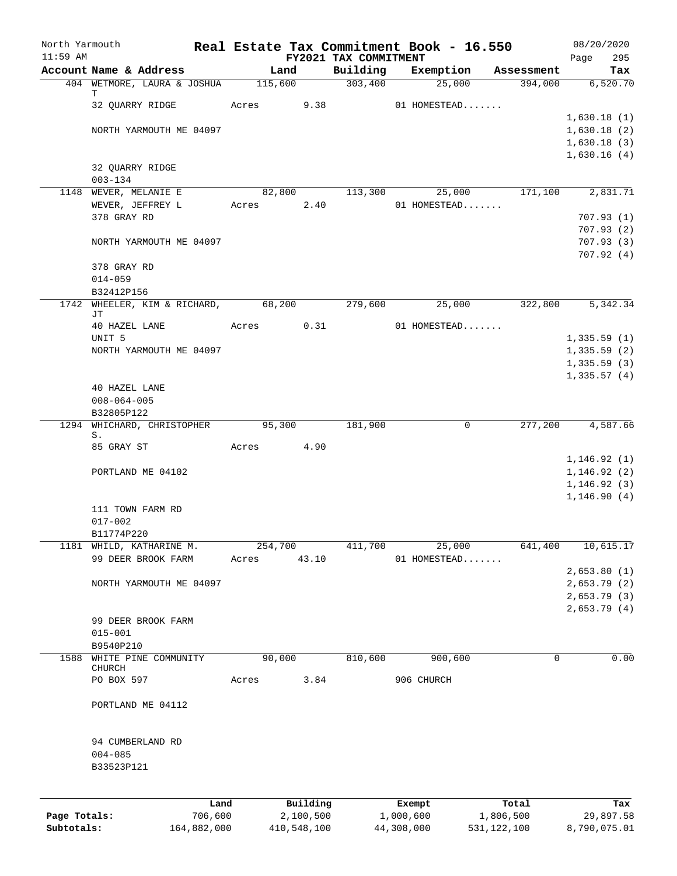| North Yarmouth<br>$11:59$ AM |                                           | Real Estate Tax Commitment Book - 16.550 |                          |                                   |                         |               |            | 08/20/2020                 |
|------------------------------|-------------------------------------------|------------------------------------------|--------------------------|-----------------------------------|-------------------------|---------------|------------|----------------------------|
|                              | Account Name & Address                    | Land                                     |                          | FY2021 TAX COMMITMENT<br>Building | Exemption               |               | Assessment | Page<br>295<br>Tax         |
|                              | 404 WETMORE, LAURA & JOSHUA               | 115,600                                  |                          | 303,400                           |                         | 25,000        | 394,000    | 6,520.70                   |
|                              | Т                                         |                                          |                          |                                   |                         |               |            |                            |
|                              | 32 QUARRY RIDGE                           | Acres                                    | 9.38                     |                                   | 01 HOMESTEAD            |               |            |                            |
|                              |                                           |                                          |                          |                                   |                         |               |            | 1,630.18(1)<br>1,630.18(2) |
|                              | NORTH YARMOUTH ME 04097                   |                                          |                          |                                   |                         |               |            | 1,630.18(3)                |
|                              |                                           |                                          |                          |                                   |                         |               |            | 1,630.16(4)                |
|                              | 32 QUARRY RIDGE                           |                                          |                          |                                   |                         |               |            |                            |
|                              | $003 - 134$                               |                                          |                          |                                   |                         |               |            |                            |
|                              | 1148 WEVER, MELANIE E                     | 82,800                                   |                          | 113,300                           |                         | 25,000        | 171,100    | 2,831.71                   |
|                              | WEVER, JEFFREY L<br>378 GRAY RD           | Acres                                    | 2.40                     |                                   | 01 HOMESTEAD            |               |            | 707.93(1)                  |
|                              |                                           |                                          |                          |                                   |                         |               |            | 707.93(2)                  |
|                              | NORTH YARMOUTH ME 04097                   |                                          |                          |                                   |                         |               |            | 707.93(3)                  |
|                              |                                           |                                          |                          |                                   |                         |               |            | 707.92(4)                  |
|                              | 378 GRAY RD                               |                                          |                          |                                   |                         |               |            |                            |
|                              | $014 - 059$                               |                                          |                          |                                   |                         |               |            |                            |
|                              | B32412P156                                |                                          |                          |                                   |                         |               |            |                            |
|                              | 1742 WHEELER, KIM & RICHARD,<br>JТ        | 68,200                                   |                          | 279,600                           |                         | 25,000        | 322,800    | 5,342.34                   |
|                              | 40 HAZEL LANE                             | Acres                                    | 0.31                     |                                   | 01 HOMESTEAD            |               |            |                            |
|                              | UNIT <sub>5</sub>                         |                                          |                          |                                   |                         |               |            | 1,335.59(1)                |
|                              | NORTH YARMOUTH ME 04097                   |                                          |                          |                                   |                         |               |            | 1,335.59(2)                |
|                              |                                           |                                          |                          |                                   |                         |               |            | 1,335.59(3)                |
|                              | 40 HAZEL LANE                             |                                          |                          |                                   |                         |               |            | 1,335.57(4)                |
|                              | $008 - 064 - 005$                         |                                          |                          |                                   |                         |               |            |                            |
|                              | B32805P122                                |                                          |                          |                                   |                         |               |            |                            |
|                              | 1294 WHICHARD, CHRISTOPHER                | 95,300                                   |                          | 181,900                           |                         | 0             | 277,200    | 4,587.66                   |
|                              | S.                                        |                                          |                          |                                   |                         |               |            |                            |
|                              | 85 GRAY ST                                | Acres                                    | 4.90                     |                                   |                         |               |            | 1, 146.92(1)               |
|                              | PORTLAND ME 04102                         |                                          |                          |                                   |                         |               |            | 1, 146.92(2)               |
|                              |                                           |                                          |                          |                                   |                         |               |            | 1, 146.92(3)               |
|                              |                                           |                                          |                          |                                   |                         |               |            | 1, 146.90(4)               |
|                              | 111 TOWN FARM RD                          |                                          |                          |                                   |                         |               |            |                            |
|                              | $017 - 002$                               |                                          |                          |                                   |                         |               |            |                            |
|                              | B11774P220                                |                                          |                          |                                   |                         |               | 641,400    | 10,615.17                  |
| 1181                         | WHILD, KATHARINE M.<br>99 DEER BROOK FARM | 254,700<br>Acres                         | 43.10                    | 411,700                           | 01 HOMESTEAD            | 25,000        |            |                            |
|                              |                                           |                                          |                          |                                   |                         |               |            | 2,653.80(1)                |
|                              | NORTH YARMOUTH ME 04097                   |                                          |                          |                                   |                         |               |            | 2,653.79 (2)               |
|                              |                                           |                                          |                          |                                   |                         |               |            | 2,653.79(3)                |
|                              |                                           |                                          |                          |                                   |                         |               |            | 2,653.79(4)                |
|                              | 99 DEER BROOK FARM                        |                                          |                          |                                   |                         |               |            |                            |
|                              | $015 - 001$<br>B9540P210                  |                                          |                          |                                   |                         |               |            |                            |
| 1588                         | WHITE PINE COMMUNITY                      | 90,000                                   |                          | 810,600                           | 900,600                 |               | 0          | 0.00                       |
|                              | CHURCH                                    |                                          |                          |                                   |                         |               |            |                            |
|                              | PO BOX 597                                | Acres                                    | 3.84                     |                                   | 906 CHURCH              |               |            |                            |
|                              | PORTLAND ME 04112                         |                                          |                          |                                   |                         |               |            |                            |
|                              |                                           |                                          |                          |                                   |                         |               |            |                            |
|                              | 94 CUMBERLAND RD                          |                                          |                          |                                   |                         |               |            |                            |
|                              | $004 - 085$                               |                                          |                          |                                   |                         |               |            |                            |
|                              | B33523P121                                |                                          |                          |                                   |                         |               |            |                            |
|                              |                                           |                                          |                          |                                   |                         |               |            |                            |
|                              |                                           | Land                                     | Building                 |                                   | Exempt                  |               | Total      | Tax                        |
| Page Totals:<br>Subtotals:   | 706,600<br>164,882,000                    |                                          | 2,100,500<br>410,548,100 |                                   | 1,000,600<br>44,308,000 | 531, 122, 100 | 1,806,500  | 29,897.58<br>8,790,075.01  |
|                              |                                           |                                          |                          |                                   |                         |               |            |                            |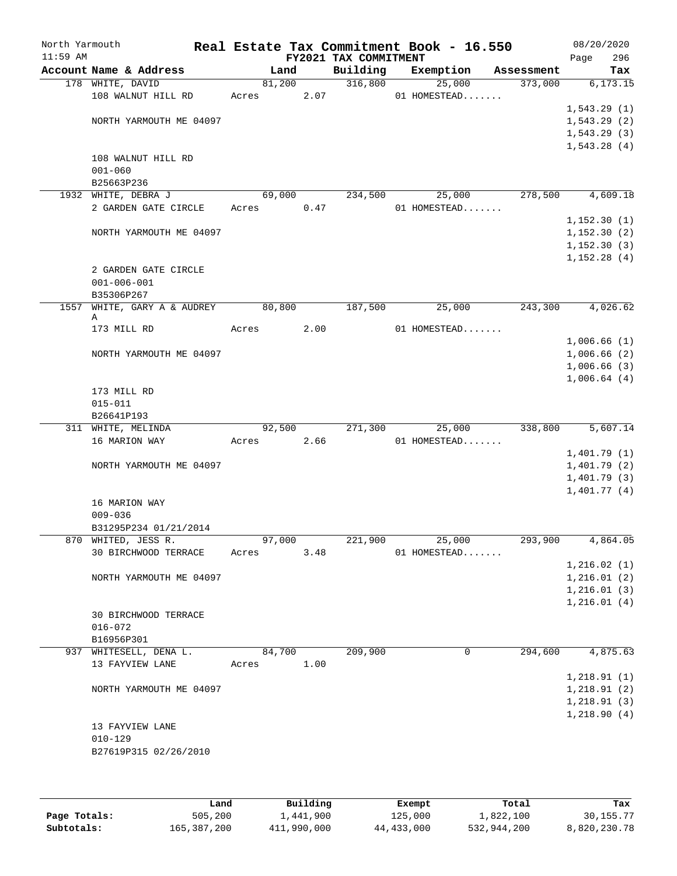| North Yarmouth<br>$11:59$ AM |                         |        |      | FY2021 TAX COMMITMENT | Real Estate Tax Commitment Book - 16.550 |            | 08/20/2020<br>296<br>Page  |
|------------------------------|-------------------------|--------|------|-----------------------|------------------------------------------|------------|----------------------------|
|                              | Account Name & Address  | Land   |      | Building              | Exemption                                | Assessment | Tax                        |
|                              | 178 WHITE, DAVID        | 81,200 |      | 316,800               | 25,000                                   | 373,000    | 6,173.15                   |
|                              | 108 WALNUT HILL RD      | Acres  | 2.07 |                       | 01 HOMESTEAD                             |            |                            |
|                              |                         |        |      |                       |                                          |            | 1,543.29(1)                |
|                              | NORTH YARMOUTH ME 04097 |        |      |                       |                                          |            | 1,543.29(2)                |
|                              |                         |        |      |                       |                                          |            | 1, 543.29(3)               |
|                              |                         |        |      |                       |                                          |            | 1,543.28(4)                |
|                              | 108 WALNUT HILL RD      |        |      |                       |                                          |            |                            |
|                              | $001 - 060$             |        |      |                       |                                          |            |                            |
|                              | B25663P236              |        |      |                       |                                          |            |                            |
|                              | 1932 WHITE, DEBRA J     | 69,000 |      | 234,500               | 25,000                                   | 278,500    | 4,609.18                   |
|                              | 2 GARDEN GATE CIRCLE    | Acres  | 0.47 |                       | 01 HOMESTEAD                             |            |                            |
|                              |                         |        |      |                       |                                          |            | 1,152.30(1)                |
|                              | NORTH YARMOUTH ME 04097 |        |      |                       |                                          |            | 1,152.30(2)                |
|                              |                         |        |      |                       |                                          |            | 1,152.30(3)<br>1,152.28(4) |
|                              | 2 GARDEN GATE CIRCLE    |        |      |                       |                                          |            |                            |
|                              | $001 - 006 - 001$       |        |      |                       |                                          |            |                            |
|                              | B35306P267              |        |      |                       |                                          |            |                            |
| 1557                         | WHITE, GARY A & AUDREY  | 80,800 |      | 187,500               | 25,000                                   | 243,300    | 4,026.62                   |
|                              | Α                       |        |      |                       |                                          |            |                            |
|                              | 173 MILL RD             | Acres  | 2.00 |                       | 01 HOMESTEAD                             |            |                            |
|                              |                         |        |      |                       |                                          |            | 1,006.66(1)                |
|                              | NORTH YARMOUTH ME 04097 |        |      |                       |                                          |            | 1,006.66(2)                |
|                              |                         |        |      |                       |                                          |            | 1,006.66(3)                |
|                              |                         |        |      |                       |                                          |            | 1,006.64(4)                |
|                              | 173 MILL RD             |        |      |                       |                                          |            |                            |
|                              | $015 - 011$             |        |      |                       |                                          |            |                            |
|                              | B26641P193              |        |      |                       |                                          |            |                            |
|                              | 311 WHITE, MELINDA      | 92,500 |      | 271,300               | 25,000                                   | 338,800    | 5,607.14                   |
|                              | 16 MARION WAY           | Acres  | 2.66 |                       | 01 HOMESTEAD                             |            |                            |
|                              |                         |        |      |                       |                                          |            | 1,401.79(1)                |
|                              | NORTH YARMOUTH ME 04097 |        |      |                       |                                          |            | 1,401.79(2)                |
|                              |                         |        |      |                       |                                          |            | 1,401.79(3)                |
|                              | 16 MARION WAY           |        |      |                       |                                          |            | 1,401.77(4)                |
|                              | $009 - 036$             |        |      |                       |                                          |            |                            |
|                              | B31295P234 01/21/2014   |        |      |                       |                                          |            |                            |
|                              | 870 WHITED, JESS R.     | 97,000 |      | 221,900               | 25,000                                   | 293,900    | 4,864.05                   |
|                              | 30 BIRCHWOOD TERRACE    | Acres  | 3.48 |                       | 01 HOMESTEAD                             |            |                            |
|                              |                         |        |      |                       |                                          |            | 1, 216.02(1)               |
|                              | NORTH YARMOUTH ME 04097 |        |      |                       |                                          |            | 1, 216.01(2)               |
|                              |                         |        |      |                       |                                          |            | 1, 216.01(3)               |
|                              |                         |        |      |                       |                                          |            | 1, 216.01(4)               |
|                              | 30 BIRCHWOOD TERRACE    |        |      |                       |                                          |            |                            |
|                              | $016 - 072$             |        |      |                       |                                          |            |                            |
|                              | B16956P301              |        |      |                       |                                          |            |                            |
|                              | 937 WHITESELL, DENA L.  | 84,700 |      | 209,900               | 0                                        | 294,600    | 4,875.63                   |
|                              | 13 FAYVIEW LANE         | Acres  | 1.00 |                       |                                          |            |                            |
|                              |                         |        |      |                       |                                          |            | 1,218.91(1)                |
|                              | NORTH YARMOUTH ME 04097 |        |      |                       |                                          |            | 1, 218.91(2)               |
|                              |                         |        |      |                       |                                          |            | 1, 218.91(3)               |
|                              |                         |        |      |                       |                                          |            | 1,218.90(4)                |
|                              | 13 FAYVIEW LANE         |        |      |                       |                                          |            |                            |
|                              | $010 - 129$             |        |      |                       |                                          |            |                            |
|                              | B27619P315 02/26/2010   |        |      |                       |                                          |            |                            |
|                              |                         |        |      |                       |                                          |            |                            |
|                              |                         |        |      |                       |                                          |            |                            |

|              | Land        | Building    | Exempt     | Total       | Tax          |
|--------------|-------------|-------------|------------|-------------|--------------|
| Page Totals: | 505,200     | 1,441,900   | 125,000    | 1,822,100   | 30, 155. 77  |
| Subtotals:   | 165,387,200 | 411,990,000 | 44,433,000 | 532,944,200 | 8,820,230.78 |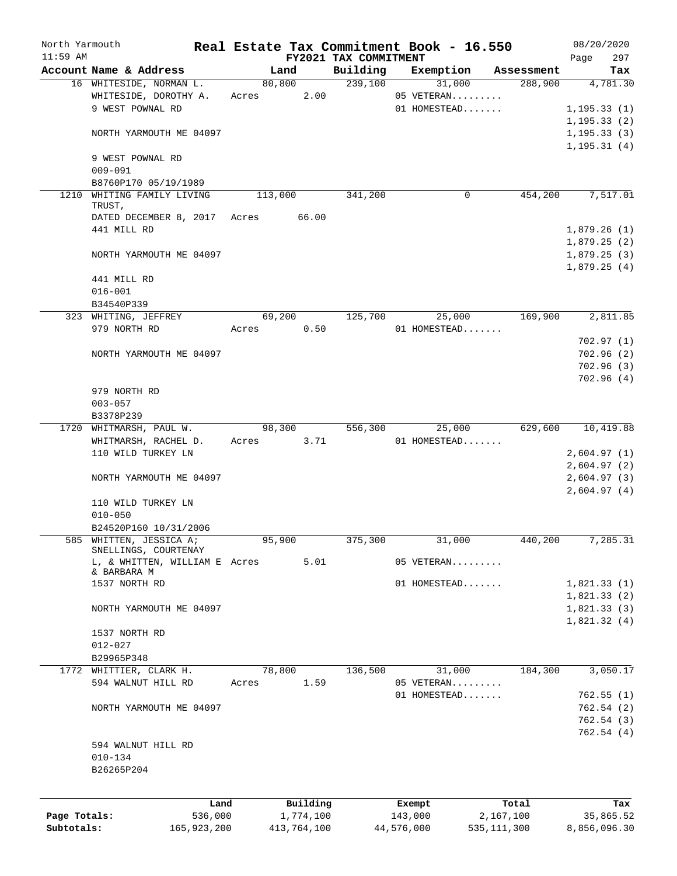| North Yarmouth |                                                 |       |             |                                   | Real Estate Tax Commitment Book - 16.550 |                       | 08/20/2020             |
|----------------|-------------------------------------------------|-------|-------------|-----------------------------------|------------------------------------------|-----------------------|------------------------|
| $11:59$ AM     | Account Name & Address                          |       | Land        | FY2021 TAX COMMITMENT<br>Building |                                          |                       | 297<br>Page            |
|                | 16 WHITESIDE, NORMAN L.                         |       | 80,800      | 239,100                           | Exemption<br>31,000                      | Assessment<br>288,900 | Tax<br>4,781.30        |
|                | WHITESIDE, DOROTHY A.                           | Acres | 2.00        |                                   | 05 VETERAN                               |                       |                        |
|                | 9 WEST POWNAL RD                                |       |             |                                   | 01 HOMESTEAD                             |                       | 1, 195.33(1)           |
|                |                                                 |       |             |                                   |                                          |                       | 1, 195.33(2)           |
|                | NORTH YARMOUTH ME 04097                         |       |             |                                   |                                          |                       | 1, 195.33(3)           |
|                |                                                 |       |             |                                   |                                          |                       | 1, 195.31(4)           |
|                | 9 WEST POWNAL RD                                |       |             |                                   |                                          |                       |                        |
|                | $009 - 091$                                     |       |             |                                   |                                          |                       |                        |
|                | B8760P170 05/19/1989                            |       |             |                                   |                                          |                       |                        |
|                | 1210 WHITING FAMILY LIVING<br>TRUST,            |       | 113,000     | 341,200                           | 0                                        | 454,200               | 7,517.01               |
|                | DATED DECEMBER 8, 2017 Acres                    |       | 66.00       |                                   |                                          |                       |                        |
|                | 441 MILL RD                                     |       |             |                                   |                                          |                       | 1,879.26(1)            |
|                |                                                 |       |             |                                   |                                          |                       | 1,879.25(2)            |
|                | NORTH YARMOUTH ME 04097                         |       |             |                                   |                                          |                       | 1,879.25(3)            |
|                |                                                 |       |             |                                   |                                          |                       | 1,879.25(4)            |
|                | 441 MILL RD                                     |       |             |                                   |                                          |                       |                        |
|                | $016 - 001$                                     |       |             |                                   |                                          |                       |                        |
|                | B34540P339                                      |       |             |                                   |                                          |                       |                        |
|                | 323 WHITING, JEFFREY                            |       | 69,200      | 125,700                           | 25,000                                   | 169,900               | 2,811.85               |
|                | 979 NORTH RD                                    | Acres | 0.50        |                                   | 01 HOMESTEAD                             |                       |                        |
|                |                                                 |       |             |                                   |                                          |                       | 702.97(1)              |
|                | NORTH YARMOUTH ME 04097                         |       |             |                                   |                                          |                       | 702.96(2)              |
|                |                                                 |       |             |                                   |                                          |                       | 702.96(3)<br>702.96(4) |
|                | 979 NORTH RD                                    |       |             |                                   |                                          |                       |                        |
|                | $003 - 057$                                     |       |             |                                   |                                          |                       |                        |
|                | B3378P239                                       |       |             |                                   |                                          |                       |                        |
|                | 1720 WHITMARSH, PAUL W.                         |       | 98,300      | 556,300                           | 25,000                                   | 629,600               | 10,419.88              |
|                | WHITMARSH, RACHEL D.                            | Acres | 3.71        |                                   | 01 HOMESTEAD                             |                       |                        |
|                | 110 WILD TURKEY LN                              |       |             |                                   |                                          |                       | 2,604.97(1)            |
|                |                                                 |       |             |                                   |                                          |                       | 2,604.97(2)            |
|                | NORTH YARMOUTH ME 04097                         |       |             |                                   |                                          |                       | 2,604.97(3)            |
|                |                                                 |       |             |                                   |                                          |                       | 2,604.97(4)            |
|                | 110 WILD TURKEY LN                              |       |             |                                   |                                          |                       |                        |
|                | $010 - 050$                                     |       |             |                                   |                                          |                       |                        |
|                | B24520P160 10/31/2006                           |       |             |                                   |                                          |                       |                        |
|                | 585 WHITTEN, JESSICA A;<br>SNELLINGS, COURTENAY |       | 95,900      | 375,300                           | 31,000                                   | 440,200               | 7,285.31               |
|                | L, & WHITTEN, WILLIAM E Acres                   |       | 5.01        |                                   | 05 VETERAN                               |                       |                        |
|                | & BARBARA M                                     |       |             |                                   |                                          |                       |                        |
|                | 1537 NORTH RD                                   |       |             |                                   | 01 HOMESTEAD                             |                       | 1,821.33(1)            |
|                |                                                 |       |             |                                   |                                          |                       | 1,821.33(2)            |
|                | NORTH YARMOUTH ME 04097                         |       |             |                                   |                                          |                       | 1,821.33(3)            |
|                |                                                 |       |             |                                   |                                          |                       | 1,821.32(4)            |
|                | 1537 NORTH RD                                   |       |             |                                   |                                          |                       |                        |
|                | $012 - 027$<br>B29965P348                       |       |             |                                   |                                          |                       |                        |
|                | 1772 WHITTIER, CLARK H.                         |       | 78,800      | 136,500                           | 31,000                                   | 184,300               | 3,050.17               |
|                | 594 WALNUT HILL RD                              | Acres | 1.59        |                                   | 05 VETERAN                               |                       |                        |
|                |                                                 |       |             |                                   | 01 HOMESTEAD                             |                       | 762.55(1)              |
|                | NORTH YARMOUTH ME 04097                         |       |             |                                   |                                          |                       | 762.54(2)              |
|                |                                                 |       |             |                                   |                                          |                       | 762.54(3)              |
|                |                                                 |       |             |                                   |                                          |                       | 762.54(4)              |
|                | 594 WALNUT HILL RD                              |       |             |                                   |                                          |                       |                        |
|                | $010 - 134$                                     |       |             |                                   |                                          |                       |                        |
|                | B26265P204                                      |       |             |                                   |                                          |                       |                        |
|                |                                                 |       |             |                                   |                                          |                       |                        |
|                | Land                                            |       | Building    |                                   | Exempt                                   | Total                 | Tax                    |
| Page Totals:   | 536,000                                         |       | 1,774,100   |                                   | 143,000                                  | 2,167,100             | 35,865.52              |
| Subtotals:     | 165, 923, 200                                   |       | 413,764,100 |                                   | 44,576,000                               | 535, 111, 300         | 8,856,096.30           |
|                |                                                 |       |             |                                   |                                          |                       |                        |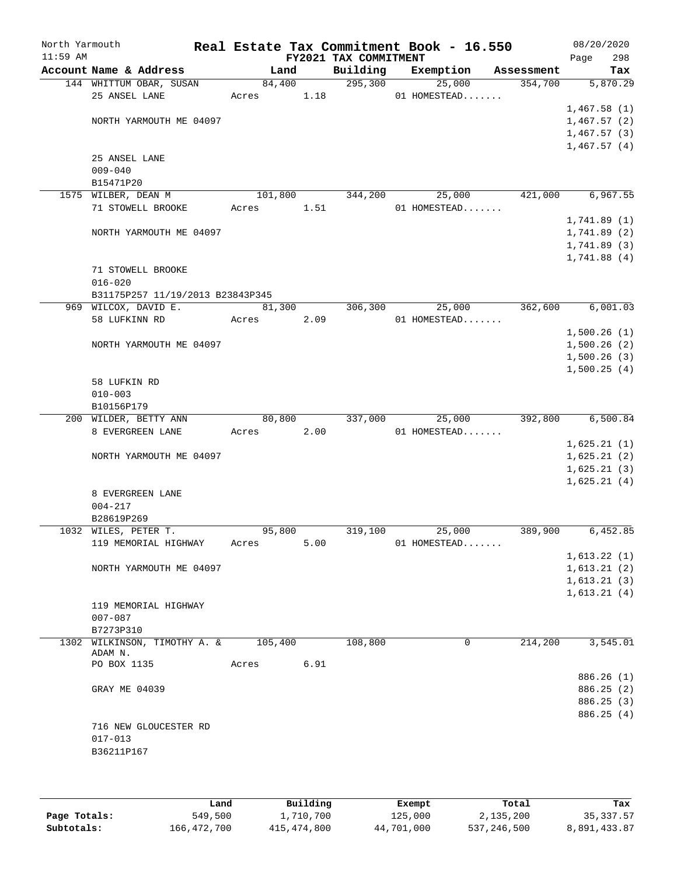| North Yarmouth<br>$11:59$ AM |                                         |         |      | FY2021 TAX COMMITMENT | Real Estate Tax Commitment Book - 16.550 |            | 08/20/2020<br>298<br>Page |
|------------------------------|-----------------------------------------|---------|------|-----------------------|------------------------------------------|------------|---------------------------|
|                              | Account Name & Address                  | Land    |      | Building              | Exemption                                | Assessment | Tax                       |
|                              | 144 WHITTUM OBAR, SUSAN                 | 84,400  |      | 295,300               | 25,000                                   | 354,700    | 5,870.29                  |
|                              | 25 ANSEL LANE                           | Acres   | 1.18 |                       | 01 HOMESTEAD                             |            |                           |
|                              |                                         |         |      |                       |                                          |            | 1,467.58(1)               |
|                              | NORTH YARMOUTH ME 04097                 |         |      |                       |                                          |            | 1,467.57(2)               |
|                              |                                         |         |      |                       |                                          |            | 1,467.57(3)               |
|                              |                                         |         |      |                       |                                          |            | 1,467.57(4)               |
|                              | 25 ANSEL LANE                           |         |      |                       |                                          |            |                           |
|                              | $009 - 040$                             |         |      |                       |                                          |            |                           |
|                              | B15471P20                               |         |      |                       |                                          |            |                           |
|                              | 1575 WILBER, DEAN M                     | 101,800 |      | 344,200               | 25,000                                   | 421,000    | 6,967.55                  |
|                              | 71 STOWELL BROOKE                       | Acres   | 1.51 |                       | 01 HOMESTEAD                             |            |                           |
|                              |                                         |         |      |                       |                                          |            | 1,741.89(1)               |
|                              | NORTH YARMOUTH ME 04097                 |         |      |                       |                                          |            | 1,741.89 (2)              |
|                              |                                         |         |      |                       |                                          |            | 1,741.89(3)               |
|                              |                                         |         |      |                       |                                          |            | 1,741.88(4)               |
|                              | 71 STOWELL BROOKE                       |         |      |                       |                                          |            |                           |
|                              | $016 - 020$                             |         |      |                       |                                          |            |                           |
|                              | B31175P257 11/19/2013 B23843P345        |         |      |                       |                                          |            |                           |
|                              | 969 WILCOX, DAVID E.                    | 81,300  |      | 306,300               | 25,000                                   | 362,600    | 6,001.03                  |
|                              | 58 LUFKINN RD                           | Acres   | 2.09 |                       | 01 HOMESTEAD                             |            |                           |
|                              |                                         |         |      |                       |                                          |            | 1,500.26(1)               |
|                              | NORTH YARMOUTH ME 04097                 |         |      |                       |                                          |            | 1,500.26(2)               |
|                              |                                         |         |      |                       |                                          |            | 1,500.26(3)               |
|                              |                                         |         |      |                       |                                          |            | 1,500.25(4)               |
|                              | 58 LUFKIN RD                            |         |      |                       |                                          |            |                           |
|                              | $010 - 003$                             |         |      |                       |                                          |            |                           |
|                              | B10156P179                              |         |      |                       |                                          |            |                           |
|                              | 200 WILDER, BETTY ANN                   | 80,800  |      | 337,000               | 25,000                                   | 392,800    | 6,500.84                  |
|                              | 8 EVERGREEN LANE                        | Acres   | 2.00 |                       | 01 HOMESTEAD                             |            |                           |
|                              |                                         |         |      |                       |                                          |            | 1,625.21(1)               |
|                              | NORTH YARMOUTH ME 04097                 |         |      |                       |                                          |            | 1,625.21(2)               |
|                              |                                         |         |      |                       |                                          |            | 1,625.21(3)               |
|                              |                                         |         |      |                       |                                          |            | 1,625.21(4)               |
|                              | 8 EVERGREEN LANE                        |         |      |                       |                                          |            |                           |
|                              | $004 - 217$                             |         |      |                       |                                          |            |                           |
|                              | B28619P269                              |         |      |                       |                                          |            |                           |
|                              | 1032 WILES, PETER T.                    | 95,800  |      | 319,100               | 25,000                                   | 389,900    | 6,452.85                  |
|                              | 119 MEMORIAL HIGHWAY                    | Acres   | 5.00 |                       | 01 HOMESTEAD                             |            |                           |
|                              |                                         |         |      |                       |                                          |            | 1,613.22(1)               |
|                              | NORTH YARMOUTH ME 04097                 |         |      |                       |                                          |            | 1,613.21(2)               |
|                              |                                         |         |      |                       |                                          |            | 1,613.21(3)               |
|                              |                                         |         |      |                       |                                          |            | 1,613.21(4)               |
|                              | 119 MEMORIAL HIGHWAY                    |         |      |                       |                                          |            |                           |
|                              | $007 - 087$                             |         |      |                       |                                          |            |                           |
|                              | B7273P310                               |         |      |                       |                                          |            |                           |
|                              | 1302 WILKINSON, TIMOTHY A. &<br>ADAM N. | 105,400 |      | 108,800               | 0                                        | 214,200    | 3,545.01                  |
|                              | PO BOX 1135                             | Acres   | 6.91 |                       |                                          |            |                           |
|                              |                                         |         |      |                       |                                          |            | 886.26 (1)                |
|                              | GRAY ME 04039                           |         |      |                       |                                          |            | 886.25 (2)                |
|                              |                                         |         |      |                       |                                          |            | 886.25 (3)                |
|                              |                                         |         |      |                       |                                          |            | 886.25 (4)                |
|                              | 716 NEW GLOUCESTER RD                   |         |      |                       |                                          |            |                           |
|                              | $017 - 013$                             |         |      |                       |                                          |            |                           |
|                              | B36211P167                              |         |      |                       |                                          |            |                           |
|                              |                                         |         |      |                       |                                          |            |                           |
|                              |                                         |         |      |                       |                                          |            |                           |

|              | Land        | Building    | Exempt     | Total       | Tax          |
|--------------|-------------|-------------|------------|-------------|--------------|
| Page Totals: | 549,500     | 1,710,700   | 125,000    | 2,135,200   | 35, 337.57   |
| Subtotals:   | 166,472,700 | 415,474,800 | 44,701,000 | 537,246,500 | 8,891,433.87 |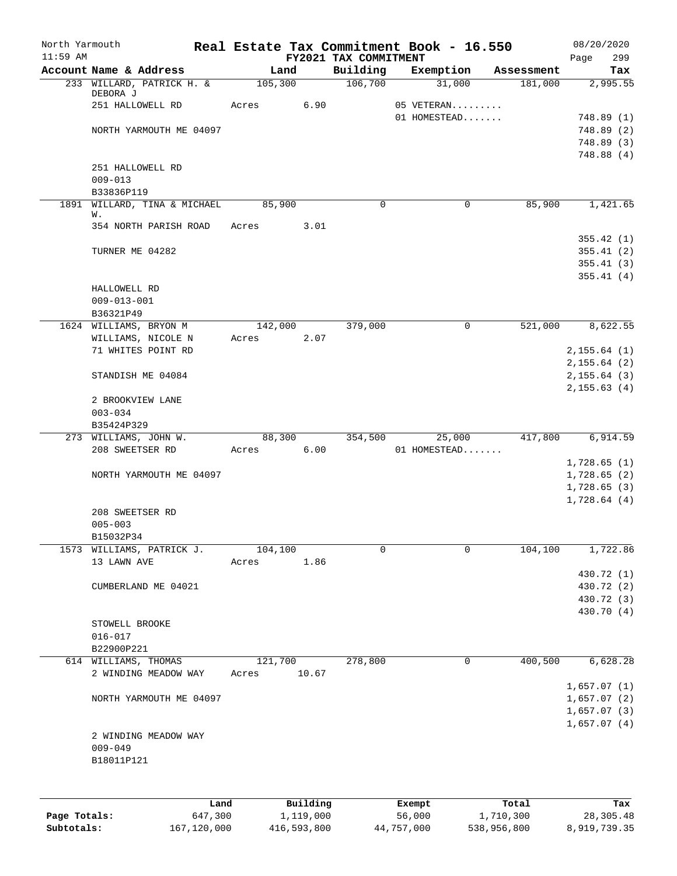| North Yarmouth<br>$11:59$ AM |                                       | Real Estate Tax Commitment Book - 16.550 | FY2021 TAX COMMITMENT |              |            | 08/20/2020<br>299<br>Page |
|------------------------------|---------------------------------------|------------------------------------------|-----------------------|--------------|------------|---------------------------|
|                              | Account Name & Address                | Land                                     | Building              | Exemption    | Assessment | Tax                       |
|                              | 233 WILLARD, PATRICK H. &<br>DEBORA J | 105,300                                  | 106,700               | 31,000       | 181,000    | 2,995.55                  |
|                              | 251 HALLOWELL RD                      | 6.90<br>Acres                            |                       | 05 VETERAN   |            |                           |
|                              |                                       |                                          |                       | 01 HOMESTEAD |            | 748.89(1)                 |
|                              | NORTH YARMOUTH ME 04097               |                                          |                       |              |            | 748.89(2)                 |
|                              |                                       |                                          |                       |              |            | 748.89 (3)                |
|                              | 251 HALLOWELL RD                      |                                          |                       |              |            | 748.88(4)                 |
|                              | $009 - 013$                           |                                          |                       |              |            |                           |
|                              | B33836P119                            |                                          |                       |              |            |                           |
|                              | 1891 WILLARD, TINA & MICHAEL          | 85,900                                   | 0                     | $\mathbf 0$  | 85,900     | 1,421.65                  |
|                              | W.                                    |                                          |                       |              |            |                           |
|                              | 354 NORTH PARISH ROAD                 | 3.01<br>Acres                            |                       |              |            |                           |
|                              |                                       |                                          |                       |              |            | 355.42(1)                 |
|                              | TURNER ME 04282                       |                                          |                       |              |            | 355.41(2)                 |
|                              |                                       |                                          |                       |              |            | 355.41(3)<br>355.41(4)    |
|                              | HALLOWELL RD                          |                                          |                       |              |            |                           |
|                              | $009 - 013 - 001$                     |                                          |                       |              |            |                           |
|                              | B36321P49                             |                                          |                       |              |            |                           |
|                              | 1624 WILLIAMS, BRYON M                | 142,000                                  | 379,000               | 0            | 521,000    | 8,622.55                  |
|                              | WILLIAMS, NICOLE N                    | 2.07<br>Acres                            |                       |              |            |                           |
|                              | 71 WHITES POINT RD                    |                                          |                       |              |            | 2, 155.64 (1)             |
|                              |                                       |                                          |                       |              |            | 2, 155.64 (2)             |
|                              | STANDISH ME 04084                     |                                          |                       |              |            | 2, 155.64(3)              |
|                              |                                       |                                          |                       |              |            | 2, 155.63(4)              |
|                              | 2 BROOKVIEW LANE                      |                                          |                       |              |            |                           |
|                              | $003 - 034$                           |                                          |                       |              |            |                           |
|                              | B35424P329                            |                                          |                       |              |            |                           |
|                              | 273 WILLIAMS, JOHN W.                 | 88,300                                   | 354,500               | 25,000       | 417,800    | 6,914.59                  |
|                              | 208 SWEETSER RD                       | 6.00<br>Acres                            |                       | 01 HOMESTEAD |            | 1,728.65(1)               |
|                              | NORTH YARMOUTH ME 04097               |                                          |                       |              |            | 1,728.65(2)               |
|                              |                                       |                                          |                       |              |            | 1,728.65(3)               |
|                              |                                       |                                          |                       |              |            | 1,728.64(4)               |
|                              | 208 SWEETSER RD                       |                                          |                       |              |            |                           |
|                              | $005 - 003$                           |                                          |                       |              |            |                           |
|                              | B15032P34                             |                                          |                       |              |            |                           |
| 1573                         | WILLIAMS, PATRICK J.                  | 104,100                                  | 0                     | 0            | 104, 100   | 1,722.86                  |
|                              | 13 LAWN AVE                           | 1.86<br>Acres                            |                       |              |            |                           |
|                              |                                       |                                          |                       |              |            | 430.72 (1)                |
|                              | CUMBERLAND ME 04021                   |                                          |                       |              |            | 430.72 (2)                |
|                              |                                       |                                          |                       |              |            | 430.72 (3)                |
|                              |                                       |                                          |                       |              |            | 430.70 (4)                |
|                              | STOWELL BROOKE                        |                                          |                       |              |            |                           |
|                              | $016 - 017$<br>B22900P221             |                                          |                       |              |            |                           |
|                              | 614 WILLIAMS, THOMAS                  | 121,700                                  | 278,800               | 0            | 400,500    | 6,628.28                  |
|                              | 2 WINDING MEADOW WAY                  | 10.67<br>Acres                           |                       |              |            |                           |
|                              |                                       |                                          |                       |              |            | 1,657.07(1)               |
|                              | NORTH YARMOUTH ME 04097               |                                          |                       |              |            | 1,657.07(2)               |
|                              |                                       |                                          |                       |              |            | 1,657.07(3)               |
|                              |                                       |                                          |                       |              |            | 1,657.07(4)               |
|                              | 2 WINDING MEADOW WAY                  |                                          |                       |              |            |                           |
|                              | $009 - 049$                           |                                          |                       |              |            |                           |
|                              | B18011P121                            |                                          |                       |              |            |                           |
|                              |                                       |                                          |                       |              |            |                           |
|                              |                                       |                                          |                       |              |            |                           |
|                              | Land                                  | Building                                 |                       | Exempt       | Total      | Tax                       |
| Page Totals:                 | 647,300                               | 1,119,000                                |                       | 56,000       | 1,710,300  | 28,305.48                 |

**Subtotals:** 167,120,000 416,593,800 44,757,000 538,956,800 8,919,739.35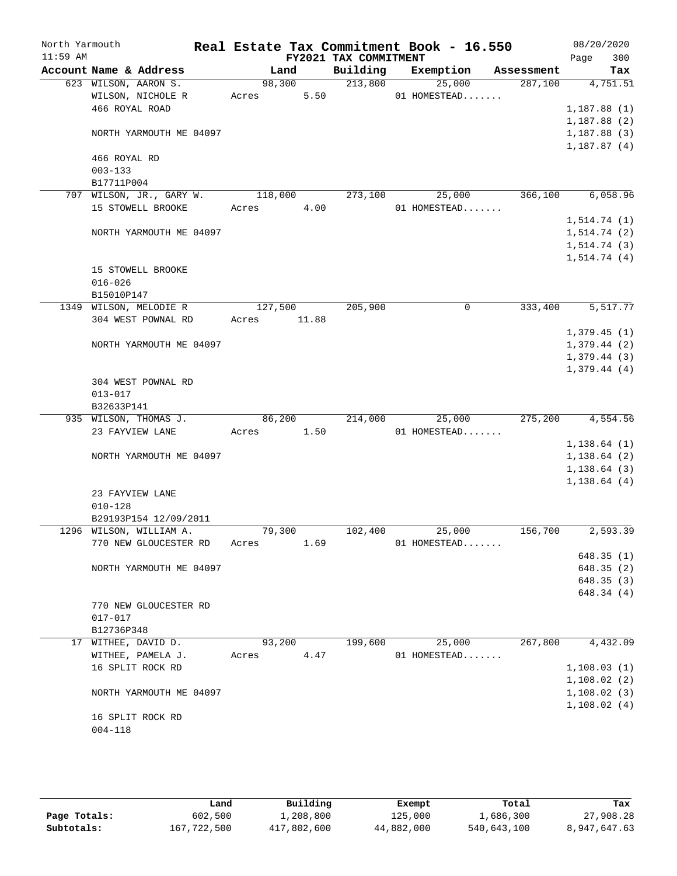| North Yarmouth<br>$11:59$ AM |                           |         |       | FY2021 TAX COMMITMENT | Real Estate Tax Commitment Book - 16.550 |            | 08/20/2020<br>300<br>Page |
|------------------------------|---------------------------|---------|-------|-----------------------|------------------------------------------|------------|---------------------------|
|                              | Account Name & Address    | Land    |       | Building              | Exemption                                | Assessment | Tax                       |
|                              | 623 WILSON, AARON S.      | 98,300  |       | 213,800               | 25,000                                   | 287,100    | 4,751.51                  |
|                              | WILSON, NICHOLE R         | Acres   | 5.50  |                       | 01 HOMESTEAD                             |            |                           |
|                              | 466 ROYAL ROAD            |         |       |                       |                                          |            | 1,187.88(1)               |
|                              |                           |         |       |                       |                                          |            | 1,187.88(2)               |
|                              | NORTH YARMOUTH ME 04097   |         |       |                       |                                          |            | 1,187.88(3)               |
|                              |                           |         |       |                       |                                          |            | 1,187.87(4)               |
|                              | 466 ROYAL RD              |         |       |                       |                                          |            |                           |
|                              | $003 - 133$               |         |       |                       |                                          |            |                           |
|                              | B17711P004                |         |       |                       |                                          |            |                           |
| 707                          | WILSON, JR., GARY W.      | 118,000 |       | 273,100               | 25,000                                   | 366,100    | 6,058.96                  |
|                              | 15 STOWELL BROOKE         | Acres   | 4.00  |                       | 01 HOMESTEAD                             |            |                           |
|                              |                           |         |       |                       |                                          |            | 1, 514.74(1)              |
|                              | NORTH YARMOUTH ME 04097   |         |       |                       |                                          |            | 1, 514.74(2)              |
|                              |                           |         |       |                       |                                          |            | 1, 514.74(3)              |
|                              |                           |         |       |                       |                                          |            | 1, 514.74(4)              |
|                              | 15 STOWELL BROOKE         |         |       |                       |                                          |            |                           |
|                              | $016 - 026$               |         |       |                       |                                          |            |                           |
|                              | B15010P147                |         |       |                       |                                          |            |                           |
|                              | 1349 WILSON, MELODIE R    | 127,500 |       | 205,900               | 0                                        | 333,400    | 5,517.77                  |
|                              | 304 WEST POWNAL RD        | Acres   | 11.88 |                       |                                          |            |                           |
|                              |                           |         |       |                       |                                          |            | 1,379.45(1)               |
|                              | NORTH YARMOUTH ME 04097   |         |       |                       |                                          |            | 1,379.44(2)               |
|                              |                           |         |       |                       |                                          |            | 1,379.44(3)               |
|                              |                           |         |       |                       |                                          |            | 1,379.44(4)               |
|                              | 304 WEST POWNAL RD        |         |       |                       |                                          |            |                           |
|                              | $013 - 017$<br>B32633P141 |         |       |                       |                                          |            |                           |
|                              | 935 WILSON, THOMAS J.     | 86,200  |       | 214,000               | 25,000                                   | 275,200    | 4,554.56                  |
|                              | 23 FAYVIEW LANE           | Acres   | 1.50  |                       | 01 HOMESTEAD                             |            |                           |
|                              |                           |         |       |                       |                                          |            | 1,138.64(1)               |
|                              | NORTH YARMOUTH ME 04097   |         |       |                       |                                          |            | 1,138.64(2)               |
|                              |                           |         |       |                       |                                          |            | 1, 138.64(3)              |
|                              |                           |         |       |                       |                                          |            | 1, 138.64(4)              |
|                              | 23 FAYVIEW LANE           |         |       |                       |                                          |            |                           |
|                              | $010 - 128$               |         |       |                       |                                          |            |                           |
|                              | B29193P154 12/09/2011     |         |       |                       |                                          |            |                           |
|                              | 1296 WILSON, WILLIAM A.   | 79,300  |       | 102,400               | 25,000                                   | 156,700    | 2,593.39                  |
|                              | 770 NEW GLOUCESTER RD     | Acres   | 1.69  |                       | 01 HOMESTEAD                             |            |                           |
|                              |                           |         |       |                       |                                          |            | 648.35(1)                 |
|                              | NORTH YARMOUTH ME 04097   |         |       |                       |                                          |            | 648.35 (2)                |
|                              |                           |         |       |                       |                                          |            | 648.35(3)                 |
|                              |                           |         |       |                       |                                          |            | 648.34 (4)                |
|                              | 770 NEW GLOUCESTER RD     |         |       |                       |                                          |            |                           |
|                              | $017 - 017$               |         |       |                       |                                          |            |                           |
|                              | B12736P348                |         |       |                       |                                          |            |                           |
|                              | 17 WITHEE, DAVID D.       | 93,200  |       | 199,600               | 25,000                                   | 267,800    | 4,432.09                  |
|                              | WITHEE, PAMELA J.         | Acres   | 4.47  |                       | 01 HOMESTEAD                             |            |                           |
|                              | 16 SPLIT ROCK RD          |         |       |                       |                                          |            | 1,108.03(1)               |
|                              |                           |         |       |                       |                                          |            | 1,108.02(2)               |
|                              | NORTH YARMOUTH ME 04097   |         |       |                       |                                          |            | 1,108.02(3)               |
|                              |                           |         |       |                       |                                          |            | 1,108.02(4)               |
|                              | 16 SPLIT ROCK RD          |         |       |                       |                                          |            |                           |
|                              | $004 - 118$               |         |       |                       |                                          |            |                           |
|                              |                           |         |       |                       |                                          |            |                           |

|              | Land        | Building    | Exempt     | Total       | Tax          |
|--------------|-------------|-------------|------------|-------------|--------------|
| Page Totals: | 602,500     | ⊥,208,800   | 125,000    | 1,686,300   | 27,908.28    |
| Subtotals:   | 167,722,500 | 417,802,600 | 44,882,000 | 540,643,100 | 8,947,647.63 |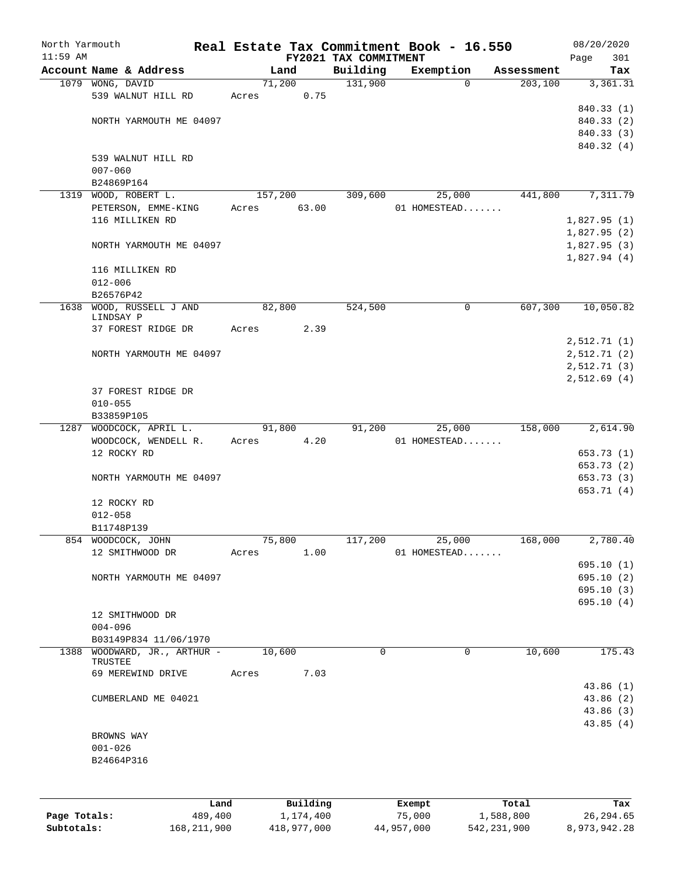| North Yarmouth<br>$11:59$ AM |                                         |       |         | FY2021 TAX COMMITMENT | Real Estate Tax Commitment Book - 16.550 |            | 08/20/2020<br>301<br>Page |
|------------------------------|-----------------------------------------|-------|---------|-----------------------|------------------------------------------|------------|---------------------------|
|                              | Account Name & Address                  |       | Land    | Building              | Exemption                                | Assessment | Tax                       |
|                              | 1079 WONG, DAVID                        |       | 71,200  | 131,900               | 0                                        | 203,100    | 3,361.31                  |
|                              | 539 WALNUT HILL RD                      | Acres | 0.75    |                       |                                          |            |                           |
|                              |                                         |       |         |                       |                                          |            | 840.33 (1)                |
|                              | NORTH YARMOUTH ME 04097                 |       |         |                       |                                          |            | 840.33 (2)                |
|                              |                                         |       |         |                       |                                          |            | 840.33 (3)                |
|                              |                                         |       |         |                       |                                          |            | 840.32 (4)                |
|                              | 539 WALNUT HILL RD                      |       |         |                       |                                          |            |                           |
|                              | $007 - 060$                             |       |         |                       |                                          |            |                           |
|                              | B24869P164                              |       |         |                       |                                          |            |                           |
| 1319                         | WOOD, ROBERT L.                         |       | 157,200 | 309,600               | 25,000                                   | 441,800    | 7,311.79                  |
|                              | PETERSON, EMME-KING                     | Acres | 63.00   |                       | 01 HOMESTEAD                             |            |                           |
|                              | 116 MILLIKEN RD                         |       |         |                       |                                          |            | 1,827.95(1)               |
|                              |                                         |       |         |                       |                                          |            | 1,827.95(2)               |
|                              | NORTH YARMOUTH ME 04097                 |       |         |                       |                                          |            | 1,827.95(3)               |
|                              |                                         |       |         |                       |                                          |            | 1,827.94(4)               |
|                              | 116 MILLIKEN RD                         |       |         |                       |                                          |            |                           |
|                              | $012 - 006$                             |       |         |                       |                                          |            |                           |
|                              | B26576P42                               |       |         |                       |                                          |            |                           |
|                              | WOOD, RUSSELL J AND                     |       | 82,800  | 524,500               | 0                                        | 607,300    | 10,050.82                 |
| 1638                         | LINDSAY P                               |       |         |                       |                                          |            |                           |
|                              | 37 FOREST RIDGE DR                      | Acres | 2.39    |                       |                                          |            |                           |
|                              |                                         |       |         |                       |                                          |            | 2,512.71(1)               |
|                              | NORTH YARMOUTH ME 04097                 |       |         |                       |                                          |            | 2,512.71(2)               |
|                              |                                         |       |         |                       |                                          |            | 2,512.71(3)               |
|                              |                                         |       |         |                       |                                          |            | 2,512.69(4)               |
|                              | 37 FOREST RIDGE DR                      |       |         |                       |                                          |            |                           |
|                              | $010 - 055$                             |       |         |                       |                                          |            |                           |
|                              | B33859P105                              |       |         |                       |                                          |            |                           |
| 1287                         | WOODCOCK, APRIL L.                      |       | 91,800  | 91,200                | 25,000                                   | 158,000    | 2,614.90                  |
|                              | WOODCOCK, WENDELL R.                    | Acres | 4.20    |                       | 01 HOMESTEAD                             |            |                           |
|                              | 12 ROCKY RD                             |       |         |                       |                                          |            | 653.73 (1)                |
|                              |                                         |       |         |                       |                                          |            | 653.73 (2)                |
|                              | NORTH YARMOUTH ME 04097                 |       |         |                       |                                          |            | 653.73 (3)                |
|                              |                                         |       |         |                       |                                          |            | 653.71 (4)                |
|                              | 12 ROCKY RD                             |       |         |                       |                                          |            |                           |
|                              | $012 - 058$                             |       |         |                       |                                          |            |                           |
|                              | B11748P139                              |       |         |                       |                                          |            |                           |
|                              |                                         |       |         |                       |                                          |            |                           |
|                              | 854 WOODCOCK, JOHN                      |       | 75,800  | 117,200               | 25,000                                   | 168,000    | 2,780.40                  |
|                              | 12 SMITHWOOD DR                         | Acres | 1.00    |                       | 01 HOMESTEAD                             |            |                           |
|                              |                                         |       |         |                       |                                          |            | 695.10(1)                 |
|                              | NORTH YARMOUTH ME 04097                 |       |         |                       |                                          |            | 695.10(2)                 |
|                              |                                         |       |         |                       |                                          |            | 695.10(3)                 |
|                              |                                         |       |         |                       |                                          |            | 695.10(4)                 |
|                              | 12 SMITHWOOD DR                         |       |         |                       |                                          |            |                           |
|                              | $004 - 096$                             |       |         |                       |                                          |            |                           |
|                              | B03149P834 11/06/1970                   |       |         |                       |                                          |            |                           |
|                              | 1388 WOODWARD, JR., ARTHUR -<br>TRUSTEE |       | 10,600  | $\Omega$              | $\mathbf 0$                              | 10,600     | 175.43                    |
|                              | 69 MEREWIND DRIVE                       | Acres | 7.03    |                       |                                          |            |                           |
|                              |                                         |       |         |                       |                                          |            | 43.86(1)                  |
|                              | CUMBERLAND ME 04021                     |       |         |                       |                                          |            | 43.86 (2)                 |
|                              |                                         |       |         |                       |                                          |            | 43.86(3)                  |
|                              |                                         |       |         |                       |                                          |            | 43.85(4)                  |
|                              | BROWNS WAY                              |       |         |                       |                                          |            |                           |
|                              | $001 - 026$                             |       |         |                       |                                          |            |                           |
|                              | B24664P316                              |       |         |                       |                                          |            |                           |
|                              |                                         |       |         |                       |                                          |            |                           |
|                              |                                         |       |         |                       |                                          |            |                           |
|                              |                                         |       |         |                       |                                          |            |                           |
|                              |                                         |       |         |                       |                                          |            |                           |

|              | Land        | Building    | Exempt     | Total       | Tax          |
|--------------|-------------|-------------|------------|-------------|--------------|
| Page Totals: | 489,400     | 1,174,400   | 75,000     | 1,588,800   | 26,294.65    |
| Subtotals:   | 168,211,900 | 418,977,000 | 44,957,000 | 542,231,900 | 8,973,942.28 |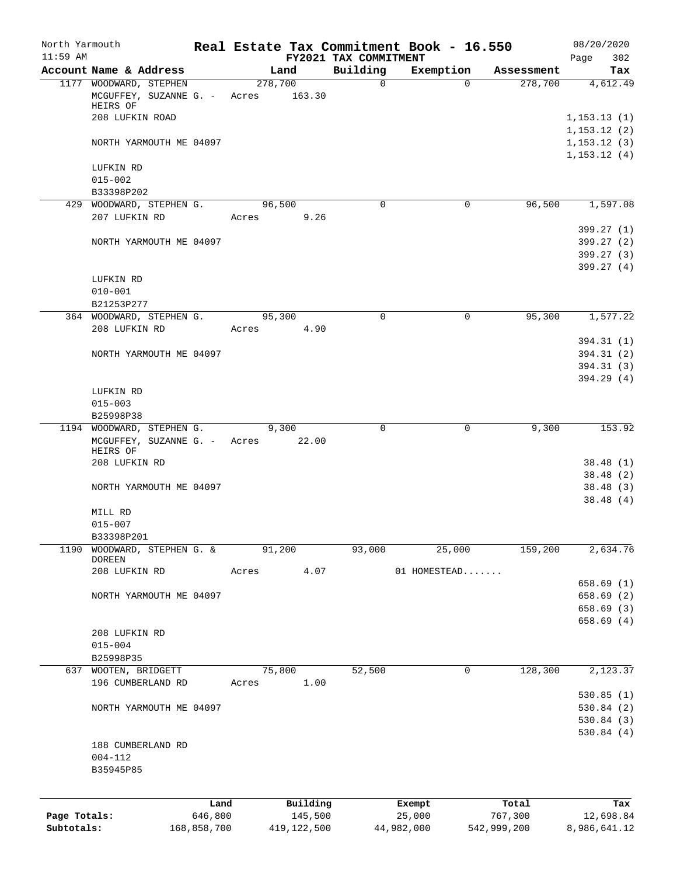| North Yarmouth             |                                                              |                        |                  |                          |                       | Real Estate Tax Commitment Book - 16.550 |                        | 08/20/2020                |
|----------------------------|--------------------------------------------------------------|------------------------|------------------|--------------------------|-----------------------|------------------------------------------|------------------------|---------------------------|
| $11:59$ AM                 |                                                              |                        |                  |                          | FY2021 TAX COMMITMENT |                                          |                        | 302<br>Page               |
|                            | Account Name & Address                                       |                        |                  | Land                     | Building              | Exemption                                | Assessment             | Tax                       |
|                            | 1177 WOODWARD, STEPHEN<br>MCGUFFEY, SUZANNE G. -<br>HEIRS OF |                        | 278,700<br>Acres | 163.30                   | $\mathbf 0$           | $\mathbf 0$                              | 278,700                | 4,612.49                  |
|                            | 208 LUFKIN ROAD                                              |                        |                  |                          |                       |                                          |                        | 1,153.13(1)               |
|                            |                                                              |                        |                  |                          |                       |                                          |                        | 1,153.12(2)               |
|                            | NORTH YARMOUTH ME 04097                                      |                        |                  |                          |                       |                                          |                        | 1, 153.12(3)              |
|                            |                                                              |                        |                  |                          |                       |                                          |                        | 1, 153.12(4)              |
|                            | LUFKIN RD<br>$015 - 002$                                     |                        |                  |                          |                       |                                          |                        |                           |
|                            | B33398P202                                                   |                        |                  |                          |                       |                                          |                        |                           |
|                            | 429 WOODWARD, STEPHEN G.                                     |                        |                  | 96,500                   | $\mathbf 0$           | 0                                        | 96,500                 | 1,597.08                  |
|                            | 207 LUFKIN RD                                                |                        | Acres            | 9.26                     |                       |                                          |                        |                           |
|                            |                                                              |                        |                  |                          |                       |                                          |                        | 399.27 (1)                |
|                            | NORTH YARMOUTH ME 04097                                      |                        |                  |                          |                       |                                          |                        | 399.27(2)                 |
|                            |                                                              |                        |                  |                          |                       |                                          |                        | 399.27 (3)<br>399.27(4)   |
|                            | LUFKIN RD                                                    |                        |                  |                          |                       |                                          |                        |                           |
|                            | $010 - 001$                                                  |                        |                  |                          |                       |                                          |                        |                           |
|                            | B21253P277                                                   |                        |                  |                          |                       |                                          |                        |                           |
|                            | 364 WOODWARD, STEPHEN G.                                     |                        |                  | 95,300                   | $\mathbf 0$           | 0                                        | 95,300                 | 1,577.22                  |
|                            | 208 LUFKIN RD                                                |                        | Acres            | 4.90                     |                       |                                          |                        |                           |
|                            |                                                              |                        |                  |                          |                       |                                          |                        | 394.31 (1)                |
|                            | NORTH YARMOUTH ME 04097                                      |                        |                  |                          |                       |                                          |                        | 394.31 (2)<br>394.31 (3)  |
|                            |                                                              |                        |                  |                          |                       |                                          |                        | 394.29(4)                 |
|                            | LUFKIN RD                                                    |                        |                  |                          |                       |                                          |                        |                           |
|                            | $015 - 003$                                                  |                        |                  |                          |                       |                                          |                        |                           |
|                            | B25998P38                                                    |                        |                  |                          |                       |                                          |                        |                           |
|                            | 1194 WOODWARD, STEPHEN G.                                    |                        |                  | 9,300                    | 0                     | 0                                        | 9,300                  | 153.92                    |
|                            | MCGUFFEY, SUZANNE G. -<br>HEIRS OF                           |                        | Acres            | 22.00                    |                       |                                          |                        |                           |
|                            | 208 LUFKIN RD                                                |                        |                  |                          |                       |                                          |                        | 38.48(1)                  |
|                            |                                                              |                        |                  |                          |                       |                                          |                        | 38.48 (2)                 |
|                            | NORTH YARMOUTH ME 04097                                      |                        |                  |                          |                       |                                          |                        | 38.48(3)                  |
|                            |                                                              |                        |                  |                          |                       |                                          |                        | 38.48(4)                  |
|                            | MILL RD<br>$015 - 007$                                       |                        |                  |                          |                       |                                          |                        |                           |
|                            | B33398P201                                                   |                        |                  |                          |                       |                                          |                        |                           |
| 1190                       | WOODWARD, STEPHEN G. &                                       |                        |                  | 91,200                   | 93,000                | 25,000                                   | 159,200                | 2,634.76                  |
|                            | <b>DOREEN</b>                                                |                        |                  |                          |                       |                                          |                        |                           |
|                            | 208 LUFKIN RD                                                |                        | Acres            | 4.07                     |                       | 01 HOMESTEAD                             |                        |                           |
|                            | NORTH YARMOUTH ME 04097                                      |                        |                  |                          |                       |                                          |                        | 658.69(1)<br>658.69(2)    |
|                            |                                                              |                        |                  |                          |                       |                                          |                        | 658.69 (3)                |
|                            |                                                              |                        |                  |                          |                       |                                          |                        | 658.69(4)                 |
|                            | 208 LUFKIN RD                                                |                        |                  |                          |                       |                                          |                        |                           |
|                            | $015 - 004$                                                  |                        |                  |                          |                       |                                          |                        |                           |
|                            | B25998P35                                                    |                        |                  |                          |                       |                                          |                        |                           |
|                            | 637 WOOTEN, BRIDGETT<br>196 CUMBERLAND RD                    |                        | Acres            | 75,800<br>1.00           | 52,500                | 0                                        | 128,300                | 2,123.37                  |
|                            |                                                              |                        |                  |                          |                       |                                          |                        | 530.85(1)                 |
|                            | NORTH YARMOUTH ME 04097                                      |                        |                  |                          |                       |                                          |                        | 530.84(2)                 |
|                            |                                                              |                        |                  |                          |                       |                                          |                        | 530.84(3)                 |
|                            |                                                              |                        |                  |                          |                       |                                          |                        | 530.84(4)                 |
|                            | 188 CUMBERLAND RD                                            |                        |                  |                          |                       |                                          |                        |                           |
|                            | $004 - 112$                                                  |                        |                  |                          |                       |                                          |                        |                           |
|                            | B35945P85                                                    |                        |                  |                          |                       |                                          |                        |                           |
|                            |                                                              |                        |                  |                          |                       |                                          |                        |                           |
|                            |                                                              | Land                   |                  | Building                 |                       | Exempt                                   | Total                  | Tax                       |
| Page Totals:<br>Subtotals: |                                                              | 646,800<br>168,858,700 |                  | 145,500<br>419, 122, 500 |                       | 25,000<br>44,982,000                     | 767,300<br>542,999,200 | 12,698.84<br>8,986,641.12 |
|                            |                                                              |                        |                  |                          |                       |                                          |                        |                           |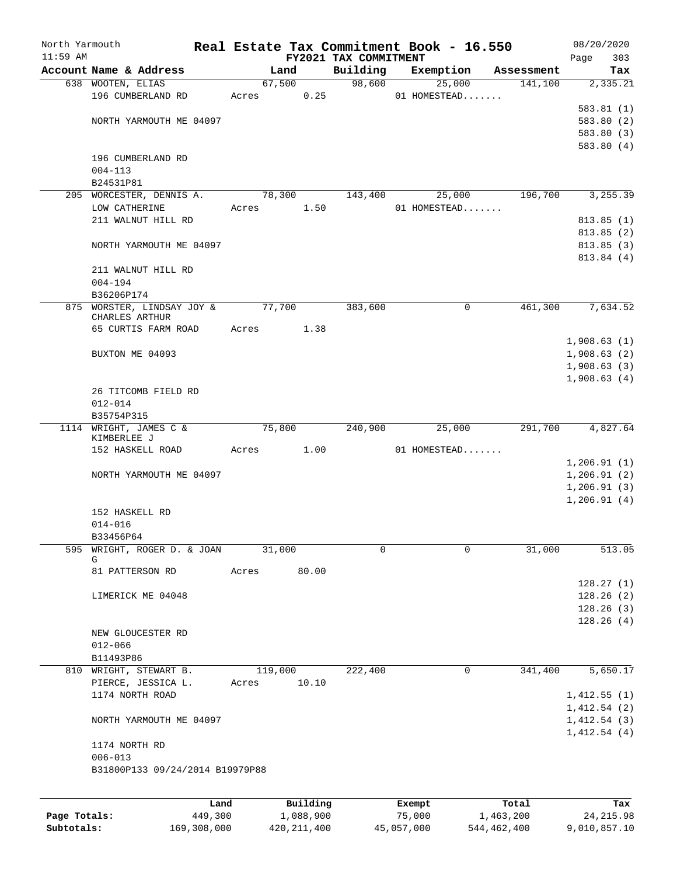| North Yarmouth<br>$11:59$ AM |                                              |       |           | FY2021 TAX COMMITMENT | Real Estate Tax Commitment Book - 16.550 |            | 08/20/2020<br>303<br>Page |
|------------------------------|----------------------------------------------|-------|-----------|-----------------------|------------------------------------------|------------|---------------------------|
|                              | Account Name & Address                       |       | Land      | Building              | Exemption                                | Assessment | Tax                       |
|                              | 638 WOOTEN, ELIAS                            |       | 67,500    | 98,600                | 25,000                                   | 141,100    | 2,335.21                  |
|                              | 196 CUMBERLAND RD                            | Acres | 0.25      |                       | 01 HOMESTEAD                             |            |                           |
|                              |                                              |       |           |                       |                                          |            | 583.81(1)                 |
|                              | NORTH YARMOUTH ME 04097                      |       |           |                       |                                          |            | 583.80(2)                 |
|                              |                                              |       |           |                       |                                          |            | 583.80 (3)                |
|                              |                                              |       |           |                       |                                          |            | 583.80(4)                 |
|                              | 196 CUMBERLAND RD                            |       |           |                       |                                          |            |                           |
|                              | $004 - 113$                                  |       |           |                       |                                          |            |                           |
|                              | B24531P81                                    |       |           |                       |                                          |            |                           |
|                              | 205 WORCESTER, DENNIS A.                     |       | 78,300    | 143,400               | 25,000                                   | 196,700    | 3,255.39                  |
|                              | LOW CATHERINE                                | Acres | 1.50      |                       | 01 HOMESTEAD                             |            |                           |
|                              | 211 WALNUT HILL RD                           |       |           |                       |                                          |            | 813.85(1)                 |
|                              |                                              |       |           |                       |                                          |            | 813.85(2)                 |
|                              |                                              |       |           |                       |                                          |            | 813.85(3)                 |
|                              | NORTH YARMOUTH ME 04097                      |       |           |                       |                                          |            |                           |
|                              |                                              |       |           |                       |                                          |            | 813.84 (4)                |
|                              | 211 WALNUT HILL RD                           |       |           |                       |                                          |            |                           |
|                              | $004 - 194$                                  |       |           |                       |                                          |            |                           |
|                              | B36206P174                                   |       |           |                       |                                          |            |                           |
|                              | 875 WORSTER, LINDSAY JOY &<br>CHARLES ARTHUR |       | 77,700    | 383,600               | 0                                        | 461,300    | 7,634.52                  |
|                              | 65 CURTIS FARM ROAD                          | Acres | 1.38      |                       |                                          |            |                           |
|                              |                                              |       |           |                       |                                          |            |                           |
|                              |                                              |       |           |                       |                                          |            | 1,908.63(1)               |
|                              | BUXTON ME 04093                              |       |           |                       |                                          |            | 1,908.63(2)               |
|                              |                                              |       |           |                       |                                          |            | 1,908.63(3)               |
|                              |                                              |       |           |                       |                                          |            | 1,908.63(4)               |
|                              | 26 TITCOMB FIELD RD                          |       |           |                       |                                          |            |                           |
|                              | $012 - 014$                                  |       |           |                       |                                          |            |                           |
|                              | B35754P315                                   |       |           |                       |                                          |            |                           |
| 1114                         | WRIGHT, JAMES C &<br>KIMBERLEE J             |       | 75,800    | 240,900               | 25,000                                   | 291,700    | 4,827.64                  |
|                              | 152 HASKELL ROAD                             | Acres | 1.00      |                       | 01 HOMESTEAD                             |            |                           |
|                              |                                              |       |           |                       |                                          |            | 1,206.91(1)               |
|                              | NORTH YARMOUTH ME 04097                      |       |           |                       |                                          |            | 1,206.91(2)               |
|                              |                                              |       |           |                       |                                          |            | 1,206.91(3)               |
|                              |                                              |       |           |                       |                                          |            | 1, 206.91(4)              |
|                              | 152 HASKELL RD                               |       |           |                       |                                          |            |                           |
|                              | $014 - 016$                                  |       |           |                       |                                          |            |                           |
|                              | B33456P64                                    |       |           |                       |                                          |            |                           |
| 595                          | WRIGHT, ROGER D. & JOAN                      |       | 31,000    | 0                     | 0                                        | 31,000     | 513.05                    |
|                              | G                                            |       |           |                       |                                          |            |                           |
|                              | 81 PATTERSON RD                              | Acres | 80.00     |                       |                                          |            |                           |
|                              |                                              |       |           |                       |                                          |            | 128.27(1)                 |
|                              | LIMERICK ME 04048                            |       |           |                       |                                          |            | 128.26(2)                 |
|                              |                                              |       |           |                       |                                          |            | 128.26(3)                 |
|                              |                                              |       |           |                       |                                          |            | 128.26(4)                 |
|                              | NEW GLOUCESTER RD                            |       |           |                       |                                          |            |                           |
|                              | $012 - 066$                                  |       |           |                       |                                          |            |                           |
|                              | B11493P86                                    |       |           |                       |                                          |            |                           |
|                              | 810 WRIGHT, STEWART B.                       |       | 119,000   | 222,400               | 0                                        | 341,400    | 5,650.17                  |
|                              | PIERCE, JESSICA L.                           | Acres | 10.10     |                       |                                          |            |                           |
|                              | 1174 NORTH ROAD                              |       |           |                       |                                          |            |                           |
|                              |                                              |       |           |                       |                                          |            | 1,412.55(1)               |
|                              |                                              |       |           |                       |                                          |            | 1,412.54(2)               |
|                              | NORTH YARMOUTH ME 04097                      |       |           |                       |                                          |            | 1,412.54(3)               |
|                              |                                              |       |           |                       |                                          |            | 1,412.54(4)               |
|                              | 1174 NORTH RD                                |       |           |                       |                                          |            |                           |
|                              | $006 - 013$                                  |       |           |                       |                                          |            |                           |
|                              | B31800P133 09/24/2014 B19979P88              |       |           |                       |                                          |            |                           |
|                              |                                              |       |           |                       |                                          |            |                           |
|                              |                                              | Land  | Building  |                       | Exempt                                   | Total      | Tax                       |
| Page Totals:                 | 449,300                                      |       | 1,088,900 |                       | 75,000                                   | 1,463,200  | 24, 215.98                |
|                              |                                              |       |           |                       |                                          |            |                           |

**Subtotals:** 169,308,000 420,211,400 45,057,000 544,462,400 9,010,857.10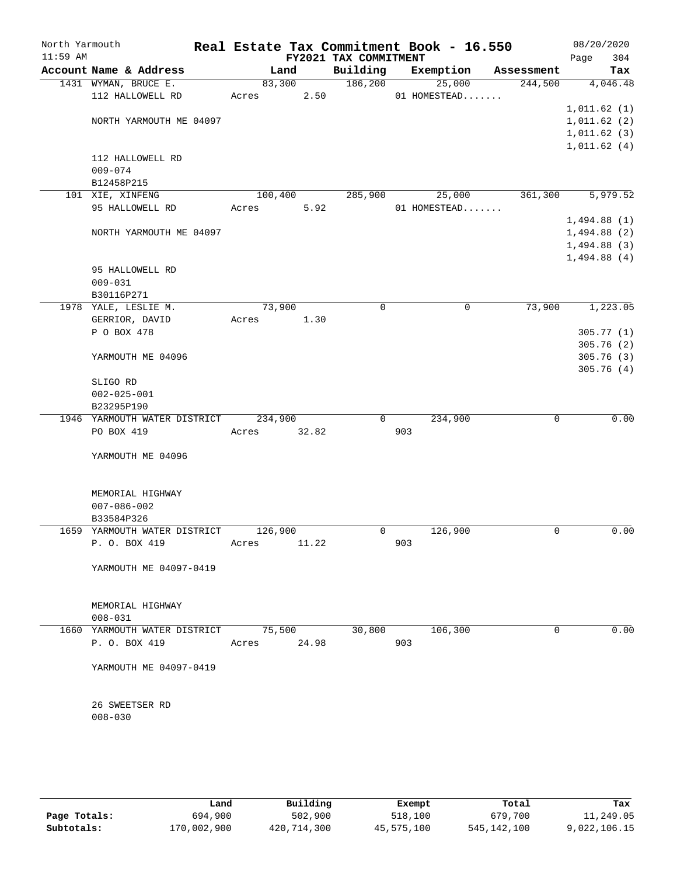| North Yarmouth<br>$11:59$ AM |                              |         |       | FY2021 TAX COMMITMENT |     | Real Estate Tax Commitment Book - 16.550 |            | 08/20/2020<br>Page<br>304 |
|------------------------------|------------------------------|---------|-------|-----------------------|-----|------------------------------------------|------------|---------------------------|
|                              | Account Name & Address       |         | Land  | Building              |     | Exemption                                | Assessment | Tax                       |
|                              | 1431 WYMAN, BRUCE E.         | 83,300  |       | 186,200               |     | 25,000                                   | 244,500    | 4,046.48                  |
|                              | 112 HALLOWELL RD             | Acres   | 2.50  |                       |     | 01 HOMESTEAD                             |            |                           |
|                              |                              |         |       |                       |     |                                          |            | 1,011.62(1)               |
|                              | NORTH YARMOUTH ME 04097      |         |       |                       |     |                                          |            | 1,011.62(2)               |
|                              |                              |         |       |                       |     |                                          |            | 1,011.62(3)               |
|                              |                              |         |       |                       |     |                                          |            | 1,011.62(4)               |
|                              | 112 HALLOWELL RD             |         |       |                       |     |                                          |            |                           |
|                              | $009 - 074$                  |         |       |                       |     |                                          |            |                           |
|                              | B12458P215                   |         |       |                       |     |                                          |            |                           |
|                              | 101 XIE, XINFENG             | 100,400 |       | 285,900               |     | 25,000                                   | 361,300    | 5,979.52                  |
|                              | 95 HALLOWELL RD              | Acres   | 5.92  |                       |     | 01 HOMESTEAD                             |            |                           |
|                              |                              |         |       |                       |     |                                          |            | 1,494.88(1)               |
|                              | NORTH YARMOUTH ME 04097      |         |       |                       |     |                                          |            | 1,494.88(2)               |
|                              |                              |         |       |                       |     |                                          |            | 1,494.88(3)               |
|                              |                              |         |       |                       |     |                                          |            | 1,494.88(4)               |
|                              | 95 HALLOWELL RD              |         |       |                       |     |                                          |            |                           |
|                              | $009 - 031$                  |         |       |                       |     |                                          |            |                           |
|                              | B30116P271                   |         |       |                       |     |                                          |            |                           |
|                              | 1978 YALE, LESLIE M.         | 73,900  |       | $\mathbf 0$           |     | 0                                        | 73,900     | 1,223.05                  |
|                              | GERRIOR, DAVID               | Acres   | 1.30  |                       |     |                                          |            |                           |
|                              | P O BOX 478                  |         |       |                       |     |                                          |            | 305.77(1)                 |
|                              |                              |         |       |                       |     |                                          |            | 305.76(2)                 |
|                              | YARMOUTH ME 04096            |         |       |                       |     |                                          |            | 305.76(3)                 |
|                              |                              |         |       |                       |     |                                          |            | 305.76(4)                 |
|                              | SLIGO RD                     |         |       |                       |     |                                          |            |                           |
|                              | $002 - 025 - 001$            |         |       |                       |     |                                          |            |                           |
|                              | B23295P190                   |         |       |                       |     |                                          |            |                           |
|                              | 1946 YARMOUTH WATER DISTRICT | 234,900 |       | 0                     |     | 234,900                                  | 0          | 0.00                      |
|                              | PO BOX 419                   | Acres   | 32.82 |                       | 903 |                                          |            |                           |
|                              |                              |         |       |                       |     |                                          |            |                           |
|                              | YARMOUTH ME 04096            |         |       |                       |     |                                          |            |                           |
|                              |                              |         |       |                       |     |                                          |            |                           |
|                              |                              |         |       |                       |     |                                          |            |                           |
|                              | MEMORIAL HIGHWAY             |         |       |                       |     |                                          |            |                           |
|                              | $007 - 086 - 002$            |         |       |                       |     |                                          |            |                           |
|                              | B33584P326                   |         |       |                       |     |                                          |            |                           |
|                              | 1659 YARMOUTH WATER DISTRICT | 126,900 |       | 0                     |     | 126,900                                  | 0          | 0.00                      |
|                              |                              |         |       |                       |     |                                          |            |                           |
|                              | P. O. BOX 419                | Acres   | 11.22 |                       | 903 |                                          |            |                           |
|                              |                              |         |       |                       |     |                                          |            |                           |
|                              | YARMOUTH ME 04097-0419       |         |       |                       |     |                                          |            |                           |
|                              |                              |         |       |                       |     |                                          |            |                           |
|                              |                              |         |       |                       |     |                                          |            |                           |
|                              | MEMORIAL HIGHWAY             |         |       |                       |     |                                          |            |                           |
|                              | $008 - 031$                  |         |       |                       |     |                                          | 0          |                           |
|                              | 1660 YARMOUTH WATER DISTRICT | 75,500  |       | 30,800                |     | 106,300                                  |            | 0.00                      |
|                              | P. O. BOX 419                | Acres   | 24.98 |                       | 903 |                                          |            |                           |
|                              |                              |         |       |                       |     |                                          |            |                           |
|                              | YARMOUTH ME 04097-0419       |         |       |                       |     |                                          |            |                           |
|                              |                              |         |       |                       |     |                                          |            |                           |
|                              | 26 SWEETSER RD               |         |       |                       |     |                                          |            |                           |
|                              | $008 - 030$                  |         |       |                       |     |                                          |            |                           |
|                              |                              |         |       |                       |     |                                          |            |                           |
|                              |                              |         |       |                       |     |                                          |            |                           |
|                              |                              |         |       |                       |     |                                          |            |                           |
|                              |                              |         |       |                       |     |                                          |            |                           |
|                              |                              |         |       |                       |     |                                          |            |                           |

|              | Land        | Building    | Exempt     | Total         | Tax          |
|--------------|-------------|-------------|------------|---------------|--------------|
| Page Totals: | 694,900     | 502,900     | 518,100    | 679,700       | 11,249.05    |
| Subtotals:   | 170,002,900 | 420,714,300 | 45,575,100 | 545, 142, 100 | 9,022,106.15 |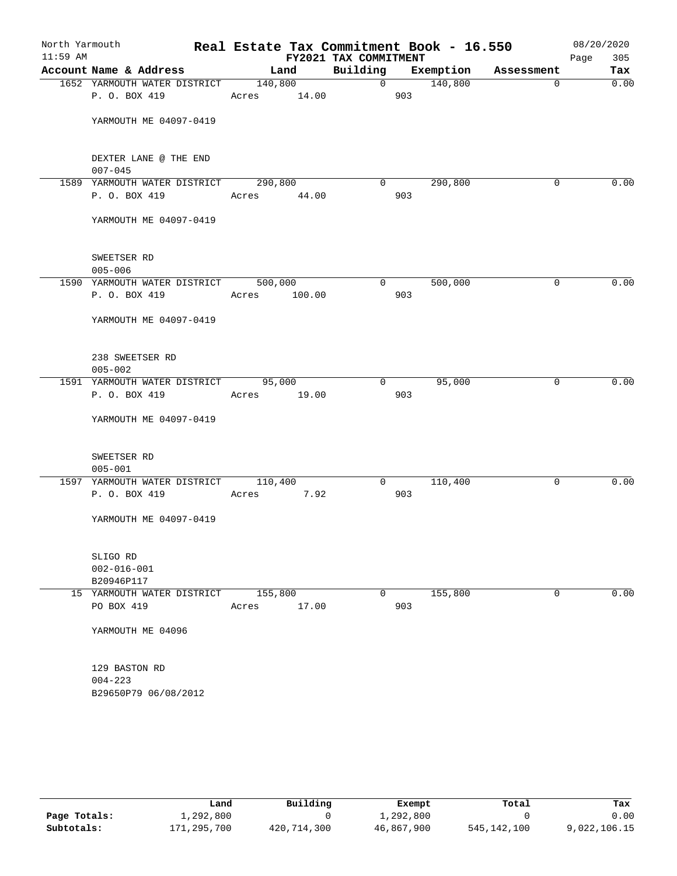| $11:59$ AM |                                             |                 | FY2021 TAX COMMITMENT |                |                    |            | 305<br>Page |
|------------|---------------------------------------------|-----------------|-----------------------|----------------|--------------------|------------|-------------|
|            | Account Name & Address                      | Land            |                       |                | Building Exemption | Assessment | Tax         |
|            | 1652 YARMOUTH WATER DISTRICT 140,800        |                 |                       | $\overline{0}$ | 140,800            | $\Omega$   | 0.00        |
|            | P. O. BOX 419                               | Acres 14.00     |                       | 903            |                    |            |             |
|            | YARMOUTH ME 04097-0419                      |                 |                       |                |                    |            |             |
|            | DEXTER LANE @ THE END<br>$007 - 045$        |                 |                       |                |                    |            |             |
|            | 1589 YARMOUTH WATER DISTRICT 290,800        |                 | $\overline{0}$        |                | 290,800            | 0          | 0.00        |
|            | P. O. BOX 419                               | Acres 44.00     |                       | 903            |                    |            |             |
|            | YARMOUTH ME 04097-0419                      |                 |                       |                |                    |            |             |
|            | SWEETSER RD<br>$005 - 006$                  |                 |                       |                |                    |            |             |
|            | 1590 YARMOUTH WATER DISTRICT                | 500,000         |                       | 0              | 500,000            | 0          | 0.00        |
|            | P. O. BOX 419                               | 100.00<br>Acres |                       | 903            |                    |            |             |
|            | YARMOUTH ME 04097-0419                      |                 |                       |                |                    |            |             |
|            | 238 SWEETSER RD<br>$005 - 002$              |                 |                       |                |                    |            |             |
|            | 1591 YARMOUTH WATER DISTRICT 95,000         |                 | $\overline{0}$        |                | 95,000             | $\Omega$   | 0.00        |
|            | P. O. BOX 419                               | Acres 19.00     |                       | 903            |                    |            |             |
|            | YARMOUTH ME 04097-0419                      |                 |                       |                |                    |            |             |
|            | SWEETSER RD<br>$005 - 001$                  |                 |                       |                |                    |            |             |
|            | 1597 YARMOUTH WATER DISTRICT                | 110,400         | 0                     |                | 110,400            | 0          | 0.00        |
|            | P. O. BOX 419                               | Acres 7.92      |                       | 903            |                    |            |             |
|            | YARMOUTH ME 04097-0419                      |                 |                       |                |                    |            |             |
|            | SLIGO RD<br>$002 - 016 - 001$<br>B20946P117 |                 |                       |                |                    |            |             |
|            | 15 YARMOUTH WATER DISTRICT                  | 155,800         | $\overline{0}$        |                | 155,800            | 0          | 0.00        |
|            | PO BOX 419                                  | 17.00<br>Acres  |                       | 903            |                    |            |             |
|            | YARMOUTH ME 04096                           |                 |                       |                |                    |            |             |
|            | 129 BASTON RD<br>$004 - 223$                |                 |                       |                |                    |            |             |

|              | Land        | Building    | Exempt     | Total       | Tax          |
|--------------|-------------|-------------|------------|-------------|--------------|
| Page Totals: | 1,292,800   |             | 1,292,800  |             | 0.00         |
| Subtotals:   | 171,295,700 | 420,714,300 | 46,867,900 | 545,142,100 | 9,022,106.15 |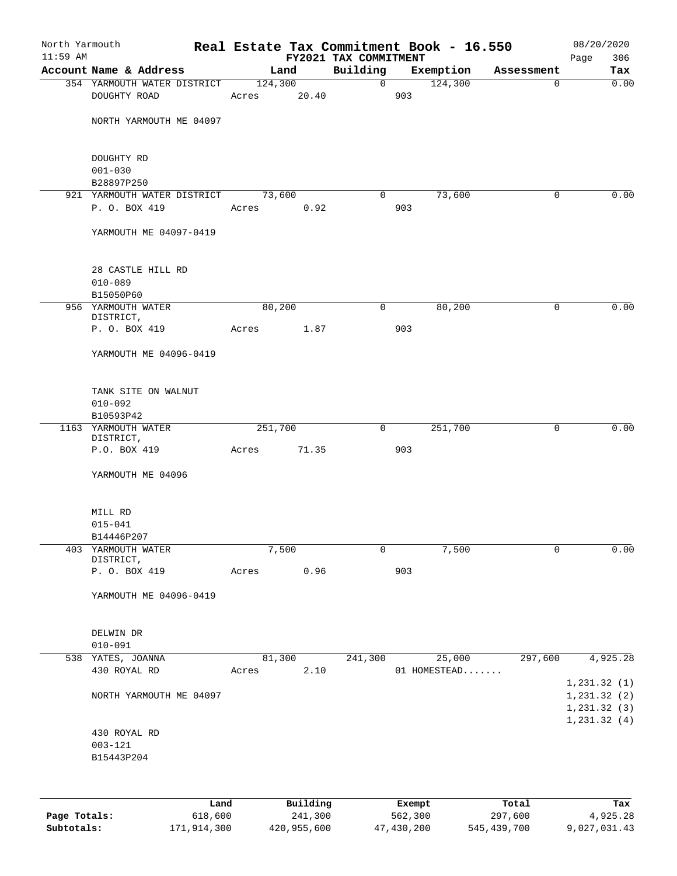| North Yarmouth<br>$11:59$ AM |                                 |         |          | FY2021 TAX COMMITMENT |                | Real Estate Tax Commitment Book - 16.550 |             | 08/20/2020<br>306<br>Page |
|------------------------------|---------------------------------|---------|----------|-----------------------|----------------|------------------------------------------|-------------|---------------------------|
|                              | Account Name & Address          |         | Land     | Building              |                | Exemption                                | Assessment  | Tax                       |
|                              | 354 YARMOUTH WATER DISTRICT     | 124,300 |          |                       | $\overline{0}$ | 124,300                                  | $\mathbf 0$ | 0.00                      |
|                              | DOUGHTY ROAD                    | Acres   | 20.40    |                       | 903            |                                          |             |                           |
|                              |                                 |         |          |                       |                |                                          |             |                           |
|                              | NORTH YARMOUTH ME 04097         |         |          |                       |                |                                          |             |                           |
|                              |                                 |         |          |                       |                |                                          |             |                           |
|                              | DOUGHTY RD                      |         |          |                       |                |                                          |             |                           |
|                              | $001 - 030$<br>B28897P250       |         |          |                       |                |                                          |             |                           |
|                              | 921 YARMOUTH WATER DISTRICT     |         | 73,600   | $\overline{0}$        |                | 73,600                                   | $\Omega$    | 0.00                      |
|                              | P. O. BOX 419                   | Acres   | 0.92     |                       | 903            |                                          |             |                           |
|                              |                                 |         |          |                       |                |                                          |             |                           |
|                              | YARMOUTH ME 04097-0419          |         |          |                       |                |                                          |             |                           |
|                              |                                 |         |          |                       |                |                                          |             |                           |
|                              | 28 CASTLE HILL RD               |         |          |                       |                |                                          |             |                           |
|                              | $010 - 089$                     |         |          |                       |                |                                          |             |                           |
|                              | B15050P60                       |         |          |                       |                |                                          |             |                           |
|                              | 956 YARMOUTH WATER<br>DISTRICT, |         | 80,200   | 0                     |                | 80,200                                   | 0           | 0.00                      |
|                              | P. O. BOX 419                   | Acres   | 1.87     |                       | 903            |                                          |             |                           |
|                              |                                 |         |          |                       |                |                                          |             |                           |
|                              | YARMOUTH ME 04096-0419          |         |          |                       |                |                                          |             |                           |
|                              |                                 |         |          |                       |                |                                          |             |                           |
|                              | TANK SITE ON WALNUT             |         |          |                       |                |                                          |             |                           |
|                              | $010 - 092$<br>B10593P42        |         |          |                       |                |                                          |             |                           |
|                              | 1163 YARMOUTH WATER             | 251,700 |          | $\mathsf{O}$          |                | 251,700                                  | 0           | 0.00                      |
|                              | DISTRICT,                       |         |          |                       |                |                                          |             |                           |
|                              | P.O. BOX 419                    | Acres   | 71.35    |                       | 903            |                                          |             |                           |
|                              | YARMOUTH ME 04096               |         |          |                       |                |                                          |             |                           |
|                              |                                 |         |          |                       |                |                                          |             |                           |
|                              | MILL RD<br>$015 - 041$          |         |          |                       |                |                                          |             |                           |
|                              | B14446P207                      |         |          |                       |                |                                          |             |                           |
|                              | 403 YARMOUTH WATER              |         | 7,500    | 0                     |                | 7,500                                    | 0           | 0.00                      |
|                              | DISTRICT,                       |         |          |                       |                |                                          |             |                           |
|                              | P. O. BOX 419                   | Acres   | 0.96     |                       | 903            |                                          |             |                           |
|                              | YARMOUTH ME 04096-0419          |         |          |                       |                |                                          |             |                           |
|                              |                                 |         |          |                       |                |                                          |             |                           |
|                              | DELWIN DR                       |         |          |                       |                |                                          |             |                           |
|                              | $010 - 091$                     |         |          |                       |                |                                          |             |                           |
|                              | 538 YATES, JOANNA               |         | 81,300   | 241,300               |                | 25,000                                   | 297,600     | 4,925.28                  |
|                              | 430 ROYAL RD                    | Acres   | 2.10     |                       |                | 01 HOMESTEAD                             |             | 1,231.32(1)               |
|                              | NORTH YARMOUTH ME 04097         |         |          |                       |                |                                          |             | 1,231.32(2)               |
|                              |                                 |         |          |                       |                |                                          |             | 1, 231.32(3)              |
|                              |                                 |         |          |                       |                |                                          |             | 1, 231.32(4)              |
|                              | 430 ROYAL RD                    |         |          |                       |                |                                          |             |                           |
|                              | $003 - 121$<br>B15443P204       |         |          |                       |                |                                          |             |                           |
|                              |                                 |         |          |                       |                |                                          |             |                           |
|                              |                                 |         |          |                       |                |                                          |             |                           |
|                              | Land                            |         | Building |                       | Exempt         |                                          | Total       | Tax                       |

|              | Land        | Building    | Exempt     | Total       | Tax          |
|--------------|-------------|-------------|------------|-------------|--------------|
| Page Totals: | 618,600     | 241,300     | 562,300    | 297,600     | 4,925.28     |
| Subtotals:   | 171,914,300 | 420,955,600 | 47,430,200 | 545,439,700 | 9,027,031.43 |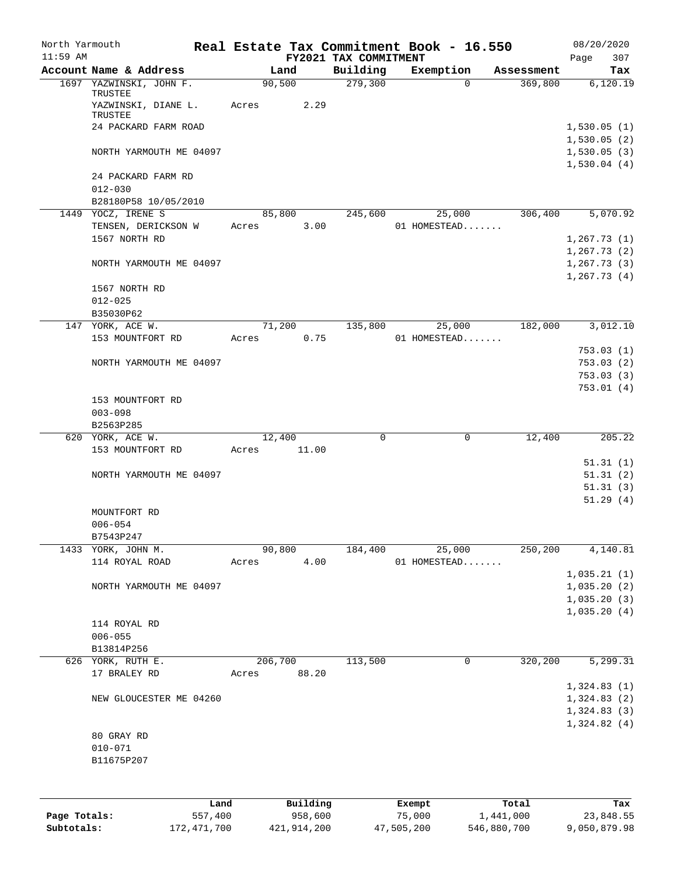| North Yarmouth<br>$11:59$ AM |                                   |       |          |                                   | Real Estate Tax Commitment Book - 16.550 |            | 08/20/2020                 |
|------------------------------|-----------------------------------|-------|----------|-----------------------------------|------------------------------------------|------------|----------------------------|
|                              | Account Name & Address            |       | Land     | FY2021 TAX COMMITMENT<br>Building | Exemption                                | Assessment | 307<br>Page<br>Tax         |
|                              | 1697 YAZWINSKI, JOHN F.           |       | 90,500   | 279,300                           | $\Omega$                                 | 369,800    | 6,120.19                   |
|                              | TRUSTEE<br>YAZWINSKI, DIANE L.    | Acres | 2.29     |                                   |                                          |            |                            |
|                              | TRUSTEE                           |       |          |                                   |                                          |            |                            |
|                              | 24 PACKARD FARM ROAD              |       |          |                                   |                                          |            | 1,530.05(1)                |
|                              |                                   |       |          |                                   |                                          |            | 1,530.05(2)                |
|                              | NORTH YARMOUTH ME 04097           |       |          |                                   |                                          |            | 1,530.05(3)<br>1,530.04(4) |
|                              | 24 PACKARD FARM RD<br>$012 - 030$ |       |          |                                   |                                          |            |                            |
|                              | B28180P58 10/05/2010              |       |          |                                   |                                          |            |                            |
|                              | 1449 YOCZ, IRENE S                |       | 85,800   | 245,600                           | 25,000                                   | 306,400    | 5,070.92                   |
|                              | TENSEN, DERICKSON W               | Acres | 3.00     |                                   | 01 HOMESTEAD                             |            |                            |
|                              | 1567 NORTH RD                     |       |          |                                   |                                          |            | 1, 267.73(1)               |
|                              |                                   |       |          |                                   |                                          |            | 1, 267.73(2)               |
|                              | NORTH YARMOUTH ME 04097           |       |          |                                   |                                          |            | 1, 267.73(3)               |
|                              |                                   |       |          |                                   |                                          |            | 1, 267.73(4)               |
|                              | 1567 NORTH RD                     |       |          |                                   |                                          |            |                            |
|                              | $012 - 025$                       |       |          |                                   |                                          |            |                            |
|                              | B35030P62                         |       |          |                                   |                                          |            |                            |
|                              | 147 YORK, ACE W.                  |       | 71,200   | 135,800                           | 25,000                                   | 182,000    | 3,012.10                   |
|                              | 153 MOUNTFORT RD                  | Acres | 0.75     |                                   | 01 HOMESTEAD                             |            |                            |
|                              |                                   |       |          |                                   |                                          |            | 753.03(1)                  |
|                              | NORTH YARMOUTH ME 04097           |       |          |                                   |                                          |            | 753.03(2)                  |
|                              |                                   |       |          |                                   |                                          |            | 753.03(3)                  |
|                              |                                   |       |          |                                   |                                          |            | 753.01(4)                  |
|                              | 153 MOUNTFORT RD                  |       |          |                                   |                                          |            |                            |
|                              | $003 - 098$                       |       |          |                                   |                                          |            |                            |
|                              | B2563P285                         |       |          |                                   |                                          |            |                            |
|                              | 620 YORK, ACE W.                  |       | 12,400   | $\mathbf 0$                       | $\mathsf{O}$                             | 12,400     | 205.22                     |
|                              | 153 MOUNTFORT RD                  | Acres | 11.00    |                                   |                                          |            |                            |
|                              |                                   |       |          |                                   |                                          |            | 51.31(1)                   |
|                              | NORTH YARMOUTH ME 04097           |       |          |                                   |                                          |            | 51.31(2)                   |
|                              |                                   |       |          |                                   |                                          |            | 51.31(3)                   |
|                              |                                   |       |          |                                   |                                          |            | 51.29(4)                   |
|                              | MOUNTFORT RD                      |       |          |                                   |                                          |            |                            |
|                              | $006 - 054$                       |       |          |                                   |                                          |            |                            |
|                              | B7543P247                         |       |          |                                   |                                          |            |                            |
| 1433                         | YORK, JOHN M.                     |       | 90,800   | 184,400                           | 25,000                                   | 250, 200   | 4,140.81                   |
|                              | 114 ROYAL ROAD                    | Acres | 4.00     |                                   | 01 HOMESTEAD                             |            |                            |
|                              |                                   |       |          |                                   |                                          |            | 1,035.21(1)                |
|                              | NORTH YARMOUTH ME 04097           |       |          |                                   |                                          |            | 1,035.20(2)                |
|                              |                                   |       |          |                                   |                                          |            | 1,035.20(3)                |
|                              |                                   |       |          |                                   |                                          |            | 1,035.20(4)                |
|                              | 114 ROYAL RD                      |       |          |                                   |                                          |            |                            |
|                              | $006 - 055$                       |       |          |                                   |                                          |            |                            |
|                              | B13814P256                        |       |          |                                   |                                          |            |                            |
|                              | 626 YORK, RUTH E.                 |       | 206,700  | 113,500                           | 0                                        | 320,200    | 5,299.31                   |
|                              | 17 BRALEY RD                      | Acres | 88.20    |                                   |                                          |            |                            |
|                              |                                   |       |          |                                   |                                          |            | 1,324.83(1)                |
|                              | NEW GLOUCESTER ME 04260           |       |          |                                   |                                          |            | 1,324.83(2)                |
|                              |                                   |       |          |                                   |                                          |            | 1,324.83(3)                |
|                              |                                   |       |          |                                   |                                          |            | 1,324.82(4)                |
|                              | 80 GRAY RD                        |       |          |                                   |                                          |            |                            |
|                              | $010 - 071$                       |       |          |                                   |                                          |            |                            |
|                              | B11675P207                        |       |          |                                   |                                          |            |                            |
|                              |                                   |       |          |                                   |                                          |            |                            |
|                              |                                   |       |          |                                   |                                          |            |                            |
|                              |                                   | Land  | Building |                                   | Exempt                                   | Total      | Tax                        |
| Page Totals:                 | 557,400                           |       | 958,600  |                                   | 75,000                                   | 1,441,000  | 23,848.55                  |

**Subtotals:** 172,471,700 421,914,200 47,505,200 546,880,700 9,050,879.98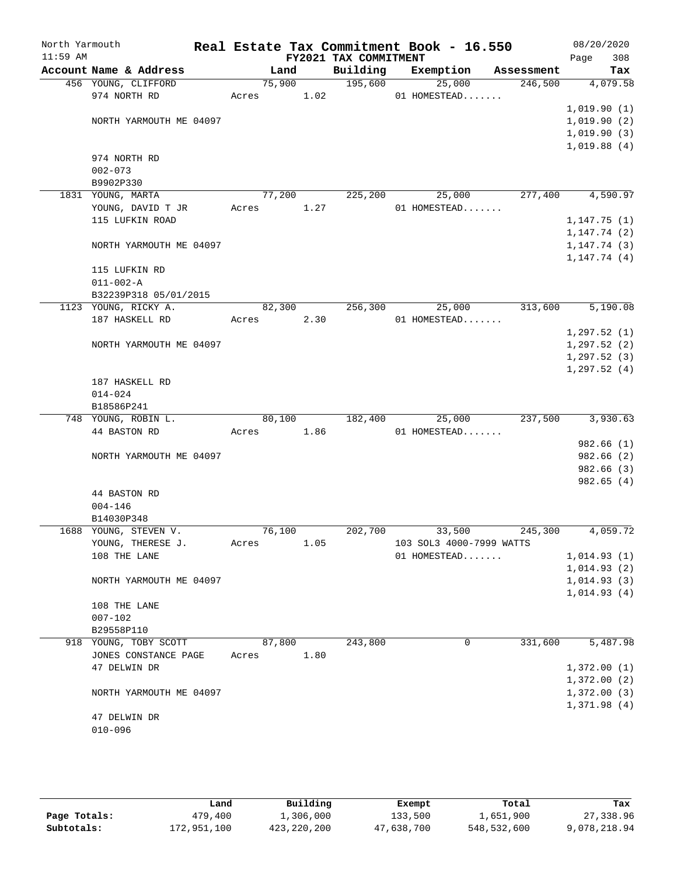| North Yarmouth<br>$11:59$ AM |                                               |        |      | FY2021 TAX COMMITMENT | Real Estate Tax Commitment Book - 16.550 |            | 08/20/2020<br>308<br>Page |
|------------------------------|-----------------------------------------------|--------|------|-----------------------|------------------------------------------|------------|---------------------------|
|                              | Account Name & Address                        |        | Land | Building              | Exemption                                | Assessment | Tax                       |
|                              | 456 YOUNG, CLIFFORD                           | 75,900 |      | 195,600               | 25,000                                   | 246,500    | 4,079.58                  |
|                              | 974 NORTH RD                                  | Acres  | 1.02 |                       | 01 HOMESTEAD                             |            |                           |
|                              |                                               |        |      |                       |                                          |            | 1,019.90(1)               |
|                              | NORTH YARMOUTH ME 04097                       |        |      |                       |                                          |            | 1,019.90(2)               |
|                              |                                               |        |      |                       |                                          |            | 1,019.90(3)               |
|                              |                                               |        |      |                       |                                          |            | 1,019.88(4)               |
|                              | 974 NORTH RD                                  |        |      |                       |                                          |            |                           |
|                              | $002 - 073$                                   |        |      |                       |                                          |            |                           |
|                              | B9902P330                                     |        |      |                       |                                          |            |                           |
|                              | 1831 YOUNG, MARTA                             | 77,200 |      | 225,200               | 25,000                                   | 277,400    | 4,590.97                  |
|                              | YOUNG, DAVID T JR                             | Acres  | 1.27 |                       | 01 HOMESTEAD                             |            |                           |
|                              | 115 LUFKIN ROAD                               |        |      |                       |                                          |            | 1, 147.75(1)              |
|                              |                                               |        |      |                       |                                          |            | 1, 147.74(2)              |
|                              | NORTH YARMOUTH ME 04097                       |        |      |                       |                                          |            | 1, 147.74(3)              |
|                              |                                               |        |      |                       |                                          |            | 1, 147.74(4)              |
|                              | 115 LUFKIN RD                                 |        |      |                       |                                          |            |                           |
|                              | $011 - 002 - A$                               |        |      |                       |                                          |            |                           |
|                              | B32239P318 05/01/2015<br>1123 YOUNG, RICKY A. | 82,300 |      | 256,300               | 25,000                                   | 313,600    | 5,190.08                  |
|                              |                                               | Acres  | 2.30 |                       | 01 HOMESTEAD                             |            |                           |
|                              | 187 HASKELL RD                                |        |      |                       |                                          |            | 1, 297.52(1)              |
|                              | NORTH YARMOUTH ME 04097                       |        |      |                       |                                          |            | 1, 297.52(2)              |
|                              |                                               |        |      |                       |                                          |            | 1, 297.52(3)              |
|                              |                                               |        |      |                       |                                          |            | 1, 297.52(4)              |
|                              | 187 HASKELL RD                                |        |      |                       |                                          |            |                           |
|                              | $014 - 024$                                   |        |      |                       |                                          |            |                           |
|                              | B18586P241                                    |        |      |                       |                                          |            |                           |
|                              | 748 YOUNG, ROBIN L.                           | 80,100 |      | 182,400               | 25,000                                   | 237,500    | 3,930.63                  |
|                              | 44 BASTON RD                                  | Acres  | 1.86 |                       | 01 HOMESTEAD                             |            |                           |
|                              |                                               |        |      |                       |                                          |            | 982.66(1)                 |
|                              | NORTH YARMOUTH ME 04097                       |        |      |                       |                                          |            | 982.66(2)                 |
|                              |                                               |        |      |                       |                                          |            | 982.66(3)                 |
|                              |                                               |        |      |                       |                                          |            | 982.65(4)                 |
|                              | 44 BASTON RD                                  |        |      |                       |                                          |            |                           |
|                              | $004 - 146$                                   |        |      |                       |                                          |            |                           |
|                              | B14030P348                                    |        |      |                       |                                          |            |                           |
|                              | 1688 YOUNG, STEVEN V.                         | 76,100 |      | 202,700               | 33,500                                   | 245,300    | 4,059.72                  |
|                              | YOUNG, THERESE J.                             | Acres  | 1.05 |                       | 103 SOL3 4000-7999 WATTS                 |            |                           |
|                              | 108 THE LANE                                  |        |      |                       | 01 HOMESTEAD                             |            | 1,014.93(1)               |
|                              |                                               |        |      |                       |                                          |            | 1,014.93(2)               |
|                              | NORTH YARMOUTH ME 04097                       |        |      |                       |                                          |            | 1,014.93(3)               |
|                              |                                               |        |      |                       |                                          |            | 1,014.93(4)               |
|                              | 108 THE LANE                                  |        |      |                       |                                          |            |                           |
|                              | $007 - 102$                                   |        |      |                       |                                          |            |                           |
|                              | B29558P110                                    |        |      |                       |                                          |            | 5,487.98                  |
|                              | 918 YOUNG, TOBY SCOTT<br>JONES CONSTANCE PAGE | 87,800 | 1.80 | 243,800               | 0                                        | 331,600    |                           |
|                              | 47 DELWIN DR                                  | Acres  |      |                       |                                          |            | 1,372.00(1)               |
|                              |                                               |        |      |                       |                                          |            | 1,372.00(2)               |
|                              | NORTH YARMOUTH ME 04097                       |        |      |                       |                                          |            | 1,372.00(3)               |
|                              |                                               |        |      |                       |                                          |            | 1,371.98(4)               |
|                              | 47 DELWIN DR                                  |        |      |                       |                                          |            |                           |
|                              | $010 - 096$                                   |        |      |                       |                                          |            |                           |
|                              |                                               |        |      |                       |                                          |            |                           |

|              | úand        | Building    | Exempt     | Total       | Tax          |
|--------------|-------------|-------------|------------|-------------|--------------|
| Page Totals: | 479,400     | 1,306,000   | 133,500    | 1,651,900   | 27,338.96    |
| Subtotals:   | 172,951,100 | 423,220,200 | 47,638,700 | 548,532,600 | 9,078,218.94 |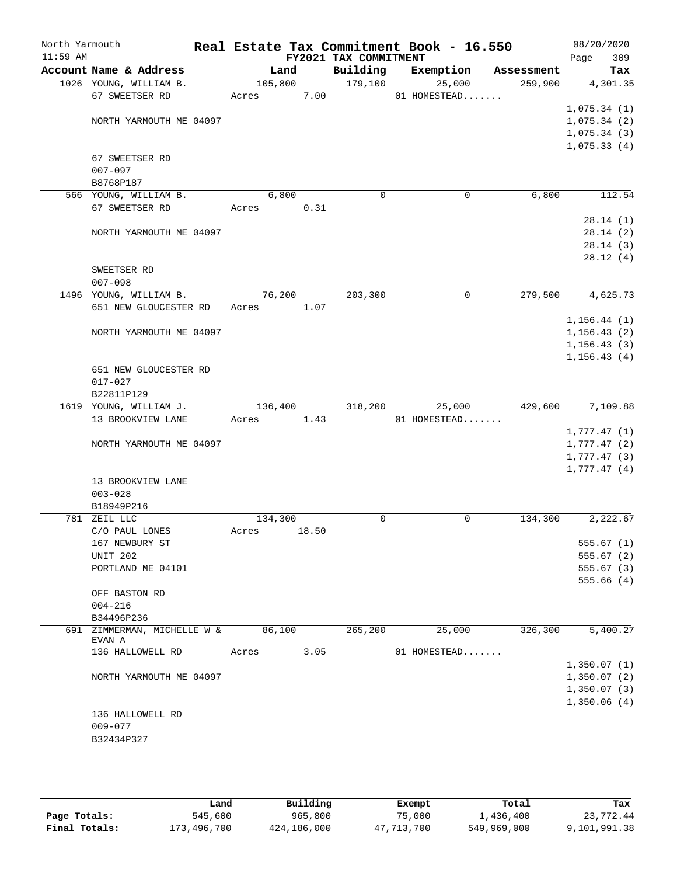| North Yarmouth<br>$11:59$ AM |                                    |         |       | FY2021 TAX COMMITMENT | Real Estate Tax Commitment Book - 16.550 |            | 08/20/2020<br>309<br>Page |
|------------------------------|------------------------------------|---------|-------|-----------------------|------------------------------------------|------------|---------------------------|
|                              | Account Name & Address             | Land    |       | Building              | Exemption                                | Assessment | Tax                       |
|                              | 1026 YOUNG, WILLIAM B.             | 105,800 |       | 179,100               | 25,000                                   | 259,900    | 4,301.35                  |
|                              | 67 SWEETSER RD                     | Acres   | 7.00  |                       | 01 HOMESTEAD                             |            |                           |
|                              |                                    |         |       |                       |                                          |            | 1,075.34(1)               |
|                              | NORTH YARMOUTH ME 04097            |         |       |                       |                                          |            | 1,075.34(2)               |
|                              |                                    |         |       |                       |                                          |            | 1,075.34(3)               |
|                              |                                    |         |       |                       |                                          |            | 1,075.33(4)               |
|                              | 67 SWEETSER RD                     |         |       |                       |                                          |            |                           |
|                              | $007 - 097$                        |         |       |                       |                                          |            |                           |
|                              | B8768P187                          |         |       |                       |                                          |            |                           |
|                              | 566 YOUNG, WILLIAM B.              | 6,800   |       | $\mathbf 0$           | 0                                        | 6,800      | 112.54                    |
|                              | 67 SWEETSER RD                     | Acres   | 0.31  |                       |                                          |            |                           |
|                              |                                    |         |       |                       |                                          |            | 28.14(1)                  |
|                              | NORTH YARMOUTH ME 04097            |         |       |                       |                                          |            | 28.14(2)                  |
|                              |                                    |         |       |                       |                                          |            | 28.14(3)                  |
|                              |                                    |         |       |                       |                                          |            | 28.12(4)                  |
|                              | SWEETSER RD                        |         |       |                       |                                          |            |                           |
|                              | $007 - 098$                        |         |       |                       |                                          |            |                           |
|                              | 1496 YOUNG, WILLIAM B.             | 76,200  |       | 203,300               | $\mathbf 0$                              | 279,500    | 4,625.73                  |
|                              | 651 NEW GLOUCESTER RD              | Acres   | 1.07  |                       |                                          |            |                           |
|                              |                                    |         |       |                       |                                          |            | 1, 156.44(1)              |
|                              | NORTH YARMOUTH ME 04097            |         |       |                       |                                          |            | 1, 156.43(2)              |
|                              |                                    |         |       |                       |                                          |            | 1, 156.43(3)              |
|                              |                                    |         |       |                       |                                          |            | 1, 156.43(4)              |
|                              | 651 NEW GLOUCESTER RD              |         |       |                       |                                          |            |                           |
|                              | $017 - 027$                        |         |       |                       |                                          |            |                           |
|                              | B22811P129                         |         |       |                       |                                          |            |                           |
|                              | 1619 YOUNG, WILLIAM J.             | 136,400 |       | 318,200               | 25,000                                   | 429,600    | 7,109.88                  |
|                              | 13 BROOKVIEW LANE                  | Acres   | 1.43  |                       | 01 HOMESTEAD                             |            |                           |
|                              |                                    |         |       |                       |                                          |            | 1,777.47(1)               |
|                              | NORTH YARMOUTH ME 04097            |         |       |                       |                                          |            | 1,777.47(2)               |
|                              |                                    |         |       |                       |                                          |            | 1,777.47(3)               |
|                              | 13 BROOKVIEW LANE                  |         |       |                       |                                          |            | 1,777.47(4)               |
|                              | $003 - 028$                        |         |       |                       |                                          |            |                           |
|                              | B18949P216                         |         |       |                       |                                          |            |                           |
|                              | 781 ZEIL LLC                       | 134,300 |       | 0                     | 0                                        | 134,300    | 2,222.67                  |
|                              | C/O PAUL LONES                     | Acres   | 18.50 |                       |                                          |            |                           |
|                              | 167 NEWBURY ST                     |         |       |                       |                                          |            | 555.67(1)                 |
|                              | <b>UNIT 202</b>                    |         |       |                       |                                          |            | 555.67(2)                 |
|                              | PORTLAND ME 04101                  |         |       |                       |                                          |            | 555.67(3)                 |
|                              |                                    |         |       |                       |                                          |            | 555.66(4)                 |
|                              | OFF BASTON RD                      |         |       |                       |                                          |            |                           |
|                              | $004 - 216$                        |         |       |                       |                                          |            |                           |
|                              | B34496P236                         |         |       |                       |                                          |            |                           |
|                              | 691 ZIMMERMAN, MICHELLE W & 86,100 |         |       | 265,200               | 25,000                                   | 326, 300   | 5,400.27                  |
|                              | EVAN A                             |         |       |                       |                                          |            |                           |
|                              | 136 HALLOWELL RD                   | Acres   | 3.05  |                       | 01 HOMESTEAD                             |            |                           |
|                              |                                    |         |       |                       |                                          |            | 1,350.07(1)               |
|                              | NORTH YARMOUTH ME 04097            |         |       |                       |                                          |            | 1,350.07(2)               |
|                              |                                    |         |       |                       |                                          |            | 1,350.07(3)               |
|                              |                                    |         |       |                       |                                          |            | 1,350.06(4)               |
|                              | 136 HALLOWELL RD                   |         |       |                       |                                          |            |                           |
|                              | $009 - 077$                        |         |       |                       |                                          |            |                           |
|                              | B32434P327                         |         |       |                       |                                          |            |                           |
|                              |                                    |         |       |                       |                                          |            |                           |
|                              |                                    |         |       |                       |                                          |            |                           |

|               | Land        | Building    | Exempt     | Total       | Tax          |
|---------------|-------------|-------------|------------|-------------|--------------|
| Page Totals:  | 545,600     | 965,800     | 75,000     | 1,436,400   | 23,772.44    |
| Final Totals: | 173,496,700 | 424,186,000 | 47,713,700 | 549,969,000 | 9,101,991.38 |